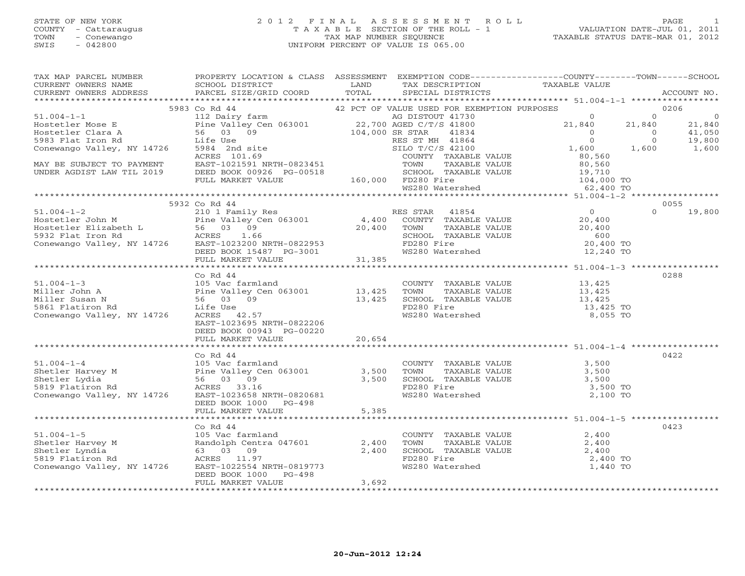#### STATE OF NEW YORK 2 0 1 2 F I N A L A S S E S S M E N T R O L L PAGE 1 COUNTY - Cattaraugus T A X A B L E SECTION OF THE ROLL - 1 VALUATION DATE-JUL 01, 2011 TOWN - Conewango TAX MAP NUMBER SEQUENCE TAXABLE STATUS DATE-MAR 01, 2012 SWIS - 042800 UNIFORM PERCENT OF VALUE IS 065.00UNIFORM PERCENT OF VALUE IS 065.00

| TAX MAP PARCEL NUMBER<br>CURRENT OWNERS NAME<br>CURRENT OWNERS ADDRESS                                                                                                                                                                                               | PROPERTY LOCATION & CLASS ASSESSMENT EXEMPTION CODE---------------COUNTY-------TOWN------SCHOOL<br>SCHOOL DISTRICT LAND<br>PARCEL SIZE/GRID COORD | TOTAL | TAX DESCRIPTION<br>SPECIAL DISTRICTS<br>SPECIAL DISTRICTS                                                                                                                                                           |          | ACCOUNT NO.                      |                          |
|----------------------------------------------------------------------------------------------------------------------------------------------------------------------------------------------------------------------------------------------------------------------|---------------------------------------------------------------------------------------------------------------------------------------------------|-------|---------------------------------------------------------------------------------------------------------------------------------------------------------------------------------------------------------------------|----------|----------------------------------|--------------------------|
|                                                                                                                                                                                                                                                                      |                                                                                                                                                   |       |                                                                                                                                                                                                                     |          |                                  |                          |
|                                                                                                                                                                                                                                                                      |                                                                                                                                                   |       |                                                                                                                                                                                                                     |          | 0206                             | $\overline{0}$<br>21,840 |
|                                                                                                                                                                                                                                                                      |                                                                                                                                                   |       |                                                                                                                                                                                                                     |          | $\frac{11,000}{19,800}$<br>1,600 | 41,050                   |
|                                                                                                                                                                                                                                                                      |                                                                                                                                                   |       |                                                                                                                                                                                                                     |          |                                  |                          |
|                                                                                                                                                                                                                                                                      |                                                                                                                                                   |       |                                                                                                                                                                                                                     |          |                                  |                          |
|                                                                                                                                                                                                                                                                      | 5932 Co Rd 44                                                                                                                                     |       |                                                                                                                                                                                                                     |          | 0055<br>$\Omega$                 | 19,800                   |
|                                                                                                                                                                                                                                                                      |                                                                                                                                                   |       |                                                                                                                                                                                                                     |          |                                  |                          |
|                                                                                                                                                                                                                                                                      |                                                                                                                                                   |       |                                                                                                                                                                                                                     |          |                                  |                          |
| 51.004-1-3<br>Miller John A<br>Miller Susan N<br>56 03 09<br>5861 Flatiron Rd<br>5861 Flatiron Rd<br>5861 Flatiron Rd<br>5861 Flatiron Rd<br>5861 Flatiron Rd<br>5861 Flatiron Rd<br>5861 Flatiron Rd<br>5861 Flatiron Rd<br>5861 Flatiron Rd<br>5862 AC             | Co Rd 44<br>EAST-1023695 NRTH-0822206<br>DEED BOOK 00943 PG-00220<br>FULL MARKET VALUE 20,654                                                     |       | COUNTY TAXABLE VALUE<br>TOWN TAXABLE VALUE 13,425<br>SCHOOL TAXABLE VALUE 13,425<br>FD280 Fire 13,425<br>WS280 Watershed 8,055 TO                                                                                   |          | 0288                             |                          |
|                                                                                                                                                                                                                                                                      |                                                                                                                                                   |       |                                                                                                                                                                                                                     |          |                                  |                          |
| CO Rd 44<br>Shetler Harvey M<br>Shetler Lydia<br>Shetler Lydia<br>Shetler Lydia<br>Shetler Lydia<br>Shetler Lydia<br>Shetler Lydia<br>Shetler Rd<br>Shetler Rd<br>Shetler Rd<br>Shetler Rd<br>2,500<br>Shetler Rd<br>2,500<br>ACRES<br>3,500<br>ACRES<br>2,3.16<br>C | Co Rd $44$<br>DEED BOOK 1000 PG-498<br>FULL MARKET VALUE                                                                                          | 5,385 | COUNTY TAXABLE VALUE 3,500<br>TOWN TAXABLE VALUE 3,500<br>SCHOOL TAXABLE VALUE $\begin{array}{ccc} 3,500 \\ \text{FD280}\end{array}$ and $\begin{array}{ccc} 3,500 \\ 3,500 \end{array}$ rows280 Watershed 2,100 TO | 3,500    | 0422                             |                          |
|                                                                                                                                                                                                                                                                      |                                                                                                                                                   |       |                                                                                                                                                                                                                     |          |                                  |                          |
| 51.004-1-5<br>Shetler Harvey M<br>Shetler Lyndia (105 Vac farmland<br>Randolph Centra 047601 (2,400<br>Shetler Lyndia (63 03 09<br>ACRES 11.97<br>ACRES 11.97<br>ACRES 11.97                                                                                         | Co Rd 44<br>DEED BOOK 1000 PG-498                                                                                                                 |       | COUNTY TAXABLE VALUE 2,400<br>TOWN TAXABLE VALUE 2,400<br>SCHOOL TAXABLE VALUE 2,400<br>FD280 Fire<br>WS280 Watershed 1,440 TO                                                                                      | 2,400 TO | 0423                             |                          |
|                                                                                                                                                                                                                                                                      | FULL MARKET VALUE                                                                                                                                 | 3,692 |                                                                                                                                                                                                                     |          |                                  |                          |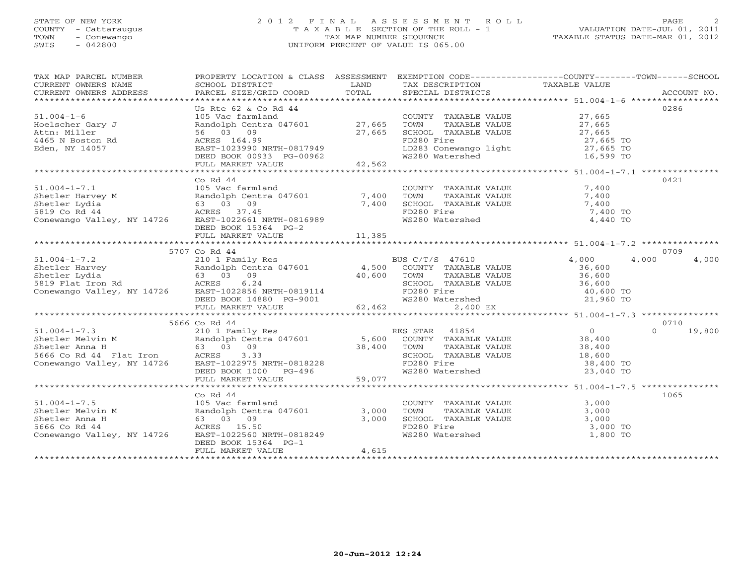## STATE OF NEW YORK 2 0 1 2 F I N A L A S S E S S M E N T R O L L PAGE 2 COUNTY - Cattaraugus T A X A B L E SECTION OF THE ROLL - 1 VALUATION DATE-JUL 01, 2011 TOWN - Conewango TAX MAP NUMBER SEQUENCE TAXABLE STATUS DATE-MAR 01, 2012 SWIS - 042800 UNIFORM PERCENT OF VALUE IS 065.00UNIFORM PERCENT OF VALUE IS 065.00

| TAX MAP PARCEL NUMBER<br>CURRENT OWNERS ADDRESS                                                                                                                                                                                                  | PROPERTY LOCATION & CLASS ASSESSMENT EXEMPTION CODE----------------COUNTY-------TOWN------SCHOOL                                                                                                                                                                         |       |                                                                                                                                                             |          |                    |
|--------------------------------------------------------------------------------------------------------------------------------------------------------------------------------------------------------------------------------------------------|--------------------------------------------------------------------------------------------------------------------------------------------------------------------------------------------------------------------------------------------------------------------------|-------|-------------------------------------------------------------------------------------------------------------------------------------------------------------|----------|--------------------|
|                                                                                                                                                                                                                                                  |                                                                                                                                                                                                                                                                          |       |                                                                                                                                                             |          |                    |
| $51.004 - 1 - 6$                                                                                                                                                                                                                                 | Us Rte 62 & Co Rd 44<br>105 Vac farmland<br>Randolph Centra 047601<br>27,665<br>70WN TAXABLE VALUE<br>27,665<br>27,665<br>27,665<br>27,665<br>27,665<br>27,665<br>27,665<br>27,665<br>27,665<br>27,665<br>27,665<br>27,665<br>27,665<br>27,665<br>27,665<br>27,665<br>27 |       |                                                                                                                                                             |          | 0286               |
| Hoelscher Gary J                                                                                                                                                                                                                                 |                                                                                                                                                                                                                                                                          |       |                                                                                                                                                             |          |                    |
| Attn: Miller                                                                                                                                                                                                                                     |                                                                                                                                                                                                                                                                          |       |                                                                                                                                                             |          |                    |
| 4465 N Boston Rd                                                                                                                                                                                                                                 |                                                                                                                                                                                                                                                                          |       |                                                                                                                                                             |          |                    |
| Eden, NY 14057                                                                                                                                                                                                                                   |                                                                                                                                                                                                                                                                          |       |                                                                                                                                                             |          |                    |
|                                                                                                                                                                                                                                                  |                                                                                                                                                                                                                                                                          |       |                                                                                                                                                             |          |                    |
|                                                                                                                                                                                                                                                  |                                                                                                                                                                                                                                                                          |       |                                                                                                                                                             |          |                    |
|                                                                                                                                                                                                                                                  | $Co$ Rd $44$                                                                                                                                                                                                                                                             |       |                                                                                                                                                             |          | 0421               |
|                                                                                                                                                                                                                                                  |                                                                                                                                                                                                                                                                          |       |                                                                                                                                                             |          |                    |
|                                                                                                                                                                                                                                                  |                                                                                                                                                                                                                                                                          |       |                                                                                                                                                             |          |                    |
|                                                                                                                                                                                                                                                  |                                                                                                                                                                                                                                                                          |       |                                                                                                                                                             |          |                    |
|                                                                                                                                                                                                                                                  |                                                                                                                                                                                                                                                                          |       |                                                                                                                                                             | 7,400 TO |                    |
|                                                                                                                                                                                                                                                  |                                                                                                                                                                                                                                                                          |       |                                                                                                                                                             | 4,440 TO |                    |
|                                                                                                                                                                                                                                                  | DEED BOOK 15364 PG-2                                                                                                                                                                                                                                                     |       |                                                                                                                                                             |          |                    |
|                                                                                                                                                                                                                                                  |                                                                                                                                                                                                                                                                          |       |                                                                                                                                                             |          |                    |
|                                                                                                                                                                                                                                                  |                                                                                                                                                                                                                                                                          |       |                                                                                                                                                             |          |                    |
|                                                                                                                                                                                                                                                  | 5707 Co Rd 44                                                                                                                                                                                                                                                            |       |                                                                                                                                                             |          | 0709               |
| 51.004-1-7.2<br>SHOP 210 1 Family Res<br>Shetler Harvey<br>Randolph Centra 047601<br>Shetler Lydia 63 03 09<br>SHOP 210 1 Family Res<br>Shetler Lydia 63 03 09<br>SHOP 26.24<br>Conewango Valley, NY 14726<br>Conewango Valley, NY 14726<br>DEED |                                                                                                                                                                                                                                                                          |       |                                                                                                                                                             |          | 4,000<br>4,000     |
|                                                                                                                                                                                                                                                  |                                                                                                                                                                                                                                                                          |       |                                                                                                                                                             |          |                    |
|                                                                                                                                                                                                                                                  |                                                                                                                                                                                                                                                                          |       |                                                                                                                                                             |          |                    |
|                                                                                                                                                                                                                                                  |                                                                                                                                                                                                                                                                          |       |                                                                                                                                                             |          |                    |
|                                                                                                                                                                                                                                                  |                                                                                                                                                                                                                                                                          |       |                                                                                                                                                             |          |                    |
|                                                                                                                                                                                                                                                  |                                                                                                                                                                                                                                                                          |       |                                                                                                                                                             |          |                    |
|                                                                                                                                                                                                                                                  |                                                                                                                                                                                                                                                                          |       |                                                                                                                                                             |          |                    |
|                                                                                                                                                                                                                                                  |                                                                                                                                                                                                                                                                          |       |                                                                                                                                                             |          |                    |
|                                                                                                                                                                                                                                                  | 5666 Co Rd 44                                                                                                                                                                                                                                                            |       |                                                                                                                                                             |          | 0710               |
|                                                                                                                                                                                                                                                  |                                                                                                                                                                                                                                                                          |       |                                                                                                                                                             |          | $\Omega$<br>19,800 |
|                                                                                                                                                                                                                                                  |                                                                                                                                                                                                                                                                          |       |                                                                                                                                                             |          |                    |
|                                                                                                                                                                                                                                                  |                                                                                                                                                                                                                                                                          |       |                                                                                                                                                             |          |                    |
|                                                                                                                                                                                                                                                  |                                                                                                                                                                                                                                                                          |       |                                                                                                                                                             |          |                    |
|                                                                                                                                                                                                                                                  |                                                                                                                                                                                                                                                                          |       | TOWN TAXABLE VALUE<br>TOWN TAXABLE VALUE<br>SCHOOL TAXABLE VALUE<br>TOWN TAXABLE VALUE<br>18,600<br>FD280 Fire<br>38,400 TO<br>MS280 Watershed<br>23,040 TO |          |                    |
|                                                                                                                                                                                                                                                  |                                                                                                                                                                                                                                                                          |       |                                                                                                                                                             |          |                    |
|                                                                                                                                                                                                                                                  |                                                                                                                                                                                                                                                                          |       |                                                                                                                                                             |          |                    |
|                                                                                                                                                                                                                                                  |                                                                                                                                                                                                                                                                          |       |                                                                                                                                                             |          |                    |
|                                                                                                                                                                                                                                                  |                                                                                                                                                                                                                                                                          |       |                                                                                                                                                             |          |                    |
|                                                                                                                                                                                                                                                  | Co Rd 44                                                                                                                                                                                                                                                                 |       |                                                                                                                                                             |          | 1065               |
|                                                                                                                                                                                                                                                  |                                                                                                                                                                                                                                                                          |       | COUNTY TAXABLE VALUE<br>TOWN      TAXABLE VALUE                                                                                                             | 3,000    |                    |
|                                                                                                                                                                                                                                                  |                                                                                                                                                                                                                                                                          |       |                                                                                                                                                             | 3,000    |                    |
|                                                                                                                                                                                                                                                  |                                                                                                                                                                                                                                                                          |       | SCHOOL TAXABLE VALUE $\begin{array}{ccc} 3,000 \\ \text{FD280 Fire} \end{array}$ 3,000 TO<br>WS280 Watershed 1,800 TO                                       |          |                    |
|                                                                                                                                                                                                                                                  |                                                                                                                                                                                                                                                                          |       |                                                                                                                                                             |          |                    |
| 51.004-1-7.5<br>Shetler Melvin M<br>Shetler Anna H (63 03 09 3,000<br>5666 Co Rd 44 (63 03 09 3,000<br>Conewango Valley, NY 14726 EAST-1022560 NRTH-0818249                                                                                      |                                                                                                                                                                                                                                                                          |       |                                                                                                                                                             |          |                    |
|                                                                                                                                                                                                                                                  | DEED BOOK 15364 PG-1                                                                                                                                                                                                                                                     |       |                                                                                                                                                             |          |                    |
|                                                                                                                                                                                                                                                  | FULL MARKET VALUE                                                                                                                                                                                                                                                        | 4,615 |                                                                                                                                                             |          |                    |
|                                                                                                                                                                                                                                                  |                                                                                                                                                                                                                                                                          |       |                                                                                                                                                             |          |                    |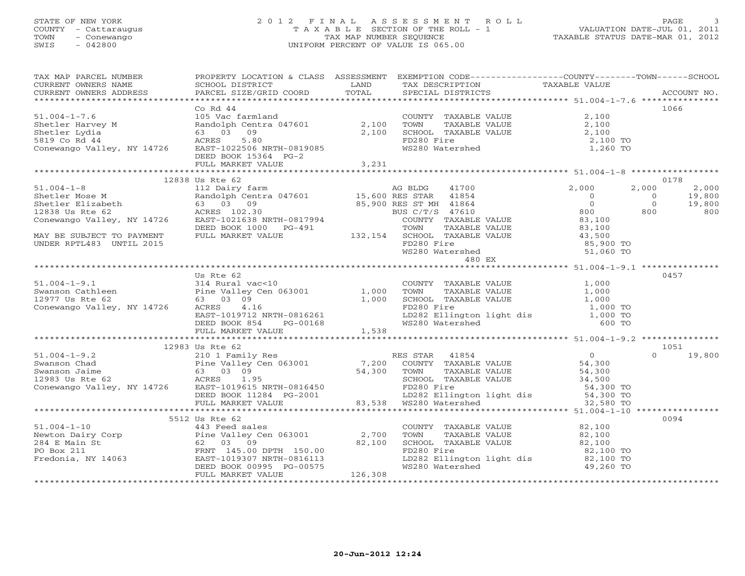## STATE OF NEW YORK 2 0 1 2 F I N A L A S S E S S M E N T R O L L PAGE 3 COUNTY - Cattaraugus T A X A B L E SECTION OF THE ROLL - 1 VALUATION DATE-JUL 01, 2011 TOWN - Conewango TAX MAP NUMBER SEQUENCE TAXABLE STATUS DATE-MAR 01, 2012 SWIS - 042800 UNIFORM PERCENT OF VALUE IS 065.00UNIFORM PERCENT OF VALUE IS 065.00

| TAX MAP PARCEL NUMBER<br>EXAMPLE NOTICE TAND TO A CONTRACT THE CONTRACT CONTRENT OWNERS NO SCHOOL DISTRICT TO LAND THE TAX DESCRIPTION TAXABLE VALUE<br>CURRENT OWNERS ADDRESS BARCEL SIZE/GRID COORD TOTAL SPECIAL DISTRICTS ACCOUNT NO.<br>****************                                    |                 | PROPERTY LOCATION & CLASS ASSESSMENT EXEMPTION CODE---------------COUNTY-------TOWN------SCHOOL                                                                                                                                   |           |      |
|--------------------------------------------------------------------------------------------------------------------------------------------------------------------------------------------------------------------------------------------------------------------------------------------------|-----------------|-----------------------------------------------------------------------------------------------------------------------------------------------------------------------------------------------------------------------------------|-----------|------|
|                                                                                                                                                                                                                                                                                                  |                 |                                                                                                                                                                                                                                   |           |      |
|                                                                                                                                                                                                                                                                                                  | Co Rd $44$      |                                                                                                                                                                                                                                   |           | 1066 |
| 51.004-1-7.6<br>Shetler Harvey M<br>Shetler Lydia (105 Vac farmland Randolph Centra 047601 2,100 TOWN TAXABLE VALUE 2,100<br>Shetler Lydia (3 03 09 2,100 SCHOOL TAXABLE VALUE 2,100<br>Sal Core Conewango Valley, NY 14726 EAST-10225                                                           |                 |                                                                                                                                                                                                                                   |           |      |
|                                                                                                                                                                                                                                                                                                  |                 |                                                                                                                                                                                                                                   |           |      |
|                                                                                                                                                                                                                                                                                                  |                 |                                                                                                                                                                                                                                   |           |      |
|                                                                                                                                                                                                                                                                                                  |                 |                                                                                                                                                                                                                                   |           |      |
|                                                                                                                                                                                                                                                                                                  |                 |                                                                                                                                                                                                                                   |           |      |
|                                                                                                                                                                                                                                                                                                  |                 |                                                                                                                                                                                                                                   |           |      |
| $\begin{tabular}{lcccccc} \texttt{\textbf{1}} & 1.004-1-8 & 12838 \text{ Us} & \text{Rt} & 62 & 1.004-1-8 & 12838 \text{ Us} & \text{Rt} & 62 & 1.004-1-8 & 1.004-1-8 & 1.004-1-8 & 1.004-1-8 & 1.004-1-8 & 1.004-1-8 & 1.004-1-8 & 1.004-1-8 & 1.004-1-8 & 1.004-1-8 & 1.004-1-8 & 1.004-1-8 &$ |                 |                                                                                                                                                                                                                                   |           |      |
|                                                                                                                                                                                                                                                                                                  |                 |                                                                                                                                                                                                                                   |           |      |
|                                                                                                                                                                                                                                                                                                  |                 |                                                                                                                                                                                                                                   |           |      |
|                                                                                                                                                                                                                                                                                                  | Us Rte 62       |                                                                                                                                                                                                                                   |           | 0457 |
|                                                                                                                                                                                                                                                                                                  |                 |                                                                                                                                                                                                                                   |           |      |
|                                                                                                                                                                                                                                                                                                  |                 |                                                                                                                                                                                                                                   |           |      |
|                                                                                                                                                                                                                                                                                                  |                 |                                                                                                                                                                                                                                   |           |      |
|                                                                                                                                                                                                                                                                                                  |                 |                                                                                                                                                                                                                                   |           |      |
|                                                                                                                                                                                                                                                                                                  |                 |                                                                                                                                                                                                                                   |           |      |
|                                                                                                                                                                                                                                                                                                  |                 |                                                                                                                                                                                                                                   |           |      |
|                                                                                                                                                                                                                                                                                                  |                 |                                                                                                                                                                                                                                   |           |      |
|                                                                                                                                                                                                                                                                                                  | 12983 Us Rte 62 |                                                                                                                                                                                                                                   |           | 1051 |
|                                                                                                                                                                                                                                                                                                  |                 |                                                                                                                                                                                                                                   |           |      |
|                                                                                                                                                                                                                                                                                                  |                 |                                                                                                                                                                                                                                   |           |      |
|                                                                                                                                                                                                                                                                                                  |                 |                                                                                                                                                                                                                                   |           |      |
|                                                                                                                                                                                                                                                                                                  |                 |                                                                                                                                                                                                                                   |           |      |
|                                                                                                                                                                                                                                                                                                  |                 |                                                                                                                                                                                                                                   |           |      |
|                                                                                                                                                                                                                                                                                                  |                 |                                                                                                                                                                                                                                   |           |      |
|                                                                                                                                                                                                                                                                                                  |                 |                                                                                                                                                                                                                                   |           |      |
|                                                                                                                                                                                                                                                                                                  |                 |                                                                                                                                                                                                                                   |           |      |
|                                                                                                                                                                                                                                                                                                  | 5512 Us Rte 62  |                                                                                                                                                                                                                                   |           | 0094 |
|                                                                                                                                                                                                                                                                                                  |                 |                                                                                                                                                                                                                                   |           |      |
|                                                                                                                                                                                                                                                                                                  |                 |                                                                                                                                                                                                                                   |           |      |
|                                                                                                                                                                                                                                                                                                  |                 |                                                                                                                                                                                                                                   |           |      |
|                                                                                                                                                                                                                                                                                                  |                 |                                                                                                                                                                                                                                   | 82,100 TO |      |
|                                                                                                                                                                                                                                                                                                  |                 | Example of the transformation of the transformation of the transformation of the transformation of the transfor<br>Wedder the transformation of the transformation of the transformation of the transformation of the transformat |           |      |
| 51.004-1-10<br>Newton Dairy Corp<br>Newton Dairy Corp<br>284 E Main St<br>284 E Main St<br>284 E Main St<br>284 E Main St<br>284 E Main St<br>284 E Main St<br>284 E Main St<br>286 211<br>286 PO Box 211<br>286 PO Box 211<br>286 PO Box 211<br>286 PO B                                        |                 |                                                                                                                                                                                                                                   |           |      |
|                                                                                                                                                                                                                                                                                                  |                 |                                                                                                                                                                                                                                   |           |      |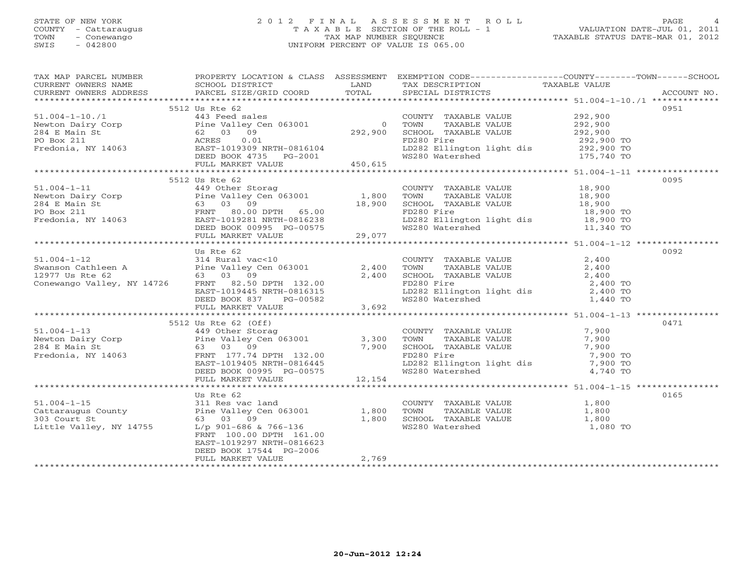## STATE OF NEW YORK 2 0 1 2 F I N A L A S S E S S M E N T R O L L PAGE 4COUNTY - Cattaraugus T A X A B L E SECTION OF THE ROLL - 1<br>
TOWN - Conewango TAX MAP NUMBER SEQUENCE<br>
SWIS - 042800 SWIS - 042800 UNIFORM PERCENT OF VALUE IS 065.00

| TAX MAP PARCEL NUMBER<br>ENGLE SCHOOL DISTRICT LAND INDUSTRICT TAX DESCRIPTION TAXABLE VALUE<br>CURRENT OWNERS NAME SCHOOL DISTRICT TO TAXABLE TRANSPORT TO TAXABLE VALUE<br>CURRENT OWNERS ADDRESS PARCEL SIZE/GRID COORD TOTAL SPECIAL DISTRICTS ACCOUNT NO            | PROPERTY LOCATION & CLASS ASSESSMENT EXEMPTION CODE----------------COUNTY-------TOWN------SCHOOL |       |                 |          |      |
|--------------------------------------------------------------------------------------------------------------------------------------------------------------------------------------------------------------------------------------------------------------------------|--------------------------------------------------------------------------------------------------|-------|-----------------|----------|------|
|                                                                                                                                                                                                                                                                          |                                                                                                  |       |                 |          |      |
|                                                                                                                                                                                                                                                                          | 5512 Us Rte 62                                                                                   |       |                 |          | 0951 |
| 51.004-1-10./1<br>Newton Dairy Corp<br>Newton Dairy Corp<br>292,900<br>284 E Main St<br>292,900<br>292,900<br>292,900<br>292,900<br>292,900<br>292,900<br>292,900<br>292,900<br>292,900<br>292,900<br>292,900<br>292,900<br>292,900<br>292,900<br>292,900<br>292,900<br> |                                                                                                  |       |                 |          |      |
|                                                                                                                                                                                                                                                                          |                                                                                                  |       |                 |          |      |
|                                                                                                                                                                                                                                                                          |                                                                                                  |       |                 |          |      |
|                                                                                                                                                                                                                                                                          |                                                                                                  |       |                 |          |      |
|                                                                                                                                                                                                                                                                          |                                                                                                  |       |                 |          |      |
|                                                                                                                                                                                                                                                                          |                                                                                                  |       |                 |          |      |
|                                                                                                                                                                                                                                                                          |                                                                                                  |       |                 |          |      |
|                                                                                                                                                                                                                                                                          |                                                                                                  |       |                 |          |      |
|                                                                                                                                                                                                                                                                          | 5512 Us Rte 62                                                                                   |       |                 |          | 0095 |
|                                                                                                                                                                                                                                                                          |                                                                                                  |       |                 |          |      |
|                                                                                                                                                                                                                                                                          |                                                                                                  |       |                 |          |      |
|                                                                                                                                                                                                                                                                          |                                                                                                  |       |                 |          |      |
|                                                                                                                                                                                                                                                                          |                                                                                                  |       |                 |          |      |
|                                                                                                                                                                                                                                                                          |                                                                                                  |       |                 |          |      |
|                                                                                                                                                                                                                                                                          |                                                                                                  |       |                 |          |      |
|                                                                                                                                                                                                                                                                          |                                                                                                  |       |                 |          |      |
|                                                                                                                                                                                                                                                                          |                                                                                                  |       |                 |          |      |
|                                                                                                                                                                                                                                                                          | Us Rte 62                                                                                        |       |                 |          | 0092 |
|                                                                                                                                                                                                                                                                          |                                                                                                  |       |                 |          |      |
|                                                                                                                                                                                                                                                                          |                                                                                                  |       |                 |          |      |
|                                                                                                                                                                                                                                                                          |                                                                                                  |       |                 |          |      |
|                                                                                                                                                                                                                                                                          |                                                                                                  |       |                 |          |      |
|                                                                                                                                                                                                                                                                          |                                                                                                  |       |                 |          |      |
|                                                                                                                                                                                                                                                                          |                                                                                                  |       |                 |          |      |
| 51.004-1-12<br>Swanson Cathleen A<br>2,400<br>Swanson Cathleen A<br>Pine Valley Cen 063001<br>2,400<br>COUNTY TAXABLE VALUE<br>2,400<br>2,400<br>2,400<br>2,400<br>COUNTY TAXABLE VALUE<br>2,400<br>TOWN TAXABLE VALUE<br>2,400<br>2,400<br>2,400<br>2,400<br>2,4        |                                                                                                  |       |                 |          |      |
|                                                                                                                                                                                                                                                                          |                                                                                                  |       |                 |          |      |
|                                                                                                                                                                                                                                                                          |                                                                                                  |       |                 |          | 0471 |
|                                                                                                                                                                                                                                                                          |                                                                                                  |       |                 |          |      |
|                                                                                                                                                                                                                                                                          |                                                                                                  |       |                 |          |      |
|                                                                                                                                                                                                                                                                          |                                                                                                  |       |                 |          |      |
|                                                                                                                                                                                                                                                                          |                                                                                                  |       |                 |          |      |
|                                                                                                                                                                                                                                                                          |                                                                                                  |       |                 |          |      |
|                                                                                                                                                                                                                                                                          |                                                                                                  |       |                 |          |      |
| 51.004-1-13<br>5512 Us Rte 62 (Off)<br>5512 Us Rte 62 (Off)<br>449 Other Storag<br>Newton Dairy Corp<br>Pine Valley Cen 063001<br>284 E Main St<br>63 03 09<br>7900 SCHOOL TAXABLE VALUE<br>7,900 TO SCHOOL TAXABLE VALUE<br>7,900 7,900<br>Fredonia                     |                                                                                                  |       |                 |          |      |
|                                                                                                                                                                                                                                                                          |                                                                                                  |       |                 |          |      |
|                                                                                                                                                                                                                                                                          | Us Rte 62                                                                                        |       |                 |          | 0165 |
|                                                                                                                                                                                                                                                                          |                                                                                                  |       |                 |          |      |
|                                                                                                                                                                                                                                                                          |                                                                                                  |       |                 |          |      |
|                                                                                                                                                                                                                                                                          |                                                                                                  |       |                 |          |      |
|                                                                                                                                                                                                                                                                          |                                                                                                  |       | WS280 Watershed | 1,080 TO |      |
|                                                                                                                                                                                                                                                                          | FRNT 100.00 DPTH 161.00                                                                          |       |                 |          |      |
|                                                                                                                                                                                                                                                                          | EAST-1019297 NRTH-0816623                                                                        |       |                 |          |      |
|                                                                                                                                                                                                                                                                          | DEED BOOK 17544 PG-2006                                                                          |       |                 |          |      |
|                                                                                                                                                                                                                                                                          | FULL MARKET VALUE                                                                                | 2,769 |                 |          |      |
|                                                                                                                                                                                                                                                                          |                                                                                                  |       |                 |          |      |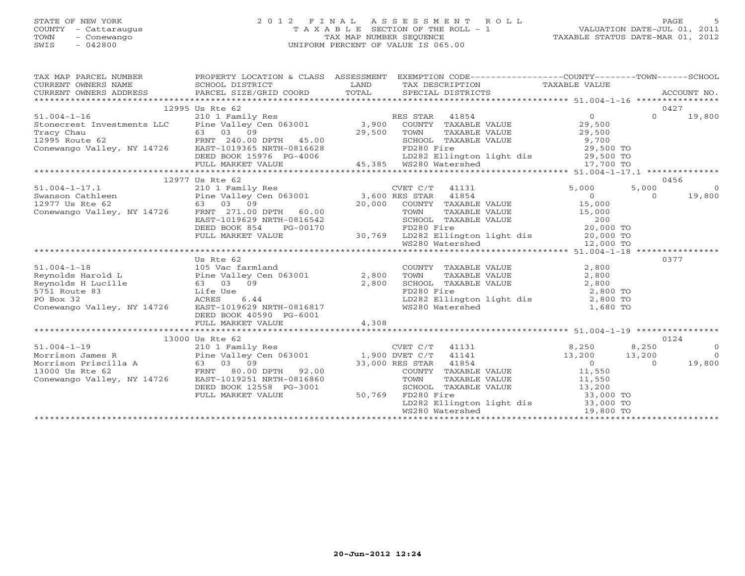## STATE OF NEW YORK 2 0 1 2 F I N A L A S S E S S M E N T R O L L PAGE 5 COUNTY - Cattaraugus T A X A B L E SECTION OF THE ROLL - 1 VALUATION DATE-JUL 01, 2011 TOWN - Conewango TAX MAP NUMBER SEQUENCE TAXABLE STATUS DATE-MAR 01, 2012 SWIS - 042800 UNIFORM PERCENT OF VALUE IS 065.00UNIFORM PERCENT OF VALUE IS 065.00

| TAX MAP PARCEL NUMBER<br>$\begin{tabular}{lllllll} \multicolumn{2}{c}{\textbf{CURRENT}} & \multicolumn{2}{c}{\textbf{WNERS}} & \multicolumn{2}{c}{\textbf{NAME}} & \multicolumn{2}{c}{\textbf{SCHOOL}} & \multicolumn{2}{c}{\textbf{DISTRICT}} & \multicolumn{2}{c}{\textbf{LAND}} & \multicolumn{2}{c}{\textbf{TAX} \textbf{DESCRIPTION}} & \multicolumn{2}{c}{\textbf{TAXABLE} \textbf{ VALUE}} & \multicolumn{2}{c}{\textbf{NALUE}} \\ & & & & & & & \multicolumn{2}{c}{\textbf{CURRENT}} & \multicolumn{2$ | PROPERTY LOCATION & CLASS ASSESSMENT EXEMPTION CODE----------------COUNTY-------TOWN------SCHOOL |       |  |          |                                                              |
|----------------------------------------------------------------------------------------------------------------------------------------------------------------------------------------------------------------------------------------------------------------------------------------------------------------------------------------------------------------------------------------------------------------------------------------------------------------------------------------------------------------|--------------------------------------------------------------------------------------------------|-------|--|----------|--------------------------------------------------------------|
|                                                                                                                                                                                                                                                                                                                                                                                                                                                                                                                |                                                                                                  |       |  |          | 0427                                                         |
|                                                                                                                                                                                                                                                                                                                                                                                                                                                                                                                | 12995 Us Rte 62                                                                                  |       |  | $\Omega$ |                                                              |
| 51.004-1-16<br>Stonecrest Investments LLC Pine Valley Cen 063001 3,900 COUNTY TAXABLE VALUE 29,500                                                                                                                                                                                                                                                                                                                                                                                                             |                                                                                                  |       |  |          | 19,800                                                       |
|                                                                                                                                                                                                                                                                                                                                                                                                                                                                                                                |                                                                                                  |       |  |          |                                                              |
|                                                                                                                                                                                                                                                                                                                                                                                                                                                                                                                |                                                                                                  |       |  |          |                                                              |
|                                                                                                                                                                                                                                                                                                                                                                                                                                                                                                                |                                                                                                  |       |  |          |                                                              |
|                                                                                                                                                                                                                                                                                                                                                                                                                                                                                                                |                                                                                                  |       |  |          |                                                              |
|                                                                                                                                                                                                                                                                                                                                                                                                                                                                                                                |                                                                                                  |       |  |          |                                                              |
| EXECT SURFACE CONSULTERLY AND TRANSPORTED BOOK 15976 PULL MARKET VALUE<br>TRANSPORTED BOOK 15976 PG-4006<br>THE DEED BOOK 15976 PG-4006<br>TULL MARKET VALUE<br>TULL MARKET VALUE<br>TULL MARKET VALUE<br>TULL MARKET VALUE<br>TULL MARKET V                                                                                                                                                                                                                                                                   |                                                                                                  |       |  |          |                                                              |
|                                                                                                                                                                                                                                                                                                                                                                                                                                                                                                                |                                                                                                  |       |  |          | 0456                                                         |
|                                                                                                                                                                                                                                                                                                                                                                                                                                                                                                                |                                                                                                  |       |  |          | $\overline{0}$                                               |
|                                                                                                                                                                                                                                                                                                                                                                                                                                                                                                                |                                                                                                  |       |  |          |                                                              |
|                                                                                                                                                                                                                                                                                                                                                                                                                                                                                                                |                                                                                                  |       |  |          | 19,800                                                       |
|                                                                                                                                                                                                                                                                                                                                                                                                                                                                                                                |                                                                                                  |       |  |          |                                                              |
|                                                                                                                                                                                                                                                                                                                                                                                                                                                                                                                |                                                                                                  |       |  |          |                                                              |
|                                                                                                                                                                                                                                                                                                                                                                                                                                                                                                                |                                                                                                  |       |  |          |                                                              |
|                                                                                                                                                                                                                                                                                                                                                                                                                                                                                                                |                                                                                                  |       |  |          |                                                              |
|                                                                                                                                                                                                                                                                                                                                                                                                                                                                                                                |                                                                                                  |       |  |          |                                                              |
| $\begin{tabular}{lllllllllllllllllllll} \multicolumn{3}{c }{12977\textrm{ Us Rte & 62}\mbox{210 1 Family Res} & $\text{CVET C/T}$ & 41131 & 5,000 & 5,000 & 5,000 & 5,000 & 5,000 & 5,000 & 5,000 & 5,000 & 5,000 & 5,000 & 5,000 & 5,000 & 5,000 & 5,000 & 5,000 & 5,000 & 5,000 & 5,000 & 5,000 & 5,000 & 5,000$                                                                                                                                                                                             |                                                                                                  |       |  |          |                                                              |
|                                                                                                                                                                                                                                                                                                                                                                                                                                                                                                                | Us Rte 62                                                                                        |       |  |          | 0377                                                         |
| 51.004-1-18<br>Reynolds Harold L<br>Reynolds Harold L<br>Reynolds Harold L<br>Reynolds Harold L<br>Country TAXABLE VALUE<br>2,800<br>Reynolds Harold L<br>2,800<br>ST51 Route 83<br>Life Use<br>PO Box 32<br>PO Box 32<br>Conewango Valley, NY 14726<br>Re                                                                                                                                                                                                                                                     |                                                                                                  |       |  |          |                                                              |
|                                                                                                                                                                                                                                                                                                                                                                                                                                                                                                                |                                                                                                  |       |  |          |                                                              |
|                                                                                                                                                                                                                                                                                                                                                                                                                                                                                                                |                                                                                                  |       |  |          |                                                              |
|                                                                                                                                                                                                                                                                                                                                                                                                                                                                                                                |                                                                                                  |       |  |          |                                                              |
|                                                                                                                                                                                                                                                                                                                                                                                                                                                                                                                |                                                                                                  |       |  |          |                                                              |
|                                                                                                                                                                                                                                                                                                                                                                                                                                                                                                                |                                                                                                  |       |  |          |                                                              |
|                                                                                                                                                                                                                                                                                                                                                                                                                                                                                                                | DEED BOOK 40590 PG-6001                                                                          |       |  |          |                                                              |
|                                                                                                                                                                                                                                                                                                                                                                                                                                                                                                                | FULL MARKET VALUE                                                                                | 4,308 |  |          |                                                              |
|                                                                                                                                                                                                                                                                                                                                                                                                                                                                                                                |                                                                                                  |       |  |          |                                                              |
|                                                                                                                                                                                                                                                                                                                                                                                                                                                                                                                |                                                                                                  |       |  |          | 0124                                                         |
|                                                                                                                                                                                                                                                                                                                                                                                                                                                                                                                |                                                                                                  |       |  |          | $\overline{0}$                                               |
|                                                                                                                                                                                                                                                                                                                                                                                                                                                                                                                |                                                                                                  |       |  |          |                                                              |
|                                                                                                                                                                                                                                                                                                                                                                                                                                                                                                                |                                                                                                  |       |  |          | $\begin{bmatrix} 13 & 200 & 0 \\ 0 & 19 & 800 \end{bmatrix}$ |
|                                                                                                                                                                                                                                                                                                                                                                                                                                                                                                                |                                                                                                  |       |  |          |                                                              |
|                                                                                                                                                                                                                                                                                                                                                                                                                                                                                                                |                                                                                                  |       |  |          |                                                              |
|                                                                                                                                                                                                                                                                                                                                                                                                                                                                                                                |                                                                                                  |       |  |          |                                                              |
|                                                                                                                                                                                                                                                                                                                                                                                                                                                                                                                |                                                                                                  |       |  |          |                                                              |
|                                                                                                                                                                                                                                                                                                                                                                                                                                                                                                                |                                                                                                  |       |  |          |                                                              |
| $\begin{tabular}{lllllllllllllllllllll} \text{\small{A\small{Norr}}\small{51.004-1-19} & 13000\text{ Us} \text{ Rte } 62 & \text{CVET C/T} & 41131 & 8,250 & 8,250 & 8,250 \\ \text{Morrison James R} & 210\text{ 1 Family Res} & 1,900\text{ DVET C/T} & 41141 & 13,200 & 13,200 & 13,200 \\ \text{Morrison Friscilla A} & 63\text{ 03} & 99 & 33,000\text{ RES STAR} & 418$                                                                                                                                  |                                                                                                  |       |  |          |                                                              |
|                                                                                                                                                                                                                                                                                                                                                                                                                                                                                                                |                                                                                                  |       |  |          |                                                              |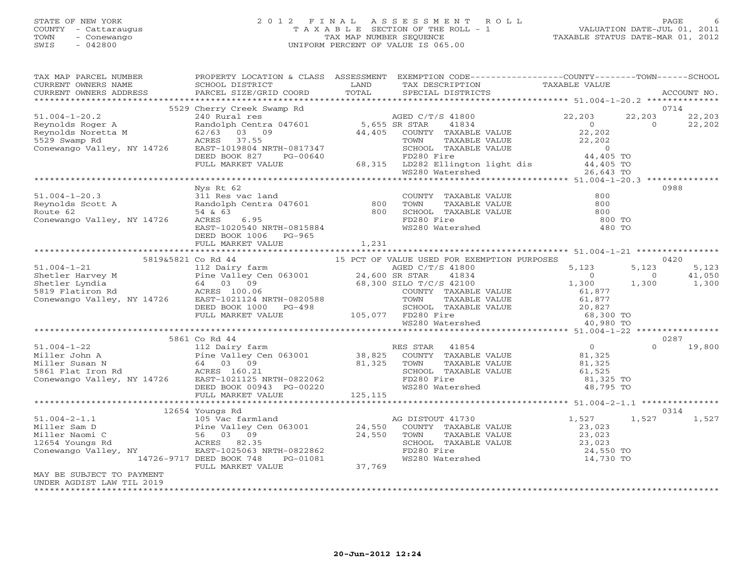## STATE OF NEW YORK 2 0 1 2 F I N A L A S S E S S M E N T R O L L PAGE 6 COUNTY - Cattaraugus T A X A B L E SECTION OF THE ROLL - 1 VALUATION DATE-JUL 01, 2011 TOWN - Conewango TAX MAP NUMBER SEQUENCE TAXABLE STATUS DATE-MAR 01, 2012 SWIS - 042800 UNIFORM PERCENT OF VALUE IS 065.00UNIFORM PERCENT OF VALUE IS 065.00

| TAX MAP PARCEL NUMBER<br>CURRENT OWNERS NAME                                                                                                                                                                                                                                        | PROPERTY LOCATION & CLASS ASSESSMENT<br>SCHOOL DISTRICT                                                                                                                                                                                                                                  | LAND     | EXEMPTION CODE-----------------COUNTY-------TOWN------SCHOOL<br>TAX DESCRIPTION                                                                                                                                                                        | TAXABLE VALUE            |                                            |
|-------------------------------------------------------------------------------------------------------------------------------------------------------------------------------------------------------------------------------------------------------------------------------------|------------------------------------------------------------------------------------------------------------------------------------------------------------------------------------------------------------------------------------------------------------------------------------------|----------|--------------------------------------------------------------------------------------------------------------------------------------------------------------------------------------------------------------------------------------------------------|--------------------------|--------------------------------------------|
| CURRENT OWNERS ADDRESS                                                                                                                                                                                                                                                              | PARCEL SIZE/GRID COORD                                                                                                                                                                                                                                                                   | TOTAL    | SPECIAL DISTRICTS                                                                                                                                                                                                                                      |                          | ACCOUNT NO.                                |
|                                                                                                                                                                                                                                                                                     | 5529 Cherry Creek Swamp Rd                                                                                                                                                                                                                                                               |          |                                                                                                                                                                                                                                                        |                          | 0714                                       |
| $51.004 - 1 - 20.2$<br>Reynolds Roger A<br>Reynolds Noretta M<br>5529 Swamp Rd                                                                                                                                                                                                      | 240 Rural res<br>Randolph Centra 047601 5,655 SR STAR 41834<br>62/63 03 09<br>62/63 03 09<br>ACRES 37.55 44,405                                                                                                                                                                          |          | COUNTY TAXABLE VALUE 22,202<br>TOWN TAXABLE VALUE 22,202                                                                                                                                                                                               | 22,203<br>$\overline{0}$ | 22,203<br>22,203<br>$\Omega$<br>22,202     |
| Conewango Valley, NY 14726                                                                                                                                                                                                                                                          | ACRES 37.55<br>EAST-1019804 NRTH-0817347<br>EAST-1019804 NRTH-0817347 SCHOOL TAXABLE VALUE 0<br>DEED BOOK 827 PG-00640 FD280 Fire 44,405 TO<br>FULL MARKET VALUE 68,315 LD282 Ellington light dis 44,405 TO<br>WS280 Watershed 26,643 TO                                                 |          |                                                                                                                                                                                                                                                        |                          |                                            |
|                                                                                                                                                                                                                                                                                     |                                                                                                                                                                                                                                                                                          |          |                                                                                                                                                                                                                                                        |                          |                                            |
| $51.004 - 1 - 20.3$<br>JI.UU4-1-ZU.3<br>Reynolds Scott A<br>Route 62<br>Conewango Valley, NY 14726                                                                                                                                                                                  | Nys Rt 62<br>A<br>FRIES VAC Land<br>Randolph Centra 047601 800<br>54 & 63<br>ACRES 6.95<br>EAST-1020540 NRTH-0815884<br>EAST-1020540 NRTH-0815884<br>EAST-1020540 NRTH-0815884<br>EAST-1020540 NRTH-0815884<br>EAST-1020540 NRTH-0815884<br>EAST-1020540 NRTH-0<br>DEED BOOK 1006 PG-965 |          |                                                                                                                                                                                                                                                        | 800 TO<br>480 TO         | 0988                                       |
|                                                                                                                                                                                                                                                                                     | FULL MARKET VALUE                                                                                                                                                                                                                                                                        | 1,231    |                                                                                                                                                                                                                                                        |                          |                                            |
|                                                                                                                                                                                                                                                                                     |                                                                                                                                                                                                                                                                                          |          |                                                                                                                                                                                                                                                        |                          | 0420                                       |
|                                                                                                                                                                                                                                                                                     |                                                                                                                                                                                                                                                                                          |          |                                                                                                                                                                                                                                                        | 5,123<br>$\overline{0}$  | 5,123<br>5,123<br>$\overline{0}$<br>41,050 |
| 5819&5821 Co Rd 44<br>5819&5821 Co Rd 44<br>5819&5821 Co Rd 44<br>112 Dairy farm<br>Shetler Harvey M<br>Shetler Harvey M<br>Shetler Lyndia<br>64 03 09<br>5819 Flatiron Rd<br>Conewango Valley, NY 14726<br>Conewango Valley, NY 14726<br>EARES 100.                                |                                                                                                                                                                                                                                                                                          |          | COUNTY TAXABLE VALUE<br>TOWN TAXABLE VALUE<br>SCHOOL TAXABLE VALUE<br>SCHOOL TAXABLE VALUE<br>FD280 Fire<br>WS280 Watershed<br>MS280 Watershed<br>MS280 Watershed<br>MS280 Watershed<br>MS280 Watershed<br>MS280 Watershed<br>MS280 Watershed<br>MS280 | 1,300                    | 1,300<br>1,300                             |
|                                                                                                                                                                                                                                                                                     |                                                                                                                                                                                                                                                                                          |          |                                                                                                                                                                                                                                                        |                          |                                            |
|                                                                                                                                                                                                                                                                                     |                                                                                                                                                                                                                                                                                          |          |                                                                                                                                                                                                                                                        |                          |                                            |
|                                                                                                                                                                                                                                                                                     | 5861 Co Rd 44                                                                                                                                                                                                                                                                            |          |                                                                                                                                                                                                                                                        |                          | 0287                                       |
|                                                                                                                                                                                                                                                                                     |                                                                                                                                                                                                                                                                                          |          | SCHOOL TAXABLE VALUE 61,525<br>FD280 Fire 81,325 TO                                                                                                                                                                                                    | 48,795 TO                | $\Omega$<br>19,800                         |
|                                                                                                                                                                                                                                                                                     |                                                                                                                                                                                                                                                                                          | 125, 115 |                                                                                                                                                                                                                                                        |                          |                                            |
|                                                                                                                                                                                                                                                                                     |                                                                                                                                                                                                                                                                                          |          |                                                                                                                                                                                                                                                        |                          |                                            |
| 12004 105 Not farmland<br>105 Vac farmland<br>24,550 COUNTY TAXABLE VALUE<br>Miller Naomi C<br>266 03 09<br>12654 Youngs Rd<br>2654 Youngs Rd<br>2654 Youngs Rd<br>2654 Youngs Rd<br>2654 Youngs Rd<br>2654 Youngs Rd<br>2654 Youngs Rd<br>2654 Youngs<br>MAY BE SUBJECT TO PAYMENT | 12654 Youngs Rd<br>PG-01081<br>14726-9717 DEED BOOK 748<br>FULL MARKET VALUE 37,769                                                                                                                                                                                                      |          | 3 DISTOUT 41/30<br>COUNTY TAXABLE VALUE<br>TOWN TAXABLE VALUE<br>SCHOOL TAXABLE VALUE<br>SCHOOL TAXABLE VALUE<br>FD280 Fire<br>WS280 Watershed<br>24,550 TO<br>14,730 TO                                                                               | 1,527                    | 0314<br>1,527<br>1,527                     |
| UNDER AGDIST LAW TIL 2019                                                                                                                                                                                                                                                           |                                                                                                                                                                                                                                                                                          |          |                                                                                                                                                                                                                                                        |                          |                                            |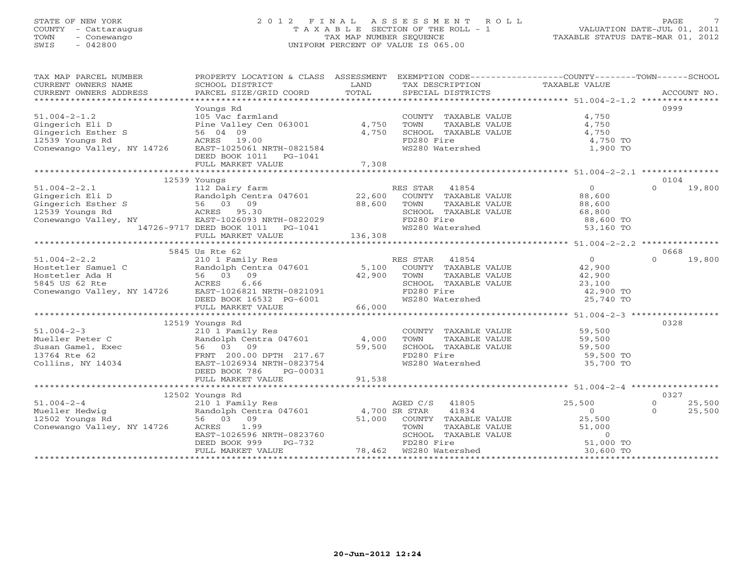## STATE OF NEW YORK 2 0 1 2 F I N A L A S S E S S M E N T R O L L PAGE 7 COUNTY - Cattaraugus T A X A B L E SECTION OF THE ROLL - 1 VALUATION DATE-JUL 01, 2011 TOWN - Conewango TAX MAP NUMBER SEQUENCE TAXABLE STATUS DATE-MAR 01, 2012 SWIS - 042800 UNIFORM PERCENT OF VALUE IS 065.00UNIFORM PERCENT OF VALUE IS 065.00

| TAX MAP PARCEL NUMBER<br>CURRENT OWNERS NAME                                                                                                                                                                                                                               | PROPERTY LOCATION & CLASS ASSESSMENT EXEMPTION CODE---------------COUNTY-------TOWN------SCHOOL |                                                                                                                                                                                      |       |                          |
|----------------------------------------------------------------------------------------------------------------------------------------------------------------------------------------------------------------------------------------------------------------------------|-------------------------------------------------------------------------------------------------|--------------------------------------------------------------------------------------------------------------------------------------------------------------------------------------|-------|--------------------------|
| 51.004-2-1.2<br>Gingerich Eli D<br>Gingerich Esther S<br>105 Vac farmland<br>Pine Valley Cen 063001<br>94,750<br>12539 Youngs Rd<br>26.04 09<br>26.04 09<br>2750<br>2750<br>2750<br>2750<br>2750<br>2750<br>2750<br>2750<br>2750<br>2750<br>2750<br>2750<br>28.0501<br>275 | Youngs Rd<br>DEED BOOK 1011 PG-1041                                                             | COUNTY TAXABLE VALUE<br>COUNTY TAXABLE VALUE<br>TOWN TAXABLE VALUE 4,750<br>SCHOOL TAXABLE VALUE 4,750<br>FD280 Fire 4,750 TO<br>FD280 Fire 3 4,750 TO<br>WS280 Watershed 3 1,900 TO | 4,750 | 0999                     |
|                                                                                                                                                                                                                                                                            | 12539 Youngs                                                                                    |                                                                                                                                                                                      |       | 0104                     |
|                                                                                                                                                                                                                                                                            |                                                                                                 |                                                                                                                                                                                      |       |                          |
|                                                                                                                                                                                                                                                                            |                                                                                                 |                                                                                                                                                                                      |       |                          |
| 51.004-2-2.2<br>5845 US REE 62<br>Hostetler Samuel C<br>Hostetler Ada H<br>56 03 09<br>5845 US REES 6.66<br>56 03 09<br>5845 US REES 6.66<br>56 03 09<br>42,900 TOWN TAXABLE VALUE<br>42,900<br>5845 US REES 6.66<br>CONNTY TAXABLE VALUE<br>42,900<br>584                 | 5845 Us Rte 62                                                                                  |                                                                                                                                                                                      |       | 0668<br>19,800<br>$\cap$ |
|                                                                                                                                                                                                                                                                            |                                                                                                 | SCHOOL TAXABLE VALUE $23,100$<br>FD280 Fire $42,900$ TO<br>WS280 Watershed $25,740$ TO                                                                                               |       |                          |
|                                                                                                                                                                                                                                                                            | 12519 Youngs Rd                                                                                 |                                                                                                                                                                                      |       | 0328                     |
| 51.004-2-3<br>Mueller Peter C<br>Susan Gamel, Exec<br>13764 Rte 62<br>Collins, NY 14034<br>Mueller Peter C<br>Collins, NY 14034<br>Collins, NY 14034<br>CEED BOOK 786<br>PEED BOOK 786<br>PEED BOOK 786<br>PEED BOOK 786<br>PEED BOOK 786<br>PEED BOOK 7                   |                                                                                                 | COUNTY TAXABLE VALUE 59,500<br>TOWN TAXABLE VALUE 59,500<br>SCHOOL TAXABLE VALUE<br>FD280 Fire 59,500<br>WS280 Watershed 35,700 TO                                                   |       |                          |
|                                                                                                                                                                                                                                                                            |                                                                                                 |                                                                                                                                                                                      |       |                          |
|                                                                                                                                                                                                                                                                            | 12502 Youngs Rd                                                                                 |                                                                                                                                                                                      |       | 0327                     |
|                                                                                                                                                                                                                                                                            |                                                                                                 |                                                                                                                                                                                      |       | 25,500<br>25,500         |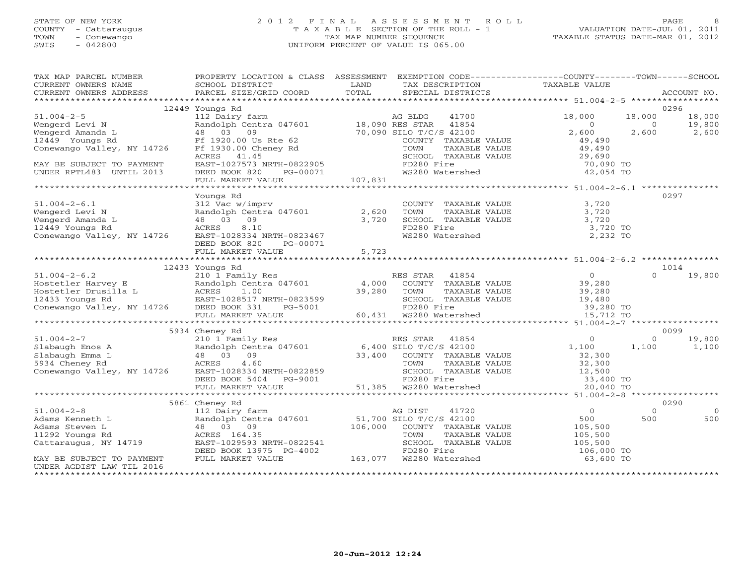## STATE OF NEW YORK 2 0 1 2 F I N A L A S S E S S M E N T R O L L PAGE 8 COUNTY - Cattaraugus T A X A B L E SECTION OF THE ROLL - 1 VALUATION DATE-JUL 01, 2011 TOWN - Conewango TAX MAP NUMBER SEQUENCE TAXABLE STATUS DATE-MAR 01, 2012 SWIS - 042800 UNIFORM PERCENT OF VALUE IS 065.00UNIFORM PERCENT OF VALUE IS 065.00

| TAX MAP PARCEL NUMBER<br>CURRENT OWNERS NAME                                                                                                                                                                                                                                                                                                                                                  | PROPERTY LOCATION & CLASS ASSESSMENT EXEMPTION CODE----------------COUNTY-------TOWN------SCHOOL<br>SCHOOL DISTRICT<br><b>Example 12</b> LAND | TOTAL                                  | TAX DESCRIPTION                                                | TAXABLE VALUE           |                |                 |
|-----------------------------------------------------------------------------------------------------------------------------------------------------------------------------------------------------------------------------------------------------------------------------------------------------------------------------------------------------------------------------------------------|-----------------------------------------------------------------------------------------------------------------------------------------------|----------------------------------------|----------------------------------------------------------------|-------------------------|----------------|-----------------|
| CURRENT OWNERS ADDRESS                                                                                                                                                                                                                                                                                                                                                                        | PARCEL SIZE/GRID COORD                                                                                                                        |                                        | SPECIAL DISTRICTS                                              |                         |                | ACCOUNT NO.     |
|                                                                                                                                                                                                                                                                                                                                                                                               | 12449 Youngs Rd                                                                                                                               |                                        |                                                                |                         |                | 0296            |
|                                                                                                                                                                                                                                                                                                                                                                                               |                                                                                                                                               |                                        |                                                                | 18,000                  | 18,000         | 18,000          |
|                                                                                                                                                                                                                                                                                                                                                                                               |                                                                                                                                               |                                        |                                                                | $\overline{0}$          | $\overline{0}$ | 19,800          |
|                                                                                                                                                                                                                                                                                                                                                                                               |                                                                                                                                               |                                        |                                                                | 2,600                   | 2,600          | 19,800<br>2,600 |
| $\begin{tabular}{lllllllllllll} \text{51.004--2--5} & & 12449 \text{ Youngs Rd} & & & \text{AG BLDG} & 41700 \\ & & 121 \text{ Dair} & \text{Random Centra 047601} & & 18,090 \text{ RES STAR} & 41854 \\ \text{Wengerd Amanda L} & & 48 & 03 & 09 & 70,090 \text{ SILD T/C/S 42100} \\ & & 48 & 03 & 09 & 70,090 \text{ SILD T/C/S 42100} \\ \text{Conewango Valley, NY 14726} & & \text{FF$ |                                                                                                                                               |                                        |                                                                | 49,490                  |                |                 |
|                                                                                                                                                                                                                                                                                                                                                                                               |                                                                                                                                               |                                        |                                                                | 49,490<br>29,690        |                |                 |
|                                                                                                                                                                                                                                                                                                                                                                                               |                                                                                                                                               |                                        |                                                                |                         |                |                 |
|                                                                                                                                                                                                                                                                                                                                                                                               |                                                                                                                                               |                                        |                                                                | 70,090 TO               |                |                 |
|                                                                                                                                                                                                                                                                                                                                                                                               |                                                                                                                                               |                                        |                                                                | 42,054 TO               |                |                 |
|                                                                                                                                                                                                                                                                                                                                                                                               |                                                                                                                                               |                                        |                                                                |                         |                |                 |
|                                                                                                                                                                                                                                                                                                                                                                                               |                                                                                                                                               |                                        |                                                                |                         |                |                 |
|                                                                                                                                                                                                                                                                                                                                                                                               | Youngs Rd                                                                                                                                     |                                        |                                                                |                         |                | 0297            |
| $51.004 - 2 - 6.1$                                                                                                                                                                                                                                                                                                                                                                            |                                                                                                                                               |                                        | COUNTY TAXABLE VALUE 3,720                                     |                         |                |                 |
| Wengerd Levi N Randolph Centra 047601 2,62<br>Wengerd Amanda L 48 03 09 3,72<br>12449 Youngs Rd ACRES 8.10<br>Conewango Valley, NY 14726 EAST-1028334 NRTH-0823467                                                                                                                                                                                                                            |                                                                                                                                               |                                        | TOWN     TAXABLE VALUE<br>SCHOOL   TAXABLE VALUE<br>FD280 Fire | 3,720                   |                |                 |
|                                                                                                                                                                                                                                                                                                                                                                                               |                                                                                                                                               |                                        |                                                                | 3,720                   |                |                 |
|                                                                                                                                                                                                                                                                                                                                                                                               |                                                                                                                                               |                                        | FD280 Fire                                                     | 3,720 TO                |                |                 |
|                                                                                                                                                                                                                                                                                                                                                                                               |                                                                                                                                               |                                        | FD260 File<br>WS280 Watershed                                  | 2,232 TO                |                |                 |
|                                                                                                                                                                                                                                                                                                                                                                                               | DEED BOOK 820<br>PG-00071                                                                                                                     |                                        |                                                                |                         |                |                 |
|                                                                                                                                                                                                                                                                                                                                                                                               | FULL MARKET VALUE                                                                                                                             | and the state of the state of<br>5,723 |                                                                |                         |                |                 |
|                                                                                                                                                                                                                                                                                                                                                                                               |                                                                                                                                               |                                        |                                                                |                         |                |                 |
|                                                                                                                                                                                                                                                                                                                                                                                               | 12433 Youngs Rd                                                                                                                               |                                        |                                                                |                         | $\Omega$       | 1014            |
|                                                                                                                                                                                                                                                                                                                                                                                               |                                                                                                                                               |                                        |                                                                |                         |                | 19,800          |
|                                                                                                                                                                                                                                                                                                                                                                                               |                                                                                                                                               |                                        |                                                                |                         |                |                 |
|                                                                                                                                                                                                                                                                                                                                                                                               |                                                                                                                                               |                                        |                                                                |                         |                |                 |
|                                                                                                                                                                                                                                                                                                                                                                                               |                                                                                                                                               |                                        |                                                                |                         |                |                 |
| 12433 Youngs Rd<br>210 1 Pamily Res<br>Hostetler Harvey E<br>Hostetler Drusilla L<br>210 1 Pamily Res<br>210 10 Pamily Res<br>210 10 Pamily Res<br>210 Pamily Res<br>210 Pamily Res<br>210 Pamily Res<br>210 Pamily Res<br>210 Pamily Res<br>21,000 CO                                                                                                                                        |                                                                                                                                               |                                        |                                                                |                         |                |                 |
|                                                                                                                                                                                                                                                                                                                                                                                               |                                                                                                                                               |                                        |                                                                |                         |                |                 |
|                                                                                                                                                                                                                                                                                                                                                                                               | 5934 Cheney Rd                                                                                                                                |                                        |                                                                |                         |                | 0099            |
|                                                                                                                                                                                                                                                                                                                                                                                               |                                                                                                                                               |                                        |                                                                |                         |                | 19,800          |
|                                                                                                                                                                                                                                                                                                                                                                                               |                                                                                                                                               |                                        |                                                                |                         |                | 1,100           |
|                                                                                                                                                                                                                                                                                                                                                                                               |                                                                                                                                               |                                        |                                                                |                         |                |                 |
|                                                                                                                                                                                                                                                                                                                                                                                               |                                                                                                                                               |                                        |                                                                |                         |                |                 |
|                                                                                                                                                                                                                                                                                                                                                                                               |                                                                                                                                               |                                        |                                                                |                         |                |                 |
|                                                                                                                                                                                                                                                                                                                                                                                               |                                                                                                                                               |                                        |                                                                |                         |                |                 |
|                                                                                                                                                                                                                                                                                                                                                                                               |                                                                                                                                               |                                        |                                                                |                         |                |                 |
|                                                                                                                                                                                                                                                                                                                                                                                               |                                                                                                                                               |                                        |                                                                |                         |                |                 |
|                                                                                                                                                                                                                                                                                                                                                                                               | 5861 Cheney Rd                                                                                                                                |                                        |                                                                |                         |                | 0290            |
| $51.004 - 2 - 8$                                                                                                                                                                                                                                                                                                                                                                              | 112 Dairy farm                                                                                                                                |                                        | 41720<br>AG DIST                                               | $\overline{0}$          | $\Omega$       | $\bigcirc$      |
|                                                                                                                                                                                                                                                                                                                                                                                               | 112 Dairy tarm<br>Randolph Centra 047601 51,700 SILO T/C/S 42100<br>48 03 03 03 106,000 COUNTY TAXABLE VALUE                                  |                                        |                                                                | 500<br>500<br>105,500   | 500            | 500             |
|                                                                                                                                                                                                                                                                                                                                                                                               |                                                                                                                                               |                                        |                                                                |                         |                |                 |
|                                                                                                                                                                                                                                                                                                                                                                                               | ACRES 164.35                                                                                                                                  |                                        | TAXABLE VALUE<br>TOWN                                          | 105,500<br>105,500      |                |                 |
| J. Out-2-0<br>Adams Kenneth L<br>Adams Steven L<br>11292 Youngs Rd<br>Cattaraugus, NY 14719                                                                                                                                                                                                                                                                                                   |                                                                                                                                               |                                        |                                                                |                         |                |                 |
|                                                                                                                                                                                                                                                                                                                                                                                               | EAST-1029593 NRTH-0822541 SCHOOL TAXABLE VALUE<br>DEED BOOK 13975 PG-4002 FD280 Fire<br>FULL MARKET VALUE 163,077 WS280 Watershed             |                                        |                                                                | 106,000 TO<br>63,600 TO |                |                 |
| MAY BE SUBJECT TO PAYMENT                                                                                                                                                                                                                                                                                                                                                                     |                                                                                                                                               |                                        |                                                                |                         |                |                 |
| UNDER AGDIST LAW TIL 2016                                                                                                                                                                                                                                                                                                                                                                     |                                                                                                                                               |                                        |                                                                |                         |                |                 |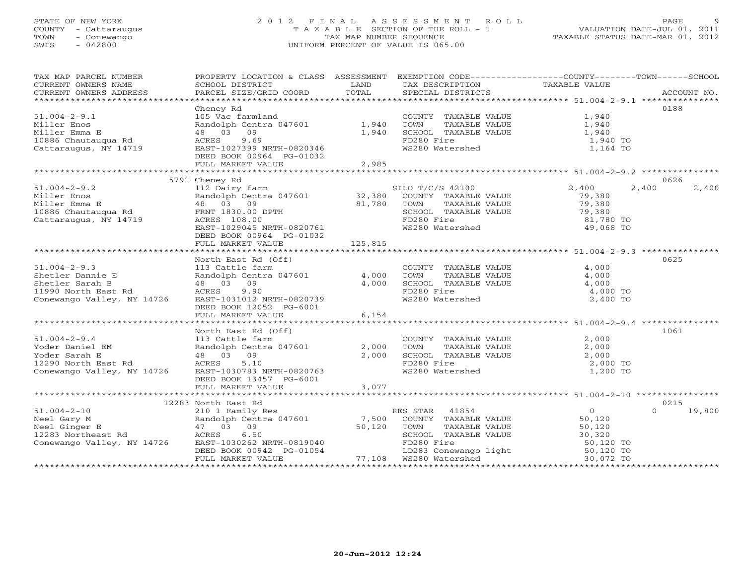## STATE OF NEW YORK 2 0 1 2 F I N A L A S S E S S M E N T R O L L PAGE 9 COUNTY - Cattaraugus T A X A B L E SECTION OF THE ROLL - 1 VALUATION DATE-JUL 01, 2011 TOWN - Conewango TAX MAP NUMBER SEQUENCE TAXABLE STATUS DATE-MAR 01, 2012 SWIS - 042800 UNIFORM PERCENT OF VALUE IS 065.00UNIFORM PERCENT OF VALUE IS 065.00

| TAX MAP PARCEL NUMBER<br>CURRENT OWNERS NAME                                                                                                                                                                                                                                                                                                                                                                                                                                                                           | PROPERTY LOCATION & CLASS ASSESSMENT EXEMPTION CODE----------------COUNTY-------TOWN------SCHOOL<br>SCHOOL DISTRICT                                      | <b>EXAMPLE SERVICE SERVICE SERVICE SERVICE SERVICE SERVICE SERVICE SERVICE SERVICE SERVICE SERVICE SERVICE SERVICE</b> |                                                                                                                                             |                |                  |
|------------------------------------------------------------------------------------------------------------------------------------------------------------------------------------------------------------------------------------------------------------------------------------------------------------------------------------------------------------------------------------------------------------------------------------------------------------------------------------------------------------------------|----------------------------------------------------------------------------------------------------------------------------------------------------------|------------------------------------------------------------------------------------------------------------------------|---------------------------------------------------------------------------------------------------------------------------------------------|----------------|------------------|
| $\begin{minipage}{.45\textwidth} \begin{minipage}{.45\textwidth} \begin{minipage}{.45\textwidth} \begin{minipage}{.45\textwidth} \begin{minipage}{.45\textwidth} \begin{minipage}{.45\textwidth} \begin{minipage}{.45\textwidth} \begin{minipage}{.45\textwidth} \begin{minipage}{.45\textwidth} \begin{minipage}{.45\textwidth} \begin{minipage}{.45\textwidth} \begin{minipage}{.45\textwidth} \begin{minipage}{.45\textwidth} \begin{minipage}{.45\textwidth} \begin{minipage}{.45\textwidth} \begin{minipage}{.45$ |                                                                                                                                                          |                                                                                                                        | TAX DESCRIPTION TAXABLE VALUE SPECIAL DISTRICTS                                                                                             |                |                  |
|                                                                                                                                                                                                                                                                                                                                                                                                                                                                                                                        |                                                                                                                                                          |                                                                                                                        |                                                                                                                                             |                |                  |
|                                                                                                                                                                                                                                                                                                                                                                                                                                                                                                                        | Cheney Rd                                                                                                                                                |                                                                                                                        |                                                                                                                                             |                | 0188             |
| $51.004 - 2 - 9.1$                                                                                                                                                                                                                                                                                                                                                                                                                                                                                                     | 105 Vac farmland                                                                                                                                         |                                                                                                                        | COUNTY TAXABLE VALUE 1,940                                                                                                                  |                |                  |
| Miller Enos                                                                                                                                                                                                                                                                                                                                                                                                                                                                                                            | Randolph Centra 047601 1,940                                                                                                                             |                                                                                                                        | TOWN<br>TOWN TAXABLE VALUE<br>SCHOOL TAXABLE VALUE                                                                                          | 1,940<br>1,940 |                  |
| Miller Emma E                                                                                                                                                                                                                                                                                                                                                                                                                                                                                                          | 48 03 09                                                                                                                                                 | 1,940                                                                                                                  |                                                                                                                                             | 1,940 TO       |                  |
| 10886 Chautauqua Rd<br>Cattaraugus, NY 14719                                                                                                                                                                                                                                                                                                                                                                                                                                                                           | 9.69<br>ACRES<br>EAST-1027399 NRTH-0820346                                                                                                               |                                                                                                                        | FD280 Fire<br>WS280 Watershed                                                                                                               | 1,164 TO       |                  |
|                                                                                                                                                                                                                                                                                                                                                                                                                                                                                                                        | DEED BOOK 00964 PG-01032                                                                                                                                 |                                                                                                                        |                                                                                                                                             |                |                  |
|                                                                                                                                                                                                                                                                                                                                                                                                                                                                                                                        | FULL MARKET VALUE                                                                                                                                        | 2,985                                                                                                                  |                                                                                                                                             |                |                  |
|                                                                                                                                                                                                                                                                                                                                                                                                                                                                                                                        |                                                                                                                                                          |                                                                                                                        |                                                                                                                                             |                |                  |
|                                                                                                                                                                                                                                                                                                                                                                                                                                                                                                                        | 5791 Cheney Rd                                                                                                                                           |                                                                                                                        |                                                                                                                                             |                | 0626             |
| $51.004 - 2 - 9.2$                                                                                                                                                                                                                                                                                                                                                                                                                                                                                                     | 112 Dairy farm<br>SILO T/C/S 42100<br>Randolph Centra 047601 32,380 COUNTY TAXABLE VALUE                                                                 |                                                                                                                        |                                                                                                                                             | 2,400<br>2,400 | 2,400            |
| ıer Emma E<br>10886 Chautauqua Rd<br>Cattaraugus, NY 14719                                                                                                                                                                                                                                                                                                                                                                                                                                                             |                                                                                                                                                          |                                                                                                                        |                                                                                                                                             | 79,380         |                  |
|                                                                                                                                                                                                                                                                                                                                                                                                                                                                                                                        |                                                                                                                                                          |                                                                                                                        |                                                                                                                                             | 79,380         |                  |
|                                                                                                                                                                                                                                                                                                                                                                                                                                                                                                                        |                                                                                                                                                          |                                                                                                                        | TOWN TAXABLE VALUE<br>SCHOOL TAXABLE VALUE<br>FD280 Fire<br>WS280 Watershed                                                                 | 79,380         |                  |
|                                                                                                                                                                                                                                                                                                                                                                                                                                                                                                                        | FRNT 1850.00 DPTH<br>ACRES 108.00<br>EAST-1029045 NRTH-0820761                                                                                           |                                                                                                                        |                                                                                                                                             | 81,780 TO      |                  |
|                                                                                                                                                                                                                                                                                                                                                                                                                                                                                                                        |                                                                                                                                                          |                                                                                                                        |                                                                                                                                             | 49,068 TO      |                  |
|                                                                                                                                                                                                                                                                                                                                                                                                                                                                                                                        | DEED BOOK 00964 PG-01032                                                                                                                                 |                                                                                                                        |                                                                                                                                             |                |                  |
|                                                                                                                                                                                                                                                                                                                                                                                                                                                                                                                        | FULL MARKET VALUE 125,815                                                                                                                                |                                                                                                                        |                                                                                                                                             |                |                  |
|                                                                                                                                                                                                                                                                                                                                                                                                                                                                                                                        | North East Rd (Off)                                                                                                                                      |                                                                                                                        |                                                                                                                                             |                | 0625             |
| $51.004 - 2 - 9.3$                                                                                                                                                                                                                                                                                                                                                                                                                                                                                                     |                                                                                                                                                          |                                                                                                                        |                                                                                                                                             | 4,000          |                  |
| Shetler Dannie E                                                                                                                                                                                                                                                                                                                                                                                                                                                                                                       | 113 Cattle farm (COUNT)<br>Randolph Centra 047601 4,000 TOWN                                                                                             |                                                                                                                        | COUNTY TAXABLE VALUE<br>TOWN TAXABLE VALUE<br>SCHOOL TAXABLE VALUE<br>ED280 Fire                                                            | 4,000          |                  |
| Shetler Sarah B                                                                                                                                                                                                                                                                                                                                                                                                                                                                                                        | 48 03 09                                                                                                                                                 | 4,000                                                                                                                  |                                                                                                                                             | 4,000          |                  |
| 11990 North East Rd                                                                                                                                                                                                                                                                                                                                                                                                                                                                                                    | ACRES<br>9.90                                                                                                                                            |                                                                                                                        | FD280 Fire                                                                                                                                  | 4,000 TO       |                  |
| Conewango Valley, NY 14726                                                                                                                                                                                                                                                                                                                                                                                                                                                                                             | EAST-1031012 NRTH-0820739                                                                                                                                |                                                                                                                        | WS280 Watershed                                                                                                                             | 2,400 TO       |                  |
|                                                                                                                                                                                                                                                                                                                                                                                                                                                                                                                        | DEED BOOK 12052 PG-6001                                                                                                                                  |                                                                                                                        |                                                                                                                                             |                |                  |
|                                                                                                                                                                                                                                                                                                                                                                                                                                                                                                                        | FULL MARKET VALUE                                                                                                                                        | 6,154                                                                                                                  |                                                                                                                                             |                |                  |
|                                                                                                                                                                                                                                                                                                                                                                                                                                                                                                                        | ***************<br>North East Rd (Off)<br>113 Cattle farm<br>Randolph Centra 047601<br>48 03 09                                                          |                                                                                                                        |                                                                                                                                             |                |                  |
|                                                                                                                                                                                                                                                                                                                                                                                                                                                                                                                        |                                                                                                                                                          |                                                                                                                        |                                                                                                                                             |                | 1061             |
| $51.004 - 2 - 9.4$                                                                                                                                                                                                                                                                                                                                                                                                                                                                                                     |                                                                                                                                                          |                                                                                                                        | $\begin{tabular}{lllllll} \multicolumn{2}{l}{{\small\texttt{COUNTY}}} & \texttt{TAXABLE} & \texttt{VALUE} & & \texttt{2,000} \end{tabular}$ |                |                  |
| Yoder Daniel EM<br>Yoder Sarah E                                                                                                                                                                                                                                                                                                                                                                                                                                                                                       |                                                                                                                                                          |                                                                                                                        |                                                                                                                                             |                |                  |
|                                                                                                                                                                                                                                                                                                                                                                                                                                                                                                                        |                                                                                                                                                          |                                                                                                                        | $2,000$ TOWN TAXABLE VALUE $2,000$ SCHOOL TAXABLE VALUE $2,000$ $2,000$<br>FD280 Fire                                                       | 2,000 TO       |                  |
|                                                                                                                                                                                                                                                                                                                                                                                                                                                                                                                        |                                                                                                                                                          |                                                                                                                        | WS280 Watershed                                                                                                                             | 1,200 TO       |                  |
|                                                                                                                                                                                                                                                                                                                                                                                                                                                                                                                        | DEED BOOK 13457 PG-6001                                                                                                                                  |                                                                                                                        |                                                                                                                                             |                |                  |
|                                                                                                                                                                                                                                                                                                                                                                                                                                                                                                                        | FULL MARKET VALUE                                                                                                                                        | 3,077                                                                                                                  |                                                                                                                                             |                |                  |
|                                                                                                                                                                                                                                                                                                                                                                                                                                                                                                                        |                                                                                                                                                          |                                                                                                                        |                                                                                                                                             |                |                  |
|                                                                                                                                                                                                                                                                                                                                                                                                                                                                                                                        | 12283 North East Rd                                                                                                                                      |                                                                                                                        |                                                                                                                                             |                | 0215             |
| $51.004 - 2 - 10$                                                                                                                                                                                                                                                                                                                                                                                                                                                                                                      |                                                                                                                                                          |                                                                                                                        |                                                                                                                                             | 0              | $\cap$<br>19,800 |
|                                                                                                                                                                                                                                                                                                                                                                                                                                                                                                                        | 210 1 Family Res<br>Randolph Centra 047601 7,500 COUNTY TAXABLE VALUE                                                                                    |                                                                                                                        |                                                                                                                                             | 50,120         |                  |
|                                                                                                                                                                                                                                                                                                                                                                                                                                                                                                                        | $47$ 03 09<br>$ACRES$ 6.50<br>$EAST-1030262$ NRTH-0819040<br>$0.120$ FOWN<br>$SCHOO$<br>$FD280$                                                          |                                                                                                                        |                                                                                                                                             |                |                  |
|                                                                                                                                                                                                                                                                                                                                                                                                                                                                                                                        |                                                                                                                                                          |                                                                                                                        |                                                                                                                                             |                |                  |
| Conewango Valley, NY 14726                                                                                                                                                                                                                                                                                                                                                                                                                                                                                             |                                                                                                                                                          |                                                                                                                        | FD280 Fire                                                                                                                                  | 50,120 TO      |                  |
|                                                                                                                                                                                                                                                                                                                                                                                                                                                                                                                        | DEED BOOK 00942 PG-01054 THE LESS FILE<br>DEED BOOK 00942 PG-01054 LD283 Conewango light 50,120 TO<br>TULL MARKET VALUE 77,108 WS280 Watershed 30,072 TO |                                                                                                                        |                                                                                                                                             |                |                  |
|                                                                                                                                                                                                                                                                                                                                                                                                                                                                                                                        |                                                                                                                                                          |                                                                                                                        |                                                                                                                                             |                |                  |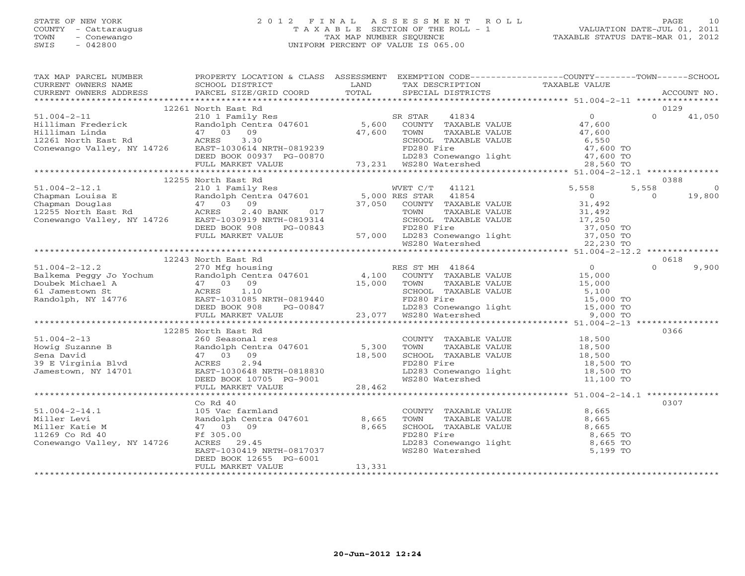## STATE OF NEW YORK 2 0 1 2 F I N A L A S S E S S M E N T R O L L PAGE 10 COUNTY - Cattaraugus T A X A B L E SECTION OF THE ROLL - 1 VALUATION DATE-JUL 01, 2011 TOWN - Conewango TAX MAP NUMBER SEQUENCE TAXABLE STATUS DATE-MAR 01, 2012 SWIS - 042800 UNIFORM PERCENT OF VALUE IS 065.00UNIFORM PERCENT OF VALUE IS 065.00

| TAX MAP PARCEL NUMBER<br>CURRENT OWNERS NAME                                                                                                                                                                                                                                                                                                                                                                  | PROPERTY LOCATION & CLASS ASSESSMENT EXEMPTION CODE----------------COUNTY-------TOWN------SCHOOL |        |                                                                                                                                                                  |      |  |
|---------------------------------------------------------------------------------------------------------------------------------------------------------------------------------------------------------------------------------------------------------------------------------------------------------------------------------------------------------------------------------------------------------------|--------------------------------------------------------------------------------------------------|--------|------------------------------------------------------------------------------------------------------------------------------------------------------------------|------|--|
| CURRENT OWNERS ADDRESS                                                                                                                                                                                                                                                                                                                                                                                        |                                                                                                  |        |                                                                                                                                                                  |      |  |
|                                                                                                                                                                                                                                                                                                                                                                                                               | 12261 North East Rd                                                                              |        |                                                                                                                                                                  | 0129 |  |
|                                                                                                                                                                                                                                                                                                                                                                                                               |                                                                                                  |        |                                                                                                                                                                  |      |  |
|                                                                                                                                                                                                                                                                                                                                                                                                               |                                                                                                  |        |                                                                                                                                                                  |      |  |
|                                                                                                                                                                                                                                                                                                                                                                                                               |                                                                                                  |        |                                                                                                                                                                  |      |  |
|                                                                                                                                                                                                                                                                                                                                                                                                               |                                                                                                  |        |                                                                                                                                                                  |      |  |
|                                                                                                                                                                                                                                                                                                                                                                                                               |                                                                                                  |        |                                                                                                                                                                  |      |  |
|                                                                                                                                                                                                                                                                                                                                                                                                               |                                                                                                  |        |                                                                                                                                                                  |      |  |
|                                                                                                                                                                                                                                                                                                                                                                                                               |                                                                                                  |        |                                                                                                                                                                  |      |  |
|                                                                                                                                                                                                                                                                                                                                                                                                               |                                                                                                  |        |                                                                                                                                                                  |      |  |
|                                                                                                                                                                                                                                                                                                                                                                                                               | 12255 North East Rd                                                                              |        |                                                                                                                                                                  | 0388 |  |
|                                                                                                                                                                                                                                                                                                                                                                                                               |                                                                                                  |        |                                                                                                                                                                  |      |  |
|                                                                                                                                                                                                                                                                                                                                                                                                               |                                                                                                  |        |                                                                                                                                                                  |      |  |
|                                                                                                                                                                                                                                                                                                                                                                                                               |                                                                                                  |        |                                                                                                                                                                  |      |  |
|                                                                                                                                                                                                                                                                                                                                                                                                               |                                                                                                  |        |                                                                                                                                                                  |      |  |
|                                                                                                                                                                                                                                                                                                                                                                                                               |                                                                                                  |        |                                                                                                                                                                  |      |  |
|                                                                                                                                                                                                                                                                                                                                                                                                               |                                                                                                  |        |                                                                                                                                                                  |      |  |
|                                                                                                                                                                                                                                                                                                                                                                                                               |                                                                                                  |        |                                                                                                                                                                  |      |  |
|                                                                                                                                                                                                                                                                                                                                                                                                               |                                                                                                  |        |                                                                                                                                                                  |      |  |
|                                                                                                                                                                                                                                                                                                                                                                                                               |                                                                                                  |        |                                                                                                                                                                  |      |  |
|                                                                                                                                                                                                                                                                                                                                                                                                               | 12243 North East Rd                                                                              |        |                                                                                                                                                                  | 0618 |  |
|                                                                                                                                                                                                                                                                                                                                                                                                               |                                                                                                  |        |                                                                                                                                                                  |      |  |
|                                                                                                                                                                                                                                                                                                                                                                                                               |                                                                                                  |        |                                                                                                                                                                  |      |  |
|                                                                                                                                                                                                                                                                                                                                                                                                               |                                                                                                  |        |                                                                                                                                                                  |      |  |
|                                                                                                                                                                                                                                                                                                                                                                                                               |                                                                                                  |        |                                                                                                                                                                  |      |  |
|                                                                                                                                                                                                                                                                                                                                                                                                               |                                                                                                  |        |                                                                                                                                                                  |      |  |
|                                                                                                                                                                                                                                                                                                                                                                                                               |                                                                                                  |        |                                                                                                                                                                  |      |  |
|                                                                                                                                                                                                                                                                                                                                                                                                               |                                                                                                  |        |                                                                                                                                                                  |      |  |
|                                                                                                                                                                                                                                                                                                                                                                                                               |                                                                                                  |        |                                                                                                                                                                  |      |  |
|                                                                                                                                                                                                                                                                                                                                                                                                               | 12285 North East Rd                                                                              |        |                                                                                                                                                                  | 0366 |  |
|                                                                                                                                                                                                                                                                                                                                                                                                               |                                                                                                  |        |                                                                                                                                                                  |      |  |
|                                                                                                                                                                                                                                                                                                                                                                                                               |                                                                                                  |        |                                                                                                                                                                  |      |  |
|                                                                                                                                                                                                                                                                                                                                                                                                               |                                                                                                  |        |                                                                                                                                                                  |      |  |
|                                                                                                                                                                                                                                                                                                                                                                                                               |                                                                                                  |        |                                                                                                                                                                  |      |  |
|                                                                                                                                                                                                                                                                                                                                                                                                               |                                                                                                  |        |                                                                                                                                                                  |      |  |
|                                                                                                                                                                                                                                                                                                                                                                                                               |                                                                                                  |        |                                                                                                                                                                  |      |  |
|                                                                                                                                                                                                                                                                                                                                                                                                               |                                                                                                  |        |                                                                                                                                                                  |      |  |
| $\begin{tabular}{lllllllllllllllllllll} \text{51.004--2--13} & \text{12285 Nortn East Rd & 03508 \\ \text{Howig Suzanne B} & \text{260 Searchal res} & \text{Random Centra 047601} & \text{5,300} & \text{TONAN-BL E VALUE} & \text{18,500} & \text{0360} \\ \text{Kemdolph Centra 047601} & 47 & 03 & 09 & 18,500 & \text{TONAN-BLE VALUE} & \text{18,500} \\ \text{39 E Virginia Blvd & 47 & 03 & 09 & 18,$ |                                                                                                  |        |                                                                                                                                                                  |      |  |
|                                                                                                                                                                                                                                                                                                                                                                                                               | $Co$ Rd $40$                                                                                     |        |                                                                                                                                                                  | 0307 |  |
|                                                                                                                                                                                                                                                                                                                                                                                                               |                                                                                                  |        |                                                                                                                                                                  |      |  |
|                                                                                                                                                                                                                                                                                                                                                                                                               |                                                                                                  |        |                                                                                                                                                                  |      |  |
|                                                                                                                                                                                                                                                                                                                                                                                                               |                                                                                                  |        | COUNTY TAXABLE VALUE<br>TOWN TAXABLE VALUE 8,665<br>SCHOOL TAXABLE VALUE 8,665<br>FD280 Fire 8,665<br>LD283 Conewango light 8,665 TO<br>WS280 Watershed 5,199 TO |      |  |
|                                                                                                                                                                                                                                                                                                                                                                                                               |                                                                                                  |        |                                                                                                                                                                  |      |  |
|                                                                                                                                                                                                                                                                                                                                                                                                               |                                                                                                  |        |                                                                                                                                                                  |      |  |
|                                                                                                                                                                                                                                                                                                                                                                                                               |                                                                                                  |        |                                                                                                                                                                  |      |  |
|                                                                                                                                                                                                                                                                                                                                                                                                               |                                                                                                  | 13,331 |                                                                                                                                                                  |      |  |
|                                                                                                                                                                                                                                                                                                                                                                                                               | FULL MARKET VALUE                                                                                |        |                                                                                                                                                                  |      |  |
|                                                                                                                                                                                                                                                                                                                                                                                                               |                                                                                                  |        |                                                                                                                                                                  |      |  |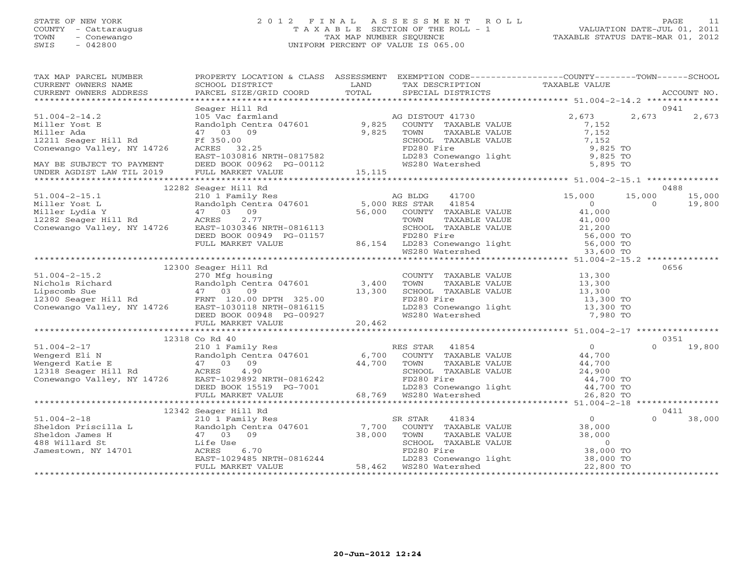## STATE OF NEW YORK 2 0 1 2 F I N A L A S S E S S M E N T R O L L PAGE 11 COUNTY - Cattaraugus T A X A B L E SECTION OF THE ROLL - 1 VALUATION DATE-JUL 01, 2011 TOWN - Conewango TAX MAP NUMBER SEQUENCE TAXABLE STATUS DATE-MAR 01, 2012 SWIS - 042800 UNIFORM PERCENT OF VALUE IS 065.00UNIFORM PERCENT OF VALUE IS 065.00

| TAX MAP PARCEL NUMBER<br>CURRENT OWNERS NAME<br>CURRENT OWNERS ADDRESS                                                                                                                                                                     | SCHOOL DISTRICT<br>PARCEL SIZE/GRID COORD                                                                                                                                                       | LAND<br>TOTAL | TAX DESCRIPTION TAXABLE VALUE<br>SPECIAL DISTRICTS TAXABLE VALUE                                                                                                                                               | PROPERTY LOCATION & CLASS ASSESSMENT EXEMPTION CODE---------------COUNTY-------TOWN------SCHOOL                 | ACCOUNT NO.      |
|--------------------------------------------------------------------------------------------------------------------------------------------------------------------------------------------------------------------------------------------|-------------------------------------------------------------------------------------------------------------------------------------------------------------------------------------------------|---------------|----------------------------------------------------------------------------------------------------------------------------------------------------------------------------------------------------------------|-----------------------------------------------------------------------------------------------------------------|------------------|
|                                                                                                                                                                                                                                            |                                                                                                                                                                                                 |               |                                                                                                                                                                                                                |                                                                                                                 |                  |
|                                                                                                                                                                                                                                            | Seager Hill Rd                                                                                                                                                                                  |               |                                                                                                                                                                                                                |                                                                                                                 | 0941             |
| $51.004 - 2 - 14.2$<br>Miller Yost E<br>Miller Ada                                                                                                                                                                                         | 105 Vac farmland                                                                                                                                                                                | 9,825         | AG DISTOUT 41730<br>9,825 COUNTY TAXABLE VALUE<br>TAXABLE VALUE<br>TOWN                                                                                                                                        | 2,673<br>2,673<br>7,152<br>7,152                                                                                | 2,673            |
| 12211 Seager Hill Rd<br>Conewango Valley, NY 14726                                                                                                                                                                                         | Ff 350.00<br>FT 350.00<br>ACRES 32.25<br>EAST-1030816 NRTH-0817582<br>ACRES 32.25                                                                                                               |               |                                                                                                                                                                                                                | SCHOOL TAXABLE VALUE 7,152<br>FD280 Fire 9,825 TO<br>LD283 Conewango light 9,825 TO<br>WS280 Watershed 5,895 TO |                  |
|                                                                                                                                                                                                                                            |                                                                                                                                                                                                 |               |                                                                                                                                                                                                                |                                                                                                                 |                  |
|                                                                                                                                                                                                                                            | 12282 Seager Hill Rd                                                                                                                                                                            |               |                                                                                                                                                                                                                |                                                                                                                 | 0488             |
| 51.004-2-15.1<br>Miller Yost L<br>Miller Lydia Y andolph Centra 047601 5,000 RES STAR 41854<br>Miller Lydia Y 47 03 09<br>12282 Seager Hill Rd ACRES 2.77<br>Conewango Valley, NY 14726 EAST-1030346 NRTH-0816113<br>Miller SCHOOL TAXABLE |                                                                                                                                                                                                 |               |                                                                                                                                                                                                                | 15,000<br>15,000<br>$\Omega$<br>$\Omega$                                                                        | 15,000<br>19,800 |
|                                                                                                                                                                                                                                            |                                                                                                                                                                                                 |               |                                                                                                                                                                                                                | 41,000<br>41,000                                                                                                |                  |
|                                                                                                                                                                                                                                            | EAST-1030346 NRTH-0816113 SCHOOL TAXABLE VALUE 21,200<br>DEED BOOK 00949 PG-01157 FD280 Fire 56,000 TO<br>FULL MARKET VALUE 36,154 LD283 Conewango light 56,000 TO<br>WS280 Watershed 33,600 TO |               |                                                                                                                                                                                                                |                                                                                                                 |                  |
|                                                                                                                                                                                                                                            |                                                                                                                                                                                                 |               |                                                                                                                                                                                                                |                                                                                                                 |                  |
|                                                                                                                                                                                                                                            | 12300 Seager Hill Rd                                                                                                                                                                            |               |                                                                                                                                                                                                                |                                                                                                                 | 0656             |
| $51.004 - 2 - 15.2$                                                                                                                                                                                                                        | 270 Mfg housing                                                                                                                                                                                 |               | COUNTY TAXABLE VALUE 13,300                                                                                                                                                                                    |                                                                                                                 |                  |
|                                                                                                                                                                                                                                            |                                                                                                                                                                                                 |               |                                                                                                                                                                                                                |                                                                                                                 |                  |
|                                                                                                                                                                                                                                            |                                                                                                                                                                                                 |               |                                                                                                                                                                                                                |                                                                                                                 |                  |
|                                                                                                                                                                                                                                            |                                                                                                                                                                                                 |               |                                                                                                                                                                                                                |                                                                                                                 |                  |
|                                                                                                                                                                                                                                            |                                                                                                                                                                                                 |               |                                                                                                                                                                                                                |                                                                                                                 |                  |
|                                                                                                                                                                                                                                            |                                                                                                                                                                                                 |               |                                                                                                                                                                                                                |                                                                                                                 |                  |
|                                                                                                                                                                                                                                            | 12318 Co Rd 40                                                                                                                                                                                  |               |                                                                                                                                                                                                                |                                                                                                                 | 0351             |
| $51.004 - 2 - 17$                                                                                                                                                                                                                          | 210 1 Family Res                                                                                                                                                                                |               | RES STAR 41854                                                                                                                                                                                                 | $\overline{O}$<br>$\Omega$                                                                                      | 19,800           |
| 11.004-2-17 210 1 Family Res<br>Wengerd Eli N Randolph Centra 047601 6,700 COUNTY TAXABLE VALUE 44,700<br>Wengerd Katie E 47 03 09 44,700 TOWN TAXABLE VALUE 44,700<br>12318 Seager Hill Rd ACRES 4.90 SCHOOL TAXABLE VALUE 24,900<br>     |                                                                                                                                                                                                 |               |                                                                                                                                                                                                                |                                                                                                                 |                  |
|                                                                                                                                                                                                                                            |                                                                                                                                                                                                 |               |                                                                                                                                                                                                                |                                                                                                                 |                  |
|                                                                                                                                                                                                                                            |                                                                                                                                                                                                 |               |                                                                                                                                                                                                                |                                                                                                                 |                  |
|                                                                                                                                                                                                                                            |                                                                                                                                                                                                 |               |                                                                                                                                                                                                                | 44,700 TO                                                                                                       |                  |
|                                                                                                                                                                                                                                            | 123092 NKTH-0816242<br>DEED BOOK 15519 PG-7001<br>FIIII MARKER WYTH                                                                                                                             |               | FD280 Fire              44,700 TO<br>LD283 Conewango light        44,700 TO<br>68,769  WS280 Watershed          26,820 TO                                                                                      |                                                                                                                 |                  |
|                                                                                                                                                                                                                                            | FULL MARKET VALUE                                                                                                                                                                               |               |                                                                                                                                                                                                                |                                                                                                                 |                  |
|                                                                                                                                                                                                                                            |                                                                                                                                                                                                 |               |                                                                                                                                                                                                                |                                                                                                                 | 0411             |
|                                                                                                                                                                                                                                            |                                                                                                                                                                                                 |               | SR STAR<br>41834                                                                                                                                                                                               | $\Omega$                                                                                                        | 38,000           |
|                                                                                                                                                                                                                                            |                                                                                                                                                                                                 |               | COUNTY TAXABLE VALUE                                                                                                                                                                                           | $\begin{smallmatrix}&&0\0&38\end{smallmatrix}$ ,000                                                             |                  |
|                                                                                                                                                                                                                                            |                                                                                                                                                                                                 |               |                                                                                                                                                                                                                |                                                                                                                 |                  |
|                                                                                                                                                                                                                                            |                                                                                                                                                                                                 |               |                                                                                                                                                                                                                |                                                                                                                 |                  |
|                                                                                                                                                                                                                                            |                                                                                                                                                                                                 |               |                                                                                                                                                                                                                |                                                                                                                 |                  |
|                                                                                                                                                                                                                                            | Life Use<br>ACRES 6.70<br>EAST-1029485 NRTH-0816244<br>ENIL MARYER WILL                                                                                                                         |               |                                                                                                                                                                                                                |                                                                                                                 |                  |
|                                                                                                                                                                                                                                            | FULL MARKET VALUE                                                                                                                                                                               |               | 38,000 TOWN TAXABLE VALUE 38,000<br>SCHOOL TAXABLE VALUE 38,000<br>FD280 Fire 38,000 TO<br>FD283 Conewango light 38,000 TO<br>58,462 MS244<br>22,800 TO<br>58,462 MS248 MS280 Materials 38,000 TO<br>22,800 TO |                                                                                                                 |                  |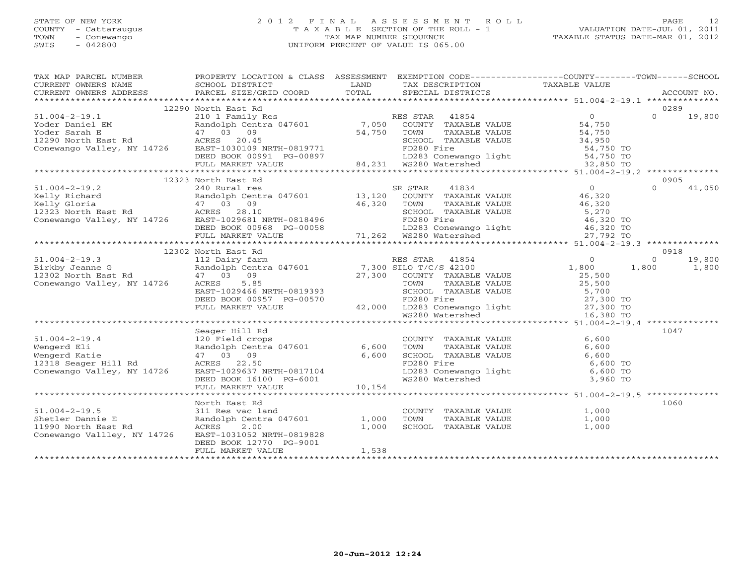## STATE OF NEW YORK 2 0 1 2 F I N A L A S S E S S M E N T R O L L PAGE 12 COUNTY - Cattaraugus T A X A B L E SECTION OF THE ROLL - 1 VALUATION DATE-JUL 01, 2011 TOWN - Conewango TAX MAP NUMBER SEQUENCE TAXABLE STATUS DATE-MAR 01, 2012 SWIS - 042800 UNIFORM PERCENT OF VALUE IS 065.00UNIFORM PERCENT OF VALUE IS 065.00

| TAX MAP PARCEL NUMBER                                                                                                                                                                                                                                                                                                                                                                                                                                                                                                  |                                                                                                              |                                                                                                                      |                                                                                                                                                                                                               | PROPERTY LOCATION & CLASS ASSESSMENT EXEMPTION CODE----------------COUNTY-------TOWN------SCHOOL |        |
|------------------------------------------------------------------------------------------------------------------------------------------------------------------------------------------------------------------------------------------------------------------------------------------------------------------------------------------------------------------------------------------------------------------------------------------------------------------------------------------------------------------------|--------------------------------------------------------------------------------------------------------------|----------------------------------------------------------------------------------------------------------------------|---------------------------------------------------------------------------------------------------------------------------------------------------------------------------------------------------------------|--------------------------------------------------------------------------------------------------|--------|
| CURRENT OWNERS NAME                                                                                                                                                                                                                                                                                                                                                                                                                                                                                                    | SCHOOL DISTRICT                                                                                              | <b>EXAMPLE EXAMPLE THE EXAMPLE EXAMPLE EXAMPLE EXAMPLE EXAMPLE EXAMPLE EXAMPLE EXAMPLE EXAMPLE EXAMPLE EXAMPLE E</b> | TAX DESCRIPTION TAXABLE VALUE SPECIAL DISTRICTS                                                                                                                                                               |                                                                                                  |        |
| $\begin{minipage}{.45\textwidth} \begin{minipage}{.45\textwidth} \begin{minipage}{.45\textwidth} \begin{minipage}{.45\textwidth} \begin{minipage}{.45\textwidth} \begin{minipage}{.45\textwidth} \begin{minipage}{.45\textwidth} \begin{minipage}{.45\textwidth} \begin{minipage}{.45\textwidth} \begin{minipage}{.45\textwidth} \begin{minipage}{.45\textwidth} \begin{minipage}{.45\textwidth} \begin{minipage}{.45\textwidth} \begin{minipage}{.45\textwidth} \begin{minipage}{.45\textwidth} \begin{minipage}{.45$ |                                                                                                              |                                                                                                                      |                                                                                                                                                                                                               |                                                                                                  |        |
|                                                                                                                                                                                                                                                                                                                                                                                                                                                                                                                        |                                                                                                              |                                                                                                                      |                                                                                                                                                                                                               |                                                                                                  |        |
|                                                                                                                                                                                                                                                                                                                                                                                                                                                                                                                        | 12290 North East Rd                                                                                          |                                                                                                                      |                                                                                                                                                                                                               | 0289                                                                                             |        |
|                                                                                                                                                                                                                                                                                                                                                                                                                                                                                                                        |                                                                                                              |                                                                                                                      |                                                                                                                                                                                                               | $\Omega$                                                                                         | 19,800 |
|                                                                                                                                                                                                                                                                                                                                                                                                                                                                                                                        |                                                                                                              |                                                                                                                      |                                                                                                                                                                                                               |                                                                                                  |        |
|                                                                                                                                                                                                                                                                                                                                                                                                                                                                                                                        |                                                                                                              |                                                                                                                      |                                                                                                                                                                                                               |                                                                                                  |        |
|                                                                                                                                                                                                                                                                                                                                                                                                                                                                                                                        |                                                                                                              |                                                                                                                      |                                                                                                                                                                                                               |                                                                                                  |        |
|                                                                                                                                                                                                                                                                                                                                                                                                                                                                                                                        |                                                                                                              |                                                                                                                      |                                                                                                                                                                                                               |                                                                                                  |        |
|                                                                                                                                                                                                                                                                                                                                                                                                                                                                                                                        |                                                                                                              |                                                                                                                      |                                                                                                                                                                                                               |                                                                                                  |        |
|                                                                                                                                                                                                                                                                                                                                                                                                                                                                                                                        |                                                                                                              |                                                                                                                      |                                                                                                                                                                                                               |                                                                                                  |        |
|                                                                                                                                                                                                                                                                                                                                                                                                                                                                                                                        |                                                                                                              |                                                                                                                      |                                                                                                                                                                                                               |                                                                                                  |        |
|                                                                                                                                                                                                                                                                                                                                                                                                                                                                                                                        | 12323 North East Rd                                                                                          |                                                                                                                      |                                                                                                                                                                                                               | 0905                                                                                             |        |
|                                                                                                                                                                                                                                                                                                                                                                                                                                                                                                                        |                                                                                                              |                                                                                                                      |                                                                                                                                                                                                               | $\Omega$                                                                                         | 41,050 |
|                                                                                                                                                                                                                                                                                                                                                                                                                                                                                                                        |                                                                                                              |                                                                                                                      |                                                                                                                                                                                                               |                                                                                                  |        |
|                                                                                                                                                                                                                                                                                                                                                                                                                                                                                                                        |                                                                                                              |                                                                                                                      |                                                                                                                                                                                                               |                                                                                                  |        |
|                                                                                                                                                                                                                                                                                                                                                                                                                                                                                                                        |                                                                                                              |                                                                                                                      |                                                                                                                                                                                                               |                                                                                                  |        |
|                                                                                                                                                                                                                                                                                                                                                                                                                                                                                                                        |                                                                                                              |                                                                                                                      |                                                                                                                                                                                                               |                                                                                                  |        |
|                                                                                                                                                                                                                                                                                                                                                                                                                                                                                                                        |                                                                                                              |                                                                                                                      |                                                                                                                                                                                                               |                                                                                                  |        |
|                                                                                                                                                                                                                                                                                                                                                                                                                                                                                                                        |                                                                                                              |                                                                                                                      |                                                                                                                                                                                                               |                                                                                                  |        |
|                                                                                                                                                                                                                                                                                                                                                                                                                                                                                                                        |                                                                                                              |                                                                                                                      |                                                                                                                                                                                                               |                                                                                                  |        |
|                                                                                                                                                                                                                                                                                                                                                                                                                                                                                                                        | 12302 North East Rd                                                                                          |                                                                                                                      |                                                                                                                                                                                                               | 0918                                                                                             |        |
|                                                                                                                                                                                                                                                                                                                                                                                                                                                                                                                        |                                                                                                              |                                                                                                                      |                                                                                                                                                                                                               | $\begin{matrix}0&&&0\1,800&&&1,800\end{matrix}$                                                  | 19,800 |
|                                                                                                                                                                                                                                                                                                                                                                                                                                                                                                                        |                                                                                                              |                                                                                                                      |                                                                                                                                                                                                               |                                                                                                  | 1,800  |
|                                                                                                                                                                                                                                                                                                                                                                                                                                                                                                                        |                                                                                                              |                                                                                                                      |                                                                                                                                                                                                               |                                                                                                  |        |
|                                                                                                                                                                                                                                                                                                                                                                                                                                                                                                                        |                                                                                                              |                                                                                                                      |                                                                                                                                                                                                               |                                                                                                  |        |
|                                                                                                                                                                                                                                                                                                                                                                                                                                                                                                                        |                                                                                                              |                                                                                                                      |                                                                                                                                                                                                               |                                                                                                  |        |
|                                                                                                                                                                                                                                                                                                                                                                                                                                                                                                                        |                                                                                                              |                                                                                                                      |                                                                                                                                                                                                               |                                                                                                  |        |
|                                                                                                                                                                                                                                                                                                                                                                                                                                                                                                                        |                                                                                                              |                                                                                                                      |                                                                                                                                                                                                               |                                                                                                  |        |
| 12302 North East Rd and<br>Olary farm RES STAR 41854 0<br>12302 North East Rd 47 03 09<br>Conewango Valley, NY 14726 ACRES 5.85<br>EASTAR 27,300 SILO T/C/S 42100 1,800 1<br>EASTAR 41854 0<br>27,300 TOWN TAXABLE VALUE 25,500<br>25,500 251,500                                                                                                                                                                                                                                                                      |                                                                                                              |                                                                                                                      |                                                                                                                                                                                                               |                                                                                                  |        |
|                                                                                                                                                                                                                                                                                                                                                                                                                                                                                                                        |                                                                                                              |                                                                                                                      |                                                                                                                                                                                                               |                                                                                                  |        |
|                                                                                                                                                                                                                                                                                                                                                                                                                                                                                                                        | Seager Hill Rd                                                                                               |                                                                                                                      |                                                                                                                                                                                                               |                                                                                                  |        |
| 51.004-2-19.4<br>Wengerd Eli                                                                                                                                                                                                                                                                                                                                                                                                                                                                                           |                                                                                                              |                                                                                                                      |                                                                                                                                                                                                               | 1047                                                                                             |        |
|                                                                                                                                                                                                                                                                                                                                                                                                                                                                                                                        |                                                                                                              |                                                                                                                      |                                                                                                                                                                                                               |                                                                                                  |        |
|                                                                                                                                                                                                                                                                                                                                                                                                                                                                                                                        |                                                                                                              |                                                                                                                      |                                                                                                                                                                                                               |                                                                                                  |        |
| Wengerd Katie                                                                                                                                                                                                                                                                                                                                                                                                                                                                                                          |                                                                                                              |                                                                                                                      |                                                                                                                                                                                                               |                                                                                                  |        |
| 12318 Seager Hill Rd                                                                                                                                                                                                                                                                                                                                                                                                                                                                                                   |                                                                                                              |                                                                                                                      |                                                                                                                                                                                                               |                                                                                                  |        |
| Conewango Valley, NY 14726                                                                                                                                                                                                                                                                                                                                                                                                                                                                                             | --- 11e1u crops<br>Randolph Centra 047601 6,600<br>47 03 09 6,600<br>ACRES 22.50 EAST-1029637 NPTH 0017101   |                                                                                                                      |                                                                                                                                                                                                               |                                                                                                  |        |
|                                                                                                                                                                                                                                                                                                                                                                                                                                                                                                                        |                                                                                                              |                                                                                                                      |                                                                                                                                                                                                               |                                                                                                  |        |
|                                                                                                                                                                                                                                                                                                                                                                                                                                                                                                                        | ACRES 22.50<br>EAST-1029637 NRTH-0817104<br>DEED BOOK 16100 PG-6001<br>FULL MARKET VALUE 10,154              |                                                                                                                      | COUNTY TAXABLE VALUE<br>TOWN TAXABLE VALUE<br>SCHOOL TAXABLE VALUE<br>FD280 Fire<br>LD283 Conewango light<br>WS280 Watershed<br>SCHOOL TAXABLE VALUE<br>6,600 TO<br>6,600 TO<br>6,600 TO<br>80 TO<br>3,960 TO |                                                                                                  |        |
|                                                                                                                                                                                                                                                                                                                                                                                                                                                                                                                        |                                                                                                              |                                                                                                                      |                                                                                                                                                                                                               |                                                                                                  |        |
|                                                                                                                                                                                                                                                                                                                                                                                                                                                                                                                        | North East Rd                                                                                                |                                                                                                                      |                                                                                                                                                                                                               | 1060                                                                                             |        |
| $51.004 - 2 - 19.5$                                                                                                                                                                                                                                                                                                                                                                                                                                                                                                    |                                                                                                              |                                                                                                                      |                                                                                                                                                                                                               |                                                                                                  |        |
| Shetler Dannie E                                                                                                                                                                                                                                                                                                                                                                                                                                                                                                       |                                                                                                              |                                                                                                                      | COUNTY TAXABLE VALUE $1,000$<br>-------- F VALUE $1,000$                                                                                                                                                      |                                                                                                  |        |
| 11990 North East Rd                                                                                                                                                                                                                                                                                                                                                                                                                                                                                                    |                                                                                                              |                                                                                                                      | SCHOOL TAXABLE VALUE                                                                                                                                                                                          | 1,000                                                                                            |        |
| Conewango Vallley, NY 14726                                                                                                                                                                                                                                                                                                                                                                                                                                                                                            | North East Ru<br>311 Res vac land<br>Randolph Centra 047601 1,000<br>2000 1,000<br>EAST-1031052 NRTH-0819828 |                                                                                                                      |                                                                                                                                                                                                               |                                                                                                  |        |
|                                                                                                                                                                                                                                                                                                                                                                                                                                                                                                                        | DEED BOOK 12770 PG-9001                                                                                      |                                                                                                                      |                                                                                                                                                                                                               |                                                                                                  |        |
|                                                                                                                                                                                                                                                                                                                                                                                                                                                                                                                        | FULL MARKET VALUE                                                                                            | 1,538                                                                                                                |                                                                                                                                                                                                               |                                                                                                  |        |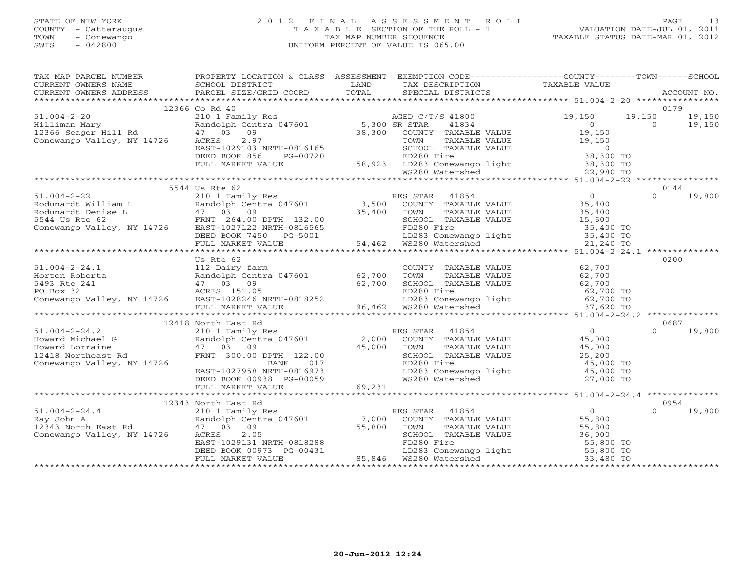## STATE OF NEW YORK 2 0 1 2 F I N A L A S S E S S M E N T R O L L PAGE 13 COUNTY - Cattaraugus T A X A B L E SECTION OF THE ROLL - 1 VALUATION DATE-JUL 01, 2011 TOWN - Conewango TAX MAP NUMBER SEQUENCE TAXABLE STATUS DATE-MAR 01, 2012 SWIS - 042800 UNIFORM PERCENT OF VALUE IS 065.00UNIFORM PERCENT OF VALUE IS 065.00

| TAX MAP PARCEL NUMBER                                                                                                                                                                                                                                                                                                                              | PROPERTY LOCATION & CLASS ASSESSMENT EXEMPTION CODE---------------COUNTY-------TOWN------SCHOOL |                                                                                                                        |                               |                          |
|----------------------------------------------------------------------------------------------------------------------------------------------------------------------------------------------------------------------------------------------------------------------------------------------------------------------------------------------------|-------------------------------------------------------------------------------------------------|------------------------------------------------------------------------------------------------------------------------|-------------------------------|--------------------------|
| CURRENT OWNERS NAME SCHOOL DISTRICT CURRENT OWNERS ADDRESS PARCEL SIZE/GRID                                                                                                                                                                                                                                                                        |                                                                                                 | <b>EXAMPLE SERVICE SERVICE SERVICE SERVICE SERVICE SERVICE SERVICE SERVICE SERVICE SERVICE SERVICE SERVICE SERVICE</b> | TAX DESCRIPTION TAXABLE VALUE |                          |
| - CURRENT OWNERS ADDRESS PARCEL SIZE/GRID COORD TOTAL SPECIAL DISTRICTS ACCOUNT NO.<br>- TERRENT OWNERS ADDRESS PARCEL SIZE/GRID COORD TOTAL SPECIAL DISTRICTS FOR ACCOUNT NO.                                                                                                                                                                     |                                                                                                 |                                                                                                                        |                               |                          |
|                                                                                                                                                                                                                                                                                                                                                    | 12366 Co Rd 40                                                                                  |                                                                                                                        |                               | 0179                     |
| $\begin{array}{cccccccc} 1.004-2-20 & 12366 & \text{CO NA} & 40 & \\ 210 & 10 & \text{Family Res} & \text{ACED C/T/S 41800} & 19,150 & 19 \\ \text{Railiman Mary} & \text{Random Centra 047601} & 5,300 & \text{SR STAR} & 41834 & 0 \\ 12366 & \text{Seager Hill Rd} & 47 & 03 & 09 & 38,300 & \text{COUNTY TAXABLE VALUE} &$                     |                                                                                                 |                                                                                                                        |                               | 19,150 19,150            |
|                                                                                                                                                                                                                                                                                                                                                    |                                                                                                 |                                                                                                                        |                               | $\overline{0}$<br>19,150 |
|                                                                                                                                                                                                                                                                                                                                                    |                                                                                                 |                                                                                                                        |                               |                          |
|                                                                                                                                                                                                                                                                                                                                                    |                                                                                                 |                                                                                                                        |                               |                          |
|                                                                                                                                                                                                                                                                                                                                                    |                                                                                                 |                                                                                                                        |                               |                          |
|                                                                                                                                                                                                                                                                                                                                                    |                                                                                                 |                                                                                                                        |                               |                          |
|                                                                                                                                                                                                                                                                                                                                                    |                                                                                                 |                                                                                                                        |                               |                          |
|                                                                                                                                                                                                                                                                                                                                                    |                                                                                                 |                                                                                                                        |                               |                          |
|                                                                                                                                                                                                                                                                                                                                                    |                                                                                                 |                                                                                                                        |                               |                          |
|                                                                                                                                                                                                                                                                                                                                                    | 5544 Us Rte 62                                                                                  |                                                                                                                        |                               | 0144                     |
|                                                                                                                                                                                                                                                                                                                                                    |                                                                                                 |                                                                                                                        |                               | $\Omega$<br>19,800       |
|                                                                                                                                                                                                                                                                                                                                                    |                                                                                                 |                                                                                                                        |                               |                          |
|                                                                                                                                                                                                                                                                                                                                                    |                                                                                                 |                                                                                                                        |                               |                          |
|                                                                                                                                                                                                                                                                                                                                                    |                                                                                                 |                                                                                                                        |                               |                          |
|                                                                                                                                                                                                                                                                                                                                                    |                                                                                                 |                                                                                                                        |                               |                          |
|                                                                                                                                                                                                                                                                                                                                                    |                                                                                                 |                                                                                                                        |                               |                          |
|                                                                                                                                                                                                                                                                                                                                                    |                                                                                                 |                                                                                                                        |                               |                          |
|                                                                                                                                                                                                                                                                                                                                                    |                                                                                                 |                                                                                                                        |                               |                          |
|                                                                                                                                                                                                                                                                                                                                                    | Us Rte 62                                                                                       |                                                                                                                        |                               | 0200                     |
|                                                                                                                                                                                                                                                                                                                                                    |                                                                                                 |                                                                                                                        |                               |                          |
|                                                                                                                                                                                                                                                                                                                                                    |                                                                                                 |                                                                                                                        |                               |                          |
|                                                                                                                                                                                                                                                                                                                                                    |                                                                                                 |                                                                                                                        |                               |                          |
|                                                                                                                                                                                                                                                                                                                                                    |                                                                                                 |                                                                                                                        |                               |                          |
|                                                                                                                                                                                                                                                                                                                                                    |                                                                                                 |                                                                                                                        |                               |                          |
|                                                                                                                                                                                                                                                                                                                                                    |                                                                                                 |                                                                                                                        |                               |                          |
| $\begin{tabular}{lllllllllllll} \text{51.004-2-24.1} & \text{US Rte 62} & \text{31.004-2-24.1} & \text{US Rte 62} & \text{32.00} & \text{33.00} & \text{34.00} & \text{35.00} & \text{36.00} & \text{37.00} & \text{38.00} & \text{39.00} & \text{39.00} & \text{30.00} & \text{30.00} & \text{31.00} & \text{32.00} & \text{33.00} & \text{34.00$ |                                                                                                 |                                                                                                                        |                               |                          |
|                                                                                                                                                                                                                                                                                                                                                    | 12418 North East Rd                                                                             |                                                                                                                        |                               | 0687                     |
|                                                                                                                                                                                                                                                                                                                                                    |                                                                                                 |                                                                                                                        |                               | $\Omega$<br>19,800       |
|                                                                                                                                                                                                                                                                                                                                                    |                                                                                                 |                                                                                                                        |                               |                          |
|                                                                                                                                                                                                                                                                                                                                                    |                                                                                                 |                                                                                                                        |                               |                          |
|                                                                                                                                                                                                                                                                                                                                                    |                                                                                                 |                                                                                                                        |                               |                          |
|                                                                                                                                                                                                                                                                                                                                                    |                                                                                                 |                                                                                                                        |                               |                          |
|                                                                                                                                                                                                                                                                                                                                                    |                                                                                                 |                                                                                                                        |                               |                          |
|                                                                                                                                                                                                                                                                                                                                                    |                                                                                                 |                                                                                                                        |                               |                          |
|                                                                                                                                                                                                                                                                                                                                                    |                                                                                                 |                                                                                                                        |                               |                          |
|                                                                                                                                                                                                                                                                                                                                                    | 12343 North East Rd                                                                             |                                                                                                                        |                               | 0954                     |
|                                                                                                                                                                                                                                                                                                                                                    |                                                                                                 |                                                                                                                        |                               | $\Omega$<br>19,800       |
|                                                                                                                                                                                                                                                                                                                                                    |                                                                                                 |                                                                                                                        |                               |                          |
|                                                                                                                                                                                                                                                                                                                                                    |                                                                                                 |                                                                                                                        |                               |                          |
|                                                                                                                                                                                                                                                                                                                                                    |                                                                                                 |                                                                                                                        |                               |                          |
|                                                                                                                                                                                                                                                                                                                                                    |                                                                                                 |                                                                                                                        |                               |                          |
|                                                                                                                                                                                                                                                                                                                                                    |                                                                                                 |                                                                                                                        |                               |                          |
| 12343 North East Rd<br>210 1 Family Res<br>Ray John A<br>210 1 Family Res<br>Ray John A<br>210 1 Family Res<br>210 1 Family Res<br>210 1 Family Res<br>210 1 Family Res<br>210 1 Family Res<br>210 2013 09<br>210 2013 09<br>210 283 Conewango Valley,                                                                                             |                                                                                                 |                                                                                                                        |                               |                          |
|                                                                                                                                                                                                                                                                                                                                                    |                                                                                                 |                                                                                                                        |                               |                          |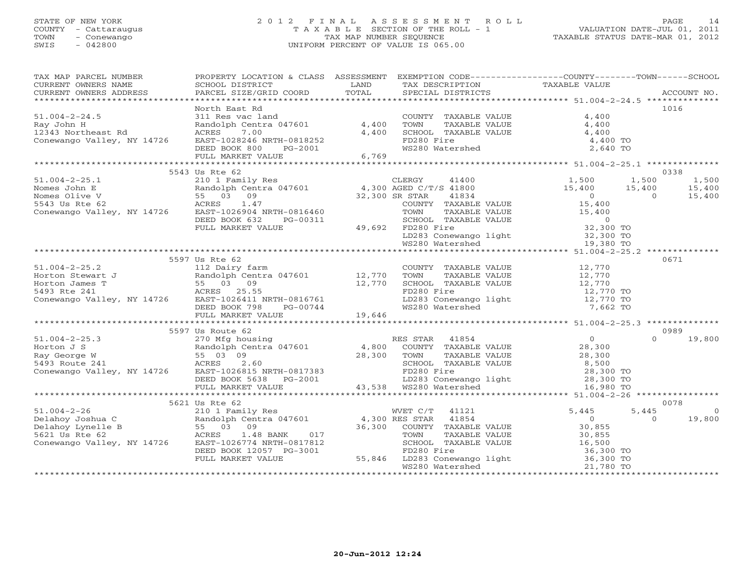## STATE OF NEW YORK 2 0 1 2 F I N A L A S S E S S M E N T R O L L PAGE 14 COUNTY - Cattaraugus T A X A B L E SECTION OF THE ROLL - 1 VALUATION DATE-JUL 01, 2011 TOWN - Conewango TAX MAP NUMBER SEQUENCE TAXABLE STATUS DATE-MAR 01, 2012 SWIS - 042800 UNIFORM PERCENT OF VALUE IS 065.00UNIFORM PERCENT OF VALUE IS 065.00

| TAX MAP PARCEL NUMBER<br>CURRENT OWNERS NAME                                                                                                                                                                                                                                                                                                                                                                                         | PROPERTY LOCATION & CLASS ASSESSMENT<br><b>Example 12 Distribution of the LAND</b><br>SCHOOL DISTRICT                             |        | EXEMPTION CODE-----------------COUNTY-------TOWN------SCHOOL<br>TAX DESCRIPTION TAXABLE VALUE SPECIAL DISTRICTS                               |                                                                                                                                                                            |          |             |
|--------------------------------------------------------------------------------------------------------------------------------------------------------------------------------------------------------------------------------------------------------------------------------------------------------------------------------------------------------------------------------------------------------------------------------------|-----------------------------------------------------------------------------------------------------------------------------------|--------|-----------------------------------------------------------------------------------------------------------------------------------------------|----------------------------------------------------------------------------------------------------------------------------------------------------------------------------|----------|-------------|
| CURRENT OWNERS ADDRESS                                                                                                                                                                                                                                                                                                                                                                                                               | PARCEL SIZE/GRID COORD                                                                                                            | TOTAL  |                                                                                                                                               |                                                                                                                                                                            |          | ACCOUNT NO. |
|                                                                                                                                                                                                                                                                                                                                                                                                                                      | North East Rd                                                                                                                     |        |                                                                                                                                               |                                                                                                                                                                            |          | 1016        |
| $51.004 - 2 - 24.5$                                                                                                                                                                                                                                                                                                                                                                                                                  | 311 Res vac land                                                                                                                  |        | COUNTY TAXABLE VALUE 4,400                                                                                                                    |                                                                                                                                                                            |          |             |
| Ray John H                                                                                                                                                                                                                                                                                                                                                                                                                           | Randolph Centra 047601                                                                                                            | 4,400  | TOWN       TAXABLE  VALUE<br>SCHOOL    TAXABLE  VALUE                                                                                         | 4,400                                                                                                                                                                      |          |             |
| 12343 Northeast Rd                                                                                                                                                                                                                                                                                                                                                                                                                   | ACRES<br>7.00                                                                                                                     | 4,400  |                                                                                                                                               | 4,400                                                                                                                                                                      |          |             |
| Conewango Valley, NY 14726                                                                                                                                                                                                                                                                                                                                                                                                           | EAST-1028246 NRTH-0818252                                                                                                         |        | FD280 Fire                                                                                                                                    | 4,400 TO                                                                                                                                                                   |          |             |
|                                                                                                                                                                                                                                                                                                                                                                                                                                      | DEED BOOK 800<br>PG-2001                                                                                                          |        | WS280 Watershed                                                                                                                               | 2,640 TO                                                                                                                                                                   |          |             |
|                                                                                                                                                                                                                                                                                                                                                                                                                                      | FULL MARKET VALUE                                                                                                                 | 6,769  |                                                                                                                                               |                                                                                                                                                                            |          |             |
|                                                                                                                                                                                                                                                                                                                                                                                                                                      |                                                                                                                                   |        |                                                                                                                                               |                                                                                                                                                                            |          | 0338        |
|                                                                                                                                                                                                                                                                                                                                                                                                                                      | 5543 Us Rte 62                                                                                                                    |        | 41400                                                                                                                                         |                                                                                                                                                                            |          | 1,500       |
| $51.004 - 2 - 25.1$                                                                                                                                                                                                                                                                                                                                                                                                                  | 210 1 Family Res<br>Randolph Centra 047601 (1,300 AGED C/T/S 41800<br>55 03 09 32,300 SR STAR 41834<br>ACRES 1.47 (COUNTY TAXABLE |        |                                                                                                                                               | $\begin{array}{cccc} & 1\, , \, 500 & \quad & 1\, , \, 500 \\ & 15\, , \, 400 & \quad & 15\, , \, 400 \\ & & 0 & \quad & 0 \\ \text{UE} & & & 15\, , \, 400 & \end{array}$ |          |             |
| Nomes John E<br>Nomes Olive V                                                                                                                                                                                                                                                                                                                                                                                                        |                                                                                                                                   |        |                                                                                                                                               |                                                                                                                                                                            |          | 15,400      |
| Randolph Cent<br>55     03      09<br>ACRES       1.47<br>5543 Us Rte 62                                                                                                                                                                                                                                                                                                                                                             | 1.47                                                                                                                              |        | COUNTY TAXABLE VALUE                                                                                                                          |                                                                                                                                                                            |          | 15,400      |
| Conewango Valley, NY 14726 EAST-1026904 NRTH-0816460                                                                                                                                                                                                                                                                                                                                                                                 |                                                                                                                                   |        | TOWN                                                                                                                                          |                                                                                                                                                                            |          |             |
|                                                                                                                                                                                                                                                                                                                                                                                                                                      | DEED BOOK 632<br>PG-00311                                                                                                         |        |                                                                                                                                               | TAXABLE VALUE 15,400                                                                                                                                                       |          |             |
|                                                                                                                                                                                                                                                                                                                                                                                                                                      | FULL MARKET VALUE                                                                                                                 |        |                                                                                                                                               |                                                                                                                                                                            |          |             |
|                                                                                                                                                                                                                                                                                                                                                                                                                                      |                                                                                                                                   |        | 49,692 FD280 Fire                                                                                                                             |                                                                                                                                                                            |          |             |
|                                                                                                                                                                                                                                                                                                                                                                                                                                      |                                                                                                                                   |        | SCHOOL TAXABLE VALUE<br>FD280 Fire 32,300 TO<br>LD283 Conewango light 32,300 TO<br>WS280 Watershed 19,380 TO                                  |                                                                                                                                                                            |          |             |
|                                                                                                                                                                                                                                                                                                                                                                                                                                      |                                                                                                                                   |        |                                                                                                                                               |                                                                                                                                                                            |          |             |
|                                                                                                                                                                                                                                                                                                                                                                                                                                      | 5597 Us Rte 62                                                                                                                    |        |                                                                                                                                               |                                                                                                                                                                            |          | 0671        |
| $51.004 - 2 - 25.2$                                                                                                                                                                                                                                                                                                                                                                                                                  | 112 Dairy farm                                                                                                                    |        | COUNTY TAXABLE VALUE 12,770                                                                                                                   |                                                                                                                                                                            |          |             |
|                                                                                                                                                                                                                                                                                                                                                                                                                                      |                                                                                                                                   |        | TOWN<br>TAXABLE VALUE                                                                                                                         | 12,770                                                                                                                                                                     |          |             |
| Print and the series of the main contract of the main contract of the main contract of the main contract of the main contract of the main contract of the main contract of the main contract of the main contract of the main                                                                                                                                                                                                        |                                                                                                                                   |        | SCHOOL TAXABLE VALUE 12,770                                                                                                                   |                                                                                                                                                                            |          |             |
|                                                                                                                                                                                                                                                                                                                                                                                                                                      |                                                                                                                                   |        | FD280 Fire                                                                                                                                    | 12,770 TO                                                                                                                                                                  |          |             |
|                                                                                                                                                                                                                                                                                                                                                                                                                                      |                                                                                                                                   |        | LD283 Conewango light 12,770 TO                                                                                                               |                                                                                                                                                                            |          |             |
| Conewango Valley, NY 14726 EAST-1026411 NRTH-0816761<br>DEED BOOK 798 PG-00744<br>DEED BOOK 798 PG-00744                                                                                                                                                                                                                                                                                                                             |                                                                                                                                   |        | WS280 Watershed                                                                                                                               | 7,662 TO                                                                                                                                                                   |          |             |
|                                                                                                                                                                                                                                                                                                                                                                                                                                      | FULL MARKET VALUE                                                                                                                 | 19,646 |                                                                                                                                               |                                                                                                                                                                            |          |             |
|                                                                                                                                                                                                                                                                                                                                                                                                                                      |                                                                                                                                   |        |                                                                                                                                               |                                                                                                                                                                            |          |             |
|                                                                                                                                                                                                                                                                                                                                                                                                                                      | 5597 Us Route 62                                                                                                                  |        |                                                                                                                                               |                                                                                                                                                                            |          | 0989        |
|                                                                                                                                                                                                                                                                                                                                                                                                                                      |                                                                                                                                   |        |                                                                                                                                               | $\overline{0}$                                                                                                                                                             | $\cap$   | 19,800      |
|                                                                                                                                                                                                                                                                                                                                                                                                                                      |                                                                                                                                   |        | COUNTY TAXABLE VALUE                                                                                                                          | 28,300                                                                                                                                                                     |          |             |
|                                                                                                                                                                                                                                                                                                                                                                                                                                      |                                                                                                                                   |        | TAXABLE VALUE                                                                                                                                 | 28,300                                                                                                                                                                     |          |             |
|                                                                                                                                                                                                                                                                                                                                                                                                                                      |                                                                                                                                   |        | SCHOOL TAXABLE VALUE                                                                                                                          | 8,500<br>28,300 TO                                                                                                                                                         |          |             |
|                                                                                                                                                                                                                                                                                                                                                                                                                                      |                                                                                                                                   |        |                                                                                                                                               |                                                                                                                                                                            |          |             |
|                                                                                                                                                                                                                                                                                                                                                                                                                                      |                                                                                                                                   |        |                                                                                                                                               |                                                                                                                                                                            |          |             |
|                                                                                                                                                                                                                                                                                                                                                                                                                                      |                                                                                                                                   |        |                                                                                                                                               |                                                                                                                                                                            |          |             |
| $\begin{tabular}{lllllllllllllllllllll} \begin{minipage}{0.93\textwidth} \begin{tabular}{l} \bf{51.004-2-25.3} & \color{red}\begin{tabular}{l} \bf{52.03} & \color{red}\begin{tabular}{l} \bf{53.004-2-25.3} & \color{red}\begin{tabular}{l} \bf{25.045} & \color{red}\begin{tabular}{l} \bf{26.045} & \color{red}\begin{tabular}{l} \bf{27.045} & \color{red}\begin{tabular}{l} \bf{28.045} & \color{red}\begin{tabular}{l} \bf{28$ |                                                                                                                                   |        |                                                                                                                                               |                                                                                                                                                                            |          |             |
|                                                                                                                                                                                                                                                                                                                                                                                                                                      | 5621 Us Rte 62                                                                                                                    |        |                                                                                                                                               |                                                                                                                                                                            |          | 0078        |
| $51.004 - 2 - 26$                                                                                                                                                                                                                                                                                                                                                                                                                    | 210 1 Family Res                                                                                                                  |        | WVET C/T 41121                                                                                                                                | 5,445                                                                                                                                                                      | 5,445    | $\Omega$    |
| Delahoy Joshua C                                                                                                                                                                                                                                                                                                                                                                                                                     | Randolph Centra 047601 4,300 RES STAR                                                                                             |        | 41854                                                                                                                                         | $\overline{0}$                                                                                                                                                             | $\Omega$ | 19,800      |
| Delahoy Lynelle B                                                                                                                                                                                                                                                                                                                                                                                                                    |                                                                                                                                   | 36,300 | COUNTY TAXABLE VALUE                                                                                                                          | 30,855                                                                                                                                                                     |          |             |
| 5621 Us Rte 62                                                                                                                                                                                                                                                                                                                                                                                                                       | 1.48 BANK<br>017<br>EAST-1026774 NRTH-0817812                                                                                     |        | TOWN<br>TAXABLE VALUE                                                                                                                         | 30,855                                                                                                                                                                     |          |             |
| Conewango Valley, NY 14726                                                                                                                                                                                                                                                                                                                                                                                                           | DEED BOOK 12057 PG-3001                                                                                                           |        |                                                                                                                                               |                                                                                                                                                                            |          |             |
|                                                                                                                                                                                                                                                                                                                                                                                                                                      | FULL MARKET VALUE                                                                                                                 |        |                                                                                                                                               |                                                                                                                                                                            |          |             |
|                                                                                                                                                                                                                                                                                                                                                                                                                                      |                                                                                                                                   |        | SCHOOL TAXABLE VALUE 16,500<br>FD280 Fire 36,300 TO<br>55,846 LD283 Conewango light 36,300 TO<br>WS280 Watershed 21,780 TO<br>WS280 Watershed | 21,780 TO                                                                                                                                                                  |          |             |
|                                                                                                                                                                                                                                                                                                                                                                                                                                      |                                                                                                                                   |        |                                                                                                                                               |                                                                                                                                                                            |          |             |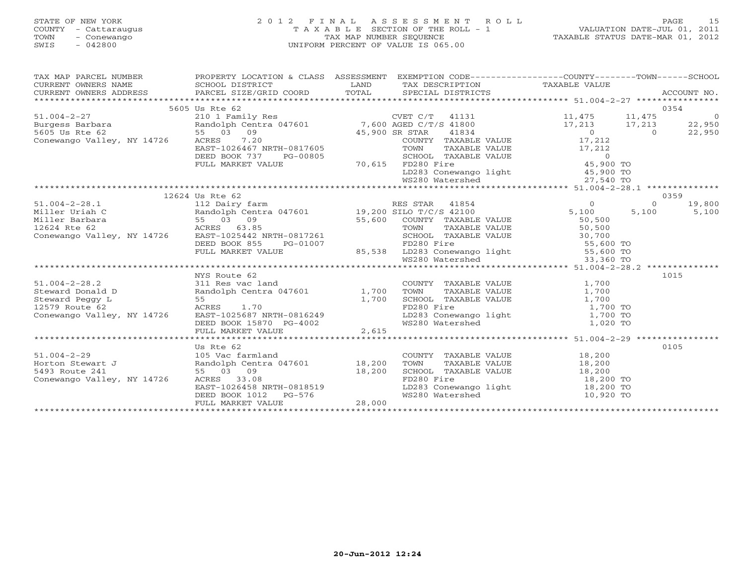## STATE OF NEW YORK 2 0 1 2 F I N A L A S S E S S M E N T R O L L PAGE 15 COUNTY - Cattaraugus T A X A B L E SECTION OF THE ROLL - 1 VALUATION DATE-JUL 01, 2011 TOWN - Conewango TAX MAP NUMBER SEQUENCE TAXABLE STATUS DATE-MAR 01, 2012 SWIS - 042800 UNIFORM PERCENT OF VALUE IS 065.00UNIFORM PERCENT OF VALUE IS 065.00

| $\begin{tabular}{lllllllll} \textsc{rank} & \textsc{map} & \textsc{papp} & \textsc{prop} & \textsc{prop} & \textsc{papp} \\ \textsc{cur}= & \textsc{papp} & \textsc{prop} & \textsc{prop} & \textsc{papp} \\ \textsc{cur}= & \textsc{papp} & \textsc{papp} & \textsc{papp} & \textsc{papp} \\ \textsc{cur}= & \textsc{papp} & \textsc{papp} & \textsc{papp} & \textsc{papp} \\ \textsc{papp} & \textsc{papp} & \textsc{papp} & \textsc{papp} & \textsc{papp} \\ \textsc{papp} & \$ |                 |  |                                                                                                                                                                                          |           |                 |
|------------------------------------------------------------------------------------------------------------------------------------------------------------------------------------------------------------------------------------------------------------------------------------------------------------------------------------------------------------------------------------------------------------------------------------------------------------------------------------|-----------------|--|------------------------------------------------------------------------------------------------------------------------------------------------------------------------------------------|-----------|-----------------|
|                                                                                                                                                                                                                                                                                                                                                                                                                                                                                    |                 |  |                                                                                                                                                                                          |           |                 |
|                                                                                                                                                                                                                                                                                                                                                                                                                                                                                    |                 |  |                                                                                                                                                                                          |           |                 |
|                                                                                                                                                                                                                                                                                                                                                                                                                                                                                    |                 |  |                                                                                                                                                                                          |           |                 |
|                                                                                                                                                                                                                                                                                                                                                                                                                                                                                    | 5605 Us Rte 62  |  |                                                                                                                                                                                          |           | 0354            |
|                                                                                                                                                                                                                                                                                                                                                                                                                                                                                    |                 |  |                                                                                                                                                                                          |           |                 |
|                                                                                                                                                                                                                                                                                                                                                                                                                                                                                    |                 |  |                                                                                                                                                                                          |           |                 |
|                                                                                                                                                                                                                                                                                                                                                                                                                                                                                    |                 |  |                                                                                                                                                                                          |           |                 |
|                                                                                                                                                                                                                                                                                                                                                                                                                                                                                    |                 |  |                                                                                                                                                                                          |           |                 |
|                                                                                                                                                                                                                                                                                                                                                                                                                                                                                    |                 |  |                                                                                                                                                                                          |           |                 |
|                                                                                                                                                                                                                                                                                                                                                                                                                                                                                    |                 |  |                                                                                                                                                                                          |           |                 |
|                                                                                                                                                                                                                                                                                                                                                                                                                                                                                    |                 |  |                                                                                                                                                                                          |           |                 |
|                                                                                                                                                                                                                                                                                                                                                                                                                                                                                    |                 |  |                                                                                                                                                                                          |           |                 |
|                                                                                                                                                                                                                                                                                                                                                                                                                                                                                    |                 |  |                                                                                                                                                                                          |           |                 |
| $\begin{tabular}{lllllllllllllllllllll} \text{50.5 U1 & Rem & 5605 US Rte & 62 & 5605 US Rte & 62 & 5605 US Rte & 62 & 5605 US Rte & 62 & 5605 US Rte & 62 & 5605 US Rte & 62 & 5605 US Rte & 62 & 5605 US Rte & 62 & 5605 US Rte & 62 & 5605 US Rte & 62 & 5605 US Rte & 62 & 5605 US Rte & 62 & 5605 US Rte & 62 & 5605 US Rte & 62 & 5605 US R$                                                                                                                                 |                 |  |                                                                                                                                                                                          |           |                 |
|                                                                                                                                                                                                                                                                                                                                                                                                                                                                                    | 12624 Us Rte 62 |  |                                                                                                                                                                                          | $\bigcap$ | 0359<br>19,800  |
|                                                                                                                                                                                                                                                                                                                                                                                                                                                                                    |                 |  |                                                                                                                                                                                          |           | $5,100$ $5,100$ |
|                                                                                                                                                                                                                                                                                                                                                                                                                                                                                    |                 |  |                                                                                                                                                                                          |           |                 |
|                                                                                                                                                                                                                                                                                                                                                                                                                                                                                    |                 |  |                                                                                                                                                                                          |           |                 |
|                                                                                                                                                                                                                                                                                                                                                                                                                                                                                    |                 |  |                                                                                                                                                                                          |           |                 |
|                                                                                                                                                                                                                                                                                                                                                                                                                                                                                    |                 |  |                                                                                                                                                                                          |           |                 |
|                                                                                                                                                                                                                                                                                                                                                                                                                                                                                    |                 |  |                                                                                                                                                                                          |           |                 |
|                                                                                                                                                                                                                                                                                                                                                                                                                                                                                    |                 |  |                                                                                                                                                                                          |           |                 |
|                                                                                                                                                                                                                                                                                                                                                                                                                                                                                    |                 |  |                                                                                                                                                                                          |           |                 |
|                                                                                                                                                                                                                                                                                                                                                                                                                                                                                    | NYS Route 62    |  |                                                                                                                                                                                          |           | 1015            |
|                                                                                                                                                                                                                                                                                                                                                                                                                                                                                    |                 |  |                                                                                                                                                                                          |           |                 |
|                                                                                                                                                                                                                                                                                                                                                                                                                                                                                    |                 |  |                                                                                                                                                                                          |           |                 |
|                                                                                                                                                                                                                                                                                                                                                                                                                                                                                    |                 |  |                                                                                                                                                                                          |           |                 |
|                                                                                                                                                                                                                                                                                                                                                                                                                                                                                    |                 |  |                                                                                                                                                                                          |           |                 |
|                                                                                                                                                                                                                                                                                                                                                                                                                                                                                    |                 |  |                                                                                                                                                                                          |           |                 |
|                                                                                                                                                                                                                                                                                                                                                                                                                                                                                    |                 |  |                                                                                                                                                                                          |           |                 |
|                                                                                                                                                                                                                                                                                                                                                                                                                                                                                    |                 |  |                                                                                                                                                                                          |           |                 |
|                                                                                                                                                                                                                                                                                                                                                                                                                                                                                    |                 |  |                                                                                                                                                                                          |           |                 |
|                                                                                                                                                                                                                                                                                                                                                                                                                                                                                    | Us Rte 62       |  |                                                                                                                                                                                          |           | 0105            |
|                                                                                                                                                                                                                                                                                                                                                                                                                                                                                    |                 |  | COUNTY TAXABLE VALUE 18,200                                                                                                                                                              |           |                 |
|                                                                                                                                                                                                                                                                                                                                                                                                                                                                                    |                 |  |                                                                                                                                                                                          |           |                 |
|                                                                                                                                                                                                                                                                                                                                                                                                                                                                                    |                 |  |                                                                                                                                                                                          |           |                 |
|                                                                                                                                                                                                                                                                                                                                                                                                                                                                                    |                 |  |                                                                                                                                                                                          |           |                 |
|                                                                                                                                                                                                                                                                                                                                                                                                                                                                                    |                 |  |                                                                                                                                                                                          |           |                 |
| 51.004-2-29<br>Horton Stewart J<br>Horton Stewart J<br>Say Route 241<br>Conewango Valley, NY 14726<br>Conewango Valley, NY 14726<br>Conewango Valley, NY 14726<br>Coneware Base 33.08<br>EAST-1026458<br>EAST-1026458<br>NRTH-0818519<br>DEED BOOK                                                                                                                                                                                                                                 |                 |  | TOWN TAXABLE VALUE<br>SCHOOL TAXABLE VALUE<br>SCHOOL TAXABLE VALUE<br>TOWN TAXABLE VALUE<br>18,200 TO<br>IS 200 TO<br>LD283 Conewango light<br>18,200 TO<br>MS280 Watershed<br>10,920 TO |           |                 |
|                                                                                                                                                                                                                                                                                                                                                                                                                                                                                    |                 |  |                                                                                                                                                                                          |           |                 |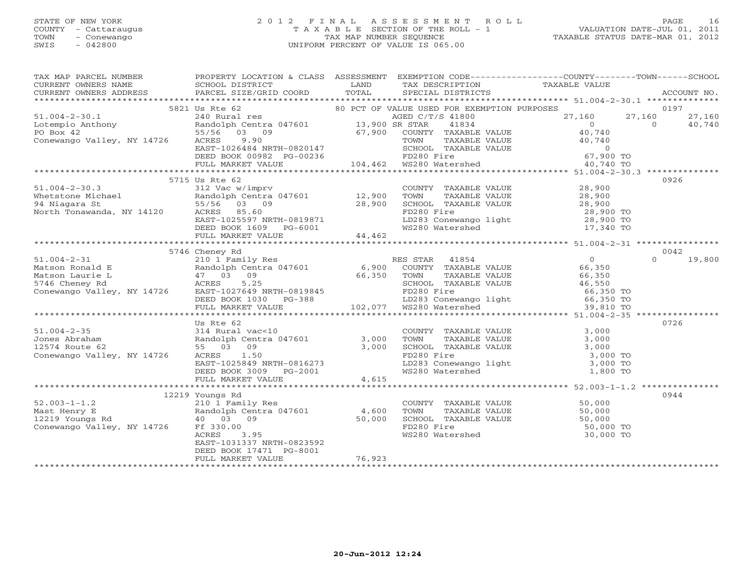#### STATE OF NEW YORK 2 0 1 2 F I N A L A S S E S S M E N T R O L L PAGE 16 COUNTY - Cattaraugus T A X A B L E SECTION OF THE ROLL - 1 VALUATION DATE-JUL 01, 2011 TOWN - Conewango TAX MAP NUMBER SEQUENCE TAXABLE STATUS DATE-MAR 01, 2012 SWIS - 042800 UNIFORM PERCENT OF VALUE IS 065.00UNIFORM PERCENT OF VALUE IS 065.00

| $\begin{tabular}{c cccccc} \multicolumn{4}{c }{\textbf{5821}} & \multicolumn{4}{c }{5821} & \multicolumn{4}{c }{5821} & \multicolumn{4}{c }{5821} & \multicolumn{4}{c }{5821} & \multicolumn{4}{c }{5821} & \multicolumn{4}{c }{5821} & \multicolumn{4}{c }{5821} & \multicolumn{4}{c }{5821} & \multicolumn{4}{c }{5821} & \multicolumn{4}{c }{5821} & \multicolumn{4}{c }{5821} & \multicolumn{4}{c }{582$ |                                              |        |  |               |
|--------------------------------------------------------------------------------------------------------------------------------------------------------------------------------------------------------------------------------------------------------------------------------------------------------------------------------------------------------------------------------------------------------------|----------------------------------------------|--------|--|---------------|
|                                                                                                                                                                                                                                                                                                                                                                                                              |                                              |        |  |               |
|                                                                                                                                                                                                                                                                                                                                                                                                              |                                              |        |  |               |
|                                                                                                                                                                                                                                                                                                                                                                                                              |                                              |        |  |               |
|                                                                                                                                                                                                                                                                                                                                                                                                              |                                              |        |  |               |
|                                                                                                                                                                                                                                                                                                                                                                                                              |                                              |        |  |               |
|                                                                                                                                                                                                                                                                                                                                                                                                              |                                              |        |  |               |
|                                                                                                                                                                                                                                                                                                                                                                                                              |                                              |        |  |               |
|                                                                                                                                                                                                                                                                                                                                                                                                              | 5715 Us Rte 62                               |        |  | 0926          |
|                                                                                                                                                                                                                                                                                                                                                                                                              |                                              |        |  |               |
|                                                                                                                                                                                                                                                                                                                                                                                                              |                                              |        |  |               |
|                                                                                                                                                                                                                                                                                                                                                                                                              |                                              |        |  |               |
|                                                                                                                                                                                                                                                                                                                                                                                                              |                                              |        |  |               |
|                                                                                                                                                                                                                                                                                                                                                                                                              |                                              |        |  |               |
|                                                                                                                                                                                                                                                                                                                                                                                                              |                                              |        |  |               |
|                                                                                                                                                                                                                                                                                                                                                                                                              |                                              |        |  |               |
|                                                                                                                                                                                                                                                                                                                                                                                                              |                                              |        |  |               |
|                                                                                                                                                                                                                                                                                                                                                                                                              | 5746 Cheney Rd                               |        |  | 0042          |
|                                                                                                                                                                                                                                                                                                                                                                                                              |                                              |        |  | $0 \t 19,800$ |
|                                                                                                                                                                                                                                                                                                                                                                                                              |                                              |        |  |               |
|                                                                                                                                                                                                                                                                                                                                                                                                              |                                              |        |  |               |
|                                                                                                                                                                                                                                                                                                                                                                                                              |                                              |        |  |               |
|                                                                                                                                                                                                                                                                                                                                                                                                              |                                              |        |  |               |
|                                                                                                                                                                                                                                                                                                                                                                                                              |                                              |        |  |               |
|                                                                                                                                                                                                                                                                                                                                                                                                              |                                              |        |  |               |
|                                                                                                                                                                                                                                                                                                                                                                                                              | Us Rte 62                                    |        |  | 0726          |
|                                                                                                                                                                                                                                                                                                                                                                                                              | $314$ Rural vac<10                           |        |  |               |
|                                                                                                                                                                                                                                                                                                                                                                                                              |                                              |        |  |               |
|                                                                                                                                                                                                                                                                                                                                                                                                              |                                              |        |  |               |
|                                                                                                                                                                                                                                                                                                                                                                                                              |                                              |        |  |               |
|                                                                                                                                                                                                                                                                                                                                                                                                              |                                              |        |  |               |
| $\begin{array}{cccccccc} 51.004-2-35 & & & & & & 08 \times 10 & & & & & & 08 \times 10 & & & & & & 08 \times 10 & & & & & & 08 \times 10 & & & & & & 08 \times 10 & & & & & 08 \times 10 & & & & & & 08 \times 10 & & & & & & 08 \times 10 & & & & & & 08 \times 10 & & & & & & 08 \times 10 & & & & & & 08 \times 10 & & & & & & 08 \times 10 & & & & & & 08 \times 10 & & & & & & 08 \times 10 & & & & &$  |                                              |        |  |               |
|                                                                                                                                                                                                                                                                                                                                                                                                              |                                              |        |  |               |
|                                                                                                                                                                                                                                                                                                                                                                                                              | 12219 Youngs Rd                              |        |  | 0944          |
|                                                                                                                                                                                                                                                                                                                                                                                                              |                                              |        |  |               |
|                                                                                                                                                                                                                                                                                                                                                                                                              |                                              |        |  |               |
|                                                                                                                                                                                                                                                                                                                                                                                                              |                                              |        |  |               |
|                                                                                                                                                                                                                                                                                                                                                                                                              |                                              |        |  |               |
| 12219 Youngs Rd<br>12219 Youngs Rd<br>210 1 Family Res<br>210 1 Family Res<br>210 1 Family Res<br>210 1 Family Res<br>210 1 Family Res<br>210 1 Family Res<br>210 1 Family Res<br>210 1 Family Res<br>210 1 Family Res<br>210 1 Family Res<br>210 1 Fa                                                                                                                                                       |                                              |        |  |               |
|                                                                                                                                                                                                                                                                                                                                                                                                              | EAST-1031337 NRTH-0823592                    |        |  |               |
|                                                                                                                                                                                                                                                                                                                                                                                                              | DEED BOOK 17471 PG-8001<br>FULL MARKET VALUE | 76,923 |  |               |
|                                                                                                                                                                                                                                                                                                                                                                                                              |                                              |        |  |               |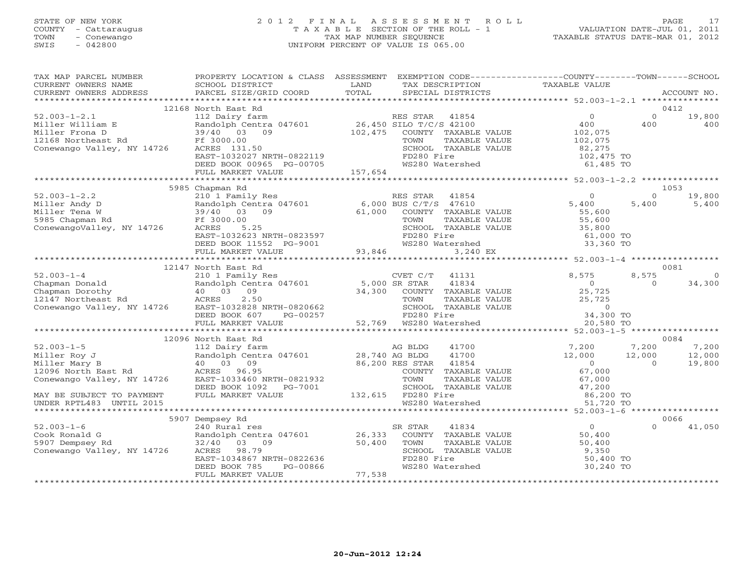## STATE OF NEW YORK 2 0 1 2 F I N A L A S S E S S M E N T R O L L PAGE 17 COUNTY - Cattaraugus T A X A B L E SECTION OF THE ROLL - 1 VALUATION DATE-JUL 01, 2011 TOWN - Conewango TAX MAP NUMBER SEQUENCE TAXABLE STATUS DATE-MAR 01, 2012 SWIS - 042800 UNIFORM PERCENT OF VALUE IS 065.00UNIFORM PERCENT OF VALUE IS 065.00

| TAX MAP PARCEL NUMBER<br>CURRENT OWNERS NAME<br>CURRENT OWNERS ADDRESS                                                                                                                                                                                                                                                  | PROPERTY LOCATION & CLASS ASSESSMENT EXEMPTION CODE---------------COUNTY-------TOWN------SCHOOL<br>SCHOOL DISTRICT<br>PARCEL SIZE/GRID COORD                                                                                                                             | LAND<br>TOTAL | TAX DESCRIPTION<br>SPECIAL DISTRICTS                                                                                       | TAXABLE VALUE                                                                         |                                   | ACCOUNT NO.                       |
|-------------------------------------------------------------------------------------------------------------------------------------------------------------------------------------------------------------------------------------------------------------------------------------------------------------------------|--------------------------------------------------------------------------------------------------------------------------------------------------------------------------------------------------------------------------------------------------------------------------|---------------|----------------------------------------------------------------------------------------------------------------------------|---------------------------------------------------------------------------------------|-----------------------------------|-----------------------------------|
|                                                                                                                                                                                                                                                                                                                         |                                                                                                                                                                                                                                                                          |               |                                                                                                                            |                                                                                       |                                   |                                   |
|                                                                                                                                                                                                                                                                                                                         | 12168 North East Rd                                                                                                                                                                                                                                                      |               |                                                                                                                            |                                                                                       |                                   | 0412                              |
| $52.003 - 1 - 2.1$<br>Miller William E Randolph Centra<br>Miller Frona D 39/40 03 09<br>12168 Northeast Rd Ff 3000.00<br>Conewango Valley, NY 14726                                                                                                                                                                     | North East Rue<br>112 Dairy farm<br>Randolph Centra 047601 26,450 SILO T/C/S 42100<br>39/40 03 09 102,475 COUNTY TAXABLE<br>Ff 3000.00<br>ACRES 131.50<br>EAST-1032027 NRTH-0822119<br>DEED BOOK 00965 PG-00705<br>ACRES 131.50                                          |               | COUNTY TAXABLE VALUE<br>TOWN<br>TAXABLE VALUE<br>SCHOOL TAXABLE VALUE<br>FD280 Fire<br>WS280 Watershed                     | $\overline{0}$<br>400<br>102,075<br>102,075<br>82,275<br>102,475 TO<br>$61,485$ TO    | $\Omega$<br>400                   | 19,800<br>400                     |
|                                                                                                                                                                                                                                                                                                                         | FULL MARKET VALUE                                                                                                                                                                                                                                                        | 157,654       |                                                                                                                            |                                                                                       |                                   |                                   |
|                                                                                                                                                                                                                                                                                                                         | 5985 Chapman Rd                                                                                                                                                                                                                                                          |               |                                                                                                                            |                                                                                       |                                   | 1053                              |
| $52.003 - 1 - 2.2$<br>Miller Andy D<br>Miller Tena W<br>Miller Tena W<br>5985 Chapman Rd<br>ConewangoValley, NY 14726<br>ACRES 5.25                                                                                                                                                                                     | Chapman Kd<br>210 1 Family Res<br>Randolph Centra 047601 6,000 BUS C/T/S 47610<br>39/40 03 09 61,000 COUNTY TAXABLE VALUE<br>TOWN TAXABLE VALUE<br>FT 3000.00<br>ACRES 5.25<br>EAST-1032623 NRTH-0823597<br>DEED BOOK 11552 PG-9001 WS280 WE<br>FULL MARKET VALUE 93,846 |               | TOWN<br>TAXABLE VALUE<br>SCHOOL TAXABLE VALUE 55, 600<br>FD280 Fire 61, 000 TO<br>WS280 Watershed 33, 360 TO<br>33, 360 TO | $\begin{array}{c} 0 \\ 5\, , \, 4\,0\,0 \\ 5\,5\, , \, 6\,0\,0 \end{array}$<br>55,600 | $\Omega$<br>5,400                 | 19,800<br>5,400                   |
|                                                                                                                                                                                                                                                                                                                         |                                                                                                                                                                                                                                                                          |               | 3,240 EX                                                                                                                   |                                                                                       |                                   |                                   |
|                                                                                                                                                                                                                                                                                                                         |                                                                                                                                                                                                                                                                          |               |                                                                                                                            |                                                                                       |                                   |                                   |
|                                                                                                                                                                                                                                                                                                                         | 12147 North East Rd                                                                                                                                                                                                                                                      |               |                                                                                                                            |                                                                                       |                                   | 0081                              |
|                                                                                                                                                                                                                                                                                                                         |                                                                                                                                                                                                                                                                          |               |                                                                                                                            |                                                                                       | 8,575<br>$\Omega$                 | $\overline{0}$<br>34,300          |
|                                                                                                                                                                                                                                                                                                                         |                                                                                                                                                                                                                                                                          |               |                                                                                                                            |                                                                                       |                                   |                                   |
|                                                                                                                                                                                                                                                                                                                         |                                                                                                                                                                                                                                                                          |               |                                                                                                                            |                                                                                       |                                   |                                   |
| $\begin{tabular}{lllllllllllll} \mbox{\emph{\small 12} & $1.2$ & $1.2$ & $1.2$ & $1.2$ & $1.2$ & $1.2$ & $1.2$ & $1.2$ & $1.2$ & $1.2$ & $1.2$ & $1.2$ & $1.2$ & $1.2$ & $1.2$ & $1.2$ & $1.2$ & $1.2$ & $1.2$ & $1.20$ & $1.20$ & $1.20$ & $1.20$ & $1.20$ & $1.20$ & $1.20$ & $1.20$ & $1.20$ & $1.20$ & $1.20$ & $1$ | 12096 North East Rd                                                                                                                                                                                                                                                      |               | 41700<br>41700<br>41700<br>$-0.770$ Age and $-0.7100$<br>86,200 RES STAR 41854                                             | $7,200$<br>$12,000$<br>$0$                                                            | 7,200<br>12,000<br>$\overline{0}$ | 0084<br>7,200<br>12,000<br>19,800 |
| Conewango Valley, NY 14726                                                                                                                                                                                                                                                                                              | EAST-1033460 NKTH-voal<br>DEED BOOK 1092 PG-7001 SCHOOL 1002<br>The Meth Mater 132,615 FD280 Fire                                                                                                                                                                        |               | COUNTY TAXABLE VALUE<br>TAXABLE VALUE<br>SCHOOL TAXABLE VALUE 47,200                                                       | 67,000<br>67,000                                                                      |                                   |                                   |
| MAY BE SUBJECT TO PAYMENT<br>UNDER RPTL483 UNTIL 2015                                                                                                                                                                                                                                                                   |                                                                                                                                                                                                                                                                          |               | WS280 Watershed                                                                                                            | 86,200 TO<br>51,720 TO                                                                |                                   |                                   |
|                                                                                                                                                                                                                                                                                                                         | 5907 Dempsey Rd                                                                                                                                                                                                                                                          |               |                                                                                                                            |                                                                                       |                                   | 0066                              |
| $52.003 - 1 - 6$                                                                                                                                                                                                                                                                                                        | 240 Rural res<br>Randolph Centra 047601 26,333 COUNTY TAXABLE VALUE<br>32/40 03 09 50,400 TOWN TAXABLE VALUE<br>EAST-1034867 NRTH-0822636<br>DEED BOOK 785 PG-00866<br>FIILL MARKET *****--<br>FULL MARKET VALUE                                                         | 77,538        | 41834<br>SR STAR<br>SCHOOL TAXABLE VALUE<br>FD280 Fire<br>WS280 Watershed                                                  | $\overline{0}$<br>$50,400$<br>$50,400$<br>50,400<br>9,350<br>50,400 TO<br>30,240 TO   | $\Omega$                          | 41,050                            |
|                                                                                                                                                                                                                                                                                                                         |                                                                                                                                                                                                                                                                          |               |                                                                                                                            |                                                                                       |                                   |                                   |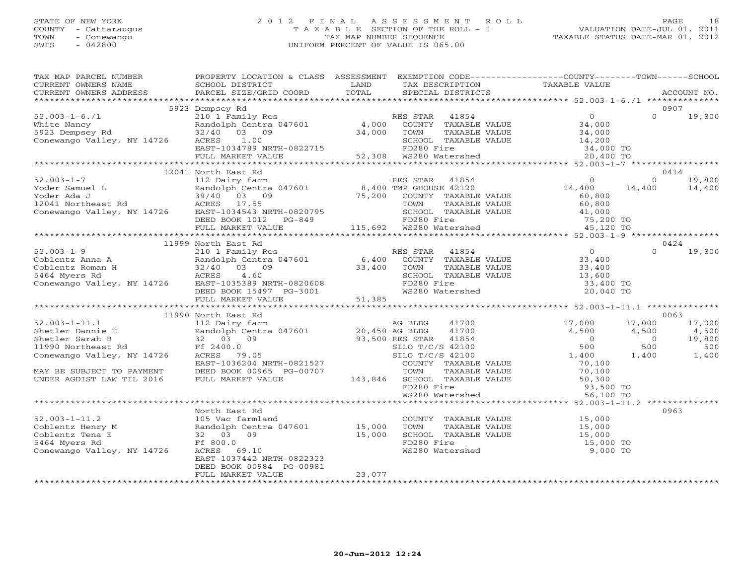## STATE OF NEW YORK 2 0 1 2 F I N A L A S S E S S M E N T R O L L PAGE 18 COUNTY - Cattaraugus T A X A B L E SECTION OF THE ROLL - 1 VALUATION DATE-JUL 01, 2011 TOWN - Conewango TAX MAP NUMBER SEQUENCE TAXABLE STATUS DATE-MAR 01, 2012 SWIS - 042800 UNIFORM PERCENT OF VALUE IS 065.00UNIFORM PERCENT OF VALUE IS 065.00

| TAX MAP PARCEL NUMBER<br>TAXING PARCEL SCHOOL DISTRICT CORD TO ADDEDENTIAL EXAMPLE TO TAXABLE VALUE<br>CURRENT OWNERS NAME SCHOOL DISTRICT TO TAXING THE TRANSFORM TAXABLE VALUE<br>CURRENT OWNERS ADDRESS PARCEL SIZE/GRID COORD TOTAL SPECIAL DISTRICTS ACC                                                                                                                                                            | PROPERTY LOCATION & CLASS ASSESSMENT EXEMPTION CODE---------------COUNTY-------TOWN------SCHOOL |        |                                                                                                                                                                                                                                                          |                                                                                                                       |
|--------------------------------------------------------------------------------------------------------------------------------------------------------------------------------------------------------------------------------------------------------------------------------------------------------------------------------------------------------------------------------------------------------------------------|-------------------------------------------------------------------------------------------------|--------|----------------------------------------------------------------------------------------------------------------------------------------------------------------------------------------------------------------------------------------------------------|-----------------------------------------------------------------------------------------------------------------------|
|                                                                                                                                                                                                                                                                                                                                                                                                                          |                                                                                                 |        |                                                                                                                                                                                                                                                          |                                                                                                                       |
|                                                                                                                                                                                                                                                                                                                                                                                                                          | 5923 Dempsey Rd                                                                                 |        |                                                                                                                                                                                                                                                          | 0907                                                                                                                  |
| 52.003-1-6./1<br>White Nancy<br>White Nancy<br>Mite Nancy<br>Ramburg Rd<br>20,400 OS 09 34,000 COUNTY TAXABLE VALUE<br>24,000 COUNTY TAXABLE VALUE<br>24,000 COUNTY TAXABLE VALUE<br>24,000 COUNTY TAXABLE VALUE<br>24,000 COUNTY TAXABLE VALUE<br>                                                                                                                                                                      |                                                                                                 |        |                                                                                                                                                                                                                                                          | $\Omega$<br>19,800                                                                                                    |
|                                                                                                                                                                                                                                                                                                                                                                                                                          |                                                                                                 |        |                                                                                                                                                                                                                                                          |                                                                                                                       |
|                                                                                                                                                                                                                                                                                                                                                                                                                          |                                                                                                 |        |                                                                                                                                                                                                                                                          |                                                                                                                       |
|                                                                                                                                                                                                                                                                                                                                                                                                                          |                                                                                                 |        |                                                                                                                                                                                                                                                          |                                                                                                                       |
|                                                                                                                                                                                                                                                                                                                                                                                                                          |                                                                                                 |        |                                                                                                                                                                                                                                                          |                                                                                                                       |
|                                                                                                                                                                                                                                                                                                                                                                                                                          |                                                                                                 |        |                                                                                                                                                                                                                                                          |                                                                                                                       |
|                                                                                                                                                                                                                                                                                                                                                                                                                          | 12041 North East Rd                                                                             |        |                                                                                                                                                                                                                                                          | 0414                                                                                                                  |
| $\begin{tabular}{lllllllllllll} \text{52.003--1--7} & \text{12.041 NOTL RES STR} & \text{RES STR} & \text{41854} & 0 \\ & 112 Dairy farm & \text{RES STR} & \text{41854} & 0 \\ \text{Yoder Samuel L} & 39/40 & 03 & 09 & 75,200 & \text{COUNTY} & \text{TXABLE VALUE} & 60,800 \\ \text{12041 Northeast Rd} & \text{ACRES} & 17.55 & & \text{TOMN} & \text{TXABLE VALUE} & 60,800 \\ \text{Conewango Valley, NY 14726}$ |                                                                                                 |        |                                                                                                                                                                                                                                                          | $0 \t 19,800$                                                                                                         |
|                                                                                                                                                                                                                                                                                                                                                                                                                          |                                                                                                 |        |                                                                                                                                                                                                                                                          | 14,400<br>14,400                                                                                                      |
|                                                                                                                                                                                                                                                                                                                                                                                                                          |                                                                                                 |        |                                                                                                                                                                                                                                                          |                                                                                                                       |
|                                                                                                                                                                                                                                                                                                                                                                                                                          |                                                                                                 |        |                                                                                                                                                                                                                                                          |                                                                                                                       |
|                                                                                                                                                                                                                                                                                                                                                                                                                          |                                                                                                 |        |                                                                                                                                                                                                                                                          |                                                                                                                       |
|                                                                                                                                                                                                                                                                                                                                                                                                                          |                                                                                                 |        |                                                                                                                                                                                                                                                          |                                                                                                                       |
|                                                                                                                                                                                                                                                                                                                                                                                                                          |                                                                                                 |        |                                                                                                                                                                                                                                                          |                                                                                                                       |
|                                                                                                                                                                                                                                                                                                                                                                                                                          |                                                                                                 |        |                                                                                                                                                                                                                                                          |                                                                                                                       |
|                                                                                                                                                                                                                                                                                                                                                                                                                          | 11999 North East Rd                                                                             |        |                                                                                                                                                                                                                                                          | 0424                                                                                                                  |
|                                                                                                                                                                                                                                                                                                                                                                                                                          |                                                                                                 |        |                                                                                                                                                                                                                                                          | $0 \t 19,800$                                                                                                         |
|                                                                                                                                                                                                                                                                                                                                                                                                                          |                                                                                                 |        |                                                                                                                                                                                                                                                          |                                                                                                                       |
|                                                                                                                                                                                                                                                                                                                                                                                                                          |                                                                                                 |        |                                                                                                                                                                                                                                                          |                                                                                                                       |
|                                                                                                                                                                                                                                                                                                                                                                                                                          |                                                                                                 |        |                                                                                                                                                                                                                                                          |                                                                                                                       |
|                                                                                                                                                                                                                                                                                                                                                                                                                          |                                                                                                 |        |                                                                                                                                                                                                                                                          |                                                                                                                       |
|                                                                                                                                                                                                                                                                                                                                                                                                                          |                                                                                                 |        |                                                                                                                                                                                                                                                          |                                                                                                                       |
| $\begin{tabular}{lllllllllllll} \text{52.003--1-9} & & & & & & & 11999\text{ North East Rd} & & & & & \text{RES STAR} & 41854 & & & & 0 \\ \text{Coblentz Anna A} & & & & & & & & \text{Randolph Centra 047601} & & & & & 6,400\text{ COUNTY TAXABLE VALUE} & & & 33,400\text{Coblentz Roman H} & & & 32/40\text{ O3} & 09 & & 33,400\text{ TOWN TAXABLE VALUE} & & 33,400\text{5464 Myers Rd} & & & & & & \text$        |                                                                                                 |        |                                                                                                                                                                                                                                                          |                                                                                                                       |
|                                                                                                                                                                                                                                                                                                                                                                                                                          |                                                                                                 |        |                                                                                                                                                                                                                                                          |                                                                                                                       |
|                                                                                                                                                                                                                                                                                                                                                                                                                          | 11990 North East Rd                                                                             |        |                                                                                                                                                                                                                                                          | 0063                                                                                                                  |
|                                                                                                                                                                                                                                                                                                                                                                                                                          |                                                                                                 |        |                                                                                                                                                                                                                                                          | 17,000<br>17,000                                                                                                      |
|                                                                                                                                                                                                                                                                                                                                                                                                                          |                                                                                                 |        |                                                                                                                                                                                                                                                          |                                                                                                                       |
|                                                                                                                                                                                                                                                                                                                                                                                                                          |                                                                                                 |        |                                                                                                                                                                                                                                                          | $\begin{array}{cccc} 4,500 & 4,500 & -4,500 \ 0 & 0 & 19,800 \ 500 & 500 & 1,400 \ 1,400 & 1,400 & 1,400 \end{array}$ |
|                                                                                                                                                                                                                                                                                                                                                                                                                          |                                                                                                 |        |                                                                                                                                                                                                                                                          |                                                                                                                       |
|                                                                                                                                                                                                                                                                                                                                                                                                                          |                                                                                                 |        |                                                                                                                                                                                                                                                          |                                                                                                                       |
|                                                                                                                                                                                                                                                                                                                                                                                                                          |                                                                                                 |        |                                                                                                                                                                                                                                                          |                                                                                                                       |
|                                                                                                                                                                                                                                                                                                                                                                                                                          |                                                                                                 |        |                                                                                                                                                                                                                                                          |                                                                                                                       |
|                                                                                                                                                                                                                                                                                                                                                                                                                          |                                                                                                 |        |                                                                                                                                                                                                                                                          |                                                                                                                       |
|                                                                                                                                                                                                                                                                                                                                                                                                                          |                                                                                                 |        |                                                                                                                                                                                                                                                          |                                                                                                                       |
|                                                                                                                                                                                                                                                                                                                                                                                                                          |                                                                                                 |        |                                                                                                                                                                                                                                                          |                                                                                                                       |
|                                                                                                                                                                                                                                                                                                                                                                                                                          | North East Rd                                                                                   |        |                                                                                                                                                                                                                                                          | 0963                                                                                                                  |
|                                                                                                                                                                                                                                                                                                                                                                                                                          |                                                                                                 |        |                                                                                                                                                                                                                                                          |                                                                                                                       |
| 52.003-1-11.2<br>Coblentz Henry M<br>Coblentz Tena E 32 03 09<br>5464 Myers Rd Ff 800.0<br>Conewango Valley, NY 14726<br>Conewango Valley, NY 14726<br>Conewango Valley, NY 14726<br>Conewango Valley, NY 14726<br>Conewango Valley, NY 14726<br>                                                                                                                                                                        |                                                                                                 |        | COUNTY TAXABLE VALUE<br>TOWN TAXABLE VALUE<br>SCHOOL TAXABLE VALUE<br>FD280 Fire<br>WS280 Watershed<br>TO 15,000 TO<br>9,000 TO<br>PO280 Watershed<br>PO280 Watershed<br>PO280 Watershed<br>PO280 Watershed<br>PO280 Matershed<br>PO280 Matershed<br>PO2 |                                                                                                                       |
|                                                                                                                                                                                                                                                                                                                                                                                                                          |                                                                                                 |        |                                                                                                                                                                                                                                                          |                                                                                                                       |
|                                                                                                                                                                                                                                                                                                                                                                                                                          |                                                                                                 |        |                                                                                                                                                                                                                                                          |                                                                                                                       |
|                                                                                                                                                                                                                                                                                                                                                                                                                          |                                                                                                 |        |                                                                                                                                                                                                                                                          |                                                                                                                       |
|                                                                                                                                                                                                                                                                                                                                                                                                                          | EAST-1037442 NRTH-0822323                                                                       |        |                                                                                                                                                                                                                                                          |                                                                                                                       |
|                                                                                                                                                                                                                                                                                                                                                                                                                          | DEED BOOK 00984 PG-00981<br>FULL MARKET VALUE                                                   | 23,077 |                                                                                                                                                                                                                                                          |                                                                                                                       |
|                                                                                                                                                                                                                                                                                                                                                                                                                          |                                                                                                 |        |                                                                                                                                                                                                                                                          |                                                                                                                       |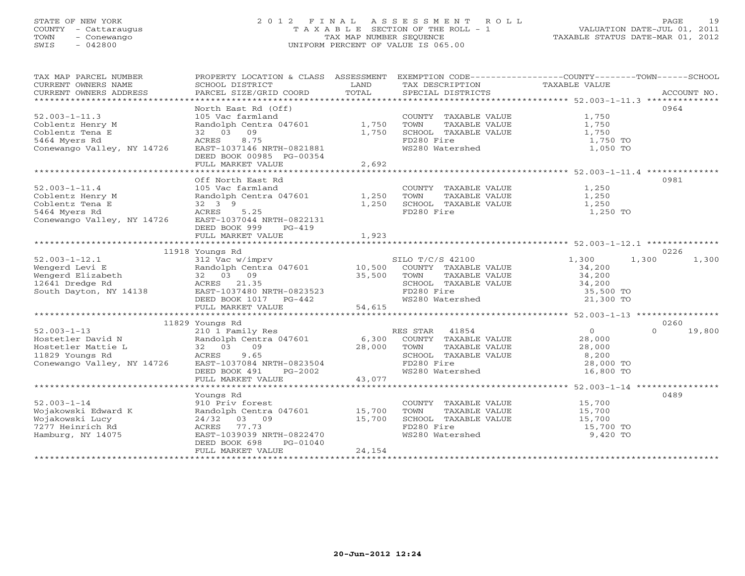## STATE OF NEW YORK 2 0 1 2 F I N A L A S S E S S M E N T R O L L PAGE 19 COUNTY - Cattaraugus T A X A B L E SECTION OF THE ROLL - 1 VALUATION DATE-JUL 01, 2011 TOWN - Conewango TAX MAP NUMBER SEQUENCE TAXABLE STATUS DATE-MAR 01, 2012 SWIS - 042800 UNIFORM PERCENT OF VALUE IS 065.00UNIFORM PERCENT OF VALUE IS 065.00

| TAX MAP PARCEL NUMBER<br>CURRENT OWNERS NAME<br>CURRENT OWNERS ADDRESS           | PROPERTY LOCATION & CLASS ASSESSMENT<br>SCHOOL DISTRICT<br>PARCEL SIZE/GRID COORD                    | LAND<br>TOTAL | EXEMPTION CODE-----------------COUNTY-------TOWN------SCHOOL<br>TAX DESCRIPTION TAXABLE VALUE SPECIAL DISTRICTS |                       | ACCOUNT NO.        |
|----------------------------------------------------------------------------------|------------------------------------------------------------------------------------------------------|---------------|-----------------------------------------------------------------------------------------------------------------|-----------------------|--------------------|
|                                                                                  |                                                                                                      |               |                                                                                                                 |                       |                    |
|                                                                                  |                                                                                                      |               |                                                                                                                 |                       | 0964               |
| $52.003 - 1 - 11.3$                                                              | And tarmland<br>Randolph Centra 047601 1,750<br>32 03 09 1,750<br>ACRES 8.75<br>EAST-1037146 MDTY 11 |               | COUNTY TAXABLE VALUE                                                                                            | 1,750                 |                    |
| Coblentz Henry M                                                                 |                                                                                                      |               |                                                                                                                 | 1,750                 |                    |
| Coblentz Tena E                                                                  |                                                                                                      |               | TOWN      TAXABLE VALUE<br>SCHOOL   TAXABLE VALUE                                                               | 1,750                 |                    |
|                                                                                  |                                                                                                      |               | FD280 Fire                                                                                                      |                       |                    |
| 5464 Myers Rd                                                                    |                                                                                                      |               |                                                                                                                 | 1,750 TO              |                    |
| Conewango Valley, NY 14726                                                       |                                                                                                      |               | WS280 Watershed                                                                                                 | 1,050 TO              |                    |
|                                                                                  | DEED BOOK 00985 PG-00354                                                                             |               |                                                                                                                 |                       |                    |
|                                                                                  | FULL MARKET VALUE                                                                                    | 2,692         |                                                                                                                 |                       |                    |
|                                                                                  |                                                                                                      |               |                                                                                                                 |                       |                    |
|                                                                                  | Off North East Rd                                                                                    |               |                                                                                                                 |                       | 0981               |
| $52.003 - 1 - 11.4$                                                              | 105 Vac farmland                                                                                     |               | COUNTY TAXABLE VALUE                                                                                            | 1,250                 |                    |
| Coblentz Henry M                                                                 | Randolph Centra 047601 1,250                                                                         |               | TOWN<br>TAXABLE VALUE                                                                                           | 1,250                 |                    |
| Coblentz Tena E                                                                  | 32 3 9                                                                                               | 1,250         | SCHOOL TAXABLE VALUE                                                                                            | 1,250                 |                    |
| 5464 Myers Rd                                                                    | ACRES<br>5.25                                                                                        |               | FD280 Fire                                                                                                      | 1,250 TO              |                    |
| Conewango Valley, NY 14726                                                       | EAST-1037044 NRTH-0822131                                                                            |               |                                                                                                                 |                       |                    |
|                                                                                  | DEED BOOK 999<br>$PG-419$                                                                            |               |                                                                                                                 |                       |                    |
|                                                                                  | FULL MARKET VALUE                                                                                    | 1,923         |                                                                                                                 |                       |                    |
|                                                                                  |                                                                                                      |               |                                                                                                                 |                       |                    |
|                                                                                  | 11918 Youngs Rd                                                                                      |               |                                                                                                                 |                       | 0226               |
| $52.003 - 1 - 12.1$                                                              | 312 Vac w/imprv                                                                                      |               | SILO T/C/S 42100                                                                                                | 1,300                 | 1,300<br>1,300     |
| Wengerd Levi E<br>Wengerd Elizabeth<br>12641 Dredge Rd<br>South Dayton, NY 14138 | Fandolph Centra 047601 10,500 COUNTY TAXABLE VALUE<br>32 03 09 35,500 TOWN TAXABLE VALUE             |               |                                                                                                                 |                       |                    |
|                                                                                  | 32 03 09                                                                                             |               |                                                                                                                 | 34,200<br>34,200      |                    |
|                                                                                  | ACRES 21.35                                                                                          |               | SCHOOL TAXABLE VALUE 34,200<br>FD280 Fire 35,500 TO                                                             |                       |                    |
|                                                                                  | EAST-1037480 NRTH-0823523                                                                            |               |                                                                                                                 |                       |                    |
|                                                                                  | DEED BOOK 1017 PG-442                                                                                |               | WS280 Watershed                                                                                                 | 21,300 TO             |                    |
|                                                                                  | FULL MARKET VALUE                                                                                    | 54,615        |                                                                                                                 |                       |                    |
|                                                                                  |                                                                                                      |               |                                                                                                                 |                       |                    |
|                                                                                  | 11829 Youngs Rd                                                                                      |               |                                                                                                                 |                       | 0260               |
| $52.003 - 1 - 13$                                                                |                                                                                                      |               | RES STAR 41854                                                                                                  | $\circ$               | $\Omega$<br>19,800 |
| Hostetler David N                                                                | 210 1 Family Res<br>Randolph Centra 047601 6,300                                                     |               | ES STAR 41854<br>COUNTY TAXABLE VALUE                                                                           | 28,000                |                    |
| Hostetler Mattie L                                                               | 32 03<br>09                                                                                          | 28,000        | TOWN<br>TAXABLE VALUE                                                                                           | 28,000                |                    |
| 11829 Youngs Rd                                                                  | 9.65<br>ACRES                                                                                        |               | SCHOOL TAXABLE VALUE                                                                                            | 8,200                 |                    |
| Conewango Valley, NY 14726                                                       | EAST-1037084 NRTH-0823504                                                                            |               | FD280 Fire                                                                                                      | 28,000 TO             |                    |
|                                                                                  | DEED BOOK 491<br>PG-2002                                                                             |               | WS280 Watershed                                                                                                 | 16,800 TO             |                    |
|                                                                                  | FULL MARKET VALUE                                                                                    | 43,077        |                                                                                                                 |                       |                    |
|                                                                                  |                                                                                                      |               |                                                                                                                 |                       |                    |
|                                                                                  | Youngs Rd                                                                                            |               |                                                                                                                 |                       | 0489               |
| $52.003 - 1 - 14$                                                                | 910 Priv forest                                                                                      |               | COUNTY TAXABLE VALUE                                                                                            | 15,700                |                    |
|                                                                                  | Randolph Centra 047601 15,700                                                                        |               | TOWN                                                                                                            | 15,700                |                    |
| Wojakowski Edward K                                                              |                                                                                                      |               | TAXABLE VALUE                                                                                                   |                       |                    |
| Wojakowski Lucy                                                                  | $24/32$ 03 09                                                                                        | 15,700        | SCHOOL TAXABLE VALUE                                                                                            | 15,700<br>$15,700$ TO |                    |
| 7277 Heinrich Rd                                                                 | 77.73<br>ACRES                                                                                       |               | FD280 Fire                                                                                                      |                       |                    |
| Hamburg, NY 14075                                                                | EAST-1039039 NRTH-0822470                                                                            |               | WS280 Watershed                                                                                                 | 9,420 TO              |                    |
|                                                                                  | DEED BOOK 698<br>PG-01040                                                                            |               |                                                                                                                 |                       |                    |
|                                                                                  | FULL MARKET VALUE                                                                                    | 24,154        |                                                                                                                 |                       |                    |
|                                                                                  |                                                                                                      |               |                                                                                                                 |                       |                    |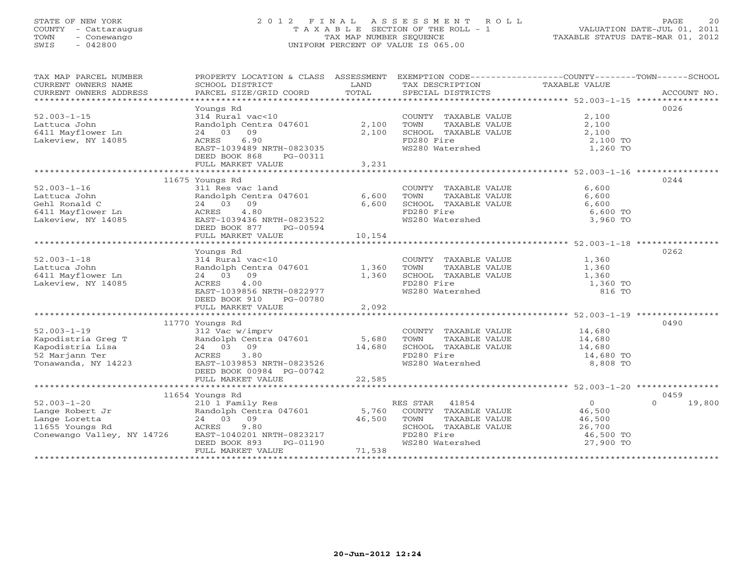## STATE OF NEW YORK 2 0 1 2 F I N A L A S S E S S M E N T R O L L PAGE 20 COUNTY - Cattaraugus T A X A B L E SECTION OF THE ROLL - 1 VALUATION DATE-JUL 01, 2011 TOWN - Conewango TAX MAP NUMBER SEQUENCE TAXABLE STATUS DATE-MAR 01, 2012 SWIS - 042800 UNIFORM PERCENT OF VALUE IS 065.00UNIFORM PERCENT OF VALUE IS 065.00

| TAX MAP PARCEL NUMBER                                                                                                                                                                                                                                                                                                                                                                                                                                                                                                                            | PROPERTY LOCATION & CLASS ASSESSMENT EXEMPTION CODE----------------COUNTY-------TOWN------SCHOOL |        |                                                                   |                      |                    |
|--------------------------------------------------------------------------------------------------------------------------------------------------------------------------------------------------------------------------------------------------------------------------------------------------------------------------------------------------------------------------------------------------------------------------------------------------------------------------------------------------------------------------------------------------|--------------------------------------------------------------------------------------------------|--------|-------------------------------------------------------------------|----------------------|--------------------|
| CURRENT OWNERS NAME                                                                                                                                                                                                                                                                                                                                                                                                                                                                                                                              | SCHOOL DISTRICT                                                                                  | LAND   | TAX DESCRIPTION                                                   | TAXABLE VALUE        |                    |
| CURRENT OWNERS ADDRESS<br>$\begin{minipage}{.45\textwidth} \begin{minipage}{.45\textwidth} \begin{minipage}{.45\textwidth} \begin{minipage}{.45\textwidth} \begin{minipage}{.45\textwidth} \begin{minipage}{.45\textwidth} \begin{minipage}{.45\textwidth} \begin{minipage}{.45\textwidth} \begin{minipage}{.45\textwidth} \begin{minipage}{.45\textwidth} \begin{minipage}{.45\textwidth} \begin{minipage}{.45\textwidth} \begin{minipage}{.45\textwidth} \begin{minipage}{.45\textwidth} \begin{minipage}{.45\textwidth} \begin{minipage}{.45$ |                                                                                                  |        |                                                                   |                      |                    |
|                                                                                                                                                                                                                                                                                                                                                                                                                                                                                                                                                  |                                                                                                  |        |                                                                   |                      |                    |
| $52.003 - 1 - 15$                                                                                                                                                                                                                                                                                                                                                                                                                                                                                                                                | Youngs Rd<br>314 Rural vac<10                                                                    |        | COUNTY TAXABLE VALUE                                              | 2,100                | 0026               |
|                                                                                                                                                                                                                                                                                                                                                                                                                                                                                                                                                  |                                                                                                  |        |                                                                   |                      |                    |
| Lattuca John<br>6411 Mayflower Ln                                                                                                                                                                                                                                                                                                                                                                                                                                                                                                                | Randolph Centra 047601 2,100<br>24 03 09                                                         | 2,100  | TOWN TAXABLE VALUE<br>SCHOOL TAXABLE VALUE                        | 2,100<br>2,100       |                    |
|                                                                                                                                                                                                                                                                                                                                                                                                                                                                                                                                                  | 6.90                                                                                             |        | FD280 Fire                                                        |                      |                    |
| Lakeview, NY 14085                                                                                                                                                                                                                                                                                                                                                                                                                                                                                                                               | ACRES<br>EAST-1039489 NRTH-0823035                                                               |        |                                                                   | 2,100 TO<br>1,260 TO |                    |
|                                                                                                                                                                                                                                                                                                                                                                                                                                                                                                                                                  | DEED BOOK 868<br>PG-00311                                                                        |        | WS280 Watershed                                                   |                      |                    |
|                                                                                                                                                                                                                                                                                                                                                                                                                                                                                                                                                  | FULL MARKET VALUE                                                                                | 3,231  |                                                                   |                      |                    |
|                                                                                                                                                                                                                                                                                                                                                                                                                                                                                                                                                  |                                                                                                  |        | *********************************** 52.003-1-16 ***************** |                      |                    |
|                                                                                                                                                                                                                                                                                                                                                                                                                                                                                                                                                  | 11675 Youngs Rd                                                                                  |        |                                                                   |                      | 0244               |
| $52.003 - 1 - 16$                                                                                                                                                                                                                                                                                                                                                                                                                                                                                                                                | 311 Res vac land                                                                                 |        | COUNTY TAXABLE VALUE                                              | 6,600                |                    |
| Lattuca John                                                                                                                                                                                                                                                                                                                                                                                                                                                                                                                                     |                                                                                                  | 6,600  | TOWN<br>TAXABLE VALUE                                             | 6,600                |                    |
| Gehl Ronald C                                                                                                                                                                                                                                                                                                                                                                                                                                                                                                                                    | Randolph Centra 047601<br>24 03 09                                                               | 6,600  | SCHOOL TAXABLE VALUE                                              | 6,600                |                    |
| 6411 Mayflower Ln                                                                                                                                                                                                                                                                                                                                                                                                                                                                                                                                | 4.80<br>ACRES                                                                                    |        | FD280 Fire                                                        | 6,600 TO             |                    |
| Lakeview, NY 14085                                                                                                                                                                                                                                                                                                                                                                                                                                                                                                                               | EAST-1039436 NRTH-0823522                                                                        |        | WS280 Watershed                                                   | 3,960 TO             |                    |
|                                                                                                                                                                                                                                                                                                                                                                                                                                                                                                                                                  | DEED BOOK 877 PG-00594                                                                           |        |                                                                   |                      |                    |
|                                                                                                                                                                                                                                                                                                                                                                                                                                                                                                                                                  | FULL MARKET VALUE                                                                                | 10,154 |                                                                   |                      |                    |
|                                                                                                                                                                                                                                                                                                                                                                                                                                                                                                                                                  |                                                                                                  |        |                                                                   |                      |                    |
|                                                                                                                                                                                                                                                                                                                                                                                                                                                                                                                                                  | Youngs Rd                                                                                        |        |                                                                   |                      | 0262               |
| $52.003 - 1 - 18$                                                                                                                                                                                                                                                                                                                                                                                                                                                                                                                                | 314 Rural vac<10 COUNT<br>Randolph Centra 047601 1,360 TOWN                                      |        |                                                                   | 1,360<br>1,360       |                    |
| Lattuca John                                                                                                                                                                                                                                                                                                                                                                                                                                                                                                                                     |                                                                                                  |        | COUNTY TAXABLE VALUE<br>TOWN      TAXABLE VALUE                   |                      |                    |
| 6411 Mayflower Ln                                                                                                                                                                                                                                                                                                                                                                                                                                                                                                                                | 24 03 09                                                                                         | 1,360  | SCHOOL TAXABLE VALUE 1,360<br>FD280 Fire 1,360 TO                 |                      |                    |
| Lakeview, NY 14085                                                                                                                                                                                                                                                                                                                                                                                                                                                                                                                               | ACRES<br>4.00                                                                                    |        |                                                                   |                      |                    |
|                                                                                                                                                                                                                                                                                                                                                                                                                                                                                                                                                  | EAST-1039856 NRTH-0822977                                                                        |        | WS280 Watershed                                                   | 816 TO               |                    |
|                                                                                                                                                                                                                                                                                                                                                                                                                                                                                                                                                  | DEED BOOK 910 PG-00780                                                                           |        |                                                                   |                      |                    |
|                                                                                                                                                                                                                                                                                                                                                                                                                                                                                                                                                  | FULL MARKET VALUE                                                                                | 2,092  |                                                                   |                      |                    |
|                                                                                                                                                                                                                                                                                                                                                                                                                                                                                                                                                  |                                                                                                  |        |                                                                   |                      |                    |
|                                                                                                                                                                                                                                                                                                                                                                                                                                                                                                                                                  | 11770 Youngs Rd                                                                                  |        |                                                                   |                      | 0490               |
| $52.003 - 1 - 19$                                                                                                                                                                                                                                                                                                                                                                                                                                                                                                                                | 312 Vac w/imprv                                                                                  |        | COUNTY TAXABLE VALUE 14,680                                       |                      |                    |
|                                                                                                                                                                                                                                                                                                                                                                                                                                                                                                                                                  | Randolph Centra 047601 5,680                                                                     |        | TOWN                                                              | TAXABLE VALUE 14,680 |                    |
| Kapodistria Greg T<br>Kapodistria Lisa<br>52 Marjann Ter                                                                                                                                                                                                                                                                                                                                                                                                                                                                                         | 24 03 09                                                                                         | 14,680 | SCHOOL TAXABLE VALUE                                              | 14,680<br>14,680 TO  |                    |
|                                                                                                                                                                                                                                                                                                                                                                                                                                                                                                                                                  | 3.80<br>ACRES                                                                                    |        | FD280 Fire                                                        |                      |                    |
| Tonawanda, NY 14223                                                                                                                                                                                                                                                                                                                                                                                                                                                                                                                              | EAST-1039853 NRTH-0823526                                                                        |        | WS280 Watershed                                                   | 8,808 TO             |                    |
|                                                                                                                                                                                                                                                                                                                                                                                                                                                                                                                                                  | DEED BOOK 00984 PG-00742                                                                         |        |                                                                   |                      |                    |
|                                                                                                                                                                                                                                                                                                                                                                                                                                                                                                                                                  | FULL MARKET VALUE                                                                                | 22,585 |                                                                   |                      |                    |
|                                                                                                                                                                                                                                                                                                                                                                                                                                                                                                                                                  | 11654 Youngs Rd                                                                                  |        |                                                                   |                      | 0459               |
|                                                                                                                                                                                                                                                                                                                                                                                                                                                                                                                                                  |                                                                                                  |        | RES STAR 41854                                                    | $\overline{0}$       | $\Omega$<br>19,800 |
|                                                                                                                                                                                                                                                                                                                                                                                                                                                                                                                                                  |                                                                                                  |        |                                                                   |                      |                    |
|                                                                                                                                                                                                                                                                                                                                                                                                                                                                                                                                                  |                                                                                                  |        | 5,760 COUNTY TAXABLE VALUE<br>46,500 TOWN TAXABLE VALUE           | 46,500<br>46,500     |                    |
|                                                                                                                                                                                                                                                                                                                                                                                                                                                                                                                                                  |                                                                                                  |        | SCHOOL TAXABLE VALUE                                              | 26,700               |                    |
| 52.003-1-20 210 1 Family Res<br>Lange Robert Jr Randolph Centra 047601<br>Lange Loretta 24 03 09<br>11655 Youngs Rd ACRES 9.80<br>Conewango Valley, NY 14726 EAST-1040201 NRTH-0823217                                                                                                                                                                                                                                                                                                                                                           |                                                                                                  |        | FD280 Fire                                                        | 46,500 TO            |                    |
|                                                                                                                                                                                                                                                                                                                                                                                                                                                                                                                                                  | DEED BOOK 893<br>PG-01190                                                                        |        | WS280 Watershed                                                   | 27,900 TO            |                    |
|                                                                                                                                                                                                                                                                                                                                                                                                                                                                                                                                                  | FULL MARKET VALUE                                                                                | 71,538 |                                                                   |                      |                    |
|                                                                                                                                                                                                                                                                                                                                                                                                                                                                                                                                                  |                                                                                                  |        |                                                                   |                      |                    |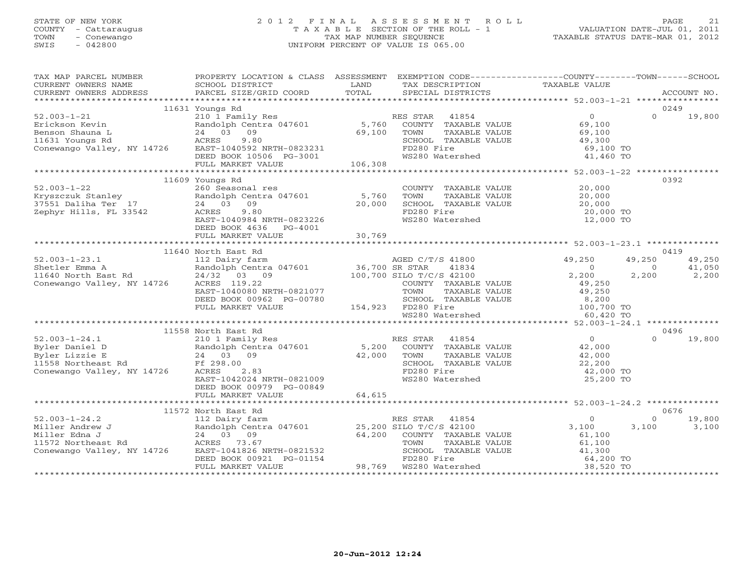## STATE OF NEW YORK 2 0 1 2 F I N A L A S S E S S M E N T R O L L PAGE 21 COUNTY - Cattaraugus T A X A B L E SECTION OF THE ROLL - 1 VALUATION DATE-JUL 01, 2011 TOWN - Conewango TAX MAP NUMBER SEQUENCE TAXABLE STATUS DATE-MAR 01, 2012 SWIS - 042800 UNIFORM PERCENT OF VALUE IS 065.00UNIFORM PERCENT OF VALUE IS 065.00

| TAX MAP PARCEL NUMBER                                                                                                                                                                                                                                               | PROPERTY LOCATION & CLASS ASSESSMENT EXEMPTION CODE----------------COUNTY-------TOWN------SCHOOL |                                                                                                        |           |                                                               |        |
|---------------------------------------------------------------------------------------------------------------------------------------------------------------------------------------------------------------------------------------------------------------------|--------------------------------------------------------------------------------------------------|--------------------------------------------------------------------------------------------------------|-----------|---------------------------------------------------------------|--------|
| CURRENT OWNERS NAME<br>CURRENT OWNERS NAME SCHOOL DISTRICT – ------ ------- TAX DESCRIPTION TAXABLE VALUE<br>CURRENT OWNERS ADDRESS PARCEL SIZE/GRID COORD TOTAL SPECIAL DISTRICTS – 5 ACCOUNT NO.<br>*********************************                             |                                                                                                  |                                                                                                        |           |                                                               |        |
|                                                                                                                                                                                                                                                                     |                                                                                                  |                                                                                                        |           |                                                               |        |
|                                                                                                                                                                                                                                                                     |                                                                                                  |                                                                                                        |           |                                                               |        |
|                                                                                                                                                                                                                                                                     | 11631 Youngs Rd                                                                                  |                                                                                                        |           | 0249                                                          |        |
|                                                                                                                                                                                                                                                                     |                                                                                                  |                                                                                                        |           |                                                               |        |
|                                                                                                                                                                                                                                                                     |                                                                                                  |                                                                                                        |           |                                                               |        |
|                                                                                                                                                                                                                                                                     |                                                                                                  |                                                                                                        |           |                                                               |        |
|                                                                                                                                                                                                                                                                     |                                                                                                  |                                                                                                        |           |                                                               |        |
|                                                                                                                                                                                                                                                                     |                                                                                                  |                                                                                                        |           |                                                               |        |
|                                                                                                                                                                                                                                                                     |                                                                                                  |                                                                                                        |           |                                                               |        |
|                                                                                                                                                                                                                                                                     |                                                                                                  |                                                                                                        |           |                                                               |        |
|                                                                                                                                                                                                                                                                     | 11609 Youngs Rd                                                                                  |                                                                                                        |           | 0392                                                          |        |
| $52.003 - 1 - 22$                                                                                                                                                                                                                                                   | 260 Seasonal res                                                                                 |                                                                                                        |           |                                                               |        |
|                                                                                                                                                                                                                                                                     |                                                                                                  | COUNTY TAXABLE VALUE $20,000$<br>TOWN TAXABLE VALUE $20,000$<br>SCHOOL TAXABLE VALUE $20,000$          |           |                                                               |        |
|                                                                                                                                                                                                                                                                     |                                                                                                  |                                                                                                        |           |                                                               |        |
|                                                                                                                                                                                                                                                                     |                                                                                                  |                                                                                                        |           |                                                               |        |
|                                                                                                                                                                                                                                                                     | ACRES 9.80<br>EAST-1040984 NRTH-0823226                                                          | FD280 Fire 20,000 TO<br>WS280 Watershed 20,000 TO                                                      |           |                                                               |        |
|                                                                                                                                                                                                                                                                     | DEED BOOK 4636 PG-4001                                                                           |                                                                                                        |           |                                                               |        |
|                                                                                                                                                                                                                                                                     |                                                                                                  |                                                                                                        |           |                                                               |        |
|                                                                                                                                                                                                                                                                     |                                                                                                  |                                                                                                        |           |                                                               |        |
|                                                                                                                                                                                                                                                                     |                                                                                                  |                                                                                                        |           | 0419                                                          |        |
|                                                                                                                                                                                                                                                                     |                                                                                                  |                                                                                                        |           | 49,250                                                        | 49,250 |
|                                                                                                                                                                                                                                                                     |                                                                                                  |                                                                                                        |           |                                                               |        |
|                                                                                                                                                                                                                                                                     |                                                                                                  |                                                                                                        |           | $\begin{array}{cccc} 0 & 41,050 \\ 2,200 & 2,200 \end{array}$ |        |
|                                                                                                                                                                                                                                                                     |                                                                                                  |                                                                                                        |           |                                                               |        |
|                                                                                                                                                                                                                                                                     |                                                                                                  |                                                                                                        |           |                                                               |        |
|                                                                                                                                                                                                                                                                     |                                                                                                  |                                                                                                        |           |                                                               |        |
|                                                                                                                                                                                                                                                                     |                                                                                                  |                                                                                                        |           |                                                               |        |
|                                                                                                                                                                                                                                                                     |                                                                                                  |                                                                                                        |           |                                                               |        |
|                                                                                                                                                                                                                                                                     |                                                                                                  |                                                                                                        |           |                                                               |        |
|                                                                                                                                                                                                                                                                     | 11558 North East Rd                                                                              |                                                                                                        |           | 0496                                                          |        |
|                                                                                                                                                                                                                                                                     |                                                                                                  |                                                                                                        |           | $\Omega$                                                      | 19,800 |
|                                                                                                                                                                                                                                                                     |                                                                                                  |                                                                                                        |           |                                                               |        |
|                                                                                                                                                                                                                                                                     |                                                                                                  |                                                                                                        |           |                                                               |        |
| 32.003-1-24.1<br>Byler Daniel D<br>Byler Lizzie E 24 03 09<br>24 03 09 42,000 TOWN TAXABLE VALUE 42,000<br>24 03 09 42,000 TOWN TAXABLE VALUE 42,000<br>Conewango Valley, NY 14726 ACRES 10.283<br>Conewango Valley, NY 14726 ACRES 10.283                          |                                                                                                  |                                                                                                        | 42,000 TO |                                                               |        |
|                                                                                                                                                                                                                                                                     | EAST-1042024 NRTH-0821009                                                                        | WS280 Watershed                                                                                        | 25,200 TO |                                                               |        |
|                                                                                                                                                                                                                                                                     | DEED BOOK 00979 PG-00849                                                                         |                                                                                                        |           |                                                               |        |
|                                                                                                                                                                                                                                                                     |                                                                                                  |                                                                                                        |           |                                                               |        |
|                                                                                                                                                                                                                                                                     |                                                                                                  |                                                                                                        |           |                                                               |        |
|                                                                                                                                                                                                                                                                     | 11572 North East Rd                                                                              |                                                                                                        |           | 0676                                                          |        |
|                                                                                                                                                                                                                                                                     |                                                                                                  |                                                                                                        |           | $\Omega$                                                      | 19,800 |
|                                                                                                                                                                                                                                                                     |                                                                                                  |                                                                                                        |           | 3,100                                                         | 3,100  |
|                                                                                                                                                                                                                                                                     |                                                                                                  |                                                                                                        |           |                                                               |        |
|                                                                                                                                                                                                                                                                     |                                                                                                  |                                                                                                        |           |                                                               |        |
|                                                                                                                                                                                                                                                                     |                                                                                                  |                                                                                                        |           |                                                               |        |
|                                                                                                                                                                                                                                                                     |                                                                                                  |                                                                                                        |           |                                                               |        |
| 11572 North East Rd<br>Miller Andrew J<br>Miller Edna J<br>Miller Edna J<br>24 03 09<br>24 03 09<br>24 03 09<br>24 03 09<br>24 03 09<br>24 03 09<br>24 03 09<br>24 03 09<br>24 03 09<br>24 03 09<br>24 03 09<br>24 03 09<br>24 03 09<br>25,200 SILO T/C/S 42100<br> |                                                                                                  | TOWN TAXABLE VALUE<br>SCHOOL TAXABLE VALUE 61,100<br>FD280 Fire 64,200 TO<br>WS280 Watershed 38,520 TO |           |                                                               |        |
|                                                                                                                                                                                                                                                                     |                                                                                                  |                                                                                                        |           |                                                               |        |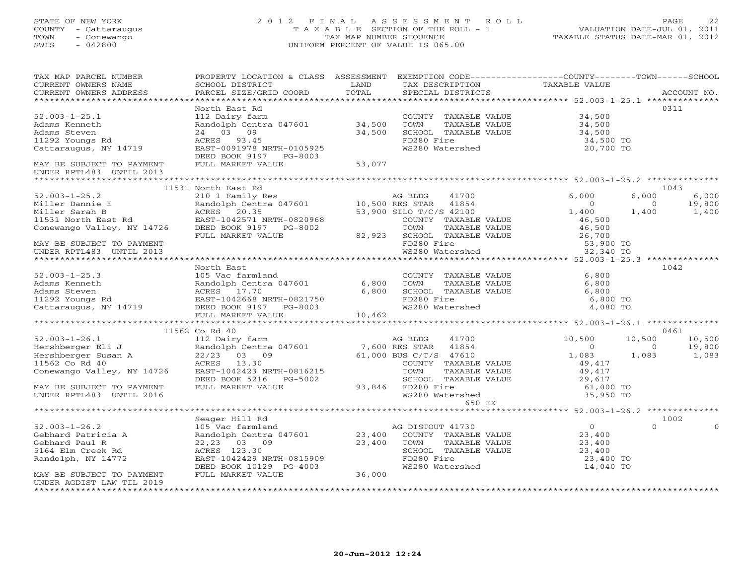# STATE OF NEW YORK 22 0 1 2 F I N A L A S S E S S M E N T R O L L PAGE 22 COUNTY - Cattaraugus COUNTY - Cattaraugus COUNTY - Conewango<br>
T A X A B L E SECTION OF THE ROLL - 1<br>
TAX MAP NUMBER SEQUENCE<br>
SWIS - 042800 SWIS - 042800 UNIFORM PERCENT OF VALUE IS 065.00

| TAX MAP PARCEL NUMBER<br>CURRENT OWNERS NAME                                                                                                                                                                                 | PROPERTY LOCATION & CLASS ASSESSMENT<br>SCHOOL DISTRICT                                                 | LAND                                      | EXEMPTION CODE-----------------COUNTY-------TOWN------SCHOOL<br>TAX DESCRIPTION                         | TAXABLE VALUE       |                          |
|------------------------------------------------------------------------------------------------------------------------------------------------------------------------------------------------------------------------------|---------------------------------------------------------------------------------------------------------|-------------------------------------------|---------------------------------------------------------------------------------------------------------|---------------------|--------------------------|
| CURRENT OWNERS ADDRESS                                                                                                                                                                                                       | PARCEL SIZE/GRID COORD                                                                                  | TOTAL                                     | SPECIAL DISTRICTS                                                                                       |                     | ACCOUNT NO.              |
|                                                                                                                                                                                                                              |                                                                                                         |                                           |                                                                                                         |                     |                          |
|                                                                                                                                                                                                                              | North East Rd                                                                                           |                                           |                                                                                                         |                     | 0311                     |
| $52.003 - 1 - 25.1$                                                                                                                                                                                                          | 112 Dairy farm<br>Randolph Centra 047601 34,500                                                         |                                           | COUNTY TAXABLE VALUE                                                                                    | 34,500              |                          |
| Adams Kenneth                                                                                                                                                                                                                | 24 03 09                                                                                                |                                           | TOWN<br>TAXABLE VALUE                                                                                   | 34,500              |                          |
| Adams Steven                                                                                                                                                                                                                 |                                                                                                         | 34,500                                    | SCHOOL TAXABLE VALUE                                                                                    | 34,500<br>34,500 TO |                          |
| 11292 Youngs Rd                                                                                                                                                                                                              | ACRES 93.45<br>ACRES 93.45<br>EAST-0091978 NRTH-0105925                                                 |                                           | FD280 Fire                                                                                              |                     |                          |
| Cattaraugus, NY 14719                                                                                                                                                                                                        | DEED BOOK 9197 PG-8003                                                                                  |                                           | WS280 Watershed                                                                                         | 20,700 TO           |                          |
| MAY BE SUBJECT TO PAYMENT<br>UNDER RPTL483 UNTIL 2013                                                                                                                                                                        | FULL MARKET VALUE                                                                                       | 53,077                                    |                                                                                                         |                     |                          |
|                                                                                                                                                                                                                              |                                                                                                         |                                           |                                                                                                         |                     |                          |
|                                                                                                                                                                                                                              | 11531 North East Rd                                                                                     |                                           |                                                                                                         |                     | 1043                     |
| $52.003 - 1 - 25.2$                                                                                                                                                                                                          |                                                                                                         |                                           | 41700                                                                                                   | 6,000               | 6,000<br>6,000           |
|                                                                                                                                                                                                                              |                                                                                                         |                                           |                                                                                                         | $\overline{0}$      | 19,800<br>$\circ$        |
|                                                                                                                                                                                                                              | 210 1 Family Res<br>Randolph Centra 047601 10,500 RES STAR 41854<br>ACRES 20.35 53,900 SILO T/C/S 42100 |                                           | 53,900 SILO T/C/S 42100                                                                                 | 1,400               | 1,400<br>1,400           |
|                                                                                                                                                                                                                              |                                                                                                         |                                           | COUNTY TAXABLE VALUE                                                                                    | 46,500              |                          |
|                                                                                                                                                                                                                              |                                                                                                         | 820968<br>;-8002                   82,923 |                                                                                                         |                     |                          |
|                                                                                                                                                                                                                              | FULL MARKET VALUE                                                                                       |                                           |                                                                                                         |                     |                          |
| MAY BE SUBJECT TO PAYMENT                                                                                                                                                                                                    |                                                                                                         |                                           |                                                                                                         | 53,900 TO           |                          |
| UNDER RPTL483 UNTIL 2013                                                                                                                                                                                                     |                                                                                                         |                                           | TOWN TAXABLE VALUE 46,500<br>SCHOOL TAXABLE VALUE 26,700<br>FD280 Fire 53,900<br>WS280 Watershed 32,340 | 32,340 TO           |                          |
|                                                                                                                                                                                                                              |                                                                                                         |                                           |                                                                                                         |                     |                          |
|                                                                                                                                                                                                                              | North East                                                                                              |                                           |                                                                                                         |                     | 1042                     |
| $52.003 - 1 - 25.3$                                                                                                                                                                                                          | 105 Vac farmland                                                                                        |                                           | COUNTY TAXABLE VALUE 6,800                                                                              |                     |                          |
|                                                                                                                                                                                                                              |                                                                                                         |                                           | TOWN<br>TAXABLE VALUE                                                                                   | 6,800               |                          |
|                                                                                                                                                                                                                              |                                                                                                         |                                           | SCHOOL TAXABLE VALUE                                                                                    | 6,800               |                          |
|                                                                                                                                                                                                                              |                                                                                                         |                                           | FD280 Fire                                                                                              | 6,800 TO            |                          |
|                                                                                                                                                                                                                              |                                                                                                         |                                           | WS280 Watershed                                                                                         | 4,080 TO            |                          |
| 52.003-1-25.3<br>Adams Kenneth Randolph Centra 047601 6,800<br>Adams Steven ACRES 17.70 6,800<br>11292 Youngs Rd EAST-1042668 NRTH-0821750 6,800<br>Cattaraugus, NY 14719 DEED BOOK 9197 PG-8003<br>FULL MARKET VALUE 10,462 |                                                                                                         |                                           |                                                                                                         |                     |                          |
|                                                                                                                                                                                                                              |                                                                                                         |                                           |                                                                                                         |                     |                          |
|                                                                                                                                                                                                                              | 11562 Co Rd 40                                                                                          |                                           |                                                                                                         |                     | 0461                     |
|                                                                                                                                                                                                                              |                                                                                                         |                                           | AG BLDG 41700                                                                                           | 10,500              | 10,500<br>10,500         |
|                                                                                                                                                                                                                              |                                                                                                         |                                           |                                                                                                         | $\overline{0}$      | 19,800<br>$\overline{0}$ |
|                                                                                                                                                                                                                              |                                                                                                         |                                           |                                                                                                         | 1,083               | 1,083<br>1,083           |
|                                                                                                                                                                                                                              |                                                                                                         |                                           | COUNTY TAXABLE VALUE                                                                                    | 49,417              |                          |
|                                                                                                                                                                                                                              |                                                                                                         |                                           | TAXABLE VALUE                                                                                           | 49,417              |                          |
|                                                                                                                                                                                                                              | DEED BOOK 5216 PG-5002                                                                                  |                                           |                                                                                                         |                     |                          |
| MAY BE SUBJECT TO PAYMENT                                                                                                                                                                                                    | FULL MARKET VALUE                                                                                       |                                           | 93,846 FD280 Fire<br>23,846 FD280 Fire                                                                  |                     |                          |
| UNDER RPTL483 UNTIL 2016                                                                                                                                                                                                     |                                                                                                         |                                           | SCHOOL TAXABLE VALUE $29,617$<br>FD280 Fire 61,000 TO<br>WS280 Watershed 35,950 TO                      |                     |                          |
|                                                                                                                                                                                                                              |                                                                                                         |                                           | 650 EX                                                                                                  |                     |                          |
|                                                                                                                                                                                                                              |                                                                                                         |                                           |                                                                                                         |                     |                          |
|                                                                                                                                                                                                                              | Seager Hill Rd                                                                                          |                                           |                                                                                                         |                     | 1002                     |
| $52.003 - 1 - 26.2$                                                                                                                                                                                                          | 105 Vac farmland<br>Randolph Centra 047601 23,400 COUNTY TAXABLE VALUE                                  |                                           |                                                                                                         | $\overline{0}$      | $\Omega$<br>$\Omega$     |
| Gebhard Patricia A                                                                                                                                                                                                           |                                                                                                         |                                           |                                                                                                         | 23,400              |                          |
| Gebhard Paul R                                                                                                                                                                                                               | 22,23 03 09                                                                                             | $23,400$ COUNT                            | TAXABLE VALUE                                                                                           | 23,400<br>23,400    |                          |
| 5164 Elm Creek ku<br>Randolph, NY 14772                                                                                                                                                                                      | ACRES 123.30                                                                                            |                                           | SCHOOL TAXABLE VALUE                                                                                    |                     |                          |
|                                                                                                                                                                                                                              | EAST-1042429 NRTH-0815909                                                                               |                                           | FD280 Fire                                                                                              | 23,400 TO           |                          |
|                                                                                                                                                                                                                              | DEED BOOK 10129 PG-4003                                                                                 |                                           | WS280 Watershed                                                                                         | 14,040 TO           |                          |
| MAY BE SUBJECT TO PAYMENT                                                                                                                                                                                                    | FULL MARKET VALUE                                                                                       | 36,000                                    |                                                                                                         |                     |                          |
| UNDER AGDIST LAW TIL 2019                                                                                                                                                                                                    |                                                                                                         |                                           |                                                                                                         |                     |                          |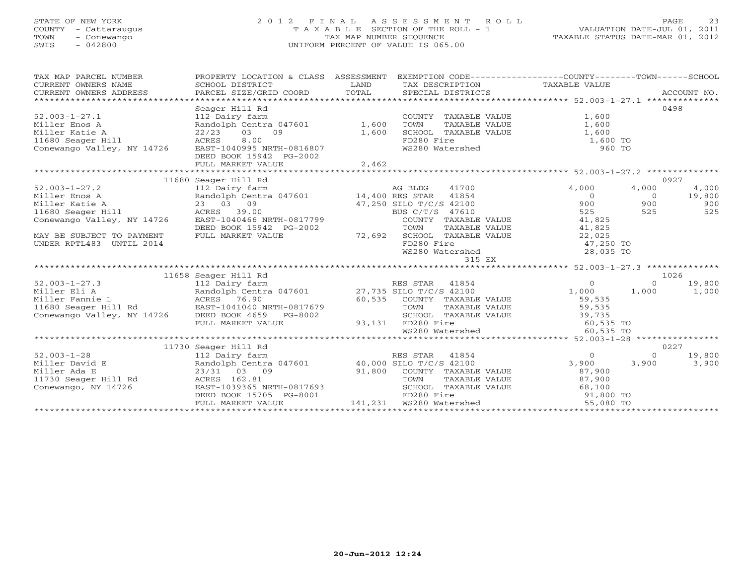## STATE OF NEW YORK 2 0 1 2 F I N A L A S S E S S M E N T R O L L PAGE 23 COUNTY - Cattaraugus T A X A B L E SECTION OF THE ROLL - 1 VALUATION DATE-JUL 01, 2011 TOWN - Conewango TAX MAP NUMBER SEQUENCE TAXABLE STATUS DATE-MAR 01, 2012 SWIS - 042800 UNIFORM PERCENT OF VALUE IS 065.00UNIFORM PERCENT OF VALUE IS 065.00

| SCHOOL DISTRICT<br>PARCEL SIZE/GRID COORD                                     | LAND                                         |                                                                                                                         |                                                                                                                                                                                                                                                                                                                                                                                                                                                                                                                                                                                         |                                                                                                                                                                                                                                                                                                                                                                                                                                                                                                                                                                           | ACCOUNT NO.                                                                                                                                                                                                                                                                                                                                                                                                     |
|-------------------------------------------------------------------------------|----------------------------------------------|-------------------------------------------------------------------------------------------------------------------------|-----------------------------------------------------------------------------------------------------------------------------------------------------------------------------------------------------------------------------------------------------------------------------------------------------------------------------------------------------------------------------------------------------------------------------------------------------------------------------------------------------------------------------------------------------------------------------------------|---------------------------------------------------------------------------------------------------------------------------------------------------------------------------------------------------------------------------------------------------------------------------------------------------------------------------------------------------------------------------------------------------------------------------------------------------------------------------------------------------------------------------------------------------------------------------|-----------------------------------------------------------------------------------------------------------------------------------------------------------------------------------------------------------------------------------------------------------------------------------------------------------------------------------------------------------------------------------------------------------------|
| Seager Hill Rd<br>ACRES<br>8.00<br>DEED BOOK 15942 PG-2002                    |                                              |                                                                                                                         | 1,600                                                                                                                                                                                                                                                                                                                                                                                                                                                                                                                                                                                   |                                                                                                                                                                                                                                                                                                                                                                                                                                                                                                                                                                           | 0498                                                                                                                                                                                                                                                                                                                                                                                                            |
|                                                                               |                                              |                                                                                                                         |                                                                                                                                                                                                                                                                                                                                                                                                                                                                                                                                                                                         |                                                                                                                                                                                                                                                                                                                                                                                                                                                                                                                                                                           | 0927                                                                                                                                                                                                                                                                                                                                                                                                            |
| DEED BOOK 15942 PG-2002<br>FULL MARKET VALUE                                  |                                              | TOWN<br>FD280 Fire                                                                                                      | 4,000<br>$\overline{0}$<br>900<br>525<br>41,825<br>22,025                                                                                                                                                                                                                                                                                                                                                                                                                                                                                                                               | 4,000<br>$\overline{0}$<br>900<br>525                                                                                                                                                                                                                                                                                                                                                                                                                                                                                                                                     | 4,000<br>19,800<br>900<br>525                                                                                                                                                                                                                                                                                                                                                                                   |
|                                                                               |                                              |                                                                                                                         |                                                                                                                                                                                                                                                                                                                                                                                                                                                                                                                                                                                         |                                                                                                                                                                                                                                                                                                                                                                                                                                                                                                                                                                           |                                                                                                                                                                                                                                                                                                                                                                                                                 |
|                                                                               |                                              |                                                                                                                         |                                                                                                                                                                                                                                                                                                                                                                                                                                                                                                                                                                                         |                                                                                                                                                                                                                                                                                                                                                                                                                                                                                                                                                                           |                                                                                                                                                                                                                                                                                                                                                                                                                 |
|                                                                               |                                              |                                                                                                                         |                                                                                                                                                                                                                                                                                                                                                                                                                                                                                                                                                                                         |                                                                                                                                                                                                                                                                                                                                                                                                                                                                                                                                                                           | 1026                                                                                                                                                                                                                                                                                                                                                                                                            |
| 112 Dairy farm<br>FULL MARKET VALUE                                           |                                              |                                                                                                                         | $\overline{0}$<br>59,535                                                                                                                                                                                                                                                                                                                                                                                                                                                                                                                                                                | $\Omega$<br>1,000                                                                                                                                                                                                                                                                                                                                                                                                                                                                                                                                                         | 19,800<br>1,000                                                                                                                                                                                                                                                                                                                                                                                                 |
|                                                                               |                                              |                                                                                                                         |                                                                                                                                                                                                                                                                                                                                                                                                                                                                                                                                                                                         |                                                                                                                                                                                                                                                                                                                                                                                                                                                                                                                                                                           |                                                                                                                                                                                                                                                                                                                                                                                                                 |
| 11730 Seager Hill Rd                                                          |                                              |                                                                                                                         |                                                                                                                                                                                                                                                                                                                                                                                                                                                                                                                                                                                         |                                                                                                                                                                                                                                                                                                                                                                                                                                                                                                                                                                           | 0227                                                                                                                                                                                                                                                                                                                                                                                                            |
| 112 Dairy farm<br>23/31 03 09<br>DEED BOOK 15705 PG-8001<br>FULL MARKET VALUE |                                              | 41854<br>FD280 Fire                                                                                                     | $\circ$<br>87,900<br>68,100                                                                                                                                                                                                                                                                                                                                                                                                                                                                                                                                                             | $\Omega$<br>3,900                                                                                                                                                                                                                                                                                                                                                                                                                                                                                                                                                         | 19,800<br>3,900                                                                                                                                                                                                                                                                                                                                                                                                 |
|                                                                               | 11680 Seager Hill Rd<br>11658 Seager Hill Rd | TOTAL<br>Conewango Valley, NY 14726 EAST-1040995 NRTH-0816807<br>EAST-1040466 NRTH-0817799<br>EAST-1039365 NRTH-0817693 | 112 Dairy farm<br>Randolph Centra 047601 1,600<br>22/23 03 09 1,600<br>ACEES 8 00<br>$\begin{array}{cccccc} 52.003-1-27.2 & & & & 112 \text{ Dairy farm} & & & & \text{AG BLDG} & 41700 \ \text{Miller Enos A} & & & & \text{Random Control} & & 14,400 \text{ RES STR} & 41854 \ \text{Miller Katie A} & & & & 23 & 03 & 09 & & 47,250 \text{ SLDG} & 7/C/S & 42100 \ \text{11680 Seager Hill} & & & & \text{ACRES} & 39.00 & & & \text{BUS C/T/S} & 47610 \end{array}$<br>72,692<br>RES STAR 41854<br>93,131 FD280 Fire<br>RES STAR<br>Randolph Centra 047601 40,000 SILO T/C/S 42100 | TAX DESCRIPTION TAXABLE VALUE<br>SPECIAL DISTRICTS<br>SPECIAL DISTRICTS<br>COUNTY TAXABLE VALUE<br>COUNTY TAXABLE VALUE<br>TAXABLE VALUE 41,825<br>SCHOOL TAXABLE VALUE<br>WS280 Watershed<br>315 EX<br>VALUE ELIA (NAME) HAND TRANSPORT AT A MANUSCON MANUSCON CONTRACT AND ACRES 76.90<br>Miller Fannie L (NAME) ACRES 76.90<br>11680 Seager Hill Rd (EAST-1041040 NRTH-0817679 (0,535 COUNTY TAXABLE VALUE<br>Conewango Valley, NY 14726<br>WS280 Watershed WS280 Watershed<br>91,800 COUNTY TAXABLE VALUE 87,900<br>TOWN TAXABLE VALUE 87,900<br>SCHOOL TAXABLE VALUE | PROPERTY LOCATION & CLASS ASSESSMENT EXEMPTION CODE---------------COUNTY-------TOWN------SCHOOL<br>TOWN TAXABLE VALUE 1,600<br>SCHOOL TAXABLE VALUE 1,600<br>FD280 Fire 1,600 TO<br>WS280 Watershed 1,600 TO<br>$47,250$ TO<br>28,035 TO<br>1,000<br>COUNTY TAXABLE VALUE<br>TOWN TAXABLE VALUE 59,735<br>SCHOOL TAXABLE VALUE 39,735<br>60,535 TO<br>60,535 TO<br>60,535 TO<br>3,900<br>91,800 TO<br>55,080 TO |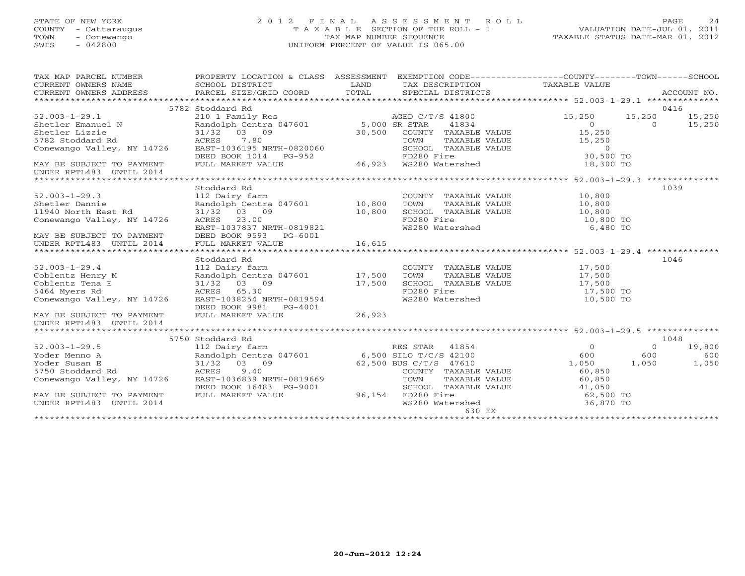## STATE OF NEW YORK 2 0 1 2 F I N A L A S S E S S M E N T R O L L PAGE 24 COUNTY - Cattaraugus T A X A B L E SECTION OF THE ROLL - 1 VALUATION DATE-JUL 01, 2011 TOWN - Conewango TAX MAP NUMBER SEQUENCE TAXABLE STATUS DATE-MAR 01, 2012 SWIS - 042800 UNIFORM PERCENT OF VALUE IS 065.00UNIFORM PERCENT OF VALUE IS 065.00

| TAX MAP PARCEL NUMBER                                                                                                                                                                                                | PROPERTY LOCATION & CLASS ASSESSMENT EXEMPTION CODE-----------------COUNTY-------TOWN------SCHOOL                                                                                                                                                        |             |                                                          |                        |               |        |
|----------------------------------------------------------------------------------------------------------------------------------------------------------------------------------------------------------------------|----------------------------------------------------------------------------------------------------------------------------------------------------------------------------------------------------------------------------------------------------------|-------------|----------------------------------------------------------|------------------------|---------------|--------|
| CURRENT OWNERS NAME SCHOOL DISTRICT                                                                                                                                                                                  |                                                                                                                                                                                                                                                          | <b>LAND</b> | TAX DESCRIPTION TAXABLE VALUE                            |                        |               |        |
|                                                                                                                                                                                                                      |                                                                                                                                                                                                                                                          |             |                                                          |                        |               |        |
|                                                                                                                                                                                                                      |                                                                                                                                                                                                                                                          |             |                                                          |                        |               |        |
|                                                                                                                                                                                                                      | 5782 Stoddard Rd                                                                                                                                                                                                                                         |             |                                                          |                        |               | 0416   |
|                                                                                                                                                                                                                      |                                                                                                                                                                                                                                                          |             |                                                          | 15,250                 | 15,250 15,250 |        |
|                                                                                                                                                                                                                      |                                                                                                                                                                                                                                                          |             |                                                          |                        |               |        |
|                                                                                                                                                                                                                      |                                                                                                                                                                                                                                                          |             |                                                          | $0$ 0 15,250<br>15,250 |               |        |
| 52.003-1-29.1<br>Shetler Emanuel N<br>Shetler Emanuel N<br>Shetler Lizzie<br>31/32 03 09<br>Shetler Lizzie<br>31/32 03 09<br>30,500 COUNTY TAXABLE VALUE<br>TOWN TAXABLE VALUE<br>TOWN TAXABLE VALUE                 |                                                                                                                                                                                                                                                          |             |                                                          | TAXABLE VALUE 15,250   |               |        |
|                                                                                                                                                                                                                      |                                                                                                                                                                                                                                                          |             |                                                          |                        |               |        |
|                                                                                                                                                                                                                      |                                                                                                                                                                                                                                                          |             |                                                          |                        |               |        |
| Conewango Valley, NY 14726 EAST-1036195 NRTH-0820060 SCHOOL TAXABLE VALUE (1999)<br>DEED BOOK 1014 PG-952 FD280 Fire FORSE 30,500 TO<br>MAY BE SUBJECT TO PAYMENT FULL MARKET VALUE 46,923 WS280 Watershed 18,300 TO |                                                                                                                                                                                                                                                          |             |                                                          |                        |               |        |
| UNDER RPTL483 UNTIL 2014                                                                                                                                                                                             |                                                                                                                                                                                                                                                          |             |                                                          |                        |               |        |
|                                                                                                                                                                                                                      |                                                                                                                                                                                                                                                          |             |                                                          |                        |               |        |
|                                                                                                                                                                                                                      | Stoddard Rd                                                                                                                                                                                                                                              |             |                                                          |                        | 1039          |        |
| $52.003 - 1 - 29.3$                                                                                                                                                                                                  |                                                                                                                                                                                                                                                          |             |                                                          |                        |               |        |
| Shetler Dannie                                                                                                                                                                                                       |                                                                                                                                                                                                                                                          |             |                                                          |                        |               |        |
| 11940 North East Rd                                                                                                                                                                                                  |                                                                                                                                                                                                                                                          |             |                                                          |                        |               |        |
| Conewango Valley, NY 14726                                                                                                                                                                                           |                                                                                                                                                                                                                                                          |             |                                                          |                        |               |        |
|                                                                                                                                                                                                                      | ACRES 23.00<br>EAST-1037837 NRTH-0819821                                                                                                                                                                                                                 |             | WS280 Watershed                                          | 6,480 TO               |               |        |
|                                                                                                                                                                                                                      |                                                                                                                                                                                                                                                          |             |                                                          |                        |               |        |
|                                                                                                                                                                                                                      |                                                                                                                                                                                                                                                          |             |                                                          |                        |               |        |
|                                                                                                                                                                                                                      |                                                                                                                                                                                                                                                          |             |                                                          |                        |               |        |
|                                                                                                                                                                                                                      | Stoddard Rd                                                                                                                                                                                                                                              |             |                                                          |                        | 1046          |        |
|                                                                                                                                                                                                                      |                                                                                                                                                                                                                                                          |             | COUNTY TAXABLE VALUE 17,500                              |                        |               |        |
|                                                                                                                                                                                                                      |                                                                                                                                                                                                                                                          |             |                                                          | TAXABLE VALUE 17,500   |               |        |
| 52.003-1-29.4 112 Dairy farm COUNT<br>Coblentz Henry M Randolph Centra 047601 17,500 TOWN<br>Coblentz Tena E 31/32 03 09 17,500 SCHOO<br>5464 Myers Rd ACRES 65.30 FD280                                             |                                                                                                                                                                                                                                                          |             | SCHOOL TAXABLE VALUE 17,500<br>FD280 Fire 17,500 TO      |                        |               |        |
|                                                                                                                                                                                                                      |                                                                                                                                                                                                                                                          |             |                                                          |                        |               |        |
| ACRES 65.30<br>Conewango Valley, NY 14726 EAST-1038254 NRTH-0819594                                                                                                                                                  |                                                                                                                                                                                                                                                          |             | WS280 Watershed                                          | 10,500 TO              |               |        |
|                                                                                                                                                                                                                      | DEED BOOK 9981    PG-4001                                                                                                                                                                                                                                |             |                                                          |                        |               |        |
| MAY BE SUBJECT TO PAYMENT FULL MARKET VALUE 26,923                                                                                                                                                                   |                                                                                                                                                                                                                                                          |             |                                                          |                        |               |        |
| UNDER RPTL483 UNTIL 2014                                                                                                                                                                                             |                                                                                                                                                                                                                                                          |             |                                                          |                        |               |        |
|                                                                                                                                                                                                                      |                                                                                                                                                                                                                                                          |             |                                                          |                        |               |        |
|                                                                                                                                                                                                                      | 5750 Stoddard Rd<br>112 Dairy farm<br>Randolph Centra 047601 6,500 SILO T/C/S 42100 600 600 600<br>31/32 03 09 62,500 BUS C/T/S 47610 1,050 1,050<br>NY 14736 ROKES 3.400 COUNTY TAXABLE VALUE 60 850 1,050<br>NY 14736 ROKES 3.400 COUNTY TAXABLE VALUE |             |                                                          |                        | 1048          |        |
| $52.003 - 1 - 29.5$                                                                                                                                                                                                  |                                                                                                                                                                                                                                                          |             |                                                          |                        |               | 19,800 |
| Yoder Menno A                                                                                                                                                                                                        |                                                                                                                                                                                                                                                          |             |                                                          |                        |               | 600    |
| Yoder Susan E                                                                                                                                                                                                        |                                                                                                                                                                                                                                                          |             |                                                          | 1,050 1,050            |               | 1,050  |
| 5750 Stoddard Rd                                                                                                                                                                                                     |                                                                                                                                                                                                                                                          |             | COUNTY TAXABLE VALUE 60,850<br>TOWN TAXABLE VALUE 60,850 |                        |               |        |
| Conewango Valley, NY 14726                                                                                                                                                                                           | EAST-1036839 NRTH-0819669                                                                                                                                                                                                                                |             |                                                          |                        |               |        |
|                                                                                                                                                                                                                      |                                                                                                                                                                                                                                                          |             | SCHOOL TAXABLE VALUE 41,050                              |                        |               |        |
| MAY BE SUBJECT TO PAYMENT                                                                                                                                                                                            | DEED BOOK 16483 PG-9001 SCHOOL TAY<br>FULL MARKET VALUE 96,154 FD280 Fire                                                                                                                                                                                |             | FD280 Fire<br>WS280 Watershed                            | 62,500 TO              |               |        |
| UNDER RPTL483 UNTIL 2014                                                                                                                                                                                             |                                                                                                                                                                                                                                                          |             |                                                          | 36,870 TO              |               |        |
|                                                                                                                                                                                                                      |                                                                                                                                                                                                                                                          |             | 630 EX                                                   |                        |               |        |
|                                                                                                                                                                                                                      |                                                                                                                                                                                                                                                          |             |                                                          |                        |               |        |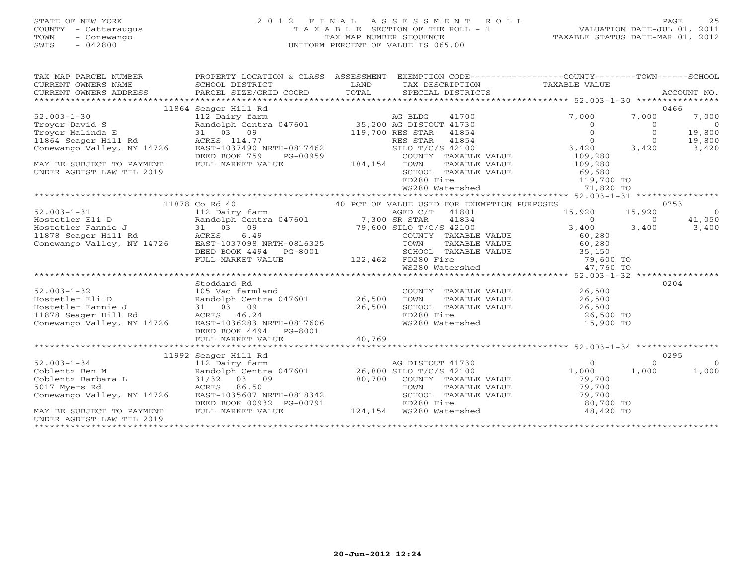## STATE OF NEW YORK 2 0 1 2 F I N A L A S S E S S M E N T R O L L PAGE 25 COUNTY - Cattaraugus T A X A B L E SECTION OF THE ROLL - 1 VALUATION DATE-JUL 01, 2011 TOWN - Conewango TAX MAP NUMBER SEQUENCE TAXABLE STATUS DATE-MAR 01, 2012 SWIS - 042800 UNIFORM PERCENT OF VALUE IS 065.00UNIFORM PERCENT OF VALUE IS 065.00

|                                                               |                                                |               |                                             | EXEMPTION CODE-----------------COUNTY-------TOWN------SCHOOL |          |                |
|---------------------------------------------------------------|------------------------------------------------|---------------|---------------------------------------------|--------------------------------------------------------------|----------|----------------|
| TAX MAP PARCEL NUMBER                                         | PROPERTY LOCATION & CLASS ASSESSMENT           |               |                                             |                                                              |          |                |
| CURRENT OWNERS NAME                                           | SCHOOL DISTRICT                                | LAND<br>TOTAL |                                             | TAX DESCRIPTION TAXABLE VALUE                                |          |                |
| CURRENT OWNERS ADDRESS                                        | PARCEL SIZE/GRID COORD                         |               | SPECIAL DISTRICTS                           |                                                              |          | ACCOUNT NO.    |
|                                                               |                                                |               |                                             |                                                              |          |                |
|                                                               | 11864 Seager Hill Rd                           |               |                                             |                                                              |          | 0466           |
| $52.003 - 1 - 30$                                             | 112 Dairy farm                                 |               | AG BLDG<br>41700                            | 7,000                                                        | 7,000    | 7,000          |
| Trover David S                                                | Randolph Centra 047601 35,200 AG DISTOUT 41730 |               |                                             | $\Omega$                                                     | $\Omega$ | $\overline{0}$ |
| Troyer Malinda E                                              | 31 03 09                                       |               | 119,700 RES STAR<br>41854                   | $\circ$                                                      | $\Omega$ | 19,800         |
| 11864 Seager Hill Rd                                          | ACRES 114.77                                   |               | 41854<br>RES STAR                           | $\circ$                                                      | $\Omega$ | 19,800         |
| Conewango Valley, NY 14726                                    | EAST-1037490 NRTH-0817462                      |               | SILO T/C/S 42100                            | 3,420                                                        | 3,420    | 3,420          |
|                                                               | DEED BOOK 759<br>PG-00959                      |               | COUNTY TAXABLE VALUE                        | 109,280                                                      |          |                |
| MAY BE SUBJECT TO PAYMENT                                     | FULL MARKET VALUE                              | 184,154       | TOWN<br>TAXABLE VALUE                       | 109,280                                                      |          |                |
| UNDER AGDIST LAW TIL 2019                                     |                                                |               | SCHOOL TAXABLE VALUE                        | 69,680                                                       |          |                |
|                                                               |                                                |               | FD280 Fire                                  | 119,700 TO                                                   |          |                |
|                                                               |                                                |               | WS280 Watershed                             | 71,820 TO                                                    |          |                |
|                                                               |                                                |               |                                             |                                                              |          |                |
|                                                               | 11878 Co Rd 40                                 |               | 40 PCT OF VALUE USED FOR EXEMPTION PURPOSES |                                                              |          | 0753           |
| $52.003 - 1 - 31$                                             | 112 Dairy farm                                 |               | AGED C/T 41801                              | 15,920                                                       | 15,920   | $\overline{0}$ |
| Hostetler Eli D                                               | Randolph Centra 047601 7,300 SR STAR           |               | 41834                                       | $\overline{0}$                                               | $\Omega$ | 41,050         |
| ----<br>Hostetler Fannie J<br><sup>11878 Seager Hill Rd</sup> | 31 03 09                                       |               | 79,600 SILO T/C/S 42100                     | 3,400                                                        | 3,400    | 3,400          |
|                                                               | 6.49<br>ACRES                                  |               | COUNTY TAXABLE VALUE                        | 60,280                                                       |          |                |
| Conewango Valley, NY 14726                                    | EAST-1037098 NRTH-0816325                      |               | TOWN                                        | TAXABLE VALUE<br>60,280                                      |          |                |
|                                                               | DEED BOOK 4494 PG-8001                         |               | SCHOOL TAXABLE VALUE                        | 35,150                                                       |          |                |
|                                                               | FULL MARKET VALUE                              |               | 122,462 FD280 Fire                          | 79,600 TO                                                    |          |                |
|                                                               |                                                |               | WS280 Watershed                             | 47,760 TO                                                    |          |                |
|                                                               |                                                |               |                                             |                                                              |          |                |
|                                                               | Stoddard Rd                                    |               |                                             |                                                              |          | 0204           |
| $52.003 - 1 - 32$                                             | 105 Vac farmland                               |               | COUNTY TAXABLE VALUE                        | 26,500                                                       |          |                |
| Hostetler Eli D                                               | Randolph Centra 047601 26,500                  |               | TOWN<br>TAXABLE VALUE                       | 26,500                                                       |          |                |
| Hostetler Fannie J                                            | 31 03 09                                       | 26,500        | SCHOOL TAXABLE VALUE                        | 26,500                                                       |          |                |
| 11878 Seager Hill Rd                                          | ACRES 46.24                                    |               | FD280 Fire                                  | 26,500 TO                                                    |          |                |
| Conewango Valley, NY 14726                                    | EAST-1036283 NRTH-0817606                      |               | WS280 Watershed                             | 15,900 TO                                                    |          |                |
|                                                               | DEED BOOK 4494<br>PG-8001                      |               |                                             |                                                              |          |                |
|                                                               | FULL MARKET VALUE                              | 40,769        |                                             |                                                              |          |                |
|                                                               |                                                |               |                                             |                                                              |          |                |
|                                                               |                                                |               |                                             |                                                              |          |                |
|                                                               | 11992 Seager Hill Rd                           |               |                                             |                                                              |          | 0295           |
| $52.003 - 1 - 34$                                             | 112 Dairy farm                                 |               | AG DISTOUT 41730                            | $\Omega$                                                     | $\Omega$ | $\Omega$       |
| Coblentz Ben M                                                | Randolph Centra 047601 26,800 SILO T/C/S 42100 |               |                                             | 1,000                                                        | 1,000    | 1,000          |
| Coblentz Barbara L                                            | 31/32 03 09                                    | 80,700        | COUNTY TAXABLE VALUE                        | 79,700                                                       |          |                |
| 5017 Myers Rd                                                 | ACRES<br>86.50                                 |               | TOWN<br>TAXABLE VALUE                       | 79,700                                                       |          |                |
| Conewango Valley, NY 14726                                    | EAST-1035607 NRTH-0818342                      |               | SCHOOL TAXABLE VALUE                        | 79,700                                                       |          |                |
|                                                               | DEED BOOK 00932 PG-00791                       |               | FD280 Fire                                  | 80,700 TO                                                    |          |                |
| MAY BE SUBJECT TO PAYMENT                                     | FULL MARKET VALUE                              | 124,154       | WS280 Watershed                             | 48,420 TO                                                    |          |                |
| UNDER AGDIST LAW TIL 2019                                     |                                                |               |                                             |                                                              |          |                |
|                                                               |                                                |               |                                             |                                                              |          |                |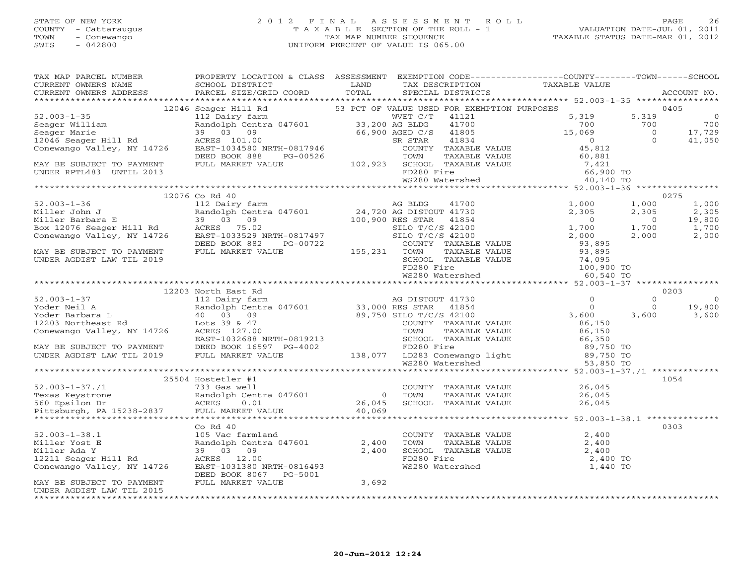#### STATE OF NEW YORK 2 0 1 2 F I N A L A S S E S S M E N T R O L L PAGE 26 COUNTY - Cattaraugus T A X A B L E SECTION OF THE ROLL - 1 VALUATION DATE-JUL 01, 2011 TOWN - Conewango TAX MAP NUMBER SEQUENCE TAXABLE STATUS DATE-MAR 01, 2012 SWIS - 042800 UNIFORM PERCENT OF VALUE IS 065.00UNIFORM PERCENT OF VALUE IS 065.00

| TAX MAP PARCEL NUMBER                                                                                                                                                                                                                                                                                                                                                                 | PROPERTY LOCATION & CLASS ASSESSMENT                                              | SPECIAL DISTRICTS | EXEMPTION CODE-----------------COUNTY-------TOWN------SCHOOL<br>TAX DESCRIPTION TAXABLE VALUE<br>SPECIAL DISTRICTS                         | ACCOUNT NO.     |
|---------------------------------------------------------------------------------------------------------------------------------------------------------------------------------------------------------------------------------------------------------------------------------------------------------------------------------------------------------------------------------------|-----------------------------------------------------------------------------------|-------------------|--------------------------------------------------------------------------------------------------------------------------------------------|-----------------|
|                                                                                                                                                                                                                                                                                                                                                                                       |                                                                                   |                   |                                                                                                                                            |                 |
| $\begin{tabular}{l c c c c c} \multicolumn{1}{c}{\textbf{12046 Speeder } \textbf{111 Red} & \textbf{130476} & \textbf{12046 Speeder } \textbf{111 Red} & \textbf{13048} & \textbf{13049} & \textbf{1318} & \textbf{1318} & \textbf{1318} & \textbf{1318} & \textbf{1318} & \textbf{1318} & \textbf{1318} & \textbf{1318} & \textbf{1318} & \textbf{1318} & \textbf{1318} & \textbf{1$ |                                                                                   |                   |                                                                                                                                            |                 |
|                                                                                                                                                                                                                                                                                                                                                                                       |                                                                                   |                   |                                                                                                                                            |                 |
|                                                                                                                                                                                                                                                                                                                                                                                       |                                                                                   |                   |                                                                                                                                            |                 |
|                                                                                                                                                                                                                                                                                                                                                                                       |                                                                                   |                   |                                                                                                                                            |                 |
|                                                                                                                                                                                                                                                                                                                                                                                       |                                                                                   |                   |                                                                                                                                            |                 |
|                                                                                                                                                                                                                                                                                                                                                                                       |                                                                                   |                   |                                                                                                                                            |                 |
|                                                                                                                                                                                                                                                                                                                                                                                       |                                                                                   |                   |                                                                                                                                            |                 |
|                                                                                                                                                                                                                                                                                                                                                                                       |                                                                                   |                   |                                                                                                                                            |                 |
|                                                                                                                                                                                                                                                                                                                                                                                       |                                                                                   |                   |                                                                                                                                            |                 |
|                                                                                                                                                                                                                                                                                                                                                                                       |                                                                                   |                   |                                                                                                                                            |                 |
|                                                                                                                                                                                                                                                                                                                                                                                       |                                                                                   |                   |                                                                                                                                            |                 |
|                                                                                                                                                                                                                                                                                                                                                                                       | 12076 Co Rd 40                                                                    |                   |                                                                                                                                            | 0275            |
|                                                                                                                                                                                                                                                                                                                                                                                       |                                                                                   |                   |                                                                                                                                            |                 |
|                                                                                                                                                                                                                                                                                                                                                                                       |                                                                                   |                   |                                                                                                                                            |                 |
|                                                                                                                                                                                                                                                                                                                                                                                       |                                                                                   |                   |                                                                                                                                            |                 |
|                                                                                                                                                                                                                                                                                                                                                                                       |                                                                                   |                   |                                                                                                                                            |                 |
|                                                                                                                                                                                                                                                                                                                                                                                       |                                                                                   |                   |                                                                                                                                            |                 |
|                                                                                                                                                                                                                                                                                                                                                                                       |                                                                                   |                   |                                                                                                                                            |                 |
|                                                                                                                                                                                                                                                                                                                                                                                       |                                                                                   |                   |                                                                                                                                            |                 |
|                                                                                                                                                                                                                                                                                                                                                                                       |                                                                                   |                   |                                                                                                                                            |                 |
|                                                                                                                                                                                                                                                                                                                                                                                       |                                                                                   |                   |                                                                                                                                            |                 |
|                                                                                                                                                                                                                                                                                                                                                                                       |                                                                                   |                   |                                                                                                                                            |                 |
|                                                                                                                                                                                                                                                                                                                                                                                       | 12203 North East Rd                                                               |                   |                                                                                                                                            | 0203            |
|                                                                                                                                                                                                                                                                                                                                                                                       |                                                                                   |                   |                                                                                                                                            | $\overline{0}$  |
|                                                                                                                                                                                                                                                                                                                                                                                       |                                                                                   |                   |                                                                                                                                            |                 |
|                                                                                                                                                                                                                                                                                                                                                                                       |                                                                                   |                   |                                                                                                                                            | 19,800<br>3,600 |
|                                                                                                                                                                                                                                                                                                                                                                                       |                                                                                   |                   |                                                                                                                                            |                 |
|                                                                                                                                                                                                                                                                                                                                                                                       |                                                                                   |                   |                                                                                                                                            |                 |
|                                                                                                                                                                                                                                                                                                                                                                                       |                                                                                   |                   |                                                                                                                                            |                 |
|                                                                                                                                                                                                                                                                                                                                                                                       |                                                                                   |                   |                                                                                                                                            |                 |
|                                                                                                                                                                                                                                                                                                                                                                                       |                                                                                   |                   |                                                                                                                                            |                 |
|                                                                                                                                                                                                                                                                                                                                                                                       |                                                                                   |                   |                                                                                                                                            |                 |
|                                                                                                                                                                                                                                                                                                                                                                                       |                                                                                   |                   |                                                                                                                                            |                 |
|                                                                                                                                                                                                                                                                                                                                                                                       |                                                                                   |                   |                                                                                                                                            |                 |
|                                                                                                                                                                                                                                                                                                                                                                                       |                                                                                   |                   |                                                                                                                                            |                 |
|                                                                                                                                                                                                                                                                                                                                                                                       |                                                                                   |                   |                                                                                                                                            |                 |
|                                                                                                                                                                                                                                                                                                                                                                                       |                                                                                   |                   |                                                                                                                                            |                 |
| 1054 1054<br>251.003-1-37./1 25504 Hostetler #1<br>26,045 26,045 Randolph Centra 047601 26,045 26,045 Randolph Centra 047601<br>26,045 26,045 26,045 26,045 26,045 26,045 26,045 ACRES 0.01 26,045 26,045 26,045 26,045 26,045 26,04                                                                                                                                                  |                                                                                   |                   |                                                                                                                                            |                 |
|                                                                                                                                                                                                                                                                                                                                                                                       | $Co$ $Rd$ $40$                                                                    |                   |                                                                                                                                            | 0303            |
| $52.003 - 1 - 38.1$                                                                                                                                                                                                                                                                                                                                                                   |                                                                                   |                   |                                                                                                                                            |                 |
| Miller Yost E                                                                                                                                                                                                                                                                                                                                                                         |                                                                                   |                   |                                                                                                                                            |                 |
| Miller Ada Y                                                                                                                                                                                                                                                                                                                                                                          |                                                                                   |                   |                                                                                                                                            |                 |
| 12211 Seager Hill Rd                                                                                                                                                                                                                                                                                                                                                                  | 105 Vac farmland<br>Randolph Centra 047601 2,400<br>39 03 09 2,400<br>ACRES 12.00 |                   | 2,400 TO                                                                                                                                   |                 |
| Conewango Valley, NY 14726                                                                                                                                                                                                                                                                                                                                                            | EAST-1031380 NRTH-0816493<br>DEED BOOK 8067 PG-5001<br>FULL MARGE 2067 PG-5001    |                   | COUNTY TAXABLE VALUE<br>TOWN TAXABLE VALUE<br>SCHOOL TAXABLE VALUE<br>2,400<br>FD280 Fire<br>2,400<br>WS280 Watershed<br>1,440<br>1,440 TO |                 |
| MAY BE SUBJECT TO PAYMENT<br>UNDER AGDIST LAW TIL 2015                                                                                                                                                                                                                                                                                                                                | DEED BOOK 8067 PG-5001<br>FULL MARKET VALUE 3,692                                 |                   |                                                                                                                                            |                 |
|                                                                                                                                                                                                                                                                                                                                                                                       |                                                                                   |                   |                                                                                                                                            |                 |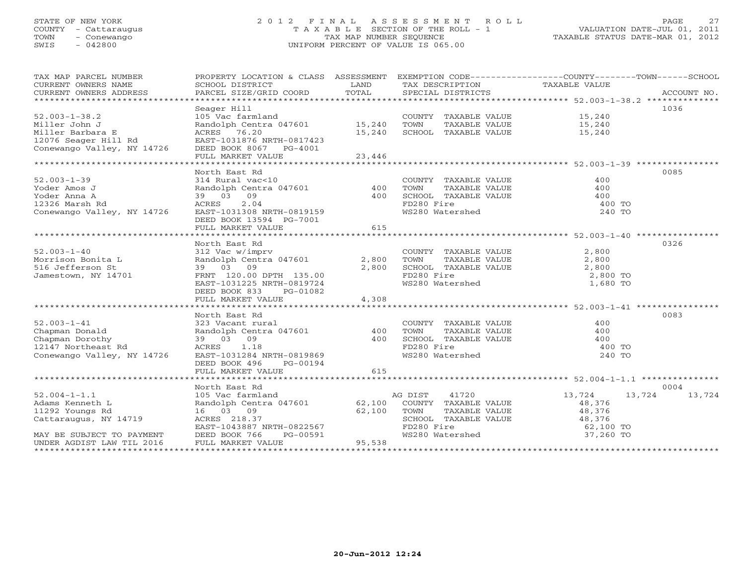## STATE OF NEW YORK 2 0 1 2 F I N A L A S S E S S M E N T R O L L PAGE 27 COUNTY - Cattaraugus T A X A B L E SECTION OF THE ROLL - 1 VALUATION DATE-JUL 01, 2011 TOWN - Conewango TAX MAP NUMBER SEQUENCE TAXABLE STATUS DATE-MAR 01, 2012 SWIS - 042800 UNIFORM PERCENT OF VALUE IS 065.00UNIFORM PERCENT OF VALUE IS 065.00

| TAX MAP PARCEL NUMBER      | PROPERTY LOCATION & CLASS ASSESSMENT |        |                                                    | EXEMPTION CODE-----------------COUNTY-------TOWN------SCHOOL |             |
|----------------------------|--------------------------------------|--------|----------------------------------------------------|--------------------------------------------------------------|-------------|
| CURRENT OWNERS NAME        | SCHOOL DISTRICT                      | LAND   |                                                    |                                                              |             |
| CURRENT OWNERS ADDRESS     | PARCEL SIZE/GRID COORD               | TOTAL  | TAX DESCRIPTION TAXABLE VALUE<br>SPECIAL DISTRICTS |                                                              | ACCOUNT NO. |
|                            |                                      |        |                                                    |                                                              |             |
|                            | Seager Hill                          |        |                                                    |                                                              | 1036        |
| $52.003 - 1 - 38.2$        | 105 Vac farmland                     |        | COUNTY TAXABLE VALUE                               | 15,240                                                       |             |
| Miller John J              | Randolph Centra 047601 15,240        |        | TAXABLE VALUE<br>TOWN                              | 15,240                                                       |             |
| Miller Barbara E           | ACRES 76.20                          | 15,240 | SCHOOL TAXABLE VALUE                               | 15,240                                                       |             |
| 12076 Seager Hill Rd       | EAST-1031876 NRTH-0817423            |        |                                                    |                                                              |             |
| Conewango Valley, NY 14726 | DEED BOOK 8067 PG-4001               |        |                                                    |                                                              |             |
|                            | FULL MARKET VALUE                    | 23,446 |                                                    |                                                              |             |
|                            |                                      |        |                                                    |                                                              |             |
|                            | North East Rd                        |        |                                                    |                                                              | 0085        |
| $52.003 - 1 - 39$          | 314 Rural vac<10                     |        |                                                    | 400                                                          |             |
|                            |                                      |        | COUNTY TAXABLE VALUE                               |                                                              |             |
| Yoder Amos J               | Randolph Centra 047601 400           |        | TOWN<br>TAXABLE VALUE                              | 400                                                          |             |
| Yoder Anna A               | 39 03 09                             | 400    | SCHOOL TAXABLE VALUE                               | 400                                                          |             |
| 12326 Marsh Rd             | ACRES<br>2.04                        |        | FD280 Fire                                         | 400 TO                                                       |             |
| Conewango Valley, NY 14726 | EAST-1031308 NRTH-0819159            |        | WS280 Watershed                                    | 240 TO                                                       |             |
|                            | DEED BOOK 13594 PG-7001              |        |                                                    |                                                              |             |
|                            | FULL MARKET VALUE                    | 615    |                                                    |                                                              |             |
|                            |                                      |        |                                                    |                                                              |             |
|                            | North East Rd                        |        |                                                    |                                                              | 0326        |
| $52.003 - 1 - 40$          | 312 Vac w/imprv                      |        | COUNTY TAXABLE VALUE                               | 2,800                                                        |             |
| Morrison Bonita L          | Randolph Centra 047601               | 2,800  | TOWN<br>TAXABLE VALUE                              | 2,800                                                        |             |
| 516 Jefferson St           | 39 03 09                             | 2,800  | SCHOOL TAXABLE VALUE                               | 2,800                                                        |             |
| Jamestown, NY 14701        | FRNT 120.00 DPTH 135.00              |        | FD280 Fire                                         | 2,800 TO                                                     |             |
|                            | EAST-1031225 NRTH-0819724            |        | WS280 Watershed                                    | 1,680 TO                                                     |             |
|                            | DEED BOOK 833<br>PG-01082            |        |                                                    |                                                              |             |
|                            | FULL MARKET VALUE                    | 4,308  |                                                    |                                                              |             |
|                            |                                      |        |                                                    |                                                              |             |
|                            | North East Rd                        |        |                                                    |                                                              | 0083        |
| $52.003 - 1 - 41$          | 323 Vacant rural                     |        | COUNTY TAXABLE VALUE                               | 400                                                          |             |
| Chapman Donald             | Randolph Centra 047601 400           |        | TOWN<br>TAXABLE VALUE                              | 400                                                          |             |
| Chapman Dorothy            | 39 03 09                             | 400    | SCHOOL TAXABLE VALUE                               | 400                                                          |             |
| 12147 Northeast Rd         | ACRES 1.18                           |        | FD280 Fire                                         | 400 TO                                                       |             |
| Conewango Valley, NY 14726 | EAST-1031284 NRTH-0819869            |        | WS280 Watershed                                    | 240 TO                                                       |             |
|                            | DEED BOOK 496<br>PG-00194            |        |                                                    |                                                              |             |
|                            | FULL MARKET VALUE                    | 615    |                                                    |                                                              |             |
|                            |                                      |        |                                                    |                                                              |             |
|                            | North East Rd                        |        |                                                    |                                                              | 0004        |
| $52.004 - 1 - 1.1$         | 105 Vac farmland                     |        | AG DIST<br>41720                                   | 13,724<br>13,724                                             | 13,724      |
| Adams Kenneth L            | Randolph Centra 047601 62,100        |        | COUNTY TAXABLE VALUE                               | 48,376                                                       |             |
| 11292 Youngs Rd            | 16 03 09                             | 62,100 | TOWN<br>TAXABLE VALUE                              | 48,376                                                       |             |
| Cattaraugus, NY 14719      | ACRES 218.37                         |        | SCHOOL TAXABLE VALUE                               | 48,376                                                       |             |
|                            | EAST-1043887 NRTH-0822567            |        |                                                    | 62,100 TO                                                    |             |
| MAY BE SUBJECT TO PAYMENT  | DEED BOOK 766<br>PG-00591            |        | FD280 Fire<br>WS280 Watershed                      | 37,260 TO                                                    |             |
| UNDER AGDIST LAW TIL 2016  | FULL MARKET VALUE                    | 95,538 |                                                    |                                                              |             |
|                            |                                      |        |                                                    |                                                              |             |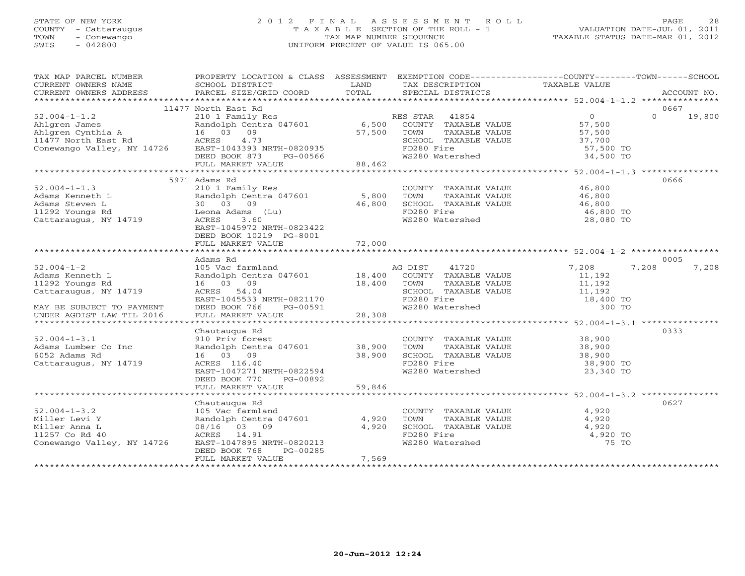## STATE OF NEW YORK 2 0 1 2 F I N A L A S S E S S M E N T R O L L PAGE 28 COUNTY - Cattaraugus T A X A B L E SECTION OF THE ROLL - 1 VALUATION DATE-JUL 01, 2011 TOWN - Conewango TAX MAP NUMBER SEQUENCE TAXABLE STATUS DATE-MAR 01, 2012 SWIS - 042800 UNIFORM PERCENT OF VALUE IS 065.00UNIFORM PERCENT OF VALUE IS 065.00

| TAX MAP PARCEL NUMBER      | PROPERTY LOCATION & CLASS ASSESSMENT EXEMPTION CODE----------------COUNTY-------TOWN------SCHOOL                             |        |                                                                                                                                                                                                                                                                                                                                                                                                                                                                                     |                       |          |             |
|----------------------------|------------------------------------------------------------------------------------------------------------------------------|--------|-------------------------------------------------------------------------------------------------------------------------------------------------------------------------------------------------------------------------------------------------------------------------------------------------------------------------------------------------------------------------------------------------------------------------------------------------------------------------------------|-----------------------|----------|-------------|
| CURRENT OWNERS NAME        | SCHOOL DISTRICT                                                                                                              | LAND   | TAX DESCRIPTION                                                                                                                                                                                                                                                                                                                                                                                                                                                                     | TAXABLE VALUE         |          |             |
| CURRENT OWNERS ADDRESS     | PARCEL SIZE/GRID COORD                                                                                                       | TOTAL  | SPECIAL DISTRICTS                                                                                                                                                                                                                                                                                                                                                                                                                                                                   |                       |          | ACCOUNT NO. |
|                            |                                                                                                                              |        |                                                                                                                                                                                                                                                                                                                                                                                                                                                                                     |                       |          |             |
|                            | 11477 North East Rd                                                                                                          |        |                                                                                                                                                                                                                                                                                                                                                                                                                                                                                     |                       | 0667     |             |
| $52.004 - 1 - 1.2$         | 210 1 Family Res                                                                                                             |        | RES STAR 41854                                                                                                                                                                                                                                                                                                                                                                                                                                                                      | 0<br>57,500<br>57,500 | $\Omega$ | 19,800      |
|                            | Randolph Centra 047601 6,500 COUNTY TAXABLE VALUE<br>16 03 09 57,500 COUNTY TAXABLE VALUE<br>ACRES 4.73 SCHOOL RANARLE VALUE |        |                                                                                                                                                                                                                                                                                                                                                                                                                                                                                     |                       |          |             |
|                            |                                                                                                                              |        | TAXABLE VALUE                                                                                                                                                                                                                                                                                                                                                                                                                                                                       |                       |          |             |
|                            |                                                                                                                              |        | SCHOOL TAXABLE VALUE                                                                                                                                                                                                                                                                                                                                                                                                                                                                | 37,700                |          |             |
|                            |                                                                                                                              |        | FD280 Fire                                                                                                                                                                                                                                                                                                                                                                                                                                                                          | 57,500 TO             |          |             |
|                            | DEED BOOK 873<br>PG-00566<br>LUE 88,462                                                                                      |        | WS280 Watershed                                                                                                                                                                                                                                                                                                                                                                                                                                                                     | 34,500 TO             |          |             |
|                            | FULL MARKET VALUE                                                                                                            |        |                                                                                                                                                                                                                                                                                                                                                                                                                                                                                     |                       |          |             |
|                            |                                                                                                                              |        |                                                                                                                                                                                                                                                                                                                                                                                                                                                                                     |                       |          |             |
|                            | 5971 Adams Rd                                                                                                                |        |                                                                                                                                                                                                                                                                                                                                                                                                                                                                                     |                       | 0666     |             |
| $52.004 - 1 - 1.3$         | 210 1 Family Res                                                                                                             |        | $\begin{tabular}{lllllll} \multicolumn{2}{c}{\textbf{COUNTY}} & \multicolumn{2}{c}{\textbf{TAXABLE VALUE}} & \multicolumn{2}{c}{\textbf{WALUE}} & \multicolumn{2}{c}{\textbf{46,800}} \\ \multicolumn{2}{c}{\textbf{TOWN}} & \multicolumn{2}{c}{\textbf{TAXABLE VALUE}} & \multicolumn{2}{c}{\textbf{WALUE}} & \multicolumn{2}{c}{\textbf{16,800}} \\ \multicolumn{2}{c}{\textbf{TOWN}} & \multicolumn{2}{c}{\textbf{TAXABLE VALUE}} & \multicolumn{2}{c}{\textbf{16,800}} & \mult$ |                       |          |             |
| Adams Kenneth L            | Randolph Centra 047601 5,800                                                                                                 |        |                                                                                                                                                                                                                                                                                                                                                                                                                                                                                     |                       |          |             |
| Adams Steven L             | 30 03 09<br>Leona Adams (Lu)                                                                                                 | 46,800 | SCHOOL TAXABLE VALUE                                                                                                                                                                                                                                                                                                                                                                                                                                                                | 46,800<br>46,800 TO   |          |             |
| 11292 Youngs Rd            |                                                                                                                              |        | FD280 Fire                                                                                                                                                                                                                                                                                                                                                                                                                                                                          |                       |          |             |
| Cattaraugus, NY 14719      | ACRES<br>3.60                                                                                                                |        | WS280 Watershed                                                                                                                                                                                                                                                                                                                                                                                                                                                                     | 28,080 TO             |          |             |
|                            | EAST-1045972 NRTH-0823422                                                                                                    |        |                                                                                                                                                                                                                                                                                                                                                                                                                                                                                     |                       |          |             |
|                            | DEED BOOK 10219 PG-8001                                                                                                      |        |                                                                                                                                                                                                                                                                                                                                                                                                                                                                                     |                       |          |             |
|                            |                                                                                                                              |        |                                                                                                                                                                                                                                                                                                                                                                                                                                                                                     |                       |          |             |
|                            |                                                                                                                              |        |                                                                                                                                                                                                                                                                                                                                                                                                                                                                                     |                       |          |             |
|                            | Adams Rd                                                                                                                     |        |                                                                                                                                                                                                                                                                                                                                                                                                                                                                                     |                       | 0005     |             |
| $52.004 - 1 - 2$           | 105 Vac farmland                                                                                                             |        | 41720<br>AG DIST                                                                                                                                                                                                                                                                                                                                                                                                                                                                    | 7,208                 | 7,208    | 7,208       |
| Adams Kenneth L            | Randolph Centra 047601 18,400                                                                                                |        | COUNTY TAXABLE VALUE                                                                                                                                                                                                                                                                                                                                                                                                                                                                | 11,192                |          |             |
| 11292 Youngs Rd            | $18,400$ TOWN<br>16 03 09                                                                                                    |        | TAXABLE VALUE                                                                                                                                                                                                                                                                                                                                                                                                                                                                       | 11,192                |          |             |
| Cattaraugus, NY 14719      | ACRES 54.04                                                                                                                  |        | SCHOOL TAXABLE VALUE 11,192                                                                                                                                                                                                                                                                                                                                                                                                                                                         |                       |          |             |
|                            | EAST-1045533 NRTH-0821170                                                                                                    |        | FD280 Fire<br>WS280 Watershed                                                                                                                                                                                                                                                                                                                                                                                                                                                       | 18,400 TO             |          |             |
| MAY BE SUBJECT TO PAYMENT  | DEED BOOK 766<br>PG-00591                                                                                                    |        |                                                                                                                                                                                                                                                                                                                                                                                                                                                                                     | 300 TO                |          |             |
| UNDER AGDIST LAW TIL 2016  | FULL MARKET VALUE                                                                                                            | 28,308 |                                                                                                                                                                                                                                                                                                                                                                                                                                                                                     |                       |          |             |
|                            |                                                                                                                              |        |                                                                                                                                                                                                                                                                                                                                                                                                                                                                                     |                       |          |             |
|                            | Chautaugua Rd                                                                                                                |        |                                                                                                                                                                                                                                                                                                                                                                                                                                                                                     |                       | 0333     |             |
| $52.004 - 1 - 3.1$         | 910 Priv forest                                                                                                              |        | COUNTY TAXABLE VALUE 38,900                                                                                                                                                                                                                                                                                                                                                                                                                                                         |                       |          |             |
| Adams Lumber Co Inc        |                                                                                                                              |        |                                                                                                                                                                                                                                                                                                                                                                                                                                                                                     |                       |          |             |
| 6052 Adams Rd              | Randolph Centra 047601 38,900<br>16 03 09 38,900<br>ACRES 116.40 38,900                                                      |        |                                                                                                                                                                                                                                                                                                                                                                                                                                                                                     |                       |          |             |
| Cattaraugus, NY 14719      |                                                                                                                              |        | FD280 Fire                                                                                                                                                                                                                                                                                                                                                                                                                                                                          | 38,900 TO             |          |             |
|                            | EAST-1047271 NRTH-0822594                                                                                                    |        | WS280 Watershed                                                                                                                                                                                                                                                                                                                                                                                                                                                                     | 23,340 TO             |          |             |
|                            | DEED BOOK 770 PG-00892                                                                                                       |        |                                                                                                                                                                                                                                                                                                                                                                                                                                                                                     |                       |          |             |
|                            | FULL MARKET VALUE                                                                                                            | 59,846 |                                                                                                                                                                                                                                                                                                                                                                                                                                                                                     |                       |          |             |
|                            |                                                                                                                              |        |                                                                                                                                                                                                                                                                                                                                                                                                                                                                                     |                       |          |             |
|                            | Chautaugua Rd                                                                                                                |        |                                                                                                                                                                                                                                                                                                                                                                                                                                                                                     |                       | 0627     |             |
| $52.004 - 1 - 3.2$         | 105 Vac farmland                                                                                                             |        | COUNTY TAXABLE VALUE<br>TOWN      TAXABLE VALUE                                                                                                                                                                                                                                                                                                                                                                                                                                     | 4,920                 |          |             |
| Miller Levi Y              | Randolph Centra 047601 4,920                                                                                                 |        |                                                                                                                                                                                                                                                                                                                                                                                                                                                                                     | 4,920                 |          |             |
| Miller Anna L              | 08/16 03 09                                                                                                                  | 4,920  | SCHOOL TAXABLE VALUE                                                                                                                                                                                                                                                                                                                                                                                                                                                                | 4,920                 |          |             |
| 11257 Co Rd 40             | ACRES 14.91                                                                                                                  |        | FD280 Fire<br>WS280 Watershed                                                                                                                                                                                                                                                                                                                                                                                                                                                       | 4,920 TO              |          |             |
| Conewango Valley, NY 14726 | EAST-1047895 NRTH-0820213                                                                                                    |        |                                                                                                                                                                                                                                                                                                                                                                                                                                                                                     | 75 TO                 |          |             |
|                            | DEED BOOK 768<br>PG-00285                                                                                                    |        |                                                                                                                                                                                                                                                                                                                                                                                                                                                                                     |                       |          |             |
|                            | FULL MARKET VALUE                                                                                                            | 7,569  |                                                                                                                                                                                                                                                                                                                                                                                                                                                                                     |                       |          |             |
|                            |                                                                                                                              |        |                                                                                                                                                                                                                                                                                                                                                                                                                                                                                     |                       |          |             |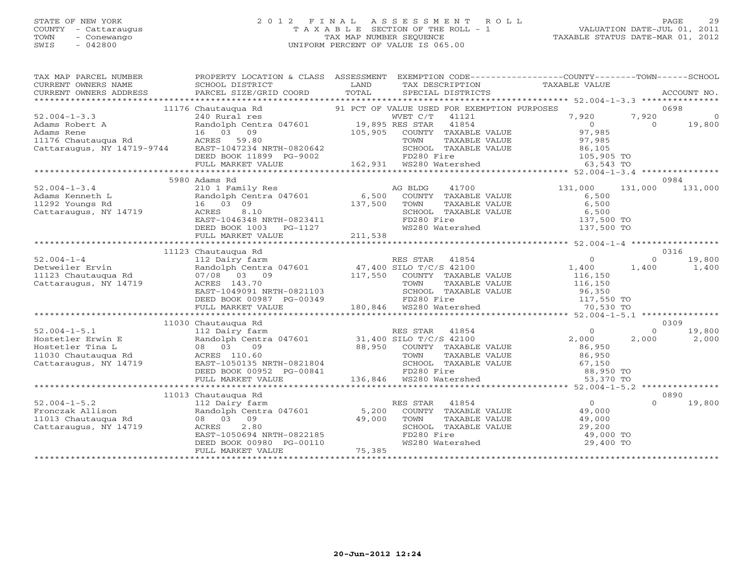#### STATE OF NEW YORK 2 0 1 2 F I N A L A S S E S S M E N T R O L L PAGE 29 COUNTY - Cattaraugus T A X A B L E SECTION OF THE ROLL - 1 VALUATION DATE-JUL 01, 2011 TOWN - Conewango TAX MAP NUMBER SEQUENCE TAXABLE STATUS DATE-MAR 01, 2012 SWIS - 042800 UNIFORM PERCENT OF VALUE IS 065.00UNIFORM PERCENT OF VALUE IS 065.00

| $\begin{tabular}{lllllllllll} \textsc{rank} & & & & & & & \textsc{propexry LOCATION & & & & \textsc{CLASS} & & & \textsc{SSESSMENT} & & \textsc{EXEMPTION} & & & \textsc{CDE----------------COUNTY--------TOWN------SCHOOL} \\ \textsc{CURERNT OWNERS NAME} & & & & & & & \textsc{SCHOOL DISTRICT} & & & & \textsc{LAND} & & \textsc{TSCRIPTION} & & & \textsc{TAXABLE VALUE} & & & \textsc{ACCOUNT NO} \\ & & & & & & & \textsc{DDRES} & & & \textsc{PARCEL SIZE/GRID COORD} & & & \$<br>CURRENT OWNERS ADDRESS |                                                                                                                                                                                                                                           |  |                                                                                                         |           |          |                 |  |  |
|------------------------------------------------------------------------------------------------------------------------------------------------------------------------------------------------------------------------------------------------------------------------------------------------------------------------------------------------------------------------------------------------------------------------------------------------------------------------------------------------------------------|-------------------------------------------------------------------------------------------------------------------------------------------------------------------------------------------------------------------------------------------|--|---------------------------------------------------------------------------------------------------------|-----------|----------|-----------------|--|--|
|                                                                                                                                                                                                                                                                                                                                                                                                                                                                                                                  |                                                                                                                                                                                                                                           |  |                                                                                                         |           |          |                 |  |  |
| 1176 Chautangua Rd 1176 Chautangua Rd 21 DEE BOOK 11899 PG-9002<br>22.004-1-3.3<br>240 Rural res 21 DEE BOOK 11899 PG-9002<br>22.004-1-3.3<br>240 Rural res 21 DEE BOOK 11899 PG-9002<br>22.004-1-3.3<br>240 Rural res 21 DEE BOOK 11899 P                                                                                                                                                                                                                                                                       |                                                                                                                                                                                                                                           |  |                                                                                                         |           |          | 0698            |  |  |
|                                                                                                                                                                                                                                                                                                                                                                                                                                                                                                                  |                                                                                                                                                                                                                                           |  |                                                                                                         |           | 7,920    | $\overline{a}$  |  |  |
|                                                                                                                                                                                                                                                                                                                                                                                                                                                                                                                  |                                                                                                                                                                                                                                           |  |                                                                                                         |           | $\Omega$ | 19,800          |  |  |
|                                                                                                                                                                                                                                                                                                                                                                                                                                                                                                                  |                                                                                                                                                                                                                                           |  |                                                                                                         |           |          |                 |  |  |
|                                                                                                                                                                                                                                                                                                                                                                                                                                                                                                                  |                                                                                                                                                                                                                                           |  |                                                                                                         |           |          |                 |  |  |
|                                                                                                                                                                                                                                                                                                                                                                                                                                                                                                                  |                                                                                                                                                                                                                                           |  |                                                                                                         |           |          |                 |  |  |
|                                                                                                                                                                                                                                                                                                                                                                                                                                                                                                                  |                                                                                                                                                                                                                                           |  |                                                                                                         |           |          |                 |  |  |
|                                                                                                                                                                                                                                                                                                                                                                                                                                                                                                                  |                                                                                                                                                                                                                                           |  |                                                                                                         |           |          |                 |  |  |
|                                                                                                                                                                                                                                                                                                                                                                                                                                                                                                                  |                                                                                                                                                                                                                                           |  |                                                                                                         |           |          |                 |  |  |
|                                                                                                                                                                                                                                                                                                                                                                                                                                                                                                                  | 5980 Adams Rd                                                                                                                                                                                                                             |  |                                                                                                         |           |          | 0984            |  |  |
| $52.004 - 1 - 3.4$                                                                                                                                                                                                                                                                                                                                                                                                                                                                                               |                                                                                                                                                                                                                                           |  |                                                                                                         |           |          | 131,000 131,000 |  |  |
|                                                                                                                                                                                                                                                                                                                                                                                                                                                                                                                  |                                                                                                                                                                                                                                           |  |                                                                                                         |           |          |                 |  |  |
|                                                                                                                                                                                                                                                                                                                                                                                                                                                                                                                  |                                                                                                                                                                                                                                           |  |                                                                                                         |           |          |                 |  |  |
| Adams Kenneth L and Dah Central Randolph Central Randolph Central Randolph Central Randolph Central Randolph Central Randolph Central Randolph Central Randolph Central Randolph Central Randolph Central Randolph Central Ran                                                                                                                                                                                                                                                                                   |                                                                                                                                                                                                                                           |  |                                                                                                         |           |          |                 |  |  |
|                                                                                                                                                                                                                                                                                                                                                                                                                                                                                                                  |                                                                                                                                                                                                                                           |  |                                                                                                         |           |          |                 |  |  |
|                                                                                                                                                                                                                                                                                                                                                                                                                                                                                                                  |                                                                                                                                                                                                                                           |  |                                                                                                         |           |          |                 |  |  |
|                                                                                                                                                                                                                                                                                                                                                                                                                                                                                                                  |                                                                                                                                                                                                                                           |  |                                                                                                         |           |          |                 |  |  |
|                                                                                                                                                                                                                                                                                                                                                                                                                                                                                                                  |                                                                                                                                                                                                                                           |  |                                                                                                         |           |          |                 |  |  |
|                                                                                                                                                                                                                                                                                                                                                                                                                                                                                                                  | Adams Rd<br>210 1 Family Res<br>Randolph Centra 047601 6,500 COUNTY TAXABLE VALUE 6,500<br>16 03 09 137,500 TOWN TAXABLE VALUE 6,500<br>ACRES 8.10 SCHOOL TAXABLE VALUE 6,500<br>EAST-1046348 NRTH-0823411 FD280 Fire 137,500 TO<br>FD280 |  |                                                                                                         |           |          |                 |  |  |
|                                                                                                                                                                                                                                                                                                                                                                                                                                                                                                                  | 11123 Chautaugua Rd                                                                                                                                                                                                                       |  |                                                                                                         |           |          | 0316            |  |  |
|                                                                                                                                                                                                                                                                                                                                                                                                                                                                                                                  |                                                                                                                                                                                                                                           |  |                                                                                                         |           | $\Omega$ | 19,800          |  |  |
|                                                                                                                                                                                                                                                                                                                                                                                                                                                                                                                  |                                                                                                                                                                                                                                           |  |                                                                                                         |           | 1,400    | 1,400           |  |  |
|                                                                                                                                                                                                                                                                                                                                                                                                                                                                                                                  |                                                                                                                                                                                                                                           |  |                                                                                                         |           |          |                 |  |  |
|                                                                                                                                                                                                                                                                                                                                                                                                                                                                                                                  |                                                                                                                                                                                                                                           |  |                                                                                                         |           |          |                 |  |  |
|                                                                                                                                                                                                                                                                                                                                                                                                                                                                                                                  |                                                                                                                                                                                                                                           |  |                                                                                                         |           |          |                 |  |  |
|                                                                                                                                                                                                                                                                                                                                                                                                                                                                                                                  |                                                                                                                                                                                                                                           |  |                                                                                                         |           |          |                 |  |  |
|                                                                                                                                                                                                                                                                                                                                                                                                                                                                                                                  |                                                                                                                                                                                                                                           |  |                                                                                                         |           |          |                 |  |  |
|                                                                                                                                                                                                                                                                                                                                                                                                                                                                                                                  |                                                                                                                                                                                                                                           |  |                                                                                                         |           |          |                 |  |  |
|                                                                                                                                                                                                                                                                                                                                                                                                                                                                                                                  | 11030 Chautaugua Rd                                                                                                                                                                                                                       |  |                                                                                                         |           |          | 0309            |  |  |
|                                                                                                                                                                                                                                                                                                                                                                                                                                                                                                                  |                                                                                                                                                                                                                                           |  |                                                                                                         |           | $\Omega$ | 19,800          |  |  |
|                                                                                                                                                                                                                                                                                                                                                                                                                                                                                                                  |                                                                                                                                                                                                                                           |  |                                                                                                         |           | 2,000    | 2,000           |  |  |
|                                                                                                                                                                                                                                                                                                                                                                                                                                                                                                                  |                                                                                                                                                                                                                                           |  |                                                                                                         |           |          |                 |  |  |
|                                                                                                                                                                                                                                                                                                                                                                                                                                                                                                                  |                                                                                                                                                                                                                                           |  |                                                                                                         |           |          |                 |  |  |
|                                                                                                                                                                                                                                                                                                                                                                                                                                                                                                                  |                                                                                                                                                                                                                                           |  |                                                                                                         |           |          |                 |  |  |
|                                                                                                                                                                                                                                                                                                                                                                                                                                                                                                                  |                                                                                                                                                                                                                                           |  |                                                                                                         |           |          |                 |  |  |
|                                                                                                                                                                                                                                                                                                                                                                                                                                                                                                                  |                                                                                                                                                                                                                                           |  |                                                                                                         |           |          |                 |  |  |
|                                                                                                                                                                                                                                                                                                                                                                                                                                                                                                                  |                                                                                                                                                                                                                                           |  |                                                                                                         |           |          |                 |  |  |
|                                                                                                                                                                                                                                                                                                                                                                                                                                                                                                                  | 11013 Chautauqua Rd                                                                                                                                                                                                                       |  |                                                                                                         |           |          | 0890            |  |  |
|                                                                                                                                                                                                                                                                                                                                                                                                                                                                                                                  |                                                                                                                                                                                                                                           |  | ES STAR 41854 (0)<br>COUNTY TAXABLE VALUE (49,000)<br>RES STAR                                          |           | $\Omega$ | 19,800          |  |  |
|                                                                                                                                                                                                                                                                                                                                                                                                                                                                                                                  |                                                                                                                                                                                                                                           |  |                                                                                                         |           |          |                 |  |  |
|                                                                                                                                                                                                                                                                                                                                                                                                                                                                                                                  |                                                                                                                                                                                                                                           |  |                                                                                                         |           |          |                 |  |  |
|                                                                                                                                                                                                                                                                                                                                                                                                                                                                                                                  |                                                                                                                                                                                                                                           |  |                                                                                                         |           |          |                 |  |  |
|                                                                                                                                                                                                                                                                                                                                                                                                                                                                                                                  |                                                                                                                                                                                                                                           |  |                                                                                                         | 49,000 TO |          |                 |  |  |
|                                                                                                                                                                                                                                                                                                                                                                                                                                                                                                                  |                                                                                                                                                                                                                                           |  | TOWN TAXABLE VALUE 49,000<br>SCHOOL TAXABLE VALUE 29,200<br>FD280 Fire 49,000<br>WS280 Watershed 29,400 | 29,400 TO |          |                 |  |  |
|                                                                                                                                                                                                                                                                                                                                                                                                                                                                                                                  | ACRES 2.80<br>EAST-1050694 NRTH-0822185<br>DEED BOOK 00980 PG-00110<br>FULL MARKET VALUE 75,385                                                                                                                                           |  |                                                                                                         |           |          |                 |  |  |
|                                                                                                                                                                                                                                                                                                                                                                                                                                                                                                                  |                                                                                                                                                                                                                                           |  |                                                                                                         |           |          |                 |  |  |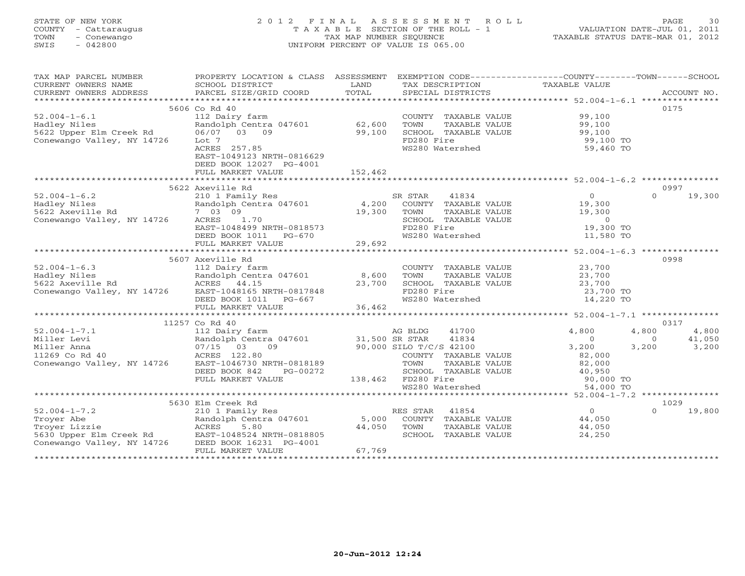## STATE OF NEW YORK 2 0 1 2 F I N A L A S S E S S M E N T R O L L PAGE 30 COUNTY - Cattaraugus T A X A B L E SECTION OF THE ROLL - 1 VALUATION DATE-JUL 01, 2011 TOWN - Conewango TAX MAP NUMBER SEQUENCE TAXABLE STATUS DATE-MAR 01, 2012 SWIS - 042800 UNIFORM PERCENT OF VALUE IS 065.00UNIFORM PERCENT OF VALUE IS 065.00

| CURRENT OWNERS NAME<br>TAXABLE VALUE<br>SCHOOL DISTRICT<br>LAND<br>TAX DESCRIPTION<br>CURRENT OWNERS ADDRESS<br>5606 Co Rd 40<br>0175<br>$52.004 - 1 - 6.1$<br>COUNTY TAXABLE VALUE 99,100<br>112 Dairy farm<br>62,600<br>99,100<br>Randolph Centra 047601<br>TOWN<br>TAXABLE VALUE<br>99,100<br>99,100<br>Hadley Niles<br>5622 Upper Elm Creek Rd<br>06/07 03 09<br>SCHOOL TAXABLE VALUE<br>Conewango Valley, NY 14726<br>FD280 Fire<br>99,100 TO<br>Lot 7<br>ACRES 257.85<br>WS280 Watershed<br>59,460 TO<br>EAST-1049123 NRTH-0816629<br>DEED BOOK 12027 PG-4001<br>FULL MARKET VALUE<br>152,462<br>5622 Axeville Rd<br>0997<br>$\overline{O}$<br>$\Omega$<br>$52.004 - 1 - 6.2$<br>210 1 Family Res<br>SR STAR<br>41834<br>19,300<br>Hadley Niles<br>5622 Axeville Rd<br>Randolph Centra 047601 4,200<br>COUNTY TAXABLE VALUE<br>19,300<br>7 03 09<br>19,300<br>TOWN<br>TAXABLE VALUE<br>19,300<br>Conewango Valley, NY 14726<br>ACRES 1.70<br>SCHOOL TAXABLE VALUE<br>$\overline{0}$<br>19,300 TO<br>EAST-1048499 NRTH-0818573<br>FD280 Fire<br>DEED BOOK 1011 PG-670<br>WS280 Watershed<br>11,580 TO<br>29,692<br>FULL MARKET VALUE<br>5607 Axeville Rd<br>0998<br>COUNTY TAXABLE VALUE<br>23,700<br>$52.004 - 1 - 6.3$<br>112 Dairy farm<br>112 Dairy Iarr<br>Randolph Centi<br>2 ACRES 44.15<br>Randolph Centra 047601 8,600<br>Hadley Niles<br>TOWN<br>23,700<br>TAXABLE VALUE<br>5622 Axeville Rd<br>23,700<br>SCHOOL TAXABLE VALUE<br>23,700<br>Conewango Valley, NY 14726 EAST-1048165 NRTH-0817848<br>FD280 Fire<br>23,700 TO<br>WS280 Watershed<br>14,220 TO<br>DEED BOOK 1011    PG-667<br>36,462<br>FULL MARKET VALUE<br>0317<br>11257 Co Rd 40<br>$52.004 - 1 - 7.1$<br>4,800<br>4,800<br>4,800<br>112 Dairy farm<br>AG BLDG<br>41700<br>112 Dairy Term<br>Randolph Centr<br>07/15 03<br>ACRES 122.80<br>T. 142730<br>Randolph Centra 047601 31,500 SR STAR<br>41834<br>41,050<br>Miller Levi<br>$\overline{0}$<br>$\Omega$<br>07/15 03 09<br>90,000 SILO T/C/S 42100<br>3,200<br>3,200<br>Miller Anna<br>3,200<br>11269 Co Rd 40<br>COUNTY TAXABLE VALUE<br>82,000<br>Conewango Valley, NY 14726 EAST-1046730 NRTH-0818189<br>TOWN<br>TAXABLE VALUE<br>82,000<br>SCHOOL TAXABLE VALUE $40,950$<br>DEED BOOK 842<br>PG-00272<br>138,462 FD280 Fire<br>FULL MARKET VALUE<br>FD280 Fire<br>WS280 Watershed 64,000 TO | TAX MAP PARCEL NUMBER | PROPERTY LOCATION & CLASS ASSESSMENT | EXEMPTION CODE----------------COUNTY-------TOWN------SCHOOL |  |  |
|-------------------------------------------------------------------------------------------------------------------------------------------------------------------------------------------------------------------------------------------------------------------------------------------------------------------------------------------------------------------------------------------------------------------------------------------------------------------------------------------------------------------------------------------------------------------------------------------------------------------------------------------------------------------------------------------------------------------------------------------------------------------------------------------------------------------------------------------------------------------------------------------------------------------------------------------------------------------------------------------------------------------------------------------------------------------------------------------------------------------------------------------------------------------------------------------------------------------------------------------------------------------------------------------------------------------------------------------------------------------------------------------------------------------------------------------------------------------------------------------------------------------------------------------------------------------------------------------------------------------------------------------------------------------------------------------------------------------------------------------------------------------------------------------------------------------------------------------------------------------------------------------------------------------------------------------------------------------------------------------------------------------------------------------------------------------------------------------------------------------------------------------------------------------------------------------------------------------------------------------------------------------------------------------------------------------------------------|-----------------------|--------------------------------------|-------------------------------------------------------------|--|--|
|                                                                                                                                                                                                                                                                                                                                                                                                                                                                                                                                                                                                                                                                                                                                                                                                                                                                                                                                                                                                                                                                                                                                                                                                                                                                                                                                                                                                                                                                                                                                                                                                                                                                                                                                                                                                                                                                                                                                                                                                                                                                                                                                                                                                                                                                                                                                     |                       |                                      |                                                             |  |  |
|                                                                                                                                                                                                                                                                                                                                                                                                                                                                                                                                                                                                                                                                                                                                                                                                                                                                                                                                                                                                                                                                                                                                                                                                                                                                                                                                                                                                                                                                                                                                                                                                                                                                                                                                                                                                                                                                                                                                                                                                                                                                                                                                                                                                                                                                                                                                     |                       |                                      |                                                             |  |  |
|                                                                                                                                                                                                                                                                                                                                                                                                                                                                                                                                                                                                                                                                                                                                                                                                                                                                                                                                                                                                                                                                                                                                                                                                                                                                                                                                                                                                                                                                                                                                                                                                                                                                                                                                                                                                                                                                                                                                                                                                                                                                                                                                                                                                                                                                                                                                     |                       |                                      |                                                             |  |  |
|                                                                                                                                                                                                                                                                                                                                                                                                                                                                                                                                                                                                                                                                                                                                                                                                                                                                                                                                                                                                                                                                                                                                                                                                                                                                                                                                                                                                                                                                                                                                                                                                                                                                                                                                                                                                                                                                                                                                                                                                                                                                                                                                                                                                                                                                                                                                     |                       |                                      |                                                             |  |  |
|                                                                                                                                                                                                                                                                                                                                                                                                                                                                                                                                                                                                                                                                                                                                                                                                                                                                                                                                                                                                                                                                                                                                                                                                                                                                                                                                                                                                                                                                                                                                                                                                                                                                                                                                                                                                                                                                                                                                                                                                                                                                                                                                                                                                                                                                                                                                     |                       |                                      |                                                             |  |  |
|                                                                                                                                                                                                                                                                                                                                                                                                                                                                                                                                                                                                                                                                                                                                                                                                                                                                                                                                                                                                                                                                                                                                                                                                                                                                                                                                                                                                                                                                                                                                                                                                                                                                                                                                                                                                                                                                                                                                                                                                                                                                                                                                                                                                                                                                                                                                     |                       |                                      |                                                             |  |  |
|                                                                                                                                                                                                                                                                                                                                                                                                                                                                                                                                                                                                                                                                                                                                                                                                                                                                                                                                                                                                                                                                                                                                                                                                                                                                                                                                                                                                                                                                                                                                                                                                                                                                                                                                                                                                                                                                                                                                                                                                                                                                                                                                                                                                                                                                                                                                     |                       |                                      |                                                             |  |  |
|                                                                                                                                                                                                                                                                                                                                                                                                                                                                                                                                                                                                                                                                                                                                                                                                                                                                                                                                                                                                                                                                                                                                                                                                                                                                                                                                                                                                                                                                                                                                                                                                                                                                                                                                                                                                                                                                                                                                                                                                                                                                                                                                                                                                                                                                                                                                     |                       |                                      |                                                             |  |  |
|                                                                                                                                                                                                                                                                                                                                                                                                                                                                                                                                                                                                                                                                                                                                                                                                                                                                                                                                                                                                                                                                                                                                                                                                                                                                                                                                                                                                                                                                                                                                                                                                                                                                                                                                                                                                                                                                                                                                                                                                                                                                                                                                                                                                                                                                                                                                     |                       |                                      |                                                             |  |  |
|                                                                                                                                                                                                                                                                                                                                                                                                                                                                                                                                                                                                                                                                                                                                                                                                                                                                                                                                                                                                                                                                                                                                                                                                                                                                                                                                                                                                                                                                                                                                                                                                                                                                                                                                                                                                                                                                                                                                                                                                                                                                                                                                                                                                                                                                                                                                     |                       |                                      |                                                             |  |  |
|                                                                                                                                                                                                                                                                                                                                                                                                                                                                                                                                                                                                                                                                                                                                                                                                                                                                                                                                                                                                                                                                                                                                                                                                                                                                                                                                                                                                                                                                                                                                                                                                                                                                                                                                                                                                                                                                                                                                                                                                                                                                                                                                                                                                                                                                                                                                     |                       |                                      |                                                             |  |  |
|                                                                                                                                                                                                                                                                                                                                                                                                                                                                                                                                                                                                                                                                                                                                                                                                                                                                                                                                                                                                                                                                                                                                                                                                                                                                                                                                                                                                                                                                                                                                                                                                                                                                                                                                                                                                                                                                                                                                                                                                                                                                                                                                                                                                                                                                                                                                     |                       |                                      |                                                             |  |  |
|                                                                                                                                                                                                                                                                                                                                                                                                                                                                                                                                                                                                                                                                                                                                                                                                                                                                                                                                                                                                                                                                                                                                                                                                                                                                                                                                                                                                                                                                                                                                                                                                                                                                                                                                                                                                                                                                                                                                                                                                                                                                                                                                                                                                                                                                                                                                     |                       |                                      |                                                             |  |  |
|                                                                                                                                                                                                                                                                                                                                                                                                                                                                                                                                                                                                                                                                                                                                                                                                                                                                                                                                                                                                                                                                                                                                                                                                                                                                                                                                                                                                                                                                                                                                                                                                                                                                                                                                                                                                                                                                                                                                                                                                                                                                                                                                                                                                                                                                                                                                     |                       |                                      |                                                             |  |  |
|                                                                                                                                                                                                                                                                                                                                                                                                                                                                                                                                                                                                                                                                                                                                                                                                                                                                                                                                                                                                                                                                                                                                                                                                                                                                                                                                                                                                                                                                                                                                                                                                                                                                                                                                                                                                                                                                                                                                                                                                                                                                                                                                                                                                                                                                                                                                     |                       |                                      |                                                             |  |  |
|                                                                                                                                                                                                                                                                                                                                                                                                                                                                                                                                                                                                                                                                                                                                                                                                                                                                                                                                                                                                                                                                                                                                                                                                                                                                                                                                                                                                                                                                                                                                                                                                                                                                                                                                                                                                                                                                                                                                                                                                                                                                                                                                                                                                                                                                                                                                     |                       |                                      |                                                             |  |  |
|                                                                                                                                                                                                                                                                                                                                                                                                                                                                                                                                                                                                                                                                                                                                                                                                                                                                                                                                                                                                                                                                                                                                                                                                                                                                                                                                                                                                                                                                                                                                                                                                                                                                                                                                                                                                                                                                                                                                                                                                                                                                                                                                                                                                                                                                                                                                     |                       |                                      |                                                             |  |  |
|                                                                                                                                                                                                                                                                                                                                                                                                                                                                                                                                                                                                                                                                                                                                                                                                                                                                                                                                                                                                                                                                                                                                                                                                                                                                                                                                                                                                                                                                                                                                                                                                                                                                                                                                                                                                                                                                                                                                                                                                                                                                                                                                                                                                                                                                                                                                     |                       |                                      |                                                             |  |  |
|                                                                                                                                                                                                                                                                                                                                                                                                                                                                                                                                                                                                                                                                                                                                                                                                                                                                                                                                                                                                                                                                                                                                                                                                                                                                                                                                                                                                                                                                                                                                                                                                                                                                                                                                                                                                                                                                                                                                                                                                                                                                                                                                                                                                                                                                                                                                     |                       |                                      |                                                             |  |  |
|                                                                                                                                                                                                                                                                                                                                                                                                                                                                                                                                                                                                                                                                                                                                                                                                                                                                                                                                                                                                                                                                                                                                                                                                                                                                                                                                                                                                                                                                                                                                                                                                                                                                                                                                                                                                                                                                                                                                                                                                                                                                                                                                                                                                                                                                                                                                     |                       |                                      |                                                             |  |  |
|                                                                                                                                                                                                                                                                                                                                                                                                                                                                                                                                                                                                                                                                                                                                                                                                                                                                                                                                                                                                                                                                                                                                                                                                                                                                                                                                                                                                                                                                                                                                                                                                                                                                                                                                                                                                                                                                                                                                                                                                                                                                                                                                                                                                                                                                                                                                     |                       |                                      |                                                             |  |  |
|                                                                                                                                                                                                                                                                                                                                                                                                                                                                                                                                                                                                                                                                                                                                                                                                                                                                                                                                                                                                                                                                                                                                                                                                                                                                                                                                                                                                                                                                                                                                                                                                                                                                                                                                                                                                                                                                                                                                                                                                                                                                                                                                                                                                                                                                                                                                     |                       |                                      |                                                             |  |  |
|                                                                                                                                                                                                                                                                                                                                                                                                                                                                                                                                                                                                                                                                                                                                                                                                                                                                                                                                                                                                                                                                                                                                                                                                                                                                                                                                                                                                                                                                                                                                                                                                                                                                                                                                                                                                                                                                                                                                                                                                                                                                                                                                                                                                                                                                                                                                     |                       |                                      |                                                             |  |  |
|                                                                                                                                                                                                                                                                                                                                                                                                                                                                                                                                                                                                                                                                                                                                                                                                                                                                                                                                                                                                                                                                                                                                                                                                                                                                                                                                                                                                                                                                                                                                                                                                                                                                                                                                                                                                                                                                                                                                                                                                                                                                                                                                                                                                                                                                                                                                     |                       |                                      |                                                             |  |  |
|                                                                                                                                                                                                                                                                                                                                                                                                                                                                                                                                                                                                                                                                                                                                                                                                                                                                                                                                                                                                                                                                                                                                                                                                                                                                                                                                                                                                                                                                                                                                                                                                                                                                                                                                                                                                                                                                                                                                                                                                                                                                                                                                                                                                                                                                                                                                     |                       |                                      |                                                             |  |  |
|                                                                                                                                                                                                                                                                                                                                                                                                                                                                                                                                                                                                                                                                                                                                                                                                                                                                                                                                                                                                                                                                                                                                                                                                                                                                                                                                                                                                                                                                                                                                                                                                                                                                                                                                                                                                                                                                                                                                                                                                                                                                                                                                                                                                                                                                                                                                     |                       |                                      |                                                             |  |  |
|                                                                                                                                                                                                                                                                                                                                                                                                                                                                                                                                                                                                                                                                                                                                                                                                                                                                                                                                                                                                                                                                                                                                                                                                                                                                                                                                                                                                                                                                                                                                                                                                                                                                                                                                                                                                                                                                                                                                                                                                                                                                                                                                                                                                                                                                                                                                     |                       |                                      |                                                             |  |  |
|                                                                                                                                                                                                                                                                                                                                                                                                                                                                                                                                                                                                                                                                                                                                                                                                                                                                                                                                                                                                                                                                                                                                                                                                                                                                                                                                                                                                                                                                                                                                                                                                                                                                                                                                                                                                                                                                                                                                                                                                                                                                                                                                                                                                                                                                                                                                     |                       |                                      |                                                             |  |  |
|                                                                                                                                                                                                                                                                                                                                                                                                                                                                                                                                                                                                                                                                                                                                                                                                                                                                                                                                                                                                                                                                                                                                                                                                                                                                                                                                                                                                                                                                                                                                                                                                                                                                                                                                                                                                                                                                                                                                                                                                                                                                                                                                                                                                                                                                                                                                     |                       |                                      |                                                             |  |  |
|                                                                                                                                                                                                                                                                                                                                                                                                                                                                                                                                                                                                                                                                                                                                                                                                                                                                                                                                                                                                                                                                                                                                                                                                                                                                                                                                                                                                                                                                                                                                                                                                                                                                                                                                                                                                                                                                                                                                                                                                                                                                                                                                                                                                                                                                                                                                     |                       |                                      |                                                             |  |  |
|                                                                                                                                                                                                                                                                                                                                                                                                                                                                                                                                                                                                                                                                                                                                                                                                                                                                                                                                                                                                                                                                                                                                                                                                                                                                                                                                                                                                                                                                                                                                                                                                                                                                                                                                                                                                                                                                                                                                                                                                                                                                                                                                                                                                                                                                                                                                     |                       |                                      |                                                             |  |  |
|                                                                                                                                                                                                                                                                                                                                                                                                                                                                                                                                                                                                                                                                                                                                                                                                                                                                                                                                                                                                                                                                                                                                                                                                                                                                                                                                                                                                                                                                                                                                                                                                                                                                                                                                                                                                                                                                                                                                                                                                                                                                                                                                                                                                                                                                                                                                     |                       |                                      |                                                             |  |  |
|                                                                                                                                                                                                                                                                                                                                                                                                                                                                                                                                                                                                                                                                                                                                                                                                                                                                                                                                                                                                                                                                                                                                                                                                                                                                                                                                                                                                                                                                                                                                                                                                                                                                                                                                                                                                                                                                                                                                                                                                                                                                                                                                                                                                                                                                                                                                     |                       |                                      |                                                             |  |  |
|                                                                                                                                                                                                                                                                                                                                                                                                                                                                                                                                                                                                                                                                                                                                                                                                                                                                                                                                                                                                                                                                                                                                                                                                                                                                                                                                                                                                                                                                                                                                                                                                                                                                                                                                                                                                                                                                                                                                                                                                                                                                                                                                                                                                                                                                                                                                     |                       |                                      |                                                             |  |  |
|                                                                                                                                                                                                                                                                                                                                                                                                                                                                                                                                                                                                                                                                                                                                                                                                                                                                                                                                                                                                                                                                                                                                                                                                                                                                                                                                                                                                                                                                                                                                                                                                                                                                                                                                                                                                                                                                                                                                                                                                                                                                                                                                                                                                                                                                                                                                     |                       |                                      |                                                             |  |  |
|                                                                                                                                                                                                                                                                                                                                                                                                                                                                                                                                                                                                                                                                                                                                                                                                                                                                                                                                                                                                                                                                                                                                                                                                                                                                                                                                                                                                                                                                                                                                                                                                                                                                                                                                                                                                                                                                                                                                                                                                                                                                                                                                                                                                                                                                                                                                     |                       |                                      |                                                             |  |  |
|                                                                                                                                                                                                                                                                                                                                                                                                                                                                                                                                                                                                                                                                                                                                                                                                                                                                                                                                                                                                                                                                                                                                                                                                                                                                                                                                                                                                                                                                                                                                                                                                                                                                                                                                                                                                                                                                                                                                                                                                                                                                                                                                                                                                                                                                                                                                     |                       |                                      |                                                             |  |  |
|                                                                                                                                                                                                                                                                                                                                                                                                                                                                                                                                                                                                                                                                                                                                                                                                                                                                                                                                                                                                                                                                                                                                                                                                                                                                                                                                                                                                                                                                                                                                                                                                                                                                                                                                                                                                                                                                                                                                                                                                                                                                                                                                                                                                                                                                                                                                     |                       |                                      |                                                             |  |  |
|                                                                                                                                                                                                                                                                                                                                                                                                                                                                                                                                                                                                                                                                                                                                                                                                                                                                                                                                                                                                                                                                                                                                                                                                                                                                                                                                                                                                                                                                                                                                                                                                                                                                                                                                                                                                                                                                                                                                                                                                                                                                                                                                                                                                                                                                                                                                     |                       |                                      |                                                             |  |  |
|                                                                                                                                                                                                                                                                                                                                                                                                                                                                                                                                                                                                                                                                                                                                                                                                                                                                                                                                                                                                                                                                                                                                                                                                                                                                                                                                                                                                                                                                                                                                                                                                                                                                                                                                                                                                                                                                                                                                                                                                                                                                                                                                                                                                                                                                                                                                     |                       |                                      |                                                             |  |  |
| 1029                                                                                                                                                                                                                                                                                                                                                                                                                                                                                                                                                                                                                                                                                                                                                                                                                                                                                                                                                                                                                                                                                                                                                                                                                                                                                                                                                                                                                                                                                                                                                                                                                                                                                                                                                                                                                                                                                                                                                                                                                                                                                                                                                                                                                                                                                                                                |                       |                                      |                                                             |  |  |
| 5630 Elm Creek Rd<br>$\overline{0}$<br>$\Omega$                                                                                                                                                                                                                                                                                                                                                                                                                                                                                                                                                                                                                                                                                                                                                                                                                                                                                                                                                                                                                                                                                                                                                                                                                                                                                                                                                                                                                                                                                                                                                                                                                                                                                                                                                                                                                                                                                                                                                                                                                                                                                                                                                                                                                                                                                     |                       |                                      |                                                             |  |  |
| 19,800<br>RES STAR<br>41854                                                                                                                                                                                                                                                                                                                                                                                                                                                                                                                                                                                                                                                                                                                                                                                                                                                                                                                                                                                                                                                                                                                                                                                                                                                                                                                                                                                                                                                                                                                                                                                                                                                                                                                                                                                                                                                                                                                                                                                                                                                                                                                                                                                                                                                                                                         |                       |                                      |                                                             |  |  |
| 5,000 COUNTY TAXABLE VALUE<br>44,050<br>--- 0018805<br>--- 0018805<br>44,050<br>TOWN<br>44,050                                                                                                                                                                                                                                                                                                                                                                                                                                                                                                                                                                                                                                                                                                                                                                                                                                                                                                                                                                                                                                                                                                                                                                                                                                                                                                                                                                                                                                                                                                                                                                                                                                                                                                                                                                                                                                                                                                                                                                                                                                                                                                                                                                                                                                      |                       |                                      |                                                             |  |  |
| TAXABLE VALUE<br>SCHOOL TAXABLE VALUE<br>24,250                                                                                                                                                                                                                                                                                                                                                                                                                                                                                                                                                                                                                                                                                                                                                                                                                                                                                                                                                                                                                                                                                                                                                                                                                                                                                                                                                                                                                                                                                                                                                                                                                                                                                                                                                                                                                                                                                                                                                                                                                                                                                                                                                                                                                                                                                     |                       |                                      |                                                             |  |  |
|                                                                                                                                                                                                                                                                                                                                                                                                                                                                                                                                                                                                                                                                                                                                                                                                                                                                                                                                                                                                                                                                                                                                                                                                                                                                                                                                                                                                                                                                                                                                                                                                                                                                                                                                                                                                                                                                                                                                                                                                                                                                                                                                                                                                                                                                                                                                     |                       |                                      |                                                             |  |  |
| $\begin{tabular}{lllllllllllll} 52.004-1-7.2 & 2101 Family res \\ \hline \texttt{Troyer Abe} & Random Centra 047601 \\ \texttt{Troyer Lizzie} & \texttt{ACRES} & 5.80 \\ \texttt{5630 Upper Elm Creek Rd} & \texttt{EAST-1048524 NRTH-0818805} \\ \texttt{Conewango Valley, NY 14726} & \texttt{DEED BCON-16231} & \texttt{PG-4001} \\ \end{tabular}$<br>67,769<br>FULL MARKET VALUE                                                                                                                                                                                                                                                                                                                                                                                                                                                                                                                                                                                                                                                                                                                                                                                                                                                                                                                                                                                                                                                                                                                                                                                                                                                                                                                                                                                                                                                                                                                                                                                                                                                                                                                                                                                                                                                                                                                                                |                       |                                      |                                                             |  |  |
|                                                                                                                                                                                                                                                                                                                                                                                                                                                                                                                                                                                                                                                                                                                                                                                                                                                                                                                                                                                                                                                                                                                                                                                                                                                                                                                                                                                                                                                                                                                                                                                                                                                                                                                                                                                                                                                                                                                                                                                                                                                                                                                                                                                                                                                                                                                                     |                       |                                      |                                                             |  |  |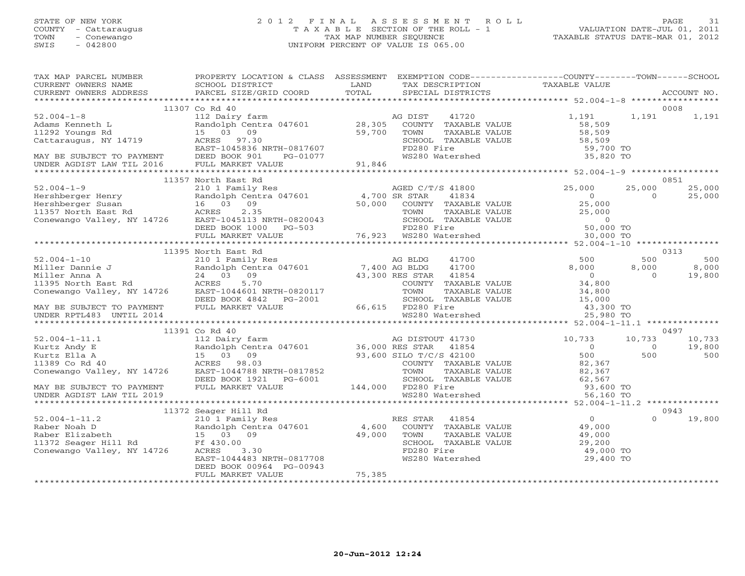## STATE OF NEW YORK 2 0 1 2 F I N A L A S S E S S M E N T R O L L PAGE 31 COUNTY - Cattaraugus T A X A B L E SECTION OF THE ROLL - 1 VALUATION DATE-JUL 01, 2011 TOWN - Conewango TAX MAP NUMBER SEQUENCE TAXABLE STATUS DATE-MAR 01, 2012 SWIS - 042800 UNIFORM PERCENT OF VALUE IS 065.00UNIFORM PERCENT OF VALUE IS 065.00

| TAX MAP PARCEL NUMBER | PROPERTY LOCATION & CLASS ASSESSMENT |        |                                                 | EXEMPTION CODE----------------COUNTY-------TOWN------SCHOOL                                                                                                                                                                |                |               |
|-----------------------|--------------------------------------|--------|-------------------------------------------------|----------------------------------------------------------------------------------------------------------------------------------------------------------------------------------------------------------------------------|----------------|---------------|
|                       |                                      |        | TAX DESCRIPTION TAXABLE VALUE SPECIAL DISTRICTS |                                                                                                                                                                                                                            |                |               |
|                       |                                      |        |                                                 |                                                                                                                                                                                                                            |                |               |
|                       | 11307 Co Rd 40                       |        |                                                 |                                                                                                                                                                                                                            |                | 0008          |
|                       |                                      |        |                                                 |                                                                                                                                                                                                                            |                |               |
|                       |                                      |        |                                                 |                                                                                                                                                                                                                            |                |               |
|                       |                                      |        |                                                 |                                                                                                                                                                                                                            |                |               |
|                       |                                      |        |                                                 |                                                                                                                                                                                                                            |                |               |
|                       |                                      |        |                                                 |                                                                                                                                                                                                                            |                |               |
|                       |                                      |        |                                                 |                                                                                                                                                                                                                            |                |               |
|                       |                                      |        |                                                 |                                                                                                                                                                                                                            |                |               |
|                       |                                      |        |                                                 |                                                                                                                                                                                                                            |                |               |
|                       | 11357 North East Rd                  |        |                                                 |                                                                                                                                                                                                                            |                | 0851          |
|                       |                                      |        |                                                 |                                                                                                                                                                                                                            |                |               |
|                       |                                      |        |                                                 |                                                                                                                                                                                                                            |                |               |
|                       |                                      |        |                                                 |                                                                                                                                                                                                                            |                |               |
|                       |                                      |        |                                                 |                                                                                                                                                                                                                            |                |               |
|                       |                                      |        |                                                 |                                                                                                                                                                                                                            |                |               |
|                       |                                      |        |                                                 |                                                                                                                                                                                                                            |                |               |
|                       |                                      |        |                                                 |                                                                                                                                                                                                                            |                |               |
|                       |                                      |        |                                                 |                                                                                                                                                                                                                            |                |               |
|                       | 11395 North East Rd                  |        |                                                 | 3 BLDG 41700 500 500 500<br>3 BLDG 41700 8,000 8,000<br>ES STAR 41854 0 0 0<br>COUNTY TAXABLE VALUE 34,800<br>$\begin{array}{ccc}\n & \text{maxARIE} & \text{value} & 34,800 \\  & \text{maxARIE} & 34,800 \\ \end{array}$ |                | 0313          |
|                       |                                      |        |                                                 |                                                                                                                                                                                                                            |                |               |
|                       |                                      |        |                                                 |                                                                                                                                                                                                                            |                |               |
|                       |                                      |        |                                                 |                                                                                                                                                                                                                            |                |               |
|                       |                                      |        |                                                 |                                                                                                                                                                                                                            |                |               |
|                       |                                      |        |                                                 |                                                                                                                                                                                                                            |                |               |
|                       |                                      |        |                                                 |                                                                                                                                                                                                                            |                |               |
|                       |                                      |        |                                                 |                                                                                                                                                                                                                            |                |               |
|                       |                                      |        |                                                 |                                                                                                                                                                                                                            |                |               |
|                       |                                      |        |                                                 |                                                                                                                                                                                                                            |                |               |
|                       | 11391 Co Rd 40                       |        |                                                 |                                                                                                                                                                                                                            |                | 0497          |
|                       |                                      |        |                                                 |                                                                                                                                                                                                                            | 10,733         | 10,733        |
|                       |                                      |        |                                                 | $\begin{array}{c} 0 \\ 500 \\ 82,367 \end{array}$                                                                                                                                                                          | $\overline{0}$ | 19,800<br>500 |
|                       |                                      |        |                                                 |                                                                                                                                                                                                                            | 500            |               |
|                       |                                      |        |                                                 |                                                                                                                                                                                                                            |                |               |
|                       |                                      |        |                                                 |                                                                                                                                                                                                                            |                |               |
|                       |                                      |        |                                                 |                                                                                                                                                                                                                            |                |               |
|                       |                                      |        |                                                 |                                                                                                                                                                                                                            |                |               |
|                       |                                      |        |                                                 |                                                                                                                                                                                                                            |                |               |
|                       | 11372 Seager Hill Rd                 |        |                                                 |                                                                                                                                                                                                                            |                | 0943          |
|                       |                                      |        |                                                 |                                                                                                                                                                                                                            | $\Omega$       | 19,800        |
|                       |                                      |        |                                                 |                                                                                                                                                                                                                            |                |               |
|                       |                                      |        |                                                 |                                                                                                                                                                                                                            |                |               |
|                       |                                      |        |                                                 |                                                                                                                                                                                                                            |                |               |
|                       |                                      |        |                                                 |                                                                                                                                                                                                                            |                |               |
|                       |                                      |        |                                                 |                                                                                                                                                                                                                            |                |               |
|                       | DEED BOOK 00964 PG-00943             |        |                                                 |                                                                                                                                                                                                                            |                |               |
|                       | FULL MARKET VALUE                    | 75,385 |                                                 |                                                                                                                                                                                                                            |                |               |
|                       |                                      |        |                                                 |                                                                                                                                                                                                                            |                |               |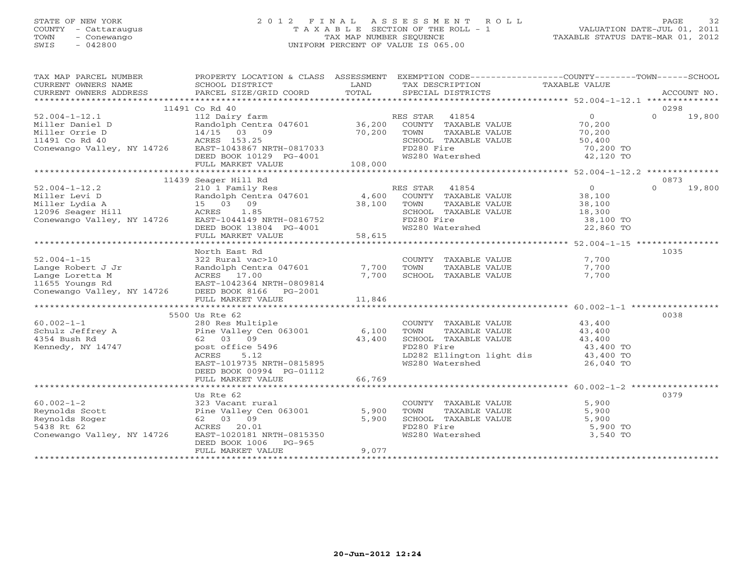## STATE OF NEW YORK 2 0 1 2 F I N A L A S S E S S M E N T R O L L PAGE 32 COUNTY - Cattaraugus T A X A B L E SECTION OF THE ROLL - 1 VALUATION DATE-JUL 01, 2011 TOWN - Conewango TAX MAP NUMBER SEQUENCE TAXABLE STATUS DATE-MAR 01, 2012 SWIS - 042800 UNIFORM PERCENT OF VALUE IS 065.00UNIFORM PERCENT OF VALUE IS 065.00

| TAX MAP PARCEL NUMBER                                                                                                                          | PROPERTY LOCATION & CLASS ASSESSMENT                                                                  |        |                             | EXEMPTION CODE-----------------COUNTY-------TOWN------SCHOOL                     |                    |
|------------------------------------------------------------------------------------------------------------------------------------------------|-------------------------------------------------------------------------------------------------------|--------|-----------------------------|----------------------------------------------------------------------------------|--------------------|
|                                                                                                                                                |                                                                                                       |        |                             |                                                                                  |                    |
|                                                                                                                                                | 11491 Co Rd 40                                                                                        |        |                             |                                                                                  | 0298               |
| $52.004 - 1 - 12.1$                                                                                                                            | 112 Dairy farm                                                                                        |        | RES STAR 41854              | $\overline{0}$                                                                   | $\Omega$<br>19,800 |
| Miller Daniel D<br>Miller Orrie D<br>Miller Orrie D<br>14/15 03 (<br>1491 Co Rd 40 (ACRES 153.25)<br>Conewango Valley, NY 14726 (EAST-1043867) | Randolph Centra 047601 36,200                                                                         |        | COUNTY TAXABLE VALUE 70,200 |                                                                                  |                    |
|                                                                                                                                                | 14/15 03 09                                                                                           | 70,200 | TOWN<br>TAXABLE VALUE       | 70,200                                                                           |                    |
|                                                                                                                                                |                                                                                                       |        | SCHOOL TAXABLE VALUE        | 50,400                                                                           |                    |
|                                                                                                                                                | EAST-1043867 NRTH-0817033                                                                             |        | FD280 Fire                  | 70,200 TO                                                                        |                    |
|                                                                                                                                                |                                                                                                       |        | WS280 Watershed             | 42,120 TO                                                                        |                    |
|                                                                                                                                                |                                                                                                       |        |                             |                                                                                  |                    |
|                                                                                                                                                |                                                                                                       |        |                             |                                                                                  |                    |
|                                                                                                                                                | 11439 Seager Hill Rd<br>210 <sup>1</sup> Family Res                                                   |        |                             | $\overline{0}$                                                                   | 0873<br>$\Omega$   |
| $52.004 - 1 - 12.2$                                                                                                                            |                                                                                                       |        | RES STAR 41854              |                                                                                  | 19,800             |
| Miller Levi D<br>Randolph Cent<br>15     03     09                                                                                             | Randolph Centra 047601 4,600 COUNTY TAXABLE VALUE 38,100<br>15 03 09 38,100 TOWN TAXABLE VALUE 38,100 |        |                             |                                                                                  |                    |
| Miller Lydia A                                                                                                                                 |                                                                                                       |        |                             |                                                                                  |                    |
| 12096 Seager Hill<br>Conewango Valley, NY 14726 EAST-1044149 NRTH-0816752                                                                      |                                                                                                       |        |                             | SCHOOL TAXABLE VALUE 18,300<br>FORM TAXABLE VALUE 18,300<br>FD280 Fire 38,100 TO |                    |
|                                                                                                                                                |                                                                                                       |        | WS280 Watershed             | 22,860 TO                                                                        |                    |
|                                                                                                                                                | DEED BOOK 13804 PG-4001<br>FULL MARKET VALUE 58,615                                                   |        |                             |                                                                                  |                    |
|                                                                                                                                                |                                                                                                       |        |                             |                                                                                  |                    |
|                                                                                                                                                | North East Rd                                                                                         |        |                             |                                                                                  | 1035               |
|                                                                                                                                                |                                                                                                       |        | COUNTY TAXABLE VALUE 7,700  |                                                                                  |                    |
|                                                                                                                                                |                                                                                                       |        | TOWN<br>TAXABLE VALUE       | 7,700                                                                            |                    |
|                                                                                                                                                |                                                                                                       |        | SCHOOL TAXABLE VALUE        | 7,700                                                                            |                    |
|                                                                                                                                                |                                                                                                       |        |                             |                                                                                  |                    |
|                                                                                                                                                |                                                                                                       |        |                             |                                                                                  |                    |
|                                                                                                                                                | FULL MARKET VALUE                                                                                     | 11,846 |                             |                                                                                  |                    |
|                                                                                                                                                |                                                                                                       |        |                             |                                                                                  |                    |
|                                                                                                                                                | 5500 Us Rte 62                                                                                        |        |                             |                                                                                  | 0038               |
| $60.002 - 1 - 1$                                                                                                                               | 280 Res Multiple                                                                                      |        | COUNTY TAXABLE VALUE 43,400 |                                                                                  |                    |
| Schulz Jeffrey A                                                                                                                               | Pine Valley Cen 063001                                                                                | 6,100  |                             |                                                                                  |                    |
| 4354 Bush Rd                                                                                                                                   | 62 03 09                                                                                              | 43,400 | TOWN TAXABLE VALUE          |                                                                                  |                    |
| Kennedy, NY 14747                                                                                                                              | post office 5496                                                                                      |        |                             | 43,400 TO<br>43,400 TO                                                           |                    |
|                                                                                                                                                | ACRES<br>5.12                                                                                         |        | LD282 Ellington light dis   |                                                                                  |                    |
|                                                                                                                                                | EAST-1019735 NRTH-0815895                                                                             |        | WS280 Watershed             | 26,040 TO                                                                        |                    |
|                                                                                                                                                | DEED BOOK 00994 PG-01112<br>FULL MARKET VALUE                                                         | 66,769 |                             |                                                                                  |                    |
|                                                                                                                                                |                                                                                                       |        |                             |                                                                                  |                    |
|                                                                                                                                                | Us Rte 62                                                                                             |        |                             |                                                                                  | 0379               |
| $60.002 - 1 - 2$                                                                                                                               | 323 Vacant rural                                                                                      |        | COUNTY TAXABLE VALUE        | 5,900                                                                            |                    |
| Reynolds Scott                                                                                                                                 | Pine Valley Cen 063001                                                                                | 5,900  | TAXABLE VALUE<br>TOWN       | 5,900                                                                            |                    |
| Reynolds Roger                                                                                                                                 | 62 03 09                                                                                              | 5,900  |                             | TOWN TAXABLE VALUE 5,900 TO<br>SCHOOL TAXABLE VALUE 5,900 TO                     |                    |
| 5438 Rt 62                                                                                                                                     | ACRES<br>20.01                                                                                        |        |                             |                                                                                  |                    |
| Conewango Valley, NY 14726                                                                                                                     | EAST-1020181 NRTH-0815350                                                                             |        | WS280 Watershed             | 3,540 TO                                                                         |                    |
|                                                                                                                                                | DEED BOOK 1006<br>PG-965                                                                              |        |                             |                                                                                  |                    |
|                                                                                                                                                | FULL MARKET VALUE                                                                                     | 9,077  |                             |                                                                                  |                    |
|                                                                                                                                                |                                                                                                       |        |                             |                                                                                  |                    |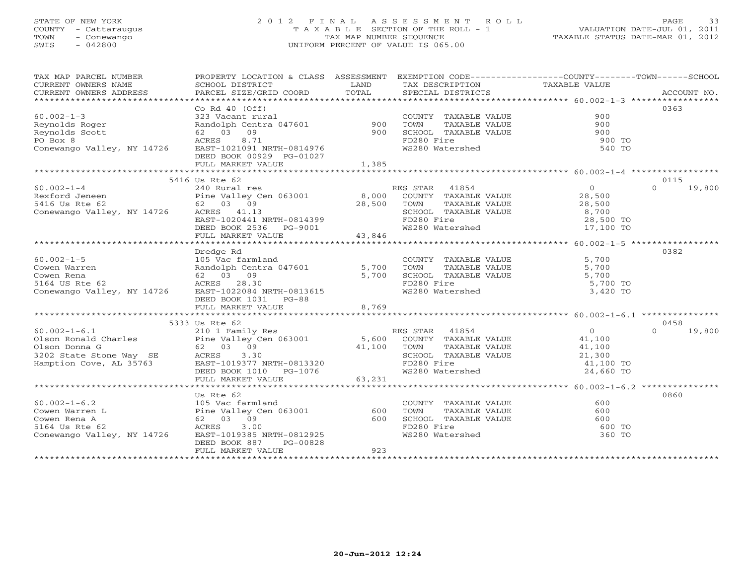## STATE OF NEW YORK 2 0 1 2 F I N A L A S S E S S M E N T R O L L PAGE 33 COUNTY - Cattaraugus T A X A B L E SECTION OF THE ROLL - 1 VALUATION DATE-JUL 01, 2011 TOWN - Conewango TAX MAP NUMBER SEQUENCE TAXABLE STATUS DATE-MAR 01, 2012 SWIS - 042800 UNIFORM PERCENT OF VALUE IS 065.00UNIFORM PERCENT OF VALUE IS 065.00

| TAX MAP PARCEL NUMBER<br>CURRENT OWNERS NAME<br>CURRENT OWNERS ADDRESS                                                                                                                                            | SCHOOL DISTRICT<br>PARCEL SIZE/GRID COORD                                                                                                                                                  | LAND<br>TOTAL    | TAX DESCRIPTION TAXABLE VALUE SPECIAL DISTRICTS                                                                          | PROPERTY LOCATION & CLASS ASSESSMENT EXEMPTION CODE----------------COUNTY-------TOWN------SCHOOL<br>ACCOUNT NO. |  |  |
|-------------------------------------------------------------------------------------------------------------------------------------------------------------------------------------------------------------------|--------------------------------------------------------------------------------------------------------------------------------------------------------------------------------------------|------------------|--------------------------------------------------------------------------------------------------------------------------|-----------------------------------------------------------------------------------------------------------------|--|--|
| $60.002 - 1 - 3$<br>Reynolds Roger<br>Reynolds Scott<br>62 03<br>ACRES<br>PO Box 8<br>Conewango Valley, NY 14726                                                                                                  | Co Rd $40$ (Off)<br>Co kd 40 (ULL)<br>323 Vacant rural<br>Randolph Centra 047601 900<br>62 03 09 900<br>8.71<br>EAST-1021091 NRTH-0814976<br>DEED BOOK 00929 PG-01027<br>FULL MARKET VALUE | 1,385            | COUNTY TAXABLE VALUE<br>TAXABLE VALUE<br>TOWN<br>SCHOOL TAXABLE VALUE<br>FD280 Fire<br>WS280 Watershed                   | 0363<br>900<br>900<br>900<br>900 TO<br>540 TO                                                                   |  |  |
|                                                                                                                                                                                                                   | 5416 Us Rte 62                                                                                                                                                                             |                  |                                                                                                                          | 0115                                                                                                            |  |  |
| $60.002 - 1 - 4$<br>Rexford Jeneen<br>5416 Us Rte 62<br>Conewango Valley, NY 14726 ACRES 41.13                                                                                                                    | 240 Rural res<br>Pine Valley Cen 063001 8,000<br>62 03 09 28.500<br>EAST-1020441 NRTH-0814399<br>DEED BOOK 2536 PG-9001<br>FULL MARKET VALUE                                               | 28,500<br>43,846 | RES STAR 41854<br>COUNTY TAXABLE VALUE<br>TOWN<br>TAXABLE VALUE<br>SCHOOL TAXABLE VALUE<br>FD280 Fire<br>WS280 Watershed | $\overline{0}$<br>$\Omega$<br>19,800<br>28,500<br>28,500<br>8,700<br>28,500 TO<br>17,100 TO                     |  |  |
| ************************                                                                                                                                                                                          |                                                                                                                                                                                            |                  |                                                                                                                          |                                                                                                                 |  |  |
| $60.002 - 1 - 5$<br>Cowen Warren<br>Cowen Rena<br>5164 US Rte 62<br>Conewango Valley, NY 14726 EAST-1022084 NRTH-0813615                                                                                          | Dredge Rd<br>- Alexander Larm 1810<br>Randolph Centra 047601 5,700<br>62 03 09 5,700<br>ACRES 28.30<br>EAST-1022084 NPTH 2010 1<br>DEED BOOK 1031 PG-88                                    |                  | COUNTY TAXABLE VALUE<br>TOWN<br>TAXABLE VALUE<br>SCHOOL TAXABLE VALUE<br>FD280 Fire<br>WS280 Watershed                   | 0382<br>5,700<br>5,700<br>5,700<br>5,700 TO<br>3,420 TO                                                         |  |  |
|                                                                                                                                                                                                                   | FULL MARKET VALUE                                                                                                                                                                          | 8,769            |                                                                                                                          |                                                                                                                 |  |  |
|                                                                                                                                                                                                                   |                                                                                                                                                                                            |                  |                                                                                                                          |                                                                                                                 |  |  |
| 60.002-1-6.1 210 1 Family Res RI<br>Olson Ronald Charles Pine Valley Cen 063001 5,600<br>Olson Donna G 62 03 09 41,100<br>3202 State Stone Way SE ACRES 3.30<br>Hamption Cove, AL 35763 EAST-1019377 NRTH-0813320 | 5333 Us Rte 62<br>EAST-1019377 NRTH-0813320<br>DEED BOOK 1010 PG-1076<br>FULL MARKET VALUE                                                                                                 | 63,231           | RES STAR 41854<br>COUNTY TAXABLE VALUE<br>TOWN<br>TAXABLE VALUE<br>SCHOOL TAXABLE VALUE<br>FD280 Fire<br>WS280 Watershed | 0458<br>$\overline{0}$<br>$\Omega$<br>19,800<br>41,100<br>41,100<br>21,300<br>41,100 TO<br>24,660 TO            |  |  |
|                                                                                                                                                                                                                   |                                                                                                                                                                                            |                  |                                                                                                                          |                                                                                                                 |  |  |
| $60.002 - 1 - 6.2$<br>Cowen Warren L<br>Cowen Rena A<br>5164 Us Rte 62<br>Conewango Valley, NY 14726                                                                                                              | Us Rte 62<br>105 Vac farmland<br>Pine Valley Cen 063001 600<br>62 03 09 600<br>ACRES 3.00<br>EAST-1019385 NRTH-0812925<br>DEED BOOK 887<br>PG-00828<br>FULL MARKET VALUE                   | 923              | COUNTY TAXABLE VALUE<br>TOWN<br>TAXABLE VALUE<br>SCHOOL TAXABLE VALUE<br>FD280 Fire<br>WS280 Watershed                   | 0860<br>600<br>600<br>600<br>600 TO<br>360 TO                                                                   |  |  |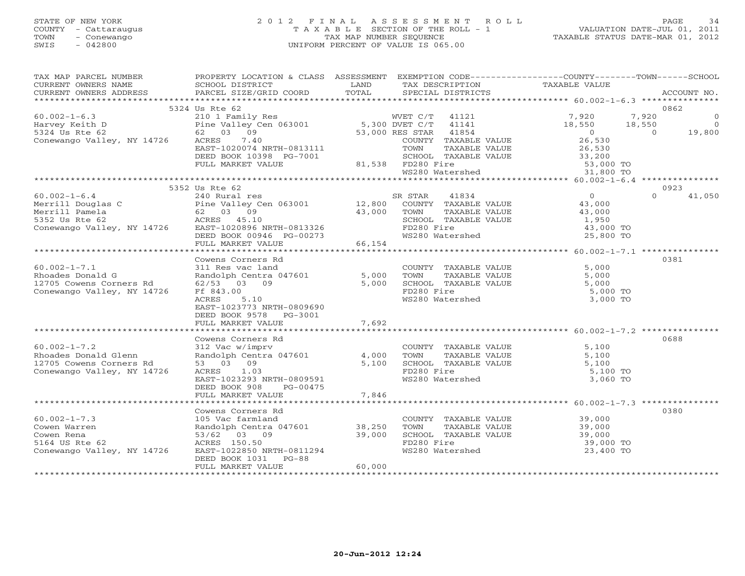## STATE OF NEW YORK 2 0 1 2 F I N A L A S S E S S M E N T R O L L PAGE 34 COUNTY - Cattaraugus T A X A B L E SECTION OF THE ROLL - 1 VALUATION DATE-JUL 01, 2011 TOWN - Conewango TAX MAP NUMBER SEQUENCE TAXABLE STATUS DATE-MAR 01, 2012 SWIS - 042800 UNIFORM PERCENT OF VALUE IS 065.00UNIFORM PERCENT OF VALUE IS 065.00

| TAXABLE VALUE<br>SCHOOL DISTRICT<br>TAX DESCRIPTION<br>LAND<br>TOTAL<br>CURRENT OWNERS ADDRESS<br>PARCEL SIZE/GRID COORD<br>SPECIAL DISTRICTS<br>ACCOUNT NO.<br>0862<br>5324 Us Rte 62<br>$\overline{0}$<br>$\overline{0}$<br>$10,550$ $19,800$<br>TOWN TAXABLE VALUE<br>TOWN TAXABLE VALUE<br>SCHOOL TAXABLE VALUE<br>TD280 Fire<br>WS280 Watershed<br>WS280 Watershed<br>31,800 TO<br>0923<br>5352 Us Rte 62<br>$\overline{0}$<br>$60.002 - 1 - 6.4$<br>SR STAR<br>41834<br>$\Omega$<br>41,050<br>240 Rural res<br>43,000<br>00.002-1-0.4<br>Merrill Douglas C<br>Merrill Pamela 62 03 09<br>5352 Us Rte 62 62<br>Conewango Valley, NY 14726 EAST-1020896 NRTH-0813326<br>EAST-1020896 NRTH-0813326<br>SCHOOL TAXABLE VALUE<br>FD280 Fire<br>43,000 TOWN TAXABLE VALUE<br>SCHOOL TAXABLE VALUE<br>43,000<br>1,950<br>EAST-1020896 NRTH-0813326 FD280 Fire<br>DEED BOOK 00946 PG-00273 WS280 Watershed<br>43,000 TO<br>25,800 TO<br>FULL MARKET VALUE<br>66,154<br>0381<br>Cowens Corners Rd<br>COUNTY TAXABLE VALUE<br>311 Res vac land<br>Randolph Centra 047601 5,000 TOWN TAXABLE VALUE 5,000<br>5,000 SCHOOL TAXABLE VALUE 5,000<br>5,000 SCHOOL TAXABLE VALUE 5,000<br>$60.002 - 1 - 7.1$<br>Rhoades Donald G<br>12705 Cowens Corners Rd 62/53 03 09<br>Conewango Valley, NY 14726<br>FD280 Fire<br>5,000 TO<br>Ff 843.00<br>WS280 Watershed<br>3,000 TO<br>ACRES<br>5.10<br>EAST-1023773 NRTH-0809690<br>DEED BOOK 9578 PG-3001<br>7,692<br>FULL MARKET VALUE<br>0688<br>Cowens Corners Rd<br>$60.002 - 1 - 7.2$<br>5,100<br>312 Vac w/imprv<br>COUNTY TAXABLE VALUE<br>TOWN TAXABLE VALUE<br>SCHOOL TAXABLE VALUE<br>Randolph Centra 047601<br>4,000<br>Rhoades Donald Glenn<br>5,100<br>53 03 09<br>5,100<br>12705 Cowens Corners Rd<br>5,100<br>FD280 Fire<br>Conewango Valley, NY 14726<br>ACRES 1.03<br>5,100 TO<br>EAST-1023293 NRTH-0809591<br>WS280 Watershed<br>3,060 TO<br>DEED BOOK 908<br>PG-00475<br>FULL MARKET VALUE<br>7,846<br>********************** 60.002-1-7.3 ***************<br>Cowens Corners Rd<br>0380<br>COUNTY TAXABLE VALUE 39,000<br>$60.002 - 1 - 7.3$<br>105 Vac farmland<br>Randolph Centra 047601 38,250<br>53/62 03 09 39,000<br>ACRES 150.50 39,000<br>TOWN TAXABLE VALUE 39,000<br>SCHOOL TAXABLE VALUE 39,000<br>ED280 Fire 39,000<br>Cowen Warren<br>TOWN<br>Cowen Rena<br>53/62 03 09<br>FD280 Fire<br>5164 US Rte 62<br>39,000 TO<br>Conewango Valley, NY 14726 EAST-1022850 NRTH-0811294<br>WS280 Watershed<br>23,400 TO<br>DEED BOOK 1031 PG-88<br>FULL MARKET VALUE<br>60,000 | TAX MAP PARCEL NUMBER | PROPERTY LOCATION & CLASS ASSESSMENT EXEMPTION CODE----------------COUNTY-------TOWN------SCHOOL |  |  |  |
|-----------------------------------------------------------------------------------------------------------------------------------------------------------------------------------------------------------------------------------------------------------------------------------------------------------------------------------------------------------------------------------------------------------------------------------------------------------------------------------------------------------------------------------------------------------------------------------------------------------------------------------------------------------------------------------------------------------------------------------------------------------------------------------------------------------------------------------------------------------------------------------------------------------------------------------------------------------------------------------------------------------------------------------------------------------------------------------------------------------------------------------------------------------------------------------------------------------------------------------------------------------------------------------------------------------------------------------------------------------------------------------------------------------------------------------------------------------------------------------------------------------------------------------------------------------------------------------------------------------------------------------------------------------------------------------------------------------------------------------------------------------------------------------------------------------------------------------------------------------------------------------------------------------------------------------------------------------------------------------------------------------------------------------------------------------------------------------------------------------------------------------------------------------------------------------------------------------------------------------------------------------------------------------------------------------------------------------------------------------------------------------------------------------------------------------------------------------------------------------------------------------------------------------|-----------------------|--------------------------------------------------------------------------------------------------|--|--|--|
|                                                                                                                                                                                                                                                                                                                                                                                                                                                                                                                                                                                                                                                                                                                                                                                                                                                                                                                                                                                                                                                                                                                                                                                                                                                                                                                                                                                                                                                                                                                                                                                                                                                                                                                                                                                                                                                                                                                                                                                                                                                                                                                                                                                                                                                                                                                                                                                                                                                                                                                                   | CURRENT OWNERS NAME   |                                                                                                  |  |  |  |
|                                                                                                                                                                                                                                                                                                                                                                                                                                                                                                                                                                                                                                                                                                                                                                                                                                                                                                                                                                                                                                                                                                                                                                                                                                                                                                                                                                                                                                                                                                                                                                                                                                                                                                                                                                                                                                                                                                                                                                                                                                                                                                                                                                                                                                                                                                                                                                                                                                                                                                                                   |                       |                                                                                                  |  |  |  |
|                                                                                                                                                                                                                                                                                                                                                                                                                                                                                                                                                                                                                                                                                                                                                                                                                                                                                                                                                                                                                                                                                                                                                                                                                                                                                                                                                                                                                                                                                                                                                                                                                                                                                                                                                                                                                                                                                                                                                                                                                                                                                                                                                                                                                                                                                                                                                                                                                                                                                                                                   |                       |                                                                                                  |  |  |  |
|                                                                                                                                                                                                                                                                                                                                                                                                                                                                                                                                                                                                                                                                                                                                                                                                                                                                                                                                                                                                                                                                                                                                                                                                                                                                                                                                                                                                                                                                                                                                                                                                                                                                                                                                                                                                                                                                                                                                                                                                                                                                                                                                                                                                                                                                                                                                                                                                                                                                                                                                   |                       |                                                                                                  |  |  |  |
|                                                                                                                                                                                                                                                                                                                                                                                                                                                                                                                                                                                                                                                                                                                                                                                                                                                                                                                                                                                                                                                                                                                                                                                                                                                                                                                                                                                                                                                                                                                                                                                                                                                                                                                                                                                                                                                                                                                                                                                                                                                                                                                                                                                                                                                                                                                                                                                                                                                                                                                                   |                       |                                                                                                  |  |  |  |
|                                                                                                                                                                                                                                                                                                                                                                                                                                                                                                                                                                                                                                                                                                                                                                                                                                                                                                                                                                                                                                                                                                                                                                                                                                                                                                                                                                                                                                                                                                                                                                                                                                                                                                                                                                                                                                                                                                                                                                                                                                                                                                                                                                                                                                                                                                                                                                                                                                                                                                                                   |                       |                                                                                                  |  |  |  |
|                                                                                                                                                                                                                                                                                                                                                                                                                                                                                                                                                                                                                                                                                                                                                                                                                                                                                                                                                                                                                                                                                                                                                                                                                                                                                                                                                                                                                                                                                                                                                                                                                                                                                                                                                                                                                                                                                                                                                                                                                                                                                                                                                                                                                                                                                                                                                                                                                                                                                                                                   |                       |                                                                                                  |  |  |  |
|                                                                                                                                                                                                                                                                                                                                                                                                                                                                                                                                                                                                                                                                                                                                                                                                                                                                                                                                                                                                                                                                                                                                                                                                                                                                                                                                                                                                                                                                                                                                                                                                                                                                                                                                                                                                                                                                                                                                                                                                                                                                                                                                                                                                                                                                                                                                                                                                                                                                                                                                   |                       |                                                                                                  |  |  |  |
|                                                                                                                                                                                                                                                                                                                                                                                                                                                                                                                                                                                                                                                                                                                                                                                                                                                                                                                                                                                                                                                                                                                                                                                                                                                                                                                                                                                                                                                                                                                                                                                                                                                                                                                                                                                                                                                                                                                                                                                                                                                                                                                                                                                                                                                                                                                                                                                                                                                                                                                                   |                       |                                                                                                  |  |  |  |
|                                                                                                                                                                                                                                                                                                                                                                                                                                                                                                                                                                                                                                                                                                                                                                                                                                                                                                                                                                                                                                                                                                                                                                                                                                                                                                                                                                                                                                                                                                                                                                                                                                                                                                                                                                                                                                                                                                                                                                                                                                                                                                                                                                                                                                                                                                                                                                                                                                                                                                                                   |                       |                                                                                                  |  |  |  |
|                                                                                                                                                                                                                                                                                                                                                                                                                                                                                                                                                                                                                                                                                                                                                                                                                                                                                                                                                                                                                                                                                                                                                                                                                                                                                                                                                                                                                                                                                                                                                                                                                                                                                                                                                                                                                                                                                                                                                                                                                                                                                                                                                                                                                                                                                                                                                                                                                                                                                                                                   |                       |                                                                                                  |  |  |  |
|                                                                                                                                                                                                                                                                                                                                                                                                                                                                                                                                                                                                                                                                                                                                                                                                                                                                                                                                                                                                                                                                                                                                                                                                                                                                                                                                                                                                                                                                                                                                                                                                                                                                                                                                                                                                                                                                                                                                                                                                                                                                                                                                                                                                                                                                                                                                                                                                                                                                                                                                   |                       |                                                                                                  |  |  |  |
|                                                                                                                                                                                                                                                                                                                                                                                                                                                                                                                                                                                                                                                                                                                                                                                                                                                                                                                                                                                                                                                                                                                                                                                                                                                                                                                                                                                                                                                                                                                                                                                                                                                                                                                                                                                                                                                                                                                                                                                                                                                                                                                                                                                                                                                                                                                                                                                                                                                                                                                                   |                       |                                                                                                  |  |  |  |
|                                                                                                                                                                                                                                                                                                                                                                                                                                                                                                                                                                                                                                                                                                                                                                                                                                                                                                                                                                                                                                                                                                                                                                                                                                                                                                                                                                                                                                                                                                                                                                                                                                                                                                                                                                                                                                                                                                                                                                                                                                                                                                                                                                                                                                                                                                                                                                                                                                                                                                                                   |                       |                                                                                                  |  |  |  |
|                                                                                                                                                                                                                                                                                                                                                                                                                                                                                                                                                                                                                                                                                                                                                                                                                                                                                                                                                                                                                                                                                                                                                                                                                                                                                                                                                                                                                                                                                                                                                                                                                                                                                                                                                                                                                                                                                                                                                                                                                                                                                                                                                                                                                                                                                                                                                                                                                                                                                                                                   |                       |                                                                                                  |  |  |  |
|                                                                                                                                                                                                                                                                                                                                                                                                                                                                                                                                                                                                                                                                                                                                                                                                                                                                                                                                                                                                                                                                                                                                                                                                                                                                                                                                                                                                                                                                                                                                                                                                                                                                                                                                                                                                                                                                                                                                                                                                                                                                                                                                                                                                                                                                                                                                                                                                                                                                                                                                   |                       |                                                                                                  |  |  |  |
|                                                                                                                                                                                                                                                                                                                                                                                                                                                                                                                                                                                                                                                                                                                                                                                                                                                                                                                                                                                                                                                                                                                                                                                                                                                                                                                                                                                                                                                                                                                                                                                                                                                                                                                                                                                                                                                                                                                                                                                                                                                                                                                                                                                                                                                                                                                                                                                                                                                                                                                                   |                       |                                                                                                  |  |  |  |
|                                                                                                                                                                                                                                                                                                                                                                                                                                                                                                                                                                                                                                                                                                                                                                                                                                                                                                                                                                                                                                                                                                                                                                                                                                                                                                                                                                                                                                                                                                                                                                                                                                                                                                                                                                                                                                                                                                                                                                                                                                                                                                                                                                                                                                                                                                                                                                                                                                                                                                                                   |                       |                                                                                                  |  |  |  |
|                                                                                                                                                                                                                                                                                                                                                                                                                                                                                                                                                                                                                                                                                                                                                                                                                                                                                                                                                                                                                                                                                                                                                                                                                                                                                                                                                                                                                                                                                                                                                                                                                                                                                                                                                                                                                                                                                                                                                                                                                                                                                                                                                                                                                                                                                                                                                                                                                                                                                                                                   |                       |                                                                                                  |  |  |  |
|                                                                                                                                                                                                                                                                                                                                                                                                                                                                                                                                                                                                                                                                                                                                                                                                                                                                                                                                                                                                                                                                                                                                                                                                                                                                                                                                                                                                                                                                                                                                                                                                                                                                                                                                                                                                                                                                                                                                                                                                                                                                                                                                                                                                                                                                                                                                                                                                                                                                                                                                   |                       |                                                                                                  |  |  |  |
|                                                                                                                                                                                                                                                                                                                                                                                                                                                                                                                                                                                                                                                                                                                                                                                                                                                                                                                                                                                                                                                                                                                                                                                                                                                                                                                                                                                                                                                                                                                                                                                                                                                                                                                                                                                                                                                                                                                                                                                                                                                                                                                                                                                                                                                                                                                                                                                                                                                                                                                                   |                       |                                                                                                  |  |  |  |
|                                                                                                                                                                                                                                                                                                                                                                                                                                                                                                                                                                                                                                                                                                                                                                                                                                                                                                                                                                                                                                                                                                                                                                                                                                                                                                                                                                                                                                                                                                                                                                                                                                                                                                                                                                                                                                                                                                                                                                                                                                                                                                                                                                                                                                                                                                                                                                                                                                                                                                                                   |                       |                                                                                                  |  |  |  |
|                                                                                                                                                                                                                                                                                                                                                                                                                                                                                                                                                                                                                                                                                                                                                                                                                                                                                                                                                                                                                                                                                                                                                                                                                                                                                                                                                                                                                                                                                                                                                                                                                                                                                                                                                                                                                                                                                                                                                                                                                                                                                                                                                                                                                                                                                                                                                                                                                                                                                                                                   |                       |                                                                                                  |  |  |  |
|                                                                                                                                                                                                                                                                                                                                                                                                                                                                                                                                                                                                                                                                                                                                                                                                                                                                                                                                                                                                                                                                                                                                                                                                                                                                                                                                                                                                                                                                                                                                                                                                                                                                                                                                                                                                                                                                                                                                                                                                                                                                                                                                                                                                                                                                                                                                                                                                                                                                                                                                   |                       |                                                                                                  |  |  |  |
|                                                                                                                                                                                                                                                                                                                                                                                                                                                                                                                                                                                                                                                                                                                                                                                                                                                                                                                                                                                                                                                                                                                                                                                                                                                                                                                                                                                                                                                                                                                                                                                                                                                                                                                                                                                                                                                                                                                                                                                                                                                                                                                                                                                                                                                                                                                                                                                                                                                                                                                                   |                       |                                                                                                  |  |  |  |
|                                                                                                                                                                                                                                                                                                                                                                                                                                                                                                                                                                                                                                                                                                                                                                                                                                                                                                                                                                                                                                                                                                                                                                                                                                                                                                                                                                                                                                                                                                                                                                                                                                                                                                                                                                                                                                                                                                                                                                                                                                                                                                                                                                                                                                                                                                                                                                                                                                                                                                                                   |                       |                                                                                                  |  |  |  |
|                                                                                                                                                                                                                                                                                                                                                                                                                                                                                                                                                                                                                                                                                                                                                                                                                                                                                                                                                                                                                                                                                                                                                                                                                                                                                                                                                                                                                                                                                                                                                                                                                                                                                                                                                                                                                                                                                                                                                                                                                                                                                                                                                                                                                                                                                                                                                                                                                                                                                                                                   |                       |                                                                                                  |  |  |  |
|                                                                                                                                                                                                                                                                                                                                                                                                                                                                                                                                                                                                                                                                                                                                                                                                                                                                                                                                                                                                                                                                                                                                                                                                                                                                                                                                                                                                                                                                                                                                                                                                                                                                                                                                                                                                                                                                                                                                                                                                                                                                                                                                                                                                                                                                                                                                                                                                                                                                                                                                   |                       |                                                                                                  |  |  |  |
|                                                                                                                                                                                                                                                                                                                                                                                                                                                                                                                                                                                                                                                                                                                                                                                                                                                                                                                                                                                                                                                                                                                                                                                                                                                                                                                                                                                                                                                                                                                                                                                                                                                                                                                                                                                                                                                                                                                                                                                                                                                                                                                                                                                                                                                                                                                                                                                                                                                                                                                                   |                       |                                                                                                  |  |  |  |
|                                                                                                                                                                                                                                                                                                                                                                                                                                                                                                                                                                                                                                                                                                                                                                                                                                                                                                                                                                                                                                                                                                                                                                                                                                                                                                                                                                                                                                                                                                                                                                                                                                                                                                                                                                                                                                                                                                                                                                                                                                                                                                                                                                                                                                                                                                                                                                                                                                                                                                                                   |                       |                                                                                                  |  |  |  |
|                                                                                                                                                                                                                                                                                                                                                                                                                                                                                                                                                                                                                                                                                                                                                                                                                                                                                                                                                                                                                                                                                                                                                                                                                                                                                                                                                                                                                                                                                                                                                                                                                                                                                                                                                                                                                                                                                                                                                                                                                                                                                                                                                                                                                                                                                                                                                                                                                                                                                                                                   |                       |                                                                                                  |  |  |  |
|                                                                                                                                                                                                                                                                                                                                                                                                                                                                                                                                                                                                                                                                                                                                                                                                                                                                                                                                                                                                                                                                                                                                                                                                                                                                                                                                                                                                                                                                                                                                                                                                                                                                                                                                                                                                                                                                                                                                                                                                                                                                                                                                                                                                                                                                                                                                                                                                                                                                                                                                   |                       |                                                                                                  |  |  |  |
|                                                                                                                                                                                                                                                                                                                                                                                                                                                                                                                                                                                                                                                                                                                                                                                                                                                                                                                                                                                                                                                                                                                                                                                                                                                                                                                                                                                                                                                                                                                                                                                                                                                                                                                                                                                                                                                                                                                                                                                                                                                                                                                                                                                                                                                                                                                                                                                                                                                                                                                                   |                       |                                                                                                  |  |  |  |
|                                                                                                                                                                                                                                                                                                                                                                                                                                                                                                                                                                                                                                                                                                                                                                                                                                                                                                                                                                                                                                                                                                                                                                                                                                                                                                                                                                                                                                                                                                                                                                                                                                                                                                                                                                                                                                                                                                                                                                                                                                                                                                                                                                                                                                                                                                                                                                                                                                                                                                                                   |                       |                                                                                                  |  |  |  |
|                                                                                                                                                                                                                                                                                                                                                                                                                                                                                                                                                                                                                                                                                                                                                                                                                                                                                                                                                                                                                                                                                                                                                                                                                                                                                                                                                                                                                                                                                                                                                                                                                                                                                                                                                                                                                                                                                                                                                                                                                                                                                                                                                                                                                                                                                                                                                                                                                                                                                                                                   |                       |                                                                                                  |  |  |  |
|                                                                                                                                                                                                                                                                                                                                                                                                                                                                                                                                                                                                                                                                                                                                                                                                                                                                                                                                                                                                                                                                                                                                                                                                                                                                                                                                                                                                                                                                                                                                                                                                                                                                                                                                                                                                                                                                                                                                                                                                                                                                                                                                                                                                                                                                                                                                                                                                                                                                                                                                   |                       |                                                                                                  |  |  |  |
|                                                                                                                                                                                                                                                                                                                                                                                                                                                                                                                                                                                                                                                                                                                                                                                                                                                                                                                                                                                                                                                                                                                                                                                                                                                                                                                                                                                                                                                                                                                                                                                                                                                                                                                                                                                                                                                                                                                                                                                                                                                                                                                                                                                                                                                                                                                                                                                                                                                                                                                                   |                       |                                                                                                  |  |  |  |
|                                                                                                                                                                                                                                                                                                                                                                                                                                                                                                                                                                                                                                                                                                                                                                                                                                                                                                                                                                                                                                                                                                                                                                                                                                                                                                                                                                                                                                                                                                                                                                                                                                                                                                                                                                                                                                                                                                                                                                                                                                                                                                                                                                                                                                                                                                                                                                                                                                                                                                                                   |                       |                                                                                                  |  |  |  |
|                                                                                                                                                                                                                                                                                                                                                                                                                                                                                                                                                                                                                                                                                                                                                                                                                                                                                                                                                                                                                                                                                                                                                                                                                                                                                                                                                                                                                                                                                                                                                                                                                                                                                                                                                                                                                                                                                                                                                                                                                                                                                                                                                                                                                                                                                                                                                                                                                                                                                                                                   |                       |                                                                                                  |  |  |  |
|                                                                                                                                                                                                                                                                                                                                                                                                                                                                                                                                                                                                                                                                                                                                                                                                                                                                                                                                                                                                                                                                                                                                                                                                                                                                                                                                                                                                                                                                                                                                                                                                                                                                                                                                                                                                                                                                                                                                                                                                                                                                                                                                                                                                                                                                                                                                                                                                                                                                                                                                   |                       |                                                                                                  |  |  |  |
|                                                                                                                                                                                                                                                                                                                                                                                                                                                                                                                                                                                                                                                                                                                                                                                                                                                                                                                                                                                                                                                                                                                                                                                                                                                                                                                                                                                                                                                                                                                                                                                                                                                                                                                                                                                                                                                                                                                                                                                                                                                                                                                                                                                                                                                                                                                                                                                                                                                                                                                                   |                       |                                                                                                  |  |  |  |
|                                                                                                                                                                                                                                                                                                                                                                                                                                                                                                                                                                                                                                                                                                                                                                                                                                                                                                                                                                                                                                                                                                                                                                                                                                                                                                                                                                                                                                                                                                                                                                                                                                                                                                                                                                                                                                                                                                                                                                                                                                                                                                                                                                                                                                                                                                                                                                                                                                                                                                                                   |                       |                                                                                                  |  |  |  |
|                                                                                                                                                                                                                                                                                                                                                                                                                                                                                                                                                                                                                                                                                                                                                                                                                                                                                                                                                                                                                                                                                                                                                                                                                                                                                                                                                                                                                                                                                                                                                                                                                                                                                                                                                                                                                                                                                                                                                                                                                                                                                                                                                                                                                                                                                                                                                                                                                                                                                                                                   |                       |                                                                                                  |  |  |  |
|                                                                                                                                                                                                                                                                                                                                                                                                                                                                                                                                                                                                                                                                                                                                                                                                                                                                                                                                                                                                                                                                                                                                                                                                                                                                                                                                                                                                                                                                                                                                                                                                                                                                                                                                                                                                                                                                                                                                                                                                                                                                                                                                                                                                                                                                                                                                                                                                                                                                                                                                   |                       |                                                                                                  |  |  |  |
|                                                                                                                                                                                                                                                                                                                                                                                                                                                                                                                                                                                                                                                                                                                                                                                                                                                                                                                                                                                                                                                                                                                                                                                                                                                                                                                                                                                                                                                                                                                                                                                                                                                                                                                                                                                                                                                                                                                                                                                                                                                                                                                                                                                                                                                                                                                                                                                                                                                                                                                                   |                       |                                                                                                  |  |  |  |
|                                                                                                                                                                                                                                                                                                                                                                                                                                                                                                                                                                                                                                                                                                                                                                                                                                                                                                                                                                                                                                                                                                                                                                                                                                                                                                                                                                                                                                                                                                                                                                                                                                                                                                                                                                                                                                                                                                                                                                                                                                                                                                                                                                                                                                                                                                                                                                                                                                                                                                                                   |                       |                                                                                                  |  |  |  |
|                                                                                                                                                                                                                                                                                                                                                                                                                                                                                                                                                                                                                                                                                                                                                                                                                                                                                                                                                                                                                                                                                                                                                                                                                                                                                                                                                                                                                                                                                                                                                                                                                                                                                                                                                                                                                                                                                                                                                                                                                                                                                                                                                                                                                                                                                                                                                                                                                                                                                                                                   |                       |                                                                                                  |  |  |  |
|                                                                                                                                                                                                                                                                                                                                                                                                                                                                                                                                                                                                                                                                                                                                                                                                                                                                                                                                                                                                                                                                                                                                                                                                                                                                                                                                                                                                                                                                                                                                                                                                                                                                                                                                                                                                                                                                                                                                                                                                                                                                                                                                                                                                                                                                                                                                                                                                                                                                                                                                   |                       |                                                                                                  |  |  |  |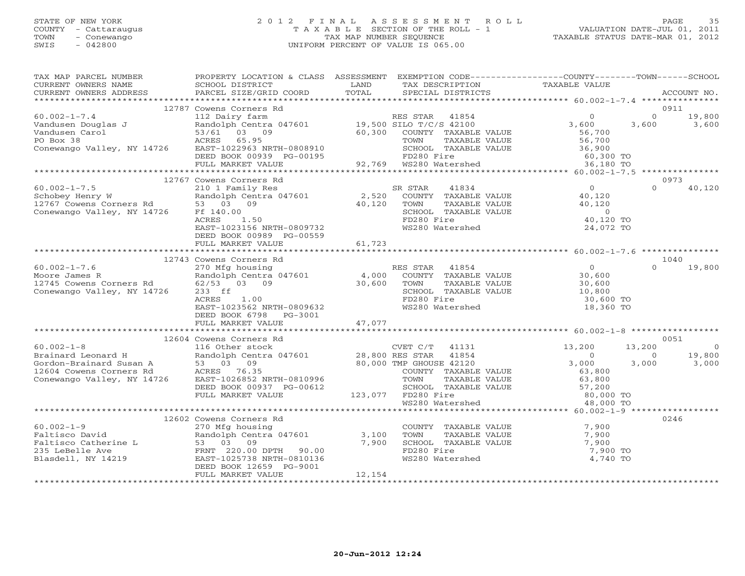## STATE OF NEW YORK 2 0 1 2 F I N A L A S S E S S M E N T R O L L PAGE 35 COUNTY - Cattaraugus T A X A B L E SECTION OF THE ROLL - 1 VALUATION DATE-JUL 01, 2011 TOWN - Conewango TAX MAP NUMBER SEQUENCE TAXABLE STATUS DATE-MAR 01, 2012 SWIS - 042800 UNIFORM PERCENT OF VALUE IS 065.00UNIFORM PERCENT OF VALUE IS 065.00

| TAX MAP PARCEL NUMBER<br>CURRENT OWNERS NAME                                                                                                                                                                                                          | SCHOOL DISTRICT                                                                                       | LAND   | TAX DESCRIPTION                                                                                                                                                                                                                                                   | PROPERTY LOCATION & CLASS ASSESSMENT EXEMPTION CODE----------------COUNTY-------TOWN------SCHOOL<br>TAXABLE VALUE |                                   |  |  |
|-------------------------------------------------------------------------------------------------------------------------------------------------------------------------------------------------------------------------------------------------------|-------------------------------------------------------------------------------------------------------|--------|-------------------------------------------------------------------------------------------------------------------------------------------------------------------------------------------------------------------------------------------------------------------|-------------------------------------------------------------------------------------------------------------------|-----------------------------------|--|--|
| .CURRENT OWNERS ADDRESS PARCEL SIZE/GRID COORD TOTAL SPECIAL DISTRICTS ACCOUNT NO ACCOUNT NO ACCOUNT NO ARE THE SERVER AND REALLY A THE REALLY AND HER A LATTICLE AND MALLY AND HER A LATTICLE OF THE CONDUCT OF A LATTICLE OF                        |                                                                                                       |        |                                                                                                                                                                                                                                                                   |                                                                                                                   |                                   |  |  |
|                                                                                                                                                                                                                                                       | 12787 Cowens Corners Rd                                                                               |        |                                                                                                                                                                                                                                                                   |                                                                                                                   | 0911                              |  |  |
|                                                                                                                                                                                                                                                       |                                                                                                       |        |                                                                                                                                                                                                                                                                   |                                                                                                                   |                                   |  |  |
|                                                                                                                                                                                                                                                       |                                                                                                       |        |                                                                                                                                                                                                                                                                   |                                                                                                                   |                                   |  |  |
|                                                                                                                                                                                                                                                       | 12767 Cowens Corners Rd<br>EAST-1023156 NRTH-0809732<br>DEED BOOK 00989 PG-00559<br>FULL MARKET VALUE | 61,723 | WS280 Watershed                                                                                                                                                                                                                                                   | $\begin{array}{c} 0 \\ 40,120 \end{array}$<br>$\Omega$<br>40,120<br>$\overline{0}$<br>40,120 TO<br>24,072 TO      | 0973<br>40,120                    |  |  |
|                                                                                                                                                                                                                                                       |                                                                                                       |        |                                                                                                                                                                                                                                                                   |                                                                                                                   |                                   |  |  |
| $60.002 - 1 - 7.6$<br>Moore James R<br>12745 Cowens Corners Rd 62/53 03 09<br>Conewango Valley, NY 14726                                                                                                                                              | 12743 Cowens Corners Rd<br>EAST-1023562 NRTH-0809632<br>DEED BOOK 6798 PG-3001                        |        | 0<br>TOWN TAXABLE VALUE<br>TOWN TAXABLE VALUE<br>SCHOOL TAXABLE VALUE<br>SCHOOL TAXABLE VALUE<br>TD280 Fire<br>WS280 Watershed<br>TO, 800<br>TD280 Fire<br>TO, 800<br>TO, 800<br>TO, 800<br>TO, 800<br>TO, 800<br>TO, 800<br>TO, 800<br>TO, 800<br>TO, 800<br>TO, | $\cap$<br>30,600 TO<br>18,360 TO                                                                                  | 1040<br>19,800                    |  |  |
|                                                                                                                                                                                                                                                       | FULL MARKET VALUE                                                                                     | 47,077 |                                                                                                                                                                                                                                                                   |                                                                                                                   |                                   |  |  |
|                                                                                                                                                                                                                                                       | 12604 Cowens Corners Rd                                                                               |        |                                                                                                                                                                                                                                                                   |                                                                                                                   | 0051                              |  |  |
| $60.002 - 1 - 8$<br>CONSIDER THE SUCK CONSIDER SUCK CONSIDER A SAMPLE DRIVING MANUSCRIP (NET CONSIDER SUCKL UP 1 AND CONSIDER SUCK<br>Brandon-Brainard Susan A 53 03 09 80,000 TMP GHOUSE 42120<br>12604 Cowens Corners Rd ACRES 76.35 CONNTY TAXABLE | 116 Other stock<br>DEED BOOK 00937 PG-00612<br>FULL MARKET VALUE                                      |        | CVET $C/T$ 41131<br>COUNTY TAXABLE VALUE<br>TOWN TAXABLE VALUE 63,800<br>SCHOOL TAXABLE VALUE 57,200<br>FD280 Fire 80,000 TO<br>WS280 Watershed 48,000 TO<br>123,077 FD280 Fire                                                                                   | 13,200<br>13,200<br>$\begin{array}{c} 0 \\ 3,000 \end{array}$<br>$\overline{0}$<br>3,000<br>63,800<br>63,800      | $\overline{0}$<br>19,800<br>3,000 |  |  |
|                                                                                                                                                                                                                                                       |                                                                                                       |        |                                                                                                                                                                                                                                                                   |                                                                                                                   |                                   |  |  |
|                                                                                                                                                                                                                                                       | 12602 Cowens Corners Rd                                                                               |        |                                                                                                                                                                                                                                                                   |                                                                                                                   | 0246                              |  |  |
| 12002 COWERS COTNETS Rd<br>Faltisco David<br>Faltisco Catherine L<br>Taltisco Catherine L<br>235 LeBelle Ave RNT 220.00 DPTH 90.00<br>Blasdell, NY 14219<br>Blasdell, NY 14219<br>PERN 2006 DPTH 90.00<br>EAST-1025738 NRTH-0810136<br>RESP ROOK      | DEED BOOK 12659 PG-9001<br>FULL MARKET VALUE                                                          | 12,154 | $\begin{array}{cc}\n\text{COUNTY} & \text{TAXABLE VALUE} \\ -\text{1} & \text{200}\n\end{array}$<br>TAXABLE VALUE<br>7,900 SCHOOL TAXABLE VALUE<br>FD280 Fire<br>WS280 Watershed                                                                                  | 7,900<br>7,900<br>7,900 TO<br>4,740 TO                                                                            |                                   |  |  |
|                                                                                                                                                                                                                                                       |                                                                                                       |        |                                                                                                                                                                                                                                                                   |                                                                                                                   |                                   |  |  |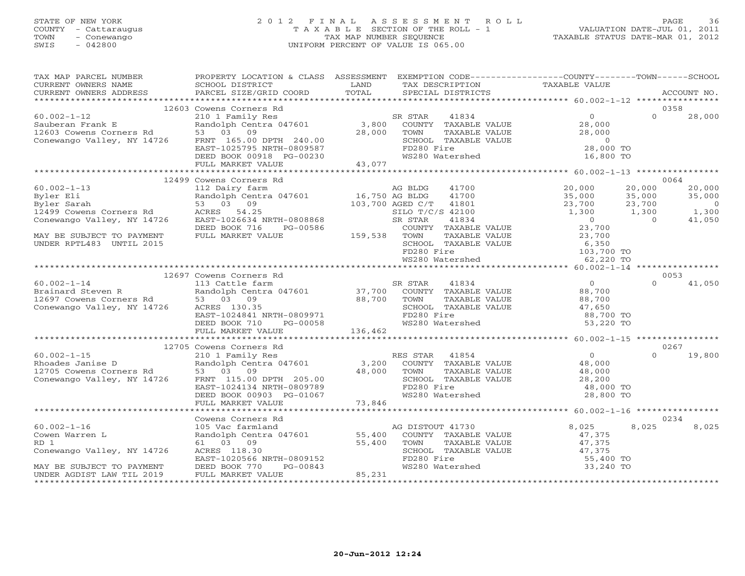## STATE OF NEW YORK 2 0 1 2 F I N A L A S S E S S M E N T R O L L PAGE 36 COUNTY - Cattaraugus T A X A B L E SECTION OF THE ROLL - 1 VALUATION DATE-JUL 01, 2011 TOWN - Conewango TAX MAP NUMBER SEQUENCE TAXABLE STATUS DATE-MAR 01, 2012 SWIS - 042800 UNIFORM PERCENT OF VALUE IS 065.00UNIFORM PERCENT OF VALUE IS 065.00

| TAX MAP PARCEL NUMBER<br>CURRENT OWNERS NAME                                                                                                                                                                                                                                                                                                                                                                                                      | PROPERTY LOCATION & CLASS ASSESSMENT EXEMPTION CODE----------------COUNTY-------TOWN------SCHOOL<br>SCHOOL DISTRICT                           LAND         TAX DESCRIPTION                   TAXABLE VALUE PARCEL SIZE/GRID COORD           TOTAL       SPECIAL DISTRICTS |  |                                                                                                                                                                                                                                 |  |                        |  |
|---------------------------------------------------------------------------------------------------------------------------------------------------------------------------------------------------------------------------------------------------------------------------------------------------------------------------------------------------------------------------------------------------------------------------------------------------|---------------------------------------------------------------------------------------------------------------------------------------------------------------------------------------------------------------------------------------------------------------------------|--|---------------------------------------------------------------------------------------------------------------------------------------------------------------------------------------------------------------------------------|--|------------------------|--|
|                                                                                                                                                                                                                                                                                                                                                                                                                                                   |                                                                                                                                                                                                                                                                           |  |                                                                                                                                                                                                                                 |  |                        |  |
|                                                                                                                                                                                                                                                                                                                                                                                                                                                   | 12603 Cowens Corners Rd                                                                                                                                                                                                                                                   |  |                                                                                                                                                                                                                                 |  | 0358                   |  |
|                                                                                                                                                                                                                                                                                                                                                                                                                                                   |                                                                                                                                                                                                                                                                           |  |                                                                                                                                                                                                                                 |  |                        |  |
|                                                                                                                                                                                                                                                                                                                                                                                                                                                   | 12499 Cowens Corners Rd                                                                                                                                                                                                                                                   |  |                                                                                                                                                                                                                                 |  | 0064                   |  |
|                                                                                                                                                                                                                                                                                                                                                                                                                                                   |                                                                                                                                                                                                                                                                           |  |                                                                                                                                                                                                                                 |  |                        |  |
|                                                                                                                                                                                                                                                                                                                                                                                                                                                   |                                                                                                                                                                                                                                                                           |  |                                                                                                                                                                                                                                 |  |                        |  |
|                                                                                                                                                                                                                                                                                                                                                                                                                                                   |                                                                                                                                                                                                                                                                           |  |                                                                                                                                                                                                                                 |  |                        |  |
|                                                                                                                                                                                                                                                                                                                                                                                                                                                   |                                                                                                                                                                                                                                                                           |  |                                                                                                                                                                                                                                 |  |                        |  |
| $\begin{tabular}{lllllllllllll} \multicolumn{3}{c }{\begin{tabular}{l c c c c c c c c} \multicolumn{3}{c }{\multicolumn{3}{c }{\multicolumn{3}{c }{\multicolumn{3}{c }{\multicolumn{3}{c }{\multicolumn{3}{c }{\multicolumn{3}{c }{\multicolumn{3}{c }{\multicolumn{3}{c }{\multicolumn{3}{c }{\multicolumn{3}{c }{\multicolumn{3}{c }{\multicolumn{3}{c }{\multicolumn{3}{c }{\multicolumn{3}{c }{\multicolumn{3}{c }{\multicolumn{3}{c }{\mult$ |                                                                                                                                                                                                                                                                           |  |                                                                                                                                                                                                                                 |  |                        |  |
|                                                                                                                                                                                                                                                                                                                                                                                                                                                   | 12705 Cowens Corners Rd                                                                                                                                                                                                                                                   |  |                                                                                                                                                                                                                                 |  | 0267                   |  |
| $(60.002-1-15$ $12/05 \text{ Complex}$<br>Rhoades Janise D<br>Rhoades Janise D<br>$12705 \text{ Cowens}$ Corners Rd<br>$12705 \text{ Cowens}$ Corners Rd<br>$12705 \text{ Cowens}$ Corners Rd<br>$12705 \text{ Cowens}$ Corners Rd<br>$12705 \text{ Cowens}$ Rd<br>$12705 \text{ Cowens}$ Rd<br>$12705 \text{ C$                                                                                                                                  |                                                                                                                                                                                                                                                                           |  |                                                                                                                                                                                                                                 |  | $0 \t 19,800$          |  |
|                                                                                                                                                                                                                                                                                                                                                                                                                                                   |                                                                                                                                                                                                                                                                           |  |                                                                                                                                                                                                                                 |  |                        |  |
| $60.002 - 1 - 16$<br>Cowen Warren L<br>RD 1<br>Conewango Valley, NY 14726<br>MAY BE SUBJECT TO PAYMENT<br>UNDER AGDIST LAW TIL 2019                                                                                                                                                                                                                                                                                                               | XAMPLE VALUE<br>Cowens Corners Rd<br>105 Voltaire and the Magnetic Market Market (All and the Magnetic Market Market Market Market (All and the Market Market Market Market Market Market Market Market (All and the Market Market                                        |  | $\begin{array}{cccc}\n & - & \text{value} & & & \text{0.025} \\  & - & \text{value} & & 47,375 \\ \text{SCHOOL} & \text{TAXABLE VALUE} & & 47,375 \\ \text{FD280 Fire} & & 47,375 \\ \text{FD280 Fire} & & 55,400\n\end{array}$ |  | 0234<br>8.025<br>8,025 |  |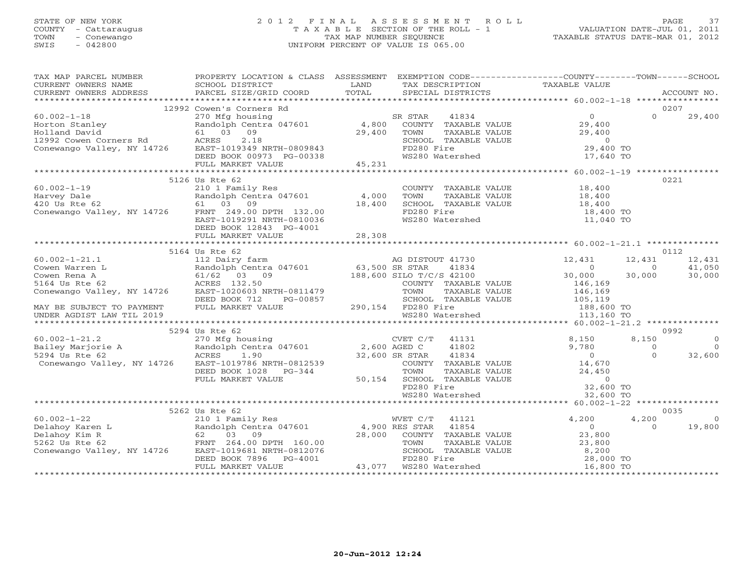# STATE OF NEW YORK 2 0 1 2 F I N A L A S S E S S M E N T R O L L PAGE 37 COUNTY - Cattaraugus T A X A B L E SECTION OF THE ROLL - 1 VALUATION DATE-JUL 01, 2011 TOWN - Conewango TAX MAP NUMBER SEQUENCE TAXABLE STATUS DATE-MAR 01, 2012 SWIS - 042800 UNIFORM PERCENT OF VALUE IS 065.00UNIFORM PERCENT OF VALUE IS 065.00

| TAXING PARCES NOTICE TO A CONFIDENT CONFIDENT CONFIDENT OWNERS NAMEL SCHOOL DISTRICT TO AN TRAFFICT TAXING CONFIDENT OWNERS ADDRESS FORCED BIZE/GRID COORD TOTAL SPECIAL DISTRICTS ACCOUNT NO.<br>CURRENT OWNERS ADDRESS PARCEL S<br>CURRENT OWNERS ADDRESS                                                                                                                                                  |                                                                                                                                                                                                                                                                      |                                                                                                                                                            |                                                                                    |                                               |                                                                                      |
|--------------------------------------------------------------------------------------------------------------------------------------------------------------------------------------------------------------------------------------------------------------------------------------------------------------------------------------------------------------------------------------------------------------|----------------------------------------------------------------------------------------------------------------------------------------------------------------------------------------------------------------------------------------------------------------------|------------------------------------------------------------------------------------------------------------------------------------------------------------|------------------------------------------------------------------------------------|-----------------------------------------------|--------------------------------------------------------------------------------------|
|                                                                                                                                                                                                                                                                                                                                                                                                              |                                                                                                                                                                                                                                                                      |                                                                                                                                                            |                                                                                    |                                               |                                                                                      |
|                                                                                                                                                                                                                                                                                                                                                                                                              | 12992 Cowen's Corners Rd<br>Cowen's Corners Rd<br>270 Mfg housing<br>Randolph Centra 047601 4,800 COUNTY TAXABLE VALUE<br>61 03 09 29,400 TOWN TAXABLE VALUE 29,400<br>ACRES 2.18 SCHOOL TAXABLE VALUE 29,400<br>EAST-1019349 NRTH-0809843 FD280 Fire 29,400 TOWN FO |                                                                                                                                                            |                                                                                    | $\Omega$                                      | 0207<br>29,400                                                                       |
|                                                                                                                                                                                                                                                                                                                                                                                                              |                                                                                                                                                                                                                                                                      |                                                                                                                                                            |                                                                                    |                                               |                                                                                      |
| 60.002-1-19<br>Harvey Dale<br>210 1 Family Res<br>210 1 Family Res<br>210 1 Family Res<br>210 1 Family Res<br>210 1 Family Res<br>210 1 Family Res<br>210 1 81601<br>249.00 DPTH 132.00<br>28.5T-1019291 NRTH-0810036<br>20031 NRTH-0810036<br>20031 N                                                                                                                                                       | 5126 Us Rte 62<br>DEED BOOK 12843 PG-4001                                                                                                                                                                                                                            | COUNTY TAXABLE VALUE 18,400<br>TOWN TAXABLE VALUE<br>TOWN TAXABLE VALUE<br>SCHOOL TAXABLE VALUE<br>TD280 Fire<br>WS280 Watershed<br>11,040 TO<br>11,040 TO |                                                                                    |                                               | 0221                                                                                 |
|                                                                                                                                                                                                                                                                                                                                                                                                              |                                                                                                                                                                                                                                                                      |                                                                                                                                                            |                                                                                    |                                               |                                                                                      |
| $\begin{tabular}{lllllllllllllllllllll} \multicolumn{3}{c }{5164\textrm{ Us }Rte & 62 & 12\textrm{ hadolph Centra 047601} & 5164\textrm{ Us }Rte & 62 & 12\textrm{ hadolph Centra 047601} & 63,500\textrm{ SR }STAR & 41834 & 0 & 12\textrm{ Newen Rena A} & 0 & 000 & 30\textrm{ Newen Rena A} & 0 & 000 & 30\textrm{ Newen Rena A} & 0 & 000 & 30\textrm{ Newen Rena A} & 0 & 000 & $                      | 5164 Us Rte 62<br>5294 Us Rte 62                                                                                                                                                                                                                                     |                                                                                                                                                            | $12,431$<br>$12,431$<br>$12,431$<br>$12,431$<br>$0$<br>$0$<br>$30,000$<br>$30,000$ | 30,000<br>8,150<br>$\overline{0}$<br>$\Omega$ | 0112<br>12,431<br>41.050<br>30,000<br>0992<br>$\overline{O}$<br>$\bigcirc$<br>32,600 |
|                                                                                                                                                                                                                                                                                                                                                                                                              |                                                                                                                                                                                                                                                                      |                                                                                                                                                            |                                                                                    |                                               |                                                                                      |
|                                                                                                                                                                                                                                                                                                                                                                                                              | 5262 Us Rte 62                                                                                                                                                                                                                                                       |                                                                                                                                                            |                                                                                    |                                               | 0035                                                                                 |
| $\begin{tabular}{lllllllllllll} 60.002-1-22 & 5262 \text{ Us } \text{Rte } 62 & 210 \text{ I Family Res} \\ \text{Delahoy Karen L} & \text{Randomedoph Centra } 047601 & 4,900 \text{ RES } \text{STAR } 41854 & 0 \\ \text{Delahoy Kim R} & 62 & 03 & 09 & 28,000 & \text{COUNTY } \text{TXABLE VALUE} & 23,800 \\ \text{5262 Us } \text{Rte } 62 & \text{FINT } 264.00 \text{ DPTH } 160.00 & 70 \text{ W$ |                                                                                                                                                                                                                                                                      |                                                                                                                                                            |                                                                                    | 4,200<br>$\Omega$                             | $\Omega$<br>19,800                                                                   |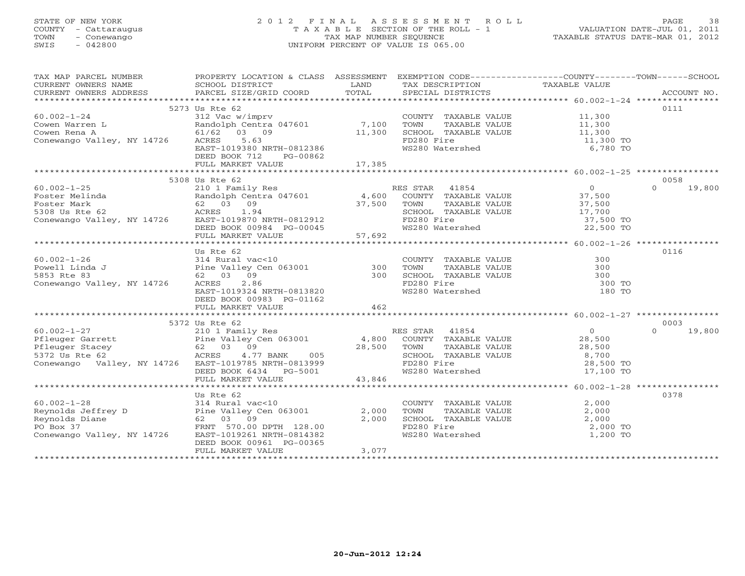# STATE OF NEW YORK 2 0 1 2 F I N A L A S S E S S M E N T R O L L PAGE 38 COUNTY - Cattaraugus T A X A B L E SECTION OF THE ROLL - 1 VALUATION DATE-JUL 01, 2011 TOWN - Conewango TAX MAP NUMBER SEQUENCE TAXABLE STATUS DATE-MAR 01, 2012 SWIS - 042800 UNIFORM PERCENT OF VALUE IS 065.00UNIFORM PERCENT OF VALUE IS 065.00

| TAX MAP PARCEL NUMBER                                                                                                                                                                                                                                                                                                                                                                                          | PROPERTY LOCATION & CLASS ASSESSMENT EXEMPTION CODE----------------COUNTY-------TOWN------SCHOOL                                               |        |                                                                                                                  |                                            |                    |
|----------------------------------------------------------------------------------------------------------------------------------------------------------------------------------------------------------------------------------------------------------------------------------------------------------------------------------------------------------------------------------------------------------------|------------------------------------------------------------------------------------------------------------------------------------------------|--------|------------------------------------------------------------------------------------------------------------------|--------------------------------------------|--------------------|
| CURRENT OWNERS NAME                                                                                                                                                                                                                                                                                                                                                                                            | SCHOOL DISTRICT<br><b>Example 12 TEAND</b>                                                                                                     |        | TAX DESCRIPTION                                                                                                  | TAXABLE VALUE                              |                    |
|                                                                                                                                                                                                                                                                                                                                                                                                                |                                                                                                                                                |        |                                                                                                                  |                                            |                    |
|                                                                                                                                                                                                                                                                                                                                                                                                                | 5273 Us Rte 62                                                                                                                                 |        |                                                                                                                  |                                            | 0111               |
| $60.002 - 1 - 24$                                                                                                                                                                                                                                                                                                                                                                                              | 312 Vac w/imprv                                                                                                                                |        | COUNTY TAXABLE VALUE 11,300                                                                                      |                                            |                    |
|                                                                                                                                                                                                                                                                                                                                                                                                                |                                                                                                                                                |        |                                                                                                                  |                                            |                    |
|                                                                                                                                                                                                                                                                                                                                                                                                                | Randolph Centra 047601 7,100<br>61/62 03 09 11,300                                                                                             |        |                                                                                                                  |                                            |                    |
| Cowen Warren L<br>Cowen Rena A<br>Conewango Valley, NY 14726 ACRES 5.63                                                                                                                                                                                                                                                                                                                                        |                                                                                                                                                |        | FD280 Fire                                                                                                       | 11,300 TO                                  |                    |
|                                                                                                                                                                                                                                                                                                                                                                                                                | EAST-1019380 NRTH-0812386                                                                                                                      |        | FD280 Fire<br>WS280 Watershed                                                                                    | 6,780 TO                                   |                    |
|                                                                                                                                                                                                                                                                                                                                                                                                                | DEED BOOK 712<br>PG-00862                                                                                                                      |        |                                                                                                                  |                                            |                    |
|                                                                                                                                                                                                                                                                                                                                                                                                                | FULL MARKET VALUE                                                                                                                              | 17,385 |                                                                                                                  |                                            |                    |
|                                                                                                                                                                                                                                                                                                                                                                                                                |                                                                                                                                                |        |                                                                                                                  |                                            |                    |
|                                                                                                                                                                                                                                                                                                                                                                                                                | 5308 Us Rte 62                                                                                                                                 |        |                                                                                                                  |                                            | 0058               |
| $60.002 - 1 - 25$                                                                                                                                                                                                                                                                                                                                                                                              | 210 1 Family Res<br>Randolph Centra 047601 4,600 COUNTY TAXABLE VALUE<br>62 03 09 37,500 TOWN TAXABLE VALUE<br>ACRES 1.94 SCHOOL TAXABLE VALUE |        |                                                                                                                  | $\begin{array}{c} 0 \\ 37,500 \end{array}$ | $\Omega$<br>19,800 |
|                                                                                                                                                                                                                                                                                                                                                                                                                |                                                                                                                                                |        |                                                                                                                  |                                            |                    |
|                                                                                                                                                                                                                                                                                                                                                                                                                |                                                                                                                                                |        |                                                                                                                  |                                            |                    |
|                                                                                                                                                                                                                                                                                                                                                                                                                |                                                                                                                                                |        |                                                                                                                  |                                            |                    |
|                                                                                                                                                                                                                                                                                                                                                                                                                |                                                                                                                                                |        |                                                                                                                  |                                            |                    |
|                                                                                                                                                                                                                                                                                                                                                                                                                |                                                                                                                                                |        |                                                                                                                  |                                            |                    |
|                                                                                                                                                                                                                                                                                                                                                                                                                |                                                                                                                                                |        |                                                                                                                  |                                            |                    |
| 0.002-1-20<br>Foster Melinda<br>Foster Mark 62 03 09<br>S308 Us Rte 62 aCRES 1.94<br>Conewango Valley, NY 14726 EAST-1019870 NRTH-0812912<br>Conewango Valley, NY 14726 EAST-1019870 NRTH-0812912<br>FULL MARKET VALUE 57,692<br>***********                                                                                                                                                                   |                                                                                                                                                |        |                                                                                                                  |                                            |                    |
|                                                                                                                                                                                                                                                                                                                                                                                                                | Us Rte 62                                                                                                                                      |        |                                                                                                                  |                                            | 0116               |
|                                                                                                                                                                                                                                                                                                                                                                                                                |                                                                                                                                                |        |                                                                                                                  |                                            |                    |
|                                                                                                                                                                                                                                                                                                                                                                                                                |                                                                                                                                                |        |                                                                                                                  |                                            |                    |
| 60.002-1-26<br>Powell Linda J and Pine Valley Cen 063001 300 TOWNTY TAXABLE VALUE<br>5853 Rte 83 62 03 09 300 SCHOOL TAXABLE VALUE 300<br>Conewango Valley, NY 14726 ACRES 2.86 FD280 Fire 1.                                                                                                                                                                                                                  |                                                                                                                                                |        |                                                                                                                  |                                            |                    |
|                                                                                                                                                                                                                                                                                                                                                                                                                |                                                                                                                                                |        | FD280 Fire<br>WS280 Watershed                                                                                    |                                            |                    |
|                                                                                                                                                                                                                                                                                                                                                                                                                | EAST-1019324 NRTH-0813820                                                                                                                      |        |                                                                                                                  | 180 TO                                     |                    |
|                                                                                                                                                                                                                                                                                                                                                                                                                | DEED BOOK 00983 PG-01162                                                                                                                       |        |                                                                                                                  |                                            |                    |
|                                                                                                                                                                                                                                                                                                                                                                                                                | FULL MARKET VALUE                                                                                                                              | 462    |                                                                                                                  |                                            |                    |
|                                                                                                                                                                                                                                                                                                                                                                                                                | 5372 Us Rte 62                                                                                                                                 |        |                                                                                                                  |                                            | 0003               |
| $60.002 - 1 - 27$                                                                                                                                                                                                                                                                                                                                                                                              |                                                                                                                                                |        |                                                                                                                  |                                            | $0 \t 19,800$      |
|                                                                                                                                                                                                                                                                                                                                                                                                                |                                                                                                                                                |        |                                                                                                                  |                                            |                    |
|                                                                                                                                                                                                                                                                                                                                                                                                                |                                                                                                                                                |        |                                                                                                                  |                                            |                    |
|                                                                                                                                                                                                                                                                                                                                                                                                                |                                                                                                                                                |        |                                                                                                                  |                                            |                    |
| $\begin{array}{lllllllllllllllllllll} \vspace{0.1cm} \text{60.002--1--27} & \text{210 1 Family Res} & \text{RES STAR} & \text{41854} & \text{0} \\ \text{Pfleuger Garrett} & \text{Pine Valley Cen 063001} & \text{4,800 COUNTY TAXABLE VALUE} & \text{28,500} \\ \text{Pfleuger Stacey} & \text{62} & \text{03} & \text{09} & \text{28,500} \\ \text{5372 Us Rte 62} & \text{A2726 EAST--1019785 NRTH-081399$ |                                                                                                                                                |        | TOWN TAXABLE VALUE $28,500$<br>SCHOOL TAXABLE VALUE $8,700$<br>FD280 Fire 28,500 TO<br>WS280 Watershed 17,100 TO |                                            |                    |
|                                                                                                                                                                                                                                                                                                                                                                                                                |                                                                                                                                                |        |                                                                                                                  |                                            |                    |
|                                                                                                                                                                                                                                                                                                                                                                                                                | DEED BOOK 6434 PG-5001 43,846<br>FULL MARKET VALUE 43,846                                                                                      |        |                                                                                                                  |                                            |                    |
|                                                                                                                                                                                                                                                                                                                                                                                                                |                                                                                                                                                |        |                                                                                                                  |                                            |                    |
|                                                                                                                                                                                                                                                                                                                                                                                                                | Us Rte 62                                                                                                                                      |        |                                                                                                                  |                                            | 0378               |
|                                                                                                                                                                                                                                                                                                                                                                                                                |                                                                                                                                                |        | COUNTY TAXABLE VALUE                                                                                             | 2,000                                      |                    |
| 60.002-1-28 314 Rural vac<10<br>Reynolds Jeffrey D Pine Valley Cen 063001<br>Reynolds Diane 62 03 09<br>PO Box 37 FRNT 570.00 DPTH 128.00<br>Conewango Valley, NY 14726 EAST-1019261 NRTH-0814382                                                                                                                                                                                                              |                                                                                                                                                | 2,000  | TOWN<br>TAXABLE VALUE<br>TAXABLE VALUE<br>FILE VALUE                                                             | 2,000                                      |                    |
|                                                                                                                                                                                                                                                                                                                                                                                                                |                                                                                                                                                | 2,000  | SCHOOL TAXABLE VALUE                                                                                             | 2,000                                      |                    |
|                                                                                                                                                                                                                                                                                                                                                                                                                |                                                                                                                                                |        | FD280 Fire<br>WS280 Watershed                                                                                    | 2,000 TO                                   |                    |
|                                                                                                                                                                                                                                                                                                                                                                                                                |                                                                                                                                                |        |                                                                                                                  | 1,200 TO                                   |                    |
|                                                                                                                                                                                                                                                                                                                                                                                                                | DEED BOOK 00961 PG-00365                                                                                                                       |        |                                                                                                                  |                                            |                    |
|                                                                                                                                                                                                                                                                                                                                                                                                                | FULL MARKET VALUE                                                                                                                              | 3,077  |                                                                                                                  |                                            |                    |
|                                                                                                                                                                                                                                                                                                                                                                                                                |                                                                                                                                                |        |                                                                                                                  |                                            |                    |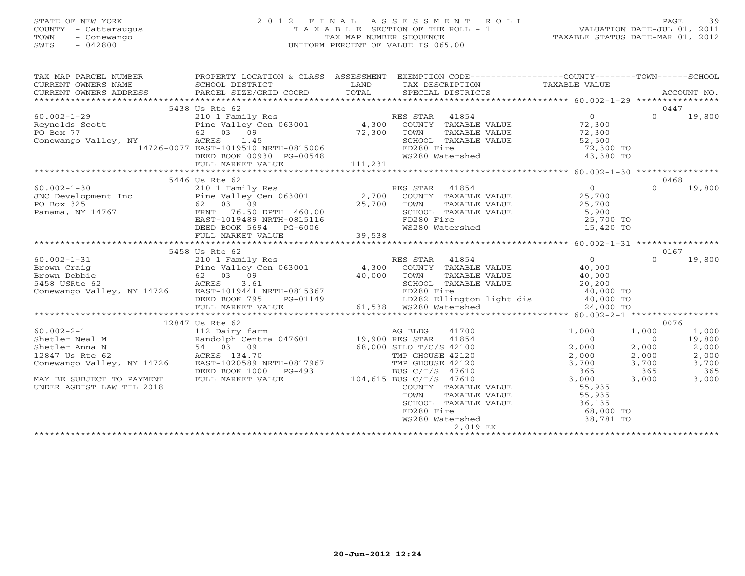# STATE OF NEW YORK 2 0 1 2 F I N A L A S S E S S M E N T R O L L PAGE 39 COUNTY - Cattaraugus T A X A B L E SECTION OF THE ROLL - 1 VALUATION DATE-JUL 01, 2011 TOWN - Conewango TAX MAP NUMBER SEQUENCE TAXABLE STATUS DATE-MAR 01, 2012 SWIS - 042800 UNIFORM PERCENT OF VALUE IS 065.00UNIFORM PERCENT OF VALUE IS 065.00

| TAX MAP PARCEL NUMBER                                                             | PROPERTY LOCATION & CLASS ASSESSMENT EXEMPTION CODE----------------COUNTY-------TOWN------SCHOOL      |             |                                                             |                                   |                |        |
|-----------------------------------------------------------------------------------|-------------------------------------------------------------------------------------------------------|-------------|-------------------------------------------------------------|-----------------------------------|----------------|--------|
| CURRENT OWNERS NAME                                                               | SCHOOL DISTRICT                                                                                       | LAND        | TAX DESCRIPTION                                             | TAXABLE VALUE                     |                |        |
| CURRENT OWNERS ADDRESS                                                            | PARCEL SIZE/GRID COORD                                                                                | TOTAL       | SPECIAL DISTRICTS                                           |                                   | ACCOUNT NO.    |        |
|                                                                                   |                                                                                                       |             |                                                             |                                   |                |        |
|                                                                                   | 5438 Us Rte 62                                                                                        |             |                                                             |                                   | 0447           |        |
| $60.002 - 1 - 29$                                                                 | 210 1 Family Res<br>Pine Valley Cen 063001 (4,300 COUNTY TAXABLE VALUE<br>62 03 09 (72.200 mover ---- |             |                                                             | $\overline{0}$                    | $\Omega$       | 19,800 |
| Reynolds Scott                                                                    |                                                                                                       |             |                                                             | 72,300                            |                |        |
| PO Box 77                                                                         |                                                                                                       | 72,300      |                                                             | 72,300                            |                |        |
| Conewango Valley, NY                                                              | 1.45                                                                                                  |             | SCHOOL TAXABLE VALUE                                        | 52,500                            |                |        |
|                                                                                   | 14726-0077 EAST-1019510 NRTH-0815006                                                                  |             | FD280 Fire                                                  | 72,300 TO                         |                |        |
|                                                                                   | DEED BOOK 00930 PG-00548                                                                              |             | WS280 Watershed                                             | 43,380 TO                         |                |        |
|                                                                                   | FULL MARKET VALUE                                                                                     | 111,231     |                                                             |                                   |                |        |
|                                                                                   |                                                                                                       |             |                                                             |                                   |                |        |
|                                                                                   | 5446 Us Rte 62                                                                                        |             |                                                             |                                   | 0468           |        |
| $60.002 - 1 - 30$                                                                 | 210 1 Family Res                                                                                      |             | RES STAR 41854                                              | $\overline{0}$                    | $\cap$         | 19,800 |
| 3NC Development Inc<br>Pine Valley Cen 063001 2,700<br>PO Box 325 62 03 09 25,700 |                                                                                                       |             | COUNTY TAXABLE VALUE                                        | 25,700                            |                |        |
|                                                                                   |                                                                                                       | 25,700      | TOWN<br>TAXABLE VALUE                                       | 25,700<br>5,900                   |                |        |
| Panama, NY 14767                                                                  | FRNT<br>76.50 DPTH 460.00                                                                             |             | SCHOOL TAXABLE VALUE                                        |                                   |                |        |
|                                                                                   | EAST-1019489 NRTH-0815116                                                                             |             | FD280 Fire                                                  | 25,700 TO                         |                |        |
|                                                                                   | DEED BOOK 5694<br>PG-6006                                                                             |             | WS280 Watershed                                             | 15,420 TO                         |                |        |
|                                                                                   | FULL MARKET VALUE                                                                                     | 39,538      |                                                             |                                   |                |        |
|                                                                                   |                                                                                                       |             |                                                             |                                   |                |        |
|                                                                                   | 5458 Us Rte 62                                                                                        |             |                                                             |                                   | 0167           |        |
| $60.002 - 1 - 31$                                                                 | 210 1 Family Res                                                                                      |             | RES STAR<br>41854                                           | $\sim$ 0                          | $\Omega$       | 19,800 |
| Brown Craig                                                                       | Pine Valley Cen 063001 4,300                                                                          |             | COUNTY TAXABLE VALUE                                        | $\frac{40,000}{40,000}$<br>20,200 |                |        |
| Brown Debbie                                                                      | 62 03 09                                                                                              | 40,000 TOWN | TAXABLE VALUE                                               |                                   |                |        |
| 5458 USRte 62                                                                     | 3.61<br>ACRES                                                                                         |             | SCHOOL TAXABLE VALUE                                        |                                   |                |        |
| Conewango Valley, NY 14726                                                        |                                                                                                       |             |                                                             |                                   |                |        |
|                                                                                   | EAST-1019441 NRTH-0815367<br>DEED BOOK 795 PG-01149                                                   |             | FD280 Fire 40,000 TO<br>LD282 Ellington light dis 40,000 TO |                                   |                |        |
|                                                                                   | FULL MARKET VALUE                                                                                     |             | 61,538  WS280 Watershed                                     | 24,000 TO                         |                |        |
|                                                                                   |                                                                                                       |             |                                                             |                                   |                |        |
|                                                                                   | 12847 Us Rte 62                                                                                       |             |                                                             |                                   | 0076           |        |
| $60.002 - 2 - 1$                                                                  | 112 Dairy farm                                                                                        |             | 41700<br>AG BLDG                                            | 1,000                             | 1,000          | 1,000  |
| 112 Dairy far<br>Randolph Cent<br>54 03 09<br>Shetler Neal M                      |                                                                                                       |             |                                                             | $\overline{0}$                    | $\overline{0}$ | 19,800 |
| Shetler Anna N                                                                    |                                                                                                       |             |                                                             | 2,000                             | 2,000          | 2,000  |
| 12847 Us Rte 62                                                                   | ACRES 134.70                                                                                          |             | TMP GHOUSE 42120                                            | 2,000                             | 2,000          | 2,000  |
| Conewango Valley, NY 14726                                                        | EAST-1020589 NRTH-0817967                                                                             |             | TMP GHOUSE 42120                                            | 3,700                             | 3,700          | 3,700  |
|                                                                                   | DEED BOOK 1000<br>PG-493                                                                              |             | BUS C/T/S 47610                                             | 365                               | 365            | 365    |
| MAY BE SUBJECT TO PAYMENT                                                         | FULL MARKET VALUE                                                                                     |             | 104,615 BUS C/T/S 47610                                     | 3,000                             | 3,000          | 3,000  |
| UNDER AGDIST LAW TIL 2018                                                         |                                                                                                       |             | COUNTY TAXABLE VALUE                                        | 55,935                            |                |        |
|                                                                                   |                                                                                                       |             | TAXABLE VALUE<br>TOWN                                       | 55,935                            |                |        |
|                                                                                   |                                                                                                       |             | SCHOOL TAXABLE VALUE                                        | 36,135                            |                |        |
|                                                                                   |                                                                                                       |             | FD280 Fire                                                  | 68,000 TO                         |                |        |
|                                                                                   |                                                                                                       |             | WS280 Watershed                                             | 38,781 TO                         |                |        |
|                                                                                   |                                                                                                       |             | 2,019 EX                                                    |                                   |                |        |
|                                                                                   |                                                                                                       |             |                                                             |                                   |                |        |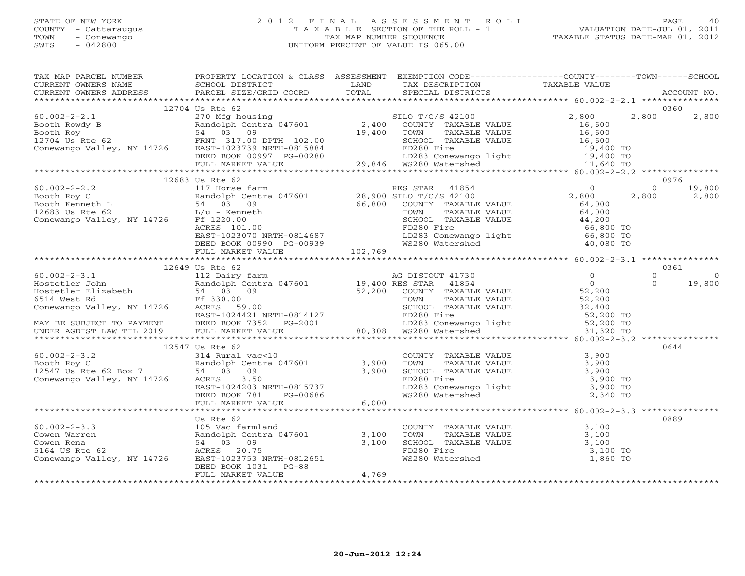# STATE OF NEW YORK 2 0 1 2 F I N A L A S S E S S M E N T R O L L PAGE 40 COUNTY - Cattaraugus T A X A B L E SECTION OF THE ROLL - 1 VALUATION DATE-JUL 01, 2011 TOWN - Conewango TAX MAP NUMBER SEQUENCE TAXABLE STATUS DATE-MAR 01, 2012 SWIS - 042800 UNIFORM PERCENT OF VALUE IS 065.00UNIFORM PERCENT OF VALUE IS 065.00

| TAX MAP PARCEL NUMBER FROPERTY LOCATION & CLASS ASSESSMENT EXEMPTION CODE--------------COUNTY-------TOWN------SCHOOL                                                                                                                                                             |                      |       |  |          |
|----------------------------------------------------------------------------------------------------------------------------------------------------------------------------------------------------------------------------------------------------------------------------------|----------------------|-------|--|----------|
|                                                                                                                                                                                                                                                                                  |                      |       |  |          |
|                                                                                                                                                                                                                                                                                  |                      |       |  |          |
|                                                                                                                                                                                                                                                                                  |                      |       |  |          |
|                                                                                                                                                                                                                                                                                  | 12704 Us Rte 62      |       |  | 0360     |
|                                                                                                                                                                                                                                                                                  |                      |       |  |          |
|                                                                                                                                                                                                                                                                                  |                      |       |  |          |
|                                                                                                                                                                                                                                                                                  |                      |       |  |          |
|                                                                                                                                                                                                                                                                                  |                      |       |  |          |
|                                                                                                                                                                                                                                                                                  |                      |       |  |          |
|                                                                                                                                                                                                                                                                                  |                      |       |  |          |
|                                                                                                                                                                                                                                                                                  |                      |       |  |          |
|                                                                                                                                                                                                                                                                                  |                      |       |  |          |
|                                                                                                                                                                                                                                                                                  |                      |       |  |          |
|                                                                                                                                                                                                                                                                                  |                      |       |  |          |
|                                                                                                                                                                                                                                                                                  |                      |       |  |          |
|                                                                                                                                                                                                                                                                                  |                      |       |  |          |
|                                                                                                                                                                                                                                                                                  |                      |       |  |          |
|                                                                                                                                                                                                                                                                                  |                      |       |  |          |
|                                                                                                                                                                                                                                                                                  |                      |       |  |          |
|                                                                                                                                                                                                                                                                                  |                      |       |  |          |
|                                                                                                                                                                                                                                                                                  |                      |       |  |          |
|                                                                                                                                                                                                                                                                                  |                      |       |  |          |
|                                                                                                                                                                                                                                                                                  |                      |       |  |          |
|                                                                                                                                                                                                                                                                                  | 12649 Us Rte 62      |       |  |          |
|                                                                                                                                                                                                                                                                                  |                      |       |  | $\Omega$ |
|                                                                                                                                                                                                                                                                                  |                      |       |  | 19,800   |
|                                                                                                                                                                                                                                                                                  |                      |       |  |          |
|                                                                                                                                                                                                                                                                                  |                      |       |  |          |
|                                                                                                                                                                                                                                                                                  |                      |       |  |          |
|                                                                                                                                                                                                                                                                                  |                      |       |  |          |
|                                                                                                                                                                                                                                                                                  |                      |       |  |          |
|                                                                                                                                                                                                                                                                                  |                      |       |  |          |
|                                                                                                                                                                                                                                                                                  |                      |       |  |          |
|                                                                                                                                                                                                                                                                                  |                      |       |  | 0644     |
|                                                                                                                                                                                                                                                                                  |                      |       |  |          |
|                                                                                                                                                                                                                                                                                  |                      |       |  |          |
|                                                                                                                                                                                                                                                                                  |                      |       |  |          |
|                                                                                                                                                                                                                                                                                  |                      |       |  |          |
|                                                                                                                                                                                                                                                                                  |                      |       |  |          |
|                                                                                                                                                                                                                                                                                  |                      |       |  |          |
| 12547 US REE 62<br>12547 US REE 62<br>3.900<br>23.900<br>23.900<br>23.900<br>23.900<br>23.900<br>23.900<br>23.900<br>23.900<br>23.900<br>23.900<br>23.900<br>23.900<br>23.900<br>23.900<br>23.900<br>23.900<br>23.900<br>23.900<br>23.900<br>23.900<br>23.900<br>23.900<br>23.90 |                      |       |  |          |
|                                                                                                                                                                                                                                                                                  |                      |       |  |          |
|                                                                                                                                                                                                                                                                                  |                      |       |  | 0889     |
|                                                                                                                                                                                                                                                                                  |                      |       |  |          |
|                                                                                                                                                                                                                                                                                  |                      |       |  |          |
|                                                                                                                                                                                                                                                                                  |                      |       |  |          |
|                                                                                                                                                                                                                                                                                  |                      |       |  |          |
| Us Rte 62<br>Country TAXABLE VALUE<br>Coven Warren (1999) and and the country of the country TAXABLE VALUE<br>Coven Rena 54 03 09<br>S164 US Rte 62<br>Conewango Valley, NY 14726 EAST-1023753 NRTH-0812651 (Conewango Valley, NY 14726                                          |                      |       |  |          |
|                                                                                                                                                                                                                                                                                  | DEED BOOK 1031 PG-88 | 4,769 |  |          |
|                                                                                                                                                                                                                                                                                  | FULL MARKET VALUE    |       |  |          |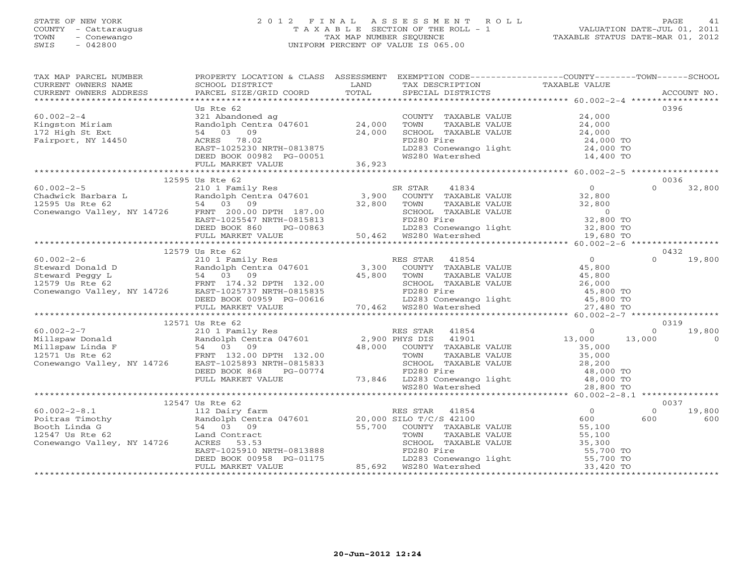# STATE OF NEW YORK 2 0 1 2 F I N A L A S S E S S M E N T R O L L PAGE 41 COUNTY - Cattaraugus T A X A B L E SECTION OF THE ROLL - 1 VALUATION DATE-JUL 01, 2011 TOWN - Conewango TAX MAP NUMBER SEQUENCE TAXABLE STATUS DATE-MAR 01, 2012 SWIS - 042800 UNIFORM PERCENT OF VALUE IS 065.00UNIFORM PERCENT OF VALUE IS 065.00

| TAX MAP PARCEL NUMBER<br>CURRENT OWNERS NAME                                                                                                                                                                                                                                                                                                                                                                     | PROPERTY LOCATION & CLASS ASSESSMENT EXEMPTION CODE----------------COUNTY-------TOWN------SCHOOL<br><b>LAND</b><br>SCHOOL DISTRICT | TAX DESCRIPTION                 | TAXABLE VALUE                                            |                            |
|------------------------------------------------------------------------------------------------------------------------------------------------------------------------------------------------------------------------------------------------------------------------------------------------------------------------------------------------------------------------------------------------------------------|------------------------------------------------------------------------------------------------------------------------------------|---------------------------------|----------------------------------------------------------|----------------------------|
| - CURRENT OWNERS ADDRESS PARCEL SIZE/GRID COORD TOTAL SPECIAL DISTRICTS (2000) ACCOUNT NO ACCOUNT NO ACCOUNT NO SPECIAL SIZE/GRID COORD TOTAL SECOMENT SERVERS AND A SERVERS AND A SERVERS AND A SERVERS AND A SERVERS AND A S                                                                                                                                                                                   |                                                                                                                                    |                                 |                                                          |                            |
|                                                                                                                                                                                                                                                                                                                                                                                                                  | Us Rte 62                                                                                                                          |                                 |                                                          | 0396                       |
| $60.002 - 2 - 4$                                                                                                                                                                                                                                                                                                                                                                                                 | 321 Abandoned ag<br>Randolph Centra 047601 24,000<br>54 03 09 24,000<br>ACRES 78.02                                                | COUNTY TAXABLE VALUE 24,000     |                                                          |                            |
|                                                                                                                                                                                                                                                                                                                                                                                                                  |                                                                                                                                    |                                 |                                                          |                            |
| Kingston Miriam<br>170 Wich St Ext<br>172 High St Ext                                                                                                                                                                                                                                                                                                                                                            |                                                                                                                                    |                                 |                                                          |                            |
| Fairport, NY 14450                                                                                                                                                                                                                                                                                                                                                                                               | ACRES 78.02                                                                                                                        | FD280 Fire                      | 24,000 TO                                                |                            |
|                                                                                                                                                                                                                                                                                                                                                                                                                  |                                                                                                                                    | LD283 Conewango light 24,000 TO |                                                          |                            |
|                                                                                                                                                                                                                                                                                                                                                                                                                  |                                                                                                                                    | WS280 Watershed                 | 14,400 TO                                                |                            |
|                                                                                                                                                                                                                                                                                                                                                                                                                  |                                                                                                                                    |                                 |                                                          |                            |
|                                                                                                                                                                                                                                                                                                                                                                                                                  |                                                                                                                                    |                                 |                                                          |                            |
|                                                                                                                                                                                                                                                                                                                                                                                                                  | 12595 Us Rte 62                                                                                                                    |                                 |                                                          | 0036                       |
|                                                                                                                                                                                                                                                                                                                                                                                                                  |                                                                                                                                    |                                 |                                                          | $\Omega$<br>32,800         |
|                                                                                                                                                                                                                                                                                                                                                                                                                  |                                                                                                                                    |                                 |                                                          |                            |
|                                                                                                                                                                                                                                                                                                                                                                                                                  |                                                                                                                                    |                                 |                                                          |                            |
| $\begin{array}{ccccccccc} 60.002-2-5 & -2-5 & -2-5 & -2-5 & -2-5 & -2-5 & -2-5 & 210 & 1 & \text{Family Res} & & & \text{SR STAR} & 41834 & & & 0 \\ \text{Chadwick Barbara L} & \text{Random Centra 047601} & 3,900 & \text{COUNTY TAXABLE VALUE} & 32,800 & 32,800 \\ 12595 US Rte 62 & 54 & 03 & 09 & 50 & 32,800 & \text{TONITY TAXABLE VALUE} & 32,800 \\ \text{Conewango Valley, NY 14726} & FR$           |                                                                                                                                    |                                 |                                                          |                            |
|                                                                                                                                                                                                                                                                                                                                                                                                                  |                                                                                                                                    |                                 |                                                          |                            |
|                                                                                                                                                                                                                                                                                                                                                                                                                  |                                                                                                                                    |                                 |                                                          |                            |
|                                                                                                                                                                                                                                                                                                                                                                                                                  |                                                                                                                                    |                                 |                                                          |                            |
|                                                                                                                                                                                                                                                                                                                                                                                                                  | 12579 Us Rte 62                                                                                                                    |                                 |                                                          | 0432                       |
|                                                                                                                                                                                                                                                                                                                                                                                                                  |                                                                                                                                    |                                 |                                                          | $\Omega$<br>19,800         |
|                                                                                                                                                                                                                                                                                                                                                                                                                  |                                                                                                                                    |                                 |                                                          |                            |
|                                                                                                                                                                                                                                                                                                                                                                                                                  |                                                                                                                                    |                                 |                                                          |                            |
|                                                                                                                                                                                                                                                                                                                                                                                                                  |                                                                                                                                    |                                 |                                                          |                            |
|                                                                                                                                                                                                                                                                                                                                                                                                                  |                                                                                                                                    |                                 |                                                          |                            |
|                                                                                                                                                                                                                                                                                                                                                                                                                  |                                                                                                                                    |                                 |                                                          |                            |
|                                                                                                                                                                                                                                                                                                                                                                                                                  |                                                                                                                                    |                                 |                                                          |                            |
|                                                                                                                                                                                                                                                                                                                                                                                                                  |                                                                                                                                    |                                 |                                                          |                            |
|                                                                                                                                                                                                                                                                                                                                                                                                                  |                                                                                                                                    |                                 |                                                          | 0319<br>19,800<br>$\Omega$ |
|                                                                                                                                                                                                                                                                                                                                                                                                                  |                                                                                                                                    |                                 | 13,000                                                   | $\overline{0}$             |
|                                                                                                                                                                                                                                                                                                                                                                                                                  |                                                                                                                                    |                                 |                                                          |                            |
|                                                                                                                                                                                                                                                                                                                                                                                                                  |                                                                                                                                    |                                 |                                                          |                            |
|                                                                                                                                                                                                                                                                                                                                                                                                                  |                                                                                                                                    |                                 |                                                          |                            |
|                                                                                                                                                                                                                                                                                                                                                                                                                  |                                                                                                                                    |                                 |                                                          |                            |
|                                                                                                                                                                                                                                                                                                                                                                                                                  |                                                                                                                                    |                                 |                                                          |                            |
|                                                                                                                                                                                                                                                                                                                                                                                                                  |                                                                                                                                    |                                 |                                                          |                            |
|                                                                                                                                                                                                                                                                                                                                                                                                                  |                                                                                                                                    |                                 |                                                          |                            |
|                                                                                                                                                                                                                                                                                                                                                                                                                  |                                                                                                                                    |                                 |                                                          | 0037                       |
|                                                                                                                                                                                                                                                                                                                                                                                                                  |                                                                                                                                    |                                 |                                                          | $\Omega$<br>19,800         |
|                                                                                                                                                                                                                                                                                                                                                                                                                  |                                                                                                                                    |                                 | $\begin{array}{c} 0 \\ 600 \\ 55,100 \end{array}$<br>600 | 600                        |
|                                                                                                                                                                                                                                                                                                                                                                                                                  |                                                                                                                                    |                                 |                                                          |                            |
|                                                                                                                                                                                                                                                                                                                                                                                                                  |                                                                                                                                    |                                 |                                                          |                            |
|                                                                                                                                                                                                                                                                                                                                                                                                                  |                                                                                                                                    |                                 |                                                          |                            |
|                                                                                                                                                                                                                                                                                                                                                                                                                  |                                                                                                                                    |                                 |                                                          |                            |
| $\begin{tabular}{lllllllllllllllllllllll} \hline 60.002-2-8.1 & 112 \text{ Dairy farm} & \text{KES STAR} & 41004 & 600 \\\hline \text{Poitras Timothy} & \text{Random Central 047601} & 20,000 \text{ SILO T/C/S 42100} & 55,100 \\\hline \text{Booth Linda G} & 54 & 03 & 09 & 55,700 & \text{COMMY TAXABLE VALUE} & 55,100 \\\hline \text{Tonewango Valley, NY 14726 & \text{LCES} & 53.53 & \text{SCHOOL TAX$ |                                                                                                                                    |                                 |                                                          |                            |
|                                                                                                                                                                                                                                                                                                                                                                                                                  |                                                                                                                                    |                                 |                                                          |                            |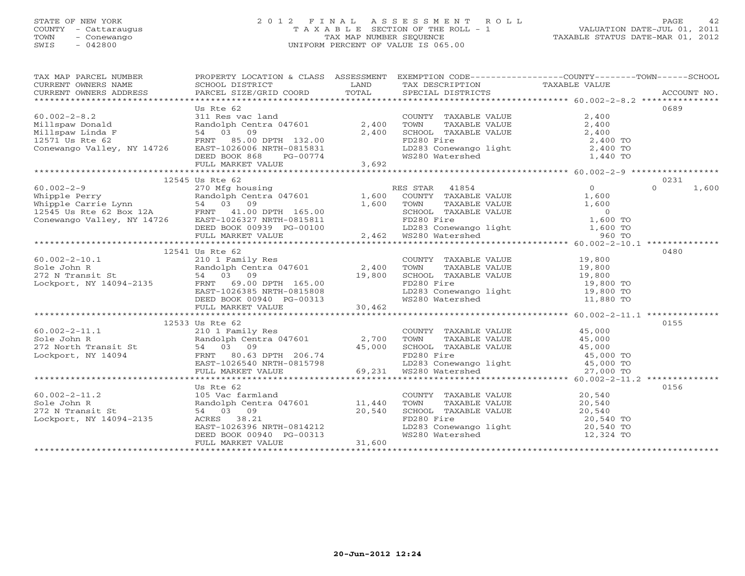# STATE OF NEW YORK 2 0 1 2 F I N A L A S S E S S M E N T R O L L PAGE 42 COUNTY - Cattaraugus T A X A B L E SECTION OF THE ROLL - 1 VALUATION DATE-JUL 01, 2011 TOWN - Conewango TAX MAP NUMBER SEQUENCE TAXABLE STATUS DATE-MAR 01, 2012 SWIS - 042800 UNIFORM PERCENT OF VALUE IS 065.00UNIFORM PERCENT OF VALUE IS 065.00

| TAX MAP PARCEL NUMBER<br>CURRENT OWNERS NAME SCHOOL DISTRICT LAND CURRENT OWNERS ADDRESS PARCEL SIZE/GRID COORD TOTAL                                                                                                                                                                                                                                                                                                          | PROPERTY LOCATION & CLASS ASSESSMENT EXEMPTION CODE----------------COUNTY-------TOWN------SCHOOL |                                                                                                                                           |                           |
|--------------------------------------------------------------------------------------------------------------------------------------------------------------------------------------------------------------------------------------------------------------------------------------------------------------------------------------------------------------------------------------------------------------------------------|--------------------------------------------------------------------------------------------------|-------------------------------------------------------------------------------------------------------------------------------------------|---------------------------|
|                                                                                                                                                                                                                                                                                                                                                                                                                                |                                                                                                  |                                                                                                                                           |                           |
|                                                                                                                                                                                                                                                                                                                                                                                                                                | Us Rte 62                                                                                        |                                                                                                                                           | 0689                      |
|                                                                                                                                                                                                                                                                                                                                                                                                                                |                                                                                                  |                                                                                                                                           |                           |
|                                                                                                                                                                                                                                                                                                                                                                                                                                |                                                                                                  |                                                                                                                                           |                           |
|                                                                                                                                                                                                                                                                                                                                                                                                                                |                                                                                                  |                                                                                                                                           |                           |
|                                                                                                                                                                                                                                                                                                                                                                                                                                |                                                                                                  |                                                                                                                                           |                           |
|                                                                                                                                                                                                                                                                                                                                                                                                                                |                                                                                                  |                                                                                                                                           |                           |
|                                                                                                                                                                                                                                                                                                                                                                                                                                |                                                                                                  |                                                                                                                                           |                           |
|                                                                                                                                                                                                                                                                                                                                                                                                                                |                                                                                                  |                                                                                                                                           |                           |
| $\begin{tabular}{lllllllllll} 60.002-2-9 & 12545 \text{ Us } \text{Rte } 62 & 270 \text{ Mfg housing} & \text{RES } \text{STAR} & 41854 & 0 \\ \text{Whipple } \text{Perry} & \text{Random } 1,600 & \text{COUNTY } \text{TAXABLE VALUE} & 1,600 \\ \text{Whipple } \text{Carrie } \text{Lym} & 54 & 03 & 09 & 1,600 & \text{TONTY } \text{TAXABLE VALUE} & 1,600 \\ \text{Whipple } \text{Carrie } \text{Lym} & 54 & 03 & 09$ | 12545 Us Rte 62                                                                                  |                                                                                                                                           | 0231<br>$\Omega$<br>1,600 |
|                                                                                                                                                                                                                                                                                                                                                                                                                                |                                                                                                  |                                                                                                                                           |                           |
|                                                                                                                                                                                                                                                                                                                                                                                                                                |                                                                                                  |                                                                                                                                           |                           |
|                                                                                                                                                                                                                                                                                                                                                                                                                                |                                                                                                  |                                                                                                                                           |                           |
|                                                                                                                                                                                                                                                                                                                                                                                                                                |                                                                                                  |                                                                                                                                           |                           |
|                                                                                                                                                                                                                                                                                                                                                                                                                                |                                                                                                  |                                                                                                                                           |                           |
|                                                                                                                                                                                                                                                                                                                                                                                                                                |                                                                                                  |                                                                                                                                           |                           |
|                                                                                                                                                                                                                                                                                                                                                                                                                                |                                                                                                  |                                                                                                                                           |                           |
|                                                                                                                                                                                                                                                                                                                                                                                                                                | 12541 Us Rte 62                                                                                  |                                                                                                                                           | 0480                      |
|                                                                                                                                                                                                                                                                                                                                                                                                                                |                                                                                                  |                                                                                                                                           |                           |
|                                                                                                                                                                                                                                                                                                                                                                                                                                |                                                                                                  |                                                                                                                                           |                           |
|                                                                                                                                                                                                                                                                                                                                                                                                                                |                                                                                                  |                                                                                                                                           |                           |
|                                                                                                                                                                                                                                                                                                                                                                                                                                |                                                                                                  |                                                                                                                                           |                           |
|                                                                                                                                                                                                                                                                                                                                                                                                                                |                                                                                                  |                                                                                                                                           |                           |
|                                                                                                                                                                                                                                                                                                                                                                                                                                |                                                                                                  |                                                                                                                                           |                           |
|                                                                                                                                                                                                                                                                                                                                                                                                                                |                                                                                                  |                                                                                                                                           |                           |
|                                                                                                                                                                                                                                                                                                                                                                                                                                | 12533 Us Rte 62                                                                                  |                                                                                                                                           | 0155                      |
|                                                                                                                                                                                                                                                                                                                                                                                                                                |                                                                                                  |                                                                                                                                           |                           |
|                                                                                                                                                                                                                                                                                                                                                                                                                                |                                                                                                  |                                                                                                                                           |                           |
|                                                                                                                                                                                                                                                                                                                                                                                                                                |                                                                                                  |                                                                                                                                           |                           |
|                                                                                                                                                                                                                                                                                                                                                                                                                                |                                                                                                  |                                                                                                                                           |                           |
|                                                                                                                                                                                                                                                                                                                                                                                                                                |                                                                                                  |                                                                                                                                           |                           |
|                                                                                                                                                                                                                                                                                                                                                                                                                                |                                                                                                  |                                                                                                                                           |                           |
|                                                                                                                                                                                                                                                                                                                                                                                                                                |                                                                                                  |                                                                                                                                           | 0156                      |
|                                                                                                                                                                                                                                                                                                                                                                                                                                |                                                                                                  | COUNTY TAXABLE VALUE 20,540                                                                                                               |                           |
|                                                                                                                                                                                                                                                                                                                                                                                                                                |                                                                                                  |                                                                                                                                           |                           |
|                                                                                                                                                                                                                                                                                                                                                                                                                                |                                                                                                  |                                                                                                                                           |                           |
|                                                                                                                                                                                                                                                                                                                                                                                                                                |                                                                                                  |                                                                                                                                           |                           |
|                                                                                                                                                                                                                                                                                                                                                                                                                                |                                                                                                  |                                                                                                                                           |                           |
|                                                                                                                                                                                                                                                                                                                                                                                                                                |                                                                                                  | TOWN TAXABLE VALUE<br>SCHOOL TAXABLE VALUE<br>SCHOOL TAXABLE VALUE<br>FD280 Fire<br>LD283 Conewango light<br>WS280 Watershed<br>12,324 TO |                           |
|                                                                                                                                                                                                                                                                                                                                                                                                                                |                                                                                                  |                                                                                                                                           |                           |
|                                                                                                                                                                                                                                                                                                                                                                                                                                |                                                                                                  |                                                                                                                                           |                           |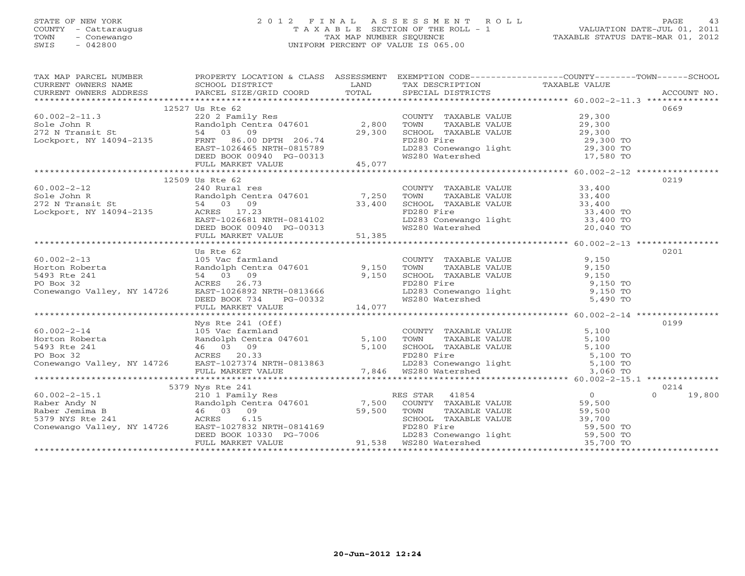# STATE OF NEW YORK 2 0 1 2 F I N A L A S S E S S M E N T R O L L PAGE 43 COUNTY - Cattaraugus T A X A B L E SECTION OF THE ROLL - 1 VALUATION DATE-JUL 01, 2011 TOWN - Conewango TAX MAP NUMBER SEQUENCE TAXABLE STATUS DATE-MAR 01, 2012 SWIS - 042800 UNIFORM PERCENT OF VALUE IS 065.00UNIFORM PERCENT OF VALUE IS 065.00

|                                                                                                                                                                                                                                                                                                                                                                                                           |                 |  | TAX MAP PARCEL NUMBER       PROPERTY LOCATION & CLASS ASSESSMENT EXEMPTION CODE---------------COUNTY-------TOWN------SCHOOL                                                                                                                                                                                                                                                                    |
|-----------------------------------------------------------------------------------------------------------------------------------------------------------------------------------------------------------------------------------------------------------------------------------------------------------------------------------------------------------------------------------------------------------|-----------------|--|------------------------------------------------------------------------------------------------------------------------------------------------------------------------------------------------------------------------------------------------------------------------------------------------------------------------------------------------------------------------------------------------|
|                                                                                                                                                                                                                                                                                                                                                                                                           |                 |  |                                                                                                                                                                                                                                                                                                                                                                                                |
|                                                                                                                                                                                                                                                                                                                                                                                                           |                 |  |                                                                                                                                                                                                                                                                                                                                                                                                |
|                                                                                                                                                                                                                                                                                                                                                                                                           |                 |  |                                                                                                                                                                                                                                                                                                                                                                                                |
|                                                                                                                                                                                                                                                                                                                                                                                                           | 12527 Us Rte 62 |  | 0669                                                                                                                                                                                                                                                                                                                                                                                           |
|                                                                                                                                                                                                                                                                                                                                                                                                           |                 |  |                                                                                                                                                                                                                                                                                                                                                                                                |
|                                                                                                                                                                                                                                                                                                                                                                                                           |                 |  |                                                                                                                                                                                                                                                                                                                                                                                                |
|                                                                                                                                                                                                                                                                                                                                                                                                           |                 |  |                                                                                                                                                                                                                                                                                                                                                                                                |
| $\begin{array}{ccccccccc} 60.002-2-11.3 & 220 & 2 & \text{Family Res} & \text{COUNTY TAXABLE VALUE} & 29,300 \\ & & 220 & 2 & \text{Family Res} & 2,800 & \text{TOWN} & \text{TXABLE VALUE} & 29,300 \\ & & & \text{Random R} & & 54 & 03 & 09 \\ & & & 54 & 03 & 09 & & 29,300 & \text{SCHOL TAXABLE VALUE} & 29,300 \\ & & & 54 & 03 & 09 & & \text{FD280 Fireweak} & \text{YALUE} & 29,300 \\ & & & 5$ |                 |  |                                                                                                                                                                                                                                                                                                                                                                                                |
|                                                                                                                                                                                                                                                                                                                                                                                                           |                 |  |                                                                                                                                                                                                                                                                                                                                                                                                |
|                                                                                                                                                                                                                                                                                                                                                                                                           |                 |  |                                                                                                                                                                                                                                                                                                                                                                                                |
|                                                                                                                                                                                                                                                                                                                                                                                                           |                 |  |                                                                                                                                                                                                                                                                                                                                                                                                |
|                                                                                                                                                                                                                                                                                                                                                                                                           |                 |  |                                                                                                                                                                                                                                                                                                                                                                                                |
|                                                                                                                                                                                                                                                                                                                                                                                                           | 12509 Us Rte 62 |  | 0219                                                                                                                                                                                                                                                                                                                                                                                           |
|                                                                                                                                                                                                                                                                                                                                                                                                           |                 |  |                                                                                                                                                                                                                                                                                                                                                                                                |
|                                                                                                                                                                                                                                                                                                                                                                                                           |                 |  |                                                                                                                                                                                                                                                                                                                                                                                                |
|                                                                                                                                                                                                                                                                                                                                                                                                           |                 |  |                                                                                                                                                                                                                                                                                                                                                                                                |
|                                                                                                                                                                                                                                                                                                                                                                                                           |                 |  |                                                                                                                                                                                                                                                                                                                                                                                                |
|                                                                                                                                                                                                                                                                                                                                                                                                           |                 |  |                                                                                                                                                                                                                                                                                                                                                                                                |
|                                                                                                                                                                                                                                                                                                                                                                                                           |                 |  |                                                                                                                                                                                                                                                                                                                                                                                                |
|                                                                                                                                                                                                                                                                                                                                                                                                           |                 |  |                                                                                                                                                                                                                                                                                                                                                                                                |
|                                                                                                                                                                                                                                                                                                                                                                                                           |                 |  |                                                                                                                                                                                                                                                                                                                                                                                                |
|                                                                                                                                                                                                                                                                                                                                                                                                           |                 |  |                                                                                                                                                                                                                                                                                                                                                                                                |
|                                                                                                                                                                                                                                                                                                                                                                                                           | Us Rte 62       |  | 0201                                                                                                                                                                                                                                                                                                                                                                                           |
| 60.002-2-13<br>Morton Roberta<br>Horton Roberta<br>5493 Rte 241<br>PO Box 32<br>Conewango Valley, NY 14726<br>EED BOOK 734<br>FULL MARKET VALUE<br>FULL MARKET VALUE<br>FULL MARKET VALUE<br>FULL MARKET VALUE<br>FULL MARKET VALUE<br>FULL MARKET VA                                                                                                                                                     |                 |  |                                                                                                                                                                                                                                                                                                                                                                                                |
|                                                                                                                                                                                                                                                                                                                                                                                                           |                 |  |                                                                                                                                                                                                                                                                                                                                                                                                |
|                                                                                                                                                                                                                                                                                                                                                                                                           |                 |  |                                                                                                                                                                                                                                                                                                                                                                                                |
|                                                                                                                                                                                                                                                                                                                                                                                                           |                 |  |                                                                                                                                                                                                                                                                                                                                                                                                |
|                                                                                                                                                                                                                                                                                                                                                                                                           |                 |  |                                                                                                                                                                                                                                                                                                                                                                                                |
|                                                                                                                                                                                                                                                                                                                                                                                                           |                 |  |                                                                                                                                                                                                                                                                                                                                                                                                |
|                                                                                                                                                                                                                                                                                                                                                                                                           |                 |  |                                                                                                                                                                                                                                                                                                                                                                                                |
|                                                                                                                                                                                                                                                                                                                                                                                                           |                 |  |                                                                                                                                                                                                                                                                                                                                                                                                |
|                                                                                                                                                                                                                                                                                                                                                                                                           |                 |  |                                                                                                                                                                                                                                                                                                                                                                                                |
|                                                                                                                                                                                                                                                                                                                                                                                                           |                 |  | $\begin{tabular}{l c c c c c c c c} \multicolumn{3}{c c c c} \multicolumn{3}{c c c} \multicolumn{3}{c c c} \multicolumn{3}{c c c} \multicolumn{3}{c c c} \multicolumn{3}{c c c} \multicolumn{3}{c c c} \multicolumn{3}{c c c} \multicolumn{3}{c c c} \multicolumn{3}{c c c} \multicolumn{3}{c c c} \multicolumn{3}{c c c} \multicolumn{3}{c c c} \multicolumn{3}{c c c} \multicolumn{3}{c c c$ |
|                                                                                                                                                                                                                                                                                                                                                                                                           |                 |  |                                                                                                                                                                                                                                                                                                                                                                                                |
|                                                                                                                                                                                                                                                                                                                                                                                                           |                 |  |                                                                                                                                                                                                                                                                                                                                                                                                |
|                                                                                                                                                                                                                                                                                                                                                                                                           |                 |  |                                                                                                                                                                                                                                                                                                                                                                                                |
|                                                                                                                                                                                                                                                                                                                                                                                                           |                 |  |                                                                                                                                                                                                                                                                                                                                                                                                |
|                                                                                                                                                                                                                                                                                                                                                                                                           |                 |  |                                                                                                                                                                                                                                                                                                                                                                                                |
|                                                                                                                                                                                                                                                                                                                                                                                                           |                 |  |                                                                                                                                                                                                                                                                                                                                                                                                |
|                                                                                                                                                                                                                                                                                                                                                                                                           |                 |  |                                                                                                                                                                                                                                                                                                                                                                                                |
|                                                                                                                                                                                                                                                                                                                                                                                                           |                 |  |                                                                                                                                                                                                                                                                                                                                                                                                |
|                                                                                                                                                                                                                                                                                                                                                                                                           |                 |  | $0 \t 19,800$                                                                                                                                                                                                                                                                                                                                                                                  |
|                                                                                                                                                                                                                                                                                                                                                                                                           |                 |  |                                                                                                                                                                                                                                                                                                                                                                                                |
|                                                                                                                                                                                                                                                                                                                                                                                                           |                 |  |                                                                                                                                                                                                                                                                                                                                                                                                |
|                                                                                                                                                                                                                                                                                                                                                                                                           |                 |  |                                                                                                                                                                                                                                                                                                                                                                                                |
|                                                                                                                                                                                                                                                                                                                                                                                                           |                 |  |                                                                                                                                                                                                                                                                                                                                                                                                |
|                                                                                                                                                                                                                                                                                                                                                                                                           |                 |  |                                                                                                                                                                                                                                                                                                                                                                                                |
|                                                                                                                                                                                                                                                                                                                                                                                                           |                 |  |                                                                                                                                                                                                                                                                                                                                                                                                |
|                                                                                                                                                                                                                                                                                                                                                                                                           |                 |  |                                                                                                                                                                                                                                                                                                                                                                                                |
|                                                                                                                                                                                                                                                                                                                                                                                                           |                 |  |                                                                                                                                                                                                                                                                                                                                                                                                |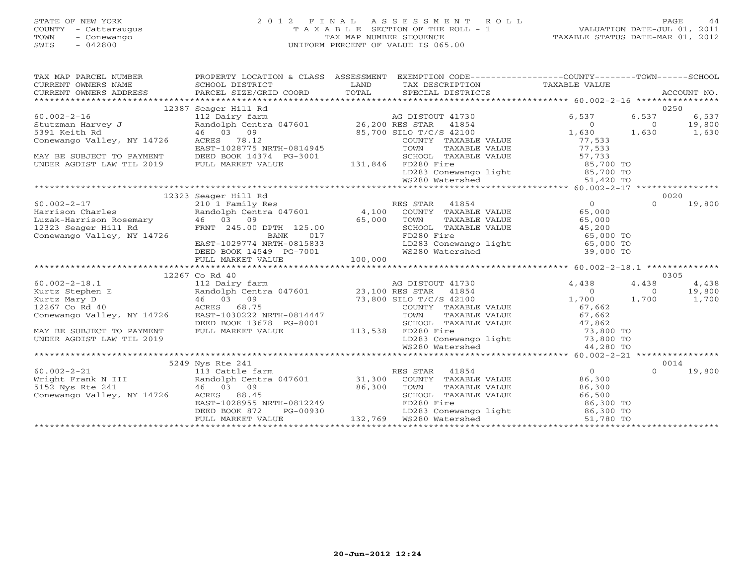# STATE OF NEW YORK 2 0 1 2 F I N A L A S S E S S M E N T R O L L PAGE 44 COUNTY - Cattaraugus T A X A B L E SECTION OF THE ROLL - 1 VALUATION DATE-JUL 01, 2011 TOWN - Conewango TAX MAP NUMBER SEQUENCE TAXABLE STATUS DATE-MAR 01, 2012 SWIS - 042800 UNIFORM PERCENT OF VALUE IS 065.00UNIFORM PERCENT OF VALUE IS 065.00

| TAX MAP PARCEL NUMBER                                                                                                                                                                                                            | PROPERTY LOCATION & CLASS ASSESSMENT                                                                                                                                                                                                                                   |                                                  | EXEMPTION CODE-----------------COUNTY-------TOWN------SCHOOL                                                                                                                                                                 |          |             |
|----------------------------------------------------------------------------------------------------------------------------------------------------------------------------------------------------------------------------------|------------------------------------------------------------------------------------------------------------------------------------------------------------------------------------------------------------------------------------------------------------------------|--------------------------------------------------|------------------------------------------------------------------------------------------------------------------------------------------------------------------------------------------------------------------------------|----------|-------------|
|                                                                                                                                                                                                                                  | 12387 Seager Hill Rd                                                                                                                                                                                                                                                   |                                                  |                                                                                                                                                                                                                              |          | 0250        |
|                                                                                                                                                                                                                                  |                                                                                                                                                                                                                                                                        | AG DISTOUT 41730                                 | 6,537                                                                                                                                                                                                                        | 6,537    | 6,537       |
|                                                                                                                                                                                                                                  |                                                                                                                                                                                                                                                                        |                                                  | $\overline{0}$                                                                                                                                                                                                               | $\sim$ 0 | 19,800      |
| 60.002-2-16<br>5391 Keith Rd 112 Dairy farm 112 Dairy farm 112 Dairy farm 112 Dairy farm 112 Dairy farm 112 Dairy farm 112 Dairy farm 126,200 RES STAR 11854                                                                     |                                                                                                                                                                                                                                                                        |                                                  | 1,630                                                                                                                                                                                                                        |          | 1,630 1,630 |
| Conewango Valley, NY 14726                                                                                                                                                                                                       | ACRES 78.12                                                                                                                                                                                                                                                            |                                                  |                                                                                                                                                                                                                              |          |             |
|                                                                                                                                                                                                                                  | EAST-1028775 NRTH-0814945                                                                                                                                                                                                                                              |                                                  |                                                                                                                                                                                                                              |          |             |
| MAY BE SUBJECT TO PAYMENT                                                                                                                                                                                                        |                                                                                                                                                                                                                                                                        |                                                  | COUNTY TAXABLE VALUE<br>COUNTY TAXABLE VALUE<br>TOWN TAXABLE VALUE<br>TOWN TAXABLE VALUE<br>SCHOOL TAXABLE VALUE<br>FD280 Fire<br>LD283 Conewango light<br>WS280 Watershed<br>WS280 Watershed<br>The C <sub>2</sub> 1,420 TO |          |             |
| UNDER AGDIST LAW TIL 2019                                                                                                                                                                                                        |                                                                                                                                                                                                                                                                        |                                                  |                                                                                                                                                                                                                              |          |             |
|                                                                                                                                                                                                                                  |                                                                                                                                                                                                                                                                        |                                                  |                                                                                                                                                                                                                              |          |             |
|                                                                                                                                                                                                                                  |                                                                                                                                                                                                                                                                        |                                                  |                                                                                                                                                                                                                              |          |             |
|                                                                                                                                                                                                                                  |                                                                                                                                                                                                                                                                        |                                                  |                                                                                                                                                                                                                              |          |             |
|                                                                                                                                                                                                                                  | 12323 Seager Hill Rd                                                                                                                                                                                                                                                   |                                                  |                                                                                                                                                                                                                              |          | 0020        |
| $60.002 - 2 - 17$                                                                                                                                                                                                                | 210 1 Family Res<br>Randolph Centra 047601 4,100 COUNTY TAXABLE VALUE 65,000                                                                                                                                                                                           |                                                  |                                                                                                                                                                                                                              | $\cap$   | 19,800      |
| Harrison Charles                                                                                                                                                                                                                 |                                                                                                                                                                                                                                                                        |                                                  |                                                                                                                                                                                                                              |          |             |
|                                                                                                                                                                                                                                  |                                                                                                                                                                                                                                                                        | TOWN                                             | TAXABLE VALUE 65,000                                                                                                                                                                                                         |          |             |
|                                                                                                                                                                                                                                  |                                                                                                                                                                                                                                                                        |                                                  |                                                                                                                                                                                                                              |          |             |
| Luzak-Harrison Rosemary and the Conservation of the Conservation of the Conservation of the Conservation of the Conservation of the Conservation of the Conservation of the Conservation of the Conservation of the Conservati   | 46 03 09 65,000<br>FRNT 245.00 DPTH 125.00 65,000                                                                                                                                                                                                                      |                                                  | SCHOOL TAXABLE VALUE $\begin{array}{ccc} 45,200 \\ \text{FD280 Fire} \end{array}$<br>FD283 Conewango light $\begin{array}{ccc} 65,000 \text{ TO} \\ 65,000 \text{ TO} \\ \text{WS280 Watershed} \end{array}$                 |          |             |
|                                                                                                                                                                                                                                  |                                                                                                                                                                                                                                                                        |                                                  |                                                                                                                                                                                                                              |          |             |
|                                                                                                                                                                                                                                  |                                                                                                                                                                                                                                                                        |                                                  |                                                                                                                                                                                                                              |          |             |
|                                                                                                                                                                                                                                  |                                                                                                                                                                                                                                                                        |                                                  |                                                                                                                                                                                                                              |          |             |
| EAST-1029774 NRTH-0815833 LD283 Conewango light 65,000 TO<br>DEED BOOK 14549 PG-7001 WS280 Watershed FULL MARKET VALUE 100,000 TO FULL MARKET VALUE 100,000                                                                      |                                                                                                                                                                                                                                                                        |                                                  |                                                                                                                                                                                                                              |          |             |
|                                                                                                                                                                                                                                  | 12267 Co Rd 40<br>Co Rd 40<br>112 Dairy farm<br>Randolph Centra 047601<br>46 03 09<br>23,100 RES STAR 41854<br>73,800 SILO T/C/S 42100<br>COUNTY TAXABLE VALUE<br>23,100 RES STAR 41854<br>23,100 RES STAR 41854<br>23,100 RES STAR 41854<br>23,100 RES STAR 41854<br> |                                                  |                                                                                                                                                                                                                              |          | 0305        |
| $60.002 - 2 - 18.1$                                                                                                                                                                                                              |                                                                                                                                                                                                                                                                        |                                                  |                                                                                                                                                                                                                              |          | 4,438       |
| Kurtz Stephen E                                                                                                                                                                                                                  |                                                                                                                                                                                                                                                                        |                                                  |                                                                                                                                                                                                                              |          | 19,800      |
| Randolph Cent<br>46 03 09<br>ACRES 68.75<br>1020222<br>Kurtz Mary D                                                                                                                                                              |                                                                                                                                                                                                                                                                        |                                                  |                                                                                                                                                                                                                              |          | 1,700       |
| 12267 Co Rd 40                                                                                                                                                                                                                   |                                                                                                                                                                                                                                                                        |                                                  |                                                                                                                                                                                                                              |          |             |
| Conewango Valley, NY 14726                                                                                                                                                                                                       |                                                                                                                                                                                                                                                                        |                                                  |                                                                                                                                                                                                                              |          |             |
|                                                                                                                                                                                                                                  | EAST-1030222 NRTH-0814447<br>DEED BOOK 13678 PG-8001                                                                                                                                                                                                                   |                                                  |                                                                                                                                                                                                                              |          |             |
| MAY BE SUBJECT TO PAYMENT                                                                                                                                                                                                        | FULL MARKET VALUE                                                                                                                                                                                                                                                      | 113,538 FD280 Fire                               | TOWN TAXABLE VALUE 67,662<br>SCHOOL TAXABLE VALUE 67,662<br>FD280 Fire 73,800 TO<br>LD283 Conewango light 73,800 TO<br>WS280 Watershed 44,280 TO                                                                             |          |             |
| UNDER AGDIST LAW TIL 2019                                                                                                                                                                                                        |                                                                                                                                                                                                                                                                        |                                                  |                                                                                                                                                                                                                              |          |             |
|                                                                                                                                                                                                                                  |                                                                                                                                                                                                                                                                        |                                                  |                                                                                                                                                                                                                              |          |             |
|                                                                                                                                                                                                                                  |                                                                                                                                                                                                                                                                        |                                                  |                                                                                                                                                                                                                              |          |             |
|                                                                                                                                                                                                                                  |                                                                                                                                                                                                                                                                        |                                                  |                                                                                                                                                                                                                              |          | 0014        |
|                                                                                                                                                                                                                                  |                                                                                                                                                                                                                                                                        |                                                  |                                                                                                                                                                                                                              | $\Omega$ | 19,800      |
|                                                                                                                                                                                                                                  |                                                                                                                                                                                                                                                                        |                                                  |                                                                                                                                                                                                                              |          |             |
|                                                                                                                                                                                                                                  |                                                                                                                                                                                                                                                                        |                                                  |                                                                                                                                                                                                                              |          |             |
| 60.002-2-21<br>Wright Frank N III and Physics and Physics and Physics and Physics and Physics and Physics and Physics and Physics and Physics and Physics and Physics and Physics and Physics and Physics and Physics and Physic | 46  03  09   86,300  TOWN<br>ACRES   88.45   SCHOOI<br>EAST-1028955   NRTH-0812249   FD280                                                                                                                                                                             |                                                  |                                                                                                                                                                                                                              |          |             |
|                                                                                                                                                                                                                                  |                                                                                                                                                                                                                                                                        |                                                  |                                                                                                                                                                                                                              |          |             |
|                                                                                                                                                                                                                                  | DEED BOOK 872<br>PG-00930                                                                                                                                                                                                                                              | 00930 LD283 Conewango<br>132,769 WS280 Watershed |                                                                                                                                                                                                                              |          |             |
|                                                                                                                                                                                                                                  | FULL MARKET VALUE                                                                                                                                                                                                                                                      |                                                  | SCHOOL TAXABLE VALUE 66,500<br>FD280 Fire 86,300 TO<br>LD283 Conewango light 86,300 TO<br>WS280 Watershed 51,780 TO                                                                                                          |          |             |
|                                                                                                                                                                                                                                  |                                                                                                                                                                                                                                                                        |                                                  |                                                                                                                                                                                                                              |          |             |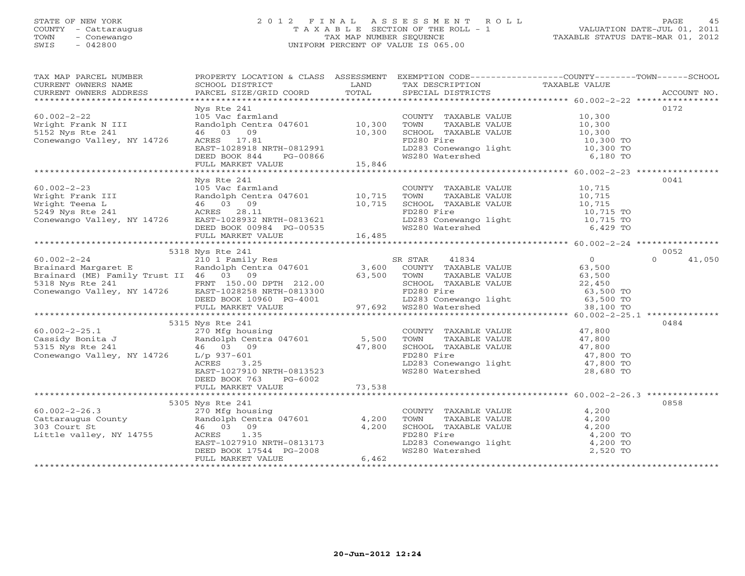# STATE OF NEW YORK 2 0 1 2 F I N A L A S S E S S M E N T R O L L PAGE 45 COUNTY - Cattaraugus T A X A B L E SECTION OF THE ROLL - 1 VALUATION DATE-JUL 01, 2011 TOWN - Conewango TAX MAP NUMBER SEQUENCE TAXABLE STATUS DATE-MAR 01, 2012 SWIS - 042800 UNIFORM PERCENT OF VALUE IS 065.00UNIFORM PERCENT OF VALUE IS 065.00

| TAX MAP PARCEL NUMBER<br>CURRENT OWNERS NAME<br>CURRENT OWNERS ADDRESS                                                                                                                                                                                   |                                                                                                                                                                                                                                                                    |        |                                                                                                                                                                                          | PROPERTY LOCATION & CLASS ASSESSMENT EXEMPTION CODE----------------COUNTY-------TOWN------SCHOOL                                                                                                                                                                                                                                      |
|----------------------------------------------------------------------------------------------------------------------------------------------------------------------------------------------------------------------------------------------------------|--------------------------------------------------------------------------------------------------------------------------------------------------------------------------------------------------------------------------------------------------------------------|--------|------------------------------------------------------------------------------------------------------------------------------------------------------------------------------------------|---------------------------------------------------------------------------------------------------------------------------------------------------------------------------------------------------------------------------------------------------------------------------------------------------------------------------------------|
|                                                                                                                                                                                                                                                          |                                                                                                                                                                                                                                                                    |        |                                                                                                                                                                                          |                                                                                                                                                                                                                                                                                                                                       |
|                                                                                                                                                                                                                                                          | Nys Rte 241                                                                                                                                                                                                                                                        |        |                                                                                                                                                                                          | 0172                                                                                                                                                                                                                                                                                                                                  |
| $60.002 - 2 - 22$                                                                                                                                                                                                                                        | Nys Rte 241<br>105 Vac farmland<br>Randolph Centra 047601<br>46 03 09<br>10,300<br>46 03 09<br>10,300<br>10,300<br>10,300<br>10,300<br>10,300<br>10,300<br>FD280 Fire<br>EAST-1028918 NRTH-0812991<br>DEED BOOK 844<br>PG-00866<br>15,846<br>FD280 Watershed<br>10 |        |                                                                                                                                                                                          |                                                                                                                                                                                                                                                                                                                                       |
|                                                                                                                                                                                                                                                          |                                                                                                                                                                                                                                                                    |        |                                                                                                                                                                                          |                                                                                                                                                                                                                                                                                                                                       |
| wright Frank N III<br>5152 Nys Rte 241                                                                                                                                                                                                                   |                                                                                                                                                                                                                                                                    |        |                                                                                                                                                                                          |                                                                                                                                                                                                                                                                                                                                       |
| Conewango Valley, NY 14726                                                                                                                                                                                                                               |                                                                                                                                                                                                                                                                    |        |                                                                                                                                                                                          |                                                                                                                                                                                                                                                                                                                                       |
|                                                                                                                                                                                                                                                          |                                                                                                                                                                                                                                                                    |        |                                                                                                                                                                                          |                                                                                                                                                                                                                                                                                                                                       |
|                                                                                                                                                                                                                                                          |                                                                                                                                                                                                                                                                    |        |                                                                                                                                                                                          |                                                                                                                                                                                                                                                                                                                                       |
|                                                                                                                                                                                                                                                          |                                                                                                                                                                                                                                                                    |        |                                                                                                                                                                                          |                                                                                                                                                                                                                                                                                                                                       |
|                                                                                                                                                                                                                                                          |                                                                                                                                                                                                                                                                    |        |                                                                                                                                                                                          |                                                                                                                                                                                                                                                                                                                                       |
|                                                                                                                                                                                                                                                          | Nys Rte 241                                                                                                                                                                                                                                                        |        |                                                                                                                                                                                          | 0041                                                                                                                                                                                                                                                                                                                                  |
|                                                                                                                                                                                                                                                          |                                                                                                                                                                                                                                                                    |        |                                                                                                                                                                                          |                                                                                                                                                                                                                                                                                                                                       |
|                                                                                                                                                                                                                                                          |                                                                                                                                                                                                                                                                    |        |                                                                                                                                                                                          |                                                                                                                                                                                                                                                                                                                                       |
|                                                                                                                                                                                                                                                          |                                                                                                                                                                                                                                                                    |        |                                                                                                                                                                                          |                                                                                                                                                                                                                                                                                                                                       |
|                                                                                                                                                                                                                                                          |                                                                                                                                                                                                                                                                    |        |                                                                                                                                                                                          |                                                                                                                                                                                                                                                                                                                                       |
|                                                                                                                                                                                                                                                          |                                                                                                                                                                                                                                                                    |        |                                                                                                                                                                                          |                                                                                                                                                                                                                                                                                                                                       |
|                                                                                                                                                                                                                                                          |                                                                                                                                                                                                                                                                    |        |                                                                                                                                                                                          |                                                                                                                                                                                                                                                                                                                                       |
|                                                                                                                                                                                                                                                          |                                                                                                                                                                                                                                                                    |        |                                                                                                                                                                                          |                                                                                                                                                                                                                                                                                                                                       |
|                                                                                                                                                                                                                                                          | 5318 Nys Rte 241                                                                                                                                                                                                                                                   |        |                                                                                                                                                                                          | 0052                                                                                                                                                                                                                                                                                                                                  |
|                                                                                                                                                                                                                                                          |                                                                                                                                                                                                                                                                    |        |                                                                                                                                                                                          |                                                                                                                                                                                                                                                                                                                                       |
|                                                                                                                                                                                                                                                          |                                                                                                                                                                                                                                                                    |        |                                                                                                                                                                                          |                                                                                                                                                                                                                                                                                                                                       |
|                                                                                                                                                                                                                                                          |                                                                                                                                                                                                                                                                    |        |                                                                                                                                                                                          |                                                                                                                                                                                                                                                                                                                                       |
|                                                                                                                                                                                                                                                          |                                                                                                                                                                                                                                                                    |        |                                                                                                                                                                                          |                                                                                                                                                                                                                                                                                                                                       |
|                                                                                                                                                                                                                                                          |                                                                                                                                                                                                                                                                    |        |                                                                                                                                                                                          |                                                                                                                                                                                                                                                                                                                                       |
|                                                                                                                                                                                                                                                          |                                                                                                                                                                                                                                                                    |        |                                                                                                                                                                                          |                                                                                                                                                                                                                                                                                                                                       |
|                                                                                                                                                                                                                                                          |                                                                                                                                                                                                                                                                    |        |                                                                                                                                                                                          |                                                                                                                                                                                                                                                                                                                                       |
|                                                                                                                                                                                                                                                          |                                                                                                                                                                                                                                                                    |        |                                                                                                                                                                                          | $\begin{tabular}{lllllllllllllllllll} \text{518 Mys Rte & 241 & 5318 Nys Rte & 241 & 5318 Mys Rte & 241 & 5318 Nys Rte & 241 & 5318 Nys Rte & 241 & 5318 Nys Rte & 241 & 5318 Nys Rte & 241 & 5318 nys Rte & 241 & 5318 nys Rte & 241 & 5318 nys Rte & 241 & 5318 nys Rte & 241 & 5318 nys Rte & 241 & 5318 nys Rte & 241 & 5318 nys$ |
|                                                                                                                                                                                                                                                          |                                                                                                                                                                                                                                                                    |        |                                                                                                                                                                                          | 0484                                                                                                                                                                                                                                                                                                                                  |
|                                                                                                                                                                                                                                                          |                                                                                                                                                                                                                                                                    |        |                                                                                                                                                                                          |                                                                                                                                                                                                                                                                                                                                       |
|                                                                                                                                                                                                                                                          |                                                                                                                                                                                                                                                                    |        |                                                                                                                                                                                          |                                                                                                                                                                                                                                                                                                                                       |
|                                                                                                                                                                                                                                                          |                                                                                                                                                                                                                                                                    |        |                                                                                                                                                                                          |                                                                                                                                                                                                                                                                                                                                       |
|                                                                                                                                                                                                                                                          |                                                                                                                                                                                                                                                                    |        |                                                                                                                                                                                          |                                                                                                                                                                                                                                                                                                                                       |
|                                                                                                                                                                                                                                                          |                                                                                                                                                                                                                                                                    |        |                                                                                                                                                                                          |                                                                                                                                                                                                                                                                                                                                       |
|                                                                                                                                                                                                                                                          |                                                                                                                                                                                                                                                                    |        |                                                                                                                                                                                          |                                                                                                                                                                                                                                                                                                                                       |
|                                                                                                                                                                                                                                                          | FULL MARKET VALUE                                                                                                                                                                                                                                                  | 73,538 |                                                                                                                                                                                          |                                                                                                                                                                                                                                                                                                                                       |
|                                                                                                                                                                                                                                                          |                                                                                                                                                                                                                                                                    |        |                                                                                                                                                                                          |                                                                                                                                                                                                                                                                                                                                       |
|                                                                                                                                                                                                                                                          | 5305 Nys Rte 241                                                                                                                                                                                                                                                   |        |                                                                                                                                                                                          | 0858                                                                                                                                                                                                                                                                                                                                  |
|                                                                                                                                                                                                                                                          |                                                                                                                                                                                                                                                                    |        |                                                                                                                                                                                          |                                                                                                                                                                                                                                                                                                                                       |
|                                                                                                                                                                                                                                                          |                                                                                                                                                                                                                                                                    |        | $\begin{tabular}{lllllllll} \multicolumn{2}{c}{\textbf{COUNTY}} & \textbf{TAXABLE VALUE} & & & & 4 \, , 200 \\ \textbf{TOWN} & \textbf{TAXABLE VALUE} & & & 4 \, , 200 \\ \end{tabular}$ |                                                                                                                                                                                                                                                                                                                                       |
|                                                                                                                                                                                                                                                          |                                                                                                                                                                                                                                                                    |        |                                                                                                                                                                                          |                                                                                                                                                                                                                                                                                                                                       |
|                                                                                                                                                                                                                                                          |                                                                                                                                                                                                                                                                    |        |                                                                                                                                                                                          |                                                                                                                                                                                                                                                                                                                                       |
|                                                                                                                                                                                                                                                          |                                                                                                                                                                                                                                                                    |        |                                                                                                                                                                                          |                                                                                                                                                                                                                                                                                                                                       |
|                                                                                                                                                                                                                                                          |                                                                                                                                                                                                                                                                    |        | SCHOOL TAXABLE VALUE 4,200<br>FD280 Fire 4,200 TO<br>LD283 Conewango light 4,200 TO<br>WS280 Watershed 2,520 TO                                                                          |                                                                                                                                                                                                                                                                                                                                       |
| 60.002-2-26.3<br>Cattaraugus County<br>270 Mfg housing<br>270 Mfg housing<br>270 Mfg housing<br>270 Mfg housing<br>270 Mfg housing<br>270 Mfg housing<br>270 Mfg housing<br>270 Mfg housing<br>270 Mfg housing<br>270 Mfg housing<br>270 Mfg housing<br> |                                                                                                                                                                                                                                                                    |        |                                                                                                                                                                                          |                                                                                                                                                                                                                                                                                                                                       |
|                                                                                                                                                                                                                                                          |                                                                                                                                                                                                                                                                    |        |                                                                                                                                                                                          |                                                                                                                                                                                                                                                                                                                                       |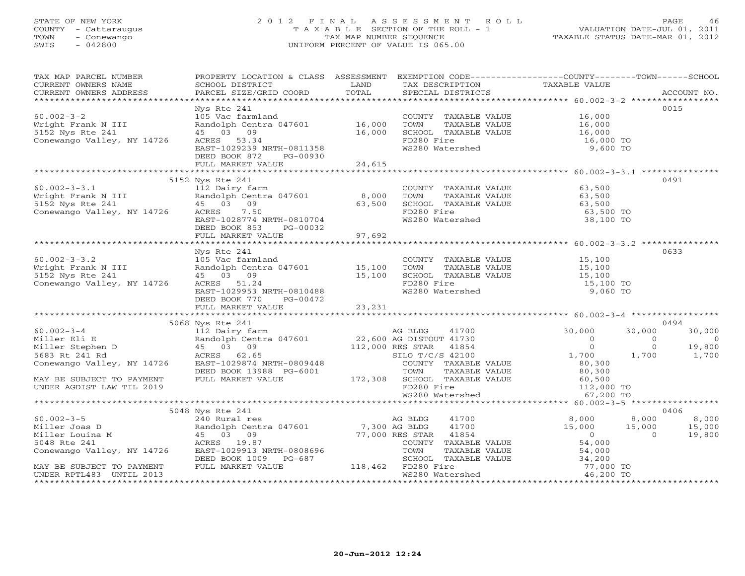# STATE OF NEW YORK 2 0 1 2 F I N A L A S S E S S M E N T R O L L PAGE 46 COUNTY - Cattaraugus T A X A B L E SECTION OF THE ROLL - 1 VALUATION DATE-JUL 01, 2011 TOWN - Conewango TAX MAP NUMBER SEQUENCE TAXABLE STATUS DATE-MAR 01, 2012 SWIS - 042800 UNIFORM PERCENT OF VALUE IS 065.00UNIFORM PERCENT OF VALUE IS 065.00

| TAX MAP PARCEL NUMBER<br>TAX MAP PARCEL NUMBER TRUPBER PROPERTIT BUCATION & CHASS ASSESSMENT BARK LEVIS CONTRESS TRANSFORT TRANSFORE TRANSFORE TRANSFORE TRANSFORE TRANSFORE TRANSFORE TRANSFORE TRANSFORE TRANSFORE TRANSFORE TRANSFORE TRANSFORE TRAN                                                                                                                                                   |                                                                                                                               |                                                                                                                                                                | PROPERTY LOCATION & CLASS ASSESSMENT EXEMPTION CODE----------------COUNTY-------TOWN------SCHOOL                                                                  |                                                                                                             |
|-----------------------------------------------------------------------------------------------------------------------------------------------------------------------------------------------------------------------------------------------------------------------------------------------------------------------------------------------------------------------------------------------------------|-------------------------------------------------------------------------------------------------------------------------------|----------------------------------------------------------------------------------------------------------------------------------------------------------------|-------------------------------------------------------------------------------------------------------------------------------------------------------------------|-------------------------------------------------------------------------------------------------------------|
|                                                                                                                                                                                                                                                                                                                                                                                                           |                                                                                                                               |                                                                                                                                                                |                                                                                                                                                                   |                                                                                                             |
|                                                                                                                                                                                                                                                                                                                                                                                                           | Nys Rte 241                                                                                                                   |                                                                                                                                                                |                                                                                                                                                                   | 0015                                                                                                        |
|                                                                                                                                                                                                                                                                                                                                                                                                           |                                                                                                                               |                                                                                                                                                                |                                                                                                                                                                   |                                                                                                             |
| $\begin{array}{lllllll} 60.002-3-3.1 & 112 \text{ Dairy farm} & 8,000 \end{array} \quad \begin{array}{lllllll} 60.002-3-3.1 & 112 \text{ Dairy farm} & \text{Ramdolph Centra} & 047601 & 8,000 \end{array} \quad \begin{array}{lllllll} 8,000 & 63,500 \end{array} \quad \begin{array}{lllllll} 60.002-3-3.1 & 112 \text{ Dairy farm} & \text{Ramdolph Centra} & 047601 & 8,000 \end{array} \quad \begin$ | 5152 Nys Rte 241<br>DEED BOOK 853 PG-00032                                                                                    | COUNTY TAXABLE VALUE 63,500<br>TOWN TAXABLE VALUE 63,500<br>SCHOOL TAXABLE VALUE 63,500<br>FD280 Fire 63,500 TO                                                |                                                                                                                                                                   | 0491                                                                                                        |
|                                                                                                                                                                                                                                                                                                                                                                                                           | FULL MARKET VALUE 97,692                                                                                                      |                                                                                                                                                                |                                                                                                                                                                   |                                                                                                             |
|                                                                                                                                                                                                                                                                                                                                                                                                           |                                                                                                                               |                                                                                                                                                                |                                                                                                                                                                   |                                                                                                             |
| $60.002 - 3 - 3.2$<br>Wright Frank N III<br>5152 Nys Rte 241<br>Conewango Valley, NY 14726                                                                                                                                                                                                                                                                                                                | Nys Rte 241                                                                                                                   |                                                                                                                                                                |                                                                                                                                                                   | 0633                                                                                                        |
|                                                                                                                                                                                                                                                                                                                                                                                                           |                                                                                                                               |                                                                                                                                                                |                                                                                                                                                                   |                                                                                                             |
|                                                                                                                                                                                                                                                                                                                                                                                                           |                                                                                                                               |                                                                                                                                                                |                                                                                                                                                                   | 0494                                                                                                        |
|                                                                                                                                                                                                                                                                                                                                                                                                           |                                                                                                                               |                                                                                                                                                                | 30,000<br>$\begin{matrix}0\\0\end{matrix}$                                                                                                                        | 30,000<br>$\overline{0}$<br>$\begin{array}{ccc} & 0 & & 0 \\ & 0 & & 19,800 \\ 1,700 & & 1,700 \end{array}$ |
|                                                                                                                                                                                                                                                                                                                                                                                                           |                                                                                                                               |                                                                                                                                                                |                                                                                                                                                                   |                                                                                                             |
|                                                                                                                                                                                                                                                                                                                                                                                                           |                                                                                                                               |                                                                                                                                                                |                                                                                                                                                                   |                                                                                                             |
|                                                                                                                                                                                                                                                                                                                                                                                                           | ACRES 19.87<br>EAST-1029913 NRTH-0808696 TOWN TAX<br>DEED BOOK 1009 PG-687 SCHOOL TAX<br>FULL MARKET VALUE 118,462 FD280 Fire | $41700$<br>$41854$<br>COUNTY TAXABLE VALUE<br>TOWN TAXABLE VALUE<br>TOWN TAXABLE VALUE<br>SCHOOL TAXABLE VALUE<br>TD280 Fire<br>WS280 Watershed<br>$46,200$ TO | $\begin{array}{cccc} 41700 & & & 8,000 & & 8,000 \\ 41700 & & & 15,000 & & 15,000 \\ 41854 & & & 0 & & 0 \\ \text{TAXABLE VALUE} & & & 54,000 & & \\ \end{array}$ | 0406<br>8,000<br>15,000<br>19,800                                                                           |
| MAY BE SUBJECT TO PAYMENT<br>UNDER RPTL483 UNTIL 2013                                                                                                                                                                                                                                                                                                                                                     |                                                                                                                               |                                                                                                                                                                |                                                                                                                                                                   |                                                                                                             |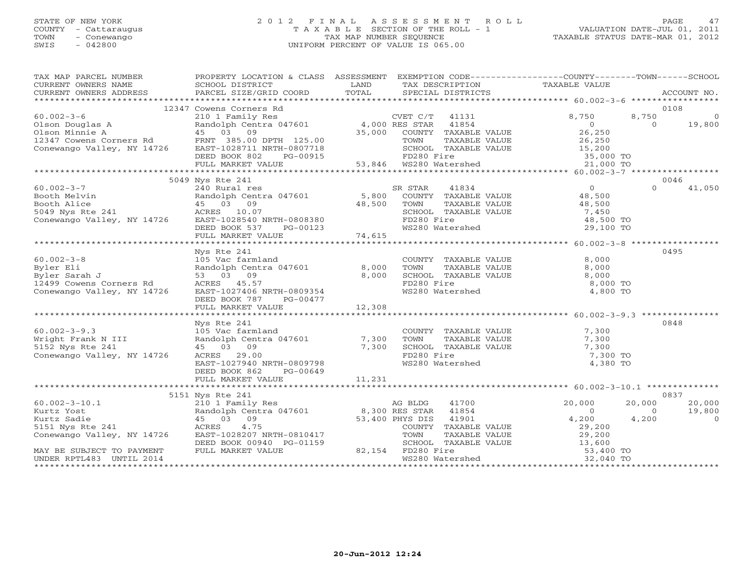## STATE OF NEW YORK 2 0 1 2 F I N A L A S S E S S M E N T R O L L PAGE 47 COUNTY - Cattaraugus T A X A B L E SECTION OF THE ROLL - 1 VALUATION DATE-JUL 01, 2011 TOWN - Conewango TAX MAP NUMBER SEQUENCE TAXABLE STATUS DATE-MAR 01, 2012 SWIS - 042800 UNIFORM PERCENT OF VALUE IS 065.00UNIFORM PERCENT OF VALUE IS 065.00

| TAX MAP PARCEL NUMBER<br>CURRENT OWNERS NAME<br>CURRENT OWNERS ADDRESS              | PROPERTY LOCATION & CLASS ASSESSMENT EXEMPTION CODE---------------COUNTY-------TOWN------SCHOOL<br>SCHOOL DISTRICT<br>PARCEL SIZE/GRID COORD             | <b>LAND</b><br>TOTAL | TAX DESCRIPTION TAXABLE VALUE SPECIAL DISTRICTS                                                                                                     |                      | ACCOUNT NO.                          |
|-------------------------------------------------------------------------------------|----------------------------------------------------------------------------------------------------------------------------------------------------------|----------------------|-----------------------------------------------------------------------------------------------------------------------------------------------------|----------------------|--------------------------------------|
|                                                                                     |                                                                                                                                                          |                      |                                                                                                                                                     |                      |                                      |
|                                                                                     |                                                                                                                                                          |                      |                                                                                                                                                     |                      | 0108                                 |
|                                                                                     |                                                                                                                                                          |                      |                                                                                                                                                     |                      | 8,750<br>$\overline{0}$              |
|                                                                                     |                                                                                                                                                          |                      |                                                                                                                                                     |                      | 19,800<br>$\Omega$                   |
|                                                                                     |                                                                                                                                                          |                      |                                                                                                                                                     |                      |                                      |
|                                                                                     |                                                                                                                                                          |                      | PTH 125.00 TOWN TAXABLE VALUE $26,250$<br>RTH-0807718 SCHOOL TAXABLE VALUE 15,200<br>PG-00915 53,846 WS280 Watershed 21,000 TO                      |                      |                                      |
|                                                                                     |                                                                                                                                                          |                      |                                                                                                                                                     |                      |                                      |
|                                                                                     | FULL MARKET VALUE                                                                                                                                        |                      |                                                                                                                                                     |                      |                                      |
|                                                                                     |                                                                                                                                                          |                      |                                                                                                                                                     |                      |                                      |
|                                                                                     | 5049 Nys Rte 241                                                                                                                                         |                      |                                                                                                                                                     |                      | 0046                                 |
|                                                                                     |                                                                                                                                                          |                      | SR STAR                                                                                                                                             |                      | $\Omega$<br>41,050                   |
|                                                                                     |                                                                                                                                                          |                      |                                                                                                                                                     |                      |                                      |
|                                                                                     |                                                                                                                                                          |                      |                                                                                                                                                     |                      |                                      |
|                                                                                     |                                                                                                                                                          |                      |                                                                                                                                                     | 48,500<br>7,450      |                                      |
|                                                                                     |                                                                                                                                                          |                      |                                                                                                                                                     | 48,500 TO            |                                      |
|                                                                                     |                                                                                                                                                          |                      | TOWN TAXABLE VALUE<br>SCHOOL TAXABLE VALUE<br>FD280 Fire<br>WS280 Watershed                                                                         | 29,100 TO            |                                      |
|                                                                                     |                                                                                                                                                          |                      |                                                                                                                                                     |                      |                                      |
|                                                                                     |                                                                                                                                                          |                      |                                                                                                                                                     |                      |                                      |
|                                                                                     | Nys Rte 241                                                                                                                                              |                      |                                                                                                                                                     |                      | 0495                                 |
| $60.002 - 3 - 8$                                                                    | 105 Vac farmland                                                                                                                                         |                      | COUNTY TAXABLE VALUE                                                                                                                                | 8,000                |                                      |
| Byler Eli<br>Byler Eli<br>Byler Sarah J                                             |                                                                                                                                                          |                      |                                                                                                                                                     | 8,000                |                                      |
|                                                                                     |                                                                                                                                                          |                      | TOWN TAXABLE VALUE<br>SCHOOL TAXABLE VALUE<br>FD280 Fire<br>WS280 Watershed                                                                         | 8,000                |                                      |
| 12499 Cowens Corners Rd<br>Conewango Valley, NY 14726<br>Conewango Valley, NY 14726 |                                                                                                                                                          |                      |                                                                                                                                                     | 8,000 TO<br>4,800 TO |                                      |
|                                                                                     | 105 Vac farmiana<br>Randolph Centra 047601 8,000<br>53 03 09 8,000<br>ACRES 45.57<br>EAST-1027406 NRTH-0809354<br>227 00117<br>DEED BOOK 787<br>PG-00477 |                      |                                                                                                                                                     |                      |                                      |
|                                                                                     |                                                                                                                                                          |                      |                                                                                                                                                     |                      |                                      |
|                                                                                     |                                                                                                                                                          |                      |                                                                                                                                                     |                      |                                      |
|                                                                                     | Nys Rte 241                                                                                                                                              |                      |                                                                                                                                                     |                      | 0848                                 |
| $60.002 - 3 - 9.3$                                                                  | 105 Vac farmland                                                                                                                                         |                      |                                                                                                                                                     |                      |                                      |
|                                                                                     |                                                                                                                                                          |                      |                                                                                                                                                     |                      |                                      |
|                                                                                     |                                                                                                                                                          |                      | COUNTY TAXABLE VALUE 7,300<br>TOWN TAXABLE VALUE 7,300<br>SCHOOL TAXABLE VALUE 7,300<br>FD280 Fire 7.300                                            |                      |                                      |
| Conewango Valley, NY 14726                                                          |                                                                                                                                                          |                      | FD280 Fire                                                                                                                                          | 7,300 TO             |                                      |
|                                                                                     | EAST-1027940 NRTH-0809798                                                                                                                                |                      | WS280 Watershed                                                                                                                                     | 4,380 TO             |                                      |
|                                                                                     | DEED BOOK 862<br>PG-00649                                                                                                                                |                      |                                                                                                                                                     |                      |                                      |
|                                                                                     | FULL MARKET VALUE                                                                                                                                        | 11,231               |                                                                                                                                                     |                      |                                      |
|                                                                                     |                                                                                                                                                          |                      |                                                                                                                                                     |                      |                                      |
|                                                                                     | 5151 Nys Rte 241                                                                                                                                         |                      |                                                                                                                                                     |                      | 0837                                 |
| $60.002 - 3 - 10.1$                                                                 |                                                                                                                                                          |                      | 41700 and $41700$                                                                                                                                   | 20,000               | 20,000<br>20,000                     |
|                                                                                     |                                                                                                                                                          |                      | 41854                                                                                                                                               | $\Omega$<br>4,200    | 19,800<br>$\overline{0}$<br>$\sim$ 0 |
| Kurtz Yost<br>Kurtz Sadie<br>5151 Nys Rte 241                                       | Nys Rie 241<br>210 1 Family Res<br>Randolph Centra 047601<br>45 03 09 53,400 PHYS DIS<br>ACRES 4.75 COUNTY                                               |                      | 41901                                                                                                                                               |                      | 4,200                                |
| Conewango Valley, NY 14726 EAST-1028207 NRTH-0810417                                |                                                                                                                                                          |                      |                                                                                                                                                     |                      |                                      |
|                                                                                     | DEED BOOK 00940 PG-01159                                                                                                                                 |                      |                                                                                                                                                     |                      |                                      |
| MAY BE SUBJECT TO PAYMENT                                                           | FULL MARKET VALUE                                                                                                                                        |                      | COUNTY TAXABLE VALUE<br>TOWN TAXABLE VALUE 29,200<br>SCHOOL TAXABLE VALUE 13,600<br>FD280 Fire 53,400 TO<br>G-01159 SCHOOL TAX<br>82,154 FD280 Fire |                      |                                      |
| UNDER RPTL483 UNTIL 2014                                                            |                                                                                                                                                          |                      | WS280 Watershed                                                                                                                                     | 32,040 TO            |                                      |
|                                                                                     |                                                                                                                                                          |                      |                                                                                                                                                     |                      |                                      |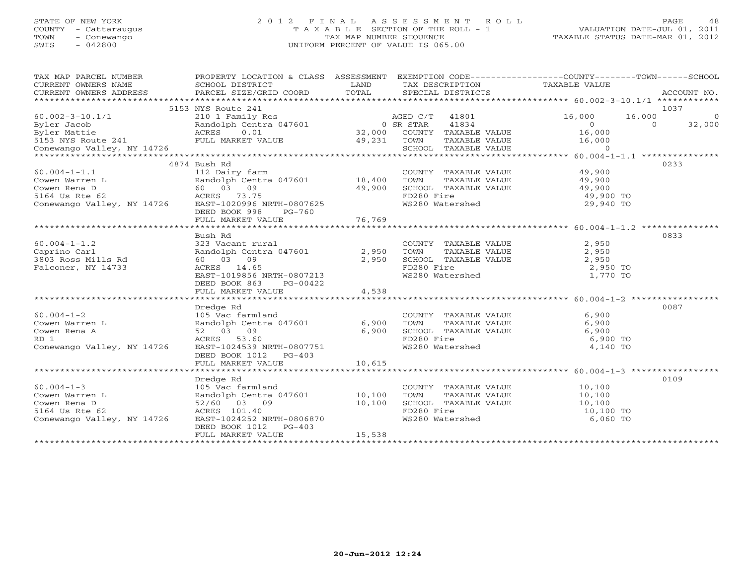# STATE OF NEW YORK 2 0 1 2 F I N A L A S S E S S M E N T R O L L PAGE 48 COUNTY - Cattaraugus T A X A B L E SECTION OF THE ROLL - 1 VALUATION DATE-JUL 01, 2011 TOWN - Conewango TAX MAP NUMBER SEQUENCE TAXABLE STATUS DATE-MAR 01, 2012 SWIS - 042800 UNIFORM PERCENT OF VALUE IS 065.00UNIFORM PERCENT OF VALUE IS 065.00

| TAX MAP PARCEL NUMBER<br>CURRENT OWNERS NAME     | PROPERTY LOCATION & CLASS ASSESSMENT<br>SCHOOL DISTRICT | LAND      |                                                            |                      | EXEMPTION CODE-----------------COUNTY-------TOWN------SCHOOL<br>TAX DESCRIPTION TAXABLE VALUE |         |             |
|--------------------------------------------------|---------------------------------------------------------|-----------|------------------------------------------------------------|----------------------|-----------------------------------------------------------------------------------------------|---------|-------------|
| CURRENT OWNERS ADDRESS                           | PARCEL SIZE/GRID COORD                                  | TOTAL     | SPECIAL DISTRICTS                                          |                      |                                                                                               |         | ACCOUNT NO. |
|                                                  |                                                         |           |                                                            |                      |                                                                                               |         |             |
|                                                  | 5153 NYS Route 241                                      |           |                                                            |                      |                                                                                               |         | 1037        |
| $60.002 - 3 - 10.1/1$                            | 210 1 Family Res<br>Randolph Centra 047601              |           | 41801<br>AGED C/T                                          |                      | 16,000                                                                                        | 16,000  | $\circ$     |
| Byler Jacob                                      |                                                         | 0 SR STAR | 41834                                                      |                      | $\overline{0}$                                                                                | $\circ$ | 32,000      |
| Byler Mattie                                     | Randol<br>ACRES<br>0.01                                 |           | 32,000 COUNTY TAXABLE VALUE<br>32,000 COUNTY TAXABLE VALUE |                      | 16,000                                                                                        |         |             |
| 5153 NYS Route 241 FULL MARKET VALUE 49,231 TOWN |                                                         |           |                                                            | TAXABLE VALUE        | 16,000                                                                                        |         |             |
| Conewango Valley, NY 14726                       |                                                         |           | SCHOOL TAXABLE VALUE                                       |                      | $\Omega$                                                                                      |         |             |
|                                                  |                                                         |           |                                                            |                      |                                                                                               |         |             |
|                                                  | 4874 Bush Rd                                            |           |                                                            |                      |                                                                                               |         | 0233        |
| $60.004 - 1 - 1.1$                               | 112 Dairy farm                                          |           | COUNTY TAXABLE VALUE                                       |                      | 49,900                                                                                        |         |             |
| Cowen Warren L                                   | Randolph Centra 047601 18,400                           |           | TOWN                                                       | TAXABLE VALUE        | 49,900                                                                                        |         |             |
| Cowen Rena D                                     | 60 03 09                                                | 49,900    | SCHOOL TAXABLE VALUE                                       |                      | 49,900                                                                                        |         |             |
| 5164 Us Rte 62                                   | ACRES 73.75                                             |           | FD280 Fire                                                 |                      | 49,900 TO                                                                                     |         |             |
| Conewango Valley, NY 14726                       | EAST-1020996 NRTH-0807625                               |           | WS280 Watershed                                            |                      | 29,940 TO                                                                                     |         |             |
|                                                  | DEED BOOK 998<br>PG-760                                 |           |                                                            |                      |                                                                                               |         |             |
|                                                  | FULL MARKET VALUE                                       | 76,769    |                                                            |                      |                                                                                               |         |             |
|                                                  |                                                         |           |                                                            |                      |                                                                                               |         |             |
|                                                  | Bush Rd                                                 |           |                                                            |                      |                                                                                               |         | 0833        |
| $60.004 - 1 - 1.2$                               | 323 Vacant rural                                        |           |                                                            | COUNTY TAXABLE VALUE | 2,950                                                                                         |         |             |
| Caprino Carl                                     | Randolph Centra 047601                                  | 2,950     | TOWN                                                       | TAXABLE VALUE        | 2,950                                                                                         |         |             |
| 3803 Ross Mills Rd                               | 60 03 09                                                | 2,950     | SCHOOL TAXABLE VALUE                                       |                      | 2,950                                                                                         |         |             |
|                                                  | ACRES 14.65                                             |           | FD280 Fire                                                 |                      | 2,950 TO                                                                                      |         |             |
| Falconer, NY 14733                               | EAST-1019856 NRTH-0807213                               |           |                                                            |                      | 1,770 TO                                                                                      |         |             |
|                                                  |                                                         |           | WS280 Watershed                                            |                      |                                                                                               |         |             |
|                                                  | DEED BOOK 863<br>PG-00422                               |           |                                                            |                      |                                                                                               |         |             |
|                                                  | FULL MARKET VALUE                                       | 4,538     |                                                            |                      |                                                                                               |         |             |
|                                                  |                                                         |           |                                                            |                      |                                                                                               |         |             |
|                                                  | Dredge Rd                                               |           |                                                            |                      |                                                                                               |         | 0087        |
| $60.004 - 1 - 2$                                 | 105 Vac farmland                                        |           | COUNTY TAXABLE VALUE                                       |                      | 6,900                                                                                         |         |             |
| Cowen Warren L                                   | Randolph Centra 047601                                  | 6,900     | TOWN                                                       | TAXABLE VALUE        | 6,900                                                                                         |         |             |
| Cowen Rena A                                     | 52 03 09                                                | 6,900     | SCHOOL TAXABLE VALUE                                       |                      | 6,900                                                                                         |         |             |
| RD 1                                             | ACRES 53.60                                             |           | FD280 Fire<br>WS280 Watershed                              |                      | 6,900 TO                                                                                      |         |             |
| Conewango Valley, NY 14726                       | EAST-1024539 NRTH-0807751                               |           |                                                            |                      | 4,140 TO                                                                                      |         |             |
|                                                  | DEED BOOK 1012 PG-403                                   |           |                                                            |                      |                                                                                               |         |             |
|                                                  | FULL MARKET VALUE                                       | 10,615    |                                                            |                      |                                                                                               |         |             |
|                                                  |                                                         |           |                                                            |                      |                                                                                               |         |             |
|                                                  | Dredge Rd                                               |           |                                                            |                      |                                                                                               |         | 0109        |
| $60.004 - 1 - 3$                                 | 105 Vac farmland                                        |           | COUNTY TAXABLE VALUE                                       |                      | 10,100                                                                                        |         |             |
| Cowen Warren L                                   | Randolph Centra 047601                                  | 10,100    | TOWN                                                       | TAXABLE VALUE        | 10,100                                                                                        |         |             |
| Cowen Rena D                                     | 52/60 03 09                                             | 10,100    | SCHOOL TAXABLE VALUE                                       |                      | 10,100                                                                                        |         |             |
| 5164 Us Rte 62                                   | ACRES 101.40                                            |           | FD280 Fire<br>WS280 Watershed                              |                      | 10,100 TO                                                                                     |         |             |
| Conewango Valley, NY 14726                       | EAST-1024252 NRTH-0806870                               |           |                                                            |                      | 6,060 TO                                                                                      |         |             |
|                                                  | DEED BOOK 1012<br>$PG-403$                              |           |                                                            |                      |                                                                                               |         |             |
|                                                  | FULL MARKET VALUE                                       | 15,538    |                                                            |                      |                                                                                               |         |             |
|                                                  |                                                         |           |                                                            |                      |                                                                                               |         |             |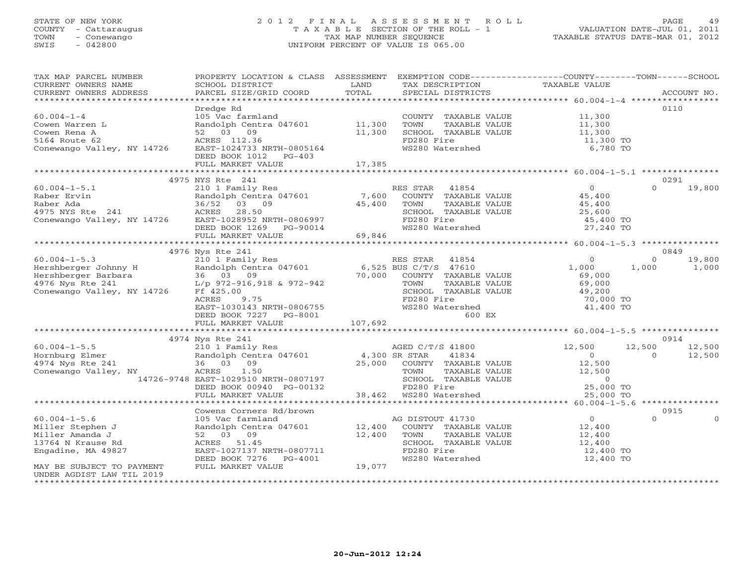# STATE OF NEW YORK 2 0 1 2 F I N A L A S S E S S M E N T R O L L PAGE 49 COUNTY - Cattaraugus T A X A B L E SECTION OF THE ROLL - 1 VALUATION DATE-JUL 01, 2011 TOWN - Conewango TAX MAP NUMBER SEQUENCE TAXABLE STATUS DATE-MAR 01, 2012 SWIS - 042800 UNIFORM PERCENT OF VALUE IS 065.00UNIFORM PERCENT OF VALUE IS 065.00

| TAX MAP PARCEL NUMBER                                                                                                                                                                                                                                                                                              | PROPERTY LOCATION & CLASS ASSESSMENT EXEMPTION CODE---------------COUNTY-------TOWN------SCHOOL                                   |        |                                                                                                                 |                  |                          |
|--------------------------------------------------------------------------------------------------------------------------------------------------------------------------------------------------------------------------------------------------------------------------------------------------------------------|-----------------------------------------------------------------------------------------------------------------------------------|--------|-----------------------------------------------------------------------------------------------------------------|------------------|--------------------------|
| CURRENT OWNERS NAME                                                                                                                                                                                                                                                                                                | SCHOOL DISTRICT                                                                                                                   | LAND   | TAX DESCRIPTION                                                                                                 | TAXABLE VALUE    |                          |
| CURRENT OWNERS ADDRESS                                                                                                                                                                                                                                                                                             | PARCEL SIZE/GRID COORD                                                                                                            | TOTAL  | SPECIAL DISTRICTS                                                                                               |                  | ACCOUNT NO.              |
|                                                                                                                                                                                                                                                                                                                    |                                                                                                                                   |        |                                                                                                                 |                  |                          |
|                                                                                                                                                                                                                                                                                                                    | Dredge Rd                                                                                                                         |        |                                                                                                                 |                  | 0110                     |
| $60.004 - 1 - 4$                                                                                                                                                                                                                                                                                                   | 105 Vac farmland                                                                                                                  |        | COUNTY TAXABLE VALUE 11,300                                                                                     |                  |                          |
| Cowen Warren L                                                                                                                                                                                                                                                                                                     | Pandolph Centra 047601 11,300<br>52 03 09 11,300                                                                                  |        | TOWN      TAXABLE VALUE<br>SCHOOL   TAXABLE VALUE                                                               | 11,300<br>11,300 |                          |
| Cowen Rena A                                                                                                                                                                                                                                                                                                       |                                                                                                                                   |        |                                                                                                                 |                  |                          |
| 5164 Route 62                                                                                                                                                                                                                                                                                                      | ACRES 112.36                                                                                                                      |        | FD280 Fire                                                                                                      | 11,300 TO        |                          |
| Conewango Valley, NY 14726                                                                                                                                                                                                                                                                                         | EAST-1024733 NRTH-0805164                                                                                                         |        | WS280 Watershed                                                                                                 | 6,780 TO         |                          |
|                                                                                                                                                                                                                                                                                                                    | DEED BOOK 1012 PG-403                                                                                                             |        |                                                                                                                 |                  |                          |
|                                                                                                                                                                                                                                                                                                                    | FULL MARKET VALUE                                                                                                                 | 17,385 |                                                                                                                 |                  |                          |
|                                                                                                                                                                                                                                                                                                                    |                                                                                                                                   |        |                                                                                                                 |                  |                          |
|                                                                                                                                                                                                                                                                                                                    | 4975 NYS Rte 241                                                                                                                  |        |                                                                                                                 |                  | 0291                     |
|                                                                                                                                                                                                                                                                                                                    |                                                                                                                                   |        |                                                                                                                 |                  | $\Omega$                 |
|                                                                                                                                                                                                                                                                                                                    |                                                                                                                                   |        | RES STAR 41854                                                                                                  | $\overline{0}$   | 19,800                   |
|                                                                                                                                                                                                                                                                                                                    | Randolph Centra 047601 7,600 COUNTY TAXABLE VALUE<br>36/52 03 09 45,400 TOWN TAXABLE VALUE<br>ACRES 28.50 SCHOOL TAXABLE VALUE    |        |                                                                                                                 | 45,400<br>45,400 |                          |
|                                                                                                                                                                                                                                                                                                                    |                                                                                                                                   |        |                                                                                                                 |                  |                          |
|                                                                                                                                                                                                                                                                                                                    |                                                                                                                                   |        | SCHOOL TAXABLE VALUE $25,600$<br>FD280 Fixe                                                                     |                  |                          |
|                                                                                                                                                                                                                                                                                                                    |                                                                                                                                   |        | FD280 Fire                                                                                                      | 45,400 TO        |                          |
|                                                                                                                                                                                                                                                                                                                    |                                                                                                                                   |        | WS280 Watershed                                                                                                 | 27,240 TO        |                          |
|                                                                                                                                                                                                                                                                                                                    |                                                                                                                                   |        |                                                                                                                 |                  |                          |
| 60.004-1-5.1<br>Raber Ervin Rahdolph Centra $047001$<br>Rahdolph Centra $047001$<br>Rahdolph Centra $047001$<br>45,400 <sup>1</sup><br>45,400 <sup>1</sup><br>45,400 <sup>1</sup><br>45,400 <sup>1</sup><br>45,400 <sup>1</sup><br>ACRES 28.50 <sup>26</sup><br>EAST-1028952 NRTH-0806997 <sup>5</sup><br>DEED BOO |                                                                                                                                   |        |                                                                                                                 |                  |                          |
|                                                                                                                                                                                                                                                                                                                    | 4976 Nys Rte 241                                                                                                                  |        |                                                                                                                 |                  | 0849                     |
|                                                                                                                                                                                                                                                                                                                    |                                                                                                                                   |        |                                                                                                                 | $\overline{0}$   | 19,800<br>$\Omega$       |
|                                                                                                                                                                                                                                                                                                                    |                                                                                                                                   |        |                                                                                                                 | 1,000            | 1,000<br>1,000           |
|                                                                                                                                                                                                                                                                                                                    |                                                                                                                                   |        |                                                                                                                 | 69,000           |                          |
|                                                                                                                                                                                                                                                                                                                    |                                                                                                                                   |        |                                                                                                                 | 69,000           |                          |
|                                                                                                                                                                                                                                                                                                                    |                                                                                                                                   |        |                                                                                                                 | 49,200           |                          |
|                                                                                                                                                                                                                                                                                                                    | ACRES<br>9.75                                                                                                                     |        | FD280 Fire                                                                                                      | 70,000 TO        |                          |
|                                                                                                                                                                                                                                                                                                                    |                                                                                                                                   |        |                                                                                                                 |                  |                          |
|                                                                                                                                                                                                                                                                                                                    |                                                                                                                                   |        | WS280 Watershed                                                                                                 | 41,400 TO        |                          |
|                                                                                                                                                                                                                                                                                                                    | EAST-1030143 NRTH-0806755 WS280<br>DEED BOOK 7227 PG-8001 FULL MARKET VALUE 107,692                                               |        | <b>600 EX</b>                                                                                                   |                  |                          |
|                                                                                                                                                                                                                                                                                                                    |                                                                                                                                   |        |                                                                                                                 |                  |                          |
|                                                                                                                                                                                                                                                                                                                    |                                                                                                                                   |        |                                                                                                                 |                  |                          |
|                                                                                                                                                                                                                                                                                                                    | 4974 Nys Rte 241                                                                                                                  |        |                                                                                                                 |                  | 0914                     |
| $60.004 - 1 - 5.5$                                                                                                                                                                                                                                                                                                 | 210 1 Family Res                                                                                                                  |        | AGED C/T/S 41800                                                                                                | 12,500           | 12,500<br>12,500         |
| Hornburg Elmer                                                                                                                                                                                                                                                                                                     |                                                                                                                                   |        |                                                                                                                 | $\overline{0}$   | $\overline{0}$<br>12,500 |
| 4974 Nys Rte 241                                                                                                                                                                                                                                                                                                   | 210 1 Family<br>Randolph Cent<br>36 03 09                                                                                         |        |                                                                                                                 |                  |                          |
| Conewango Valley, NY                                                                                                                                                                                                                                                                                               | Randolph Centra 047601 (and 1,300 SR STAR (1834)<br>36 03 09 (25,000 COUNTY TAXABLE VALUE ACRES 1.50 (25,000 COUNTY TAXABLE VALUE |        |                                                                                                                 |                  |                          |
|                                                                                                                                                                                                                                                                                                                    |                                                                                                                                   |        |                                                                                                                 |                  |                          |
|                                                                                                                                                                                                                                                                                                                    | Y ACRES 1.50<br>14726-9748 EAST-1029510 NRTH-0807197<br>DEED BOOK 00940 PG-00132<br>DEED BOOK 00940 PG-00132                      |        | COUNTY TAXABLE VALUE 12,500<br>TOWN TAXABLE VALUE 12,500<br>SCHOOL TAXABLE VALUE 12,500<br>FD280 Fire 25,000 TO |                  |                          |
|                                                                                                                                                                                                                                                                                                                    | FULL MARKET VALUE                                                                                                                 |        |                                                                                                                 | 25,000 TO        |                          |
|                                                                                                                                                                                                                                                                                                                    |                                                                                                                                   |        |                                                                                                                 |                  |                          |
|                                                                                                                                                                                                                                                                                                                    | Cowens Corners Rd/brown                                                                                                           |        |                                                                                                                 |                  | 0915                     |
| $60.004 - 1 - 5.6$                                                                                                                                                                                                                                                                                                 | 105 Vac farmland                                                                                                                  |        | AG DISTOUT 41730                                                                                                | $\overline{0}$   | $\cap$<br>$\Omega$       |
| Miller Stephen J                                                                                                                                                                                                                                                                                                   | Randolph Centra 047601 12,400 COUNTY TAXABLE VALUE<br>52 03 09 12,400 TOWN TAXABLE VALUE                                          |        |                                                                                                                 |                  |                          |
| Miller Amanda J                                                                                                                                                                                                                                                                                                    |                                                                                                                                   |        |                                                                                                                 | 12,400<br>12,400 |                          |
| 13764 N Krause Rd                                                                                                                                                                                                                                                                                                  | ACRES 51.45                                                                                                                       |        | SCHOOL TAXABLE VALUE                                                                                            | 12,400           |                          |
| Engadine, MA 49827                                                                                                                                                                                                                                                                                                 | EAST-1027137 NRTH-0807711                                                                                                         |        | FD280 Fire                                                                                                      | 12,400 TO        |                          |
|                                                                                                                                                                                                                                                                                                                    |                                                                                                                                   |        |                                                                                                                 |                  |                          |
|                                                                                                                                                                                                                                                                                                                    | DEED BOOK 7276 PG-4001                                                                                                            | 19,077 | WS280 Watershed                                                                                                 | 12,400 TO        |                          |
| MAY BE SUBJECT TO PAYMENT                                                                                                                                                                                                                                                                                          | FULL MARKET VALUE                                                                                                                 |        |                                                                                                                 |                  |                          |
| UNDER AGDIST LAW TIL 2019                                                                                                                                                                                                                                                                                          |                                                                                                                                   |        |                                                                                                                 |                  |                          |
|                                                                                                                                                                                                                                                                                                                    |                                                                                                                                   |        |                                                                                                                 |                  |                          |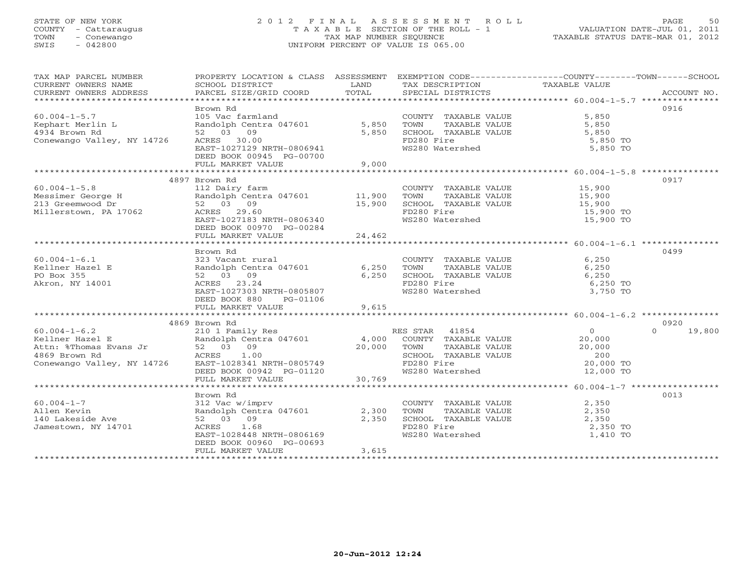# STATE OF NEW YORK 2 0 1 2 F I N A L A S S E S S M E N T R O L L PAGE 50 COUNTY - Cattaraugus T A X A B L E SECTION OF THE ROLL - 1 VALUATION DATE-JUL 01, 2011 TOWN - Conewango TAX MAP NUMBER SEQUENCE TAXABLE STATUS DATE-MAR 01, 2012 SWIS - 042800 UNIFORM PERCENT OF VALUE IS 065.00UNIFORM PERCENT OF VALUE IS 065.00

| TAX MAP PARCEL NUMBER<br>CURRENT OWNERS NAME<br>CURRENT OWNERS ADDRESS | PROPERTY LOCATION & CLASS ASSESSMENT<br>SCHOOL DISTRICT<br>PARCEL SIZE/GRID COORD   | LAND<br>TOTAL | TAX DESCRIPTION<br>SPECIAL DISTRICTS          | EXEMPTION CODE----------------COUNTY-------TOWN------SCHOOL<br>TAXABLE VALUE<br>ACCOUNT NO. |
|------------------------------------------------------------------------|-------------------------------------------------------------------------------------|---------------|-----------------------------------------------|---------------------------------------------------------------------------------------------|
|                                                                        |                                                                                     |               |                                               |                                                                                             |
|                                                                        | Brown Rd                                                                            |               |                                               | 0916                                                                                        |
| $60.004 - 1 - 5.7$                                                     | 105 Vac farmland                                                                    |               | COUNTY TAXABLE VALUE                          | 5,850                                                                                       |
| Kephart Merlin L                                                       | Randolph Centra 047601 5,850                                                        |               | TOWN<br>TAXABLE VALUE                         | 5,850                                                                                       |
| 4934 Brown Rd                                                          | 52 03 09                                                                            | 5,850         | SCHOOL TAXABLE VALUE                          | 5,850                                                                                       |
| Conewango Valley, NY 14726                                             | ACRES 30.00                                                                         |               | FD280 Fire                                    | 5,850 TO                                                                                    |
|                                                                        | EAST-1027129 NRTH-0806941<br>DEED BOOK 00945 PG-00700                               |               | WS280 Watershed                               | 5,850 TO                                                                                    |
|                                                                        | FULL MARKET VALUE                                                                   | 9,000         |                                               |                                                                                             |
|                                                                        |                                                                                     |               |                                               |                                                                                             |
|                                                                        | 4897 Brown Rd                                                                       |               |                                               | 0917                                                                                        |
| $60.004 - 1 - 5.8$                                                     | 112 Dairy farm                                                                      |               | COUNTY TAXABLE VALUE 15,900                   |                                                                                             |
| Messimer George H<br>213 Greemwood Dr                                  | Randolph Centra 047601 11,900                                                       |               | TOWN<br>TAXABLE VALUE                         |                                                                                             |
|                                                                        | 52 03 09                                                                            | 15,900        | SCHOOL TAXABLE VALUE                          | 15,900<br>15,900                                                                            |
| Millerstown, PA 17062                                                  | ACRES 29.60                                                                         |               | FD280 Fire                                    | 15,900 TO                                                                                   |
|                                                                        | EAST-1027183 NRTH-0806340                                                           |               | WS280 Watershed                               | 15,900 TO                                                                                   |
|                                                                        | DEED BOOK 00970 PG-00284                                                            |               |                                               |                                                                                             |
|                                                                        | FULL MARKET VALUE                                                                   | 24,462        |                                               |                                                                                             |
|                                                                        |                                                                                     |               |                                               |                                                                                             |
|                                                                        | Brown Rd                                                                            |               |                                               | 0499                                                                                        |
| $60.004 - 1 - 6.1$                                                     | 323 Vacant rural                                                                    |               | COUNTY TAXABLE VALUE 6,250                    |                                                                                             |
| Kellner Hazel E<br>PO Box 355                                          | Randolph Centra 047601 6,250<br>52 03 09 6,250                                      |               | TOWN<br>TAXABLE VALUE<br>SCHOOL TAXABLE VALUE | 6,250<br>6.250                                                                              |
| Akron, NY 14001                                                        | ACRES 23.24                                                                         |               | FD280 Fire                                    | 6,250 TO                                                                                    |
|                                                                        | EAST-1027303 NRTH-0805807                                                           |               | WS280 Watershed                               | 3,750 TO                                                                                    |
|                                                                        | DEED BOOK 880<br>PG-01106                                                           |               |                                               |                                                                                             |
|                                                                        | FULL MARKET VALUE                                                                   | 9,615         |                                               |                                                                                             |
|                                                                        |                                                                                     |               |                                               |                                                                                             |
|                                                                        | 4869 Brown Rd                                                                       |               |                                               | 0920                                                                                        |
|                                                                        |                                                                                     |               | RES STAR 41854                                | $\overline{0}$<br>$\cap$<br>19,800                                                          |
|                                                                        |                                                                                     |               | COUNTY TAXABLE VALUE                          | 20,000                                                                                      |
|                                                                        |                                                                                     |               | TAXABLE VALUE<br>TOWN                         | 20,000                                                                                      |
|                                                                        | 1.00<br>EAST-1028341 NRTH-0805749<br>DEED BOOK 00942 PG-01120<br>FULL MARKET WALLER |               | SCHOOL TAXABLE VALUE                          | 200                                                                                         |
| Conewango Valley, NY 14726                                             |                                                                                     |               | FD280 Fire<br>WS280 Watershed                 | 20,000 TO                                                                                   |
|                                                                        | FULL MARKET VALUE                                                                   | 30,769        |                                               | 12,000 TO                                                                                   |
|                                                                        |                                                                                     |               |                                               |                                                                                             |
|                                                                        | Brown Rd                                                                            |               |                                               | 0013                                                                                        |
| $60.004 - 1 - 7$                                                       | 312 Vac w/imprv                                                                     |               | COUNTY TAXABLE VALUE                          | 2,350                                                                                       |
| Allen Kevin                                                            | Randolph Centra 047601 2,300                                                        |               | TOWN<br>TAXABLE VALUE                         | 2,350                                                                                       |
| 140 Lakeside Ave                                                       | 52 03 09                                                                            | 2,350         | SCHOOL TAXABLE VALUE                          | 2,350                                                                                       |
| Jamestown, NY 14701                                                    | ACRES 1.68                                                                          |               | FD280 Fire                                    | 2,350 TO                                                                                    |
|                                                                        | EAST-1028448 NRTH-0806169                                                           |               | ws280 Watershed                               | 1,410 TO                                                                                    |
|                                                                        | DEED BOOK 00960 PG-00693                                                            |               |                                               |                                                                                             |
|                                                                        | FULL MARKET VALUE                                                                   | 3,615         |                                               |                                                                                             |
|                                                                        |                                                                                     |               |                                               |                                                                                             |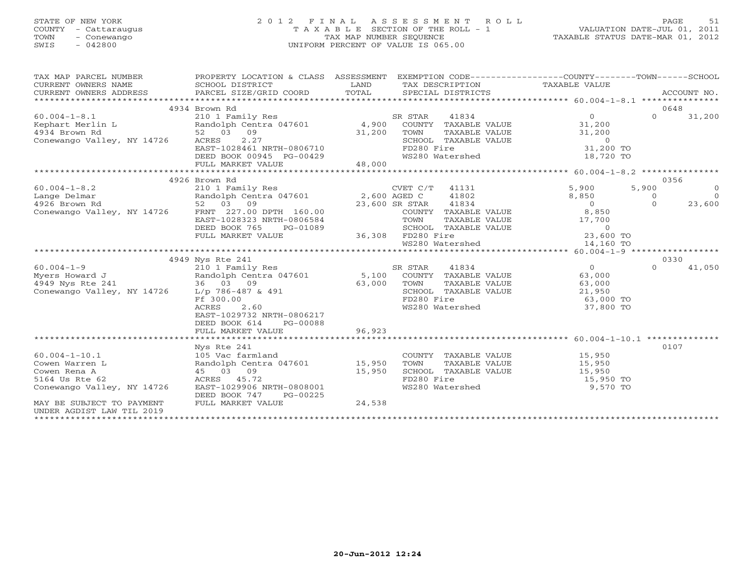# STATE OF NEW YORK 2 0 1 2 F I N A L A S S E S S M E N T R O L L PAGE 51 COUNTY - Cattaraugus T A X A B L E SECTION OF THE ROLL - 1 VALUATION DATE-JUL 01, 2011 TOWN - Conewango TAX MAP NUMBER SEQUENCE TAXABLE STATUS DATE-MAR 01, 2012 SWIS - 042800 UNIFORM PERCENT OF VALUE IS 065.00UNIFORM PERCENT OF VALUE IS 065.00

| TAX MAP PARCEL NUMBER                        | PROPERTY LOCATION & CLASS ASSESSMENT EXEMPTION CODE----------------COUNTY-------TOWN------SCHOOL |             |                               |                                                                             |                |                |
|----------------------------------------------|--------------------------------------------------------------------------------------------------|-------------|-------------------------------|-----------------------------------------------------------------------------|----------------|----------------|
|                                              |                                                                                                  |             |                               |                                                                             |                |                |
|                                              |                                                                                                  |             |                               |                                                                             |                |                |
|                                              |                                                                                                  |             |                               |                                                                             |                |                |
|                                              | 4934 Brown Rd                                                                                    |             |                               |                                                                             | 0648           |                |
| $60.004 - 1 - 8.1$                           | 210 1 Family Res                                                                                 |             | 41834<br>SR STAR              | $\overline{0}$                                                              | $\Omega$       | 31,200         |
|                                              |                                                                                                  |             |                               |                                                                             |                |                |
|                                              |                                                                                                  | 31,200 TOWN |                               |                                                                             |                |                |
| Conewango Valley, NY 14726 ACRES             | ACRES 2.27<br>EAST-1028461 NRTH-0806710                                                          |             |                               | TOWN TAXABLE VALUE 31,200<br>SCHOOL TAXABLE VALUE 0<br>FD280 Fire 31,200 TO |                |                |
|                                              |                                                                                                  |             | FD280 Fire                    |                                                                             |                |                |
|                                              | DEED BOOK 00945 PG-00429<br>FULL MARKET VALUE 48,000                                             |             | WS280 Watershed WS280 Water   | 18,720 TO                                                                   |                |                |
|                                              |                                                                                                  |             |                               |                                                                             |                |                |
|                                              |                                                                                                  |             |                               |                                                                             |                |                |
|                                              | 210 1 Family Res<br>Randolph Centra 047601 2,600 AGED C 41802<br>52 03 09 23.600 SR STAR 11924   |             |                               |                                                                             | 0356           |                |
| $60.004 - 1 - 8.2$                           |                                                                                                  |             |                               | 5,900                                                                       | 5,900          | $\overline{0}$ |
|                                              |                                                                                                  |             |                               |                                                                             | $\overline{O}$ | $\overline{0}$ |
|                                              |                                                                                                  |             |                               |                                                                             | $\Omega$       | 23,600         |
|                                              |                                                                                                  |             |                               |                                                                             |                |                |
|                                              |                                                                                                  |             |                               |                                                                             |                |                |
|                                              |                                                                                                  |             |                               |                                                                             |                |                |
|                                              |                                                                                                  |             |                               |                                                                             |                |                |
|                                              |                                                                                                  |             |                               |                                                                             |                |                |
|                                              |                                                                                                  |             |                               |                                                                             | 0330           |                |
|                                              | 4949 Nys Rte 241                                                                                 |             |                               |                                                                             |                |                |
|                                              |                                                                                                  |             |                               |                                                                             | $\Omega$       | 41,050         |
|                                              |                                                                                                  |             |                               |                                                                             |                |                |
| Conewango Valley, NY 14726 L/p 786-487 & 491 |                                                                                                  |             |                               | TOWN TAAADDE VALUE<br>SCHOOL TAXABLE VALUE 21,950<br>TD300 Fire 63,000 TO   |                |                |
|                                              | Ff 300.00                                                                                        |             |                               |                                                                             |                |                |
|                                              | 2.60<br>ACRES                                                                                    |             | WS280 Watershed               | 37,800 TO                                                                   |                |                |
|                                              | EAST-1029732 NRTH-0806217                                                                        |             |                               |                                                                             |                |                |
|                                              | DEED BOOK 614<br>PG-00088                                                                        |             |                               |                                                                             |                |                |
|                                              | FULL MARKET VALUE                                                                                | 96,923      |                               |                                                                             |                |                |
|                                              |                                                                                                  |             |                               |                                                                             |                |                |
|                                              | Nys Rte 241                                                                                      |             |                               |                                                                             | 0107           |                |
| $60.004 - 1 - 10.1$                          | 105 Vac farmland                                                                                 |             |                               | COUNTY TAXABLE VALUE 15,950                                                 |                |                |
| Cowen Warren L                               | Randolph Centra 047601 15,950                                                                    |             | TOWN                          | TAXABLE VALUE 15,950                                                        |                |                |
| Cowen Rena A                                 | 45 03 09                                                                                         |             |                               |                                                                             |                |                |
| 5164 Us Rte 62                               | 15,950<br>ACRES 45.72                                                                            |             |                               | SCHOOL TAXABLE VALUE 15,950<br>FD280 Fire 15,950 TO                         |                |                |
| Conewango Valley, NY 14726                   | EAST-1029906 NRTH-0808001                                                                        |             | FD280 Fire<br>WS280 Watershed | 9,570 TO                                                                    |                |                |
|                                              | DEED BOOK 747<br>PG-00225                                                                        |             |                               |                                                                             |                |                |
| MAY BE SUBJECT TO PAYMENT                    | FULL MARKET VALUE                                                                                | 24,538      |                               |                                                                             |                |                |
| UNDER AGDIST LAW TIL 2019                    |                                                                                                  |             |                               |                                                                             |                |                |
|                                              |                                                                                                  |             |                               |                                                                             |                |                |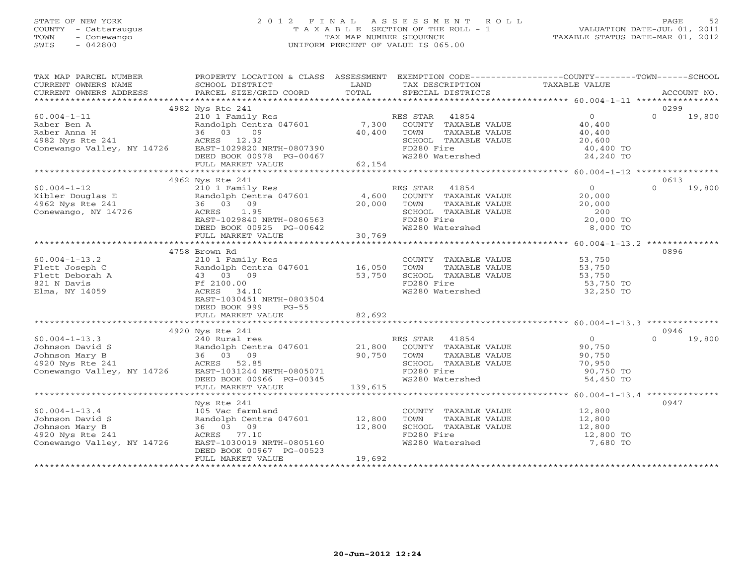# STATE OF NEW YORK 2 0 1 2 F I N A L A S S E S S M E N T R O L L PAGE 52 COUNTY - Cattaraugus T A X A B L E SECTION OF THE ROLL - 1 VALUATION DATE-JUL 01, 2011 TOWN - Conewango TAX MAP NUMBER SEQUENCE TAXABLE STATUS DATE-MAR 01, 2012 SWIS - 042800 UNIFORM PERCENT OF VALUE IS 065.00UNIFORM PERCENT OF VALUE IS 065.00

| TAX MAP PARCEL NUMBER                                                                                                                    | PROPERTY LOCATION & CLASS ASSESSMENT EXEMPTION CODE----------------COUNTY-------TOWN------SCHOOL                   |        |                                                                             |                                                                                                                                                                                       |          |               |
|------------------------------------------------------------------------------------------------------------------------------------------|--------------------------------------------------------------------------------------------------------------------|--------|-----------------------------------------------------------------------------|---------------------------------------------------------------------------------------------------------------------------------------------------------------------------------------|----------|---------------|
| CURRENT OWNERS NAME                                                                                                                      |                                                                                                                    |        |                                                                             |                                                                                                                                                                                       |          |               |
|                                                                                                                                          |                                                                                                                    |        |                                                                             |                                                                                                                                                                                       |          |               |
|                                                                                                                                          |                                                                                                                    |        |                                                                             |                                                                                                                                                                                       |          |               |
|                                                                                                                                          | 4982 Nys Rte 241                                                                                                   |        |                                                                             |                                                                                                                                                                                       | 0299     |               |
|                                                                                                                                          |                                                                                                                    |        |                                                                             |                                                                                                                                                                                       | $\Omega$ | 19,800        |
|                                                                                                                                          |                                                                                                                    |        |                                                                             |                                                                                                                                                                                       |          |               |
|                                                                                                                                          |                                                                                                                    |        |                                                                             |                                                                                                                                                                                       |          |               |
|                                                                                                                                          |                                                                                                                    |        |                                                                             |                                                                                                                                                                                       |          |               |
|                                                                                                                                          |                                                                                                                    |        | SCHOOL TAXABLE VALUE<br>FD280 Fire<br>WS280 Watershed                       | $\begin{tabular}{llllll} \bf 41854 & 0 \\ \bf TAXABLE \rm~VALUE & 40,400 \\ \bf TAXABLE \rm~VALUE & 40,400 \\ \bf TAXABLE \rm~VALUE & 20,600 \\ \bf 1re & 40,400~TO \\ \end{tabular}$ |          |               |
|                                                                                                                                          |                                                                                                                    |        |                                                                             | 24,240 TO                                                                                                                                                                             |          |               |
|                                                                                                                                          |                                                                                                                    |        |                                                                             |                                                                                                                                                                                       |          |               |
|                                                                                                                                          |                                                                                                                    |        |                                                                             |                                                                                                                                                                                       |          |               |
|                                                                                                                                          | 4962 Nys Rte 241                                                                                                   |        |                                                                             |                                                                                                                                                                                       | 0613     |               |
| $60.004 - 1 - 12$                                                                                                                        | 210 1 Family Res                                                                                                   |        | RES STAR 41854                                                              | $\bigcirc$                                                                                                                                                                            |          | $0 \t 19,800$ |
| 60.004-1-12<br>Kibler Douglas E Randolph Centra 047601 4,600<br>4,600 4962 Nys Rte 241 36 03 09 20,000<br>Conewango, NY 14726 ACRES 1.95 |                                                                                                                    |        | COUNTY TAXABLE VALUE 20,000                                                 |                                                                                                                                                                                       |          |               |
|                                                                                                                                          |                                                                                                                    |        | TOWN                                                                        | 20,000                                                                                                                                                                                |          |               |
|                                                                                                                                          |                                                                                                                    |        | TOWN TAXABLE VALUE<br>SCHOOL TAXABLE VALUE<br>FD280 Fire<br>WS280 Watershed | 200<br>20,000 TO                                                                                                                                                                      |          |               |
|                                                                                                                                          |                                                                                                                    |        |                                                                             |                                                                                                                                                                                       |          |               |
|                                                                                                                                          |                                                                                                                    |        |                                                                             | 8,000 TO                                                                                                                                                                              |          |               |
|                                                                                                                                          | 36 03 09 20,000<br>ACRES 1.95<br>EAST-1029840 NRTH-0806563<br>DEED BOOK 00925 PG-00642<br>FULL MARKET VALUE 30,769 |        |                                                                             |                                                                                                                                                                                       |          |               |
|                                                                                                                                          |                                                                                                                    |        |                                                                             |                                                                                                                                                                                       |          |               |
|                                                                                                                                          | 4758 Brown Rd                                                                                                      |        |                                                                             |                                                                                                                                                                                       | 0896     |               |
| $60.004 - 1 - 13.2$                                                                                                                      | 210 1 Family Res                                                                                                   |        | COUNTY TAXABLE VALUE 53,750                                                 |                                                                                                                                                                                       |          |               |
|                                                                                                                                          |                                                                                                                    |        | TOWN TAXABLE VALUE<br>SCHOOL TAXABLE VALUE                                  |                                                                                                                                                                                       |          |               |
|                                                                                                                                          |                                                                                                                    |        |                                                                             | 53,750<br>53,750                                                                                                                                                                      |          |               |
|                                                                                                                                          |                                                                                                                    |        | FD280 Fire<br>WS280 Watershed 62,250 TO                                     |                                                                                                                                                                                       |          |               |
|                                                                                                                                          |                                                                                                                    |        |                                                                             |                                                                                                                                                                                       |          |               |
|                                                                                                                                          | EAST-1030451 NRTH-0803504                                                                                          |        |                                                                             |                                                                                                                                                                                       |          |               |
|                                                                                                                                          | DEED BOOK 999<br>$PG-55$                                                                                           |        |                                                                             |                                                                                                                                                                                       |          |               |
|                                                                                                                                          | FULL MARKET VALUE                                                                                                  | 82,692 |                                                                             |                                                                                                                                                                                       |          |               |
|                                                                                                                                          |                                                                                                                    |        |                                                                             |                                                                                                                                                                                       |          |               |
|                                                                                                                                          |                                                                                                                    |        |                                                                             |                                                                                                                                                                                       | 0946     |               |
|                                                                                                                                          |                                                                                                                    |        |                                                                             | 0<br>90,750<br>90,750                                                                                                                                                                 | $\Omega$ | 19,800        |
|                                                                                                                                          |                                                                                                                    |        |                                                                             |                                                                                                                                                                                       |          |               |
|                                                                                                                                          |                                                                                                                    |        | TUWN IAADDE VILLE<br>SCHOOL TAXABLE VALUE 70,950<br>ED280 Fire 90,750 TO    |                                                                                                                                                                                       |          |               |
|                                                                                                                                          |                                                                                                                    |        |                                                                             |                                                                                                                                                                                       |          |               |
|                                                                                                                                          |                                                                                                                    |        |                                                                             | 54,450 TO                                                                                                                                                                             |          |               |
|                                                                                                                                          |                                                                                                                    |        |                                                                             |                                                                                                                                                                                       |          |               |
|                                                                                                                                          |                                                                                                                    |        |                                                                             |                                                                                                                                                                                       |          |               |
|                                                                                                                                          | Nys Rte 241                                                                                                        |        |                                                                             |                                                                                                                                                                                       | 0947     |               |
| $60.004 - 1 - 13.4$                                                                                                                      |                                                                                                                    |        |                                                                             |                                                                                                                                                                                       |          |               |
| Johnson David S                                                                                                                          |                                                                                                                    |        | COUNTY TAXABLE VALUE 12,800<br>TOWN TAXABLE VALUE 12,800                    |                                                                                                                                                                                       |          |               |
| Johnson Mary B                                                                                                                           | 105 Vac farmland<br>Randolph Centra 047601 12,800 TOWN<br>36 03 09 12,800 SCHOOL<br>ACRES 77.10 FD280 F            |        |                                                                             |                                                                                                                                                                                       |          |               |
|                                                                                                                                          |                                                                                                                    |        | SCHOOL TAXABLE VALUE 12,800<br>FD280 Fire 12,800 TO                         |                                                                                                                                                                                       |          |               |
|                                                                                                                                          |                                                                                                                    |        | WS280 Watershed                                                             | 7,680 TO                                                                                                                                                                              |          |               |
|                                                                                                                                          | DEED BOOK 00967 PG-00523                                                                                           |        |                                                                             |                                                                                                                                                                                       |          |               |
|                                                                                                                                          | FULL MARKET VALUE                                                                                                  | 19,692 |                                                                             |                                                                                                                                                                                       |          |               |
|                                                                                                                                          |                                                                                                                    |        |                                                                             |                                                                                                                                                                                       |          |               |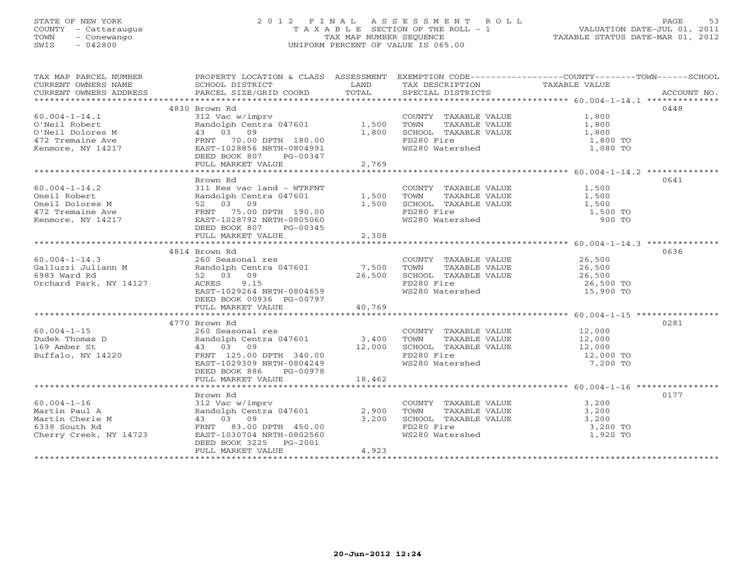# STATE OF NEW YORK 2 0 1 2 F I N A L A S S E S S M E N T R O L L PAGE 53 COUNTY - Cattaraugus T A X A B L E SECTION OF THE ROLL - 1 VALUATION DATE-JUL 01, 2011 TOWN - Conewango TAX MAP NUMBER SEQUENCE TAXABLE STATUS DATE-MAR 01, 2012 SWIS - 042800 UNIFORM PERCENT OF VALUE IS 065.00UNIFORM PERCENT OF VALUE IS 065.00

| TAX MAP PARCEL NUMBER                                                                                                                                                                                                                                                    | PROPERTY LOCATION & CLASS ASSESSMENT EXEMPTION CODE----------------COUNTY-------TOWN------SCHOOL |        |                      |      |
|--------------------------------------------------------------------------------------------------------------------------------------------------------------------------------------------------------------------------------------------------------------------------|--------------------------------------------------------------------------------------------------|--------|----------------------|------|
|                                                                                                                                                                                                                                                                          |                                                                                                  |        |                      |      |
|                                                                                                                                                                                                                                                                          |                                                                                                  |        |                      |      |
|                                                                                                                                                                                                                                                                          |                                                                                                  |        |                      |      |
|                                                                                                                                                                                                                                                                          |                                                                                                  |        |                      | 0448 |
|                                                                                                                                                                                                                                                                          |                                                                                                  |        |                      |      |
|                                                                                                                                                                                                                                                                          |                                                                                                  |        |                      |      |
|                                                                                                                                                                                                                                                                          |                                                                                                  |        |                      |      |
|                                                                                                                                                                                                                                                                          |                                                                                                  |        |                      |      |
|                                                                                                                                                                                                                                                                          |                                                                                                  |        | 1,800 TO<br>1,080 TO |      |
|                                                                                                                                                                                                                                                                          |                                                                                                  |        |                      |      |
|                                                                                                                                                                                                                                                                          | FULL MARKET VALUE                                                                                | 2,769  |                      |      |
|                                                                                                                                                                                                                                                                          |                                                                                                  |        |                      |      |
|                                                                                                                                                                                                                                                                          | Brown Rd                                                                                         |        |                      | 0641 |
|                                                                                                                                                                                                                                                                          |                                                                                                  |        |                      |      |
|                                                                                                                                                                                                                                                                          |                                                                                                  |        |                      |      |
|                                                                                                                                                                                                                                                                          |                                                                                                  |        |                      |      |
|                                                                                                                                                                                                                                                                          |                                                                                                  |        | 1,500 TO             |      |
| 60.004-1-14.2<br>Oneil Robert<br>Oneil Robert<br>Oneil Dolores M 311 Res vac land - WTRFNT<br>Oneil Dolores M 52 03 09<br>472 Tremaine Ave FRNT 75.00 DPTH 190.00<br>ERNT 75.00 DPTH 190.00<br>ERNT 75.00 DPTH 190.00<br>ERNT 75.00 DPTH 190.0                           |                                                                                                  |        | 900 TO               |      |
|                                                                                                                                                                                                                                                                          | DEED BOOK 807 PG-00345                                                                           |        |                      |      |
|                                                                                                                                                                                                                                                                          | FULL MARKET VALUE                                                                                | 2,308  |                      |      |
|                                                                                                                                                                                                                                                                          |                                                                                                  |        |                      |      |
|                                                                                                                                                                                                                                                                          | 4814 Brown Rd                                                                                    |        |                      | 0636 |
|                                                                                                                                                                                                                                                                          |                                                                                                  |        |                      |      |
|                                                                                                                                                                                                                                                                          |                                                                                                  |        |                      |      |
|                                                                                                                                                                                                                                                                          |                                                                                                  |        |                      |      |
|                                                                                                                                                                                                                                                                          |                                                                                                  |        |                      |      |
|                                                                                                                                                                                                                                                                          |                                                                                                  |        |                      |      |
|                                                                                                                                                                                                                                                                          |                                                                                                  |        |                      |      |
|                                                                                                                                                                                                                                                                          | DEED BOOK 00936 PG-00797                                                                         |        |                      |      |
|                                                                                                                                                                                                                                                                          | FULL MARKET VALUE                                                                                | 40,769 |                      |      |
|                                                                                                                                                                                                                                                                          |                                                                                                  |        |                      |      |
|                                                                                                                                                                                                                                                                          | 4770 Brown Rd                                                                                    |        |                      | 0281 |
|                                                                                                                                                                                                                                                                          |                                                                                                  |        |                      |      |
|                                                                                                                                                                                                                                                                          |                                                                                                  |        |                      |      |
|                                                                                                                                                                                                                                                                          |                                                                                                  |        |                      |      |
|                                                                                                                                                                                                                                                                          |                                                                                                  |        |                      |      |
|                                                                                                                                                                                                                                                                          |                                                                                                  |        |                      |      |
|                                                                                                                                                                                                                                                                          |                                                                                                  |        |                      |      |
|                                                                                                                                                                                                                                                                          |                                                                                                  |        |                      |      |
|                                                                                                                                                                                                                                                                          |                                                                                                  |        |                      |      |
|                                                                                                                                                                                                                                                                          | Brown Rd                                                                                         |        |                      | 0177 |
|                                                                                                                                                                                                                                                                          |                                                                                                  |        |                      |      |
|                                                                                                                                                                                                                                                                          |                                                                                                  |        |                      |      |
| $Martin$ Paul A<br>$Martin$ Paul A<br>$Martin$ COUNTY TAXABLE VALUE<br>$Martin$ COUNTY TAXABLE VALUE<br>$Martin$ COUNTY TAXABLE VALUE<br>$Martin$ COUNTY TAXABLE VALUE<br>$Martin$ COUNTY TAXABLE VALUE<br>$Martin$ COUNTY TAXABLE VALUE<br>$Martin$ COUNTY TAXABLE VALU |                                                                                                  |        |                      |      |
|                                                                                                                                                                                                                                                                          |                                                                                                  |        |                      |      |
|                                                                                                                                                                                                                                                                          |                                                                                                  |        |                      |      |
|                                                                                                                                                                                                                                                                          | DEED BOOK 3225 PG-2001                                                                           |        |                      |      |
|                                                                                                                                                                                                                                                                          | FULL MARKET VALUE                                                                                | 4,923  |                      |      |
|                                                                                                                                                                                                                                                                          |                                                                                                  |        |                      |      |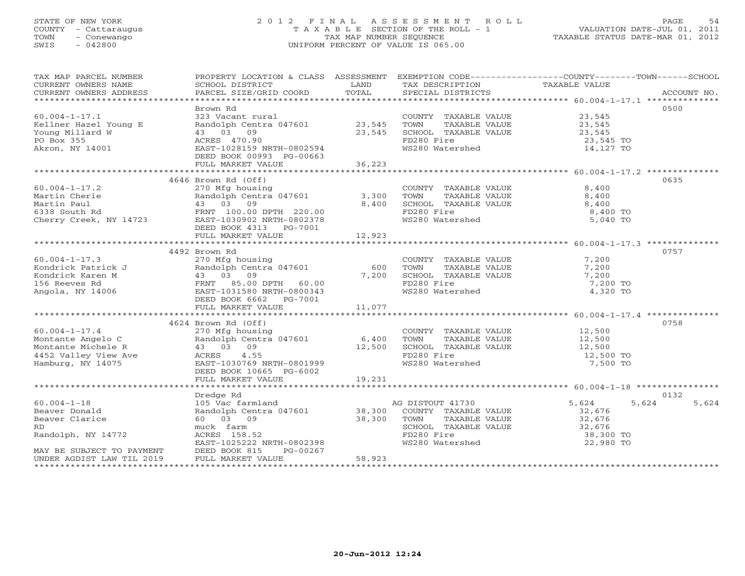# STATE OF NEW YORK 2 0 1 2 F I N A L A S S E S S M E N T R O L L PAGE 54 COUNTY - Cattaraugus T A X A B L E SECTION OF THE ROLL - 1 VALUATION DATE-JUL 01, 2011 TOWN - Conewango TAX MAP NUMBER SEQUENCE TAXABLE STATUS DATE-MAR 01, 2012 SWIS - 042800 UNIFORM PERCENT OF VALUE IS 065.00UNIFORM PERCENT OF VALUE IS 065.00

| TAX MAP PARCEL NUMBER                                                                                                                                                                                                                                  | PROPERTY LOCATION & CLASS ASSESSMENT EXEMPTION CODE----------------COUNTY-------TOWN------SCHOOL                                 |          |                                                                              |                     |       |
|--------------------------------------------------------------------------------------------------------------------------------------------------------------------------------------------------------------------------------------------------------|----------------------------------------------------------------------------------------------------------------------------------|----------|------------------------------------------------------------------------------|---------------------|-------|
| CURRENT OWNERS NAME                                                                                                                                                                                                                                    |                                                                                                                                  |          | TAX DESCRIPTION TAXABLE VALUE                                                |                     |       |
| CURRENT OWNERS ADDRESS<br>CUNNERIT OWNERS ADDRESS FORCEL SIZE/GRID COORD FOTAL SECIAL DISTRICTS FOR THE PROCOUNT NO.<br>CURRENT OWNERS ADDRESS FORCEL SIZE/GRID COORD TOTAL SECIAL DISTRICTS FOR PORT PORT ACCOUNT NO.                                 |                                                                                                                                  |          |                                                                              |                     |       |
|                                                                                                                                                                                                                                                        |                                                                                                                                  |          |                                                                              |                     |       |
|                                                                                                                                                                                                                                                        | Brown Rd                                                                                                                         |          |                                                                              |                     | 0500  |
| $60.004 - 1 - 17.1$                                                                                                                                                                                                                                    |                                                                                                                                  |          |                                                                              |                     |       |
| Kellner Hazel Young E                                                                                                                                                                                                                                  |                                                                                                                                  |          |                                                                              | 23,545<br>23,545    |       |
| Young Millard W                                                                                                                                                                                                                                        |                                                                                                                                  |          | SCHOOL TAXABLE VALUE 23,545                                                  |                     |       |
| PO Box 355                                                                                                                                                                                                                                             | 43 03 09<br>ACRES 470.90<br>EAST-1028159 P<br>43 03 09 23,545<br>ACRES 470.90 23,545<br>EAST-1028159 NRTH-0802594                |          | FD280 Fire                                                                   | 23,545 TO           |       |
| Akron, NY 14001                                                                                                                                                                                                                                        |                                                                                                                                  |          | WS280 Watershed                                                              | 14,127 TO           |       |
|                                                                                                                                                                                                                                                        | DEED BOOK 00993 PG-00663                                                                                                         |          |                                                                              |                     |       |
|                                                                                                                                                                                                                                                        | FULL MARKET VALUE                                                                                                                | 36,223   |                                                                              |                     |       |
|                                                                                                                                                                                                                                                        |                                                                                                                                  |          |                                                                              |                     |       |
|                                                                                                                                                                                                                                                        | 4646 Brown Rd (Off)                                                                                                              |          |                                                                              |                     | 0635  |
|                                                                                                                                                                                                                                                        |                                                                                                                                  |          |                                                                              |                     |       |
| $60.004 - 1 - 17.2$                                                                                                                                                                                                                                    | 270 Mfg housing                                                                                                                  |          | COUNTY TAXABLE VALUE<br>COUNTY<br>TOWN TAXABLE VALUE<br>SCHOOL TAXABLE VALUE | 8,400               |       |
|                                                                                                                                                                                                                                                        |                                                                                                                                  |          | --<br>TAXABLE VALUE<br>TAXARLE VALUE                                         | 8,400               |       |
|                                                                                                                                                                                                                                                        |                                                                                                                                  |          |                                                                              | 8,400               |       |
|                                                                                                                                                                                                                                                        |                                                                                                                                  |          |                                                                              | $8,400$ TO          |       |
|                                                                                                                                                                                                                                                        |                                                                                                                                  |          |                                                                              | 5,040 TO            |       |
|                                                                                                                                                                                                                                                        | DEED BOOK 4313 PG-7001                                                                                                           |          |                                                                              |                     |       |
|                                                                                                                                                                                                                                                        |                                                                                                                                  |          |                                                                              |                     |       |
|                                                                                                                                                                                                                                                        |                                                                                                                                  |          |                                                                              |                     |       |
|                                                                                                                                                                                                                                                        | 4492 Brown Rd                                                                                                                    |          |                                                                              |                     | 0757  |
|                                                                                                                                                                                                                                                        |                                                                                                                                  |          | COUNTY TAXABLE VALUE                                                         |                     |       |
|                                                                                                                                                                                                                                                        |                                                                                                                                  | 600 TOWN | TAXABLE VALUE                                                                | $7,200$<br>$7,200$  |       |
| 60.004-1-17.3<br>Kondrick Patrick J<br>Kondrick Karen M<br>156 Reeves Rd<br>Angola, NY 14006<br>270 Mfg housing<br>Randolph Centra 047601<br>270 Mfg housing<br>Centra 047601<br>270 Mfg housing<br>270 Mfg housing<br>270 Mfg housing<br>270 Mfg hous |                                                                                                                                  | 7,200    | SCHOOL TAXABLE VALUE                                                         | 7,200               |       |
|                                                                                                                                                                                                                                                        |                                                                                                                                  |          |                                                                              | 7,200 TO            |       |
|                                                                                                                                                                                                                                                        |                                                                                                                                  |          | FD280 Fire<br>WS280 Watershed                                                | 4,320 TO            |       |
|                                                                                                                                                                                                                                                        | DEED BOOK 6662    PG-7001                                                                                                        |          |                                                                              |                     |       |
|                                                                                                                                                                                                                                                        | FULL MARKET VALUE 11,077                                                                                                         |          |                                                                              |                     |       |
|                                                                                                                                                                                                                                                        |                                                                                                                                  |          |                                                                              |                     |       |
|                                                                                                                                                                                                                                                        | 4624 Brown Rd (Off)                                                                                                              |          |                                                                              |                     | 0758  |
| $60.004 - 1 - 17.4$                                                                                                                                                                                                                                    |                                                                                                                                  |          | COUNTY TAXABLE VALUE 12,500                                                  |                     |       |
|                                                                                                                                                                                                                                                        | 270 Mfg housing                                                                                                                  |          |                                                                              |                     |       |
|                                                                                                                                                                                                                                                        |                                                                                                                                  |          |                                                                              |                     |       |
|                                                                                                                                                                                                                                                        |                                                                                                                                  |          |                                                                              |                     |       |
| Montante Angelo C Randolph C Randolph C Randolph C Randolph C (12,500<br>Montante Michele R (12,500<br>4452 Valley View Ave (12,500<br>Hamburg, NY 14075 (2,500<br>Hamburg, NY 14075 (2,500<br>DEED BOOK 10665 PG-6002<br>DEED BOOK 10665              |                                                                                                                                  |          |                                                                              | 12,500 TO           |       |
|                                                                                                                                                                                                                                                        |                                                                                                                                  |          |                                                                              | 7,500 TO            |       |
|                                                                                                                                                                                                                                                        |                                                                                                                                  |          |                                                                              |                     |       |
|                                                                                                                                                                                                                                                        | FULL MARKET VALUE                                                                                                                | 19,231   |                                                                              |                     |       |
|                                                                                                                                                                                                                                                        |                                                                                                                                  |          |                                                                              |                     |       |
|                                                                                                                                                                                                                                                        | Dredge Rd                                                                                                                        |          |                                                                              |                     | 0132  |
| $60.004 - 1 - 18$                                                                                                                                                                                                                                      |                                                                                                                                  |          | AG DISTOUT 41730                                                             | 5,624<br>5,624      | 5,624 |
| Beaver Donald                                                                                                                                                                                                                                          | 105 Vac farmland<br>105 Vac farmland<br>Randolph Centra 047601 38,300 COUNTY TAXABLE VALUE<br>60 03 09 38,300 TOWN TAXABLE VALUE |          |                                                                              | 32,676              |       |
| Beaver Clarice                                                                                                                                                                                                                                         |                                                                                                                                  |          | TAXABLE VALUE                                                                | 32,676              |       |
| RD.                                                                                                                                                                                                                                                    |                                                                                                                                  |          | SCHOOL TAXABLE VALUE<br>FD280 Fire<br>WS280 Watershed                        |                     |       |
| Randolph, NY 14772                                                                                                                                                                                                                                     | muck farm<br>ACRES 158.52<br>EAST-1025222 NRTH-0802398                                                                           |          |                                                                              | 32,676<br>38,300 TO |       |
|                                                                                                                                                                                                                                                        |                                                                                                                                  |          |                                                                              | 22,980 TO           |       |
|                                                                                                                                                                                                                                                        | PG-00267                                                                                                                         |          |                                                                              |                     |       |
| MAY BE SUBJECT TO PAYMENT DEED BOOK 815 FUNDER AGDIST LAW TIL 2019 FULL MARKET VALUE                                                                                                                                                                   |                                                                                                                                  | 58,923   |                                                                              |                     |       |
|                                                                                                                                                                                                                                                        |                                                                                                                                  |          |                                                                              |                     |       |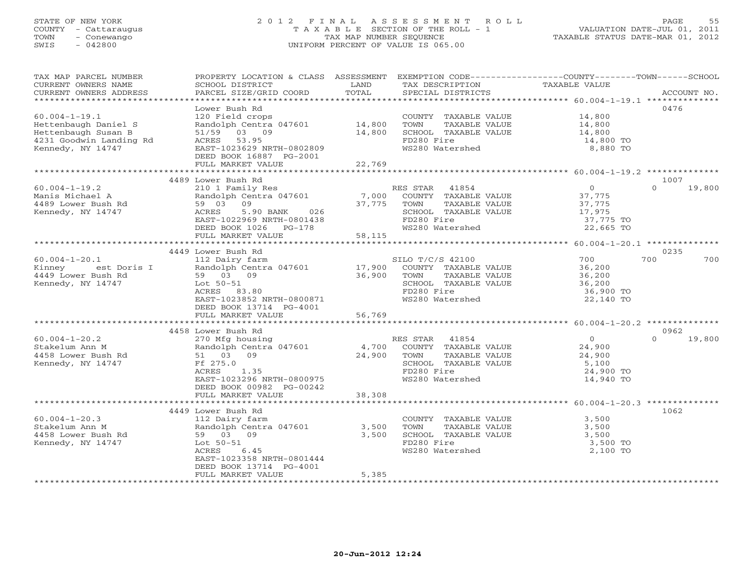# STATE OF NEW YORK 2 0 1 2 F I N A L A S S E S S M E N T R O L L PAGE 55 COUNTY - Cattaraugus T A X A B L E SECTION OF THE ROLL - 1 VALUATION DATE-JUL 01, 2011 TOWN - Conewango TAX MAP NUMBER SEQUENCE TAXABLE STATUS DATE-MAR 01, 2012 SWIS - 042800 UNIFORM PERCENT OF VALUE IS 065.00UNIFORM PERCENT OF VALUE IS 065.00

| TAX MAP PARCEL NUMBER<br>CURRENT OWNERS NAME<br>CURRENT OWNERS ADDRESS | PROPERTY LOCATION & CLASS ASSESSMENT<br>SCHOOL DISTRICT<br>PARCEL SIZE/GRID COORD | LAND<br>TOTAL | EXEMPTION CODE-----------------COUNTY-------TOWN------SCHOOL<br>TAX DESCRIPTION<br>SPECIAL DISTRICTS | TAXABLE VALUE            | ACCOUNT NO.                |
|------------------------------------------------------------------------|-----------------------------------------------------------------------------------|---------------|------------------------------------------------------------------------------------------------------|--------------------------|----------------------------|
| **********************                                                 |                                                                                   |               |                                                                                                      |                          |                            |
|                                                                        | Lower Bush Rd                                                                     |               |                                                                                                      |                          | 0476                       |
| $60.004 - 1 - 19.1$                                                    | 120 Field crops                                                                   |               | COUNTY TAXABLE VALUE                                                                                 | 14,800                   |                            |
| Hettenbaugh Daniel S                                                   | Randolph Centra 047601                                                            | 14,800        | TOWN<br>TAXABLE VALUE                                                                                | 14,800                   |                            |
| Hettenbaugh Susan B                                                    | 51/59 03 09                                                                       | 14,800        | SCHOOL TAXABLE VALUE                                                                                 | 14,800                   |                            |
| 4231 Goodwin Landing Rd                                                | ACRES 53.95                                                                       |               | FD280 Fire                                                                                           | 14,800 TO                |                            |
| Kennedy, NY 14747                                                      | EAST-1023629 NRTH-0802809                                                         |               | WS280 Watershed                                                                                      | 8,880 TO                 |                            |
|                                                                        | DEED BOOK 16887 PG-2001                                                           |               |                                                                                                      |                          |                            |
|                                                                        | FULL MARKET VALUE                                                                 | 22,769        |                                                                                                      |                          |                            |
|                                                                        |                                                                                   |               |                                                                                                      |                          |                            |
|                                                                        | 4489 Lower Bush Rd                                                                |               |                                                                                                      |                          | 1007                       |
| $60.004 - 1 - 19.2$                                                    | 210 1 Family Res                                                                  |               | RES STAR<br>41854                                                                                    | $\overline{0}$           | 19,800<br>$\Omega$         |
| Manis Michael A                                                        | Randolph Centra 047601                                                            | 7,000         | COUNTY TAXABLE VALUE                                                                                 | 37,775                   |                            |
| 4489 Lower Bush Rd                                                     | 09<br>59 03                                                                       | 37,775        | TOWN<br>TAXABLE VALUE                                                                                | 37,775                   |                            |
| Kennedy, NY 14747                                                      | ACRES<br>5.90 BANK<br>026                                                         |               | SCHOOL TAXABLE VALUE                                                                                 | 17,975                   |                            |
|                                                                        | EAST-1022969 NRTH-0801438                                                         |               | FD280 Fire                                                                                           | 37,775 TO                |                            |
|                                                                        | DEED BOOK 1026 PG-178                                                             |               | WS280 Watershed                                                                                      | 22,665 TO                |                            |
|                                                                        | FULL MARKET VALUE                                                                 | 58,115        |                                                                                                      |                          |                            |
|                                                                        |                                                                                   |               |                                                                                                      |                          |                            |
|                                                                        | 4449 Lower Bush Rd                                                                |               |                                                                                                      |                          | 0235                       |
| $60.004 - 1 - 20.1$                                                    | 112 Dairy farm                                                                    |               | SILO T/C/S 42100                                                                                     | 700                      | 700<br>700                 |
| Kinney<br>est Doris I                                                  | Randolph Centra 047601                                                            | 17,900        | COUNTY TAXABLE VALUE                                                                                 | 36,200                   |                            |
| 4449 Lower Bush Rd                                                     | 59 03 09                                                                          | 36,900        | TOWN<br>TAXABLE VALUE                                                                                | 36,200                   |                            |
| Kennedy, NY 14747                                                      | Lot 50-51                                                                         |               | SCHOOL TAXABLE VALUE                                                                                 | 36,200                   |                            |
|                                                                        | ACRES 83.80                                                                       |               | FD280 Fire                                                                                           | 36,900 TO                |                            |
|                                                                        | EAST-1023852 NRTH-0800871                                                         |               | WS280 Watershed                                                                                      | 22,140 TO                |                            |
|                                                                        | DEED BOOK 13714 PG-4001                                                           |               |                                                                                                      |                          |                            |
|                                                                        | FULL MARKET VALUE                                                                 | 56,769        |                                                                                                      |                          |                            |
|                                                                        |                                                                                   |               |                                                                                                      |                          |                            |
|                                                                        | 4458 Lower Bush Rd                                                                |               |                                                                                                      |                          | 0962<br>19,800<br>$\Omega$ |
| $60.004 - 1 - 20.2$<br>Stakelum Ann M                                  | 270 Mfg housing<br>Randolph Centra 047601                                         |               | RES STAR 41854                                                                                       | $\overline{0}$<br>24,900 |                            |
| 4458 Lower Bush Rd                                                     | 51 03 09                                                                          | 24,900        | 4,700 COUNTY TAXABLE VALUE<br>TOWN<br>TAXABLE VALUE                                                  |                          |                            |
| Kennedy, NY 14747                                                      | Ff 275.0                                                                          |               | SCHOOL TAXABLE VALUE                                                                                 | 24,900<br>5,100          |                            |
|                                                                        | 1.35<br>ACRES                                                                     |               | FD280 Fire                                                                                           | 24,900 TO                |                            |
|                                                                        | EAST-1023296 NRTH-0800975                                                         |               | WS280 Watershed                                                                                      | 14,940 TO                |                            |
|                                                                        | DEED BOOK 00982 PG-00242                                                          |               |                                                                                                      |                          |                            |
|                                                                        | FULL MARKET VALUE                                                                 | 38,308        |                                                                                                      |                          |                            |
|                                                                        |                                                                                   |               |                                                                                                      |                          |                            |
|                                                                        | 4449 Lower Bush Rd                                                                |               |                                                                                                      |                          | 1062                       |
| $60.004 - 1 - 20.3$                                                    | 112 Dairy farm                                                                    |               | COUNTY TAXABLE VALUE                                                                                 | 3,500                    |                            |
| Stakelum Ann M                                                         | Randolph Centra 047601                                                            | 3,500         | TOWN<br>TAXABLE VALUE                                                                                | 3,500                    |                            |
| 4458 Lower Bush Rd                                                     | 59 03 09                                                                          | 3,500         | SCHOOL TAXABLE VALUE                                                                                 | 3,500                    |                            |
| Kennedy, NY 14747                                                      | Lot $50-51$                                                                       |               | FD280 Fire                                                                                           | 3,500 TO                 |                            |
|                                                                        | ACRES<br>6.45                                                                     |               | WS280 Watershed                                                                                      | 2,100 TO                 |                            |
|                                                                        | EAST-1023358 NRTH-0801444                                                         |               |                                                                                                      |                          |                            |
|                                                                        | DEED BOOK 13714 PG-4001                                                           |               |                                                                                                      |                          |                            |
|                                                                        | FULL MARKET VALUE                                                                 | 5,385         |                                                                                                      |                          |                            |
|                                                                        |                                                                                   |               |                                                                                                      |                          |                            |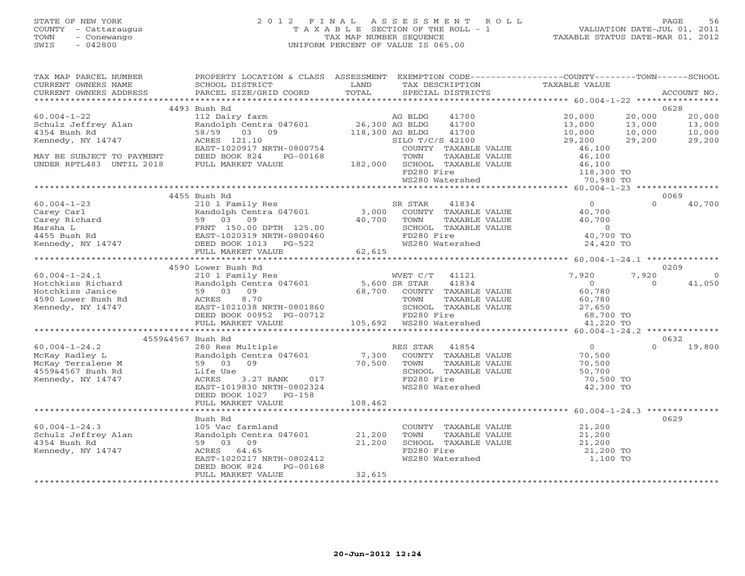# STATE OF NEW YORK 2 0 1 2 F I N A L A S S E S S M E N T R O L L PAGE 56 COUNTY - Cattaraugus T A X A B L E SECTION OF THE ROLL - 1 VALUATION DATE-JUL 01, 2011 TOWN - Conewango TAX MAP NUMBER SEQUENCE TAXABLE STATUS DATE-MAR 01, 2012 SWIS - 042800 UNIFORM PERCENT OF VALUE IS 065.00UNIFORM PERCENT OF VALUE IS 065.00

| TAX MAP PARCEL NUMBER                                                                                                                                                                                                                                                                                                                                                                             | PROPERTY LOCATION & CLASS ASSESSMENT EXEMPTION CODE----------------COUNTY-------TOWN------SCHOOL |         |                                                                                                  |           |               |
|---------------------------------------------------------------------------------------------------------------------------------------------------------------------------------------------------------------------------------------------------------------------------------------------------------------------------------------------------------------------------------------------------|--------------------------------------------------------------------------------------------------|---------|--------------------------------------------------------------------------------------------------|-----------|---------------|
|                                                                                                                                                                                                                                                                                                                                                                                                   |                                                                                                  |         |                                                                                                  |           |               |
|                                                                                                                                                                                                                                                                                                                                                                                                   |                                                                                                  |         |                                                                                                  |           |               |
|                                                                                                                                                                                                                                                                                                                                                                                                   |                                                                                                  |         |                                                                                                  |           |               |
|                                                                                                                                                                                                                                                                                                                                                                                                   | 4493 Bush Rd                                                                                     |         |                                                                                                  |           | 0628          |
| $\begin{tabular}{lllllllllllll} \multicolumn{3}{c }{60.004-1-22} & \multicolumn{3}{c }{4495} \text{ W11} & \multicolumn{3}{c }{4495} \text{ W12} & \multicolumn{3}{c }{4495} \text{ W13} & \multicolumn{3}{c }{4495} \text{ M14} & \multicolumn{3}{c }{4495} \text{ M15} & \multicolumn{3}{c }{4495} \text{ M16} & \multicolumn{3}{c }{4495} \text{ M17} & \multicolumn{3}{c }{4495} \text{ M18}$ |                                                                                                  |         |                                                                                                  |           |               |
|                                                                                                                                                                                                                                                                                                                                                                                                   |                                                                                                  |         |                                                                                                  |           |               |
|                                                                                                                                                                                                                                                                                                                                                                                                   |                                                                                                  |         |                                                                                                  |           |               |
|                                                                                                                                                                                                                                                                                                                                                                                                   |                                                                                                  |         |                                                                                                  |           |               |
|                                                                                                                                                                                                                                                                                                                                                                                                   |                                                                                                  |         |                                                                                                  |           |               |
|                                                                                                                                                                                                                                                                                                                                                                                                   |                                                                                                  |         |                                                                                                  |           |               |
|                                                                                                                                                                                                                                                                                                                                                                                                   |                                                                                                  |         |                                                                                                  |           |               |
|                                                                                                                                                                                                                                                                                                                                                                                                   |                                                                                                  |         |                                                                                                  |           |               |
|                                                                                                                                                                                                                                                                                                                                                                                                   |                                                                                                  |         |                                                                                                  |           |               |
|                                                                                                                                                                                                                                                                                                                                                                                                   |                                                                                                  |         |                                                                                                  |           |               |
|                                                                                                                                                                                                                                                                                                                                                                                                   | 4455 Bush Rd                                                                                     |         |                                                                                                  |           | 0069          |
|                                                                                                                                                                                                                                                                                                                                                                                                   |                                                                                                  |         |                                                                                                  |           |               |
|                                                                                                                                                                                                                                                                                                                                                                                                   |                                                                                                  |         |                                                                                                  |           |               |
|                                                                                                                                                                                                                                                                                                                                                                                                   |                                                                                                  |         |                                                                                                  |           |               |
|                                                                                                                                                                                                                                                                                                                                                                                                   |                                                                                                  |         |                                                                                                  |           |               |
|                                                                                                                                                                                                                                                                                                                                                                                                   |                                                                                                  |         |                                                                                                  |           |               |
|                                                                                                                                                                                                                                                                                                                                                                                                   |                                                                                                  |         |                                                                                                  |           |               |
|                                                                                                                                                                                                                                                                                                                                                                                                   |                                                                                                  |         |                                                                                                  |           |               |
|                                                                                                                                                                                                                                                                                                                                                                                                   |                                                                                                  |         |                                                                                                  |           |               |
| $\begin{array}{cccccccc} 60.004-1-23 & 4455\; Bush\;Rd & 2101\;Family\;Res & SR\;STRR & 41834 & 0 & 0 & 40,700\\ & 2101\;Family\;Res & SR\;STRR & 41834 & 0 & 0 & 40,700\\ & Random\;Carey\;Richard & 59& 03& 09 & 40,700& 70NN & TAXABLE\;VALUE & 40,700\\ & FRTT & 150.00\;DPTH & 125.00 & SCHOOL\;TXABLE\;VALUE & 0 & 0 & 40,700\\ &$                                                          |                                                                                                  |         |                                                                                                  |           |               |
|                                                                                                                                                                                                                                                                                                                                                                                                   |                                                                                                  |         |                                                                                                  |           | 0209          |
|                                                                                                                                                                                                                                                                                                                                                                                                   |                                                                                                  |         |                                                                                                  |           | $\Omega$      |
|                                                                                                                                                                                                                                                                                                                                                                                                   |                                                                                                  |         |                                                                                                  |           | 41,050        |
|                                                                                                                                                                                                                                                                                                                                                                                                   |                                                                                                  |         |                                                                                                  |           |               |
|                                                                                                                                                                                                                                                                                                                                                                                                   |                                                                                                  |         |                                                                                                  |           |               |
|                                                                                                                                                                                                                                                                                                                                                                                                   |                                                                                                  |         |                                                                                                  |           |               |
|                                                                                                                                                                                                                                                                                                                                                                                                   |                                                                                                  |         |                                                                                                  |           |               |
|                                                                                                                                                                                                                                                                                                                                                                                                   |                                                                                                  |         |                                                                                                  |           |               |
|                                                                                                                                                                                                                                                                                                                                                                                                   |                                                                                                  |         |                                                                                                  |           |               |
| 4559&4567 Bush Rd                                                                                                                                                                                                                                                                                                                                                                                 |                                                                                                  |         |                                                                                                  |           | 0632          |
|                                                                                                                                                                                                                                                                                                                                                                                                   |                                                                                                  |         |                                                                                                  |           | $0 \t 19,800$ |
|                                                                                                                                                                                                                                                                                                                                                                                                   |                                                                                                  |         |                                                                                                  |           |               |
|                                                                                                                                                                                                                                                                                                                                                                                                   |                                                                                                  |         |                                                                                                  |           |               |
|                                                                                                                                                                                                                                                                                                                                                                                                   |                                                                                                  |         | TOWN TAXABLE VALUE<br>SCHOOL TAXABLE VALUE 50,700<br>70,500 TO                                   |           |               |
|                                                                                                                                                                                                                                                                                                                                                                                                   |                                                                                                  |         |                                                                                                  |           |               |
|                                                                                                                                                                                                                                                                                                                                                                                                   | EAST-1019830 NRTH-0802324                                                                        |         | ws280 Watershed                                                                                  | 42,300 TO |               |
|                                                                                                                                                                                                                                                                                                                                                                                                   | DEED BOOK 1027 PG-158                                                                            |         |                                                                                                  |           |               |
|                                                                                                                                                                                                                                                                                                                                                                                                   | FULL MARKET VALUE                                                                                | 108,462 |                                                                                                  |           |               |
|                                                                                                                                                                                                                                                                                                                                                                                                   |                                                                                                  |         |                                                                                                  |           |               |
|                                                                                                                                                                                                                                                                                                                                                                                                   | Bush Rd                                                                                          |         |                                                                                                  |           | 0629          |
| $60.004 - 1 - 24.3$                                                                                                                                                                                                                                                                                                                                                                               | -32511 Ku<br>105 Vac farmland<br>Randolph Centra 047601 21,200<br>59 03 09 21,200<br>ACRES 64.65 |         |                                                                                                  |           |               |
| Schulz Jeffrey Alan<br>4354 Bush Rd<br>Kennedy, NY 14747                                                                                                                                                                                                                                                                                                                                          |                                                                                                  |         | COUNTY TAXABLE VALUE<br>TOWN TAXABLE VALUE 21,200<br>SCHOOL TAXABLE VALUE 21,200 TO<br>21,200 TO |           |               |
|                                                                                                                                                                                                                                                                                                                                                                                                   |                                                                                                  |         |                                                                                                  |           |               |
| Kennedy, NY 14747                                                                                                                                                                                                                                                                                                                                                                                 |                                                                                                  |         |                                                                                                  |           |               |
|                                                                                                                                                                                                                                                                                                                                                                                                   | ACRES 64.65<br>EAST-1020217 NRTH-0802412                                                         |         | WS280 Watershed                                                                                  | 1,100 TO  |               |
|                                                                                                                                                                                                                                                                                                                                                                                                   | DEED BOOK 824<br>PG-00168                                                                        |         |                                                                                                  |           |               |
|                                                                                                                                                                                                                                                                                                                                                                                                   | FULL MARKET VALUE                                                                                | 32,615  |                                                                                                  |           |               |
|                                                                                                                                                                                                                                                                                                                                                                                                   |                                                                                                  |         |                                                                                                  |           |               |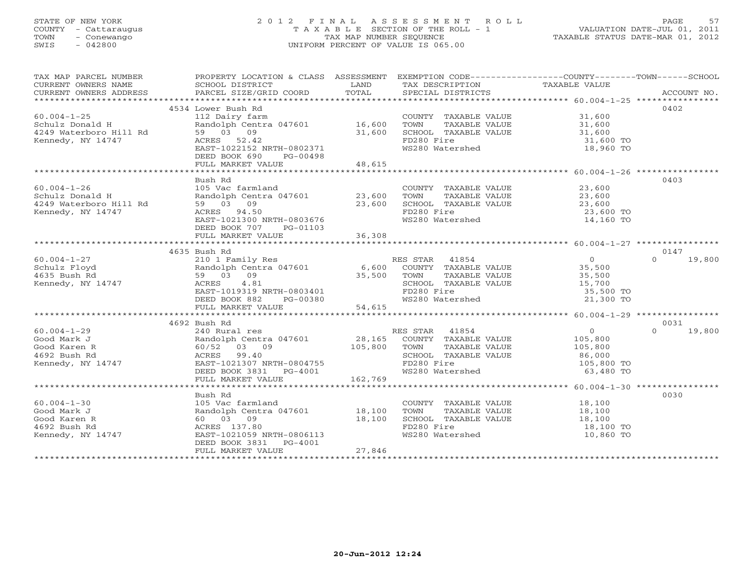# STATE OF NEW YORK 2 0 1 2 F I N A L A S S E S S M E N T R O L L PAGE 57 COUNTY - Cattaraugus T A X A B L E SECTION OF THE ROLL - 1 VALUATION DATE-JUL 01, 2011 TOWN - Conewango TAX MAP NUMBER SEQUENCE TAXABLE STATUS DATE-MAR 01, 2012 SWIS - 042800 UNIFORM PERCENT OF VALUE IS 065.00UNIFORM PERCENT OF VALUE IS 065.00

| TAX MAP PARCEL NUMBER<br>CURRENT OWNERS NAME                                                                                     | PROPERTY LOCATION & CLASS ASSESSMENT EXEMPTION CODE----------------COUNTY-------TOWN------SCHOOL<br>SCHOOL DISTRICT                                                                                                                     | <b>EXAMPLE SERVICE SERVICE SERVICE SERVICE SERVICE SERVICE SERVICE SERVICE SERVICE SERVICE SERVICE SERVICE SERVICE</b> | TAX DESCRIPTION TAXABLE VALUE                                          |                                            |                    |
|----------------------------------------------------------------------------------------------------------------------------------|-----------------------------------------------------------------------------------------------------------------------------------------------------------------------------------------------------------------------------------------|------------------------------------------------------------------------------------------------------------------------|------------------------------------------------------------------------|--------------------------------------------|--------------------|
| CURRENT OWNERS ADDRESS                                                                                                           |                                                                                                                                                                                                                                         |                                                                                                                        |                                                                        |                                            |                    |
|                                                                                                                                  | 4534 Lower Bush Rd                                                                                                                                                                                                                      |                                                                                                                        |                                                                        |                                            | 0402               |
| $60.004 - 1 - 25$                                                                                                                | 112 Dairy farm                                                                                                                                                                                                                          |                                                                                                                        | COUNTY TAXABLE VALUE 31,600                                            |                                            |                    |
|                                                                                                                                  |                                                                                                                                                                                                                                         |                                                                                                                        | TOWN                                                                   |                                            |                    |
| Schulz Donald H and Donald H and Dentra 047601 16,600<br>4249 Waterboro Hill Rd 59 03 09 31,600<br>Kennedy, NY 14747 ACRES 52.42 |                                                                                                                                                                                                                                         |                                                                                                                        | TAXABLE VALUE 31,600<br>L TAXABLE VALUE 31,600<br>SCHOOL TAXABLE VALUE |                                            |                    |
|                                                                                                                                  |                                                                                                                                                                                                                                         |                                                                                                                        | FD280 Fire                                                             | 31,600 TO                                  |                    |
|                                                                                                                                  | EAST-1022152 NRTH-0802371                                                                                                                                                                                                               |                                                                                                                        | WS280 Watershed                                                        | 18,960 TO                                  |                    |
|                                                                                                                                  | DEED BOOK 690<br>PG-00498                                                                                                                                                                                                               |                                                                                                                        |                                                                        |                                            |                    |
|                                                                                                                                  | FULL MARKET VALUE                                                                                                                                                                                                                       | 48,615                                                                                                                 |                                                                        |                                            |                    |
|                                                                                                                                  |                                                                                                                                                                                                                                         |                                                                                                                        |                                                                        |                                            |                    |
|                                                                                                                                  | Bush Rd                                                                                                                                                                                                                                 |                                                                                                                        |                                                                        |                                            | 0403               |
|                                                                                                                                  |                                                                                                                                                                                                                                         |                                                                                                                        | COUNTY TAXABLE VALUE 23,600                                            |                                            |                    |
|                                                                                                                                  |                                                                                                                                                                                                                                         |                                                                                                                        |                                                                        |                                            |                    |
|                                                                                                                                  |                                                                                                                                                                                                                                         |                                                                                                                        |                                                                        |                                            |                    |
|                                                                                                                                  |                                                                                                                                                                                                                                         |                                                                                                                        | FD280 Fire                                                             | 23,600 TO<br>14,160 TO                     |                    |
|                                                                                                                                  |                                                                                                                                                                                                                                         |                                                                                                                        | WS280 Watershed                                                        |                                            |                    |
|                                                                                                                                  | DEED BOOK 707 PG-01103                                                                                                                                                                                                                  |                                                                                                                        |                                                                        |                                            |                    |
|                                                                                                                                  | FULL MARKET VALUE                                                                                                                                                                                                                       | 36,308                                                                                                                 |                                                                        |                                            |                    |
|                                                                                                                                  |                                                                                                                                                                                                                                         |                                                                                                                        |                                                                        |                                            |                    |
|                                                                                                                                  | 4635 Bush Rd                                                                                                                                                                                                                            |                                                                                                                        |                                                                        |                                            | 0147               |
| $60.004 - 1 - 27$                                                                                                                |                                                                                                                                                                                                                                         |                                                                                                                        |                                                                        | $\begin{array}{c} 0 \\ 35,500 \end{array}$ | $\Omega$<br>19,800 |
| Schulz Floyd                                                                                                                     |                                                                                                                                                                                                                                         |                                                                                                                        |                                                                        |                                            |                    |
| 4635 Bush Rd                                                                                                                     |                                                                                                                                                                                                                                         |                                                                                                                        |                                                                        | TAXABLE VALUE 35,500                       |                    |
| Kennedy, NY 14747                                                                                                                |                                                                                                                                                                                                                                         |                                                                                                                        |                                                                        | 15,700<br>35,500 TO                        |                    |
|                                                                                                                                  |                                                                                                                                                                                                                                         |                                                                                                                        |                                                                        |                                            |                    |
|                                                                                                                                  |                                                                                                                                                                                                                                         |                                                                                                                        |                                                                        | 21,300 TO                                  |                    |
|                                                                                                                                  | PUBLIC TRES STAR 41854<br>Randolph Centra 047601 6,600 COUNTY TAXABLE VALUE<br>Randolph Centra 047601 6,600 COUNTY TAXABLE VALUE<br>9 03 09 35,500 TOWN TAXABLE VALUE<br>RAST-1019319 NRTH-0803401 FD280 Fire<br>DEED BOOK 882 PG-00380 |                                                                                                                        |                                                                        |                                            |                    |
|                                                                                                                                  | 4692 Bush Rd                                                                                                                                                                                                                            |                                                                                                                        |                                                                        |                                            | 0031               |
|                                                                                                                                  |                                                                                                                                                                                                                                         |                                                                                                                        |                                                                        |                                            | 19,800<br>$\Omega$ |
|                                                                                                                                  |                                                                                                                                                                                                                                         |                                                                                                                        |                                                                        |                                            |                    |
|                                                                                                                                  |                                                                                                                                                                                                                                         |                                                                                                                        |                                                                        |                                            |                    |
|                                                                                                                                  |                                                                                                                                                                                                                                         |                                                                                                                        |                                                                        |                                            |                    |
|                                                                                                                                  |                                                                                                                                                                                                                                         |                                                                                                                        | TOWN TAXABLE VALUE<br>SCHOOL TAXABLE VALUE 86, 000 TO<br>105, 800 TO   |                                            |                    |
|                                                                                                                                  | DEED BOOK 3831 PG-4001                                                                                                                                                                                                                  |                                                                                                                        | FD280 Fire<br>WS280 Watershed                                          | 63,480 TO                                  |                    |
|                                                                                                                                  | FULL MARKET VALUE                                                                                                                                                                                                                       | 162,769                                                                                                                |                                                                        |                                            |                    |
|                                                                                                                                  |                                                                                                                                                                                                                                         |                                                                                                                        |                                                                        |                                            |                    |
|                                                                                                                                  | Bush Rd                                                                                                                                                                                                                                 |                                                                                                                        |                                                                        |                                            | 0030               |
| $60.004 - 1 - 30$                                                                                                                | 105 Vac farmland                                                                                                                                                                                                                        |                                                                                                                        | COUNTY TAXABLE VALUE 18,100                                            |                                            |                    |
| Good Mark J                                                                                                                      | Randolph Centra 047601 18,100                                                                                                                                                                                                           |                                                                                                                        | TOWN<br>TAXABLE VALUE                                                  | 18,100                                     |                    |
| Good Karen R                                                                                                                     | 60 03 09                                                                                                                                                                                                                                | 18,100                                                                                                                 | SCHOOL TAXABLE VALUE 18,100<br>FD280 Fire 18,100 TO                    |                                            |                    |
| 4692 Bush Rd                                                                                                                     | ACRES 137.80                                                                                                                                                                                                                            |                                                                                                                        |                                                                        |                                            |                    |
| Kennedy, NY 14747                                                                                                                | EAST-1021059 NRTH-0806113                                                                                                                                                                                                               |                                                                                                                        | WS280 Watershed                                                        | 10,860 TO                                  |                    |
|                                                                                                                                  | DEED BOOK 3831 PG-4001                                                                                                                                                                                                                  |                                                                                                                        |                                                                        |                                            |                    |
|                                                                                                                                  | FULL MARKET VALUE                                                                                                                                                                                                                       | 27,846                                                                                                                 |                                                                        |                                            |                    |
|                                                                                                                                  |                                                                                                                                                                                                                                         |                                                                                                                        |                                                                        |                                            |                    |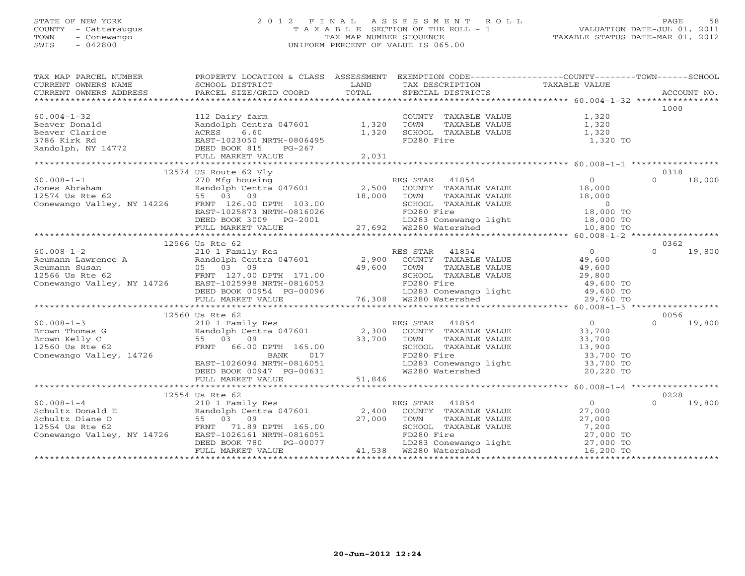# STATE OF NEW YORK 2 0 1 2 F I N A L A S S E S S M E N T R O L L PAGE 58COUNTY - Cattaraugus T A X A B L E SECTION OF THE ROLL - 1<br>
TOWN - Conewango TAX MAP NUMBER SEQUENCE<br>
SWIS - 042800 SWIS - 042800 UNIFORM PERCENT OF VALUE IS 065.00

| TAX MAP PARCEL NUMBER<br>CURRENT OWNERS ADDRESS                                                                                                                                                                                                                                                                                                                                                                         | PROPERTY LOCATION & CLASS ASSESSMENT EXEMPTION CODE---------------COUNTY-------TOWN------SCHOOL |       |                                                                                                                                                 |                |                            |
|-------------------------------------------------------------------------------------------------------------------------------------------------------------------------------------------------------------------------------------------------------------------------------------------------------------------------------------------------------------------------------------------------------------------------|-------------------------------------------------------------------------------------------------|-------|-------------------------------------------------------------------------------------------------------------------------------------------------|----------------|----------------------------|
|                                                                                                                                                                                                                                                                                                                                                                                                                         |                                                                                                 |       |                                                                                                                                                 |                |                            |
|                                                                                                                                                                                                                                                                                                                                                                                                                         |                                                                                                 |       |                                                                                                                                                 |                | 1000                       |
| $60.004 - 1 - 32$                                                                                                                                                                                                                                                                                                                                                                                                       | 112 Dairy farm                                                                                  |       | COUNTY TAXABLE VALUE 1,320                                                                                                                      |                |                            |
|                                                                                                                                                                                                                                                                                                                                                                                                                         | Randolph Centra 047601 1,320                                                                    |       | CONNA TAXABLE VALUE<br>TOWN TAXABLE VALUE 1,320<br>SCHOOL TAXABLE VALUE 1,320<br>FD280 Fire 1,320                                               |                |                            |
|                                                                                                                                                                                                                                                                                                                                                                                                                         |                                                                                                 | 1,320 |                                                                                                                                                 |                |                            |
|                                                                                                                                                                                                                                                                                                                                                                                                                         |                                                                                                 |       | FD280 Fire                                                                                                                                      | 1,320 TO       |                            |
|                                                                                                                                                                                                                                                                                                                                                                                                                         |                                                                                                 |       |                                                                                                                                                 |                |                            |
|                                                                                                                                                                                                                                                                                                                                                                                                                         |                                                                                                 | 2,031 |                                                                                                                                                 |                |                            |
|                                                                                                                                                                                                                                                                                                                                                                                                                         |                                                                                                 |       |                                                                                                                                                 |                |                            |
|                                                                                                                                                                                                                                                                                                                                                                                                                         |                                                                                                 |       |                                                                                                                                                 |                |                            |
|                                                                                                                                                                                                                                                                                                                                                                                                                         |                                                                                                 |       |                                                                                                                                                 |                |                            |
|                                                                                                                                                                                                                                                                                                                                                                                                                         |                                                                                                 |       |                                                                                                                                                 |                |                            |
|                                                                                                                                                                                                                                                                                                                                                                                                                         |                                                                                                 |       |                                                                                                                                                 |                |                            |
|                                                                                                                                                                                                                                                                                                                                                                                                                         |                                                                                                 |       |                                                                                                                                                 |                |                            |
|                                                                                                                                                                                                                                                                                                                                                                                                                         |                                                                                                 |       |                                                                                                                                                 |                |                            |
|                                                                                                                                                                                                                                                                                                                                                                                                                         |                                                                                                 |       |                                                                                                                                                 |                |                            |
|                                                                                                                                                                                                                                                                                                                                                                                                                         |                                                                                                 |       |                                                                                                                                                 |                |                            |
|                                                                                                                                                                                                                                                                                                                                                                                                                         |                                                                                                 |       |                                                                                                                                                 |                |                            |
| $\begin{tabular}{lllllllllllllllll} \multicolumn{3}{c}{\text{60.008--1--2}} & \multicolumn{3}{c}{\text{12500 US Kte 62}} & \multicolumn{3}{c}{\text{12500 US Kte 62}} & \multicolumn{3}{c}{\text{12500 US Kte 62}} & \multicolumn{3}{c}{\text{12500 US Kte 62}} & \multicolumn{3}{c}{\text{12500 US Kte 62}} & \multicolumn{3}{c}{\text{12500 US Kte 62}} & \multicolumn{3}{c}{\text{12500 US Kte 62}} & \multicolumn{$ | 12566 Us Rte 62                                                                                 |       |                                                                                                                                                 |                | 0362<br>$\Omega$           |
|                                                                                                                                                                                                                                                                                                                                                                                                                         |                                                                                                 |       |                                                                                                                                                 |                | 19,800                     |
|                                                                                                                                                                                                                                                                                                                                                                                                                         |                                                                                                 |       |                                                                                                                                                 |                |                            |
|                                                                                                                                                                                                                                                                                                                                                                                                                         |                                                                                                 |       |                                                                                                                                                 |                |                            |
|                                                                                                                                                                                                                                                                                                                                                                                                                         |                                                                                                 |       |                                                                                                                                                 |                |                            |
|                                                                                                                                                                                                                                                                                                                                                                                                                         |                                                                                                 |       |                                                                                                                                                 |                |                            |
|                                                                                                                                                                                                                                                                                                                                                                                                                         |                                                                                                 |       |                                                                                                                                                 |                |                            |
|                                                                                                                                                                                                                                                                                                                                                                                                                         |                                                                                                 |       |                                                                                                                                                 |                |                            |
|                                                                                                                                                                                                                                                                                                                                                                                                                         |                                                                                                 |       |                                                                                                                                                 |                |                            |
| $60.008 - 1 - 3$                                                                                                                                                                                                                                                                                                                                                                                                        | 12560 Us Rte 62                                                                                 |       |                                                                                                                                                 |                | 0056<br>19,800<br>$\Omega$ |
|                                                                                                                                                                                                                                                                                                                                                                                                                         |                                                                                                 |       |                                                                                                                                                 |                |                            |
| Brown Thomas G                                                                                                                                                                                                                                                                                                                                                                                                          |                                                                                                 |       |                                                                                                                                                 |                |                            |
| 2.1.1.1.7<br>Randolph Cent<br>55 03 09<br>FRNT 66.00<br>Brown Kelly C                                                                                                                                                                                                                                                                                                                                                   |                                                                                                 |       |                                                                                                                                                 |                |                            |
| 12560 Us Rte 62                                                                                                                                                                                                                                                                                                                                                                                                         |                                                                                                 |       | TOWN TAXABLE VALUE<br>SCHOOL TAXABLE VALUE 13,900<br>TRASO Fire 33,700 TO                                                                       |                |                            |
| Conewango Valley, 14726                                                                                                                                                                                                                                                                                                                                                                                                 |                                                                                                 |       |                                                                                                                                                 |                |                            |
|                                                                                                                                                                                                                                                                                                                                                                                                                         |                                                                                                 |       |                                                                                                                                                 |                |                            |
|                                                                                                                                                                                                                                                                                                                                                                                                                         |                                                                                                 |       | FD280 Fire<br>LD283 Conewango light 33,700 TO<br>WS280 Watershed 20,220 TO                                                                      |                |                            |
|                                                                                                                                                                                                                                                                                                                                                                                                                         |                                                                                                 |       |                                                                                                                                                 |                |                            |
|                                                                                                                                                                                                                                                                                                                                                                                                                         | 12554 Us Rte 62                                                                                 |       |                                                                                                                                                 |                | 0228                       |
|                                                                                                                                                                                                                                                                                                                                                                                                                         |                                                                                                 |       |                                                                                                                                                 | $\overline{0}$ | $\Omega$<br>19,800         |
|                                                                                                                                                                                                                                                                                                                                                                                                                         |                                                                                                 |       | IS STAR 41854<br>COUNTY TAXABLE VALUE                                                                                                           | 27,000         |                            |
|                                                                                                                                                                                                                                                                                                                                                                                                                         |                                                                                                 |       |                                                                                                                                                 |                |                            |
|                                                                                                                                                                                                                                                                                                                                                                                                                         |                                                                                                 |       |                                                                                                                                                 |                |                            |
|                                                                                                                                                                                                                                                                                                                                                                                                                         |                                                                                                 |       |                                                                                                                                                 |                |                            |
|                                                                                                                                                                                                                                                                                                                                                                                                                         |                                                                                                 |       |                                                                                                                                                 |                |                            |
| 12334 08 RM301ph Centra 047601 RES STAR 41854<br>Schultz Donald E<br>Schultz Diane D<br>12554 Us Rte 62 FRNT 71.89 DPTH 165.00 27,000 TOWN TAXABLE<br>Conewango Valley, NY 14726 EAST-1026161 NRTH-0816051 FD280 Fire<br>DEED BOOK 780 P                                                                                                                                                                                |                                                                                                 |       | TOWN TAXABLE VALUE 27,000<br>SCHOOL TAXABLE VALUE 7,200<br>FD280 Fire 27,000 TO<br>LD283 Conewango light 27,000 TO<br>WS280 Watershed 16,200 TO |                |                            |
|                                                                                                                                                                                                                                                                                                                                                                                                                         |                                                                                                 |       |                                                                                                                                                 |                |                            |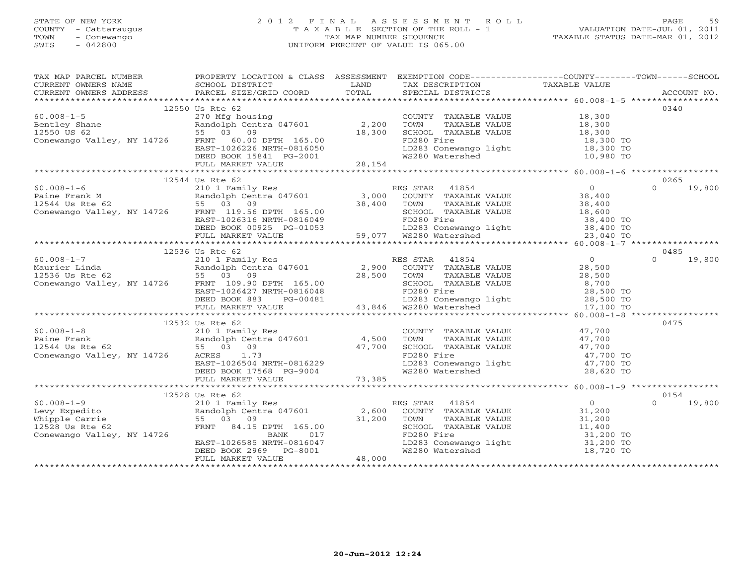# STATE OF NEW YORK 2 0 1 2 F I N A L A S S E S S M E N T R O L L PAGE 59 COUNTY - Cattaraugus T A X A B L E SECTION OF THE ROLL - 1 VALUATION DATE-JUL 01, 2011 TOWN - Conewango TAX MAP NUMBER SEQUENCE TAXABLE STATUS DATE-MAR 01, 2012 SWIS - 042800 UNIFORM PERCENT OF VALUE IS 065.00UNIFORM PERCENT OF VALUE IS 065.00

| TAX MAP PARCEL NUMBER FROPERTY LOCATION & CLASS ASSESSMENT EXEMPTION CODE---------------COUNTY-------TOWN------SCHOOL                                                                                                                                                                                                                                                                                                                       |                 |                                                              |                    |
|---------------------------------------------------------------------------------------------------------------------------------------------------------------------------------------------------------------------------------------------------------------------------------------------------------------------------------------------------------------------------------------------------------------------------------------------|-----------------|--------------------------------------------------------------|--------------------|
|                                                                                                                                                                                                                                                                                                                                                                                                                                             |                 |                                                              |                    |
|                                                                                                                                                                                                                                                                                                                                                                                                                                             |                 |                                                              |                    |
|                                                                                                                                                                                                                                                                                                                                                                                                                                             |                 |                                                              |                    |
|                                                                                                                                                                                                                                                                                                                                                                                                                                             | 12550 Us Rte 62 |                                                              | 0340               |
|                                                                                                                                                                                                                                                                                                                                                                                                                                             |                 |                                                              |                    |
|                                                                                                                                                                                                                                                                                                                                                                                                                                             |                 |                                                              |                    |
|                                                                                                                                                                                                                                                                                                                                                                                                                                             |                 |                                                              |                    |
|                                                                                                                                                                                                                                                                                                                                                                                                                                             |                 |                                                              |                    |
|                                                                                                                                                                                                                                                                                                                                                                                                                                             |                 |                                                              |                    |
|                                                                                                                                                                                                                                                                                                                                                                                                                                             |                 |                                                              |                    |
| $\begin{array}{ccccccccc} 60.008-1-5 & 12550 & 08 K e & 0.008-1-5 & 270 & \text{Mfg housing} & \text{COUNTY TAXABLE VALUE} & 18,300 & 18,300 & 18,300 & 18,300 & 18,300 & 18,300 & 18,300 & 18,300 & 18,300 & 18,300 & 18,300 & 18,300 & 18,300 & 18,300 & 18,300 & 18,300 & 18,300 & 18,300 & 18,300$                                                                                                                                      |                 |                                                              |                    |
|                                                                                                                                                                                                                                                                                                                                                                                                                                             |                 |                                                              |                    |
|                                                                                                                                                                                                                                                                                                                                                                                                                                             | 12544 Us Rte 62 |                                                              | 0265               |
|                                                                                                                                                                                                                                                                                                                                                                                                                                             |                 |                                                              |                    |
|                                                                                                                                                                                                                                                                                                                                                                                                                                             |                 |                                                              |                    |
|                                                                                                                                                                                                                                                                                                                                                                                                                                             |                 |                                                              |                    |
|                                                                                                                                                                                                                                                                                                                                                                                                                                             |                 |                                                              |                    |
|                                                                                                                                                                                                                                                                                                                                                                                                                                             |                 |                                                              |                    |
|                                                                                                                                                                                                                                                                                                                                                                                                                                             |                 |                                                              |                    |
|                                                                                                                                                                                                                                                                                                                                                                                                                                             |                 |                                                              |                    |
|                                                                                                                                                                                                                                                                                                                                                                                                                                             | 12536 Us Rte 62 |                                                              | 0485               |
|                                                                                                                                                                                                                                                                                                                                                                                                                                             |                 |                                                              | $0 \t 19,800$      |
|                                                                                                                                                                                                                                                                                                                                                                                                                                             |                 |                                                              |                    |
|                                                                                                                                                                                                                                                                                                                                                                                                                                             |                 |                                                              |                    |
|                                                                                                                                                                                                                                                                                                                                                                                                                                             |                 |                                                              |                    |
|                                                                                                                                                                                                                                                                                                                                                                                                                                             |                 |                                                              |                    |
|                                                                                                                                                                                                                                                                                                                                                                                                                                             |                 |                                                              |                    |
|                                                                                                                                                                                                                                                                                                                                                                                                                                             |                 |                                                              |                    |
| $\begin{tabular}{lllllllllllll} \multicolumn{3}{l}{{\footnotesize \begin{tabular}{l} \multicolumn{3}{l}{1}}\multicolumn{3}{l}{1}}& \multicolumn{3}{l}{1}\multicolumn{3}{l}{2536} & \multicolumn{3}{l}{088} & \multicolumn{3}{l}{14854} & \multicolumn{3}{l}{088} & \multicolumn{3}{l}{14854} & \multicolumn{3}{l}{088} & \multicolumn{3}{l}{14854} & \multicolumn{3}{l}{088} & \multicolumn{3}{l}{14854} & \multicolumn{3}{l}{088} & \mult$ |                 |                                                              |                    |
|                                                                                                                                                                                                                                                                                                                                                                                                                                             | 12532 Us Rte 62 |                                                              | 0475               |
|                                                                                                                                                                                                                                                                                                                                                                                                                                             |                 |                                                              |                    |
|                                                                                                                                                                                                                                                                                                                                                                                                                                             |                 |                                                              |                    |
|                                                                                                                                                                                                                                                                                                                                                                                                                                             |                 |                                                              |                    |
|                                                                                                                                                                                                                                                                                                                                                                                                                                             |                 |                                                              |                    |
|                                                                                                                                                                                                                                                                                                                                                                                                                                             |                 |                                                              |                    |
|                                                                                                                                                                                                                                                                                                                                                                                                                                             |                 |                                                              |                    |
|                                                                                                                                                                                                                                                                                                                                                                                                                                             |                 |                                                              |                    |
|                                                                                                                                                                                                                                                                                                                                                                                                                                             |                 |                                                              |                    |
|                                                                                                                                                                                                                                                                                                                                                                                                                                             | 12528 Us Rte 62 |                                                              | 0154               |
|                                                                                                                                                                                                                                                                                                                                                                                                                                             |                 |                                                              | 19,800<br>$\Omega$ |
|                                                                                                                                                                                                                                                                                                                                                                                                                                             |                 |                                                              |                    |
|                                                                                                                                                                                                                                                                                                                                                                                                                                             |                 |                                                              |                    |
|                                                                                                                                                                                                                                                                                                                                                                                                                                             |                 | SCHOOL TAXABLE VALUE 11,400<br>FD280 Fire 31,200 TO          |                    |
|                                                                                                                                                                                                                                                                                                                                                                                                                                             |                 |                                                              |                    |
|                                                                                                                                                                                                                                                                                                                                                                                                                                             |                 |                                                              |                    |
|                                                                                                                                                                                                                                                                                                                                                                                                                                             |                 | LD283 Conewango light 31,200 TO<br>WS280 Watershed 18,720 TO |                    |
|                                                                                                                                                                                                                                                                                                                                                                                                                                             |                 |                                                              |                    |
|                                                                                                                                                                                                                                                                                                                                                                                                                                             |                 |                                                              |                    |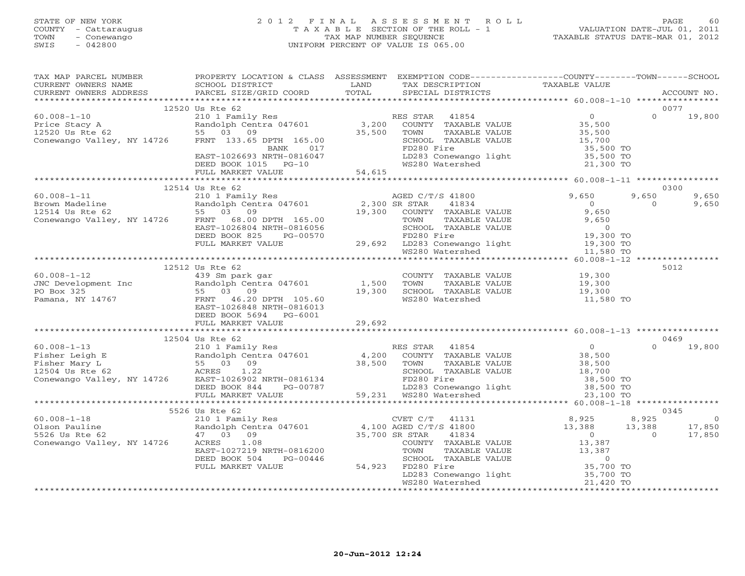# STATE OF NEW YORK 2 0 1 2 F I N A L A S S E S S M E N T R O L L PAGE 60 COUNTY - Cattaraugus T A X A B L E SECTION OF THE ROLL - 1 VALUATION DATE-JUL 01, 2011 TOWN - Conewango TAX MAP NUMBER SEQUENCE TAXABLE STATUS DATE-MAR 01, 2012 SWIS - 042800 UNIFORM PERCENT OF VALUE IS 065.00UNIFORM PERCENT OF VALUE IS 065.00

| TAX MAP PARCEL NUMBER                                                                                                                                                                                                                                                                                                                                                              | PROPERTY LOCATION & CLASS ASSESSMENT EXEMPTION CODE----------------COUNTY-------TOWN------SCHOOL |        |                                                          |                |                                                                                                                                                                                                                                                                                                                                             |
|------------------------------------------------------------------------------------------------------------------------------------------------------------------------------------------------------------------------------------------------------------------------------------------------------------------------------------------------------------------------------------|--------------------------------------------------------------------------------------------------|--------|----------------------------------------------------------|----------------|---------------------------------------------------------------------------------------------------------------------------------------------------------------------------------------------------------------------------------------------------------------------------------------------------------------------------------------------|
|                                                                                                                                                                                                                                                                                                                                                                                    |                                                                                                  | LAND   | TAX DESCRIPTION TAXABLE VALUE                            |                |                                                                                                                                                                                                                                                                                                                                             |
|                                                                                                                                                                                                                                                                                                                                                                                    |                                                                                                  | TOTAL  | SPECIAL DISTRICTS                                        |                | ACCOUNT NO.                                                                                                                                                                                                                                                                                                                                 |
|                                                                                                                                                                                                                                                                                                                                                                                    |                                                                                                  |        |                                                          |                |                                                                                                                                                                                                                                                                                                                                             |
|                                                                                                                                                                                                                                                                                                                                                                                    | 12520 Us Rte 62                                                                                  |        |                                                          |                | 0077                                                                                                                                                                                                                                                                                                                                        |
|                                                                                                                                                                                                                                                                                                                                                                                    |                                                                                                  |        |                                                          |                | 0 19,800                                                                                                                                                                                                                                                                                                                                    |
|                                                                                                                                                                                                                                                                                                                                                                                    |                                                                                                  |        |                                                          |                |                                                                                                                                                                                                                                                                                                                                             |
|                                                                                                                                                                                                                                                                                                                                                                                    |                                                                                                  |        |                                                          |                |                                                                                                                                                                                                                                                                                                                                             |
|                                                                                                                                                                                                                                                                                                                                                                                    |                                                                                                  |        |                                                          |                |                                                                                                                                                                                                                                                                                                                                             |
|                                                                                                                                                                                                                                                                                                                                                                                    |                                                                                                  |        |                                                          |                |                                                                                                                                                                                                                                                                                                                                             |
| 12520 US Rte 62<br>Price Stacy A<br>210 1 Family Res<br>Price Stacy A<br>210 1 Family Res<br>210 1 Family Res<br>210 1 Family Res<br>210 1 Family Res<br>210 1 Family Res<br>210 1 Family Res<br>210 1 Family Res<br>210 1 Family Res<br>210 1 Family                                                                                                                              |                                                                                                  |        |                                                          |                |                                                                                                                                                                                                                                                                                                                                             |
|                                                                                                                                                                                                                                                                                                                                                                                    |                                                                                                  |        |                                                          |                |                                                                                                                                                                                                                                                                                                                                             |
|                                                                                                                                                                                                                                                                                                                                                                                    | FULL MARKET VALUE                                                                                | 54,615 |                                                          |                |                                                                                                                                                                                                                                                                                                                                             |
|                                                                                                                                                                                                                                                                                                                                                                                    |                                                                                                  |        |                                                          |                |                                                                                                                                                                                                                                                                                                                                             |
|                                                                                                                                                                                                                                                                                                                                                                                    |                                                                                                  |        |                                                          |                | 0300                                                                                                                                                                                                                                                                                                                                        |
|                                                                                                                                                                                                                                                                                                                                                                                    |                                                                                                  |        |                                                          |                | 9,650<br>9,650                                                                                                                                                                                                                                                                                                                              |
|                                                                                                                                                                                                                                                                                                                                                                                    |                                                                                                  |        |                                                          |                | $\Omega$<br>9,650                                                                                                                                                                                                                                                                                                                           |
|                                                                                                                                                                                                                                                                                                                                                                                    |                                                                                                  |        |                                                          |                |                                                                                                                                                                                                                                                                                                                                             |
|                                                                                                                                                                                                                                                                                                                                                                                    |                                                                                                  |        |                                                          |                |                                                                                                                                                                                                                                                                                                                                             |
|                                                                                                                                                                                                                                                                                                                                                                                    |                                                                                                  |        |                                                          |                |                                                                                                                                                                                                                                                                                                                                             |
|                                                                                                                                                                                                                                                                                                                                                                                    |                                                                                                  |        |                                                          |                |                                                                                                                                                                                                                                                                                                                                             |
|                                                                                                                                                                                                                                                                                                                                                                                    |                                                                                                  |        |                                                          |                |                                                                                                                                                                                                                                                                                                                                             |
|                                                                                                                                                                                                                                                                                                                                                                                    |                                                                                                  |        |                                                          |                |                                                                                                                                                                                                                                                                                                                                             |
|                                                                                                                                                                                                                                                                                                                                                                                    |                                                                                                  |        |                                                          |                |                                                                                                                                                                                                                                                                                                                                             |
|                                                                                                                                                                                                                                                                                                                                                                                    |                                                                                                  |        |                                                          |                | 5012                                                                                                                                                                                                                                                                                                                                        |
| $\begin{tabular}{lllllllllllll} 60.008-1-12 & & & & & 439\;Sm\;park\;gar & & & & \mbox{COUNTY\; TAXABLE VALUE}\\ JNC\;Development\;Inc & & & Random\;Centra\;047601 & & & 1,500\;TOWN & TAXABLE VALUE\\ PO\;Box\;325 & & & 55\;03\;09 & & & 19,300\;SCHOOL\; TAXABLE VALUE\\ Pamana,\;NY\;14767 & & & FRTT & 46.20\;DPTH\;105.60 & & & & \mbox{WS280\;Water shed}\\ \end{tabular}$ |                                                                                                  |        | COUNTY TAXABLE VALUE 19,300<br>TOWN TAXABLE VALUE 19,300 |                |                                                                                                                                                                                                                                                                                                                                             |
|                                                                                                                                                                                                                                                                                                                                                                                    |                                                                                                  |        |                                                          |                |                                                                                                                                                                                                                                                                                                                                             |
|                                                                                                                                                                                                                                                                                                                                                                                    |                                                                                                  |        |                                                          | 19,300         |                                                                                                                                                                                                                                                                                                                                             |
|                                                                                                                                                                                                                                                                                                                                                                                    |                                                                                                  |        |                                                          | 11,580 TO      |                                                                                                                                                                                                                                                                                                                                             |
|                                                                                                                                                                                                                                                                                                                                                                                    | EAST-1026848 NRTH-0816013                                                                        |        |                                                          |                |                                                                                                                                                                                                                                                                                                                                             |
|                                                                                                                                                                                                                                                                                                                                                                                    | DEED BOOK 5694 PG-6001                                                                           |        |                                                          |                |                                                                                                                                                                                                                                                                                                                                             |
|                                                                                                                                                                                                                                                                                                                                                                                    |                                                                                                  |        |                                                          |                |                                                                                                                                                                                                                                                                                                                                             |
|                                                                                                                                                                                                                                                                                                                                                                                    |                                                                                                  |        |                                                          |                |                                                                                                                                                                                                                                                                                                                                             |
|                                                                                                                                                                                                                                                                                                                                                                                    | 12504 Us Rte 62                                                                                  |        |                                                          |                | 0469                                                                                                                                                                                                                                                                                                                                        |
| $60.008 - 1 - 13$                                                                                                                                                                                                                                                                                                                                                                  | 210 1 Family Res                                                                                 |        | RES STAR 41854                                           | $\overline{0}$ | $0 \t 19,800$                                                                                                                                                                                                                                                                                                                               |
|                                                                                                                                                                                                                                                                                                                                                                                    |                                                                                                  |        |                                                          |                |                                                                                                                                                                                                                                                                                                                                             |
|                                                                                                                                                                                                                                                                                                                                                                                    |                                                                                                  |        |                                                          |                |                                                                                                                                                                                                                                                                                                                                             |
|                                                                                                                                                                                                                                                                                                                                                                                    |                                                                                                  |        |                                                          |                |                                                                                                                                                                                                                                                                                                                                             |
|                                                                                                                                                                                                                                                                                                                                                                                    |                                                                                                  |        |                                                          |                |                                                                                                                                                                                                                                                                                                                                             |
|                                                                                                                                                                                                                                                                                                                                                                                    |                                                                                                  |        |                                                          |                |                                                                                                                                                                                                                                                                                                                                             |
|                                                                                                                                                                                                                                                                                                                                                                                    |                                                                                                  |        |                                                          |                |                                                                                                                                                                                                                                                                                                                                             |
|                                                                                                                                                                                                                                                                                                                                                                                    |                                                                                                  |        |                                                          |                |                                                                                                                                                                                                                                                                                                                                             |
|                                                                                                                                                                                                                                                                                                                                                                                    | 5526 Us Rte 62                                                                                   |        |                                                          |                | 0345                                                                                                                                                                                                                                                                                                                                        |
|                                                                                                                                                                                                                                                                                                                                                                                    |                                                                                                  |        | CVET C/T 41131                                           | 8,925          | 8,925<br>$\overline{a}$ and $\overline{a}$ and $\overline{a}$ and $\overline{a}$ and $\overline{a}$ and $\overline{a}$ and $\overline{a}$ and $\overline{a}$ and $\overline{a}$ and $\overline{a}$ and $\overline{a}$ and $\overline{a}$ and $\overline{a}$ and $\overline{a}$ and $\overline{a}$ and $\overline{a}$ and $\overline{a}$ and |
|                                                                                                                                                                                                                                                                                                                                                                                    |                                                                                                  |        |                                                          |                | 13,388 17,850<br>0 17,850                                                                                                                                                                                                                                                                                                                   |
|                                                                                                                                                                                                                                                                                                                                                                                    |                                                                                                  |        |                                                          | 13,388         | $\overline{0}$                                                                                                                                                                                                                                                                                                                              |
|                                                                                                                                                                                                                                                                                                                                                                                    |                                                                                                  |        | COUNTY TAXABLE VALUE                                     | 13,387         |                                                                                                                                                                                                                                                                                                                                             |
|                                                                                                                                                                                                                                                                                                                                                                                    |                                                                                                  |        |                                                          |                |                                                                                                                                                                                                                                                                                                                                             |
|                                                                                                                                                                                                                                                                                                                                                                                    |                                                                                                  |        |                                                          |                |                                                                                                                                                                                                                                                                                                                                             |
|                                                                                                                                                                                                                                                                                                                                                                                    |                                                                                                  |        |                                                          |                |                                                                                                                                                                                                                                                                                                                                             |
|                                                                                                                                                                                                                                                                                                                                                                                    |                                                                                                  |        |                                                          |                |                                                                                                                                                                                                                                                                                                                                             |
|                                                                                                                                                                                                                                                                                                                                                                                    |                                                                                                  |        |                                                          |                |                                                                                                                                                                                                                                                                                                                                             |
|                                                                                                                                                                                                                                                                                                                                                                                    |                                                                                                  |        |                                                          |                |                                                                                                                                                                                                                                                                                                                                             |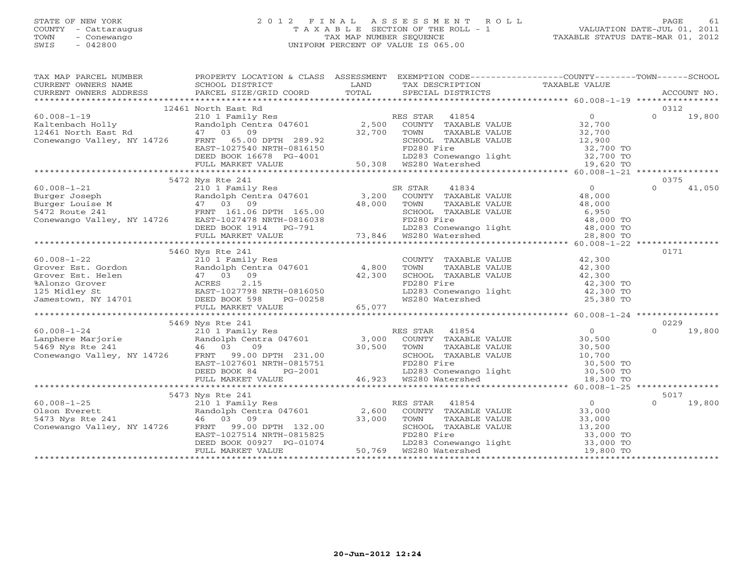# STATE OF NEW YORK 2 0 1 2 F I N A L A S S E S S M E N T R O L L PAGE 61 COUNTY - Cattaraugus T A X A B L E SECTION OF THE ROLL - 1 VALUATION DATE-JUL 01, 2011 TOWN - Conewango TAX MAP NUMBER SEQUENCE TAXABLE STATUS DATE-MAR 01, 2012 SWIS - 042800 UNIFORM PERCENT OF VALUE IS 065.00UNIFORM PERCENT OF VALUE IS 065.00

| TAX MAP PARCEL NUMBER PROPERTY LOCATION & CLASS ASSESSMENT EXEMPTION CODE--------------COUNTY-------TOWN------SCHOOL                                                                                                                                                                                                                                                                                             |                     |  |               |
|------------------------------------------------------------------------------------------------------------------------------------------------------------------------------------------------------------------------------------------------------------------------------------------------------------------------------------------------------------------------------------------------------------------|---------------------|--|---------------|
|                                                                                                                                                                                                                                                                                                                                                                                                                  |                     |  |               |
|                                                                                                                                                                                                                                                                                                                                                                                                                  |                     |  |               |
|                                                                                                                                                                                                                                                                                                                                                                                                                  |                     |  |               |
|                                                                                                                                                                                                                                                                                                                                                                                                                  | 12461 North East Rd |  | 0312          |
|                                                                                                                                                                                                                                                                                                                                                                                                                  |                     |  |               |
|                                                                                                                                                                                                                                                                                                                                                                                                                  |                     |  |               |
|                                                                                                                                                                                                                                                                                                                                                                                                                  |                     |  |               |
|                                                                                                                                                                                                                                                                                                                                                                                                                  |                     |  |               |
|                                                                                                                                                                                                                                                                                                                                                                                                                  |                     |  |               |
|                                                                                                                                                                                                                                                                                                                                                                                                                  |                     |  |               |
|                                                                                                                                                                                                                                                                                                                                                                                                                  |                     |  |               |
| $\begin{tabular}{lllllllllllllll} \multicolumn{3}{c}{\begin{tabular}{lcccccc} 60.008-1-19 & 12461 North East Rd & 0312 \\ 210 1 & Family Res & 0312 \\ 210 1 & Family Res & 2,500 & COUNTY & TAXABLE VALUE & 32,700 \\ 12461 North East Rd & 47 & 03 & 09 & 32,700 & TOWN & TAXABLE VALUE & 32,700 \\ 12461 North East Rd & 47 & 03 & 09 & 32,700 & TOWN & TAXABLE VALUE & 32,700 \\ 21461 North East Rd & 47 &$ |                     |  |               |
|                                                                                                                                                                                                                                                                                                                                                                                                                  | 5472 Nys Rte 241    |  | 0375          |
|                                                                                                                                                                                                                                                                                                                                                                                                                  |                     |  | 41,050        |
|                                                                                                                                                                                                                                                                                                                                                                                                                  |                     |  |               |
|                                                                                                                                                                                                                                                                                                                                                                                                                  |                     |  |               |
|                                                                                                                                                                                                                                                                                                                                                                                                                  |                     |  |               |
|                                                                                                                                                                                                                                                                                                                                                                                                                  |                     |  |               |
|                                                                                                                                                                                                                                                                                                                                                                                                                  |                     |  |               |
|                                                                                                                                                                                                                                                                                                                                                                                                                  |                     |  |               |
|                                                                                                                                                                                                                                                                                                                                                                                                                  |                     |  |               |
|                                                                                                                                                                                                                                                                                                                                                                                                                  | 5460 Nys Rte 241    |  | 0171          |
|                                                                                                                                                                                                                                                                                                                                                                                                                  |                     |  |               |
|                                                                                                                                                                                                                                                                                                                                                                                                                  |                     |  |               |
|                                                                                                                                                                                                                                                                                                                                                                                                                  |                     |  |               |
|                                                                                                                                                                                                                                                                                                                                                                                                                  |                     |  |               |
|                                                                                                                                                                                                                                                                                                                                                                                                                  |                     |  |               |
|                                                                                                                                                                                                                                                                                                                                                                                                                  |                     |  |               |
|                                                                                                                                                                                                                                                                                                                                                                                                                  |                     |  |               |
|                                                                                                                                                                                                                                                                                                                                                                                                                  |                     |  |               |
|                                                                                                                                                                                                                                                                                                                                                                                                                  | 5469 Nys Rte 241    |  | 0229          |
|                                                                                                                                                                                                                                                                                                                                                                                                                  |                     |  |               |
|                                                                                                                                                                                                                                                                                                                                                                                                                  |                     |  |               |
|                                                                                                                                                                                                                                                                                                                                                                                                                  |                     |  |               |
|                                                                                                                                                                                                                                                                                                                                                                                                                  |                     |  |               |
|                                                                                                                                                                                                                                                                                                                                                                                                                  |                     |  |               |
|                                                                                                                                                                                                                                                                                                                                                                                                                  |                     |  |               |
|                                                                                                                                                                                                                                                                                                                                                                                                                  |                     |  |               |
|                                                                                                                                                                                                                                                                                                                                                                                                                  |                     |  |               |
|                                                                                                                                                                                                                                                                                                                                                                                                                  | 5473 Nys Rte 241    |  |               |
|                                                                                                                                                                                                                                                                                                                                                                                                                  |                     |  | $0 \t 19,800$ |
|                                                                                                                                                                                                                                                                                                                                                                                                                  |                     |  |               |
|                                                                                                                                                                                                                                                                                                                                                                                                                  |                     |  |               |
|                                                                                                                                                                                                                                                                                                                                                                                                                  |                     |  |               |
|                                                                                                                                                                                                                                                                                                                                                                                                                  |                     |  |               |
|                                                                                                                                                                                                                                                                                                                                                                                                                  |                     |  |               |
| $\begin{array}{lllllllllllllllllllllll} \text{5473 }\text{Nys }\text{Rte } 241 & 5017\\ \text{OLSon Everett} & 210&10\text{ Fami 1y }\text{Res} & \text{RES }\text{STAR} & 41854 & 5017\\ \text{OLSon Everett} & 210&10\text{ Fami 1y }\text{Res} & 5017\\ \text{OLSon Everett} & 0 & 0 & 19\text{ }\text{RMS} & 5017\\ \text{S473 }\text{Nys }\text{Rte } 241 & 46 & 03 & 09\\ \text{Conewango Valley$          |                     |  |               |
|                                                                                                                                                                                                                                                                                                                                                                                                                  |                     |  |               |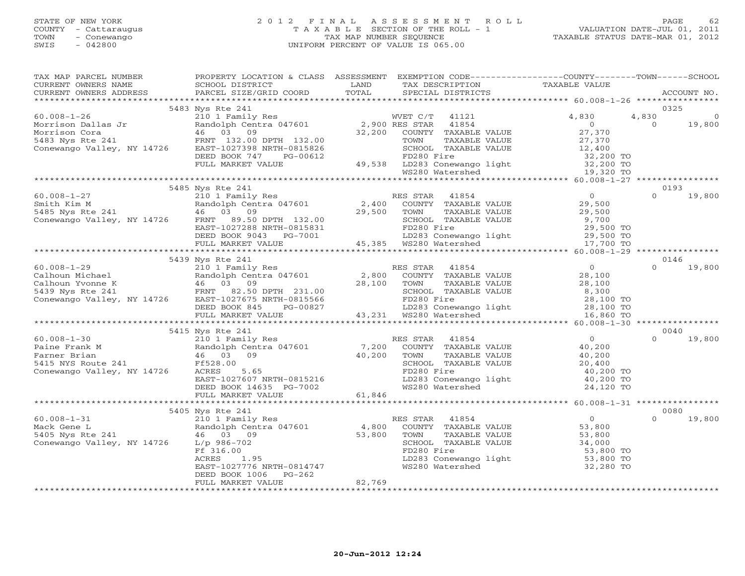# STATE OF NEW YORK 2 0 1 2 F I N A L A S S E S S M E N T R O L L PAGE 62 COUNTY - Cattaraugus T A X A B L E SECTION OF THE ROLL - 1 VALUATION DATE-JUL 01, 2011 TOWN - Conewango TAX MAP NUMBER SEQUENCE TAXABLE STATUS DATE-MAR 01, 2012 SWIS - 042800 UNIFORM PERCENT OF VALUE IS 065.00UNIFORM PERCENT OF VALUE IS 065.00

| TAX MAP PARCEL NUMBER                                                                                                                                                                                                                                                                           | PROPERTY LOCATION & CLASS ASSESSMENT EXEMPTION CODE----------------COUNTY-------TOWN------SCHOOL |      |                   |                                                                                                                       |                         |
|-------------------------------------------------------------------------------------------------------------------------------------------------------------------------------------------------------------------------------------------------------------------------------------------------|--------------------------------------------------------------------------------------------------|------|-------------------|-----------------------------------------------------------------------------------------------------------------------|-------------------------|
| CURRENT OWNERS NAME                                                                                                                                                                                                                                                                             | SCHOOL DISTRICT                                                                                  | LAND |                   | TAX DESCRIPTION TAXABLE VALUE SPECIAL DISTRICTS                                                                       |                         |
|                                                                                                                                                                                                                                                                                                 |                                                                                                  |      | SPECIAL DISTRICTS |                                                                                                                       | ACCOUNT NO.             |
|                                                                                                                                                                                                                                                                                                 |                                                                                                  |      |                   |                                                                                                                       |                         |
|                                                                                                                                                                                                                                                                                                 |                                                                                                  |      |                   |                                                                                                                       | 0325                    |
|                                                                                                                                                                                                                                                                                                 |                                                                                                  |      |                   |                                                                                                                       | 4,830<br>$\overline{0}$ |
|                                                                                                                                                                                                                                                                                                 |                                                                                                  |      |                   |                                                                                                                       | 19,800                  |
|                                                                                                                                                                                                                                                                                                 |                                                                                                  |      |                   |                                                                                                                       |                         |
|                                                                                                                                                                                                                                                                                                 |                                                                                                  |      |                   |                                                                                                                       |                         |
|                                                                                                                                                                                                                                                                                                 |                                                                                                  |      |                   |                                                                                                                       |                         |
|                                                                                                                                                                                                                                                                                                 |                                                                                                  |      |                   |                                                                                                                       |                         |
|                                                                                                                                                                                                                                                                                                 |                                                                                                  |      |                   |                                                                                                                       |                         |
|                                                                                                                                                                                                                                                                                                 |                                                                                                  |      |                   |                                                                                                                       |                         |
|                                                                                                                                                                                                                                                                                                 |                                                                                                  |      |                   |                                                                                                                       |                         |
|                                                                                                                                                                                                                                                                                                 | 5485 Nys Rte 241                                                                                 |      |                   |                                                                                                                       | 0193                    |
| $\begin{tabular}{lllllllllllllllllllll} \hline 60.008-1-27 & \mbox{0.008--1$--27} & 2101 Finally Res & 0.008-1-27 & 21011 Finally Res & 0.008-1-27 & 21011.82.00 & 0.008-1-27 & 0.008-1-27 & 0.008-1-27 & 0.008-1-27 & 0.008-1-27 & 0.008-1-27 & 0.008-1-27 & 0.008-1-27 & 0.008-1-27 & 0.008-$ |                                                                                                  |      |                   |                                                                                                                       | $\Omega$<br>19,800      |
|                                                                                                                                                                                                                                                                                                 |                                                                                                  |      |                   |                                                                                                                       |                         |
|                                                                                                                                                                                                                                                                                                 |                                                                                                  |      |                   |                                                                                                                       |                         |
|                                                                                                                                                                                                                                                                                                 |                                                                                                  |      |                   |                                                                                                                       |                         |
|                                                                                                                                                                                                                                                                                                 |                                                                                                  |      |                   |                                                                                                                       |                         |
|                                                                                                                                                                                                                                                                                                 |                                                                                                  |      |                   |                                                                                                                       |                         |
|                                                                                                                                                                                                                                                                                                 |                                                                                                  |      |                   |                                                                                                                       |                         |
|                                                                                                                                                                                                                                                                                                 |                                                                                                  |      |                   |                                                                                                                       |                         |
|                                                                                                                                                                                                                                                                                                 |                                                                                                  |      |                   |                                                                                                                       |                         |
|                                                                                                                                                                                                                                                                                                 | 5439 Nys Rte 241                                                                                 |      |                   |                                                                                                                       | 0146                    |
|                                                                                                                                                                                                                                                                                                 |                                                                                                  |      |                   |                                                                                                                       | $\Omega$<br>19,800      |
|                                                                                                                                                                                                                                                                                                 |                                                                                                  |      |                   |                                                                                                                       |                         |
|                                                                                                                                                                                                                                                                                                 |                                                                                                  |      |                   |                                                                                                                       |                         |
|                                                                                                                                                                                                                                                                                                 |                                                                                                  |      |                   |                                                                                                                       |                         |
|                                                                                                                                                                                                                                                                                                 |                                                                                                  |      |                   |                                                                                                                       |                         |
|                                                                                                                                                                                                                                                                                                 |                                                                                                  |      |                   |                                                                                                                       |                         |
|                                                                                                                                                                                                                                                                                                 |                                                                                                  |      |                   |                                                                                                                       |                         |
|                                                                                                                                                                                                                                                                                                 |                                                                                                  |      |                   |                                                                                                                       |                         |
|                                                                                                                                                                                                                                                                                                 | 5415 Nys Rte 241                                                                                 |      |                   |                                                                                                                       | 0040                    |
|                                                                                                                                                                                                                                                                                                 |                                                                                                  |      |                   |                                                                                                                       | $\Omega$<br>19,800      |
|                                                                                                                                                                                                                                                                                                 |                                                                                                  |      |                   |                                                                                                                       |                         |
|                                                                                                                                                                                                                                                                                                 |                                                                                                  |      |                   |                                                                                                                       |                         |
|                                                                                                                                                                                                                                                                                                 |                                                                                                  |      |                   |                                                                                                                       |                         |
|                                                                                                                                                                                                                                                                                                 |                                                                                                  |      |                   |                                                                                                                       |                         |
|                                                                                                                                                                                                                                                                                                 |                                                                                                  |      |                   |                                                                                                                       |                         |
|                                                                                                                                                                                                                                                                                                 |                                                                                                  |      |                   |                                                                                                                       |                         |
|                                                                                                                                                                                                                                                                                                 |                                                                                                  |      |                   |                                                                                                                       |                         |
|                                                                                                                                                                                                                                                                                                 |                                                                                                  |      |                   |                                                                                                                       |                         |
|                                                                                                                                                                                                                                                                                                 | 5405 Nys Rte 241                                                                                 |      |                   |                                                                                                                       | 0080                    |
|                                                                                                                                                                                                                                                                                                 |                                                                                                  |      |                   |                                                                                                                       | $\Omega$<br>19,800      |
|                                                                                                                                                                                                                                                                                                 |                                                                                                  |      |                   |                                                                                                                       |                         |
|                                                                                                                                                                                                                                                                                                 |                                                                                                  |      |                   |                                                                                                                       |                         |
|                                                                                                                                                                                                                                                                                                 |                                                                                                  |      |                   |                                                                                                                       |                         |
| 3403 Nack Gene L<br>Mack Gene L<br>Mack Gene L<br>210 1 Family Res<br>Mack Gene L<br>210 1 Family Res<br>210 1 Family Res<br>210 1 Family Res<br>210 1 Family Res<br>210 1 Family Res<br>210 1 Family Res<br>210 1 Family Res<br>210 1 Family Res<br>210                                        |                                                                                                  |      |                   | SCHOOL TAXABLE VALUE $34,000$<br>FD280 Fire 53,800 TO<br>LD283 Conewango light 53,800 TO<br>WS280 Watershed 32,280 TO |                         |
|                                                                                                                                                                                                                                                                                                 |                                                                                                  |      |                   |                                                                                                                       |                         |
|                                                                                                                                                                                                                                                                                                 |                                                                                                  |      |                   |                                                                                                                       |                         |
|                                                                                                                                                                                                                                                                                                 |                                                                                                  |      |                   |                                                                                                                       |                         |
|                                                                                                                                                                                                                                                                                                 |                                                                                                  |      |                   |                                                                                                                       |                         |
|                                                                                                                                                                                                                                                                                                 |                                                                                                  |      |                   |                                                                                                                       |                         |
|                                                                                                                                                                                                                                                                                                 |                                                                                                  |      |                   |                                                                                                                       |                         |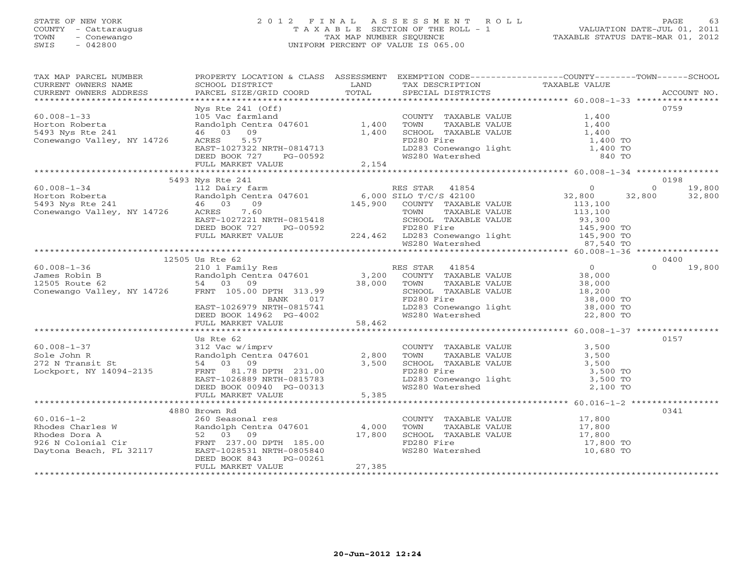# STATE OF NEW YORK 2 0 1 2 F I N A L A S S E S S M E N T R O L L PAGE 63 COUNTY - Cattaraugus T A X A B L E SECTION OF THE ROLL - 1 VALUATION DATE-JUL 01, 2011 TOWN - Conewango TAX MAP NUMBER SEQUENCE TAXABLE STATUS DATE-MAR 01, 2012 SWIS - 042800 UNIFORM PERCENT OF VALUE IS 065.00UNIFORM PERCENT OF VALUE IS 065.00

| TAX MAP PARCEL NUMBER                                                                                                                                                                                                                                                                                                                                | PROPERTY LOCATION & CLASS ASSESSMENT EXEMPTION CODE----------------COUNTY-------TOWN------SCHOOL |  |               |
|------------------------------------------------------------------------------------------------------------------------------------------------------------------------------------------------------------------------------------------------------------------------------------------------------------------------------------------------------|--------------------------------------------------------------------------------------------------|--|---------------|
|                                                                                                                                                                                                                                                                                                                                                      |                                                                                                  |  |               |
|                                                                                                                                                                                                                                                                                                                                                      |                                                                                                  |  |               |
|                                                                                                                                                                                                                                                                                                                                                      |                                                                                                  |  |               |
|                                                                                                                                                                                                                                                                                                                                                      | Nys Rte 241 (Off)                                                                                |  | 0759          |
|                                                                                                                                                                                                                                                                                                                                                      |                                                                                                  |  |               |
|                                                                                                                                                                                                                                                                                                                                                      |                                                                                                  |  |               |
|                                                                                                                                                                                                                                                                                                                                                      |                                                                                                  |  |               |
|                                                                                                                                                                                                                                                                                                                                                      |                                                                                                  |  |               |
|                                                                                                                                                                                                                                                                                                                                                      |                                                                                                  |  |               |
|                                                                                                                                                                                                                                                                                                                                                      |                                                                                                  |  |               |
|                                                                                                                                                                                                                                                                                                                                                      |                                                                                                  |  |               |
|                                                                                                                                                                                                                                                                                                                                                      |                                                                                                  |  |               |
|                                                                                                                                                                                                                                                                                                                                                      | 5493 Nys Rte 241                                                                                 |  | 0198          |
| $\begin{tabular}{lllllllllllllllllllll} \multicolumn{3}{c }{5493\tinys\hspace{0.1cm}Nys\hspace{0.1cm}Rte\hspace{0.1cm}241 & 120\tinya\hspace{0.1cm}198 & 198\tinya\hspace{0.1cm}198 & 199\tinya\hspace{0.1cm}199 & 199\tinya\hspace{0.1cm}199 & 199\tinya\hspace{0.1cm}199 & 199\tinya\hspace{0.1cm}199 & 199\tinya\hspace{0.1cm}199 & 199\tinya\hs$ |                                                                                                  |  |               |
|                                                                                                                                                                                                                                                                                                                                                      |                                                                                                  |  |               |
|                                                                                                                                                                                                                                                                                                                                                      |                                                                                                  |  |               |
|                                                                                                                                                                                                                                                                                                                                                      |                                                                                                  |  |               |
|                                                                                                                                                                                                                                                                                                                                                      |                                                                                                  |  |               |
|                                                                                                                                                                                                                                                                                                                                                      |                                                                                                  |  |               |
|                                                                                                                                                                                                                                                                                                                                                      |                                                                                                  |  |               |
|                                                                                                                                                                                                                                                                                                                                                      |                                                                                                  |  |               |
|                                                                                                                                                                                                                                                                                                                                                      |                                                                                                  |  |               |
|                                                                                                                                                                                                                                                                                                                                                      | 12505 Us Rte 62                                                                                  |  | 0400          |
|                                                                                                                                                                                                                                                                                                                                                      |                                                                                                  |  | $0 \t 19,800$ |
|                                                                                                                                                                                                                                                                                                                                                      |                                                                                                  |  |               |
|                                                                                                                                                                                                                                                                                                                                                      |                                                                                                  |  |               |
|                                                                                                                                                                                                                                                                                                                                                      |                                                                                                  |  |               |
|                                                                                                                                                                                                                                                                                                                                                      |                                                                                                  |  |               |
|                                                                                                                                                                                                                                                                                                                                                      |                                                                                                  |  |               |
|                                                                                                                                                                                                                                                                                                                                                      |                                                                                                  |  |               |
| $\begin{tabular}{lllllllllllllllllllllll} \mbox{\small{12505 US Kte & 62} & 12505 US Kte & 62 & 210 & 1250 & 1250 & 1250 & 1250 & 1250 & 1250 & 1250 & 1250 & 1250 & 1250 & 1250 & 1250 & 1250 & 1250 & 1250 & 1250 & 1250 & 1250 & 1250 & 1250 & 1250 & 1250 & 1250 & 1250 & 1250 & 1250 & 1250 &$                                                  |                                                                                                  |  |               |
|                                                                                                                                                                                                                                                                                                                                                      |                                                                                                  |  |               |
|                                                                                                                                                                                                                                                                                                                                                      | Us Rte 62                                                                                        |  | 0157          |
|                                                                                                                                                                                                                                                                                                                                                      |                                                                                                  |  |               |
|                                                                                                                                                                                                                                                                                                                                                      |                                                                                                  |  |               |
|                                                                                                                                                                                                                                                                                                                                                      |                                                                                                  |  |               |
|                                                                                                                                                                                                                                                                                                                                                      |                                                                                                  |  |               |
|                                                                                                                                                                                                                                                                                                                                                      |                                                                                                  |  |               |
|                                                                                                                                                                                                                                                                                                                                                      |                                                                                                  |  |               |
|                                                                                                                                                                                                                                                                                                                                                      |                                                                                                  |  |               |
|                                                                                                                                                                                                                                                                                                                                                      |                                                                                                  |  |               |
|                                                                                                                                                                                                                                                                                                                                                      | 4880 Brown Rd                                                                                    |  | 0341          |
|                                                                                                                                                                                                                                                                                                                                                      |                                                                                                  |  |               |
|                                                                                                                                                                                                                                                                                                                                                      |                                                                                                  |  |               |
|                                                                                                                                                                                                                                                                                                                                                      |                                                                                                  |  |               |
|                                                                                                                                                                                                                                                                                                                                                      |                                                                                                  |  |               |
|                                                                                                                                                                                                                                                                                                                                                      |                                                                                                  |  |               |
|                                                                                                                                                                                                                                                                                                                                                      |                                                                                                  |  |               |
|                                                                                                                                                                                                                                                                                                                                                      |                                                                                                  |  |               |
|                                                                                                                                                                                                                                                                                                                                                      |                                                                                                  |  |               |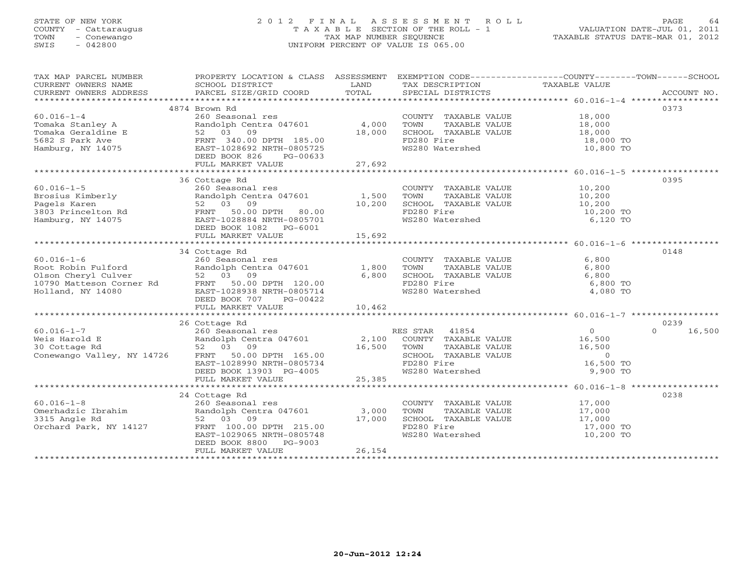# STATE OF NEW YORK 2 0 1 2 F I N A L A S S E S S M E N T R O L L PAGE 64 COUNTY - Cattaraugus T A X A B L E SECTION OF THE ROLL - 1 VALUATION DATE-JUL 01, 2011 TOWN - Conewango TAX MAP NUMBER SEQUENCE TAXABLE STATUS DATE-MAR 01, 2012 SWIS - 042800 UNIFORM PERCENT OF VALUE IS 065.00UNIFORM PERCENT OF VALUE IS 065.00

| TAX MAP PARCEL NUMBER | PROPERTY LOCATION & CLASS ASSESSMENT EXEMPTION CODE----------------COUNTY-------TOWN------SCHOOL                                                                                                                                                                                                                                                                                                                                |        |                                                       |                                              |        |
|-----------------------|---------------------------------------------------------------------------------------------------------------------------------------------------------------------------------------------------------------------------------------------------------------------------------------------------------------------------------------------------------------------------------------------------------------------------------|--------|-------------------------------------------------------|----------------------------------------------|--------|
|                       |                                                                                                                                                                                                                                                                                                                                                                                                                                 |        |                                                       |                                              |        |
|                       |                                                                                                                                                                                                                                                                                                                                                                                                                                 |        |                                                       |                                              |        |
|                       |                                                                                                                                                                                                                                                                                                                                                                                                                                 |        |                                                       |                                              |        |
|                       | 4874 Brown Rd                                                                                                                                                                                                                                                                                                                                                                                                                   |        |                                                       |                                              | 0373   |
| $60.016 - 1 - 4$      | 260 Seasonal res                                                                                                                                                                                                                                                                                                                                                                                                                |        | COUNTY TAXABLE VALUE 18,000                           |                                              |        |
|                       | Randolph Centra $047601$ 4,000                                                                                                                                                                                                                                                                                                                                                                                                  |        |                                                       |                                              |        |
|                       |                                                                                                                                                                                                                                                                                                                                                                                                                                 | 18,000 |                                                       |                                              |        |
|                       |                                                                                                                                                                                                                                                                                                                                                                                                                                 |        | FD280 Fire                                            | 18,000 TO<br>10,800 TO                       |        |
|                       |                                                                                                                                                                                                                                                                                                                                                                                                                                 |        | WS280 Watershed                                       |                                              |        |
|                       |                                                                                                                                                                                                                                                                                                                                                                                                                                 |        |                                                       |                                              |        |
|                       |                                                                                                                                                                                                                                                                                                                                                                                                                                 | 27,692 |                                                       |                                              |        |
|                       |                                                                                                                                                                                                                                                                                                                                                                                                                                 |        |                                                       |                                              |        |
|                       | 36 Cottage Rd<br>$\begin{array}{lllllllllllllllllll} \text{60.016--1-5} & & & \text{260 Second} & \text{res} \\\text{Brosius Kimberly} & & & \text{RandomT} & \text{RandomT} & \text{R} & \text{300} \\\text{Pagels Karen} & & & \text{52} & 03 & 09 & 10,200 \\\text{3803 Princeton Rd} & & & \text{FRNT} & 50.00 DPTH & 80.00 \\\text{Hamburg, NY 14075} & & & \text{EAST-1028884 NRTH-0805701} & & & \text{5692} \\\text{20$ |        |                                                       |                                              | 0395   |
|                       |                                                                                                                                                                                                                                                                                                                                                                                                                                 |        | COUNTY TAXABLE VALUE 10,200                           |                                              |        |
|                       |                                                                                                                                                                                                                                                                                                                                                                                                                                 |        | TOWN<br>TAXABLE VALUE                                 | 10,200                                       |        |
|                       |                                                                                                                                                                                                                                                                                                                                                                                                                                 |        | SCHOOL TAXABLE VALUE 10,200                           |                                              |        |
|                       |                                                                                                                                                                                                                                                                                                                                                                                                                                 |        | FD280 Fire                                            | $10,200$ TO                                  |        |
|                       |                                                                                                                                                                                                                                                                                                                                                                                                                                 |        | WS280 Watershed                                       | 6,120 TO                                     |        |
|                       |                                                                                                                                                                                                                                                                                                                                                                                                                                 |        |                                                       |                                              |        |
|                       |                                                                                                                                                                                                                                                                                                                                                                                                                                 |        |                                                       |                                              |        |
|                       | 34 Cottage Rd                                                                                                                                                                                                                                                                                                                                                                                                                   |        |                                                       |                                              | 0148   |
|                       |                                                                                                                                                                                                                                                                                                                                                                                                                                 |        |                                                       |                                              |        |
|                       |                                                                                                                                                                                                                                                                                                                                                                                                                                 |        |                                                       |                                              |        |
|                       |                                                                                                                                                                                                                                                                                                                                                                                                                                 |        |                                                       |                                              |        |
|                       |                                                                                                                                                                                                                                                                                                                                                                                                                                 |        |                                                       |                                              |        |
|                       |                                                                                                                                                                                                                                                                                                                                                                                                                                 |        |                                                       |                                              |        |
|                       |                                                                                                                                                                                                                                                                                                                                                                                                                                 |        |                                                       |                                              |        |
|                       |                                                                                                                                                                                                                                                                                                                                                                                                                                 | 10,462 |                                                       |                                              |        |
|                       |                                                                                                                                                                                                                                                                                                                                                                                                                                 |        |                                                       |                                              |        |
|                       | 26 Cottage Rd                                                                                                                                                                                                                                                                                                                                                                                                                   |        |                                                       |                                              | 0239   |
|                       |                                                                                                                                                                                                                                                                                                                                                                                                                                 |        |                                                       | $\Omega$                                     | 16,500 |
|                       |                                                                                                                                                                                                                                                                                                                                                                                                                                 |        |                                                       |                                              |        |
|                       |                                                                                                                                                                                                                                                                                                                                                                                                                                 |        |                                                       |                                              |        |
|                       |                                                                                                                                                                                                                                                                                                                                                                                                                                 |        |                                                       |                                              |        |
|                       |                                                                                                                                                                                                                                                                                                                                                                                                                                 |        |                                                       | 16,500 TO                                    |        |
|                       | $\begin{array}{lllllllllllllllllllll} \text{60.016--1--7} & \text{26 Cottage Rd} & \text{260 Seasonal res} & \text{RES STAR} & 41854 & 0 \\ \text{Weis Harold E} & \text{Randomedoph} & \text{Rnoddbh} & \text{Rnoddbh} & \text{Rnoddbh} & \text{16,500} & \text{16,500} & \text{16,500} & \text{16,500} & \text{16,500} & \text{16,500} & \text{16,500} & \text{16,500} & \text{16,500} & \text$                               |        |                                                       | 9,900 TO                                     |        |
|                       |                                                                                                                                                                                                                                                                                                                                                                                                                                 |        |                                                       |                                              |        |
|                       |                                                                                                                                                                                                                                                                                                                                                                                                                                 |        |                                                       |                                              |        |
|                       | 24 Cottage Rd                                                                                                                                                                                                                                                                                                                                                                                                                   |        |                                                       |                                              | 0238   |
|                       |                                                                                                                                                                                                                                                                                                                                                                                                                                 |        | COUNTY TAXABLE VALUE 17,000                           |                                              |        |
|                       |                                                                                                                                                                                                                                                                                                                                                                                                                                 |        | TOWN                                                  |                                              |        |
|                       |                                                                                                                                                                                                                                                                                                                                                                                                                                 |        |                                                       | TAXABLE VALUE 17,000<br>TAXABLE VALUE 17,000 |        |
|                       |                                                                                                                                                                                                                                                                                                                                                                                                                                 |        |                                                       | 17,000 TO                                    |        |
|                       | 60.016-1-8<br>Omerhadzic Ibrahim<br>3315 Angle Rd<br>3315 Angle Rd<br>62 00 Seasonal res<br>52 03 09<br>52 03 09<br>52 03 09<br>52 03 09<br>52 03 09<br>52 03 09<br>52 03 09<br>52 03 09<br>52 03 09<br>52 03 09<br>52 03 09<br>52 03 09<br>52 03 09<br>52 03 09<br>                                                                                                                                                            |        | SCHOOL TAXABLE VALUE<br>FD280 Fire<br>WS280 Watershed | 10,200 TO                                    |        |
|                       | DEED BOOK 8800 PG-9003                                                                                                                                                                                                                                                                                                                                                                                                          |        |                                                       |                                              |        |
|                       | FULL MARKET VALUE                                                                                                                                                                                                                                                                                                                                                                                                               | 26,154 |                                                       |                                              |        |
|                       |                                                                                                                                                                                                                                                                                                                                                                                                                                 |        |                                                       |                                              |        |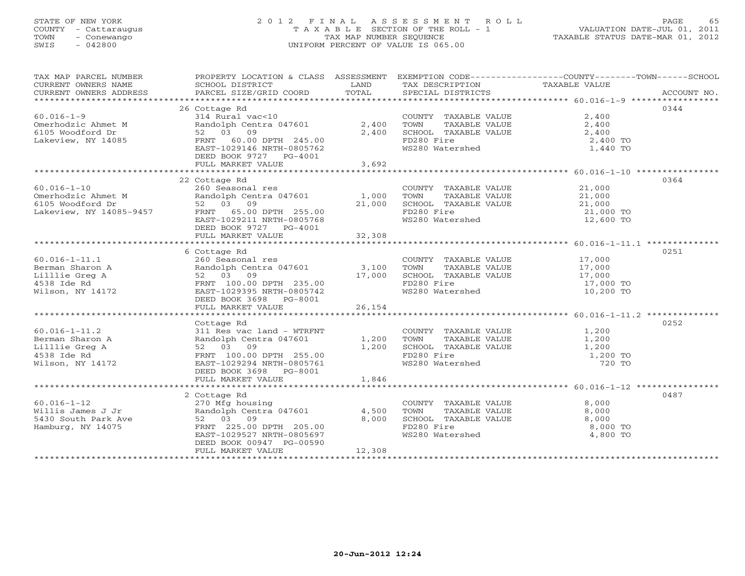# STATE OF NEW YORK 2 0 1 2 F I N A L A S S E S S M E N T R O L L PAGE 65 COUNTY - Cattaraugus T A X A B L E SECTION OF THE ROLL - 1 VALUATION DATE-JUL 01, 2011 TOWN - Conewango TAX MAP NUMBER SEQUENCE TAXABLE STATUS DATE-MAR 01, 2012 SWIS - 042800 UNIFORM PERCENT OF VALUE IS 065.00UNIFORM PERCENT OF VALUE IS 065.00

| TAX MAP PARCEL NUMBER |                                                                                                                                                                                                                                                            |                                                                                                                        |                                                                                                                       | PROPERTY LOCATION & CLASS ASSESSMENT EXEMPTION CODE----------------COUNTY-------TOWN------SCHOOL |      |
|-----------------------|------------------------------------------------------------------------------------------------------------------------------------------------------------------------------------------------------------------------------------------------------------|------------------------------------------------------------------------------------------------------------------------|-----------------------------------------------------------------------------------------------------------------------|--------------------------------------------------------------------------------------------------|------|
| CURRENT OWNERS NAME   | SCHOOL DISTRICT                                                                                                                                                                                                                                            | <b>EXAMPLE SERVICE SERVICE SERVICE SERVICE SERVICE SERVICE SERVICE SERVICE SERVICE SERVICE SERVICE SERVICE SERVICE</b> | TAX DESCRIPTION                                                                                                       | TAXABLE VALUE                                                                                    |      |
|                       |                                                                                                                                                                                                                                                            |                                                                                                                        |                                                                                                                       |                                                                                                  |      |
|                       | 26 Cottage Rd                                                                                                                                                                                                                                              |                                                                                                                        |                                                                                                                       |                                                                                                  | 0344 |
| $60.016 - 1 - 9$      | 314 Rural vac<10                                                                                                                                                                                                                                           |                                                                                                                        | COUNTY TAXABLE VALUE 2,400                                                                                            |                                                                                                  |      |
|                       | Randolph Centra 047601 2,400                                                                                                                                                                                                                               |                                                                                                                        | TOWN TAXABLE VALUE $2,400$<br>SCHOOL TAXABLE VALUE $2,400$<br>FD280 Fire 2.400<br>TOWN                                |                                                                                                  |      |
|                       |                                                                                                                                                                                                                                                            | 2,400                                                                                                                  |                                                                                                                       |                                                                                                  |      |
|                       |                                                                                                                                                                                                                                                            |                                                                                                                        | FD280 Fire                                                                                                            | 2,400 TO                                                                                         |      |
|                       | EAST-1029146 NRTH-0805762                                                                                                                                                                                                                                  |                                                                                                                        | WS280 Watershed                                                                                                       | 1,440 TO                                                                                         |      |
|                       | DEED BOOK 9727 PG-4001                                                                                                                                                                                                                                     |                                                                                                                        |                                                                                                                       |                                                                                                  |      |
|                       | FULL MARKET VALUE                                                                                                                                                                                                                                          | 3,692                                                                                                                  |                                                                                                                       |                                                                                                  |      |
|                       |                                                                                                                                                                                                                                                            |                                                                                                                        |                                                                                                                       |                                                                                                  |      |
|                       | 22 Cottage Rd                                                                                                                                                                                                                                              |                                                                                                                        |                                                                                                                       |                                                                                                  | 0364 |
| $60.016 - 1 - 10$     | 260 Seasonal res                                                                                                                                                                                                                                           |                                                                                                                        | COUNTY TAXABLE VALUE 21,000                                                                                           |                                                                                                  |      |
|                       |                                                                                                                                                                                                                                                            |                                                                                                                        |                                                                                                                       |                                                                                                  |      |
|                       |                                                                                                                                                                                                                                                            |                                                                                                                        |                                                                                                                       |                                                                                                  |      |
|                       |                                                                                                                                                                                                                                                            |                                                                                                                        |                                                                                                                       | 21,000 TO<br>12,600 TO                                                                           |      |
|                       | EAST-1029211 NRTH-0805768                                                                                                                                                                                                                                  |                                                                                                                        | ws280 Watershed                                                                                                       |                                                                                                  |      |
|                       | DEED BOOK 9727 PG-4001                                                                                                                                                                                                                                     |                                                                                                                        |                                                                                                                       |                                                                                                  |      |
|                       | FULL MARKET VALUE                                                                                                                                                                                                                                          | 32,308                                                                                                                 |                                                                                                                       |                                                                                                  |      |
|                       |                                                                                                                                                                                                                                                            |                                                                                                                        |                                                                                                                       |                                                                                                  |      |
|                       | 6 Cottage Rd                                                                                                                                                                                                                                               |                                                                                                                        |                                                                                                                       |                                                                                                  | 0251 |
|                       |                                                                                                                                                                                                                                                            |                                                                                                                        |                                                                                                                       |                                                                                                  |      |
|                       |                                                                                                                                                                                                                                                            |                                                                                                                        |                                                                                                                       |                                                                                                  |      |
|                       |                                                                                                                                                                                                                                                            |                                                                                                                        |                                                                                                                       |                                                                                                  |      |
|                       | 60.016-1-11.1<br>Berman Sharon A (260 Seasonal res COUNTY TAXABLE VALUE 17,000<br>Lillie Greg A 52 03 09 17,000 SCHOOL TAXABLE VALUE 17,000<br>4538 Ide Rd FRNT 100.00 DPTH 235.00 FD280 Fire 17,000 TOWN SCHOOL TAXABLE VALUE 17,0                        |                                                                                                                        |                                                                                                                       |                                                                                                  |      |
|                       |                                                                                                                                                                                                                                                            |                                                                                                                        |                                                                                                                       |                                                                                                  |      |
|                       | DEED BOOK 3698 PG-8001                                                                                                                                                                                                                                     |                                                                                                                        |                                                                                                                       |                                                                                                  |      |
|                       | FULL MARKET VALUE                                                                                                                                                                                                                                          | 26,154                                                                                                                 |                                                                                                                       |                                                                                                  |      |
|                       | 60.016-1-11.2<br>Berman Sharon A<br>Ellie Greg A<br>Millie Greg A<br>Millie Greg A<br>Millie Greg A<br>Millie Greg A<br>Millie Greg A<br>Millie Greg A<br>Millie Greg A<br>Millie Greg A<br>Millie Greg A<br>Millie Greg A<br>Millie Greg A<br>Millie Greg |                                                                                                                        |                                                                                                                       |                                                                                                  | 0252 |
|                       |                                                                                                                                                                                                                                                            |                                                                                                                        |                                                                                                                       |                                                                                                  |      |
|                       |                                                                                                                                                                                                                                                            |                                                                                                                        |                                                                                                                       |                                                                                                  |      |
|                       |                                                                                                                                                                                                                                                            |                                                                                                                        |                                                                                                                       |                                                                                                  |      |
|                       |                                                                                                                                                                                                                                                            |                                                                                                                        |                                                                                                                       |                                                                                                  |      |
|                       |                                                                                                                                                                                                                                                            |                                                                                                                        |                                                                                                                       |                                                                                                  |      |
|                       | DEED BOOK 3698 PG-8001                                                                                                                                                                                                                                     |                                                                                                                        |                                                                                                                       |                                                                                                  |      |
|                       |                                                                                                                                                                                                                                                            |                                                                                                                        |                                                                                                                       |                                                                                                  |      |
|                       |                                                                                                                                                                                                                                                            |                                                                                                                        |                                                                                                                       |                                                                                                  |      |
|                       | 2 Cottage Rd                                                                                                                                                                                                                                               |                                                                                                                        |                                                                                                                       |                                                                                                  | 0487 |
|                       |                                                                                                                                                                                                                                                            |                                                                                                                        |                                                                                                                       | 8,000                                                                                            |      |
|                       |                                                                                                                                                                                                                                                            |                                                                                                                        | COUNTY TAXABLE VALUE<br>TOWN TAXABLE VALUE                                                                            | 8,000                                                                                            |      |
|                       |                                                                                                                                                                                                                                                            |                                                                                                                        |                                                                                                                       |                                                                                                  |      |
|                       |                                                                                                                                                                                                                                                            |                                                                                                                        | SCHOOL TAXABLE VALUE $\begin{array}{ccc} 8,000 \\ \text{FD280 Fire} \end{array}$ 8,000 TO<br>WS280 Watershed 4,800 TO |                                                                                                  |      |
|                       | EAST-1029527 NRTH-0805697                                                                                                                                                                                                                                  |                                                                                                                        |                                                                                                                       |                                                                                                  |      |
|                       | DEED BOOK 00947 PG-00590                                                                                                                                                                                                                                   |                                                                                                                        |                                                                                                                       |                                                                                                  |      |
|                       | FULL MARKET VALUE                                                                                                                                                                                                                                          | 12,308                                                                                                                 |                                                                                                                       |                                                                                                  |      |
|                       |                                                                                                                                                                                                                                                            |                                                                                                                        |                                                                                                                       |                                                                                                  |      |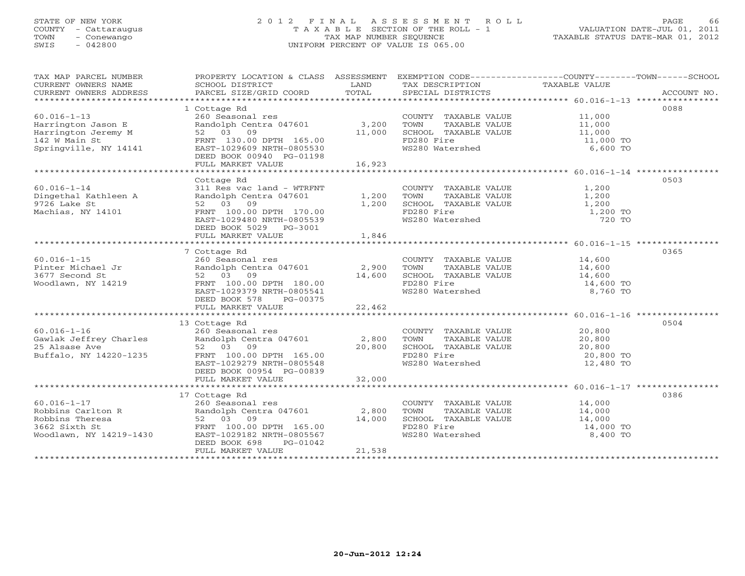# STATE OF NEW YORK 2 0 1 2 F I N A L A S S E S S M E N T R O L L PAGE 66 COUNTY - Cattaraugus T A X A B L E SECTION OF THE ROLL - 1 VALUATION DATE-JUL 01, 2011 TOWN - Conewango TAX MAP NUMBER SEQUENCE TAXABLE STATUS DATE-MAR 01, 2012 SWIS - 042800 UNIFORM PERCENT OF VALUE IS 065.00UNIFORM PERCENT OF VALUE IS 065.00

| TAX MAP PARCEL NUMBER                                                                                                                                                                                                  | PROPERTY LOCATION & CLASS ASSESSMENT EXEMPTION CODE----------------COUNTY-------TOWN------SCHOOL |        |                                                                            |                      |      |
|------------------------------------------------------------------------------------------------------------------------------------------------------------------------------------------------------------------------|--------------------------------------------------------------------------------------------------|--------|----------------------------------------------------------------------------|----------------------|------|
| CURRENT OWNERS NAME                                                                                                                                                                                                    | SCHOOL DISTRICT                                                                                  | LAND   | TAX DESCRIPTION TAXABLE VALUE                                              |                      |      |
| CURRENT OWNERS ADDRESS                                                                                                                                                                                                 |                                                                                                  |        |                                                                            |                      |      |
|                                                                                                                                                                                                                        |                                                                                                  |        |                                                                            |                      |      |
|                                                                                                                                                                                                                        | 1 Cottage Rd                                                                                     |        |                                                                            |                      | 0088 |
| $60.016 - 1 - 13$                                                                                                                                                                                                      | 260 Seasonal res                                                                                 |        | COUNTY TAXABLE VALUE 11,000                                                |                      |      |
|                                                                                                                                                                                                                        | Randolph Centra 047601 3,200                                                                     |        | TOWN TAXABLE VALUE 11,000<br>SCHOOL TAXABLE VALUE 11,000                   |                      |      |
|                                                                                                                                                                                                                        |                                                                                                  | 11,000 |                                                                            |                      |      |
|                                                                                                                                                                                                                        |                                                                                                  |        | FD280 Fire                                                                 | 11,000 TO            |      |
|                                                                                                                                                                                                                        |                                                                                                  |        | WS280 Watershed                                                            | 6,600 TO             |      |
| Harrington Jason E Randolph Centra 047601<br>Harrington Jeremy M 52 03 09<br>142 W Main St FRNT 130.00 DPTH 165.00<br>Springville, NY 14141 EAST-1029609 NRTH-0805530<br>DEED BOOK 00940 PG-01198<br>FULL MARKET VALUE |                                                                                                  |        |                                                                            |                      |      |
|                                                                                                                                                                                                                        |                                                                                                  | 16,923 |                                                                            |                      |      |
|                                                                                                                                                                                                                        |                                                                                                  |        |                                                                            |                      |      |
|                                                                                                                                                                                                                        | Cottage Rd                                                                                       |        |                                                                            |                      | 0503 |
| $60.016 - 1 - 14$                                                                                                                                                                                                      | 311 Res vac land - WTRFNT                                                                        |        | COUNTY TAXABLE VALUE 1,200                                                 |                      |      |
| Dingethal Kathleen A<br>9726 Lake St                                                                                                                                                                                   | Randolph Centra 047601 1,200 TOWN<br>52 03 09 1,200 SCHOOL                                       |        | $1,200$ TOWN TAXABLE VALUE $1,200$<br>$1,200$ SCHOOL TAXABLE VALUE $1,200$ |                      |      |
| 9726 Lake St                                                                                                                                                                                                           | 52 03 09                                                                                         |        |                                                                            |                      |      |
| Machias, NY 14101                                                                                                                                                                                                      | FRNT 100.00 DPTH 170.00                                                                          |        | FD280 Fire                                                                 | 1,200 TO             |      |
|                                                                                                                                                                                                                        | EAST-1029480 NRTH-0805539                                                                        |        | WS280 Watershed                                                            | 720 TO               |      |
|                                                                                                                                                                                                                        | DEED BOOK 5029    PG-3001                                                                        |        |                                                                            |                      |      |
|                                                                                                                                                                                                                        | FULL MARKET VALUE                                                                                | 1,846  |                                                                            |                      |      |
|                                                                                                                                                                                                                        |                                                                                                  |        |                                                                            |                      |      |
|                                                                                                                                                                                                                        | 7 Cottage Rd                                                                                     |        |                                                                            |                      | 0365 |
|                                                                                                                                                                                                                        |                                                                                                  |        | COUNTY TAXABLE VALUE 14,600                                                |                      |      |
|                                                                                                                                                                                                                        |                                                                                                  |        |                                                                            | 14,600               |      |
|                                                                                                                                                                                                                        |                                                                                                  |        | SCHOOL TAXABLE VALUE 14,600                                                |                      |      |
|                                                                                                                                                                                                                        |                                                                                                  |        |                                                                            | 14,600 TO            |      |
|                                                                                                                                                                                                                        | FRIVE 100.00 LIMIT 100.00<br>EAST-1029379 NRTH-0805541                                           |        | WS280 Watershed                                                            | 8,760 TO             |      |
|                                                                                                                                                                                                                        | DEED BOOK 578 PG-00375                                                                           |        |                                                                            |                      |      |
|                                                                                                                                                                                                                        |                                                                                                  |        |                                                                            |                      |      |
|                                                                                                                                                                                                                        |                                                                                                  |        |                                                                            |                      |      |
|                                                                                                                                                                                                                        | 13 Cottage Rd                                                                                    |        |                                                                            |                      | 0504 |
|                                                                                                                                                                                                                        |                                                                                                  |        | COUNTY TAXABLE VALUE $20,800$<br>TOWN TAXABLE VALUE $20,800$               |                      |      |
|                                                                                                                                                                                                                        |                                                                                                  |        | TOWN                                                                       |                      |      |
|                                                                                                                                                                                                                        |                                                                                                  |        |                                                                            |                      |      |
|                                                                                                                                                                                                                        |                                                                                                  |        |                                                                            |                      |      |
|                                                                                                                                                                                                                        |                                                                                                  |        | WS280 Watershed                                                            | 12,480 TO            |      |
|                                                                                                                                                                                                                        | DEED BOOK 00954 PG-00839                                                                         |        |                                                                            |                      |      |
|                                                                                                                                                                                                                        |                                                                                                  |        |                                                                            |                      |      |
|                                                                                                                                                                                                                        |                                                                                                  |        |                                                                            |                      |      |
|                                                                                                                                                                                                                        | 17 Cottage Rd                                                                                    |        | COUNTY TAXABLE VALUE 14,000                                                |                      | 0386 |
| $60.016 - 1 - 17$                                                                                                                                                                                                      | 260 Seasonal res                                                                                 |        |                                                                            | TAXABLE VALUE 14,000 |      |
|                                                                                                                                                                                                                        |                                                                                                  |        | TOWN                                                                       |                      |      |
|                                                                                                                                                                                                                        |                                                                                                  | 14,000 | SCHOOL TAXABLE VALUE                                                       | 14,000<br>14,000 TO  |      |
|                                                                                                                                                                                                                        |                                                                                                  |        | FD280 Fire<br>WS280 Watershed                                              |                      |      |
|                                                                                                                                                                                                                        |                                                                                                  |        |                                                                            | 8,400 TO             |      |
|                                                                                                                                                                                                                        | DEED BOOK 698<br>PG-01042                                                                        | 21,538 |                                                                            |                      |      |
|                                                                                                                                                                                                                        | FULL MARKET VALUE                                                                                |        |                                                                            |                      |      |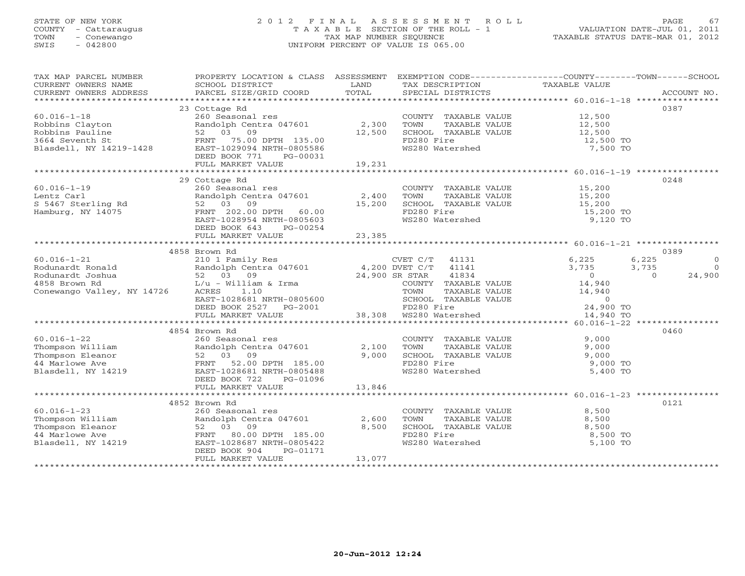# STATE OF NEW YORK 2 0 1 2 F I N A L A S S E S S M E N T R O L L PAGE 67 COUNTY - Cattaraugus T A X A B L E SECTION OF THE ROLL - 1 VALUATION DATE-JUL 01, 2011 TOWN - Conewango TAX MAP NUMBER SEQUENCE TAXABLE STATUS DATE-MAR 01, 2012 SWIS - 042800 UNIFORM PERCENT OF VALUE IS 065.00UNIFORM PERCENT OF VALUE IS 065.00

| TAX MAP PARCEL NUMBER                                                                                                                                                                                                                                                                                                                         | PROPERTY LOCATION & CLASS ASSESSMENT EXEMPTION CODE--------------COUNTY-------TOWN------SCHOOL |                   |                                                                                                                                                       |               |                          |
|-----------------------------------------------------------------------------------------------------------------------------------------------------------------------------------------------------------------------------------------------------------------------------------------------------------------------------------------------|------------------------------------------------------------------------------------------------|-------------------|-------------------------------------------------------------------------------------------------------------------------------------------------------|---------------|--------------------------|
| CURRENT OWNERS NAME                                                                                                                                                                                                                                                                                                                           | SCHOOL DISTRICT                                                                                | <b>Example 12</b> | TAX DESCRIPTION                                                                                                                                       | TAXABLE VALUE |                          |
| CURRENT OWNERS ADDRESS                                                                                                                                                                                                                                                                                                                        | PARCEL SIZE/GRID COORD TOTAL SPECIAL DISTRICTS                                                 |                   |                                                                                                                                                       |               | ACCOUNT NO.              |
|                                                                                                                                                                                                                                                                                                                                               |                                                                                                |                   |                                                                                                                                                       |               |                          |
|                                                                                                                                                                                                                                                                                                                                               | 23 Cottage Rd                                                                                  |                   |                                                                                                                                                       |               | 0387                     |
|                                                                                                                                                                                                                                                                                                                                               |                                                                                                |                   |                                                                                                                                                       |               |                          |
|                                                                                                                                                                                                                                                                                                                                               |                                                                                                |                   |                                                                                                                                                       |               |                          |
|                                                                                                                                                                                                                                                                                                                                               |                                                                                                |                   |                                                                                                                                                       |               |                          |
|                                                                                                                                                                                                                                                                                                                                               |                                                                                                |                   |                                                                                                                                                       |               |                          |
|                                                                                                                                                                                                                                                                                                                                               |                                                                                                |                   |                                                                                                                                                       |               |                          |
|                                                                                                                                                                                                                                                                                                                                               |                                                                                                |                   |                                                                                                                                                       |               |                          |
|                                                                                                                                                                                                                                                                                                                                               |                                                                                                |                   |                                                                                                                                                       |               |                          |
|                                                                                                                                                                                                                                                                                                                                               |                                                                                                |                   |                                                                                                                                                       |               |                          |
|                                                                                                                                                                                                                                                                                                                                               | 29 Cottage Rd                                                                                  |                   |                                                                                                                                                       |               | 0248                     |
|                                                                                                                                                                                                                                                                                                                                               |                                                                                                |                   | COUNTY TAXABLE VALUE 15,200                                                                                                                           |               |                          |
|                                                                                                                                                                                                                                                                                                                                               |                                                                                                |                   |                                                                                                                                                       |               |                          |
|                                                                                                                                                                                                                                                                                                                                               |                                                                                                |                   | TOWN TAXABLE VALUE<br>TOWN TAXABLE VALUE<br>SCHOOL TAXABLE VALUE<br>TOWS TO TAXABLE VALUE<br>15,200 TO 15,200 TO<br>TO280 Fire<br>15,200 TO 15,200 TO |               |                          |
|                                                                                                                                                                                                                                                                                                                                               |                                                                                                |                   |                                                                                                                                                       |               |                          |
|                                                                                                                                                                                                                                                                                                                                               |                                                                                                |                   |                                                                                                                                                       |               |                          |
|                                                                                                                                                                                                                                                                                                                                               | DEED BOOK 643 PG-00254                                                                         |                   |                                                                                                                                                       |               |                          |
|                                                                                                                                                                                                                                                                                                                                               | DEED BOOK 643 PG-00254<br>FULL MARKET VALUE 23,385                                             |                   |                                                                                                                                                       |               |                          |
|                                                                                                                                                                                                                                                                                                                                               |                                                                                                |                   |                                                                                                                                                       |               |                          |
|                                                                                                                                                                                                                                                                                                                                               | 4858 Brown Rd                                                                                  |                   |                                                                                                                                                       |               | 0389                     |
|                                                                                                                                                                                                                                                                                                                                               |                                                                                                |                   |                                                                                                                                                       |               | 6,225<br>$\circ$         |
|                                                                                                                                                                                                                                                                                                                                               |                                                                                                |                   |                                                                                                                                                       |               | 3,735<br>$\Omega$        |
|                                                                                                                                                                                                                                                                                                                                               |                                                                                                |                   |                                                                                                                                                       |               | 24,900<br>$\overline{0}$ |
|                                                                                                                                                                                                                                                                                                                                               |                                                                                                |                   |                                                                                                                                                       |               |                          |
|                                                                                                                                                                                                                                                                                                                                               |                                                                                                |                   |                                                                                                                                                       |               |                          |
|                                                                                                                                                                                                                                                                                                                                               |                                                                                                |                   |                                                                                                                                                       |               |                          |
|                                                                                                                                                                                                                                                                                                                                               |                                                                                                |                   |                                                                                                                                                       |               |                          |
|                                                                                                                                                                                                                                                                                                                                               |                                                                                                |                   |                                                                                                                                                       |               |                          |
| $\begin{array}{cccccc} 60.016-1-21 & 4858 & \text{Brown Rd} & 210 & \text{140} & 4858 & \text{WOM R} & 6,225 & 680 & \text{WOM R} & 6,225 & 680 & \text{WOM R} & 6,225 & 680 & \text{WOM R} & 6,225 & 680 & \text{WOM R} & 6,225 & 680 & \text{WOM R} & 6,225 & 680 & \text{WOM R} & 6,225 & 680 & \text{WOM R} & 6,225 & 680 & \text{WOM R}$ |                                                                                                |                   |                                                                                                                                                       |               |                          |
|                                                                                                                                                                                                                                                                                                                                               | 4854 Brown Rd                                                                                  |                   |                                                                                                                                                       |               | 0460                     |
|                                                                                                                                                                                                                                                                                                                                               |                                                                                                |                   |                                                                                                                                                       |               |                          |
|                                                                                                                                                                                                                                                                                                                                               |                                                                                                |                   |                                                                                                                                                       |               |                          |
|                                                                                                                                                                                                                                                                                                                                               |                                                                                                |                   |                                                                                                                                                       |               |                          |
|                                                                                                                                                                                                                                                                                                                                               |                                                                                                |                   |                                                                                                                                                       |               |                          |
| Blasdell, NY 14219                                                                                                                                                                                                                                                                                                                            | FRNT 52.00 DPTH 185.00<br>EAST-1028681 NRTH-0805488                                            |                   | WS280 Watershed                                                                                                                                       |               |                          |
|                                                                                                                                                                                                                                                                                                                                               |                                                                                                |                   |                                                                                                                                                       | 5,400 TO      |                          |
|                                                                                                                                                                                                                                                                                                                                               | DEED BOOK 722 PG-01096                                                                         |                   |                                                                                                                                                       |               |                          |
|                                                                                                                                                                                                                                                                                                                                               |                                                                                                |                   |                                                                                                                                                       |               |                          |
|                                                                                                                                                                                                                                                                                                                                               |                                                                                                |                   |                                                                                                                                                       |               |                          |
|                                                                                                                                                                                                                                                                                                                                               | 4852 Brown Rd                                                                                  |                   |                                                                                                                                                       |               | 0121                     |
|                                                                                                                                                                                                                                                                                                                                               |                                                                                                |                   | COUNTY TAXABLE VALUE $8,500$<br>TOWN TAXABLE VALUE $8,500$                                                                                            |               |                          |
|                                                                                                                                                                                                                                                                                                                                               |                                                                                                |                   |                                                                                                                                                       |               |                          |
|                                                                                                                                                                                                                                                                                                                                               |                                                                                                |                   | SCHOOL TAXABLE VALUE $8,500$<br>FD280 Fire 8,500 TO<br>WS280 Watershed 5,100 TO                                                                       |               |                          |
|                                                                                                                                                                                                                                                                                                                                               |                                                                                                |                   |                                                                                                                                                       |               |                          |
|                                                                                                                                                                                                                                                                                                                                               |                                                                                                |                   |                                                                                                                                                       |               |                          |
|                                                                                                                                                                                                                                                                                                                                               |                                                                                                | 13,077            |                                                                                                                                                       |               |                          |
|                                                                                                                                                                                                                                                                                                                                               | FULL MARKET VALUE                                                                              |                   |                                                                                                                                                       |               |                          |
|                                                                                                                                                                                                                                                                                                                                               |                                                                                                |                   |                                                                                                                                                       |               |                          |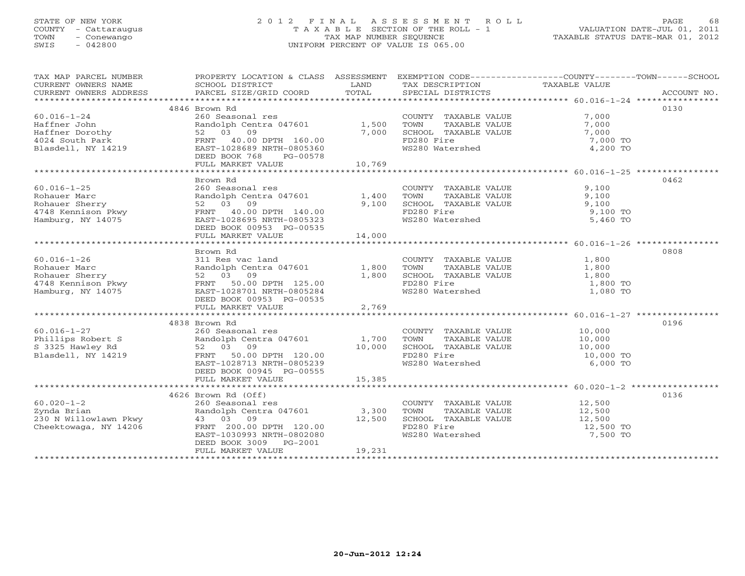# STATE OF NEW YORK 2 0 1 2 F I N A L A S S E S S M E N T R O L L PAGE 68 COUNTY - Cattaraugus T A X A B L E SECTION OF THE ROLL - 1 VALUATION DATE-JUL 01, 2011 TOWN - Conewango TAX MAP NUMBER SEQUENCE TAXABLE STATUS DATE-MAR 01, 2012 SWIS - 042800 UNIFORM PERCENT OF VALUE IS 065.00UNIFORM PERCENT OF VALUE IS 065.00

| TAX MAP PARCEL NUMBER                                                                                                                                              | PROPERTY LOCATION & CLASS ASSESSMENT                                |        | EXEMPTION CODE-----------------COUNTY-------TOWN------SCHOOL                |                     |             |
|--------------------------------------------------------------------------------------------------------------------------------------------------------------------|---------------------------------------------------------------------|--------|-----------------------------------------------------------------------------|---------------------|-------------|
| CURRENT OWNERS NAME                                                                                                                                                | SCHOOL DISTRICT                                                     | LAND   | TAX DESCRIPTION                                                             | TAXABLE VALUE       |             |
| CURRENT OWNERS ADDRESS                                                                                                                                             | PARCEL SIZE/GRID COORD                                              | TOTAL  | SPECIAL DISTRICTS                                                           |                     | ACCOUNT NO. |
|                                                                                                                                                                    | 4846 Brown Rd                                                       |        |                                                                             |                     | 0130        |
| $60.016 - 1 - 24$                                                                                                                                                  | 260 Seasonal res                                                    |        | COUNTY TAXABLE VALUE 7,000                                                  |                     |             |
| Haffner John                                                                                                                                                       | Randolph Centra 047601                                              | 1,500  | TOWN<br>TAXABLE VALUE                                                       | 7,000               |             |
| Haffner Dorothy                                                                                                                                                    | 52 03 09                                                            | 7,000  | TOWN       TAXABLE  VALUE<br>SCHOOL    TAXABLE  VALUE                       | 7,000               |             |
| 4024 South Park                                                                                                                                                    | FRNT 40.00 DPTH 160.00                                              |        | FD280 Fire                                                                  | 7,000 TO            |             |
| Blasdell, NY 14219                                                                                                                                                 | EAST-1028689 NRTH-0805360                                           |        | WS280 Watershed                                                             | 4,200 TO            |             |
|                                                                                                                                                                    | DEED BOOK 768<br>PG-00578                                           |        |                                                                             |                     |             |
|                                                                                                                                                                    | FULL MARKET VALUE                                                   | 10,769 |                                                                             |                     |             |
|                                                                                                                                                                    |                                                                     |        |                                                                             |                     |             |
|                                                                                                                                                                    | Brown Rd                                                            |        |                                                                             |                     | 0462        |
| $60.016 - 1 - 25$                                                                                                                                                  |                                                                     |        | COUNTY TAXABLE VALUE                                                        | 9,100               |             |
| Rohauer Marc                                                                                                                                                       |                                                                     |        | TOWN<br>TAXABLE VALUE                                                       | 9,100               |             |
| Rohauer Sherry                                                                                                                                                     |                                                                     |        | SCHOOL TAXABLE VALUE                                                        | 9,100               |             |
| 4748 Kennison Pkwy                                                                                                                                                 | FRNT 40.00 DPTH 140.00                                              |        | FD280 Fire                                                                  | 9,100 TO            |             |
| Hamburg, $NY$ $14075$                                                                                                                                              | EAST-1028695 NRTH-0805323                                           |        | WS280 Watershed                                                             | 5,460 TO            |             |
|                                                                                                                                                                    | DEED BOOK 00953 PG-00535                                            |        |                                                                             |                     |             |
|                                                                                                                                                                    | FULL MARKET VALUE                                                   | 14,000 |                                                                             |                     |             |
|                                                                                                                                                                    |                                                                     |        |                                                                             |                     |             |
|                                                                                                                                                                    | Brown Rd                                                            |        |                                                                             | 1,800               | 0808        |
|                                                                                                                                                                    | Randolph Centra 047601 1,800                                        |        | COUNTY TAXABLE VALUE<br>TOWN                                                | TAXABLE VALUE 1,800 |             |
|                                                                                                                                                                    |                                                                     | 1,800  |                                                                             |                     |             |
|                                                                                                                                                                    |                                                                     |        | SCHOOL TAXABLE VALUE 1,800<br>FD280 Fire 1,800 TO                           |                     |             |
|                                                                                                                                                                    | EAST-1028701 NRTH-0805284                                           |        | WS280 Watershed                                                             | 1,080 TO            |             |
|                                                                                                                                                                    |                                                                     |        |                                                                             |                     |             |
| All Res vac land<br>Rohauer Sherry<br>Rohauer Sherry<br>1748 Kennison Pkwy<br>Hamburg, NY 14075<br>Hamburg, NY 14075<br>FRNT<br>25.00<br>EAST-1028701 NRTH-090FCCC | FULL MARKET VALUE                                                   | 2,769  |                                                                             |                     |             |
|                                                                                                                                                                    |                                                                     |        |                                                                             |                     |             |
|                                                                                                                                                                    | 4838 Brown Rd                                                       |        |                                                                             |                     | 0196        |
| $60.016 - 1 - 27$                                                                                                                                                  | 260 Seasonal res                                                    |        | COUNTY TAXABLE VALUE 10,000                                                 |                     |             |
| $60.016 - 1 - 2$<br>Phillips Robert S                                                                                                                              | Randolph Centra 047601 1,700<br>52 03 09 10,000                     |        |                                                                             |                     |             |
| S 3325 Hawley Rd                                                                                                                                                   |                                                                     |        |                                                                             | 10,000<br>10,000    |             |
| Blasdell, NY 14219                                                                                                                                                 | PRNT 50.00 DPTH 120.00<br>FRNT 50.00 DPTH 120.00                    |        | TOWN TAXABLE VALUE<br>SCHOOL TAXABLE VALUE<br>FD280 Fire<br>WS280 Watershed | 10,000 TO           |             |
|                                                                                                                                                                    |                                                                     |        |                                                                             | 6,000 TO            |             |
|                                                                                                                                                                    | DEED BOOK 00945 PG-00555                                            |        |                                                                             |                     |             |
|                                                                                                                                                                    | FULL MARKET VALUE                                                   | 15,385 |                                                                             |                     |             |
|                                                                                                                                                                    |                                                                     |        |                                                                             |                     |             |
|                                                                                                                                                                    | 4626 Brown Rd (Off)                                                 |        |                                                                             |                     | 0136        |
| $60.020 - 1 - 2$                                                                                                                                                   |                                                                     |        | COUNTY TAXABLE VALUE                                                        | 12,500              |             |
| Zynda Brian                                                                                                                                                        | 260 Seasonal res<br>Randolph Centra 047601 3,300<br>13 03 09 12,500 |        | TOWN TAXABLE VALUE 12,500<br>SCHOOL TAXABLE VALUE 12,500                    |                     |             |
| Cheektowaga, NY 14206                                                                                                                                              | FRNT 200.00 DPTH 120.00                                             |        | FD280 Fire                                                                  | 12,500 TO           |             |
|                                                                                                                                                                    | EAST-1030993 NRTH-0802080                                           |        | WS280 Watershed                                                             | 7,500 TO            |             |
|                                                                                                                                                                    | DEED BOOK 3009 PG-2001                                              |        |                                                                             |                     |             |
|                                                                                                                                                                    | FULL MARKET VALUE                                                   | 19,231 |                                                                             |                     |             |
|                                                                                                                                                                    |                                                                     |        |                                                                             |                     |             |
|                                                                                                                                                                    |                                                                     |        |                                                                             |                     |             |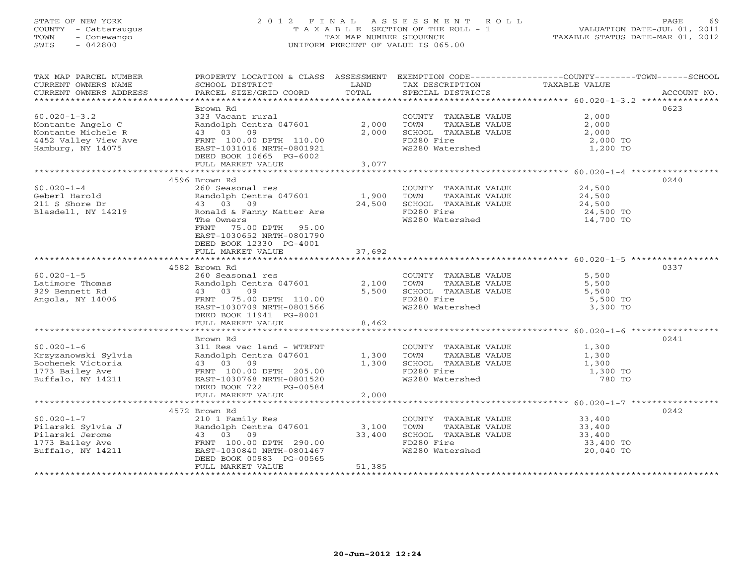# STATE OF NEW YORK 2 0 1 2 F I N A L A S S E S S M E N T R O L L PAGE 69 COUNTY - Cattaraugus T A X A B L E SECTION OF THE ROLL - 1 VALUATION DATE-JUL 01, 2011 TOWN - Conewango TAX MAP NUMBER SEQUENCE TAXABLE STATUS DATE-MAR 01, 2012 SWIS - 042800 UNIFORM PERCENT OF VALUE IS 065.00UNIFORM PERCENT OF VALUE IS 065.00

| TAX MAP PARCEL NUMBER                                                                                                | PROPERTY LOCATION & CLASS ASSESSMENT EXEMPTION CODE----------------COUNTY-------TOWN------SCHOOL |        |                                            |                                        |             |
|----------------------------------------------------------------------------------------------------------------------|--------------------------------------------------------------------------------------------------|--------|--------------------------------------------|----------------------------------------|-------------|
| CURRENT OWNERS NAME                                                                                                  | SCHOOL DISTRICT                                                                                  | LAND   | TAX DESCRIPTION TAXABLE VALUE              |                                        |             |
| CURRENT OWNERS ADDRESS                                                                                               | PARCEL SIZE/GRID COORD                                                                           | TOTAL  | SPECIAL DISTRICTS                          |                                        | ACCOUNT NO. |
|                                                                                                                      |                                                                                                  |        |                                            |                                        |             |
|                                                                                                                      | Brown Rd                                                                                         |        |                                            |                                        | 0623        |
| $60.020 - 1 - 3.2$                                                                                                   | 323 Vacant rural                                                                                 |        | COUNTY TAXABLE VALUE                       | 2,000                                  |             |
| Montante Angelo C                                                                                                    | Randolph Centra 047601 2,000                                                                     |        | TAXABLE VALUE<br>TOWN                      | 2,000                                  |             |
| Montante Michele R                                                                                                   | 43 03 09                                                                                         | 2,000  | SCHOOL TAXABLE VALUE                       |                                        |             |
| 4452 Valley View Ave                                                                                                 | FRNT 100.00 DPTH 110.00                                                                          |        | FD280 Fire                                 | $2,000$ TO<br>$2,000$ TO<br>$1,200$ TO |             |
| Hamburg, NY 14075                                                                                                    | EAST-1031016 NRTH-0801921                                                                        |        | WS280 Watershed                            | 1,200 TO                               |             |
|                                                                                                                      | DEED BOOK 10665 PG-6002                                                                          |        |                                            |                                        |             |
|                                                                                                                      |                                                                                                  |        |                                            |                                        |             |
|                                                                                                                      |                                                                                                  |        |                                            |                                        |             |
|                                                                                                                      | 4596 Brown Rd                                                                                    |        |                                            |                                        | 0240        |
| $60.020 - 1 - 4$                                                                                                     | 260 Seasonal res                                                                                 |        | COUNTY TAXABLE VALUE                       | 24,500                                 |             |
| Geberl Harold                                                                                                        | Randolph Centra 047601                                                                           | 1,900  | TOWN<br>TAXABLE VALUE                      | 24,500                                 |             |
| 211 S Shore Dr                                                                                                       | 43 03 09                                                                                         | 24,500 | SCHOOL TAXABLE VALUE 24,500                |                                        |             |
|                                                                                                                      |                                                                                                  |        |                                            |                                        |             |
| Blasdell, NY 14219                                                                                                   | Ronald & Fanny Matter Are                                                                        |        | FD280 Fire                                 | 24,500 TO                              |             |
|                                                                                                                      | The Owners                                                                                       |        | WS280 Watershed                            | 14,700 TO                              |             |
|                                                                                                                      | FRNT 75.00 DPTH 95.00                                                                            |        |                                            |                                        |             |
|                                                                                                                      | EAST-1030652 NRTH-0801790                                                                        |        |                                            |                                        |             |
|                                                                                                                      | DEED BOOK 12330 PG-4001                                                                          |        |                                            |                                        |             |
|                                                                                                                      | FULL MARKET VALUE                                                                                | 37,692 |                                            |                                        |             |
|                                                                                                                      |                                                                                                  |        |                                            |                                        |             |
|                                                                                                                      | 4582 Brown Rd                                                                                    |        |                                            |                                        | 0337        |
| $60.020 - 1 - 5$                                                                                                     | 260 Seasonal res                                                                                 |        | COUNTY TAXABLE VALUE                       | 5,500                                  |             |
| Latimore Thomas                                                                                                      | Randolph Centra 047601<br>43 03 09                                                               | 2,100  | TOWN TAXABLE VALUE<br>SCHOOL TAXABLE VALUE | 5,500                                  |             |
| 929 Bennett Rd                                                                                                       | 43 03 09                                                                                         | 5,500  |                                            | 5,500                                  |             |
| Angola, NY 14006                                                                                                     | FRNT 75.00 DPTH 110.00                                                                           |        | FD280 Fire                                 | 5,500 TO                               |             |
|                                                                                                                      | EAST-1030709 NRTH-0801566                                                                        |        | WS280 Watershed                            | 3,300 TO                               |             |
|                                                                                                                      | DEED BOOK 11941 PG-8001                                                                          |        |                                            |                                        |             |
|                                                                                                                      | FULL MARKET VALUE                                                                                | 8,462  |                                            |                                        |             |
|                                                                                                                      |                                                                                                  |        |                                            |                                        |             |
|                                                                                                                      | Brown Rd                                                                                         |        |                                            |                                        | 0241        |
| $60.020 - 1 - 6$                                                                                                     | 311 Res vac land - WTRFNT                                                                        |        | COUNTY TAXABLE VALUE 1,300                 |                                        |             |
|                                                                                                                      |                                                                                                  | 1,300  | TOWN<br>TAXABLE VALUE                      | 1,300                                  |             |
|                                                                                                                      |                                                                                                  | 1,300  | SCHOOL TAXABLE VALUE                       | 1,300                                  |             |
|                                                                                                                      |                                                                                                  |        | FD280 Fire                                 | 1,300 TO                               |             |
|                                                                                                                      |                                                                                                  |        | WS280 Watershed                            | 780 TO                                 |             |
|                                                                                                                      | DEED BOOK 722 PG-00584                                                                           |        |                                            |                                        |             |
|                                                                                                                      | FULL MARKET VALUE                                                                                | 2,000  |                                            |                                        |             |
|                                                                                                                      |                                                                                                  |        |                                            |                                        |             |
|                                                                                                                      | 4572 Brown Rd                                                                                    |        |                                            |                                        | 0242        |
| $60.020 - 1 - 7$                                                                                                     | 210 1 Family Res                                                                                 |        | COUNTY TAXABLE VALUE                       | 33,400                                 |             |
| Pilarski Sylvia J<br>Pilarski Jerome                                                                                 | Randolph Centra 047601 3,100                                                                     |        | TOWN<br>TAXABLE VALUE                      | 33,400                                 |             |
|                                                                                                                      | 43 03 09                                                                                         | 33,400 | SCHOOL TAXABLE VALUE                       | 33,400                                 |             |
| 1773 Bailey Ave <b>Example 1998</b><br>REAL 100.00 DPTH 290.00<br>Ruffalo. NY 14211 <b>EAST-1030840 NRTH-0801467</b> |                                                                                                  |        | FD280 Fire                                 | 33,400 TO                              |             |
| Buffalo, NY 14211                                                                                                    |                                                                                                  |        | WS280 Watershed                            | 20,040 TO                              |             |
|                                                                                                                      | DEED BOOK 00983 PG-00565                                                                         |        |                                            |                                        |             |
|                                                                                                                      | FULL MARKET VALUE                                                                                | 51,385 |                                            |                                        |             |
|                                                                                                                      |                                                                                                  |        |                                            |                                        |             |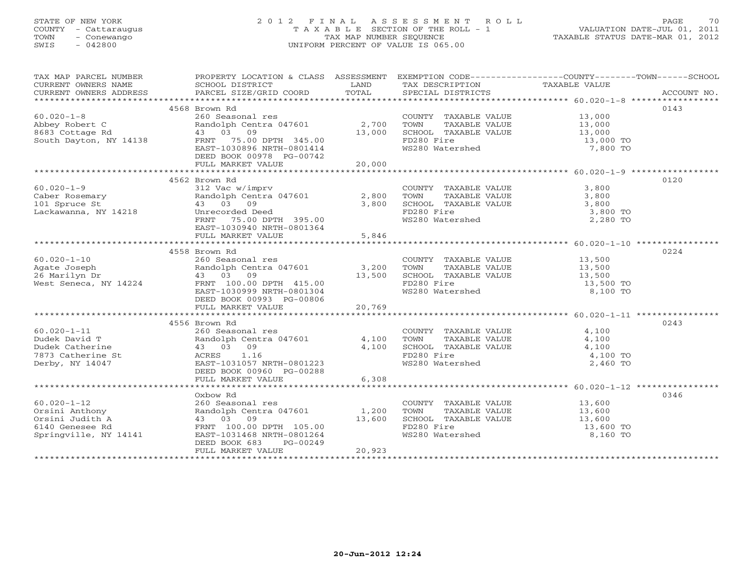# STATE OF NEW YORK 2 0 1 2 F I N A L A S S E S S M E N T R O L L PAGE 70 COUNTY - Cattaraugus T A X A B L E SECTION OF THE ROLL - 1 VALUATION DATE-JUL 01, 2011 TOWN - Conewango TAX MAP NUMBER SEQUENCE TAXABLE STATUS DATE-MAR 01, 2012 SWIS - 042800 UNIFORM PERCENT OF VALUE IS 065.00UNIFORM PERCENT OF VALUE IS 065.00

| TAX MAP PARCEL NUMBER                                                                                                                                                                                                                                                  |                                                     |        |                                                                                                                                                    | PROPERTY LOCATION & CLASS ASSESSMENT EXEMPTION CODE---------------COUNTY-------TOWN------SCHOOL |
|------------------------------------------------------------------------------------------------------------------------------------------------------------------------------------------------------------------------------------------------------------------------|-----------------------------------------------------|--------|----------------------------------------------------------------------------------------------------------------------------------------------------|-------------------------------------------------------------------------------------------------|
|                                                                                                                                                                                                                                                                        |                                                     |        |                                                                                                                                                    |                                                                                                 |
|                                                                                                                                                                                                                                                                        | 4568 Brown Rd                                       |        |                                                                                                                                                    | 0143                                                                                            |
| 4308 Brown Rd<br>4308 Brown Rd<br>2,700 TOWNT TAXABLE VALUE<br>Abbey Robert C<br>8683 Cottage Rd<br>3,000<br>8683 Cottage Rd<br>43 03 09<br>5000 SCHOOL TAXABLE VALUE<br>43 03 09<br>5000 SCHOOL TAXABLE VALUE<br>43 03 09<br>5000 SCHOOL TAXABLE VALU                 |                                                     |        |                                                                                                                                                    |                                                                                                 |
|                                                                                                                                                                                                                                                                        |                                                     |        |                                                                                                                                                    |                                                                                                 |
|                                                                                                                                                                                                                                                                        |                                                     |        |                                                                                                                                                    |                                                                                                 |
|                                                                                                                                                                                                                                                                        |                                                     |        |                                                                                                                                                    |                                                                                                 |
|                                                                                                                                                                                                                                                                        |                                                     |        | FD280 Fire 13,000 TO<br>WS280 Watershed 17,800 TO                                                                                                  |                                                                                                 |
|                                                                                                                                                                                                                                                                        | DEED BOOK 00978 PG-00742                            |        |                                                                                                                                                    |                                                                                                 |
|                                                                                                                                                                                                                                                                        |                                                     |        |                                                                                                                                                    |                                                                                                 |
|                                                                                                                                                                                                                                                                        |                                                     |        |                                                                                                                                                    |                                                                                                 |
|                                                                                                                                                                                                                                                                        | 4562 Brown Rd                                       |        |                                                                                                                                                    | 0120                                                                                            |
|                                                                                                                                                                                                                                                                        |                                                     |        |                                                                                                                                                    |                                                                                                 |
|                                                                                                                                                                                                                                                                        |                                                     |        |                                                                                                                                                    |                                                                                                 |
|                                                                                                                                                                                                                                                                        |                                                     |        |                                                                                                                                                    |                                                                                                 |
|                                                                                                                                                                                                                                                                        |                                                     |        |                                                                                                                                                    |                                                                                                 |
|                                                                                                                                                                                                                                                                        |                                                     |        |                                                                                                                                                    |                                                                                                 |
|                                                                                                                                                                                                                                                                        | EAST-1030940 NRTH-0801364                           |        |                                                                                                                                                    |                                                                                                 |
|                                                                                                                                                                                                                                                                        | FULL MARKET VALUE                                   | 5,846  |                                                                                                                                                    |                                                                                                 |
|                                                                                                                                                                                                                                                                        | 4558 Brown Rd                                       |        |                                                                                                                                                    | 0224                                                                                            |
|                                                                                                                                                                                                                                                                        |                                                     |        |                                                                                                                                                    |                                                                                                 |
|                                                                                                                                                                                                                                                                        |                                                     |        |                                                                                                                                                    |                                                                                                 |
|                                                                                                                                                                                                                                                                        |                                                     |        |                                                                                                                                                    |                                                                                                 |
|                                                                                                                                                                                                                                                                        |                                                     |        |                                                                                                                                                    |                                                                                                 |
|                                                                                                                                                                                                                                                                        |                                                     |        |                                                                                                                                                    |                                                                                                 |
|                                                                                                                                                                                                                                                                        |                                                     |        |                                                                                                                                                    |                                                                                                 |
|                                                                                                                                                                                                                                                                        |                                                     |        |                                                                                                                                                    |                                                                                                 |
|                                                                                                                                                                                                                                                                        |                                                     |        |                                                                                                                                                    |                                                                                                 |
|                                                                                                                                                                                                                                                                        | 4556 Brown Rd                                       |        |                                                                                                                                                    | 0243                                                                                            |
| $60.020 - 1 - 11$                                                                                                                                                                                                                                                      | 260 Seasonal res<br>Randolph Centra 047601<br>4,100 |        | COUNTY TAXABLE VALUE 4,100<br>TOWN TAXABLE VALUE 4,100                                                                                             |                                                                                                 |
|                                                                                                                                                                                                                                                                        |                                                     |        |                                                                                                                                                    |                                                                                                 |
|                                                                                                                                                                                                                                                                        |                                                     |        |                                                                                                                                                    |                                                                                                 |
|                                                                                                                                                                                                                                                                        | 43 03 09<br>ACRES 1.16<br>EAST-1031057 NRTH-0801223 |        | SCHOOL TAXABLE VALUE<br>FD280 Fire 4,100<br>WS280 Watershed 2,460 TO                                                                               |                                                                                                 |
|                                                                                                                                                                                                                                                                        |                                                     |        |                                                                                                                                                    |                                                                                                 |
|                                                                                                                                                                                                                                                                        | DEED BOOK 00960 PG-00288                            |        |                                                                                                                                                    |                                                                                                 |
|                                                                                                                                                                                                                                                                        | FULL MARKET VALUE                                   | 6,308  |                                                                                                                                                    |                                                                                                 |
|                                                                                                                                                                                                                                                                        |                                                     |        |                                                                                                                                                    |                                                                                                 |
|                                                                                                                                                                                                                                                                        | Oxbow Rd                                            |        |                                                                                                                                                    | 0346                                                                                            |
|                                                                                                                                                                                                                                                                        |                                                     |        |                                                                                                                                                    |                                                                                                 |
|                                                                                                                                                                                                                                                                        |                                                     |        |                                                                                                                                                    |                                                                                                 |
| 60.020-1-12<br>0rsini Anthony<br>0rsini Judith A<br>6140 Genesee Rd<br>5140 Genesee Rd<br>71.200<br>72.00 DETH<br>7100.00 DPTH<br>7100.00 DPTH<br>7100.00 DPTH<br>7105.00<br>713,600<br>72.00<br>72.00<br>72.00<br>72.00<br>72.00<br>72.00<br>73.600<br>72.00<br>73.60 |                                                     |        | COUNTY TAXABLE VALUE $13,600$<br>TOWN TAXABLE VALUE $13,600$<br>SCHOOL TAXABLE VALUE $13,600$<br>FD280 Fire $13,600$<br>WS280 Watershed $8,160$ TO |                                                                                                 |
|                                                                                                                                                                                                                                                                        |                                                     |        |                                                                                                                                                    |                                                                                                 |
|                                                                                                                                                                                                                                                                        | DEED BOOK 683<br>PG-00249                           |        |                                                                                                                                                    |                                                                                                 |
|                                                                                                                                                                                                                                                                        | FULL MARKET VALUE                                   | 20,923 |                                                                                                                                                    |                                                                                                 |
|                                                                                                                                                                                                                                                                        |                                                     |        |                                                                                                                                                    |                                                                                                 |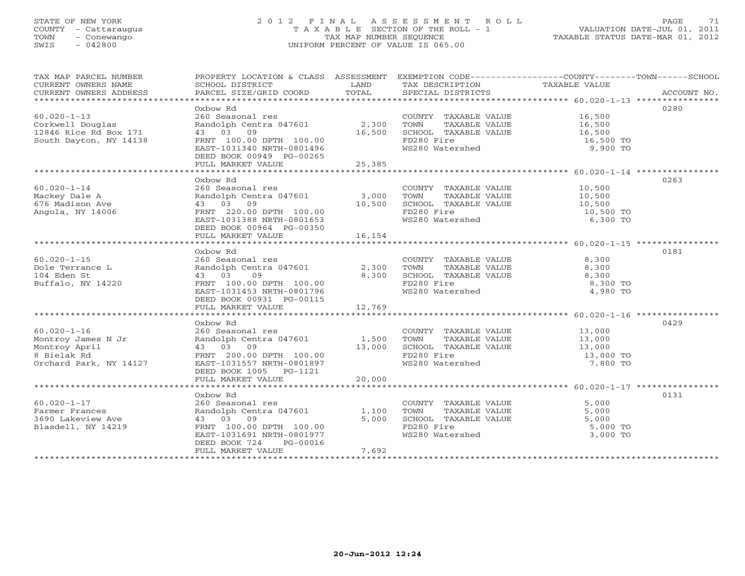# STATE OF NEW YORK 2 0 1 2 F I N A L A S S E S S M E N T R O L L PAGE 71 COUNTY - Cattaraugus T A X A B L E SECTION OF THE ROLL - 1 VALUATION DATE-JUL 01, 2011 TOWN - Conewango TAX MAP NUMBER SEQUENCE TAXABLE STATUS DATE-MAR 01, 2012 SWIS - 042800 UNIFORM PERCENT OF VALUE IS 065.00UNIFORM PERCENT OF VALUE IS 065.00

| TAX MAP PARCEL NUMBER<br>CURRENT OWNERS NOME CONSUMERT ACCOUNT NO AND TRANSPORT TO THE CONSUMERT OWNERS ADDRESS TO BURGEL SIZE/GRID COORD TOTAL SPECIAL DISTRICTS ACCOUNT NO.<br>CURRENT OWNERS ADDRESS PARCEL SIZE/GRID COORD TOTAL SPECIAL DISTRICTS ACC | PROPERTY LOCATION & CLASS ASSESSMENT EXEMPTION CODE----------------COUNTY-------TOWN------SCHOOL |           |                                                                           |                      |      |
|------------------------------------------------------------------------------------------------------------------------------------------------------------------------------------------------------------------------------------------------------------|--------------------------------------------------------------------------------------------------|-----------|---------------------------------------------------------------------------|----------------------|------|
|                                                                                                                                                                                                                                                            |                                                                                                  |           |                                                                           |                      |      |
|                                                                                                                                                                                                                                                            | Oxbow Rd                                                                                         |           |                                                                           |                      | 0280 |
| $60.020 - 1 - 13$                                                                                                                                                                                                                                          | 260 Seasonal res                                                                                 |           | COUNTY TAXABLE VALUE 16,500                                               |                      |      |
| Corkwell Douglas                                                                                                                                                                                                                                           | Randolph Centra 047601 2,300                                                                     | $-15,500$ | TOWN                                                                      | TAXABLE VALUE 16,500 |      |
| 12846 Rice Rd Box 171                                                                                                                                                                                                                                      | 43 03 09                                                                                         |           | SCHOOL TAXABLE VALUE<br>ED220 Fi <i>re</i>                                | 16,500               |      |
| South Dayton, NY 14138                                                                                                                                                                                                                                     | FRNT 100.00 DPTH 100.00                                                                          |           | FD280 Fire                                                                | 16,500 TO            |      |
|                                                                                                                                                                                                                                                            | EAST-1031340 NRTH-0801496                                                                        |           | WS280 Watershed                                                           | 9,900 TO             |      |
|                                                                                                                                                                                                                                                            | DEED BOOK 00949 PG-00265                                                                         |           |                                                                           |                      |      |
|                                                                                                                                                                                                                                                            | FULL MARKET VALUE                                                                                | 25,385    |                                                                           |                      |      |
|                                                                                                                                                                                                                                                            |                                                                                                  |           |                                                                           |                      |      |
|                                                                                                                                                                                                                                                            | Oxbow Rd                                                                                         |           |                                                                           |                      | 0263 |
| $60.020 - 1 - 14$                                                                                                                                                                                                                                          | 260 Seasonal res                                                                                 |           | COUNTY TAXABLE VALUE 10,500                                               |                      |      |
| Mackey Dale A                                                                                                                                                                                                                                              |                                                                                                  |           |                                                                           |                      |      |
| 676 Madison Ave                                                                                                                                                                                                                                            | Randolph Centra 047601 3,000<br>43 03 09 10,500                                                  |           | TOWN TAXABLE VALUE 10,500<br>SCHOOL TAXABLE VALUE 10,500                  |                      |      |
| Angola, NY 14006                                                                                                                                                                                                                                           |                                                                                                  |           | FD280 Fire                                                                | 10,500 TO            |      |
|                                                                                                                                                                                                                                                            |                                                                                                  |           | WS280 Watershed                                                           | 6,300 TO             |      |
|                                                                                                                                                                                                                                                            | DEED BOOK 00964 PG-00350                                                                         |           |                                                                           |                      |      |
|                                                                                                                                                                                                                                                            | FULL MARKET VALUE                                                                                | 16,154    |                                                                           |                      |      |
|                                                                                                                                                                                                                                                            |                                                                                                  |           |                                                                           |                      |      |
|                                                                                                                                                                                                                                                            | Oxbow Rd                                                                                         |           |                                                                           |                      | 0181 |
| $60.020 - 1 - 15$                                                                                                                                                                                                                                          | 260 Seasonal res<br>Randolph Centra 047601<br>43 03 09                                           |           | COUNTY TAXABLE VALUE 8,300                                                |                      |      |
| Dole Terrance L                                                                                                                                                                                                                                            |                                                                                                  | 2,300     |                                                                           | 8,300                |      |
| 104 Eden St                                                                                                                                                                                                                                                | 43 03<br>09                                                                                      | 8,300     | TOWN TAXABLE VALUE<br>SCHOOL TAXABLE VALUE                                | 8,300                |      |
| Buffalo, NY 14220                                                                                                                                                                                                                                          | FRNT 100.00 DPTH 100.00                                                                          |           | FD280 Fire                                                                | 8,300 TO             |      |
|                                                                                                                                                                                                                                                            | EAST-1031453 NRTH-0801796                                                                        |           | ws280 Watershed                                                           | 4,980 TO             |      |
|                                                                                                                                                                                                                                                            | DEED BOOK 00931 PG-00115                                                                         |           |                                                                           |                      |      |
|                                                                                                                                                                                                                                                            | FULL MARKET VALUE                                                                                | 12,769    |                                                                           |                      |      |
|                                                                                                                                                                                                                                                            |                                                                                                  |           |                                                                           |                      |      |
|                                                                                                                                                                                                                                                            | Oxbow Rd                                                                                         |           |                                                                           |                      | 0429 |
| $60.020 - 1 - 16$                                                                                                                                                                                                                                          |                                                                                                  |           |                                                                           |                      |      |
|                                                                                                                                                                                                                                                            |                                                                                                  |           |                                                                           |                      |      |
|                                                                                                                                                                                                                                                            |                                                                                                  |           |                                                                           |                      |      |
| ou.uzu-1-16<br>Montroy James N Jr<br>Montroy April<br>8 Bielak Rd<br>8 Bielak Rd                                                                                                                                                                           | 43 03 09 13,000<br>FRNT 200.00 DPTH 100.00                                                       |           | TOWN IAAADDD VIDCO<br>SCHOOL TAXABLE VALUE 13,000<br>ED280 Fire 13,000 TO |                      |      |
| Orchard Park, NY 14127                                                                                                                                                                                                                                     | EAST-1031557 NRTH-0801897                                                                        |           | WS280 Watershed                                                           | 7,800 TO             |      |
|                                                                                                                                                                                                                                                            | DEED BOOK 1005 PG-1121                                                                           |           |                                                                           |                      |      |
|                                                                                                                                                                                                                                                            | FULL MARKET VALUE                                                                                | 20,000    |                                                                           |                      |      |
|                                                                                                                                                                                                                                                            |                                                                                                  |           |                                                                           |                      |      |
|                                                                                                                                                                                                                                                            | Oxbow Rd                                                                                         |           |                                                                           |                      | 0131 |
| $60.020 - 1 - 17$                                                                                                                                                                                                                                          | 260 Seasonal res                                                                                 |           |                                                                           | 5,000                |      |
| Farmer Frances                                                                                                                                                                                                                                             | Randolph Centra 047601 1,100                                                                     |           | COUNTY TAXABLE VALUE<br>TOWN TAXABLE VALUE                                | 5,000                |      |
| 3690 Lakeview Ave                                                                                                                                                                                                                                          | 43 03 09                                                                                         | 5,000     | TOWN TAXABLE VALUE 5,000 TO<br>SCHOOL TAXABLE VALUE 5,000 TO              |                      |      |
| Blasdell, NY 14219                                                                                                                                                                                                                                         | FRNT 100.00 DPTH 100.00                                                                          |           |                                                                           |                      |      |
|                                                                                                                                                                                                                                                            | EAST-1031691 NRTH-0801977                                                                        |           | WS280 Watershed                                                           | 3,000 TO             |      |
|                                                                                                                                                                                                                                                            | DEED BOOK 724<br>PG-00016                                                                        |           |                                                                           |                      |      |
|                                                                                                                                                                                                                                                            | FULL MARKET VALUE                                                                                | 7,692     |                                                                           |                      |      |
|                                                                                                                                                                                                                                                            |                                                                                                  |           |                                                                           |                      |      |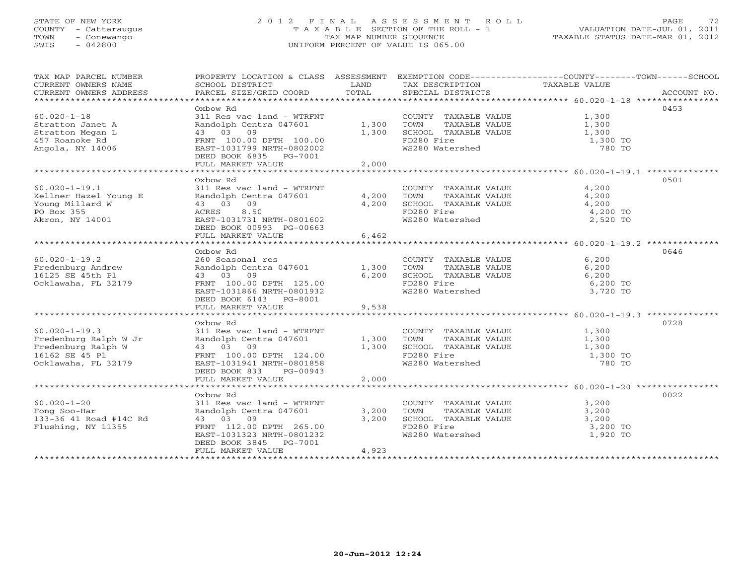# STATE OF NEW YORK 2 0 1 2 F I N A L A S S E S S M E N T R O L L PAGE 72 COUNTY - Cattaraugus T A X A B L E SECTION OF THE ROLL - 1 VALUATION DATE-JUL 01, 2011 TOWN - Conewango TAX MAP NUMBER SEQUENCE TAXABLE STATUS DATE-MAR 01, 2012 SWIS - 042800 UNIFORM PERCENT OF VALUE IS 065.00UNIFORM PERCENT OF VALUE IS 065.00

| TAX MAP PARCEL NUMBER                         | PROPERTY LOCATION & CLASS ASSESSMENT EXEMPTION CODE---------------COUNTY-------TOWN------SCHOOL |               |                                      | TAXABLE VALUE            |             |
|-----------------------------------------------|-------------------------------------------------------------------------------------------------|---------------|--------------------------------------|--------------------------|-------------|
| CURRENT OWNERS NAME<br>CURRENT OWNERS ADDRESS | SCHOOL DISTRICT<br>PARCEL SIZE/GRID COORD                                                       | LAND<br>TOTAL | TAX DESCRIPTION<br>SPECIAL DISTRICTS |                          | ACCOUNT NO. |
|                                               |                                                                                                 |               |                                      |                          |             |
|                                               | Oxbow Rd                                                                                        |               |                                      |                          | 0453        |
| $60.020 - 1 - 18$                             | 311 Res vac land - WTRFNT                                                                       |               | COUNTY TAXABLE VALUE                 | 1,300                    |             |
| Stratton Janet A                              | Randolph Centra 047601                                                                          | 1,300         | TOWN<br>TAXABLE VALUE                | 1,300                    |             |
| Stratton Megan L                              | 43 03 09                                                                                        | 1,300         | SCHOOL TAXABLE VALUE                 | 1,300                    |             |
| 457 Roanoke Rd<br>Angola, NY 14006            | FRNT 100.00 DPTH 100.00<br>EAST-1031799 NRTH-0802002                                            |               | FD280 Fire                           | 1,300 TO<br>780 TO       |             |
|                                               | DEED BOOK 6835 PG-7001                                                                          |               | WS280 Watershed                      |                          |             |
|                                               | FULL MARKET VALUE                                                                               | 2,000         |                                      |                          |             |
|                                               |                                                                                                 |               |                                      |                          |             |
|                                               | Oxbow Rd                                                                                        |               |                                      |                          | 0501        |
| $60.020 - 1 - 19.1$                           | 311 Res vac land - WTRFNT                                                                       |               | COUNTY TAXABLE VALUE                 | 4,200                    |             |
| Kellner Hazel Young E                         | Randolph Centra 047601                                                                          |               | 4,200 TOWN<br>TAXABLE VALUE          | 4,200                    |             |
| Young Millard W                               | 43 03 09                                                                                        | 4,200         | SCHOOL TAXABLE VALUE                 | 4,200                    |             |
| PO Box 355                                    | 8.50<br>ACRES                                                                                   |               | FD280 Fire                           | 4,200 TO                 |             |
| Akron, NY 14001                               | EAST-1031731 NRTH-0801602                                                                       |               | WS280 Watershed                      | 2,520 TO                 |             |
|                                               | DEED BOOK 00993 PG-00663                                                                        |               |                                      |                          |             |
|                                               | FULL MARKET VALUE                                                                               | 6,462         |                                      |                          |             |
|                                               |                                                                                                 |               |                                      |                          |             |
|                                               | Dxbow Rd                                                                                        |               |                                      |                          | 0646        |
| $60.020 - 1 - 19.2$                           | 260 Seasonal res                                                                                |               | COUNTY TAXABLE VALUE                 | 6,200                    |             |
| Fredenburg Andrew                             | Randolph Centra 047601                                                                          | 1,300         | TOWN<br>TAXABLE VALUE                | 6,200                    |             |
| 16125 SE 45th Pl                              | 43 03 09                                                                                        | 6,200         | SCHOOL TAXABLE VALUE                 | 6,200                    |             |
| Ocklawaha, FL 32179                           | FRNT 100.00 DPTH 125.00                                                                         |               | FD280 Fire                           | 6,200 TO                 |             |
|                                               | EAST-1031866 NRTH-0801932                                                                       |               | WS280 Watershed                      | 3,720 TO                 |             |
|                                               | DEED BOOK 6143 PG-8001                                                                          |               |                                      |                          |             |
|                                               | FULL MARKET VALUE                                                                               | 9,538         |                                      |                          |             |
|                                               |                                                                                                 |               |                                      |                          |             |
|                                               | Oxbow Rd                                                                                        |               |                                      |                          | 0728        |
| $60.020 - 1 - 19.3$                           | 311 Res vac land - WTRFNT                                                                       |               | COUNTY TAXABLE VALUE                 | 1,300                    |             |
| Fredenburg Ralph W Jr                         | Randolph Centra 047601                                                                          | 1,300         | TOWN<br>TAXABLE VALUE                | 1,300                    |             |
| Fredenburg Ralph W                            | 43 03 09                                                                                        | 1,300         | SCHOOL TAXABLE VALUE                 | 1,300                    |             |
| 16162 SE 45 Pl                                | FRNT 100.00 DPTH 124.00                                                                         |               | FD280 Fire                           | $1,300$ TO<br>$1,300$ TO |             |
| Ocklawaha, FL 32179                           | EAST-1031941 NRTH-0801858                                                                       |               | WS280 Watershed                      | 780 TO                   |             |
|                                               | DEED BOOK 833<br>PG-00943                                                                       |               |                                      |                          |             |
|                                               | FULL MARKET VALUE                                                                               | 2,000         |                                      |                          |             |
|                                               | Oxbow Rd                                                                                        |               |                                      |                          | 0022        |
| $60.020 - 1 - 20$                             | 311 Res vac land - WTRFNT                                                                       |               | COUNTY TAXABLE VALUE                 | 3,200                    |             |
| Fong Soo-Har                                  | Randolph Centra 047601                                                                          | 3,200         | TOWN<br>TAXABLE VALUE                | 3,200                    |             |
| 133-36 41 Road #14C Rd                        | 43 03 09                                                                                        | 3,200         | SCHOOL TAXABLE VALUE                 | 3,200                    |             |
| Flushing, NY 11355                            | FRNT 112.00 DPTH 265.00                                                                         |               | FD280 Fire                           | 3,200 TO                 |             |
|                                               | EAST-1031323 NRTH-0801232                                                                       |               | WS280 Watershed                      | 1,920 TO                 |             |
|                                               | PG-7001<br>DEED BOOK 3845                                                                       |               |                                      |                          |             |
|                                               | FULL MARKET VALUE                                                                               | 4,923         |                                      |                          |             |
|                                               |                                                                                                 |               |                                      |                          |             |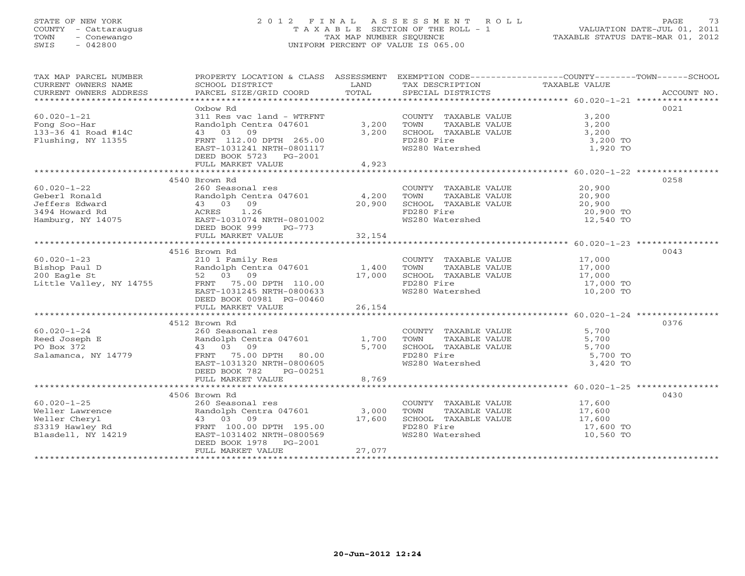## STATE OF NEW YORK 2 0 1 2 F I N A L A S S E S S M E N T R O L L PAGE 73 COUNTY - Cattaraugus T A X A B L E SECTION OF THE ROLL - 1 VALUATION DATE-JUL 01, 2011 TOWN - Conewango TAX MAP NUMBER SEQUENCE TAXABLE STATUS DATE-MAR 01, 2012 SWIS - 042800 UNIFORM PERCENT OF VALUE IS 065.00UNIFORM PERCENT OF VALUE IS 065.00

| TAX MAP PARCEL NUMBER                                                                                                                                                                                                                                                                                                                                                                                                        | PROPERTY LOCATION & CLASS ASSESSMENT EXEMPTION CODE----------------COUNTY-------TOWN------SCHOOL                                                                                                                                    |         |                                                                                                                      |           |      |
|------------------------------------------------------------------------------------------------------------------------------------------------------------------------------------------------------------------------------------------------------------------------------------------------------------------------------------------------------------------------------------------------------------------------------|-------------------------------------------------------------------------------------------------------------------------------------------------------------------------------------------------------------------------------------|---------|----------------------------------------------------------------------------------------------------------------------|-----------|------|
|                                                                                                                                                                                                                                                                                                                                                                                                                              |                                                                                                                                                                                                                                     |         |                                                                                                                      |           |      |
|                                                                                                                                                                                                                                                                                                                                                                                                                              |                                                                                                                                                                                                                                     |         |                                                                                                                      |           |      |
|                                                                                                                                                                                                                                                                                                                                                                                                                              | Dxbow Rd                                                                                                                                                                                                                            |         |                                                                                                                      |           | 0021 |
| $60.020 - 1 - 21$                                                                                                                                                                                                                                                                                                                                                                                                            | 311 Res vac land - WTRFNT                                                                                                                                                                                                           |         | COUNTY TAXABLE VALUE 3,200<br>3,200 TOWN TAXABLE VALUE 3,200<br>3,200 SCHOOL TAXABLE VALUE 3,200<br>FD280 Fire 3.200 |           |      |
| rong Soo-Har<br>133-36 41 Road #14C                                                                                                                                                                                                                                                                                                                                                                                          | Randolph Centra 047601 3,200                                                                                                                                                                                                        |         |                                                                                                                      |           |      |
|                                                                                                                                                                                                                                                                                                                                                                                                                              | 43 03 09                                                                                                                                                                                                                            |         |                                                                                                                      |           |      |
|                                                                                                                                                                                                                                                                                                                                                                                                                              |                                                                                                                                                                                                                                     |         |                                                                                                                      | 3,200 TO  |      |
|                                                                                                                                                                                                                                                                                                                                                                                                                              |                                                                                                                                                                                                                                     |         | FD280 Fire<br>WS280 Watershed                                                                                        | 1,920 TO  |      |
|                                                                                                                                                                                                                                                                                                                                                                                                                              | DEED BOOK 5723 PG-2001                                                                                                                                                                                                              |         |                                                                                                                      |           |      |
|                                                                                                                                                                                                                                                                                                                                                                                                                              | FULL MARKET VALUE                                                                                                                                                                                                                   | 4,923   |                                                                                                                      |           |      |
|                                                                                                                                                                                                                                                                                                                                                                                                                              |                                                                                                                                                                                                                                     |         |                                                                                                                      |           |      |
|                                                                                                                                                                                                                                                                                                                                                                                                                              | 4540 Brown Rd                                                                                                                                                                                                                       |         |                                                                                                                      |           | 0258 |
| $60.020 - 1 - 22$                                                                                                                                                                                                                                                                                                                                                                                                            | 260 Seasonal res                                                                                                                                                                                                                    |         | COUNTY TAXABLE VALUE 20,900                                                                                          |           |      |
|                                                                                                                                                                                                                                                                                                                                                                                                                              |                                                                                                                                                                                                                                     |         |                                                                                                                      |           |      |
|                                                                                                                                                                                                                                                                                                                                                                                                                              | Produced a contra 047601 and 01 and 01 and 01 and 01 b and 01 b and 01 b and 01 b and 01 b and 01 b and 01 b and 01 b and 01 b and 01 b and 01 b and 01 b and 01 b and 01 b and 01 b and 03 09 acres a contra $\frac{1.26}{20,900}$ |         |                                                                                                                      |           |      |
|                                                                                                                                                                                                                                                                                                                                                                                                                              |                                                                                                                                                                                                                                     |         |                                                                                                                      |           |      |
|                                                                                                                                                                                                                                                                                                                                                                                                                              |                                                                                                                                                                                                                                     |         |                                                                                                                      |           |      |
|                                                                                                                                                                                                                                                                                                                                                                                                                              |                                                                                                                                                                                                                                     |         |                                                                                                                      |           |      |
|                                                                                                                                                                                                                                                                                                                                                                                                                              |                                                                                                                                                                                                                                     |         |                                                                                                                      |           |      |
|                                                                                                                                                                                                                                                                                                                                                                                                                              | 4516 Brown Rd                                                                                                                                                                                                                       |         |                                                                                                                      |           | 0043 |
| 60.020-1-23<br>Bishop Paul D<br>200 Eagle St<br>200 Eagle St<br>200 Eagle St<br>200 Eagle St<br>200 Eagle St<br>200 Eagle St<br>200 Eagle St<br>200 Eagle St<br>200 Eagle St<br>200 Eagle St<br>200 Eagle St<br>200 Eagle St<br>200 Eagle St<br>200 Eagle St                                                                                                                                                                 |                                                                                                                                                                                                                                     |         |                                                                                                                      |           |      |
|                                                                                                                                                                                                                                                                                                                                                                                                                              |                                                                                                                                                                                                                                     |         |                                                                                                                      |           |      |
|                                                                                                                                                                                                                                                                                                                                                                                                                              |                                                                                                                                                                                                                                     |         |                                                                                                                      |           |      |
|                                                                                                                                                                                                                                                                                                                                                                                                                              |                                                                                                                                                                                                                                     |         |                                                                                                                      |           |      |
|                                                                                                                                                                                                                                                                                                                                                                                                                              |                                                                                                                                                                                                                                     |         |                                                                                                                      |           |      |
|                                                                                                                                                                                                                                                                                                                                                                                                                              | DEED BOOK 00981 PG-00460                                                                                                                                                                                                            |         |                                                                                                                      |           |      |
|                                                                                                                                                                                                                                                                                                                                                                                                                              | FULL MARKET VALUE                                                                                                                                                                                                                   | 26, 154 |                                                                                                                      |           |      |
|                                                                                                                                                                                                                                                                                                                                                                                                                              |                                                                                                                                                                                                                                     |         |                                                                                                                      |           |      |
|                                                                                                                                                                                                                                                                                                                                                                                                                              | 4512 Brown Rd                                                                                                                                                                                                                       |         |                                                                                                                      |           | 0376 |
|                                                                                                                                                                                                                                                                                                                                                                                                                              |                                                                                                                                                                                                                                     |         |                                                                                                                      |           |      |
|                                                                                                                                                                                                                                                                                                                                                                                                                              |                                                                                                                                                                                                                                     |         |                                                                                                                      |           |      |
|                                                                                                                                                                                                                                                                                                                                                                                                                              |                                                                                                                                                                                                                                     |         |                                                                                                                      |           |      |
| 60.020-1-24<br>Reed Joseph E 260 Seasonal res<br>Reed Joseph E 230 Seasonal res<br>Randolph Centra 047601 1,700 TOWN TAXABLE VALUE 5,700<br>FO Box 372 43 03 09<br>Salamanca, NY 14779 FRNT 75.00 DPTH 80.00<br>Salamanca, NY 14779 FRNT                                                                                                                                                                                     |                                                                                                                                                                                                                                     |         |                                                                                                                      | 5,700 TO  |      |
|                                                                                                                                                                                                                                                                                                                                                                                                                              | EAST-1031320 NRTH-0800605                                                                                                                                                                                                           |         | WS280 Watershed                                                                                                      | 3,420 TO  |      |
|                                                                                                                                                                                                                                                                                                                                                                                                                              | DEED BOOK 782 PG-00251                                                                                                                                                                                                              |         |                                                                                                                      |           |      |
|                                                                                                                                                                                                                                                                                                                                                                                                                              | FULL MARKET VALUE                                                                                                                                                                                                                   | 8,769   |                                                                                                                      |           |      |
|                                                                                                                                                                                                                                                                                                                                                                                                                              |                                                                                                                                                                                                                                     |         |                                                                                                                      |           |      |
|                                                                                                                                                                                                                                                                                                                                                                                                                              | 4506 Brown Rd                                                                                                                                                                                                                       |         |                                                                                                                      |           | 0430 |
|                                                                                                                                                                                                                                                                                                                                                                                                                              |                                                                                                                                                                                                                                     |         | COUNTY TAXABLE VALUE 17,600<br>TOWN TAXABLE VALUE 17,600                                                             |           |      |
| $\begin{tabular}{lllllllllllllllllllll} \multicolumn{3}{c }{\text{\small 60.020--1--25}} & & & \multicolumn{3}{c }{\text{\small 60.020--1--25}} & & & \multicolumn{3}{c }{\text{\small 60.020--1--25}} & & & \multicolumn{3}{c }{\text{\small 60.020--1--25}} & & & \multicolumn{3}{c }{\text{\small 60.020--1--25}} & & & \multicolumn{3}{c }{\text{\small 60.020--1--25}} & & & \multicolumn{3}{c }{\text{\small 60.020--$ |                                                                                                                                                                                                                                     |         |                                                                                                                      |           |      |
|                                                                                                                                                                                                                                                                                                                                                                                                                              |                                                                                                                                                                                                                                     |         | COMO TAXABLE VALUE 17,600<br>FD280 Fire 17,600 TO                                                                    |           |      |
|                                                                                                                                                                                                                                                                                                                                                                                                                              |                                                                                                                                                                                                                                     |         | WS280 Watershed                                                                                                      | 10,560 TO |      |
|                                                                                                                                                                                                                                                                                                                                                                                                                              |                                                                                                                                                                                                                                     |         |                                                                                                                      |           |      |
|                                                                                                                                                                                                                                                                                                                                                                                                                              | FULL MARKET VALUE                                                                                                                                                                                                                   | 27,077  |                                                                                                                      |           |      |
|                                                                                                                                                                                                                                                                                                                                                                                                                              |                                                                                                                                                                                                                                     |         |                                                                                                                      |           |      |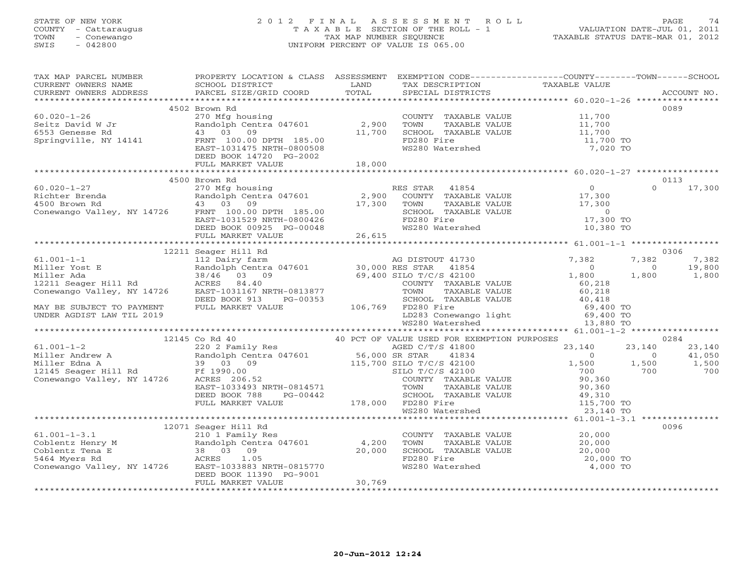## STATE OF NEW YORK 2 0 1 2 F I N A L A S S E S S M E N T R O L L PAGE 74 COUNTY - Cattaraugus T A X A B L E SECTION OF THE ROLL - 1 VALUATION DATE-JUL 01, 2011 TOWN - Conewango TAX MAP NUMBER SEQUENCE TAXABLE STATUS DATE-MAR 01, 2012 SWIS - 042800 UNIFORM PERCENT OF VALUE IS 065.00UNIFORM PERCENT OF VALUE IS 065.00

| TAX MAP PARCEL NUMBER                                                                                                                                                                                                                                                                                                                                                                               | PROPERTY LOCATION & CLASS ASSESSMENT EXEMPTION CODE----------------COUNTY-------TOWN------SCHOOL                   |        |                                                                                                                                                                              |                                                                      |                            |
|-----------------------------------------------------------------------------------------------------------------------------------------------------------------------------------------------------------------------------------------------------------------------------------------------------------------------------------------------------------------------------------------------------|--------------------------------------------------------------------------------------------------------------------|--------|------------------------------------------------------------------------------------------------------------------------------------------------------------------------------|----------------------------------------------------------------------|----------------------------|
|                                                                                                                                                                                                                                                                                                                                                                                                     |                                                                                                                    |        |                                                                                                                                                                              |                                                                      |                            |
|                                                                                                                                                                                                                                                                                                                                                                                                     | 4502 Brown Rd                                                                                                      |        |                                                                                                                                                                              |                                                                      | 0089                       |
| $60.020 - 1 - 26$                                                                                                                                                                                                                                                                                                                                                                                   | 270 Mfg housing                                                                                                    |        | COUNTY TAXABLE VALUE                                                                                                                                                         | 11,700                                                               |                            |
| Seitz David W Jr                                                                                                                                                                                                                                                                                                                                                                                    | Randolph Centra 047601 2,900                                                                                       |        | TOWN                                                                                                                                                                         |                                                                      |                            |
| 6553 Genesse Rd                                                                                                                                                                                                                                                                                                                                                                                     | 43 03 09                                                                                                           | 11,700 | SCHOOL TAXABLE VALUE                                                                                                                                                         | TAXABLE VALUE 11,700<br>TAXABLE VALUE 11,700<br>TAXABLE VALUE 11,700 |                            |
| Springville, NY 14141                                                                                                                                                                                                                                                                                                                                                                               | 43 US US<br>FRNT 100.00 DPTH 185.00<br>- - 1001475 NPTH-0800508                                                    |        | FD280 Fire                                                                                                                                                                   |                                                                      |                            |
|                                                                                                                                                                                                                                                                                                                                                                                                     |                                                                                                                    |        | WS280 Watershed                                                                                                                                                              | 11,700 TO<br>7,020 TO                                                |                            |
|                                                                                                                                                                                                                                                                                                                                                                                                     | DEED BOOK 14720 PG-2002                                                                                            |        |                                                                                                                                                                              |                                                                      |                            |
|                                                                                                                                                                                                                                                                                                                                                                                                     | FULL MARKET VALUE                                                                                                  | 18,000 |                                                                                                                                                                              |                                                                      |                            |
|                                                                                                                                                                                                                                                                                                                                                                                                     |                                                                                                                    |        |                                                                                                                                                                              |                                                                      |                            |
|                                                                                                                                                                                                                                                                                                                                                                                                     | 4500 Brown Rd                                                                                                      |        |                                                                                                                                                                              |                                                                      | 0113                       |
|                                                                                                                                                                                                                                                                                                                                                                                                     |                                                                                                                    |        |                                                                                                                                                                              |                                                                      | $\Omega$<br>17,300         |
|                                                                                                                                                                                                                                                                                                                                                                                                     |                                                                                                                    |        |                                                                                                                                                                              |                                                                      |                            |
|                                                                                                                                                                                                                                                                                                                                                                                                     |                                                                                                                    |        |                                                                                                                                                                              |                                                                      |                            |
|                                                                                                                                                                                                                                                                                                                                                                                                     |                                                                                                                    |        |                                                                                                                                                                              |                                                                      |                            |
|                                                                                                                                                                                                                                                                                                                                                                                                     |                                                                                                                    |        |                                                                                                                                                                              |                                                                      |                            |
|                                                                                                                                                                                                                                                                                                                                                                                                     |                                                                                                                    |        |                                                                                                                                                                              |                                                                      |                            |
| $\begin{array}{ccccccccc} 60.020-1-27 & & & & & 4500&\text{KPOW R} & & & & & & & & 0 \\ 60.020-1-27 & & & & & & 270&\text{Mfg housing} & & & & & & & & & 0 \\ \text{Richter Brenda} & & & & & & & & 270&\text{Mfg housing} & & & & & & 2,900&\text{COUNTY} & \text{TAXABLE VALUE} & & & & 17,300 \\ 4500&\text{Brown Rd} & & & & & & 43&03&09 & & & & & 17,300 & & & & & 17,300 \\ \text{Conewango$ |                                                                                                                    |        |                                                                                                                                                                              |                                                                      |                            |
|                                                                                                                                                                                                                                                                                                                                                                                                     |                                                                                                                    |        |                                                                                                                                                                              |                                                                      |                            |
|                                                                                                                                                                                                                                                                                                                                                                                                     | 12211 Seager Hill Rd                                                                                               |        |                                                                                                                                                                              |                                                                      | 0306                       |
| $61.001 - 1 - 1$                                                                                                                                                                                                                                                                                                                                                                                    | 112 Dairy farm                                                                                                     |        | AG DISTOUT 41730                                                                                                                                                             | 7,382                                                                | 7,382<br>7,382             |
|                                                                                                                                                                                                                                                                                                                                                                                                     |                                                                                                                    |        |                                                                                                                                                                              | $\overline{0}$                                                       | 19,800<br>$\circ$<br>1,800 |
| 01.001-1-1<br>Miller Yost E<br>Miller Ada<br>12211 Seager Hill Rd<br>2211 Seager Hill Rd<br>2211 Seager Hill Rd<br>2211 Seager Hill Rd<br>2211 Seager Hill Rd<br>2211 Seager Hill Rd<br>2211 Seager Hill Rd<br>2211 Seager Hill Rd<br>2211 Seager Hi                                                                                                                                                |                                                                                                                    |        | COUNTY TAXABLE VALUE                                                                                                                                                         | 1,800<br>60,218                                                      | 1,800                      |
|                                                                                                                                                                                                                                                                                                                                                                                                     |                                                                                                                    |        |                                                                                                                                                                              |                                                                      |                            |
|                                                                                                                                                                                                                                                                                                                                                                                                     |                                                                                                                    |        |                                                                                                                                                                              |                                                                      |                            |
|                                                                                                                                                                                                                                                                                                                                                                                                     |                                                                                                                    |        |                                                                                                                                                                              |                                                                      |                            |
| MAY BE SUBJECT TO PAYMENT DEED BOOK 913 PG-00353 SCHOOL TAXAMENT DEED BOOK 913 PG-00353 SCHOOL TAXAMENT DEED BOOK 913 PG-00353                                                                                                                                                                                                                                                                      |                                                                                                                    |        |                                                                                                                                                                              |                                                                      |                            |
|                                                                                                                                                                                                                                                                                                                                                                                                     |                                                                                                                    |        | TOWN TAXABLE VALUE 60,218<br>SCHOOL TAXABLE VALUE 40,418<br>FD280 Fire 69,400 TO<br>LD283 Conewango light 69,400 TO<br>WS280 Watershed 13,880 TO                             |                                                                      |                            |
|                                                                                                                                                                                                                                                                                                                                                                                                     |                                                                                                                    |        |                                                                                                                                                                              |                                                                      |                            |
|                                                                                                                                                                                                                                                                                                                                                                                                     | Co Rd $40$<br>220 2 Family Res $40$ PCT OF VALUE USED FOR EXEMPTION PURPOSES<br>230 2 Family Res<br>12145 Co Rd 40 |        |                                                                                                                                                                              |                                                                      | 0284                       |
| $61.001 - 1 - 2$                                                                                                                                                                                                                                                                                                                                                                                    |                                                                                                                    |        |                                                                                                                                                                              | 23,140                                                               | 23,140<br>23,140           |
|                                                                                                                                                                                                                                                                                                                                                                                                     |                                                                                                                    |        | 41834                                                                                                                                                                        | $\overline{0}$                                                       | 41,050<br>$\Omega$         |
|                                                                                                                                                                                                                                                                                                                                                                                                     |                                                                                                                    |        |                                                                                                                                                                              | 1,500 1,500                                                          | 1,500                      |
|                                                                                                                                                                                                                                                                                                                                                                                                     |                                                                                                                    |        |                                                                                                                                                                              | 700                                                                  | 700<br>700                 |
|                                                                                                                                                                                                                                                                                                                                                                                                     |                                                                                                                    |        | COUNTY TAXABLE VALUE                                                                                                                                                         | 90,360                                                               |                            |
|                                                                                                                                                                                                                                                                                                                                                                                                     |                                                                                                                    |        | TAXABLE VALUE                                                                                                                                                                | 90,360                                                               |                            |
|                                                                                                                                                                                                                                                                                                                                                                                                     | DEED BOOK 788<br>PG-00442                                                                                          |        | 10000 70000 70000 782<br>3-00442 5CHOOL 7AX<br>178,000 FD280 Fire<br>Form Taxable value<br>SCHOOL TAXABLE VALUE 49,310<br>FD280 Fire 115,700 TO<br>WS280 Watershed 23,140 TO |                                                                      |                            |
|                                                                                                                                                                                                                                                                                                                                                                                                     | FULL MARKET VALUE                                                                                                  |        |                                                                                                                                                                              |                                                                      |                            |
|                                                                                                                                                                                                                                                                                                                                                                                                     |                                                                                                                    |        |                                                                                                                                                                              |                                                                      |                            |
|                                                                                                                                                                                                                                                                                                                                                                                                     |                                                                                                                    |        |                                                                                                                                                                              |                                                                      |                            |
| Coblentz Henry M<br>Coblentz Tena E<br>Coblentz Tena E<br>S464 Myers Rd<br>Conewango Valley, NY 14726<br>Conewango Valley, NY 14726<br>DEED BOOK 11390<br>PG-9001<br>CEED BOOK 11390<br>PG-9001                                                                                                                                                                                                     | 12071 Seager Hill Rd                                                                                               |        |                                                                                                                                                                              |                                                                      | 0096                       |
|                                                                                                                                                                                                                                                                                                                                                                                                     |                                                                                                                    |        | COUNTY TAXABLE VALUE 20,000                                                                                                                                                  |                                                                      |                            |
|                                                                                                                                                                                                                                                                                                                                                                                                     |                                                                                                                    |        | TOWN<br>TAXABLE VALUE                                                                                                                                                        | $\frac{20,000}{20,000}$                                              |                            |
|                                                                                                                                                                                                                                                                                                                                                                                                     |                                                                                                                    |        | SCHOOL TAXABLE VALUE                                                                                                                                                         |                                                                      |                            |
|                                                                                                                                                                                                                                                                                                                                                                                                     |                                                                                                                    |        | FD280 Fire<br>WS280 Watershed                                                                                                                                                | 20,000 TO<br>4,000 TO                                                |                            |
|                                                                                                                                                                                                                                                                                                                                                                                                     |                                                                                                                    |        |                                                                                                                                                                              |                                                                      |                            |
|                                                                                                                                                                                                                                                                                                                                                                                                     | FULL MARKET VALUE                                                                                                  | 30,769 |                                                                                                                                                                              |                                                                      |                            |
|                                                                                                                                                                                                                                                                                                                                                                                                     |                                                                                                                    |        |                                                                                                                                                                              |                                                                      |                            |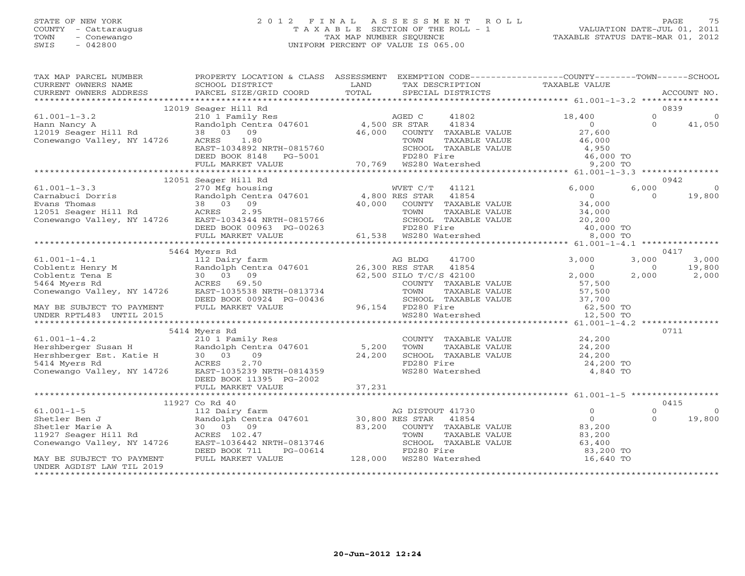## STATE OF NEW YORK 2 0 1 2 F I N A L A S S E S S M E N T R O L L PAGE 75 COUNTY - Cattaraugus T A X A B L E SECTION OF THE ROLL - 1 VALUATION DATE-JUL 01, 2011 TOWN - Conewango TAX MAP NUMBER SEQUENCE TAXABLE STATUS DATE-MAR 01, 2012 SWIS - 042800 UNIFORM PERCENT OF VALUE IS 065.00UNIFORM PERCENT OF VALUE IS 065.00

| TAX MAP PARCEL NUMBER<br>CURRENT OWNERS NAME                                                                                                                                                     | PROPERTY LOCATION & CLASS ASSESSMENT EXEMPTION CODE---------------COUNTY-------TOWN------SCHOOL<br><b>Example 18</b><br>SCHOOL DISTRICT            |       | TAX DESCRIPTION                                       | TAXABLE VALUE                                                 |          |                 |
|--------------------------------------------------------------------------------------------------------------------------------------------------------------------------------------------------|----------------------------------------------------------------------------------------------------------------------------------------------------|-------|-------------------------------------------------------|---------------------------------------------------------------|----------|-----------------|
| CURRENT OWNERS ADDRESS                                                                                                                                                                           | PARCEL SIZE/GRID COORD                                                                                                                             | TOTAL | SPECIAL DISTRICTS                                     |                                                               |          | ACCOUNT NO.     |
|                                                                                                                                                                                                  |                                                                                                                                                    |       |                                                       |                                                               |          |                 |
|                                                                                                                                                                                                  | 12019 Seager Hill Rd<br>AGED C<br>Randolph Centra 047601 4,500 SR STAR<br>38 03 09 46,000 COUNTY<br>ACRES 1.80 46,000 COUNTY<br>EAST-1034802 NOTER |       |                                                       |                                                               |          | 0839            |
| $61.001 - 1 - 3.2$                                                                                                                                                                               |                                                                                                                                                    |       | 41802                                                 | 18,400                                                        | $\Omega$ | $\Omega$        |
|                                                                                                                                                                                                  |                                                                                                                                                    |       | 41834                                                 | $\overline{0}$                                                | $\Omega$ | 41,050          |
|                                                                                                                                                                                                  |                                                                                                                                                    |       | 46,000 COUNTY TAXABLE VALUE                           | 27,600                                                        |          |                 |
|                                                                                                                                                                                                  |                                                                                                                                                    |       | TAXABLE VALUE                                         | 46,000                                                        |          |                 |
|                                                                                                                                                                                                  | EAST-1034892 NRTH-0815760 SCHOOL TAXABLE<br>DEED BOOK 8148 PG-5001 FD280 Fire<br>FULL MARKET VALUE 70,769 WS280 Watershed                          |       | SCHOOL TAXABLE VALUE                                  | 4,950                                                         |          |                 |
|                                                                                                                                                                                                  |                                                                                                                                                    |       |                                                       | 46,000 TO<br>9,200 TO                                         |          |                 |
|                                                                                                                                                                                                  |                                                                                                                                                    |       |                                                       |                                                               |          |                 |
|                                                                                                                                                                                                  |                                                                                                                                                    |       |                                                       |                                                               |          |                 |
|                                                                                                                                                                                                  | 12051 Seager Hill Rd                                                                                                                               |       |                                                       |                                                               |          | 0942            |
| $61.001 - 1 - 3.3$                                                                                                                                                                               | 270 Mfg housing                                                                                                                                    |       | WVET C/T 41121                                        | 6,000                                                         | 6,000    | $\Omega$        |
|                                                                                                                                                                                                  |                                                                                                                                                    |       |                                                       |                                                               | $\Omega$ | 19,800          |
|                                                                                                                                                                                                  |                                                                                                                                                    |       |                                                       |                                                               |          |                 |
|                                                                                                                                                                                                  |                                                                                                                                                    |       |                                                       |                                                               |          |                 |
|                                                                                                                                                                                                  |                                                                                                                                                    |       |                                                       |                                                               |          |                 |
|                                                                                                                                                                                                  |                                                                                                                                                    |       |                                                       |                                                               |          |                 |
|                                                                                                                                                                                                  |                                                                                                                                                    |       |                                                       |                                                               |          |                 |
|                                                                                                                                                                                                  | 5464 Myers Rd                                                                                                                                      |       |                                                       |                                                               |          | 0417            |
|                                                                                                                                                                                                  |                                                                                                                                                    |       |                                                       |                                                               | 3,000    |                 |
| $61.001 - 1 - 4.1$                                                                                                                                                                               |                                                                                                                                                    |       |                                                       | 3,000<br>$\Omega$                                             | $\Omega$ | 3,000           |
| Coblentz Henry M<br>Coblentz Tena E 30 03 09<br>5464 Myers Rd<br>5464 Myers Rd<br>2003 09<br>2003 09                                                                                             | Myers Ku<br>112 Dairy farm<br>Randolph Centra 047601<br>30 03 09<br>26,300 RES STAR 41854<br>62,500 SILO T/C/S 42100<br>200NTY TAXABLE             |       |                                                       | 2,000                                                         | 2,000    | 19,800<br>2,000 |
|                                                                                                                                                                                                  |                                                                                                                                                    |       | COUNTY TAXABLE VALUE                                  |                                                               |          |                 |
| Conewango Valley, NY 14726                                                                                                                                                                       | EAST-1035538 NRTH-0813734                                                                                                                          |       |                                                       | 57,500                                                        |          |                 |
|                                                                                                                                                                                                  |                                                                                                                                                    |       |                                                       | TOWN TAXABLE VALUE 57,500<br>SCHOOL TAXABLE VALUE 37,700      |          |                 |
|                                                                                                                                                                                                  | DEED BOOK 00924 PG-00436 SCHOOL TAX<br>FULL MARKET VALUE 96,154 FD280 Fire                                                                         |       |                                                       | 62,500 TO                                                     |          |                 |
| MAY BE SUBJECT TO PAYMENT<br>UNDER RPTL483 UNTIL 2015                                                                                                                                            |                                                                                                                                                    |       | WS280 Watershed                                       | 12,500 TO                                                     |          |                 |
|                                                                                                                                                                                                  |                                                                                                                                                    |       |                                                       |                                                               |          |                 |
|                                                                                                                                                                                                  | 5414 Myers Rd                                                                                                                                      |       |                                                       |                                                               |          | 0711            |
|                                                                                                                                                                                                  |                                                                                                                                                    |       |                                                       | COUNTY TAXABLE VALUE 24,200                                   |          |                 |
|                                                                                                                                                                                                  |                                                                                                                                                    |       | TOWN                                                  |                                                               |          |                 |
|                                                                                                                                                                                                  |                                                                                                                                                    |       |                                                       | TAXABLE VALUE<br>TAXABLE VALUE 24,200<br>TAXABLE VALUE 24,200 |          |                 |
|                                                                                                                                                                                                  |                                                                                                                                                    |       |                                                       | 24,200 TO                                                     |          |                 |
| 61.001-1-4.2<br>Hershberger Susan H Randolph Centra 047601 5,200<br>Hershberger Est. Katie H 30 03 09 24,200<br>5414 Myers Rd ACRES 2.70<br>Conewango Valley, NY 14726 EAST-1035239 NRTH-0814359 |                                                                                                                                                    |       | SCHOOL TAXABLE VALUE<br>FD280 Fire<br>WS280 Watershed | 4,840 TO                                                      |          |                 |
|                                                                                                                                                                                                  | DEED BOOK 11395 PG-2002                                                                                                                            |       |                                                       |                                                               |          |                 |
|                                                                                                                                                                                                  |                                                                                                                                                    |       |                                                       |                                                               |          |                 |
|                                                                                                                                                                                                  |                                                                                                                                                    |       |                                                       |                                                               |          |                 |
|                                                                                                                                                                                                  | 11927 Co Rd 40                                                                                                                                     |       |                                                       |                                                               |          | 0415            |
| $61.001 - 1 - 5$                                                                                                                                                                                 | 112 Dairy farm                                                                                                                                     |       | AG DISTOUT 41730                                      | $\Omega$                                                      | $\Omega$ | $\cap$          |
| of the mandel of the mandelph Central<br>Shetler Marie A and Bandelph Central<br>1927 Seager Hill Rd ACRES 102.47                                                                                | Randolph Centra 047601 30,800 RES STAR                                                                                                             |       | 41854                                                 | $\overline{O}$                                                | $\Omega$ | 19,800          |
|                                                                                                                                                                                                  | 83,200                                                                                                                                             |       | COUNTY TAXABLE VALUE                                  | 83,200                                                        |          |                 |
|                                                                                                                                                                                                  |                                                                                                                                                    |       | TAXABLE VALUE<br>TOWN                                 | 83,200                                                        |          |                 |
| Conewango Valley, NY 14726                                                                                                                                                                       | EAST-1036442 NRTH-0813746                                                                                                                          |       | SCHOOL TAXABLE VALUE                                  | 63,400                                                        |          |                 |
|                                                                                                                                                                                                  | DEED BOOK 711<br>PG-00614                                                                                                                          |       | FD280 Fire                                            | 83,200 TO                                                     |          |                 |
| MAY BE SUBJECT TO PAYMENT                                                                                                                                                                        | FULL MARKET VALUE                                                                                                                                  |       |                                                       | 16,640 TO                                                     |          |                 |
| UNDER AGDIST LAW TIL 2019                                                                                                                                                                        |                                                                                                                                                    |       |                                                       |                                                               |          |                 |
|                                                                                                                                                                                                  |                                                                                                                                                    |       |                                                       |                                                               |          |                 |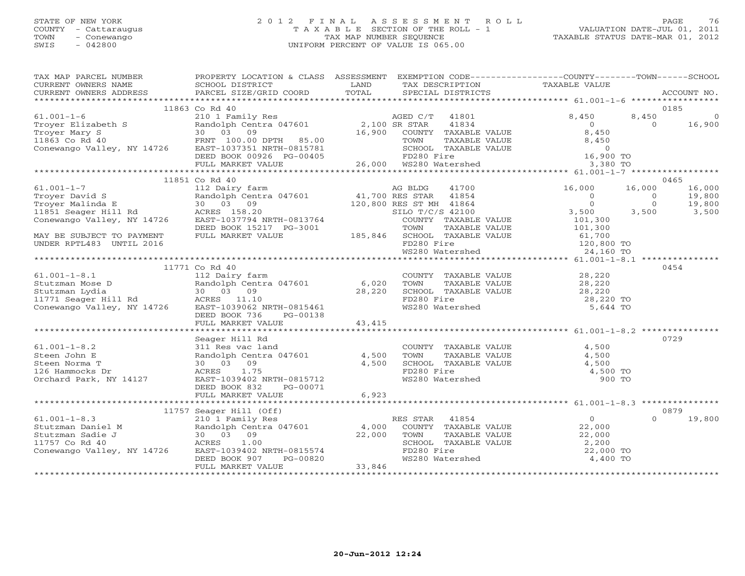## STATE OF NEW YORK 2 0 1 2 F I N A L A S S E S S M E N T R O L L PAGE 76 COUNTY - Cattaraugus T A X A B L E SECTION OF THE ROLL - 1 VALUATION DATE-JUL 01, 2011 TOWN - Conewango TAX MAP NUMBER SEQUENCE TAXABLE STATUS DATE-MAR 01, 2012 SWIS - 042800 UNIFORM PERCENT OF VALUE IS 065.00UNIFORM PERCENT OF VALUE IS 065.00

| TAX MAP PARCEL NUMBER<br>TAX PARCES NONDER TRAFFULL INCOLLENT ACCOUNT AND TRAFFULL TRAFFULL IN THE CONFERNIT OWNERS NAMEL SCHOOL DISTRICT AND TRAFFULL TRAFFULL TRAFFULL TRAFFULL TRAFFULL TRAFFULL TRAFFULL TRAFFULL TRAFFULL TRAFFULL TRAFFULL TRAFFU                                                                                                                                             | PROPERTY LOCATION & CLASS ASSESSMENT EXEMPTION CODE---------------COUNTY-------TOWN------SCHOOL |                                                                                                                                                                                                                               |          |        |
|-----------------------------------------------------------------------------------------------------------------------------------------------------------------------------------------------------------------------------------------------------------------------------------------------------------------------------------------------------------------------------------------------------|-------------------------------------------------------------------------------------------------|-------------------------------------------------------------------------------------------------------------------------------------------------------------------------------------------------------------------------------|----------|--------|
|                                                                                                                                                                                                                                                                                                                                                                                                     |                                                                                                 |                                                                                                                                                                                                                               |          |        |
|                                                                                                                                                                                                                                                                                                                                                                                                     | 11863 Co Rd 40                                                                                  |                                                                                                                                                                                                                               |          | 0185   |
|                                                                                                                                                                                                                                                                                                                                                                                                     |                                                                                                 |                                                                                                                                                                                                                               |          |        |
|                                                                                                                                                                                                                                                                                                                                                                                                     |                                                                                                 |                                                                                                                                                                                                                               |          | 16,900 |
|                                                                                                                                                                                                                                                                                                                                                                                                     |                                                                                                 |                                                                                                                                                                                                                               |          |        |
|                                                                                                                                                                                                                                                                                                                                                                                                     |                                                                                                 |                                                                                                                                                                                                                               |          |        |
|                                                                                                                                                                                                                                                                                                                                                                                                     |                                                                                                 |                                                                                                                                                                                                                               |          |        |
|                                                                                                                                                                                                                                                                                                                                                                                                     |                                                                                                 |                                                                                                                                                                                                                               |          |        |
|                                                                                                                                                                                                                                                                                                                                                                                                     |                                                                                                 |                                                                                                                                                                                                                               |          |        |
|                                                                                                                                                                                                                                                                                                                                                                                                     |                                                                                                 |                                                                                                                                                                                                                               |          |        |
|                                                                                                                                                                                                                                                                                                                                                                                                     |                                                                                                 |                                                                                                                                                                                                                               |          |        |
|                                                                                                                                                                                                                                                                                                                                                                                                     |                                                                                                 |                                                                                                                                                                                                                               |          |        |
|                                                                                                                                                                                                                                                                                                                                                                                                     |                                                                                                 |                                                                                                                                                                                                                               |          |        |
|                                                                                                                                                                                                                                                                                                                                                                                                     |                                                                                                 |                                                                                                                                                                                                                               |          |        |
|                                                                                                                                                                                                                                                                                                                                                                                                     |                                                                                                 |                                                                                                                                                                                                                               |          |        |
|                                                                                                                                                                                                                                                                                                                                                                                                     |                                                                                                 |                                                                                                                                                                                                                               |          |        |
|                                                                                                                                                                                                                                                                                                                                                                                                     |                                                                                                 |                                                                                                                                                                                                                               |          |        |
|                                                                                                                                                                                                                                                                                                                                                                                                     |                                                                                                 |                                                                                                                                                                                                                               |          |        |
|                                                                                                                                                                                                                                                                                                                                                                                                     |                                                                                                 |                                                                                                                                                                                                                               |          |        |
| $\begin{tabular}{l c c c c c c} \multicolumn{3}{c c c c} \multicolumn{3}{c c c} \multicolumn{3}{c c c} \multicolumn{3}{c c c} \multicolumn{3}{c c c} \multicolumn{3}{c c c} \multicolumn{3}{c c c} \multicolumn{3}{c c c} \multicolumn{3}{c c c} \multicolumn{3}{c c c} \multicolumn{3}{c c c} \multicolumn{3}{c c c} \multicolumn{3}{c c c} \multicolumn{3}{c c c} \multicolumn{3}{c c c} \multic$ |                                                                                                 |                                                                                                                                                                                                                               |          |        |
|                                                                                                                                                                                                                                                                                                                                                                                                     | 11771 Co Rd 40                                                                                  |                                                                                                                                                                                                                               |          | 0454   |
|                                                                                                                                                                                                                                                                                                                                                                                                     |                                                                                                 |                                                                                                                                                                                                                               |          |        |
| 61.001-1-8.1 11/1 C Nu Tuy<br>Stutzman Mose D<br>Stutzman Lydia 30 03 09 28,220<br>11771 Seager Hill Rd ACRES 11.10<br>Conewango Valley, NY 14726 EAST-1039062 NRTH-0815461<br>DEED BOOK 736 PG-00138                                                                                                                                                                                               |                                                                                                 |                                                                                                                                                                                                                               |          |        |
|                                                                                                                                                                                                                                                                                                                                                                                                     |                                                                                                 |                                                                                                                                                                                                                               |          |        |
|                                                                                                                                                                                                                                                                                                                                                                                                     |                                                                                                 |                                                                                                                                                                                                                               |          |        |
|                                                                                                                                                                                                                                                                                                                                                                                                     |                                                                                                 |                                                                                                                                                                                                                               |          |        |
|                                                                                                                                                                                                                                                                                                                                                                                                     |                                                                                                 |                                                                                                                                                                                                                               |          |        |
|                                                                                                                                                                                                                                                                                                                                                                                                     |                                                                                                 |                                                                                                                                                                                                                               |          |        |
|                                                                                                                                                                                                                                                                                                                                                                                                     | Seager Hill Rd                                                                                  |                                                                                                                                                                                                                               |          | 0729   |
|                                                                                                                                                                                                                                                                                                                                                                                                     |                                                                                                 |                                                                                                                                                                                                                               |          |        |
|                                                                                                                                                                                                                                                                                                                                                                                                     |                                                                                                 |                                                                                                                                                                                                                               |          |        |
|                                                                                                                                                                                                                                                                                                                                                                                                     |                                                                                                 |                                                                                                                                                                                                                               |          |        |
| 61.001-1-8.2<br>Steen John E<br>Steen Norma T<br>126 Hammocks Dr<br>Orchard Park, NY 14127<br>$\begin{array}{r} \text{111 R} \\ \text{220 R} \\ \text{230 R} \\ \text{24 R} \\ \text{250 R} \\ \text{26 R} \\ \text{27 R} \\ \text{28 R} \\ \text{29 R} \\ \text{20 R} \\ \text{20 R} \\ \text{21 R} \\ \text{22 R} \\ \text{23 R} \\ \text{24 R} \\ \text{25$                                      |                                                                                                 | COUNTY TAXABLE VALUE $\begin{array}{ccc} 4,500 \ \text{TOWN} & \text{TAXABLE VALUE} & 4,500 \ \text{SCHOOL} & \text{TAXABLE VALUE} & 4,500 \ \text{FD280 Fire} & 4,500 \ \text{WS280 Watershed} & 900 \text{ TO} \end{array}$ |          |        |
|                                                                                                                                                                                                                                                                                                                                                                                                     |                                                                                                 |                                                                                                                                                                                                                               |          |        |
|                                                                                                                                                                                                                                                                                                                                                                                                     | DEED BOOK 832 PG-00071                                                                          |                                                                                                                                                                                                                               |          |        |
|                                                                                                                                                                                                                                                                                                                                                                                                     |                                                                                                 |                                                                                                                                                                                                                               |          |        |
|                                                                                                                                                                                                                                                                                                                                                                                                     |                                                                                                 |                                                                                                                                                                                                                               |          |        |
|                                                                                                                                                                                                                                                                                                                                                                                                     |                                                                                                 |                                                                                                                                                                                                                               | $\Omega$ | 0879   |
|                                                                                                                                                                                                                                                                                                                                                                                                     |                                                                                                 |                                                                                                                                                                                                                               |          | 19,800 |
|                                                                                                                                                                                                                                                                                                                                                                                                     |                                                                                                 |                                                                                                                                                                                                                               |          |        |
|                                                                                                                                                                                                                                                                                                                                                                                                     |                                                                                                 |                                                                                                                                                                                                                               |          |        |
|                                                                                                                                                                                                                                                                                                                                                                                                     |                                                                                                 |                                                                                                                                                                                                                               |          |        |
|                                                                                                                                                                                                                                                                                                                                                                                                     |                                                                                                 |                                                                                                                                                                                                                               |          |        |
|                                                                                                                                                                                                                                                                                                                                                                                                     |                                                                                                 |                                                                                                                                                                                                                               |          |        |
|                                                                                                                                                                                                                                                                                                                                                                                                     |                                                                                                 |                                                                                                                                                                                                                               |          |        |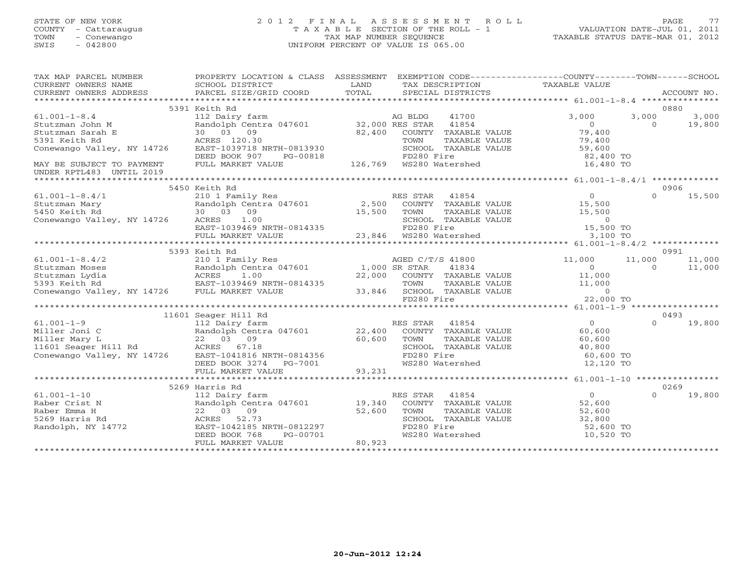## STATE OF NEW YORK 2 0 1 2 F I N A L A S S E S S M E N T R O L L PAGE 77 COUNTY - Cattaraugus T A X A B L E SECTION OF THE ROLL - 1 VALUATION DATE-JUL 01, 2011 TOWN - Conewango TAX MAP NUMBER SEQUENCE TAXABLE STATUS DATE-MAR 01, 2012 SWIS - 042800 UNIFORM PERCENT OF VALUE IS 065.00UNIFORM PERCENT OF VALUE IS 065.00

|                                                                                                                        |                                                                                     |        | EXEMPTION CODE----------------COUNTY-------TOWN------SCHOOL                          |                |          |             |
|------------------------------------------------------------------------------------------------------------------------|-------------------------------------------------------------------------------------|--------|--------------------------------------------------------------------------------------|----------------|----------|-------------|
| TAX MAP PARCEL NUMBER                                                                                                  | PROPERTY LOCATION & CLASS ASSESSMENT                                                |        |                                                                                      |                |          |             |
| CURRENT OWNERS NAME                                                                                                    | SCHOOL DISTRICT                                                                     | LAND   | TAX DESCRIPTION TAXABLE VALUE                                                        |                |          |             |
| CURRENT OWNERS ADDRESS                                                                                                 | PARCEL SIZE/GRID COORD                                                              | TOTAL  | SPECIAL DISTRICTS                                                                    |                |          | ACCOUNT NO. |
|                                                                                                                        |                                                                                     |        |                                                                                      |                |          |             |
|                                                                                                                        | 5391 Keith Rd                                                                       |        |                                                                                      |                |          | 0880        |
| $61.001 - 1 - 8.4$                                                                                                     | Extern<br>112 Dairy farm<br>Randolph Centra 047601 32,000 RES STAR<br>32,400 COUNTY |        | 41700                                                                                | 3,000          | 3,000    | 3,000       |
| Stutzman John M                                                                                                        |                                                                                     |        | 41854                                                                                | $\Omega$       | $\Omega$ | 19,800      |
| Stutzman Sarah E                                                                                                       |                                                                                     |        | COUNTY TAXABLE VALUE                                                                 | 79,400         |          |             |
| 5391 Keith Rd                                                                                                          | ACRES 120.30                                                                        |        | TOWN<br>TAXABLE VALUE                                                                | 79,400         |          |             |
| Conewango Valley, NY 14726                                                                                             | EAST-1039718 NRTH-0813930                                                           |        | SCHOOL TAXABLE VALUE                                                                 | 59,600         |          |             |
|                                                                                                                        | DEED BOOK 907<br>PG-00818                                                           |        | FD280 Fire                                                                           | 82,400 TO      |          |             |
| MAY BE SUBJECT TO PAYMENT                                                                                              | FULL MARKET VALUE                                                                   |        | 126,769 WS280 Watershed                                                              | 16,480 TO      |          |             |
|                                                                                                                        |                                                                                     |        |                                                                                      |                |          |             |
| UNDER RPTL483 UNTIL 2019                                                                                               |                                                                                     |        |                                                                                      |                |          |             |
|                                                                                                                        |                                                                                     |        |                                                                                      |                |          |             |
|                                                                                                                        | 5450 Keith Rd                                                                       |        |                                                                                      |                |          | 0906        |
| $61.001 - 1 - 8.4/1$                                                                                                   | 210 1 Family Res                                                                    |        | RES STAR 41854                                                                       | $\overline{0}$ | $\Omega$ | 15,500      |
| Stutzman Mary                                                                                                          | Randolph Centra 047601 2,500                                                        |        | COUNTY TAXABLE VALUE                                                                 | 15,500         |          |             |
| 5450 Keith Rd                                                                                                          | 30 03 09                                                                            | 15,500 | TOWN<br>TAXABLE VALUE                                                                | 15,500         |          |             |
| Conewango Valley, NY 14726 ACRES                                                                                       | 1.00                                                                                |        | SCHOOL TAXABLE VALUE                                                                 | $\circ$        |          |             |
|                                                                                                                        |                                                                                     |        |                                                                                      | 15,500 TO      |          |             |
|                                                                                                                        | EAST-1039469 NRTH-0814335<br>FD280 Fire<br>FULL MARKET VALUE 23,846 WS280 Watershed |        |                                                                                      | 3,100 TO       |          |             |
|                                                                                                                        |                                                                                     |        |                                                                                      |                |          |             |
|                                                                                                                        | 5393 Keith Rd                                                                       |        |                                                                                      |                |          | 0991        |
| $61.001 - 1 - 8.4/2$                                                                                                   | 210 1 Family Res                                                                    |        | AGED C/T/S 41800                                                                     | 11,000         | 11,000   | 11,000      |
|                                                                                                                        |                                                                                     |        |                                                                                      |                |          |             |
|                                                                                                                        | Randolph Centra 047601 1,000 SR STAR<br>ACRES 1.00 22,000 COUNTY                    |        | 41834                                                                                | $\circ$        | $\Omega$ | 11,000      |
|                                                                                                                        |                                                                                     | 22,000 | COUNTY TAXABLE VALUE                                                                 | 11,000         |          |             |
|                                                                                                                        | EAST-1039469 NRTH-0814335                                                           |        |                                                                                      |                |          |             |
| %1.001-1-8.4/2<br>Stutzman Moses<br>Stutzman Lydia<br>5393 Keith Rd<br>Conewango Valley, NY 14726<br>PULL MARKET VALUE |                                                                                     |        | 0814335 TOWN TAXABLE VALUE $33,846$ SCHOOL TAXABLE VALUE 0<br>0<br>FD280 Fire 22.000 |                |          |             |
|                                                                                                                        |                                                                                     |        | FD280 Fire                                                                           | 22,000 TO      |          |             |
|                                                                                                                        |                                                                                     |        |                                                                                      |                |          |             |
|                                                                                                                        | 11601 Seager Hill Rd                                                                |        |                                                                                      |                |          | 0493        |
| $61.001 - 1 - 9$                                                                                                       | 112 Dairy farm                                                                      |        | RES STAR 41854                                                                       | $\Omega$       | $\Omega$ | 19,800      |
| Miller Joni C                                                                                                          | Randolph Centra 047601 22,400                                                       |        | COUNTY TAXABLE VALUE                                                                 | 60,600         |          |             |
| Miller Mary L                                                                                                          | 22 03 09                                                                            | 60,600 | TOWN<br>TAXABLE VALUE                                                                | 60,600         |          |             |
| $11601$ Seager Hill Rd                                                                                                 | ACRES 67.18                                                                         |        | SCHOOL TAXABLE VALUE                                                                 | 40,800         |          |             |
| Conewango Valley, NY 14726                                                                                             | EAST-1041816 NRTH-0814356                                                           |        | FD280 Fire                                                                           | 60,600 TO      |          |             |
|                                                                                                                        | DEED BOOK 3274 PG-7001                                                              |        | WS280 Watershed                                                                      | 12,120 TO      |          |             |
|                                                                                                                        |                                                                                     |        |                                                                                      |                |          |             |
|                                                                                                                        | FULL MARKET VALUE                                                                   | 93,231 |                                                                                      |                |          |             |
|                                                                                                                        |                                                                                     |        |                                                                                      |                |          |             |
|                                                                                                                        | 5269 Harris Rd                                                                      |        |                                                                                      |                |          | 0269        |
| $61.001 - 1 - 10$                                                                                                      | 112 Dairy farm                                                                      |        | RES STAR 41854                                                                       | $\overline{0}$ | $\Omega$ | 19,800      |
| Raber Crist N                                                                                                          | Randolph Centra 047601 19,340                                                       |        | COUNTY TAXABLE VALUE                                                                 | 52,600         |          |             |
| Raber Emma H                                                                                                           | 22 03 09                                                                            | 52,600 | TOWN<br>TAXABLE VALUE                                                                | 52,600         |          |             |
| 5269 Harris Rd                                                                                                         | ACRES 52.73                                                                         |        | SCHOOL TAXABLE VALUE                                                                 | 32,800         |          |             |
| Randolph, NY 14772                                                                                                     | EAST-1042185 NRTH-0812297                                                           |        |                                                                                      | 52,600 TO      |          |             |
|                                                                                                                        | DEED BOOK 768<br>PG-00701                                                           |        | FD280 Fire<br>WS280 Watershed                                                        | 10,520 TO      |          |             |
|                                                                                                                        | FULL MARKET VALUE                                                                   | 80,923 |                                                                                      |                |          |             |
|                                                                                                                        |                                                                                     |        |                                                                                      |                |          |             |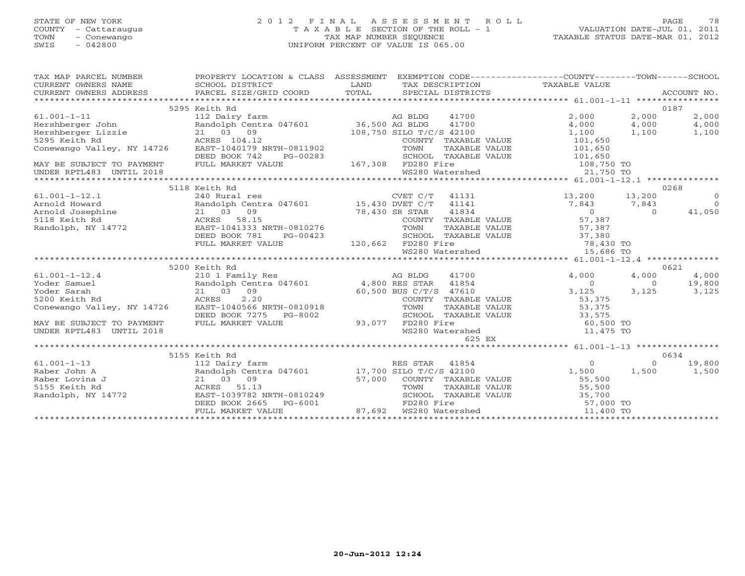## STATE OF NEW YORK 2 0 1 2 F I N A L A S S E S S M E N T R O L L PAGE 78 COUNTY - Cattaraugus T A X A B L E SECTION OF THE ROLL - 1 VALUATION DATE-JUL 01, 2011 TOWN - Conewango TAX MAP NUMBER SEQUENCE TAXABLE STATUS DATE-MAR 01, 2012 SWIS - 042800 UNIFORM PERCENT OF VALUE IS 065.00UNIFORM PERCENT OF VALUE IS 065.00

| TAX MAP PARCEL NUMBER                                                 | PROPERTY LOCATION & CLASS ASSESSMENT                                                             |                                          |                |                                                              | EXEMPTION CODE-----------------COUNTY-------TOWN------SCHOOL              |                |                |
|-----------------------------------------------------------------------|--------------------------------------------------------------------------------------------------|------------------------------------------|----------------|--------------------------------------------------------------|---------------------------------------------------------------------------|----------------|----------------|
|                                                                       | 5295 Keith Rd                                                                                    |                                          |                |                                                              |                                                                           |                | 0187           |
| $61.001 - 1 - 11$                                                     |                                                                                                  |                                          |                | 41700                                                        | 2,000                                                                     | 2,000          | 2,000          |
|                                                                       | 112 Dairy farm<br>Randolph Centra 047601 36,500 AG BLDG                                          |                                          |                | 41700                                                        | 4,000                                                                     | 4,000          | 4,000          |
|                                                                       |                                                                                                  |                                          |                |                                                              | 1,100 1,100                                                               |                | 1,100          |
| 61.001-1-11<br>Hershberger John<br>Ershberger Lizzie<br>5295 Keith Rd |                                                                                                  |                                          |                |                                                              |                                                                           |                |                |
|                                                                       |                                                                                                  |                                          |                | COUNTY TAXABLE VALUE                                         | 101,650<br>101,650                                                        |                |                |
|                                                                       | DEED BOOK 742<br>PG-00283                                                                        |                                          |                | TAXABLE VALUE                                                |                                                                           |                |                |
|                                                                       | FULL MARKET VALUE                                                                                | 3-00283 SCHOOL TAX<br>167,308 FD280 Fire |                |                                                              | SCHOOL TAXABLE VALUE 101,650                                              |                |                |
| MAY BE SUBJECT TO PAYMENT<br>UNDER RPTL483 UNTIL 2018                 |                                                                                                  |                                          |                |                                                              |                                                                           |                |                |
|                                                                       |                                                                                                  |                                          |                |                                                              |                                                                           |                |                |
|                                                                       | 5118 Keith Rd                                                                                    |                                          |                |                                                              |                                                                           |                | 0268           |
| $61.001 - 1 - 12.1$                                                   |                                                                                                  |                                          |                | $CVET C/T$ 41131                                             | 13,200 13,200                                                             |                | $\overline{0}$ |
| Arnold Howard                                                         |                                                                                                  |                                          |                |                                                              | 7,843                                                                     | 7,843          | $\overline{0}$ |
|                                                                       | 21 03 09                                                                                         |                                          |                |                                                              |                                                                           | $\overline{0}$ | 41,050         |
| Arnold Josephine<br>5118 Keith Rd<br>Randolph, NY 14772               | 78,430 SR STAR<br>COUNTY                                                                         |                                          |                |                                                              | var var 11834<br>COUNTY TAXABLE VALUE 57,387<br>TOWN TAXABLE VALUE 57,387 |                |                |
|                                                                       | ACKES 58.15<br>EAST-1041333 NRTH-0810276                                                         |                                          |                |                                                              |                                                                           |                |                |
|                                                                       | DEED BOOK 781<br>PG-00423                                                                        |                                          |                |                                                              | SCHOOL TAXABLE VALUE 37,380                                               |                |                |
|                                                                       | FULL MARKET VALUE                                                                                |                                          |                |                                                              |                                                                           |                |                |
|                                                                       |                                                                                                  | 120,662 FD280 Fire<br>WS280 Water        |                |                                                              | FD280 Fire<br>WS280 Watershed 15,686 TO                                   |                |                |
|                                                                       |                                                                                                  |                                          |                |                                                              |                                                                           |                |                |
|                                                                       | 5200 Keith Rd                                                                                    |                                          |                |                                                              |                                                                           |                | 0621           |
| $61.001 - 1 - 12.4$                                                   |                                                                                                  |                                          |                | 41700                                                        | 4,000                                                                     | 4,000          | 4,000          |
| Yoder Samuel                                                          |                                                                                                  |                                          |                |                                                              | $\overline{0}$                                                            | $\overline{0}$ | 19,800         |
| !<br>!<br>ley, NY 14726<br>Yoder Sarah                                |                                                                                                  |                                          |                |                                                              | 3,125                                                                     | 3,125          | 3,125          |
| 5200 Keith Rd                                                         | 21 03 09<br>ACRES 2.20<br>EAST-1040566 NRTH-0810918<br>EAST-1040566 NRTH-0810918<br>TOWN TAXABLE |                                          |                |                                                              |                                                                           |                |                |
| Conewango Valley, NY 14726                                            |                                                                                                  |                                          |                |                                                              | COUNTY TAXABLE VALUE 53,375<br>TOWN      TAXABLE VALUE 53,375             |                |                |
|                                                                       | DEED BOOK 7275 PG-8002                                                                           |                                          |                | SCHOOL TAXABLE VALUE                                         | 33,575                                                                    |                |                |
| MAY BE SUBJECT TO PAYMENT                                             | FULL MARKET VALUE                                                                                | 93,077 FD280 Fire                        |                |                                                              |                                                                           |                |                |
| UNDER RPTL483 UNTIL 2018                                              |                                                                                                  |                                          |                | WS280 Watershed                                              | $60,500$ TO<br>$11,475$ TO<br>$11,475$ TO                                 |                |                |
|                                                                       |                                                                                                  |                                          |                | 625 EX                                                       |                                                                           |                |                |
|                                                                       |                                                                                                  |                                          |                |                                                              |                                                                           |                |                |
|                                                                       | 5155 Keith Rd                                                                                    |                                          |                |                                                              |                                                                           |                | 0634           |
| $61.001 - 1 - 13$                                                     | 112 Dairy farm                                                                                   |                                          | RES STAR 41854 |                                                              | $\overline{0}$                                                            | $\Omega$       | 19,800         |
|                                                                       | Randolph Centra 047601 17,700 SILO T/C/S 42100                                                   |                                          |                |                                                              | 1,500 1,500                                                               |                | 1,500          |
|                                                                       | 21 03 09                                                                                         |                                          |                |                                                              |                                                                           |                |                |
| raior Iohn A<br>Raber Lovina J<br>5155 Keith Rd<br>Randolph, NY 14772 | ACRES 51.13                                                                                      |                                          |                | 57,000    COUNTY   TAXABLE VALUE<br>TOWN       TAXABLE VALUE | 55,500<br>55,500                                                          |                |                |
|                                                                       | EAST-1039782 NRTH-0810249                                                                        |                                          |                | SCHOOL TAXABLE VALUE                                         | 35,700                                                                    |                |                |
|                                                                       | DEED BOOK 2665                                                                                   |                                          |                |                                                              |                                                                           |                |                |
|                                                                       | FULL MARKET VALUE                                                                                |                                          |                |                                                              | PG-6001 FD280 Fire 57,000 TO<br>UE 37,692 WS280 Watershed 11,400 TO       |                |                |
|                                                                       |                                                                                                  |                                          |                |                                                              |                                                                           |                |                |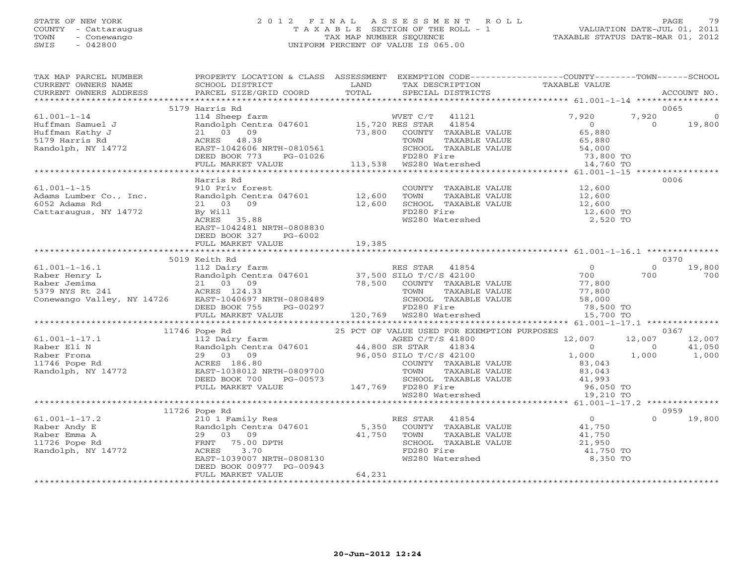## STATE OF NEW YORK 2 0 1 2 F I N A L A S S E S S M E N T R O L L PAGE 79 COUNTY - Cattaraugus T A X A B L E SECTION OF THE ROLL - 1 VALUATION DATE-JUL 01, 2011 TOWN - Conewango TAX MAP NUMBER SEQUENCE TAXABLE STATUS DATE-MAR 01, 2012 SWIS - 042800 UNIFORM PERCENT OF VALUE IS 065.00UNIFORM PERCENT OF VALUE IS 065.00

| TAX MAP PARCEL NUMBER<br>CURRENT OWNERS NAME<br>CURRENT OWNERS ADDRESS                           | PROPERTY LOCATION & CLASS ASSESSMENT EXEMPTION CODE----------------COUNTY-------TOWN------SCHOOL<br>SCHOOL DISTRICT<br>PARCEL SIZE/GRID COORD                                                                                                                                                                                                                                            | <b>EXAMPLE SERVICE SERVICE SERVICE SERVICE SERVICE SERVICE SERVICE SERVICE SERVICE SERVICE SERVICE SERVICE SERVICE</b><br>TOTAL | TAX DESCRIPTION TAXABLE VALUE SPECIAL DISTRICTS                                                                                                                                                                                                                                              |                                                                                                    |                                   | ACCOUNT NO.               |
|--------------------------------------------------------------------------------------------------|------------------------------------------------------------------------------------------------------------------------------------------------------------------------------------------------------------------------------------------------------------------------------------------------------------------------------------------------------------------------------------------|---------------------------------------------------------------------------------------------------------------------------------|----------------------------------------------------------------------------------------------------------------------------------------------------------------------------------------------------------------------------------------------------------------------------------------------|----------------------------------------------------------------------------------------------------|-----------------------------------|---------------------------|
|                                                                                                  |                                                                                                                                                                                                                                                                                                                                                                                          |                                                                                                                                 |                                                                                                                                                                                                                                                                                              |                                                                                                    |                                   |                           |
|                                                                                                  | 5179 Harris Rd                                                                                                                                                                                                                                                                                                                                                                           |                                                                                                                                 |                                                                                                                                                                                                                                                                                              |                                                                                                    | 0065                              |                           |
| $61.001 - 1 - 14$<br>Huffman Samuel J<br>Huffman Kathy J<br>5179 Harris Rd<br>Randolph, NY 14772 | 114 Sheep farm<br>Randolph Centra 047601 15,720 RES STAR 41854<br>21 03 09 73,800 COUNTY TAXABLE VALUE<br>ACRES 48.38 TOWN TAXABLE VALUE<br>21 03 09<br>ACRES 48.38 TOWN TAXABLE<br>EAST-1042606 NRTH-0810561 SCHOOL TAXABLE<br>DEED BOOK 773 PG-01026 FD280 Fire<br>FULL MARKET VALUE 113,538 WS280 Watershed                                                                           |                                                                                                                                 | SCHOOL TAXABLE VALUE 54,000<br>FD280 Fire 73,800 TO                                                                                                                                                                                                                                          | 7,920<br>$\overline{0}$<br>65,880<br>65,880                                                        | 7,920<br>$\Omega$                 | $\overline{0}$<br>19,800  |
|                                                                                                  |                                                                                                                                                                                                                                                                                                                                                                                          |                                                                                                                                 |                                                                                                                                                                                                                                                                                              | 900 TO 73,800 TO 75,800 TO                                                                         |                                   |                           |
|                                                                                                  |                                                                                                                                                                                                                                                                                                                                                                                          |                                                                                                                                 |                                                                                                                                                                                                                                                                                              |                                                                                                    |                                   |                           |
|                                                                                                  | Harris Rd                                                                                                                                                                                                                                                                                                                                                                                |                                                                                                                                 |                                                                                                                                                                                                                                                                                              |                                                                                                    | 0006                              |                           |
| $61.001 - 1 - 15$<br>Adams Lumber Co., Inc.<br>6052 Adams Rd<br>Cattaraugus, NY 14772            | 910 Priv forest<br>Randolph Centra 047601 12,600<br>21 03 09 12,600<br>By Will<br>ACRES 35.88<br>EAST-1042481 NRTH-0808830<br>DEED BOOK 327<br>PG-6002                                                                                                                                                                                                                                   |                                                                                                                                 | $\begin{array}{lll} \text{COUNTY} & \text{TAXABLE VALUE} & & & 12,600 \\ \text{mean} & \text{maxair.} & \text{VALUE} & & 12,600 \end{array}$<br>COUNTY TAXABLE VALUE<br>TOWN TAXABLE VALUE 12,600<br>SCHOOL TAXABLE VALUE 12,600<br>12,600<br>12,600<br>12,600<br>$WS280$ Watershed 2,520 TO |                                                                                                    |                                   |                           |
|                                                                                                  | FULL MARKET VALUE                                                                                                                                                                                                                                                                                                                                                                        | 19,385                                                                                                                          |                                                                                                                                                                                                                                                                                              |                                                                                                    |                                   |                           |
|                                                                                                  |                                                                                                                                                                                                                                                                                                                                                                                          |                                                                                                                                 |                                                                                                                                                                                                                                                                                              |                                                                                                    |                                   |                           |
|                                                                                                  | 5019 Keith Rd                                                                                                                                                                                                                                                                                                                                                                            |                                                                                                                                 |                                                                                                                                                                                                                                                                                              |                                                                                                    | 0370                              |                           |
|                                                                                                  |                                                                                                                                                                                                                                                                                                                                                                                          |                                                                                                                                 | TOWN TAXABLE VALUE 77,800<br>SCHOOL TAXABLE VALUE 58,000                                                                                                                                                                                                                                     | U<br>700<br>77,800<br>77,800<br>78,500 TO<br>15,700 TO                                             | $\circ$<br>700                    | 19,800<br>700             |
|                                                                                                  |                                                                                                                                                                                                                                                                                                                                                                                          |                                                                                                                                 |                                                                                                                                                                                                                                                                                              |                                                                                                    |                                   |                           |
|                                                                                                  | 11746 Pope Rd                                                                                                                                                                                                                                                                                                                                                                            |                                                                                                                                 |                                                                                                                                                                                                                                                                                              |                                                                                                    |                                   | 0367                      |
| $61.001 - 1 - 17.1$<br>Raber Eli N<br>Raber Frona<br>11746 Pope Rd<br>Randolph, NY 14772         | Pope Rd<br>112 Dairy farm<br>25 PCT OF VALUE USED C/T/S 41800<br>Randolph Centra 047601<br>29 03 09<br>29 03 09<br>29 03 09<br>29 03 09<br>29 03 09<br>29 03 09<br>29 03 09<br>29 03 09<br>29 03 09<br>29 03 09<br>29 03 09<br>20 050 SILO T/C/S 42100<br>COUN<br>ACRES 186.80<br>EAST-1038012 NRTH-0809700<br>DEED BOOK 700 PG-00573 SCHOOL TAX<br>FULL MARKET VALUE 147,769 FD280 Fire |                                                                                                                                 | COUNTY TAXABLE VALUE<br>TOWN TAXABLE VALUE<br>SCHOOL TAXABLE VALUE<br>SCHOOL TAXABLE VALUE<br>FD280 Fire<br>WS280 Watershed<br>19,210 TO                                                                                                                                                     | $\begin{smallmatrix}12\,,\,0\,0\,7\&\phantom-0\0&\phantom-1\,1\,0\,0\,0\end{smallmatrix}$<br>1,000 | 12,007<br>$\overline{0}$<br>1,000 | 12,007<br>41,050<br>1,000 |
|                                                                                                  |                                                                                                                                                                                                                                                                                                                                                                                          |                                                                                                                                 |                                                                                                                                                                                                                                                                                              |                                                                                                    |                                   |                           |
|                                                                                                  |                                                                                                                                                                                                                                                                                                                                                                                          |                                                                                                                                 |                                                                                                                                                                                                                                                                                              |                                                                                                    |                                   |                           |
|                                                                                                  | 11726 Pope Rd                                                                                                                                                                                                                                                                                                                                                                            |                                                                                                                                 |                                                                                                                                                                                                                                                                                              |                                                                                                    | 0959                              |                           |
| $61.001 - 1 - 17.2$<br>Raber Andy E<br>Raber Emma A<br>11726 Pope Rd<br>Randolph, NY 14772       | 29 03 09<br>FRNT 75.00 DPTH<br>3.70<br>ACRES<br>EAST-1039007 NRTH-0808130<br>DEED BOOK 00977 PG-00943                                                                                                                                                                                                                                                                                    | 41,750 TOWN<br>41,750 TOWN<br>ECHOOL<br>FD280 F                                                                                 | TAXABLE VALUE<br>SCHOOL TAXABLE VALUE<br>FD280 Fire<br>WS280 Watershed                                                                                                                                                                                                                       | $\overline{0}$<br>41,750<br>41,750<br>21,950<br>41,750 TO<br>8,350 TO                              | $\Omega$                          | 19,800                    |
|                                                                                                  | FULL MARKET VALUE                                                                                                                                                                                                                                                                                                                                                                        | 64,231                                                                                                                          |                                                                                                                                                                                                                                                                                              |                                                                                                    |                                   |                           |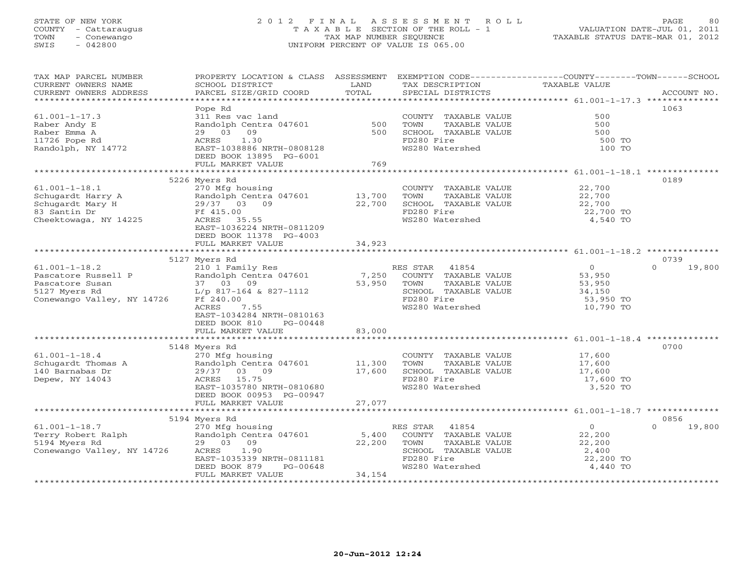## STATE OF NEW YORK 2 0 1 2 F I N A L A S S E S S M E N T R O L L PAGE 80 COUNTY - Cattaraugus T A X A B L E SECTION OF THE ROLL - 1 VALUATION DATE-JUL 01, 2011 TOWN - Conewango TAX MAP NUMBER SEQUENCE TAXABLE STATUS DATE-MAR 01, 2012 SWIS - 042800 UNIFORM PERCENT OF VALUE IS 065.00UNIFORM PERCENT OF VALUE IS 065.00

| TAX MAP PARCEL NUMBER                                                                       | PROPERTY LOCATION & CLASS ASSESSMENT EXEMPTION CODE---------------COUNTY-------TOWN-----SCHOOL |            |                       |                  |                    |
|---------------------------------------------------------------------------------------------|------------------------------------------------------------------------------------------------|------------|-----------------------|------------------|--------------------|
| CURRENT OWNERS NAME                                                                         | SCHOOL DISTRICT                                                                                | LAND       | TAX DESCRIPTION       | TAXABLE VALUE    |                    |
| CURRENT OWNERS ADDRESS                                                                      | PARCEL SIZE/GRID COORD                                                                         | TOTAL      | SPECIAL DISTRICTS     |                  | ACCOUNT NO.        |
|                                                                                             |                                                                                                |            |                       |                  |                    |
|                                                                                             | Pope Rd                                                                                        |            |                       |                  | 1063               |
| $61.001 - 1 - 17.3$                                                                         | 311 Res vac land                                                                               |            | COUNTY TAXABLE VALUE  | 500              |                    |
|                                                                                             | Randolph Centra 047601                                                                         |            | TOWN<br>TAXABLE VALUE | 500              |                    |
| Raber Andy E                                                                                |                                                                                                | 500<br>500 |                       |                  |                    |
| Raber Emma A                                                                                | 29 03 09                                                                                       |            | SCHOOL TAXABLE VALUE  | 500              |                    |
| 11726 Pope Rd                                                                               | 1.30<br>ACRES                                                                                  |            | FD280 Fire            | 500 TO           |                    |
| Randolph, NY 14772                                                                          | EAST-1038886 NRTH-0808128                                                                      |            | WS280 Watershed       | 100 TO           |                    |
|                                                                                             | DEED BOOK 13895 PG-6001                                                                        |            |                       |                  |                    |
|                                                                                             | FULL MARKET VALUE                                                                              | 769        |                       |                  |                    |
|                                                                                             |                                                                                                |            |                       |                  |                    |
|                                                                                             | 5226 Myers Rd                                                                                  |            |                       |                  | 0189               |
| $61.001 - 1 - 18.1$                                                                         | 270 Mfg housing                                                                                |            | COUNTY TAXABLE VALUE  | 22,700           |                    |
|                                                                                             |                                                                                                |            | TOWN<br>TAXABLE VALUE |                  |                    |
|                                                                                             | Randolph Centra 047601 13,700                                                                  |            |                       | 22,700           |                    |
|                                                                                             |                                                                                                | 22,700     | SCHOOL TAXABLE VALUE  | 22,700           |                    |
| 83 Santin Dr                                                                                | Ff 415.00                                                                                      |            | FD280 Fire            | 22,700 TO        |                    |
| Cheektowaga, NY 14225                                                                       | ACRES 35.55                                                                                    |            | WS280 Watershed       | 4,540 TO         |                    |
|                                                                                             | EAST-1036224 NRTH-0811209                                                                      |            |                       |                  |                    |
|                                                                                             | DEED BOOK 11378 PG-4003                                                                        |            |                       |                  |                    |
|                                                                                             | FULL MARKET VALUE                                                                              | 34,923     |                       |                  |                    |
|                                                                                             |                                                                                                |            |                       |                  |                    |
|                                                                                             | 5127 Myers Rd                                                                                  |            |                       |                  | 0739               |
| $61.001 - 1 - 18.2$                                                                         | 210 1 Family Res                                                                               |            | RES STAR<br>41854     | $\overline{0}$   | 19,800<br>$\Omega$ |
|                                                                                             |                                                                                                | 7,250      | COUNTY TAXABLE VALUE  | 53,950           |                    |
|                                                                                             |                                                                                                |            |                       |                  |                    |
|                                                                                             |                                                                                                | 53,950     | TOWN<br>TAXABLE VALUE | 53,950           |                    |
|                                                                                             |                                                                                                |            | SCHOOL TAXABLE VALUE  | 34,150           |                    |
| Conewango Valley, NY 14726                                                                  | Ff 240.00                                                                                      |            | FD280 Fire            | 53,950 TO        |                    |
|                                                                                             | 7.55<br>ACRES                                                                                  |            | WS280 Watershed       | 10,790 TO        |                    |
|                                                                                             | EAST-1034284 NRTH-0810163                                                                      |            |                       |                  |                    |
|                                                                                             | DEED BOOK 810<br>PG-00448                                                                      |            |                       |                  |                    |
|                                                                                             | FULL MARKET VALUE                                                                              | 83,000     |                       |                  |                    |
|                                                                                             |                                                                                                |            |                       |                  |                    |
|                                                                                             | 5148 Myers Rd                                                                                  |            |                       |                  | 0700               |
|                                                                                             |                                                                                                |            |                       |                  |                    |
| $61.001 - 1 - 18.4$                                                                         | 270 Mfg housing                                                                                |            | COUNTY TAXABLE VALUE  | 17,600<br>17,600 |                    |
| Schugardt Thomas A                                                                          | 270 mig nousing<br>Randolph Centra 047601<br>29/37 03 09                                       | 11,300     | TAXABLE VALUE<br>TOWN |                  |                    |
| 140 Barnabas Dr                                                                             | 29/37 03 09                                                                                    | 17,600     | SCHOOL TAXABLE VALUE  | 17,600           |                    |
| Depew, NY 14043                                                                             | ACRES 15.75                                                                                    |            | FD280 Fire            | 17,600 TO        |                    |
|                                                                                             | EAST-1035780 NRTH-0810680                                                                      |            | WS280 Watershed       | 3,520 TO         |                    |
|                                                                                             | DEED BOOK 00953 PG-00947                                                                       |            |                       |                  |                    |
|                                                                                             | FULL MARKET VALUE                                                                              | 27,077     |                       |                  |                    |
|                                                                                             |                                                                                                |            |                       |                  |                    |
|                                                                                             | 5194 Myers Rd                                                                                  |            |                       |                  | 0856               |
| $61.001 - 1 - 18.7$                                                                         | 270 Mfg housing                                                                                |            | RES STAR<br>41854     | $\overline{O}$   | $\Omega$<br>19,800 |
|                                                                                             |                                                                                                |            |                       |                  |                    |
| Terry Robert Ralph and the contract of the Randolph Centra 047601<br>5194 Myers Rd 29 03 09 |                                                                                                | 5,400      | COUNTY TAXABLE VALUE  | 22,200           |                    |
|                                                                                             | 29 03 09                                                                                       | 22,200     | TOWN<br>TAXABLE VALUE | 22,200           |                    |
| Conewango Valley, NY 14726                                                                  | ACRES 1.90                                                                                     |            | SCHOOL TAXABLE VALUE  | 2,400            |                    |
|                                                                                             | EAST-1035339 NRTH-0811181                                                                      |            | FD280 Fire            | 22,200 TO        |                    |
|                                                                                             | DEED BOOK 879<br>PG-00648                                                                      |            | WS280 Watershed       | 4,440 TO         |                    |
|                                                                                             | FULL MARKET VALUE                                                                              | 34,154     |                       |                  |                    |
|                                                                                             |                                                                                                |            |                       |                  |                    |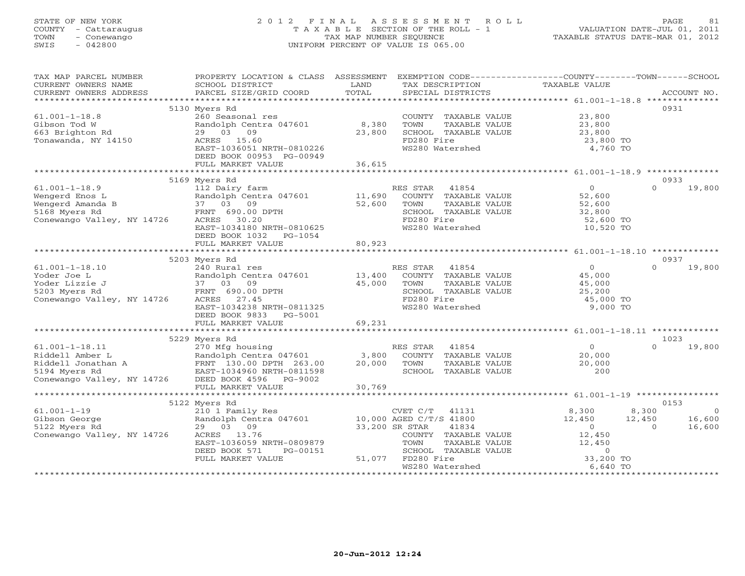## STATE OF NEW YORK 2 0 1 2 F I N A L A S S E S S M E N T R O L L PAGE 81 COUNTY - Cattaraugus T A X A B L E SECTION OF THE ROLL - 1 VALUATION DATE-JUL 01, 2011 TOWN - Conewango TAX MAP NUMBER SEQUENCE TAXABLE STATUS DATE-MAR 01, 2012 SWIS - 042800 UNIFORM PERCENT OF VALUE IS 065.00UNIFORM PERCENT OF VALUE IS 065.00

| TAX MAP PARCEL NUMBER                                                                                                                       | PROPERTY LOCATION & CLASS ASSESSMENT EXEMPTION CODE----------------COUNTY-------TOWN------SCHOOL                                                      |        |                                                                       |                                 |                    |
|---------------------------------------------------------------------------------------------------------------------------------------------|-------------------------------------------------------------------------------------------------------------------------------------------------------|--------|-----------------------------------------------------------------------|---------------------------------|--------------------|
| CURRENT OWNERS NAME                                                                                                                         | SCHOOL DISTRICT                                                                                                                                       | LAND   | TAX DESCRIPTION                                                       | TAXABLE VALUE                   |                    |
| CURRENT OWNERS ADDRESS                                                                                                                      | PARCEL SIZE/GRID COORD                                                                                                                                | TOTAL  | SPECIAL DISTRICTS                                                     |                                 | ACCOUNT NO.        |
|                                                                                                                                             |                                                                                                                                                       |        |                                                                       |                                 |                    |
|                                                                                                                                             | 5130 Myers Rd                                                                                                                                         |        |                                                                       |                                 | 0931               |
| $61.001 - 1 - 18.8$                                                                                                                         | 260 Seasonal res                                                                                                                                      |        | COUNTY TAXABLE VALUE                                                  | 23,800                          |                    |
| Gibson Tod W                                                                                                                                | Randolph Centra 047601 8,380                                                                                                                          |        | TAXABLE VALUE<br>TOWN                                                 | 23,800                          |                    |
| 663 Brighton Rd                                                                                                                             | 29 03 09                                                                                                                                              | 23,800 | SCHOOL TAXABLE VALUE                                                  |                                 |                    |
| Tonawanda, NY 14150                                                                                                                         | ACRES 15.60                                                                                                                                           |        | FD280 Fire                                                            | 23,800<br>23,800 TO             |                    |
|                                                                                                                                             | EAST-1036051 NRTH-0810226                                                                                                                             |        | WS280 Watershed                                                       | 4,760 TO                        |                    |
|                                                                                                                                             | DEED BOOK 00953 PG-00949                                                                                                                              |        |                                                                       |                                 |                    |
|                                                                                                                                             | FULL MARKET VALUE                                                                                                                                     | 36,615 |                                                                       |                                 |                    |
|                                                                                                                                             |                                                                                                                                                       |        |                                                                       |                                 |                    |
|                                                                                                                                             | 5169 Myers Rd                                                                                                                                         |        |                                                                       |                                 | 0933               |
| $61.001 - 1 - 18.9$                                                                                                                         | 112 Dairy farm                                                                                                                                        |        | RES STAR<br>41854                                                     | $\Omega$                        | $\Omega$<br>19,800 |
| Wengerd Enos L                                                                                                                              |                                                                                                                                                       | 11,690 | COUNTY TAXABLE VALUE                                                  | 52,600                          |                    |
| Wengerd Amanda B                                                                                                                            |                                                                                                                                                       | 52,600 | TOWN<br>TAXABLE VALUE                                                 |                                 |                    |
| 5168 Myers Rd                                                                                                                               | Example of the Mandalpy Centra 047601<br>B 37 03 09<br>FRNT 690.00 DPTH                                                                               |        | SCHOOL TAXABLE VALUE                                                  | $52,600$<br>$32,800$            |                    |
| Conewango Valley, NY 14726                                                                                                                  | ACRES 30.20                                                                                                                                           |        | FD280 Fire                                                            | 52,600 TO                       |                    |
|                                                                                                                                             | EAST-1034180 NRTH-0810625                                                                                                                             |        | WS280 Watershed                                                       | 10,520 TO                       |                    |
|                                                                                                                                             | DEED BOOK 1032    PG-1054                                                                                                                             |        |                                                                       |                                 |                    |
|                                                                                                                                             | FULL MARKET VALUE                                                                                                                                     | 80,923 |                                                                       |                                 |                    |
|                                                                                                                                             |                                                                                                                                                       |        |                                                                       |                                 |                    |
|                                                                                                                                             | 5203 Myers Rd                                                                                                                                         |        |                                                                       |                                 | 0937               |
| $61.001 - 1 - 18.10$                                                                                                                        | 240 Rural res                                                                                                                                         |        | RES STAR 41854                                                        | $\overline{0}$                  | $\Omega$<br>19,800 |
| Yoder Joe L                                                                                                                                 | Randolph Centra 047601 13,400                                                                                                                         |        | COUNTY TAXABLE VALUE 45,000                                           |                                 |                    |
| Yoder Lizzie J                                                                                                                              | 37 03 09                                                                                                                                              | 45,000 | TAXABLE VALUE<br>TOWN                                                 | 45,000                          |                    |
| 5203 Myers Rd                                                                                                                               | FRNT 690.00 DPTH                                                                                                                                      |        | SCHOOL TAXABLE VALUE                                                  | 25,200                          |                    |
| Conewango Valley, NY 14726                                                                                                                  | 27.45<br>ACRES                                                                                                                                        |        | FD280 Fire                                                            | 45,000 TO                       |                    |
|                                                                                                                                             | EAST-1034238 NRTH-0811325                                                                                                                             |        | WS280 Watershed                                                       | 9,000 TO                        |                    |
|                                                                                                                                             | DEED BOOK 9833 PG-5001                                                                                                                                |        |                                                                       |                                 |                    |
|                                                                                                                                             | FULL MARKET VALUE                                                                                                                                     | 69,231 |                                                                       |                                 |                    |
|                                                                                                                                             |                                                                                                                                                       |        |                                                                       |                                 |                    |
|                                                                                                                                             | 5229 Myers Rd                                                                                                                                         |        |                                                                       |                                 | 1023               |
| $61.001 - 1 - 18.11$                                                                                                                        | 270 Mfg housing                                                                                                                                       |        | RES STAR 41854                                                        | $\overline{0}$                  | $\Omega$<br>19,800 |
|                                                                                                                                             |                                                                                                                                                       |        | COUNTY TAXABLE VALUE                                                  | 20,000<br>20,000                |                    |
|                                                                                                                                             |                                                                                                                                                       |        | TOWN<br>TAXABLE VALUE                                                 |                                 |                    |
| Riddell Amber L<br>Randolph Centra 047601 3,800<br>Riddell Jonathan A<br>5194 Myers Rd<br>Conewango Valley, NY 14726 DEED BOOK 4596 PG-9002 |                                                                                                                                                       |        | SCHOOL TAXABLE VALUE                                                  | 200                             |                    |
|                                                                                                                                             |                                                                                                                                                       |        |                                                                       |                                 |                    |
|                                                                                                                                             | FULL MARKET VALUE                                                                                                                                     | 30,769 |                                                                       |                                 |                    |
|                                                                                                                                             |                                                                                                                                                       |        |                                                                       |                                 |                    |
|                                                                                                                                             | 5122 Myers Rd                                                                                                                                         |        |                                                                       |                                 | 0153               |
| $61.001 - 1 - 19$                                                                                                                           |                                                                                                                                                       |        | $CVET C/T$ 41131                                                      | 8,300<br>8,300                  | $\overline{0}$     |
|                                                                                                                                             | 210 1 Family Res<br>210 1 Family Res<br>Randolph Centra 047601 10,000 AGED C/T/S 41800<br>29 03 09 33,200 SR STAR 41834<br>ACRES 13.76 COUNTY TAXABLE |        |                                                                       | $\frac{12}{12}$ , 450<br>12,450 | 16,600<br>16,600   |
|                                                                                                                                             |                                                                                                                                                       |        |                                                                       |                                 | $\overline{0}$     |
|                                                                                                                                             |                                                                                                                                                       |        | COUNTY TAXABLE VALUE                                                  | 12,450                          |                    |
|                                                                                                                                             | EAST-1036059 NRTH-0809879                                                                                                                             |        | TOWN                                                                  | 12,450                          |                    |
|                                                                                                                                             | DEED BOOK 571<br>PG-00151                                                                                                                             |        | SCHOOL TAXABLE VALUE                                                  | $\overline{O}$                  |                    |
|                                                                                                                                             | FULL MARKET VALUE                                                                                                                                     | 51,077 | 41834<br>TAXABLE VALUE<br>TAXABLE VALUE<br>TIMBLE VALUE<br>FD280 Fire | 33,200 TO                       |                    |
|                                                                                                                                             |                                                                                                                                                       |        | WS280 Watershed                                                       | 6,640 TO                        |                    |
|                                                                                                                                             |                                                                                                                                                       |        |                                                                       |                                 |                    |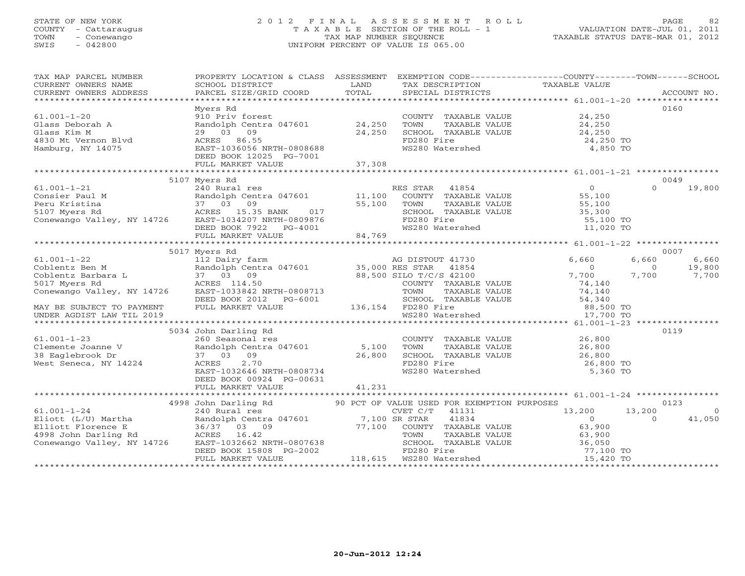## STATE OF NEW YORK 2 0 1 2 F I N A L A S S E S S M E N T R O L L PAGE 82 COUNTY - Cattaraugus T A X A B L E SECTION OF THE ROLL - 1 VALUATION DATE-JUL 01, 2011 TOWN - Conewango TAX MAP NUMBER SEQUENCE TAXABLE STATUS DATE-MAR 01, 2012 SWIS - 042800 UNIFORM PERCENT OF VALUE IS 065.00UNIFORM PERCENT OF VALUE IS 065.00

| TAX MAP PARCEL NUMBER<br>CURRENT OWNERS NOME NOTIFIED AND THE CONTRETT CONTRESS CONSUMERS ADDRESS FARCEL SIZE/GRID COORD TOTAL TEXT SECURE THAN THE TRANSFORM TO TAXABLE VALUE CURRENT OWNERS ADDRESS PARCEL SIZE/GRID COORD TOTAL SPECIAL DISTRICTS AC                     | PROPERTY LOCATION & CLASS ASSESSMENT EXEMPTION CODE----------------COUNTY-------TOWN------SCHOOL |        |                                                                                                                                                                                                                          |                                                                              |                                         |
|-----------------------------------------------------------------------------------------------------------------------------------------------------------------------------------------------------------------------------------------------------------------------------|--------------------------------------------------------------------------------------------------|--------|--------------------------------------------------------------------------------------------------------------------------------------------------------------------------------------------------------------------------|------------------------------------------------------------------------------|-----------------------------------------|
| $61.001 - 1 - 20$<br>61.001-1-20<br>61.0021-1-20<br>Glass Rim M<br>29 03 09<br>4830 Mt Vernon Blvd<br>29 03 09<br>ACRES 86.55<br>Hamburg, NY 14075<br>EAST-1036056 NRTH-0808688<br>EAST-036056 NRTH-0808688<br>ENGLIS 24,250 WARES 86.55<br>24,250 TOMI TAXABLE VALUE<br>24 | Myers Rd<br>910 Priv forest                                                                      |        | COUNTY TAXABLE VALUE 24,250                                                                                                                                                                                              |                                                                              | 0160                                    |
|                                                                                                                                                                                                                                                                             |                                                                                                  |        |                                                                                                                                                                                                                          |                                                                              |                                         |
|                                                                                                                                                                                                                                                                             |                                                                                                  |        |                                                                                                                                                                                                                          |                                                                              |                                         |
|                                                                                                                                                                                                                                                                             | 5107 Myers Rd                                                                                    |        |                                                                                                                                                                                                                          |                                                                              | 0049<br>19,800<br>$\Omega$              |
|                                                                                                                                                                                                                                                                             |                                                                                                  |        |                                                                                                                                                                                                                          |                                                                              |                                         |
|                                                                                                                                                                                                                                                                             |                                                                                                  |        |                                                                                                                                                                                                                          |                                                                              |                                         |
|                                                                                                                                                                                                                                                                             | 5017 Myers Rd                                                                                    |        |                                                                                                                                                                                                                          |                                                                              | 0007                                    |
| 61.001-1-22<br>Coblentz Ben M<br>Coblentz Barbara L<br>S017 Myers Rd<br>Conewango Valley, NY 14726<br>Conewango Valley, NY 14726<br>Carenal Barbara L<br>Conewango Valley, NY 14726<br>EAST-1033842 NRTH-0808713<br>COUNTY TAXABLE VALUE<br>TOWN T                          |                                                                                                  |        | $\begin{tabular}{lllllll} \multicolumn{2}{c}{\textbf{COUNTY}} & \multicolumn{2}{c}{\textbf{TAXABLE VALUE}} & & & & & 74,140\\ \textbf{TOWN} & \multicolumn{2}{c}{\textbf{TAXABLE VALUE}} & & & & 74,140\\ \end{tabular}$ | 6,660<br>$\overline{0}$<br>$\overline{0}$<br>7,700                           | 6,660<br>6,660<br>19,800<br>7,700 7,700 |
| CONEWAING VALLEY, NI 14720 EASED BOOK 2012 PG-6001 FORMATION CONCRETENT SCHOOL TAXABLE VALUE 54,340<br>DEED BOOK 2012 PG-6001 SCHOOL TAXABLE VALUE 54,340<br>UNDER AGDIST LAW TIL 2019 WS280 Watershed 17,700 TO                                                            |                                                                                                  |        |                                                                                                                                                                                                                          |                                                                              |                                         |
|                                                                                                                                                                                                                                                                             | 5034 John Darling Rd                                                                             |        |                                                                                                                                                                                                                          |                                                                              | 0119                                    |
| $61.001 - 1 - 23$<br>Clemente Joanne V<br>38 Eaglebrook Dr. 37 03 09<br>West Seneca, NY 14224<br>Mest Seneca, NY 14224<br>EAST-1032646 NRTH-0808734<br>EAST-1032646 NRTH-0808734<br>MS280                                                                                   | John Darling Rd<br>260 Seasonal res<br>DEED BOOK 00924 PG-00631<br>FULL MARKET VALUE             | 41,231 | COUNTY TAXABLE VALUE<br>TOWN TAXABLE VALUE 26,800<br>SCHOOL TAXABLE VALUE 26,800<br>FD280 Fire 26,800<br>WS280 Watershed 5,360 TO                                                                                        |                                                                              |                                         |
|                                                                                                                                                                                                                                                                             |                                                                                                  |        |                                                                                                                                                                                                                          |                                                                              |                                         |
| 4998 John Darling Rd<br>4998 John Darling Rd<br>240 Rural res<br>Eliott (L/U) Martha<br>Eliott (L/U) Martha<br>240 Rural res<br>Eliott (L/U) Martha<br>240 Rural res<br>240 Rural res<br>26/37 03 09<br>77,100 COUNTY TAXABLE VALUE<br>263,900<br>4998                      |                                                                                                  |        |                                                                                                                                                                                                                          | $\begin{array}{cc} 13,200 & 13,200 \\ 0 & 0 \end{array}$<br>$\overline{0}$ 0 | 0123<br>$\sim$ 0<br>41,050              |
|                                                                                                                                                                                                                                                                             |                                                                                                  |        |                                                                                                                                                                                                                          |                                                                              |                                         |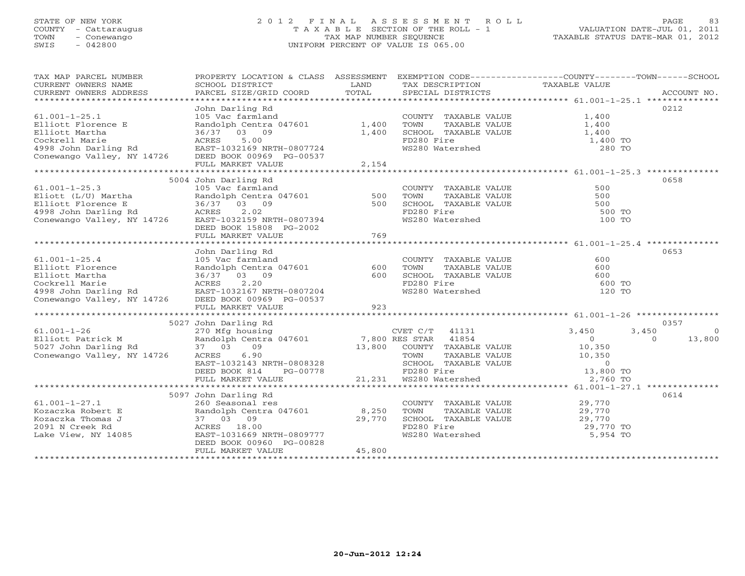## STATE OF NEW YORK 2 0 1 2 F I N A L A S S E S S M E N T R O L L PAGE 83 COUNTY - Cattaraugus T A X A B L E SECTION OF THE ROLL - 1 VALUATION DATE-JUL 01, 2011 TOWN - Conewango TAX MAP NUMBER SEQUENCE TAXABLE STATUS DATE-MAR 01, 2012 SWIS - 042800 UNIFORM PERCENT OF VALUE IS 065.00UNIFORM PERCENT OF VALUE IS 065.00

| TAX MAP PARCEL NUMBER                                                                                                                                                                                                                          |                         |        |                                                                                                                  | PROPERTY LOCATION & CLASS ASSESSMENT EXEMPTION CODE--------------COUNTY-------TOWN------SCHOOL |
|------------------------------------------------------------------------------------------------------------------------------------------------------------------------------------------------------------------------------------------------|-------------------------|--------|------------------------------------------------------------------------------------------------------------------|------------------------------------------------------------------------------------------------|
| CURRENT OWNERS NAME                                                                                                                                                                                                                            |                         |        |                                                                                                                  |                                                                                                |
| CURRENT OWNERS ADDRESS                                                                                                                                                                                                                         |                         |        |                                                                                                                  |                                                                                                |
|                                                                                                                                                                                                                                                |                         |        |                                                                                                                  |                                                                                                |
|                                                                                                                                                                                                                                                | John Darling Rd         |        |                                                                                                                  | 0212                                                                                           |
| $61.001 - 1 - 25.1$                                                                                                                                                                                                                            |                         |        |                                                                                                                  |                                                                                                |
| Elliott Florence E                                                                                                                                                                                                                             |                         |        | COUNTY TAXABLE VALUE $1,400$<br>TOWN TAXABLE VALUE $1,400$                                                       |                                                                                                |
| Eliott Martha and 24/001<br>Cockrell Marie acres 5.00<br>4998 John Darling Rd EAST-1032169 NRTH-0807724<br>Conewango Valley, NY 14726 DEED BOOK 00969 PG-00537                                                                                 |                         |        | SCHOOL TAXABLE VALUE 1,400                                                                                       |                                                                                                |
|                                                                                                                                                                                                                                                |                         |        | FD280 Fire                                                                                                       | 1,400 TO                                                                                       |
|                                                                                                                                                                                                                                                |                         |        | FD280 Fire<br>WS280 Watershed                                                                                    | 280 TO                                                                                         |
|                                                                                                                                                                                                                                                |                         |        |                                                                                                                  |                                                                                                |
|                                                                                                                                                                                                                                                | FULL MARKET VALUE       | 2,154  |                                                                                                                  |                                                                                                |
|                                                                                                                                                                                                                                                |                         |        |                                                                                                                  |                                                                                                |
|                                                                                                                                                                                                                                                | 5004 John Darling Rd    |        |                                                                                                                  | 0658                                                                                           |
|                                                                                                                                                                                                                                                |                         |        |                                                                                                                  |                                                                                                |
|                                                                                                                                                                                                                                                |                         |        |                                                                                                                  |                                                                                                |
|                                                                                                                                                                                                                                                |                         |        |                                                                                                                  |                                                                                                |
| 61.001-1-25.3<br>Eliott (L/U) Martha Randolph Centra 047601<br>Eliott Florence E 36/37 03 09<br>4998 John Darling Rd ACRES 2.02<br>Conewango Valley, NY 14726<br>Ensimeters 2.02<br>Conewango Valley, NY 14726<br>Ensimeters 2.02<br>Conewango |                         |        |                                                                                                                  | 500 TO                                                                                         |
|                                                                                                                                                                                                                                                |                         |        |                                                                                                                  | 100 TO                                                                                         |
|                                                                                                                                                                                                                                                |                         |        |                                                                                                                  |                                                                                                |
|                                                                                                                                                                                                                                                | DEED BOOK 15808 PG-2002 | 769    |                                                                                                                  |                                                                                                |
|                                                                                                                                                                                                                                                | FULL MARKET VALUE       |        |                                                                                                                  |                                                                                                |
|                                                                                                                                                                                                                                                |                         |        |                                                                                                                  | 0653                                                                                           |
|                                                                                                                                                                                                                                                | John Darling Rd         |        |                                                                                                                  |                                                                                                |
| $61.001 - 1 - 25.4$                                                                                                                                                                                                                            | 105 Vac farmland        |        | COUNTY TAXABLE VALUE<br>TAXABLE VALUE 600                                                                        | 600                                                                                            |
|                                                                                                                                                                                                                                                |                         |        | TOWN                                                                                                             |                                                                                                |
|                                                                                                                                                                                                                                                |                         |        |                                                                                                                  |                                                                                                |
|                                                                                                                                                                                                                                                |                         |        | FD280 Fire<br>WS280 Watershed                                                                                    |                                                                                                |
|                                                                                                                                                                                                                                                |                         |        |                                                                                                                  | 120 TO                                                                                         |
| 61.001-1-25.4 105 Vac farmland<br>Elliott Florence Randolph Centra 047601 600<br>Elliott Martha 36/37 03 09 600<br>Cockrell Marie ACRES 2.20<br>4998 John Darling Rd EAST-1032167 NRTH-0807204<br>Conewango Valley, NY 14726 DEED BOOK 0       |                         |        |                                                                                                                  |                                                                                                |
|                                                                                                                                                                                                                                                | FULL MARKET VALUE       | 923    |                                                                                                                  |                                                                                                |
|                                                                                                                                                                                                                                                |                         |        |                                                                                                                  |                                                                                                |
|                                                                                                                                                                                                                                                | 5027 John Darling Rd    |        |                                                                                                                  | 0357                                                                                           |
|                                                                                                                                                                                                                                                |                         |        | CVET C/T 41131                                                                                                   | 3,450<br>3,450<br>$\overline{0}$                                                               |
| 61.001-1-26 270 Mfg housing<br>Elliott Patrick M Randolph Centra 047601 7,800 RES STAR 41854<br>Conewango Valley, NY 14726 ACRES 6.90 13,800 COUNTY TAXABLE                                                                                    |                         |        |                                                                                                                  | $\begin{array}{c} 0 \\ 10,350 \end{array}$<br>$0 \t 13,800$                                    |
|                                                                                                                                                                                                                                                |                         |        |                                                                                                                  |                                                                                                |
|                                                                                                                                                                                                                                                |                         |        |                                                                                                                  |                                                                                                |
|                                                                                                                                                                                                                                                |                         |        |                                                                                                                  |                                                                                                |
|                                                                                                                                                                                                                                                |                         |        |                                                                                                                  |                                                                                                |
|                                                                                                                                                                                                                                                |                         |        |                                                                                                                  |                                                                                                |
|                                                                                                                                                                                                                                                |                         |        |                                                                                                                  |                                                                                                |
|                                                                                                                                                                                                                                                | 5097 John Darling Rd    |        |                                                                                                                  | 0614                                                                                           |
| $61.001 - 1 - 27.1$                                                                                                                                                                                                                            | 260 Seasonal res        |        | COUNTY TAXABLE VALUE 29,770                                                                                      |                                                                                                |
| For the contract of the contract the contract of the contract of the contract of the contract of the contract of the contract of the contract of the contract of the contract of the contract of the contract of the contract                  |                         |        | TOWN TAXABLE VALUE $29,770$<br>SCHOOL TAXABLE VALUE $29,770$<br>FD280 Fire 29,770 TO<br>WS280 Watershed 5,954 TO |                                                                                                |
|                                                                                                                                                                                                                                                |                         |        |                                                                                                                  |                                                                                                |
|                                                                                                                                                                                                                                                |                         |        |                                                                                                                  |                                                                                                |
|                                                                                                                                                                                                                                                |                         |        |                                                                                                                  |                                                                                                |
|                                                                                                                                                                                                                                                |                         |        |                                                                                                                  |                                                                                                |
|                                                                                                                                                                                                                                                | FULL MARKET VALUE       | 45,800 |                                                                                                                  |                                                                                                |
|                                                                                                                                                                                                                                                |                         |        |                                                                                                                  |                                                                                                |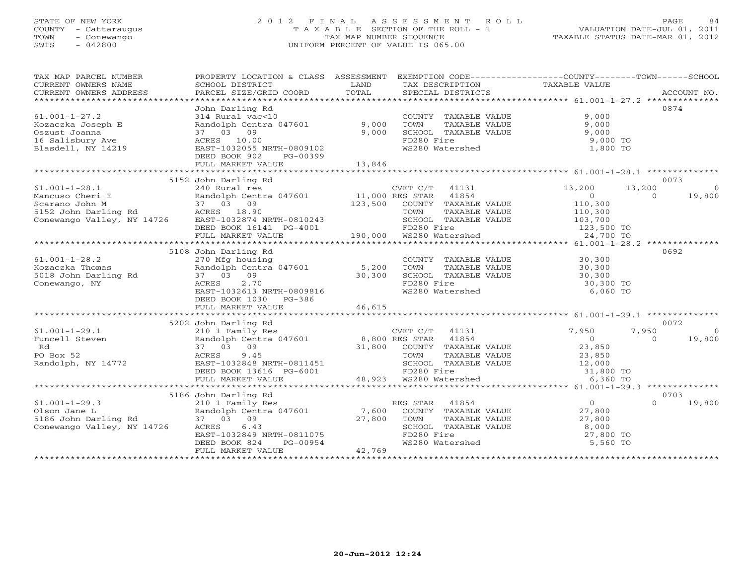## STATE OF NEW YORK 2 0 1 2 F I N A L A S S E S S M E N T R O L L PAGE 84 COUNTY - Cattaraugus T A X A B L E SECTION OF THE ROLL - 1 VALUATION DATE-JUL 01, 2011 TOWN - Conewango TAX MAP NUMBER SEQUENCE TAXABLE STATUS DATE-MAR 01, 2012 SWIS - 042800 UNIFORM PERCENT OF VALUE IS 065.00UNIFORM PERCENT OF VALUE IS 065.00

| TAX MAP PARCEL NUMBER                                                                                                                                                                                                                                                                                                                                                                                                                                                                                                                  | PROPERTY LOCATION & CLASS ASSESSMENT EXEMPTION CODE---------------COUNTY-------TOWN------SCHOOL                                                                                                            |        |                                                                                                                                                          |                                                       |                                                             |
|----------------------------------------------------------------------------------------------------------------------------------------------------------------------------------------------------------------------------------------------------------------------------------------------------------------------------------------------------------------------------------------------------------------------------------------------------------------------------------------------------------------------------------------|------------------------------------------------------------------------------------------------------------------------------------------------------------------------------------------------------------|--------|----------------------------------------------------------------------------------------------------------------------------------------------------------|-------------------------------------------------------|-------------------------------------------------------------|
| $61.001 - 1 - 27.2$<br>Kozaczka Joseph E<br>Oszust Joanna<br>16 Salisbury Ave<br>Blasdell, NY 14219                                                                                                                                                                                                                                                                                                                                                                                                                                    | John Darling Rd<br>-- Nurar vac<10<br>Randolph Centra 047601 9,000<br>37 03 09 9,000<br>ACRES 10.00 BAST-1032055 NPTH 00001<br>EAST-1032055 NRTH-0809102<br>DEED BOOK 902<br>PG-00399<br>FULL MARKET VALUE | 13,846 | COUNTY TAXABLE VALUE 9,000<br>TOWN TAXABLE VALUE 9,000<br>SCHOOL TAXABLE VALUE 9,000<br>9,000<br>FD280 Fire<br>WS280 Watershed                           | 9,000 TO<br>1,800 TO                                  | 0874                                                        |
|                                                                                                                                                                                                                                                                                                                                                                                                                                                                                                                                        | 5152 John Darling Rd                                                                                                                                                                                       |        |                                                                                                                                                          |                                                       | 0073                                                        |
| $61.001 - 1 - 28.1$<br>Mancuso Cheri E<br>Scarano John M<br>5152 John Darling Rd<br>6152 John Darling Rd<br>6152 John Darling Rd<br>62 ACRES<br>62 ACRES<br>62 ACRES<br>62 ACRES<br>62 ACRES<br>62 ACRES<br>62 ACRES<br>62 ACRES<br>62 ACRES<br>62 ACRES<br>62 ACRES<br>62 ACRES<br>62<br>SCARES 18.90<br>5152 John Darling Rd ACRES 18.90<br>26.000 EAST-1032874 NRTH-0810243<br>DEED BOOK 16141 PG-4001 PDZ80 Fire 123,500 TO<br>FD280 Fire 123,500 TO<br>24,700 TO FD280 Fire 123,500 TO<br>24,700 TO FULL MARKET VALUE<br>24,700 T | $\mathcal{L}$<br>240 Rural res<br>Randolph Centra 047601 11,000 RES STAR 11854<br>37 03 09 123,500 COUNTY TAXABLE VALUE<br>ACRES 18.90 123,500 TOWN TAXABLE VALUE                                          |        | CVET $C/T$ 41131                                                                                                                                         | 13,200<br>$\begin{array}{c} 0 \\ 110,300 \end{array}$ | 13,200<br>$\overline{0}$<br>19,800<br>$\Omega$              |
|                                                                                                                                                                                                                                                                                                                                                                                                                                                                                                                                        |                                                                                                                                                                                                            |        |                                                                                                                                                          |                                                       |                                                             |
| $61.001 - 1 - 28.2$<br>Kozaczka Thomas<br>5018 John Darling Rd<br>Conewango, NY                                                                                                                                                                                                                                                                                                                                                                                                                                                        | 5108 John Darling Rd<br>we nousing<br>Randolph Centra 047601 5,200<br>37 03 09 30,300<br>ACRES 2.70<br>RAST-102212<br>EAST-1032613 NRTH-0809816<br>DEED BOOK 1030 PG-386                                   |        | COUNTY TAXABLE VALUE 30,300<br>FD280 Fire<br>WS280 Watershed                                                                                             | 30,300 TO<br>6,060 TO                                 | 0692                                                        |
|                                                                                                                                                                                                                                                                                                                                                                                                                                                                                                                                        | FULL MARKET VALUE                                                                                                                                                                                          | 46,615 |                                                                                                                                                          |                                                       |                                                             |
|                                                                                                                                                                                                                                                                                                                                                                                                                                                                                                                                        |                                                                                                                                                                                                            |        |                                                                                                                                                          |                                                       |                                                             |
|                                                                                                                                                                                                                                                                                                                                                                                                                                                                                                                                        | 5202 John Darling Rd<br>CVET C/T 41131<br>210 1 Family Res<br>Randolph Centra 047601 8,800 RES STAR 41854<br>37 03 09 11,800 COUNTY TAXABLE                                                                |        | COUNTY TAXABLE VALUE 23,850<br>TOWN TAXABLE VALUE 23,850<br>SCHOOL TAXABLE VALUE 22,000<br>FD280 Fire 31,800 TO<br>WS280 Watershed 6,360 TO              | $\begin{array}{c} 7,950 \\ 0 \end{array}$             | 0072<br>7,950<br>$\overline{0}$<br>$\overline{0}$<br>19,800 |
|                                                                                                                                                                                                                                                                                                                                                                                                                                                                                                                                        | FULL MARKET VALUE                                                                                                                                                                                          |        | 48,923 WS280 Watershed                                                                                                                                   |                                                       |                                                             |
|                                                                                                                                                                                                                                                                                                                                                                                                                                                                                                                                        |                                                                                                                                                                                                            |        |                                                                                                                                                          |                                                       |                                                             |
| $61.001 - 1 - 29.3$                                                                                                                                                                                                                                                                                                                                                                                                                                                                                                                    | 5186 John Darling Rd<br>210 1 Family Res<br>37 03 09 27,800<br>ACRES 6.43<br>EAST-1032849 NRTH-0811075<br>DEED BOOK 824 PG-00954<br>FULL MARKET VALUE                                                      | 42,769 | RES STAR 41854<br>COUNTY TAXABLE VALUE 27,800<br>TOWN TAXABLE VALUE $27,800$<br>SCHOOL TAXABLE VALUE 8,000<br>FD280 Fire 27,800<br>WS280 Watershed 5,560 | $\overline{0}$<br>27,800 TO<br>5,560 TO               | 0703<br>$\cap$<br>19,800                                    |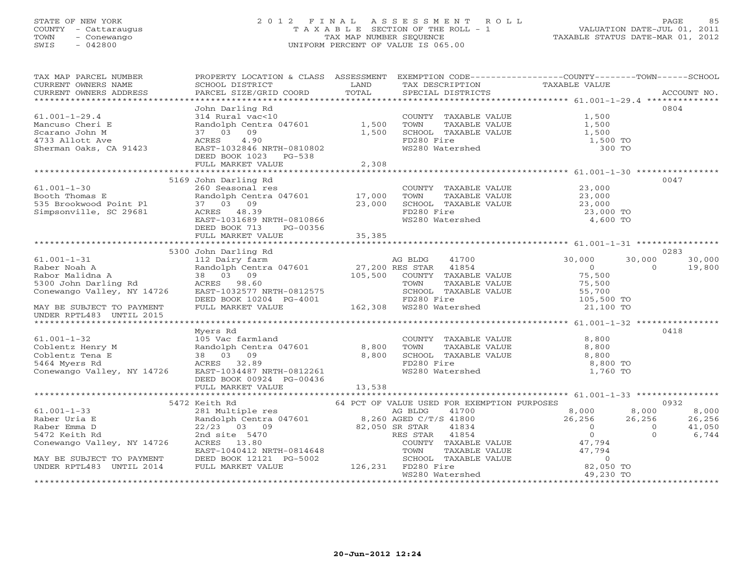## STATE OF NEW YORK 2 0 1 2 F I N A L A S S E S S M E N T R O L L PAGE 85 COUNTY - Cattaraugus T A X A B L E SECTION OF THE ROLL - 1 VALUATION DATE-JUL 01, 2011 TOWN - Conewango TAX MAP NUMBER SEQUENCE TAX AND TAXABLE STATUS DATE-MAR 01, 2012<br>
SWIS - 042800 - UNIFORM PERCENT OF VALUE IS 065.00 SWIS - 042800 UNIFORM PERCENT OF VALUE IS 065.00

| TAX MAP PARCEL NUMBER<br>CURRENT OWNERS NAME<br>CURRENT OWNERS ADDRESS                                                                                                                                                                                                                                                                                                                            | PROPERTY LOCATION & CLASS ASSESSMENT EXEMPTION CODE---------------COUNTY-------TOWN------SCHOOL<br>SCHOOL DISTRICT<br><b>Example 12 Distribution of the LAND</b>                                                                                                                     |         | TAX DESCRIPTION                                                                                                                                             | TAXABLE VALUE                                                                                                                                                                       |                                                |
|---------------------------------------------------------------------------------------------------------------------------------------------------------------------------------------------------------------------------------------------------------------------------------------------------------------------------------------------------------------------------------------------------|--------------------------------------------------------------------------------------------------------------------------------------------------------------------------------------------------------------------------------------------------------------------------------------|---------|-------------------------------------------------------------------------------------------------------------------------------------------------------------|-------------------------------------------------------------------------------------------------------------------------------------------------------------------------------------|------------------------------------------------|
|                                                                                                                                                                                                                                                                                                                                                                                                   |                                                                                                                                                                                                                                                                                      |         |                                                                                                                                                             |                                                                                                                                                                                     |                                                |
| $61.001 - 1 - 29.4$<br>Mancuso Cheri E                                                                                                                                                                                                                                                                                                                                                            | John Darling Rd<br>John Darling Rd<br>314 Rural vac<10<br>314 Rural vac<10<br>87 03 O9 09<br>37 03 09<br>37 03 09<br>37 03 09<br>37 03 09<br>37 03 09<br>37 03 09<br>37 03 09<br>37 03 09<br>37 03 09<br>37 0280 FORABLE VALUE<br>EAST-1032846 NRTH-0810802<br>DEED BOOK 1023 PG-538 |         | COUNTY TAXABLE VALUE 1,500<br>1,500 SCHOOL TAXABLE VALUE 1,500<br>1,500 SCHOOL TAXABLE VALUE 1,500<br>FD280 Fire<br>WS280 Watershed                         | 1,500<br>1,500 TO<br>300 TO                                                                                                                                                         | 0804                                           |
|                                                                                                                                                                                                                                                                                                                                                                                                   | FULL MARKET VALUE                                                                                                                                                                                                                                                                    | 2,308   |                                                                                                                                                             |                                                                                                                                                                                     |                                                |
|                                                                                                                                                                                                                                                                                                                                                                                                   |                                                                                                                                                                                                                                                                                      |         |                                                                                                                                                             |                                                                                                                                                                                     |                                                |
| $51.001-1-30$<br>$\text{Book}$ Thomas E<br>$\begin{array}{cccc}\n & & & \\ \text{Randolph} & \text{Ce}_{11} \\ \hline\n\end{array}$<br>$\begin{array}{cccc}\n & & & \\ \text{Randolph} & \text{Ce}_{11} \\ \text{Randolph} & \text{Ce}_{11} \\ \hline\n\end{array}$<br>$\begin{array}{cccc}\n & & \\ \text{Randolph} & \text{Ce}_{11} \\ \text{Randolph} & \text{Ce}_{11} \\ \hline\n\end{array}$ | 5169 John Darling Rd<br>260 Seasonal res<br>260 Seasonal res<br>Randolph Centra 047601 17,000<br>37 03 09 23,000<br>ACRES 48.39<br>EAST-1031689 NRTH-0810866<br>DEED BOOK 713<br>PG-00356                                                                                            |         | COUNTY TAXABLE VALUE $23,000$<br>TOWN TAXABLE VALUE $23,000$<br>SCHOOL TAXABLE VALUE $23,000$<br>FD280 Fire 23,000 TO<br>WS280 Watershed 23,000 TO 4,600 TO |                                                                                                                                                                                     | 0047                                           |
|                                                                                                                                                                                                                                                                                                                                                                                                   | FULL MARKET VALUE                                                                                                                                                                                                                                                                    | 35, 385 |                                                                                                                                                             |                                                                                                                                                                                     |                                                |
|                                                                                                                                                                                                                                                                                                                                                                                                   |                                                                                                                                                                                                                                                                                      |         |                                                                                                                                                             |                                                                                                                                                                                     |                                                |
|                                                                                                                                                                                                                                                                                                                                                                                                   | 5300 John Darling Rd                                                                                                                                                                                                                                                                 |         |                                                                                                                                                             |                                                                                                                                                                                     | 0283                                           |
|                                                                                                                                                                                                                                                                                                                                                                                                   |                                                                                                                                                                                                                                                                                      |         | TOWN TAXABLE VALUE<br>SCHOOL TAXABLE VALUE                                                                                                                  | 41700 30,000<br>30,000<br>$\overline{0}$<br>75,500<br>75,500<br>55,700<br>105,500 TO<br>21,100 TO                                                                                   | 30,000<br>$\Omega$<br>19,800                   |
| MAY BE SUBJECT TO PAYMENT<br>UNDER RRT1493 UNTIL 2015<br>UNDER RPTL483 UNTIL 2015                                                                                                                                                                                                                                                                                                                 |                                                                                                                                                                                                                                                                                      |         |                                                                                                                                                             |                                                                                                                                                                                     |                                                |
|                                                                                                                                                                                                                                                                                                                                                                                                   | Myers Rd                                                                                                                                                                                                                                                                             |         |                                                                                                                                                             |                                                                                                                                                                                     | 0418                                           |
| 61.001-1-32 105 Vac farmland<br>Coblentz Henry M Randolph Centra 047601 8,800<br>Coblentz Tena E 38 03 09 8,800<br>5464 Myers Rd ACRES 32.89<br>Conewango Valley, NY 14726 EAST-1034487 NRTH-0812261                                                                                                                                                                                              | 105 Vac farmland<br>DEED BOOK 00924 PG-00436                                                                                                                                                                                                                                         |         | COUNTY TAXABLE VALUE 8,800<br>TAXABLE VALUE<br>TAXABLE VALUE<br>TOWN<br>SCHOOL TAXABLE VALUE<br>FD280 Fire<br>WS280 Watershed                               | 8,800<br>8,800<br>8,800 TO<br>1,760 TO                                                                                                                                              |                                                |
|                                                                                                                                                                                                                                                                                                                                                                                                   |                                                                                                                                                                                                                                                                                      |         |                                                                                                                                                             |                                                                                                                                                                                     |                                                |
|                                                                                                                                                                                                                                                                                                                                                                                                   | 5472 Keith Rd                                                                                                                                                                                                                                                                        |         | 64 PCT OF VALUE USED FOR EXEMPTION PURPOSES                                                                                                                 |                                                                                                                                                                                     | 0932                                           |
| 61.001-1-33<br>Raber Uria E<br>Raber Uria E<br>Raber Emma D<br>22/23 03 09<br>5472 Keith Rd<br>Conewango Valley, NY 14726<br>RAST-1040412 NRTH-0814648<br>EAST-1040412 NRTH-0814648<br>COUNTY TAXABLE<br>TOWN TAXABLE<br>MAY BE SUBJECT TO PAYMENT<br>UNDER RPTL483 UNTIL 2014 FULL MARKET VALUE 126,231 FD280 Fire                                                                               |                                                                                                                                                                                                                                                                                      |         | 41700 and $\sim$<br>COUNTY TAXABLE VALUE<br>SCHOOL TAXABLE VALUE                                                                                            | $8,000$ $8,000$<br>26,256 26,256<br>$\overline{0}$<br>$\overline{0}$<br>$\overline{0}$<br>47,794<br>TAXABLE VALUE<br>TAXABLE VALUE 47,794<br>TAXABLE VALUE 47,794<br>0<br>82,050 TO | 8,000<br>26,256<br>41,050<br>6,744<br>$\Omega$ |
|                                                                                                                                                                                                                                                                                                                                                                                                   |                                                                                                                                                                                                                                                                                      |         | WS280 Watershed                                                                                                                                             | 49,230 TO                                                                                                                                                                           |                                                |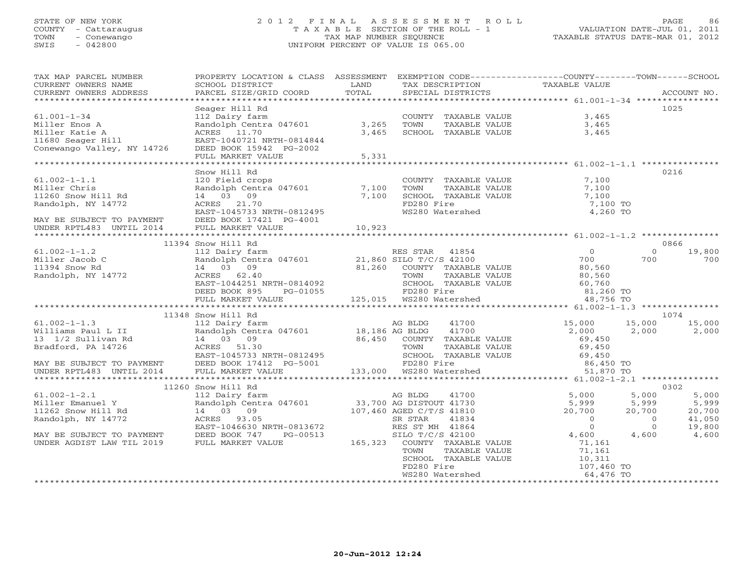## STATE OF NEW YORK 2 0 1 2 F I N A L A S S E S S M E N T R O L L PAGE 86 COUNTY - Cattaraugus T A X A B L E SECTION OF THE ROLL - 1 VALUATION DATE-JUL 01, 2011 TOWN - Conewango TAX MAP NUMBER SEQUENCE TAXABLE STATUS DATE-MAR 01, 2012 SWIS - 042800 UNIFORM PERCENT OF VALUE IS 065.00UNIFORM PERCENT OF VALUE IS 065.00

| TAX MAP PARCEL NUMBER<br>CURRENT OWNERS NAME<br>CURRENT OWNERS ADDRESS                                                                                                                                                                                                                                                                                                                         | PROPERTY LOCATION & CLASS ASSESSMENT EXEMPTION CODE---------------COUNTY-------TOWN------SCHOOL<br>SCHOOL DISTRICT<br><b>EXAMPLE SERVICE SERVICE SERVICE SERVICE SERVICE SERVICE SERVICE SERVICE SERVICE SERVICE SERVICE SERVICE SERVICE</b><br>PARCEL SIZE/GRID COORD | TOTAL | TAX DESCRIPTION<br>SPECIAL DISTRICTS                                                                                                                                                                                   | TAXABLE VALUE |          | ACCOUNT NO.                                            |
|------------------------------------------------------------------------------------------------------------------------------------------------------------------------------------------------------------------------------------------------------------------------------------------------------------------------------------------------------------------------------------------------|------------------------------------------------------------------------------------------------------------------------------------------------------------------------------------------------------------------------------------------------------------------------|-------|------------------------------------------------------------------------------------------------------------------------------------------------------------------------------------------------------------------------|---------------|----------|--------------------------------------------------------|
|                                                                                                                                                                                                                                                                                                                                                                                                |                                                                                                                                                                                                                                                                        |       |                                                                                                                                                                                                                        |               |          |                                                        |
|                                                                                                                                                                                                                                                                                                                                                                                                | Seager Hill Rd                                                                                                                                                                                                                                                         |       |                                                                                                                                                                                                                        |               | 1025     |                                                        |
| $61.001 - 1 - 34$                                                                                                                                                                                                                                                                                                                                                                              |                                                                                                                                                                                                                                                                        |       |                                                                                                                                                                                                                        |               |          |                                                        |
| Miller Enos A                                                                                                                                                                                                                                                                                                                                                                                  |                                                                                                                                                                                                                                                                        |       |                                                                                                                                                                                                                        |               |          |                                                        |
|                                                                                                                                                                                                                                                                                                                                                                                                |                                                                                                                                                                                                                                                                        |       |                                                                                                                                                                                                                        |               |          |                                                        |
|                                                                                                                                                                                                                                                                                                                                                                                                |                                                                                                                                                                                                                                                                        |       |                                                                                                                                                                                                                        |               |          |                                                        |
| Conewango Valley, NY 14726                                                                                                                                                                                                                                                                                                                                                                     | DEED BOOK 15942 PG-2002                                                                                                                                                                                                                                                |       |                                                                                                                                                                                                                        |               |          |                                                        |
|                                                                                                                                                                                                                                                                                                                                                                                                | FULL MARKET VALUE                                                                                                                                                                                                                                                      | 5,331 |                                                                                                                                                                                                                        |               |          |                                                        |
|                                                                                                                                                                                                                                                                                                                                                                                                | Snow Hill Rd                                                                                                                                                                                                                                                           |       |                                                                                                                                                                                                                        |               | 0216     |                                                        |
| $61.002 - 1 - 1.1$                                                                                                                                                                                                                                                                                                                                                                             | Snow Hill Au<br>120 Field crops<br>Randolph Centra 047601 7,100<br>14 03 09 7,100<br>ACRES 21.70<br>EAST-1045733 NRTH-0812495<br>THE ROOY 17421 PG-4001                                                                                                                |       | COUNTY TAXABLE VALUE $\begin{array}{ccc} 7,100 \ \text{TOWN} & \text{TAXABLE VALUE} & 7,100 \ \text{SCHOOL} & \text{TAXABLE VALUE} & 7,100 \ \text{FD280 Fire} & 7,100 \ \text{W5280 Watershed} & 4,260 \ \end{array}$ |               |          |                                                        |
| Miller Chris                                                                                                                                                                                                                                                                                                                                                                                   |                                                                                                                                                                                                                                                                        |       |                                                                                                                                                                                                                        |               |          |                                                        |
| 11260 Snow Hill Rd                                                                                                                                                                                                                                                                                                                                                                             |                                                                                                                                                                                                                                                                        |       |                                                                                                                                                                                                                        |               |          |                                                        |
| Randolph, NY 14772                                                                                                                                                                                                                                                                                                                                                                             |                                                                                                                                                                                                                                                                        |       |                                                                                                                                                                                                                        |               |          |                                                        |
|                                                                                                                                                                                                                                                                                                                                                                                                |                                                                                                                                                                                                                                                                        |       |                                                                                                                                                                                                                        |               |          |                                                        |
| MAY BE SUBJECT TO PAYMENT                                                                                                                                                                                                                                                                                                                                                                      | DEED BOOK 17421 PG-4001                                                                                                                                                                                                                                                |       |                                                                                                                                                                                                                        |               |          |                                                        |
| UNDER RPTL483 UNTIL 2014                                                                                                                                                                                                                                                                                                                                                                       | FULL MARKET VALUE 10,923                                                                                                                                                                                                                                               |       |                                                                                                                                                                                                                        |               |          |                                                        |
|                                                                                                                                                                                                                                                                                                                                                                                                |                                                                                                                                                                                                                                                                        |       |                                                                                                                                                                                                                        |               |          |                                                        |
|                                                                                                                                                                                                                                                                                                                                                                                                |                                                                                                                                                                                                                                                                        |       |                                                                                                                                                                                                                        |               | 0866     |                                                        |
|                                                                                                                                                                                                                                                                                                                                                                                                |                                                                                                                                                                                                                                                                        |       |                                                                                                                                                                                                                        |               | $\Omega$ | 19,800                                                 |
|                                                                                                                                                                                                                                                                                                                                                                                                |                                                                                                                                                                                                                                                                        |       |                                                                                                                                                                                                                        |               | 700      | 700                                                    |
|                                                                                                                                                                                                                                                                                                                                                                                                |                                                                                                                                                                                                                                                                        |       |                                                                                                                                                                                                                        |               |          |                                                        |
|                                                                                                                                                                                                                                                                                                                                                                                                |                                                                                                                                                                                                                                                                        |       |                                                                                                                                                                                                                        |               |          |                                                        |
|                                                                                                                                                                                                                                                                                                                                                                                                |                                                                                                                                                                                                                                                                        |       |                                                                                                                                                                                                                        |               |          |                                                        |
|                                                                                                                                                                                                                                                                                                                                                                                                |                                                                                                                                                                                                                                                                        |       |                                                                                                                                                                                                                        |               |          |                                                        |
|                                                                                                                                                                                                                                                                                                                                                                                                |                                                                                                                                                                                                                                                                        |       |                                                                                                                                                                                                                        |               |          |                                                        |
|                                                                                                                                                                                                                                                                                                                                                                                                | 11348 Snow Hill Rd                                                                                                                                                                                                                                                     |       |                                                                                                                                                                                                                        |               | 1074     |                                                        |
|                                                                                                                                                                                                                                                                                                                                                                                                |                                                                                                                                                                                                                                                                        |       |                                                                                                                                                                                                                        |               |          |                                                        |
|                                                                                                                                                                                                                                                                                                                                                                                                |                                                                                                                                                                                                                                                                        |       |                                                                                                                                                                                                                        |               |          |                                                        |
|                                                                                                                                                                                                                                                                                                                                                                                                |                                                                                                                                                                                                                                                                        |       |                                                                                                                                                                                                                        |               |          |                                                        |
|                                                                                                                                                                                                                                                                                                                                                                                                |                                                                                                                                                                                                                                                                        |       |                                                                                                                                                                                                                        |               |          |                                                        |
|                                                                                                                                                                                                                                                                                                                                                                                                |                                                                                                                                                                                                                                                                        |       |                                                                                                                                                                                                                        |               |          |                                                        |
|                                                                                                                                                                                                                                                                                                                                                                                                |                                                                                                                                                                                                                                                                        |       |                                                                                                                                                                                                                        |               |          |                                                        |
|                                                                                                                                                                                                                                                                                                                                                                                                |                                                                                                                                                                                                                                                                        |       |                                                                                                                                                                                                                        |               |          |                                                        |
|                                                                                                                                                                                                                                                                                                                                                                                                |                                                                                                                                                                                                                                                                        |       |                                                                                                                                                                                                                        |               |          |                                                        |
|                                                                                                                                                                                                                                                                                                                                                                                                |                                                                                                                                                                                                                                                                        |       |                                                                                                                                                                                                                        |               | 0302     |                                                        |
|                                                                                                                                                                                                                                                                                                                                                                                                |                                                                                                                                                                                                                                                                        |       |                                                                                                                                                                                                                        |               |          | 5,000                                                  |
|                                                                                                                                                                                                                                                                                                                                                                                                |                                                                                                                                                                                                                                                                        |       |                                                                                                                                                                                                                        |               |          |                                                        |
|                                                                                                                                                                                                                                                                                                                                                                                                |                                                                                                                                                                                                                                                                        |       |                                                                                                                                                                                                                        |               |          | $5,999$<br>$20,700$<br>$41,050$<br>$19,800$<br>$4,600$ |
|                                                                                                                                                                                                                                                                                                                                                                                                |                                                                                                                                                                                                                                                                        |       |                                                                                                                                                                                                                        |               |          |                                                        |
|                                                                                                                                                                                                                                                                                                                                                                                                |                                                                                                                                                                                                                                                                        |       |                                                                                                                                                                                                                        |               | 4,600    |                                                        |
|                                                                                                                                                                                                                                                                                                                                                                                                |                                                                                                                                                                                                                                                                        |       |                                                                                                                                                                                                                        |               |          |                                                        |
| $\begin{tabular}{l c c c c c c c c} \multicolumn{3}{c c c c} \multicolumn{3}{c c c c} \multicolumn{3}{c c c} \multicolumn{3}{c c c} \multicolumn{3}{c c c} \multicolumn{3}{c c c} \multicolumn{3}{c c c} \multicolumn{3}{c c c} \multicolumn{3}{c c c} \multicolumn{3}{c c c} \multicolumn{3}{c c c} \multicolumn{3}{c c c} \multicolumn{3}{c c c} \multicolumn{3}{c c c} \multicolumn{3}{c c$ |                                                                                                                                                                                                                                                                        |       |                                                                                                                                                                                                                        |               |          |                                                        |
|                                                                                                                                                                                                                                                                                                                                                                                                |                                                                                                                                                                                                                                                                        |       |                                                                                                                                                                                                                        |               |          |                                                        |
|                                                                                                                                                                                                                                                                                                                                                                                                |                                                                                                                                                                                                                                                                        |       |                                                                                                                                                                                                                        |               |          |                                                        |
|                                                                                                                                                                                                                                                                                                                                                                                                |                                                                                                                                                                                                                                                                        |       | SCHOOL TAXABLE VALUE<br>FD280 Fire<br>WS280 Watershed<br>WS280 Watershed<br>64,476 TO                                                                                                                                  |               |          |                                                        |
|                                                                                                                                                                                                                                                                                                                                                                                                |                                                                                                                                                                                                                                                                        |       |                                                                                                                                                                                                                        |               |          |                                                        |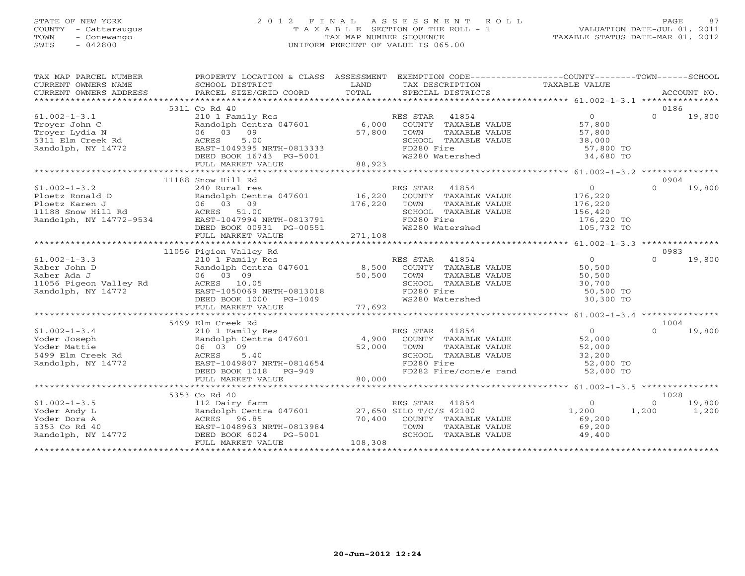## STATE OF NEW YORK 2 0 1 2 F I N A L A S S E S S M E N T R O L L PAGE 87 COUNTY - Cattaraugus T A X A B L E SECTION OF THE ROLL - 1 VALUATION DATE-JUL 01, 2011 TOWN - Conewango TAX MAP NUMBER SEQUENCE TAXABLE STATUS DATE-MAR 01, 2012 SWIS - 042800 UNIFORM PERCENT OF VALUE IS 065.00UNIFORM PERCENT OF VALUE IS 065.00

| TAX MAP PARCEL NUMBER                                                   |                                                                                                                                                                                                                                                      | PROPERTY LOCATION & CLASS ASSESSMENT EXEMPTION CODE----------------COUNTY-------TOWN------SCHOOL                        |                                                      |
|-------------------------------------------------------------------------|------------------------------------------------------------------------------------------------------------------------------------------------------------------------------------------------------------------------------------------------------|-------------------------------------------------------------------------------------------------------------------------|------------------------------------------------------|
| CURRENT OWNERS NAME                                                     | SCHOOL DISTRICT                                                                                                                                                                                                                                      | LAND<br>TAX DESCRIPTION                                                                                                 | TAXABLE VALUE                                        |
| CURRENT OWNERS ADDRESS                                                  |                                                                                                                                                                                                                                                      |                                                                                                                         |                                                      |
|                                                                         |                                                                                                                                                                                                                                                      |                                                                                                                         |                                                      |
|                                                                         | 5311 Co Rd 40                                                                                                                                                                                                                                        |                                                                                                                         | 0186                                                 |
| $61.002 - 1 - 3.1$                                                      | 210 1 Family Res                                                                                                                                                                                                                                     | ES STAR 41854<br>COUNTY TAXABLE VALUE 57,800<br>RES STAR 41854                                                          | $\Omega$<br>19,800                                   |
| Trover John C                                                           | Randolph Centra 047601 6,000                                                                                                                                                                                                                         |                                                                                                                         |                                                      |
| Troyer Lydia N                                                          | 06 03 09                                                                                                                                                                                                                                             | $57,800$ TOWN                                                                                                           |                                                      |
| Troyer Lydia N<br>5311 Elm Creek Rd                                     | ACRES<br>5.00                                                                                                                                                                                                                                        |                                                                                                                         |                                                      |
| Randolph, NY 14772                                                      |                                                                                                                                                                                                                                                      | FD280 Fire                                                                                                              | 57,800 TO                                            |
|                                                                         | EAST-1049395 NRTH-0813333<br>DEED BOOK 16743 PG-5001                                                                                                                                                                                                 | WS280 Watershed                                                                                                         | 34,680 TO                                            |
|                                                                         | FULL MARKET VALUE                                                                                                                                                                                                                                    | 88,923                                                                                                                  |                                                      |
|                                                                         |                                                                                                                                                                                                                                                      |                                                                                                                         |                                                      |
|                                                                         | 11188 Snow Hill Rd                                                                                                                                                                                                                                   |                                                                                                                         | 0904                                                 |
|                                                                         |                                                                                                                                                                                                                                                      | RES STAR 41854                                                                                                          | $\overline{0}$<br>$\Omega$<br>19,800                 |
|                                                                         |                                                                                                                                                                                                                                                      | COUNTY TAXABLE VALUE                                                                                                    | 176,220                                              |
|                                                                         |                                                                                                                                                                                                                                                      | $176,220$ COUNT<br>TAXABLE VALUE                                                                                        | 176, 220                                             |
|                                                                         |                                                                                                                                                                                                                                                      | SCHOOL TAXABLE VALUE                                                                                                    | 156,420                                              |
|                                                                         |                                                                                                                                                                                                                                                      | FD280 Fire                                                                                                              | 176,220 TO                                           |
|                                                                         |                                                                                                                                                                                                                                                      | WS280 Watershed                                                                                                         | 105,732 TO                                           |
|                                                                         |                                                                                                                                                                                                                                                      |                                                                                                                         |                                                      |
|                                                                         | 61.002-1-3.2<br>Ploetz Ronald D<br>Ploetz Karen J<br>1188 Snow Hill Rd<br>Randolph, NY 14772-9534<br>Randolph, NY 14772-9534<br>DEED BOOK 00931 PG-00551<br>THE MARKET VALUE<br>THE MARKET VALUE<br>THE MARKET VALUE<br>CONSILERT MARKET VALUE<br>CO |                                                                                                                         |                                                      |
|                                                                         |                                                                                                                                                                                                                                                      |                                                                                                                         |                                                      |
|                                                                         |                                                                                                                                                                                                                                                      |                                                                                                                         |                                                      |
|                                                                         |                                                                                                                                                                                                                                                      |                                                                                                                         |                                                      |
|                                                                         |                                                                                                                                                                                                                                                      |                                                                                                                         |                                                      |
|                                                                         |                                                                                                                                                                                                                                                      |                                                                                                                         |                                                      |
|                                                                         |                                                                                                                                                                                                                                                      |                                                                                                                         |                                                      |
|                                                                         |                                                                                                                                                                                                                                                      |                                                                                                                         |                                                      |
|                                                                         |                                                                                                                                                                                                                                                      |                                                                                                                         |                                                      |
|                                                                         |                                                                                                                                                                                                                                                      |                                                                                                                         |                                                      |
|                                                                         |                                                                                                                                                                                                                                                      |                                                                                                                         |                                                      |
|                                                                         | 5499 Elm Creek Rd                                                                                                                                                                                                                                    |                                                                                                                         | 1004<br>$\begin{array}{c}\n0 \\ \hline\n\end{array}$ |
| $61.002 - 1 - 3.4$                                                      | 210 1 Family Res                                                                                                                                                                                                                                     | RES STAR<br>41854<br>210 1 Family Res<br>Randolph Centra 047601       4,900   COUNTY TAXABLE VALUE                      | 19,800<br>$\Omega$                                   |
|                                                                         |                                                                                                                                                                                                                                                      |                                                                                                                         |                                                      |
|                                                                         | 06 03 09                                                                                                                                                                                                                                             | 52,000 TOWN<br>TAXABLE VALUE                                                                                            | 52,000                                               |
|                                                                         |                                                                                                                                                                                                                                                      | SCHOOL TAXABLE VALUE                                                                                                    | 32,200<br>52,000 TO                                  |
| Yoder Joseph<br>Yoder Mattie<br>5499 Elm Creek Rd<br>Randolph, NY 14772 |                                                                                                                                                                                                                                                      | FD280 Fire                                                                                                              |                                                      |
|                                                                         |                                                                                                                                                                                                                                                      | FD282 Fire/cone/e rand 52,000 TO                                                                                        |                                                      |
|                                                                         | ACRES 5.40<br>EAST-1049807 NRTH-0814654<br>DEED BOOK 1018 PG-949<br>FULL MARKET VALUE 80,000                                                                                                                                                         |                                                                                                                         |                                                      |
|                                                                         |                                                                                                                                                                                                                                                      |                                                                                                                         |                                                      |
|                                                                         | 5353 Co Rd 40                                                                                                                                                                                                                                        |                                                                                                                         | 1028                                                 |
| $61.002 - 1 - 3.5$                                                      |                                                                                                                                                                                                                                                      | Co ku 40<br>112 Dairy farm<br>Randolph Centra 047601 27,650 SILO T/C/S 42100<br>ACRES 96.85 70,400 COUNTY TAXABLE VALUE | 19,800<br>$\overline{0}$<br>$\Omega$                 |
|                                                                         |                                                                                                                                                                                                                                                      |                                                                                                                         | 1,200<br>1,200<br>1,200                              |
|                                                                         |                                                                                                                                                                                                                                                      |                                                                                                                         | 69,200                                               |
|                                                                         | EAST-1048963 NRTH-0813984                                                                                                                                                                                                                            | TOWN<br>TAXABLE VALUE                                                                                                   | 69,200                                               |
| Yoder Andy L<br>Yoder Dora A<br>5353 Co Rd 40<br>Randolph, NY 14772     | EAST-1048963 NRTH-0813984<br>DEED BOOK 6024 PG-5001                                                                                                                                                                                                  | SCHOOL TAXABLE VALUE                                                                                                    | 49,400                                               |
|                                                                         | FULL MARKET VALUE                                                                                                                                                                                                                                    | 108,308                                                                                                                 |                                                      |
|                                                                         |                                                                                                                                                                                                                                                      |                                                                                                                         |                                                      |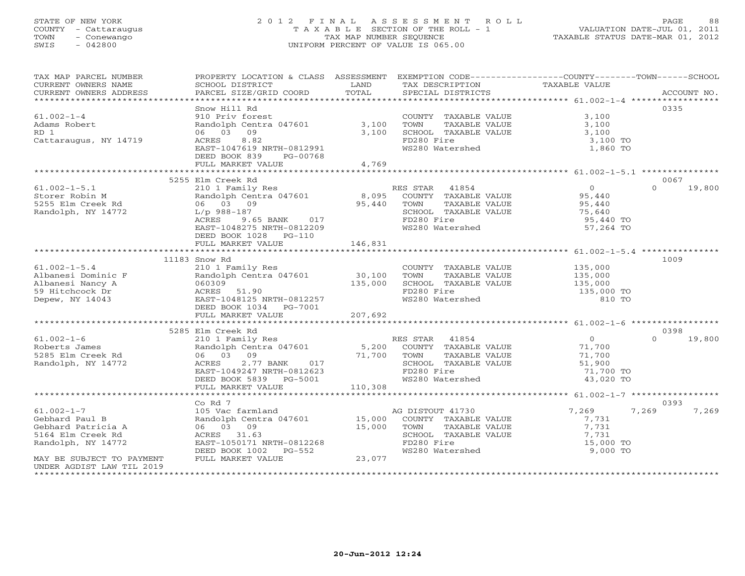## STATE OF NEW YORK 2 0 1 2 F I N A L A S S E S S M E N T R O L L PAGE 88 COUNTY - Cattaraugus T A X A B L E SECTION OF THE ROLL - 1 VALUATION DATE-JUL 01, 2011 TOWN - Conewango TAX MAP NUMBER SEQUENCE TAXABLE STATUS DATE-MAR 01, 2012 SWIS - 042800 UNIFORM PERCENT OF VALUE IS 065.00UNIFORM PERCENT OF VALUE IS 065.00

| TAX MAP PARCEL NUMBER<br>CURRENT OWNERS NAME<br>CURRENT OWNERS ADDRESS       | PROPERTY LOCATION & CLASS ASSESSMENT EXEMPTION CODE----------------COUNTY-------TOWN------SCHOOL<br>SCHOOL DISTRICT<br>PARCEL SIZE/GRID COORD                                                                                          | <b>EXAMPLE SETTLE SETTLE SETTLE SETTLE SETTLE SETTLE SETTLE SETTLE SETTLE SETTLE SETTLE SETTLE SETTLE SETTLE SET</b><br>TOTAL | TAX DESCRIPTION<br>SPECIAL DISTRICTS                                                       | TAXABLE VALUE    | ACCOUNT NO.        |
|------------------------------------------------------------------------------|----------------------------------------------------------------------------------------------------------------------------------------------------------------------------------------------------------------------------------------|-------------------------------------------------------------------------------------------------------------------------------|--------------------------------------------------------------------------------------------|------------------|--------------------|
|                                                                              |                                                                                                                                                                                                                                        |                                                                                                                               |                                                                                            |                  |                    |
|                                                                              | Snow Hill Rd                                                                                                                                                                                                                           |                                                                                                                               |                                                                                            |                  | 0335               |
| $61.002 - 1 - 4$                                                             | 910 Priv forest                                                                                                                                                                                                                        |                                                                                                                               | COUNTY TAXABLE VALUE                                                                       | 3,100            |                    |
| Adams Robert                                                                 | Randolph Centra 047601                                                                                                                                                                                                                 | 3,100                                                                                                                         |                                                                                            | 3,100            |                    |
| RD 1                                                                         | 06 03<br>09                                                                                                                                                                                                                            | 3,100                                                                                                                         | SCHOOL TAXABLE VALUE<br>SCHOOL TAXABLE VALUE                                               | 3,100            |                    |
| Cattaraugus, NY 14719                                                        | 8.82<br>ACRES                                                                                                                                                                                                                          |                                                                                                                               | FD280 Fire                                                                                 | 3,100 TO         |                    |
|                                                                              | EAST-1047619 NRTH-0812991                                                                                                                                                                                                              |                                                                                                                               | WS280 Watershed                                                                            | 1,860 TO         |                    |
|                                                                              | DEED BOOK 839 PG-00768                                                                                                                                                                                                                 |                                                                                                                               |                                                                                            |                  |                    |
|                                                                              | FULL MARKET VALUE                                                                                                                                                                                                                      | 4,769                                                                                                                         |                                                                                            |                  |                    |
|                                                                              |                                                                                                                                                                                                                                        |                                                                                                                               |                                                                                            |                  |                    |
|                                                                              | 5255 Elm Creek Rd                                                                                                                                                                                                                      |                                                                                                                               |                                                                                            |                  | 0067               |
| $61.002 - 1 - 5.1$                                                           | 210 1 Family Res                                                                                                                                                                                                                       |                                                                                                                               | RES STAR 41854                                                                             | $\overline{0}$   | $\Omega$<br>19,800 |
| Storer Robin M                                                               | Randolph Centra 047601 8,095                                                                                                                                                                                                           |                                                                                                                               |                                                                                            |                  |                    |
| 5255 Elm Creek Rd                                                            | 06 03 09                                                                                                                                                                                                                               | 95,440                                                                                                                        | SS STAR THUSE<br>COUNTY TAXABLE VALUE 95,440<br>TOMM TAXARLE VALUE 95,440                  |                  |                    |
| Randolph, NY 14772                                                           |                                                                                                                                                                                                                                        |                                                                                                                               | SCHOOL TAXABLE VALUE                                                                       | 75,640           |                    |
|                                                                              | ACRES 9.65 BANK 017<br>EAST-1048275 NEWS 017                                                                                                                                                                                           |                                                                                                                               | FD280 Fire                                                                                 | 95,440 TO        |                    |
|                                                                              | EAST-1048275 NRTH-0812209                                                                                                                                                                                                              |                                                                                                                               | WS280 Watershed                                                                            | 57,264 TO        |                    |
|                                                                              | DEED BOOK 1028 PG-110                                                                                                                                                                                                                  |                                                                                                                               |                                                                                            |                  |                    |
|                                                                              | FULL MARKET VALUE                                                                                                                                                                                                                      | 146,831                                                                                                                       |                                                                                            |                  |                    |
|                                                                              |                                                                                                                                                                                                                                        |                                                                                                                               |                                                                                            |                  |                    |
|                                                                              | 11183 Snow Rd                                                                                                                                                                                                                          |                                                                                                                               |                                                                                            |                  | 1009               |
| $61.002 - 1 - 5.4$                                                           | 210 1 Family Res                                                                                                                                                                                                                       |                                                                                                                               |                                                                                            |                  |                    |
| Albanesi Dominic F                                                           |                                                                                                                                                                                                                                        |                                                                                                                               |                                                                                            |                  |                    |
|                                                                              | Randolph Centra 047601 30,100<br>060309 135,000                                                                                                                                                                                        | 135,000                                                                                                                       | COUNTY TAXABLE VALUE 135,000<br>TOWN TAXABLE VALUE 135,000<br>SCHOOL TAXABLE VALUE 135,000 |                  |                    |
|                                                                              | $\frac{1000009}{\text{ACRES}}$ 51.90                                                                                                                                                                                                   |                                                                                                                               | FD280 Fire                                                                                 | 135,000 TO       |                    |
| Albanesi Dominic F<br>Albanesi Nancy A<br>59 Hitchcock Dr<br>Depew, NY 14043 | EAST-1048125 NRTH-0812257                                                                                                                                                                                                              |                                                                                                                               | WS280 Watershed                                                                            | 810 TO           |                    |
|                                                                              | DEED BOOK 1034    PG-7001                                                                                                                                                                                                              |                                                                                                                               |                                                                                            |                  |                    |
|                                                                              | FULL MARKET VALUE                                                                                                                                                                                                                      | 207,692                                                                                                                       |                                                                                            |                  |                    |
|                                                                              |                                                                                                                                                                                                                                        |                                                                                                                               |                                                                                            |                  |                    |
|                                                                              | 5285 Elm Creek Rd                                                                                                                                                                                                                      |                                                                                                                               |                                                                                            |                  | 0398               |
| $61.002 - 1 - 6$                                                             |                                                                                                                                                                                                                                        |                                                                                                                               |                                                                                            | $\overline{0}$   | $\Omega$<br>19,800 |
| Roberts James                                                                |                                                                                                                                                                                                                                        |                                                                                                                               |                                                                                            |                  |                    |
| 5285 Elm Creek Rd                                                            |                                                                                                                                                                                                                                        |                                                                                                                               |                                                                                            | 71,700<br>71,700 |                    |
| Randolph, NY 14772                                                           |                                                                                                                                                                                                                                        |                                                                                                                               | SCHOOL TAXABLE VALUE                                                                       | 51,900           |                    |
|                                                                              |                                                                                                                                                                                                                                        |                                                                                                                               |                                                                                            | 71,700 TO        |                    |
|                                                                              | EIN CHEN IN RES STAR 41854<br>210 1 Family Res Randolph Centra 047601 5,200 COUNTY TAXABLE VALUE<br>06 03 09 71,700 TOWN TAXABLE VALUE<br>ACRES 2.77 BANK 017 SCHOOL TAXABLE VALUE<br>EAST-1049247 NRTH-0812623 FD280 Fire WS280 Water |                                                                                                                               |                                                                                            | 43,020 TO        |                    |
|                                                                              | FULL MARKET VALUE 110,308                                                                                                                                                                                                              |                                                                                                                               |                                                                                            |                  |                    |
|                                                                              |                                                                                                                                                                                                                                        |                                                                                                                               |                                                                                            |                  |                    |
|                                                                              | Co Rd 7                                                                                                                                                                                                                                |                                                                                                                               |                                                                                            |                  | 0393               |
| $61.002 - 1 - 7$                                                             | 105 Vac farmland                                                                                                                                                                                                                       |                                                                                                                               | AG DISTOUT 41730                                                                           | 7,269<br>7,269   | 7,269              |
| Gebhard Paul B                                                               | Randolph Centra 047601 15,000                                                                                                                                                                                                          |                                                                                                                               | COUNTY TAXABLE VALUE                                                                       | 7,731            |                    |
| Gebhard Patricia A                                                           | 06 03 09                                                                                                                                                                                                                               | 15,000 TOWN                                                                                                                   | TAXABLE VALUE                                                                              | 7,731            |                    |
| 5164 Elm Creek Rd                                                            | ACRES 31.63                                                                                                                                                                                                                            |                                                                                                                               | SCHOOL TAXABLE VALUE                                                                       | 7,731            |                    |
| Randolph, NY 14772                                                           | EAST-1050171 NRTH-0812268                                                                                                                                                                                                              |                                                                                                                               | FD280 Fire                                                                                 | 15,000 TO        |                    |
|                                                                              | DEED BOOK 1002 PG-552                                                                                                                                                                                                                  | 23,077                                                                                                                        | WS280 Watershed                                                                            | 9,000 TO         |                    |
| MAY BE SUBJECT TO PAYMENT                                                    | FULL MARKET VALUE                                                                                                                                                                                                                      |                                                                                                                               |                                                                                            |                  |                    |
| UNDER AGDIST LAW TIL 2019                                                    |                                                                                                                                                                                                                                        |                                                                                                                               |                                                                                            |                  |                    |
|                                                                              |                                                                                                                                                                                                                                        |                                                                                                                               |                                                                                            |                  |                    |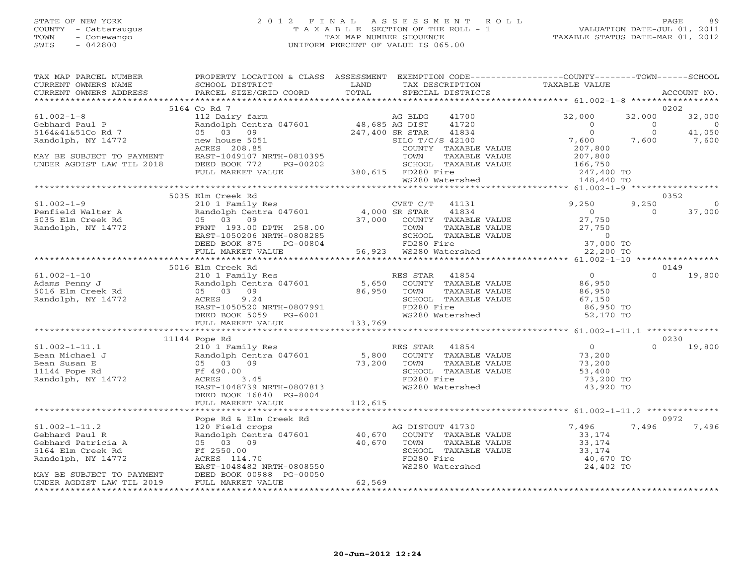## STATE OF NEW YORK 2 0 1 2 F I N A L A S S E S S M E N T R O L L PAGE 89 COUNTY - Cattaraugus T A X A B L E SECTION OF THE ROLL - 1 VALUATION DATE-JUL 01, 2011 TOWN - Conewango TAX MAP NUMBER SEQUENCE TAXABLE STATUS DATE-MAR 01, 2012 SWIS - 042800 UNIFORM PERCENT OF VALUE IS 065.00UNIFORM PERCENT OF VALUE IS 065.00

| TAX MAP PARCEL NUMBER                                                                                                                                                                                                                                  | PROPERTY LOCATION & CLASS ASSESSMENT EXEMPTION CODE----------------COUNTY-------TOWN------SCHOOL                                                                                                                                                      |        |                                                            |                            |                |                |
|--------------------------------------------------------------------------------------------------------------------------------------------------------------------------------------------------------------------------------------------------------|-------------------------------------------------------------------------------------------------------------------------------------------------------------------------------------------------------------------------------------------------------|--------|------------------------------------------------------------|----------------------------|----------------|----------------|
|                                                                                                                                                                                                                                                        |                                                                                                                                                                                                                                                       |        |                                                            |                            |                | ACCOUNT NO.    |
|                                                                                                                                                                                                                                                        |                                                                                                                                                                                                                                                       |        |                                                            |                            |                |                |
|                                                                                                                                                                                                                                                        | 5164 Co Rd 7<br>Co Rd (12) Dairy farm and<br>112 Dairy farm and the standard metric of the standard of the standard of the standard of the standard of the<br>16 OS 03 09 247,400 SR STAR 41834 0<br>16 OS 03 09 247,400 SR STAR 41834 0<br>16 SILO T |        |                                                            |                            |                | 0202           |
| $61.002 - 1 - 8$                                                                                                                                                                                                                                       |                                                                                                                                                                                                                                                       |        |                                                            |                            | 32,000         | 32,000         |
| Gebhard Paul P                                                                                                                                                                                                                                         |                                                                                                                                                                                                                                                       |        |                                                            |                            | $\overline{0}$ | $\sim$ 0       |
| 5164&41&51Co Rd 7                                                                                                                                                                                                                                      |                                                                                                                                                                                                                                                       |        |                                                            |                            | $\overline{0}$ | 41,050         |
| Randolph, NY 14772                                                                                                                                                                                                                                     |                                                                                                                                                                                                                                                       |        |                                                            | $7,600$ $7,600$<br>207,800 |                | 7,600          |
|                                                                                                                                                                                                                                                        |                                                                                                                                                                                                                                                       |        |                                                            |                            |                |                |
| MAY BE SUBJECT TO PAYMENT<br>UNDER AGDIST LAW TIL 2018                                                                                                                                                                                                 |                                                                                                                                                                                                                                                       |        |                                                            |                            |                |                |
|                                                                                                                                                                                                                                                        |                                                                                                                                                                                                                                                       |        |                                                            |                            |                |                |
|                                                                                                                                                                                                                                                        |                                                                                                                                                                                                                                                       |        |                                                            |                            |                |                |
|                                                                                                                                                                                                                                                        |                                                                                                                                                                                                                                                       |        |                                                            |                            |                |                |
|                                                                                                                                                                                                                                                        |                                                                                                                                                                                                                                                       |        |                                                            |                            |                |                |
|                                                                                                                                                                                                                                                        | 5035 Elm Creek Rd                                                                                                                                                                                                                                     |        |                                                            |                            |                | 0352           |
| $61.002 - 1 - 9$                                                                                                                                                                                                                                       |                                                                                                                                                                                                                                                       |        | CVET C/T 41131 9,250<br>00 SR STAR 41834 0                 |                            | 9,250          | $\overline{0}$ |
| 61.002-1-9 210 1 Family<br>Penfield Walter A Randolph Cent<br>5035 Elm Creek Rd 05 03 09<br>Randolph, NY 14772 FRNT 193.00                                                                                                                             |                                                                                                                                                                                                                                                       |        |                                                            |                            | $\overline{0}$ | 37,000         |
|                                                                                                                                                                                                                                                        |                                                                                                                                                                                                                                                       |        |                                                            |                            |                |                |
|                                                                                                                                                                                                                                                        |                                                                                                                                                                                                                                                       |        |                                                            |                            |                |                |
|                                                                                                                                                                                                                                                        |                                                                                                                                                                                                                                                       |        |                                                            |                            |                |                |
|                                                                                                                                                                                                                                                        |                                                                                                                                                                                                                                                       |        |                                                            |                            |                |                |
|                                                                                                                                                                                                                                                        | 210 1 Family Res<br>Randolph Centra 047601 4,000 SR STAR 41834 0<br>05 03 09 37,000 COUNTY TAXABLE VALUE 27,750<br>FRNT 193.00 DPTH 258.00 70WN TAXABLE VALUE 27,750<br>EAST-1050206 NRTH-0808285 SCHOOL TAXABLE VALUE 27,750<br>DEED BO              |        |                                                            |                            |                |                |
|                                                                                                                                                                                                                                                        |                                                                                                                                                                                                                                                       |        |                                                            |                            |                |                |
|                                                                                                                                                                                                                                                        | 5016 Elm Creek Rd                                                                                                                                                                                                                                     |        |                                                            |                            |                | 0149           |
| 61.002-1-10<br>Adams Penny J<br>5016 Elm Creek Rd<br>Randolph, NY 14772                                                                                                                                                                                |                                                                                                                                                                                                                                                       |        |                                                            |                            |                |                |
|                                                                                                                                                                                                                                                        |                                                                                                                                                                                                                                                       |        |                                                            |                            |                |                |
|                                                                                                                                                                                                                                                        |                                                                                                                                                                                                                                                       |        |                                                            |                            |                |                |
|                                                                                                                                                                                                                                                        |                                                                                                                                                                                                                                                       |        |                                                            |                            |                |                |
|                                                                                                                                                                                                                                                        |                                                                                                                                                                                                                                                       |        |                                                            |                            |                |                |
|                                                                                                                                                                                                                                                        |                                                                                                                                                                                                                                                       |        |                                                            |                            |                |                |
|                                                                                                                                                                                                                                                        |                                                                                                                                                                                                                                                       |        |                                                            |                            |                |                |
|                                                                                                                                                                                                                                                        |                                                                                                                                                                                                                                                       |        |                                                            |                            |                |                |
|                                                                                                                                                                                                                                                        | 11144 Pope Rd                                                                                                                                                                                                                                         |        |                                                            |                            |                | 0230           |
| 41.002-1-11.1<br>41.002-1-11.1<br>210 1 Family Res<br>210 1 Family Res<br>210 1 Family Res<br>210 1 Family Res<br>210 1 Family Res<br>210 1 Family Res<br>210 1 Family Res<br>210 1 Family Res<br>210 1 Family Res<br>210 1 Family Res<br>210 1 Family |                                                                                                                                                                                                                                                       |        |                                                            |                            |                | $0 \t 19,800$  |
|                                                                                                                                                                                                                                                        |                                                                                                                                                                                                                                                       |        |                                                            |                            |                |                |
|                                                                                                                                                                                                                                                        |                                                                                                                                                                                                                                                       |        |                                                            |                            |                |                |
|                                                                                                                                                                                                                                                        |                                                                                                                                                                                                                                                       |        |                                                            |                            |                |                |
|                                                                                                                                                                                                                                                        |                                                                                                                                                                                                                                                       |        |                                                            | 73,200 TO                  |                |                |
|                                                                                                                                                                                                                                                        | EAST-1048739 NRTH-0807813                                                                                                                                                                                                                             |        | WS280 Watershed                                            | 43,920 TO                  |                |                |
|                                                                                                                                                                                                                                                        | DEED BOOK 16840 PG-8004                                                                                                                                                                                                                               |        |                                                            |                            |                |                |
|                                                                                                                                                                                                                                                        |                                                                                                                                                                                                                                                       |        |                                                            |                            |                |                |
|                                                                                                                                                                                                                                                        |                                                                                                                                                                                                                                                       |        |                                                            |                            |                |                |
|                                                                                                                                                                                                                                                        | Pope Rd & Elm Creek Rd                                                                                                                                                                                                                                |        |                                                            |                            |                | 0972           |
| $61.002 - 1 - 11.2$                                                                                                                                                                                                                                    | 120 Field crops<br>Randolph Centra 047601 40,670                                                                                                                                                                                                      |        | AG DISTOUT 41730                                           | $7,496$<br>VALUE $33,174$  | 7,496          | 7,496          |
| Gebhard Paul R                                                                                                                                                                                                                                         |                                                                                                                                                                                                                                                       |        | COUNTY TAXABLE VALUE                                       |                            |                |                |
| Gebhard Patricia A                                                                                                                                                                                                                                     | 05 03 09                                                                                                                                                                                                                                              |        |                                                            |                            |                |                |
| 5164 Elm Creek Rd                                                                                                                                                                                                                                      | 40,670<br>Ff 2550.00                                                                                                                                                                                                                                  |        | TOWN TAXABLE VALUE 33, 174<br>SCHOOL TAXABLE VALUE 33, 174 |                            |                |                |
| Randolph, NY 14772                                                                                                                                                                                                                                     | ACRES 114.70                                                                                                                                                                                                                                          |        | FD280 Fire                                                 | 40,670 TO                  |                |                |
|                                                                                                                                                                                                                                                        | EAST-1048482 NRTH-0808550                                                                                                                                                                                                                             |        | WS280 Watershed                                            | 24,402 TO                  |                |                |
| MAY BE SUBJECT TO PAYMENT                                                                                                                                                                                                                              | DEED BOOK 00988 PG-00050                                                                                                                                                                                                                              |        |                                                            |                            |                |                |
| UNDER AGDIST LAW TIL 2019                                                                                                                                                                                                                              | FULL MARKET VALUE                                                                                                                                                                                                                                     | 62,569 |                                                            |                            |                |                |
|                                                                                                                                                                                                                                                        |                                                                                                                                                                                                                                                       |        |                                                            |                            |                |                |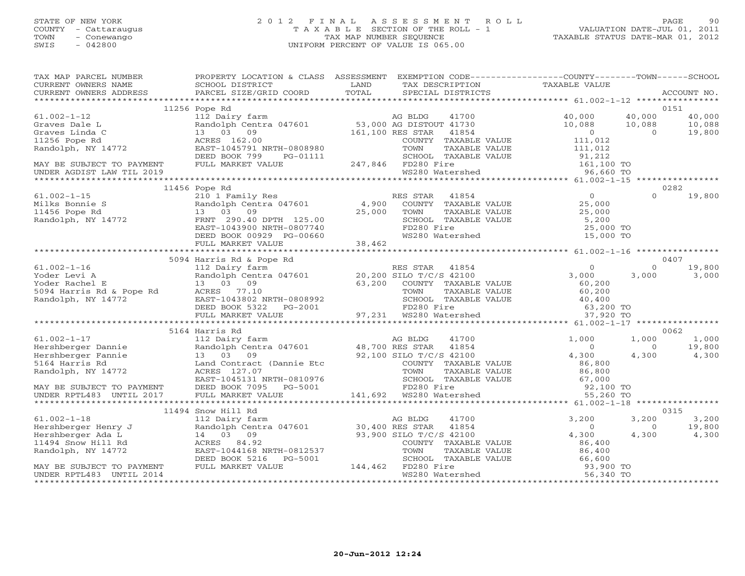## STATE OF NEW YORK 2 0 1 2 F I N A L A S S E S S M E N T R O L L PAGE 90 COUNTY - Cattaraugus T A X A B L E SECTION OF THE ROLL - 1 VALUATION DATE-JUL 01, 2011 TOWN - Conewango TAX MAP NUMBER SEQUENCE TAXABLE STATUS DATE-MAR 01, 2012 SWIS - 042800 UNIFORM PERCENT OF VALUE IS 065.00UNIFORM PERCENT OF VALUE IS 065.00

| TAX MAP PARCEL NUMBER<br>CURRENT OWNERS NAME<br>CURRENT OWNERS ADDRESS                                                                                                                                                             | SCHOOL DISTRICT                                                                                                                                  |                                                                                                                                                                                                                       |                            |          |                  |
|------------------------------------------------------------------------------------------------------------------------------------------------------------------------------------------------------------------------------------|--------------------------------------------------------------------------------------------------------------------------------------------------|-----------------------------------------------------------------------------------------------------------------------------------------------------------------------------------------------------------------------|----------------------------|----------|------------------|
|                                                                                                                                                                                                                                    |                                                                                                                                                  |                                                                                                                                                                                                                       |                            |          |                  |
|                                                                                                                                                                                                                                    | 11256 Pope Rd                                                                                                                                    |                                                                                                                                                                                                                       |                            |          | 0151             |
|                                                                                                                                                                                                                                    |                                                                                                                                                  |                                                                                                                                                                                                                       | 41700 40,000               | 40,000   | 40,000           |
|                                                                                                                                                                                                                                    |                                                                                                                                                  |                                                                                                                                                                                                                       |                            |          | 10,088<br>19,800 |
|                                                                                                                                                                                                                                    |                                                                                                                                                  |                                                                                                                                                                                                                       | $10,088$ $10,088$<br>0 0 0 |          |                  |
|                                                                                                                                                                                                                                    |                                                                                                                                                  |                                                                                                                                                                                                                       |                            |          |                  |
|                                                                                                                                                                                                                                    |                                                                                                                                                  |                                                                                                                                                                                                                       |                            |          |                  |
|                                                                                                                                                                                                                                    |                                                                                                                                                  |                                                                                                                                                                                                                       |                            |          |                  |
| MAY BE SUBJECT TO PAYMENT<br>UNDER AGDIST LAW TIL 2019                                                                                                                                                                             |                                                                                                                                                  |                                                                                                                                                                                                                       |                            |          |                  |
| Kandolph, NY 14//2<br>DEED BOOK 799 PG-01111 247,846 FD280 Fire 16AABLE VALUE 31,212<br>MAY BE SUBJECT TO PAYMENT FULL MARKET VALUE 247,846 FD280 Fire 161,100 TO<br>WS280 Watershed 96,660 TO 50000 VS281 247,846 FD280 Watershed |                                                                                                                                                  | 3 DISTOUT 41730<br>ES STAR 41854 0<br>COUNTY TAXABLE VALUE 111,012<br>TOWN TAXABLE VALUE 111,012<br>SCHOOL TAXABLE VALUE 111,012<br>SCHOOL TAXABLE VALUE 91,212<br>FD280 Fire 161,100 TO<br>WS280 Watershed 96,660 TO |                            |          |                  |
|                                                                                                                                                                                                                                    |                                                                                                                                                  |                                                                                                                                                                                                                       |                            |          |                  |
|                                                                                                                                                                                                                                    | 11456 Pope Rd                                                                                                                                    |                                                                                                                                                                                                                       |                            |          | 0282             |
| $61.002 - 1 - 15$                                                                                                                                                                                                                  |                                                                                                                                                  |                                                                                                                                                                                                                       |                            | $\Omega$ | 19,800           |
| villes Bonnie State and Milks Bonnie State of the Randolph Cent<br>11456 Pope Rd 13 03 09<br>Randolph, NY 14772 FRNT 290.40                                                                                                        |                                                                                                                                                  |                                                                                                                                                                                                                       |                            |          |                  |
|                                                                                                                                                                                                                                    |                                                                                                                                                  |                                                                                                                                                                                                                       |                            |          |                  |
|                                                                                                                                                                                                                                    |                                                                                                                                                  |                                                                                                                                                                                                                       |                            |          |                  |
|                                                                                                                                                                                                                                    |                                                                                                                                                  |                                                                                                                                                                                                                       |                            |          |                  |
|                                                                                                                                                                                                                                    | 13 03 09<br>FRNT 290.40 DPTH 125.00<br>EAST-1043900 NRTH-0807740<br>DEED BOOK 00929 PG-00660<br>FULL MARKET VALUE<br>FULL MARKET VALUE<br>38,462 | WS280 Watershed 15,000 TO                                                                                                                                                                                             |                            |          |                  |
|                                                                                                                                                                                                                                    |                                                                                                                                                  |                                                                                                                                                                                                                       |                            |          |                  |
|                                                                                                                                                                                                                                    | 5094 Harris Rd & Pope Rd                                                                                                                         |                                                                                                                                                                                                                       |                            |          | 0407             |
| $61.002 - 1 - 16$                                                                                                                                                                                                                  |                                                                                                                                                  |                                                                                                                                                                                                                       |                            |          |                  |
|                                                                                                                                                                                                                                    |                                                                                                                                                  |                                                                                                                                                                                                                       |                            |          |                  |
| 61.002-1-16 112 Dairy farm<br>Yoder Levi A Randolph Centr<br>Yoder Rachel E 13 03 09<br>5094 Harris Rd & Pope Rd ACRES 77.10<br>Randolph, NY 14772 EAST-1043802 N                                                                  |                                                                                                                                                  |                                                                                                                                                                                                                       |                            |          |                  |
|                                                                                                                                                                                                                                    |                                                                                                                                                  |                                                                                                                                                                                                                       |                            |          |                  |
|                                                                                                                                                                                                                                    |                                                                                                                                                  |                                                                                                                                                                                                                       |                            |          |                  |
|                                                                                                                                                                                                                                    |                                                                                                                                                  |                                                                                                                                                                                                                       |                            |          |                  |
|                                                                                                                                                                                                                                    |                                                                                                                                                  |                                                                                                                                                                                                                       |                            |          |                  |
|                                                                                                                                                                                                                                    |                                                                                                                                                  |                                                                                                                                                                                                                       |                            |          |                  |
|                                                                                                                                                                                                                                    |                                                                                                                                                  |                                                                                                                                                                                                                       |                            |          | 0062             |
|                                                                                                                                                                                                                                    |                                                                                                                                                  |                                                                                                                                                                                                                       |                            |          |                  |
|                                                                                                                                                                                                                                    |                                                                                                                                                  |                                                                                                                                                                                                                       |                            |          |                  |
|                                                                                                                                                                                                                                    |                                                                                                                                                  |                                                                                                                                                                                                                       |                            |          |                  |
|                                                                                                                                                                                                                                    |                                                                                                                                                  |                                                                                                                                                                                                                       |                            |          |                  |
|                                                                                                                                                                                                                                    |                                                                                                                                                  |                                                                                                                                                                                                                       |                            |          |                  |
|                                                                                                                                                                                                                                    |                                                                                                                                                  |                                                                                                                                                                                                                       |                            |          |                  |
|                                                                                                                                                                                                                                    |                                                                                                                                                  |                                                                                                                                                                                                                       |                            |          |                  |
|                                                                                                                                                                                                                                    |                                                                                                                                                  |                                                                                                                                                                                                                       |                            |          |                  |
|                                                                                                                                                                                                                                    |                                                                                                                                                  |                                                                                                                                                                                                                       |                            |          |                  |
|                                                                                                                                                                                                                                    | 11494 Snow Hill Rd                                                                                                                               |                                                                                                                                                                                                                       |                            |          | 0315             |
|                                                                                                                                                                                                                                    |                                                                                                                                                  |                                                                                                                                                                                                                       | 3,200                      | 3,200    | 3,200            |
|                                                                                                                                                                                                                                    |                                                                                                                                                  | ES STAR 41854<br>ILO T/C/S 42100<br>COUNTY TAXABLE VALUE                                                                                                                                                              | $\overline{0}$             | $\circ$  | 19,800           |
|                                                                                                                                                                                                                                    |                                                                                                                                                  |                                                                                                                                                                                                                       | 4,300                      | 4,300    | 4,300            |
|                                                                                                                                                                                                                                    |                                                                                                                                                  |                                                                                                                                                                                                                       | 86,400                     |          |                  |
|                                                                                                                                                                                                                                    |                                                                                                                                                  |                                                                                                                                                                                                                       |                            |          |                  |
|                                                                                                                                                                                                                                    |                                                                                                                                                  | COUNTY TAXABLE VALUE<br>TOWN TAXABLE VALUE 86,400<br>SCHOOL TAXABLE VALUE 66,600<br>FD280 Fire 93,900 TO<br>WS280 Watershed 56,340 TO                                                                                 |                            |          |                  |
|                                                                                                                                                                                                                                    |                                                                                                                                                  |                                                                                                                                                                                                                       |                            |          |                  |
| UNDER RPTL483 UNTIL 2014                                                                                                                                                                                                           |                                                                                                                                                  |                                                                                                                                                                                                                       |                            |          |                  |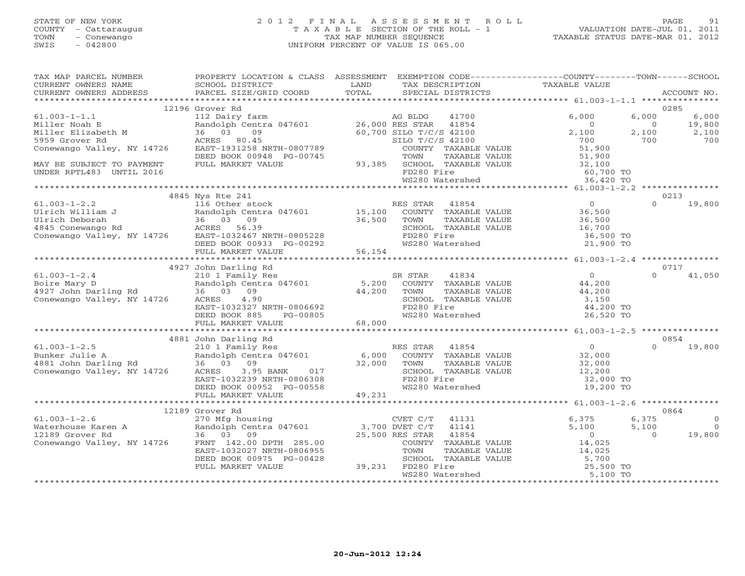## STATE OF NEW YORK 2 0 1 2 F I N A L A S S E S S M E N T R O L L PAGE 91 COUNTY - Cattaraugus T A X A B L E SECTION OF THE ROLL - 1 VALUATION DATE-JUL 01, 2011 TOWN - Conewango TAX MAP NUMBER SEQUENCE TAXABLE STATUS DATE-MAR 01, 2012 SWIS - 042800 UNIFORM PERCENT OF VALUE IS 065.00UNIFORM PERCENT OF VALUE IS 065.00

| TAX MAP PARCEL NUMBER<br>CURRENT OWNERS NAME                                                                                                                                                                                                | PROPERTY LOCATION & CLASS ASSESSMENT<br>SCHOOL DISTRICT | <b>EXAMPLE SERVICE SERVICE SERVICE SERVICE SERVICE SERVICE SERVICE SERVICE SERVICE SERVICE SERVICE SERVICE SERVICE</b> | EXEMPTION CODE----------------COUNTY-------TOWN------SCHOOL<br>TAX DESCRIPTION TAXABLE VALUE<br>SPECIAL DISTRICTS |                |                        |
|---------------------------------------------------------------------------------------------------------------------------------------------------------------------------------------------------------------------------------------------|---------------------------------------------------------|------------------------------------------------------------------------------------------------------------------------|-------------------------------------------------------------------------------------------------------------------|----------------|------------------------|
|                                                                                                                                                                                                                                             |                                                         |                                                                                                                        |                                                                                                                   |                |                        |
|                                                                                                                                                                                                                                             | 12196 Grover Rd                                         |                                                                                                                        |                                                                                                                   |                | 0285                   |
|                                                                                                                                                                                                                                             |                                                         |                                                                                                                        |                                                                                                                   |                | 6,000                  |
|                                                                                                                                                                                                                                             |                                                         |                                                                                                                        |                                                                                                                   |                | $\frac{19,800}{2,100}$ |
|                                                                                                                                                                                                                                             |                                                         |                                                                                                                        |                                                                                                                   |                | 700                    |
|                                                                                                                                                                                                                                             |                                                         |                                                                                                                        |                                                                                                                   |                |                        |
|                                                                                                                                                                                                                                             |                                                         |                                                                                                                        |                                                                                                                   |                |                        |
|                                                                                                                                                                                                                                             |                                                         |                                                                                                                        |                                                                                                                   |                |                        |
|                                                                                                                                                                                                                                             |                                                         |                                                                                                                        |                                                                                                                   |                |                        |
|                                                                                                                                                                                                                                             |                                                         |                                                                                                                        |                                                                                                                   |                |                        |
|                                                                                                                                                                                                                                             |                                                         |                                                                                                                        |                                                                                                                   |                |                        |
|                                                                                                                                                                                                                                             | 4845 Nys Rte 241                                        |                                                                                                                        |                                                                                                                   |                | 0213                   |
|                                                                                                                                                                                                                                             |                                                         |                                                                                                                        |                                                                                                                   | $\Omega$       | 19,800                 |
|                                                                                                                                                                                                                                             |                                                         |                                                                                                                        |                                                                                                                   |                |                        |
|                                                                                                                                                                                                                                             |                                                         |                                                                                                                        |                                                                                                                   |                |                        |
|                                                                                                                                                                                                                                             |                                                         |                                                                                                                        |                                                                                                                   |                |                        |
|                                                                                                                                                                                                                                             |                                                         |                                                                                                                        |                                                                                                                   |                |                        |
| $(30.003 - 1 - 2.2$ (4645 MyS Ktc 241<br>Ulrich William J<br>Ulrich Milliam J<br>Ulrich Deborah<br>(16 Other stock and the stock and the stock and the stock of the stock of the state of the state of the state<br>Ulrich Deborah<br>(26,5 |                                                         |                                                                                                                        |                                                                                                                   |                |                        |
|                                                                                                                                                                                                                                             |                                                         |                                                                                                                        |                                                                                                                   |                |                        |
|                                                                                                                                                                                                                                             | 4927 John Darling Rd                                    |                                                                                                                        |                                                                                                                   |                | 0717                   |
|                                                                                                                                                                                                                                             |                                                         |                                                                                                                        |                                                                                                                   |                |                        |
|                                                                                                                                                                                                                                             |                                                         |                                                                                                                        |                                                                                                                   |                |                        |
|                                                                                                                                                                                                                                             |                                                         |                                                                                                                        |                                                                                                                   |                |                        |
|                                                                                                                                                                                                                                             |                                                         |                                                                                                                        |                                                                                                                   |                |                        |
|                                                                                                                                                                                                                                             |                                                         |                                                                                                                        |                                                                                                                   |                |                        |
|                                                                                                                                                                                                                                             |                                                         |                                                                                                                        |                                                                                                                   |                |                        |
|                                                                                                                                                                                                                                             |                                                         |                                                                                                                        |                                                                                                                   |                |                        |
|                                                                                                                                                                                                                                             |                                                         |                                                                                                                        |                                                                                                                   |                |                        |
|                                                                                                                                                                                                                                             | 4881 John Darling Rd                                    |                                                                                                                        |                                                                                                                   |                | 0854                   |
|                                                                                                                                                                                                                                             |                                                         |                                                                                                                        |                                                                                                                   |                | 19,800                 |
|                                                                                                                                                                                                                                             |                                                         |                                                                                                                        |                                                                                                                   |                |                        |
|                                                                                                                                                                                                                                             |                                                         |                                                                                                                        |                                                                                                                   |                |                        |
|                                                                                                                                                                                                                                             |                                                         |                                                                                                                        |                                                                                                                   |                |                        |
|                                                                                                                                                                                                                                             |                                                         |                                                                                                                        |                                                                                                                   |                |                        |
|                                                                                                                                                                                                                                             |                                                         |                                                                                                                        |                                                                                                                   |                |                        |
|                                                                                                                                                                                                                                             |                                                         |                                                                                                                        |                                                                                                                   |                |                        |
|                                                                                                                                                                                                                                             | 12189 Grover Rd                                         |                                                                                                                        |                                                                                                                   |                | 0864                   |
|                                                                                                                                                                                                                                             |                                                         |                                                                                                                        |                                                                                                                   | 6,375          |                        |
|                                                                                                                                                                                                                                             |                                                         |                                                                                                                        |                                                                                                                   | 5,100          | $\overline{a}$         |
|                                                                                                                                                                                                                                             |                                                         |                                                                                                                        |                                                                                                                   | $\overline{0}$ | 19,800                 |
|                                                                                                                                                                                                                                             |                                                         |                                                                                                                        |                                                                                                                   |                |                        |
|                                                                                                                                                                                                                                             |                                                         |                                                                                                                        |                                                                                                                   |                |                        |
|                                                                                                                                                                                                                                             |                                                         |                                                                                                                        |                                                                                                                   |                |                        |
|                                                                                                                                                                                                                                             |                                                         |                                                                                                                        |                                                                                                                   |                |                        |
|                                                                                                                                                                                                                                             |                                                         |                                                                                                                        |                                                                                                                   |                |                        |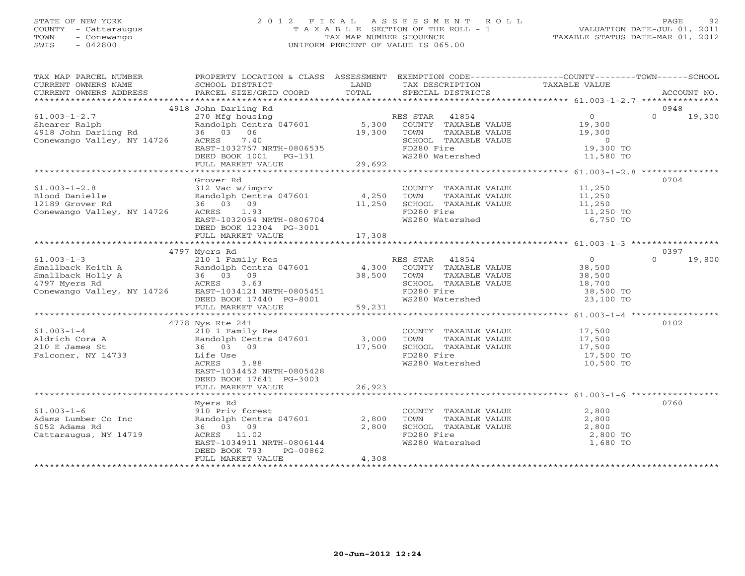## STATE OF NEW YORK 2 0 1 2 F I N A L A S S E S S M E N T R O L L PAGE 92 COUNTY - Cattaraugus T A X A B L E SECTION OF THE ROLL - 1 VALUATION DATE-JUL 01, 2011 TOWN - Conewango TAX MAP NUMBER SEQUENCE TAXABLE STATUS DATE-MAR 01, 2012 SWIS - 042800 UNIFORM PERCENT OF VALUE IS 065.00UNIFORM PERCENT OF VALUE IS 065.00

| TAX MAP PARCEL NUMBER<br>CURRENT OWNERS NAME<br>CURRENT OWNERS ADDRESS       | PROPERTY LOCATION & CLASS ASSESSMENT<br>SCHOOL DISTRICT<br>PARCEL SIZE/GRID COORD        | LAND<br>TOTAL     | EXEMPTION CODE-----------------COUNTY-------TOWN------SCHOOL<br>TAX DESCRIPTION<br>SPECIAL DISTRICTS | TAXABLE VALUE                                    | ACCOUNT NO.        |
|------------------------------------------------------------------------------|------------------------------------------------------------------------------------------|-------------------|------------------------------------------------------------------------------------------------------|--------------------------------------------------|--------------------|
|                                                                              |                                                                                          |                   |                                                                                                      |                                                  |                    |
|                                                                              | 4918 John Darling Rd                                                                     |                   |                                                                                                      |                                                  | 0948               |
| $61.003 - 1 - 2.7$<br>Shearer Ralph<br>snearer kaipn<br>4918 John Darling Rd | 270 Mfg housing<br>Randolph Centra 047601<br>36 03 06                                    | 19,300            | RES STAR 41854<br>5,300 COUNTY TAXABLE VALUE<br>TOWN<br>TAXABLE VALUE                                | $\overline{O}$<br>19,300<br>19,300               | $\Omega$<br>19,300 |
| Conewango Valley, NY 14726                                                   | 7.40<br>ACRES<br>EAST-1032757 NRTH-0806535<br>DEED BOOK 1001 PG-131<br>FULL MARKET VALUE | 29,692            | SCHOOL TAXABLE VALUE<br>FD280 Fire<br>WS280 Watershed                                                | $\overline{0}$<br>19,300 TO<br>11,580 TO         |                    |
|                                                                              |                                                                                          |                   |                                                                                                      | ****************** 61.003-1-2.8 **************** |                    |
| $61.003 - 1 - 2.8$                                                           | Grover Rd<br>312 Vac w/imprv                                                             |                   |                                                                                                      | 11,250                                           | 0704               |
| Blood Danielle                                                               | Randolph Centra 047601 4,250                                                             |                   | COUNTY TAXABLE VALUE<br>TOWN     TAXABLE VALUE                                                       | 11,250                                           |                    |
| 12189 Grover Rd                                                              | 36 03 09                                                                                 | 11,250            | SCHOOL TAXABLE VALUE                                                                                 | 11,250                                           |                    |
| Conewango Valley, NY 14726                                                   | ACRES 1.93<br>EAST-1032054 NRTH-0806704                                                  |                   | FD280 Fire<br>WS280 Watershed                                                                        | 11,250 TO<br>6,750 TO                            |                    |
|                                                                              | DEED BOOK 12304 PG-3001<br>FULL MARKET VALUE                                             | 17,308            |                                                                                                      |                                                  |                    |
|                                                                              |                                                                                          |                   |                                                                                                      |                                                  |                    |
|                                                                              | 4797 Myers Rd                                                                            |                   |                                                                                                      |                                                  | 0397               |
| $61.003 - 1 - 3$                                                             | 210 1 Family Res                                                                         |                   | RES STAR 41854                                                                                       | $\overline{0}$                                   | $\Omega$<br>19,800 |
|                                                                              |                                                                                          | $4,300$<br>38.500 | COUNTY TAXABLE VALUE                                                                                 | 38,500                                           |                    |
|                                                                              |                                                                                          | 38,500            | TOWN<br>TAXABLE VALUE                                                                                | 38,500                                           |                    |
|                                                                              |                                                                                          |                   | SCHOOL TAXABLE VALUE                                                                                 | 18,700                                           |                    |
| Conewango Valley, NY 14726 EAST-1034121 NRTH-0805451                         |                                                                                          |                   | FD280 Fire                                                                                           | 38,500 TO                                        |                    |
|                                                                              | DEED BOOK 17440 PG-8001<br>FULL MARKET VALUE                                             | 59,231            | WS280 Watershed                                                                                      | 23,100 TO                                        |                    |
|                                                                              |                                                                                          |                   |                                                                                                      |                                                  |                    |
|                                                                              | 4778 Nys Rte 241                                                                         |                   |                                                                                                      |                                                  | 0102               |
| $61.003 - 1 - 4$                                                             | 210 1 Family Res                                                                         |                   | COUNTY TAXABLE VALUE                                                                                 | 17,500                                           |                    |
| Aldrich Cora A                                                               | Randolph Centra 047601 3,000                                                             |                   | TOWN<br>TAXABLE VALUE                                                                                | 17,500                                           |                    |
| 210 E James St                                                               | 36 03 09                                                                                 | 17,500            | SCHOOL TAXABLE VALUE                                                                                 | 17,500                                           |                    |
| Falconer, NY 14733                                                           | Life Use                                                                                 |                   | FD280 Fire                                                                                           | 17,500 TO                                        |                    |
|                                                                              | ACRES<br>3.88<br>EAST-1034452 NRTH-0805428<br>DEED BOOK 17641 PG-3003                    |                   | WS280 Watershed                                                                                      | 10,500 TO                                        |                    |
|                                                                              | FULL MARKET VALUE                                                                        | 26,923            |                                                                                                      |                                                  |                    |
|                                                                              |                                                                                          |                   |                                                                                                      |                                                  |                    |
|                                                                              | Myers Rd                                                                                 |                   |                                                                                                      |                                                  | 0760               |
| $61.003 - 1 - 6$<br>Adams Lumber Co Inc                                      | 910 Priv forest<br>Randolph Centra 047601                                                | 2,800             | COUNTY TAXABLE VALUE<br>TOWN                                                                         | 2,800                                            |                    |
| 6052 Adams Rd                                                                | 36 03 09                                                                                 | 2,800             | TAXABLE VALUE<br>SCHOOL TAXABLE VALUE                                                                | 2,800<br>2,800                                   |                    |
| Cattaraugus, NY 14719                                                        | ACRES 11.02                                                                              |                   | FD280 Fire                                                                                           | 2,800 TO                                         |                    |
|                                                                              | EAST-1034911 NRTH-0806144                                                                |                   | WS280 Watershed                                                                                      | 1,680 TO                                         |                    |
|                                                                              | DEED BOOK 793<br>PG-00862                                                                |                   |                                                                                                      |                                                  |                    |
|                                                                              | FULL MARKET VALUE                                                                        | 4,308             |                                                                                                      |                                                  |                    |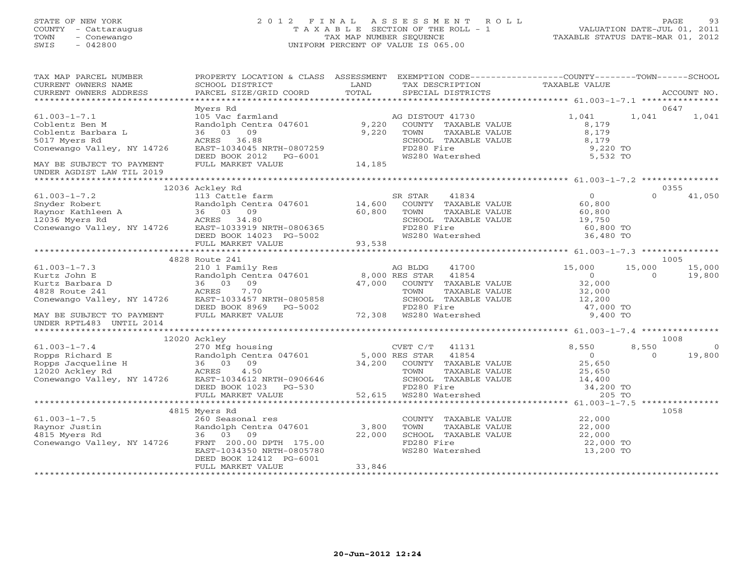## STATE OF NEW YORK 2 0 1 2 F I N A L A S S E S S M E N T R O L L PAGE 93 COUNTY - Cattaraugus T A X A B L E SECTION OF THE ROLL - 1 VALUATION DATE-JUL 01, 2011 TOWN - Conewango TAX MAP NUMBER SEQUENCE TAXABLE STATUS DATE-MAR 01, 2012 SWIS - 042800 UNIFORM PERCENT OF VALUE IS 065.00UNIFORM PERCENT OF VALUE IS 065.00

| TAX MAP PARCEL NUMBER                                                                                                                                            | PROPERTY LOCATION & CLASS ASSESSMENT EXEMPTION CODE----------------COUNTY-------TOWN------SCHOOL          |        |                                                                        |                                                                                                                                |          |            |
|------------------------------------------------------------------------------------------------------------------------------------------------------------------|-----------------------------------------------------------------------------------------------------------|--------|------------------------------------------------------------------------|--------------------------------------------------------------------------------------------------------------------------------|----------|------------|
| CURRENT OWNERS NAME<br>CURRENT OWNERS ADDRESS                                                                                                                    | SCHOOL DISTRICT                                                                                           | LAND   | TAX DESCRIPTION TAXABLE VALUE                                          |                                                                                                                                |          |            |
|                                                                                                                                                                  |                                                                                                           |        |                                                                        |                                                                                                                                |          |            |
|                                                                                                                                                                  | Myers Rd                                                                                                  |        |                                                                        |                                                                                                                                |          | 0647       |
| $61.003 - 1 - 7.1$                                                                                                                                               |                                                                                                           |        | AG DISTOUT 41730                                                       | 1,041                                                                                                                          | 1,041    | 1,041      |
| Coblentz Ben M                                                                                                                                                   | Randolph Centra 047601<br>36 03 09<br>ACRES 36.88                                                         | 9,220  | COUNTY TAXABLE VALUE                                                   | 8,179                                                                                                                          |          |            |
| Coblentz Barbara L                                                                                                                                               |                                                                                                           | 9,220  | TOWN<br>TAXABLE VALUE                                                  | 8,179                                                                                                                          |          |            |
| 5017 Myers Rd                                                                                                                                                    |                                                                                                           |        | SCHOOL TAXABLE VALUE                                                   | 8,179                                                                                                                          |          |            |
| Conewango Valley, NY 14726                                                                                                                                       | EAST-1034045 NRTH-0807259                                                                                 |        |                                                                        | 9,220 TO                                                                                                                       |          |            |
|                                                                                                                                                                  | DEED BOOK 2012 PG-6001                                                                                    |        | FD280 Fire<br>WS280 Watershed                                          | 5,532 TO                                                                                                                       |          |            |
| MAY BE SUBJECT TO PAYMENT                                                                                                                                        | FULL MARKET VALUE                                                                                         | 14,185 |                                                                        |                                                                                                                                |          |            |
| UNDER AGDIST LAW TIL 2019                                                                                                                                        |                                                                                                           |        |                                                                        |                                                                                                                                |          |            |
|                                                                                                                                                                  |                                                                                                           |        |                                                                        |                                                                                                                                |          |            |
|                                                                                                                                                                  | 12036 Ackley Rd                                                                                           |        |                                                                        |                                                                                                                                |          | 0355       |
| $61.003 - 1 - 7.2$                                                                                                                                               | 113 Cattle farm                                                                                           |        | 41834<br>SR STAR                                                       | $\overline{0}$                                                                                                                 | $\Omega$ | 41,050     |
|                                                                                                                                                                  | Randolph Centra 047601 14,600                                                                             |        | COUNTY TAXABLE VALUE                                                   | 60,800                                                                                                                         |          |            |
| Shyder Robert<br>Randolph Centra 047601<br>Raynor Kathleen A<br>12036 Myers Rd<br>Conewango Valley, NY 14726<br>EAST-1033919 NRTH-0806365                        |                                                                                                           | 60,800 | TAXABLE VALUE<br>TOWN                                                  | 60,800                                                                                                                         |          |            |
|                                                                                                                                                                  |                                                                                                           |        | SCHOOL TAXABLE VALUE                                                   | 19,750                                                                                                                         |          |            |
|                                                                                                                                                                  |                                                                                                           |        | FD280 Fire                                                             | 60,800 TO                                                                                                                      |          |            |
|                                                                                                                                                                  | DEED BOOK 14023 PG-5002<br>FULL MARKET VALUE 93,538                                                       |        | WS280 Watershed                                                        | 36,480 TO                                                                                                                      |          |            |
|                                                                                                                                                                  |                                                                                                           |        |                                                                        |                                                                                                                                |          |            |
|                                                                                                                                                                  |                                                                                                           |        |                                                                        |                                                                                                                                |          |            |
|                                                                                                                                                                  | 4828 Route 241                                                                                            |        |                                                                        |                                                                                                                                |          | 1005       |
| $61.003 - 1 - 7.3$                                                                                                                                               |                                                                                                           |        | 41700                                                                  | 15,000                                                                                                                         | 15,000   | 15,000     |
| Kurtz John E                                                                                                                                                     |                                                                                                           |        |                                                                        | $\overline{0}$                                                                                                                 | $\Omega$ | 19,800     |
| Kurtz Barbara D                                                                                                                                                  |                                                                                                           |        | 47,000 COUNTY TAXABLE VALUE                                            |                                                                                                                                |          |            |
| 4828 Route 241                                                                                                                                                   | 7.70                                                                                                      |        | TOWN<br>TAXABLE VALUE                                                  | 32,000<br>32,000                                                                                                               |          |            |
| Conewango Valley, NY 14726                                                                                                                                       | EAST-1033457 NRTH-0805858                                                                                 |        | SCHOOL TAXABLE VALUE                                                   | 12,200                                                                                                                         |          |            |
|                                                                                                                                                                  |                                                                                                           |        |                                                                        | 47,000 TO                                                                                                                      |          |            |
| MAY BE SUBJECT TO PAYMENT<br>INDER RPTL483 INTIL 2014                                                                                                            | DEED BOOK 8969 PG-5002 FD280 Fire<br>FULL MARKET VALUE 72,308 WS280 Watershed                             |        |                                                                        | 9,400 TO                                                                                                                       |          |            |
| UNDER RPTL483 UNTIL 2014                                                                                                                                         |                                                                                                           |        |                                                                        |                                                                                                                                |          |            |
|                                                                                                                                                                  |                                                                                                           |        |                                                                        |                                                                                                                                |          |            |
|                                                                                                                                                                  | 12020 Ackley                                                                                              |        |                                                                        |                                                                                                                                |          | 1008       |
| $61.003 - 1 - 7.4$                                                                                                                                               | 270 Mfg housing                                                                                           |        | CVET C/T 41131                                                         | 8,550                                                                                                                          | 8,550    | $\bigcirc$ |
| Example 12020 Ackley Randolph Centra 047601<br>Ropps Jacqueline H 36 03 09<br>12020 Ackley Rd ACRES 4.50<br>Conewango Valley, NY 14726 EAST-1034612 NRTH-0906646 | Ero ing industries<br>Randolph Centra 047601 5,000 RES STAR 41854<br>36 03 09 34,200 COUNTY TAXABLE VALUE |        |                                                                        | $25 - 0$                                                                                                                       | $\Omega$ | 19,800     |
|                                                                                                                                                                  |                                                                                                           |        |                                                                        |                                                                                                                                |          |            |
|                                                                                                                                                                  |                                                                                                           |        |                                                                        | TOWN TAXABLE VALUE 25,650<br>SCHOOL TAXABLE VALUE 14,400<br>FD280 Fire 34,200 TO<br>WS280 Watershed 205 TO<br>25,650<br>14,400 |          |            |
|                                                                                                                                                                  |                                                                                                           |        |                                                                        |                                                                                                                                |          |            |
|                                                                                                                                                                  | DEED BOOK 1023 PG-530                                                                                     |        | TOWN TAXABLE<br>SCHOOL TAXABLE<br>FD280 Fire<br>52,615 WS280 Watershed |                                                                                                                                |          |            |
|                                                                                                                                                                  | FULL MARKET VALUE                                                                                         |        |                                                                        |                                                                                                                                |          |            |
|                                                                                                                                                                  |                                                                                                           |        |                                                                        |                                                                                                                                |          |            |
|                                                                                                                                                                  | 4815 Myers Rd                                                                                             |        |                                                                        |                                                                                                                                |          | 1058       |
| $61.003 - 1 - 7.5$                                                                                                                                               | 260 Seasonal res                                                                                          |        | COUNTY TAXABLE VALUE                                                   | 22,000                                                                                                                         |          |            |
| Raynor Justin                                                                                                                                                    | Randolph Centra 047601 3,800<br>36 03 09 22.000                                                           |        | TOWN<br>TAXABLE VALUE                                                  | 22,000                                                                                                                         |          |            |
| 4815 Myers Rd                                                                                                                                                    | 36 03 09                                                                                                  | 22,000 | SCHOOL TAXABLE VALUE                                                   | 22,000                                                                                                                         |          |            |
| Conewango Valley, NY 14726                                                                                                                                       | FRNT 200.00 DPTH 175.00                                                                                   |        | FD280 Fire                                                             | 22,000 TO                                                                                                                      |          |            |
|                                                                                                                                                                  | EAST-1034350 NRTH-0805780                                                                                 |        | WS280 Watershed                                                        | 13,200 TO                                                                                                                      |          |            |
|                                                                                                                                                                  | DEED BOOK 12412 PG-6001                                                                                   |        |                                                                        |                                                                                                                                |          |            |
|                                                                                                                                                                  | FULL MARKET VALUE                                                                                         | 33,846 |                                                                        |                                                                                                                                |          |            |
|                                                                                                                                                                  |                                                                                                           |        |                                                                        |                                                                                                                                |          |            |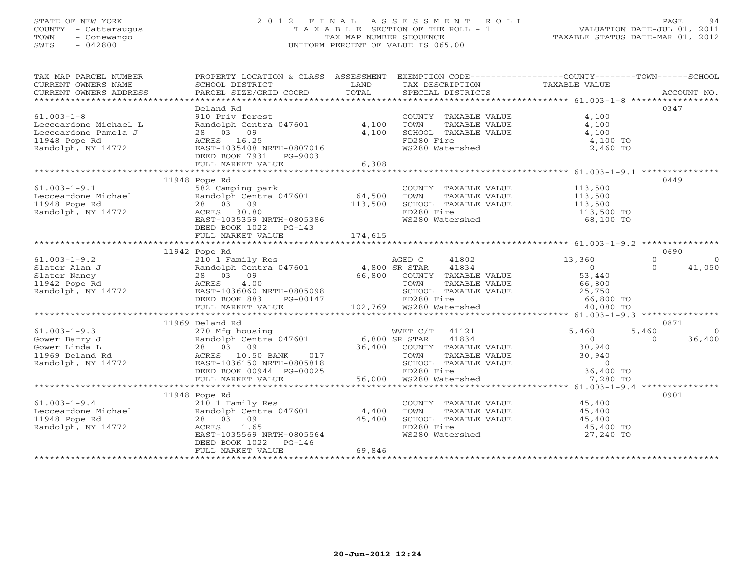## STATE OF NEW YORK 2 0 1 2 F I N A L A S S E S S M E N T R O L L PAGE 94 COUNTY - Cattaraugus T A X A B L E SECTION OF THE ROLL - 1 VALUATION DATE-JUL 01, 2011 TOWN - Conewango TAX MAP NUMBER SEQUENCE TAXABLE STATUS DATE-MAR 01, 2012 SWIS - 042800 UNIFORM PERCENT OF VALUE IS 065.00UNIFORM PERCENT OF VALUE IS 065.00

| TAX MAP PARCEL NUMBER                                                                                                                                                                                                    | PROPERTY LOCATION & CLASS ASSESSMENT EXEMPTION CODE---------------COUNTY-------TOWN------SCHOOL                |                                                                                                                        |                                                 |                      |      |
|--------------------------------------------------------------------------------------------------------------------------------------------------------------------------------------------------------------------------|----------------------------------------------------------------------------------------------------------------|------------------------------------------------------------------------------------------------------------------------|-------------------------------------------------|----------------------|------|
| CURRENT OWNERS NAME<br>CURRENT OWNERS ADDRESS                                                                                                                                                                            | SCHOOL DISTRICT                                                                                                | <b>EXAMPLE SERVICE SERVICE SERVICE SERVICE SERVICE SERVICE SERVICE SERVICE SERVICE SERVICE SERVICE SERVICE SERVICE</b> | TAX DESCRIPTION TAXABLE VALUE SPECIAL DISTRICTS |                      |      |
|                                                                                                                                                                                                                          |                                                                                                                |                                                                                                                        |                                                 |                      |      |
|                                                                                                                                                                                                                          | Deland Rd                                                                                                      |                                                                                                                        |                                                 |                      | 0347 |
| $61.003 - 1 - 8$                                                                                                                                                                                                         | 910 Priv forest                                                                                                |                                                                                                                        | COUNTY TAXABLE VALUE 4,100                      |                      |      |
|                                                                                                                                                                                                                          | Randolph Centra 047601 4,100                                                                                   |                                                                                                                        | TOWN TAXABLE VALUE<br>SCHOOL TAXABLE VALUE      | 4,100                |      |
|                                                                                                                                                                                                                          |                                                                                                                | 4,100                                                                                                                  |                                                 | 4,100                |      |
|                                                                                                                                                                                                                          |                                                                                                                |                                                                                                                        | FD280 Fire                                      | 4,100 TO             |      |
|                                                                                                                                                                                                                          |                                                                                                                |                                                                                                                        | FD280 File<br>WS280 Watershed                   | 2,460 TO             |      |
| Lecceardone Michael L Randolph Centra 047601 4, 1<br>Lecceardone Pamela J 28 03 09 4, 1<br>11948 Pope Rd ACRES 16.25<br>Randolph, NY 14772 EAST-1035408 NRTH-0807016<br>DEED BOOK 7931 PG-9003<br>FULL MARKET VALUE 6, 3 |                                                                                                                |                                                                                                                        |                                                 |                      |      |
|                                                                                                                                                                                                                          | FULL MARKET VALUE                                                                                              | 6,308                                                                                                                  |                                                 |                      |      |
|                                                                                                                                                                                                                          | 11948 Pope Rd                                                                                                  |                                                                                                                        |                                                 |                      | 0449 |
| $61.003 - 1 - 9.1$                                                                                                                                                                                                       | 582 Camping park                                                                                               |                                                                                                                        |                                                 |                      |      |
|                                                                                                                                                                                                                          |                                                                                                                |                                                                                                                        |                                                 |                      |      |
| Lecceardone Michael<br>11948 Pope Rd<br>Randolph, NY 14772                                                                                                                                                               |                                                                                                                |                                                                                                                        |                                                 |                      |      |
|                                                                                                                                                                                                                          |                                                                                                                |                                                                                                                        | FD280 Fire                                      | 113,500 TO           |      |
|                                                                                                                                                                                                                          | 582 Camping park<br>Randolph Centra 047601 64,500<br>28 03 09 113,500<br>ACRES 30.80 RAST-1035359 NRTH-0805386 |                                                                                                                        | WS280 Watershed                                 | 68,100 TO            |      |
|                                                                                                                                                                                                                          | DEED BOOK 1022    PG-143                                                                                       |                                                                                                                        |                                                 |                      |      |
|                                                                                                                                                                                                                          |                                                                                                                |                                                                                                                        |                                                 |                      |      |
|                                                                                                                                                                                                                          |                                                                                                                |                                                                                                                        |                                                 |                      |      |
|                                                                                                                                                                                                                          | 11942 Pope Rd                                                                                                  |                                                                                                                        |                                                 |                      | 0690 |
|                                                                                                                                                                                                                          |                                                                                                                |                                                                                                                        |                                                 |                      |      |
|                                                                                                                                                                                                                          |                                                                                                                |                                                                                                                        |                                                 |                      |      |
|                                                                                                                                                                                                                          |                                                                                                                |                                                                                                                        |                                                 |                      |      |
|                                                                                                                                                                                                                          |                                                                                                                |                                                                                                                        |                                                 |                      |      |
|                                                                                                                                                                                                                          |                                                                                                                |                                                                                                                        |                                                 |                      |      |
|                                                                                                                                                                                                                          |                                                                                                                |                                                                                                                        |                                                 |                      |      |
|                                                                                                                                                                                                                          |                                                                                                                |                                                                                                                        |                                                 |                      |      |
|                                                                                                                                                                                                                          | 11969 Deland Rd                                                                                                |                                                                                                                        |                                                 |                      | 0871 |
|                                                                                                                                                                                                                          |                                                                                                                |                                                                                                                        |                                                 |                      |      |
|                                                                                                                                                                                                                          |                                                                                                                |                                                                                                                        |                                                 |                      |      |
|                                                                                                                                                                                                                          |                                                                                                                |                                                                                                                        |                                                 |                      |      |
|                                                                                                                                                                                                                          |                                                                                                                |                                                                                                                        |                                                 |                      |      |
|                                                                                                                                                                                                                          |                                                                                                                |                                                                                                                        |                                                 |                      |      |
|                                                                                                                                                                                                                          |                                                                                                                |                                                                                                                        |                                                 |                      |      |
|                                                                                                                                                                                                                          |                                                                                                                |                                                                                                                        |                                                 |                      |      |
|                                                                                                                                                                                                                          | 11948 Pope Rd                                                                                                  |                                                                                                                        |                                                 |                      | 0901 |
|                                                                                                                                                                                                                          |                                                                                                                |                                                                                                                        | COUNTY TAXABLE VALUE 45,400                     |                      |      |
|                                                                                                                                                                                                                          |                                                                                                                |                                                                                                                        | TOWN                                            | TAXABLE VALUE 45,400 |      |
| $\begin{array}{lll}\n & 210 & 1 & \text{Family Res} \\  \text{Lecceardone Michael} & \text{Random Famidy Res} & 4,400 \\ 11948 & \text{Pope Rd} & 28 & 03 & 09\n\end{array}$                                             |                                                                                                                |                                                                                                                        | SCHOOL TAXABLE VALUE                            |                      |      |
| Randolph, NY 14772                                                                                                                                                                                                       | 45,400<br>ACRES 1.65                                                                                           |                                                                                                                        | FD280 Fire                                      | 45,400<br>45,400 TO  |      |
|                                                                                                                                                                                                                          | EAST-1035569 NRTH-0805564                                                                                      |                                                                                                                        | WS280 Watershed                                 | 27,240 TO            |      |
|                                                                                                                                                                                                                          | DEED BOOK 1022 PG-146                                                                                          |                                                                                                                        |                                                 |                      |      |
|                                                                                                                                                                                                                          | FULL MARKET VALUE                                                                                              | 69,846                                                                                                                 |                                                 |                      |      |
|                                                                                                                                                                                                                          |                                                                                                                |                                                                                                                        |                                                 |                      |      |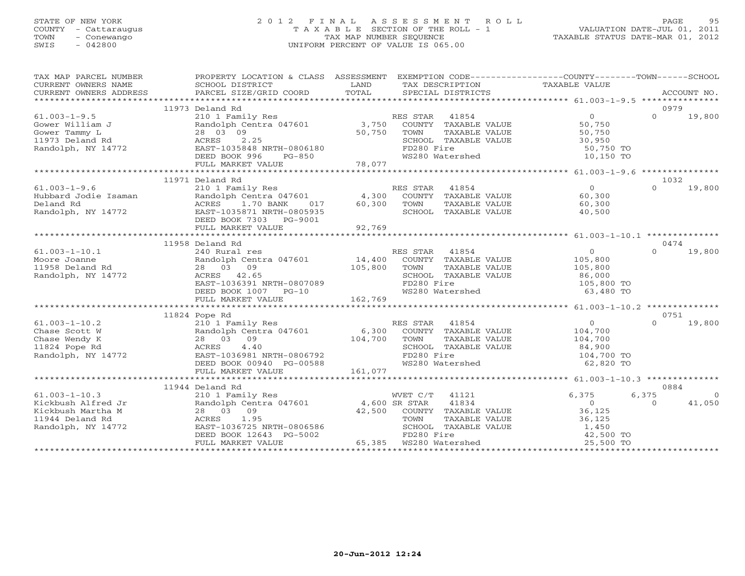## STATE OF NEW YORK 2 0 1 2 F I N A L A S S E S S M E N T R O L L PAGE 95 COUNTY - Cattaraugus T A X A B L E SECTION OF THE ROLL - 1 VALUATION DATE-JUL 01, 2011 TOWN - Conewango TAX MAP NUMBER SEQUENCE TAXABLE STATUS DATE-MAR 01, 2012 SWIS - 042800 UNIFORM PERCENT OF VALUE IS 065.00UNIFORM PERCENT OF VALUE IS 065.00

| TAX MAP PARCEL NUMBER                                                                     | PROPERTY LOCATION & CLASS ASSESSMENT EXEMPTION CODE----------------COUNTY-------TOWN------SCHOOL                                                                                                                                                |          |                                                                           |                                            |                  |                |
|-------------------------------------------------------------------------------------------|-------------------------------------------------------------------------------------------------------------------------------------------------------------------------------------------------------------------------------------------------|----------|---------------------------------------------------------------------------|--------------------------------------------|------------------|----------------|
| CURRENT OWNERS NAME                                                                       | SCHOOL DISTRICT                                                                                                                                                                                                                                 | LAND     | TAX DESCRIPTION TAXABLE VALUE                                             |                                            |                  |                |
|                                                                                           |                                                                                                                                                                                                                                                 |          |                                                                           |                                            |                  |                |
|                                                                                           |                                                                                                                                                                                                                                                 |          |                                                                           |                                            |                  |                |
|                                                                                           | 11973 Deland Rd                                                                                                                                                                                                                                 |          |                                                                           |                                            | 0979             |                |
| $61.003 - 1 - 9.5$                                                                        | 210 1 Family Res<br>Randolph Centra 047601 3,750                                                                                                                                                                                                |          | ES STAR 41854<br>COUNTY TAXABLE VALUE 50,750<br>RES STAR 41854            |                                            | $\Omega$         | 19,800         |
| Gower William J                                                                           |                                                                                                                                                                                                                                                 |          |                                                                           |                                            |                  |                |
| Gower Tammy L                                                                             | 28 03 09                                                                                                                                                                                                                                        | 50,750   | TOWN<br>TAXABLE VALUE                                                     | 50,750                                     |                  |                |
|                                                                                           | 2.25<br>EAST-1035848 NRTH-0806180                                                                                                                                                                                                               |          | FD280 Fire                                                                |                                            |                  |                |
| Gower Tammy L<br>11973 Deland Rd<br>Randolph, NY 14772<br>Randolph, NY 14772<br>BERT-1035 | DEED BOOK 996                                                                                                                                                                                                                                   | $PG-850$ | WS280 Watershed                                                           | 50,750 TO<br>10,150 TO                     |                  |                |
|                                                                                           |                                                                                                                                                                                                                                                 |          |                                                                           |                                            |                  |                |
|                                                                                           |                                                                                                                                                                                                                                                 |          |                                                                           |                                            |                  |                |
|                                                                                           | 11971 Deland Rd                                                                                                                                                                                                                                 |          |                                                                           |                                            | 1032             |                |
| $61.003 - 1 - 9.6$                                                                        |                                                                                                                                                                                                                                                 | RES STAR |                                                                           |                                            | $\Omega$         | 19,800         |
|                                                                                           | 210 1 Family Res<br>Randolph Centra 047601        4,300  COUNTY TAXABLE VALUE         60,300<br>Hubbard Jodie Isaman<br>Deland Rd<br>Deland Rd<br>Randolph, NY 14772<br>RAST-1035871 NRTH-0805935                                               |          |                                                                           |                                            |                  |                |
|                                                                                           | ACRES 1.70 BANK 017 60,300 TOWN                                                                                                                                                                                                                 |          |                                                                           | 60,300                                     |                  |                |
|                                                                                           |                                                                                                                                                                                                                                                 |          | TOWN       TAXABLE  VALUE<br>SCHOOL    TAXABLE  VALUE                     | 40,500                                     |                  |                |
|                                                                                           | DEED BOOK 7303 PG-9001                                                                                                                                                                                                                          |          |                                                                           |                                            |                  |                |
|                                                                                           |                                                                                                                                                                                                                                                 |          |                                                                           |                                            |                  |                |
|                                                                                           |                                                                                                                                                                                                                                                 |          |                                                                           |                                            |                  |                |
|                                                                                           | 11958 Deland Rd                                                                                                                                                                                                                                 |          |                                                                           |                                            | 0474             |                |
| $61.003 - 1 - 10.1$                                                                       | 240 Rural res                                                                                                                                                                                                                                   |          | RES STAR<br>41854                                                         | 0<br>105,800<br>105,800                    |                  | $0 \t 19,800$  |
| Moore Joanne                                                                              | Randolph Centra 047601 $14,400$ COUNTY TAXABLE VALUE                                                                                                                                                                                            |          |                                                                           |                                            |                  |                |
| rioore uoanne<br>11958 Deland Rd                                                          | 28 03 09 105,800<br>ACRES 42.65<br>EAST-1036391 NRTH-0807089                                                                                                                                                                                    |          | TAXABLE VALUE<br>TOWN                                                     |                                            |                  |                |
| Randolph, NY 14772                                                                        |                                                                                                                                                                                                                                                 |          | SCHOOL TAXABLE VALUE<br>FD280 Fire 105,800 TO                             |                                            |                  |                |
|                                                                                           |                                                                                                                                                                                                                                                 |          | FD280 Fire<br>FD280 Fire<br>WS280 Watershed 63,480 TO                     |                                            |                  |                |
|                                                                                           |                                                                                                                                                                                                                                                 |          |                                                                           |                                            |                  |                |
|                                                                                           |                                                                                                                                                                                                                                                 |          |                                                                           |                                            |                  |                |
|                                                                                           |                                                                                                                                                                                                                                                 |          |                                                                           |                                            |                  |                |
|                                                                                           | 11824 Pope Rd<br>Example of the set of the set of the set of the set of the set of the set of the set of the set of the set of the set of the set of the set of the set of the set of the set of the set of the set of the set of the set of th |          |                                                                           | $\overline{0}$                             | 0751<br>$\Omega$ |                |
|                                                                                           |                                                                                                                                                                                                                                                 |          |                                                                           |                                            |                  | 19,800         |
|                                                                                           |                                                                                                                                                                                                                                                 |          |                                                                           | 104,700<br>104,700                         |                  |                |
|                                                                                           |                                                                                                                                                                                                                                                 |          |                                                                           |                                            |                  |                |
| 61.003-1-10.2<br>Chase Scott W<br>Chase Wendy K<br>11824 Pope Rd<br>Randolph, NY 14772    | $4.40$<br>EAST-1036981 NRTH-0806792                                                                                                                                                                                                             |          | CHOOL TAXABLE VALUE<br>FD280 Fire 104,700 TO<br>WS280 Watershed 62,820 TO |                                            |                  |                |
|                                                                                           | DEED BOOK 00940 PG-00588                                                                                                                                                                                                                        |          |                                                                           |                                            |                  |                |
|                                                                                           |                                                                                                                                                                                                                                                 |          |                                                                           |                                            |                  |                |
|                                                                                           |                                                                                                                                                                                                                                                 |          |                                                                           |                                            |                  |                |
|                                                                                           | 11944 Deland Rd                                                                                                                                                                                                                                 |          |                                                                           |                                            | 0884             |                |
| $61.003 - 1 - 10.3$                                                                       | 210 1 Family Res                                                                                                                                                                                                                                |          | WVET C/T<br>41121                                                         | 6,375                                      | 6,375            | $\overline{0}$ |
| Kickbush Alfred Jr                                                                        | Randolph Centra 047601 4,600 SR STAR                                                                                                                                                                                                            |          | 41834                                                                     |                                            | $\Omega$         | 41,050         |
| Kickbush Martha M                                                                         | 28 03 09                                                                                                                                                                                                                                        |          | 42,500 COUNTY TAXABLE VALUE<br>TOWN TAXABLE VALUE                         | $\begin{array}{c} 0 \\ 36,125 \end{array}$ |                  |                |
| 11944 Deland Rd                                                                           |                                                                                                                                                                                                                                                 |          |                                                                           | TAXABLE VALUE 36,125                       |                  |                |
| Randolph, NY 14772                                                                        |                                                                                                                                                                                                                                                 |          | SCHOOL TAXABLE VALUE                                                      |                                            |                  |                |
|                                                                                           |                                                                                                                                                                                                                                                 |          | FD280 Fire                                                                | 1,450<br>42,500 TO                         |                  |                |
|                                                                                           | 12, 300<br>EAST-1036725 NRTH-0806586<br>DEED BOOK 12643 PG-5002<br>FULL MARKET VALUF                                                                                                                                                            |          | 65,385 WS280 Watershed                                                    | 25,500 TO                                  |                  |                |
|                                                                                           |                                                                                                                                                                                                                                                 |          |                                                                           |                                            |                  |                |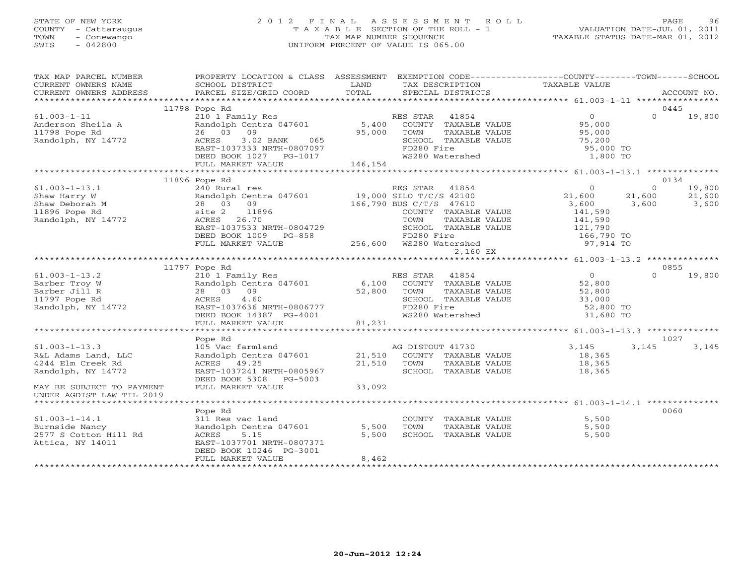## STATE OF NEW YORK 2 0 1 2 F I N A L A S S E S S M E N T R O L L PAGE 96 COUNTY - Cattaraugus T A X A B L E SECTION OF THE ROLL - 1 VALUATION DATE-JUL 01, 2011 TOWN - Conewango TAX MAP NUMBER SEQUENCE TAXABLE STATUS DATE-MAR 01, 2012 SWIS - 042800 UNIFORM PERCENT OF VALUE IS 065.00UNIFORM PERCENT OF VALUE IS 065.00

| TAX MAP PARCEL NUMBER<br>CURRENT OWNERS NAME<br>CURRENT OWNERS ADDRESS                                             | PROPERTY LOCATION & CLASS ASSESSMENT<br>SCHOOL DISTRICT<br>PARCEL SIZE/GRID COORD                                                                                                          | LAND<br>TOTAL              | EXEMPTION CODE-----------------COUNTY-------TOWN------SCHOOL<br>TAX DESCRIPTION<br>SPECIAL DISTRICTS                                                                       | TAXABLE VALUE                                                                               | ACCOUNT NO.                                                      |
|--------------------------------------------------------------------------------------------------------------------|--------------------------------------------------------------------------------------------------------------------------------------------------------------------------------------------|----------------------------|----------------------------------------------------------------------------------------------------------------------------------------------------------------------------|---------------------------------------------------------------------------------------------|------------------------------------------------------------------|
|                                                                                                                    |                                                                                                                                                                                            |                            |                                                                                                                                                                            |                                                                                             |                                                                  |
| $61.003 - 1 - 11$<br>Anderson Sheila A<br>11798 Pope Rd<br>Randolph, NY 14772                                      | 11798 Pope Rd<br>210 1 Family Res<br>Randolph Centra 047601<br>26 03<br>09<br>3.02 BANK<br>ACRES<br>065<br>EAST-1037333 NRTH-0807097<br>DEED BOOK 1027 PG-1017                             | 5,400<br>95,000            | RES STAR 41854<br>COUNTY TAXABLE VALUE<br>TOWN<br>TAXABLE VALUE<br>SCHOOL TAXABLE VALUE<br>FD280 Fire<br>WS280 Watershed                                                   | $\circ$<br>95,000<br>95,000<br>75,200<br>95,000 TO<br>1,800 TO                              | 0445<br>$\Omega$<br>19,800                                       |
|                                                                                                                    | FULL MARKET VALUE                                                                                                                                                                          | 146,154                    |                                                                                                                                                                            |                                                                                             |                                                                  |
|                                                                                                                    | **************************                                                                                                                                                                 |                            |                                                                                                                                                                            |                                                                                             |                                                                  |
| $61.003 - 1 - 13.1$<br>Shaw Harry W<br>Shaw Deborah M<br>11896 Pope Rd<br>Randolph, NY 14772                       | 11896 Pope Rd<br>240 Rural res<br>Randolph Centra 047601<br>28 03<br>09<br>site 2<br>11896<br>ACRES<br>26.70<br>EAST-1037533 NRTH-0804729<br>DEED BOOK 1009<br>PG-858<br>FULL MARKET VALUE |                            | RES STAR<br>41854<br>19,000 SILO T/C/S 42100<br>166,790 BUS C/T/S 47610<br>COUNTY TAXABLE VALUE<br>TOWN<br>TAXABLE VALUE<br>SCHOOL TAXABLE VALUE<br>FD280 Fire<br>2,160 EX | $\mathbf{0}$<br>21,600<br>3,600<br>141,590<br>141,590<br>121,790<br>166,790 TO<br>97,914 TO | 0134<br>$\Omega$<br>19,800<br>21,600<br>21,600<br>3,600<br>3,600 |
|                                                                                                                    |                                                                                                                                                                                            |                            |                                                                                                                                                                            |                                                                                             |                                                                  |
|                                                                                                                    | 11797 Pope Rd                                                                                                                                                                              |                            |                                                                                                                                                                            |                                                                                             | 0855                                                             |
| $61.003 - 1 - 13.2$<br>Barber Troy W<br>Barber Jill R<br>11797 Pope Rd<br>Randolph, NY 14772                       | 210 1 Family Res<br>Randolph Centra 047601<br>28 03 09<br>4.60<br>ACRES<br>EAST-1037636 NRTH-0806777<br>DEED BOOK 14387 PG-4001<br>FULL MARKET VALUE                                       | 6,100<br>52,800<br>81,231  | RES STAR<br>41854<br>COUNTY TAXABLE VALUE<br>TOWN<br>TAXABLE VALUE<br>SCHOOL TAXABLE VALUE<br>FD280 Fire<br>WS280 Watershed                                                | $\Omega$<br>52,800<br>52,800<br>33,000<br>52,800 TO<br>31,680 TO                            | $\Omega$<br>19,800                                               |
|                                                                                                                    |                                                                                                                                                                                            |                            |                                                                                                                                                                            |                                                                                             |                                                                  |
|                                                                                                                    | Pope Rd                                                                                                                                                                                    |                            |                                                                                                                                                                            |                                                                                             | 1027                                                             |
| $61.003 - 1 - 13.3$<br>R&L Adams Land, LLC<br>4244 Elm Creek Rd<br>Randolph, NY 14772<br>MAY BE SUBJECT TO PAYMENT | 105 Vac farmland<br>Randolph Centra 047601<br>ACRES 49.25<br>EAST-1037241 NRTH-0805967<br>DEED BOOK 5308 PG-5003<br>FULL MARKET VALUE                                                      | 21,510<br>21,510<br>33,092 | AG DISTOUT 41730<br>COUNTY TAXABLE VALUE<br>TAXABLE VALUE<br>TOWN<br>SCHOOL TAXABLE VALUE                                                                                  | 3,145<br>18,365<br>18,365<br>18,365                                                         | 3,145<br>3,145                                                   |
| UNDER AGDIST LAW TIL 2019                                                                                          |                                                                                                                                                                                            |                            |                                                                                                                                                                            |                                                                                             |                                                                  |
| $61.003 - 1 - 14.1$<br>Burnside Nancy<br>2577 S Cotton Hill Rd<br>Attica, NY 14011                                 | Pope Rd<br>311 Res vac land<br>Randolph Centra 047601<br>5.15<br>ACRES<br>EAST-1037701 NRTH-0807371<br>DEED BOOK 10246 PG-3001                                                             | 5,500<br>5,500<br>8,462    | COUNTY TAXABLE VALUE<br>TOWN<br>TAXABLE VALUE<br>SCHOOL TAXABLE VALUE                                                                                                      | 5,500<br>5,500<br>5,500                                                                     | 0060                                                             |
|                                                                                                                    | FULL MARKET VALUE                                                                                                                                                                          |                            |                                                                                                                                                                            |                                                                                             |                                                                  |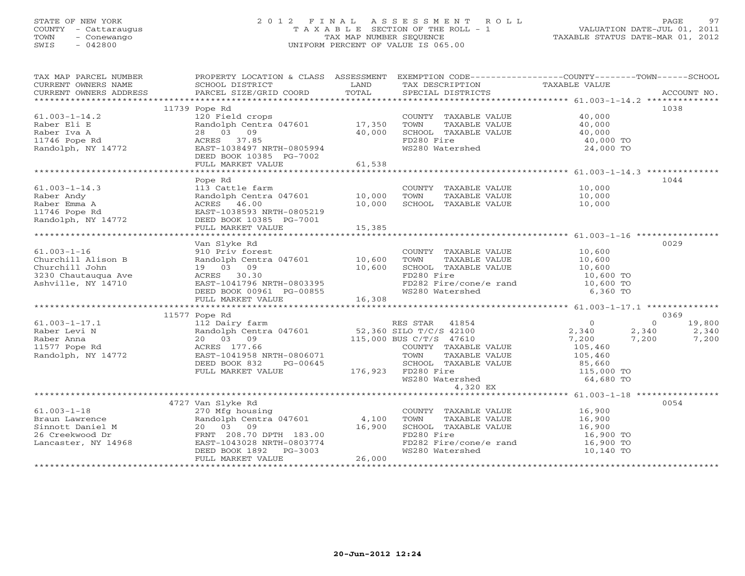## STATE OF NEW YORK 2 0 1 2 F I N A L A S S E S S M E N T R O L L PAGE 97 COUNTY - Cattaraugus T A X A B L E SECTION OF THE ROLL - 1 VALUATION DATE-JUL 01, 2011 TOWN - Conewango TAX MAP NUMBER SEQUENCE TAXABLE STATUS DATE-MAR 01, 2012 SWIS - 042800 UNIFORM PERCENT OF VALUE IS 065.00UNIFORM PERCENT OF VALUE IS 065.00

| TAX MAP PARCEL NUMBER | PROPERTY LOCATION & CLASS ASSESSMENT EXEMPTION CODE---------------COUNTY-------TOWN------SCHOOL |        |                                                      |                            |                    |
|-----------------------|-------------------------------------------------------------------------------------------------|--------|------------------------------------------------------|----------------------------|--------------------|
| CURRENT OWNERS NAME   | SCHOOL DISTRICT                                                                                 | LAND   | TAX DESCRIPTION                                      | TAXABLE VALUE              |                    |
|                       |                                                                                                 |        |                                                      |                            |                    |
|                       |                                                                                                 |        |                                                      |                            | 1038               |
| $61.003 - 1 - 14.2$   | 11739 Pope Rd<br>120 Field crops                                                                |        | COUNTY TAXABLE VALUE 40,000                          |                            |                    |
|                       |                                                                                                 |        |                                                      |                            |                    |
| Raber Eli E           | Randolph Centra 047601 17,350<br>28 03 09                                                       |        | TOWN      TAXABLE VALUE<br>SCHOOL   TAXABLE VALUE    | 40,000<br>40,000<br>40,000 |                    |
| Raber Iva A           |                                                                                                 | 40,000 |                                                      |                            |                    |
|                       |                                                                                                 |        | FD280 Fire                                           | 40,000 TO                  |                    |
|                       |                                                                                                 |        | WS280 Watershed                                      | 24,000 TO                  |                    |
|                       | DEED BOOK 10385 PG-7002                                                                         |        |                                                      |                            |                    |
|                       | FULL MARKET VALUE                                                                               | 61,538 |                                                      |                            |                    |
|                       |                                                                                                 |        |                                                      |                            |                    |
|                       | Pope Rd                                                                                         |        |                                                      |                            | 1044               |
| $61.003 - 1 - 14.3$   | 113 Cattle farm<br>Randolph Centra 047601 10,000                                                |        | COUNTY TAXABLE VALUE<br>TOWN     TAXABLE VALUE       | 10,000<br>10,000           |                    |
| Raber Andy            |                                                                                                 |        |                                                      |                            |                    |
| Raber Emma A          | ACRES 46.00                                                                                     | 10,000 | SCHOOL TAXABLE VALUE 10,000                          |                            |                    |
| 11746 Pope Rd         | EAST-1038593 NRTH-0805219                                                                       |        |                                                      |                            |                    |
| Randolph, $NY$ 14772  | DEED BOOK 10385 PG-7001                                                                         |        |                                                      |                            |                    |
|                       | FULL MARKET VALUE                                                                               | 15,385 |                                                      |                            |                    |
|                       |                                                                                                 |        |                                                      |                            |                    |
|                       | Van Slyke Rd                                                                                    |        |                                                      |                            | 0029               |
| $61.003 - 1 - 16$     | 910 Priv forest                                                                                 |        | COUNTY TAXABLE VALUE<br>TOWN     TAXABLE VALUE       | 10,600<br>10,600           |                    |
| Churchill Alison B    | Randolph Centra 047601 10,600                                                                   |        |                                                      |                            |                    |
| Churchill John        | 19 03 09                                                                                        | 10,600 | SCHOOL TAXABLE VALUE 10,600<br>FD280 Fire 10,600 TO  |                            |                    |
| 3230 Chautauqua Ave   | ACRES 30.30                                                                                     |        |                                                      |                            |                    |
| Ashville, NY 14710    | EAST-1041796 NRTH-0803395<br>DEED BOOK 00961 PG-00855                                           |        | FD282 Fire/cone/e rand $10,600$ TO                   |                            |                    |
|                       |                                                                                                 |        | WS280 Watershed                                      | 6,360 TO                   |                    |
|                       | FULL MARKET VALUE                                                                               | 16,308 |                                                      |                            |                    |
|                       |                                                                                                 |        |                                                      |                            |                    |
|                       | 11577 Pope Rd                                                                                   |        |                                                      |                            | 0369               |
| $61.003 - 1 - 17.1$   | 112 Dairy farm                                                                                  |        | RES STAR 41854                                       | $\overline{0}$             | $\Omega$<br>19,800 |
| Raber Levi N          | Randolph Centra 047601 52,360 SILO T/C/S 42100                                                  |        |                                                      | 2,340<br>2,340             | 2,340              |
| Raber Anna            | 20 03 09                                                                                        |        | 115,000 BUS C/T/S 47610                              | 7,200<br>7,200             | 7,200              |
| 11577 Pope Rd         | ACRES 177.66                                                                                    |        | COUNTY TAXABLE VALUE                                 | 105,460                    |                    |
| Randolph, NY 14772    | EAST-1041958 NRTH-0806071                                                                       |        | TOWN<br>TAXABLE VALUE                                | 105,460                    |                    |
|                       | DEED BOOK 832<br>PG-00645                                                                       |        | SCHOOL TAXABLE VALUE 85,660<br>FD280 Fire 115,000 TO |                            |                    |
|                       | FULL MARKET VALUE 176,923 FD280 Fire                                                            |        |                                                      |                            |                    |
|                       |                                                                                                 |        | WS280 Watershed                                      | 64,680 TO                  |                    |
|                       |                                                                                                 |        | 4,320 EX                                             |                            |                    |
|                       |                                                                                                 |        |                                                      |                            |                    |
|                       | 4727 Van Slyke Rd                                                                               |        |                                                      |                            | 0054               |
| $61.003 - 1 - 18$     | 270 Mfg housing<br>Randolph Centra 047601 4,100                                                 |        | COUNTY TAXABLE VALUE 16,900                          |                            |                    |
| Braun Lawrence        |                                                                                                 |        | TOWN<br>TAXABLE VALUE                                | 16,900                     |                    |
| Sinnott Daniel M      | 20 03 09                                                                                        | 16,900 | SCHOOL TAXABLE VALUE                                 | 16,900                     |                    |
| 26 Creekwood Dr       | FRNT 208.70 DPTH 183.00                                                                         |        | FD280 Fire                                           | 16,900 TO                  |                    |
| Lancaster, NY 14968   | EAST-1043028 NRTH-0803774                                                                       |        | FD282 Fire/cone/e rand                               | 16,900 TO                  |                    |
|                       | DEED BOOK 1892    PG-3003                                                                       |        | WS280 Watershed                                      | 10,140 TO                  |                    |
|                       | FULL MARKET VALUE                                                                               | 26,000 |                                                      |                            |                    |
|                       |                                                                                                 |        |                                                      |                            |                    |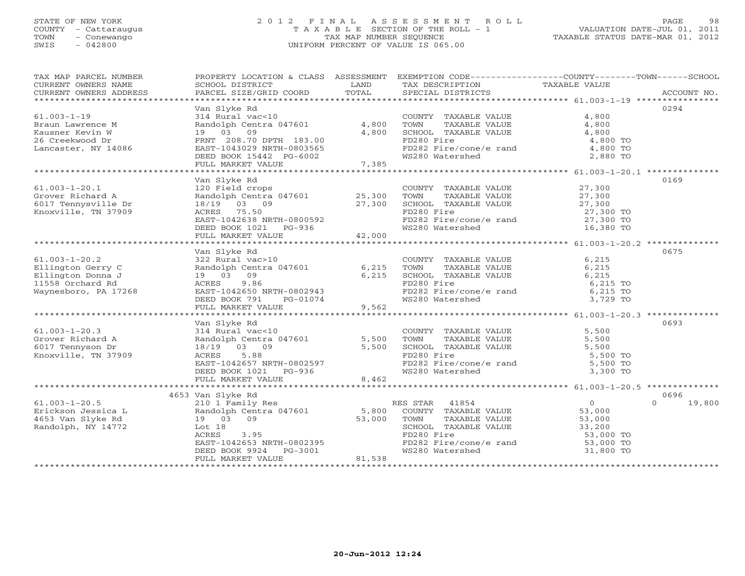## STATE OF NEW YORK 2 0 1 2 F I N A L A S S E S S M E N T R O L L PAGE 98 COUNTY - Cattaraugus T A X A B L E SECTION OF THE ROLL - 1 VALUATION DATE-JUL 01, 2011 TOWN - Conewango TAX MAP NUMBER SEQUENCE TAXABLE STATUS DATE-MAR 01, 2012 SWIS - 042800 UNIFORM PERCENT OF VALUE IS 065.00UNIFORM PERCENT OF VALUE IS 065.00

| TAX MAP PARCEL NUMBER                                                                                                                                                                                                                                          |                                                                                                                                   |      | PROPERTY LOCATION & CLASS ASSESSMENT EXEMPTION CODE----------------COUNTY-------TOWN------SCHOOL                     |                                            |                  |
|----------------------------------------------------------------------------------------------------------------------------------------------------------------------------------------------------------------------------------------------------------------|-----------------------------------------------------------------------------------------------------------------------------------|------|----------------------------------------------------------------------------------------------------------------------|--------------------------------------------|------------------|
| CURRENT OWNERS NAME                                                                                                                                                                                                                                            | SCHOOL DISTRICT                                                                                                                   | LAND | TAX DESCRIPTION                                                                                                      | TAXABLE VALUE                              |                  |
|                                                                                                                                                                                                                                                                |                                                                                                                                   |      |                                                                                                                      |                                            |                  |
|                                                                                                                                                                                                                                                                |                                                                                                                                   |      |                                                                                                                      |                                            |                  |
|                                                                                                                                                                                                                                                                | Van Slyke Rd                                                                                                                      |      |                                                                                                                      |                                            | 0294             |
|                                                                                                                                                                                                                                                                | Vali Siyke ku<br>314 Rural vac<10<br>Randolph Centra 047601 4,800 TOWN TAXABLE VALUE<br>19 03 09 4,800 SCHOOL TAXABLE VALUE       |      | COUNTY TAXABLE VALUE 4,800                                                                                           |                                            |                  |
|                                                                                                                                                                                                                                                                |                                                                                                                                   |      |                                                                                                                      | 4,800                                      |                  |
|                                                                                                                                                                                                                                                                |                                                                                                                                   |      |                                                                                                                      | 4,800                                      |                  |
|                                                                                                                                                                                                                                                                |                                                                                                                                   |      | FD280 Fire                                                                                                           | 4,800 TO                                   |                  |
|                                                                                                                                                                                                                                                                |                                                                                                                                   |      |                                                                                                                      |                                            |                  |
|                                                                                                                                                                                                                                                                |                                                                                                                                   |      | WS280 Watershed                                                                                                      | 2,880 TO                                   |                  |
| 61.003-1-19<br>Braun Lawrence M<br>Kausner Kevin W<br>26 Creekwood Dr<br>Lancaster, NY 14086<br>EAST-1043029 NRTH-0803565<br>DEED BOOK 15442 PG-6002<br>7,385<br>THIT, MARKET VALUE<br>2011                                                                    |                                                                                                                                   |      |                                                                                                                      |                                            |                  |
|                                                                                                                                                                                                                                                                |                                                                                                                                   |      |                                                                                                                      |                                            |                  |
| And the state of the state of the state of the state of the state of the state of the state of the state of the state of the state of the state of the state of the state of the state of the state of the state of the state                                  |                                                                                                                                   |      |                                                                                                                      |                                            | 0169             |
|                                                                                                                                                                                                                                                                |                                                                                                                                   |      | COUNTY TAXABLE VALUE 27,300                                                                                          |                                            |                  |
|                                                                                                                                                                                                                                                                |                                                                                                                                   |      | TAXABLE VALUE 27,300<br>TOWN                                                                                         |                                            |                  |
|                                                                                                                                                                                                                                                                |                                                                                                                                   |      |                                                                                                                      |                                            |                  |
|                                                                                                                                                                                                                                                                |                                                                                                                                   |      |                                                                                                                      |                                            |                  |
|                                                                                                                                                                                                                                                                |                                                                                                                                   |      |                                                                                                                      |                                            |                  |
|                                                                                                                                                                                                                                                                |                                                                                                                                   |      | SCHOOL TAXABLE VALUE 27,300<br>FD280 Fire 27,300 TO<br>FD282 Fire/cone/e rand 27,300 TO<br>WS280 Watershed 16,380 TO |                                            |                  |
|                                                                                                                                                                                                                                                                | 18/19 03 09<br>ACRES 75.50<br>EAST-1042638 NRTH-0800592<br>DEED BOOK 1021 PG-936<br>FULL MARKET VALUE 42,000                      |      |                                                                                                                      |                                            |                  |
|                                                                                                                                                                                                                                                                |                                                                                                                                   |      |                                                                                                                      |                                            |                  |
|                                                                                                                                                                                                                                                                | Van Slyke Rd                                                                                                                      |      |                                                                                                                      |                                            | 0675             |
|                                                                                                                                                                                                                                                                |                                                                                                                                   |      | COUNTY TAXABLE VALUE<br>TOWN       TAXABLE  VALUE                                                                    | 6,215                                      |                  |
|                                                                                                                                                                                                                                                                |                                                                                                                                   |      | TOWN TAXABLE VALUE<br>SCHOOL TAXABLE VALUE                                                                           | 6,215                                      |                  |
|                                                                                                                                                                                                                                                                |                                                                                                                                   |      |                                                                                                                      | 6,215                                      |                  |
|                                                                                                                                                                                                                                                                |                                                                                                                                   |      |                                                                                                                      |                                            |                  |
|                                                                                                                                                                                                                                                                |                                                                                                                                   |      |                                                                                                                      |                                            |                  |
|                                                                                                                                                                                                                                                                |                                                                                                                                   |      | FD280 Fire<br>FD282 Fire/cone/e rand 6,215 TO<br>WS280 Watershed 3,729 TO                                            |                                            |                  |
| 61.003-1-20.2<br>Ellington Gerry C<br>Ellington Donna J<br>19 03 09 6,215 TOWN<br>19 03 09 6,215 SCHOO:<br>19 03 09 6,215 SCHOO:<br>19 03 09 6,215 SCHOO:<br>2000:<br>19 03 09 6,215 SCHOO:<br>2000:<br>2000:<br>2000:<br>2000:<br>2000:<br>2000:<br>2000:<br> |                                                                                                                                   |      |                                                                                                                      |                                            |                  |
|                                                                                                                                                                                                                                                                |                                                                                                                                   |      |                                                                                                                      |                                            |                  |
|                                                                                                                                                                                                                                                                | van siyke Rd<br>314 Rural vac<10                                                                                                  |      |                                                                                                                      |                                            | 0693             |
| $61.003 - 1 - 20.3$                                                                                                                                                                                                                                            |                                                                                                                                   |      | COUNTY TAXABLE VALUE 5,500                                                                                           |                                            |                  |
|                                                                                                                                                                                                                                                                |                                                                                                                                   |      | TAXABLE VALUE 5,500<br>TAXABLE VALUE 5,500<br>TAXABLE VALUE 5,500<br>TOWN                                            |                                            |                  |
|                                                                                                                                                                                                                                                                |                                                                                                                                   |      |                                                                                                                      |                                            |                  |
|                                                                                                                                                                                                                                                                |                                                                                                                                   |      |                                                                                                                      |                                            |                  |
|                                                                                                                                                                                                                                                                |                                                                                                                                   |      |                                                                                                                      |                                            |                  |
| 61.003-1-20.3<br>Grover Richard A Randolph Centra 047601 5,500<br>6017 Tennyson Dr 18/19 03 09 5,500<br>Knoxville, TN 37909 ACRES 5.88<br>EAST-1042657 NRTH-0802597<br>DEED BOOK 1021 PG-936<br>FULL MARKET VALUE 8,462                                        |                                                                                                                                   |      | SCHOOL TAXABLE VALUE 5,500<br>FD280 Fire 5,500 TO<br>FD282 Fire/cone/e rand 5,500 TO<br>WS280 Watershed 3,300 TO     |                                            |                  |
|                                                                                                                                                                                                                                                                |                                                                                                                                   |      |                                                                                                                      |                                            |                  |
|                                                                                                                                                                                                                                                                |                                                                                                                                   |      |                                                                                                                      |                                            |                  |
|                                                                                                                                                                                                                                                                | 4653 Van Slyke Rd                                                                                                                 |      |                                                                                                                      |                                            | 0696<br>$\Omega$ |
|                                                                                                                                                                                                                                                                |                                                                                                                                   |      |                                                                                                                      | $\begin{array}{c} 0 \\ 53,000 \end{array}$ | 19,800           |
|                                                                                                                                                                                                                                                                |                                                                                                                                   |      | TAXABLE VALUE 53,000                                                                                                 |                                            |                  |
|                                                                                                                                                                                                                                                                |                                                                                                                                   |      |                                                                                                                      |                                            |                  |
| Randolph, NY 14772                                                                                                                                                                                                                                             | Lot 18                                                                                                                            |      | SCHOOL TAXABLE VALUE 33,200<br>FD280 Fire 53,000                                                                     |                                            |                  |
|                                                                                                                                                                                                                                                                |                                                                                                                                   |      | FD280 Fire<br>FD282 Fire/cone/e rand 53,000 TO<br>WS280 Watershed 31,800 TO                                          |                                            |                  |
|                                                                                                                                                                                                                                                                |                                                                                                                                   |      |                                                                                                                      |                                            |                  |
|                                                                                                                                                                                                                                                                | 22,000<br>ACRES 3.95<br>EAST-1042653 NRTH-0802395<br>DEED BOOK 9924 PG-3001<br>DEED BOOK 9924 PG-3001<br>FULL MARKET VALUE 81,538 |      |                                                                                                                      |                                            |                  |
|                                                                                                                                                                                                                                                                |                                                                                                                                   |      |                                                                                                                      |                                            |                  |
|                                                                                                                                                                                                                                                                |                                                                                                                                   |      |                                                                                                                      |                                            |                  |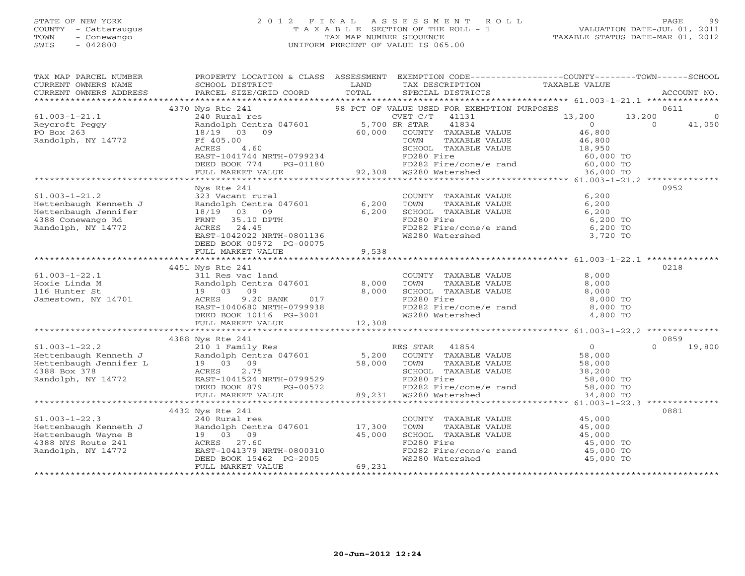#### STATE OF NEW YORK 2 0 1 2 F I N A L A S S E S S M E N T R O L L PAGE 99 COUNTY - Cattaraugus T A X A B L E SECTION OF THE ROLL - 1 VALUATION DATE-JUL 01, 2011 TOWN - Conewango TAX MAP NUMBER SEQUENCE TAXABLE STATUS DATE-MAR 01, 2012 SWIS - 042800 UNIFORM PERCENT OF VALUE IS 065.00UNIFORM PERCENT OF VALUE IS 065.00

| TAX MAP PARCEL NUMBER<br>CURRENT OWNERS NAME<br>CURRENT OWNERS ADDRESS                                                                                                                                                                                                                                                                                                                                                                                                                                   | PROPERTY LOCATION & CLASS ASSESSMENT EXEMPTION CODE----------------COUNTY-------TOWN------SCHOOL<br>SCHOOL DISTRICT<br>PARCEL SIZE/GRID COORD TOTAL | <b>LAND</b> | TAX DESCRIPTION TAXABLE VALUE SPECIAL DISTRICTS                                                          | ACCOUNT NO.      |
|----------------------------------------------------------------------------------------------------------------------------------------------------------------------------------------------------------------------------------------------------------------------------------------------------------------------------------------------------------------------------------------------------------------------------------------------------------------------------------------------------------|-----------------------------------------------------------------------------------------------------------------------------------------------------|-------------|----------------------------------------------------------------------------------------------------------|------------------|
|                                                                                                                                                                                                                                                                                                                                                                                                                                                                                                          |                                                                                                                                                     |             |                                                                                                          |                  |
| $\begin{tabular}{lcccccc} \texttt{\textbf{7}} & \texttt{\textbf{7}} & \texttt{\textbf{8}} & \texttt{\textbf{8}} & \texttt{\textbf{9}} & \texttt{\textbf{8}} & \texttt{\textbf{9}} & \texttt{\textbf{9}} & \texttt{\textbf{9}} & \texttt{\textbf{9}} & \texttt{\textbf{9}} & \texttt{\textbf{9}} & \texttt{\textbf{9}} & \texttt{\textbf{9}} & \texttt{\textbf{9}} & \texttt{\textbf{9}} & \texttt{\textbf{9}} & \texttt{\textbf{9}} & \texttt{\textbf{9}} & \texttt{\textbf{9}} & \texttt{\textbf{9}} &$ |                                                                                                                                                     |             |                                                                                                          |                  |
|                                                                                                                                                                                                                                                                                                                                                                                                                                                                                                          |                                                                                                                                                     |             |                                                                                                          |                  |
|                                                                                                                                                                                                                                                                                                                                                                                                                                                                                                          |                                                                                                                                                     |             |                                                                                                          |                  |
|                                                                                                                                                                                                                                                                                                                                                                                                                                                                                                          |                                                                                                                                                     |             |                                                                                                          |                  |
|                                                                                                                                                                                                                                                                                                                                                                                                                                                                                                          |                                                                                                                                                     |             |                                                                                                          |                  |
|                                                                                                                                                                                                                                                                                                                                                                                                                                                                                                          |                                                                                                                                                     |             |                                                                                                          |                  |
|                                                                                                                                                                                                                                                                                                                                                                                                                                                                                                          |                                                                                                                                                     |             |                                                                                                          |                  |
|                                                                                                                                                                                                                                                                                                                                                                                                                                                                                                          |                                                                                                                                                     |             |                                                                                                          |                  |
|                                                                                                                                                                                                                                                                                                                                                                                                                                                                                                          |                                                                                                                                                     |             |                                                                                                          |                  |
|                                                                                                                                                                                                                                                                                                                                                                                                                                                                                                          | Nys Rte 241                                                                                                                                         |             |                                                                                                          | 0952             |
|                                                                                                                                                                                                                                                                                                                                                                                                                                                                                                          |                                                                                                                                                     |             |                                                                                                          |                  |
|                                                                                                                                                                                                                                                                                                                                                                                                                                                                                                          |                                                                                                                                                     |             | COUNTY TAXABLE VALUE 6,200<br>TOWN TAXABLE VALUE 6,200<br>SCHOOL TAXABLE VALUE 6,200<br>FD280 Fire 6,200 |                  |
|                                                                                                                                                                                                                                                                                                                                                                                                                                                                                                          |                                                                                                                                                     |             |                                                                                                          |                  |
|                                                                                                                                                                                                                                                                                                                                                                                                                                                                                                          |                                                                                                                                                     |             |                                                                                                          |                  |
|                                                                                                                                                                                                                                                                                                                                                                                                                                                                                                          |                                                                                                                                                     |             |                                                                                                          |                  |
|                                                                                                                                                                                                                                                                                                                                                                                                                                                                                                          |                                                                                                                                                     |             | FD280 Fire<br>FD282 Fire/cone/e rand 6,200 TO<br>WS280 Watershed 3,720 TO                                |                  |
|                                                                                                                                                                                                                                                                                                                                                                                                                                                                                                          | DEED BOOK 00972 PG-00075                                                                                                                            |             |                                                                                                          |                  |
|                                                                                                                                                                                                                                                                                                                                                                                                                                                                                                          | FULL MARKET VALUE                                                                                                                                   | 9,538       |                                                                                                          |                  |
|                                                                                                                                                                                                                                                                                                                                                                                                                                                                                                          |                                                                                                                                                     |             |                                                                                                          |                  |
|                                                                                                                                                                                                                                                                                                                                                                                                                                                                                                          | 4451 Nys Rte 241                                                                                                                                    |             |                                                                                                          | 0218             |
|                                                                                                                                                                                                                                                                                                                                                                                                                                                                                                          |                                                                                                                                                     |             |                                                                                                          |                  |
|                                                                                                                                                                                                                                                                                                                                                                                                                                                                                                          |                                                                                                                                                     |             |                                                                                                          |                  |
|                                                                                                                                                                                                                                                                                                                                                                                                                                                                                                          |                                                                                                                                                     |             |                                                                                                          |                  |
|                                                                                                                                                                                                                                                                                                                                                                                                                                                                                                          |                                                                                                                                                     |             |                                                                                                          |                  |
|                                                                                                                                                                                                                                                                                                                                                                                                                                                                                                          |                                                                                                                                                     |             |                                                                                                          |                  |
|                                                                                                                                                                                                                                                                                                                                                                                                                                                                                                          |                                                                                                                                                     |             |                                                                                                          |                  |
|                                                                                                                                                                                                                                                                                                                                                                                                                                                                                                          |                                                                                                                                                     |             |                                                                                                          |                  |
|                                                                                                                                                                                                                                                                                                                                                                                                                                                                                                          |                                                                                                                                                     |             |                                                                                                          |                  |
| 61.003-1-22.2<br>Hettenbaugh Kenneth J<br>Hettenbaugh Jennifer L<br>30 1 Family Res<br>Hettenbaugh Jennifer L<br>38,000<br>4388 Box 378<br>Randolph, NY 14772<br>EAST-1041524 NRTH-0799529<br>EED BOOK 879<br>DEED BOOK 879<br>PG-00572<br>2.75<br>2.75                                                                                                                                                                                                                                                  | 4388 Nys Rte 241                                                                                                                                    |             |                                                                                                          | 0859<br>$\Omega$ |
|                                                                                                                                                                                                                                                                                                                                                                                                                                                                                                          |                                                                                                                                                     |             |                                                                                                          | 19,800           |
|                                                                                                                                                                                                                                                                                                                                                                                                                                                                                                          |                                                                                                                                                     |             |                                                                                                          |                  |
|                                                                                                                                                                                                                                                                                                                                                                                                                                                                                                          |                                                                                                                                                     |             |                                                                                                          |                  |
|                                                                                                                                                                                                                                                                                                                                                                                                                                                                                                          |                                                                                                                                                     |             |                                                                                                          |                  |
|                                                                                                                                                                                                                                                                                                                                                                                                                                                                                                          |                                                                                                                                                     |             |                                                                                                          |                  |
|                                                                                                                                                                                                                                                                                                                                                                                                                                                                                                          |                                                                                                                                                     |             |                                                                                                          |                  |
|                                                                                                                                                                                                                                                                                                                                                                                                                                                                                                          |                                                                                                                                                     |             |                                                                                                          |                  |
|                                                                                                                                                                                                                                                                                                                                                                                                                                                                                                          | 4432 Nys Rte 241                                                                                                                                    |             |                                                                                                          | 0881             |
|                                                                                                                                                                                                                                                                                                                                                                                                                                                                                                          |                                                                                                                                                     |             | COUNTY TAXABLE VALUE 45,000                                                                              |                  |
|                                                                                                                                                                                                                                                                                                                                                                                                                                                                                                          |                                                                                                                                                     |             |                                                                                                          |                  |
|                                                                                                                                                                                                                                                                                                                                                                                                                                                                                                          |                                                                                                                                                     |             | TOWN TAXABLE VALUE 45,000<br>SCHOOL TAXABLE VALUE 45,000<br>FD280 Fire 45,000 TO                         |                  |
|                                                                                                                                                                                                                                                                                                                                                                                                                                                                                                          |                                                                                                                                                     |             |                                                                                                          |                  |
|                                                                                                                                                                                                                                                                                                                                                                                                                                                                                                          |                                                                                                                                                     |             |                                                                                                          |                  |
| 61.003-1-22.3<br>$\begin{array}{r} \text{4432 W3 NUC 2-L} \\ \text{Hettenbaugh Kenneth J} \\ \text{Hettenbaugh Wayne B} \\ \text{4388 NYS Route 241} \\ \text{Random, NY 14772} \\ \text{Random, NY 14772} \\ \text{BMO1ph} \\ \text{MY 14772} \\ \text{MY 14772} \\ \text{MY 14772} \\ \text{MY 14772} \\ \text{MY 14772} \\ \text{MY 14772} \\ \text{MY 14772} \\ \text{MY 14772} \\ \$                                                                                                                |                                                                                                                                                     |             | FD282 Fire/cone/e rand the 45,000 TO<br>WS280 Watershed 45,000 TO                                        |                  |
|                                                                                                                                                                                                                                                                                                                                                                                                                                                                                                          | FULL MARKET VALUE                                                                                                                                   | 69,231      |                                                                                                          |                  |
|                                                                                                                                                                                                                                                                                                                                                                                                                                                                                                          |                                                                                                                                                     |             |                                                                                                          |                  |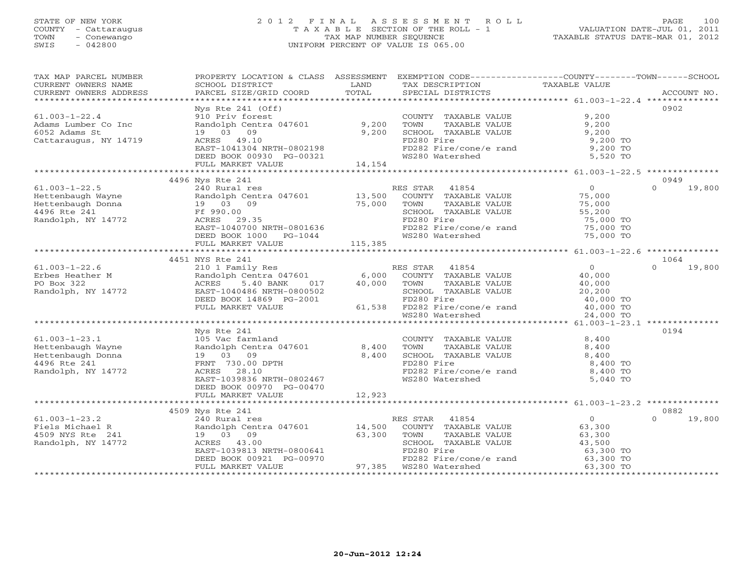## STATE OF NEW YORK 2 0 1 2 F I N A L A S S E S S M E N T R O L L PAGE 100 COUNTY - Cattaraugus T A X A B L E SECTION OF THE ROLL - 1 VALUATION DATE-JUL 01, 2011 TOWN - Conewango TAX MAP NUMBER SEQUENCE TAXABLE STATUS DATE-MAR 01, 2012 SWIS - 042800 UNIFORM PERCENT OF VALUE IS 065.00UNIFORM PERCENT OF VALUE IS 065.00

| TAX MAP PARCEL NUMBER<br>CURRENT OWNERS NAME                                                                                                                     | PROPERTY LOCATION & CLASS ASSESSMENT EXEMPTION CODE----------------COUNTY-------TOWN------SCHOOL<br>SCHOOL DISTRICT | LAND<br>TOTAL       | TAX DESCRIPTION                                                                  | TAXABLE VALUE                              |                    |
|------------------------------------------------------------------------------------------------------------------------------------------------------------------|---------------------------------------------------------------------------------------------------------------------|---------------------|----------------------------------------------------------------------------------|--------------------------------------------|--------------------|
| CURRENT OWNERS ADDRESS                                                                                                                                           | PARCEL SIZE/GRID COORD                                                                                              |                     | SPECIAL DISTRICTS                                                                |                                            | ACCOUNT NO.        |
|                                                                                                                                                                  | $Nys$ Rte $241$ (Off)                                                                                               |                     |                                                                                  |                                            | 0902               |
| $61.003 - 1 - 22.4$                                                                                                                                              | 910 Priv forest                                                                                                     |                     | COUNTY TAXABLE VALUE                                                             | 9,200                                      |                    |
| Adams Lumber Co Inc                                                                                                                                              |                                                                                                                     |                     |                                                                                  | 9,200                                      |                    |
| 6052 Adams St                                                                                                                                                    | Randolph Centra 047601 9,200<br>19 03 09 9,200<br>ACRES 49.10                                                       |                     | TOWN       TAXABLE  VALUE<br>SCHOOL    TAXABLE  VALUE                            | 9,200                                      |                    |
| Cattaraugus, NY 14719                                                                                                                                            |                                                                                                                     |                     | FD280 Fire                                                                       | 9,200 TO                                   |                    |
|                                                                                                                                                                  |                                                                                                                     |                     | FD282 Fire/cone/e rand                                                           | 9,200 TO                                   |                    |
|                                                                                                                                                                  | EAST-1041304 NRTH-0802198<br>DEED BOOK 00930 PG-00321                                                               |                     | WS280 Watershed                                                                  | 5,520 TO                                   |                    |
|                                                                                                                                                                  | FULL MARKET VALUE                                                                                                   | 14,154              |                                                                                  |                                            |                    |
|                                                                                                                                                                  |                                                                                                                     |                     |                                                                                  |                                            |                    |
|                                                                                                                                                                  | 4496 Nys Rte 241                                                                                                    |                     |                                                                                  |                                            | 0949               |
| $61.003 - 1 - 22.5$                                                                                                                                              | 240 Rural res                                                                                                       |                     | RES STAR 41854<br>ES STAR $41854$<br>COUNTY TAXABLE VALUE $75,000$<br>$75,000$   |                                            | $0 \t 19,800$      |
|                                                                                                                                                                  |                                                                                                                     |                     |                                                                                  |                                            |                    |
|                                                                                                                                                                  |                                                                                                                     |                     |                                                                                  |                                            |                    |
|                                                                                                                                                                  |                                                                                                                     |                     | SCHOOL TAXABLE VALUE                                                             | 55,200                                     |                    |
| Hettenbaugh Wayne<br>Hettenbaugh Donna (1986)<br>13,500<br>19 03 09 75,000<br>1496 Rte 241 Ff 990.00<br>Randolph, NY 14772 ACRES 29.35                           |                                                                                                                     |                     | FD280 Fire                                                                       | 75,000 TO                                  |                    |
|                                                                                                                                                                  | EAST-1040700 NRTH-0801636                                                                                           |                     |                                                                                  |                                            |                    |
|                                                                                                                                                                  | DEED BOOK 1000 PG-1044                                                                                              |                     | FD282 Fire/cone/e rand<br>WS280 Watershed                                        | 75,000 TO<br>75,000 TO                     |                    |
|                                                                                                                                                                  | FULL MARKET VALUE                                                                                                   | 115,385             |                                                                                  |                                            |                    |
|                                                                                                                                                                  |                                                                                                                     |                     |                                                                                  |                                            |                    |
|                                                                                                                                                                  | 4451 NYS Rte 241                                                                                                    |                     |                                                                                  |                                            | 1064               |
| $61.003 - 1 - 22.6$                                                                                                                                              | 110 1 Family Res<br>Randolph Centra 047601 6,000 COUNTY TAXABLE VALUE                                               |                     |                                                                                  |                                            | 19,800<br>$\Omega$ |
| Erbes Heather M                                                                                                                                                  |                                                                                                                     |                     |                                                                                  | $\begin{array}{c} 0 \\ 40,000 \end{array}$ |                    |
| PO Box 322                                                                                                                                                       | ACRES<br>5.40 BANK                                                                                                  | 017   40,000   TOWN | TAXABLE VALUE                                                                    | 40,000                                     |                    |
| Randolph, NY 14772                                                                                                                                               | EAST-1040486 NRTH-0800502                                                                                           |                     | SCHOOL TAXABLE VALUE                                                             | 20,200                                     |                    |
|                                                                                                                                                                  | DEED BOOK 14869 PG-2001                                                                                             |                     |                                                                                  |                                            |                    |
|                                                                                                                                                                  | FULL MARKET VALUE                                                                                                   |                     | 800502 SCHOOL TAXABLE VALUE<br>-2001 FD280 Fire<br>61,538 FD282 Fire/cone/e rand | 40,000 TO<br>40,000 TO                     |                    |
|                                                                                                                                                                  |                                                                                                                     |                     | WS280 Watershed                                                                  | 24,000 TO                                  |                    |
|                                                                                                                                                                  |                                                                                                                     |                     |                                                                                  |                                            |                    |
|                                                                                                                                                                  | Nys Rte 241                                                                                                         |                     |                                                                                  |                                            | 0194               |
|                                                                                                                                                                  |                                                                                                                     |                     | COUNTY TAXABLE VALUE                                                             | 8,400                                      |                    |
|                                                                                                                                                                  |                                                                                                                     |                     | TOWN<br>TAXABLE VALUE                                                            | 8,400                                      |                    |
|                                                                                                                                                                  |                                                                                                                     |                     | SCHOOL TAXABLE VALUE<br>BLE VALUE                                                | 8,400                                      |                    |
| 61.003-1-23.1<br>Hettenbaugh Wayne Randolph Centra 047601<br>Hettenbaugh Donna 19 03 09 8,400<br>4496 Rte 241 FRNT 730.00 DPTH<br>Randolph, NY 14772 ACRES 28.10 |                                                                                                                     |                     | FD280 Fire                                                                       | 8,400 TO                                   |                    |
| Randolph, NY 14772                                                                                                                                               |                                                                                                                     |                     | FD282 Fire/cone/e rand                                                           | 8,400 TO                                   |                    |
|                                                                                                                                                                  | EAST-1039836 NRTH-0802467                                                                                           |                     | WS280 Watershed                                                                  | 5,040 TO                                   |                    |
|                                                                                                                                                                  | DEED BOOK 00970 PG-00470                                                                                            |                     |                                                                                  |                                            |                    |
|                                                                                                                                                                  | FULL MARKET VALUE                                                                                                   | 12,923              |                                                                                  |                                            |                    |
|                                                                                                                                                                  |                                                                                                                     |                     |                                                                                  |                                            |                    |
|                                                                                                                                                                  | 4509 Nys Rte 241                                                                                                    |                     |                                                                                  |                                            | 0882               |
| $61.003 - 1 - 23.2$                                                                                                                                              | 240 Rural res                                                                                                       |                     | RES STAR 41854                                                                   | $\begin{array}{c} 0 \\ 63,300 \end{array}$ | $\Omega$<br>19,800 |
| Fiels Michael R<br>4509 NYS Rte 241                                                                                                                              | Randolph Centra 047601 14,500 COUNTY TAXABLE VALUE                                                                  |                     |                                                                                  | 63,300                                     |                    |
|                                                                                                                                                                  | 19 03 09                                                                                                            | 63,300              | TAXABLE VALUE<br>TOWN                                                            | 63,300                                     |                    |
| Randolph, NY 14772                                                                                                                                               | ACRES 43.00<br>EAST-1039813 NRTH-0800641<br>EAST-1039813 NRTH-0800641<br>DEED BOOK 00921 PG-00970                   |                     | SCHOOL TAXABLE VALUE                                                             | 43,500                                     |                    |
|                                                                                                                                                                  |                                                                                                                     |                     | FD280 Fire                                                                       | 63,300 TO<br>63,300 TO                     |                    |
|                                                                                                                                                                  |                                                                                                                     |                     | FD282 Fire/cone/e rand                                                           |                                            |                    |
|                                                                                                                                                                  | FULL MARKET VALUE                                                                                                   |                     |                                                                                  | 63,300 TO                                  |                    |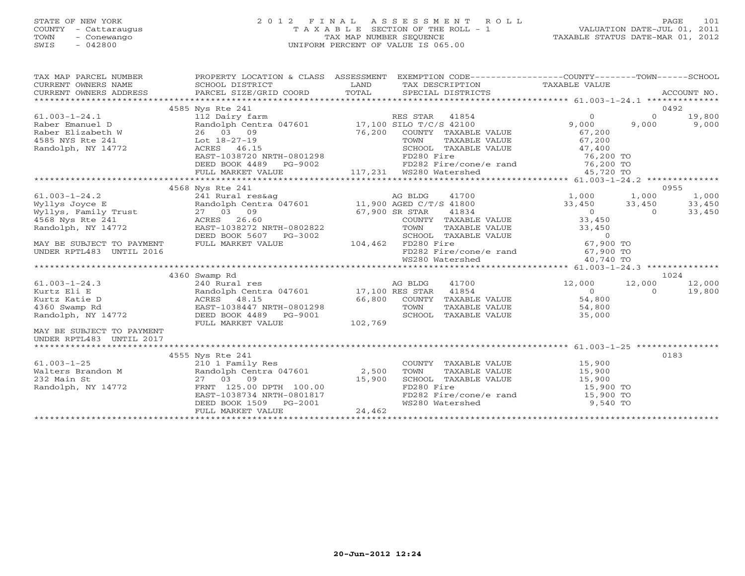## STATE OF NEW YORK 2 0 1 2 F I N A L A S S E S S M E N T R O L L PAGE 101 COUNTY - Cattaraugus T A X A B L E SECTION OF THE ROLL - 1 VALUATION DATE-JUL 01, 2011 TOWN - Conewango TAX MAP NUMBER SEQUENCE TAXABLE STATUS DATE-MAR 01, 2012 SWIS - 042800 UNIFORM PERCENT OF VALUE IS 065.00UNIFORM PERCENT OF VALUE IS 065.00

| TAX MAP PARCEL NUMBER                                                                                                                                                                   | PROPERTY LOCATION & CLASS ASSESSMENT EXEMPTION CODE---------------COUNTY-------TOWN------SCHOOL                                                                                                                                                      |         |                                                                 |                                            |                          |        |
|-----------------------------------------------------------------------------------------------------------------------------------------------------------------------------------------|------------------------------------------------------------------------------------------------------------------------------------------------------------------------------------------------------------------------------------------------------|---------|-----------------------------------------------------------------|--------------------------------------------|--------------------------|--------|
|                                                                                                                                                                                         |                                                                                                                                                                                                                                                      |         |                                                                 |                                            |                          |        |
|                                                                                                                                                                                         |                                                                                                                                                                                                                                                      |         |                                                                 |                                            |                          |        |
|                                                                                                                                                                                         | 4585 Nys Rte 241                                                                                                                                                                                                                                     |         |                                                                 |                                            |                          | 0492   |
| $61.003 - 1 - 24.1$                                                                                                                                                                     | 112 Dairy farm                                                                                                                                                                                                                                       |         | RES STAR 41854                                                  | $\Omega$                                   | $\Omega$                 | 19,800 |
| Raber Emanuel D                                                                                                                                                                         | Randolph Centra 047601 17,100 SILO T/C/S 42100                                                                                                                                                                                                       |         |                                                                 | 9,000                                      | 9,000                    | 9,000  |
| Raber Elizabeth W 26 03 09<br>4585 NYS Rte 241 Lot 18-27-19                                                                                                                             |                                                                                                                                                                                                                                                      | 76,200  | COUNTY TAXABLE VALUE                                            | 67,200<br>67,200                           |                          |        |
|                                                                                                                                                                                         | Lot 18-27-19<br>ACRES 46.15<br>EAST-1038720 NRTH-0801298<br>DEED BOOK 4489 PG-9002<br>FULL MARKET VALUE<br>FULL MARKET VALUE<br>FULL MARKET VALUE<br>FULL MARKET VALUE<br>FULL MARKET VALUE<br>FULL MARKET VALUE<br>FULL MARKET VALUE<br>FULL MARKET |         | TOWN<br>TAXABLE VALUE                                           |                                            |                          |        |
| Randolph, NY 14772                                                                                                                                                                      |                                                                                                                                                                                                                                                      |         | SCHOOL TAXABLE VALUE 47,400                                     |                                            |                          |        |
|                                                                                                                                                                                         |                                                                                                                                                                                                                                                      |         |                                                                 |                                            |                          |        |
|                                                                                                                                                                                         |                                                                                                                                                                                                                                                      |         |                                                                 |                                            |                          |        |
|                                                                                                                                                                                         |                                                                                                                                                                                                                                                      |         |                                                                 |                                            |                          |        |
|                                                                                                                                                                                         |                                                                                                                                                                                                                                                      |         |                                                                 |                                            |                          |        |
| Wyllys Joyce E<br>Myllys Joyce E<br>Randolph Centra 047601 11,900 AGED C/T/S 41800<br>Wyllys, Family Trust 27 03 09<br>4568 Nys Rte 241 ACRES 26.60<br>Randolph, NY 14772 EAGER 1030000 |                                                                                                                                                                                                                                                      |         |                                                                 |                                            |                          | 0955   |
|                                                                                                                                                                                         |                                                                                                                                                                                                                                                      |         |                                                                 | 41700 1,000 1,000                          |                          | 1,000  |
|                                                                                                                                                                                         |                                                                                                                                                                                                                                                      |         |                                                                 | 33,450 33,450                              |                          | 33,450 |
|                                                                                                                                                                                         |                                                                                                                                                                                                                                                      |         | R STAR     41834<br>COUNTY   TAXABLE VALUE                      | $\begin{array}{c} 0 \\ 33,450 \end{array}$ | $\overline{0}$           | 33,450 |
|                                                                                                                                                                                         |                                                                                                                                                                                                                                                      |         |                                                                 |                                            |                          |        |
|                                                                                                                                                                                         |                                                                                                                                                                                                                                                      |         | TAXABLE VALUE                                                   | 33,450                                     |                          |        |
|                                                                                                                                                                                         | DEED BOOK 5607 PG-3002                                                                                                                                                                                                                               |         | SCHOOL TAXABLE VALUE<br>3-3002 SCHOOL TA2<br>104,462 FD280 Fire | $\overline{0}$<br>$67,900$ TO              |                          |        |
| MAY BE SUBJECT TO PAYMENT                                                                                                                                                               | FULL MARKET VALUE                                                                                                                                                                                                                                    |         | FD280 Fire<br>FD282 Fire/cone/e rand 67,900 TO                  |                                            |                          |        |
| UNDER RPTL483 UNTIL 2016                                                                                                                                                                |                                                                                                                                                                                                                                                      |         |                                                                 |                                            |                          |        |
|                                                                                                                                                                                         |                                                                                                                                                                                                                                                      |         | WS280 Watershed                                                 | 40,740 TO                                  |                          |        |
|                                                                                                                                                                                         | 4360 Swamp Rd                                                                                                                                                                                                                                        |         |                                                                 |                                            |                          | 1024   |
| $61.003 - 1 - 24.3$                                                                                                                                                                     |                                                                                                                                                                                                                                                      |         | 41700                                                           |                                            |                          | 12,000 |
| Kurtz Eli E                                                                                                                                                                             | 240 Rural res                                                                                                                                                                                                                                        |         | AG BLDG                                                         | 12,000<br>$\overline{0}$                   | 12,000<br>$\overline{0}$ | 19,800 |
| Kurtz Katie D                                                                                                                                                                           | Randolph Centra 047601 17,100 RES STAR 41854<br>Randolph Centra 047601<br>ACRES 48.15<br>EAST-1038447 NRTH-0801298                                                                                                                                   |         | 66,800 COUNTY TAXABLE VALUE                                     | 54,800                                     |                          |        |
| 4360 Swamp Rd                                                                                                                                                                           |                                                                                                                                                                                                                                                      |         | TOWN                                                            | TAXABLE VALUE 54,800                       |                          |        |
| Randolph, NY 14772                                                                                                                                                                      | DEED BOOK 4489 PG-9001                                                                                                                                                                                                                               |         | SCHOOL<br>TAXABLE VALUE                                         | 35,000                                     |                          |        |
|                                                                                                                                                                                         | FULL MARKET VALUE                                                                                                                                                                                                                                    | 102,769 |                                                                 |                                            |                          |        |
| MAY BE SUBJECT TO PAYMENT                                                                                                                                                               |                                                                                                                                                                                                                                                      |         |                                                                 |                                            |                          |        |
| UNDER RPTL483 UNTIL 2017                                                                                                                                                                |                                                                                                                                                                                                                                                      |         |                                                                 |                                            |                          |        |
|                                                                                                                                                                                         |                                                                                                                                                                                                                                                      |         |                                                                 |                                            |                          |        |
|                                                                                                                                                                                         | 4555 Nys Rte 241                                                                                                                                                                                                                                     |         |                                                                 |                                            |                          | 0183   |
| $61.003 - 1 - 25$                                                                                                                                                                       | 210 1 Family Res                                                                                                                                                                                                                                     |         | COUNTY TAXABLE VALUE                                            | 15,900                                     |                          |        |
|                                                                                                                                                                                         | Randolph Centra 047601 2,500                                                                                                                                                                                                                         |         | TOWN<br>TAXABLE VALUE                                           |                                            |                          |        |
| Walters Brandon M<br>232 Main St                                                                                                                                                        | 27 03 09                                                                                                                                                                                                                                             | 15,900  | SCHOOL TAXABLE VALUE                                            | 15,900<br>15,900                           |                          |        |
| Randolph, NY 14772                                                                                                                                                                      | FRNT 125.00 DPTH 100.00                                                                                                                                                                                                                              |         | FD280 Fire                                                      | 15,900 TO                                  |                          |        |
|                                                                                                                                                                                         | EAST-1038734 NRTH-0801817                                                                                                                                                                                                                            |         | FD282 Fire/cone/e rand 15,900 TO                                |                                            |                          |        |
|                                                                                                                                                                                         | DEED BOOK 1509 PG-2001                                                                                                                                                                                                                               |         | WS280 Watershed                                                 | 9,540 TO                                   |                          |        |
|                                                                                                                                                                                         | FULL MARKET VALUE                                                                                                                                                                                                                                    | 24,462  |                                                                 |                                            |                          |        |
|                                                                                                                                                                                         |                                                                                                                                                                                                                                                      |         |                                                                 |                                            |                          |        |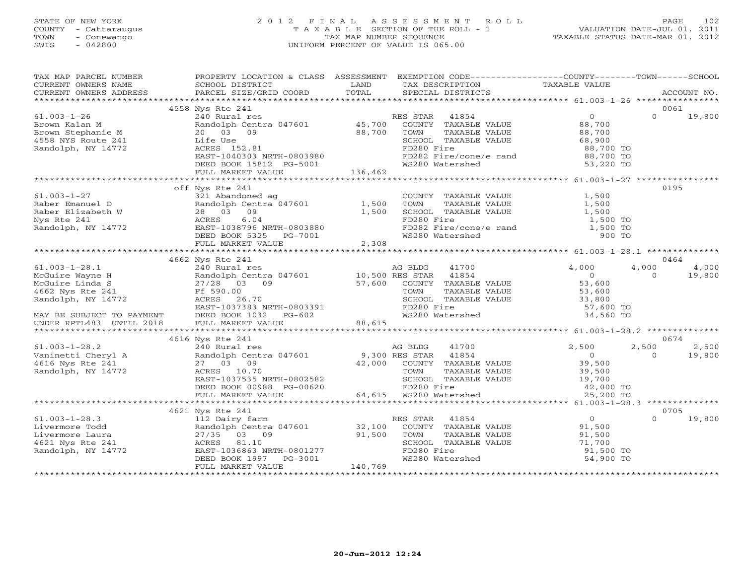## STATE OF NEW YORK 2 0 1 2 F I N A L A S S E S S M E N T R O L L PAGE 102 COUNTY - Cattaraugus T A X A B L E SECTION OF THE ROLL - 1 VALUATION DATE-JUL 01, 2011 TOWN - Conewango TAX MAP NUMBER SEQUENCE TAXABLE STATUS DATE-MAR 01, 2012 SWIS - 042800 UNIFORM PERCENT OF VALUE IS 065.00UNIFORM PERCENT OF VALUE IS 065.00

| TAX MAP PARCEL NUMBER                                                                                                                                                                                                                                                                                                                                                  | PROPERTY LOCATION & CLASS ASSESSMENT                                                                                                                                                                                                                                                                                                                                                                                                                                                                                                                                                                                                                                                                                                                                                                                                                                                                                         |         | EXEMPTION CODE-----------------COUNTY-------TOWN------SCHOOL                                                                                                                                          |                                                                                              |                   |                 |
|------------------------------------------------------------------------------------------------------------------------------------------------------------------------------------------------------------------------------------------------------------------------------------------------------------------------------------------------------------------------|------------------------------------------------------------------------------------------------------------------------------------------------------------------------------------------------------------------------------------------------------------------------------------------------------------------------------------------------------------------------------------------------------------------------------------------------------------------------------------------------------------------------------------------------------------------------------------------------------------------------------------------------------------------------------------------------------------------------------------------------------------------------------------------------------------------------------------------------------------------------------------------------------------------------------|---------|-------------------------------------------------------------------------------------------------------------------------------------------------------------------------------------------------------|----------------------------------------------------------------------------------------------|-------------------|-----------------|
|                                                                                                                                                                                                                                                                                                                                                                        |                                                                                                                                                                                                                                                                                                                                                                                                                                                                                                                                                                                                                                                                                                                                                                                                                                                                                                                              |         |                                                                                                                                                                                                       |                                                                                              | 0061              |                 |
| $61.003 - 1 - 26$<br>Brown Kalan M<br>Brown Stephanie M<br>4558 NYS Route 241<br>Randolph, NY 14772<br>Randolph, NY 14772                                                                                                                                                                                                                                              | 4558 Nys Rte 241<br>RES STAR 41854 0<br>Randolph Centra 047601 45,700 COUNTY TAXABLE VALUE 88,700<br>20 03 09 88,700 TOWN TAXABLE VALUE 88,700<br>Life Use SCHOOL TAXABLE VALUE 88,900<br>ACRES 152.81 FD280 Fire RAT-1040303 NRTH-0803990<br>Randolph Centra 047001<br>20 03 09 88,700<br>Life Use<br>ACRES 152.81<br>EAST-1040303 NRTH-0803980<br>DEED BOOK 15812 PG-5001 136,462<br>FULL MARKET VALUE 136,462                                                                                                                                                                                                                                                                                                                                                                                                                                                                                                             |         | SCHOOL TAXABLE VALUE 68,900<br>FD280 Fire<br>FD282 Fire/cone/e rand 88,700 TO<br>WS280 Watershed 53,220 TO                                                                                            |                                                                                              | $\Omega$          | 19,800          |
|                                                                                                                                                                                                                                                                                                                                                                        |                                                                                                                                                                                                                                                                                                                                                                                                                                                                                                                                                                                                                                                                                                                                                                                                                                                                                                                              |         |                                                                                                                                                                                                       |                                                                                              | 0195              |                 |
| $61.003 - 1 - 27$<br>61.003-1-27<br>Raber Emanuel D<br>Raber Elizabeth W<br>Nys Rte 241<br>Randolph, NY 14772<br>Randolph, NY 14772<br>$\begin{array}{cccc}\n & 321 \text{ Abandoned ag} \\ \text{Random Centra 047601} & 1,500 \\  & 28 & 03 & 09 \\  & \text{ACRES} & 6.04 \\ \text{Random Centr} & \text{EAST} & 1038796 \\  & \text{EREN-ROOK S375} & \text{DG-70$ | off Nys Rte 241<br>321 Abandoned ag<br>ACRES 6.04<br>EAST-1038796 NRTH-0803880<br>DEED BOOK 5325 PG-7001                                                                                                                                                                                                                                                                                                                                                                                                                                                                                                                                                                                                                                                                                                                                                                                                                     |         | COUNTY TAXABLE VALUE $1,500$<br>TOWN TAXABLE VALUE $1,500$<br>SCHOOL TAXABLE VALUE $1,500$<br>SCHOOL TAXABLE VALUE $1,500$<br>FD280 Fire<br>FD282 Fire/cone/e rand 1,500 TO<br>WS280 Watershed 900 TO | 1,500 TO                                                                                     |                   |                 |
|                                                                                                                                                                                                                                                                                                                                                                        | FULL MARKET VALUE                                                                                                                                                                                                                                                                                                                                                                                                                                                                                                                                                                                                                                                                                                                                                                                                                                                                                                            | 2,308   |                                                                                                                                                                                                       |                                                                                              |                   |                 |
|                                                                                                                                                                                                                                                                                                                                                                        |                                                                                                                                                                                                                                                                                                                                                                                                                                                                                                                                                                                                                                                                                                                                                                                                                                                                                                                              |         |                                                                                                                                                                                                       |                                                                                              | 0464              |                 |
| $61.003 - 1 - 28.1$                                                                                                                                                                                                                                                                                                                                                    | 4662 Nys Rte 241                                                                                                                                                                                                                                                                                                                                                                                                                                                                                                                                                                                                                                                                                                                                                                                                                                                                                                             |         | 41700                                                                                                                                                                                                 | 4,000                                                                                        | 4,000             | 4,000           |
| McGuire Wayne H<br>McGuire Linda S<br>4662 Nys Rte 241<br>Randolph, NY 14772                                                                                                                                                                                                                                                                                           | ny no barana ny kaodim-paositra 41700.<br>Ny INSEE dia 417601 no ben'ny tanàna mandritry ny taona 21854.<br>I 2008 November 2008–2014. Ilay kaominina dia 41854.<br>$\begin{tabular}{lllllll} & $\times40$ & Rural res \\ \hline \text{Random Centr} & & \\ 27/28 & 03 & 0 \\ \text{Ff $590.00$ & \\ 2 & \text{ACRES} & 26.70 \\ \text{RAST-1037383} & \text{N1} \end{tabular}$<br>$\begin{tabular}{lcccc} 27/28 & \textcolor{red}{\textbf{--}} & \textcolor{red}{\textbf{--}} & \textcolor{red}{\textbf{--}} & \textcolor{red}{\textbf{--}} & \textcolor{red}{\textbf{--}} & \textcolor{red}{\textbf{--}} & \textcolor{red}{\textbf{--}} & \textcolor{red}{\textbf{--}} & \textcolor{red}{\textbf{--}} & \textcolor{red}{\textbf{--}} & \textcolor{red}{\textbf{--}} & \textcolor{red}{\textbf{--}} & \textcolor{red}{\textbf{--}} & \textcolor{red}{\textbf{--}} & \textcolor{red}{\textbf{--}} & \textcolor{red}{\textbf$ |         | FOWN TAXABLE VALUE<br>TOWN TAXABLE VALUE<br>SCHOOL TAXABLE VALUE 33,800<br>FD280 Fire 57,600 TO<br>WS280 Watershed 34,560 TO                                                                          |                                                                                              | $\Omega$          | 19,800          |
|                                                                                                                                                                                                                                                                                                                                                                        |                                                                                                                                                                                                                                                                                                                                                                                                                                                                                                                                                                                                                                                                                                                                                                                                                                                                                                                              |         |                                                                                                                                                                                                       |                                                                                              |                   |                 |
|                                                                                                                                                                                                                                                                                                                                                                        | 4616 Nys Rte 241                                                                                                                                                                                                                                                                                                                                                                                                                                                                                                                                                                                                                                                                                                                                                                                                                                                                                                             |         |                                                                                                                                                                                                       |                                                                                              | 0674              |                 |
| $61.003 - 1 - 28.2$<br>Vaninetti Cheryl A<br>4616 Nys Rte 241<br>Randolph, NY 14772                                                                                                                                                                                                                                                                                    | AG BLDG 41700<br>Randolph Centra 047601 9,300 RES STAR 41854<br>27 03 09 42,000 COUNTY TAXABLE VALUE<br>ACRES 10.70 TOWN TAXABLE VALUE<br>EAST-1037535 NRTH-0802582<br>PEED BOOK 008 PC 00000<br>DEED BOOK 00988 PG-00620<br>FULL MARKET VALUE                                                                                                                                                                                                                                                                                                                                                                                                                                                                                                                                                                                                                                                                               |         | TOWN TAXABLE VALUE<br>SCHOOL TAXABLE VALUE 39,500<br>FD280 Fire 19,700<br>WS280 Watershed 19,000 TO<br>64,615 WS280 Watershed                                                                         | 2,500<br>$\begin{array}{c} 0 \\ 39,500 \end{array}$<br>25,200 TO                             | 2,500<br>$\Omega$ | 2,500<br>19,800 |
|                                                                                                                                                                                                                                                                                                                                                                        | ***************************                                                                                                                                                                                                                                                                                                                                                                                                                                                                                                                                                                                                                                                                                                                                                                                                                                                                                                  |         |                                                                                                                                                                                                       | *********** 61.003-1-28.3 **************                                                     |                   |                 |
|                                                                                                                                                                                                                                                                                                                                                                        |                                                                                                                                                                                                                                                                                                                                                                                                                                                                                                                                                                                                                                                                                                                                                                                                                                                                                                                              |         |                                                                                                                                                                                                       |                                                                                              | 0705              |                 |
| $61.003 - 1 - 28.3$<br>Livermore Todd<br>Livermore Laura<br>4621 Nys Rte 241<br>Randolph, NY 14772                                                                                                                                                                                                                                                                     | $\begin{tabular}{lllllllll} \multicolumn{4}{c}{\textbf{112} }\textbf{Dairy} $\textbf{farm}$ & \multicolumn{4}{c}{\textbf{RES} $\textbf{STAR}$} & \multicolumn{4}{c}{\textbf{41854}}\\ \textbf{Random Centra} $\textbf{047601}$ & \multicolumn{4}{c}{\textbf{32,100} }\textbf{COUNTY} $\textbf{TXABLE VALUE} $ \\ 27/35 $\textbf{03} $& 09$ & \multicolumn{4}{c}{\textbf{91,500} }\textbf{TONN}$ & \textbf{TXABLE VALUE} \\ \textbf{ACRES} $\textbf{81.10$<br>ACRES 81.10<br>EAST-1036863 NRTH-0801277<br>DEED BOOK 1997 PG-3001<br>FULL MARKET VALUE                                                                                                                                                                                                                                                                                                                                                                         | 140,769 | TOWN TAXABLE VALUE<br>SCHOOL TAXABLE VALUE<br>FD280 Fire<br>WS280 Watershed                                                                                                                           | $\begin{array}{c} 0 \\ 91,500 \end{array}$<br>91, 500<br>71, 700<br>91, 500 TO<br>54, 900 TO | $\Omega$          | 19,800          |
|                                                                                                                                                                                                                                                                                                                                                                        |                                                                                                                                                                                                                                                                                                                                                                                                                                                                                                                                                                                                                                                                                                                                                                                                                                                                                                                              |         |                                                                                                                                                                                                       |                                                                                              |                   |                 |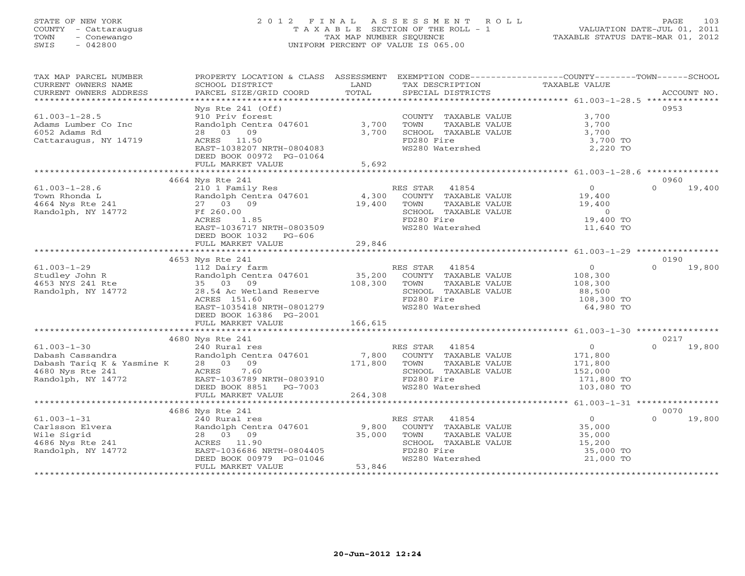## STATE OF NEW YORK 2 0 1 2 F I N A L A S S E S S M E N T R O L L PAGE 103 COUNTY - Cattaraugus T A X A B L E SECTION OF THE ROLL - 1 VALUATION DATE-JUL 01, 2011 TOWN - Conewango TAX MAP NUMBER SEQUENCE TAXABLE STATUS DATE-MAR 01, 2012 SWIS - 042800 UNIFORM PERCENT OF VALUE IS 065.00UNIFORM PERCENT OF VALUE IS 065.00

| TAX MAP PARCEL NUMBER                        | PROPERTY LOCATION & CLASS ASSESSMENT EXEMPTION CODE---------------COUNTY-------TOWN------SCHOOL             |              |                       |                                             |                    |
|----------------------------------------------|-------------------------------------------------------------------------------------------------------------|--------------|-----------------------|---------------------------------------------|--------------------|
| CURRENT OWNERS NAME                          | SCHOOL DISTRICT                                                                                             | LAND         | TAX DESCRIPTION       | TAXABLE VALUE                               |                    |
| CURRENT OWNERS ADDRESS                       | PARCEL SIZE/GRID COORD                                                                                      | TOTAL        | SPECIAL DISTRICTS     |                                             | ACCOUNT NO.        |
|                                              |                                                                                                             |              |                       |                                             |                    |
|                                              | Nys Rte $241$ (Off)                                                                                         |              |                       |                                             | 0953               |
| $61.003 - 1 - 28.5$                          | 910 Priv forest                                                                                             |              | COUNTY TAXABLE VALUE  | 3,700                                       |                    |
| Adams Lumber Co Inc                          | Randolph Centra 047601 3,700                                                                                |              | TAXABLE VALUE<br>TOWN | 3,700                                       |                    |
| 6052 Adams Rd                                | 28 03 09                                                                                                    | 3,700        | SCHOOL TAXABLE VALUE  | 3,700                                       |                    |
| Cattaraugus, NY 14719                        | ACRES 11.50                                                                                                 |              | FD280 Fire            | 3,700 TO                                    |                    |
|                                              | EAST-1038207 NRTH-0804083                                                                                   |              | WS280 Watershed       | 2,220 TO                                    |                    |
|                                              | DEED BOOK 00972 PG-01064                                                                                    |              |                       |                                             |                    |
|                                              | FULL MARKET VALUE                                                                                           | 5,692        |                       |                                             |                    |
|                                              |                                                                                                             |              |                       |                                             |                    |
|                                              | 4664 Nys Rte 241                                                                                            |              |                       |                                             | 0960               |
| $61.003 - 1 - 28.6$                          | 210 1 Family Res<br>210 1 Family Res<br>Randolph Centra 047601 4,300 COUNTY TAXABLE VALUE                   |              |                       | $\overline{0}$                              | $\Omega$<br>19,400 |
| Town Rhonda L                                |                                                                                                             |              |                       | 19,400                                      |                    |
| 4664 Nys Rte 241                             |                                                                                                             | 19,400 TOWN  | TAXABLE VALUE         | 19,400                                      |                    |
| Randolph, NY 14772                           | 27 03 09<br>Ff 260.00<br>ACRES 1.85                                                                         |              | SCHOOL TAXABLE VALUE  | $\overline{0}$                              |                    |
|                                              |                                                                                                             |              | FD280 Fire            | 19,400 TO                                   |                    |
|                                              | EAST-1036717 NRTH-0803509                                                                                   |              | WS280 Watershed       | 11,640 TO                                   |                    |
|                                              | DEED BOOK 1032 PG-606                                                                                       |              |                       |                                             |                    |
|                                              | FULL MARKET VALUE                                                                                           | 29,846       |                       |                                             |                    |
|                                              |                                                                                                             |              |                       |                                             |                    |
|                                              | 4653 Nys Rte 241                                                                                            |              |                       |                                             | 0190               |
| $61.003 - 1 - 29$                            | 112 Dairy farm                                                                                              |              | RES STAR 41854        | $\overline{0}$                              | $\Omega$<br>19,800 |
| Studley John R                               | 112 Daily Laim<br>Randolph Centra 047601 35,200 COUNTY TAXABLE VALUE<br>35 03 09 108,300 TOWN TAXABLE VALUE |              |                       |                                             |                    |
| 4653 NYS 241 Rte                             |                                                                                                             |              |                       | 108,300<br>108,300                          |                    |
| Randolph, NY 14772                           | 28.54 Ac Wetland Reserve                                                                                    |              | SCHOOL TAXABLE VALUE  | 88,500                                      |                    |
|                                              | ACRES 151.60                                                                                                |              | FD280 Fire            | 108,300 TO                                  |                    |
|                                              | EAST-1035418 NRTH-0801279                                                                                   |              | WS280 Watershed       | 64,980 TO                                   |                    |
|                                              | DEED BOOK 16386 PG-2001                                                                                     |              |                       |                                             |                    |
|                                              | FULL MARKET VALUE                                                                                           | 166,615      |                       |                                             |                    |
|                                              |                                                                                                             |              |                       |                                             |                    |
|                                              | 4680 Nys Rte 241                                                                                            |              |                       |                                             | 0217               |
| $61.003 - 1 - 30$                            | 240 Rural res                                                                                               |              | RES STAR 41854        |                                             | 19,800<br>$\Omega$ |
| Dabash Cassandra                             | Randolph Centra 047601 7,800 COUNTY TAXABLE VALUE                                                           |              |                       | $\begin{array}{c} 0 \\ 171,800 \end{array}$ |                    |
| Dabash Tariq K & Yasmine K 28 03 09          |                                                                                                             |              | TAXABLE VALUE         |                                             |                    |
| 4680 Nys Rte 241                             | ACRES 7.60                                                                                                  | 171,800 TOWN | SCHOOL TAXABLE VALUE  | 171,800<br>152,000                          |                    |
| Randolph, NY 14772                           |                                                                                                             |              | FD280 Fire            |                                             |                    |
|                                              | EAST-1036789 NRTH-0803910<br>DEED BOOK 8851 PG-7003                                                         |              | WS280 Watershed       | 171,800 TO<br>103,080 TO                    |                    |
|                                              | FULL MARKET VALUE                                                                                           | 264,308      |                       |                                             |                    |
|                                              |                                                                                                             |              |                       |                                             |                    |
|                                              | 4686 Nys Rte 241                                                                                            |              |                       |                                             | 0070               |
| $61.003 - 1 - 31$                            | 240 Rural res                                                                                               |              | RES STAR 41854        |                                             | $\cap$<br>19,800   |
| Carlsson Elvera                              |                                                                                                             |              | COUNTY TAXABLE VALUE  | 0<br>35,000<br>35,000                       |                    |
|                                              | Randolph Centra 047601 9,800 COUNT<br>28 03 09 35,000 TOWN                                                  |              | TAXABLE VALUE         |                                             |                    |
| Wile Sigriu<br>4686 Nys Rte 241<br>Any 14772 | 28 03 03<br>ACRES 11.90<br>EAST-1036686 NRTH-0804405                                                        |              | SCHOOL TAXABLE VALUE  | 15,200                                      |                    |
|                                              |                                                                                                             |              | FD280 Fire            | 35,000 TO                                   |                    |
|                                              | DEED BOOK 00979 PG-01046                                                                                    |              | WS280 Watershed       | 21,000 TO                                   |                    |
|                                              | FULL MARKET VALUE                                                                                           | 53,846       |                       |                                             |                    |
|                                              |                                                                                                             |              |                       |                                             |                    |
|                                              |                                                                                                             |              |                       |                                             |                    |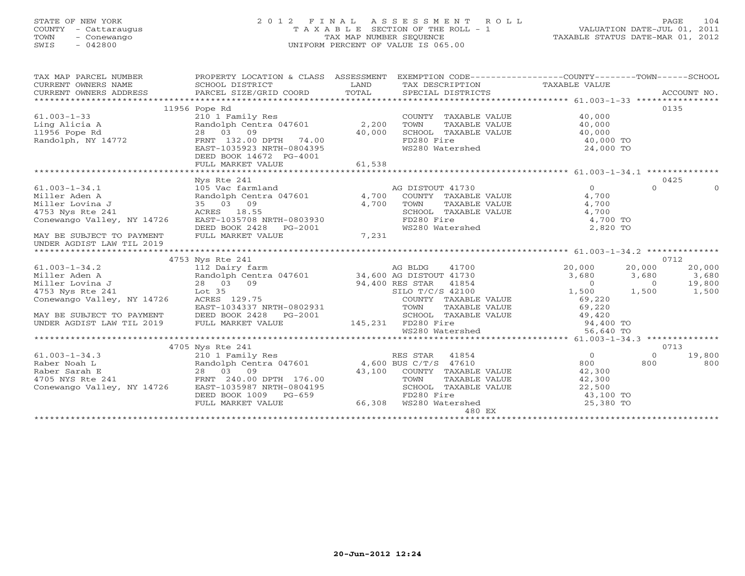## STATE OF NEW YORK 2 0 1 2 F I N A L A S S E S S M E N T R O L L PAGE 104 COUNTY - Cattaraugus T A X A B L E SECTION OF THE ROLL - 1 VALUATION DATE-JUL 01, 2011 TOWN - Conewango TAX MAP NUMBER SEQUENCE TAXABLE STATUS DATE-MAR 01, 2012 SWIS - 042800 UNIFORM PERCENT OF VALUE IS 065.00UNIFORM PERCENT OF VALUE IS 065.00

| TAX MAP PARCEL NUMBER                                                                                                                                                                                                                              | PROPERTY LOCATION & CLASS ASSESSMENT EXEMPTION CODE---------------COUNTY-------TOWN-----SCHOOL                                                                                                 |        |                                                                                                                                                                                                                                                                                                                                                                    |                                                   |                               |          |
|----------------------------------------------------------------------------------------------------------------------------------------------------------------------------------------------------------------------------------------------------|------------------------------------------------------------------------------------------------------------------------------------------------------------------------------------------------|--------|--------------------------------------------------------------------------------------------------------------------------------------------------------------------------------------------------------------------------------------------------------------------------------------------------------------------------------------------------------------------|---------------------------------------------------|-------------------------------|----------|
| CURRENT OWNERS ADDRESS                                                                                                                                                                                                                             |                                                                                                                                                                                                |        |                                                                                                                                                                                                                                                                                                                                                                    |                                                   |                               |          |
|                                                                                                                                                                                                                                                    |                                                                                                                                                                                                |        |                                                                                                                                                                                                                                                                                                                                                                    |                                                   |                               |          |
|                                                                                                                                                                                                                                                    | 11956 Pope Rd                                                                                                                                                                                  |        |                                                                                                                                                                                                                                                                                                                                                                    |                                                   | 0135                          |          |
| $61.003 - 1 - 33$                                                                                                                                                                                                                                  | 210 1 Family Res<br>Randolph Centra 047601 2,200                                                                                                                                               |        | COUNTY TAXABLE VALUE                                                                                                                                                                                                                                                                                                                                               | 40,000                                            |                               |          |
| Ling Alicia A<br>11956 Pope Rd<br>Randolph, NY 14772                                                                                                                                                                                               |                                                                                                                                                                                                |        | TOWN                                                                                                                                                                                                                                                                                                                                                               | TAXABLE VALUE 40,000                              |                               |          |
|                                                                                                                                                                                                                                                    |                                                                                                                                                                                                |        | SCHOOL TAXABLE VALUE                                                                                                                                                                                                                                                                                                                                               |                                                   |                               |          |
|                                                                                                                                                                                                                                                    | $28$ $03$ $09$<br>FRNT $132.00$ DPTH $74.00$ $40,000$                                                                                                                                          |        | FD280 Fire                                                                                                                                                                                                                                                                                                                                                         | $40,000$<br>$40,000$ TO                           |                               |          |
|                                                                                                                                                                                                                                                    | EAST-1035923 NRTH-0804395                                                                                                                                                                      |        | WS280 Watershed                                                                                                                                                                                                                                                                                                                                                    | $24,000$ TO                                       |                               |          |
|                                                                                                                                                                                                                                                    | DEED BOOK 14672 PG-4001                                                                                                                                                                        |        |                                                                                                                                                                                                                                                                                                                                                                    |                                                   |                               |          |
|                                                                                                                                                                                                                                                    | FULL MARKET VALUE                                                                                                                                                                              | 61,538 |                                                                                                                                                                                                                                                                                                                                                                    |                                                   |                               |          |
|                                                                                                                                                                                                                                                    |                                                                                                                                                                                                |        |                                                                                                                                                                                                                                                                                                                                                                    |                                                   |                               |          |
|                                                                                                                                                                                                                                                    | Nys Rte 241<br>105 Vac farmland<br>Randolph Centra 047601<br>35 03 09<br>4,700 COUNTY TAXABLE VALUE<br>4,700 TOWN TAXABLE VALUE<br>SCHOOL TAXABLE VALUE<br>SCHOOL TAXABLE VALUE<br>FID280 Fire |        |                                                                                                                                                                                                                                                                                                                                                                    |                                                   | 0425                          |          |
| $61.003 - 1 - 34.1$                                                                                                                                                                                                                                |                                                                                                                                                                                                |        |                                                                                                                                                                                                                                                                                                                                                                    | $\overline{0}$                                    | $\Omega$                      | $\Omega$ |
| Miller Aden A                                                                                                                                                                                                                                      | 105 Vac farml<br>Randolph Cent<br>35   03   09                                                                                                                                                 |        |                                                                                                                                                                                                                                                                                                                                                                    | 4,700                                             |                               |          |
| Miller Lovina J                                                                                                                                                                                                                                    |                                                                                                                                                                                                |        | TOWN TAXABLE VALUE                                                                                                                                                                                                                                                                                                                                                 | 4,700                                             |                               |          |
| 4753 Nys Rte 241                                                                                                                                                                                                                                   | ACRES 18.55                                                                                                                                                                                    |        | SCHOOL TAXABLE VALUE                                                                                                                                                                                                                                                                                                                                               | 4,700                                             |                               |          |
| Conewango Valley, NY 14726                                                                                                                                                                                                                         |                                                                                                                                                                                                |        |                                                                                                                                                                                                                                                                                                                                                                    | 4,700 TO                                          |                               |          |
|                                                                                                                                                                                                                                                    |                                                                                                                                                                                                |        | FD280 Fire<br>WS280 Watershed                                                                                                                                                                                                                                                                                                                                      | 2,820 TO                                          |                               |          |
| MAY BE SUBJECT TO PAYMENT                                                                                                                                                                                                                          | ACRES 18.55<br>EAST-1035708 NRTH-0803930<br>DEED BOOK 2428 PG-2001<br>FULL MARKET VALUE 7,231                                                                                                  |        |                                                                                                                                                                                                                                                                                                                                                                    |                                                   |                               |          |
| UNDER AGDIST LAW TIL 2019                                                                                                                                                                                                                          |                                                                                                                                                                                                |        |                                                                                                                                                                                                                                                                                                                                                                    |                                                   |                               |          |
|                                                                                                                                                                                                                                                    |                                                                                                                                                                                                |        |                                                                                                                                                                                                                                                                                                                                                                    |                                                   |                               |          |
|                                                                                                                                                                                                                                                    | 4753 Nys Rte 241                                                                                                                                                                               |        |                                                                                                                                                                                                                                                                                                                                                                    |                                                   | 0712                          |          |
|                                                                                                                                                                                                                                                    |                                                                                                                                                                                                |        |                                                                                                                                                                                                                                                                                                                                                                    | 20,000                                            | 20,000                        | 20,000   |
|                                                                                                                                                                                                                                                    |                                                                                                                                                                                                |        |                                                                                                                                                                                                                                                                                                                                                                    | $3,680$ $3,680$ 0                                 | $3,680$ $3,680$<br>0 $19,800$ |          |
|                                                                                                                                                                                                                                                    |                                                                                                                                                                                                |        |                                                                                                                                                                                                                                                                                                                                                                    |                                                   |                               |          |
|                                                                                                                                                                                                                                                    |                                                                                                                                                                                                |        |                                                                                                                                                                                                                                                                                                                                                                    | $1,500$ $1,500$ $1,500$ $1,500$                   |                               |          |
|                                                                                                                                                                                                                                                    |                                                                                                                                                                                                |        | COUNTY TAXABLE VALUE                                                                                                                                                                                                                                                                                                                                               |                                                   |                               |          |
|                                                                                                                                                                                                                                                    |                                                                                                                                                                                                |        |                                                                                                                                                                                                                                                                                                                                                                    |                                                   |                               |          |
|                                                                                                                                                                                                                                                    |                                                                                                                                                                                                |        |                                                                                                                                                                                                                                                                                                                                                                    | 69,220<br>69,220                                  |                               |          |
|                                                                                                                                                                                                                                                    |                                                                                                                                                                                                |        |                                                                                                                                                                                                                                                                                                                                                                    |                                                   |                               |          |
|                                                                                                                                                                                                                                                    |                                                                                                                                                                                                |        |                                                                                                                                                                                                                                                                                                                                                                    |                                                   |                               |          |
|                                                                                                                                                                                                                                                    |                                                                                                                                                                                                |        | 61.003-1-34.2<br>Miller Aden A<br>Miller Aden A<br>Miller Lovina J<br>28 03 09<br>4753 Nys Rte 241<br>Conewango Valley, NY 14726<br>EAST-1034337 NRTH-0802931<br>MAY BE SUBJECT TO PAYMENT<br>DEED BOOK 2428 PG-2001<br>UNDER AGDIST LAW TIL 2019<br>TOWN TAXABLE VALUE 69,220<br>SCHOOL TAXABLE VALUE 49,420<br>FD280 Fire 94,400 TO<br>WS280 Watershed 56,640 TO |                                                   |                               |          |
|                                                                                                                                                                                                                                                    |                                                                                                                                                                                                |        |                                                                                                                                                                                                                                                                                                                                                                    |                                                   |                               |          |
|                                                                                                                                                                                                                                                    | 4705 Nys Rte 241                                                                                                                                                                               |        |                                                                                                                                                                                                                                                                                                                                                                    |                                                   | 0713                          |          |
|                                                                                                                                                                                                                                                    |                                                                                                                                                                                                |        |                                                                                                                                                                                                                                                                                                                                                                    |                                                   | $\Omega$                      | 19,800   |
|                                                                                                                                                                                                                                                    |                                                                                                                                                                                                |        |                                                                                                                                                                                                                                                                                                                                                                    | $\begin{array}{c}\n0 \\ 800\n\end{array}$<br>800  | 800                           | 800      |
|                                                                                                                                                                                                                                                    |                                                                                                                                                                                                |        |                                                                                                                                                                                                                                                                                                                                                                    | 42,300                                            |                               |          |
|                                                                                                                                                                                                                                                    |                                                                                                                                                                                                |        |                                                                                                                                                                                                                                                                                                                                                                    | 42,300                                            |                               |          |
|                                                                                                                                                                                                                                                    |                                                                                                                                                                                                |        |                                                                                                                                                                                                                                                                                                                                                                    |                                                   |                               |          |
|                                                                                                                                                                                                                                                    |                                                                                                                                                                                                |        |                                                                                                                                                                                                                                                                                                                                                                    |                                                   |                               |          |
| 61.003-1-34.3<br>Raber Noah L<br>Raber Sarah E<br>210 1 Family Res<br>Raber Sarah E<br>28 03 09<br>43,100 COUNTY TAXABLE VALUE<br>43,100 COUNTY TAXABLE VALUE<br>TOWN TAXABLE VALUE<br>Conewango Valley, NY 14726<br>EEED BOOK 1009 PG-659<br>FULL |                                                                                                                                                                                                |        | 480 EX                                                                                                                                                                                                                                                                                                                                                             | $22,500$<br>$43,100$ TO<br>$-200$ TC<br>25,380 TO |                               |          |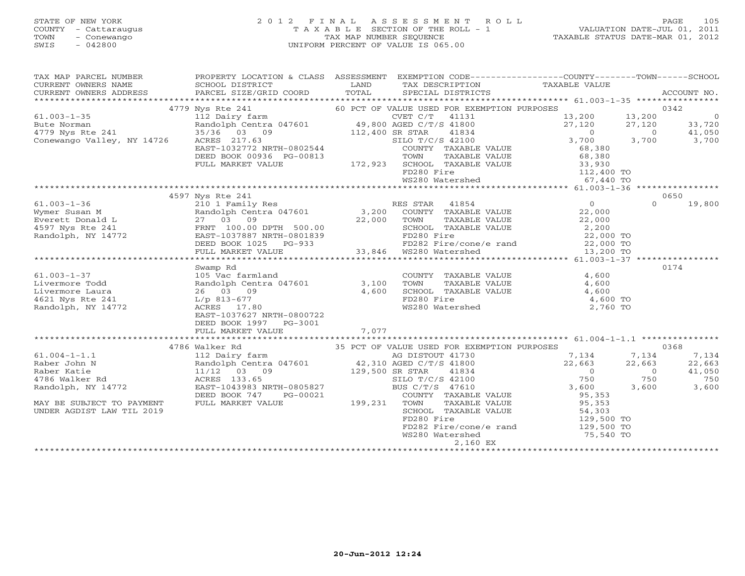## STATE OF NEW YORK 2 0 1 2 F I N A L A S S E S S M E N T R O L L PAGE 105 COUNTY - Cattaraugus T A X A B L E SECTION OF THE ROLL - 1 VALUATION DATE-JUL 01, 2011 TOWN - Conewango TAX MAP NUMBER SEQUENCE TAXABLE STATUS DATE-MAR 01, 2012 SWIS - 042800 UNIFORM PERCENT OF VALUE IS 065.00

| TAX MAP PARCEL NUMBER<br>CURRENT OWNERS NAME<br>CURRENT OWNERS ADDRESS                                                                                                                                                                                       | PROPERTY LOCATION & CLASS ASSESSMENT EXEMPTION CODE----------------COUNTY-------TOWN------SCHOOL<br>SCHOOL DISTRICT<br>PARCEL SIZE/GRID COORD                                                                                              | <b>Example 12</b> LAND<br>TOTAL | TAX DESCRIPTION TAXABLE VALUE<br>SPECIAL DISTRICTS TAXABLE VALUE<br>TAX DESCRIPTION |                      |                                         | ACCOUNT NO.                  |
|--------------------------------------------------------------------------------------------------------------------------------------------------------------------------------------------------------------------------------------------------------------|--------------------------------------------------------------------------------------------------------------------------------------------------------------------------------------------------------------------------------------------|---------------------------------|-------------------------------------------------------------------------------------|----------------------|-----------------------------------------|------------------------------|
|                                                                                                                                                                                                                                                              |                                                                                                                                                                                                                                            |                                 |                                                                                     |                      |                                         |                              |
|                                                                                                                                                                                                                                                              |                                                                                                                                                                                                                                            |                                 |                                                                                     |                      |                                         | 0342                         |
|                                                                                                                                                                                                                                                              |                                                                                                                                                                                                                                            |                                 |                                                                                     | 13,200 13,200        |                                         | $\overline{0}$               |
|                                                                                                                                                                                                                                                              |                                                                                                                                                                                                                                            |                                 |                                                                                     |                      | 27,120                                  | 33,720                       |
|                                                                                                                                                                                                                                                              |                                                                                                                                                                                                                                            |                                 |                                                                                     |                      | $\overline{0}$                          |                              |
|                                                                                                                                                                                                                                                              |                                                                                                                                                                                                                                            |                                 |                                                                                     |                      | 3,700                                   | $\frac{41}{3}, 050$<br>3,700 |
|                                                                                                                                                                                                                                                              |                                                                                                                                                                                                                                            |                                 |                                                                                     |                      |                                         |                              |
|                                                                                                                                                                                                                                                              |                                                                                                                                                                                                                                            |                                 |                                                                                     |                      |                                         |                              |
|                                                                                                                                                                                                                                                              |                                                                                                                                                                                                                                            |                                 |                                                                                     |                      |                                         |                              |
|                                                                                                                                                                                                                                                              |                                                                                                                                                                                                                                            |                                 |                                                                                     |                      |                                         |                              |
|                                                                                                                                                                                                                                                              |                                                                                                                                                                                                                                            |                                 |                                                                                     |                      |                                         |                              |
|                                                                                                                                                                                                                                                              |                                                                                                                                                                                                                                            |                                 |                                                                                     |                      |                                         |                              |
|                                                                                                                                                                                                                                                              | 4597 Nys Rte 241                                                                                                                                                                                                                           |                                 |                                                                                     |                      |                                         | 0650                         |
| $61.003 - 1 - 36$<br>61.003-1-36<br>Wymer Susan M Randolph Centra 047601 3,200 COUNT<br>Everett Donald L 27 03 09 22,000 TOWN<br>4597 Nys Rte 241 FRNT 100.00 DPTH 500.00 22,000 TOWN<br>Randolph, NY 14772 EAST-1037887 NRTH-0801839 FD282<br>FRNT 100.00 D | 210 1 Family Res (1854)<br>Randolph Centra 047601 (1872), 200 COUNTY TAXABLE VALUE (22,000<br>27 03 09 (22,000 TOWN TAXABLE VALUE (22,000)                                                                                                 |                                 |                                                                                     |                      | $\cap$                                  | 19,800                       |
|                                                                                                                                                                                                                                                              |                                                                                                                                                                                                                                            |                                 |                                                                                     | 22,000               |                                         |                              |
|                                                                                                                                                                                                                                                              |                                                                                                                                                                                                                                            |                                 | TAXABLE VALUE                                                                       | 22,000               |                                         |                              |
|                                                                                                                                                                                                                                                              |                                                                                                                                                                                                                                            |                                 |                                                                                     |                      |                                         |                              |
|                                                                                                                                                                                                                                                              |                                                                                                                                                                                                                                            |                                 | SCHOOL TAXABLE VALUE $2,200$<br>FD280 Fire 22,000 TO                                |                      |                                         |                              |
|                                                                                                                                                                                                                                                              |                                                                                                                                                                                                                                            |                                 |                                                                                     |                      |                                         |                              |
|                                                                                                                                                                                                                                                              |                                                                                                                                                                                                                                            |                                 |                                                                                     |                      |                                         |                              |
|                                                                                                                                                                                                                                                              |                                                                                                                                                                                                                                            |                                 |                                                                                     |                      |                                         |                              |
|                                                                                                                                                                                                                                                              | Swamp Rd                                                                                                                                                                                                                                   |                                 |                                                                                     |                      |                                         | 0174                         |
|                                                                                                                                                                                                                                                              |                                                                                                                                                                                                                                            |                                 |                                                                                     | 4,600                |                                         |                              |
|                                                                                                                                                                                                                                                              |                                                                                                                                                                                                                                            |                                 |                                                                                     | 4,600                |                                         |                              |
| Example 3 and the US various Contract of the Mandolph Central Contract of the Mandolph Central Contract 26 and Change 17.80 and Change 26 and Change 26 and Change 26 and Change 26 and Change 26 and Change 26 and Change 27.                               |                                                                                                                                                                                                                                            |                                 | COUNTY TAXABLE VALUE<br>TOWN    TAXABLE VALUE<br>SCHOOL  TAXABLE VALUE              | 4,600                |                                         |                              |
|                                                                                                                                                                                                                                                              |                                                                                                                                                                                                                                            |                                 |                                                                                     | 4,600 TO             |                                         |                              |
|                                                                                                                                                                                                                                                              | ACRES 17.80                                                                                                                                                                                                                                |                                 | FD280 Fire<br>WS280 Watershed                                                       | 2,760 TO             |                                         |                              |
|                                                                                                                                                                                                                                                              | EAST-1037627 NRTH-0800722                                                                                                                                                                                                                  |                                 |                                                                                     |                      |                                         |                              |
|                                                                                                                                                                                                                                                              | DEED BOOK 1997    PG-3001                                                                                                                                                                                                                  |                                 |                                                                                     |                      |                                         |                              |
|                                                                                                                                                                                                                                                              | FULL MARKET VALUE                                                                                                                                                                                                                          | 7,077                           |                                                                                     |                      |                                         |                              |
|                                                                                                                                                                                                                                                              |                                                                                                                                                                                                                                            |                                 |                                                                                     |                      |                                         |                              |
|                                                                                                                                                                                                                                                              | 4786 Walker Rd 35 PCT OF VALUE USED FOR EXEMPTION PURPOSES<br>112 Dairy farm as a DISTOUT 41730 7,134 7,<br>Randolph Centra 047601 42,310 AGED C/T/S 41800 22,663 22,<br>11/12 03 09 129,500 SR STAR 41834 0<br>ACRES 133.65 SILO T/C/S 42 |                                 |                                                                                     |                      |                                         | 0368                         |
| $61.004 - 1 - 1.1$<br>- '--- Ichn N                                                                                                                                                                                                                          |                                                                                                                                                                                                                                            |                                 |                                                                                     |                      | 7,134                                   | 7,134                        |
|                                                                                                                                                                                                                                                              |                                                                                                                                                                                                                                            |                                 |                                                                                     |                      | 22,663                                  | 22,663                       |
| Raber Katie                                                                                                                                                                                                                                                  |                                                                                                                                                                                                                                            |                                 |                                                                                     |                      | $\begin{array}{c} 0 \\ 750 \end{array}$ | 41,050                       |
| 4786 Walker Rd                                                                                                                                                                                                                                               |                                                                                                                                                                                                                                            |                                 |                                                                                     |                      | 750                                     | 750                          |
| Randolph, NY 14772                                                                                                                                                                                                                                           | EAST-1043983 NRTH-0805827                                                                                                                                                                                                                  |                                 | BUS C/T/S 47610                                                                     | 3,600                | 3,600                                   | 3,600                        |
|                                                                                                                                                                                                                                                              | DEED BOOK 747<br>PG-00021                                                                                                                                                                                                                  | $-00021$ 199,231                | COUNTY TAXABLE VALUE 95,353<br>TOWN TAXABLE VALUE 95,353                            |                      |                                         |                              |
| MAY BE SUBJECT TO PAYMENT                                                                                                                                                                                                                                    | FULL MARKET VALUE                                                                                                                                                                                                                          |                                 |                                                                                     |                      |                                         |                              |
| UNDER AGDIST LAW TIL 2019                                                                                                                                                                                                                                    |                                                                                                                                                                                                                                            |                                 | SCHOOL TAXABLE VALUE                                                                | 54,303<br>129,500 TO |                                         |                              |
|                                                                                                                                                                                                                                                              |                                                                                                                                                                                                                                            |                                 | FD280 Fire                                                                          |                      |                                         |                              |
|                                                                                                                                                                                                                                                              |                                                                                                                                                                                                                                            |                                 | FD282 Fire/cone/e rand 129,500 TO<br>WS280 Watershed 75,540 TO                      |                      |                                         |                              |
|                                                                                                                                                                                                                                                              |                                                                                                                                                                                                                                            |                                 |                                                                                     |                      |                                         |                              |
|                                                                                                                                                                                                                                                              |                                                                                                                                                                                                                                            |                                 | 2,160 EX                                                                            |                      |                                         |                              |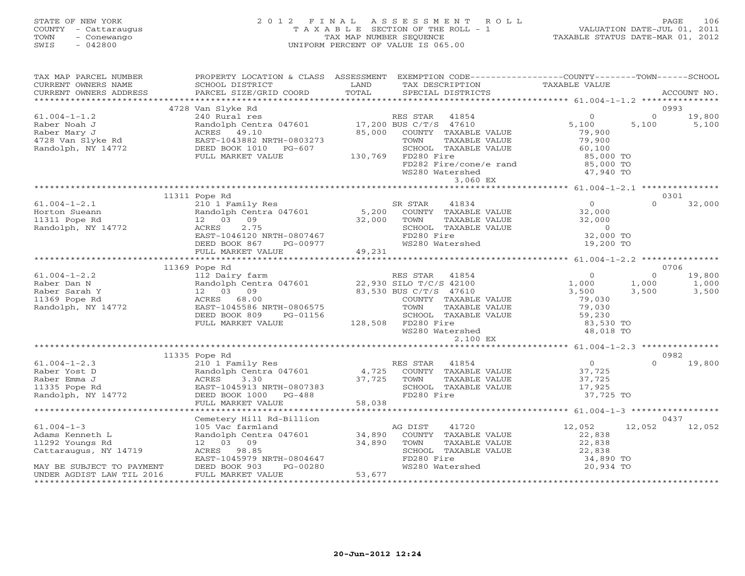## STATE OF NEW YORK 2 0 1 2 F I N A L A S S E S S M E N T R O L L PAGE 106 COUNTY - Cattaraugus T A X A B L E SECTION OF THE ROLL - 1 VALUATION DATE-JUL 01, 2011 TOWN - Conewango TAX MAP NUMBER SEQUENCE TAXABLE STATUS DATE-MAR 01, 2012 SWIS - 042800 UNIFORM PERCENT OF VALUE IS 065.00UNIFORM PERCENT OF VALUE IS 065.00

| TAX MAP PARCEL NUMBER<br>CURRENT OWNERS NAME<br>CURRENT OWNERS ADDRESS                                                                                                                                                                                                                                                                                                                                                                        | PROPERTY LOCATION & CLASS ASSESSMENT EXEMPTION CODE---------------COUNTY-------TOWN------SCHOOL<br>SCHOOL DISTRICT<br><b>Example 12 TEAND</b><br>PARCEL SIZE/GRID COORD | TOTAL  | - TAX DESCRIPTION TAXABLE VALUE<br>SPECIAL DISTRICTS TAXABLE VALUE                                                         |                                            | ACCOUNT NO.        |
|-----------------------------------------------------------------------------------------------------------------------------------------------------------------------------------------------------------------------------------------------------------------------------------------------------------------------------------------------------------------------------------------------------------------------------------------------|-------------------------------------------------------------------------------------------------------------------------------------------------------------------------|--------|----------------------------------------------------------------------------------------------------------------------------|--------------------------------------------|--------------------|
|                                                                                                                                                                                                                                                                                                                                                                                                                                               |                                                                                                                                                                         |        |                                                                                                                            |                                            |                    |
|                                                                                                                                                                                                                                                                                                                                                                                                                                               | 4728 Van Slyke Rd                                                                                                                                                       |        |                                                                                                                            |                                            | 0993               |
| $61.004 - 1 - 1.2$                                                                                                                                                                                                                                                                                                                                                                                                                            |                                                                                                                                                                         |        |                                                                                                                            | $\begin{array}{c}0\\5,100\end{array}$      | $\Omega$<br>19,800 |
|                                                                                                                                                                                                                                                                                                                                                                                                                                               | Van Diyac at<br>240 Rural res<br>Randolph Centra 047601 17,200 BUS C/T/S 47610<br>ACRES 49.10 85,000 COUNTY TAXABLE                                                     |        |                                                                                                                            |                                            | 5,100<br>5,100     |
| C-rive - Taber Noah J (Randolph Centra 047001 2010)<br>Raber Mary J (Randolph ACRES 19.10 1728 Van Slyke Rd EAST-1043882 NRTH-0803273 TOWN TAX<br>Randolph, NY 14772 DEED BOOK 1010 PG-607 SCHOOL TAX<br>FULL MARKET VALUE 130,769 F                                                                                                                                                                                                          |                                                                                                                                                                         |        | 85,000 COUNTY TAXABLE VALUE                                                                                                | 79,900<br>79,900                           |                    |
|                                                                                                                                                                                                                                                                                                                                                                                                                                               |                                                                                                                                                                         |        | TAXABLE VALUE                                                                                                              |                                            |                    |
|                                                                                                                                                                                                                                                                                                                                                                                                                                               |                                                                                                                                                                         |        | SCHOOL TAXABLE VALUE 60,100                                                                                                |                                            |                    |
|                                                                                                                                                                                                                                                                                                                                                                                                                                               |                                                                                                                                                                         |        |                                                                                                                            | 85,000 TO                                  |                    |
|                                                                                                                                                                                                                                                                                                                                                                                                                                               |                                                                                                                                                                         |        |                                                                                                                            |                                            |                    |
|                                                                                                                                                                                                                                                                                                                                                                                                                                               |                                                                                                                                                                         |        | FD282 Fire/cone/e rand<br>WS280 Watershed<br>3,060 EX 47,940 TO                                                            |                                            |                    |
|                                                                                                                                                                                                                                                                                                                                                                                                                                               |                                                                                                                                                                         |        |                                                                                                                            |                                            |                    |
|                                                                                                                                                                                                                                                                                                                                                                                                                                               |                                                                                                                                                                         |        |                                                                                                                            |                                            |                    |
|                                                                                                                                                                                                                                                                                                                                                                                                                                               | 11311 Pope Rd                                                                                                                                                           |        |                                                                                                                            |                                            | 0301               |
| $61.004 - 1 - 2.1$                                                                                                                                                                                                                                                                                                                                                                                                                            |                                                                                                                                                                         |        |                                                                                                                            | $\begin{array}{c} 0 \\ 32,000 \end{array}$ | $\Omega$<br>32,000 |
| Horton Sueann                                                                                                                                                                                                                                                                                                                                                                                                                                 |                                                                                                                                                                         |        |                                                                                                                            |                                            |                    |
| 11311 Pope Rd                                                                                                                                                                                                                                                                                                                                                                                                                                 | 210 1 Family Res<br>Randolph Centra 047601 5,200 COUNTY TAXABLE VALUE<br>12 03 09 32,000 TOWN TAXABLE VALUE<br>ACRES 2.75 SCHOOL TAXABLE VALUE                          |        | COUNTY IAAABLE VALUE<br>TOWN TAXABLE VALUE 32,000<br>SCHOOL TAXABLE VALUE 0<br>FD280 Fire 32,000<br>WS280 Watershed 19,200 |                                            |                    |
| Randolph, NY 14772                                                                                                                                                                                                                                                                                                                                                                                                                            | EAST-1046120 NRTH-0807467                                                                                                                                               |        |                                                                                                                            | 0<br>32,000 TO<br>19,200 TO                |                    |
|                                                                                                                                                                                                                                                                                                                                                                                                                                               |                                                                                                                                                                         |        |                                                                                                                            |                                            |                    |
|                                                                                                                                                                                                                                                                                                                                                                                                                                               |                                                                                                                                                                         |        |                                                                                                                            |                                            |                    |
|                                                                                                                                                                                                                                                                                                                                                                                                                                               |                                                                                                                                                                         |        |                                                                                                                            |                                            |                    |
|                                                                                                                                                                                                                                                                                                                                                                                                                                               |                                                                                                                                                                         |        |                                                                                                                            |                                            | 0706               |
| $\begin{tabular}{lllllllllllll} \mbox{\small{61.004--1--2.2}} & & & & \mbox{\small{RES STR}} & 41854 \\ \mbox{\small{Raber Dan N}} & & & \mbox{\small{Random Y}} & & \mbox{\small{Random Sarah Y}} \\ \mbox{\small{Raber Sarah Y}} & & & 12 & 03 & 09 & 83,530 \mbox{\small{BUS C/T/S 42100}} \\ \mbox{\small{Rander Sarah Y}} & & & 12 & 03 & 09 & 83,530 \mbox{\small{BUS C/T/S 47610}} \\ \mbox{\small{Randolph, NY 14772}} & & & \mbox{\$ |                                                                                                                                                                         |        |                                                                                                                            |                                            | $\Omega$<br>19,800 |
|                                                                                                                                                                                                                                                                                                                                                                                                                                               |                                                                                                                                                                         |        |                                                                                                                            | $\begin{array}{c} 0 \\ 1,000 \end{array}$  | 1,000<br>1,000     |
|                                                                                                                                                                                                                                                                                                                                                                                                                                               |                                                                                                                                                                         |        |                                                                                                                            | 3,500                                      | 3,500<br>3,500     |
|                                                                                                                                                                                                                                                                                                                                                                                                                                               |                                                                                                                                                                         |        |                                                                                                                            | 79,030                                     |                    |
|                                                                                                                                                                                                                                                                                                                                                                                                                                               |                                                                                                                                                                         |        |                                                                                                                            |                                            |                    |
|                                                                                                                                                                                                                                                                                                                                                                                                                                               | DEED BOOK 809<br>PG-01156                                                                                                                                               |        |                                                                                                                            |                                            |                    |
|                                                                                                                                                                                                                                                                                                                                                                                                                                               | FULL MARKET VALUE                                                                                                                                                       |        | 128,508 FD280 Fire                                                                                                         |                                            |                    |
|                                                                                                                                                                                                                                                                                                                                                                                                                                               |                                                                                                                                                                         |        | TOWN TAXABLE VALUE 79,030<br>SCHOOL TAXABLE VALUE 59,230<br>FD280 Fire 83,530 TO<br>WS280 Watershed 48,018 TO              |                                            |                    |
|                                                                                                                                                                                                                                                                                                                                                                                                                                               |                                                                                                                                                                         |        | 2,100 EX                                                                                                                   |                                            |                    |
|                                                                                                                                                                                                                                                                                                                                                                                                                                               |                                                                                                                                                                         |        |                                                                                                                            |                                            |                    |
|                                                                                                                                                                                                                                                                                                                                                                                                                                               | 11335 Pope Rd                                                                                                                                                           |        |                                                                                                                            |                                            | 0982               |
|                                                                                                                                                                                                                                                                                                                                                                                                                                               |                                                                                                                                                                         |        |                                                                                                                            |                                            |                    |
|                                                                                                                                                                                                                                                                                                                                                                                                                                               |                                                                                                                                                                         |        |                                                                                                                            |                                            |                    |
|                                                                                                                                                                                                                                                                                                                                                                                                                                               |                                                                                                                                                                         |        |                                                                                                                            |                                            |                    |
|                                                                                                                                                                                                                                                                                                                                                                                                                                               |                                                                                                                                                                         |        |                                                                                                                            |                                            |                    |
|                                                                                                                                                                                                                                                                                                                                                                                                                                               |                                                                                                                                                                         |        |                                                                                                                            |                                            |                    |
|                                                                                                                                                                                                                                                                                                                                                                                                                                               |                                                                                                                                                                         |        |                                                                                                                            |                                            |                    |
|                                                                                                                                                                                                                                                                                                                                                                                                                                               |                                                                                                                                                                         |        |                                                                                                                            |                                            |                    |
|                                                                                                                                                                                                                                                                                                                                                                                                                                               | Cemetery Hill Rd-Billion                                                                                                                                                |        |                                                                                                                            |                                            | 0437               |
| $61.004 - 1 - 3$                                                                                                                                                                                                                                                                                                                                                                                                                              |                                                                                                                                                                         |        | AG DIST<br>41720                                                                                                           | 12,052                                     | 12,052<br>12,052   |
| Adams Kenneth L                                                                                                                                                                                                                                                                                                                                                                                                                               | Example 12 03 09<br>Randolph Centra 047601<br>34,890 COUNTY TAXABLE VALUE<br>34,890 TOWN TAXABLE VALUE                                                                  |        |                                                                                                                            | 22,838<br>22,838                           |                    |
| 11292 Youngs Rd                                                                                                                                                                                                                                                                                                                                                                                                                               |                                                                                                                                                                         |        |                                                                                                                            |                                            |                    |
| Cattaraugus, NY 14719                                                                                                                                                                                                                                                                                                                                                                                                                         |                                                                                                                                                                         |        | SCHOOL TAXABLE VALUE 22,838<br>FD280 Fire 34,890 TO                                                                        |                                            |                    |
|                                                                                                                                                                                                                                                                                                                                                                                                                                               | ACRES 98.85<br>EAST-1045979 NRTH-0804647<br>ACRES 1003 PG-00280                                                                                                         |        | FD280 Fire<br>WS280 Watershed                                                                                              |                                            |                    |
| MAY BE SUBJECT TO PAYMENT                                                                                                                                                                                                                                                                                                                                                                                                                     |                                                                                                                                                                         |        |                                                                                                                            | 20,934 TO                                  |                    |
| UNDER AGDIST LAW TIL 2016                                                                                                                                                                                                                                                                                                                                                                                                                     | FULL MARKET VALUE                                                                                                                                                       | 53,677 |                                                                                                                            |                                            |                    |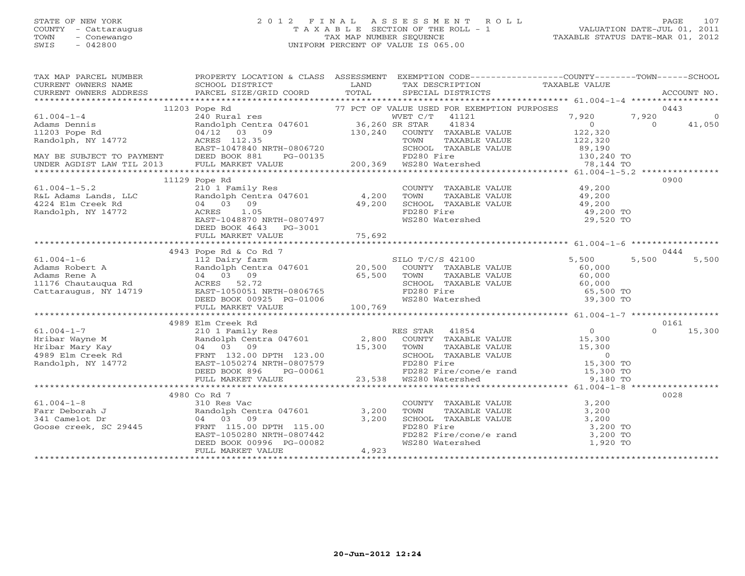## STATE OF NEW YORK 2 0 1 2 F I N A L A S S E S S M E N T R O L L PAGE 107 COUNTY - Cattaraugus T A X A B L E SECTION OF THE ROLL - 1 VALUATION DATE-JUL 01, 2011 TOWN - Conewango TAX MAP NUMBER SEQUENCE TAXABLE STATUS DATE-MAR 01, 2012 SWIS - 042800 UNIFORM PERCENT OF VALUE IS 065.00UNIFORM PERCENT OF VALUE IS 065.00

| TAX MAP PARCEL NUMBER                                                                                                                                                                                                                                                                                                                                               | PROPERTY LOCATION & CLASS ASSESSMENT EXEMPTION CODE----------------COUNTY-------TOWN------SCHOOL                                                                                                                                     |                                                                                                                     |                |
|---------------------------------------------------------------------------------------------------------------------------------------------------------------------------------------------------------------------------------------------------------------------------------------------------------------------------------------------------------------------|--------------------------------------------------------------------------------------------------------------------------------------------------------------------------------------------------------------------------------------|---------------------------------------------------------------------------------------------------------------------|----------------|
|                                                                                                                                                                                                                                                                                                                                                                     |                                                                                                                                                                                                                                      |                                                                                                                     |                |
| $\begin{tabular}{lllllllllllll} \textbf{M11203 PQB} & \textbf{R1004-1-4} & \textbf{11203 PQB} & \textbf{R201} & \textbf{1203 PQB} & \textbf{1204} & \textbf{1204} & \textbf{1203 PQB} & \textbf{1204} & \textbf{1204} & \textbf{1204} & \textbf{1205} & \textbf{1205} & \textbf{1206} & \textbf{1207} & \textbf{1208} & \textbf{1208} & \textbf{1209} & \textbf{12$ |                                                                                                                                                                                                                                      |                                                                                                                     |                |
|                                                                                                                                                                                                                                                                                                                                                                     |                                                                                                                                                                                                                                      |                                                                                                                     |                |
|                                                                                                                                                                                                                                                                                                                                                                     |                                                                                                                                                                                                                                      |                                                                                                                     |                |
|                                                                                                                                                                                                                                                                                                                                                                     |                                                                                                                                                                                                                                      |                                                                                                                     |                |
|                                                                                                                                                                                                                                                                                                                                                                     |                                                                                                                                                                                                                                      |                                                                                                                     |                |
|                                                                                                                                                                                                                                                                                                                                                                     |                                                                                                                                                                                                                                      |                                                                                                                     |                |
|                                                                                                                                                                                                                                                                                                                                                                     |                                                                                                                                                                                                                                      |                                                                                                                     |                |
|                                                                                                                                                                                                                                                                                                                                                                     |                                                                                                                                                                                                                                      |                                                                                                                     |                |
|                                                                                                                                                                                                                                                                                                                                                                     |                                                                                                                                                                                                                                      |                                                                                                                     |                |
| 61.004-1-5.2<br>R&L Adams Lands, LLC<br>R&L Adams Lands, LLC Randolph Centra 047601<br>4,200 TOWN 4224 Elm Creek Rd 04 03 09 49,200 SCHOO:<br>Randolph, NY 14772<br>R&L Adams Lands, LLC Randolph Centra 047601 49,200 SCHOO:<br>R&L A                                                                                                                              |                                                                                                                                                                                                                                      |                                                                                                                     | 0900           |
|                                                                                                                                                                                                                                                                                                                                                                     | 210 1 Family Res<br>Randolph Centra 047601 4,200 TOWN TAXABLE VALUE 49,200<br>04 03 09 49,200 SCHOOL TAXABLE VALUE 49,200<br>ACRES 1.05 FD280 Fire 49,200 FD280 Fire 49,200 FD280 Fire 49,200 FD280 Fire 49,200 FD280 Fire 49,200 TO |                                                                                                                     |                |
|                                                                                                                                                                                                                                                                                                                                                                     |                                                                                                                                                                                                                                      |                                                                                                                     |                |
|                                                                                                                                                                                                                                                                                                                                                                     |                                                                                                                                                                                                                                      |                                                                                                                     |                |
|                                                                                                                                                                                                                                                                                                                                                                     |                                                                                                                                                                                                                                      |                                                                                                                     |                |
|                                                                                                                                                                                                                                                                                                                                                                     |                                                                                                                                                                                                                                      |                                                                                                                     |                |
|                                                                                                                                                                                                                                                                                                                                                                     | DEED BOOK 4643 PG-3001                                                                                                                                                                                                               |                                                                                                                     |                |
|                                                                                                                                                                                                                                                                                                                                                                     |                                                                                                                                                                                                                                      |                                                                                                                     |                |
|                                                                                                                                                                                                                                                                                                                                                                     |                                                                                                                                                                                                                                      |                                                                                                                     |                |
|                                                                                                                                                                                                                                                                                                                                                                     |                                                                                                                                                                                                                                      |                                                                                                                     | 0444           |
|                                                                                                                                                                                                                                                                                                                                                                     |                                                                                                                                                                                                                                      |                                                                                                                     | 5,500<br>5,500 |
|                                                                                                                                                                                                                                                                                                                                                                     |                                                                                                                                                                                                                                      |                                                                                                                     |                |
|                                                                                                                                                                                                                                                                                                                                                                     |                                                                                                                                                                                                                                      |                                                                                                                     |                |
|                                                                                                                                                                                                                                                                                                                                                                     |                                                                                                                                                                                                                                      |                                                                                                                     |                |
|                                                                                                                                                                                                                                                                                                                                                                     |                                                                                                                                                                                                                                      |                                                                                                                     |                |
|                                                                                                                                                                                                                                                                                                                                                                     |                                                                                                                                                                                                                                      |                                                                                                                     |                |
|                                                                                                                                                                                                                                                                                                                                                                     |                                                                                                                                                                                                                                      |                                                                                                                     |                |
|                                                                                                                                                                                                                                                                                                                                                                     |                                                                                                                                                                                                                                      |                                                                                                                     |                |
|                                                                                                                                                                                                                                                                                                                                                                     |                                                                                                                                                                                                                                      |                                                                                                                     |                |
|                                                                                                                                                                                                                                                                                                                                                                     | 4989 Elm Creek Rd                                                                                                                                                                                                                    |                                                                                                                     | 0161           |
|                                                                                                                                                                                                                                                                                                                                                                     |                                                                                                                                                                                                                                      |                                                                                                                     |                |
|                                                                                                                                                                                                                                                                                                                                                                     |                                                                                                                                                                                                                                      |                                                                                                                     |                |
|                                                                                                                                                                                                                                                                                                                                                                     |                                                                                                                                                                                                                                      |                                                                                                                     |                |
|                                                                                                                                                                                                                                                                                                                                                                     |                                                                                                                                                                                                                                      |                                                                                                                     |                |
|                                                                                                                                                                                                                                                                                                                                                                     |                                                                                                                                                                                                                                      |                                                                                                                     |                |
|                                                                                                                                                                                                                                                                                                                                                                     |                                                                                                                                                                                                                                      |                                                                                                                     |                |
|                                                                                                                                                                                                                                                                                                                                                                     |                                                                                                                                                                                                                                      |                                                                                                                     |                |
|                                                                                                                                                                                                                                                                                                                                                                     |                                                                                                                                                                                                                                      |                                                                                                                     |                |
|                                                                                                                                                                                                                                                                                                                                                                     | 4980 Co Rd 7                                                                                                                                                                                                                         |                                                                                                                     | 0028           |
| 61.004-1-8<br>Farr Deborah J<br>341 Camelot Dr<br>Goose creek, SC 29445<br>4980 Co Rd 7<br>310 Res Vac<br>Randolph Centra 047601<br>04 03 09<br>FRNT 115.00 DPTH 115.00<br>53,200<br>53,200<br>83,200<br>83,200<br>EAST-1050280 NRTH-0807442<br>DEED BOOK                                                                                                           |                                                                                                                                                                                                                                      | COUNTY TAXABLE VALUE $3,200$<br>TOWN TAXABLE VALUE $3,200$<br>SCHOOL TAXABLE VALUE $3,200$<br>FD280 Fire $3,200$ TO |                |
|                                                                                                                                                                                                                                                                                                                                                                     |                                                                                                                                                                                                                                      |                                                                                                                     |                |
|                                                                                                                                                                                                                                                                                                                                                                     |                                                                                                                                                                                                                                      |                                                                                                                     |                |
|                                                                                                                                                                                                                                                                                                                                                                     |                                                                                                                                                                                                                                      |                                                                                                                     |                |
|                                                                                                                                                                                                                                                                                                                                                                     |                                                                                                                                                                                                                                      |                                                                                                                     |                |
|                                                                                                                                                                                                                                                                                                                                                                     |                                                                                                                                                                                                                                      | 5,200 TO<br>FD282 Fire/cone/e rand 3,200 TO<br>WS280 Watershed 1,920 TO                                             |                |
|                                                                                                                                                                                                                                                                                                                                                                     |                                                                                                                                                                                                                                      |                                                                                                                     |                |
|                                                                                                                                                                                                                                                                                                                                                                     |                                                                                                                                                                                                                                      |                                                                                                                     |                |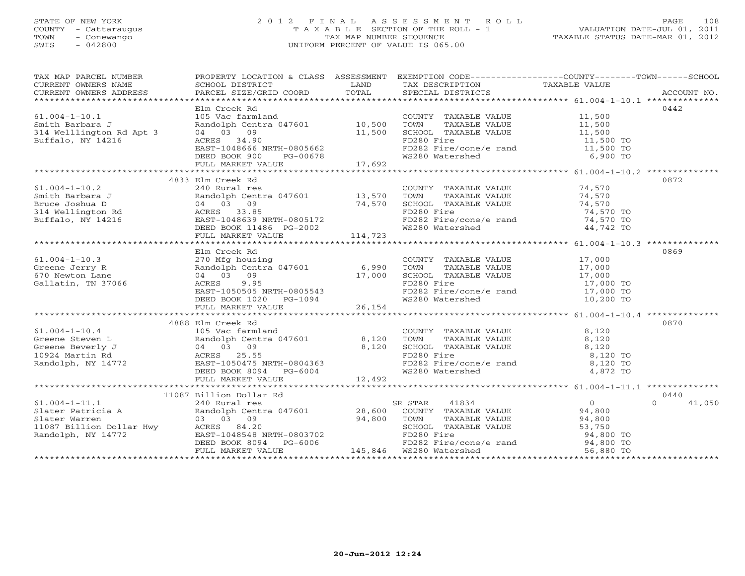# STATE OF NEW YORK 2 0 1 2 F I N A L A S S E S S M E N T R O L L PAGE 108 COUNTY - Cattaraugus T A X A B L E SECTION OF THE ROLL - 1 VALUATION DATE-JUL 01, 2011 TOWN - Conewango TAX MAP NUMBER SEQUENCE TAXABLE STATUS DATE-MAR 01, 2012 SWIS - 042800 UNIFORM PERCENT OF VALUE IS 065.00

| TAX MAP PARCEL NUMBER                                                                                                                                                                                                                                                     | PROPERTY LOCATION & CLASS ASSESSMENT EXEMPTION CODE---------------COUNTY-------TOWN------SCHOOL |        |                                                                                            |                        |                    |
|---------------------------------------------------------------------------------------------------------------------------------------------------------------------------------------------------------------------------------------------------------------------------|-------------------------------------------------------------------------------------------------|--------|--------------------------------------------------------------------------------------------|------------------------|--------------------|
| CURRENT OWNERS NAME                                                                                                                                                                                                                                                       | SCHOOL DISTRICT LAND                                                                            |        | TAX DESCRIPTION TAXABLE VALUE SPECIAL DISTRICTS                                            |                        |                    |
| CURRENT OWNERS ADDRESS                                                                                                                                                                                                                                                    |                                                                                                 |        |                                                                                            |                        |                    |
|                                                                                                                                                                                                                                                                           |                                                                                                 |        |                                                                                            |                        |                    |
|                                                                                                                                                                                                                                                                           | Elm Creek Rd<br>105 Vac farmland                                                                |        |                                                                                            |                        | 0442               |
| $61.004 - 1 - 10.1$                                                                                                                                                                                                                                                       |                                                                                                 |        | COUNTY TAXABLE VALUE 11,500                                                                |                        |                    |
| Smith Barbara J<br>314 Welllington Rd Apt 3 (04 03 09)<br>Buffalo, NY 14216 (2008) ACRES 34.90                                                                                                                                                                            | Randolph Centra 047601 10,500                                                                   |        | TAXABLE VALUE 11,500<br>TAXABLE VALUE 11,500<br>TOWN                                       |                        |                    |
|                                                                                                                                                                                                                                                                           |                                                                                                 | 11,500 | SCHOOL TAXABLE VALUE<br>FD280 Fire                                                         |                        |                    |
|                                                                                                                                                                                                                                                                           | ACRES 34.90                                                                                     |        | FD280 Fire                                                                                 | 11,500 TO<br>11,500 TO |                    |
|                                                                                                                                                                                                                                                                           | EAST-1048666 NRTH-0805662                                                                       |        | FD282 Fire/cone/e rand<br>WS280 Watershed 6,900 TO                                         |                        |                    |
|                                                                                                                                                                                                                                                                           | DEED BOOK 900 PG-00678<br>FULL MARKET VALUE 17,692                                              |        |                                                                                            |                        |                    |
|                                                                                                                                                                                                                                                                           |                                                                                                 |        |                                                                                            |                        |                    |
|                                                                                                                                                                                                                                                                           |                                                                                                 |        |                                                                                            |                        |                    |
|                                                                                                                                                                                                                                                                           | 4833 Elm Creek Rd                                                                               |        |                                                                                            |                        | 0872               |
|                                                                                                                                                                                                                                                                           |                                                                                                 |        | COUNTY TAXABLE VALUE 74,570                                                                |                        |                    |
|                                                                                                                                                                                                                                                                           | - 13,570 TOWN<br>Randolph Centra 047601 13,570 TOWN<br>04 03 09 74,570 SCHOOL                   |        | TOWN      TAXABLE VALUE<br>SCHOOL   TAXABLE VALUE                                          | $74,570$<br>$74,570$   |                    |
|                                                                                                                                                                                                                                                                           |                                                                                                 |        |                                                                                            |                        |                    |
|                                                                                                                                                                                                                                                                           |                                                                                                 |        | FD280 Fire                                                                                 | 74,570 TO              |                    |
|                                                                                                                                                                                                                                                                           |                                                                                                 |        | FD282 Fire/cone/e rand                                                                     | $74,570$ TO            |                    |
|                                                                                                                                                                                                                                                                           |                                                                                                 |        | WS280 Watershed                                                                            | 44,742 TO              |                    |
| 61.004-1-10.2<br>Smith Barbara J<br>Bruce Joshua D<br>314 Wellington Rd<br>Buffalo, NY 14216<br>2008 2008 2008 2011486 201148723<br>2009 214,570<br>2008 2008 2011486 2011486 2022<br>2008 2011486 2011486 2022<br>2008 2011486 2022<br>20114,723                         |                                                                                                 |        |                                                                                            |                        |                    |
|                                                                                                                                                                                                                                                                           |                                                                                                 |        |                                                                                            |                        |                    |
|                                                                                                                                                                                                                                                                           | Elm Creek Rd                                                                                    |        |                                                                                            |                        | 0869               |
|                                                                                                                                                                                                                                                                           |                                                                                                 |        |                                                                                            |                        |                    |
|                                                                                                                                                                                                                                                                           |                                                                                                 |        |                                                                                            |                        |                    |
|                                                                                                                                                                                                                                                                           |                                                                                                 |        |                                                                                            |                        |                    |
|                                                                                                                                                                                                                                                                           |                                                                                                 |        | FD280 Fire<br>FD282 Fire/cone/e rand 17,000 TO                                             |                        |                    |
|                                                                                                                                                                                                                                                                           |                                                                                                 |        |                                                                                            |                        |                    |
|                                                                                                                                                                                                                                                                           | ACRES 9.95<br>EAST-1050505 NRTH-0805543<br>DEED BOOK 1020 PG-1094<br>FULL MARKET VALUE 26,154   |        | WS280 Watershed                                                                            | 10,200 TO              |                    |
|                                                                                                                                                                                                                                                                           |                                                                                                 |        |                                                                                            |                        |                    |
|                                                                                                                                                                                                                                                                           |                                                                                                 |        |                                                                                            |                        |                    |
|                                                                                                                                                                                                                                                                           | 4888 Elm Creek Rd                                                                               |        |                                                                                            |                        | 0870               |
|                                                                                                                                                                                                                                                                           |                                                                                                 |        |                                                                                            |                        |                    |
|                                                                                                                                                                                                                                                                           |                                                                                                 |        |                                                                                            |                        |                    |
|                                                                                                                                                                                                                                                                           |                                                                                                 |        | COUNTY TAXABLE VALUE $8,120$<br>TOWN TAXABLE VALUE $8,120$<br>SCHOOL TAXABLE VALUE $8,120$ |                        |                    |
|                                                                                                                                                                                                                                                                           |                                                                                                 |        | FD280 Fire<br>FD282 Fire/cone/e rand 8,120 TO                                              |                        |                    |
|                                                                                                                                                                                                                                                                           |                                                                                                 |        |                                                                                            |                        |                    |
| 61.004-1-10.4<br>Greene Steven L<br>Greene Beverly J<br>10924 Martin Rd<br>Randolph, NY 14772<br>Randolph, NY 14772<br>FD280<br>FD280<br>FD280<br>FD280<br>FD280<br>FD280<br>FD280<br>FD280<br>FD280<br>FD280<br>FD280<br>FD280<br>FD280<br>FD280<br>FD280<br>FD280<br>FD |                                                                                                 |        | WS280 Watershed                                                                            | 4,872 TO               |                    |
|                                                                                                                                                                                                                                                                           | FULL MARKET VALUE                                                                               | 12,492 |                                                                                            |                        |                    |
|                                                                                                                                                                                                                                                                           |                                                                                                 |        |                                                                                            |                        |                    |
|                                                                                                                                                                                                                                                                           |                                                                                                 |        |                                                                                            |                        | 0440               |
|                                                                                                                                                                                                                                                                           |                                                                                                 |        |                                                                                            |                        | $\Omega$<br>41,050 |
|                                                                                                                                                                                                                                                                           |                                                                                                 |        |                                                                                            |                        |                    |
|                                                                                                                                                                                                                                                                           |                                                                                                 |        |                                                                                            |                        |                    |
|                                                                                                                                                                                                                                                                           |                                                                                                 |        |                                                                                            |                        |                    |
|                                                                                                                                                                                                                                                                           |                                                                                                 |        |                                                                                            |                        |                    |
|                                                                                                                                                                                                                                                                           |                                                                                                 |        |                                                                                            |                        |                    |
|                                                                                                                                                                                                                                                                           |                                                                                                 |        |                                                                                            |                        |                    |
|                                                                                                                                                                                                                                                                           |                                                                                                 |        |                                                                                            |                        |                    |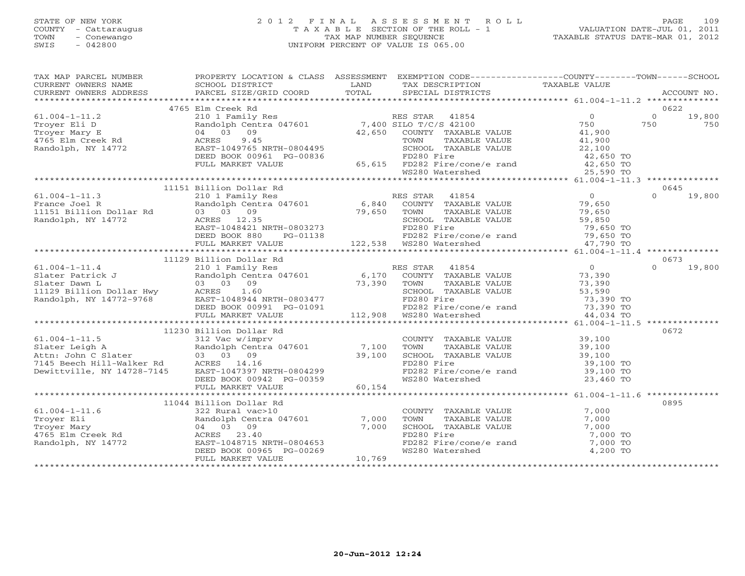#### STATE OF NEW YORK 2 0 1 2 F I N A L A S S E S S M E N T R O L L PAGE 109 COUNTY - Cattaraugus T A X A B L E SECTION OF THE ROLL - 1 VALUATION DATE-JUL 01, 2011 TOWN - Conewango TAX MAP NUMBER SEQUENCE TAXABLE STATUS DATE-MAR 01, 2012 SWIS - 042800 UNIFORM PERCENT OF VALUE IS 065.00UNIFORM PERCENT OF VALUE IS 065.00

| TAX MAP PARCEL NUMBER FROPERTY LOCATION & CLASS ASSESSMENT EXEMPTION CODE--------------COUNTY-------TOWN------SCHOOL                                                                                                                                                                                                                                   |                         |  |      |
|--------------------------------------------------------------------------------------------------------------------------------------------------------------------------------------------------------------------------------------------------------------------------------------------------------------------------------------------------------|-------------------------|--|------|
|                                                                                                                                                                                                                                                                                                                                                        |                         |  |      |
|                                                                                                                                                                                                                                                                                                                                                        |                         |  |      |
|                                                                                                                                                                                                                                                                                                                                                        |                         |  |      |
| $\begin{tabular}{lcccccc} \textbf{755} & 1004-1-11.2 & 4765 EIM Creek Rd & 0622 \\ 61.004-1-11.2 & 210 1 Family Res & 0 & 0 & 19,800 \\ 750 & 750 & 750 & 750 & 750 & 750 & 750 \\ 750 & 64001p1 Centra & 047601 & 7,400 64001 & 7,400 64001 & 7,400 \\ 750 & 0 & 0 & 0 & 19,800 \\ 750 & 0 & 0 & 0 & 19,8$                                            |                         |  |      |
|                                                                                                                                                                                                                                                                                                                                                        |                         |  |      |
|                                                                                                                                                                                                                                                                                                                                                        |                         |  |      |
|                                                                                                                                                                                                                                                                                                                                                        |                         |  |      |
|                                                                                                                                                                                                                                                                                                                                                        |                         |  |      |
|                                                                                                                                                                                                                                                                                                                                                        |                         |  |      |
|                                                                                                                                                                                                                                                                                                                                                        |                         |  |      |
|                                                                                                                                                                                                                                                                                                                                                        |                         |  |      |
|                                                                                                                                                                                                                                                                                                                                                        |                         |  |      |
|                                                                                                                                                                                                                                                                                                                                                        |                         |  |      |
|                                                                                                                                                                                                                                                                                                                                                        | 11151 Billion Dollar Rd |  | 0645 |
|                                                                                                                                                                                                                                                                                                                                                        |                         |  |      |
|                                                                                                                                                                                                                                                                                                                                                        |                         |  |      |
|                                                                                                                                                                                                                                                                                                                                                        |                         |  |      |
|                                                                                                                                                                                                                                                                                                                                                        |                         |  |      |
|                                                                                                                                                                                                                                                                                                                                                        |                         |  |      |
|                                                                                                                                                                                                                                                                                                                                                        |                         |  |      |
|                                                                                                                                                                                                                                                                                                                                                        |                         |  |      |
|                                                                                                                                                                                                                                                                                                                                                        |                         |  |      |
|                                                                                                                                                                                                                                                                                                                                                        |                         |  |      |
|                                                                                                                                                                                                                                                                                                                                                        |                         |  |      |
|                                                                                                                                                                                                                                                                                                                                                        |                         |  |      |
|                                                                                                                                                                                                                                                                                                                                                        |                         |  |      |
|                                                                                                                                                                                                                                                                                                                                                        |                         |  |      |
|                                                                                                                                                                                                                                                                                                                                                        |                         |  |      |
|                                                                                                                                                                                                                                                                                                                                                        |                         |  |      |
|                                                                                                                                                                                                                                                                                                                                                        |                         |  |      |
| $\begin{tabular}{l cccc} \textbf{73,390} & \textbf{73,390} & \textbf{73,390} & \textbf{73,390} & \textbf{73,390} & \textbf{73,390} & \textbf{73,390} & \textbf{73,390} & \textbf{73,390} & \textbf{73,390} & \textbf{73,390} & \textbf{73,390} & \textbf{73,390} & \textbf{73,390} & \textbf{73,390} & \textbf{73,390} & \textbf{73,390} & \textbf{73$ |                         |  |      |
|                                                                                                                                                                                                                                                                                                                                                        |                         |  | 0672 |
|                                                                                                                                                                                                                                                                                                                                                        |                         |  |      |
|                                                                                                                                                                                                                                                                                                                                                        |                         |  |      |
|                                                                                                                                                                                                                                                                                                                                                        |                         |  |      |
|                                                                                                                                                                                                                                                                                                                                                        |                         |  |      |
|                                                                                                                                                                                                                                                                                                                                                        |                         |  |      |
|                                                                                                                                                                                                                                                                                                                                                        |                         |  |      |
|                                                                                                                                                                                                                                                                                                                                                        |                         |  |      |
|                                                                                                                                                                                                                                                                                                                                                        |                         |  |      |
|                                                                                                                                                                                                                                                                                                                                                        |                         |  | 0895 |
| 11044 Billion Dollar Rd<br>11044 Billion Dollar Rd<br>11044 Billion Dollar Rd<br>22 Rural vac>10<br>Troyer Eli Randolph Centra 047601<br>Troyer Mary 04 03 09<br>4765 Elm Creek Rd<br>Randolph, NY 14772<br>Randolph, NY 14772<br>ERST-1048715 N                                                                                                       |                         |  |      |
|                                                                                                                                                                                                                                                                                                                                                        |                         |  |      |
|                                                                                                                                                                                                                                                                                                                                                        |                         |  |      |
|                                                                                                                                                                                                                                                                                                                                                        |                         |  |      |
|                                                                                                                                                                                                                                                                                                                                                        |                         |  |      |
|                                                                                                                                                                                                                                                                                                                                                        |                         |  |      |
|                                                                                                                                                                                                                                                                                                                                                        |                         |  |      |
|                                                                                                                                                                                                                                                                                                                                                        |                         |  |      |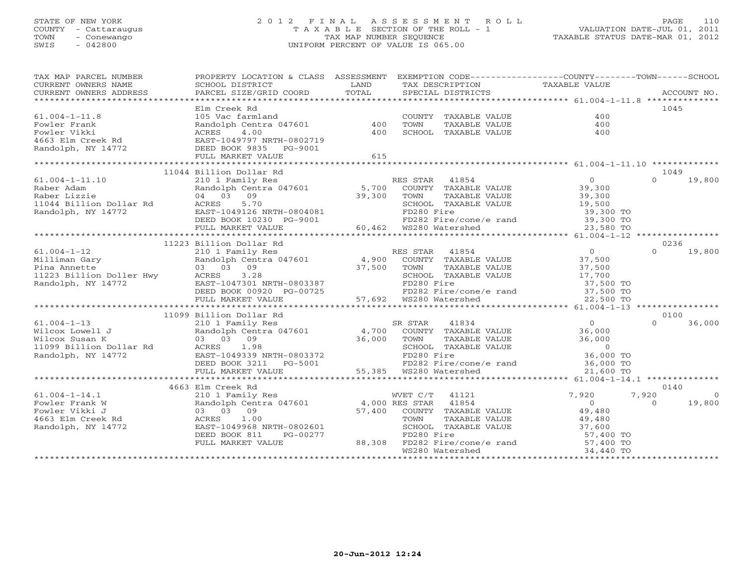#### STATE OF NEW YORK 2 0 1 2 F I N A L A S S E S S M E N T R O L L PAGE 110COUNTY - Cattaraugus COUNTY - Cattaraugus T A X A B L E SECTION OF THE ROLL - 1<br>
TOWN - Conewango COUNTY - Conewango TAX MAP NUMBER SEQUENCE<br>
SWIS - 042800 TOWN - Conewango TAX MAP NUMBER SEQUENCE TAXABLE STATUS DATE-MAR 01, 2012<br>TAXABLE STATUS DATE-MAR 01, 2012 SWIS - 042800 UNIFORM PERCENT OF VALUE IS 065.00

| TAX MAP PARCEL NUMBER<br>CURRENT OWNERS NAME<br>CURRENT OWNERS ADDRESS DESCRIPTION FOR THE TELL TREE TO THE CONNEX ACCOUNT NO.<br>CURRENT OWNERS ADDRESS PARCEL SIZE/GRID COORD TOTAL SPECIAL DISTRICTS ACCOUNT NO.<br>CURRENT OWNERS ADDRESS | PROPERTY LOCATION & CLASS ASSESSMENT<br>SCHOOL DISTRICT                                                                                                                          | LAND        |                        | TAX DESCRIPTION                           | EXEMPTION CODE-----------------COUNTY--------TOWN------SCHOOL<br>TAXABLE VALUE                                  |                  |                |
|-----------------------------------------------------------------------------------------------------------------------------------------------------------------------------------------------------------------------------------------------|----------------------------------------------------------------------------------------------------------------------------------------------------------------------------------|-------------|------------------------|-------------------------------------------|-----------------------------------------------------------------------------------------------------------------|------------------|----------------|
|                                                                                                                                                                                                                                               |                                                                                                                                                                                  |             |                        |                                           |                                                                                                                 |                  |                |
|                                                                                                                                                                                                                                               | Elm Creek Rd                                                                                                                                                                     |             |                        |                                           |                                                                                                                 | 1045             |                |
| $61.004 - 1 - 11.8$                                                                                                                                                                                                                           | 105 Vac farmland<br>Randolph Centra 047601 400                                                                                                                                   |             |                        | COUNTY TAXABLE VALUE                      | 400                                                                                                             |                  |                |
|                                                                                                                                                                                                                                               |                                                                                                                                                                                  |             | TOWN                   | TAXABLE VALUE                             | 400                                                                                                             |                  |                |
|                                                                                                                                                                                                                                               |                                                                                                                                                                                  | 400         |                        | SCHOOL TAXABLE VALUE                      | 400                                                                                                             |                  |                |
|                                                                                                                                                                                                                                               |                                                                                                                                                                                  |             |                        |                                           |                                                                                                                 |                  |                |
| Fowler Frank<br>Fowler Vikki<br>Fowler Vikki<br>4663 Elm Creek Rd<br>2663 Elm Creek Rd<br>2663 Elm Creek Rd<br>2682 EAST-1049797 NRTH-0802719<br>26825 PG-9001<br>2772<br>2782 DEED BOOK 9835 PG-9001                                         |                                                                                                                                                                                  |             |                        |                                           |                                                                                                                 |                  |                |
|                                                                                                                                                                                                                                               | FULL MARKET VALUE                                                                                                                                                                | 615         |                        |                                           |                                                                                                                 |                  |                |
|                                                                                                                                                                                                                                               |                                                                                                                                                                                  |             |                        |                                           |                                                                                                                 |                  |                |
|                                                                                                                                                                                                                                               | 11044 Billion Dollar Rd                                                                                                                                                          |             |                        |                                           |                                                                                                                 | 1049<br>$\Omega$ | 19,800         |
| $61.004 - 1 - 11.10$                                                                                                                                                                                                                          |                                                                                                                                                                                  |             |                        |                                           |                                                                                                                 |                  |                |
| Raber Adam                                                                                                                                                                                                                                    |                                                                                                                                                                                  |             |                        |                                           |                                                                                                                 |                  |                |
| Raber Lizzie                                                                                                                                                                                                                                  | 04 03 09                                                                                                                                                                         | 39,300 TOWN |                        | TAXABLE VALUE                             | 39,300                                                                                                          |                  |                |
| Raper Lizzie<br>11044 Billion Dollar Rd<br>23.95.1                                                                                                                                                                                            | 5.70                                                                                                                                                                             |             |                        | SCHOOL TAXABLE VALUE                      | 19,500<br>39,300 TO                                                                                             |                  |                |
| Randolph, NY 14772                                                                                                                                                                                                                            | EAST-1049126 NRTH-0804081                                                                                                                                                        |             | FD280 Fire             |                                           |                                                                                                                 |                  |                |
|                                                                                                                                                                                                                                               | DEED BOOK 10230 PG-9001                                                                                                                                                          |             |                        |                                           | FD282 Fire/cone/e rand 39,300 TO                                                                                |                  |                |
|                                                                                                                                                                                                                                               | FULL MARKET VALUE                                                                                                                                                                |             | 60,462 WS280 Watershed |                                           | 23,580 TO                                                                                                       |                  |                |
|                                                                                                                                                                                                                                               |                                                                                                                                                                                  |             |                        |                                           |                                                                                                                 |                  |                |
|                                                                                                                                                                                                                                               | 11223 Billion Dollar Rd                                                                                                                                                          |             |                        |                                           |                                                                                                                 | 0236<br>$\Omega$ |                |
| $61.004 - 1 - 12$                                                                                                                                                                                                                             | 210 1 Family Res<br>Randolph Centra 047601 1975 10 1 Family Res<br>03 03 09 17,500 1000 137,800 2000 1200 1200 1200 137,500 1200 137,500 1200 137,500 1200 1200 1200 1380 1380 1 |             |                        |                                           | 0<br>37,500                                                                                                     |                  | 19,800         |
|                                                                                                                                                                                                                                               |                                                                                                                                                                                  |             |                        |                                           |                                                                                                                 |                  |                |
|                                                                                                                                                                                                                                               |                                                                                                                                                                                  |             |                        |                                           |                                                                                                                 |                  |                |
|                                                                                                                                                                                                                                               | 3.28<br>ACRES                                                                                                                                                                    |             |                        | SCHOOL TAXABLE VALUE<br><b>ALE VALUE</b>  | $37,500$<br>$17,700$<br>$37,500$ TO<br>$37,500$ TO                                                              |                  |                |
|                                                                                                                                                                                                                                               |                                                                                                                                                                                  |             | FD280 Fire             |                                           |                                                                                                                 |                  |                |
| And Annette<br>11223 Billion Doller Hwy<br>Randolph, NY 14772<br>E                                                                                                                                                                            | EAST-1047301 NRTH-0803387<br>DEED BOOK 00920 PG-00725<br>FULL MARKET VALUE 57,692                                                                                                |             |                        | FD282 Fire/cone/e rand<br>WS280 Watershed |                                                                                                                 |                  |                |
|                                                                                                                                                                                                                                               |                                                                                                                                                                                  |             | 57,692 WS280 Watershed |                                           | 22,500 TO                                                                                                       |                  |                |
|                                                                                                                                                                                                                                               |                                                                                                                                                                                  |             |                        |                                           |                                                                                                                 | 0100             |                |
| $61.004 - 1 - 13$                                                                                                                                                                                                                             | 11099 Billion Dollar Rd                                                                                                                                                          |             |                        |                                           | $\overline{0}$                                                                                                  | $\cap$           | 36,000         |
| 61.004-1-13<br>Wilcox Lowell J<br>Wilcox Susan K<br>1099 Billion Dollar Rd<br>2003 03 09<br>1099 Billion Dollar Rd<br>2008 2008 2019                                                                                                          |                                                                                                                                                                                  |             |                        |                                           | 36,000                                                                                                          |                  |                |
|                                                                                                                                                                                                                                               |                                                                                                                                                                                  |             |                        |                                           |                                                                                                                 |                  |                |
|                                                                                                                                                                                                                                               |                                                                                                                                                                                  |             |                        |                                           |                                                                                                                 |                  |                |
| Randolph, NY 14772                                                                                                                                                                                                                            | EAST-1049339 NRTH-0803372                                                                                                                                                        |             |                        |                                           |                                                                                                                 |                  |                |
|                                                                                                                                                                                                                                               | DEED BOOK 3211 $PG-5001$                                                                                                                                                         |             |                        |                                           | TOWN TAXABLE VALUE 36,000<br>SCHOOL TAXABLE VALUE 0<br>FD280 Fire 36,000 TO<br>FD282 Fire/cone/e rand 36,000 TO |                  |                |
|                                                                                                                                                                                                                                               |                                                                                                                                                                                  |             | 55,385 WS280 Watershed |                                           | 21,600 TO                                                                                                       |                  |                |
|                                                                                                                                                                                                                                               | FULL MARKET VALUE                                                                                                                                                                |             |                        |                                           |                                                                                                                 |                  |                |
|                                                                                                                                                                                                                                               | 4663 Elm Creek Rd                                                                                                                                                                |             |                        |                                           |                                                                                                                 | 0140             |                |
| $61.004 - 1 - 14.1$                                                                                                                                                                                                                           | 210 1 Family Res                                                                                                                                                                 |             | WVET C/T               | 41121                                     | 7,920                                                                                                           | 7,920            | $\overline{0}$ |
| Fowler Frank W                                                                                                                                                                                                                                |                                                                                                                                                                                  |             |                        | 41854                                     | $\overline{0}$                                                                                                  | $\Omega$         | 19,800         |
| Fowler Vikki J                                                                                                                                                                                                                                | 210 - 1 minutiple (2017601 - 4,000 RES STAR<br>03 03 09 - 57,400 COUNTY                                                                                                          | 57,400      |                        | COUNTY TAXABLE VALUE                      | 49,480                                                                                                          |                  |                |
| 4663 Elm Creek Rd                                                                                                                                                                                                                             | 1.00<br>ACRES                                                                                                                                                                    |             | TOWN                   | TAXABLE VALUE                             |                                                                                                                 |                  |                |
| Randolph, NY 14772                                                                                                                                                                                                                            | EAST-1049968 NRTH-0802601                                                                                                                                                        |             |                        | SCHOOL TAXABLE VALUE                      | 49,480<br>37,600                                                                                                |                  |                |
|                                                                                                                                                                                                                                               | DEED BOOK 811<br>PG-00277                                                                                                                                                        |             | FD280 Fire             |                                           | 57,400 TO                                                                                                       |                  |                |
|                                                                                                                                                                                                                                               | FULL MARKET VALUE                                                                                                                                                                |             |                        | 88,308 FD282 Fire/cone/e rand             | 57,400 TO                                                                                                       |                  |                |
|                                                                                                                                                                                                                                               |                                                                                                                                                                                  |             |                        | WS280 Watershed                           | 34,440 TO                                                                                                       |                  |                |
|                                                                                                                                                                                                                                               |                                                                                                                                                                                  |             |                        | *************************                 | ******************                                                                                              |                  |                |
|                                                                                                                                                                                                                                               |                                                                                                                                                                                  |             |                        |                                           |                                                                                                                 |                  |                |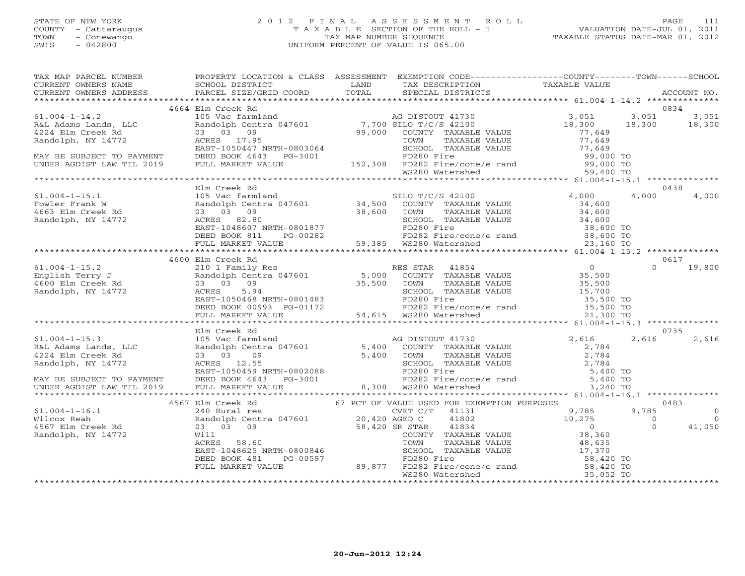## STATE OF NEW YORK 2 0 1 2 F I N A L A S S E S S M E N T R O L L PAGE 111COUNTY - Cattaraugus T A X A B L E SECTION OF THE ROLL - 1<br>
TOWN - Conewango TAX MAP NUMBER SEQUENCE<br>
SWIS - 042800 SWIS - 042800 UNIFORM PERCENT OF VALUE IS 065.00

VALUATION DATE-JUL 01, 2011 TAXABLE STATUS DATE-MAR 01, 2012

| TAX MAP PARCEL NUMBER                                                                                                                                                                                                                                                                                                                              | PROPERTY LOCATION & CLASS ASSESSMENT EXEMPTION CODE-----------------COUNTY-------TOWN------SCHOOL |  |  |       |
|----------------------------------------------------------------------------------------------------------------------------------------------------------------------------------------------------------------------------------------------------------------------------------------------------------------------------------------------------|---------------------------------------------------------------------------------------------------|--|--|-------|
|                                                                                                                                                                                                                                                                                                                                                    |                                                                                                   |  |  |       |
|                                                                                                                                                                                                                                                                                                                                                    | 4664 Elm Creek Rd                                                                                 |  |  |       |
|                                                                                                                                                                                                                                                                                                                                                    |                                                                                                   |  |  |       |
|                                                                                                                                                                                                                                                                                                                                                    |                                                                                                   |  |  |       |
|                                                                                                                                                                                                                                                                                                                                                    |                                                                                                   |  |  |       |
|                                                                                                                                                                                                                                                                                                                                                    |                                                                                                   |  |  |       |
|                                                                                                                                                                                                                                                                                                                                                    |                                                                                                   |  |  |       |
|                                                                                                                                                                                                                                                                                                                                                    |                                                                                                   |  |  |       |
|                                                                                                                                                                                                                                                                                                                                                    |                                                                                                   |  |  |       |
|                                                                                                                                                                                                                                                                                                                                                    |                                                                                                   |  |  |       |
|                                                                                                                                                                                                                                                                                                                                                    |                                                                                                   |  |  |       |
|                                                                                                                                                                                                                                                                                                                                                    | Elm Creek Rd                                                                                      |  |  | 0438  |
|                                                                                                                                                                                                                                                                                                                                                    |                                                                                                   |  |  |       |
|                                                                                                                                                                                                                                                                                                                                                    |                                                                                                   |  |  |       |
|                                                                                                                                                                                                                                                                                                                                                    |                                                                                                   |  |  |       |
|                                                                                                                                                                                                                                                                                                                                                    |                                                                                                   |  |  |       |
|                                                                                                                                                                                                                                                                                                                                                    |                                                                                                   |  |  |       |
|                                                                                                                                                                                                                                                                                                                                                    |                                                                                                   |  |  |       |
|                                                                                                                                                                                                                                                                                                                                                    |                                                                                                   |  |  |       |
|                                                                                                                                                                                                                                                                                                                                                    |                                                                                                   |  |  |       |
|                                                                                                                                                                                                                                                                                                                                                    |                                                                                                   |  |  |       |
|                                                                                                                                                                                                                                                                                                                                                    |                                                                                                   |  |  |       |
|                                                                                                                                                                                                                                                                                                                                                    |                                                                                                   |  |  |       |
|                                                                                                                                                                                                                                                                                                                                                    |                                                                                                   |  |  |       |
|                                                                                                                                                                                                                                                                                                                                                    |                                                                                                   |  |  |       |
|                                                                                                                                                                                                                                                                                                                                                    |                                                                                                   |  |  |       |
|                                                                                                                                                                                                                                                                                                                                                    |                                                                                                   |  |  |       |
|                                                                                                                                                                                                                                                                                                                                                    |                                                                                                   |  |  |       |
|                                                                                                                                                                                                                                                                                                                                                    |                                                                                                   |  |  | 0735  |
|                                                                                                                                                                                                                                                                                                                                                    |                                                                                                   |  |  | 2,616 |
|                                                                                                                                                                                                                                                                                                                                                    |                                                                                                   |  |  |       |
|                                                                                                                                                                                                                                                                                                                                                    |                                                                                                   |  |  |       |
|                                                                                                                                                                                                                                                                                                                                                    |                                                                                                   |  |  |       |
|                                                                                                                                                                                                                                                                                                                                                    |                                                                                                   |  |  |       |
|                                                                                                                                                                                                                                                                                                                                                    |                                                                                                   |  |  |       |
|                                                                                                                                                                                                                                                                                                                                                    |                                                                                                   |  |  |       |
| $\begin{tabular}{lllllllllll} \text{61.004--1-15.3} & \text{Elm \, \, 72.4} & \text{Elm \, \, 73.4} & \text{Elm \, \, 74.5} & \text{Elm \, \, 75.4} & \text{Elm \, \, 76.5} & \text{Elm \, \, 77.5} & \text{Elm \, \, 78.5} & \text{Elm \, \, 78.5} & \text{Elm \, \, 78.5} & \text{Elm \, \, 78.5} & \text{Elm \, \, 78.5} & \text{Elm \, \, 78.$ |                                                                                                   |  |  |       |
|                                                                                                                                                                                                                                                                                                                                                    |                                                                                                   |  |  |       |
|                                                                                                                                                                                                                                                                                                                                                    |                                                                                                   |  |  |       |
|                                                                                                                                                                                                                                                                                                                                                    |                                                                                                   |  |  |       |
|                                                                                                                                                                                                                                                                                                                                                    |                                                                                                   |  |  |       |
|                                                                                                                                                                                                                                                                                                                                                    |                                                                                                   |  |  |       |
|                                                                                                                                                                                                                                                                                                                                                    |                                                                                                   |  |  |       |
|                                                                                                                                                                                                                                                                                                                                                    |                                                                                                   |  |  |       |
|                                                                                                                                                                                                                                                                                                                                                    |                                                                                                   |  |  |       |
|                                                                                                                                                                                                                                                                                                                                                    |                                                                                                   |  |  |       |
|                                                                                                                                                                                                                                                                                                                                                    |                                                                                                   |  |  |       |
|                                                                                                                                                                                                                                                                                                                                                    |                                                                                                   |  |  |       |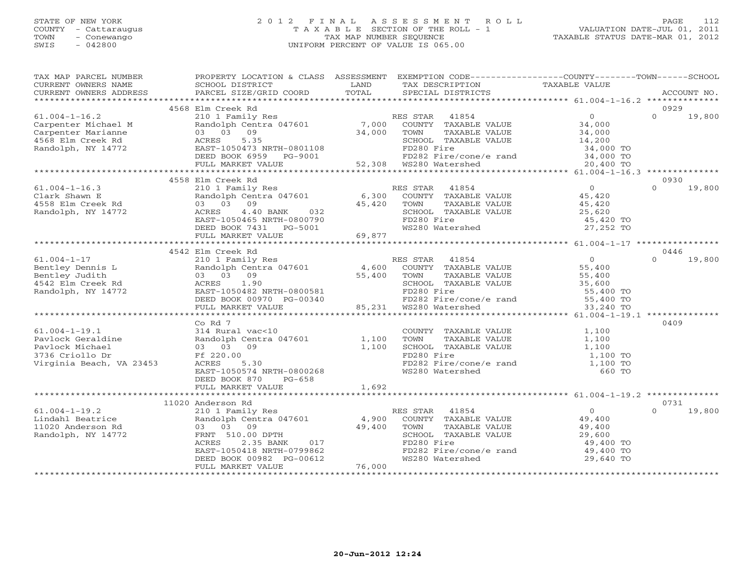#### STATE OF NEW YORK 2 0 1 2 F I N A L A S S E S S M E N T R O L L PAGE 112 COUNTY - Cattaraugus T A X A B L E SECTION OF THE ROLL - 1 VALUATION DATE-JUL 01, 2011 TOWN - Conewango TAX MAP NUMBER SEQUENCE TAXABLE STATUS DATE-MAR 01, 2012 SWIS - 042800 UNIFORM PERCENT OF VALUE IS 065.00UNIFORM PERCENT OF VALUE IS 065.00

| TAX MAP PARCEL NUMBER<br>CURRENT OWNERS NAME                                    | PROPERTY LOCATION & CLASS ASSESSMENT EXEMPTION CODE---------------COUNTY-------TOWN------SCHOOL<br>SCHOOL DISTRICT | LAND        | TAX DESCRIPTION                           | TAXABLE VALUE          |          |             |
|---------------------------------------------------------------------------------|--------------------------------------------------------------------------------------------------------------------|-------------|-------------------------------------------|------------------------|----------|-------------|
| CURRENT OWNERS ADDRESS                                                          | PARCEL SIZE/GRID COORD                                                                                             | TOTAL       | SPECIAL DISTRICTS                         |                        |          | ACCOUNT NO. |
|                                                                                 | 4568 Elm Creek Rd                                                                                                  |             |                                           |                        | 0929     |             |
| $61.004 - 1 - 16.2$                                                             | 210 1 Family Res                                                                                                   |             | 41854<br>RES STAR                         | $\overline{0}$         | $\Omega$ | 19,800      |
| Carpenter Michael M                                                             | Randolph Centra 047601 7,000 COUNTY TAXABLE VALUE                                                                  |             |                                           | 34,000                 |          |             |
| Carpenter Marianne                                                              | 03 03 09                                                                                                           | 34,000      | TOWN<br>TAXABLE VALUE                     | 34,000                 |          |             |
| 4568 Elm Creek Rd                                                               | 5.35<br>ACRES                                                                                                      |             | SCHOOL TAXABLE VALUE                      | 14,200                 |          |             |
| Randolph, NY 14772                                                              |                                                                                                                    |             | FD280 Fire                                |                        |          |             |
|                                                                                 | EAST-1050473 NRTH-0801108<br>DEED BOOK 6959 PG-9001                                                                |             | FD282 Fire/cone/e rand                    | 34,000 TO<br>34,000 TO |          |             |
|                                                                                 | FULL MARKET VALUE                                                                                                  |             | 52,308 WS280 Watershed                    | 20,400 TO              |          |             |
|                                                                                 |                                                                                                                    |             |                                           |                        |          |             |
|                                                                                 | 4558 Elm Creek Rd                                                                                                  |             |                                           |                        | 0930     |             |
| $61.004 - 1 - 16.3$                                                             | 210 1 Family Res                                                                                                   |             | RES STAR 41854                            | $\overline{0}$         | $\Omega$ | 19,800      |
| Clark Shawn E                                                                   | Randolph Centra 047601                                                                                             |             | $6,300$ COUNTY TAXABLE VALUE              |                        |          |             |
| 4558 Elm Creek Rd                                                               | 03 03 09                                                                                                           | 45,420      | TOWN<br>TAXABLE VALUE                     | 45,420<br>45,420       |          |             |
| Randolph, NY 14772                                                              | ACRES 4.40 BANK 032<br>EAST-1050465 NRTH-0800790                                                                   |             | SCHOOL TAXABLE VALUE                      | 25,620                 |          |             |
|                                                                                 |                                                                                                                    |             | FD280 Fire                                | 45,420 TO              |          |             |
|                                                                                 | DEED BOOK 7431 PG-5001                                                                                             |             | WS280 Watershed                           | 27,252 TO              |          |             |
|                                                                                 | FULL MARKET VALUE                                                                                                  | 69,877      |                                           |                        |          |             |
|                                                                                 |                                                                                                                    |             |                                           |                        |          |             |
|                                                                                 | 4542 Elm Creek Rd                                                                                                  |             |                                           |                        | 0446     |             |
| 61.004-1-17<br>Bentley Dennis L<br>Bentley Judith<br>4542 Elm Creek Rd<br>11772 | 210 1 Family Res                                                                                                   |             | RES STAR 41854                            | $\overline{O}$         | $\Omega$ | 19,800      |
|                                                                                 | Randolph Centra 047601 4,600 COUNTY TAXABLE VALUE                                                                  |             |                                           | 55,400                 |          |             |
|                                                                                 | 03 03 09                                                                                                           | 55,400 TOWN | TAXABLE VALUE                             | 55,400                 |          |             |
|                                                                                 | 1.90<br>ACRES                                                                                                      |             | SCHOOL TAXABLE VALUE                      | 35,600                 |          |             |
|                                                                                 | EAST-1050482 NRTH-0800581                                                                                          |             | FD280 Fire                                | 55,400 TO              |          |             |
|                                                                                 | DEED BOOK 00970 PG-00340                                                                                           | 85.231      | $FD282$ Fire/cone/e rand 55,400 TO        |                        |          |             |
|                                                                                 | FULL MARKET VALUE                                                                                                  |             | 85,231 WS280 Watershed                    | 33,240 TO              |          |             |
|                                                                                 |                                                                                                                    |             |                                           |                        |          |             |
|                                                                                 | Co Rd 7                                                                                                            |             |                                           |                        | 0409     |             |
| $61.004 - 1 - 19.1$                                                             | 314 Rural vac<10                                                                                                   |             | COUNTY TAXABLE VALUE                      | 1,100                  |          |             |
| Pavlock Geraldine                                                               | Randolph Centra 047601                                                                                             | 1,100 TOWN  | TAXABLE VALUE                             | 1,100                  |          |             |
| Pavlock Michael                                                                 | 03 03 09                                                                                                           | 1,100       | SCHOOL TAXABLE VALUE                      | 1,100                  |          |             |
| 3736 Criollo Dr                                                                 | Ff 220.00                                                                                                          |             | FD280 Fire                                | 1,100 TO               |          |             |
| Virginia Beach, VA 23453                                                        | ACRES 5.30                                                                                                         |             | FD282 Fire/cone/e rand<br>WS280 Watershed | 1,100 TO               |          |             |
|                                                                                 | EAST-1050574 NRTH-0800268                                                                                          |             | WS280 Watershed                           | 660 TO                 |          |             |
|                                                                                 | DEED BOOK 870<br>PG-658                                                                                            |             |                                           |                        |          |             |
|                                                                                 | FULL MARKET VALUE                                                                                                  | 1,692       |                                           |                        |          |             |
|                                                                                 | 11020 Anderson Rd                                                                                                  |             |                                           |                        | 0731     |             |
| $61.004 - 1 - 19.2$                                                             | 210 1 Family Res                                                                                                   |             | RES STAR 41854                            | $\overline{0}$         | $\Omega$ | 19,800      |
| Lindahl Beatrice                                                                | Randolph Centra 047601 4,900                                                                                       |             | COUNTY TAXABLE VALUE                      | 49,400                 |          |             |
| 11020 Anderson Rd                                                               | 03 03 09                                                                                                           | 49,400      | TOWN<br>TAXABLE VALUE                     | 49,400                 |          |             |
| Randolph, NY 14772                                                              | FRNT 510.00 DPTH                                                                                                   |             | SCHOOL TAXABLE VALUE                      | 29,600                 |          |             |
|                                                                                 | 2.35 BANK<br>017<br>ACRES                                                                                          |             | FD280 Fire                                | 49,400 TO              |          |             |
|                                                                                 | EAST-1050418 NRTH-0799862                                                                                          |             | FD282 Fire/cone/e rand                    | 49,400 TO              |          |             |
|                                                                                 | DEED BOOK 00982 PG-00612                                                                                           |             | WS280 Watershed                           | 29,640 TO              |          |             |
|                                                                                 | FULL MARKET VALUE                                                                                                  | 76,000      |                                           |                        |          |             |
|                                                                                 |                                                                                                                    |             |                                           |                        |          |             |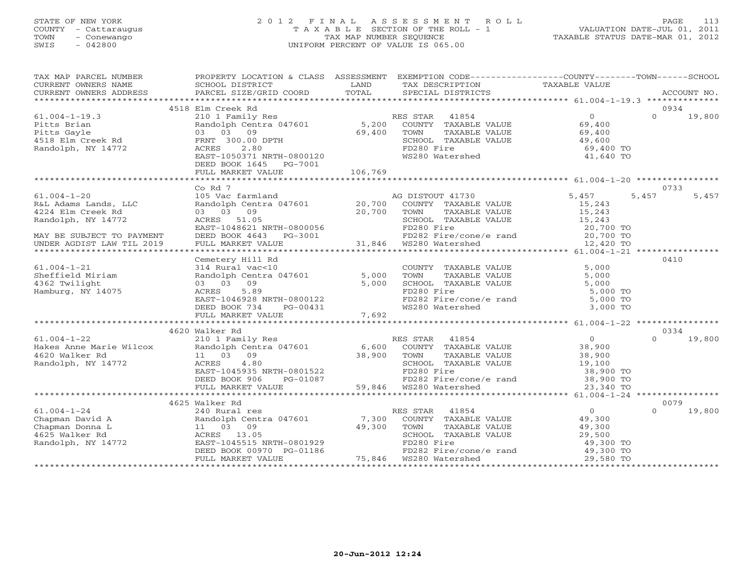#### STATE OF NEW YORK 2 0 1 2 F I N A L A S S E S S M E N T R O L L PAGE 113 COUNTY - Cattaraugus T A X A B L E SECTION OF THE ROLL - 1 VALUATION DATE-JUL 01, 2011 TOWN - Conewango TAX MAP NUMBER SEQUENCE TAXABLE STATUS DATE-MAR 01, 2012 SWIS - 042800 UNIFORM PERCENT OF VALUE IS 065.00UNIFORM PERCENT OF VALUE IS 065.00

| TAX MAP PARCEL NUMBER                                                                                                                                                                                                                                                                                                                                                                                                                                                                                                  | PROPERTY LOCATION & CLASS ASSESSMENT EXEMPTION CODE---------------COUNTY-------TOWN------SCHOOL                                                 |        |                                                                                           |                       |                    |
|------------------------------------------------------------------------------------------------------------------------------------------------------------------------------------------------------------------------------------------------------------------------------------------------------------------------------------------------------------------------------------------------------------------------------------------------------------------------------------------------------------------------|-------------------------------------------------------------------------------------------------------------------------------------------------|--------|-------------------------------------------------------------------------------------------|-----------------------|--------------------|
| CURRENT OWNERS NAME                                                                                                                                                                                                                                                                                                                                                                                                                                                                                                    | SCHOOL DISTRICT                                                                                                                                 | LAND   | TAX DESCRIPTION                                                                           | TAXABLE VALUE         |                    |
| $\begin{minipage}{.45\textwidth} \begin{minipage}{.45\textwidth} \begin{minipage}{.45\textwidth} \begin{minipage}{.45\textwidth} \begin{minipage}{.45\textwidth} \begin{minipage}{.45\textwidth} \begin{minipage}{.45\textwidth} \begin{minipage}{.45\textwidth} \begin{minipage}{.45\textwidth} \begin{minipage}{.45\textwidth} \begin{minipage}{.45\textwidth} \begin{minipage}{.45\textwidth} \begin{minipage}{.45\textwidth} \begin{minipage}{.45\textwidth} \begin{minipage}{.45\textwidth} \begin{minipage}{.45$ |                                                                                                                                                 |        |                                                                                           |                       |                    |
|                                                                                                                                                                                                                                                                                                                                                                                                                                                                                                                        | 4518 Elm Creek Rd                                                                                                                               |        |                                                                                           |                       | 0934               |
| $61.004 - 1 - 19.3$                                                                                                                                                                                                                                                                                                                                                                                                                                                                                                    | 210 1 Family Res                                                                                                                                |        |                                                                                           |                       | $\Omega$<br>19,800 |
| Pitts Brian                                                                                                                                                                                                                                                                                                                                                                                                                                                                                                            | Randolph Centra 047601                                                                                                                          |        |                                                                                           |                       |                    |
| Pitts Gayle                                                                                                                                                                                                                                                                                                                                                                                                                                                                                                            | 03 03 09                                                                                                                                        |        | RES STAR 41854 0<br>5,200 COUNTY TAXABLE VALUE 69,400<br>69,400 TOWN TAXABLE VALUE 69,400 |                       |                    |
| 4518 Elm Creek Rd                                                                                                                                                                                                                                                                                                                                                                                                                                                                                                      | FRNT 300.00 DPTH                                                                                                                                |        | SCHOOL TAXABLE VALUE                                                                      |                       |                    |
| Randolph, NY 14772                                                                                                                                                                                                                                                                                                                                                                                                                                                                                                     | 2.80<br>ACRES                                                                                                                                   |        | FD280 Fire                                                                                | 49,600<br>69,400 TO   |                    |
|                                                                                                                                                                                                                                                                                                                                                                                                                                                                                                                        | EAST-1050371 NRTH-0800120                                                                                                                       |        | WS280 Watershed                                                                           | 41,640 TO             |                    |
|                                                                                                                                                                                                                                                                                                                                                                                                                                                                                                                        | DEED BOOK 1645 PG-7001                                                                                                                          |        |                                                                                           |                       |                    |
|                                                                                                                                                                                                                                                                                                                                                                                                                                                                                                                        |                                                                                                                                                 |        |                                                                                           |                       |                    |
|                                                                                                                                                                                                                                                                                                                                                                                                                                                                                                                        |                                                                                                                                                 |        |                                                                                           |                       |                    |
|                                                                                                                                                                                                                                                                                                                                                                                                                                                                                                                        | Co Rd 7                                                                                                                                         |        |                                                                                           |                       | 0733               |
| $61.004 - 1 - 20$                                                                                                                                                                                                                                                                                                                                                                                                                                                                                                      | 105 Vac farmland                                                                                                                                |        | AG DISTOUT 41730                                                                          | 5,457                 | 5,457<br>5,457     |
| R&L Adams Lands, LLC                                                                                                                                                                                                                                                                                                                                                                                                                                                                                                   | Randolph Centra 047601 20,700 COUNTY TAXABLE VALUE<br>03 03 09 20,700 TOWN TAXABLE VALUE<br>ACRES 51.05 SCHOOL SCHOOL TAXABLE VALUE             |        |                                                                                           | 15,243<br>15,243      |                    |
| 4224 Elm Creek Rd                                                                                                                                                                                                                                                                                                                                                                                                                                                                                                      |                                                                                                                                                 |        |                                                                                           |                       |                    |
| Randolph, NY 14772                                                                                                                                                                                                                                                                                                                                                                                                                                                                                                     |                                                                                                                                                 |        |                                                                                           |                       |                    |
|                                                                                                                                                                                                                                                                                                                                                                                                                                                                                                                        | ACRES 51.05<br>EAST-1048621 NRTH-0800056<br>DEED BOOK 4643 PG-3001                                                                              |        |                                                                                           |                       |                    |
| MAY BE SUBJECT TO PAYMENT                                                                                                                                                                                                                                                                                                                                                                                                                                                                                              |                                                                                                                                                 |        |                                                                                           |                       |                    |
| UNDER AGDIST LAW TIL 2019                                                                                                                                                                                                                                                                                                                                                                                                                                                                                              | FULL MARKET VALUE                                                                                                                               |        |                                                                                           |                       |                    |
|                                                                                                                                                                                                                                                                                                                                                                                                                                                                                                                        |                                                                                                                                                 |        |                                                                                           |                       |                    |
|                                                                                                                                                                                                                                                                                                                                                                                                                                                                                                                        | Cemetery Hill Rd                                                                                                                                |        |                                                                                           |                       | 0410               |
| $61.004 - 1 - 21$                                                                                                                                                                                                                                                                                                                                                                                                                                                                                                      | 314 Rural vac<10                                                                                                                                |        | COUNTY TAXABLE VALUE<br>TOWN TAXABLE VALUE                                                | 5,000                 |                    |
| Sheffield Miriam                                                                                                                                                                                                                                                                                                                                                                                                                                                                                                       | Randolph Centra 047601 5,000<br>03 03 09                                                                                                        | 5,000  | SCHOOL TAXABLE VALUE                                                                      | 5,000<br>5,000        |                    |
| 4362 Twilight<br>Hamburg, NY 14075                                                                                                                                                                                                                                                                                                                                                                                                                                                                                     | ACRES 5.89                                                                                                                                      |        | FD280 Fire                                                                                | 5,000 TO              |                    |
|                                                                                                                                                                                                                                                                                                                                                                                                                                                                                                                        | EAST-1046928 NRTH-0800122                                                                                                                       |        |                                                                                           |                       |                    |
|                                                                                                                                                                                                                                                                                                                                                                                                                                                                                                                        | DEED BOOK 734<br>PG-00431                                                                                                                       |        | FD282 Fire/cone/e rand 5,000 TO<br>WS280 Watershed 3,000 TO                               |                       |                    |
|                                                                                                                                                                                                                                                                                                                                                                                                                                                                                                                        | FULL MARKET VALUE                                                                                                                               | 7,692  |                                                                                           |                       |                    |
|                                                                                                                                                                                                                                                                                                                                                                                                                                                                                                                        |                                                                                                                                                 |        |                                                                                           |                       |                    |
|                                                                                                                                                                                                                                                                                                                                                                                                                                                                                                                        | 4620 Walker Rd                                                                                                                                  |        |                                                                                           |                       | 0334               |
| $61.004 - 1 - 22$                                                                                                                                                                                                                                                                                                                                                                                                                                                                                                      | 210 1 Family Res                                                                                                                                |        | RES STAR 41854                                                                            | 0<br>38,900<br>38,900 | $\Omega$<br>19,800 |
| 61.004-1-22<br>Hakes Anne Marie Wilcox<br>4620 Walker Rd                                                                                                                                                                                                                                                                                                                                                                                                                                                               |                                                                                                                                                 |        |                                                                                           |                       |                    |
| 4620 Walker Rd                                                                                                                                                                                                                                                                                                                                                                                                                                                                                                         |                                                                                                                                                 |        |                                                                                           |                       |                    |
| Randolph, NY 14772                                                                                                                                                                                                                                                                                                                                                                                                                                                                                                     | Randolph Centra 047601 6,600 COUNTY TAXABLE VALUE<br>11 03 09 38,900 TOWN TAXABLE VALUE<br>ACRES 4.80 200 SCHOOL TAXABLE VALUE<br>4.80<br>ACRES |        | SCHOOL TAXABLE VALUE                                                                      | 19,100                |                    |
|                                                                                                                                                                                                                                                                                                                                                                                                                                                                                                                        | EAST-1045935 NRTH-0801522<br>DEED BOOK 906 PG-01087 PD280 Fire<br>FULL MARKET VALUE 59,846 WS280 Watershed                                      |        |                                                                                           | 38,900 TO             |                    |
|                                                                                                                                                                                                                                                                                                                                                                                                                                                                                                                        |                                                                                                                                                 |        | FD282 Fire/cone/e rand 38,900 TO<br>WS280 Watershed 23,340 TO                             |                       |                    |
|                                                                                                                                                                                                                                                                                                                                                                                                                                                                                                                        |                                                                                                                                                 |        |                                                                                           |                       |                    |
|                                                                                                                                                                                                                                                                                                                                                                                                                                                                                                                        |                                                                                                                                                 |        |                                                                                           |                       |                    |
|                                                                                                                                                                                                                                                                                                                                                                                                                                                                                                                        | 4625 Walker Rd                                                                                                                                  |        |                                                                                           |                       | 0079               |
| $61.004 - 1 - 24$                                                                                                                                                                                                                                                                                                                                                                                                                                                                                                      | 240 Rural res<br>240 Rural res<br>Randolph Cent:<br>11 03 09<br>ACRES 13.05                                                                     |        | RES STAR 41854                                                                            | $\overline{0}$        | $\Omega$<br>19,800 |
| Chapman David A                                                                                                                                                                                                                                                                                                                                                                                                                                                                                                        | Randolph Centra 047601 7,300                                                                                                                    |        | COUNTY TAXABLE VALUE 49,300                                                               |                       |                    |
| Chapman Donna L                                                                                                                                                                                                                                                                                                                                                                                                                                                                                                        |                                                                                                                                                 | 49,300 | TOWN<br>TAXABLE VALUE                                                                     | 49,300                |                    |
| 4625 Walker Rd                                                                                                                                                                                                                                                                                                                                                                                                                                                                                                         |                                                                                                                                                 |        | SCHOOL TAXABLE VALUE                                                                      | 29,500                |                    |
| Randolph, NY 14772                                                                                                                                                                                                                                                                                                                                                                                                                                                                                                     | EAST-1045515 NRTH-0801929<br>DEED BOOK 00970 PG-01186                                                                                           |        | FD280 Fire<br>FD282 Fire/cone/e rand 49,300 TO                                            | 49,300 TO             |                    |
|                                                                                                                                                                                                                                                                                                                                                                                                                                                                                                                        | FULL MARKET VALUE                                                                                                                               |        | 75,846 WS280 Watershed                                                                    | 29,580 TO             |                    |
|                                                                                                                                                                                                                                                                                                                                                                                                                                                                                                                        |                                                                                                                                                 |        |                                                                                           |                       |                    |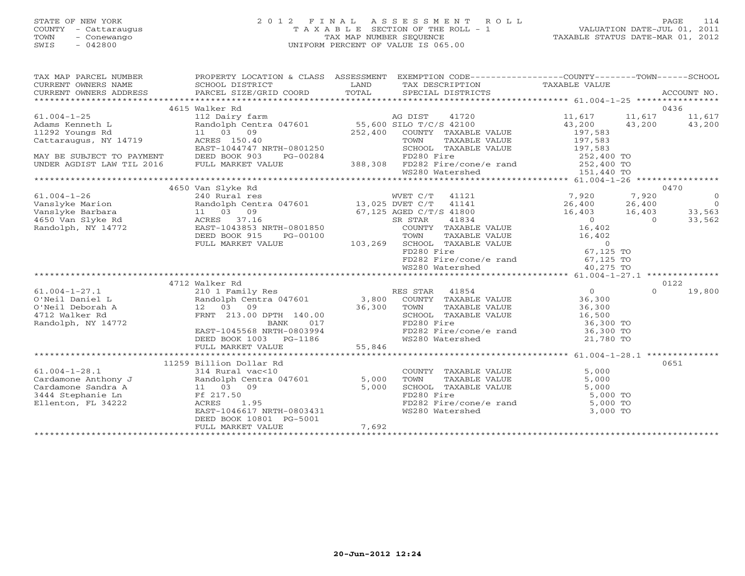$SWIS$  - 042800 UNIFORM PERCENT OF VALUE IS 065.000 UNIFORM PERCENT OF VALUE IS 065.000 UNIFORM PERCENT OF VALUE IS 06.000 VD

# STATE OF NEW YORK 2 0 1 2 F I N A L A S S E S S M E N T R O L L PAGE 114 COUNTY - Cattaraugus T A X A B L E SECTION OF THE ROLL - 1 VALUATION DATE-JUL 01, 2011 TOWN - Conewango TAX MAP NUMBER SEQUENCE TAXABLE STATUS DATE-MAR 01, 2012

| SWIS<br>- 042800       |                           |            | UNIFORM PERCENT OF VALUE IS 065.00 |                             |               |             |
|------------------------|---------------------------|------------|------------------------------------|-----------------------------|---------------|-------------|
|                        |                           |            |                                    |                             |               |             |
| TAX MAP PARCEL NUMBER  | PROPERTY LOCATION & CLASS | ASSESSMENT | EXEMPTION CODE--                   | ----------------COUNTY----- | $-$ TOWN $ -$ | -SCHOOL     |
| CURRENT OWNERS NAME    | SCHOOL DISTRICT           | LAND       | TAX DESCRIPTION                    | TAXABLE VALUE               |               |             |
| CURRENT OWNERS ADDRESS | PARCEL SIZE/GRID COORD    | TOTAL      | SPECIAL DISTRICTS                  |                             |               | ACCOUNT NO. |
|                        |                           |            |                                    |                             |               |             |
|                        | 4615 Walker Rd            |            |                                    |                             |               | 0436        |
| 61.004-1-25            | 112 Dairy farm            |            | 41720<br>AG DIST                   | 11,617                      | 11,617        | 11,617      |
| Adams Kenneth L        | Randolph Centra 047601    |            | 55,600 SILO T/C/S 42100            | 43,200                      | 43,200        | 43,200      |
| 11292 Youngs Rd        | 03<br>09                  | 252,400    | COUNTY TAXABLE VALUE               | 197,583                     |               |             |

| $61.004 - 1 - 25$         | 112 Dairy farm                         |                         | AG DIST    | 41720                          | 11,617        | 11,617     | 11,617         |
|---------------------------|----------------------------------------|-------------------------|------------|--------------------------------|---------------|------------|----------------|
| Adams Kenneth L           | Randolph Centra 047601                 | 55,600 SILO T/C/S 42100 |            |                                | 43,200        | 43,200     | 43,200         |
| 11292 Youngs Rd           | 11 03 09                               | 252,400                 |            | COUNTY TAXABLE VALUE           | 197,583       |            |                |
| Cattaraugus, NY 14719     | ACRES 150.40                           |                         | TOWN       | TAXABLE VALUE                  | 197,583       |            |                |
|                           | EAST-1044747 NRTH-0801250              |                         |            | SCHOOL TAXABLE VALUE           | 197,583       |            |                |
| MAY BE SUBJECT TO PAYMENT | DEED BOOK 903<br>PG-00284              |                         | FD280 Fire |                                | 252,400 TO    |            |                |
| UNDER AGDIST LAW TIL 2016 | FULL MARKET VALUE                      |                         |            | 388,308 FD282 Fire/cone/e rand | 252,400 TO    |            |                |
|                           |                                        |                         |            | WS280 Watershed                | 151,440 TO    |            |                |
| ************************* |                                        |                         |            |                                |               |            |                |
|                           | 4650 Van Slyke Rd                      |                         |            |                                |               |            | 0470           |
| $61.004 - 1 - 26$         | 240 Rural res                          |                         | WVET C/T   | 41121                          | 7,920         | 7,920      | $\overline{0}$ |
| Vanslyke Marion           | Randolph Centra 047601 13,025 DVET C/T |                         |            | 41141                          | 26,400 26,400 |            | $\overline{0}$ |
| Vanslyke Barbara          | 11 03 09                               | 67,125 AGED C/T/S 41800 |            |                                | 16,403        | 16,403     | 33,563         |
| 4650 Van Slyke Rd         | ACRES 37.16                            |                         | SR STAR    | 41834                          | $\bigcirc$    | $\bigcirc$ | 33,562         |
| Randolph, NY 14772        | EAST-1043853 NRTH-0801850              |                         |            | COUNTY TAXABLE VALUE           | 16,402        |            |                |
|                           | DEED BOOK 915<br>PG-00100              |                         | TOWN       | TAXABLE VALUE                  | 16,402        |            |                |
|                           | FULL MARKET VALUE                      | 103,269                 |            | SCHOOL TAXABLE VALUE           | $\circ$       |            |                |
|                           |                                        |                         | FD280 Fire |                                | 67,125 TO     |            |                |
|                           |                                        |                         |            | FD282 Fire/cone/e rand         | 67,125 TO     |            |                |
|                           |                                        |                         |            | WS280 Watershed                | 40,275 TO     |            |                |
|                           |                                        |                         |            |                                |               |            |                |
|                           | 4712 Walker Rd                         |                         |            |                                |               |            | 0122           |
| $61.004 - 1 - 27.1$       | 210 1 Family Res                       |                         | RES STAR   | 41854                          | $\Omega$      | $\Omega$   | 19,800         |
| O'Neil Daniel L           | Randolph Centra 047601 3,800           |                         |            | COUNTY TAXABLE VALUE           | 36,300        |            |                |
| O'Neil Deborah A          | 12 03<br>09                            | 36,300                  | TOWN       | TAXABLE VALUE                  | 36,300        |            |                |
| 4712 Walker Rd            | FRNT 213.00 DPTH 140.00                |                         |            | SCHOOL TAXABLE VALUE           | 16,500        |            |                |
| Randolph, NY 14772        | 017<br>BANK                            |                         | FD280 Fire |                                | 36,300 TO     |            |                |
|                           | EAST-1045568 NRTH-0803994              |                         |            | FD282 Fire/cone/e rand         | 36,300 TO     |            |                |
|                           | DEED BOOK 1003 PG-1186                 |                         |            | WS280 Watershed                | 21,780 TO     |            |                |
|                           | FULL MARKET VALUE                      | 55,846                  |            |                                |               |            |                |
|                           |                                        |                         |            |                                |               |            |                |
|                           | 11259 Billion Dollar Rd                |                         |            |                                |               |            | 0651           |
| $61.004 - 1 - 28.1$       | 314 Rural vac<10                       |                         |            | COUNTY TAXABLE VALUE           | 5,000         |            |                |
| Cardamone Anthony J       | Randolph Centra 047601                 | 5,000                   | TOWN       | TAXABLE VALUE                  | 5,000         |            |                |
| Cardamone Sandra A        | 11 03 09                               | 5,000                   |            | SCHOOL TAXABLE VALUE           | 5,000         |            |                |
| 3444 Stephanie Ln         | Ff 217.50                              |                         | FD280 Fire |                                | 5,000 TO      |            |                |
| Ellenton, FL 34222        | ACRES<br>1.95                          |                         |            | FD282 Fire/cone/e rand         | $5,000$ TO    |            |                |
|                           | EAST-1046617 NRTH-0803431              |                         |            | WS280 Watershed                | 3,000 TO      |            |                |
|                           | DEED BOOK 10801 PG-5001                |                         |            |                                |               |            |                |
|                           | FULL MARKET VALUE                      | 7,692                   |            |                                |               |            |                |
|                           |                                        |                         |            |                                |               |            |                |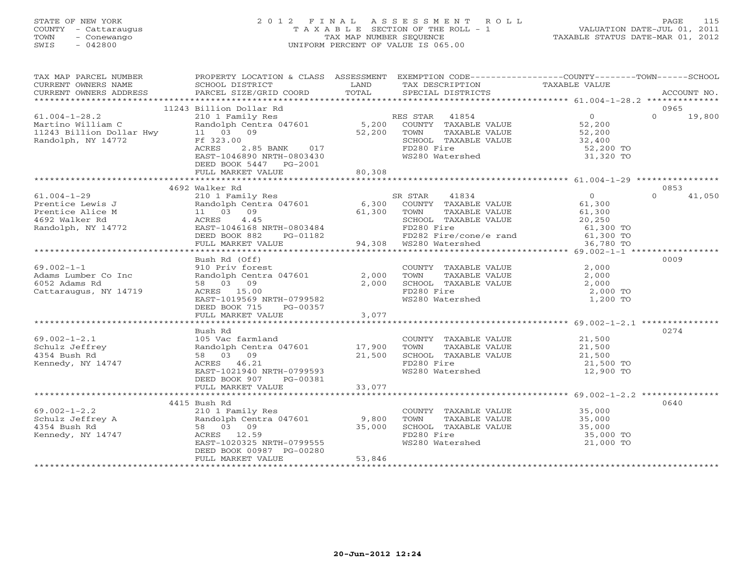### STATE OF NEW YORK 2 0 1 2 F I N A L A S S E S S M E N T R O L L PAGE 115 COUNTY - Cattaraugus T A X A B L E SECTION OF THE ROLL - 1 VALUATION DATE-JUL 01, 2011 TOWN - Conewango TAX MAP NUMBER SEQUENCE TAXABLE STATUS DATE-MAR 01, 2012 SWIS - 042800 UNIFORM PERCENT OF VALUE IS 065.00UNIFORM PERCENT OF VALUE IS 065.00

| TAX MAP PARCEL NUMBER                                                                                                              |                                                                                                                                                                                                                                            |        | PROPERTY LOCATION & CLASS ASSESSMENT EXEMPTION CODE----------------COUNTY-------TOWN------SCHOOL |          |                    |
|------------------------------------------------------------------------------------------------------------------------------------|--------------------------------------------------------------------------------------------------------------------------------------------------------------------------------------------------------------------------------------------|--------|--------------------------------------------------------------------------------------------------|----------|--------------------|
|                                                                                                                                    |                                                                                                                                                                                                                                            |        |                                                                                                  |          |                    |
|                                                                                                                                    |                                                                                                                                                                                                                                            |        |                                                                                                  |          |                    |
|                                                                                                                                    |                                                                                                                                                                                                                                            |        |                                                                                                  |          |                    |
|                                                                                                                                    | 11243 Billion Dollar Rd                                                                                                                                                                                                                    |        |                                                                                                  |          | 0965               |
| 61.004-1-28.2 210 1 Family<br>Martino William C Randolph Cent<br>11243 Billion Dollar Hwy 11 03 09<br>Randolph, NY 14772 Ff 323.00 |                                                                                                                                                                                                                                            |        |                                                                                                  |          | $\Omega$<br>19,800 |
|                                                                                                                                    |                                                                                                                                                                                                                                            |        |                                                                                                  |          |                    |
|                                                                                                                                    |                                                                                                                                                                                                                                            |        |                                                                                                  |          |                    |
|                                                                                                                                    |                                                                                                                                                                                                                                            |        |                                                                                                  |          |                    |
|                                                                                                                                    |                                                                                                                                                                                                                                            |        |                                                                                                  |          |                    |
|                                                                                                                                    | 210 1 Family Res<br>210 1 Family Res<br>Randolph Centra 047601 5,200 COUNTY TAXABLE VALUE 52,200<br>21 03 09 52,200 TOWN TAXABLE VALUE 52,200<br>2.85 BANK 017 FD280 Fire 52,200<br>EAST-1046890 NRTH-0803430 WS280 Watershed 31,320<br>2. |        | TOWN TAXABLE VALUE<br>SCHOOL TAXABLE VALUE<br>FD280 Fire 52,200 TO<br>WS280 Watershed 31,320 TO  |          |                    |
|                                                                                                                                    | DEED BOOK 5447 PG-2001                                                                                                                                                                                                                     |        |                                                                                                  |          |                    |
|                                                                                                                                    |                                                                                                                                                                                                                                            |        |                                                                                                  |          |                    |
|                                                                                                                                    |                                                                                                                                                                                                                                            |        |                                                                                                  |          |                    |
|                                                                                                                                    | 4692 Walker Rd                                                                                                                                                                                                                             |        |                                                                                                  |          | 0853               |
|                                                                                                                                    |                                                                                                                                                                                                                                            |        |                                                                                                  |          | $\Omega$<br>41,050 |
|                                                                                                                                    |                                                                                                                                                                                                                                            |        |                                                                                                  |          |                    |
|                                                                                                                                    |                                                                                                                                                                                                                                            |        |                                                                                                  |          |                    |
|                                                                                                                                    |                                                                                                                                                                                                                                            |        |                                                                                                  |          |                    |
|                                                                                                                                    |                                                                                                                                                                                                                                            |        |                                                                                                  |          |                    |
|                                                                                                                                    |                                                                                                                                                                                                                                            |        |                                                                                                  |          |                    |
|                                                                                                                                    |                                                                                                                                                                                                                                            |        |                                                                                                  |          |                    |
|                                                                                                                                    |                                                                                                                                                                                                                                            |        |                                                                                                  |          |                    |
|                                                                                                                                    | Bush Rd (Off)                                                                                                                                                                                                                              |        |                                                                                                  |          | 0009               |
| $69.002 - 1 - 1$                                                                                                                   |                                                                                                                                                                                                                                            |        |                                                                                                  |          |                    |
| Adams Lumber Co Inc                                                                                                                | USIN NO COUNTY TAXABLE VALUE<br>910 Priv fortra 047601<br>2,000 TOWN TAXABLE VALUE 2,000<br>58 03 09 2,000 SCHOOL TAXABLE VALUE 2,000<br>ACRES 15.00 FD280 Fire 2,000                                                                      |        |                                                                                                  |          |                    |
| 6052 Adams Rd                                                                                                                      |                                                                                                                                                                                                                                            |        |                                                                                                  |          |                    |
| Cattaraugus, NY 14719                                                                                                              | ACRES 15.00                                                                                                                                                                                                                                |        | FD280 Fire<br>FD280 Fire<br>WS280 Watershed                                                      | 2,000 TO |                    |
|                                                                                                                                    | EAST-1019569 NRTH-0799582                                                                                                                                                                                                                  |        |                                                                                                  | 1,200 TO |                    |
|                                                                                                                                    | DEED BOOK 715 PG-00357                                                                                                                                                                                                                     |        |                                                                                                  |          |                    |
|                                                                                                                                    | FULL MARKET VALUE                                                                                                                                                                                                                          | 3,077  |                                                                                                  |          |                    |
|                                                                                                                                    |                                                                                                                                                                                                                                            |        |                                                                                                  |          |                    |
|                                                                                                                                    | Bush Rd                                                                                                                                                                                                                                    |        |                                                                                                  |          | 0274               |
| $69.002 - 1 - 2.1$<br>Schulz Jeffrey                                                                                               |                                                                                                                                                                                                                                            |        |                                                                                                  |          |                    |
|                                                                                                                                    | 105 Vac farmland<br>Randolph Centra 047601 17,900 TOWN<br>58 02 03                                                                                                                                                                         |        |                                                                                                  |          |                    |
| 4354 Bush Rd<br>Kennedy, NY 14747                                                                                                  |                                                                                                                                                                                                                                            |        |                                                                                                  |          |                    |
|                                                                                                                                    | 105 Vac farmland<br>Randolph Centra 047601 17,900 TOWN TAXABLE VALUE 21,500<br>58 03 09 21,500 SCHOOL TAXABLE VALUE 21,500<br>ACRES 46.21 FD280 Fire 21,500 TONN NRTH-0799593<br>EAST-1021940 NRTH-0799593 WS280 Watershed 12,900 TO       |        |                                                                                                  |          |                    |
|                                                                                                                                    |                                                                                                                                                                                                                                            |        |                                                                                                  |          |                    |
|                                                                                                                                    |                                                                                                                                                                                                                                            |        |                                                                                                  |          |                    |
|                                                                                                                                    |                                                                                                                                                                                                                                            |        |                                                                                                  |          |                    |
|                                                                                                                                    | 4415 Bush Rd                                                                                                                                                                                                                               |        |                                                                                                  |          | 0640               |
|                                                                                                                                    |                                                                                                                                                                                                                                            |        |                                                                                                  |          |                    |
|                                                                                                                                    |                                                                                                                                                                                                                                            |        |                                                                                                  |          |                    |
|                                                                                                                                    |                                                                                                                                                                                                                                            |        |                                                                                                  |          |                    |
|                                                                                                                                    |                                                                                                                                                                                                                                            |        |                                                                                                  |          |                    |
|                                                                                                                                    | EAST-1020325 NRTH-0799555                                                                                                                                                                                                                  |        | FD280 Fire 35,000 TO<br>WS280 Watershed 21,000 TO                                                |          |                    |
|                                                                                                                                    | DEED BOOK 00987 PG-00280                                                                                                                                                                                                                   |        |                                                                                                  |          |                    |
|                                                                                                                                    | FULL MARKET VALUE                                                                                                                                                                                                                          | 53,846 |                                                                                                  |          |                    |
|                                                                                                                                    |                                                                                                                                                                                                                                            |        |                                                                                                  |          |                    |
|                                                                                                                                    |                                                                                                                                                                                                                                            |        |                                                                                                  |          |                    |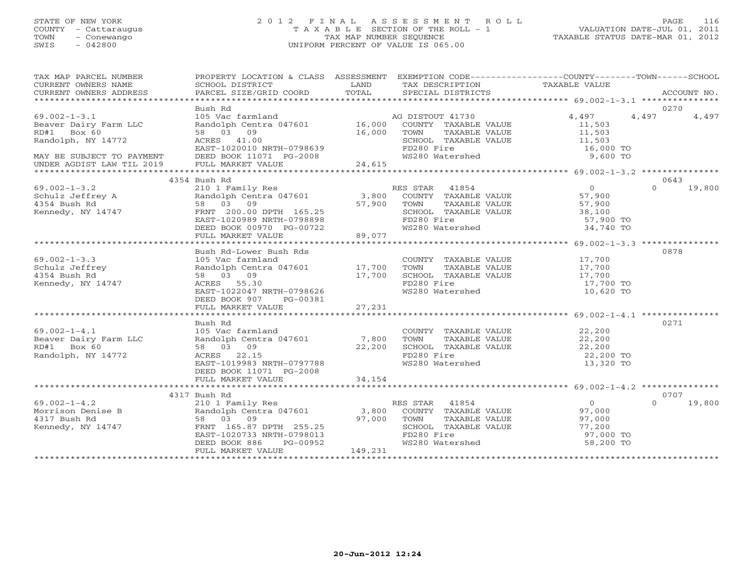#### STATE OF NEW YORK 2 0 1 2 F I N A L A S S E S S M E N T R O L L PAGE 116 COUNTY - Cattaraugus T A X A B L E SECTION OF THE ROLL - 1 VALUATION DATE-JUL 01, 2011 TOWN - Conewango TAX MAP NUMBER SEQUENCE TAXABLE STATUS DATE-MAR 01, 2012 SWIS - 042800 UNIFORM PERCENT OF VALUE IS 065.00

|  | TAXABLE STATUS DATE-MAR 01, 2012 |  |
|--|----------------------------------|--|
|  |                                  |  |

| TAX MAP PARCEL NUMBER<br>CURRENT OWNERS NAME                                                                                                                                                                                                       | PROPERTY LOCATION & CLASS ASSESSMENT EXEMPTION CODE---------------COUNTY-------TOWN------SCHOOL<br>SCHOOL DISTRICT                                                                                                                                     | <b>EXAMPLE SERVICE SERVICE SERVICE SERVICE SERVICE SERVICE SERVICE SERVICE SERVICE SERVICE SERVICE SERVICE SERVICE</b> | TAX DESCRIPTION                                          | TAXABLE VALUE          |                        |
|----------------------------------------------------------------------------------------------------------------------------------------------------------------------------------------------------------------------------------------------------|--------------------------------------------------------------------------------------------------------------------------------------------------------------------------------------------------------------------------------------------------------|------------------------------------------------------------------------------------------------------------------------|----------------------------------------------------------|------------------------|------------------------|
|                                                                                                                                                                                                                                                    |                                                                                                                                                                                                                                                        |                                                                                                                        |                                                          |                        |                        |
| $69.002 - 1 - 3.1$                                                                                                                                                                                                                                 | Bush Rd                                                                                                                                                                                                                                                |                                                                                                                        |                                                          | 4,497                  | 0270<br>4,497<br>4,497 |
| Beaver Dairy Farm LLC                                                                                                                                                                                                                              | 105 Vac farmland<br>Randolph Centra 047601 16,000 COUNTY TAXABLE VALUE                                                                                                                                                                                 |                                                                                                                        |                                                          | 11,503                 |                        |
| RD#1 Box 60                                                                                                                                                                                                                                        | 58 03 09                                                                                                                                                                                                                                               | 16,000                                                                                                                 | TOWN TAXABLE VALUE                                       | 11,503                 |                        |
| Randolph, NY 14772                                                                                                                                                                                                                                 | ACRES 41.00                                                                                                                                                                                                                                            |                                                                                                                        | SCHOOL TAXABLE VALUE 11,503                              |                        |                        |
|                                                                                                                                                                                                                                                    | EAST-1020010 NRTH-0798639                                                                                                                                                                                                                              |                                                                                                                        |                                                          | 16,000 TO              |                        |
| MAY BE SUBJECT TO PAYMENT                                                                                                                                                                                                                          |                                                                                                                                                                                                                                                        |                                                                                                                        | FD280 Fire<br>WS280 Watershed                            | 9,600 TO               |                        |
| UNDER AGDIST LAW TIL 2019                                                                                                                                                                                                                          | DEED BOOK 11071 PG-2008<br>FULL MARKET VALUE 24,615                                                                                                                                                                                                    |                                                                                                                        |                                                          |                        |                        |
|                                                                                                                                                                                                                                                    |                                                                                                                                                                                                                                                        |                                                                                                                        |                                                          |                        |                        |
|                                                                                                                                                                                                                                                    | 4354 Bush Rd                                                                                                                                                                                                                                           |                                                                                                                        |                                                          |                        | 0643                   |
| $69.002 - 1 - 3.2$                                                                                                                                                                                                                                 | 210 1 Family Res<br>210 1 Family Res<br>210 1 Family Res<br>210 1 3,800 COUNTY TAXABLE VALUE<br>200.00 DPTH 165.25<br>200.00 DPTH 165.25<br>28,100<br>288T-1020989 NRTH-0798898<br>27,900<br>288T-1020989 NRTH-0798898<br>27,900<br>289 FD280 Fire<br> |                                                                                                                        |                                                          |                        | $\Omega$<br>19,800     |
| Schulz Jeffrey A<br>4354 Bush Rd<br>Kennedy, NY 14747                                                                                                                                                                                              |                                                                                                                                                                                                                                                        |                                                                                                                        |                                                          |                        |                        |
|                                                                                                                                                                                                                                                    |                                                                                                                                                                                                                                                        |                                                                                                                        |                                                          |                        |                        |
|                                                                                                                                                                                                                                                    |                                                                                                                                                                                                                                                        |                                                                                                                        |                                                          |                        |                        |
|                                                                                                                                                                                                                                                    |                                                                                                                                                                                                                                                        |                                                                                                                        |                                                          | 57,900 TO              |                        |
|                                                                                                                                                                                                                                                    | DEED BOOK 00970 PG-00722<br>FULL MARKET VALUE                                                                                                                                                                                                          | $-00722$ 89,077                                                                                                        | WS280 Watershed                                          | $34,740$ TO            |                        |
|                                                                                                                                                                                                                                                    |                                                                                                                                                                                                                                                        |                                                                                                                        |                                                          |                        |                        |
|                                                                                                                                                                                                                                                    | -----<br>Notice that the country<br>Randolph Centra 047601<br>58 03 09 17,700 TOWN<br>ACRES 55.30<br>EAST-1022047 NPWH CLOSE                                                                                                                           |                                                                                                                        |                                                          |                        | 0878                   |
| $69.002 - 1 - 3.3$                                                                                                                                                                                                                                 |                                                                                                                                                                                                                                                        |                                                                                                                        | COUNTY TAXABLE VALUE 17,700                              |                        |                        |
|                                                                                                                                                                                                                                                    |                                                                                                                                                                                                                                                        |                                                                                                                        |                                                          |                        |                        |
| Schulz Jeffrey<br>4354 Bush Rd                                                                                                                                                                                                                     |                                                                                                                                                                                                                                                        |                                                                                                                        |                                                          |                        |                        |
| Kennedy, NY 14747                                                                                                                                                                                                                                  |                                                                                                                                                                                                                                                        |                                                                                                                        | FD280 Fire                                               | 17,700 TO              |                        |
|                                                                                                                                                                                                                                                    |                                                                                                                                                                                                                                                        |                                                                                                                        | WS280 Watershed                                          | $10,620$ TO            |                        |
|                                                                                                                                                                                                                                                    | DEED BOOK 907 PG-00381                                                                                                                                                                                                                                 |                                                                                                                        |                                                          |                        |                        |
|                                                                                                                                                                                                                                                    | FULL MARKET VALUE                                                                                                                                                                                                                                      | 27, 231                                                                                                                |                                                          |                        |                        |
|                                                                                                                                                                                                                                                    |                                                                                                                                                                                                                                                        |                                                                                                                        |                                                          |                        |                        |
| $69.002-1-4.1$<br>Beaver Dairy Farm LLC<br>PD <sup>41</sup> Rox 60                                                                                                                                                                                 | Bush Rd                                                                                                                                                                                                                                                |                                                                                                                        |                                                          |                        | 0271                   |
|                                                                                                                                                                                                                                                    |                                                                                                                                                                                                                                                        |                                                                                                                        | COUNTY TAXABLE VALUE 22,200<br>TOWN TAXABLE VALUE 22,200 |                        |                        |
|                                                                                                                                                                                                                                                    |                                                                                                                                                                                                                                                        |                                                                                                                        |                                                          |                        |                        |
|                                                                                                                                                                                                                                                    | 105 Vac farmland<br>Randolph Centra 047601 7,800 TOWN<br>58 03 09 22,200 SCHOOL<br>ACRES 22.15 FD280 Fi                                                                                                                                                |                                                                                                                        | SCHOOL TAXABLE VALUE 22,200<br>FD280 Fire                |                        |                        |
| Randolph, NY 14772                                                                                                                                                                                                                                 | ACRES 22.15<br>EAST-1019983 NRTH-0797788                                                                                                                                                                                                               |                                                                                                                        | WS280 Watershed                                          | 22,200 TO<br>13,320 TO |                        |
|                                                                                                                                                                                                                                                    | DEED BOOK 11071 PG-2008                                                                                                                                                                                                                                |                                                                                                                        |                                                          |                        |                        |
|                                                                                                                                                                                                                                                    |                                                                                                                                                                                                                                                        |                                                                                                                        |                                                          |                        |                        |
|                                                                                                                                                                                                                                                    |                                                                                                                                                                                                                                                        |                                                                                                                        |                                                          |                        |                        |
|                                                                                                                                                                                                                                                    | 4317 Bush Rd                                                                                                                                                                                                                                           |                                                                                                                        |                                                          |                        | 0707                   |
|                                                                                                                                                                                                                                                    |                                                                                                                                                                                                                                                        |                                                                                                                        | RES STAR 41854                                           |                        | $\cap$<br>19,800       |
|                                                                                                                                                                                                                                                    |                                                                                                                                                                                                                                                        |                                                                                                                        | ES STAR 41854 (0)<br>COUNTY TAXABLE VALUE (97,000)       |                        |                        |
|                                                                                                                                                                                                                                                    |                                                                                                                                                                                                                                                        |                                                                                                                        | TAXABLE VALUE<br>TOWN                                    | $97, 200$<br>$77, 200$ |                        |
|                                                                                                                                                                                                                                                    |                                                                                                                                                                                                                                                        |                                                                                                                        | SCHOOL TAXABLE VALUE                                     |                        |                        |
|                                                                                                                                                                                                                                                    |                                                                                                                                                                                                                                                        |                                                                                                                        | FD280 Fire<br>WS280 Watershed                            | 97,000 TO              |                        |
| 69.002-1-4.2<br>Morrison Denise B<br>4317 Bush Rd<br>Kennedy, NY 14747<br>FRNT 165.87 DPTH 255.25<br>EAST-1020733 NRTH-0798013<br>FRNT 165.87 DPTH 255.25<br>EAST-1020733 NRTH-0798013<br>FRNT 165.87 DPTH 255.25<br>EAST-1020733 NRTH-0798013<br> |                                                                                                                                                                                                                                                        |                                                                                                                        |                                                          | 58,200 TO              |                        |
|                                                                                                                                                                                                                                                    | FULL MARKET VALUE                                                                                                                                                                                                                                      | 149,231                                                                                                                |                                                          |                        |                        |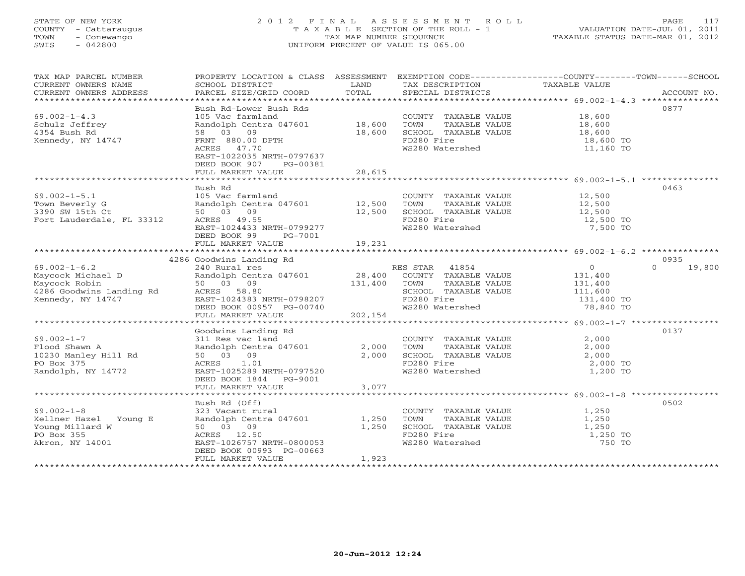#### STATE OF NEW YORK 2 0 1 2 F I N A L A S S E S S M E N T R O L L PAGE 117 COUNTY - Cattaraugus T A X A B L E SECTION OF THE ROLL - 1 VALUATION DATE-JUL 01, 2011 TOWN - Conewango TAX MAP NUMBER SEQUENCE TAXABLE STATUS DATE-MAR 01, 2012 SWIS - 042800 UNIFORM PERCENT OF VALUE IS 065.00UNIFORM PERCENT OF VALUE IS 065.00

| TAX MAP PARCEL NUMBER<br>CURRENT OWNERS NAME<br>CURRENT OWNERS ADDRESS | PROPERTY LOCATION & CLASS ASSESSMENT<br>SCHOOL DISTRICT | LAND    | TAX DESCRIPTION                               | EXEMPTION CODE-----------------COUNTY-------TOWN------SCHOOL<br>TAXABLE VALUE<br>CUNNENI OWNERS ADDRESS FORCEL SIZE/GRID COORD FOTAL SECIAL DISTRICTS FOR THE SACCOUNT NO.<br>CURRENT OWNERS ADDRESS FORCEL SIZE/GRID COORD TOTAL SECIAL DISTRICTS FOR ACCOUNT NO. |
|------------------------------------------------------------------------|---------------------------------------------------------|---------|-----------------------------------------------|--------------------------------------------------------------------------------------------------------------------------------------------------------------------------------------------------------------------------------------------------------------------|
|                                                                        |                                                         |         |                                               |                                                                                                                                                                                                                                                                    |
| $69.002 - 1 - 4.3$                                                     | Bush Rd-Lower Bush Rds<br>105 Vac farmland              |         |                                               | 0877<br>18,600                                                                                                                                                                                                                                                     |
| Schulz Jeffrey                                                         | Randolph Centra 047601 18,600                           |         | COUNTY TAXABLE VALUE<br>TOWN<br>TAXABLE VALUE | 18,600                                                                                                                                                                                                                                                             |
| 4354 Bush Rd                                                           | 58 03 09                                                | 18,600  | SCHOOL TAXABLE VALUE                          | 18,600                                                                                                                                                                                                                                                             |
| Kennedy, NY 14747                                                      | FRNT 880.00 DPTH                                        |         | FD280 Fire                                    | 18,600 TO                                                                                                                                                                                                                                                          |
|                                                                        | ACRES 47.70                                             |         | WS280 Watershed                               | 11,160 TO                                                                                                                                                                                                                                                          |
|                                                                        | EAST-1022035 NRTH-0797637<br>DEED BOOK 907<br>PG-00381  |         |                                               |                                                                                                                                                                                                                                                                    |
|                                                                        | FULL MARKET VALUE                                       | 28,615  |                                               |                                                                                                                                                                                                                                                                    |
|                                                                        |                                                         |         |                                               |                                                                                                                                                                                                                                                                    |
|                                                                        | Bush Rd                                                 |         |                                               | 0463                                                                                                                                                                                                                                                               |
| $69.002 - 1 - 5.1$                                                     | 105 Vac farmland                                        |         | COUNTY TAXABLE VALUE                          | 12,500                                                                                                                                                                                                                                                             |
| Town Beverly G                                                         | Randolph Centra 047601 12,500<br>50 03 09               |         | TOWN<br>TAXABLE VALUE                         | 12,500                                                                                                                                                                                                                                                             |
| 3390 SW 15th Ct<br>Fort Lauderdale, FL 33312                           | ACRES 49.55                                             | 12,500  | SCHOOL TAXABLE VALUE<br>FD280 Fire            | 12,500<br>12,500 TO                                                                                                                                                                                                                                                |
|                                                                        | EAST-1024433 NRTH-0799277                               |         | WS280 Watershed                               | 7,500 TO                                                                                                                                                                                                                                                           |
|                                                                        | DEED BOOK 99<br>PG-7001                                 |         |                                               |                                                                                                                                                                                                                                                                    |
|                                                                        |                                                         |         |                                               |                                                                                                                                                                                                                                                                    |
|                                                                        |                                                         |         |                                               |                                                                                                                                                                                                                                                                    |
|                                                                        | 4286 Goodwins Landing Rd                                |         |                                               | 0935                                                                                                                                                                                                                                                               |
| $69.002 - 1 - 6.2$                                                     | 240 Rural res                                           |         | RES STAR 41854                                | $\circ$<br>$\Omega$<br>19,800                                                                                                                                                                                                                                      |
| Maycock Michael D                                                      | Randolph Centra 047601                                  | 28,400  | COUNTY TAXABLE VALUE                          | 131,400                                                                                                                                                                                                                                                            |
| Maycock Robin                                                          | 50 03 09                                                | 131,400 | TAXABLE VALUE<br>TOWN                         | 131,400                                                                                                                                                                                                                                                            |
| 4286 Goodwins Landing Rd                                               | ACRES 58.80                                             |         | SCHOOL TAXABLE VALUE                          | 111,600                                                                                                                                                                                                                                                            |
| Kennedy, NY 14747                                                      | EAST-1024383 NRTH-0798207<br>DEED BOOK 00957 PG-00740   |         | FD280 Fire<br>WS280 Watershed                 | 131,400 TO<br>78,840 TO                                                                                                                                                                                                                                            |
|                                                                        | FULL MARKET VALUE                                       | 202,154 |                                               |                                                                                                                                                                                                                                                                    |
|                                                                        |                                                         |         |                                               |                                                                                                                                                                                                                                                                    |
|                                                                        | Goodwins Landing Rd                                     |         |                                               | 0137                                                                                                                                                                                                                                                               |
| $69.002 - 1 - 7$                                                       | 311 Res vac land                                        |         | COUNTY TAXABLE VALUE                          | 2,000                                                                                                                                                                                                                                                              |
| Flood Shawn A                                                          | Randolph Centra 047601                                  | 2,000   | TAXABLE VALUE<br>TOWN                         | 2,000                                                                                                                                                                                                                                                              |
| 10230 Manley Hill Rd                                                   | 50 03 09                                                | 2,000   | SCHOOL TAXABLE VALUE                          | 2,000                                                                                                                                                                                                                                                              |
| PO Box 375                                                             | ACRES 1.01                                              |         | FD280 Fire                                    | 2,000 TO                                                                                                                                                                                                                                                           |
| Randolph, NY 14772                                                     | EAST-1025289 NRTH-0797520                               |         | WS280 Watershed                               | 1,200 TO                                                                                                                                                                                                                                                           |
|                                                                        | DEED BOOK 1844<br>PG-9001                               |         |                                               |                                                                                                                                                                                                                                                                    |
|                                                                        | FULL MARKET VALUE                                       | 3,077   |                                               |                                                                                                                                                                                                                                                                    |
|                                                                        | Bush Rd (Off)                                           |         |                                               | 0502                                                                                                                                                                                                                                                               |
| $69.002 - 1 - 8$                                                       | 323 Vacant rural                                        |         | COUNTY TAXABLE VALUE                          | 1,250                                                                                                                                                                                                                                                              |
| Kellner Hazel Young E                                                  | Randolph Centra 047601                                  | 1,250   | TOWN<br>TAXABLE VALUE                         | 1,250                                                                                                                                                                                                                                                              |
| Young Millard W                                                        | 50 03 09                                                | 1,250   | SCHOOL TAXABLE VALUE                          | 1,250                                                                                                                                                                                                                                                              |
| PO Box 355                                                             | ACRES 12.50                                             |         | FD280 Fire                                    | 1,250 TO                                                                                                                                                                                                                                                           |
| Akron, NY 14001                                                        | EAST-1026757 NRTH-0800053                               |         | WS280 Watershed                               | 750 TO                                                                                                                                                                                                                                                             |
|                                                                        | DEED BOOK 00993 PG-00663                                |         |                                               |                                                                                                                                                                                                                                                                    |
|                                                                        | FULL MARKET VALUE                                       | 1,923   |                                               |                                                                                                                                                                                                                                                                    |
|                                                                        |                                                         |         |                                               |                                                                                                                                                                                                                                                                    |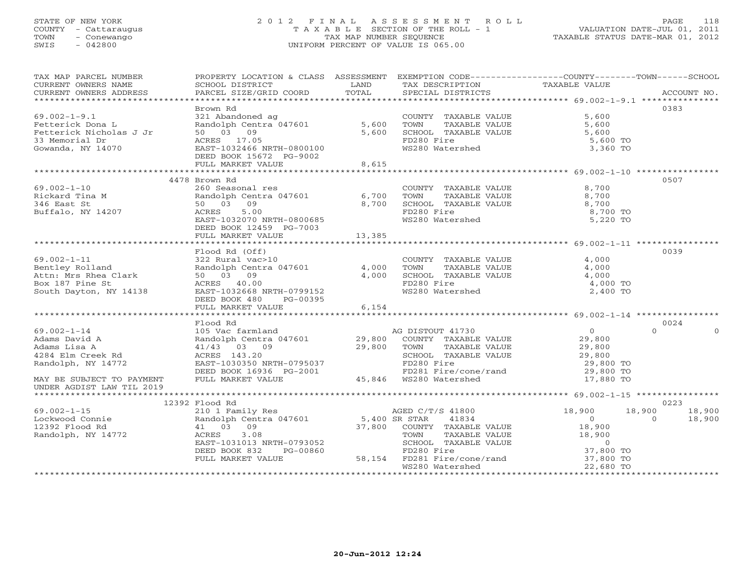#### STATE OF NEW YORK 2 0 1 2 F I N A L A S S E S S M E N T R O L L PAGE 118 COUNTY - Cattaraugus T A X A B L E SECTION OF THE ROLL - 1 VALUATION DATE-JUL 01, 2011 TOWN - Conewango TAX MAP NUMBER SEQUENCE TAXABLE STATUS DATE-MAR 01, 2012 SWIS - 042800 UNIFORM PERCENT OF VALUE IS 065.00UNIFORM PERCENT OF VALUE IS 065.00

| TAX MAP PARCEL NUMBER<br>CURRENT OWNERS NAME<br>CURRENT OWNERS ADDRESS | PROPERTY LOCATION & CLASS ASSESSMENT EXEMPTION CODE---------------COUNTY-------TOWN------SCHOOL<br>SCHOOL DISTRICT | LAND<br>TOTAL      | TAX DESCRIPTION TAXABLE VALUE SPECIAL DISTRICTS                                              |                                                     |                    |
|------------------------------------------------------------------------|--------------------------------------------------------------------------------------------------------------------|--------------------|----------------------------------------------------------------------------------------------|-----------------------------------------------------|--------------------|
|                                                                        | PARCEL SIZE/GRID COORD                                                                                             |                    |                                                                                              |                                                     | ACCOUNT NO.        |
|                                                                        | Brown Rd                                                                                                           |                    |                                                                                              |                                                     | 0383               |
| $69.002 - 1 - 9.1$                                                     | 321 Abandoned ag                                                                                                   |                    | COUNTY TAXABLE VALUE<br>TAXABLE VALUE<br>SCHOOL TAXABLE VALUE<br>FD280 Fire<br>WS280 Watcrel | 5,600                                               |                    |
| Fetterick Dona L                                                       | Randolph Centra 047601 5,600                                                                                       |                    |                                                                                              | 5,600                                               |                    |
| Fetterick Nicholas J Jr                                                | 50 03 09                                                                                                           | 5,600              |                                                                                              | 5,600                                               |                    |
| 33 Memorial Dr                                                         | ACRES 17.05                                                                                                        |                    |                                                                                              | 5,600 TO                                            |                    |
| Gowanda, NY 14070                                                      | EAST-1032466 NRTH-0800100                                                                                          |                    | WS280 Watershed                                                                              | 3,360 TO                                            |                    |
|                                                                        | DEED BOOK 15672 PG-9002                                                                                            |                    |                                                                                              |                                                     |                    |
|                                                                        | FULL MARKET VALUE                                                                                                  | 8,615              |                                                                                              |                                                     |                    |
|                                                                        |                                                                                                                    |                    |                                                                                              |                                                     |                    |
|                                                                        | 4478 Brown Rd                                                                                                      |                    |                                                                                              |                                                     | 0507               |
| $69.002 - 1 - 10$                                                      | 260 Seasonal res                                                                                                   |                    | COUNTY TAXABLE VALUE                                                                         | 8,700                                               |                    |
| Rickard Tina M                                                         | Randolph Centra 047601 6,700                                                                                       |                    | TOWN<br>TAXABLE VALUE                                                                        | 8,700                                               |                    |
| 346 East St                                                            | 50 03 09                                                                                                           | 8,700              | SCHOOL TAXABLE VALUE                                                                         | 8,700                                               |                    |
| Buffalo, NY 14207                                                      | ACRES<br>5.00                                                                                                      |                    | FD280 Fire                                                                                   | 8,700 TO                                            |                    |
|                                                                        | EAST-1032070 NRTH-0800685                                                                                          |                    | WS280 Watershed                                                                              | 5,220 TO                                            |                    |
|                                                                        | DEED BOOK 12459 PG-7003                                                                                            |                    |                                                                                              |                                                     |                    |
|                                                                        | FULL MARKET VALUE                                                                                                  | 13,385             |                                                                                              |                                                     |                    |
|                                                                        |                                                                                                                    |                    |                                                                                              |                                                     |                    |
|                                                                        | Flood Rd (Off)                                                                                                     |                    |                                                                                              |                                                     | 0039               |
| $69.002 - 1 - 11$                                                      | 322 Rural vac>10                                                                                                   |                    | COUNTY TAXABLE VALUE                                                                         | 4,000                                               |                    |
| Bentley Rolland                                                        | 322 Rufai vac <sub>210</sub><br>Randolph Centra 047601 4,000<br>50 03 09 4,000                                     |                    | TOWN<br>TAXABLE VALUE                                                                        | 4,000                                               |                    |
| Attn: Mrs Rhea Clark<br>Box 187 Pine St                                | 50 03 09                                                                                                           | 4,000              | SCHOOL TAXABLE VALUE                                                                         | 4,000                                               |                    |
|                                                                        | ACRES 40.00                                                                                                        |                    | FD280 Fire                                                                                   | 4,000 TO                                            |                    |
| South Dayton, NY 14138                                                 | EAST-1032668 NRTH-0799152                                                                                          |                    | WS280 Watershed                                                                              | 2,400 TO                                            |                    |
|                                                                        | DEED BOOK 480<br>PG-00395                                                                                          |                    |                                                                                              |                                                     |                    |
|                                                                        | FULL MARKET VALUE                                                                                                  | 6,154              |                                                                                              |                                                     |                    |
|                                                                        |                                                                                                                    |                    |                                                                                              |                                                     |                    |
|                                                                        | Flood Rd                                                                                                           |                    |                                                                                              |                                                     | 0024               |
| $69.002 - 1 - 14$                                                      |                                                                                                                    |                    |                                                                                              | $\begin{smallmatrix}&&0\0&29\end{smallmatrix}$ ,800 | $\Omega$           |
| Adams David A                                                          |                                                                                                                    |                    |                                                                                              | 29,800                                              |                    |
| Adams Lisa A                                                           | 41/43 03 09                                                                                                        | $29,800$<br>29,800 | TAXABLE VALUE<br>TOWN                                                                        | 29,800                                              |                    |
| 4284 Elm Creek Rd                                                      |                                                                                                                    |                    |                                                                                              |                                                     |                    |
| Randolph, NY 14772                                                     |                                                                                                                    |                    |                                                                                              |                                                     |                    |
|                                                                        |                                                                                                                    |                    |                                                                                              |                                                     |                    |
| MAY BE SUBJECT TO PAYMENT                                              |                                                                                                                    |                    |                                                                                              |                                                     |                    |
| UNDER AGDIST LAW TIL 2019                                              |                                                                                                                    |                    |                                                                                              |                                                     |                    |
|                                                                        |                                                                                                                    |                    |                                                                                              |                                                     |                    |
|                                                                        | 12392 Flood Rd                                                                                                     |                    |                                                                                              |                                                     | 0223               |
|                                                                        | 210 1 Family Res                                                                                                   |                    | AGED C/T/S 41800                                                                             | 18,900                                              | 18,900<br>18,900   |
|                                                                        | 210 1 Family Res<br>Randolph Centra 047601 5,400 SR STAR                                                           |                    | 41834                                                                                        | $\overline{0}$                                      | $\Omega$<br>18,900 |
| 69.002-1-15<br>Lockwood Connie<br>Coop Flood Rd                        | 210 1 Fam11y<br>Randolph Cent<br>41 03 09<br>ACRES 3.08                                                            |                    | 37,800 COUNTY TAXABLE VALUE                                                                  | 18,900                                              |                    |
|                                                                        | 3.08<br>ACRES                                                                                                      |                    | TAXABLE VALUE<br>TOWN                                                                        | 18,900                                              |                    |
|                                                                        | EAST-1031013 NRTH-0793052                                                                                          |                    | SCHOOL TAXABLE VALUE                                                                         | $\circ$                                             |                    |
|                                                                        | DEED BOOK 832<br>PG-00860                                                                                          |                    |                                                                                              |                                                     |                    |
|                                                                        | FULL MARKET VALUE                                                                                                  |                    | ED280 Fire<br>58,154 FD281 Fire/cone/rand                                                    | 37,800 TO<br>37,800 TO                              |                    |
|                                                                        |                                                                                                                    |                    | WS280 Watershed                                                                              | 22,680 TO                                           |                    |
|                                                                        |                                                                                                                    |                    |                                                                                              |                                                     |                    |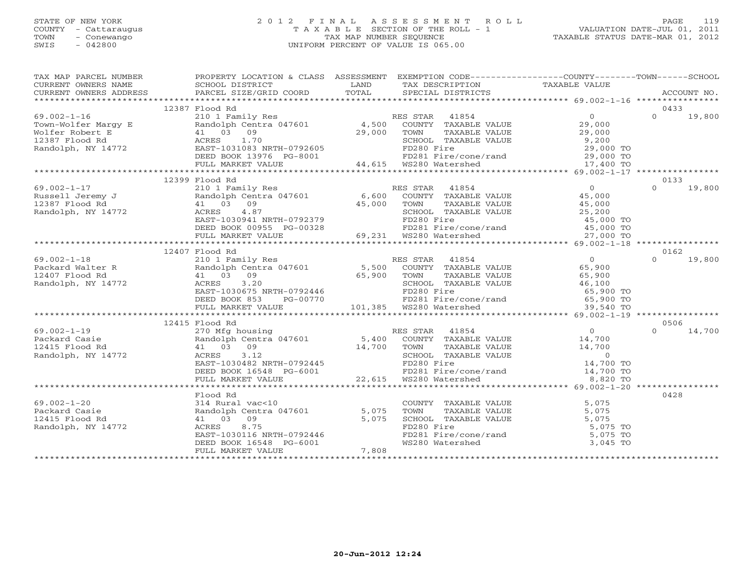#### STATE OF NEW YORK 2 0 1 2 F I N A L A S S E S S M E N T R O L L PAGE 119 COUNTY - Cattaraugus T A X A B L E SECTION OF THE ROLL - 1 VALUATION DATE-JUL 01, 2011 TOWN - Conewango TAX MAP NUMBER SEQUENCE TAXABLE STATUS DATE-MAR 01, 2012 SWIS - 042800 UNIFORM PERCENT OF VALUE IS 065.00UNIFORM PERCENT OF VALUE IS 065.00

| TAX MAP PARCEL NUMBER<br>TAXIN'S PARCEL SCHOOL DISTRICT CORD CONDUCTER TRANSPORT TRANSPORT TRANSPORT CONDUCTER TRANSPORT TRANSPORT TRANSPORT TRANSPORT TRANSPORT TRANSPORT TRANSPORT TRANSPORT TRANSPORT TRANSPORT TRANSPORT TRANSPORT TRANSPORT TRANSP | PROPERTY LOCATION & CLASS ASSESSMENT EXEMPTION CODE---------------COUNTY-------TOWN------SCHOOL                                                                                                                                                                                                                                                                     |                                                                                                                                                                 |                    |
|---------------------------------------------------------------------------------------------------------------------------------------------------------------------------------------------------------------------------------------------------------|---------------------------------------------------------------------------------------------------------------------------------------------------------------------------------------------------------------------------------------------------------------------------------------------------------------------------------------------------------------------|-----------------------------------------------------------------------------------------------------------------------------------------------------------------|--------------------|
|                                                                                                                                                                                                                                                         |                                                                                                                                                                                                                                                                                                                                                                     |                                                                                                                                                                 |                    |
|                                                                                                                                                                                                                                                         | 12387 Flood Rd                                                                                                                                                                                                                                                                                                                                                      |                                                                                                                                                                 | 0433               |
|                                                                                                                                                                                                                                                         |                                                                                                                                                                                                                                                                                                                                                                     |                                                                                                                                                                 |                    |
|                                                                                                                                                                                                                                                         |                                                                                                                                                                                                                                                                                                                                                                     |                                                                                                                                                                 |                    |
|                                                                                                                                                                                                                                                         |                                                                                                                                                                                                                                                                                                                                                                     |                                                                                                                                                                 |                    |
|                                                                                                                                                                                                                                                         |                                                                                                                                                                                                                                                                                                                                                                     |                                                                                                                                                                 |                    |
|                                                                                                                                                                                                                                                         |                                                                                                                                                                                                                                                                                                                                                                     |                                                                                                                                                                 |                    |
|                                                                                                                                                                                                                                                         |                                                                                                                                                                                                                                                                                                                                                                     |                                                                                                                                                                 |                    |
|                                                                                                                                                                                                                                                         |                                                                                                                                                                                                                                                                                                                                                                     |                                                                                                                                                                 |                    |
|                                                                                                                                                                                                                                                         |                                                                                                                                                                                                                                                                                                                                                                     |                                                                                                                                                                 |                    |
|                                                                                                                                                                                                                                                         | 12399 Flood Rd                                                                                                                                                                                                                                                                                                                                                      |                                                                                                                                                                 | 0133               |
| $69.002 - 1 - 17$                                                                                                                                                                                                                                       |                                                                                                                                                                                                                                                                                                                                                                     |                                                                                                                                                                 | $\Omega$<br>19,800 |
| Russell Jeremy J<br>12387 Flood Rd<br>Randolph, NY 14772                                                                                                                                                                                                |                                                                                                                                                                                                                                                                                                                                                                     |                                                                                                                                                                 |                    |
|                                                                                                                                                                                                                                                         | 41 03 09                                                                                                                                                                                                                                                                                                                                                            |                                                                                                                                                                 |                    |
|                                                                                                                                                                                                                                                         |                                                                                                                                                                                                                                                                                                                                                                     |                                                                                                                                                                 |                    |
|                                                                                                                                                                                                                                                         |                                                                                                                                                                                                                                                                                                                                                                     |                                                                                                                                                                 |                    |
|                                                                                                                                                                                                                                                         |                                                                                                                                                                                                                                                                                                                                                                     |                                                                                                                                                                 |                    |
|                                                                                                                                                                                                                                                         |                                                                                                                                                                                                                                                                                                                                                                     |                                                                                                                                                                 |                    |
|                                                                                                                                                                                                                                                         | $\begin{tabular}{lcccccc} r1 UUU &\text{KU} &\text{RU} &\text{RU} &\text{RU} &\text{RU} &\text{RU} &\text{RU} &\text{RU} &\text{RU} &\text{RU} &\text{RU} &\text{RU} &\text{RU} &\text{RU} &\text{RU} &\text{RU} &\text{RU} &\text{RU} &\text{RU} &\text{RU} &\text{RU} &\text{RU} &\text{RU} &\text{RU} &\text{RU} &\text{RU} &\text{RU} &\text{RU} &\text{RU} &\$ |                                                                                                                                                                 |                    |
|                                                                                                                                                                                                                                                         | 12407 Flood Rd                                                                                                                                                                                                                                                                                                                                                      |                                                                                                                                                                 | 0162               |
|                                                                                                                                                                                                                                                         |                                                                                                                                                                                                                                                                                                                                                                     |                                                                                                                                                                 |                    |
|                                                                                                                                                                                                                                                         |                                                                                                                                                                                                                                                                                                                                                                     |                                                                                                                                                                 |                    |
|                                                                                                                                                                                                                                                         |                                                                                                                                                                                                                                                                                                                                                                     |                                                                                                                                                                 |                    |
|                                                                                                                                                                                                                                                         |                                                                                                                                                                                                                                                                                                                                                                     |                                                                                                                                                                 |                    |
|                                                                                                                                                                                                                                                         |                                                                                                                                                                                                                                                                                                                                                                     |                                                                                                                                                                 |                    |
|                                                                                                                                                                                                                                                         |                                                                                                                                                                                                                                                                                                                                                                     |                                                                                                                                                                 |                    |
|                                                                                                                                                                                                                                                         |                                                                                                                                                                                                                                                                                                                                                                     |                                                                                                                                                                 |                    |
|                                                                                                                                                                                                                                                         |                                                                                                                                                                                                                                                                                                                                                                     |                                                                                                                                                                 |                    |
|                                                                                                                                                                                                                                                         | 12415 Flood Rd                                                                                                                                                                                                                                                                                                                                                      |                                                                                                                                                                 | 0506               |
|                                                                                                                                                                                                                                                         |                                                                                                                                                                                                                                                                                                                                                                     |                                                                                                                                                                 | 14,700<br>$\cap$   |
|                                                                                                                                                                                                                                                         |                                                                                                                                                                                                                                                                                                                                                                     |                                                                                                                                                                 |                    |
|                                                                                                                                                                                                                                                         |                                                                                                                                                                                                                                                                                                                                                                     |                                                                                                                                                                 |                    |
|                                                                                                                                                                                                                                                         |                                                                                                                                                                                                                                                                                                                                                                     |                                                                                                                                                                 |                    |
|                                                                                                                                                                                                                                                         |                                                                                                                                                                                                                                                                                                                                                                     |                                                                                                                                                                 |                    |
|                                                                                                                                                                                                                                                         |                                                                                                                                                                                                                                                                                                                                                                     |                                                                                                                                                                 |                    |
|                                                                                                                                                                                                                                                         |                                                                                                                                                                                                                                                                                                                                                                     |                                                                                                                                                                 |                    |
|                                                                                                                                                                                                                                                         |                                                                                                                                                                                                                                                                                                                                                                     |                                                                                                                                                                 |                    |
|                                                                                                                                                                                                                                                         | Flood Rd                                                                                                                                                                                                                                                                                                                                                            |                                                                                                                                                                 | 0428               |
| $69.002 - 1 - 20$                                                                                                                                                                                                                                       |                                                                                                                                                                                                                                                                                                                                                                     |                                                                                                                                                                 |                    |
| Packard Casie                                                                                                                                                                                                                                           |                                                                                                                                                                                                                                                                                                                                                                     |                                                                                                                                                                 |                    |
| 12415 Flood Rd                                                                                                                                                                                                                                          | 314 Rural vac<10<br>814 Rural vac<10<br>81 d3 09<br>82 aCRES 8.75<br>82 aCRES 8.75<br>82 aCRES 8.75<br>82 aCRES 8.75<br>82 aCRES 8.75<br>82 aCRES 8.75<br>82 aCRES 8.75<br>82 aCRES 8.75<br>82 aCRES 8.75<br>82 aCRES 8.75<br>82 aCRES 800 aCRES 8.75<br>8                                                                                                          | COUNTY TAXABLE VALUE<br>TOWN TAXABLE VALUE<br>SCHOOL TAXABLE VALUE<br>FD280 Fire<br>FD281 Fire/cone/rand<br>FD281 Fire/cone/rand<br>MS280 Watershed<br>3,045 TO |                    |
| Randolph, NY 14772                                                                                                                                                                                                                                      |                                                                                                                                                                                                                                                                                                                                                                     |                                                                                                                                                                 |                    |
|                                                                                                                                                                                                                                                         |                                                                                                                                                                                                                                                                                                                                                                     |                                                                                                                                                                 |                    |
|                                                                                                                                                                                                                                                         |                                                                                                                                                                                                                                                                                                                                                                     |                                                                                                                                                                 |                    |
|                                                                                                                                                                                                                                                         |                                                                                                                                                                                                                                                                                                                                                                     |                                                                                                                                                                 |                    |
|                                                                                                                                                                                                                                                         |                                                                                                                                                                                                                                                                                                                                                                     |                                                                                                                                                                 |                    |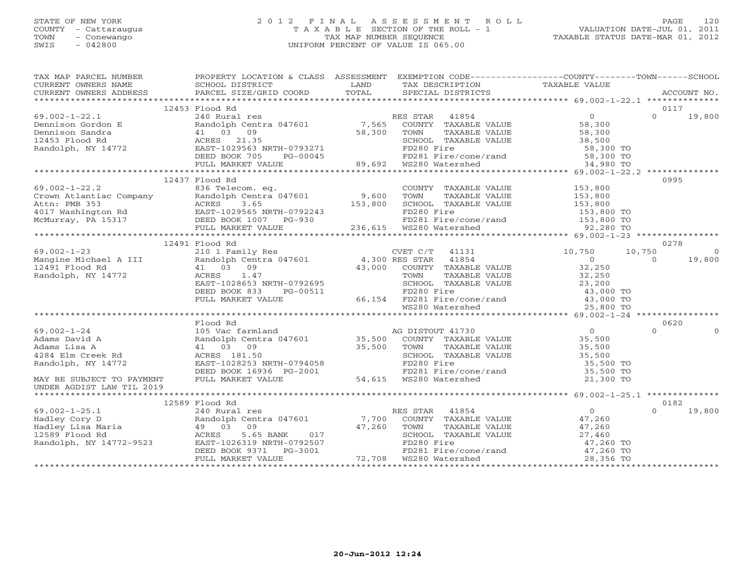#### STATE OF NEW YORK 2 0 1 2 F I N A L A S S E S S M E N T R O L L PAGE 120 COUNTY - Cattaraugus T A X A B L E SECTION OF THE ROLL - 1 VALUATION DATE-JUL 01, 2011 TOWN - Conewango TAX MAP NUMBER SEQUENCE TAXABLE STATUS DATE-MAR 01, 2012 SWIS - 042800 UNIFORM PERCENT OF VALUE IS 065.00UNIFORM PERCENT OF VALUE IS 065.00

| TAX MAP PARCEL NUMBER                                                                                                                                                                                                                                                                                                                                                                                                         | PROPERTY LOCATION & CLASS ASSESSMENT EXEMPTION CODE---------------COUNTY-------TOWN------SCHOOL |             |                                           |                        |                          |
|-------------------------------------------------------------------------------------------------------------------------------------------------------------------------------------------------------------------------------------------------------------------------------------------------------------------------------------------------------------------------------------------------------------------------------|-------------------------------------------------------------------------------------------------|-------------|-------------------------------------------|------------------------|--------------------------|
| CURRENT OWNERS NAME SCHOOL DISTRICT                                                                                                                                                                                                                                                                                                                                                                                           |                                                                                                 | <b>LAND</b> | TAX DESCRIPTION TAXABLE VALUE             |                        |                          |
| CONNERY OWNERS ADDRESS PORCEL SIZE/GRID COORD TOTAL SECIAL DISTRICTS FOR RECOUNT NO.<br>FINITAL SECIAL DISTRICTS FOR PORT ON SECIAL DISTRICTS ACCOUNT NO.                                                                                                                                                                                                                                                                     |                                                                                                 |             |                                           |                        |                          |
|                                                                                                                                                                                                                                                                                                                                                                                                                               | 12453 Flood Rd                                                                                  |             |                                           |                        | 0117                     |
| $\begin{tabular}{lllllllllllllllllll} \hline 69.002-1-22.1 & 24.55\ \mbox{Dennison Gordon E} & 240\ \mbox{Nemnison Sandra} & 240\ \mbox{Dennison Sandra} & 240\ \mbox{Dennison Sandra} & 41\ \mbox{O3$ & 09 & 58,300\ \mbox{Randolph, NY 14772} & 58.500\ \mbox{Randolph, NY 14772} & 58.500\ \mbox{EED BOK 705} & 7-565\ \mbox{COMNTY TAXABLE VALUE} & 58,300\ \$                                                            |                                                                                                 |             |                                           |                        | $\Omega$<br>19,800       |
|                                                                                                                                                                                                                                                                                                                                                                                                                               |                                                                                                 |             |                                           |                        |                          |
|                                                                                                                                                                                                                                                                                                                                                                                                                               |                                                                                                 |             |                                           |                        |                          |
|                                                                                                                                                                                                                                                                                                                                                                                                                               |                                                                                                 |             |                                           |                        |                          |
|                                                                                                                                                                                                                                                                                                                                                                                                                               |                                                                                                 |             |                                           |                        |                          |
|                                                                                                                                                                                                                                                                                                                                                                                                                               |                                                                                                 |             |                                           |                        |                          |
|                                                                                                                                                                                                                                                                                                                                                                                                                               |                                                                                                 |             |                                           |                        |                          |
|                                                                                                                                                                                                                                                                                                                                                                                                                               |                                                                                                 |             |                                           |                        |                          |
|                                                                                                                                                                                                                                                                                                                                                                                                                               | 12437 Flood Rd                                                                                  |             |                                           |                        | 0995                     |
|                                                                                                                                                                                                                                                                                                                                                                                                                               |                                                                                                 |             |                                           |                        |                          |
|                                                                                                                                                                                                                                                                                                                                                                                                                               |                                                                                                 |             |                                           |                        |                          |
|                                                                                                                                                                                                                                                                                                                                                                                                                               |                                                                                                 |             |                                           |                        |                          |
|                                                                                                                                                                                                                                                                                                                                                                                                                               |                                                                                                 |             |                                           |                        |                          |
|                                                                                                                                                                                                                                                                                                                                                                                                                               |                                                                                                 |             |                                           |                        |                          |
| $\begin{array}{cccccccc} 69.002-1-22.2 & 1237 & 1237 & 1247 & 1257 & 1257 & 1257 & 1257 & 1257 & 1257 & 1257 & 1257 & 1257 & 1257 & 1257 & 1257 & 1257 & 1257 & 1257 & 1257 & 1257 & 1257 & 1257 & 1257 & 1257 & 1257 & 1257 & 1257 & 1257 & 1257 & 1257 & 1257 & 1257 & 1257$                                                                                                                                                |                                                                                                 |             |                                           |                        |                          |
|                                                                                                                                                                                                                                                                                                                                                                                                                               |                                                                                                 |             |                                           |                        |                          |
|                                                                                                                                                                                                                                                                                                                                                                                                                               | 12491 Flood Rd                                                                                  |             |                                           |                        | 0278                     |
|                                                                                                                                                                                                                                                                                                                                                                                                                               |                                                                                                 |             | CVET C/T 41131 10,750<br>RES STAR 41854 0 |                        | 10,750<br>$\overline{0}$ |
|                                                                                                                                                                                                                                                                                                                                                                                                                               |                                                                                                 |             |                                           |                        | $\Omega$<br>19,800       |
|                                                                                                                                                                                                                                                                                                                                                                                                                               |                                                                                                 |             |                                           |                        |                          |
|                                                                                                                                                                                                                                                                                                                                                                                                                               |                                                                                                 |             |                                           |                        |                          |
|                                                                                                                                                                                                                                                                                                                                                                                                                               |                                                                                                 |             |                                           |                        |                          |
|                                                                                                                                                                                                                                                                                                                                                                                                                               |                                                                                                 |             |                                           |                        |                          |
|                                                                                                                                                                                                                                                                                                                                                                                                                               |                                                                                                 |             |                                           |                        |                          |
|                                                                                                                                                                                                                                                                                                                                                                                                                               |                                                                                                 |             |                                           |                        |                          |
| 3291 Flood Rd (11 (103 0 M3),000 COUNTY TAXABLE VALUE<br>2491 Flood Rd (103 09 (2000 TOWN TAXABLE VALUE 32,250<br>23,250 EAST-1028653 NRTH-0792695 EAST-1028653 NRTH-0792695 EAST-1028653 NRTH-0792695 EAST-1028653 PG-00511<br>EVIL                                                                                                                                                                                          |                                                                                                 |             |                                           |                        |                          |
| 99.002-1-24<br>Adams David A<br>Adams David A<br>Adams Lisa A<br>Adams Lisa A<br>Adams Lisa A<br>Adams Lisa A<br>Adams Lisa A<br>Adams Lisa A<br>Adams Lisa A<br>Adams Lisa A<br>Adams Lisa A<br>Adams Lisa A<br>Adams Lisa A<br>Adams Lisa A<br>Adams Lisa                                                                                                                                                                   | Flood Rd                                                                                        |             |                                           |                        | 0620                     |
|                                                                                                                                                                                                                                                                                                                                                                                                                               |                                                                                                 |             |                                           |                        | $\circ$<br>$\Omega$      |
|                                                                                                                                                                                                                                                                                                                                                                                                                               |                                                                                                 |             |                                           |                        |                          |
|                                                                                                                                                                                                                                                                                                                                                                                                                               |                                                                                                 |             |                                           |                        |                          |
|                                                                                                                                                                                                                                                                                                                                                                                                                               |                                                                                                 |             |                                           |                        |                          |
|                                                                                                                                                                                                                                                                                                                                                                                                                               |                                                                                                 |             |                                           | 35,500 TO<br>35,500 TO |                          |
|                                                                                                                                                                                                                                                                                                                                                                                                                               |                                                                                                 |             |                                           |                        |                          |
| UNDER AGDIST LAW TIL 2019                                                                                                                                                                                                                                                                                                                                                                                                     |                                                                                                 |             |                                           | 21,300 TO              |                          |
|                                                                                                                                                                                                                                                                                                                                                                                                                               |                                                                                                 |             |                                           |                        |                          |
|                                                                                                                                                                                                                                                                                                                                                                                                                               | 12589 Flood Rd                                                                                  |             |                                           |                        | 0182                     |
|                                                                                                                                                                                                                                                                                                                                                                                                                               |                                                                                                 |             |                                           |                        | $\Omega$<br>19,800       |
|                                                                                                                                                                                                                                                                                                                                                                                                                               |                                                                                                 |             |                                           |                        |                          |
|                                                                                                                                                                                                                                                                                                                                                                                                                               |                                                                                                 |             |                                           |                        |                          |
|                                                                                                                                                                                                                                                                                                                                                                                                                               |                                                                                                 |             |                                           |                        |                          |
|                                                                                                                                                                                                                                                                                                                                                                                                                               |                                                                                                 |             |                                           |                        |                          |
|                                                                                                                                                                                                                                                                                                                                                                                                                               |                                                                                                 |             |                                           |                        |                          |
| ${\small \begin{tabular}{lcccc} \textbf{69.002--1-25.1} & & & & 12589 \text{ Flood Rd} & & & \textbf{RES STAR} & 41854 & & & 0 \\ \textbf{Hadley Cory D} & & & & & \textbf{Randolph} & \textbf{Cory D} & & & & \textbf{Randolph} & 47,260 \\ \textbf{Hadley Lisa Maria} & & & 49 & 03 & 09 & & 47,260 & \textbf{TOWN} & \textbf{TAXABLE VALUE} & & 47,260 \\ \textbf{12589 Flood Rd} & & & & & \textbf{ACRES} & 5.65 BANK & $ |                                                                                                 |             |                                           |                        |                          |
|                                                                                                                                                                                                                                                                                                                                                                                                                               |                                                                                                 |             |                                           |                        |                          |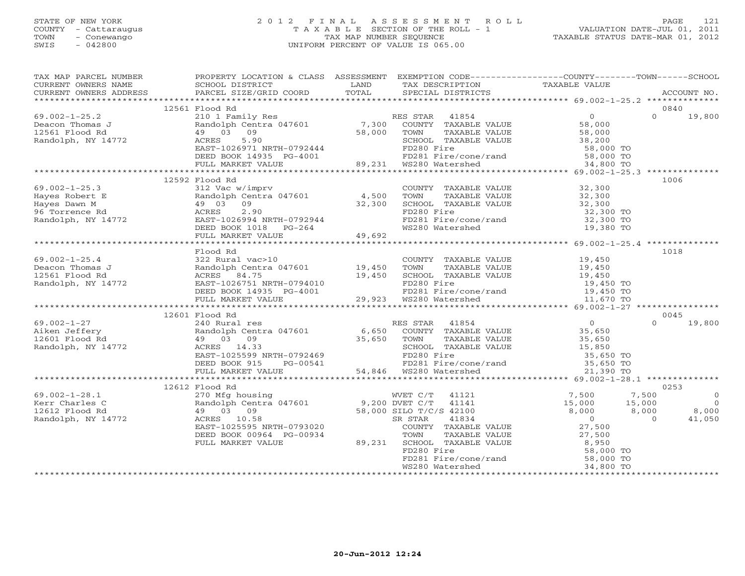#### STATE OF NEW YORK 2 0 1 2 F I N A L A S S E S S M E N T R O L L PAGE 121 COUNTY - Cattaraugus T A X A B L E SECTION OF THE ROLL - 1 VALUATION DATE-JUL 01, 2011 TOWN - Conewango TAX MAP NUMBER SEQUENCE TAXABLE STATUS DATE-MAR 01, 2012 SWIS - 042800 UNIFORM PERCENT OF VALUE IS 065.00UNIFORM PERCENT OF VALUE IS 065.00

| TAX MAP PARCEL NUMBER<br>CURRENT OWNERS NAME                                                                                                                                                                                                                                       | PROPERTY LOCATION & CLASS ASSESSMENT EXEMPTION CODE----------------COUNTY-------TOWN------SCHOOL<br>SCHOOL DISTRICT                                                                                                            | LAND | TAX DESCRIPTION                                                                                                                                    | TAXABLE VALUE                                |                         |
|------------------------------------------------------------------------------------------------------------------------------------------------------------------------------------------------------------------------------------------------------------------------------------|--------------------------------------------------------------------------------------------------------------------------------------------------------------------------------------------------------------------------------|------|----------------------------------------------------------------------------------------------------------------------------------------------------|----------------------------------------------|-------------------------|
|                                                                                                                                                                                                                                                                                    |                                                                                                                                                                                                                                |      |                                                                                                                                                    |                                              |                         |
|                                                                                                                                                                                                                                                                                    |                                                                                                                                                                                                                                |      |                                                                                                                                                    |                                              |                         |
|                                                                                                                                                                                                                                                                                    | 12561 Flood Rd                                                                                                                                                                                                                 |      |                                                                                                                                                    |                                              | 0840                    |
| $69.002 - 1 - 25.2$                                                                                                                                                                                                                                                                |                                                                                                                                                                                                                                |      |                                                                                                                                                    |                                              | $\Omega$<br>19,800      |
| Deacon Thomas J                                                                                                                                                                                                                                                                    |                                                                                                                                                                                                                                |      |                                                                                                                                                    |                                              |                         |
| 12561 Flood Rd                                                                                                                                                                                                                                                                     |                                                                                                                                                                                                                                |      |                                                                                                                                                    |                                              |                         |
| Randolph, NY 14772                                                                                                                                                                                                                                                                 |                                                                                                                                                                                                                                |      |                                                                                                                                                    |                                              |                         |
|                                                                                                                                                                                                                                                                                    |                                                                                                                                                                                                                                |      |                                                                                                                                                    |                                              |                         |
|                                                                                                                                                                                                                                                                                    |                                                                                                                                                                                                                                |      |                                                                                                                                                    |                                              |                         |
|                                                                                                                                                                                                                                                                                    |                                                                                                                                                                                                                                |      |                                                                                                                                                    |                                              |                         |
|                                                                                                                                                                                                                                                                                    |                                                                                                                                                                                                                                |      |                                                                                                                                                    |                                              |                         |
|                                                                                                                                                                                                                                                                                    | 12592 Flood Rd                                                                                                                                                                                                                 |      |                                                                                                                                                    |                                              | 1006                    |
| 69.002-1-25.3<br>Hayes Robert E<br>Hayes Dawn M<br>96 Torrence Rd<br>Randolph, NY 14772<br>2.90<br>Randolph, NY 14772<br>EED BOOK 1018 PG-264<br>PEED BOOK 1018 PG-264<br>2.90<br>2.90<br>EED BOOK 1018 PG-264<br>PEED BOOK 1018 PG-264<br>2.90<br>2.90<br>                        |                                                                                                                                                                                                                                |      | COUNTY TAXABLE VALUE 32,300                                                                                                                        |                                              |                         |
|                                                                                                                                                                                                                                                                                    |                                                                                                                                                                                                                                |      | TOWN                                                                                                                                               |                                              |                         |
|                                                                                                                                                                                                                                                                                    |                                                                                                                                                                                                                                |      |                                                                                                                                                    |                                              |                         |
|                                                                                                                                                                                                                                                                                    |                                                                                                                                                                                                                                |      | TOWN TAXABLE VALUE 32,300<br>SCHOOL TAXABLE VALUE 32,300<br>FD280 Fire 32,300<br>ruzou rire<br>FD281 Fire/cone/rand 32,300 TO<br>WS280 Watership   |                                              |                         |
|                                                                                                                                                                                                                                                                                    |                                                                                                                                                                                                                                |      |                                                                                                                                                    |                                              |                         |
|                                                                                                                                                                                                                                                                                    |                                                                                                                                                                                                                                |      | WS280 Watershed                                                                                                                                    | 19,380 TO                                    |                         |
|                                                                                                                                                                                                                                                                                    |                                                                                                                                                                                                                                |      |                                                                                                                                                    |                                              |                         |
|                                                                                                                                                                                                                                                                                    |                                                                                                                                                                                                                                |      |                                                                                                                                                    |                                              |                         |
|                                                                                                                                                                                                                                                                                    | Flood Rd                                                                                                                                                                                                                       |      |                                                                                                                                                    |                                              | 1018                    |
|                                                                                                                                                                                                                                                                                    | 322 Rural vac>10                                                                                                                                                                                                               |      | COUNTY TAXABLE VALUE 19,450                                                                                                                        |                                              |                         |
|                                                                                                                                                                                                                                                                                    |                                                                                                                                                                                                                                |      |                                                                                                                                                    |                                              |                         |
|                                                                                                                                                                                                                                                                                    |                                                                                                                                                                                                                                |      |                                                                                                                                                    |                                              |                         |
|                                                                                                                                                                                                                                                                                    |                                                                                                                                                                                                                                |      |                                                                                                                                                    |                                              |                         |
|                                                                                                                                                                                                                                                                                    |                                                                                                                                                                                                                                |      |                                                                                                                                                    |                                              |                         |
|                                                                                                                                                                                                                                                                                    |                                                                                                                                                                                                                                |      |                                                                                                                                                    |                                              |                         |
| $\begin{tabular}{lllllllllllllllllll} \hline 69.002-1-25.4 & 322~{\rm{num}} & 19.450 & 1000 & 19.450 & 10000 & 19.450 & 10000 & 19.450 & 10000 & 19.450 & 19.450 & 19.450 & 19.450 & 19.450 & 19.450 & 19.450 & 19.450 & 19.450 & 19.450 & 19.450 & 19.450 & 19.450 & 19.450 & 19$ |                                                                                                                                                                                                                                |      |                                                                                                                                                    |                                              |                         |
|                                                                                                                                                                                                                                                                                    | 12601 Flood Rd                                                                                                                                                                                                                 |      |                                                                                                                                                    |                                              | 0045                    |
| $69.002 - 1 - 27$                                                                                                                                                                                                                                                                  |                                                                                                                                                                                                                                |      |                                                                                                                                                    |                                              | $\cap$<br>19,800        |
| Aiken Jeffery                                                                                                                                                                                                                                                                      |                                                                                                                                                                                                                                |      |                                                                                                                                                    |                                              |                         |
| Randolph Cent<br>49 03 09<br>12601 Flood Rd                                                                                                                                                                                                                                        |                                                                                                                                                                                                                                |      |                                                                                                                                                    |                                              |                         |
| Randolph, NY 14772                                                                                                                                                                                                                                                                 |                                                                                                                                                                                                                                |      |                                                                                                                                                    |                                              |                         |
|                                                                                                                                                                                                                                                                                    |                                                                                                                                                                                                                                |      |                                                                                                                                                    |                                              |                         |
|                                                                                                                                                                                                                                                                                    |                                                                                                                                                                                                                                |      |                                                                                                                                                    |                                              |                         |
|                                                                                                                                                                                                                                                                                    | RES STAR 41854 (11000 AM RES STAR 41854 (11000 AM RES STAR 41854 (11000 AM RES RANGOLD COUNTY TAXABLE VALUE 35,650 (19 35,650 (120 35,650 TOWN TAXABLE VALUE 35,650 (120 36) (120 369 (120 369 SCHOOL TAXABLE VALUE 25,850 EAS |      |                                                                                                                                                    |                                              |                         |
|                                                                                                                                                                                                                                                                                    |                                                                                                                                                                                                                                |      |                                                                                                                                                    |                                              |                         |
|                                                                                                                                                                                                                                                                                    | 12612 Flood Rd                                                                                                                                                                                                                 |      |                                                                                                                                                    |                                              | 0253                    |
| $69.002 - 1 - 28.1$                                                                                                                                                                                                                                                                |                                                                                                                                                                                                                                |      | WVET C/T 41121                                                                                                                                     | 7,500                                        | 7,500<br>$\overline{0}$ |
| Kerr Charles C                                                                                                                                                                                                                                                                     |                                                                                                                                                                                                                                |      |                                                                                                                                                    |                                              | $\overline{0}$          |
| 12612 Flood Rd                                                                                                                                                                                                                                                                     |                                                                                                                                                                                                                                |      |                                                                                                                                                    |                                              | 8,000                   |
| Randolph, NY 14772                                                                                                                                                                                                                                                                 | 270 Mfg housing<br>270 Mfg housing<br>Randolph Centra 047601 9,200 DVET C/T 41141<br>49 03 09 58,000 SILO T/C/S 42100<br>ACRES 10.58 EAST-1025595 NRTH-0793020 COUNTY TAXABLE                                                  |      | 110 1/0/5 42100<br>R STAR 41834<br>COUNTY TAXABLE VALUE                                                                                            | $15,000$ $15,000$<br>8,000 8,000<br>27,500 0 | 41,050                  |
|                                                                                                                                                                                                                                                                                    |                                                                                                                                                                                                                                |      |                                                                                                                                                    |                                              |                         |
|                                                                                                                                                                                                                                                                                    | DEED BOOK 00964 PG-00934                                                                                                                                                                                                       |      |                                                                                                                                                    |                                              |                         |
|                                                                                                                                                                                                                                                                                    | FULL MARKET VALUE                                                                                                                                                                                                              |      | TOWN TAXABLE VALUE $27,500$<br>SCHOOL TAXABLE VALUE 8,950<br>FD280 Fire 58,000 TO<br>FD281 Fire/cone/rand 58,000 TO<br>89,231 SCHOOL TAXABLE VALUE |                                              |                         |
|                                                                                                                                                                                                                                                                                    |                                                                                                                                                                                                                                |      |                                                                                                                                                    |                                              |                         |
|                                                                                                                                                                                                                                                                                    |                                                                                                                                                                                                                                |      |                                                                                                                                                    |                                              |                         |
|                                                                                                                                                                                                                                                                                    |                                                                                                                                                                                                                                |      |                                                                                                                                                    |                                              |                         |
|                                                                                                                                                                                                                                                                                    |                                                                                                                                                                                                                                |      |                                                                                                                                                    |                                              |                         |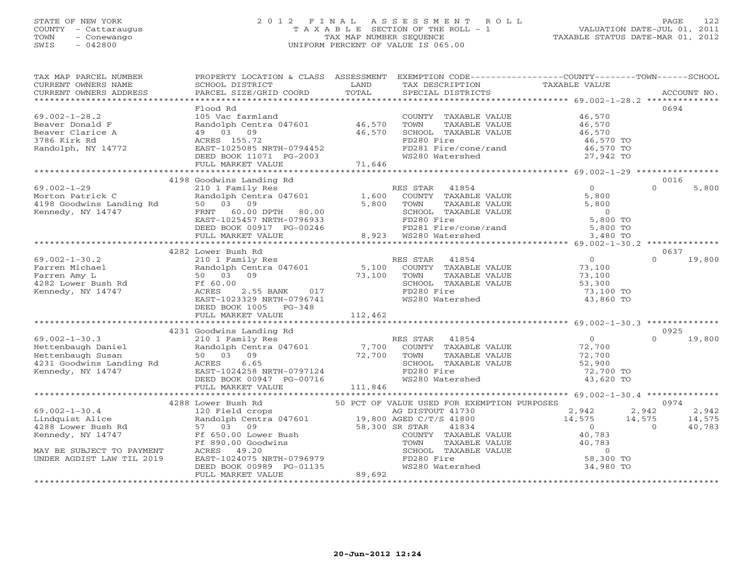#### STATE OF NEW YORK 2 0 1 2 F I N A L A S S E S S M E N T R O L L PAGE 122 COUNTY - Cattaraugus T A X A B L E SECTION OF THE ROLL - 1 VALUATION DATE-JUL 01, 2011 TOWN - Conewango TAX MAP NUMBER SEQUENCE TAXABLE STATUS DATE-MAR 01, 2012 SWIS - 042800 UNIFORM PERCENT OF VALUE IS 065.00UNIFORM PERCENT OF VALUE IS 065.00

| TAX MAP PARCEL NUMBER<br>CURRENT OWNERS NAME<br>CURRENT OWNERS ADDRESS                                                                                                                                                                                                          | PROPERTY LOCATION & CLASS ASSESSMENT EXEMPTION CODE----------------COUNTY-------TOWN------SCHOOL<br>SCHOOL DISTRICT<br>PARCEL SIZE/GRID COORD                                                                                                                                                        | LAND<br>TOTAL | TAX DESCRIPTION<br>SPECIAL DISTRICTS                                                                                                                                                    | TAXABLE VALUE                                                                                                  |                | ACCOUNT NO.               |
|---------------------------------------------------------------------------------------------------------------------------------------------------------------------------------------------------------------------------------------------------------------------------------|------------------------------------------------------------------------------------------------------------------------------------------------------------------------------------------------------------------------------------------------------------------------------------------------------|---------------|-----------------------------------------------------------------------------------------------------------------------------------------------------------------------------------------|----------------------------------------------------------------------------------------------------------------|----------------|---------------------------|
| $69.002 - 1 - 28.2$<br>Beaver Donald F<br>Beaver Clarice A<br>3786 Kirk Rd<br>Randolph, NY 14772                                                                                                                                                                                | Flood Rd<br>105 Vac farmland<br>Randolph Centra 047601 46,570<br>49 03 09<br>ACRES 155.72<br>EAST-1025085 NRTH-0794452<br>DEED BOOK 11071 PG-2003<br>FULL MARKET VALUE                                                                                                                               | 46,570        | COUNTY TAXABLE VALUE 46,570<br>TOWN<br>TAXABLE VALUE<br>SCHOOL TAXABLE VALUE<br>FD280 Fire<br>FD281 Fire/cone/rand 46,570 TO<br>WS280 Watershed 27,942 TO                               | 46,570<br>46,570<br>46,570 TO<br>27,942 TO                                                                     | 0694           |                           |
|                                                                                                                                                                                                                                                                                 |                                                                                                                                                                                                                                                                                                      |               |                                                                                                                                                                                         |                                                                                                                |                |                           |
| $69.002 - 1 - 29$<br>Morton Patrick C<br>4198 Goodwins Landing Rd<br>Kennedy, NY 14747                                                                                                                                                                                          | 4198 Goodwins Landing Rd<br>210 1 Family Res<br>Randolph Centra 047601 1,600<br>50 03 09 5.800<br>FRNT 60.00 DPTH 80.00 SCHOOL TAXABLE VALUE 0<br>EAST-1025457 NRTH-0796933 FD280 Fire<br>DEED BOOK 00917 PG-00246 FD281 Fire/cone/rand 5,800 TO<br>FULL MARKET VALUE 8,923 WS280 Watershed 3,480 TO |               | RES STAR<br>41854<br>COUNTY TAXABLE VALUE<br>TAXABLE VALUE<br>TOWN                                                                                                                      | $\Omega$<br>5,800<br>5,800                                                                                     | 0016<br>$\cap$ | 5,800                     |
|                                                                                                                                                                                                                                                                                 |                                                                                                                                                                                                                                                                                                      |               |                                                                                                                                                                                         |                                                                                                                |                |                           |
|                                                                                                                                                                                                                                                                                 | 4282 Lower Bush Rd                                                                                                                                                                                                                                                                                   |               |                                                                                                                                                                                         |                                                                                                                | 0637           |                           |
| $69.002 - 1 - 30.2$                                                                                                                                                                                                                                                             | 210 1 Family Res<br>Randolph Centra 047601 5,100 COUNTY TAXABLE VALUE<br>50 03 09 73,100 TOWN TAXABLE VALUE<br>ACRES 2.55 BANK 017<br>EAST-1023329 NRTH-0796741<br>DEED BOOK 1005 PG-348<br>FULL MARKET VALUE                                                                                        | 112,462       | TAXABLE VALUE<br>SCHOOL TAXABLE VALUE<br>FD280 Fire<br>WS280 Watershed                                                                                                                  | $\bigcirc$<br>73,100<br>73,100<br>53,300<br>73,100 TO<br>43,860 TO                                             | $\Omega$       | 19,800                    |
|                                                                                                                                                                                                                                                                                 | 4231 Goodwins Landing Rd                                                                                                                                                                                                                                                                             |               |                                                                                                                                                                                         |                                                                                                                | 0925           |                           |
| $69.002 - 1 - 30.3$<br>Hettenbaugh Susan 50 03 09<br>4231 Goodwins Landing Rd ACRES 6.65<br>Kennedy, NY 14747 EAST-1024258                                                                                                                                                      | 210 1 Family Res<br>ACRES 6.65<br>EAST-1024258 NRTH-0797124<br>DEED BOOK 00947 PG-00716<br>FULL MARKET VALUE 111,846                                                                                                                                                                                 |               | RES STAR 41854<br>FD280 Fire<br>WS280 Watershed                                                                                                                                         | $\overline{0}$<br>52,900<br>72,700 TO<br>43,620 TO                                                             | $\Omega$       | 19,800                    |
|                                                                                                                                                                                                                                                                                 |                                                                                                                                                                                                                                                                                                      |               |                                                                                                                                                                                         |                                                                                                                |                |                           |
| 69.002-1-30.4<br>Lindquist Alice Randolph Centra 047601<br>4288 Lower Bush Rd<br>57 03 09<br>58,300 SR STAR 41834<br>58,300 SR STAR 41834<br>58,300 SR STAR 41834<br>58,300 SR STAR 41834<br>58,300 SR STAR 41834<br>58,300 SR STAR 41834<br>58,30<br>UNDER AGDIST LAW TIL 2019 | 4288 Lower Bush Rd<br>EAST-1024075 NRTH-0796979<br>DEED BOOK 00989 PG-01135                                                                                                                                                                                                                          |               | 50 PCT OF VALUE USED FOR EXEMPTION PURPOSES<br>AG DISTOUT 41730<br>ED C/T/S 4100<br>COUNTY TAXABLE VALUE<br>COUNTY TAXABLE VALUE<br>TOWN TAXABLE VALUE<br>FD280 Fire<br>WS280 Watershed | 2,942<br>$2,942$<br>14,575<br>14,575<br>40,783<br>40,783<br>40,783<br>$\overline{0}$<br>58,300 TO<br>34,980 TO | 0974<br>2,942  | 2,942<br>14,575<br>40,783 |
| *******************                                                                                                                                                                                                                                                             | FULL MARKET VALUE                                                                                                                                                                                                                                                                                    | 89,692        |                                                                                                                                                                                         |                                                                                                                |                |                           |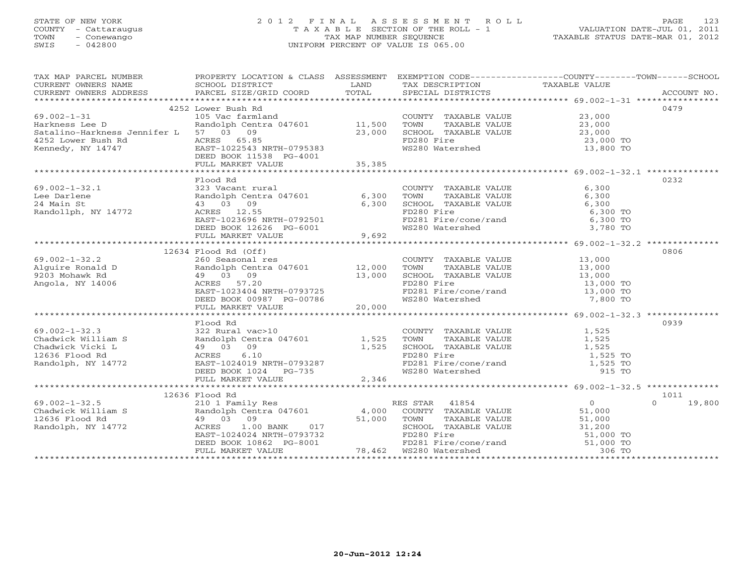#### STATE OF NEW YORK 2 0 1 2 F I N A L A S S E S S M E N T R O L L PAGE 123 COUNTY - Cattaraugus T A X A B L E SECTION OF THE ROLL - 1 VALUATION DATE-JUL 01, 2011 TOWN - Conewango TAX MAP NUMBER SEQUENCE TAXABLE STATUS DATE-MAR 01, 2012 SWIS - 042800 UNIFORM PERCENT OF VALUE IS 065.00UNIFORM PERCENT OF VALUE IS 065.00

| TAX MAP PARCEL NUMBER                                                                                                                                                                                                                                                                                                                                                                              | PROPERTY LOCATION & CLASS ASSESSMENT EXEMPTION CODE----------------COUNTY-------TOWN------SCHOOL |                                                                                                                                                                                                  |                                                          |                |                  |
|----------------------------------------------------------------------------------------------------------------------------------------------------------------------------------------------------------------------------------------------------------------------------------------------------------------------------------------------------------------------------------------------------|--------------------------------------------------------------------------------------------------|--------------------------------------------------------------------------------------------------------------------------------------------------------------------------------------------------|----------------------------------------------------------|----------------|------------------|
| CURRENT OWNERS NAME                                                                                                                                                                                                                                                                                                                                                                                | SCHOOL DISTRICT                                                                                  | <b>EXAMPLE EXAMPLE EXAMPLE EXAMPLE EXAMPLE EXAMPLE EXAMPLE EXAMPLE EXAMPLE EXAMPLE EXAMPLE EXAMPLE EXAMPLE EXAMPLE EXAMPLE EXAMPLE EXAMPLE EXAMPLE EXAMPLE EXAMPLE EXAMPLE EXAMPLE EXAMPLE E</b> | TAX DESCRIPTION                                          | TAXABLE VALUE  |                  |
|                                                                                                                                                                                                                                                                                                                                                                                                    |                                                                                                  |                                                                                                                                                                                                  |                                                          |                |                  |
|                                                                                                                                                                                                                                                                                                                                                                                                    |                                                                                                  |                                                                                                                                                                                                  |                                                          |                |                  |
|                                                                                                                                                                                                                                                                                                                                                                                                    | 4252 Lower Bush Rd                                                                               |                                                                                                                                                                                                  |                                                          |                | 0479             |
| $69.002 - 1 - 31$                                                                                                                                                                                                                                                                                                                                                                                  | 105 Vac farmland                                                                                 |                                                                                                                                                                                                  | COUNTY TAXABLE VALUE 23,000                              |                |                  |
| Harkness Lee D                                                                                                                                                                                                                                                                                                                                                                                     | Randolph Centra 047601 11,500                                                                    |                                                                                                                                                                                                  | TAXABLE VALUE $23,000$<br>TAXABLE VALUE $23,000$<br>TOWN |                |                  |
| Satalino-Harkness Jennifer L 57 03 09                                                                                                                                                                                                                                                                                                                                                              |                                                                                                  | 23,000                                                                                                                                                                                           | SCHOOL TAXABLE VALUE                                     |                |                  |
| 4252 Lower Bush Rd                                                                                                                                                                                                                                                                                                                                                                                 |                                                                                                  |                                                                                                                                                                                                  | FD280 Fire                                               | 23,000 TO      |                  |
| Kennedy, NY 14747                                                                                                                                                                                                                                                                                                                                                                                  | ACRES 65.85<br>EAST-1022543 NRTH-0795383<br>DEED BOOK 11538 PG-4001                              |                                                                                                                                                                                                  | WS280 Watershed                                          | 13,800 TO      |                  |
|                                                                                                                                                                                                                                                                                                                                                                                                    |                                                                                                  |                                                                                                                                                                                                  |                                                          |                |                  |
|                                                                                                                                                                                                                                                                                                                                                                                                    | FULL MARKET VALUE                                                                                | 35, 385                                                                                                                                                                                          |                                                          |                |                  |
|                                                                                                                                                                                                                                                                                                                                                                                                    |                                                                                                  |                                                                                                                                                                                                  |                                                          |                |                  |
|                                                                                                                                                                                                                                                                                                                                                                                                    | Flood Rd                                                                                         |                                                                                                                                                                                                  |                                                          |                | 0232             |
| $69.002 - 1 - 32.1$                                                                                                                                                                                                                                                                                                                                                                                | 323 Vacant rural                                                                                 |                                                                                                                                                                                                  | COUNTY TAXABLE VALUE 6,300                               |                |                  |
| Lee Darlene                                                                                                                                                                                                                                                                                                                                                                                        |                                                                                                  |                                                                                                                                                                                                  | TOWN       TAXABLE  VALUE<br>SCHOOL    TAXABLE  VALUE    | 6,300          |                  |
| 24 Main St                                                                                                                                                                                                                                                                                                                                                                                         |                                                                                                  |                                                                                                                                                                                                  |                                                          | 6,300          |                  |
| Randollph, NY 14772                                                                                                                                                                                                                                                                                                                                                                                |                                                                                                  |                                                                                                                                                                                                  | FD280 Fire<br>FD281 Fire/cone/rand 6,300 TO              |                |                  |
|                                                                                                                                                                                                                                                                                                                                                                                                    | EAST-1023696 NRTH-0792501                                                                        |                                                                                                                                                                                                  |                                                          |                |                  |
|                                                                                                                                                                                                                                                                                                                                                                                                    | DEED BOOK 12626 PG-6001<br>FULL MARKET VALUE 9,692                                               |                                                                                                                                                                                                  | WS280 Watershed                                          | 3,780 TO       |                  |
|                                                                                                                                                                                                                                                                                                                                                                                                    |                                                                                                  |                                                                                                                                                                                                  |                                                          |                |                  |
|                                                                                                                                                                                                                                                                                                                                                                                                    |                                                                                                  |                                                                                                                                                                                                  |                                                          |                |                  |
| 09.002-1-32.2<br>Alguire Ronald D<br>260 Seasonal res<br>260 Seasonal res<br>260 Seasonal res<br>260 Seasonal res<br>260 Seasonal res<br>27.000 TOWN TAXABLE VALUE<br>203 Mohawk Rd<br>29 03 09<br>203 Mohawk Rd<br>29 03 09<br>203 Mohawk Rd<br>29 203                                                                                                                                            | 12634 Flood Rd (Off)                                                                             |                                                                                                                                                                                                  |                                                          |                | 0806             |
|                                                                                                                                                                                                                                                                                                                                                                                                    |                                                                                                  |                                                                                                                                                                                                  | COUNTY TAXABLE VALUE 13,000                              |                |                  |
|                                                                                                                                                                                                                                                                                                                                                                                                    |                                                                                                  |                                                                                                                                                                                                  |                                                          | 13,000         |                  |
|                                                                                                                                                                                                                                                                                                                                                                                                    |                                                                                                  |                                                                                                                                                                                                  | SCHOOL TAXABLE VALUE 13,000                              |                |                  |
|                                                                                                                                                                                                                                                                                                                                                                                                    |                                                                                                  |                                                                                                                                                                                                  |                                                          | 13,000 TO      |                  |
|                                                                                                                                                                                                                                                                                                                                                                                                    |                                                                                                  |                                                                                                                                                                                                  | FD281 Fire/cone/rand 13,000 TO                           |                |                  |
|                                                                                                                                                                                                                                                                                                                                                                                                    |                                                                                                  |                                                                                                                                                                                                  | WS280 Watershed                                          | 7,800 TO       |                  |
|                                                                                                                                                                                                                                                                                                                                                                                                    |                                                                                                  |                                                                                                                                                                                                  |                                                          |                |                  |
|                                                                                                                                                                                                                                                                                                                                                                                                    |                                                                                                  |                                                                                                                                                                                                  |                                                          |                |                  |
|                                                                                                                                                                                                                                                                                                                                                                                                    | Flood Rd                                                                                         |                                                                                                                                                                                                  |                                                          |                | 0939             |
|                                                                                                                                                                                                                                                                                                                                                                                                    |                                                                                                  |                                                                                                                                                                                                  | COUNTY TAXABLE VALUE<br>TOWN      TAXABLE VALUE          | 1,525<br>1,525 |                  |
|                                                                                                                                                                                                                                                                                                                                                                                                    |                                                                                                  |                                                                                                                                                                                                  |                                                          |                |                  |
|                                                                                                                                                                                                                                                                                                                                                                                                    |                                                                                                  |                                                                                                                                                                                                  | SCHOOL TAXABLE VALUE                                     | 1,525          |                  |
|                                                                                                                                                                                                                                                                                                                                                                                                    |                                                                                                  |                                                                                                                                                                                                  | FD280 Fire                                               | 1,525 TO       |                  |
|                                                                                                                                                                                                                                                                                                                                                                                                    |                                                                                                  |                                                                                                                                                                                                  | FD200 fire<br>FD281 Fire/cone/rand 1,525 TO              |                |                  |
|                                                                                                                                                                                                                                                                                                                                                                                                    |                                                                                                  |                                                                                                                                                                                                  | WS280 Watershed                                          | 915 TO         |                  |
|                                                                                                                                                                                                                                                                                                                                                                                                    | ACRES 6.10<br>EAST-1024019 NRTH-0793287<br>DEED BOOK 1024 PG-735<br>FIILL MARKET VALUE 2,346     |                                                                                                                                                                                                  |                                                          |                |                  |
|                                                                                                                                                                                                                                                                                                                                                                                                    |                                                                                                  |                                                                                                                                                                                                  |                                                          |                |                  |
|                                                                                                                                                                                                                                                                                                                                                                                                    |                                                                                                  |                                                                                                                                                                                                  |                                                          |                | 1011             |
| $\begin{array}{ccccccccc}\n\text{O1} & \text{O2} & -\text{O3} & \text{O4} & \text{O5} & \text{O6} & \text{O7} & \text{O8} & \text{O8} & \text{O8} & \text{O8} & \text{O8} & \text{O8} & \text{O8} & \text{O8} & \text{O8} & \text{O8} & \text{O8} & \text{O8} & \text{O8} & \text{O8} & \text{O8} & \text{O8} & \text{O8} & \text{O8} & \text{O8} & \text{O8} & \text{O8} & \text{O8} & \text{O8}$ |                                                                                                  |                                                                                                                                                                                                  | RES STAR 41854                                           | $\overline{0}$ | $\cap$<br>19,800 |
|                                                                                                                                                                                                                                                                                                                                                                                                    |                                                                                                  |                                                                                                                                                                                                  | COUNTY TAXABLE VALUE 51,000                              |                |                  |
|                                                                                                                                                                                                                                                                                                                                                                                                    |                                                                                                  |                                                                                                                                                                                                  | TOWN<br>TAXABLE VALUE                                    | 51,000         |                  |
|                                                                                                                                                                                                                                                                                                                                                                                                    |                                                                                                  |                                                                                                                                                                                                  | SCHOOL TAXABLE VALUE                                     | 31,200         |                  |
|                                                                                                                                                                                                                                                                                                                                                                                                    |                                                                                                  |                                                                                                                                                                                                  | FD280 Fire                                               | 51,000 TO      |                  |
|                                                                                                                                                                                                                                                                                                                                                                                                    |                                                                                                  |                                                                                                                                                                                                  |                                                          |                |                  |
|                                                                                                                                                                                                                                                                                                                                                                                                    | DEED BOOK 10862 PG-8001 FULL MARKET VALUE 78,462 WS280 Watershed                                 |                                                                                                                                                                                                  |                                                          | 306 TO         |                  |
|                                                                                                                                                                                                                                                                                                                                                                                                    |                                                                                                  |                                                                                                                                                                                                  |                                                          |                |                  |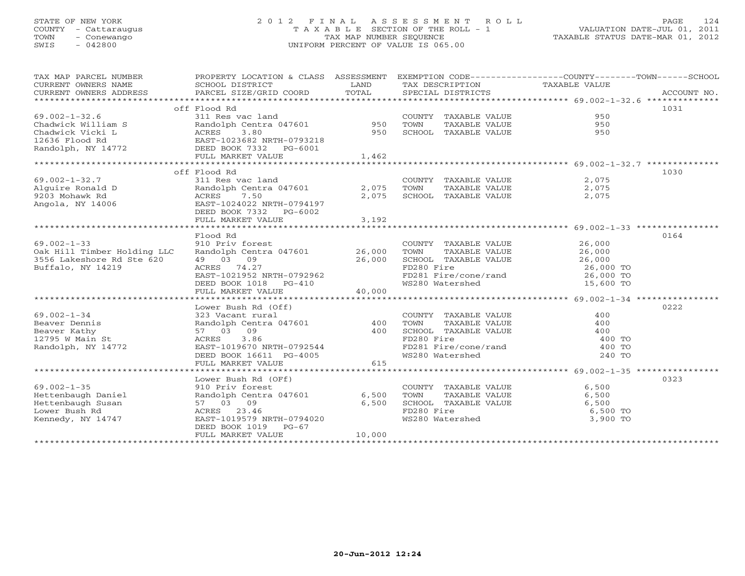### STATE OF NEW YORK 2 0 1 2 F I N A L A S S E S S M E N T R O L L PAGE 124 COUNTY - Cattaraugus T A X A B L E SECTION OF THE ROLL - 1 VALUATION DATE-JUL 01, 2011 TOWN - Conewango TAX MAP NUMBER SEQUENCE TAXABLE STATUS DATE-MAR 01, 2012 SWIS - 042800 UNIFORM PERCENT OF VALUE IS 065.00UNIFORM PERCENT OF VALUE IS 065.00

| TAX MAP PARCEL NUMBER<br>CURRENT OWNERS NAME<br>CURRENT OWNERS ADDRESS                                                                                                           | PROPERTY LOCATION & CLASS ASSESSMENT EXEMPTION CODE----------------COUNTY-------TOWN------SCHOOL<br>SCHOOL DISTRICT<br>PARCEL SIZE/GRID COORD TOTAL                                  | <b>EXAMPLE SERVICE SERVICE SERVICE SERVICE SERVICE SERVICE SERVICE SERVICE SERVICE SERVICE SERVICE SERVICE SERVICE</b> | TAX DESCRIPTION TAXABLE VALUE<br>SPECIAL DISTRICTS                                                                                                                                           |                      | ACCOUNT NO. |
|----------------------------------------------------------------------------------------------------------------------------------------------------------------------------------|--------------------------------------------------------------------------------------------------------------------------------------------------------------------------------------|------------------------------------------------------------------------------------------------------------------------|----------------------------------------------------------------------------------------------------------------------------------------------------------------------------------------------|----------------------|-------------|
|                                                                                                                                                                                  |                                                                                                                                                                                      |                                                                                                                        |                                                                                                                                                                                              |                      |             |
|                                                                                                                                                                                  | off Flood Rd                                                                                                                                                                         |                                                                                                                        |                                                                                                                                                                                              |                      | 1031        |
| $69.002 - 1 - 32.6$                                                                                                                                                              | 11000 nm<br>Randolph Centra 047601 950<br>ACRES 3.80 950                                                                                                                             |                                                                                                                        | COUNTY TAXABLE VALUE                                                                                                                                                                         | 950                  |             |
|                                                                                                                                                                                  |                                                                                                                                                                                      |                                                                                                                        | TOWN<br>TAXABLE VALUE                                                                                                                                                                        | 950                  |             |
|                                                                                                                                                                                  |                                                                                                                                                                                      |                                                                                                                        | SCHOOL TAXABLE VALUE                                                                                                                                                                         | 950                  |             |
|                                                                                                                                                                                  |                                                                                                                                                                                      |                                                                                                                        |                                                                                                                                                                                              |                      |             |
| 03.002-1-32.0<br>Chadwick William S<br>Chadwick Vicki L<br>12636 Flood Rd<br>Randolph, NY 14772<br>Randolph, NY 14772<br>DEED BOOK 7332 PG-6001                                  |                                                                                                                                                                                      |                                                                                                                        |                                                                                                                                                                                              |                      |             |
|                                                                                                                                                                                  | FULL MARKET VALUE                                                                                                                                                                    | 1,462                                                                                                                  |                                                                                                                                                                                              |                      |             |
|                                                                                                                                                                                  |                                                                                                                                                                                      |                                                                                                                        |                                                                                                                                                                                              |                      |             |
|                                                                                                                                                                                  | off Flood Rd                                                                                                                                                                         |                                                                                                                        |                                                                                                                                                                                              |                      | 1030        |
|                                                                                                                                                                                  |                                                                                                                                                                                      |                                                                                                                        | $\begin{tabular}{llllll} \multicolumn{2}{c}{\textbf{COUNTY}} & \textbf{TAXABLE VALUE} & & & & 2,075 \\ \multicolumn{2}{c}{\textbf{TOWN}} & \textbf{TAXABLE VALUE} & & & 2,075 \end{tabular}$ |                      |             |
|                                                                                                                                                                                  |                                                                                                                                                                                      |                                                                                                                        |                                                                                                                                                                                              |                      |             |
| COUNT<br>Alguire Ronald D<br>Alguire Ronald D<br>Pandolph Centra 047601<br>Randolph Centra 047601<br>2,075 TOWN<br>2,075 SCHOO.<br>Angola, NY 14006<br>EAST-1024022 NRTH-0794197 |                                                                                                                                                                                      |                                                                                                                        | SCHOOL TAXABLE VALUE                                                                                                                                                                         | 2,075                |             |
|                                                                                                                                                                                  |                                                                                                                                                                                      |                                                                                                                        |                                                                                                                                                                                              |                      |             |
|                                                                                                                                                                                  | DEED BOOK 7332 PG-6002                                                                                                                                                               |                                                                                                                        |                                                                                                                                                                                              |                      |             |
|                                                                                                                                                                                  | FULL MARKET VALUE                                                                                                                                                                    | 3,192                                                                                                                  |                                                                                                                                                                                              |                      |             |
|                                                                                                                                                                                  |                                                                                                                                                                                      |                                                                                                                        |                                                                                                                                                                                              |                      |             |
|                                                                                                                                                                                  | Flood Rd                                                                                                                                                                             |                                                                                                                        |                                                                                                                                                                                              |                      | 0164        |
| $69.002 - 1 - 33$                                                                                                                                                                | 910 Priv forest                                                                                                                                                                      |                                                                                                                        | COUNTY TAXABLE VALUE 26,000                                                                                                                                                                  |                      |             |
| Oak Hill Timber Holding LLC                                                                                                                                                      | Randolph Centra 047601 26,000                                                                                                                                                        |                                                                                                                        | TOWN                                                                                                                                                                                         | TAXABLE VALUE 26,000 |             |
| 3556 Lakeshore Rd Ste 620                                                                                                                                                        | 49 03 09                                                                                                                                                                             | 26,000                                                                                                                 |                                                                                                                                                                                              |                      |             |
| Buffalo, NY 14219                                                                                                                                                                | ACRES 74.27                                                                                                                                                                          |                                                                                                                        |                                                                                                                                                                                              |                      |             |
|                                                                                                                                                                                  |                                                                                                                                                                                      |                                                                                                                        | FD281 Fire/cone/rand 26,000 TO                                                                                                                                                               | 15,600 TO            |             |
|                                                                                                                                                                                  | EAST-1021952 NRTH-0792962<br>DEED BOOK 1018 PG-410<br>FULL MARKET VALUE 40,000                                                                                                       |                                                                                                                        | WS280 Watershed                                                                                                                                                                              |                      |             |
|                                                                                                                                                                                  |                                                                                                                                                                                      |                                                                                                                        |                                                                                                                                                                                              |                      |             |
|                                                                                                                                                                                  | Lower Bush Rd (Off)<br>323 Vacant rural<br>Randolph Centra 047601<br>57 03 09 400<br>ACRES 3.86<br>EAST-1019670 NRTH-0792544<br>DEED BOOK 16611 PG-4005 615<br>FUIL MARKET VALUE 615 |                                                                                                                        |                                                                                                                                                                                              |                      | 0222        |
| $69.002 - 1 - 34$                                                                                                                                                                |                                                                                                                                                                                      |                                                                                                                        |                                                                                                                                                                                              | 400                  |             |
|                                                                                                                                                                                  |                                                                                                                                                                                      |                                                                                                                        |                                                                                                                                                                                              | 400                  |             |
|                                                                                                                                                                                  |                                                                                                                                                                                      |                                                                                                                        | COUNTY TAXABLE VALUE<br>TOWN TAXABLE VALUE<br>SCHOOL TAXABLE VALUE                                                                                                                           | 400                  |             |
| oy.UUZ-1-34<br>Beaver Dennis<br>Beaver Kathy<br>12795 W Main St<br>Randolph, NY 14772                                                                                            |                                                                                                                                                                                      |                                                                                                                        |                                                                                                                                                                                              |                      |             |
|                                                                                                                                                                                  |                                                                                                                                                                                      |                                                                                                                        | FD280 Fire<br>FD281 Fire/cone/rand and the 400 TO<br>WS280 Watershed 240 TO                                                                                                                  |                      |             |
|                                                                                                                                                                                  |                                                                                                                                                                                      |                                                                                                                        |                                                                                                                                                                                              |                      |             |
|                                                                                                                                                                                  |                                                                                                                                                                                      |                                                                                                                        |                                                                                                                                                                                              |                      |             |
|                                                                                                                                                                                  |                                                                                                                                                                                      |                                                                                                                        |                                                                                                                                                                                              |                      |             |
|                                                                                                                                                                                  | Lower Bush Rd (OFf)                                                                                                                                                                  |                                                                                                                        |                                                                                                                                                                                              |                      | 0323        |
| $69.002 - 1 - 35$                                                                                                                                                                | 910 Priv forest                                                                                                                                                                      |                                                                                                                        | COUNTY TAXABLE VALUE                                                                                                                                                                         | 6,500                |             |
| Hettenbaugh Daniel                                                                                                                                                               | Randolph Centra 047601 6,500                                                                                                                                                         |                                                                                                                        | TAXABLE VALUE<br>TOWN                                                                                                                                                                        | 6,500                |             |
| Hettenbaugh Susan                                                                                                                                                                | 57 03 09                                                                                                                                                                             | 6,500                                                                                                                  | SCHOOL TAXABLE VALUE<br>FD280 Fire<br>WS280 Watershed                                                                                                                                        | 6,500                |             |
| Lower Bush Rd                                                                                                                                                                    | ACRES 23.46                                                                                                                                                                          |                                                                                                                        |                                                                                                                                                                                              | $6,500$ TO           |             |
| Kennedy, NY 14747                                                                                                                                                                | EAST-1019579 NRTH-0794020                                                                                                                                                            |                                                                                                                        |                                                                                                                                                                                              | 3,900 TO             |             |
|                                                                                                                                                                                  | DEED BOOK 1019 PG-67                                                                                                                                                                 |                                                                                                                        |                                                                                                                                                                                              |                      |             |
|                                                                                                                                                                                  | FULL MARKET VALUE                                                                                                                                                                    | 10,000                                                                                                                 |                                                                                                                                                                                              |                      |             |
|                                                                                                                                                                                  |                                                                                                                                                                                      |                                                                                                                        |                                                                                                                                                                                              |                      |             |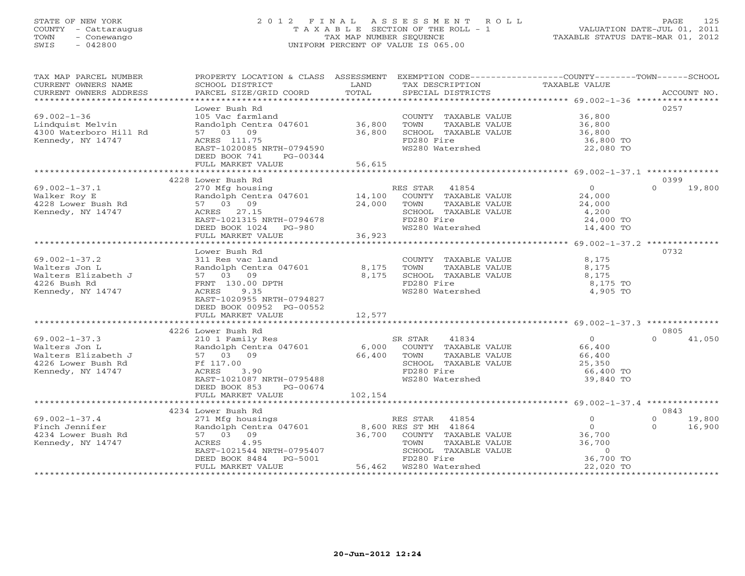#### STATE OF NEW YORK 2 0 1 2 F I N A L A S S E S S M E N T R O L L PAGE 125 COUNTY - Cattaraugus T A X A B L E SECTION OF THE ROLL - 1 VALUATION DATE-JUL 01, 2011 TOWN - Conewango TAX MAP NUMBER SEQUENCE TAXABLE STATUS DATE-MAR 01, 2012 SWIS - 042800 UNIFORM PERCENT OF VALUE IS 065.00UNIFORM PERCENT OF VALUE IS 065.00

| TAX MAP PARCEL NUMBER<br>CURRENT OWNERS NAME<br>CURRENT OWNERS ADDRESS | PROPERTY LOCATION & CLASS ASSESSMENT EXEMPTION CODE----------------COUNTY-------TOWN------SCHOOL<br>SCHOOL DISTRICT<br>PARCEL SIZE/GRID COORD | LAND<br>TOTAL | TAX DESCRIPTION<br>SPECIAL DISTRICTS | TAXABLE VALUE              | ACCOUNT NO.      |
|------------------------------------------------------------------------|-----------------------------------------------------------------------------------------------------------------------------------------------|---------------|--------------------------------------|----------------------------|------------------|
|                                                                        |                                                                                                                                               |               |                                      |                            |                  |
|                                                                        | Lower Bush Rd                                                                                                                                 |               |                                      |                            | 0257             |
| $69.002 - 1 - 36$                                                      | 105 Vac farmland                                                                                                                              |               | COUNTY TAXABLE VALUE 36,800          |                            |                  |
| Lindquist Melvin                                                       | Randolph Centra 047601 36,800                                                                                                                 |               | TOWN<br>TAXABLE VALUE                | 36,800<br>36,800<br>36,800 |                  |
| 4300 Waterboro Hill Rd                                                 | 57 03 09                                                                                                                                      | 36,800        | SCHOOL TAXABLE VALUE                 |                            |                  |
| Kennedy, NY 14747                                                      | ACRES 111.75<br>EAST-1020085 NRTH-0794590                                                                                                     |               | FD280 Fire<br>WS280 Watershed        | 36,800 TO<br>22,080 TO     |                  |
|                                                                        | DEED BOOK 741<br>PG-00344                                                                                                                     |               |                                      |                            |                  |
|                                                                        | FULL MARKET VALUE                                                                                                                             | 56,615        |                                      |                            |                  |
|                                                                        |                                                                                                                                               |               |                                      |                            |                  |
|                                                                        | 4228 Lower Bush Rd                                                                                                                            |               |                                      |                            | 0399             |
| $69.002 - 1 - 37.1$                                                    | 270 Mfg housing                                                                                                                               |               | RES STAR 41854                       | $\overline{0}$             | $\cap$<br>19,800 |
| Walker Roy E                                                           | Randolph Centra 047601                                                                                                                        | 14,100        | COUNTY TAXABLE VALUE                 | 24,000                     |                  |
| 4228 Lower Bush Rd                                                     | Randoiphi ---<br>57 03 09<br>27 11                                                                                                            | 24,000        | TOWN<br>TAXABLE VALUE                | 24,000                     |                  |
| Kennedy, NY 14747                                                      | ACRES 27.15                                                                                                                                   |               | SCHOOL TAXABLE VALUE                 | 4,200                      |                  |
|                                                                        | EAST-1021315 NRTH-0794678                                                                                                                     |               | FD280 Fire                           | 24,000 TO                  |                  |
|                                                                        | DEED BOOK 1024 PG-980                                                                                                                         |               | WS280 Watershed                      | 14,400 TO                  |                  |
|                                                                        | FULL MARKET VALUE                                                                                                                             | 36,923        |                                      |                            |                  |
|                                                                        | Lower Bush Rd                                                                                                                                 |               |                                      |                            | 0732             |
| $69.002 - 1 - 37.2$                                                    | 311 Res vac land                                                                                                                              |               | COUNTY TAXABLE VALUE                 | 8,175                      |                  |
| Walters Jon L                                                          | Randolph Centra 047601                                                                                                                        | 8,175         | TOWN<br>TAXABLE VALUE                | 8,175                      |                  |
| Walters Elizabeth J                                                    | 57 03 09                                                                                                                                      | 8,175         | SCHOOL TAXABLE VALUE                 | 8,175                      |                  |
| 4226 Bush Rd                                                           | FRNT 130.00 DPTH                                                                                                                              |               | FD280 Fire                           | 8,175 TO                   |                  |
| Kennedy, NY 14747                                                      | ACRES 9.35                                                                                                                                    |               | WS280 Watershed                      | 4,905 TO                   |                  |
|                                                                        | EAST-1020955 NRTH-0794827                                                                                                                     |               |                                      |                            |                  |
|                                                                        | DEED BOOK 00952 PG-00552                                                                                                                      |               |                                      |                            |                  |
|                                                                        | FULL MARKET VALUE                                                                                                                             | 12,577        |                                      |                            |                  |
|                                                                        |                                                                                                                                               |               |                                      |                            |                  |
|                                                                        | 4226 Lower Bush Rd                                                                                                                            |               |                                      |                            | 0805             |
| $69.002 - 1 - 37.3$                                                    | 210 1 Family Res                                                                                                                              |               | 41834<br>SR STAR                     | $\overline{0}$             | $\cap$<br>41,050 |
| Walters Jon L                                                          | Randolph Centra 047601<br>Randolph Cent<br>57 03 09                                                                                           |               | 6,000 COUNTY TAXABLE VALUE           | 66,400<br>66,400           |                  |
| Walters Elizabeth J                                                    |                                                                                                                                               | 66,400        | TAXABLE VALUE<br>TOWN                |                            |                  |
| 4226 Lower Bush Rd                                                     | Ff 117.00<br>ACRES<br>3.90                                                                                                                    |               | SCHOOL TAXABLE VALUE<br>FD280 Fire   | 25,350<br>66,400 TO        |                  |
| Kennedy, NY 14747                                                      | EAST-1021087 NRTH-0795488                                                                                                                     |               | WS280 Watershed                      | 39,840 TO                  |                  |
|                                                                        | DEED BOOK 853<br>PG-00674                                                                                                                     |               |                                      |                            |                  |
|                                                                        | FULL MARKET VALUE                                                                                                                             | 102,154       |                                      |                            |                  |
|                                                                        |                                                                                                                                               |               |                                      |                            |                  |
|                                                                        | 4234 Lower Bush Rd                                                                                                                            |               |                                      |                            | 0843             |
| $69.002 - 1 - 37.4$                                                    | 271 Mfg housings                                                                                                                              |               | RES STAR 41854                       | $\circ$<br>$\Omega$        | 19,800           |
| Finch Jennifer                                                         | Randolph Centra 047601 8,600 RES ST MH 41864<br>57 03 09 36,700 COUNTY TAXABLE<br>ACRES 4.95 7 70WN TAXABLE                                   |               |                                      | $\circ$<br>$\Omega$        | 16,900           |
| 4234 Lower Bush Rd                                                     |                                                                                                                                               |               | 36,700 COUNTY TAXABLE VALUE          | 36,700                     |                  |
| Kennedy, NY 14747                                                      |                                                                                                                                               |               | TAXABLE VALUE                        | 36,700                     |                  |
|                                                                        | EAST-1021544 NRTH-0795407                                                                                                                     |               | SCHOOL TAXABLE VALUE                 | $\Omega$                   |                  |
|                                                                        | PG-5001<br>DEED BOOK 8484                                                                                                                     |               | FD280 Fire                           | 36,700 TO                  |                  |
|                                                                        | FULL MARKET VALUE                                                                                                                             |               |                                      | 22,020 TO                  |                  |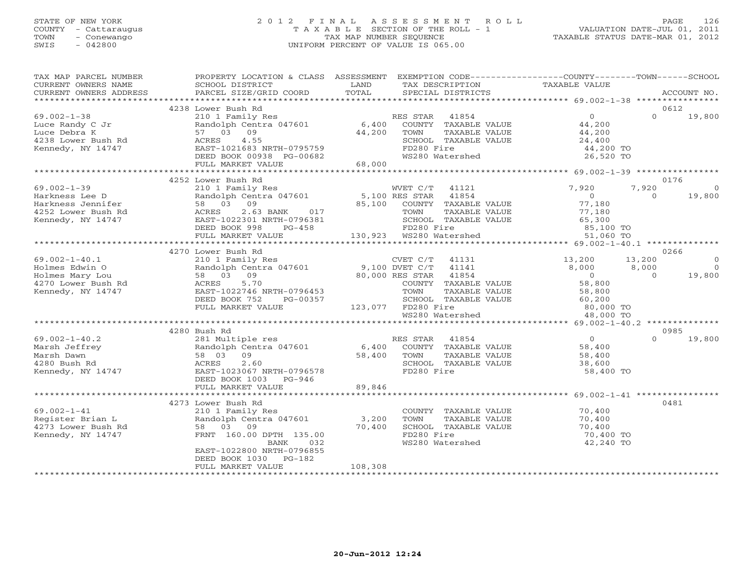#### STATE OF NEW YORK 2 0 1 2 F I N A L A S S E S S M E N T R O L L PAGE 126 COUNTY - Cattaraugus T A X A B L E SECTION OF THE ROLL - 1 VALUATION DATE-JUL 01, 2011 TOWN - Conewango TAX MAP NUMBER SEQUENCE TAXABLE STATUS DATE-MAR 01, 2012 SWIS - 042800 UNIFORM PERCENT OF VALUE IS 065.00UNIFORM PERCENT OF VALUE IS 065.00

| TAX MAP PARCEL NUMBER<br>CURRENT OWNERS NAME<br>CURRENT OWNERS ADDRESS | PROPERTY LOCATION & CLASS ASSESSMENT<br>SCHOOL DISTRICT<br>PARCEL SIZE/GRID COORD   | LAND<br>TOTAL      | TAX DESCRIPTION       | SPECIAL DISTRICTS       | EXEMPTION CODE-----------------COUNTY-------TOWN------SCHOOL<br>TAXABLE VALUE |                | ACCOUNT NO.    |
|------------------------------------------------------------------------|-------------------------------------------------------------------------------------|--------------------|-----------------------|-------------------------|-------------------------------------------------------------------------------|----------------|----------------|
|                                                                        |                                                                                     |                    |                       |                         |                                                                               |                |                |
|                                                                        | 4238 Lower Bush Rd                                                                  |                    |                       |                         |                                                                               |                | 0612           |
| $69.002 - 1 - 38$                                                      | 210 1 Family Res                                                                    |                    | RES STAR              | 41854                   | $\overline{0}$                                                                | $\Omega$       | 19,800         |
| Luce Randy C Jr                                                        | Randolph Centra 047601                                                              | 6,400              |                       | COUNTY TAXABLE VALUE    | 44,200                                                                        |                |                |
| Luce Debra K                                                           | 57 03 09                                                                            | 44,200             | TOWN                  | TAXABLE VALUE           | 44,200                                                                        |                |                |
| 4238 Lower Bush Rd                                                     | 4.55<br>ACRES                                                                       |                    |                       | SCHOOL TAXABLE VALUE    | 24,400                                                                        |                |                |
| Kennedy, NY 14747                                                      | EAST-1021683 NRTH-0795759                                                           |                    | FD280 Fire            |                         | 44,200 TO                                                                     |                |                |
|                                                                        | DEED BOOK 00938 PG-00682                                                            |                    | WS280 Watershed       |                         | 26,520 TO                                                                     |                |                |
|                                                                        | FULL MARKET VALUE                                                                   | 68,000             |                       |                         |                                                                               |                |                |
|                                                                        | 4252 Lower Bush Rd                                                                  |                    |                       |                         |                                                                               |                | 0176           |
| $69.002 - 1 - 39$                                                      | 210 1 Family Res                                                                    |                    | WVET C/T 41121        |                         | 7,920                                                                         | 7,920          | $\circ$        |
| Harkness Lee D                                                         |                                                                                     |                    |                       |                         | $\bigcirc$                                                                    | $\Omega$       | 19,800         |
| Harkness Jennifer                                                      | Eandolph Centra 047601 5,100 RES STAR 41854<br>58 03 09 85,100 COUNTY TAXABLE VALUE |                    |                       |                         | 77,180                                                                        |                |                |
| 4252 Lower Bush Rd                                                     | 2.63 BANK<br>ACRES                                                                  | $017$<br>796381    | TOWN                  | TAXABLE VALUE           | 77,180                                                                        |                |                |
| Kennedy, NY 14747                                                      | EAST-1022301 NRTH-0796381                                                           |                    |                       | SCHOOL TAXABLE VALUE    | 65,300                                                                        |                |                |
|                                                                        | DEED BOOK 998<br>$PG-458$                                                           |                    | FD280 Fire            |                         | 85,100 TO                                                                     |                |                |
|                                                                        | FULL MARKET VALUE                                                                   |                    |                       | 130,923 WS280 Watershed | 51,060 TO                                                                     |                |                |
|                                                                        |                                                                                     |                    |                       |                         |                                                                               |                |                |
|                                                                        | 4270 Lower Bush Rd                                                                  |                    |                       |                         |                                                                               |                | 0266           |
| $69.002 - 1 - 40.1$                                                    | 210 1 Family Res                                                                    |                    | CVET C/T              | 41131                   | 13,200                                                                        | 13,200         | $\overline{0}$ |
| Holmes Edwin O                                                         | Randolph Centra 047601 9,100 DVET C/T                                               |                    |                       | 41141                   | 8,000                                                                         | 8,000          | $\overline{0}$ |
| Holmes Mary Lou                                                        | 58 03 09                                                                            |                    | 80,000 RES STAR 41854 |                         | $\overline{0}$                                                                | $\overline{0}$ | 19,800         |
| 4270 Lower Bush Rd                                                     | ACRES<br>5.70                                                                       |                    |                       | COUNTY TAXABLE VALUE    |                                                                               |                |                |
| Kennedy, NY 14747                                                      | EAST-1022746 NRTH-0796453                                                           |                    | TOWN                  | TAXABLE VALUE           | 58,800<br>58,800                                                              |                |                |
|                                                                        | PG-00357<br>DEED BOOK 752                                                           |                    |                       | SCHOOL TAXABLE VALUE    |                                                                               |                |                |
|                                                                        | FULL MARKET VALUE                                                                   | 123,077 FD280 Fire |                       |                         | 60,200<br>80,000 TO                                                           |                |                |
|                                                                        |                                                                                     |                    | WS280 Watershed       |                         | 48,000 TO                                                                     |                |                |
|                                                                        |                                                                                     |                    |                       |                         |                                                                               |                |                |
|                                                                        | 4280 Bush Rd                                                                        |                    |                       |                         |                                                                               |                | 0985           |
| $69.002 - 1 - 40.2$                                                    | 281 Multiple res                                                                    |                    | RES STAR              | 41854                   | $\overline{0}$                                                                | $\Omega$       | 19,800         |
| Marsh Jeffrey                                                          | Randolph Centra 047601 6,400 COUNTY TAXABLE VALUE                                   |                    |                       |                         | 58,400                                                                        |                |                |
| Marsh Dawn                                                             | 09<br>58 03                                                                         | 58,400             | TOWN                  | TAXABLE VALUE           | 58,400                                                                        |                |                |
| 4280 Bush Rd                                                           | 2.60<br>ACRES                                                                       |                    |                       | SCHOOL TAXABLE VALUE    | 38,600                                                                        |                |                |
| Kennedy, NY 14747                                                      | EAST-1023067 NRTH-0796578                                                           |                    | FD280 Fire            |                         | 58,400 TO                                                                     |                |                |
|                                                                        | DEED BOOK 1003 PG-946                                                               |                    |                       |                         |                                                                               |                |                |
|                                                                        | FULL MARKET VALUE                                                                   | 89,846             |                       |                         | *********************** 69.002-1-41 ************                              |                |                |
|                                                                        | 4273 Lower Bush Rd                                                                  |                    |                       |                         |                                                                               |                | 0481           |
| $69.002 - 1 - 41$                                                      | 210 1 Family Res                                                                    |                    |                       | COUNTY TAXABLE VALUE    | 70,400                                                                        |                |                |
|                                                                        | Randolph Centra 047601                                                              | 3,200              | TOWN                  | TAXABLE VALUE           | 70,400                                                                        |                |                |
| Register Brian L<br>4273 Lower Bush Rd                                 | 58 03 09                                                                            | 70,400             |                       | SCHOOL TAXABLE VALUE    | 70,400<br>70,400                                                              |                |                |
| Kennedy, NY 14747                                                      | FRNT 160.00 DPTH 135.00                                                             |                    | FD280 Fire            |                         | 70,400 TO                                                                     |                |                |
|                                                                        | BANK<br>032                                                                         |                    | WS280 Watershed       |                         | 42,240 TO                                                                     |                |                |
|                                                                        | EAST-1022800 NRTH-0796855                                                           |                    |                       |                         |                                                                               |                |                |
|                                                                        | DEED BOOK 1030 PG-182                                                               |                    |                       |                         |                                                                               |                |                |
|                                                                        | FULL MARKET VALUE                                                                   | 108,308            |                       |                         |                                                                               |                |                |
|                                                                        |                                                                                     |                    |                       |                         |                                                                               |                |                |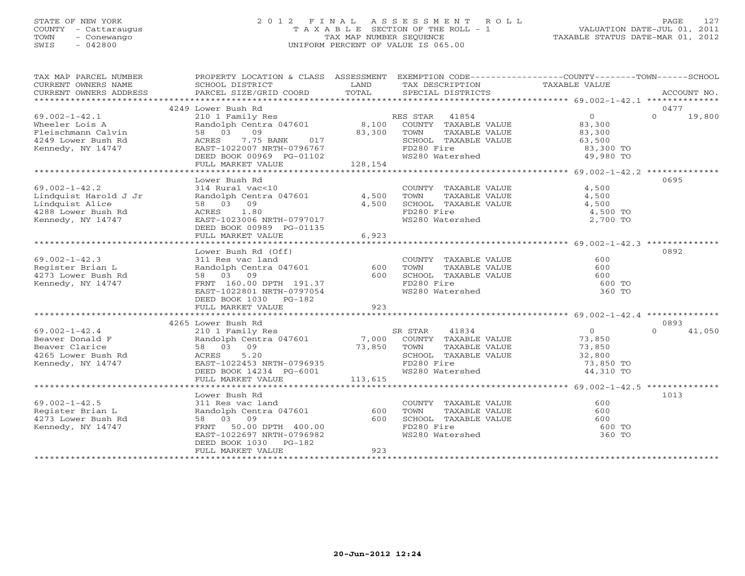# STATE OF NEW YORK 2 0 1 2 F I N A L A S S E S S M E N T R O L L PAGE 127COUNTY - Cattaraugus T A X A B L E SECTION OF THE ROLL - 1<br>
TOWN - Conewango TAX MAP NUMBER SEQUENCE<br>
SWIS - 042800 SWIS - 042800 UNIFORM PERCENT OF VALUE IS 065.00

| TAX MAP PARCEL NUMBER<br>CURRENT OWNERS NAME<br>CURRENT OWNERS ADDRESS                                                                                                           | PROPERTY LOCATION & CLASS ASSESSMENT EXEMPTION CODE---------------COUNTY-------TOWN------SCHOOL<br>SCHOOL DISTRICT<br><b>Example 12 Distribution of the LAND</b><br>PARCEL SIZE/GRID COORD                                           | TOTAL                       | TAX DESCRIPTION TAXABLE VALUE<br>SPECIAL DISTRICTS                 |                                                           | ACCOUNT NO.        |
|----------------------------------------------------------------------------------------------------------------------------------------------------------------------------------|--------------------------------------------------------------------------------------------------------------------------------------------------------------------------------------------------------------------------------------|-----------------------------|--------------------------------------------------------------------|-----------------------------------------------------------|--------------------|
|                                                                                                                                                                                  |                                                                                                                                                                                                                                      |                             |                                                                    |                                                           |                    |
|                                                                                                                                                                                  | 4249 Lower Bush Rd                                                                                                                                                                                                                   |                             |                                                                    |                                                           | 0477               |
| $69.002 - 1 - 42.1$                                                                                                                                                              |                                                                                                                                                                                                                                      |                             |                                                                    |                                                           | $\Omega$<br>19,800 |
| Wheeler Lois A                                                                                                                                                                   |                                                                                                                                                                                                                                      |                             |                                                                    |                                                           |                    |
| Fleischmann Calvin                                                                                                                                                               | 58 03 09                                                                                                                                                                                                                             | 83,300 TOWN<br>NK 017 8CHOO | TAXABLE VALUE                                                      | 83,300                                                    |                    |
| 4249 Lower Bush Rd                                                                                                                                                               | 7.75 BANK<br>ACRES                                                                                                                                                                                                                   |                             | SCHOOL TAXABLE VALUE 63,500                                        |                                                           |                    |
| Kennedy, NY 14747                                                                                                                                                                | EAST-1022007 NRTH-0796767                                                                                                                                                                                                            |                             | FD280 Fire                                                         | 83,300 TO                                                 |                    |
|                                                                                                                                                                                  | DEED BOOK 00969 PG-01102                                                                                                                                                                                                             |                             | WS280 Watershed                                                    | 49,980 TO                                                 |                    |
|                                                                                                                                                                                  | FULL MARKET VALUE                                                                                                                                                                                                                    | 128,154                     |                                                                    |                                                           |                    |
|                                                                                                                                                                                  |                                                                                                                                                                                                                                      |                             |                                                                    |                                                           |                    |
|                                                                                                                                                                                  | Lower Bush Rd<br>314 Rural vac<10                                                                                                                                                                                                    |                             |                                                                    |                                                           | 0695               |
| $69.002 - 1 - 42.2$                                                                                                                                                              |                                                                                                                                                                                                                                      |                             | COUNTY TAXABLE VALUE                                               | 4,500                                                     |                    |
| Lindquist Harold J Jr                                                                                                                                                            | Randolph Centra 047601 4,500                                                                                                                                                                                                         |                             | TOWN TAXABLE VALUE<br>SCHOOL TAXABLE VALUE                         | 4,500                                                     |                    |
| Lindquist Alice                                                                                                                                                                  | 58 03 09                                                                                                                                                                                                                             | 4,500                       |                                                                    | 4,500                                                     |                    |
| 4288 Lower Bush Rd<br>Kennedy NY 14747                                                                                                                                           | ACRES 1.80                                                                                                                                                                                                                           |                             | FD280 Fire                                                         | 4,500 TO                                                  |                    |
| Kennedy, NY 14747                                                                                                                                                                | EAST-1023006 NRTH-0797017                                                                                                                                                                                                            |                             | FD200 File<br>WS280 Watershed                                      | 2,700 TO                                                  |                    |
|                                                                                                                                                                                  | DEED BOOK 00989 PG-01135                                                                                                                                                                                                             |                             |                                                                    |                                                           |                    |
|                                                                                                                                                                                  | FULL MARKET VALUE                                                                                                                                                                                                                    | 6,923                       |                                                                    |                                                           |                    |
|                                                                                                                                                                                  |                                                                                                                                                                                                                                      |                             |                                                                    |                                                           |                    |
|                                                                                                                                                                                  | Lower Bush Rd (Off)                                                                                                                                                                                                                  |                             |                                                                    |                                                           | 0892               |
| $69.002 - 1 - 42.3$                                                                                                                                                              |                                                                                                                                                                                                                                      |                             | COUNTY TAXABLE VALUE                                               | 600                                                       |                    |
| Register Brian L                                                                                                                                                                 | 1000 - 1000 - 1000 - 1000 - 1000 - 1000 - 1000 - 1000 - 1000 - 1000 - 1000 - 1000 - 1000 - 1000 - 1000 - 1000<br>1000 - 1000 - 1000 - 1000 - 1000 - 1000 - 1000 - 1000 - 1000 - 1000 - 1000 - 1000 - 1000 - 1000 - 1000 - 1000<br>10 |                             | TOWN<br>TAXABLE VALUL<br>TAXABLE VALUE<br>ELECTE VALUE             | 600                                                       |                    |
| 4273 Lower Bush Rd                                                                                                                                                               |                                                                                                                                                                                                                                      |                             | SCHOOL TAXABLE VALUE                                               | 600                                                       |                    |
| Kennedy, NY 14747                                                                                                                                                                | FRNT 160.00 DPTH 191.37<br>EAST-1022801 NRTH-0797054                                                                                                                                                                                 |                             | FD280 Fire                                                         | 600 TO                                                    |                    |
|                                                                                                                                                                                  |                                                                                                                                                                                                                                      |                             | WS280 Watershed                                                    | 360 TO                                                    |                    |
|                                                                                                                                                                                  | DEED BOOK 1030 PG-182                                                                                                                                                                                                                |                             |                                                                    |                                                           |                    |
|                                                                                                                                                                                  | FULL MARKET VALUE                                                                                                                                                                                                                    | 923                         |                                                                    |                                                           |                    |
|                                                                                                                                                                                  |                                                                                                                                                                                                                                      |                             |                                                                    |                                                           |                    |
|                                                                                                                                                                                  | 4265 Lower Bush Rd                                                                                                                                                                                                                   |                             |                                                                    |                                                           | 0893               |
| $69.002 - 1 - 42.4$                                                                                                                                                              |                                                                                                                                                                                                                                      |                             |                                                                    | $\overline{0}$<br>73,850                                  | $\Omega$<br>41,050 |
|                                                                                                                                                                                  |                                                                                                                                                                                                                                      |                             |                                                                    |                                                           |                    |
|                                                                                                                                                                                  |                                                                                                                                                                                                                                      | $73,850$ TOWN<br>SCHOC      | TAXABLE VALUE                                                      |                                                           |                    |
| Example 1 and the mail of the mail of the same clarical contra 047601<br>Beaver Clarice 58 03 09<br>4265 Lower Bush Rd ACRES 5.20<br>Kennedy, NY 14747 EAST-1022453 NRTH-0796935 |                                                                                                                                                                                                                                      |                             | SCHOOL TAXABLE VALUE<br>FD280 Fire                                 | $\begin{array}{c} 73, 6 \\ 32, 800 \\ 73, 85 \end{array}$ |                    |
|                                                                                                                                                                                  |                                                                                                                                                                                                                                      |                             |                                                                    | 73,850 TO                                                 |                    |
|                                                                                                                                                                                  | DEED BOOK 14234 PG-6001                                                                                                                                                                                                              |                             | WS280 Watershed                                                    | 44,310 TO                                                 |                    |
|                                                                                                                                                                                  | FULL MARKET VALUE                                                                                                                                                                                                                    | 113,615                     |                                                                    |                                                           |                    |
|                                                                                                                                                                                  |                                                                                                                                                                                                                                      |                             |                                                                    |                                                           |                    |
|                                                                                                                                                                                  | Lower Bush Rd                                                                                                                                                                                                                        |                             |                                                                    |                                                           | 1013               |
| $69.002 - 1 - 42.5$                                                                                                                                                              | 311 Res vac land                                                                                                                                                                                                                     |                             | COUNTY TAXABLE VALUE<br>TOWN TAXABLE VALUE<br>SCHOOL TAXABLE VALUE | 600                                                       |                    |
| Register Brian L                                                                                                                                                                 | Randolph Centra 047601                                                                                                                                                                                                               | 600                         |                                                                    | 600                                                       |                    |
| Register Director<br>4273 Lower Bush Rd                                                                                                                                          | 58 03 09                                                                                                                                                                                                                             | 600                         |                                                                    | 600                                                       |                    |
| Kennedy, NY 14747                                                                                                                                                                | FRNT 50.00 DPTH 400.00                                                                                                                                                                                                               |                             | FD280 Fire                                                         | 600 TO                                                    |                    |
|                                                                                                                                                                                  | EAST-1022697 NRTH-0796982                                                                                                                                                                                                            |                             | WS280 Watershed                                                    | 360 TO                                                    |                    |
|                                                                                                                                                                                  | DEED BOOK 1030 PG-182                                                                                                                                                                                                                | 923                         |                                                                    |                                                           |                    |
|                                                                                                                                                                                  | FULL MARKET VALUE                                                                                                                                                                                                                    |                             |                                                                    |                                                           |                    |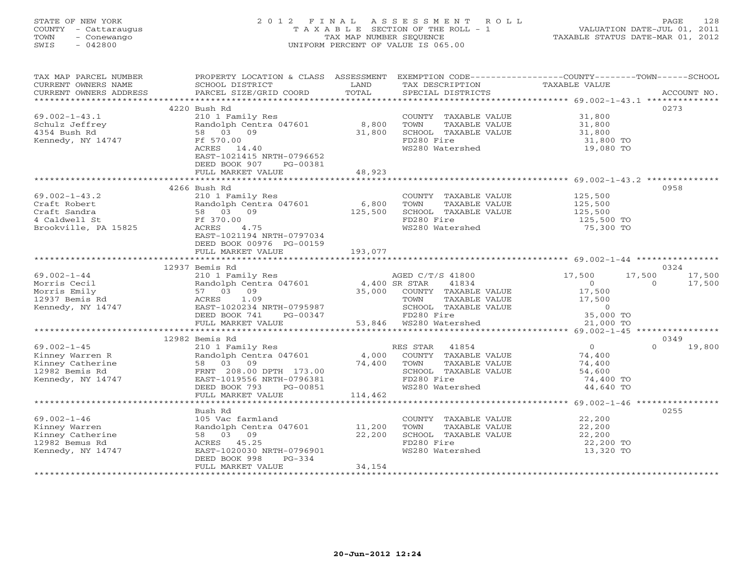### STATE OF NEW YORK 2 0 1 2 F I N A L A S S E S S M E N T R O L L PAGE 128 COUNTY - Cattaraugus T A X A B L E SECTION OF THE ROLL - 1 VALUATION DATE-JUL 01, 2011 TOWN - Conewango TAX MAP NUMBER SEQUENCE TAXABLE STATUS DATE-MAR 01, 2012 SWIS - 042800 UNIFORM PERCENT OF VALUE IS 065.00UNIFORM PERCENT OF VALUE IS 065.00

| TAX MAP PARCEL NUMBER                                                                                                                                                                                                            |                                                                                                                                                                                                                                                                                                                 |                                    |                                            | PROPERTY LOCATION & CLASS ASSESSMENT EXEMPTION CODE---------------COUNTY-------TOWN------SCHOOL |
|----------------------------------------------------------------------------------------------------------------------------------------------------------------------------------------------------------------------------------|-----------------------------------------------------------------------------------------------------------------------------------------------------------------------------------------------------------------------------------------------------------------------------------------------------------------|------------------------------------|--------------------------------------------|-------------------------------------------------------------------------------------------------|
|                                                                                                                                                                                                                                  |                                                                                                                                                                                                                                                                                                                 |                                    |                                            |                                                                                                 |
|                                                                                                                                                                                                                                  | 4220 Bush Rd                                                                                                                                                                                                                                                                                                    |                                    |                                            | 0273                                                                                            |
| $69.002 - 1 - 43.1$                                                                                                                                                                                                              | 210 1 Family Res                                                                                                                                                                                                                                                                                                |                                    | COUNTY TAXABLE VALUE 31,800                |                                                                                                 |
| Schulz Jeffrey<br>"PEA Buch Rd                                                                                                                                                                                                   | Randolph Centra 047601                                                                                                                                                                                                                                                                                          | 8,800                              | TOWN<br>TAXABLE VALUE<br>TAXABLE VALUE     | 31,800<br>31,800                                                                                |
| Kennedy, NY 14747                                                                                                                                                                                                                | 58 03 09<br>Ff 570.00                                                                                                                                                                                                                                                                                           | 31,800                             | SCHOOL TAXABLE VALUE<br>FD280 Fire         | 31,800 TO                                                                                       |
|                                                                                                                                                                                                                                  | ACRES 14.40                                                                                                                                                                                                                                                                                                     |                                    | WS280 Watershed                            | 19,080 TO                                                                                       |
|                                                                                                                                                                                                                                  | EAST-1021415 NRTH-0796652                                                                                                                                                                                                                                                                                       |                                    |                                            |                                                                                                 |
|                                                                                                                                                                                                                                  | DEED BOOK 907 PG-00381                                                                                                                                                                                                                                                                                          |                                    |                                            |                                                                                                 |
|                                                                                                                                                                                                                                  | FULL MARKET VALUE                                                                                                                                                                                                                                                                                               | 48,923                             |                                            |                                                                                                 |
|                                                                                                                                                                                                                                  |                                                                                                                                                                                                                                                                                                                 |                                    |                                            |                                                                                                 |
|                                                                                                                                                                                                                                  | 4266 Bush Rd                                                                                                                                                                                                                                                                                                    |                                    |                                            | 0958                                                                                            |
| 69.002-1-43.2<br>Craft Robert Randolph Cent<br>Craft Sandra 58 03 09<br>Craft Sandra 58 03 09<br>Craft Sandra 58 03 09<br>Ff 370.00<br>ACRES 4.7!                                                                                | 210 1 Family Res                                                                                                                                                                                                                                                                                                |                                    | COUNTY TAXABLE VALUE                       | 125,500<br>125,500                                                                              |
|                                                                                                                                                                                                                                  | Randolph Centra 047601 6,800                                                                                                                                                                                                                                                                                    |                                    | TOWN<br>TAXABLE VALUE                      |                                                                                                 |
|                                                                                                                                                                                                                                  |                                                                                                                                                                                                                                                                                                                 | 125,500                            | SCHOOL TAXABLE VALUE 125,500<br>FD280 Fire |                                                                                                 |
| Brookville, PA 15825                                                                                                                                                                                                             | 4.75                                                                                                                                                                                                                                                                                                            |                                    | WS280 Watershed                            | 125,500 TO<br>75,300 TO                                                                         |
|                                                                                                                                                                                                                                  | EAST-1021194 NRTH-0797034                                                                                                                                                                                                                                                                                       |                                    |                                            |                                                                                                 |
|                                                                                                                                                                                                                                  | DEED BOOK 00976 PG-00159                                                                                                                                                                                                                                                                                        |                                    |                                            |                                                                                                 |
|                                                                                                                                                                                                                                  | FULL MARKET VALUE                                                                                                                                                                                                                                                                                               | 193,077                            |                                            |                                                                                                 |
|                                                                                                                                                                                                                                  |                                                                                                                                                                                                                                                                                                                 |                                    |                                            |                                                                                                 |
|                                                                                                                                                                                                                                  | 12937 Bemis Rd                                                                                                                                                                                                                                                                                                  |                                    |                                            | 0324                                                                                            |
| $69.002 - 1 - 44$                                                                                                                                                                                                                | 210 1 Family Res                                                                                                                                                                                                                                                                                                |                                    | AGED C/T/S 41800<br>SR STAR 41834          | 17,500<br>17,500 17,500                                                                         |
|                                                                                                                                                                                                                                  | 210 1 Family Res<br>Randolph Centra 047601 4,400 SR STAR 41834<br>57 03 09 35,000 COUNTY TAXABLE VALUE<br>ACRES 1.09 35,000 COUNTY TAXABLE VALUE<br>EAST-1020234 NRTH-0795987 SCHOOL TAXABLE VALUE                                                                                                              |                                    |                                            | 17,500<br>$\begin{array}{c} 0 \\ 17,500 \end{array}$<br>$\Omega$                                |
|                                                                                                                                                                                                                                  |                                                                                                                                                                                                                                                                                                                 |                                    |                                            |                                                                                                 |
|                                                                                                                                                                                                                                  |                                                                                                                                                                                                                                                                                                                 |                                    | TAXABLE VALUE                              | 17,500                                                                                          |
|                                                                                                                                                                                                                                  |                                                                                                                                                                                                                                                                                                                 |                                    |                                            |                                                                                                 |
| Morris Cecil<br>Morris Emily<br>12937 Bemis Rd<br>Kennedy, NY 14747                                                                                                                                                              | EAST-1020234 NRTH-0795987 SCHOOL TAXABLE VALUE $\begin{array}{ccc} 0 & 0 & 0 \\ 0 & 0 & 0 & 0 \\ 0 & 0 & 0 & 0 \\ 0 & 0 & 0 & 0 \\ 0 & 0 & 0 & 0 \\ 0 & 0 & 0 & 0 \\ 0 & 0 & 0 & 0 \\ 0 & 0 & 0 & 0 \\ 0 & 0 & 0 & 0 \\ 0 & 0 & 0 & 0 \\ 0 & 0 & 0 & 0 \\ 0 & 0 & 0 & 0 \\ 0 & 0 & 0 & 0 \\ 0 & 0 & 0 & 0 \\ 0$ |                                    |                                            |                                                                                                 |
|                                                                                                                                                                                                                                  |                                                                                                                                                                                                                                                                                                                 |                                    |                                            |                                                                                                 |
| 69.002-1-45<br>Kinney Warren R<br>Kinney Catherine 58 03 09<br>TRAT 208.00 DPTH 173.00<br>TRAT 208.00 DPTH 173.00<br>EAST-1019556 NRTH-0796381<br>TRAT 208.00 DPTH 173.00<br>EAST-1019556 NRTH-0796381<br>TRAT ROOK 793 PG-00851 |                                                                                                                                                                                                                                                                                                                 |                                    |                                            | 0349                                                                                            |
|                                                                                                                                                                                                                                  | Bemis ka (1854)<br>210 1 Family Res (1864) RES STAR (1854) Randolph Centra 047601 (1874) 4,000 COUNTY TAXABLE VALUE (1874) 74,400<br>24 100 POLITY PRESENT MANAGER VALUE (1886) ROLLER                                                                                                                          |                                    |                                            | $\Omega$<br>19,800                                                                              |
|                                                                                                                                                                                                                                  |                                                                                                                                                                                                                                                                                                                 |                                    |                                            |                                                                                                 |
|                                                                                                                                                                                                                                  |                                                                                                                                                                                                                                                                                                                 |                                    | TAXABLE VALUE                              | 74,400                                                                                          |
|                                                                                                                                                                                                                                  |                                                                                                                                                                                                                                                                                                                 | $74,400$ TOWN<br>SCHOOL<br>FD280 F | SCHOOL TAXABLE VALUE                       | 54,600                                                                                          |
|                                                                                                                                                                                                                                  |                                                                                                                                                                                                                                                                                                                 |                                    | FD280 Fire                                 | 74,400 TO                                                                                       |
|                                                                                                                                                                                                                                  | FULL MARKET VALUE                                                                                                                                                                                                                                                                                               | 114,462                            | WS280 Watershed                            | 44,640 TO                                                                                       |
|                                                                                                                                                                                                                                  | *************************                                                                                                                                                                                                                                                                                       |                                    |                                            |                                                                                                 |
|                                                                                                                                                                                                                                  | Bush Rd                                                                                                                                                                                                                                                                                                         |                                    |                                            | 0255                                                                                            |
| $69.002 - 1 - 46$                                                                                                                                                                                                                | 105 Vac farmland                                                                                                                                                                                                                                                                                                |                                    | COUNTY TAXABLE VALUE                       |                                                                                                 |
|                                                                                                                                                                                                                                  | Randolph Centra 047601 11,200                                                                                                                                                                                                                                                                                   |                                    | TOWN<br>TAXABLE VALUE                      | 22,200<br>22,200                                                                                |
| By.ou.<br>Kinney Warren<br>Kinney Catherine<br>The Ball Contract Paper                                                                                                                                                           | 58 03 09                                                                                                                                                                                                                                                                                                        | 22,200                             | SCHOOL TAXABLE VALUE                       | 22,200                                                                                          |
|                                                                                                                                                                                                                                  | ACRES 45.25                                                                                                                                                                                                                                                                                                     |                                    | FD280 Fire                                 | 22,200 TO                                                                                       |
| Kennedy, NY 14747                                                                                                                                                                                                                | EAST-1020030 NRTH-0796901                                                                                                                                                                                                                                                                                       |                                    | WS280 Watershed                            | 13,320 TO                                                                                       |
|                                                                                                                                                                                                                                  | DEED BOOK 998<br>PG-334                                                                                                                                                                                                                                                                                         |                                    |                                            |                                                                                                 |
|                                                                                                                                                                                                                                  | FULL MARKET VALUE                                                                                                                                                                                                                                                                                               | 34,154                             |                                            |                                                                                                 |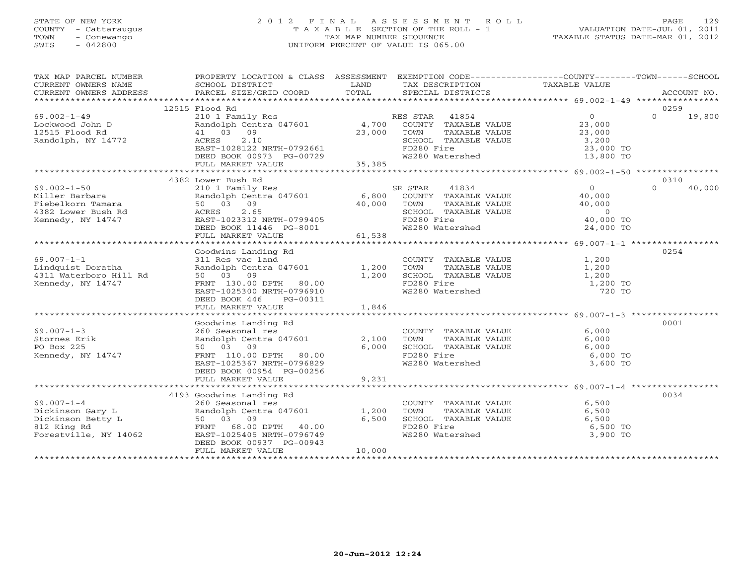#### STATE OF NEW YORK 2 0 1 2 F I N A L A S S E S S M E N T R O L L PAGE 129 COUNTY - Cattaraugus T A X A B L E SECTION OF THE ROLL - 1 VALUATION DATE-JUL 01, 2011 TOWN - Conewango TAX MAP NUMBER SEQUENCE TAXABLE STATUS DATE-MAR 01, 2012 SWIS - 042800 UNIFORM PERCENT OF VALUE IS 065.00UNIFORM PERCENT OF VALUE IS 065.00

| TAX MAP PARCEL NUMBER                                                                   | PROPERTY LOCATION & CLASS ASSESSMENT EXEMPTION CODE----------------COUNTY-------TOWN------SCHOOL |             |                                                                          |                                                     |                    |
|-----------------------------------------------------------------------------------------|--------------------------------------------------------------------------------------------------|-------------|--------------------------------------------------------------------------|-----------------------------------------------------|--------------------|
|                                                                                         |                                                                                                  |             |                                                                          |                                                     |                    |
|                                                                                         | 12515 Flood Rd                                                                                   |             |                                                                          |                                                     | 0259               |
| $69.002 - 1 - 49$                                                                       | 210 1 Family Res<br>Randolph Centra 047601 4,700                                                 |             | RES STAR 41854                                                           | $\overline{0}$                                      | $\Omega$<br>19,800 |
| Lockwood John D                                                                         |                                                                                                  |             | COUNTY TAXABLE VALUE                                                     | 23,000                                              |                    |
|                                                                                         | 41 03 09                                                                                         | 23,000 TOWN | TAXABLE VALUE                                                            | 23,000                                              |                    |
| r riood Rd<br>Randolph, NY 14772                                                        | 2.10<br>ACRES                                                                                    |             | SCHOOL TAXABLE VALUE                                                     | 3,200                                               |                    |
|                                                                                         | EAST-1028122 NRTH-0792661                                                                        |             | FD280 Fire                                                               | 23,000 TO                                           |                    |
|                                                                                         | DEED BOOK 00973 PG-00729                                                                         |             | WS280 Watershed                                                          | 13,800 TO                                           |                    |
|                                                                                         | FULL MARKET VALUE                                                                                | 35, 385     |                                                                          |                                                     |                    |
|                                                                                         | 4382 Lower Bush Rd                                                                               |             |                                                                          |                                                     | 0310               |
|                                                                                         |                                                                                                  |             | SR STAR<br>41834                                                         |                                                     | $\Omega$<br>40,000 |
| $69.002 - 1 - 50$<br>Miller Barbara                                                     | 210 1 Family Res<br>Randolph Centra 047601 6,800 COUNTY TAXABLE VALUE                            |             |                                                                          | $\begin{array}{c} 0 \\ 40,000 \\ 40,00 \end{array}$ |                    |
| Fiebelkorn Tamara                                                                       | 50 03 09                                                                                         |             | TOWN<br>TAXABLE VALUE                                                    |                                                     |                    |
| Fiebelkoff Famala<br>4382 Lower Bush Rd<br>Kannedy, NY 14747 (EAST-1023312 NRTH-0799405 |                                                                                                  | 40,000      | SCHOOL TAXABLE VALUE                                                     |                                                     |                    |
|                                                                                         |                                                                                                  |             | FD280 Fire                                                               | $\overline{0}$<br>40,000 TO                         |                    |
|                                                                                         | DEED BOOK 11446 PG-8001                                                                          |             | WS280 Watershed                                                          | 24,000 TO                                           |                    |
|                                                                                         | FULL MARKET VALUE                                                                                | 61,538      |                                                                          |                                                     |                    |
|                                                                                         |                                                                                                  |             |                                                                          |                                                     |                    |
|                                                                                         | Goodwins Landing Rd                                                                              |             |                                                                          |                                                     | 0254               |
| $69.007 - 1 - 1$                                                                        | 311 Res vac land                                                                                 |             | COUNTY TAXABLE VALUE 1,200                                               |                                                     |                    |
| Lindquist Doratha                                                                       | Randolph Centra 047601 1,200                                                                     |             |                                                                          |                                                     |                    |
| 4311 Waterboro Hill Rd                                                                  | 50 03 09                                                                                         | 1,200       |                                                                          |                                                     |                    |
| Kennedy, NY 14747                                                                       | FRNT 130.00 DPTH 80.00                                                                           |             | FD280 Fire                                                               | 1,200 TO                                            |                    |
|                                                                                         | EAST-1025300 NRTH-0796910                                                                        |             | WS280 Watershed                                                          | 720 TO                                              |                    |
|                                                                                         | DEED BOOK 446<br>PG-00311                                                                        |             |                                                                          |                                                     |                    |
|                                                                                         | FULL MARKET VALUE                                                                                | 1,846       |                                                                          |                                                     |                    |
|                                                                                         |                                                                                                  |             |                                                                          |                                                     |                    |
|                                                                                         | Goodwins Landing Rd                                                                              |             |                                                                          |                                                     | 0001               |
| $69.007 - 1 - 3$                                                                        |                                                                                                  |             |                                                                          | 6,000                                               |                    |
| Stornes Erik                                                                            | 260 Seasonal res<br>Randolph Centra 047601                                                       | 2,100       |                                                                          | 6,000                                               |                    |
| PO Box 225                                                                              | 50 03 09                                                                                         | 6,000       | COUNTY TAXABLE VALUE<br>TOWN     TAXABLE VALUE<br>SCHOOL   TAXABLE VALUE | 6,000                                               |                    |
| Kennedy, NY 14747                                                                       | FRNT 110.00 DPTH 80.00                                                                           |             | FD280 Fire                                                               | 6,000 TO                                            |                    |
|                                                                                         | EAST-1025367 NRTH-0796829                                                                        |             | WS280 Watershed                                                          | 3,600 TO                                            |                    |
|                                                                                         | DEED BOOK 00954 PG-00256                                                                         |             |                                                                          |                                                     |                    |
|                                                                                         | FULL MARKET VALUE                                                                                | 9,231       |                                                                          |                                                     |                    |
|                                                                                         |                                                                                                  |             |                                                                          |                                                     |                    |
|                                                                                         | 4193 Goodwins Landing Rd                                                                         |             |                                                                          |                                                     | 0034               |
| $69.007 - 1 - 4$                                                                        | 260 Seasonal res                                                                                 |             | COUNTY TAXABLE VALUE<br>TOWN      TAXABLE VALUE                          | 6,500                                               |                    |
| Dickinson Gary L                                                                        | 260 Seasonal res<br>Randolph Centra 047601                                                       | 1,200       |                                                                          | 6,500                                               |                    |
| Dickinson Betty L                                                                       | 50 03 09                                                                                         | 6,500       | TOWN TAXABLE VALUE 6,500 TO<br>SCHOOL TAXABLE VALUE 6,500 TO             |                                                     |                    |
| 812 King Rd                                                                             | FRNT 68.00 DPTH 40.00                                                                            |             |                                                                          |                                                     |                    |
| Forestville, NY 14062                                                                   | EAST-1025405 NRTH-0796749                                                                        |             | WS280 Watershed                                                          | 3,900 TO                                            |                    |
|                                                                                         | DEED BOOK 00937 PG-00943                                                                         |             |                                                                          |                                                     |                    |
|                                                                                         | FULL MARKET VALUE                                                                                | 10,000      |                                                                          |                                                     |                    |
|                                                                                         |                                                                                                  |             |                                                                          |                                                     |                    |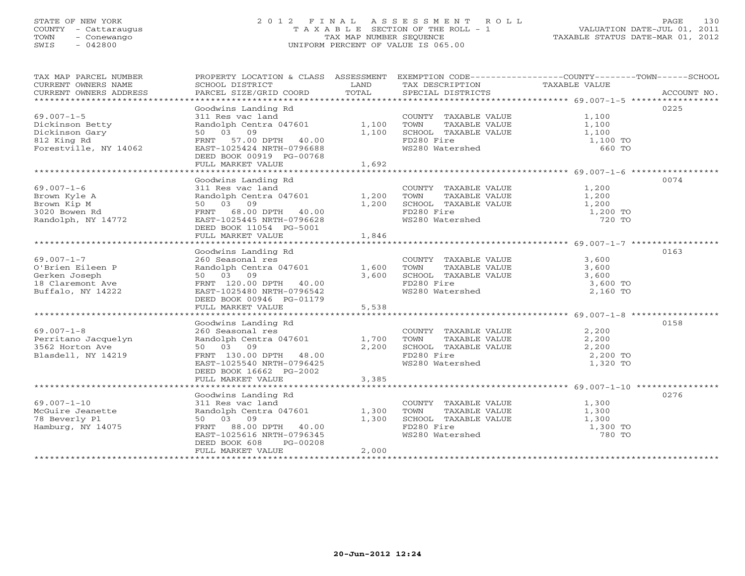#### STATE OF NEW YORK 2 0 1 2 F I N A L A S S E S S M E N T R O L L PAGE 130 COUNTY - Cattaraugus T A X A B L E SECTION OF THE ROLL - 1 VALUATION DATE-JUL 01, 2011 TOWN - Conewango TAX MAP NUMBER SEQUENCE TAXABLE STATUS DATE-MAR 01, 2012 SWIS - 042800 UNIFORM PERCENT OF VALUE IS 065.00

| TAX MAP PARCEL NUMBER                                                                          | PROPERTY LOCATION & CLASS ASSESSMENT                                                                                                                                                  |                         | EXEMPTION CODE-----------------COUNTY-------TOWN------SCHOOL                                           |                                                   |             |
|------------------------------------------------------------------------------------------------|---------------------------------------------------------------------------------------------------------------------------------------------------------------------------------------|-------------------------|--------------------------------------------------------------------------------------------------------|---------------------------------------------------|-------------|
| CURRENT OWNERS NAME<br>CURRENT OWNERS ADDRESS                                                  | SCHOOL DISTRICT<br>PARCEL SIZE/GRID COORD                                                                                                                                             | LAND<br>TOTAL           | TAX DESCRIPTION<br>SPECIAL DISTRICTS                                                                   | TAXABLE VALUE                                     | ACCOUNT NO. |
| **************************                                                                     |                                                                                                                                                                                       |                         |                                                                                                        |                                                   |             |
| $69.007 - 1 - 5$<br>Dickinson Betty<br>Dickinson Gary<br>812 King Rd                           | Goodwins Landing Rd<br>311 Res vac land<br>Randolph Centra 047601<br>50 03<br>09                                                                                                      | 1,100<br>1,100          | COUNTY TAXABLE VALUE 1,100<br>TOWN<br>TAXABLE VALUE<br>SCHOOL TAXABLE VALUE<br>FD280 Fire              | 1,100<br>1,100                                    | 0225        |
| Forestville, NY 14062                                                                          | FRNT 57.00 DPTH 40.00<br>EAST-1025424 NRTH-0796688<br>DEED BOOK 00919 PG-00768<br>FULL MARKET VALUE                                                                                   | 1,692                   | WS280 Watershed                                                                                        | 1,100 TO<br>660 TO                                |             |
|                                                                                                |                                                                                                                                                                                       |                         |                                                                                                        |                                                   |             |
| $69.007 - 1 - 6$<br>Brown Kyle A<br>Brown Kip M<br>3020 Bowen Rd<br>Randolph, NY 14772         | Goodwins Landing Rd<br>311 Res vac land<br>Randolph Centra 047601<br>50 03 09<br>FRNT 68.00 DPTH 40.00<br>EAST-1025445 NRTH-0796628<br>DEED BOOK 11054 PG-5001<br>FULL MARKET VALUE   | 1,200<br>1,200<br>1,846 | COUNTY TAXABLE VALUE<br>TOWN<br>TAXABLE VALUE<br>SCHOOL TAXABLE VALUE<br>FD280 Fire<br>WS280 Watershed | 1,200<br>1,200<br>1,200<br>1,200 TO<br>720 TO     | 0074        |
|                                                                                                |                                                                                                                                                                                       |                         |                                                                                                        |                                                   |             |
| $69.007 - 1 - 7$<br>O'Brien Eileen P<br>Gerken Joseph<br>18 Claremont Ave<br>Buffalo, NY 14222 | Goodwins Landing Rd<br>260 Seasonal res<br>Randolph Centra 047601<br>50 03 09<br>FRNT 120.00 DPTH 40.00<br>EAST-1025480 NRTH-0796542<br>DEED BOOK 00946 PG-01179<br>FULL MARKET VALUE | 1,600<br>3,600<br>5,538 | COUNTY TAXABLE VALUE<br>TOWN<br>TAXABLE VALUE<br>SCHOOL TAXABLE VALUE<br>FD280 Fire<br>WS280 Watershed | 3,600<br>3,600<br>3,600<br>$3,600$ TO<br>2,160 TO | 0163        |
|                                                                                                | Goodwins Landing Rd                                                                                                                                                                   |                         |                                                                                                        |                                                   | 0158        |
| $69.007 - 1 - 8$<br>Perritano Jacquelyn<br>3562 Horton Ave<br>Blasdell, NY 14219               | 260 Seasonal res<br>Randolph Centra 047601<br>50 03 09<br>FRNT 130.00 DPTH 48.00<br>EAST-1025540 NRTH-0796425<br>DEED BOOK 16662 PG-2002<br>FULL MARKET VALUE                         | 1,700<br>2,200<br>3,385 | COUNTY TAXABLE VALUE<br>TOWN<br>TAXABLE VALUE<br>SCHOOL TAXABLE VALUE<br>FD280 Fire<br>WS280 Watershed | 2,200<br>2,200<br>2,200<br>2,200 TO<br>1,320 TO   |             |
|                                                                                                |                                                                                                                                                                                       |                         |                                                                                                        |                                                   |             |
| $69.007 - 1 - 10$<br>McGuire Jeanette<br>78 Beverly Pl<br>Hamburg, NY 14075                    | Goodwins Landing Rd<br>311 Res vac land<br>Randolph Centra 047601<br>50 03 09<br>FRNT 88.00 DPTH 40.00<br>EAST-1025616 NRTH-0796345<br>DEED BOOK 608<br>PG-00208<br>FULL MARKET VALUE | 1,300<br>1,300<br>2,000 | COUNTY TAXABLE VALUE<br>TOWN<br>TAXABLE VALUE<br>SCHOOL TAXABLE VALUE<br>FD280 Fire<br>WS280 Watershed | 1,300<br>1,300<br>1,300<br>1,300 TO<br>780 TO     | 0276        |
|                                                                                                |                                                                                                                                                                                       |                         |                                                                                                        |                                                   |             |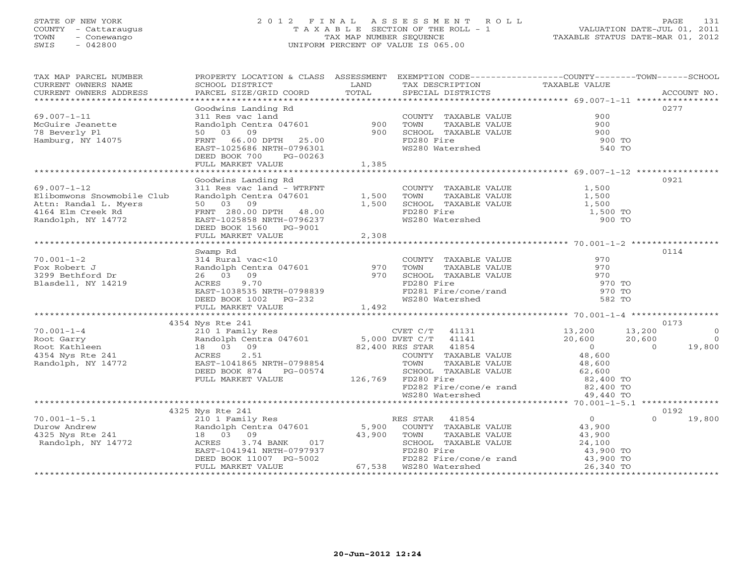#### STATE OF NEW YORK 2 0 1 2 F I N A L A S S E S S M E N T R O L L PAGE 131 COUNTY - Cattaraugus T A X A B L E SECTION OF THE ROLL - 1 VALUATION DATE-JUL 01, 2011 TOWN - Conewango TAX MAP NUMBER SEQUENCE TAXABLE STATUS DATE-MAR 01, 2012 SWIS - 042800 UNIFORM PERCENT OF VALUE IS 065.00UNIFORM PERCENT OF VALUE IS 065.00

| TAX MAP PARCEL NUMBER<br>CURRENT OWNERS NAME<br>CURRENT OWNERS ADDRESS | <b>EXAMPLE SERVICE SERVICE SERVICE SERVICE SERVICE SERVICE SERVICE SERVICE SERVICE SERVICE SERVICE SERVICE SERVICE</b><br>SCHOOL DISTRICT<br>PARCEL SIZE/GRID COORD | TOTAL | TAX DESCRIPTION TAXABLE VALUE<br>SPECIAL DISTRICTS                                                          | PROPERTY LOCATION & CLASS ASSESSMENT EXEMPTION CODE---------------COUNTY-------TOWN------SCHOOL | ACCOUNT NO.    |
|------------------------------------------------------------------------|---------------------------------------------------------------------------------------------------------------------------------------------------------------------|-------|-------------------------------------------------------------------------------------------------------------|-------------------------------------------------------------------------------------------------|----------------|
|                                                                        |                                                                                                                                                                     |       |                                                                                                             |                                                                                                 |                |
|                                                                        | Goodwins Landing Rd<br>311 Res vac land<br>Randolph Centra 047601 900<br>1000 900                                                                                   |       |                                                                                                             |                                                                                                 | 0277           |
| $69.007 - 1 - 11$                                                      |                                                                                                                                                                     |       | COUNTY TAXABLE VALUE                                                                                        | 900                                                                                             |                |
| McGuire Jeanette                                                       |                                                                                                                                                                     |       | TOWN<br>TAXABLE VALUE                                                                                       | 900                                                                                             |                |
| 78 Beverly Pl                                                          |                                                                                                                                                                     |       | TOWN       TAXABLE  VALUE<br>SCHOOL    TAXABLE  VALUE                                                       | $\begin{array}{c} 900 \\ 900 \end{array}$                                                       |                |
| Hamburg, NY 14075                                                      |                                                                                                                                                                     |       | FD280 Fire                                                                                                  | 900 TO                                                                                          |                |
|                                                                        | PRNT 66.00 DPTH 25.00<br>FRNT 66.00 DPTH 25.00                                                                                                                      |       | WS280 Watershed                                                                                             | 540 TO                                                                                          |                |
|                                                                        | DEED BOOK 700<br>PG-00263                                                                                                                                           |       |                                                                                                             |                                                                                                 |                |
|                                                                        | FULL MARKET VALUE                                                                                                                                                   | 1,385 |                                                                                                             |                                                                                                 |                |
|                                                                        |                                                                                                                                                                     |       |                                                                                                             |                                                                                                 |                |
|                                                                        | Goodwins Landing Rd                                                                                                                                                 |       |                                                                                                             |                                                                                                 | 0921           |
| $69.007 - 1 - 12$                                                      | 311 Res vac land - WTRFNT                                                                                                                                           |       | COUNTY TAXABLE VALUE                                                                                        | 1,500                                                                                           |                |
| Elibomwons Snowmobile Club                                             | Randolph Centra 047601 1,500                                                                                                                                        |       |                                                                                                             |                                                                                                 |                |
| Attn: Randal L. Myers                                                  | 50 03 09                                                                                                                                                            | 1,500 |                                                                                                             |                                                                                                 |                |
| 4164 Elm Creek Rd                                                      | FRNT 280.00 DPTH 48.00<br>EAST-1025858 NRTH-0796237                                                                                                                 |       | FOWN TAXABLE VALUE<br>TOWN TAXABLE VALUE<br>SCHOOL TAXABLE VALUE<br>FD280 Fire<br>WS280 Watershed<br>900 TO |                                                                                                 |                |
| Randolph, NY 14772                                                     |                                                                                                                                                                     |       |                                                                                                             |                                                                                                 |                |
|                                                                        | DEED BOOK 1560 PG-9001<br>FULL MARKET VALUE 2,308                                                                                                                   |       |                                                                                                             |                                                                                                 |                |
|                                                                        |                                                                                                                                                                     |       |                                                                                                             |                                                                                                 |                |
|                                                                        | Swamp Rd                                                                                                                                                            |       |                                                                                                             |                                                                                                 | 0114           |
| $70.001 - 1 - 2$                                                       |                                                                                                                                                                     |       |                                                                                                             | 970                                                                                             |                |
| Fox Robert J                                                           |                                                                                                                                                                     |       |                                                                                                             | 970                                                                                             |                |
| 3299 Bethford Dr                                                       |                                                                                                                                                                     |       |                                                                                                             | 970                                                                                             |                |
| Blasdell, NY 14219                                                     | 314 Rural vac<10<br>Randolph Centra 047601<br>26 03 09<br>ACRES 9.70<br>270 FD280 Fire<br>RES 9.70                                                                  |       | FD280 Fire                                                                                                  | 970 TO                                                                                          |                |
|                                                                        |                                                                                                                                                                     |       |                                                                                                             | 970 TO                                                                                          |                |
|                                                                        |                                                                                                                                                                     |       | FD281 Fire/cone/rand<br>WS280 Watershed                                                                     | 582 TO                                                                                          |                |
|                                                                        | EAST-1038535 NRTH-0798839<br>DEED BOOK 1002 PG-232<br>FULL MARKET VALUE                                                                                             |       |                                                                                                             |                                                                                                 |                |
|                                                                        |                                                                                                                                                                     |       |                                                                                                             |                                                                                                 |                |
|                                                                        | 4354 Nys Rte 241                                                                                                                                                    |       |                                                                                                             |                                                                                                 | 0173           |
| $70.001 - 1 - 4$                                                       | 210 1 Family Res<br>210 1 Family Res<br>Randolph Centra 047601<br>3 03 09 82,400 RES STAR 41854<br>4 ACRES<br>2.51 COUNTY TAXABLE VA                                |       | CVET C/T 41131 13,200<br>DVET C/T 41141 20,600                                                              | 13,200                                                                                          | $\overline{0}$ |
|                                                                        |                                                                                                                                                                     |       |                                                                                                             | $20,600$<br>0<br>48,600<br>20,600                                                               | $\overline{0}$ |
|                                                                        |                                                                                                                                                                     |       |                                                                                                             | $\Omega$                                                                                        | 19,800         |
|                                                                        | 2.51<br>ACRES                                                                                                                                                       |       | COUNTY TAXABLE VALUE                                                                                        |                                                                                                 |                |
| Root Garry<br>Root Kathleen<br>4354 Nys Rte 241<br>Randolph, NY 14772  | EAST-1041865 NRTH-0798854                                                                                                                                           |       | TAXABLE VALUE<br>TOWN                                                                                       | 48,600<br>62,600                                                                                |                |
|                                                                        | DEED BOOK 874<br>PG-00574                                                                                                                                           |       | IOWN<br>SCHOOL TAXABLE VALUE<br>ED290 Fire                                                                  |                                                                                                 |                |
|                                                                        | FULL MARKET VALUE                                                                                                                                                   |       | 126,769 FD280 Fire                                                                                          | 82,400 TO                                                                                       |                |
|                                                                        |                                                                                                                                                                     |       | FD282 Fire/cone/e rand 82,400 TO<br>WS280 Watershed 49,440 TO                                               |                                                                                                 |                |
|                                                                        |                                                                                                                                                                     |       |                                                                                                             |                                                                                                 |                |
|                                                                        | 4325 Nys Rte 241                                                                                                                                                    |       |                                                                                                             |                                                                                                 | 0192           |
| $70.001 - 1 - 5.1$                                                     | 210 1 Family Res 60 11 RES STAR 41854                                                                                                                               |       |                                                                                                             | $\overline{0}$<br>$\cap$                                                                        | 19,800         |
|                                                                        |                                                                                                                                                                     |       |                                                                                                             | 43,900                                                                                          |                |
|                                                                        | Randolph Centra 047601 5,900 COUNTY TAXABLE VALUE<br>18 03 09 3 43,900 TOWN TAXABLE VALUE                                                                           |       |                                                                                                             | TAXABLE VALUE 43,900                                                                            |                |
| Randolph, NY 14772                                                     | 3.74 BANK 017<br>ACRES                                                                                                                                              |       |                                                                                                             |                                                                                                 |                |
|                                                                        | EAST-1041941 NRTH-0797937                                                                                                                                           |       | SCHOOL TAXABLE VALUE $24,100$<br>FP320 Fire<br>FD280 Fire                                                   | 43,900 TO                                                                                       |                |
|                                                                        | DEED BOOK 11007 PG-5002                                                                                                                                             |       | FD282 Fire/cone/e rand                                                                                      | 43,900 TO                                                                                       |                |
|                                                                        | FULL MARKET VALUE                                                                                                                                                   |       | 67,538 WS280 Watershed                                                                                      | 26,340 TO                                                                                       |                |
|                                                                        |                                                                                                                                                                     |       |                                                                                                             |                                                                                                 |                |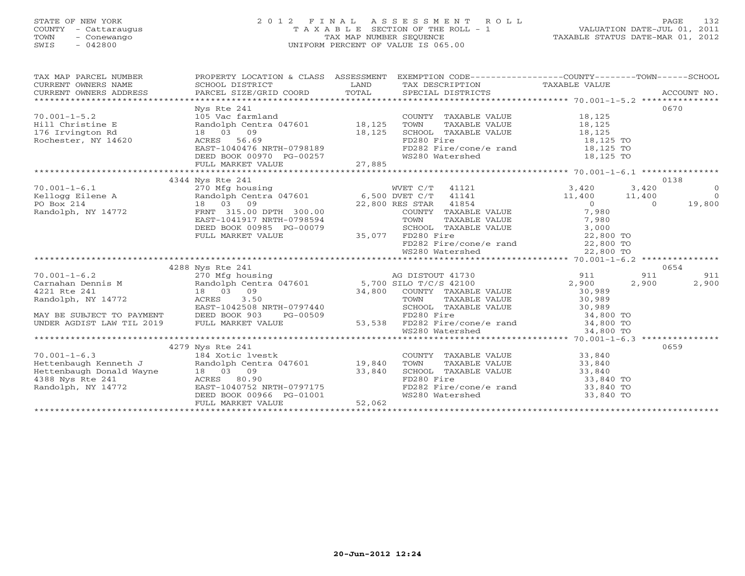#### STATE OF NEW YORK 2 0 1 2 F I N A L A S S E S S M E N T R O L L PAGE 132 COUNTY - Cattaraugus T A X A B L E SECTION OF THE ROLL - 1 VALUATION DATE-JUL 01, 2011 TOWN - Conewango TAX MAP NUMBER SEQUENCE TAXABLE STATUS DATE-MAR 01, 2012 SWIS - 042800 UNIFORM PERCENT OF VALUE IS 065.00UNIFORM PERCENT OF VALUE IS 065.00

| TAX MAP PARCEL NUMBER                                                                                                                                                                                                                                                                                                          | PROPERTY LOCATION & CLASS ASSESSMENT EXEMPTION CODE----------------COUNTY-------TOWN------SCHOOL |  |                |
|--------------------------------------------------------------------------------------------------------------------------------------------------------------------------------------------------------------------------------------------------------------------------------------------------------------------------------|--------------------------------------------------------------------------------------------------|--|----------------|
|                                                                                                                                                                                                                                                                                                                                |                                                                                                  |  |                |
|                                                                                                                                                                                                                                                                                                                                |                                                                                                  |  |                |
|                                                                                                                                                                                                                                                                                                                                | Nys Rte 241                                                                                      |  | 0670           |
|                                                                                                                                                                                                                                                                                                                                |                                                                                                  |  |                |
|                                                                                                                                                                                                                                                                                                                                |                                                                                                  |  |                |
|                                                                                                                                                                                                                                                                                                                                |                                                                                                  |  |                |
|                                                                                                                                                                                                                                                                                                                                |                                                                                                  |  |                |
|                                                                                                                                                                                                                                                                                                                                |                                                                                                  |  |                |
|                                                                                                                                                                                                                                                                                                                                |                                                                                                  |  |                |
|                                                                                                                                                                                                                                                                                                                                |                                                                                                  |  |                |
|                                                                                                                                                                                                                                                                                                                                | 4344 Nys Rte 241                                                                                 |  | 0138           |
|                                                                                                                                                                                                                                                                                                                                |                                                                                                  |  |                |
|                                                                                                                                                                                                                                                                                                                                |                                                                                                  |  |                |
|                                                                                                                                                                                                                                                                                                                                |                                                                                                  |  |                |
|                                                                                                                                                                                                                                                                                                                                |                                                                                                  |  |                |
|                                                                                                                                                                                                                                                                                                                                |                                                                                                  |  |                |
|                                                                                                                                                                                                                                                                                                                                |                                                                                                  |  |                |
|                                                                                                                                                                                                                                                                                                                                |                                                                                                  |  |                |
|                                                                                                                                                                                                                                                                                                                                |                                                                                                  |  |                |
|                                                                                                                                                                                                                                                                                                                                |                                                                                                  |  |                |
| $\begin{array}{cccccccc} 70.001-1-6.1 & 4344 & \text{Nys Rte 241} & 0138 & 0138 & 0138 & 0138 & 0138 & 0138 & 0138 & 0138 & 0138 & 0138 & 0138 & 0138 & 0138 & 0138 & 0138 & 0138 & 0138 & 0138 & 0138 & 0138 & 0138 & 0138 & 0138 & 0138 & 0138 & 0138 & 0138 & 0138 & 0138 & 0138$                                           |                                                                                                  |  |                |
|                                                                                                                                                                                                                                                                                                                                |                                                                                                  |  | 0654           |
|                                                                                                                                                                                                                                                                                                                                |                                                                                                  |  | 911<br>911     |
|                                                                                                                                                                                                                                                                                                                                |                                                                                                  |  | 2,900<br>2,900 |
|                                                                                                                                                                                                                                                                                                                                |                                                                                                  |  |                |
|                                                                                                                                                                                                                                                                                                                                |                                                                                                  |  |                |
|                                                                                                                                                                                                                                                                                                                                |                                                                                                  |  |                |
|                                                                                                                                                                                                                                                                                                                                |                                                                                                  |  |                |
|                                                                                                                                                                                                                                                                                                                                |                                                                                                  |  |                |
|                                                                                                                                                                                                                                                                                                                                |                                                                                                  |  |                |
|                                                                                                                                                                                                                                                                                                                                | 4279 Nys Rte 241                                                                                 |  | 0659           |
|                                                                                                                                                                                                                                                                                                                                |                                                                                                  |  |                |
|                                                                                                                                                                                                                                                                                                                                |                                                                                                  |  |                |
|                                                                                                                                                                                                                                                                                                                                |                                                                                                  |  |                |
|                                                                                                                                                                                                                                                                                                                                |                                                                                                  |  |                |
|                                                                                                                                                                                                                                                                                                                                |                                                                                                  |  |                |
|                                                                                                                                                                                                                                                                                                                                |                                                                                                  |  |                |
| $\begin{tabular}{lllllllllllllllllllllll} \hline 70.001-1-6.3 & 42/9\ {\rm NTS\_R2001} & 42/9\ {\rm NTS\_R2001} & 42/9\ {\rm NTS\_R2001} & 42/9\ {\rm NTS\_R2001} & 42/9\ {\rm NTS\_R2001} & 42/9\ {\rm NTS\_R2001} & 42/9\ {\rm NTS\_R2001} & 42/9\ {\rm NTS\_R2001} & 42/9\ {\rm NTS\_R2001} & 42/9\ {\rm NTS\_R2001} & 42/$ |                                                                                                  |  |                |
|                                                                                                                                                                                                                                                                                                                                |                                                                                                  |  |                |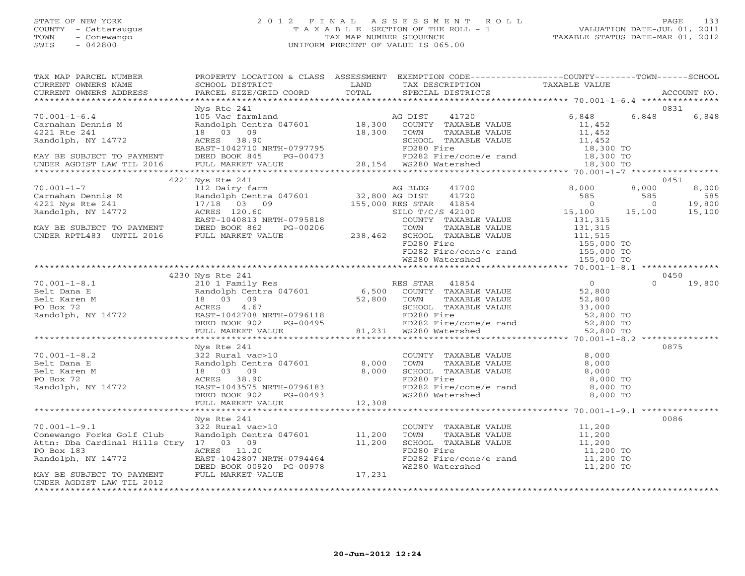#### STATE OF NEW YORK 2 0 1 2 F I N A L A S S E S S M E N T R O L L PAGE 133 COUNTY - Cattaraugus T A X A B L E SECTION OF THE ROLL - 1 VALUATION DATE-JUL 01, 2011 TOWN - Conewango TAX MAP NUMBER SEQUENCE TAXABLE STATUS DATE-MAR 01, 2012 SWIS - 042800 UNIFORM PERCENT OF VALUE IS 065.00UNIFORM PERCENT OF VALUE IS 065.00

| TAX MAP PARCEL NUMBER                                                                                                                                                                                                                                                                                                                                                                                   | PROPERTY LOCATION & CLASS ASSESSMENT EXEMPTION CODE----------------COUNTY-------TOWN------SCHOOL |  |               |
|---------------------------------------------------------------------------------------------------------------------------------------------------------------------------------------------------------------------------------------------------------------------------------------------------------------------------------------------------------------------------------------------------------|--------------------------------------------------------------------------------------------------|--|---------------|
|                                                                                                                                                                                                                                                                                                                                                                                                         |                                                                                                  |  |               |
|                                                                                                                                                                                                                                                                                                                                                                                                         |                                                                                                  |  |               |
|                                                                                                                                                                                                                                                                                                                                                                                                         |                                                                                                  |  |               |
|                                                                                                                                                                                                                                                                                                                                                                                                         | Nys Rte 241                                                                                      |  | 0831          |
|                                                                                                                                                                                                                                                                                                                                                                                                         |                                                                                                  |  |               |
|                                                                                                                                                                                                                                                                                                                                                                                                         |                                                                                                  |  |               |
|                                                                                                                                                                                                                                                                                                                                                                                                         |                                                                                                  |  |               |
|                                                                                                                                                                                                                                                                                                                                                                                                         |                                                                                                  |  |               |
|                                                                                                                                                                                                                                                                                                                                                                                                         |                                                                                                  |  |               |
|                                                                                                                                                                                                                                                                                                                                                                                                         |                                                                                                  |  |               |
| $\begin{tabular}{lllllllllllllllllll} \hline &Nys &Rte & 241 && 0831 && 0831 && 0831 && 0831 && 0831 && 0831 && 0831 && 0831 && 0831 && 0831 && 0831 && 0831 && 0831 && 0831 && 0831 && 0831 && 0831 && 0831 && 0831 && 0831 && 0831 && 0831 && 0831 && 0831 && 0831 && 0831 && 0831 && 0831 && 0831 && 0831 && 0831 && $                                                                               |                                                                                                  |  |               |
| $\begin{tabular}{l c c c c c} \multicolumn{3}{c c c c} \multicolumn{3}{c c c} \multicolumn{3}{c c c} \multicolumn{3}{c c c} \multicolumn{3}{c c c} \multicolumn{3}{c c c} \multicolumn{3}{c c c} \multicolumn{3}{c c c} \multicolumn{3}{c c c} \multicolumn{3}{c c c} \multicolumn{3}{c c c} \multicolumn{3}{c c c} \multicolumn{3}{c c c} \multicolumn{3}{c c c} \multicolumn{3}{c c c} \multicolumn{$ |                                                                                                  |  |               |
|                                                                                                                                                                                                                                                                                                                                                                                                         |                                                                                                  |  |               |
|                                                                                                                                                                                                                                                                                                                                                                                                         |                                                                                                  |  |               |
|                                                                                                                                                                                                                                                                                                                                                                                                         |                                                                                                  |  |               |
|                                                                                                                                                                                                                                                                                                                                                                                                         |                                                                                                  |  |               |
|                                                                                                                                                                                                                                                                                                                                                                                                         |                                                                                                  |  |               |
|                                                                                                                                                                                                                                                                                                                                                                                                         |                                                                                                  |  |               |
|                                                                                                                                                                                                                                                                                                                                                                                                         |                                                                                                  |  |               |
|                                                                                                                                                                                                                                                                                                                                                                                                         |                                                                                                  |  |               |
|                                                                                                                                                                                                                                                                                                                                                                                                         |                                                                                                  |  |               |
|                                                                                                                                                                                                                                                                                                                                                                                                         |                                                                                                  |  |               |
|                                                                                                                                                                                                                                                                                                                                                                                                         |                                                                                                  |  |               |
|                                                                                                                                                                                                                                                                                                                                                                                                         | 4230 Nys Rte 241                                                                                 |  | 0450          |
|                                                                                                                                                                                                                                                                                                                                                                                                         |                                                                                                  |  | $0 \t 19,800$ |
|                                                                                                                                                                                                                                                                                                                                                                                                         |                                                                                                  |  |               |
|                                                                                                                                                                                                                                                                                                                                                                                                         |                                                                                                  |  |               |
|                                                                                                                                                                                                                                                                                                                                                                                                         |                                                                                                  |  |               |
|                                                                                                                                                                                                                                                                                                                                                                                                         |                                                                                                  |  |               |
|                                                                                                                                                                                                                                                                                                                                                                                                         |                                                                                                  |  |               |
| 70.001-1-8.1<br>$B = 1$<br>$B = 2$<br>$B = 1$<br>$B = 1$<br>$B = 2$<br>$B = 2$<br>$B = 2$<br>$B = 0$<br>$B = 2$<br>$B = 0$<br>$B = 2$<br>$B = 0$<br>$B = 2$<br>$B = 0$<br>$B = 2$<br>$B = 0$<br>$B = 2$<br>$B = 2$<br>$B = 2$<br>$B = 2$<br>$B = 2$<br>$B = 2$<br>$B = 2$<br>$B = 2$<br>$B = 2$<br>$B = 2$                                                                                              |                                                                                                  |  |               |
|                                                                                                                                                                                                                                                                                                                                                                                                         | Nys Rte 241                                                                                      |  | 0875          |
|                                                                                                                                                                                                                                                                                                                                                                                                         |                                                                                                  |  |               |
|                                                                                                                                                                                                                                                                                                                                                                                                         |                                                                                                  |  |               |
|                                                                                                                                                                                                                                                                                                                                                                                                         |                                                                                                  |  |               |
|                                                                                                                                                                                                                                                                                                                                                                                                         |                                                                                                  |  |               |
|                                                                                                                                                                                                                                                                                                                                                                                                         |                                                                                                  |  |               |
|                                                                                                                                                                                                                                                                                                                                                                                                         |                                                                                                  |  |               |
|                                                                                                                                                                                                                                                                                                                                                                                                         |                                                                                                  |  |               |
|                                                                                                                                                                                                                                                                                                                                                                                                         |                                                                                                  |  |               |
|                                                                                                                                                                                                                                                                                                                                                                                                         | Nys Rte 241                                                                                      |  | 0086          |
|                                                                                                                                                                                                                                                                                                                                                                                                         |                                                                                                  |  |               |
|                                                                                                                                                                                                                                                                                                                                                                                                         |                                                                                                  |  |               |
|                                                                                                                                                                                                                                                                                                                                                                                                         |                                                                                                  |  |               |
|                                                                                                                                                                                                                                                                                                                                                                                                         |                                                                                                  |  |               |
|                                                                                                                                                                                                                                                                                                                                                                                                         |                                                                                                  |  |               |
|                                                                                                                                                                                                                                                                                                                                                                                                         |                                                                                                  |  |               |
|                                                                                                                                                                                                                                                                                                                                                                                                         |                                                                                                  |  |               |
| UNDER AGDIST LAW TIL 2012                                                                                                                                                                                                                                                                                                                                                                               |                                                                                                  |  |               |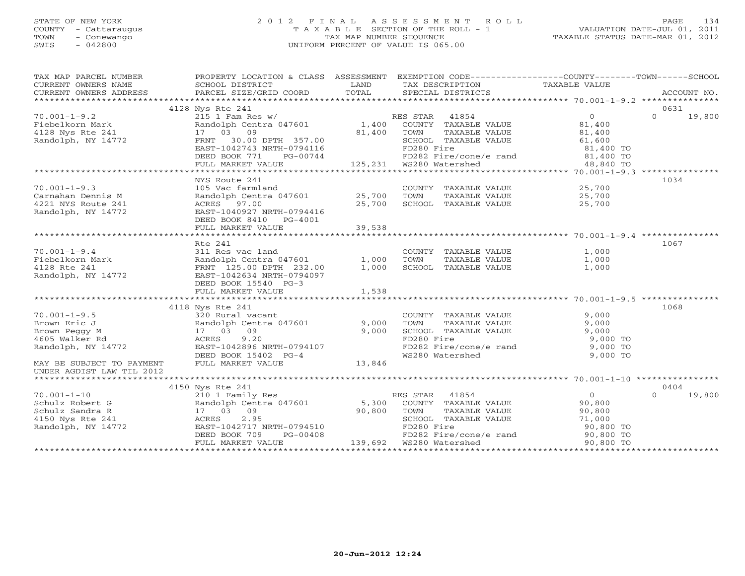#### STATE OF NEW YORK 2 0 1 2 F I N A L A S S E S S M E N T R O L L PAGE 134 COUNTY - Cattaraugus T A X A B L E SECTION OF THE ROLL - 1 VALUATION DATE-JUL 01, 2011 TOWN - Conewango TAX MAP NUMBER SEQUENCE TAXABLE STATUS DATE-MAR 01, 2012 SWIS - 042800 UNIFORM PERCENT OF VALUE IS 065.00UNIFORM PERCENT OF VALUE IS 065.00

| TAX MAP PARCEL NUMBER                                                                         | PROPERTY LOCATION & CLASS ASSESSMENT EXEMPTION CODE----------------COUNTY-------TOWN------SCHOOL                                                  |                                 |                                                      |                      |                    |
|-----------------------------------------------------------------------------------------------|---------------------------------------------------------------------------------------------------------------------------------------------------|---------------------------------|------------------------------------------------------|----------------------|--------------------|
| CURRENT OWNERS NAME                                                                           | SCHOOL DISTRICT<br><b>Example 12</b> LAND                                                                                                         |                                 | TAX DESCRIPTION TAXABLE VALUE                        |                      |                    |
| CURRENT OWNERS ADDRESS PARCEL SIZE/GRID COORD TOTAL SPECIAL DISTRICTS ACCOUNT NO. ACCOUNT NO. |                                                                                                                                                   |                                 |                                                      |                      |                    |
|                                                                                               |                                                                                                                                                   |                                 |                                                      |                      |                    |
|                                                                                               | 4128 Nys Rte 241                                                                                                                                  |                                 |                                                      |                      | 0631               |
| $70.001 - 1 - 9.2$                                                                            | Nys kte 241<br>215 1 Fam Res w/ RES STAR 41854 0<br>Randolph Centra 047601 1,400 COUNTY TAXABLE VALUE 81,400<br>1,400 COUNTY TAXABLE VALUE 81,400 |                                 |                                                      |                      | $0 \t 19,800$      |
| Fiebelkorn Mark                                                                               |                                                                                                                                                   |                                 |                                                      |                      |                    |
|                                                                                               | 17 03 09                                                                                                                                          |                                 | TAXABLE VALUE                                        | 81,400               |                    |
| 4128 Nys Rte 241<br>Randolph, NY 14772                                                        | FRNT 30.00 DPTH 357.00                                                                                                                            | 81,400 TOWN<br>TH 357.00 82HOOL | SCHOOL TAXABLE VALUE 61,600                          |                      |                    |
|                                                                                               | EAST-1042743 NRTH-0794116                                                                                                                         |                                 | FD280 Fire                                           | 81,400 TO            |                    |
|                                                                                               |                                                                                                                                                   |                                 |                                                      | $81,400$ TO          |                    |
|                                                                                               | EAST-1042743 NRTH-0794116 FD280 Fire<br>DEED BOOK 771 PG-00744 FD282 Fire/cone/e rand<br>FULL MARKET VALUE 125,231 WS280 Watershed                |                                 |                                                      | 48,840 TO            |                    |
|                                                                                               |                                                                                                                                                   |                                 |                                                      |                      |                    |
|                                                                                               | NYS Route 241                                                                                                                                     |                                 |                                                      |                      | 1034               |
| $70.001 - 1 - 9.3$                                                                            |                                                                                                                                                   |                                 | COUNTY TAXABLE VALUE 25,700                          |                      |                    |
| Carnahan Dennis M                                                                             |                                                                                                                                                   |                                 |                                                      | TAXABLE VALUE 25,700 |                    |
| 4221 NYS Route 241                                                                            | ACRES 97.00                                                                                                                                       | 25,700                          | SCHOOL TAXABLE VALUE                                 | 25,700               |                    |
| Randolph, NY 14772                                                                            | EAST-1040927 NRTH-0794416                                                                                                                         |                                 |                                                      |                      |                    |
|                                                                                               | DEED BOOK 8410 PG-4001                                                                                                                            |                                 |                                                      |                      |                    |
|                                                                                               |                                                                                                                                                   |                                 |                                                      |                      |                    |
|                                                                                               |                                                                                                                                                   |                                 |                                                      |                      |                    |
|                                                                                               | Rte 241                                                                                                                                           |                                 |                                                      |                      | 1067               |
| $70.001 - 1 - 9.4$                                                                            | 311 Res vac land                                                                                                                                  |                                 | COUNTY TAXABLE VALUE                                 | 1,000                |                    |
| Fiebelkorn Mark                                                                               |                                                                                                                                                   |                                 |                                                      | 1,000                |                    |
| 4128 Rte 241                                                                                  | Randolph Centra 047601 1,000<br>FRNT 125.00 DPTH 232.00 1,000<br>FRNT 125.00 DPTH 232.00                                                          | 1,000                           | TOWN      TAXABLE VALUE<br>SCHOOL   TAXABLE VALUE    | 1,000                |                    |
| Randolph, NY 14772                                                                            | EAST-1042634 NRTH-0794097                                                                                                                         |                                 |                                                      |                      |                    |
|                                                                                               | DEED BOOK 15540 PG-3                                                                                                                              |                                 |                                                      |                      |                    |
|                                                                                               | FULL MARKET VALUE                                                                                                                                 |                                 |                                                      |                      |                    |
|                                                                                               |                                                                                                                                                   | 1,538                           |                                                      |                      |                    |
|                                                                                               | 4118 Nys Rte 241                                                                                                                                  |                                 |                                                      |                      | 1068               |
| $70.001 - 1 - 9.5$                                                                            |                                                                                                                                                   |                                 |                                                      | 9,000                |                    |
|                                                                                               | 320 Rural vacant<br>Randolph Centra 047601 9,000                                                                                                  |                                 | COUNTY TAXABLE VALUE<br>TOWN      TAXABLE VALUE      |                      |                    |
| Brown Eric J                                                                                  |                                                                                                                                                   |                                 |                                                      | 9,000                |                    |
| Brown Peggy M                                                                                 | 17 03 09                                                                                                                                          | 9,000                           | SCHOOL TAXABLE VALUE                                 | 9,000                |                    |
| 4605 Walker Rd                                                                                | ACRES 9.20                                                                                                                                        |                                 | FD280 Fire                                           | 9,000 TO             |                    |
| Randolph, NY 14772                                                                            | EAST-1042896 NRTH-0794107                                                                                                                         |                                 | FD282 Fire/cone/e rand                               | $9,000$ TO           |                    |
|                                                                                               | DEED BOOK 15402 PG-4                                                                                                                              | -0794107<br>?G-4      13,846    | WS280 Watershed                                      | 9,000 TO             |                    |
| MAY BE SUBJECT TO PAYMENT                                                                     | FULL MARKET VALUE                                                                                                                                 |                                 |                                                      |                      |                    |
| UNDER AGDIST LAW TIL 2012                                                                     |                                                                                                                                                   |                                 |                                                      |                      |                    |
|                                                                                               |                                                                                                                                                   |                                 |                                                      |                      |                    |
|                                                                                               | 4150 Nys Rte 241                                                                                                                                  |                                 |                                                      |                      | 0404               |
| $70.001 - 1 - 10$                                                                             | 210 1 Family Res<br>Randolph Centra 047601 5,300                                                                                                  |                                 | RES STAR 41854                                       | $\overline{0}$       | $\Omega$<br>19,800 |
| Schulz Robert G<br>Schulz Sandra R<br>4150 Nys Rte 241                                        |                                                                                                                                                   |                                 | COUNTY TAXABLE VALUE 90,800                          |                      |                    |
|                                                                                               | 17 03 09                                                                                                                                          | 90,800                          | TOWN<br>TAXABLE VALUE                                | 90,800               |                    |
|                                                                                               | ACRES 2.95                                                                                                                                        |                                 | SCHOOL TAXABLE VALUE 71,000                          |                      |                    |
| Randolph, NY 14772                                                                            |                                                                                                                                                   |                                 | FD280 Fire<br>FD282 Fire/cone/e rand       90,800 TO |                      |                    |
|                                                                                               | EAST-1042717 NRTH-0794510<br>DEED BOOK 709 PG-00408                                                                                               |                                 |                                                      |                      |                    |
|                                                                                               | FULL MARKET VALUE                                                                                                                                 |                                 |                                                      | 90,800 TO            |                    |
|                                                                                               |                                                                                                                                                   |                                 |                                                      |                      |                    |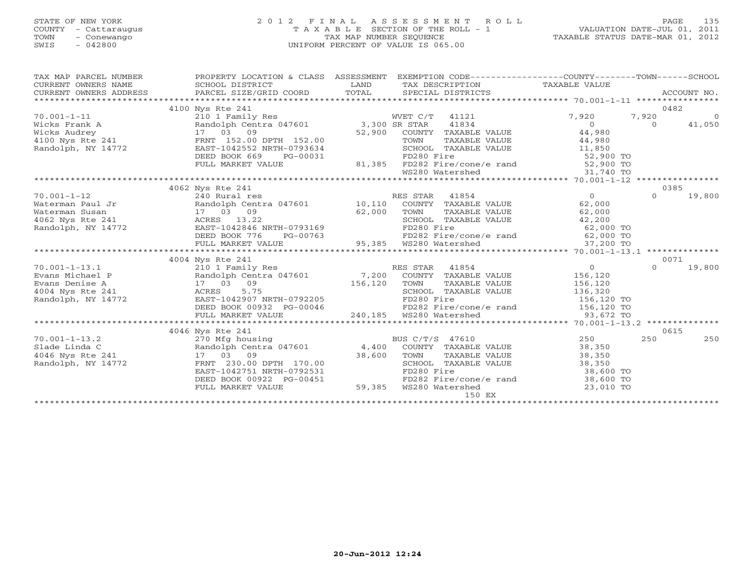#### STATE OF NEW YORK 2 0 1 2 F I N A L A S S E S S M E N T R O L L PAGE 135 COUNTY - Cattaraugus T A X A B L E SECTION OF THE ROLL - 1 VALUATION DATE-JUL 01, 2011 TOWN - Conewango TAX MAP NUMBER SEQUENCE TAXABLE STATUS DATE-MAR 01, 2012 SWIS - 042800 UNIFORM PERCENT OF VALUE IS 065.00UNIFORM PERCENT OF VALUE IS 065.00

| TAX MAP PARCEL NUMBER | PROPERTY LOCATION & CLASS ASSESSMENT EXEMPTION CODE-----------------COUNTY--------TOWN------SCHOOL<br>$\begin{tabular}{lllllll} \multicolumn{2}{c}{\textbf{CURRENT}} & \multicolumn{2}{c}{\textbf{WNERS}} & \multicolumn{2}{c}{\textbf{NAME}} & \multicolumn{2}{c}{\textbf{SCHOOL}} & \multicolumn{2}{c}{\textbf{LAND}} & \multicolumn{2}{c}{\textbf{TAX} \textbf{DESCRIPTION}} & \multicolumn{2}{c}{\textbf{TAXABLE VALUE}} & \multicolumn{2}{c}{\textbf{NALUE}} \\ & & & & & & & \multicolumn{2}{c}{\textbf{CURRENT}} & \multicolumn{2}{c}{\textbf{WALUE}} & \multicolumn{2}{c}{\textbf$ |                                                                    |                                |          |                |
|-----------------------|--------------------------------------------------------------------------------------------------------------------------------------------------------------------------------------------------------------------------------------------------------------------------------------------------------------------------------------------------------------------------------------------------------------------------------------------------------------------------------------------------------------------------------------------------------------------------------------------|--------------------------------------------------------------------|--------------------------------|----------|----------------|
|                       | 4100 Nys Rte 241                                                                                                                                                                                                                                                                                                                                                                                                                                                                                                                                                                           |                                                                    |                                | 0482     |                |
|                       |                                                                                                                                                                                                                                                                                                                                                                                                                                                                                                                                                                                            |                                                                    |                                | 7,920    | $\overline{0}$ |
|                       |                                                                                                                                                                                                                                                                                                                                                                                                                                                                                                                                                                                            |                                                                    |                                | $\Omega$ | 41,050         |
|                       |                                                                                                                                                                                                                                                                                                                                                                                                                                                                                                                                                                                            |                                                                    |                                |          |                |
|                       |                                                                                                                                                                                                                                                                                                                                                                                                                                                                                                                                                                                            |                                                                    |                                |          |                |
|                       |                                                                                                                                                                                                                                                                                                                                                                                                                                                                                                                                                                                            | SCHOOL TAXABLE VALUE 11,850                                        |                                |          |                |
|                       |                                                                                                                                                                                                                                                                                                                                                                                                                                                                                                                                                                                            |                                                                    |                                |          |                |
|                       |                                                                                                                                                                                                                                                                                                                                                                                                                                                                                                                                                                                            |                                                                    |                                |          |                |
|                       |                                                                                                                                                                                                                                                                                                                                                                                                                                                                                                                                                                                            |                                                                    |                                |          |                |
|                       | $\begin{tabular}{c c c c c} \hline DEED BOOK 669 & PG-00031 & FD280 Fire & 52,900 TO \\ \hline FULL MARKET VALUE & 81,385 & FD282 Fire/cone/e rand & 52,900 TO \\ \hline & WS280 Watershed & 31,740 TO \\ \hline \end{tabular}$                                                                                                                                                                                                                                                                                                                                                            |                                                                    |                                |          |                |
|                       | 4062 Nys Rte 241                                                                                                                                                                                                                                                                                                                                                                                                                                                                                                                                                                           |                                                                    |                                | 0385     |                |
|                       |                                                                                                                                                                                                                                                                                                                                                                                                                                                                                                                                                                                            |                                                                    | $\overline{O}$                 | $\Omega$ | 19,800         |
|                       |                                                                                                                                                                                                                                                                                                                                                                                                                                                                                                                                                                                            |                                                                    | 62,000                         |          |                |
|                       |                                                                                                                                                                                                                                                                                                                                                                                                                                                                                                                                                                                            |                                                                    | 62,000                         |          |                |
|                       |                                                                                                                                                                                                                                                                                                                                                                                                                                                                                                                                                                                            | SCHOOL TAXABLE VALUE 42,200                                        |                                |          |                |
|                       |                                                                                                                                                                                                                                                                                                                                                                                                                                                                                                                                                                                            |                                                                    |                                |          |                |
|                       |                                                                                                                                                                                                                                                                                                                                                                                                                                                                                                                                                                                            |                                                                    |                                |          |                |
|                       |                                                                                                                                                                                                                                                                                                                                                                                                                                                                                                                                                                                            |                                                                    |                                |          |                |
|                       | $\begin{array}{lcccc} \texttt{4062 Nys Rte 241} & \texttt{ACRES} & \texttt{13.22} & \texttt{SCHOOL} & \texttt{TAXABLE VALUE} & \texttt{42,200} \\ \texttt{Random, NY 14772} & \texttt{EAST-1042846 NRFH-0793169} & \texttt{FD280 Fire} & \texttt{62,000 TO} \\ \texttt{DEED BOK 776} & \texttt{PG-00763} & \texttt{95,385} & \texttt{WSZ80 Watershed} & \texttt{37,200 TO} \\ & & & & & \\ \texttt{*************$                                                                                                                                                                          |                                                                    |                                |          |                |
|                       | 4004 Nys Rte 241                                                                                                                                                                                                                                                                                                                                                                                                                                                                                                                                                                           |                                                                    |                                | 0071     |                |
|                       |                                                                                                                                                                                                                                                                                                                                                                                                                                                                                                                                                                                            |                                                                    |                                | $\Omega$ | 19,800         |
|                       |                                                                                                                                                                                                                                                                                                                                                                                                                                                                                                                                                                                            |                                                                    |                                |          |                |
|                       |                                                                                                                                                                                                                                                                                                                                                                                                                                                                                                                                                                                            |                                                                    |                                |          |                |
|                       |                                                                                                                                                                                                                                                                                                                                                                                                                                                                                                                                                                                            |                                                                    |                                |          |                |
|                       |                                                                                                                                                                                                                                                                                                                                                                                                                                                                                                                                                                                            |                                                                    |                                |          |                |
|                       |                                                                                                                                                                                                                                                                                                                                                                                                                                                                                                                                                                                            |                                                                    |                                |          |                |
|                       |                                                                                                                                                                                                                                                                                                                                                                                                                                                                                                                                                                                            |                                                                    |                                |          |                |
|                       | 24004 Nys Ree 241<br>Randolph, NY 14772 EAST-1042907 NRTH-0792205<br>DEED BOOK 00932 PG-00046 FD280 Fire/cone/e rand 156,120 TO<br>FD280 Fire/cone/e rand 156,120 TO<br>FD280 Fire/cone/e rand 156,120 TO<br>240,185 WS280 Watershed 93,                                                                                                                                                                                                                                                                                                                                                   |                                                                    |                                |          |                |
|                       | 4046 Nys Rte 241                                                                                                                                                                                                                                                                                                                                                                                                                                                                                                                                                                           |                                                                    |                                | 0615     |                |
|                       | 70.001-1-13.2<br>270 Mfg housing<br>270 Mfg housing<br>Randolph Centra 047601 (4,400 COUNTY TAXABLE VALUE<br>4046 Nys Rte 241 (17 03 09 38,600 TOWN TAXABLE VALUE<br>Randolph, NY 14772 FRNT 230.00 DPTH 170.00 (SCHOOL TAXABLE VALUE                                                                                                                                                                                                                                                                                                                                                      |                                                                    | 250<br>250<br>38,350<br>38,350 | 250      | 250            |
|                       |                                                                                                                                                                                                                                                                                                                                                                                                                                                                                                                                                                                            |                                                                    |                                |          |                |
|                       |                                                                                                                                                                                                                                                                                                                                                                                                                                                                                                                                                                                            |                                                                    | 38,350                         |          |                |
|                       | Randolph Centra 04/601<br>17 03 09 38,600<br>FRNT 230.00 DPTH 170.00 38,600<br>EAST-1042751 NRTH-0792531                                                                                                                                                                                                                                                                                                                                                                                                                                                                                   |                                                                    | 38,350                         |          |                |
|                       |                                                                                                                                                                                                                                                                                                                                                                                                                                                                                                                                                                                            | FD280 Fire                                                         | 38,600 TO                      |          |                |
|                       | DEED BOOK 00922 PG-00451                                                                                                                                                                                                                                                                                                                                                                                                                                                                                                                                                                   | $FD282$ Fire/cone/e rand $38,600$ TO $WS280$ Watershed $23.010$ TO |                                |          |                |
|                       | FULL MARKET VALUE                                                                                                                                                                                                                                                                                                                                                                                                                                                                                                                                                                          |                                                                    | 23,010 TO                      |          |                |
|                       |                                                                                                                                                                                                                                                                                                                                                                                                                                                                                                                                                                                            | 150 EX                                                             |                                |          |                |
|                       |                                                                                                                                                                                                                                                                                                                                                                                                                                                                                                                                                                                            |                                                                    |                                |          |                |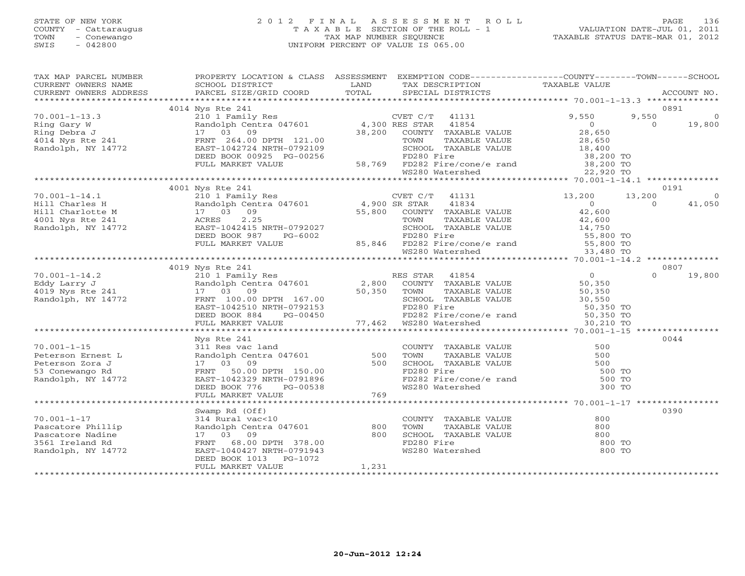#### STATE OF NEW YORK 2 0 1 2 F I N A L A S S E S S M E N T R O L L PAGE 136 COUNTY - Cattaraugus T A X A B L E SECTION OF THE ROLL - 1 VALUATION DATE-JUL 01, 2011 TOWN - Conewango TAX MAP NUMBER SEQUENCE TAXABLE STATUS DATE-MAR 01, 2012 SWIS - 042800 UNIFORM PERCENT OF VALUE IS 065.00UNIFORM PERCENT OF VALUE IS 065.00

| TAX MAP PARCEL NUMBER                                                                                                                                                                                                                                                                    | PROPERTY LOCATION & CLASS ASSESSMENT EXEMPTION CODE----------------COUNTY-------TOWN------SCHOOL |       |                                                                                                                           |       |                                            |
|------------------------------------------------------------------------------------------------------------------------------------------------------------------------------------------------------------------------------------------------------------------------------------------|--------------------------------------------------------------------------------------------------|-------|---------------------------------------------------------------------------------------------------------------------------|-------|--------------------------------------------|
|                                                                                                                                                                                                                                                                                          |                                                                                                  |       |                                                                                                                           |       |                                            |
|                                                                                                                                                                                                                                                                                          |                                                                                                  |       |                                                                                                                           |       | ACCOUNT NO.                                |
|                                                                                                                                                                                                                                                                                          |                                                                                                  |       |                                                                                                                           |       |                                            |
|                                                                                                                                                                                                                                                                                          | 4014 Nys Rte 241                                                                                 |       |                                                                                                                           |       | 0891                                       |
|                                                                                                                                                                                                                                                                                          |                                                                                                  |       |                                                                                                                           | 9,550 | $\overline{0}$                             |
|                                                                                                                                                                                                                                                                                          |                                                                                                  |       |                                                                                                                           |       | $\begin{array}{cc} 0 & 19,800 \end{array}$ |
|                                                                                                                                                                                                                                                                                          |                                                                                                  |       |                                                                                                                           |       |                                            |
|                                                                                                                                                                                                                                                                                          |                                                                                                  |       |                                                                                                                           |       |                                            |
|                                                                                                                                                                                                                                                                                          |                                                                                                  |       |                                                                                                                           |       |                                            |
|                                                                                                                                                                                                                                                                                          |                                                                                                  |       |                                                                                                                           |       |                                            |
|                                                                                                                                                                                                                                                                                          |                                                                                                  |       |                                                                                                                           |       |                                            |
|                                                                                                                                                                                                                                                                                          |                                                                                                  |       |                                                                                                                           |       |                                            |
|                                                                                                                                                                                                                                                                                          |                                                                                                  |       |                                                                                                                           |       |                                            |
|                                                                                                                                                                                                                                                                                          | 4001 Nys Rte 241                                                                                 |       |                                                                                                                           |       | 0191                                       |
|                                                                                                                                                                                                                                                                                          |                                                                                                  |       |                                                                                                                           |       | $\sim$ 0                                   |
|                                                                                                                                                                                                                                                                                          |                                                                                                  |       |                                                                                                                           |       | 41,050                                     |
|                                                                                                                                                                                                                                                                                          |                                                                                                  |       |                                                                                                                           |       |                                            |
|                                                                                                                                                                                                                                                                                          |                                                                                                  |       |                                                                                                                           |       |                                            |
|                                                                                                                                                                                                                                                                                          |                                                                                                  |       |                                                                                                                           |       |                                            |
|                                                                                                                                                                                                                                                                                          |                                                                                                  |       |                                                                                                                           |       |                                            |
|                                                                                                                                                                                                                                                                                          |                                                                                                  |       |                                                                                                                           |       |                                            |
|                                                                                                                                                                                                                                                                                          |                                                                                                  |       |                                                                                                                           |       |                                            |
|                                                                                                                                                                                                                                                                                          |                                                                                                  |       |                                                                                                                           |       |                                            |
|                                                                                                                                                                                                                                                                                          | 4019 Nys Rte 241                                                                                 |       |                                                                                                                           |       | 0807                                       |
|                                                                                                                                                                                                                                                                                          |                                                                                                  |       |                                                                                                                           |       | 19,800                                     |
|                                                                                                                                                                                                                                                                                          |                                                                                                  |       |                                                                                                                           |       |                                            |
|                                                                                                                                                                                                                                                                                          |                                                                                                  |       |                                                                                                                           |       |                                            |
|                                                                                                                                                                                                                                                                                          |                                                                                                  |       |                                                                                                                           |       |                                            |
|                                                                                                                                                                                                                                                                                          |                                                                                                  |       |                                                                                                                           |       |                                            |
|                                                                                                                                                                                                                                                                                          |                                                                                                  |       |                                                                                                                           |       |                                            |
|                                                                                                                                                                                                                                                                                          |                                                                                                  |       |                                                                                                                           |       |                                            |
|                                                                                                                                                                                                                                                                                          |                                                                                                  |       |                                                                                                                           |       |                                            |
|                                                                                                                                                                                                                                                                                          | Nys Rte 241                                                                                      |       |                                                                                                                           |       | 0044                                       |
|                                                                                                                                                                                                                                                                                          |                                                                                                  |       |                                                                                                                           |       |                                            |
|                                                                                                                                                                                                                                                                                          |                                                                                                  |       |                                                                                                                           |       |                                            |
|                                                                                                                                                                                                                                                                                          |                                                                                                  |       |                                                                                                                           |       |                                            |
|                                                                                                                                                                                                                                                                                          |                                                                                                  |       |                                                                                                                           |       |                                            |
|                                                                                                                                                                                                                                                                                          |                                                                                                  |       |                                                                                                                           |       |                                            |
|                                                                                                                                                                                                                                                                                          |                                                                                                  |       |                                                                                                                           |       |                                            |
| Nys Rte 241<br>Peterson Ernest L<br>Peterson Zora J<br>21 Randolph Centra 047601<br>2500 TOWN TAXABLE VALUE<br>Peterson Zora J<br>27 03 09<br>27 03 09<br>280 SCHOOL TAXABLE VALUE<br>260 TOWN TAXABLE VALUE<br>260 TOWN TAXABLE VALUE<br>260 TOWN T                                     |                                                                                                  |       |                                                                                                                           |       |                                            |
|                                                                                                                                                                                                                                                                                          |                                                                                                  |       |                                                                                                                           |       |                                            |
|                                                                                                                                                                                                                                                                                          | Swamp Rd (Off)                                                                                   |       |                                                                                                                           |       | 0390                                       |
|                                                                                                                                                                                                                                                                                          |                                                                                                  |       |                                                                                                                           |       |                                            |
|                                                                                                                                                                                                                                                                                          |                                                                                                  |       |                                                                                                                           |       |                                            |
|                                                                                                                                                                                                                                                                                          |                                                                                                  |       |                                                                                                                           |       |                                            |
|                                                                                                                                                                                                                                                                                          |                                                                                                  |       |                                                                                                                           |       |                                            |
| 10.001-1-17<br>Pascatore Phillip<br>Pascatore Nadine<br>Pascatore Nadine<br>2000<br>2000<br>2000<br>2000<br>2000<br>2000<br>2000<br>2000<br>2000<br>2000<br>2000<br>2000<br>2000<br>2000<br>2000<br>2000<br>2000<br>2000<br>2000<br>2000<br>2000<br>2000<br>2000<br>2000<br>2000<br>2000 |                                                                                                  |       | COUNTY TAXABLE VALUE<br>TOWN TAXABLE VALUE 300<br>SCHOOL TAXABLE VALUE 300<br>FD280 Fire 300 TO<br>WS280 Watershed 300 TO |       |                                            |
|                                                                                                                                                                                                                                                                                          |                                                                                                  |       |                                                                                                                           |       |                                            |
|                                                                                                                                                                                                                                                                                          | FULL MARKET VALUE                                                                                | 1,231 |                                                                                                                           |       |                                            |
|                                                                                                                                                                                                                                                                                          |                                                                                                  |       |                                                                                                                           |       |                                            |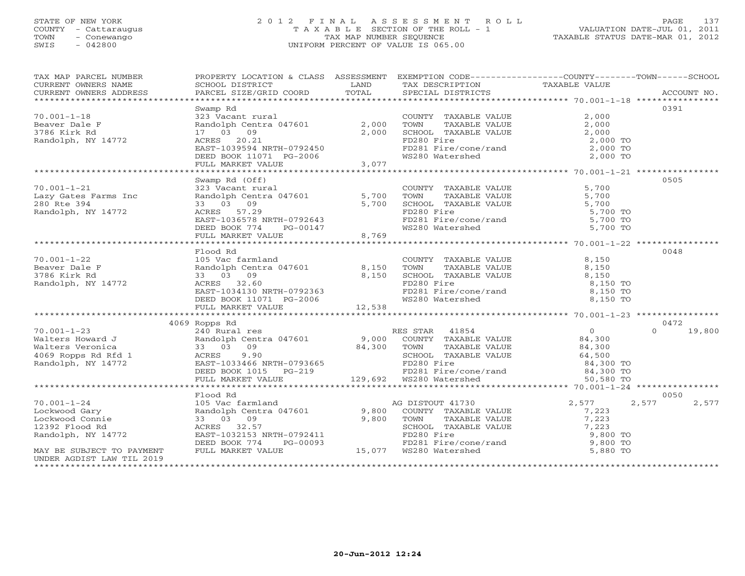#### STATE OF NEW YORK 2 0 1 2 F I N A L A S S E S S M E N T R O L L PAGE 137 COUNTY - Cattaraugus T A X A B L E SECTION OF THE ROLL - 1 VALUATION DATE-JUL 01, 2011 TOWN - Conewango TAX MAP NUMBER SEQUENCE TAXABLE STATUS DATE-MAR 01, 2012 SWIS - 042800 UNIFORM PERCENT OF VALUE IS 065.00UNIFORM PERCENT OF VALUE IS 065.00

| TAX MAP PARCEL NUMBER<br>CURRENT OWNERS NAME                  | PROPERTY LOCATION & CLASS ASSESSMENT EXEMPTION CODE---------------COUNTY-------TOWN------SCHOOL<br>SCHOOL DISTRICT | LAND                   | TAX DESCRIPTION                                                          | TAXABLE VALUE  |                    |
|---------------------------------------------------------------|--------------------------------------------------------------------------------------------------------------------|------------------------|--------------------------------------------------------------------------|----------------|--------------------|
| CURRENT OWNERS ADDRESS                                        | PARCEL SIZE/GRID COORD                                                                                             | TOTAL                  | SPECIAL DISTRICTS                                                        |                | ACCOUNT NO.        |
|                                                               |                                                                                                                    |                        |                                                                          |                | 0391               |
| $70.001 - 1 - 18$                                             | Swamp Rd<br>323 Vacant rural                                                                                       |                        | COUNTY TAXABLE VALUE                                                     | 2,000          |                    |
| Beaver Dale F                                                 | Randolph Centra 047601                                                                                             | 2,000                  | TOWN<br>TAXABLE VALUE                                                    | 2,000          |                    |
| 3786 Kirk Rd                                                  | 17 03 09                                                                                                           | 2,000                  | SCHOOL TAXABLE VALUE                                                     | 2,000          |                    |
| Randolph, NY 14772                                            | ACRES 20.21                                                                                                        |                        | FD280 Fire                                                               | 2,000 TO       |                    |
|                                                               | EAST-1039594 NRTH-0792450                                                                                          |                        | FD281 Fire/cone/rand                                                     | 2,000 TO       |                    |
|                                                               |                                                                                                                    |                        | WS280 Watershed                                                          | 2,000 TO       |                    |
|                                                               | DEED BOOK 11071 PG-2006<br>FULL MARKET VALUE 3,077                                                                 | 3,077                  |                                                                          |                |                    |
|                                                               |                                                                                                                    |                        |                                                                          |                |                    |
|                                                               | Swamp Rd (Off)                                                                                                     |                        |                                                                          |                | 0505               |
| $70.001 - 1 - 21$                                             | 323 Vacant rural                                                                                                   |                        |                                                                          | 5,700          |                    |
| Lazy Gates Farms Inc                                          | Randolph Centra 047601 5,700                                                                                       |                        | COUNTY TAXABLE VALUE<br>TOWN      TAXABLE VALUE<br>TOWN<br>TAXABLE VALUE | 5,700          |                    |
| 280 Rte 394                                                   | 33 03 09                                                                                                           | 5,700                  | SCHOOL TAXABLE VALUE                                                     | 5,700          |                    |
| Randolph, NY 14772                                            | ACRES 57.29                                                                                                        |                        | FD280 Fire                                                               | 5,700 TO       |                    |
|                                                               | EAST-1036578 NRTH-0792643                                                                                          |                        |                                                                          | 5,700 TO       |                    |
|                                                               | DEED BOOK 774                                                                                                      | н-∪/92643<br>_PG-00147 | FD280 Fire<br>FD281 Fire/cone/rand<br>WS280 Watershed                    | 5,700 TO       |                    |
|                                                               | FULL MARKET VALUE                                                                                                  | 8,769                  |                                                                          |                |                    |
|                                                               |                                                                                                                    |                        |                                                                          |                |                    |
|                                                               | Flood Rd                                                                                                           |                        |                                                                          |                | 0048               |
| $70.001 - 1 - 22$                                             | 105 Vac farmland                                                                                                   |                        | COUNTY TAXABLE VALUE                                                     | 8,150          |                    |
| Beaver Dale F                                                 | Randolph Centra 047601                                                                                             | 8,150                  | TOWN<br>TAXABLE VALUE                                                    | 8,150          |                    |
| 3786 Kirk Rd                                                  | 33 03 09                                                                                                           | 8,150                  | SCHOOL TAXABLE VALUE                                                     | 8,150          |                    |
| Randolph, NY 14772                                            | ACRES 32.60                                                                                                        |                        | FD280 Fire                                                               | 8,150 TO       |                    |
|                                                               | ACAES<br>EAST-1034130 NRTH-0792363<br>DEED BOOK 11071 PG-2006                                                      |                        |                                                                          | 8,150 TO       |                    |
|                                                               | DEED BOOK 11071 PG-2006                                                                                            |                        | r2201<br>FD281 Fire/cone/rand<br>WS280 Watershed                         | 8,150 TO       |                    |
|                                                               | FULL MARKET VALUE                                                                                                  | 12,538                 |                                                                          |                |                    |
|                                                               |                                                                                                                    |                        |                                                                          |                |                    |
|                                                               | 4069 Ropps Rd                                                                                                      |                        |                                                                          |                | 0472               |
| $70.001 - 1 - 23$                                             | 240 Rural res                                                                                                      |                        | RES STAR 41854                                                           | $\overline{0}$ | 19,800<br>$\Omega$ |
| Walters Howard J                                              | Randolph Centra 047601 9,000 COUNTY TAXABLE VALUE                                                                  |                        |                                                                          | 84,300         |                    |
|                                                               | 33 03 09                                                                                                           | 84,300 TOWN            | TAXABLE VALUE                                                            | 84,300         |                    |
|                                                               | ACRES<br>9.90                                                                                                      |                        | SCHOOL TAXABLE VALUE                                                     | 64,500         |                    |
| Walters Veronica<br>4069 Ropps Rd Rfd 1<br>Randolph, NY 14772 |                                                                                                                    |                        | FD280 Fire                                                               | 84,300 TO      |                    |
|                                                               | EAST-1033466 NRTH-0793665<br>DEED BOOK 1015 PG-219                                                                 |                        |                                                                          | 84,300 TO      |                    |
|                                                               | FULL MARKET VALUE                                                                                                  |                        |                                                                          | 50,580 TO      |                    |
|                                                               |                                                                                                                    |                        |                                                                          |                |                    |
|                                                               | Flood Rd                                                                                                           |                        |                                                                          |                | 0050               |
| $70.001 - 1 - 24$                                             | 105 Vac farmland                                                                                                   |                        | AG DISTOUT 41730                                                         | 2,577          | 2,577<br>2,577     |
| Lockwood Gary                                                 | Randolph Centra 047601                                                                                             |                        | 9,800 COUNTY TAXABLE VALUE                                               | 7,223          |                    |
| Lockwood Connie                                               | 33 03 09                                                                                                           | 9,800                  | TOWN<br>TAXABLE VALUE                                                    | 7,223          |                    |
| 12392 Flood Rd                                                | ACRES 32.57                                                                                                        |                        | SCHOOL TAXABLE VALUE                                                     | 7,223          |                    |
| Randolph, NY 14772                                            | EAST-1032153 NRTH-0792411                                                                                          |                        | FD280 Fire                                                               | 9,800 TO       |                    |
|                                                               | PG-00093<br>DEED BOOK 774                                                                                          |                        | FD281 Fire/cone/rand                                                     | 9,800 TO       |                    |
| MAY BE SUBJECT TO PAYMENT                                     | FULL MARKET VALUE                                                                                                  |                        | $15,077$ $W5280$ Watershed                                               | 5,880 TO       |                    |
| UNDER AGDIST LAW TIL 2019                                     |                                                                                                                    |                        |                                                                          |                |                    |
| **********************                                        |                                                                                                                    |                        |                                                                          |                |                    |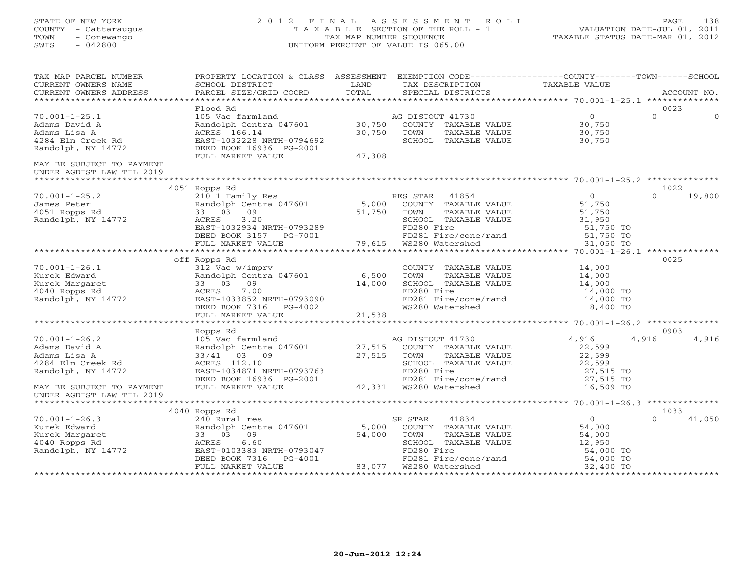#### STATE OF NEW YORK 2 0 1 2 F I N A L A S S E S S M E N T R O L L PAGE 138 COUNTY - Cattaraugus T A X A B L E SECTION OF THE ROLL - 1 VALUATION DATE-JUL 01, 2011 TOWN - Conewango TAX MAP NUMBER SEQUENCE TAXABLE STATUS DATE-MAR 01, 2012 SWIS - 042800 UNIFORM PERCENT OF VALUE IS 065.00UNIFORM PERCENT OF VALUE IS 065.00

| TAX MAP PARCEL NUMBER               | PROPERTY LOCATION & CLASS ASSESSMENT EXEMPTION CODE----------------COUNTY-------TOWN------SCHOOL                                        |             |                                |                |                      |
|-------------------------------------|-----------------------------------------------------------------------------------------------------------------------------------------|-------------|--------------------------------|----------------|----------------------|
| CURRENT OWNERS NAME                 | SCHOOL DISTRICT                                                                                                                         | LAND        | TAX DESCRIPTION                | TAXABLE VALUE  |                      |
| CURRENT OWNERS ADDRESS              | PARCEL SIZE/GRID COORD                                                                                                                  | TOTAL       | SPECIAL DISTRICTS              |                | ACCOUNT NO.          |
|                                     |                                                                                                                                         |             |                                |                |                      |
|                                     | Flood Rd                                                                                                                                |             |                                |                | 0023                 |
| $70.001 - 1 - 25.1$                 | 105 Vac farmland                                 AG DISTOUT 41730<br>Randolph Centra 047601               30,750   COUNTY TAXABLE VALUE |             |                                | 0              | $\Omega$<br>$\Omega$ |
| Adams David A                       |                                                                                                                                         |             |                                | 30,750         |                      |
| Adams Lisa A                        | ACRES 166.14                                                                                                                            | 30,750      | TOWN<br>TAXABLE VALUE          | 30,750         |                      |
| 4284 Elm Creek Rd                   | EAST-1032228 NRTH-0794692                                                                                                               |             | SCHOOL TAXABLE VALUE           | 30,750         |                      |
| Randolph, NY 14772                  | DEED BOOK 16936 PG-2001                                                                                                                 |             |                                |                |                      |
|                                     | FULL MARKET VALUE                                                                                                                       | 47,308      |                                |                |                      |
| MAY BE SUBJECT TO PAYMENT           |                                                                                                                                         |             |                                |                |                      |
| UNDER AGDIST LAW TIL 2019           |                                                                                                                                         |             |                                |                |                      |
|                                     |                                                                                                                                         |             |                                |                |                      |
|                                     | 4051 Ropps Rd                                                                                                                           |             |                                |                | 1022                 |
| $70.001 - 1 - 25.2$                 | 210 1 Family Res                                                                                                                        |             | RES STAR 41854                 | $\overline{0}$ | $\Omega$<br>19,800   |
| James Peter                         | Randolph Centra 047601 5,000                                                                                                            |             | COUNTY TAXABLE VALUE           | 51,750         |                      |
| -vul Ropps Rd<br>Randolph, NY 14772 | 33 03 09                                                                                                                                | 51,750 TOWN | TAXABLE VALUE                  | 51,750         |                      |
|                                     | 3.20<br>ACRES                                                                                                                           |             | SCHOOL TAXABLE VALUE           | 31,950         |                      |
|                                     | EAST-1032934 NRTH-0793289                                                                                                               |             | FD280 Fire                     | 51,750 TO      |                      |
|                                     | DEED BOOK 3157 $PG-7001$                                                                                                                |             | FD281 Fire/cone/rand 51,750 TO |                |                      |
|                                     | FULL MARKET VALUE                                                                                                                       |             | 79,615 WS280 Watershed         | 31,050 TO      |                      |
|                                     | ***************************                                                                                                             |             |                                |                |                      |
|                                     | off Ropps Rd                                                                                                                            |             |                                |                | 0025                 |
| $70.001 - 1 - 26.1$                 |                                                                                                                                         |             | COUNTY TAXABLE VALUE           | 14,000         |                      |
| Kurek Edward                        | 312 Vac w/imprv<br>Randolph Centra 047601 6,500                                                                                         |             | TOWN<br>TAXABLE VALUE          | 14,000         |                      |
| Kurek Margaret                      | 33 03 09                                                                                                                                | 14,000      | SCHOOL TAXABLE VALUE           | 14,000         |                      |
| 4040 Ropps Rd                       | 7.00<br>ACRES                                                                                                                           |             | FD280 Fire                     | 14,000 TO      |                      |
| Randolph, NY 14772                  | ACRES 7.00<br>EAST-1033852 NRTH-0793090<br>DEED BOOK 7316 PG-4002                                                                       |             | FD281 Fire/cone/rand           | 14,000 TO      |                      |
|                                     |                                                                                                                                         |             | WS280 Watershed                | 8,400 TO       |                      |
|                                     | FULL MARKET VALUE                                                                                                                       | 21,538      |                                |                |                      |
|                                     |                                                                                                                                         |             |                                |                |                      |
|                                     | Ropps Rd                                                                                                                                |             |                                |                | 0903                 |
| $70.001 - 1 - 26.2$                 | 105 Vac farmland                                                                                                                        |             | AG DISTOUT 41730               | 4,916          | 4,916<br>4,916       |
| Adams David A                       | Randolph Centra 047601 27,515 COUNTY TAXABLE VALUE                                                                                      |             |                                | 22,599         |                      |
| Adams Lisa A                        | 33/41 03 09                                                                                                                             | 27,515 TOWN | TAXABLE VALUE                  | 22,599         |                      |
| 4284 Elm Creek Rd                   | ACRES 112.10                                                                                                                            |             | SCHOOL TAXABLE VALUE           | 22,599         |                      |
| Randolph, NY 14772                  | EAST-1034871 NRTH-0793763                                                                                                               |             | FD280 Fire                     | 27,515 TO      |                      |
|                                     | DEED BOOK 16936 PG-2001                                                                                                                 |             | FD281 Fire/cone/rand           | 27,515 TO      |                      |
| MAY BE SUBJECT TO PAYMENT           | FULL MARKET VALUE                                                                                                                       |             |                                | 16,509 TO      |                      |
| UNDER AGDIST LAW TIL 2019           |                                                                                                                                         |             |                                |                |                      |
|                                     |                                                                                                                                         |             |                                |                |                      |
|                                     | 4040 Ropps Rd                                                                                                                           |             |                                |                | 1033                 |
| $70.001 - 1 - 26.3$                 | 240 Rural res                                                                                                                           |             | 41834<br>SR STAR               | $\overline{0}$ | $\cap$<br>41,050     |
| Kurek Edward                        | Randolph Centra 047601                                                                                                                  | 5,000       | COUNTY TAXABLE VALUE           | 54,000         |                      |
| Kurek Margaret                      | 09<br>33 03                                                                                                                             | 54,000      | TOWN<br>TAXABLE VALUE          | 54,000         |                      |
| 4040 Ropps Rd                       | 6.60<br>ACRES                                                                                                                           |             | SCHOOL TAXABLE VALUE           | 12,950         |                      |
| Randolph, NY 14772                  | EAST-0103383 NRTH-0793047                                                                                                               |             | FD280 Fire                     | 54,000 TO      |                      |
|                                     | DEED BOOK 7316<br>PG-4001                                                                                                               |             | FD281 Fire/cone/rand           | 54,000 TO      |                      |
|                                     | FULL MARKET VALUE                                                                                                                       |             | 83,077 WS280 Watershed         | 32,400 TO      |                      |
|                                     |                                                                                                                                         |             |                                |                |                      |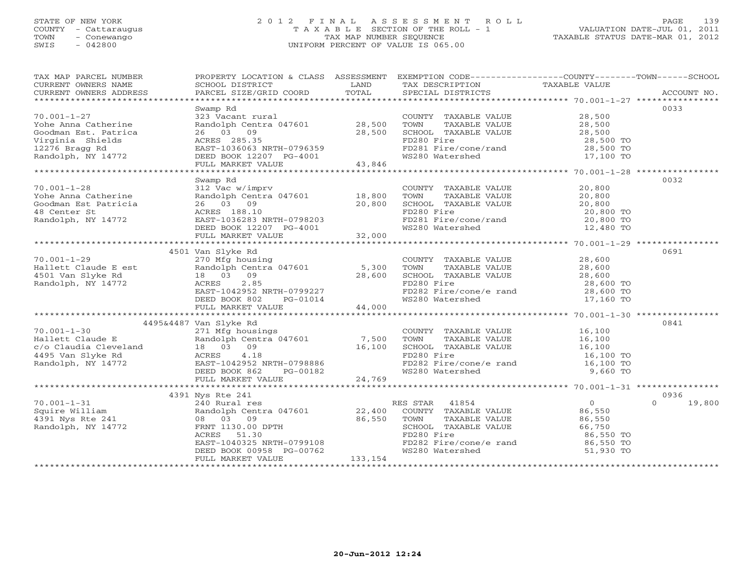### STATE OF NEW YORK 2 0 1 2 F I N A L A S S E S S M E N T R O L L PAGE 139 COUNTY - Cattaraugus T A X A B L E SECTION OF THE ROLL - 1 VALUATION DATE-JUL 01, 2011 TOWN - Conewango TAX MAP NUMBER SEQUENCE TAXABLE STATUS DATE-MAR 01, 2012 SWIS - 042800 UNIFORM PERCENT OF VALUE IS 065.00UNIFORM PERCENT OF VALUE IS 065.00

| TAX MAP PARCEL NUMBER<br>CURRENT OWNERS NAME                                                                                                                                                                                                 | PROPERTY LOCATION & CLASS ASSESSMENT EXEMPTION CODE----------------COUNTY-------TOWN------SCHOOL<br>SCHOOL DISTRICT                                   | LAND     | TAX DESCRIPTION                                                                                                            | TAXABLE VALUE                                                                   |                    |
|----------------------------------------------------------------------------------------------------------------------------------------------------------------------------------------------------------------------------------------------|-------------------------------------------------------------------------------------------------------------------------------------------------------|----------|----------------------------------------------------------------------------------------------------------------------------|---------------------------------------------------------------------------------|--------------------|
| COURIENT OWNERS ADDRESS FORCEL SIZE/GRID COORD FOTAL SECIAL DISTRICTS FOR ACCOUNT NO.<br>FOREXT PARCEL SIZE/GRID COORD TOTAL SECIAL DISTRICTS FOR POLOTICITY ACCOUNT NO.                                                                     |                                                                                                                                                       |          |                                                                                                                            |                                                                                 |                    |
|                                                                                                                                                                                                                                              | Swamp Rd                                                                                                                                              |          |                                                                                                                            |                                                                                 | 0033               |
| $70.001 - 1 - 27$                                                                                                                                                                                                                            | 323 Vacant rural                                                                                                                                      |          | COUNTY TAXABLE VALUE 28,500                                                                                                |                                                                                 |                    |
|                                                                                                                                                                                                                                              |                                                                                                                                                       |          |                                                                                                                            |                                                                                 |                    |
|                                                                                                                                                                                                                                              |                                                                                                                                                       |          |                                                                                                                            |                                                                                 |                    |
|                                                                                                                                                                                                                                              |                                                                                                                                                       |          | FD280 Fire                                                                                                                 | 28,500 TO<br>28,500 TO                                                          |                    |
|                                                                                                                                                                                                                                              |                                                                                                                                                       |          |                                                                                                                            |                                                                                 |                    |
|                                                                                                                                                                                                                                              |                                                                                                                                                       |          | FD281 Fire/cone/rand 28,500 TO<br>WS280 Watershed 17,100 TO                                                                |                                                                                 |                    |
| Volume 1-27<br>Yohe Anna Catherine Randolph Centra 047601 28,500<br>Coodman Est. Patrica 26 03 09 28,500<br>Virginia Shields ACRES 285.35<br>12276 Bragg Rd EAST-1036063 NRTH-0796359<br>Randolph, NY 14772 DEED BOOK 12207 PG-4001 43,8     |                                                                                                                                                       |          |                                                                                                                            |                                                                                 |                    |
|                                                                                                                                                                                                                                              |                                                                                                                                                       |          |                                                                                                                            |                                                                                 |                    |
|                                                                                                                                                                                                                                              | Swamp Rd                                                                                                                                              |          |                                                                                                                            |                                                                                 | 0032               |
|                                                                                                                                                                                                                                              |                                                                                                                                                       |          | COUNTY TAXABLE VALUE<br>TOWN TAXABLE VALUE 20,800                                                                          |                                                                                 |                    |
|                                                                                                                                                                                                                                              |                                                                                                                                                       |          |                                                                                                                            |                                                                                 |                    |
|                                                                                                                                                                                                                                              |                                                                                                                                                       |          |                                                                                                                            |                                                                                 |                    |
|                                                                                                                                                                                                                                              |                                                                                                                                                       |          |                                                                                                                            |                                                                                 |                    |
|                                                                                                                                                                                                                                              |                                                                                                                                                       |          | SCHOOL TAXABLE VALUE $20,800$<br>FD280 Fire $20,800$ TO<br>FD281 Fire/cone/rand $20,800$ TO<br>WS280 Watershed $12,480$ TO |                                                                                 |                    |
|                                                                                                                                                                                                                                              |                                                                                                                                                       |          |                                                                                                                            |                                                                                 |                    |
|                                                                                                                                                                                                                                              |                                                                                                                                                       |          |                                                                                                                            |                                                                                 |                    |
|                                                                                                                                                                                                                                              | 4501 Van Slyke Rd                                                                                                                                     |          |                                                                                                                            |                                                                                 | 0691               |
|                                                                                                                                                                                                                                              | 270 Mfg housing                                                                                                                                       |          | COUNTY TAXABLE VALUE 28,600                                                                                                |                                                                                 |                    |
|                                                                                                                                                                                                                                              |                                                                                                                                                       |          |                                                                                                                            |                                                                                 |                    |
|                                                                                                                                                                                                                                              |                                                                                                                                                       |          |                                                                                                                            |                                                                                 |                    |
|                                                                                                                                                                                                                                              |                                                                                                                                                       |          |                                                                                                                            |                                                                                 |                    |
|                                                                                                                                                                                                                                              |                                                                                                                                                       |          | FD280 Fire<br>FD282 Fire/cone/e rand 28,600 TO                                                                             |                                                                                 |                    |
|                                                                                                                                                                                                                                              |                                                                                                                                                       |          | WS280 Watershed                                                                                                            | 17,160 TO                                                                       |                    |
| 70.001-1-29 270 Mfg housing<br>Hallett Claude E est Randolph Centra 047601 5,300<br>4501 Van Slyke Rd 18 03 09 28,600<br>Randolph, NY 14772 ACRES 2.85<br>EAST-1042952 NRTH-0799227<br>DEED BOOK 802 PG-01014<br>FULL MARKET VALUE<br>FULL M |                                                                                                                                                       |          |                                                                                                                            |                                                                                 |                    |
|                                                                                                                                                                                                                                              | 4495&4487 Van Slyke Rd                                                                                                                                |          |                                                                                                                            |                                                                                 | 0841               |
| $70.001 - 1 - 30$                                                                                                                                                                                                                            | 271 Mfg housings                                                                                                                                      |          |                                                                                                                            |                                                                                 |                    |
|                                                                                                                                                                                                                                              |                                                                                                                                                       |          | COUNTY TAXABLE VALUE 16,100<br>TOWN TAXABLE VALUE 16,100                                                                   |                                                                                 |                    |
|                                                                                                                                                                                                                                              |                                                                                                                                                       |          |                                                                                                                            |                                                                                 |                    |
|                                                                                                                                                                                                                                              |                                                                                                                                                       |          |                                                                                                                            |                                                                                 |                    |
|                                                                                                                                                                                                                                              |                                                                                                                                                       |          |                                                                                                                            |                                                                                 |                    |
|                                                                                                                                                                                                                                              |                                                                                                                                                       |          |                                                                                                                            |                                                                                 |                    |
|                                                                                                                                                                                                                                              |                                                                                                                                                       |          |                                                                                                                            |                                                                                 |                    |
|                                                                                                                                                                                                                                              |                                                                                                                                                       |          |                                                                                                                            |                                                                                 |                    |
|                                                                                                                                                                                                                                              | 4391 Nys Rte 241                                                                                                                                      |          |                                                                                                                            |                                                                                 | 0936               |
|                                                                                                                                                                                                                                              |                                                                                                                                                       |          |                                                                                                                            | $\begin{array}{ccccc}\n & & & & 0 \\ \text{VATJIF} & & & & 86,550\n\end{array}$ | 19,800<br>$\Omega$ |
| 70.001-1-31 240 Rural res<br>Squire William Randolph Cent<br>4391 Nys Rte 241 08 03 09<br>Randolph, NY 14772 FRNT 1130.00                                                                                                                    | Nys Rte 241<br>240 Rural res<br>Randolph Centra 047601 22,400 COUNTY TAXABLE VALUE<br>08 03 09 86,550 TOWN TAXABLE VALUE<br>26,550 TOWN TAXABLE VALUE |          |                                                                                                                            |                                                                                 |                    |
|                                                                                                                                                                                                                                              |                                                                                                                                                       |          |                                                                                                                            | TAXABLE VALUE 86,550                                                            |                    |
|                                                                                                                                                                                                                                              | FRNT 1130.00 DPTH<br>ACRES 51.30<br>EAST-1040325 NRTH-0799108                                                                                         |          | SCHOOL TAXABLE VALUE 66,750<br>FD280 Fire 86,550                                                                           |                                                                                 |                    |
|                                                                                                                                                                                                                                              |                                                                                                                                                       |          |                                                                                                                            |                                                                                 |                    |
|                                                                                                                                                                                                                                              | DEED BOOK 00958 PG-00762                                                                                                                              |          | FD280 Fire<br>FD282 Fire/cone/e rand 86,550 TO<br>WS280 Watershed 51,930 TO                                                |                                                                                 |                    |
|                                                                                                                                                                                                                                              | FULL MARKET VALUE                                                                                                                                     | 133, 154 |                                                                                                                            |                                                                                 |                    |
|                                                                                                                                                                                                                                              |                                                                                                                                                       |          |                                                                                                                            |                                                                                 |                    |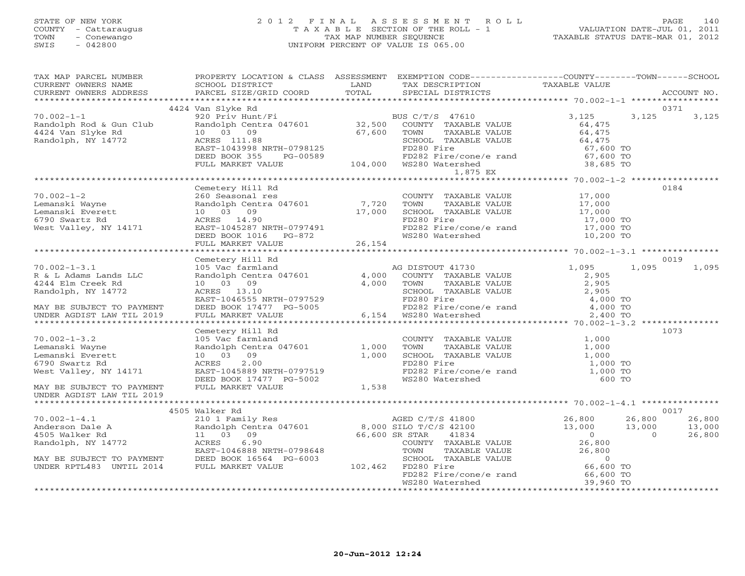# STATE OF NEW YORK 2 0 1 2 F I N A L A S S E S S M E N T R O L L PAGE 140COUNTY - Cattaraugus T A X A B L E SECTION OF THE ROLL - 1<br>
TOWN - Conewango TAX MAP NUMBER SEQUENCE<br>
SWIS - 042800 SWIS - 042800 UNIFORM PERCENT OF VALUE IS 065.00

| TAX MAP PARCEL NUMBER<br>CURRENT OWNERS NAME                                                                                                     | SCHOOL DISTRICT                                                                                                                                                                                  |                         | PROPERTY LOCATION & CLASS ASSESSMENT EXEMPTION CODE---------------COUNTY-------TOWN------SCHOOL<br>LAND TAX DESCRIPTION                                                                           | TAXABLE VALUE                                                            |                              |
|--------------------------------------------------------------------------------------------------------------------------------------------------|--------------------------------------------------------------------------------------------------------------------------------------------------------------------------------------------------|-------------------------|---------------------------------------------------------------------------------------------------------------------------------------------------------------------------------------------------|--------------------------------------------------------------------------|------------------------------|
|                                                                                                                                                  |                                                                                                                                                                                                  |                         |                                                                                                                                                                                                   |                                                                          |                              |
| $70.002 - 1 - 1$<br>Randolph Rod & Gun Club<br>4424 Van Slyke Rd<br>Pandolph NY 14772<br>Randolph, NY 14772                                      | 4424 Van Slyke Rd<br>920 Priv Hunt/Fi<br>Randolph Centra 047601 32,500 COUNTY TAXABLE<br>10 03 09<br>ACRES 111.88                                                                                | 67,600                  | COUNTY TAXABLE VALUE<br>TOWN<br>TAXABLE VALUE<br>SCHOOL TAXABLE VALUE                                                                                                                             | 3,125<br>3,125<br>64,475<br>64,475<br>64,475                             | 0371<br>3,125                |
|                                                                                                                                                  | EAST-1043998 NRTH-0798125<br>DEED BOOK 355<br>PG-00589<br>FULL MARKET VALUE                                                                                                                      |                         | FD280 Fire<br>FD282 Fire/cone/e rand<br>104,000 WS280 Watershed<br>1,875 EX                                                                                                                       | 67,600 TO<br>$67,600$ TO<br>38,685 TO                                    |                              |
|                                                                                                                                                  |                                                                                                                                                                                                  |                         |                                                                                                                                                                                                   |                                                                          |                              |
| $70.002 - 1 - 2$<br>Lemanski Wayne<br>Lemanski Everett<br>6790 Swartz Rd<br>6790 Swartz Rd<br>West Valley, NY 14171                              | Cemetery Hill Rd<br>260 Seasonal res<br>Randolph Centra 047601 7,720<br>17,000<br>10 03 09<br>ACRES 14.90<br>EAST-1045287 NRTH-0797491<br>DEED BOOK 1016 PG-872<br>FULL MARKET VALUE 26,154      |                         | COUNTY TAXABLE VALUE 17,000<br>TOWN<br>TAXABLE VALUE<br>SCHOOL TAXABLE VALUE 17,000<br>FD280 Fire 17,000 TO<br>FD282 Fire/cone/e rand<br>WS280 Watershed                                          | 17,000<br>17,000 TO<br>10,200 TO                                         | 0184                         |
|                                                                                                                                                  |                                                                                                                                                                                                  |                         |                                                                                                                                                                                                   |                                                                          |                              |
| $70.002 - 1 - 3.1$<br>R & L Adams Lands LLC<br>4244 Elm Creek Rd<br>Randolph, NY 14772<br>MAY BE SUBJECT TO PAYMENT<br>UNDER AGDIST LAW TIL 2019 | Cemetery Hill Rd<br>Cemetery Hill Ku<br>105 Vac farmland<br>Randolph Centra 047601<br>10 03 09<br>ACRES 13.10<br>EAST-1046555 NRTH-0797529<br>DEED BOOK 17477 PG-5005<br>FULL MARKET VALUE 6,154 | 4,000<br>4,000          | AG DISTOUT 41730<br>COUNTY TAXABLE VALUE<br>TOWN<br>TAXABLE VALUE<br>SCHOOL TAXABLE VALUE<br>FD280 Fire<br>FD282 Fire/cone/e rand $4,000$ TO<br>WS280 Watershed 2,400 TO<br>6,154 WS280 Watershed | 1,095<br>1,095<br>2,905<br>2,905<br>2,905<br>4,000 TO                    | 0019<br>1,095                |
|                                                                                                                                                  |                                                                                                                                                                                                  |                         |                                                                                                                                                                                                   |                                                                          |                              |
| $70.002 - 1 - 3.2$<br>Lemanski Wayne<br>Lemanski Everett<br>6790 Swartz Rd<br>West Valley, NY 14171<br>MAY BE SUBJECT TO PAYMENT                 | Cemetery Hill Rd<br>105 Vac farmland<br>Randolph Centra 047601<br>10 03 09<br>2.00<br>ACRES<br>EAST-1045889 NRTH-0797519<br>DEED BOOK 17477 PG-5002<br>FULL MARKET VALUE                         | 1,000<br>1,000<br>1,538 | COUNTY TAXABLE VALUE<br>TAXABLE VALUE<br>TOWN<br>SCHOOL TAXABLE VALUE<br>FD280 Fire<br>FD282 Fire/cone/e rand 1,000 TO<br>WS280 Watershed 600 TO                                                  | 1,000<br>1,000<br>1,000<br>1,000 TO                                      | 1073                         |
| UNDER AGDIST LAW TIL 2019                                                                                                                        |                                                                                                                                                                                                  |                         |                                                                                                                                                                                                   |                                                                          |                              |
| $70.002 - 1 - 4.1$                                                                                                                               | 4505 Walker Rd                                                                                                                                                                                   |                         |                                                                                                                                                                                                   | 26,800<br>26,800                                                         | 0017<br>26,800               |
| Anderson Dale A<br>4505 Walker Rd<br>Randolph, NY 14772<br>MAY BE SUBJECT TO PAYMENT                                                             | 210 1 Family Res<br>Randolph Centra 047601 8,000 SILO T/C/S 42100<br>11 03 09<br>6.90<br>ACRES<br>EAST-1046888 NRTH-0798648<br>DEED BOOK 16564 PG-6003                                           |                         | AGED C/T/S 41800<br>-- ^ m/c/S 42100<br>66,600 SR STAR<br>COUNTY TAXABLE VALUE<br>TOWN<br>TAXABLE VALUE<br>SCHOOL TAXABLE VALUE                                                                   | 13,000<br>13,000<br>$\overline{0}$<br>26,800<br>26,800<br>$\overline{0}$ | 13,000<br>$\Omega$<br>26,800 |
| UNDER RPTL483 UNTIL 2014                                                                                                                         | FULL MARKET VALUE                                                                                                                                                                                |                         | 102,462 FD280 Fire<br>FD282 Fire/cone/e rand<br>WS280 Watershed                                                                                                                                   | 66,600 TO<br>66,600 TO<br>39,960 TO                                      |                              |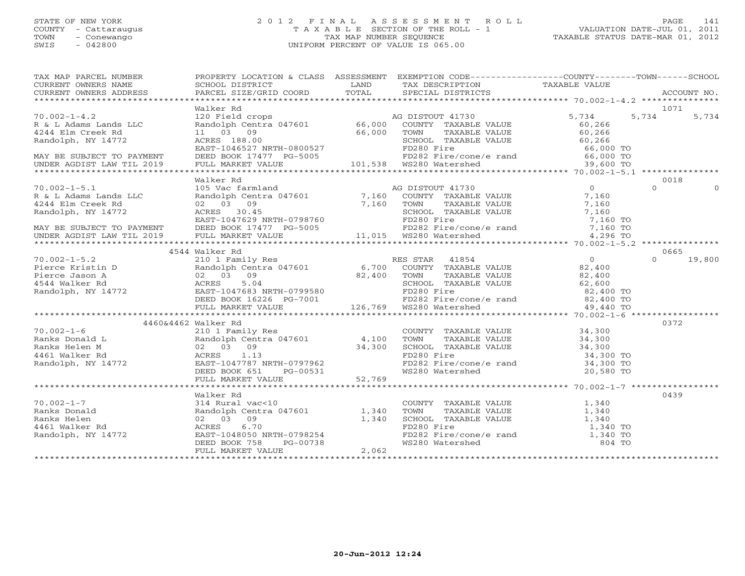### STATE OF NEW YORK 2 0 1 2 F I N A L A S S E S S M E N T R O L L PAGE 141 COUNTY - Cattaraugus T A X A B L E SECTION OF THE ROLL - 1 VALUATION DATE-JUL 01, 2011 TOWN - Conewango TAX MAP NUMBER SEQUENCE TAXABLE STATUS DATE-MAR 01, 2012 SWIS - 042800 UNIFORM PERCENT OF VALUE IS 065.00UNIFORM PERCENT OF VALUE IS 065.00

| TAX MAP PARCEL NUMBER THE PROPERTY LOCATION & CLASS ASSESSMENT EXEMPTION CODE--------------COUNTY-------TOWN------SCHOOL |                     |  |               |
|--------------------------------------------------------------------------------------------------------------------------|---------------------|--|---------------|
|                                                                                                                          |                     |  |               |
|                                                                                                                          |                     |  |               |
|                                                                                                                          |                     |  |               |
|                                                                                                                          | Walker Rd           |  | 1071          |
|                                                                                                                          |                     |  |               |
|                                                                                                                          |                     |  |               |
|                                                                                                                          |                     |  |               |
|                                                                                                                          |                     |  |               |
|                                                                                                                          |                     |  |               |
|                                                                                                                          |                     |  |               |
|                                                                                                                          |                     |  |               |
|                                                                                                                          |                     |  |               |
|                                                                                                                          | Walker Rd           |  | 0018          |
|                                                                                                                          |                     |  |               |
|                                                                                                                          |                     |  |               |
|                                                                                                                          |                     |  |               |
|                                                                                                                          |                     |  |               |
|                                                                                                                          |                     |  |               |
|                                                                                                                          |                     |  |               |
|                                                                                                                          |                     |  |               |
|                                                                                                                          |                     |  |               |
|                                                                                                                          | 4544 Walker Rd      |  | 0665          |
|                                                                                                                          |                     |  | $0 \t 19,800$ |
|                                                                                                                          |                     |  |               |
|                                                                                                                          |                     |  |               |
|                                                                                                                          |                     |  |               |
|                                                                                                                          |                     |  |               |
|                                                                                                                          |                     |  |               |
|                                                                                                                          |                     |  |               |
|                                                                                                                          |                     |  |               |
|                                                                                                                          | 4460&4462 Walker Rd |  | 0372          |
|                                                                                                                          |                     |  |               |
|                                                                                                                          |                     |  |               |
|                                                                                                                          |                     |  |               |
|                                                                                                                          |                     |  |               |
|                                                                                                                          |                     |  |               |
|                                                                                                                          |                     |  |               |
|                                                                                                                          |                     |  |               |
|                                                                                                                          |                     |  |               |
|                                                                                                                          | Walker Rd           |  | 0439          |
|                                                                                                                          |                     |  |               |
|                                                                                                                          |                     |  |               |
|                                                                                                                          |                     |  |               |
|                                                                                                                          |                     |  |               |
|                                                                                                                          |                     |  |               |
|                                                                                                                          |                     |  |               |
|                                                                                                                          |                     |  |               |
|                                                                                                                          |                     |  |               |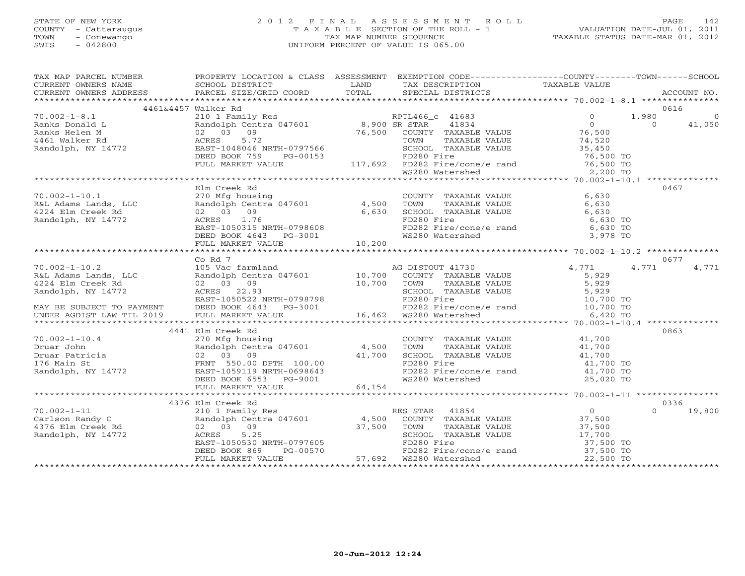#### STATE OF NEW YORK 2 0 1 2 F I N A L A S S E S S M E N T R O L L PAGE 142 COUNTY - Cattaraugus T A X A B L E SECTION OF THE ROLL - 1 VALUATION DATE-JUL 01, 2011 TOWN - Conewango TAX MAP NUMBER SEQUENCE TAXABLE STATUS DATE-MAR 01, 2012 SWIS - 042800 UNIFORM PERCENT OF VALUE IS 065.00UNIFORM PERCENT OF VALUE IS 065.00

| TAX MAP PARCEL NUMBER                                                                                                                                                                                                                                                                                                                                                                                              | PROPERTY LOCATION & CLASS ASSESSMENT EXEMPTION CODE-----------------COUNTY-------TOWN------SCHOOL |                                                                                                                                                                                                                                |        |
|--------------------------------------------------------------------------------------------------------------------------------------------------------------------------------------------------------------------------------------------------------------------------------------------------------------------------------------------------------------------------------------------------------------------|---------------------------------------------------------------------------------------------------|--------------------------------------------------------------------------------------------------------------------------------------------------------------------------------------------------------------------------------|--------|
|                                                                                                                                                                                                                                                                                                                                                                                                                    |                                                                                                   |                                                                                                                                                                                                                                |        |
|                                                                                                                                                                                                                                                                                                                                                                                                                    |                                                                                                   |                                                                                                                                                                                                                                |        |
|                                                                                                                                                                                                                                                                                                                                                                                                                    |                                                                                                   |                                                                                                                                                                                                                                |        |
|                                                                                                                                                                                                                                                                                                                                                                                                                    | 4461&4457 Walker Rd                                                                               |                                                                                                                                                                                                                                | 0616   |
|                                                                                                                                                                                                                                                                                                                                                                                                                    |                                                                                                   |                                                                                                                                                                                                                                |        |
|                                                                                                                                                                                                                                                                                                                                                                                                                    |                                                                                                   |                                                                                                                                                                                                                                |        |
|                                                                                                                                                                                                                                                                                                                                                                                                                    |                                                                                                   |                                                                                                                                                                                                                                |        |
|                                                                                                                                                                                                                                                                                                                                                                                                                    |                                                                                                   |                                                                                                                                                                                                                                |        |
|                                                                                                                                                                                                                                                                                                                                                                                                                    |                                                                                                   |                                                                                                                                                                                                                                |        |
|                                                                                                                                                                                                                                                                                                                                                                                                                    |                                                                                                   |                                                                                                                                                                                                                                |        |
|                                                                                                                                                                                                                                                                                                                                                                                                                    |                                                                                                   |                                                                                                                                                                                                                                |        |
|                                                                                                                                                                                                                                                                                                                                                                                                                    |                                                                                                   |                                                                                                                                                                                                                                |        |
|                                                                                                                                                                                                                                                                                                                                                                                                                    |                                                                                                   |                                                                                                                                                                                                                                |        |
|                                                                                                                                                                                                                                                                                                                                                                                                                    | Elm Creek Rd                                                                                      |                                                                                                                                                                                                                                | 0467   |
|                                                                                                                                                                                                                                                                                                                                                                                                                    |                                                                                                   |                                                                                                                                                                                                                                |        |
|                                                                                                                                                                                                                                                                                                                                                                                                                    |                                                                                                   |                                                                                                                                                                                                                                |        |
|                                                                                                                                                                                                                                                                                                                                                                                                                    |                                                                                                   | COUNTY TAXABLE VALUE<br>TOWN TAXABLE VALUE<br>SCHOOL TAXABLE VALUE<br>SCHOOL TAXABLE VALUE<br>FD280 Fire<br>FD282 Fire/cone/e rand<br>FD282 Fire/cone/e rand<br>6,630 TO<br>6,630 TO<br>6,630 TO<br>8280 Watershed<br>3,978 TO |        |
|                                                                                                                                                                                                                                                                                                                                                                                                                    |                                                                                                   |                                                                                                                                                                                                                                |        |
| 70.002-1-10.1<br>R&L Adams Lands, LLC<br>4.500 TOWN<br>4224 Elm Creek Rd<br>Randolph, NY 14772<br>RAST-1050315 NRTH-0798608<br>EAST-1050315 NRTH-0798608<br>PEAST-1050315 NRTH-0798608<br>PEAST-1050315 NRTH-0798608<br>PEAST-1050315 NRTH-07986                                                                                                                                                                   |                                                                                                   |                                                                                                                                                                                                                                |        |
|                                                                                                                                                                                                                                                                                                                                                                                                                    |                                                                                                   |                                                                                                                                                                                                                                |        |
|                                                                                                                                                                                                                                                                                                                                                                                                                    | FULL MARKET VALUE 10,200                                                                          |                                                                                                                                                                                                                                |        |
|                                                                                                                                                                                                                                                                                                                                                                                                                    |                                                                                                   |                                                                                                                                                                                                                                |        |
|                                                                                                                                                                                                                                                                                                                                                                                                                    | Co Rd 7                                                                                           |                                                                                                                                                                                                                                | 0677   |
|                                                                                                                                                                                                                                                                                                                                                                                                                    |                                                                                                   |                                                                                                                                                                                                                                |        |
|                                                                                                                                                                                                                                                                                                                                                                                                                    |                                                                                                   |                                                                                                                                                                                                                                |        |
|                                                                                                                                                                                                                                                                                                                                                                                                                    |                                                                                                   |                                                                                                                                                                                                                                |        |
|                                                                                                                                                                                                                                                                                                                                                                                                                    |                                                                                                   |                                                                                                                                                                                                                                |        |
|                                                                                                                                                                                                                                                                                                                                                                                                                    |                                                                                                   |                                                                                                                                                                                                                                |        |
|                                                                                                                                                                                                                                                                                                                                                                                                                    |                                                                                                   |                                                                                                                                                                                                                                |        |
|                                                                                                                                                                                                                                                                                                                                                                                                                    |                                                                                                   |                                                                                                                                                                                                                                |        |
|                                                                                                                                                                                                                                                                                                                                                                                                                    |                                                                                                   |                                                                                                                                                                                                                                |        |
|                                                                                                                                                                                                                                                                                                                                                                                                                    | 4441 Elm Creek Rd                                                                                 |                                                                                                                                                                                                                                | 0863   |
|                                                                                                                                                                                                                                                                                                                                                                                                                    |                                                                                                   |                                                                                                                                                                                                                                |        |
|                                                                                                                                                                                                                                                                                                                                                                                                                    |                                                                                                   |                                                                                                                                                                                                                                |        |
|                                                                                                                                                                                                                                                                                                                                                                                                                    |                                                                                                   |                                                                                                                                                                                                                                |        |
|                                                                                                                                                                                                                                                                                                                                                                                                                    |                                                                                                   |                                                                                                                                                                                                                                |        |
|                                                                                                                                                                                                                                                                                                                                                                                                                    |                                                                                                   |                                                                                                                                                                                                                                |        |
|                                                                                                                                                                                                                                                                                                                                                                                                                    |                                                                                                   |                                                                                                                                                                                                                                |        |
|                                                                                                                                                                                                                                                                                                                                                                                                                    |                                                                                                   |                                                                                                                                                                                                                                |        |
|                                                                                                                                                                                                                                                                                                                                                                                                                    |                                                                                                   |                                                                                                                                                                                                                                |        |
|                                                                                                                                                                                                                                                                                                                                                                                                                    | 4376 Elm Creek Rd                                                                                 |                                                                                                                                                                                                                                | 0336   |
|                                                                                                                                                                                                                                                                                                                                                                                                                    |                                                                                                   |                                                                                                                                                                                                                                | 19,800 |
|                                                                                                                                                                                                                                                                                                                                                                                                                    |                                                                                                   |                                                                                                                                                                                                                                |        |
|                                                                                                                                                                                                                                                                                                                                                                                                                    |                                                                                                   |                                                                                                                                                                                                                                |        |
|                                                                                                                                                                                                                                                                                                                                                                                                                    |                                                                                                   |                                                                                                                                                                                                                                |        |
|                                                                                                                                                                                                                                                                                                                                                                                                                    |                                                                                                   |                                                                                                                                                                                                                                |        |
|                                                                                                                                                                                                                                                                                                                                                                                                                    |                                                                                                   |                                                                                                                                                                                                                                |        |
|                                                                                                                                                                                                                                                                                                                                                                                                                    |                                                                                                   |                                                                                                                                                                                                                                |        |
| $\begin{array}{cccccccccccc} 70.002-1-11 & 4376 \text{ EIN C} & 19.336 \\ \text{Carlson Randy C} & 210 1 \text{ Family Res} & 4,500 & \text{COUNTY TAXABLE VALUE} & 37,500 & 0 & 19.336 \\ \text{Carlson Randy C} & 210 12 \text{ randomly Central } 047601 & 4,500 & \text{COUNTY TAXABLE VALUE} & 37,500 & 0 & 19.336 \\ \text{A376 Ellm Creek Rd} & 02 & 03 & 9 & 37,500 & \text{TONIN Y TAXABLE VALUE} & 37,5$ |                                                                                                   |                                                                                                                                                                                                                                |        |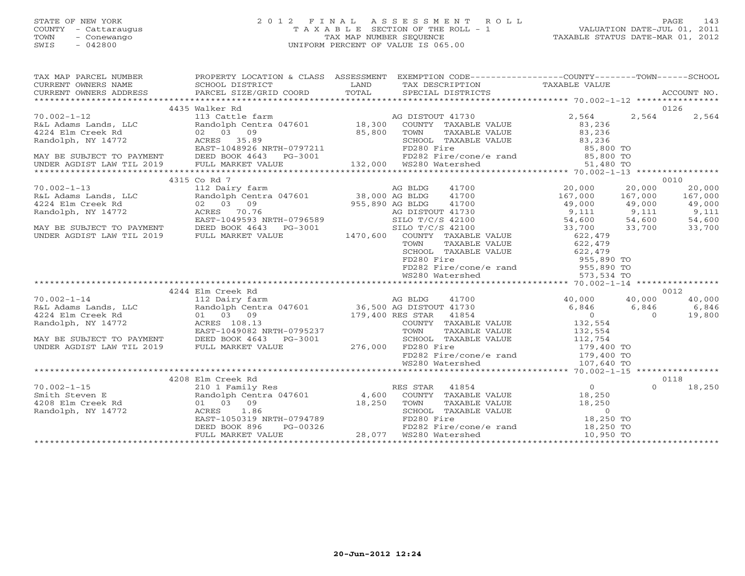#### STATE OF NEW YORK 2 0 1 2 F I N A L A S S E S S M E N T R O L L PAGE 143 COUNTY - Cattaraugus T A X A B L E SECTION OF THE ROLL - 1 VALUATION DATE-JUL 01, 2011 TOWN - Conewango TAX MAP NUMBER SEQUENCE TAXABLE STATUS DATE-MAR 01, 2012 SWIS - 042800 UNIFORM PERCENT OF VALUE IS 065.00UNIFORM PERCENT OF VALUE IS 065.00

| 4435 Walker Rd<br>0126<br>$\begin{tabular}{lllllllllllllllllllll} \hline 70.002-1-12 & 4435 \text{ Walter Rd} & 113 \text{ Cattle farm} & \text{AG DISTOUT 41730} & 2,564 & 2,564 & 2,564 & 2,564 & 2,564 & 2,564 & 2,564 & 2,564 & 2,564 & 2,564 & 2,564 & 2,564 & 2,564 & 2,564 & 2,564 & 2,564 & 2,564 & 2,564 & 2,564 & 2,564 & 2,564 &$ |                   |                                                                                                               |                                                                                                                                                                                                                                                                                                                                                                                                    |  |  |  |  |  |  |
|----------------------------------------------------------------------------------------------------------------------------------------------------------------------------------------------------------------------------------------------------------------------------------------------------------------------------------------------|-------------------|---------------------------------------------------------------------------------------------------------------|----------------------------------------------------------------------------------------------------------------------------------------------------------------------------------------------------------------------------------------------------------------------------------------------------------------------------------------------------------------------------------------------------|--|--|--|--|--|--|
|                                                                                                                                                                                                                                                                                                                                              |                   |                                                                                                               |                                                                                                                                                                                                                                                                                                                                                                                                    |  |  |  |  |  |  |
|                                                                                                                                                                                                                                                                                                                                              |                   |                                                                                                               |                                                                                                                                                                                                                                                                                                                                                                                                    |  |  |  |  |  |  |
|                                                                                                                                                                                                                                                                                                                                              |                   |                                                                                                               |                                                                                                                                                                                                                                                                                                                                                                                                    |  |  |  |  |  |  |
|                                                                                                                                                                                                                                                                                                                                              |                   |                                                                                                               |                                                                                                                                                                                                                                                                                                                                                                                                    |  |  |  |  |  |  |
|                                                                                                                                                                                                                                                                                                                                              |                   |                                                                                                               |                                                                                                                                                                                                                                                                                                                                                                                                    |  |  |  |  |  |  |
|                                                                                                                                                                                                                                                                                                                                              |                   |                                                                                                               |                                                                                                                                                                                                                                                                                                                                                                                                    |  |  |  |  |  |  |
|                                                                                                                                                                                                                                                                                                                                              |                   |                                                                                                               |                                                                                                                                                                                                                                                                                                                                                                                                    |  |  |  |  |  |  |
|                                                                                                                                                                                                                                                                                                                                              |                   |                                                                                                               |                                                                                                                                                                                                                                                                                                                                                                                                    |  |  |  |  |  |  |
|                                                                                                                                                                                                                                                                                                                                              | 4315 Co Rd 7      |                                                                                                               | 0010                                                                                                                                                                                                                                                                                                                                                                                               |  |  |  |  |  |  |
|                                                                                                                                                                                                                                                                                                                                              |                   |                                                                                                               | $\begin{array}{lcccc} 70.002-1-13 & 4315\text{ Co }\text{Rd} & 112\text{ Da} & 0000& 20,000& 20,000& 20,000& 20,000& 20,000& 20,000& 20,000& 20,000& 20,000& 20,000& 20,000& 20,000& 20,000& 20,000& 20,000& 20,000& 20,000& 20,000& 20,000& 20,000& 20,000$                                                                                                                                       |  |  |  |  |  |  |
|                                                                                                                                                                                                                                                                                                                                              |                   |                                                                                                               |                                                                                                                                                                                                                                                                                                                                                                                                    |  |  |  |  |  |  |
|                                                                                                                                                                                                                                                                                                                                              |                   |                                                                                                               |                                                                                                                                                                                                                                                                                                                                                                                                    |  |  |  |  |  |  |
|                                                                                                                                                                                                                                                                                                                                              |                   |                                                                                                               |                                                                                                                                                                                                                                                                                                                                                                                                    |  |  |  |  |  |  |
|                                                                                                                                                                                                                                                                                                                                              |                   |                                                                                                               |                                                                                                                                                                                                                                                                                                                                                                                                    |  |  |  |  |  |  |
|                                                                                                                                                                                                                                                                                                                                              |                   |                                                                                                               |                                                                                                                                                                                                                                                                                                                                                                                                    |  |  |  |  |  |  |
|                                                                                                                                                                                                                                                                                                                                              |                   |                                                                                                               |                                                                                                                                                                                                                                                                                                                                                                                                    |  |  |  |  |  |  |
|                                                                                                                                                                                                                                                                                                                                              |                   |                                                                                                               |                                                                                                                                                                                                                                                                                                                                                                                                    |  |  |  |  |  |  |
|                                                                                                                                                                                                                                                                                                                                              |                   |                                                                                                               |                                                                                                                                                                                                                                                                                                                                                                                                    |  |  |  |  |  |  |
|                                                                                                                                                                                                                                                                                                                                              |                   |                                                                                                               |                                                                                                                                                                                                                                                                                                                                                                                                    |  |  |  |  |  |  |
|                                                                                                                                                                                                                                                                                                                                              |                   |                                                                                                               |                                                                                                                                                                                                                                                                                                                                                                                                    |  |  |  |  |  |  |
|                                                                                                                                                                                                                                                                                                                                              |                   | SCHOOL TAAADDD VIDEE<br>FD280 Fire<br>FD282 Fire/cone/e rand 955,890 TO<br>FD282 Fire/cone/e rand 9573,534 TO |                                                                                                                                                                                                                                                                                                                                                                                                    |  |  |  |  |  |  |
|                                                                                                                                                                                                                                                                                                                                              |                   |                                                                                                               |                                                                                                                                                                                                                                                                                                                                                                                                    |  |  |  |  |  |  |
|                                                                                                                                                                                                                                                                                                                                              | 4244 Elm Creek Rd |                                                                                                               | 0012                                                                                                                                                                                                                                                                                                                                                                                               |  |  |  |  |  |  |
|                                                                                                                                                                                                                                                                                                                                              |                   |                                                                                                               |                                                                                                                                                                                                                                                                                                                                                                                                    |  |  |  |  |  |  |
|                                                                                                                                                                                                                                                                                                                                              |                   |                                                                                                               |                                                                                                                                                                                                                                                                                                                                                                                                    |  |  |  |  |  |  |
|                                                                                                                                                                                                                                                                                                                                              |                   |                                                                                                               |                                                                                                                                                                                                                                                                                                                                                                                                    |  |  |  |  |  |  |
|                                                                                                                                                                                                                                                                                                                                              |                   |                                                                                                               |                                                                                                                                                                                                                                                                                                                                                                                                    |  |  |  |  |  |  |
|                                                                                                                                                                                                                                                                                                                                              |                   |                                                                                                               |                                                                                                                                                                                                                                                                                                                                                                                                    |  |  |  |  |  |  |
|                                                                                                                                                                                                                                                                                                                                              |                   |                                                                                                               |                                                                                                                                                                                                                                                                                                                                                                                                    |  |  |  |  |  |  |
|                                                                                                                                                                                                                                                                                                                                              |                   |                                                                                                               |                                                                                                                                                                                                                                                                                                                                                                                                    |  |  |  |  |  |  |
|                                                                                                                                                                                                                                                                                                                                              |                   |                                                                                                               |                                                                                                                                                                                                                                                                                                                                                                                                    |  |  |  |  |  |  |
|                                                                                                                                                                                                                                                                                                                                              |                   |                                                                                                               |                                                                                                                                                                                                                                                                                                                                                                                                    |  |  |  |  |  |  |
|                                                                                                                                                                                                                                                                                                                                              | 4208 Elm Creek Rd |                                                                                                               |                                                                                                                                                                                                                                                                                                                                                                                                    |  |  |  |  |  |  |
|                                                                                                                                                                                                                                                                                                                                              |                   |                                                                                                               | 0118<br>18,250                                                                                                                                                                                                                                                                                                                                                                                     |  |  |  |  |  |  |
|                                                                                                                                                                                                                                                                                                                                              |                   |                                                                                                               |                                                                                                                                                                                                                                                                                                                                                                                                    |  |  |  |  |  |  |
|                                                                                                                                                                                                                                                                                                                                              |                   |                                                                                                               |                                                                                                                                                                                                                                                                                                                                                                                                    |  |  |  |  |  |  |
|                                                                                                                                                                                                                                                                                                                                              |                   |                                                                                                               |                                                                                                                                                                                                                                                                                                                                                                                                    |  |  |  |  |  |  |
|                                                                                                                                                                                                                                                                                                                                              |                   |                                                                                                               |                                                                                                                                                                                                                                                                                                                                                                                                    |  |  |  |  |  |  |
|                                                                                                                                                                                                                                                                                                                                              |                   |                                                                                                               |                                                                                                                                                                                                                                                                                                                                                                                                    |  |  |  |  |  |  |
|                                                                                                                                                                                                                                                                                                                                              |                   |                                                                                                               | $\begin{array}{cccccccc} 70.002-1-15 & 4208\text{ Elm} \text{ Creek} \text{ Rd} & 0 & 0118 \\ & 210 & 11 & 8 & 0 & 18, 25 \\ \text{Smith Steven E} & \text{Random UP} & \text{Random UP} & \text{Rd} & 0 & 0 & 18, 25 \\ 4208\text{ Elm} \text{ Creek} \text{ Rd} & 0 & 0 & 18, 25 \\ 4208\text{ Elm} \text{ Creek} \text{ Rd} & 0 & 0 & 18, 25 \\ 4208\text{ Elm} \text{ Creek} \text{ Rd} & 0 &$ |  |  |  |  |  |  |
|                                                                                                                                                                                                                                                                                                                                              |                   |                                                                                                               |                                                                                                                                                                                                                                                                                                                                                                                                    |  |  |  |  |  |  |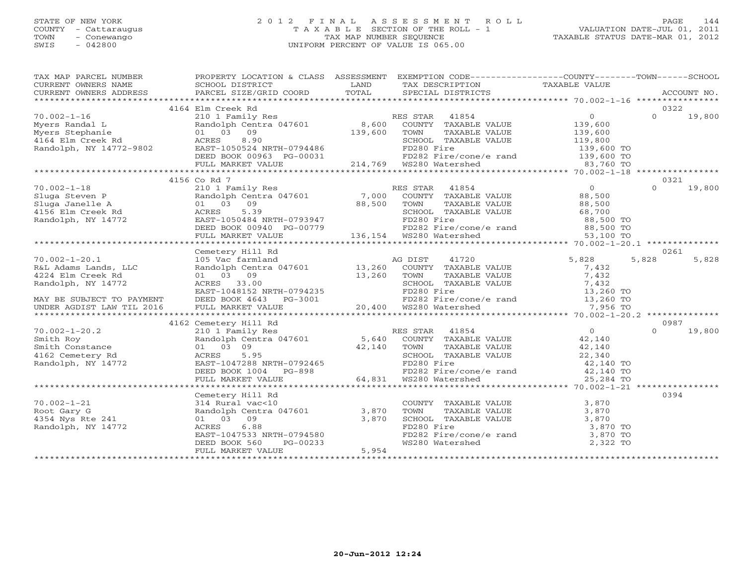### STATE OF NEW YORK 2 0 1 2 F I N A L A S S E S S M E N T R O L L PAGE 144 COUNTY - Cattaraugus T A X A B L E SECTION OF THE ROLL - 1 VALUATION DATE-JUL 01, 2011 TOWN - Conewango TAX MAP NUMBER SEQUENCE TAXABLE STATUS DATE-MAR 01, 2012 SWIS - 042800 UNIFORM PERCENT OF VALUE IS 065.00UNIFORM PERCENT OF VALUE IS 065.00

| TAX MAP PARCEL NUMBER                                                                                                                                                                                               | PROPERTY LOCATION & CLASS ASSESSMENT EXEMPTION CODE---------------COUNTY-------TOWN------SCHOOL                                                                                                                                                   |       |                                                                                                                            |       |          |        |  |  |
|---------------------------------------------------------------------------------------------------------------------------------------------------------------------------------------------------------------------|---------------------------------------------------------------------------------------------------------------------------------------------------------------------------------------------------------------------------------------------------|-------|----------------------------------------------------------------------------------------------------------------------------|-------|----------|--------|--|--|
| CURRENT OWNERS NAME                                                                                                                                                                                                 | SCHOOL DISTRICT                                                                                                                                                                                                                                   | LAND  | TAX DESCRIPTION TAXABLE VALUE                                                                                              |       |          |        |  |  |
|                                                                                                                                                                                                                     |                                                                                                                                                                                                                                                   |       |                                                                                                                            |       |          |        |  |  |
| 4164 Elm Creek Rd<br>0322                                                                                                                                                                                           |                                                                                                                                                                                                                                                   |       |                                                                                                                            |       |          |        |  |  |
|                                                                                                                                                                                                                     |                                                                                                                                                                                                                                                   |       |                                                                                                                            |       |          |        |  |  |
|                                                                                                                                                                                                                     |                                                                                                                                                                                                                                                   |       |                                                                                                                            |       |          |        |  |  |
|                                                                                                                                                                                                                     |                                                                                                                                                                                                                                                   |       |                                                                                                                            |       |          |        |  |  |
|                                                                                                                                                                                                                     |                                                                                                                                                                                                                                                   |       |                                                                                                                            |       |          |        |  |  |
|                                                                                                                                                                                                                     |                                                                                                                                                                                                                                                   |       |                                                                                                                            |       |          |        |  |  |
|                                                                                                                                                                                                                     |                                                                                                                                                                                                                                                   |       |                                                                                                                            |       |          |        |  |  |
|                                                                                                                                                                                                                     |                                                                                                                                                                                                                                                   |       |                                                                                                                            |       |          |        |  |  |
|                                                                                                                                                                                                                     |                                                                                                                                                                                                                                                   |       |                                                                                                                            |       |          |        |  |  |
| 0321<br>4156 Co Rd 7                                                                                                                                                                                                |                                                                                                                                                                                                                                                   |       |                                                                                                                            |       |          |        |  |  |
|                                                                                                                                                                                                                     |                                                                                                                                                                                                                                                   |       |                                                                                                                            |       | $\Omega$ | 19,800 |  |  |
|                                                                                                                                                                                                                     |                                                                                                                                                                                                                                                   |       |                                                                                                                            |       |          |        |  |  |
|                                                                                                                                                                                                                     |                                                                                                                                                                                                                                                   |       |                                                                                                                            |       |          |        |  |  |
|                                                                                                                                                                                                                     |                                                                                                                                                                                                                                                   |       |                                                                                                                            |       |          |        |  |  |
|                                                                                                                                                                                                                     |                                                                                                                                                                                                                                                   |       |                                                                                                                            |       |          |        |  |  |
|                                                                                                                                                                                                                     |                                                                                                                                                                                                                                                   |       |                                                                                                                            |       |          |        |  |  |
|                                                                                                                                                                                                                     |                                                                                                                                                                                                                                                   |       |                                                                                                                            |       |          |        |  |  |
|                                                                                                                                                                                                                     |                                                                                                                                                                                                                                                   |       |                                                                                                                            |       |          |        |  |  |
| 0261                                                                                                                                                                                                                |                                                                                                                                                                                                                                                   |       |                                                                                                                            |       |          |        |  |  |
|                                                                                                                                                                                                                     | Cemetery Hill Rd                                                                                                                                                                                                                                  |       |                                                                                                                            |       | 5,828    | 5,828  |  |  |
|                                                                                                                                                                                                                     |                                                                                                                                                                                                                                                   |       |                                                                                                                            |       |          |        |  |  |
|                                                                                                                                                                                                                     |                                                                                                                                                                                                                                                   |       |                                                                                                                            |       |          |        |  |  |
|                                                                                                                                                                                                                     |                                                                                                                                                                                                                                                   |       |                                                                                                                            |       |          |        |  |  |
|                                                                                                                                                                                                                     |                                                                                                                                                                                                                                                   |       |                                                                                                                            |       |          |        |  |  |
|                                                                                                                                                                                                                     |                                                                                                                                                                                                                                                   |       |                                                                                                                            |       |          |        |  |  |
|                                                                                                                                                                                                                     |                                                                                                                                                                                                                                                   |       |                                                                                                                            |       |          |        |  |  |
|                                                                                                                                                                                                                     |                                                                                                                                                                                                                                                   |       |                                                                                                                            |       |          |        |  |  |
| 0987<br>4162 Cemetery Hill Rd                                                                                                                                                                                       |                                                                                                                                                                                                                                                   |       |                                                                                                                            |       |          |        |  |  |
| $\begin{tabular}{ll} 70.002-1-20.2 & 210 1 Fami \\ Smith Roy & Random & Random & Random \\ Smith Constance & 01 03 \\ 4162 Cemetery Rd & ACKES \\ Random & andoph, NY 14772 & EAST-1047 \\ DEED BOOK \end{tabular}$ |                                                                                                                                                                                                                                                   |       |                                                                                                                            |       | $\cap$   | 19,800 |  |  |
|                                                                                                                                                                                                                     | 210 1 Family Res RES STAR 41854 0<br>Randolph Centra 047601 5,640 COUNTY TAXABLE VALUE 42,140                                                                                                                                                     |       |                                                                                                                            |       |          |        |  |  |
|                                                                                                                                                                                                                     |                                                                                                                                                                                                                                                   |       |                                                                                                                            |       |          |        |  |  |
|                                                                                                                                                                                                                     |                                                                                                                                                                                                                                                   |       |                                                                                                                            |       |          |        |  |  |
|                                                                                                                                                                                                                     |                                                                                                                                                                                                                                                   |       |                                                                                                                            |       |          |        |  |  |
|                                                                                                                                                                                                                     |                                                                                                                                                                                                                                                   |       |                                                                                                                            |       |          |        |  |  |
|                                                                                                                                                                                                                     | 01 03 09<br>ACRES 5.95<br>EAST-1047288 NRTH-0792465<br>DEED BOOK 1004 PG-898<br>FORED BOOK 1004 PG-898<br>FORED BOOK 1004 PG-898<br>FORED BOOK 1004 PG-898<br>FORED BOOK 1004 PG-898<br>FORED BOOK 1004 PG-898<br>FORED BOOK 1004 PG-898<br>FORED |       |                                                                                                                            |       |          |        |  |  |
|                                                                                                                                                                                                                     |                                                                                                                                                                                                                                                   |       |                                                                                                                            |       |          |        |  |  |
|                                                                                                                                                                                                                     | Cemetery Hill Rd                                                                                                                                                                                                                                  |       |                                                                                                                            |       | 0394     |        |  |  |
| $70.002 - 1 - 21$                                                                                                                                                                                                   |                                                                                                                                                                                                                                                   |       | COUNTY TAXABLE VALUE                                                                                                       | 3,870 |          |        |  |  |
|                                                                                                                                                                                                                     | Cemetery H111 Rd<br>314 Rural vac<10<br>Randolph Centra 047601 3,870<br>01 03 09 3,870<br>ACRES 6.88<br>EAST-1047533 NRTH-0794580<br>DEED BOOK 560 PG-00233<br>PUIT MAPYET VALUE                                                                  |       |                                                                                                                            |       |          |        |  |  |
| Root Gary G<br>4354 Nys Rte 241                                                                                                                                                                                     |                                                                                                                                                                                                                                                   |       |                                                                                                                            |       |          |        |  |  |
| Randolph, NY 14772                                                                                                                                                                                                  |                                                                                                                                                                                                                                                   |       |                                                                                                                            |       |          |        |  |  |
|                                                                                                                                                                                                                     |                                                                                                                                                                                                                                                   |       |                                                                                                                            |       |          |        |  |  |
|                                                                                                                                                                                                                     |                                                                                                                                                                                                                                                   |       |                                                                                                                            |       |          |        |  |  |
|                                                                                                                                                                                                                     | FULL MARKET VALUE                                                                                                                                                                                                                                 | 5,954 | 3,870<br>TOWN TAXABLE VALUE<br>SCHOOL TAXABLE VALUE<br>FD280 Fire<br>FD282 Fire/cone/e rand<br>MS280 Watershed<br>2,322 TO |       |          |        |  |  |
|                                                                                                                                                                                                                     |                                                                                                                                                                                                                                                   |       |                                                                                                                            |       |          |        |  |  |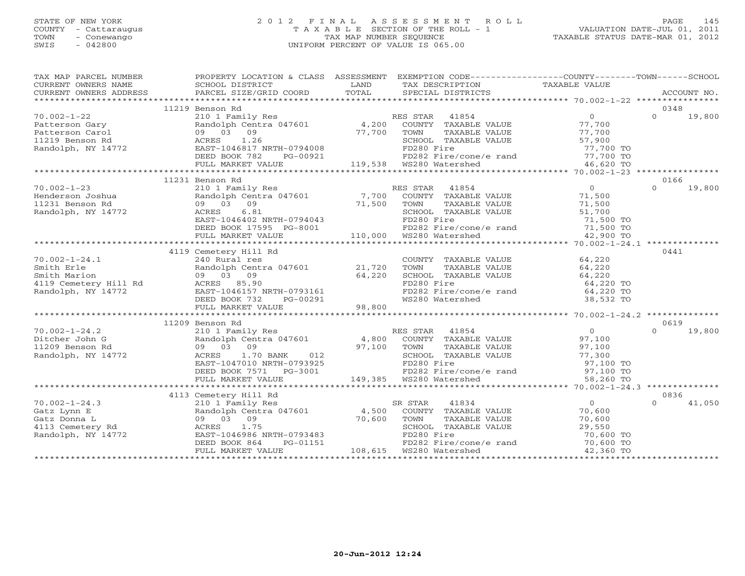# STATE OF NEW YORK 2 0 1 2 F I N A L A S S E S S M E N T R O L L PAGE 145 COUNTY - Cattaraugus T A X A B L E SECTION OF THE ROLL - 1 VALUATION DATE-JUL 01, 2011 TOWN - Conewango TAX MAP NUMBER SEQUENCE TAXABLE STATUS DATE-MAR 01, 2012 SWIS - 042800 UNIFORM PERCENT OF VALUE IS 065.00UNIFORM PERCENT OF VALUE IS 065.00

| TAX MAP PARCEL NUMBER                                                                                     | PROPERTY LOCATION & CLASS ASSESSMENT EXEMPTION CODE----------------COUNTY-------TOWN------SCHOOL                                                                                                                                                                                                                                                                                                                               |                                                                                                                                            |                    |
|-----------------------------------------------------------------------------------------------------------|--------------------------------------------------------------------------------------------------------------------------------------------------------------------------------------------------------------------------------------------------------------------------------------------------------------------------------------------------------------------------------------------------------------------------------|--------------------------------------------------------------------------------------------------------------------------------------------|--------------------|
|                                                                                                           | CURRENT OWNERS NAME SCHOOL DISTRICT A CHARD LAND<br>CURRENT OWNERS ADDRESS PARCEL SIZE/GRID COORD TOTAL                                                                                                                                                                                                                                                                                                                        | TAX DESCRIPTION TAXABLE VALUE SPECIAL DISTRICTS                                                                                            |                    |
|                                                                                                           |                                                                                                                                                                                                                                                                                                                                                                                                                                |                                                                                                                                            |                    |
|                                                                                                           |                                                                                                                                                                                                                                                                                                                                                                                                                                |                                                                                                                                            | 0348               |
|                                                                                                           |                                                                                                                                                                                                                                                                                                                                                                                                                                |                                                                                                                                            | $\Omega$<br>19,800 |
|                                                                                                           |                                                                                                                                                                                                                                                                                                                                                                                                                                |                                                                                                                                            |                    |
|                                                                                                           |                                                                                                                                                                                                                                                                                                                                                                                                                                | TOWN TAXABLE VALUE<br>SCHOOL TAXABLE VALUE 57,900<br>----- Fire 57,700 TO                                                                  |                    |
|                                                                                                           |                                                                                                                                                                                                                                                                                                                                                                                                                                |                                                                                                                                            |                    |
|                                                                                                           |                                                                                                                                                                                                                                                                                                                                                                                                                                |                                                                                                                                            |                    |
|                                                                                                           |                                                                                                                                                                                                                                                                                                                                                                                                                                |                                                                                                                                            |                    |
|                                                                                                           | EAST-1046817 NRTH-0794008 FD280 Fire 77,700 TO<br>DEED BOOK 782 PG-00921 FD282 Fire/cone/e rand 77,700 TO<br>FD282 Fire/cone/e rand 77,700 TO<br>FD282 Fire/cone/e rand 77,700 TO<br>46,620 TO<br>FULL MARKET VALUE 119,538 WS280 Waters                                                                                                                                                                                       |                                                                                                                                            |                    |
|                                                                                                           |                                                                                                                                                                                                                                                                                                                                                                                                                                |                                                                                                                                            |                    |
|                                                                                                           | 11231 Benson Rd<br>EXERES 10 1 Family Res<br>Randolph Centra 047601 7,700 COUNTY TAXABLE VALUE 71,500<br>9 03 09 71,500 TOWN TAXABLE VALUE 71,500<br>ACRES 6.81 SCHOOL TAXABLE VALUE 51,700<br>EAST-1046402 NRTH-0794043 FD280 Fire 71,500 TOWN FORED BOO                                                                                                                                                                      |                                                                                                                                            | 0166               |
| $70.002 - 1 - 23$                                                                                         |                                                                                                                                                                                                                                                                                                                                                                                                                                |                                                                                                                                            | $\Omega$<br>19,800 |
| Fenderson Joshua<br>11231 Benson Rd<br>11231 Benson Rd<br>16 09 03 09<br>Randolph, NY 14772<br>2008 ACRES |                                                                                                                                                                                                                                                                                                                                                                                                                                |                                                                                                                                            |                    |
|                                                                                                           |                                                                                                                                                                                                                                                                                                                                                                                                                                |                                                                                                                                            |                    |
|                                                                                                           |                                                                                                                                                                                                                                                                                                                                                                                                                                |                                                                                                                                            |                    |
|                                                                                                           |                                                                                                                                                                                                                                                                                                                                                                                                                                |                                                                                                                                            |                    |
|                                                                                                           |                                                                                                                                                                                                                                                                                                                                                                                                                                |                                                                                                                                            |                    |
|                                                                                                           |                                                                                                                                                                                                                                                                                                                                                                                                                                |                                                                                                                                            |                    |
|                                                                                                           |                                                                                                                                                                                                                                                                                                                                                                                                                                |                                                                                                                                            |                    |
|                                                                                                           | 4119 Cemetery Hill Rd                                                                                                                                                                                                                                                                                                                                                                                                          |                                                                                                                                            | 0441               |
|                                                                                                           |                                                                                                                                                                                                                                                                                                                                                                                                                                |                                                                                                                                            |                    |
|                                                                                                           |                                                                                                                                                                                                                                                                                                                                                                                                                                |                                                                                                                                            |                    |
|                                                                                                           |                                                                                                                                                                                                                                                                                                                                                                                                                                |                                                                                                                                            |                    |
|                                                                                                           |                                                                                                                                                                                                                                                                                                                                                                                                                                |                                                                                                                                            |                    |
|                                                                                                           |                                                                                                                                                                                                                                                                                                                                                                                                                                |                                                                                                                                            |                    |
|                                                                                                           |                                                                                                                                                                                                                                                                                                                                                                                                                                |                                                                                                                                            |                    |
|                                                                                                           |                                                                                                                                                                                                                                                                                                                                                                                                                                |                                                                                                                                            |                    |
|                                                                                                           |                                                                                                                                                                                                                                                                                                                                                                                                                                |                                                                                                                                            |                    |
|                                                                                                           | 11209 Benson Rd                                                                                                                                                                                                                                                                                                                                                                                                                |                                                                                                                                            | 0619               |
|                                                                                                           |                                                                                                                                                                                                                                                                                                                                                                                                                                |                                                                                                                                            |                    |
|                                                                                                           |                                                                                                                                                                                                                                                                                                                                                                                                                                |                                                                                                                                            |                    |
|                                                                                                           |                                                                                                                                                                                                                                                                                                                                                                                                                                |                                                                                                                                            |                    |
|                                                                                                           |                                                                                                                                                                                                                                                                                                                                                                                                                                |                                                                                                                                            |                    |
|                                                                                                           |                                                                                                                                                                                                                                                                                                                                                                                                                                |                                                                                                                                            |                    |
|                                                                                                           |                                                                                                                                                                                                                                                                                                                                                                                                                                |                                                                                                                                            |                    |
|                                                                                                           |                                                                                                                                                                                                                                                                                                                                                                                                                                |                                                                                                                                            |                    |
|                                                                                                           | $\begin{tabular}{lllllllllllllllllllllll} \hline 70.002-1-24.2 & 11209 \; \text{Benson }\; \text{Rd} & 0 & 019 \; \text{Rd} \\ \hline \text{Dither John G} & \text{Random C} & \text{Random C} & \text{Random C} & \text{Random C} & \text{Random C} \\ 11209 \; \text{Benson }\; \text{Rd} & 0 & 0 & 19,800 \; \text{COWTY} & \text{TAXABLE VALUE} & 0 & 0 & 19,800 \; \text{COWTY} \\ 11209 \; \text{Benson }\; \text{Rd} &$ |                                                                                                                                            |                    |
|                                                                                                           | 4113 Cemetery Hill Rd                                                                                                                                                                                                                                                                                                                                                                                                          |                                                                                                                                            | 0836               |
|                                                                                                           | V0.002-1-24.3<br>Gatz Lynn E<br>Gatz Donna L<br>4,500<br>4113 Cemetery Rd<br>Randolph, NY 14772<br>Randolph, NY 14772<br>CEED BOOK 864<br>PG-01151<br>Randolph, NY 14772<br>CEED BOOK 864<br>PG-01151                                                                                                                                                                                                                          | 2 STAR 41834<br>COUNTY TAXABLE VALUE 70,600<br>TAXABLE VALUE 70,600<br>TAXABLE VALUE 70,600<br>SR STAR                                     | $\cap$<br>41,050   |
|                                                                                                           |                                                                                                                                                                                                                                                                                                                                                                                                                                |                                                                                                                                            |                    |
|                                                                                                           |                                                                                                                                                                                                                                                                                                                                                                                                                                |                                                                                                                                            |                    |
|                                                                                                           |                                                                                                                                                                                                                                                                                                                                                                                                                                |                                                                                                                                            |                    |
|                                                                                                           |                                                                                                                                                                                                                                                                                                                                                                                                                                |                                                                                                                                            |                    |
|                                                                                                           |                                                                                                                                                                                                                                                                                                                                                                                                                                | TOWN TAXABLE VALUE<br>SCHOOL TAXABLE VALUE 29,550<br>FD280 Fire 70,600 TO<br>FD282 Fire/cone/e rand 70,600 TO<br>WS280 Watershed 42,360 TO |                    |
|                                                                                                           | MARINE 103 09<br>ACRES 1.75<br>BAST-1046986 NRTH-0793483<br>DEED BOOK 864 PG-01151 PD280 Fire<br>FULL MARKET VALUE<br>FULL MARKET VALUE<br>FULL MARKET VALUE<br>PULL MARKET VALUE<br>PULL MARKET VALUE<br>PULL MARKET VALUE<br>PULL MARKET VALUE<br>                                                                                                                                                                           |                                                                                                                                            |                    |
|                                                                                                           |                                                                                                                                                                                                                                                                                                                                                                                                                                |                                                                                                                                            |                    |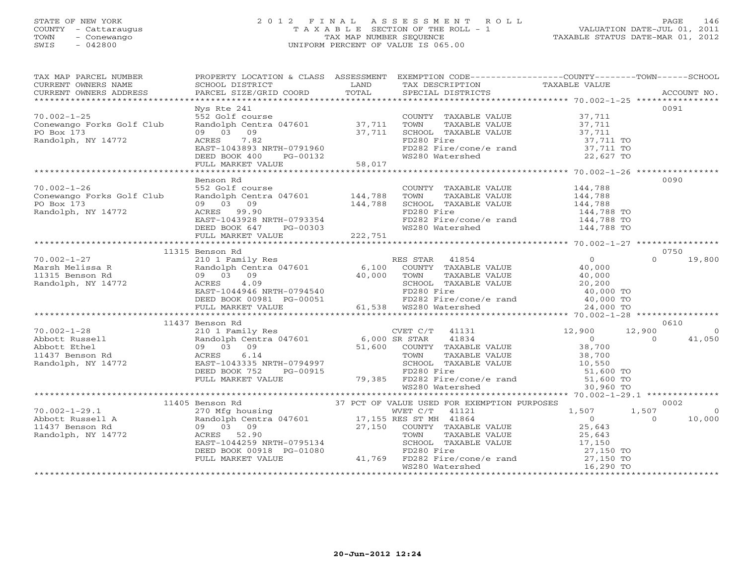### STATE OF NEW YORK 2 0 1 2 F I N A L A S S E S S M E N T R O L L PAGE 146 COUNTY - Cattaraugus T A X A B L E SECTION OF THE ROLL - 1 VALUATION DATE-JUL 01, 2011 TOWN - Conewango TAX MAP NUMBER SEQUENCE TAXABLE STATUS DATE-MAR 01, 2012 SWIS - 042800 UNIFORM PERCENT OF VALUE IS 065.00UNIFORM PERCENT OF VALUE IS 065.00

| TAX MAP PARCEL NUMBER                                                                                                                                                                                                                                                                                                                                                                                          | PROPERTY LOCATION & CLASS ASSESSMENT EXEMPTION CODE----------------COUNTY-------TOWN------SCHOOL |                                                                                                                                                               |                                                                                              |                |
|----------------------------------------------------------------------------------------------------------------------------------------------------------------------------------------------------------------------------------------------------------------------------------------------------------------------------------------------------------------------------------------------------------------|--------------------------------------------------------------------------------------------------|---------------------------------------------------------------------------------------------------------------------------------------------------------------|----------------------------------------------------------------------------------------------|----------------|
|                                                                                                                                                                                                                                                                                                                                                                                                                |                                                                                                  |                                                                                                                                                               |                                                                                              |                |
|                                                                                                                                                                                                                                                                                                                                                                                                                | Nys Rte 241                                                                                      |                                                                                                                                                               |                                                                                              | 0091           |
|                                                                                                                                                                                                                                                                                                                                                                                                                |                                                                                                  |                                                                                                                                                               |                                                                                              |                |
|                                                                                                                                                                                                                                                                                                                                                                                                                |                                                                                                  |                                                                                                                                                               |                                                                                              |                |
|                                                                                                                                                                                                                                                                                                                                                                                                                |                                                                                                  |                                                                                                                                                               |                                                                                              |                |
|                                                                                                                                                                                                                                                                                                                                                                                                                |                                                                                                  |                                                                                                                                                               |                                                                                              |                |
|                                                                                                                                                                                                                                                                                                                                                                                                                |                                                                                                  |                                                                                                                                                               |                                                                                              |                |
|                                                                                                                                                                                                                                                                                                                                                                                                                |                                                                                                  |                                                                                                                                                               |                                                                                              |                |
|                                                                                                                                                                                                                                                                                                                                                                                                                |                                                                                                  |                                                                                                                                                               |                                                                                              |                |
|                                                                                                                                                                                                                                                                                                                                                                                                                |                                                                                                  |                                                                                                                                                               |                                                                                              |                |
|                                                                                                                                                                                                                                                                                                                                                                                                                | Benson Rd                                                                                        |                                                                                                                                                               |                                                                                              | 0090           |
| $70.002 - 1 - 26$                                                                                                                                                                                                                                                                                                                                                                                              | 552 Golf course                                                                                  | COUNTY TAXABLE VALUE 144,788                                                                                                                                  |                                                                                              |                |
|                                                                                                                                                                                                                                                                                                                                                                                                                |                                                                                                  |                                                                                                                                                               |                                                                                              |                |
|                                                                                                                                                                                                                                                                                                                                                                                                                |                                                                                                  |                                                                                                                                                               |                                                                                              |                |
|                                                                                                                                                                                                                                                                                                                                                                                                                |                                                                                                  |                                                                                                                                                               |                                                                                              |                |
|                                                                                                                                                                                                                                                                                                                                                                                                                |                                                                                                  | COONT TAXABLE VALUE<br>TOWN TAXABLE VALUE<br>SCHOOL TAXABLE VALUE<br>FD280 Fire 144,788 TO<br>FD282 Fire/cone/e rand 144,788 TO<br>WS280 Watershed 144,788 TO |                                                                                              |                |
| 70.002-1-26 552 Golf course<br>Conewango Forks Golf Club Randolph Centra 047601 144,788<br>PO Box 173 09 03 09<br>Randolph, NY 14772 ACRES 99.90<br>EAST-1043928 NRTH-0793354<br>DEED BOOK 647 PG-00303<br>FULL MARKET VALUE<br>TULL MARKET                                                                                                                                                                    |                                                                                                  |                                                                                                                                                               |                                                                                              |                |
|                                                                                                                                                                                                                                                                                                                                                                                                                |                                                                                                  |                                                                                                                                                               |                                                                                              |                |
|                                                                                                                                                                                                                                                                                                                                                                                                                | 11315 Benson Rd                                                                                  |                                                                                                                                                               |                                                                                              | 0750           |
|                                                                                                                                                                                                                                                                                                                                                                                                                |                                                                                                  |                                                                                                                                                               |                                                                                              | $0 \t 19,800$  |
|                                                                                                                                                                                                                                                                                                                                                                                                                |                                                                                                  |                                                                                                                                                               |                                                                                              |                |
|                                                                                                                                                                                                                                                                                                                                                                                                                |                                                                                                  |                                                                                                                                                               |                                                                                              |                |
|                                                                                                                                                                                                                                                                                                                                                                                                                |                                                                                                  |                                                                                                                                                               |                                                                                              |                |
|                                                                                                                                                                                                                                                                                                                                                                                                                |                                                                                                  |                                                                                                                                                               |                                                                                              |                |
|                                                                                                                                                                                                                                                                                                                                                                                                                |                                                                                                  |                                                                                                                                                               |                                                                                              |                |
|                                                                                                                                                                                                                                                                                                                                                                                                                |                                                                                                  |                                                                                                                                                               |                                                                                              |                |
| $\begin{tabular}{lllllllllllllllllllll} \hline 70.002-1-27 & 11315 \text{ Benson Rd} & 0750 & 019,800 \\ \hline \text{Marssh}~ \text{Melissa R} & \text{Rmdoloph}~ \text{C} & 0 & 0 & 19,800 \\ \text{Marssh}~ \text{Melissa R} & \text{Random Red} & 0 & 0 & 0 \\ 1315 \text{ Benson Rd} & \text{A} & 0 & 0 & 0 \\ 09 & 03 & 09 & 40,000 & \text{TOWN} & \text{TAXABLE VALUE} & 40,000 \\ \text{Randolph, NY$ |                                                                                                  |                                                                                                                                                               |                                                                                              |                |
|                                                                                                                                                                                                                                                                                                                                                                                                                | 11437 Benson Rd                                                                                  |                                                                                                                                                               |                                                                                              | 0610           |
|                                                                                                                                                                                                                                                                                                                                                                                                                |                                                                                                  |                                                                                                                                                               |                                                                                              | $\sim$ 0       |
|                                                                                                                                                                                                                                                                                                                                                                                                                |                                                                                                  |                                                                                                                                                               |                                                                                              | 41,050         |
|                                                                                                                                                                                                                                                                                                                                                                                                                |                                                                                                  |                                                                                                                                                               |                                                                                              |                |
|                                                                                                                                                                                                                                                                                                                                                                                                                |                                                                                                  |                                                                                                                                                               |                                                                                              |                |
|                                                                                                                                                                                                                                                                                                                                                                                                                |                                                                                                  |                                                                                                                                                               |                                                                                              |                |
|                                                                                                                                                                                                                                                                                                                                                                                                                |                                                                                                  |                                                                                                                                                               |                                                                                              |                |
|                                                                                                                                                                                                                                                                                                                                                                                                                |                                                                                                  |                                                                                                                                                               |                                                                                              |                |
|                                                                                                                                                                                                                                                                                                                                                                                                                |                                                                                                  |                                                                                                                                                               |                                                                                              |                |
|                                                                                                                                                                                                                                                                                                                                                                                                                |                                                                                                  |                                                                                                                                                               |                                                                                              | 0002           |
|                                                                                                                                                                                                                                                                                                                                                                                                                |                                                                                                  |                                                                                                                                                               |                                                                                              | $\overline{0}$ |
|                                                                                                                                                                                                                                                                                                                                                                                                                |                                                                                                  |                                                                                                                                                               | $\begin{array}{cccc} & & 1,507 & & 1,507 \\ & & 0 & & 0 \\ & & 25,643 & & \end{array}$ VALUE | 10,000         |
|                                                                                                                                                                                                                                                                                                                                                                                                                |                                                                                                  |                                                                                                                                                               |                                                                                              |                |
|                                                                                                                                                                                                                                                                                                                                                                                                                |                                                                                                  |                                                                                                                                                               |                                                                                              |                |
|                                                                                                                                                                                                                                                                                                                                                                                                                |                                                                                                  |                                                                                                                                                               |                                                                                              |                |
|                                                                                                                                                                                                                                                                                                                                                                                                                |                                                                                                  |                                                                                                                                                               |                                                                                              |                |
|                                                                                                                                                                                                                                                                                                                                                                                                                |                                                                                                  |                                                                                                                                                               |                                                                                              |                |
|                                                                                                                                                                                                                                                                                                                                                                                                                |                                                                                                  |                                                                                                                                                               |                                                                                              |                |
|                                                                                                                                                                                                                                                                                                                                                                                                                |                                                                                                  |                                                                                                                                                               |                                                                                              |                |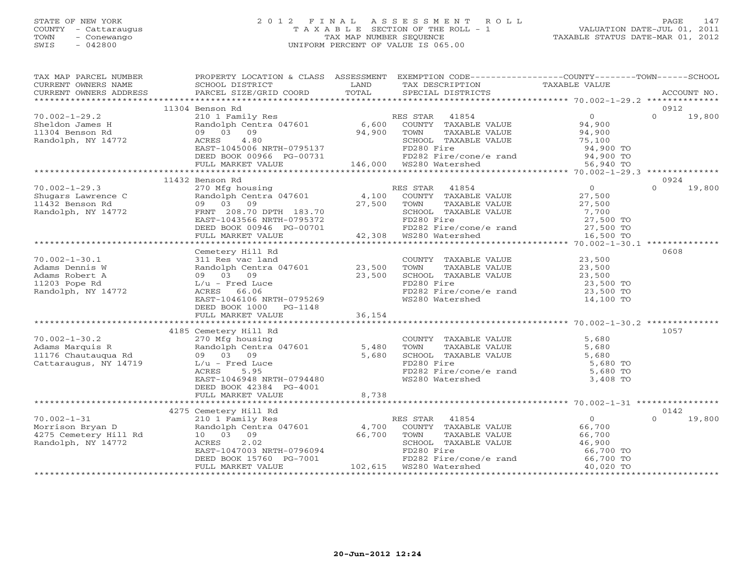#### STATE OF NEW YORK 2 0 1 2 F I N A L A S S E S S M E N T R O L L PAGE 147 COUNTY - Cattaraugus T A X A B L E SECTION OF THE ROLL - 1 VALUATION DATE-JUL 01, 2011 TOWN - Conewango TAX MAP NUMBER SEQUENCE TAXABLE STATUS DATE-MAR 01, 2012 SWIS - 042800 UNIFORM PERCENT OF VALUE IS 065.00UNIFORM PERCENT OF VALUE IS 065.00

| TAX MAP PARCEL NUMBER                                                                                         | PROPERTY LOCATION & CLASS ASSESSMENT EXEMPTION CODE---------------COUNTY-------TOWN------SCHOOL                                                                                                                                        |             |                                                                                                        |                                        |          |        |
|---------------------------------------------------------------------------------------------------------------|----------------------------------------------------------------------------------------------------------------------------------------------------------------------------------------------------------------------------------------|-------------|--------------------------------------------------------------------------------------------------------|----------------------------------------|----------|--------|
| CURRENT OWNERS NAME                                                                                           | SCHOOL DISTRICT                                                                                                                                                                                                                        | LAND        | TAX DESCRIPTION TAXABLE VALUE                                                                          |                                        |          |        |
|                                                                                                               |                                                                                                                                                                                                                                        |             |                                                                                                        |                                        |          |        |
|                                                                                                               |                                                                                                                                                                                                                                        |             |                                                                                                        |                                        |          |        |
|                                                                                                               | 11304 Benson Rd                                                                                                                                                                                                                        |             |                                                                                                        |                                        | 0912     |        |
| $70.002 - 1 - 29.2$                                                                                           | 210 1 Family Res<br>Randolph Centra 047601 6,600 COUNTY TAXABLE VALUE<br>09 03 09 94,900 TOWN TAXABLE VALUE<br>ACRES 4.80 5CHOOL TAXABLE VALUE                                                                                         |             |                                                                                                        | $\overline{0}$                         | $\Omega$ | 19,800 |
| Sheldon James H                                                                                               |                                                                                                                                                                                                                                        |             |                                                                                                        | ں<br>94,900                            |          |        |
| 11304 Benson Rd                                                                                               |                                                                                                                                                                                                                                        |             |                                                                                                        | 94,900<br>75,100                       |          |        |
|                                                                                                               |                                                                                                                                                                                                                                        |             | TOWN FINAL -<br>SCHOOL TAXABLE VALUE                                                                   |                                        |          |        |
|                                                                                                               |                                                                                                                                                                                                                                        |             |                                                                                                        |                                        |          |        |
|                                                                                                               |                                                                                                                                                                                                                                        |             |                                                                                                        |                                        |          |        |
|                                                                                                               |                                                                                                                                                                                                                                        |             |                                                                                                        |                                        |          |        |
|                                                                                                               | Randolph, NY 14772<br>Randolph, NY 14772<br>EAST-1045006 NRTH-0795137 ED280 Fire 94,900 TO<br>DEED BOOK 00966 PG-00731 146,000 WS280 Watershed 56,940 TO<br>FULL MARKET VALUE 146,000 WS280 Watershed 56,940 TO<br>******************* |             |                                                                                                        |                                        |          |        |
|                                                                                                               | 11432 Benson Rd                                                                                                                                                                                                                        |             |                                                                                                        |                                        | 0924     |        |
| $70.002 - 1 - 29.3$                                                                                           | 270 Mfg housing                                                                                                                                                                                                                        |             | ES STAR 41854<br>COUNTY TAXABLE VALUE<br>TOWN TAXABLE VALUE<br>COULOSS TAXABLE VALUE<br>RES STAR 41854 | $\overline{0}$                         | $\Omega$ | 19,800 |
| Shugars Lawrence C<br>11432 Benson Rd 1990 03<br>11432 Benson Rd 1990 03<br>Randolph, NY 14772<br>FRNT 208.70 | Randolph Centra 047601 4,100<br>09 03 09 3 09 27,500                                                                                                                                                                                   |             |                                                                                                        | 27,500<br>27,500                       |          |        |
|                                                                                                               |                                                                                                                                                                                                                                        | 27,500 TOWN |                                                                                                        |                                        |          |        |
|                                                                                                               | FRNT 208.70 DPTH 183.70                                                                                                                                                                                                                |             | SCHOOL TAXABLE VALUE                                                                                   | 7,700                                  |          |        |
|                                                                                                               | EAST-1043566 NRTH-0795372                                                                                                                                                                                                              |             | FD280 Fire                                                                                             | טט <i>י,</i><br>27,500 O               |          |        |
|                                                                                                               | DEED BOOK 00946 PG-00701                                                                                                                                                                                                               |             |                                                                                                        |                                        |          |        |
|                                                                                                               | FULL MARKET VALUE                                                                                                                                                                                                                      |             | PG-00701 FD282 Fire/cone/e rand 27,500 TO<br>42,308 WS280 Watershed 16,500 TO                          |                                        |          |        |
|                                                                                                               |                                                                                                                                                                                                                                        |             |                                                                                                        |                                        |          |        |
|                                                                                                               | Cemetery Hill Rd                                                                                                                                                                                                                       |             |                                                                                                        |                                        | 0608     |        |
| $70.002 - 1 - 30.1$                                                                                           | 311 Res vac land                                                                                                                                                                                                                       |             | COUNTY TAXABLE VALUE 23,500                                                                            |                                        |          |        |
| Adams Dennis W                                                                                                | Randolph Centra 047601 23,500                                                                                                                                                                                                          |             | TOWN                                                                                                   |                                        |          |        |
| Adams Robert A                                                                                                | 09 03 09                                                                                                                                                                                                                               | 23,500      | TAXABLE VALUE 23,500<br>TAXABLE VALUE 23,500<br>SCHOOL TAXABLE VALUE                                   |                                        |          |        |
| 11203 Pope Rd                                                                                                 | UY UJ UJ<br>L/u – Fred Luce<br>– TITEL 66 A6                                                                                                                                                                                           |             | FD280 Fire                                                                                             |                                        |          |        |
| Randolph, NY 14772                                                                                            |                                                                                                                                                                                                                                        |             |                                                                                                        | 23,500 TO<br>23,500 TO                 |          |        |
|                                                                                                               | EAST-1046106 NRTH-0795269                                                                                                                                                                                                              |             | FD282 Fire/cone/e rand<br>WS280 Watershed                                                              | 14,100 TO                              |          |        |
|                                                                                                               | DEED BOOK 1000 PG-1148                                                                                                                                                                                                                 |             |                                                                                                        |                                        |          |        |
|                                                                                                               | FULL MARKET VALUE                                                                                                                                                                                                                      | 36, 154     |                                                                                                        |                                        |          |        |
|                                                                                                               |                                                                                                                                                                                                                                        |             |                                                                                                        |                                        |          |        |
|                                                                                                               | 4185 Cemetery Hill Rd                                                                                                                                                                                                                  |             |                                                                                                        |                                        | 1057     |        |
| $70.002 - 1 - 30.2$                                                                                           | 270 Mfg housing                                                                                                                                                                                                                        |             | COUNTY TAXABLE VALUE                                                                                   | 5,680                                  |          |        |
|                                                                                                               |                                                                                                                                                                                                                                        | 5,480       |                                                                                                        | 5,680                                  |          |        |
|                                                                                                               |                                                                                                                                                                                                                                        | 5,680       | TOWN TAXABLE VALUE<br>SCHOOL TAXABLE VALUE                                                             | 5,680                                  |          |        |
| Cattaraugus, NY 14719                                                                                         | L/u - Fred Luce                                                                                                                                                                                                                        |             | FD280 Fire                                                                                             | 5,680 TO                               |          |        |
|                                                                                                               | 5.95<br>ACRES                                                                                                                                                                                                                          |             | FD282 Fire/cone/e rand $5,680$ TO                                                                      |                                        |          |        |
|                                                                                                               | EAST-1046948 NRTH-0794480                                                                                                                                                                                                              |             | WS280 Watershed                                                                                        | 3,408 TO                               |          |        |
|                                                                                                               | DEED BOOK 42384 PG-4001                                                                                                                                                                                                                |             |                                                                                                        |                                        |          |        |
|                                                                                                               |                                                                                                                                                                                                                                        | 8,738       |                                                                                                        |                                        |          |        |
|                                                                                                               | FULL MARKET VALUE                                                                                                                                                                                                                      |             |                                                                                                        |                                        |          |        |
|                                                                                                               |                                                                                                                                                                                                                                        |             |                                                                                                        |                                        | 0142     |        |
| $70.002 - 1 - 31$                                                                                             | 4275 Cemetery Hill Rd                                                                                                                                                                                                                  |             |                                                                                                        |                                        | $\Omega$ | 19,800 |
| 70.002-1-31<br>Morrison Bryan D<br>4275 Cemetery Hill Rd                                                      |                                                                                                                                                                                                                                        |             |                                                                                                        | $\begin{array}{c}0\\66,700\end{array}$ |          |        |
|                                                                                                               |                                                                                                                                                                                                                                        |             |                                                                                                        | 66,700                                 |          |        |
|                                                                                                               |                                                                                                                                                                                                                                        |             | TAXABLE VALUE<br>TAXABLE VALUE 66,700<br>TAXABLE VALUE 46,900                                          |                                        |          |        |
| Randolph, NY 14772                                                                                            |                                                                                                                                                                                                                                        |             | SCHOOL TAXABLE VALUE<br>FD280 Fire                                                                     |                                        |          |        |
|                                                                                                               |                                                                                                                                                                                                                                        |             |                                                                                                        | 66,700 TO<br>66,700 TO                 |          |        |
|                                                                                                               | DEED BOOK 15760 PG-7001                                                                                                                                                                                                                |             | FD282 Fire/cone/e rand<br>WS280 Watershed                                                              |                                        |          |        |
|                                                                                                               | FULL MARKET VALUE                                                                                                                                                                                                                      |             |                                                                                                        | 40,020 TO                              |          |        |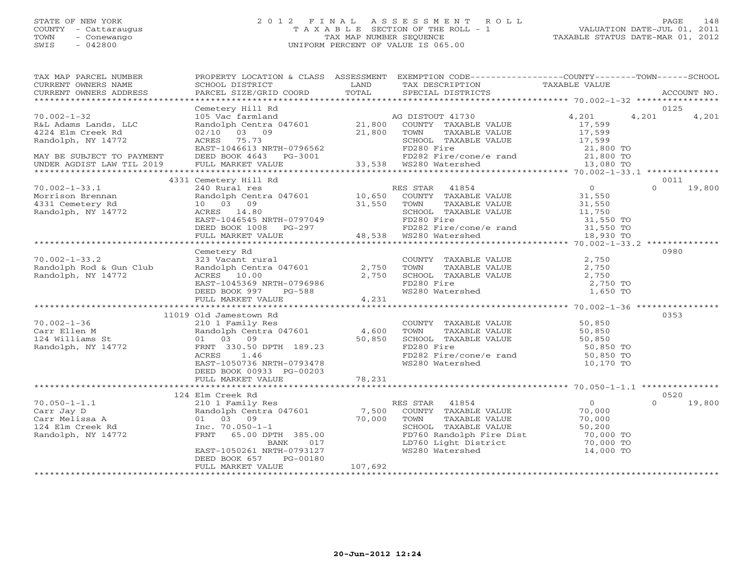# STATE OF NEW YORK 2 0 1 2 F I N A L A S S E S S M E N T R O L L PAGE 148 COUNTY - Cattaraugus T A X A B L E SECTION OF THE ROLL - 1 VALUATION DATE-JUL 01, 2011 TOWN - Conewango TAX MAP NUMBER SEQUENCE TAXABLE STATUS DATE-MAR 01, 2012 SWIS - 042800 UNIFORM PERCENT OF VALUE IS 065.00UNIFORM PERCENT OF VALUE IS 065.00

| TAX MAP PARCEL NUMBER<br>CURRENT OWNERS NAME<br>CURRENT OWNERS ADDRESS | SCHOOL DISTRICT                                                                                                                                                                                                                            | LAND    | PROPERTY LOCATION & CLASS ASSESSMENT EXEMPTION CODE----------------COUNTY-------TOWN------SCHOOL<br>TAX DESCRIPTION             | TAXABLE VALUE   |               |        |
|------------------------------------------------------------------------|--------------------------------------------------------------------------------------------------------------------------------------------------------------------------------------------------------------------------------------------|---------|---------------------------------------------------------------------------------------------------------------------------------|-----------------|---------------|--------|
|                                                                        |                                                                                                                                                                                                                                            |         |                                                                                                                                 |                 |               |        |
| $70.002 - 1 - 32$<br>R&L Adams Lands, LLC                              | Cemetery Hill Rd<br>105 Vac farmland<br>105 Vac farmland<br>Randolph Centra 047601 21,800 COUNTY TAXABLE VALUE                                                                                                                             |         | AG DISTOUT 41730                                                                                                                | 4,201<br>17,599 | 0125<br>4,201 | 4,201  |
| 4224 Elm Creek Rd<br>Randolph, NY 14772                                | ACRES 75.73<br>ACRES 75.73<br>EAST-1046613 NRTH-0796562 POWN TAXABLE VALUE 17,599<br>DEED BOOK 4643 PG-3001 PD280 Fire 21,800 TO<br>FULL MARKET VALUE 33,538 WS280 WATERS 17,000 133<br>FD282 Fire/cone/e rand 21,800 TO<br>FULL MARKET VA |         |                                                                                                                                 |                 |               |        |
| MAY BE SUBJECT TO PAYMENT<br>UNDER AGDIST LAW TIL 2019                 |                                                                                                                                                                                                                                            |         |                                                                                                                                 |                 |               |        |
|                                                                        | 4331 Cemetery Hill Rd                                                                                                                                                                                                                      |         |                                                                                                                                 |                 | 0011          |        |
| $70.002 - 1 - 33.1$                                                    | 240 Rural res                                                                                                                                                                                                                              |         | RES STAR 41854                                                                                                                  | $\overline{0}$  | $\Omega$      | 19,800 |
| Morrison Brennan<br>4331 Cemetery Rd                                   | Randolph Centra 047601 10,650<br>10 03 09 31,550<br>ACRES 14.80                                                                                                                                                                            |         | -<br>COUNTY TAXABLE VALUE 31,550<br>TOWN TAXABLE VALUE 31,550<br>TOWN                                                           |                 |               |        |
| Randolph, NY 14772                                                     | ACRES 14.80<br>EAST-1046545 NRTH-0797049<br>DEED BOOK 1008 PG-297                                                                                                                                                                          |         | SCHOOL TAXABLE VALUE<br>797049 FD280 Fire 31,550 TO<br>297 FD282 Fire/cone/e rand 31,550 TO<br>48,538 WS280 Watershed 18,930 TO | 11,750          |               |        |
|                                                                        | FULL MARKET VALUE                                                                                                                                                                                                                          |         |                                                                                                                                 |                 |               |        |
|                                                                        |                                                                                                                                                                                                                                            |         |                                                                                                                                 |                 |               |        |
|                                                                        | Cemetery Rd                                                                                                                                                                                                                                |         |                                                                                                                                 |                 | 0980          |        |
| $70.002 - 1 - 33.2$                                                    | 323 Vacant rural                                                                                                                                                                                                                           |         | COUNTY TAXABLE VALUE 2,750                                                                                                      |                 |               |        |
| Randolph Rod & Gun Club<br>Randolph, NY 14772                          | Randolph Centra 047601 2,750<br>ACRES 10.00                                                                                                                                                                                                | 2,750   | TOWN TAXABLE VALUE<br>SCHOOL TAXABLE VALUE<br>FD280 Fire                                                                        | 2,750<br>2,750  |               |        |
|                                                                        |                                                                                                                                                                                                                                            |         | FD280 Fire                                                                                                                      | 2,750 TO        |               |        |
|                                                                        | EAST-1045369 NRTH-0796986<br>DEED BOOK 997 PG-588                                                                                                                                                                                          |         | WS280 Watershed                                                                                                                 | 1,650 TO        |               |        |
|                                                                        | FULL MARKET VALUE                                                                                                                                                                                                                          | 4,231   |                                                                                                                                 |                 |               |        |
|                                                                        |                                                                                                                                                                                                                                            |         |                                                                                                                                 |                 |               |        |
| $70.002 - 1 - 36$                                                      | 11019 Old Jamestown Rd                                                                                                                                                                                                                     |         |                                                                                                                                 |                 | 0353          |        |
| Carr Ellen M                                                           | 210 1 Family Res<br>Randolph Centra 047601 (4,600)<br>01 03 09 50,850                                                                                                                                                                      |         | COUNTY TAXABLE VALUE 50,850<br>TOWN TAXABLE VALUE 50,850<br>SCHOOL TAXABLE VALUE 50,850<br>FD280 Fire 50.850                    |                 |               |        |
| 124 Williams St                                                        | 01 03 09                                                                                                                                                                                                                                   | 50,850  |                                                                                                                                 |                 |               |        |
| Randolph, NY 14772                                                     | FRNT 330.50 DPTH 189.23                                                                                                                                                                                                                    |         | FD280 Fire                                                                                                                      | 50,850 TO       |               |        |
|                                                                        | ACRES<br>1.46                                                                                                                                                                                                                              |         | FD282 Fire/cone/e rand 50,850 TO                                                                                                |                 |               |        |
|                                                                        | EAST-1050736 NRTH-0793478<br>DEED BOOK 00933 PG-00203<br>FULL MARKET VALUE                                                                                                                                                                 | 78,231  | WS280 Watershed                                                                                                                 | 10,170 TO       |               |        |
|                                                                        |                                                                                                                                                                                                                                            |         |                                                                                                                                 |                 |               |        |
|                                                                        | 124 Elm Creek Rd                                                                                                                                                                                                                           |         |                                                                                                                                 |                 | 0520          |        |
| $70.050 - 1 - 1.1$                                                     | 210 1 Family Res                                                                                                                                                                                                                           |         | RES STAR<br>41854                                                                                                               | $\overline{0}$  | $\Omega$      | 19,800 |
| Carr Jay D                                                             | Randolph Centra 047601 7,500                                                                                                                                                                                                               |         | COUNTY TAXABLE VALUE                                                                                                            | 70,000          |               |        |
| Carr Melissa A                                                         | 01 03 09                                                                                                                                                                                                                                   | 70,000  | TOWN<br>TAXABLE VALUE                                                                                                           | 70,000          |               |        |
| 124 Elm Creek Rd                                                       | Inc. $70.050 - 1 - 1$                                                                                                                                                                                                                      |         | SCHOOL TAXABLE VALUE                                                                                                            | 50,200          |               |        |
| Randolph, NY 14772                                                     |                                                                                                                                                                                                                                            |         | FD760 Randolph Fire Dist 70,000 TO<br>LD760 Light District 70,000 TO                                                            |                 |               |        |
|                                                                        |                                                                                                                                                                                                                                            |         | LD760 Light District                                                                                                            |                 |               |        |
|                                                                        | FRNT 65.00 DPTH 385.00<br>EAST-1050261 NRTH-0793127<br>DEED POOK 65.00<br>DEED POOK 65.00<br>DEED BOOK 657<br>PG-00180                                                                                                                     |         | WS280 Watershed                                                                                                                 | 14,000 TO       |               |        |
|                                                                        | FULL MARKET VALUE                                                                                                                                                                                                                          | 107,692 |                                                                                                                                 |                 |               |        |
|                                                                        |                                                                                                                                                                                                                                            |         |                                                                                                                                 |                 |               |        |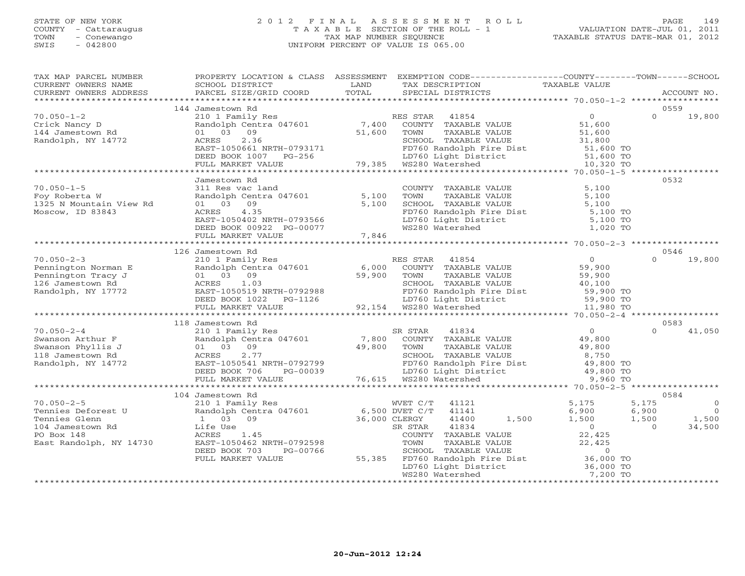# STATE OF NEW YORK 2 0 1 2 F I N A L A S S E S S M E N T R O L L PAGE 149 COUNTY - Cattaraugus T A X A B L E SECTION OF THE ROLL - 1 VALUATION DATE-JUL 01, 2011 TOWN - Conewango TAX MAP NUMBER SEQUENCE TAXABLE STATUS DATE-MAR 01, 2012 SWIS - 042800 UNIFORM PERCENT OF VALUE IS 065.00UNIFORM PERCENT OF VALUE IS 065.00

| TAX MAP PARCEL NUMBER<br>CURRENT OWNERS NAME                                                                         | PROPERTY LOCATION & CLASS ASSESSMENT<br>SCHOOL DISTRICT                                                                                                                                    | LAND                                      | EXEMPTION CODE-----------------COUNTY-------TOWN------SCHOOL<br>TAX DESCRIPTION                                                                                                                                                      | TAXABLE VALUE                                                                         |                                                                                     |
|----------------------------------------------------------------------------------------------------------------------|--------------------------------------------------------------------------------------------------------------------------------------------------------------------------------------------|-------------------------------------------|--------------------------------------------------------------------------------------------------------------------------------------------------------------------------------------------------------------------------------------|---------------------------------------------------------------------------------------|-------------------------------------------------------------------------------------|
| CURRENT OWNERS ADDRESS<br>***********************                                                                    | PARCEL SIZE/GRID COORD                                                                                                                                                                     | TOTAL                                     | SPECIAL DISTRICTS                                                                                                                                                                                                                    |                                                                                       | ACCOUNT NO.                                                                         |
|                                                                                                                      | 144 Jamestown Rd                                                                                                                                                                           |                                           |                                                                                                                                                                                                                                      |                                                                                       | 0559                                                                                |
| $70.050 - 1 - 2$<br>Crick Nancy D<br>144 Jamestown Rd<br>Randolph, NY 14772                                          | 210 1 Family Res<br>Randolph Centra 047601<br>01 03 09<br>2.36<br>ACRES<br>EAST-1050661 NRTH-0793171<br>DEED BOOK 1007 PG-256 LD760 Light Dist<br>FULL MARKET VALUE 79,385 WS280 Watershed | 7,400<br>51,600                           | RES STAR<br>41854<br>COUNTY TAXABLE VALUE<br>COWN TAXABLE VALUE<br>TOWN TAXABLE VALUE<br>SCHOOL TAXABLE VALUE<br>FD760 Randolph Fire Dist<br>LD760 Light District<br>MS280 Watershed<br>MS280 Watershed<br>10,320 TO                 | $\overline{0}$<br>51,600                                                              | $\Omega$<br>19,800                                                                  |
|                                                                                                                      |                                                                                                                                                                                            |                                           |                                                                                                                                                                                                                                      |                                                                                       |                                                                                     |
|                                                                                                                      | Jamestown Rd                                                                                                                                                                               |                                           |                                                                                                                                                                                                                                      |                                                                                       | 0532                                                                                |
| $70.050 - 1 - 5$<br>Foy Roberta W<br>1325 N Mountain View Rd<br>Moscow, ID 83843                                     | 311 Res vac land<br>Randolph Centra 047601<br>01 03 09<br>4.35<br>ACRES<br>EAST-1050402 NRTH-0793566<br>DEED BOOK 00922 PG-00077<br>FIILL MARKET VALUE - 00077 7 846                       | 5,100<br>5,100                            | COUNTY TAXABLE VALUE<br>TOWN<br>TAXABLE VALUE<br>SCHOOL TAXABLE VALUE<br>FD760 Randolph Fire Dist<br>LD760 Light District<br>WS280 Watershed<br>WS280 Watershed                                                                      | 5,100<br>5,100<br>5,100<br>5,100 TO<br>5,100 TO<br>1,020 TO                           |                                                                                     |
|                                                                                                                      | FULL MARKET VALUE                                                                                                                                                                          | 7,846                                     |                                                                                                                                                                                                                                      |                                                                                       |                                                                                     |
|                                                                                                                      | 126 Jamestown Rd                                                                                                                                                                           | *******************                       |                                                                                                                                                                                                                                      | ******************* 70.050-2-3 *****************                                      | 0546                                                                                |
| $70.050 - 2 - 3$<br>Pennington Norman E<br>Pennington Tracy J<br>126 Jamestown Rd<br>Randolph, NY 17772              | 210 1 Family Res<br>Randolph Centra 047601<br>01 03 09<br>ACRES<br>1.03<br>EAST-1050519<br>DEED BOOK 1998<br>DEED BOOK 1022<br>FULL MARKET VALUE<br>118 Jamestown Rd                       | 6,000<br>59,900                           | RES STAR 41854<br>COUNTY TAXABLE VALUE<br>TOWN<br>TAXABLE VALUE<br>SCHOOL TAXABLE VALUE<br>FD760 Randolph Fire Dist<br>LD760 Light District<br>WS280 Watershed<br>WS280 Watershed<br>11,980 TO                                       | $\overline{0}$<br>59,900<br>59,900<br>40,100                                          | $\Omega$<br>19,800<br>0583                                                          |
| $70.050 - 2 - 4$<br>Swanson Arthur F<br>Swanson Phyllis J<br>118 Jamestown Rd<br>Randolph, NY 14772                  | 210 1 Family Res<br>Randolph Centra 047601<br>01 03 09<br>2.77<br>ACRES<br>EAST-1050541 NRTH-0792799<br>DEED BOOK 706<br>PG-00039<br>FULL MARKET VALUE                                     | 7,800<br>49,800                           | SR STAR<br>41834<br>COUNTY TAXABLE VALUE<br>TOWN<br>TAXABLE VALUE<br>SCHOOL TAXABLE VALUE<br>FD760 Randolph Fire Dist<br>LD760 Light District 49,800 TO<br>- LD760 Randor<br>LD760 Light Dist<br>76,615 WS280 Watershed              | $\overline{0}$<br>49,800<br>49,800<br>8,750<br>9,960 TO                               | $\Omega$<br>41,050                                                                  |
|                                                                                                                      | 104 Jamestown Rd                                                                                                                                                                           |                                           |                                                                                                                                                                                                                                      |                                                                                       | 0584                                                                                |
| $70.050 - 2 - 5$<br>Tennies Deforest U<br>Tennies Glenn<br>104 Jamestown Rd<br>PO Box 148<br>East Randolph, NY 14730 | 210 1 Family Res<br>Randolph Centra 047601<br>1 03 09<br>Life Use<br>ACRES 1.45<br>EAST-1050462 NRTH-0792598<br>DEED BOOK 703<br>PG-00766<br>FULL MARKET VALUE                             | 6,500 DVET C/T<br>36,000 CLERGY<br>55,385 | WVET C/T<br>41121<br>41141<br>41400<br>1,500<br>41834<br>SR STAR<br>COUNTY TAXABLE VALUE<br>TOWN<br>TAXABLE VALUE<br>SCHOOL TAXABLE VALUE<br>FD760 Randolph Fire Dist 36,000 TO<br>LD760 Light District 36,000 TO<br>WS280 Watershed | 5,175<br>6,900<br>1,500<br>$\overline{0}$<br>22,425<br>22,425<br>$\Omega$<br>7,200 TO | 5,175<br>$\circ$<br>6,900<br>$\overline{0}$<br>1,500<br>1,500<br>$\Omega$<br>34,500 |
|                                                                                                                      | *************************                                                                                                                                                                  |                                           |                                                                                                                                                                                                                                      |                                                                                       |                                                                                     |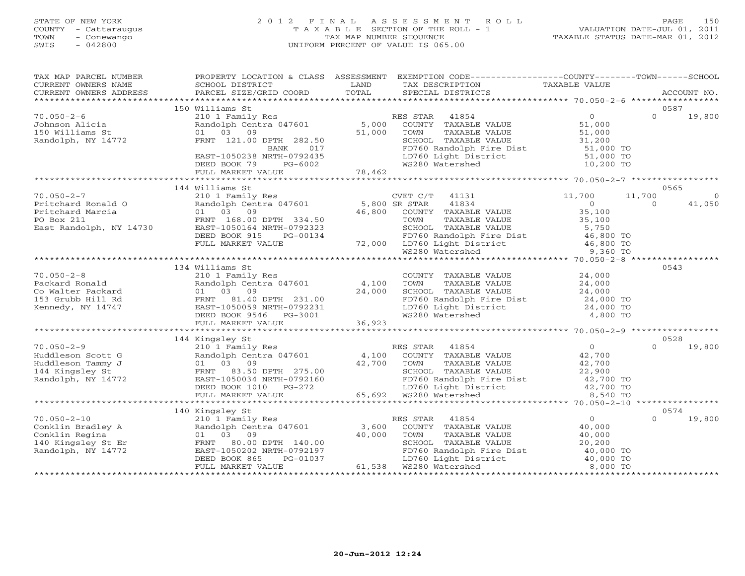# STATE OF NEW YORK 2 0 1 2 F I N A L A S S E S S M E N T R O L L PAGE 150 COUNTY - Cattaraugus T A X A B L E SECTION OF THE ROLL - 1 VALUATION DATE-JUL 01, 2011 TOWN - Conewango TAX MAP NUMBER SEQUENCE TAXABLE STATUS DATE-MAR 01, 2012 SWIS - 042800 UNIFORM PERCENT OF VALUE IS 065.00UNIFORM PERCENT OF VALUE IS 065.00

| TAX MAP PARCEL NUMBER<br>CURRENT OWNERS NAME<br>CURRENT OWNERS ADDRESS                               | PROPERTY LOCATION & CLASS ASSESSMENT<br>SCHOOL DISTRICT<br>PARCEL SIZE/GRID COORD                                                                                                           | LAND<br>TOTAL             | EXEMPTION CODE-----------------COUNTY-------TOWN------SCHOOL<br>TAX DESCRIPTION<br>SPECIAL DISTRICTS                                                                                                 | TAXABLE VALUE                                                                        | ACCOUNT NO.                                     |
|------------------------------------------------------------------------------------------------------|---------------------------------------------------------------------------------------------------------------------------------------------------------------------------------------------|---------------------------|------------------------------------------------------------------------------------------------------------------------------------------------------------------------------------------------------|--------------------------------------------------------------------------------------|-------------------------------------------------|
|                                                                                                      |                                                                                                                                                                                             |                           |                                                                                                                                                                                                      |                                                                                      |                                                 |
| $70.050 - 2 - 6$<br>Johnson Alicia<br>150 Williams St<br>Randolph, NY 14772                          | 150 Williams St<br>210 1 Family Res<br>Randolph Centra 047601<br>03<br>09<br>01<br>FRNT 121.00 DPTH 282.50<br>BANK<br>017<br>EAST-1050238 NRTH-0792435<br>DEED BOOK 79<br>PG-6002           | 5,000<br>51,000           | 41854<br>RES STAR<br>COUNTY TAXABLE VALUE<br>TOWN<br>TAXABLE VALUE<br>SCHOOL TAXABLE VALUE<br>FD760 Randolph Fire Dist<br>LD760 Light District<br>WS280 Watershed                                    | $\overline{0}$<br>51,000<br>51,000<br>31,200<br>51,000 TO<br>51,000 TO<br>10,200 TO  | 0587<br>$\Omega$<br>19,800                      |
|                                                                                                      | FULL MARKET VALUE                                                                                                                                                                           | 78,462                    |                                                                                                                                                                                                      |                                                                                      |                                                 |
|                                                                                                      |                                                                                                                                                                                             |                           |                                                                                                                                                                                                      |                                                                                      |                                                 |
| $70.050 - 2 - 7$<br>Pritchard Ronald O<br>Pritchard Marcia<br>PO Box 211<br>East Randolph, NY 14730  | 144 Williams St<br>210 1 Family Res<br>Randolph Centra 047601<br>01 03 09<br>FRNT 168.00 DPTH 334.50<br>EAST-1050164 NRTH-0792323<br>DEED BOOK 915<br>PG-00134<br>FULL MARKET VALUE         | 5,800 SR STAR<br>46,800   | CVET C/T<br>41131<br>41834<br>COUNTY TAXABLE VALUE<br>TOWN<br>TAXABLE VALUE<br>SCHOOL TAXABLE VALUE<br>FD760 Randolph Fire Dist<br>72,000 LD760 Light District<br>WS280 Watershed<br>WS280 Watershed | 11,700<br>$\circ$<br>35,100<br>35,100<br>5,750<br>46,800 TO<br>46,800 TO<br>9,360 TO | 0565<br>11,700<br>$\circ$<br>$\Omega$<br>41,050 |
|                                                                                                      |                                                                                                                                                                                             |                           |                                                                                                                                                                                                      |                                                                                      |                                                 |
| $70.050 - 2 - 8$<br>Packard Ronald<br>Co Walter Packard<br>153 Grubb Hill Rd<br>Kennedy, NY 14747    | 134 Williams St<br>210 1 Family Res<br>Randolph Centra 047601<br>01 03 09<br>FRNT<br>81.40 DPTH 231.00<br>EAST-1050059 NRTH-0792231<br>DEED BOOK 9546 PG-3001<br>FULL MARKET VALUE          | 4,100<br>24,000<br>36,923 | COUNTY TAXABLE VALUE<br>TAXABLE VALUE<br>TOWN<br>SCHOOL TAXABLE VALUE<br>FD760 Randolph Fire Dist<br>LD760 Light District<br>WS280 Watershed                                                         | 24,000<br>24,000<br>24,000<br>24,000 TO<br>24,000 TO<br>4,800 TO                     | 0543                                            |
|                                                                                                      |                                                                                                                                                                                             |                           |                                                                                                                                                                                                      |                                                                                      |                                                 |
| $70.050 - 2 - 9$<br>Huddleson Scott G<br>Huddleson Tammy J<br>144 Kingsley St<br>Randolph, NY 14772  | 144 Kingsley St<br>210 1 Family Res<br>Randolph Centra 047601<br>01 03 09<br>FRNT 83.50 DPTH 275.00<br>EAST-1050034 NRTH-0792160<br>DEED BOOK 1010 PG-272<br>FULL MARKET VALUE              | 4,100<br>42,700<br>65,692 | RES STAR<br>41854<br>COUNTY TAXABLE VALUE<br>TOWN<br>TAXABLE VALUE<br>SCHOOL TAXABLE WILLET<br>FD760 Randolph Fire Dist<br>WS280 Watershed                                                           | $\overline{0}$<br>42,700<br>42,700<br>22,900<br>42,700 TO<br>42,700 TO<br>8,540 TO   | 0528<br>19,800<br>$\Omega$                      |
|                                                                                                      |                                                                                                                                                                                             |                           |                                                                                                                                                                                                      | ********** 70.050-2-10                                                               |                                                 |
| $70.050 - 2 - 10$<br>Conklin Bradley A<br>Conklin Regina<br>140 Kingsley St Er<br>Randolph, NY 14772 | 140 Kingsley St<br>210 1 Family Res<br>Randolph Centra 047601<br>03<br>09<br>01<br>80.00 DPTH 140.00<br>FRNT<br>EAST-1050202 NRTH-0792197<br>DEED BOOK 865<br>PG-01037<br>FULL MARKET VALUE | 3,600<br>40,000<br>61,538 | RES STAR<br>41854<br>COUNTY TAXABLE VALUE<br>TOWN<br>TAXABLE VALUE<br>SCHOOL TAXABLE VALUE<br>FD760 Randolph Fire Dist<br>LD760 Light District<br>WS280 Watershed                                    | 0<br>40,000<br>40,000<br>20,200<br>40,000 TO<br>40,000 TO<br>8,000 TO                | 0574<br>$\Omega$<br>19,800                      |
|                                                                                                      |                                                                                                                                                                                             |                           |                                                                                                                                                                                                      |                                                                                      |                                                 |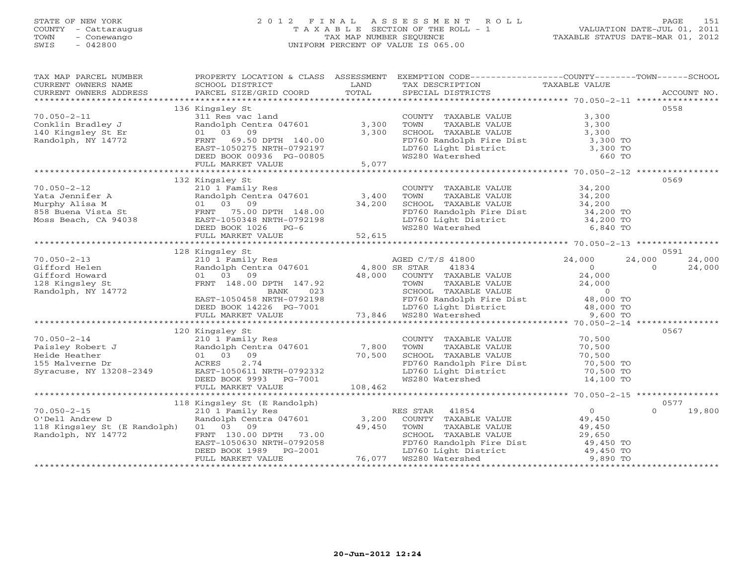# STATE OF NEW YORK 2 0 1 2 F I N A L A S S E S S M E N T R O L L PAGE 151 COUNTY - Cattaraugus T A X A B L E SECTION OF THE ROLL - 1 VALUATION DATE-JUL 01, 2011 TOWN - Conewango TAX MAP NUMBER SEQUENCE TAXABLE STATUS DATE-MAR 01, 2012 SWIS - 042800 UNIFORM PERCENT OF VALUE IS 065.00UNIFORM PERCENT OF VALUE IS 065.00

| TAX MAP PARCEL NUMBER                                                                                                                                                                                                                                                                                                                                                                                                                                                              |                                                                                                                                                                                                                                                          | PROPERTY LOCATION & CLASS ASSESSMENT EXEMPTION CODE----------------COUNTY-------TOWN------SCHOOL                                                                                                                                                                               |                    |                          |
|------------------------------------------------------------------------------------------------------------------------------------------------------------------------------------------------------------------------------------------------------------------------------------------------------------------------------------------------------------------------------------------------------------------------------------------------------------------------------------|----------------------------------------------------------------------------------------------------------------------------------------------------------------------------------------------------------------------------------------------------------|--------------------------------------------------------------------------------------------------------------------------------------------------------------------------------------------------------------------------------------------------------------------------------|--------------------|--------------------------|
| $\begin{tabular}{lllllll} \multicolumn{2}{l}{{\small\sc{CURRENT}}}& $\text{MME}$ & $\text{SCHOOL} & $\text{DISTRICT}$ & $\text{LAND}$ & $\text{TAX} & $\text{DESCRIPTION}$ & $\text{TAXABLE} & $\text{VALUE}$ \\ & $\text{CURRENT} & $\text{MDRESS}$ & $\text{PARCEL} & $\text{SIZE/GRID} & $\text{COORD}$ & $\text{TOTAL}$ & $\text{SPECIAL} & $\text{DISTRICTS}$ & $\text{RCCOUNT} & $\text{NOL}$ \\ & $\text{*} & $\text{AICCOUNT} & $\text{NOL} & $\text{AICCOUNT}$ & $\text{$ |                                                                                                                                                                                                                                                          |                                                                                                                                                                                                                                                                                |                    |                          |
|                                                                                                                                                                                                                                                                                                                                                                                                                                                                                    |                                                                                                                                                                                                                                                          |                                                                                                                                                                                                                                                                                |                    |                          |
|                                                                                                                                                                                                                                                                                                                                                                                                                                                                                    |                                                                                                                                                                                                                                                          |                                                                                                                                                                                                                                                                                |                    |                          |
|                                                                                                                                                                                                                                                                                                                                                                                                                                                                                    | 136 Kingsley St                                                                                                                                                                                                                                          |                                                                                                                                                                                                                                                                                |                    | 0558                     |
| $70.050 - 2 - 11$                                                                                                                                                                                                                                                                                                                                                                                                                                                                  | 311 Res vac land COUNT<br>Randolph Centra 047601 3,300 TOWN<br>01 03 09 3,300 SCHOO                                                                                                                                                                      | COUNTY TAXABLE VALUE                                                                                                                                                                                                                                                           | 3,300              |                          |
|                                                                                                                                                                                                                                                                                                                                                                                                                                                                                    |                                                                                                                                                                                                                                                          | TAXABLE VALUE                                                                                                                                                                                                                                                                  | 3,300              |                          |
|                                                                                                                                                                                                                                                                                                                                                                                                                                                                                    |                                                                                                                                                                                                                                                          | TOWN TAXABLE VALUE<br>SCHOOL TAXABLE VALUE                                                                                                                                                                                                                                     | 3,300              |                          |
| Conklin Bradley J<br>140 Kingsley St Er<br>Randolph, NY 14772                                                                                                                                                                                                                                                                                                                                                                                                                      |                                                                                                                                                                                                                                                          | FD760 Randolph Fire Dist<br>LD760 Light District 3,300 TO<br>WS280 Watershed 660 TO                                                                                                                                                                                            |                    |                          |
|                                                                                                                                                                                                                                                                                                                                                                                                                                                                                    |                                                                                                                                                                                                                                                          |                                                                                                                                                                                                                                                                                |                    |                          |
|                                                                                                                                                                                                                                                                                                                                                                                                                                                                                    |                                                                                                                                                                                                                                                          |                                                                                                                                                                                                                                                                                |                    |                          |
|                                                                                                                                                                                                                                                                                                                                                                                                                                                                                    | 01 03 09<br>FRNT 69.50 DPTH 140.00<br>EAST-1050275 NRTH-0792197<br>DEED BOOK 00936 PG-00805<br>FULL MARKET VALUE 5,077                                                                                                                                   |                                                                                                                                                                                                                                                                                |                    |                          |
|                                                                                                                                                                                                                                                                                                                                                                                                                                                                                    |                                                                                                                                                                                                                                                          |                                                                                                                                                                                                                                                                                |                    |                          |
|                                                                                                                                                                                                                                                                                                                                                                                                                                                                                    | 132 Kingsley St                                                                                                                                                                                                                                          |                                                                                                                                                                                                                                                                                |                    | 0569                     |
|                                                                                                                                                                                                                                                                                                                                                                                                                                                                                    |                                                                                                                                                                                                                                                          |                                                                                                                                                                                                                                                                                |                    |                          |
|                                                                                                                                                                                                                                                                                                                                                                                                                                                                                    |                                                                                                                                                                                                                                                          |                                                                                                                                                                                                                                                                                |                    |                          |
|                                                                                                                                                                                                                                                                                                                                                                                                                                                                                    |                                                                                                                                                                                                                                                          |                                                                                                                                                                                                                                                                                |                    |                          |
|                                                                                                                                                                                                                                                                                                                                                                                                                                                                                    |                                                                                                                                                                                                                                                          |                                                                                                                                                                                                                                                                                |                    |                          |
|                                                                                                                                                                                                                                                                                                                                                                                                                                                                                    |                                                                                                                                                                                                                                                          |                                                                                                                                                                                                                                                                                |                    |                          |
|                                                                                                                                                                                                                                                                                                                                                                                                                                                                                    |                                                                                                                                                                                                                                                          |                                                                                                                                                                                                                                                                                |                    |                          |
|                                                                                                                                                                                                                                                                                                                                                                                                                                                                                    |                                                                                                                                                                                                                                                          |                                                                                                                                                                                                                                                                                |                    |                          |
|                                                                                                                                                                                                                                                                                                                                                                                                                                                                                    |                                                                                                                                                                                                                                                          |                                                                                                                                                                                                                                                                                |                    |                          |
|                                                                                                                                                                                                                                                                                                                                                                                                                                                                                    | 128 Kingsley St                                                                                                                                                                                                                                          |                                                                                                                                                                                                                                                                                |                    | 0591                     |
| $70.050 - 2 - 13$                                                                                                                                                                                                                                                                                                                                                                                                                                                                  |                                                                                                                                                                                                                                                          |                                                                                                                                                                                                                                                                                | 24,000             | 24,000<br>24,000         |
| Gifford Helen                                                                                                                                                                                                                                                                                                                                                                                                                                                                      |                                                                                                                                                                                                                                                          | 210 1 Family Res<br>210 1 Family Res<br>210 1 Family Res<br>24,000<br>24,000<br>24,000<br>24,000<br>24,000<br>24,000<br>24,000<br>24,000<br>24,000<br>24,000<br>24,000<br>24,000<br>24,000<br>24,000<br>24,000<br>24,000<br>24,000<br>24,000<br>24,000<br>24,000<br>24,000<br> |                    | 24,000<br>$\overline{0}$ |
| Gifford Howard                                                                                                                                                                                                                                                                                                                                                                                                                                                                     |                                                                                                                                                                                                                                                          |                                                                                                                                                                                                                                                                                |                    |                          |
| 128 Kingsley St                                                                                                                                                                                                                                                                                                                                                                                                                                                                    |                                                                                                                                                                                                                                                          |                                                                                                                                                                                                                                                                                |                    |                          |
| Randolph, NY 14772                                                                                                                                                                                                                                                                                                                                                                                                                                                                 |                                                                                                                                                                                                                                                          |                                                                                                                                                                                                                                                                                |                    |                          |
|                                                                                                                                                                                                                                                                                                                                                                                                                                                                                    |                                                                                                                                                                                                                                                          |                                                                                                                                                                                                                                                                                |                    |                          |
|                                                                                                                                                                                                                                                                                                                                                                                                                                                                                    |                                                                                                                                                                                                                                                          | FRNT 148.00 DPTH 147.92<br>BANK 023<br>EAST-1050458 NRTH-0792198 FDT60 Randolph Fire Dist 48,000 TO<br>DEED BOOK 14226 PG-7001 73,846 WS280 Matershed 9,600 TO<br>FULL MARKET VALUE 73,846 WS280 Matershed 9,600 TO<br>FULL MARKET VALUE                                       |                    |                          |
|                                                                                                                                                                                                                                                                                                                                                                                                                                                                                    |                                                                                                                                                                                                                                                          |                                                                                                                                                                                                                                                                                |                    |                          |
|                                                                                                                                                                                                                                                                                                                                                                                                                                                                                    |                                                                                                                                                                                                                                                          |                                                                                                                                                                                                                                                                                |                    |                          |
|                                                                                                                                                                                                                                                                                                                                                                                                                                                                                    |                                                                                                                                                                                                                                                          |                                                                                                                                                                                                                                                                                |                    | 0567                     |
|                                                                                                                                                                                                                                                                                                                                                                                                                                                                                    |                                                                                                                                                                                                                                                          | COUNTY TAXABLE VALUE 70,500                                                                                                                                                                                                                                                    |                    |                          |
|                                                                                                                                                                                                                                                                                                                                                                                                                                                                                    |                                                                                                                                                                                                                                                          |                                                                                                                                                                                                                                                                                | 70,500             |                          |
|                                                                                                                                                                                                                                                                                                                                                                                                                                                                                    |                                                                                                                                                                                                                                                          | TOWN      TAXABLE VALUE<br>SCHOOL   TAXABLE VALUE                                                                                                                                                                                                                              | $70,500$<br>70,500 |                          |
|                                                                                                                                                                                                                                                                                                                                                                                                                                                                                    |                                                                                                                                                                                                                                                          |                                                                                                                                                                                                                                                                                |                    |                          |
|                                                                                                                                                                                                                                                                                                                                                                                                                                                                                    |                                                                                                                                                                                                                                                          | ED760 Randolph Fire Dist<br>ID760 Randolph Fire Dist<br>WS280 Watershed 14,100 TO                                                                                                                                                                                              |                    |                          |
|                                                                                                                                                                                                                                                                                                                                                                                                                                                                                    |                                                                                                                                                                                                                                                          |                                                                                                                                                                                                                                                                                |                    |                          |
|                                                                                                                                                                                                                                                                                                                                                                                                                                                                                    |                                                                                                                                                                                                                                                          |                                                                                                                                                                                                                                                                                |                    |                          |
|                                                                                                                                                                                                                                                                                                                                                                                                                                                                                    |                                                                                                                                                                                                                                                          |                                                                                                                                                                                                                                                                                |                    |                          |
|                                                                                                                                                                                                                                                                                                                                                                                                                                                                                    | 118 Kingsley St (E Randolph)                                                                                                                                                                                                                             |                                                                                                                                                                                                                                                                                |                    | 0577                     |
| $70.050 - 2 - 15$                                                                                                                                                                                                                                                                                                                                                                                                                                                                  |                                                                                                                                                                                                                                                          |                                                                                                                                                                                                                                                                                |                    | 19,800<br>$\Omega$       |
| O'Dell Andrew D                                                                                                                                                                                                                                                                                                                                                                                                                                                                    |                                                                                                                                                                                                                                                          |                                                                                                                                                                                                                                                                                |                    |                          |
| 118 Kingsley St (E Randolph) 01 03 09                                                                                                                                                                                                                                                                                                                                                                                                                                              |                                                                                                                                                                                                                                                          |                                                                                                                                                                                                                                                                                |                    |                          |
| Randolph, NY 14772                                                                                                                                                                                                                                                                                                                                                                                                                                                                 |                                                                                                                                                                                                                                                          |                                                                                                                                                                                                                                                                                |                    |                          |
|                                                                                                                                                                                                                                                                                                                                                                                                                                                                                    |                                                                                                                                                                                                                                                          |                                                                                                                                                                                                                                                                                |                    |                          |
|                                                                                                                                                                                                                                                                                                                                                                                                                                                                                    |                                                                                                                                                                                                                                                          |                                                                                                                                                                                                                                                                                |                    |                          |
|                                                                                                                                                                                                                                                                                                                                                                                                                                                                                    | ARIAL CHILA CHANGE 1999<br>TOWN TAXABLE<br>FRNT 130.00 DPTH 73.00<br>EAST-1050630 NRTH-0792058<br>DEED BOOK 1989 PG-2001<br>FULL MARKET VALUE<br>FULL MARKET VALUE<br>TAXABLE<br>TAXABLE<br>TAXABLE<br>TAXABLE<br>TAXABLE<br>LD760 Light Dist<br>NS280 W | TOWN TAXABLE VALUE<br>SCHOOL TAXABLE VALUE<br>SCHOOL TAXABLE VALUE<br>PD760 Randolph Fire Dist<br>LD760 Light District<br>WS280 Watershed<br>9,890 TO                                                                                                                          |                    |                          |
|                                                                                                                                                                                                                                                                                                                                                                                                                                                                                    |                                                                                                                                                                                                                                                          |                                                                                                                                                                                                                                                                                |                    |                          |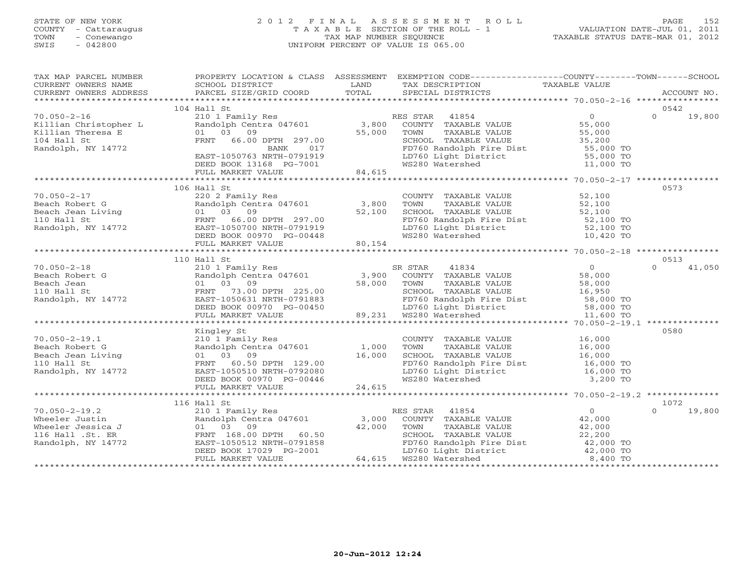# STATE OF NEW YORK 2 0 1 2 F I N A L A S S E S S M E N T R O L L PAGE 152 COUNTY - Cattaraugus T A X A B L E SECTION OF THE ROLL - 1 VALUATION DATE-JUL 01, 2011 TOWN - Conewango TAX MAP NUMBER SEQUENCE TAXABLE STATUS DATE-MAR 01, 2012 SWIS - 042800 UNIFORM PERCENT OF VALUE IS 065.00UNIFORM PERCENT OF VALUE IS 065.00

| TAX MAP PARCEL NUMBER<br>CURRENT OWNERS NAME<br>CURRENT OWNERS ADDRESS   | SCHOOL DISTRICT                                                                 | <b>EXAMPLE SETTING STATE</b> | PROPERTY LOCATION & CLASS ASSESSMENT EXEMPTION CODE----------------COUNTY-------TOWN------SCHOOL<br>TAX DESCRIPTION         | TAXABLE VALUE                                  |                    |
|--------------------------------------------------------------------------|---------------------------------------------------------------------------------|------------------------------|-----------------------------------------------------------------------------------------------------------------------------|------------------------------------------------|--------------------|
|                                                                          |                                                                                 |                              |                                                                                                                             |                                                |                    |
|                                                                          | $104$ Hall St                                                                   |                              |                                                                                                                             |                                                | 0542               |
| $70.050 - 2 - 16$<br>Killian Christopher L                               | 210 1 Family Res<br>Randolph Centra 047601                                      |                              | RES STAR 41854<br>3,800 COUNTY TAXABLE VALUE<br>55,000 TOWN TAXABLE VALUE                                                   | $\overline{0}$<br>55, ut<br>55, 000<br>?5, 200 | $\Omega$<br>19,800 |
| Killian Theresa E<br>104 Hall St<br>Randolph, NY 14772                   | 01 03 09<br>FRNT 66.00 DPTH 297.00<br>BANK 017                                  |                              |                                                                                                                             |                                                |                    |
|                                                                          | EAST-1050763 NRTH-0791919<br>DEED BOOK 13168 PG-7001                            |                              | SCHOOL TAXABLE VALUE<br>FD760 Randolph Fire Dist<br>LD760 Light District<br>WS280 Watershed<br>MS280 Watershed<br>11,000 TO |                                                |                    |
|                                                                          | FULL MARKET VALUE                                                               | 84,615                       |                                                                                                                             |                                                |                    |
|                                                                          |                                                                                 |                              |                                                                                                                             |                                                |                    |
|                                                                          | 106 Hall St                                                                     |                              |                                                                                                                             |                                                | 0573               |
| $70.050 - 2 - 17$                                                        | 220 2 Family Res                                                                |                              | COUNTY TAXABLE VALUE                                                                                                        | 52,100                                         |                    |
| Beach Robert G<br>Beach Jean Living<br>110 Hall St<br>Randolph, NY 14772 | Randolph Centra 047601 3,800                                                    |                              | TOWN      TAXABLE VALUE<br>SCHOOL   TAXABLE VALUE                                                                           | 52,100<br>52,100                               |                    |
|                                                                          | 01 03 09<br>FRNT 66.00 DPTH 297.00                                              | 52,100                       | SCHOOL TAXABLE VALUE<br>FD760 Randolph Fire Dist 52,100 TO<br>LD760 Light District 52,100 TO<br>WS280 Watershed 10,420 TO   |                                                |                    |
|                                                                          |                                                                                 |                              |                                                                                                                             |                                                |                    |
|                                                                          |                                                                                 |                              |                                                                                                                             |                                                |                    |
|                                                                          | DEED BOOK 00970 PG-00448<br>FULL MARKET VALUE 80,154                            |                              |                                                                                                                             |                                                |                    |
|                                                                          |                                                                                 |                              |                                                                                                                             |                                                |                    |
|                                                                          | 110 Hall St                                                                     |                              |                                                                                                                             |                                                | 0513               |
| $70.050 - 2 - 18$                                                        | 210 1 Family Res                                                                |                              | SR STAR<br>41834                                                                                                            | $\overline{O}$                                 | $\Omega$<br>41,050 |
| 70.050-2-18<br>Beach Robert G<br>Beach Jean<br>110 Hall St               | 210 1 Family Res<br>Randolph Centra 047601                                      |                              | 3,900 COUNTY TAXABLE VALUE                                                                                                  | 58,000                                         |                    |
|                                                                          | 01 03 09                                                                        | 58,000                       | TOWN<br>TAXABLE VALUE                                                                                                       | 58,000<br>16,950                               |                    |
|                                                                          | FRNT 73.00 DPTH 225.00                                                          |                              | SCHOOL TAXABLE VALUE                                                                                                        |                                                |                    |
| Randolph, NY 14772                                                       | FRNT 73.00 DPTH 225.00<br>EAST-1050631 NRTH-0791883<br>DEED BOOK 00970 PG-00450 |                              |                                                                                                                             |                                                |                    |
|                                                                          |                                                                                 |                              | FD760 Randolph Fire Dist<br>LD760 Light District 58,000 TO<br>WS280 Watershed 11,600 TO                                     |                                                |                    |
|                                                                          | FULL MARKET VALUE                                                               |                              |                                                                                                                             |                                                |                    |
|                                                                          |                                                                                 |                              |                                                                                                                             |                                                |                    |
|                                                                          | Kingley St<br>210 1 Family Res                                                  |                              | COUNTY TAXABLE VALUE 16,000                                                                                                 |                                                | 0580               |
| $70.050 - 2 - 19.1$<br>Beach Robert G                                    | Randolph Centra 047601                                                          | 1,000                        | TOWN<br>TAXABLE VALUE                                                                                                       |                                                |                    |
|                                                                          | 01 03 09                                                                        | 16,000                       | SCHOOL TAXABLE VALUE                                                                                                        | 16,000<br>16,000                               |                    |
| Beach Jean Living<br>$110$ Hall St                                       | FRNT 60.50 DPTH 129.00                                                          |                              | FD760 Randolph Fire Dist<br>FD760 Randolph Fire Dist 16,000 TO                                                              |                                                |                    |
| Randolph, NY 14772                                                       | EAST-1050510 NRTH-0792080                                                       |                              |                                                                                                                             | 16,000 TO                                      |                    |
|                                                                          | DEED BOOK 00970 PG-00446                                                        |                              | LD760 Light District<br>WS280 Watershed                                                                                     | 3,200 TO                                       |                    |
|                                                                          | FULL MARKET VALUE                                                               | 24,615                       |                                                                                                                             |                                                |                    |
|                                                                          |                                                                                 |                              |                                                                                                                             |                                                |                    |
|                                                                          | 116 Hall St                                                                     |                              |                                                                                                                             |                                                | 1072               |
| $70.050 - 2 - 19.2$                                                      | 210 1 Family Res<br>Randolph Centra 047601 3,000                                |                              | ES STAR 41854<br>COUNTY TAXABLE VALUE<br>RES STAR 41854                                                                     | $\begin{array}{c} 0 \\ 42,000 \end{array}$     | 19,800             |
| Wheeler Justin<br>Wheeler Jessica J<br>116 Hall .St. ER                  |                                                                                 |                              |                                                                                                                             |                                                |                    |
|                                                                          | 01 03 09                                                                        | 42,000                       | TOWN<br>TAXABLE VALUE                                                                                                       | 42,000<br>22,200                               |                    |
|                                                                          |                                                                                 |                              | SCHOOL TAXABLE VALUE                                                                                                        |                                                |                    |
| Randolph, NY 14772                                                       |                                                                                 |                              | FD760 Randolph Fire Dist<br>FD760 Randolph Fire Dist 42,000 TO<br>T.D760 Light District 42,000 TO                           |                                                |                    |
|                                                                          |                                                                                 |                              |                                                                                                                             |                                                |                    |
|                                                                          | FULL MARKET VALUE                                                               |                              | 64,615  WS280 Watershed                                                                                                     | 8,400 TO                                       |                    |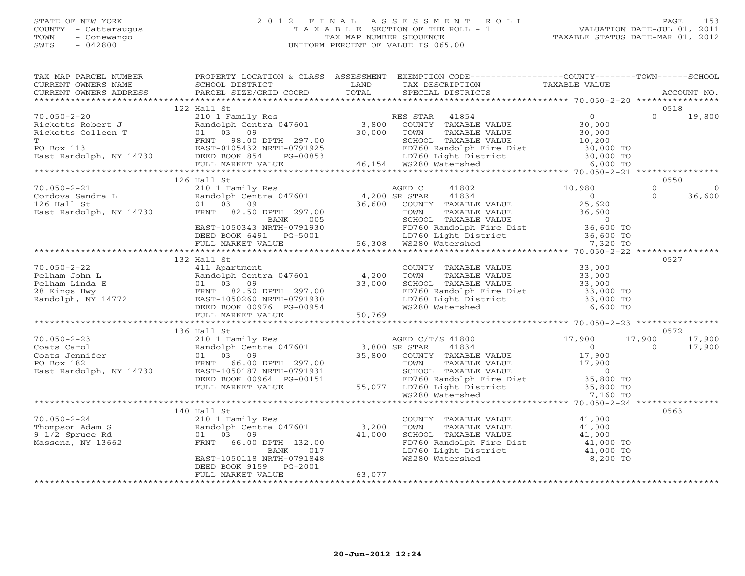# STATE OF NEW YORK 2 0 1 2 F I N A L A S S E S S M E N T R O L L PAGE 153 COUNTY - Cattaraugus T A X A B L E SECTION OF THE ROLL - 1 VALUATION DATE-JUL 01, 2011 TOWN - Conewango TAX MAP NUMBER SEQUENCE TAXABLE STATUS DATE-MAR 01, 2012 SWIS - 042800 UNIFORM PERCENT OF VALUE IS 065.00UNIFORM PERCENT OF VALUE IS 065.00

| TAX MAP PARCEL NUMBER<br>CURRENT OWNERS NAME<br>CURRENT OWNERS ADDRESS                      | PROPERTY LOCATION & CLASS ASSESSMENT<br>SCHOOL DISTRICT<br>PARCEL SIZE/GRID COORD                                                                                                                                                                                                                                                                                                                                                                                     | <b>EXAMPLE SETTLE SETTLE SETTLE SETTLE SETTLE SETTLE SETTLE SETTLE SETTLE SETTLE SETTLE SETTLE SETTLE SETTLE SET</b><br>TOTAL | EXEMPTION CODE-----------------COUNTY-------TOWN------SCHOOL<br>TAX DESCRIPTION<br>SPECIAL DISTRICTS                                                                                                                  | TAXABLE VALUE | ACCOUNT NO.                                  |
|---------------------------------------------------------------------------------------------|-----------------------------------------------------------------------------------------------------------------------------------------------------------------------------------------------------------------------------------------------------------------------------------------------------------------------------------------------------------------------------------------------------------------------------------------------------------------------|-------------------------------------------------------------------------------------------------------------------------------|-----------------------------------------------------------------------------------------------------------------------------------------------------------------------------------------------------------------------|---------------|----------------------------------------------|
|                                                                                             |                                                                                                                                                                                                                                                                                                                                                                                                                                                                       |                                                                                                                               |                                                                                                                                                                                                                       |               | 0518                                         |
|                                                                                             | 122 Hall St<br>${70.050-2-20} \put(0,0) {\scriptstyle\times0.000} \put(0,0) {\scriptstyle\times0.000} \put(0,0) {\scriptstyle\times0.000} \put(0,0) {\scriptstyle\times0.00} \put(0,0) {\scriptstyle\times0.00} \put(0,0) {\scriptstyle\times0.00} \put(0,0) {\scriptstyle\times0.00} \put(0,0) {\scriptstyle\times0.00} \put(0,0) {\scriptstyle\times0.00} \put(0,0) {\scriptstyle\times0.00} \put(0,0) {\scriptstyle\times0.00} \put(0,0) {\scriptstyle\times0.00}$ |                                                                                                                               |                                                                                                                                                                                                                       |               | $\Omega$<br>19,800                           |
|                                                                                             |                                                                                                                                                                                                                                                                                                                                                                                                                                                                       |                                                                                                                               |                                                                                                                                                                                                                       |               | 0550                                         |
|                                                                                             |                                                                                                                                                                                                                                                                                                                                                                                                                                                                       |                                                                                                                               |                                                                                                                                                                                                                       |               | $\Omega$<br>$\Omega$<br>$\Omega$<br>36,600   |
|                                                                                             | 132 Hall St                                                                                                                                                                                                                                                                                                                                                                                                                                                           |                                                                                                                               |                                                                                                                                                                                                                       |               | 0527                                         |
| $70.050 - 2 - 22$                                                                           | 411 Apartment<br>70.050-2-22<br>Pelham John L<br>Pelham Linda E<br>28 Kings Hwy<br>Randolph, NY 14772<br>Randolph, NY 14772<br>Pelham Linda E<br>PENT 82.50 DPTH 297.00<br>FRNT 82.50 DPTH 297.00<br>PEED BOOK 00976 PG-00954<br>FULL MARKET VALUE                                                                                                                                                                                                                    | 4,200<br>33,000<br>50,769                                                                                                     | COUNTY TAXABLE VALUE<br>TOWN TAXABLE VALUE 33,000<br>SCHOOL TAXABLE VALUE 33,000<br>FD760 Randolph Fire Dist<br>LD760 Light District 33,000 TO<br>LD760 Light District 33,000 TO<br>MS280 Materbal<br>WS280 Watershed | 6,600 TO      |                                              |
|                                                                                             | 136 Hall St                                                                                                                                                                                                                                                                                                                                                                                                                                                           |                                                                                                                               |                                                                                                                                                                                                                       |               | 0572                                         |
| $70.050 - 2 - 23$<br>Coats Carol<br>Coats Jennifer<br>PO Box 182<br>East Randolph, NY 14730 | 17,900<br>2010 I Family Res<br>2010 I Family Res (17601 21,800 SR STAR 41834 2010 1<br>35,800 COUNTY TAXABLE VALUE 17,900<br>2010 297.00 17,900 TOWN TAXABLE VALUE 17,900<br>01 03 09<br>FRNT 66.00 DPTH 297.00 55,000 COONT TAXABLE VALUE 17,900<br>EAST-1050187 NRTH-0791931 SCHOOL TAXABLE VALUE 0<br>DEED BOOK 00964 PG-00151 FD760 Randolph Fire Dist 35,800 TO<br>FULL MARKET VALUE 55,077 LD760 Light Distri                                                   |                                                                                                                               |                                                                                                                                                                                                                       |               | 17,900<br>17,900<br>17,900<br>$\overline{0}$ |
|                                                                                             |                                                                                                                                                                                                                                                                                                                                                                                                                                                                       |                                                                                                                               |                                                                                                                                                                                                                       |               |                                              |
| $70.050 - 2 - 24$<br>70.050-2-24<br>Thompson Adam S<br>9 1/2 Spruce Rd<br>Massena, NY 13662 | 140 Hall St<br>210 1 Family Res<br>Randolph Centra 047601 3,200<br>01 03 09<br>FRNT 66.00 DPTH 132.00<br>BANK<br>017<br>EAST-1050118 NRTH-0791848<br>DEED BOOK 9159 PG-2001<br>FULL MARKET VALUE                                                                                                                                                                                                                                                                      | 41,000<br>63,077                                                                                                              | COUNTY TAXABLE VALUE 41,000<br>TAXABLE VALUE 41,000<br>TOWN<br>TOWN TAAADDE VIDER (1,000)<br>SCHOOL TAXABLE VALUE (1,000 TO<br>FD760 Randolph Fire Dist (1,000 TO)<br>The District (1,000 TO)<br>WS280 Watershed      | 8,200 TO      | 0563                                         |
|                                                                                             | ********************                                                                                                                                                                                                                                                                                                                                                                                                                                                  |                                                                                                                               |                                                                                                                                                                                                                       |               |                                              |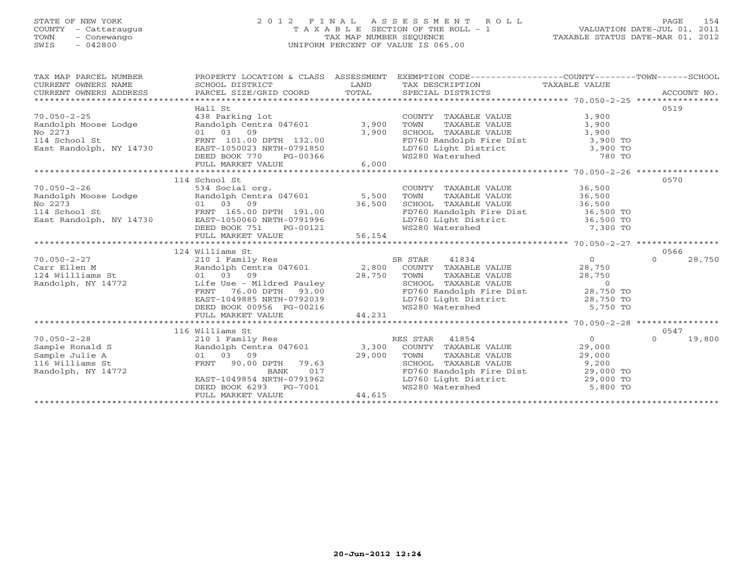## STATE OF NEW YORK 2 0 1 2 F I N A L A S S E S S M E N T R O L L PAGE 154 COUNTY - Cattaraugus T A X A B L E SECTION OF THE ROLL - 1 VALUATION DATE-JUL 01, 2011 TOWN - Conewango TAX MAP NUMBER SEQUENCE TAXABLE STATUS DATE-MAR 01, 2012 SWIS - 042800 UNIFORM PERCENT OF VALUE IS 065.00UNIFORM PERCENT OF VALUE IS 065.00

| TAX MAP PARCEL NUMBER<br>$\begin{tabular}{lllllll} \multicolumn{2}{c}{\textbf{CURRENT}} & \multicolumn{2}{c}{\textbf{WNERS}} & \multicolumn{2}{c}{\textbf{NAME}} & \multicolumn{2}{c}{\textbf{SCHOOL}} & \multicolumn{2}{c}{\textbf{LAND}} & \multicolumn{2}{c}{\textbf{TAX} \textbf{DESCRIPTION}} & \multicolumn{2}{c}{\textbf{TAXABLE} \textbf{ VALUE}} & \multicolumn{2}{c}{\textbf{ACCOUNT NO.}} \\ & & & & & & & \multicolumn{2}{c}{\textbf{CURRENT}} & \multicolumn{2}{c}{\textbf{WNERS} \textbf{ AD$ |                                                                                      | PROPERTY LOCATION & CLASS ASSESSMENT EXEMPTION CODE---------------COUNTY-------TOWN------SCHOOL                                                                                                  |                                      |                    |
|-------------------------------------------------------------------------------------------------------------------------------------------------------------------------------------------------------------------------------------------------------------------------------------------------------------------------------------------------------------------------------------------------------------------------------------------------------------------------------------------------------------|--------------------------------------------------------------------------------------|--------------------------------------------------------------------------------------------------------------------------------------------------------------------------------------------------|--------------------------------------|--------------------|
| 70.050-2-25<br>Randolph Moose Lodge Randolph Centra 047601<br>No 2273 01 03 09 3,900<br>114 School St FRNT 101.00 DPTH 132.00<br>East Randolph, NY 14730 EAST-1050023 NRTH-0791850<br>DEED BOOK 770 PG-00366 WS280 Watershed 780 TO<br>FULL MARKET VALUE 6,000 6,000 FULL FOR THE MARKET VALUE 6,000 FULL ARRENT VALUE 6,000 FOR TO FULL ARRENT VALUE                                                                                                                                                       | Hall St                                                                              | COUNTY TAXABLE VALUE<br>TOWN TAXABLE VALUE 3,900<br>SCHOOL TAXABLE VALUE 3,900<br>FD760 Randolph Fire Dist 3,900 TO<br>LD760 Light District 3,900 TO<br>WS280 Watershed 780 TO                   | 3,900                                | 0519               |
| 70.050-2-26<br>Randolph Moose Lodge Randolph Centra 047601 534 Social org.<br>No 2273 01 03 09 36,500 SCHOO EAST-1050060 NRTH-0791996 LD760<br>East Randolph, NY 14730 EAST-1050060 NRTH-0791996 LD760                                                                                                                                                                                                                                                                                                      | 114 School St<br>$PG-00121$<br>LUE 56,154<br>DEED BOOK 751                           | COUNTY TAXABLE VALUE 36,500<br>TOWN TAXABLE VALUE<br>SCHOOL TAXABLE VALUE<br>FD760 Randolph Fire Dist<br>LD760 Light District<br>WS280 Watershed<br>The MS280 Watershed<br>T <sub>7</sub> 300 TO |                                      | 0570               |
|                                                                                                                                                                                                                                                                                                                                                                                                                                                                                                             | 124 Williams St                                                                      |                                                                                                                                                                                                  |                                      | 0566               |
| $70.050 - 2 - 27$<br>Carrier and the contract of the contract of the contract term in the contract of the contract of the contract of the contract of the contract of the contract of the contract of the contract of the contract of the contract                                                                                                                                                                                                                                                          | 210 1 Family Res<br>DEED BOOK 00956 PG-00216<br>FULL MARKET VALUE 44,231             | 41834<br>SR STAR                                                                                                                                                                                 | $\overline{O}$                       | 28,750<br>$\Omega$ |
|                                                                                                                                                                                                                                                                                                                                                                                                                                                                                                             |                                                                                      |                                                                                                                                                                                                  |                                      |                    |
|                                                                                                                                                                                                                                                                                                                                                                                                                                                                                                             | 116 Williams St                                                                      |                                                                                                                                                                                                  |                                      | 0547               |
|                                                                                                                                                                                                                                                                                                                                                                                                                                                                                                             | EAST-1049854 NRTH-0791962<br>DEED BOOK 6293 PG-7001<br>PEED BOOK 6293 PG-7001 44,615 | TOWN TAXABLE VALUE 29,000<br>SCHOOL TAXABLE VALUE 9,200<br>FD760 Randolph Fire Dist 29,000 TO<br>LD760 Light District 29,000 TO<br>WS280 Watershed                                               | $\overline{O}$<br>29,000<br>5,800 TO | 19,800<br>$\Omega$ |
|                                                                                                                                                                                                                                                                                                                                                                                                                                                                                                             |                                                                                      |                                                                                                                                                                                                  |                                      |                    |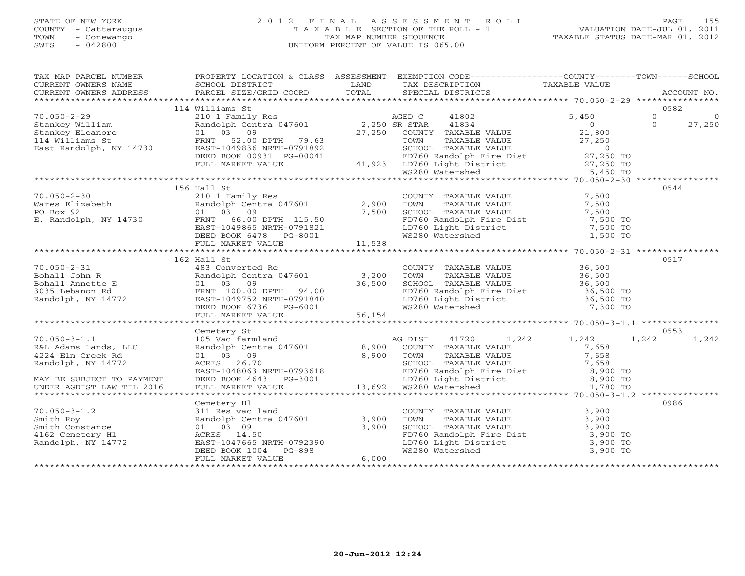# STATE OF NEW YORK 2 0 1 2 F I N A L A S S E S S M E N T R O L L PAGE 155 COUNTY - Cattaraugus T A X A B L E SECTION OF THE ROLL - 1 VALUATION DATE-JUL 01, 2011 TOWN - Conewango TAX MAP NUMBER SEQUENCE TAXABLE STATUS DATE-MAR 01, 2012 SWIS - 042800 UNIFORM PERCENT OF VALUE IS 065.00UNIFORM PERCENT OF VALUE IS 065.00

| TAX MAP PARCEL NUMBER                                                                                                                                                                                                                                                                                                                                                                                                  |                   |       | PROPERTY LOCATION & CLASS ASSESSMENT EXEMPTION CODE----------------COUNTY-------TOWN------SCHOOL |      |
|------------------------------------------------------------------------------------------------------------------------------------------------------------------------------------------------------------------------------------------------------------------------------------------------------------------------------------------------------------------------------------------------------------------------|-------------------|-------|--------------------------------------------------------------------------------------------------|------|
|                                                                                                                                                                                                                                                                                                                                                                                                                        |                   |       |                                                                                                  |      |
|                                                                                                                                                                                                                                                                                                                                                                                                                        | 114 Williams St   |       |                                                                                                  |      |
|                                                                                                                                                                                                                                                                                                                                                                                                                        |                   |       |                                                                                                  |      |
|                                                                                                                                                                                                                                                                                                                                                                                                                        |                   |       |                                                                                                  |      |
|                                                                                                                                                                                                                                                                                                                                                                                                                        |                   |       |                                                                                                  |      |
|                                                                                                                                                                                                                                                                                                                                                                                                                        |                   |       |                                                                                                  |      |
|                                                                                                                                                                                                                                                                                                                                                                                                                        |                   |       |                                                                                                  |      |
|                                                                                                                                                                                                                                                                                                                                                                                                                        |                   |       |                                                                                                  |      |
|                                                                                                                                                                                                                                                                                                                                                                                                                        |                   |       |                                                                                                  |      |
|                                                                                                                                                                                                                                                                                                                                                                                                                        |                   |       |                                                                                                  |      |
|                                                                                                                                                                                                                                                                                                                                                                                                                        | 156 Hall St       |       |                                                                                                  | 0544 |
| $\begin{tabular}{lllllllllll} \hline 70.050-2-30 && 156 \text{ Hall St} && 210 & 156 \text{ Hall St} && 210 & 156 \text{ Hall St} && 210 & 156 \text{ Hall St} && 210 & 156 \text{ Hall St} && 210 & 156 \text{ Hall St} && 210 & 156 \text{ Hall St} && 210 & 156 \text{ null} && 210 & 156 \text{ null} && 210 & 156 \text{ null} && 210 & 156 \text{ null} && 210 & 156 \text{ null} && 210 & 156$                  |                   |       |                                                                                                  |      |
|                                                                                                                                                                                                                                                                                                                                                                                                                        |                   |       |                                                                                                  |      |
|                                                                                                                                                                                                                                                                                                                                                                                                                        |                   |       |                                                                                                  |      |
|                                                                                                                                                                                                                                                                                                                                                                                                                        |                   |       |                                                                                                  |      |
|                                                                                                                                                                                                                                                                                                                                                                                                                        |                   |       |                                                                                                  |      |
|                                                                                                                                                                                                                                                                                                                                                                                                                        |                   |       |                                                                                                  |      |
|                                                                                                                                                                                                                                                                                                                                                                                                                        |                   |       |                                                                                                  |      |
|                                                                                                                                                                                                                                                                                                                                                                                                                        |                   |       |                                                                                                  |      |
|                                                                                                                                                                                                                                                                                                                                                                                                                        | 162 Hall St       |       |                                                                                                  | 0517 |
|                                                                                                                                                                                                                                                                                                                                                                                                                        |                   |       |                                                                                                  |      |
|                                                                                                                                                                                                                                                                                                                                                                                                                        |                   |       |                                                                                                  |      |
|                                                                                                                                                                                                                                                                                                                                                                                                                        |                   |       |                                                                                                  |      |
|                                                                                                                                                                                                                                                                                                                                                                                                                        |                   |       |                                                                                                  |      |
|                                                                                                                                                                                                                                                                                                                                                                                                                        |                   |       |                                                                                                  |      |
|                                                                                                                                                                                                                                                                                                                                                                                                                        |                   |       |                                                                                                  |      |
|                                                                                                                                                                                                                                                                                                                                                                                                                        |                   |       |                                                                                                  |      |
|                                                                                                                                                                                                                                                                                                                                                                                                                        |                   |       |                                                                                                  |      |
| 170.050-3-1.1<br>170.050-3-1.1<br>2016 Centery St. 2018<br>2018 Center of the Center of the Center of the Center of the Center of the Center of the Center of the Center<br>21,242<br>21,242<br>21,242<br>224 Elm Creek Rd 010 COLONITY DANA                                                                                                                                                                           |                   |       |                                                                                                  |      |
|                                                                                                                                                                                                                                                                                                                                                                                                                        |                   |       |                                                                                                  |      |
|                                                                                                                                                                                                                                                                                                                                                                                                                        |                   |       |                                                                                                  |      |
|                                                                                                                                                                                                                                                                                                                                                                                                                        |                   |       |                                                                                                  |      |
|                                                                                                                                                                                                                                                                                                                                                                                                                        |                   |       |                                                                                                  |      |
|                                                                                                                                                                                                                                                                                                                                                                                                                        |                   |       |                                                                                                  |      |
|                                                                                                                                                                                                                                                                                                                                                                                                                        |                   |       |                                                                                                  |      |
|                                                                                                                                                                                                                                                                                                                                                                                                                        |                   |       |                                                                                                  |      |
|                                                                                                                                                                                                                                                                                                                                                                                                                        |                   |       |                                                                                                  |      |
|                                                                                                                                                                                                                                                                                                                                                                                                                        |                   |       |                                                                                                  | 0986 |
|                                                                                                                                                                                                                                                                                                                                                                                                                        |                   |       |                                                                                                  |      |
|                                                                                                                                                                                                                                                                                                                                                                                                                        |                   |       |                                                                                                  |      |
|                                                                                                                                                                                                                                                                                                                                                                                                                        |                   |       |                                                                                                  |      |
|                                                                                                                                                                                                                                                                                                                                                                                                                        |                   |       |                                                                                                  |      |
|                                                                                                                                                                                                                                                                                                                                                                                                                        |                   |       |                                                                                                  |      |
| $\begin{tabular}{lllllllllllllllllllllll} \hline 70.050-3-1.2 & \multicolumn{3}{c}{\textbf{Centery H1}} & \multicolumn{3}{c}{\textbf{COUNTY}} & \multicolumn{3}{c}{\textbf{TAXABLE VALUE}} & 3,900 & \multicolumn{3}{c}{\textbf{5.900}} & 3,900 & \multicolumn{3}{c}{\textbf{5.900}} & 3,900 & \multicolumn{3}{c}{\textbf{5.900}} & 3,900 & \multicolumn{3}{c}{\textbf{5.900}} & 3,900 & \multicolumn{3}{c}{\textbf{5$ |                   |       |                                                                                                  |      |
|                                                                                                                                                                                                                                                                                                                                                                                                                        | FULL MARKET VALUE | 6,000 |                                                                                                  |      |
|                                                                                                                                                                                                                                                                                                                                                                                                                        |                   |       |                                                                                                  |      |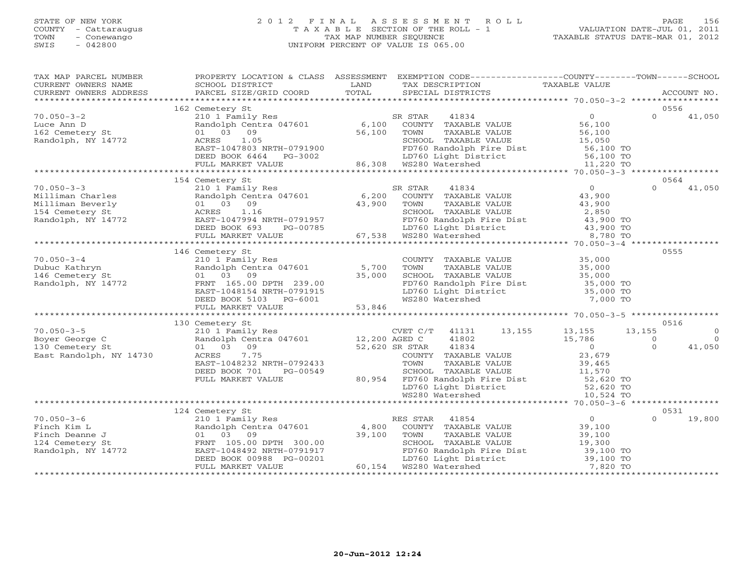# STATE OF NEW YORK 2 0 1 2 F I N A L A S S E S S M E N T R O L L PAGE 156 COUNTY - Cattaraugus T A X A B L E SECTION OF THE ROLL - 1 VALUATION DATE-JUL 01, 2011 TOWN - Conewango TAX MAP NUMBER SEQUENCE TAXABLE STATUS DATE-MAR 01, 2012 SWIS - 042800 UNIFORM PERCENT OF VALUE IS 065.00UNIFORM PERCENT OF VALUE IS 065.00

| TAX MAP PARCEL NUMBER<br>CURRENT OWNERS NAME<br>CURRENT OWNERS NAME SCHOOL DISTRICT COORD TOTAL TAX DESCRIPTION TAXABLE VALUE<br>XX DESCRIPTION TOTAL SPECIAL DISTRICTS ACCOUNT NO.<br>XX ARABLE VALUE TAXABLE VALUE SCHOOL DISTRICT PUNISSION TOTAL SPECIAL DIS | PROPERTY LOCATION & CLASS ASSESSMENT                                                                                                                                                                                                                                                                                                                                                                                                                    |                | EXEMPTION CODE-----------------COUNTY-------TOWN------SCHOOL                                                                                                                                                                                                                    |                                                                                                                                                                                                                                                                                                                      |                                                                |
|------------------------------------------------------------------------------------------------------------------------------------------------------------------------------------------------------------------------------------------------------------------|---------------------------------------------------------------------------------------------------------------------------------------------------------------------------------------------------------------------------------------------------------------------------------------------------------------------------------------------------------------------------------------------------------------------------------------------------------|----------------|---------------------------------------------------------------------------------------------------------------------------------------------------------------------------------------------------------------------------------------------------------------------------------|----------------------------------------------------------------------------------------------------------------------------------------------------------------------------------------------------------------------------------------------------------------------------------------------------------------------|----------------------------------------------------------------|
|                                                                                                                                                                                                                                                                  |                                                                                                                                                                                                                                                                                                                                                                                                                                                         |                |                                                                                                                                                                                                                                                                                 |                                                                                                                                                                                                                                                                                                                      |                                                                |
| $70.050 - 3 - 2$<br>Luce Ann D<br>162 Cemetery St<br>Randolph, NY 14772                                                                                                                                                                                          | 162 Cemetery St<br>ARIGOLPH CERT 04/001<br>ACRES 1.05<br>ACRES 1.05<br>EAST-1047803 NRTH-0791900<br>DEED BOOK 6464 PG-3002<br>FULL MARKET VALUE 86,308 WS280 Watershed                                                                                                                                                                                                                                                                                  |                | SCHOOL TAXABLE VALUE 15,050<br>FD760 Randolph Fire Dist 56,100 TO<br>LD760 Light District 56,100 TO<br>WS280 Watershed 11,220 TO                                                                                                                                                |                                                                                                                                                                                                                                                                                                                      | 0556<br>$\Omega$<br>41,050                                     |
|                                                                                                                                                                                                                                                                  |                                                                                                                                                                                                                                                                                                                                                                                                                                                         |                |                                                                                                                                                                                                                                                                                 |                                                                                                                                                                                                                                                                                                                      |                                                                |
| $70.050 - 3 - 3$<br>Milliman Charles<br>Milliman Beverly<br>154 Cemetery St<br>Randolph, NY 14772                                                                                                                                                                | 154 Cemetery St<br>210 1 Family Res<br>$210 \text{ I} \text{ r}$ and $210 \text{ I} \text{ r}$ and $200 \text{ N} \text{ m}$ and $200 \text{ N} \text{ m}$ and $200 \text{ N} \text{ m}$ and $200 \text{ N} \text{ m}$<br>01 03 09<br>ACRES 1.16<br>EAST-1047994 NRTH-0791957 67,538 WS280 Watershed<br>FULL MARKET VALUE<br>FULL MARKET VALUE<br>FULL MARKET VALUE<br>FULL MARKET VALUE<br>FULL MARKET VALUE<br>FULL MARKET VALUE<br>FULL MARKET VALUE |                | SR STAR<br>41834<br>COUNTY TAXABLE VALUE<br>TAXABLE VALUE<br>SCHOOL TAXABLE VALUE $2,850$<br>FD760 Randolph Fire Dist $43,900$ TO<br>LD760 Light District $43,900$ TO<br>WS280 Watershed $8,780$ TO                                                                             | $\Omega$<br>43,900<br>43,900                                                                                                                                                                                                                                                                                         | 0564<br>$\Omega$<br>41,050                                     |
|                                                                                                                                                                                                                                                                  |                                                                                                                                                                                                                                                                                                                                                                                                                                                         |                |                                                                                                                                                                                                                                                                                 |                                                                                                                                                                                                                                                                                                                      |                                                                |
| $70.050 - 3 - 4$<br>Dubuc Kathryn<br>146 Cemetery St<br>Randolph, NY 14772                                                                                                                                                                                       | 146 Cemetery St<br>210 1 Family Res<br>Randolph Centra 047601 5,700<br>01 03 09<br>FRNT 165.00 DPTH 239.00<br>EAST-1048154 NRTH-0791915                                                                                                                                                                                                                                                                                                                 | 35,000         | COUNTY TAXABLE VALUE 35,000<br>TOWN TAXABLE VALUE 35,000<br>COUNTERT TAXABLE VALUE 35,000<br>TOWN TAXABLE VALUE<br>SCHOOL TAXABLE VALUE 35,000 TO<br>FD760 Randolph Fire Dist 35,000 TO<br>The District 35,000 TO<br>LD760 Light District 35,000 TO<br>WS280 Watershed 7,000 TO |                                                                                                                                                                                                                                                                                                                      | 0555                                                           |
|                                                                                                                                                                                                                                                                  |                                                                                                                                                                                                                                                                                                                                                                                                                                                         |                |                                                                                                                                                                                                                                                                                 |                                                                                                                                                                                                                                                                                                                      |                                                                |
| $70.050 - 3 - 5$<br>Boyer George C<br>130 Cemetery St<br>East Randolph, NY 14730                                                                                                                                                                                 | 130 Cemetery St<br>210 1 Family Res<br>Randolph Centra 047601 12,200 AGED C<br>01 03 09<br>7.75<br>ACRES<br>EAST-1048232 NRTH-0792433<br>DEED BOOK 701<br>PG-00549<br>FULL MARKET VALUE                                                                                                                                                                                                                                                                 | 52,620 SR STAR | CVET C/T 41131 13,155 13,155<br>41802<br>41834<br>COUNTY TAXABLE VALUE<br>TOWN TAXABLE VALUE<br>TOWN TAXABLE VALUE<br>SCHOOL TAXABLE VALUE<br>SCHOOL TAXABLE VALUE<br>11,570<br>10,524 TO<br>LD760 Light District<br>WS280 Watershed                                            | 13,155<br>15,786<br>$\overline{O}$<br>23,679                                                                                                                                                                                                                                                                         | 0516<br>$\Omega$<br>$\Omega$<br>$\Omega$<br>$\Omega$<br>41,050 |
|                                                                                                                                                                                                                                                                  |                                                                                                                                                                                                                                                                                                                                                                                                                                                         |                |                                                                                                                                                                                                                                                                                 |                                                                                                                                                                                                                                                                                                                      |                                                                |
| $70.050 - 3 - 6$<br>Finch Kim L<br>Finch Deanne J<br>124 Cemetery St<br>Randolph, NY 14772                                                                                                                                                                       | 124 Cemetery St<br>210 1 Family Res<br>Randolph Centra 047601 4,800<br>01 03<br>09<br>FRNT 105.00 DPTH 300.00<br>EAST-1048492 NRTH-0791917<br>DEED BOOK 00988 PG-00201<br>DEED BOOK 00988 PG-00201<br>FULL MARKET VALUE                                                                                                                                                                                                                                 | 39,100         | ES STAR 41854<br>COUNTY TAXABLE VALUE<br>TOWN TAXABLE VALUE<br>SCHOOL TAXABLE VALUE<br>RES STAR<br>FD760 Randolph Fire Dist<br>LD760 Randolph Fire Dist 39,100 TO<br>LD760 Light District 39,100 TO<br>LD760 Light District<br>60,154 WS280 Watershed                           | $\overline{0}$<br>$\begin{array}{c} 0 \\ 39,100 \end{array}$<br>39,100<br>19,300<br>и пространите и пространите и производите и производите и производите и производите и производите и производит<br>В село и производите и производите и производите и производите и производите и производите и производите и про | 0531<br>19,800<br>$\Omega$                                     |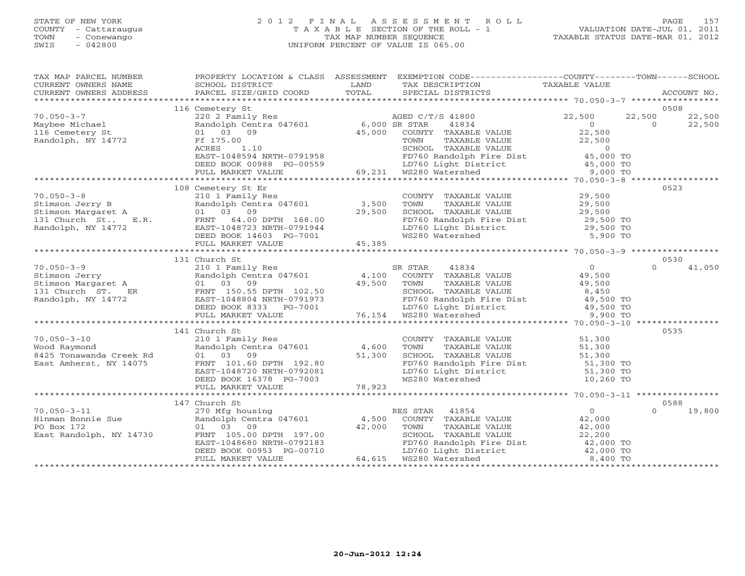# STATE OF NEW YORK 2 0 1 2 F I N A L A S S E S S M E N T R O L L PAGE 157 COUNTY - Cattaraugus T A X A B L E SECTION OF THE ROLL - 1 VALUATION DATE-JUL 01, 2011 TOWN - Conewango TAX MAP NUMBER SEQUENCE TAXABLE STATUS DATE-MAR 01, 2012 SWIS - 042800 UNIFORM PERCENT OF VALUE IS 065.00UNIFORM PERCENT OF VALUE IS 065.00

| TAX MAP PARCEL NUMBER<br>CURRENT OWNERS NAME<br>CURRENT OWNERS ADDRESS                                                                                            | SCHOOL DISTRICT<br>PARCEL SIZE/GRID COORD                                                                                                                                                                                                                                                    | LAND<br>TOTAL                                           | PROPERTY LOCATION & CLASS ASSESSMENT EXEMPTION CODE---------------COUNTY-------TOWN------SCHOOL<br>TAX DESCRIPTION<br>SPECIAL DISTRICTS                                                                              | TAXABLE VALUE                                                 | ACCOUNT NO.                            |
|-------------------------------------------------------------------------------------------------------------------------------------------------------------------|----------------------------------------------------------------------------------------------------------------------------------------------------------------------------------------------------------------------------------------------------------------------------------------------|---------------------------------------------------------|----------------------------------------------------------------------------------------------------------------------------------------------------------------------------------------------------------------------|---------------------------------------------------------------|----------------------------------------|
|                                                                                                                                                                   |                                                                                                                                                                                                                                                                                              |                                                         |                                                                                                                                                                                                                      |                                                               |                                        |
|                                                                                                                                                                   | 116 Cemetery St                                                                                                                                                                                                                                                                              |                                                         |                                                                                                                                                                                                                      |                                                               | 0508                                   |
| $70.050 - 3 - 7$<br>Maybee Michael<br>116 Cemetery St<br>Randolph, NY 14772                                                                                       | 220 2 Family Res<br>Randolph Centra 047601 6,000 SR STAR<br>01 03 09<br>Ff 175.00<br>RCHOOL TAXABLE<br>EAST-1048594 NRTH-0791958<br>DEED BOOK 00988 PG-00559<br>FD760 Light Dist<br>FIILL MARKET VALUE<br>FIILL 69,231 WS280 Watershed<br>FIILL MARKET VALUE<br>FIILL 69,231 WS280 Watershed |                                                         | AGED C/T/S 41800<br>41834<br>45,000 COUNTY TAXABLE VALUE<br>TOWN     TAXABLE VALUE<br>SCHOOL   TAXABLE VALUE<br>FD760 Randolph Fire Dist (15,000 TO<br>LD760 Light District (15,000 TO<br>WS280 Watershed (15,000 TO | 22,500<br>$\overline{0}$<br>22,500<br>22,500<br>$\sim$ 0      | 22,500<br>22,500<br>$\Omega$<br>22,500 |
|                                                                                                                                                                   |                                                                                                                                                                                                                                                                                              |                                                         |                                                                                                                                                                                                                      |                                                               |                                        |
|                                                                                                                                                                   |                                                                                                                                                                                                                                                                                              |                                                         |                                                                                                                                                                                                                      |                                                               |                                        |
| $70.050 - 3 - 8$<br>Stimson Jerry B<br>Stimson Margaret A<br>131 Church St., E.R. FRNT 64.000<br>131 Church St., E.R. FRNT 64.000<br>Randolph, NY 14772           | 108 Cemetery St Er<br>210 1 Family Res<br>Randolph Centra 047601<br>FRNT 64.00 DPTH 168.00<br>EAST-1048723 NRTH-0791944<br>DEED BOOK 14603 PG-7001<br>FULL MARKET VALUE                                                                                                                      | 3,500<br>29,500<br>168.00<br>-0791944<br>PG-7001 45,385 | COUNTY TAXABLE VALUE<br>TOWN TAXABLE VALUE<br>SCHOOL TAXABLE VALUE<br>FD760 Randolph Fire Dist<br>LD760 Light District<br>WS280 Watershed 5,900 TO<br>WS280 Watershed 5,900 TO                                       | 29,500<br>29,500<br>29,500                                    | 0523                                   |
|                                                                                                                                                                   |                                                                                                                                                                                                                                                                                              |                                                         |                                                                                                                                                                                                                      |                                                               |                                        |
| $70.050 - 3 - 9$<br>Stimson Jerry and the Mandolph Cent<br>Stimson Margaret A and 01 03 09<br>131 Church ST. ER FRNT 150.55<br>Randolph, NY 14772 22 EAST-1048804 | 131 Church St<br>210 1 Family Res<br>Randolph Centra 047601<br>in a strong and the state of the<br>FRNT 150.55 DPTH 102.50<br>FRNT 150.55 DPTH 102.50<br>EAST-1048804 NRTH-0791973<br>DEED BOOK 8333 PG-7001<br>FULL MARKET VALUE                                                            | 49,500 TOWN                                             | 41834<br>SR STAR<br>4,100 COUNTY TAXABLE VALUE<br>TAXABLE VALUE<br>SCHOOL TAXABLE VALUE<br>FD760 Randolph Fire Dist $49,500$ TO<br>LD760 Light District $49,500$ TO<br>WS280 Watershed 9,900 TO                      | 0<br>49,500<br>49,500<br>8,450                                | 0530<br>$\Omega$<br>41,050             |
|                                                                                                                                                                   |                                                                                                                                                                                                                                                                                              |                                                         |                                                                                                                                                                                                                      |                                                               |                                        |
| $70.050 - 3 - 10$<br>wood Raymond<br>000d Raymond<br>8425 Tonawanda Creek Rd<br>East Amherst, NY 14075                                                            | 141 Church St<br>210 1 Family Res<br>Randolph Centra 047601<br>01 03 09<br>FRNT 101.60 DPTH 192.80<br>EAST-1048720 NRTH-0792081<br>DEED BOOK 16378 PG-7003<br>FULL MARKET VALUE                                                                                                              | 4,600<br>51,300<br>78,923                               | COUNTY TAXABLE VALUE 51,300<br>FD760 Randolph Fire Dist<br>LD760 Light District<br>51,300 TO<br>LD760 Light District<br>WS280 Watershed                                                                              | 10,260 TO                                                     | 0535                                   |
|                                                                                                                                                                   |                                                                                                                                                                                                                                                                                              |                                                         |                                                                                                                                                                                                                      |                                                               |                                        |
|                                                                                                                                                                   | 147 Church St                                                                                                                                                                                                                                                                                |                                                         |                                                                                                                                                                                                                      |                                                               | 0588                                   |
| $70.050 - 3 - 11$<br>Hinman Bonnie Sue<br>PO Box 172<br>PO Box 172<br>East Randolph, NY 14730                                                                     | 270 Mfg housing<br>Randolph Centra 047601 $4,500$<br>01 03 09<br>FRNT 105.00 DPTH 197.00<br>EAST-1048680 NRTH-0792183<br>DEED BOOK 00953 PG-00710<br>FULL MARKET VALUE                                                                                                                       | 42,000<br>64,615                                        | RES STAR<br>41854<br>COUNTY TAXABLE VALUE<br>TAXABLE VALUE<br>TOWN<br>SCHOOL TAXABLE VALUE<br>PD760 Randolph Fire Dist (2,000 TO<br>LD760 Light District (2,000 TO<br>LD760 Light District<br>WS280 Watershed        | $\overline{0}$<br>42,000<br>$\frac{42}{22}$ , 200<br>8,400 TO | $\Omega$<br>19,800                     |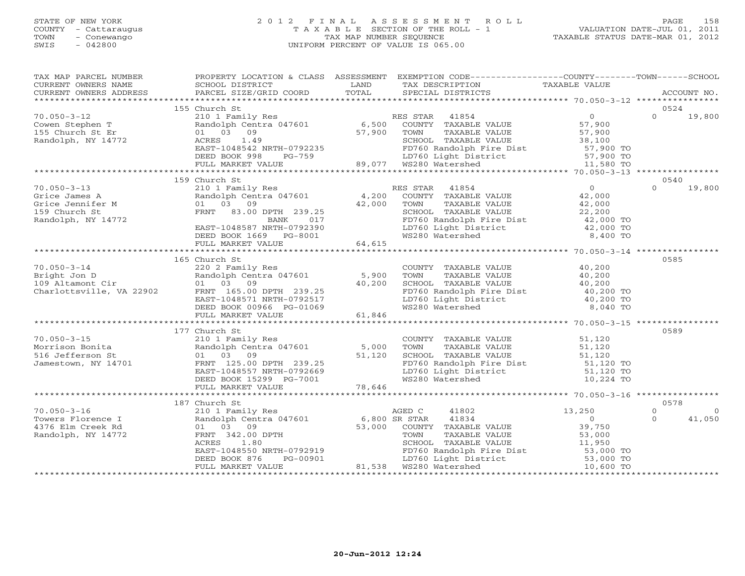### STATE OF NEW YORK 2 0 1 2 F I N A L A S S E S S M E N T R O L L PAGE 158 COUNTY - Cattaraugus T A X A B L E SECTION OF THE ROLL - 1 VALUATION DATE-JUL 01, 2011 TOWN - Conewango TAX MAP NUMBER SEQUENCE TAXABLE STATUS DATE-MAR 01, 2012 SWIS - 042800 UNIFORM PERCENT OF VALUE IS 065.00UNIFORM PERCENT OF VALUE IS 065.00

| TAX MAP PARCEL NUMBER                                                                               | PROPERTY LOCATION & CLASS ASSESSMENT EXEMPTION CODE----------------COUNTY-------TOWN------SCHOOL                                                                                                                                                                                                                                                                                                   |                                                                                                                                                                                                        |                                  |
|-----------------------------------------------------------------------------------------------------|----------------------------------------------------------------------------------------------------------------------------------------------------------------------------------------------------------------------------------------------------------------------------------------------------------------------------------------------------------------------------------------------------|--------------------------------------------------------------------------------------------------------------------------------------------------------------------------------------------------------|----------------------------------|
|                                                                                                     |                                                                                                                                                                                                                                                                                                                                                                                                    |                                                                                                                                                                                                        |                                  |
|                                                                                                     | 155 Church St                                                                                                                                                                                                                                                                                                                                                                                      |                                                                                                                                                                                                        | 0524                             |
|                                                                                                     | $\begin{array}{cccccccc} 70.050-3-12 & 155 & \text{Church } 15 & \text{C1} & 155 & \text{Church } 15 & \text{C1} & 155 & \text{C2} & 10 & 1 & \text{Fmi1y Res} & 155 & \text{C1} & 155 & \text{C1} & 155 & \text{C1} & 155 & \text{C1} & 155 & \text{C1} & 155 & \text{C1} & 155 & \text{C1} & 155 & \text{C1} & 155 & \text{C1} & 155 & \text{C1} & 155$                                          |                                                                                                                                                                                                        |                                  |
|                                                                                                     |                                                                                                                                                                                                                                                                                                                                                                                                    |                                                                                                                                                                                                        |                                  |
|                                                                                                     |                                                                                                                                                                                                                                                                                                                                                                                                    |                                                                                                                                                                                                        |                                  |
|                                                                                                     |                                                                                                                                                                                                                                                                                                                                                                                                    |                                                                                                                                                                                                        |                                  |
|                                                                                                     |                                                                                                                                                                                                                                                                                                                                                                                                    |                                                                                                                                                                                                        |                                  |
|                                                                                                     |                                                                                                                                                                                                                                                                                                                                                                                                    |                                                                                                                                                                                                        |                                  |
|                                                                                                     |                                                                                                                                                                                                                                                                                                                                                                                                    |                                                                                                                                                                                                        |                                  |
|                                                                                                     |                                                                                                                                                                                                                                                                                                                                                                                                    |                                                                                                                                                                                                        |                                  |
|                                                                                                     | 159 Church St                                                                                                                                                                                                                                                                                                                                                                                      |                                                                                                                                                                                                        | 0540                             |
|                                                                                                     |                                                                                                                                                                                                                                                                                                                                                                                                    |                                                                                                                                                                                                        | $0 \t 19,800$                    |
|                                                                                                     |                                                                                                                                                                                                                                                                                                                                                                                                    |                                                                                                                                                                                                        |                                  |
|                                                                                                     |                                                                                                                                                                                                                                                                                                                                                                                                    |                                                                                                                                                                                                        |                                  |
|                                                                                                     |                                                                                                                                                                                                                                                                                                                                                                                                    |                                                                                                                                                                                                        |                                  |
|                                                                                                     |                                                                                                                                                                                                                                                                                                                                                                                                    |                                                                                                                                                                                                        |                                  |
|                                                                                                     |                                                                                                                                                                                                                                                                                                                                                                                                    |                                                                                                                                                                                                        |                                  |
|                                                                                                     |                                                                                                                                                                                                                                                                                                                                                                                                    |                                                                                                                                                                                                        |                                  |
|                                                                                                     |                                                                                                                                                                                                                                                                                                                                                                                                    |                                                                                                                                                                                                        |                                  |
|                                                                                                     | 165 Church St                                                                                                                                                                                                                                                                                                                                                                                      |                                                                                                                                                                                                        | 0585                             |
|                                                                                                     |                                                                                                                                                                                                                                                                                                                                                                                                    |                                                                                                                                                                                                        |                                  |
|                                                                                                     |                                                                                                                                                                                                                                                                                                                                                                                                    |                                                                                                                                                                                                        |                                  |
|                                                                                                     |                                                                                                                                                                                                                                                                                                                                                                                                    |                                                                                                                                                                                                        |                                  |
|                                                                                                     |                                                                                                                                                                                                                                                                                                                                                                                                    |                                                                                                                                                                                                        |                                  |
|                                                                                                     |                                                                                                                                                                                                                                                                                                                                                                                                    |                                                                                                                                                                                                        |                                  |
|                                                                                                     |                                                                                                                                                                                                                                                                                                                                                                                                    |                                                                                                                                                                                                        |                                  |
|                                                                                                     | 70.050-3-14<br>$\begin{array}{ccccccccc}\n 70.050-3-14 & 165 \text{ CUV} & 5,900 & \text{TOW} & \text{TAXABLE VALUE} & 40,200 \\  & & 220 2 \text{ Family Res} & & 5,900 & \text{TOWN} & \text{TAXABLE VALUE} & 40,200 \\  & & 109 \text{Altamont Cir} & & 01 & 03 & 09 & 40,200 & \text{FDM} & \text{TXABLE VALUE} & 40,200 \\  & & 01 & 03 & 09 & & 40,200 & \text{FDM} & \text{TXABLE VALUE} &$ |                                                                                                                                                                                                        |                                  |
|                                                                                                     |                                                                                                                                                                                                                                                                                                                                                                                                    |                                                                                                                                                                                                        |                                  |
|                                                                                                     | 177 Church St                                                                                                                                                                                                                                                                                                                                                                                      |                                                                                                                                                                                                        | 0589                             |
|                                                                                                     |                                                                                                                                                                                                                                                                                                                                                                                                    |                                                                                                                                                                                                        |                                  |
|                                                                                                     |                                                                                                                                                                                                                                                                                                                                                                                                    |                                                                                                                                                                                                        |                                  |
|                                                                                                     |                                                                                                                                                                                                                                                                                                                                                                                                    |                                                                                                                                                                                                        |                                  |
|                                                                                                     |                                                                                                                                                                                                                                                                                                                                                                                                    |                                                                                                                                                                                                        |                                  |
|                                                                                                     | 70.050-3-15<br>Morrison Bonita<br>516 Jefferson St (101 Family Res (210 1 Family Res 5,000 TOWN<br>714701 FRNT 125.00 DPTH 239.25<br>729.25 EAST-1048557 NRTH-0792669 LD760<br>729.646 DEED BOOK 15299 PG-7001 MS280<br>729.646 PERENT MOR                                                                                                                                                         | COUNTY TAXABLE VALUE<br>TOWN TAXABLE VALUE<br>SCHOOL TAXABLE VALUE<br>SCHOOL TAXABLE VALUE<br>FD760 Randolph Fire Dist<br>LD760 Light District<br>LD760 Light District<br>MS280 Watershed<br>10,224 TO |                                  |
|                                                                                                     |                                                                                                                                                                                                                                                                                                                                                                                                    |                                                                                                                                                                                                        |                                  |
|                                                                                                     |                                                                                                                                                                                                                                                                                                                                                                                                    |                                                                                                                                                                                                        |                                  |
|                                                                                                     | 187 Church St                                                                                                                                                                                                                                                                                                                                                                                      |                                                                                                                                                                                                        | 0578                             |
| $70.050 - 3 - 16$                                                                                   |                                                                                                                                                                                                                                                                                                                                                                                                    |                                                                                                                                                                                                        | $\overline{0}$<br>$\overline{0}$ |
| Towers Florence I<br>4376 Elm Creek Rd (1010) 103<br>1376 Elm Creek Rd (10309)<br>14772 FRNT 342.00 |                                                                                                                                                                                                                                                                                                                                                                                                    |                                                                                                                                                                                                        | 41,050<br>$\Omega$               |
|                                                                                                     |                                                                                                                                                                                                                                                                                                                                                                                                    |                                                                                                                                                                                                        |                                  |
|                                                                                                     |                                                                                                                                                                                                                                                                                                                                                                                                    |                                                                                                                                                                                                        |                                  |
|                                                                                                     |                                                                                                                                                                                                                                                                                                                                                                                                    |                                                                                                                                                                                                        |                                  |
|                                                                                                     |                                                                                                                                                                                                                                                                                                                                                                                                    |                                                                                                                                                                                                        |                                  |
|                                                                                                     |                                                                                                                                                                                                                                                                                                                                                                                                    |                                                                                                                                                                                                        |                                  |
|                                                                                                     |                                                                                                                                                                                                                                                                                                                                                                                                    |                                                                                                                                                                                                        |                                  |
|                                                                                                     |                                                                                                                                                                                                                                                                                                                                                                                                    |                                                                                                                                                                                                        |                                  |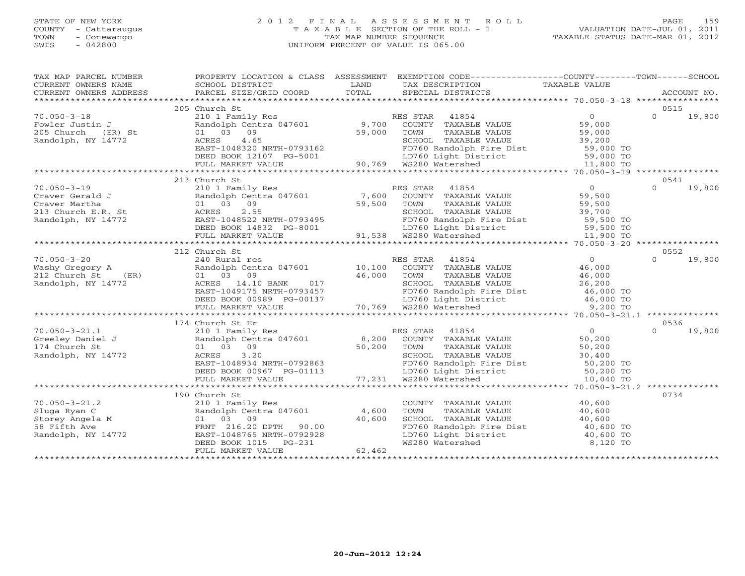### STATE OF NEW YORK 2 0 1 2 F I N A L A S S E S S M E N T R O L L PAGE 159 COUNTY - Cattaraugus T A X A B L E SECTION OF THE ROLL - 1 VALUATION DATE-JUL 01, 2011 TOWN - Conewango TAX MAP NUMBER SEQUENCE TAXABLE STATUS DATE-MAR 01, 2012 SWIS - 042800 UNIFORM PERCENT OF VALUE IS 065.00UNIFORM PERCENT OF VALUE IS 065.00

| TAX MAP PARCEL NUMBER<br>CURRENT OWNERS NAME                                                      | SCHOOL DISTRICT                                                                                                                                                                                                                       | LAND             | PROPERTY LOCATION & CLASS ASSESSMENT EXEMPTION CODE---------------COUNTY-------TOWN------SCHOOL<br>TAX DESCRIPTION                                                                                                                                                                            | TAXABLE VALUE    |                            |
|---------------------------------------------------------------------------------------------------|---------------------------------------------------------------------------------------------------------------------------------------------------------------------------------------------------------------------------------------|------------------|-----------------------------------------------------------------------------------------------------------------------------------------------------------------------------------------------------------------------------------------------------------------------------------------------|------------------|----------------------------|
|                                                                                                   |                                                                                                                                                                                                                                       |                  |                                                                                                                                                                                                                                                                                               |                  |                            |
| $70.050 - 3 - 18$<br>Fowler Justin J<br>205 Church<br>(ER) St<br>Randolph, NY 14772               | 205 Church St<br>4.65<br>ACRES<br>$EAST-1048320$ NRTH-0793162<br>DEED BOOK 12107 PG-5001 LD760 Light Dist<br>FULL MARKET VALUE 90,769 WS280 Watershed                                                                                 | 59,000           | FOWN TAXABLE VALUE<br>SPORT TO TAXABLE VALUE<br>FD760 Randolph Fire Dist<br>LD760 Light District<br>WS280 Watershed<br>MS280 Watershed<br>11,800 TO                                                                                                                                           |                  | 0515<br>$\Omega$<br>19,800 |
|                                                                                                   | 213 Church St                                                                                                                                                                                                                         |                  |                                                                                                                                                                                                                                                                                               |                  | 0541                       |
| $70.050 - 3 - 19$<br>Craver Gerald J<br>Craver Martha<br>213 Church E.R. St<br>Randolph, NY 14772 | 2.55<br>ACRES<br>EAST-1048522 NRTH-0793495<br>DEED BOOK 14923 DO SAAC<br>DEED BOOK 14832 PG-8001 10760 LD760 Light Dist<br>FULL MARKET VALUE 91,538 WS280 Watershed                                                                   |                  | 210 1 Family Res<br>Randolph Centra 047601 7,600 COUNTY TAXABLE VALUE 59,500<br>59,500 TOWN TAXABLE VALUE 59,500<br>SCHOOL TAXABLE VALUE<br>FD760 Randolph Fire Dist<br>LD760 Light District<br>WS280 Watershed<br>MS280 Watershed<br>11,900 TO                                               |                  | 19,800<br>$\Omega$         |
|                                                                                                   |                                                                                                                                                                                                                                       |                  |                                                                                                                                                                                                                                                                                               |                  | 0552                       |
| $70.050 - 3 - 20$<br>Washy Gregory A<br>(ER)<br>212 Church St<br>Randolph, NY 14772               | 212 Church St<br>Randolph Centra 047001<br>01 03 09 46,000<br>ACRES 14.10 BANK 017<br>EAST-1049175 NRTH-0793457<br>EAST-1049175 NRTH-0793457<br>DEED BOOK 00989 PG-00137 LD760 Randolph F<br>FULL MARKET VALUE 70,769 WS280 Watershed |                  | 240 Rural res and the RES STAR 41854 (1854)<br>Randolph Centra 047601 (10,100 COUNTY TAXABLE VALUE 46,000 (1 03 09 (16,000 TOWN TAXABLE VALUE 46,000<br>SCHOOL TAXABLE VALUE $26,200$<br>FD760 Randolph Fire Dist $46,000$ TO<br>LD760 Light District $46,000$ TO<br>WS280 Watershed 9,200 TO |                  | 19,800<br>$\cap$           |
|                                                                                                   |                                                                                                                                                                                                                                       |                  |                                                                                                                                                                                                                                                                                               |                  |                            |
|                                                                                                   | 174 Church St Er                                                                                                                                                                                                                      |                  |                                                                                                                                                                                                                                                                                               |                  | 0536                       |
| 70.050-3-21.1<br>Greeley Daniel J<br>174 Church St                                                |                                                                                                                                                                                                                                       |                  |                                                                                                                                                                                                                                                                                               |                  |                            |
|                                                                                                   |                                                                                                                                                                                                                                       |                  |                                                                                                                                                                                                                                                                                               |                  |                            |
|                                                                                                   | 210 1 Family Res<br>Randolph Centra 047601 4,600                                                                                                                                                                                      | 40,600<br>62,462 | COUNTY TAXABLE VALUE<br>TAXABLE VALUE<br>TOWN<br>SCHOOL TAXABLE VALUE<br>FD760 Randolph Fire Dist<br>LD760 Light District<br>WS280 Watershed<br>WS280 Watershed<br>Allo 600 TO<br>B.120 TO                                                                                                    | 40,600<br>40,600 | 0734                       |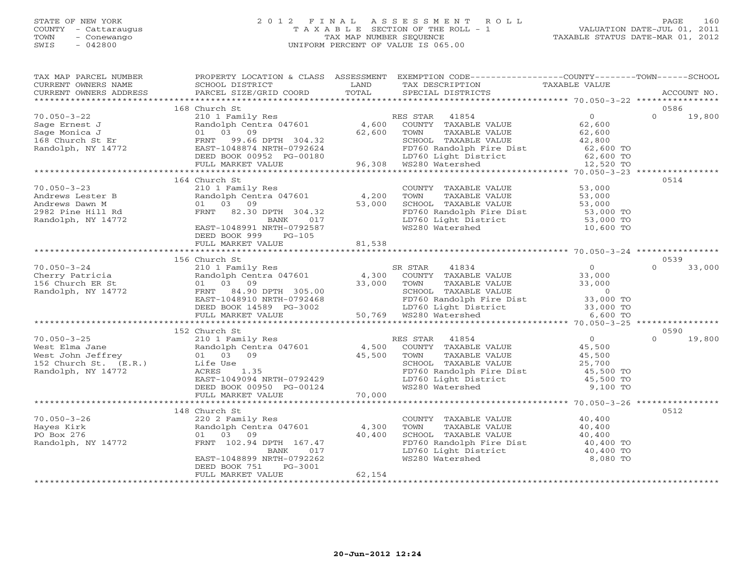### STATE OF NEW YORK 2 0 1 2 F I N A L A S S E S S M E N T R O L L PAGE 160 COUNTY - Cattaraugus T A X A B L E SECTION OF THE ROLL - 1 VALUATION DATE-JUL 01, 2011 TOWN - Conewango TAX MAP NUMBER SEQUENCE TAXABLE STATUS DATE-MAR 01, 2012 SWIS - 042800 UNIFORM PERCENT OF VALUE IS 065.00UNIFORM PERCENT OF VALUE IS 065.00

| TAX MAP PARCEL NUMBER<br>CURRENT OWNERS NAME                                                                                                                                                                                                                                                                                                                                                    | SCHOOL DISTRICT                                                                       | LAND   | PROPERTY LOCATION & CLASS ASSESSMENT EXEMPTION CODE----------------COUNTY-------TOWN------SCHOOL<br>TAX DESCRIPTION TAXABLE VALUE SPECIAL DISTRICTS               |          |        |
|-------------------------------------------------------------------------------------------------------------------------------------------------------------------------------------------------------------------------------------------------------------------------------------------------------------------------------------------------------------------------------------------------|---------------------------------------------------------------------------------------|--------|-------------------------------------------------------------------------------------------------------------------------------------------------------------------|----------|--------|
| - CURRENT OWNERS ADDRESS PARCEL SIZE/GRID COORD TOTAL SPECIAL DISTRICTS (2000) ACCOUNT NO.<br>- FIRENT OWNERS ADDRESS PARCEL SIZE/GRID COORD TOTAL SPECIAL DISTRICTS (2000) ACCOUNT NO.                                                                                                                                                                                                         |                                                                                       |        |                                                                                                                                                                   |          |        |
|                                                                                                                                                                                                                                                                                                                                                                                                 | 168 Church St                                                                         |        |                                                                                                                                                                   | 0586     |        |
| $\begin{array}{cccccccc} 70.050-3-22 & 168 & \text{Church } 56 & \text{CUNTY} & \text{RES STAR} & 41854 & 0 & 0 & 19,800 \\ \text{Sage Ernest J} & 21011 Family Res & 4,600 & \text{COUNTY} & \text{TAXABLE VALUE} & 62,600 & 0 & 19,800 \\ \text{Sage Monical J} & 0 & 0 & 19,800 & 52,600 & \text{TOLU} & \text{TAXABLE VALUE} & 62,600 & 0 & 19,800 \\ \text{Sage Monical J} & 0 & 0 & 0 & $ |                                                                                       |        |                                                                                                                                                                   |          |        |
|                                                                                                                                                                                                                                                                                                                                                                                                 |                                                                                       |        |                                                                                                                                                                   |          |        |
| 70.050-3-23<br>Andrews Lester B<br>Andrews Dawn M 01 03 09<br>2982 Pine Hill Rd<br>Randolph, NY 14772<br>EAST-1048991 NRTH-0792587<br>EAST-1048991 NRTH-0792587<br>EAST-1048991 NRTH-0792587<br>PERD ROOK 999 PC-105<br>PERD ROOK 999 PC-105<br>PE                                                                                                                                              | 164 Church St<br>DEED BOOK 999 PG-105                                                 |        |                                                                                                                                                                   | 0514     |        |
|                                                                                                                                                                                                                                                                                                                                                                                                 | FULL MARKET VALUE                                                                     | 81,538 |                                                                                                                                                                   |          |        |
|                                                                                                                                                                                                                                                                                                                                                                                                 |                                                                                       |        |                                                                                                                                                                   |          |        |
|                                                                                                                                                                                                                                                                                                                                                                                                 | 156 Church St                                                                         |        |                                                                                                                                                                   | 0539     |        |
| $R$ Cherry Patricia and Divident Stand of Cherry Patricia and Divident Stand Oph Centra 047601 and ODINTY TAXABLE VALUE 33,000<br>The Cherry Patricia and Divident Centra 047601 4,300 COUNTY TAXABLE VALUE 33,000<br>Randolph, N                                                                                                                                                               |                                                                                       |        |                                                                                                                                                                   | $\Omega$ | 33,000 |
|                                                                                                                                                                                                                                                                                                                                                                                                 |                                                                                       |        |                                                                                                                                                                   |          |        |
|                                                                                                                                                                                                                                                                                                                                                                                                 | 152 Church St                                                                         |        |                                                                                                                                                                   | 0590     |        |
|                                                                                                                                                                                                                                                                                                                                                                                                 |                                                                                       |        |                                                                                                                                                                   |          | 19,800 |
|                                                                                                                                                                                                                                                                                                                                                                                                 |                                                                                       |        |                                                                                                                                                                   |          |        |
|                                                                                                                                                                                                                                                                                                                                                                                                 |                                                                                       |        |                                                                                                                                                                   |          |        |
| 70.050-3-26<br>Hayes Kirk<br>PO Box 276<br>Randolph, NY 14772<br>Randolph, NY 14772<br>PO Box 276<br>PO Box 276<br>PO Box 276<br>PO Box 276<br>PO Box 276<br>PO Box 276<br>PO Box 276<br>PO Box 276<br>PO Box 276<br>PO Box 276<br>PO Box 276<br>PO Box 276<br>P                                                                                                                                | 148 Church St<br>017<br>BANK<br>EAST-1048899 NRTH-0792262<br>DEED BOOK 751<br>PG-3001 |        | COUNTY TAXABLE VALUE<br>TOWN TAXABLE VALUE<br>SCHOOL TAXABLE VALUE<br>FD760 Randolph Fire Dist<br>LD760 Light District<br>WS280 Watershed<br>B.080 TO<br>8,080 TO | 0512     |        |
|                                                                                                                                                                                                                                                                                                                                                                                                 | FULL MARKET VALUE                                                                     | 62,154 |                                                                                                                                                                   |          |        |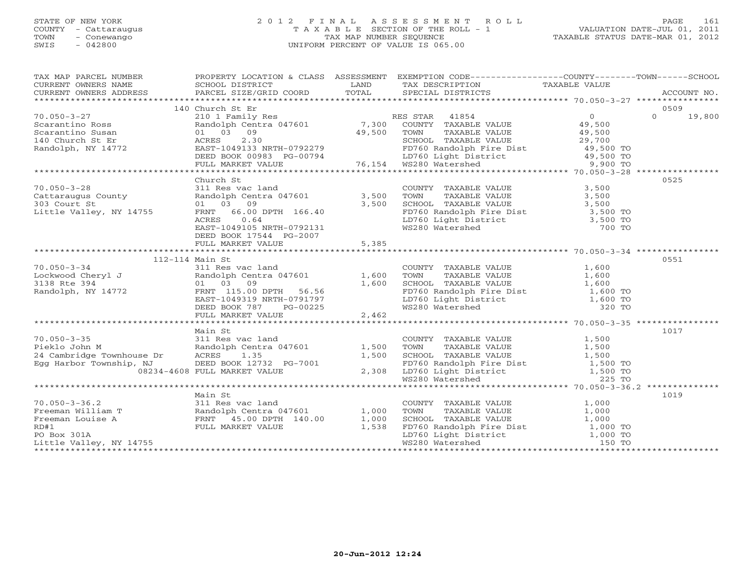## STATE OF NEW YORK 2 0 1 2 F I N A L A S S E S S M E N T R O L L PAGE 161 COUNTY - Cattaraugus T A X A B L E SECTION OF THE ROLL - 1 VALUATION DATE-JUL 01, 2011 TOWN - Conewango TAX MAP NUMBER SEQUENCE TAXABLE STATUS DATE-MAR 01, 2012 SWIS - 042800 UNIFORM PERCENT OF VALUE IS 065.00UNIFORM PERCENT OF VALUE IS 065.00

| TAX MAP PARCEL NUMBER                                                                                                                                                                                                                                    |                                                                                                                             |       | PROPERTY LOCATION & CLASS ASSESSMENT EXEMPTION CODE---------------COUNTY-------TOWN------SCHOOL                                             |        |                    |
|----------------------------------------------------------------------------------------------------------------------------------------------------------------------------------------------------------------------------------------------------------|-----------------------------------------------------------------------------------------------------------------------------|-------|---------------------------------------------------------------------------------------------------------------------------------------------|--------|--------------------|
|                                                                                                                                                                                                                                                          |                                                                                                                             |       |                                                                                                                                             |        |                    |
|                                                                                                                                                                                                                                                          | 140 Church St Er                                                                                                            |       |                                                                                                                                             |        | 0509               |
| $70.050 - 3 - 27$                                                                                                                                                                                                                                        |                                                                                                                             |       | Church St Er<br>210 1 Family Res<br>210 1 Family Res<br>21 0 1 03 09 19,500<br>29,500 1 03 09 49,500 1 2000 10 10 29,500<br>29,700 1 29,700 |        | $\Omega$<br>19,800 |
| Scarantino Ross<br>Scarantino Ross<br>140 Church St Er<br>Randolph, NY 14772                                                                                                                                                                             |                                                                                                                             |       |                                                                                                                                             |        |                    |
|                                                                                                                                                                                                                                                          |                                                                                                                             |       |                                                                                                                                             |        |                    |
|                                                                                                                                                                                                                                                          |                                                                                                                             |       |                                                                                                                                             |        |                    |
|                                                                                                                                                                                                                                                          |                                                                                                                             |       |                                                                                                                                             |        |                    |
|                                                                                                                                                                                                                                                          |                                                                                                                             |       |                                                                                                                                             |        |                    |
|                                                                                                                                                                                                                                                          |                                                                                                                             |       |                                                                                                                                             |        |                    |
| Scarantino Ross<br>Scarantino Susan and the control of the country of the country of the country of the country of the country of<br>140 Church St Er (29,700 SCHOOL TAXABLE VALUE 29,700<br>Randolph, NY 14772 EAST-1049133 NRTH-07                     |                                                                                                                             |       |                                                                                                                                             |        |                    |
|                                                                                                                                                                                                                                                          | Church St                                                                                                                   |       |                                                                                                                                             |        | 0525               |
| $70.050 - 3 - 28$<br>70.050–3–28<br>Cattaraugus County<br>303 Court St<br>Little Valley, NY 14755                                                                                                                                                        | Church St<br>311 Res vac land<br>Randolph Centra 047601 3,500 TOWN<br>01 03 09 3,500 SCHOOI<br>FRNT 66.00 DPTH 166.40 FD760 |       | COUNTY TAXABLE VALUE 3,500<br>TOWN TAXABLE VALUE 3,500<br>SCHOOL TAXABLE VALUE 3,500<br>3,500                                               |        |                    |
|                                                                                                                                                                                                                                                          |                                                                                                                             |       |                                                                                                                                             |        |                    |
|                                                                                                                                                                                                                                                          |                                                                                                                             |       |                                                                                                                                             |        |                    |
|                                                                                                                                                                                                                                                          |                                                                                                                             |       | FD760 Randolph Fire Dist 3,500 TO<br>LD760 Light District 3,500 TO                                                                          |        |                    |
|                                                                                                                                                                                                                                                          | ACRES<br>0.64                                                                                                               |       |                                                                                                                                             |        |                    |
|                                                                                                                                                                                                                                                          | EAST-1049105 NRTH-0792131                                                                                                   |       | WS280 Watershed                                                                                                                             | 700 TO |                    |
|                                                                                                                                                                                                                                                          | DEED BOOK 17544 PG-2007                                                                                                     |       |                                                                                                                                             |        |                    |
|                                                                                                                                                                                                                                                          | FULL MARKET VALUE                                                                                                           | 5,385 |                                                                                                                                             |        |                    |
|                                                                                                                                                                                                                                                          |                                                                                                                             |       |                                                                                                                                             |        |                    |
| -------<br>------<br>Lockwood Cheryl J<br>3138 Rte 394 01 03 09 1,600<br>Randolph, NY 14772 FRNT 115.00 DPTH F6 F6<br>FRNT 115.00 DPTH F6 F6                                                                                                             |                                                                                                                             |       |                                                                                                                                             |        | 0551               |
|                                                                                                                                                                                                                                                          |                                                                                                                             |       | COUNTY TAXABLE VALUE 1,600                                                                                                                  |        |                    |
|                                                                                                                                                                                                                                                          |                                                                                                                             |       | TAXABLE VALUE 1,600<br>TOWN                                                                                                                 |        |                    |
|                                                                                                                                                                                                                                                          |                                                                                                                             |       |                                                                                                                                             |        |                    |
|                                                                                                                                                                                                                                                          |                                                                                                                             |       |                                                                                                                                             |        |                    |
|                                                                                                                                                                                                                                                          | EAST-1049319 NRTH-0791797<br>DEED BOOK 787 PG-00225                                                                         |       | SCHOOL TAXABLE VALUE $1,600$<br>FD760 Randolph Fire Dist $1,600$ TO<br>LD760 Light District $1,600$ TO<br>WS280 Watershed 320 TO            |        |                    |
|                                                                                                                                                                                                                                                          |                                                                                                                             |       |                                                                                                                                             |        |                    |
|                                                                                                                                                                                                                                                          | FULL MARKET VALUE                                                                                                           | 2,462 |                                                                                                                                             |        |                    |
|                                                                                                                                                                                                                                                          |                                                                                                                             |       |                                                                                                                                             |        |                    |
|                                                                                                                                                                                                                                                          |                                                                                                                             |       |                                                                                                                                             |        | 1017               |
|                                                                                                                                                                                                                                                          |                                                                                                                             |       |                                                                                                                                             |        |                    |
|                                                                                                                                                                                                                                                          |                                                                                                                             |       |                                                                                                                                             |        |                    |
|                                                                                                                                                                                                                                                          |                                                                                                                             |       |                                                                                                                                             |        |                    |
|                                                                                                                                                                                                                                                          |                                                                                                                             |       |                                                                                                                                             |        |                    |
|                                                                                                                                                                                                                                                          |                                                                                                                             |       |                                                                                                                                             |        |                    |
| Main St<br>70.050-3-35<br>70.050-3-35<br>71.500<br>7311 Res vac land<br>7311 Res vac land<br>7311 Res vac land<br>74 COUNTY TAXABLE VALUE<br>760 TOWN TAXABLE VALUE<br>7500 TOWN TAXABLE VALUE<br>7500 1,500<br>7500 1,500<br>7500 1,500<br>7500 TAXABLE |                                                                                                                             |       |                                                                                                                                             |        |                    |
|                                                                                                                                                                                                                                                          | Main St                                                                                                                     |       |                                                                                                                                             |        | 1019               |
|                                                                                                                                                                                                                                                          |                                                                                                                             |       |                                                                                                                                             |        |                    |
| 70.050-3-36.2<br>Freeman William T<br>Freeman Louise A<br>FRNT 45.00 DPTH 140.00<br>RD#1 1,000<br>RD#1 1,538<br>PO Box 301A<br>PO Box 301A                                                                                                               |                                                                                                                             |       | COUNTY TAXABLE VALUE $1,000$<br>TOWN TAXABLE VALUE $1,000$<br>SCHOOL TAXABLE VALUE $1,000$<br>TOWN                                          |        |                    |
|                                                                                                                                                                                                                                                          |                                                                                                                             |       |                                                                                                                                             |        |                    |
|                                                                                                                                                                                                                                                          |                                                                                                                             |       |                                                                                                                                             |        |                    |
| PO Box 301A                                                                                                                                                                                                                                              |                                                                                                                             |       |                                                                                                                                             |        |                    |
| Little Valley, NY 14755                                                                                                                                                                                                                                  |                                                                                                                             |       | ED760 Randbur Fire Dist<br>FD760 Randolph Fire Dist 1,000 TO<br>LD760 Light District 1,000 TO<br>WS280 Watershed 150 TO                     |        |                    |
|                                                                                                                                                                                                                                                          |                                                                                                                             |       |                                                                                                                                             |        |                    |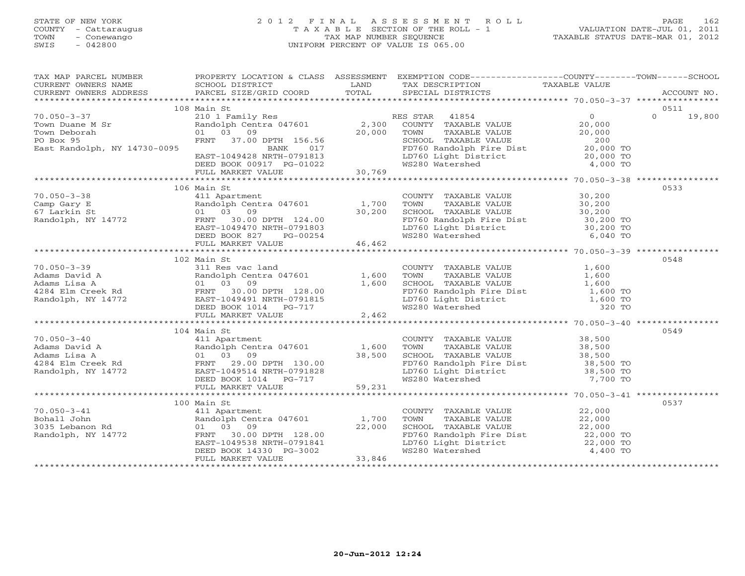# STATE OF NEW YORK 2 0 1 2 F I N A L A S S E S S M E N T R O L L PAGE 162 COUNTY - Cattaraugus T A X A B L E SECTION OF THE ROLL - 1 VALUATION DATE-JUL 01, 2011 TOWN - Conewango TAX MAP NUMBER SEQUENCE TAXABLE STATUS DATE-MAR 01, 2012 SWIS - 042800 UNIFORM PERCENT OF VALUE IS 065.00UNIFORM PERCENT OF VALUE IS 065.00

| TAX MAP PARCEL NUMBER                                                                                                                                                                                                                                                                                                                                                              | PROPERTY LOCATION & CLASS ASSESSMENT EXEMPTION CODE----------------COUNTY-------TOWN------SCHOOL |                                                                                                                                                                                                        |      |
|------------------------------------------------------------------------------------------------------------------------------------------------------------------------------------------------------------------------------------------------------------------------------------------------------------------------------------------------------------------------------------|--------------------------------------------------------------------------------------------------|--------------------------------------------------------------------------------------------------------------------------------------------------------------------------------------------------------|------|
|                                                                                                                                                                                                                                                                                                                                                                                    |                                                                                                  |                                                                                                                                                                                                        |      |
|                                                                                                                                                                                                                                                                                                                                                                                    |                                                                                                  |                                                                                                                                                                                                        |      |
|                                                                                                                                                                                                                                                                                                                                                                                    |                                                                                                  |                                                                                                                                                                                                        |      |
|                                                                                                                                                                                                                                                                                                                                                                                    | 108 Main St                                                                                      |                                                                                                                                                                                                        | 0511 |
|                                                                                                                                                                                                                                                                                                                                                                                    |                                                                                                  |                                                                                                                                                                                                        |      |
|                                                                                                                                                                                                                                                                                                                                                                                    |                                                                                                  |                                                                                                                                                                                                        |      |
|                                                                                                                                                                                                                                                                                                                                                                                    |                                                                                                  |                                                                                                                                                                                                        |      |
|                                                                                                                                                                                                                                                                                                                                                                                    |                                                                                                  |                                                                                                                                                                                                        |      |
|                                                                                                                                                                                                                                                                                                                                                                                    |                                                                                                  |                                                                                                                                                                                                        |      |
|                                                                                                                                                                                                                                                                                                                                                                                    |                                                                                                  |                                                                                                                                                                                                        |      |
|                                                                                                                                                                                                                                                                                                                                                                                    |                                                                                                  |                                                                                                                                                                                                        |      |
|                                                                                                                                                                                                                                                                                                                                                                                    |                                                                                                  |                                                                                                                                                                                                        |      |
|                                                                                                                                                                                                                                                                                                                                                                                    | 106 Main St                                                                                      |                                                                                                                                                                                                        | 0533 |
|                                                                                                                                                                                                                                                                                                                                                                                    |                                                                                                  |                                                                                                                                                                                                        |      |
|                                                                                                                                                                                                                                                                                                                                                                                    |                                                                                                  |                                                                                                                                                                                                        |      |
|                                                                                                                                                                                                                                                                                                                                                                                    |                                                                                                  |                                                                                                                                                                                                        |      |
| 70.050-3-38 $\begin{array}{l} \text{20.050-3-38} \\ \text{Camp Gary E} \\ \text{67 Larkin St} \\ \text{Random, NY 14772} \\ \text{Randolph, NY 14772} \\ \text{Randolph, NY 14772} \\ \text{RANT} \\ \text{20.00 DPTH} \\ \text{124.00} \\ \text{ERF-1049470 NRTH-0791803} \\ \text{DEED BOK 827} \\ \text{PG-00254} \\ \text{FINT} \\ \text{1,700} \\ \text{RST-1049470 NRTH-079$ |                                                                                                  | COUNTY TAXABLE VALUE<br>TOWN TAXABLE VALUE<br>SCHOOL TAXABLE VALUE<br>SCHOOL TAXABLE VALUE<br>TD760 Randolph Fire Dist<br>LD760 Light District<br>WS280 Watershed<br>S0,200 TO<br>6,040 TO<br>6,040 TO |      |
|                                                                                                                                                                                                                                                                                                                                                                                    |                                                                                                  |                                                                                                                                                                                                        |      |
|                                                                                                                                                                                                                                                                                                                                                                                    |                                                                                                  |                                                                                                                                                                                                        |      |
|                                                                                                                                                                                                                                                                                                                                                                                    |                                                                                                  |                                                                                                                                                                                                        |      |
|                                                                                                                                                                                                                                                                                                                                                                                    |                                                                                                  |                                                                                                                                                                                                        |      |
|                                                                                                                                                                                                                                                                                                                                                                                    | 102 Main St                                                                                      |                                                                                                                                                                                                        | 0548 |
|                                                                                                                                                                                                                                                                                                                                                                                    |                                                                                                  |                                                                                                                                                                                                        |      |
|                                                                                                                                                                                                                                                                                                                                                                                    |                                                                                                  |                                                                                                                                                                                                        |      |
|                                                                                                                                                                                                                                                                                                                                                                                    |                                                                                                  |                                                                                                                                                                                                        |      |
|                                                                                                                                                                                                                                                                                                                                                                                    |                                                                                                  |                                                                                                                                                                                                        |      |
|                                                                                                                                                                                                                                                                                                                                                                                    |                                                                                                  |                                                                                                                                                                                                        |      |
|                                                                                                                                                                                                                                                                                                                                                                                    |                                                                                                  |                                                                                                                                                                                                        |      |
|                                                                                                                                                                                                                                                                                                                                                                                    |                                                                                                  |                                                                                                                                                                                                        |      |
|                                                                                                                                                                                                                                                                                                                                                                                    |                                                                                                  |                                                                                                                                                                                                        |      |
|                                                                                                                                                                                                                                                                                                                                                                                    | 104 Main St                                                                                      |                                                                                                                                                                                                        | 0549 |
|                                                                                                                                                                                                                                                                                                                                                                                    |                                                                                                  |                                                                                                                                                                                                        |      |
|                                                                                                                                                                                                                                                                                                                                                                                    |                                                                                                  |                                                                                                                                                                                                        |      |
|                                                                                                                                                                                                                                                                                                                                                                                    |                                                                                                  |                                                                                                                                                                                                        |      |
|                                                                                                                                                                                                                                                                                                                                                                                    |                                                                                                  |                                                                                                                                                                                                        |      |
|                                                                                                                                                                                                                                                                                                                                                                                    |                                                                                                  |                                                                                                                                                                                                        |      |
|                                                                                                                                                                                                                                                                                                                                                                                    |                                                                                                  |                                                                                                                                                                                                        |      |
|                                                                                                                                                                                                                                                                                                                                                                                    |                                                                                                  |                                                                                                                                                                                                        |      |
|                                                                                                                                                                                                                                                                                                                                                                                    |                                                                                                  |                                                                                                                                                                                                        | 0537 |
|                                                                                                                                                                                                                                                                                                                                                                                    |                                                                                                  |                                                                                                                                                                                                        |      |
|                                                                                                                                                                                                                                                                                                                                                                                    |                                                                                                  |                                                                                                                                                                                                        |      |
|                                                                                                                                                                                                                                                                                                                                                                                    |                                                                                                  |                                                                                                                                                                                                        |      |
|                                                                                                                                                                                                                                                                                                                                                                                    |                                                                                                  |                                                                                                                                                                                                        |      |
|                                                                                                                                                                                                                                                                                                                                                                                    |                                                                                                  |                                                                                                                                                                                                        |      |
|                                                                                                                                                                                                                                                                                                                                                                                    |                                                                                                  | COUNTY TAXABLE VALUE<br>TOWN TAXABLE VALUE<br>SCHOOL TAXABLE VALUE<br>FD760 Randolph Fire Dist<br>LD760 Light District<br>WS280 Watershed<br>A 4,400 TO<br>TO<br>A 4,400 TO                            |      |
|                                                                                                                                                                                                                                                                                                                                                                                    |                                                                                                  |                                                                                                                                                                                                        |      |
|                                                                                                                                                                                                                                                                                                                                                                                    |                                                                                                  |                                                                                                                                                                                                        |      |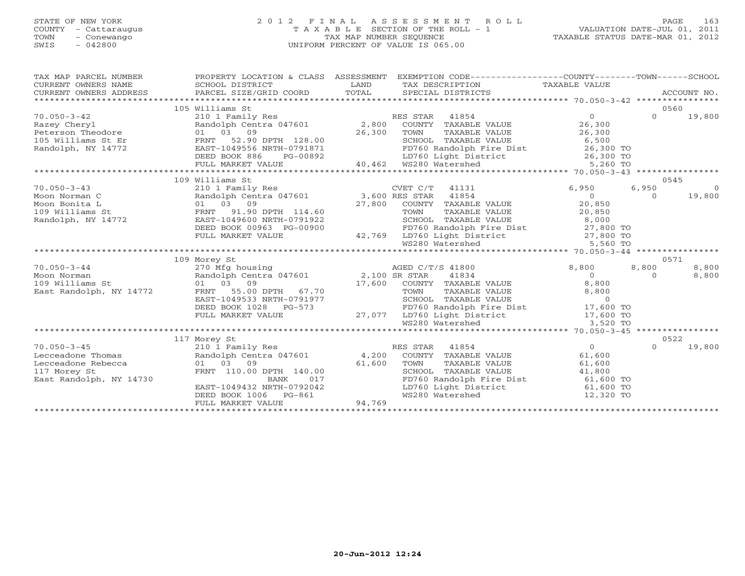# STATE OF NEW YORK 2 0 1 2 F I N A L A S S E S S M E N T R O L L PAGE 163 COUNTY - Cattaraugus T A X A B L E SECTION OF THE ROLL - 1 VALUATION DATE-JUL 01, 2011 TOWN - Conewango TAX MAP NUMBER SEQUENCE TAXABLE STATUS DATE-MAR 01, 2012 SWIS - 042800 UNIFORM PERCENT OF VALUE IS 065.00UNIFORM PERCENT OF VALUE IS 065.00

| TAX MAP PARCEL NUMBER<br>CURRENT OWNERS NAME<br>CURRENT OWNERS ADDRESS | PROPERTY LOCATION & CLASS ASSESSMENT<br>SCHOOL DISTRICT<br>PARCEL SIZE/GRID COORD | LAND<br>TOTAL | EXEMPTION CODE-----------------COUNTY-------TOWN------SCHOOL<br>TAX DESCRIPTION TAXABLE VALUE<br>SPECIAL DISTRICTS<br>SPECIAL DISTRICTS                                                                |                    |          | ACCOUNT NO. |
|------------------------------------------------------------------------|-----------------------------------------------------------------------------------|---------------|--------------------------------------------------------------------------------------------------------------------------------------------------------------------------------------------------------|--------------------|----------|-------------|
|                                                                        | 105 Williams St                                                                   |               |                                                                                                                                                                                                        |                    |          | 0560        |
| $70.050 - 3 - 42$<br>Razey Cheryl                                      | 210 1 Family Res<br>Randolph Centra 047601 2,800                                  |               | RES STAR 41854<br>ES STAR 41854<br>COUNTY TAXABLE VALUE                                                                                                                                                | $\Omega$<br>26,300 | $\Omega$ | 19,800      |
| Peterson Theodore<br>105 Williams St Er                                | 01 03 09<br>FRNT 52.90 DPTH 128.00                                                | 26,300        | TAXABLE VALUE<br>TOWN<br>SCHOOL TAXABLE VALUE                                                                                                                                                          | 26,300<br>6,500    |          |             |
| Randolph, NY 14772                                                     | EAST-1049556 NRTH-0791871<br>DEED BOOK 886<br>PG-00892<br>FULL MARKET VALUE       |               | FD760 Randolph Fire Dist 26,300 TO<br>LD760 Light District 26,300 TO<br>WS280 Watershed 5,260 TO<br>91871 FD760 Randolph F<br>00892 LD760 Light Dist<br>40,462 WS280 Watershed<br>LD760 Light District |                    |          |             |
|                                                                        |                                                                                   |               |                                                                                                                                                                                                        |                    |          |             |
|                                                                        | 109 Williams St                                                                   |               |                                                                                                                                                                                                        |                    |          | 0545        |
| $70.050 - 3 - 43$                                                      | 210 1 Family Res                                                                  |               | CVET C/T<br>41131                                                                                                                                                                                      | 6,950              | 6,950    | $\Omega$    |
| Moon Norman C                                                          | Randolph Centra 047601 3,600 RES STAR 41854                                       |               | 01 03 09<br>FRNT 91.90 DPTH 114.60 27,800 COUNTY TAXABLE VALUE<br>EAST-1049600 NRTH-0791922 5CHOOL TAXABLE VALUE<br>DEED ROOK 0043 DR 30041                                                            | $\overline{0}$     | $\Omega$ | 19,800      |
| Moon Bonita L                                                          |                                                                                   |               |                                                                                                                                                                                                        | 20,850             |          |             |
| 109 Williams St<br>Randolph, NY 14772                                  |                                                                                   |               | TAXABLE VALUE<br>TAXABLE VALUE 20,850<br>2000 8,000                                                                                                                                                    |                    |          |             |
|                                                                        | DEED BOOK 00963 PG-00900                                                          |               |                                                                                                                                                                                                        |                    |          |             |
|                                                                        | FULL MARKET VALUE                                                                 |               |                                                                                                                                                                                                        |                    |          |             |
|                                                                        |                                                                                   |               | $\frac{122}{120}$<br>$\frac{127}{100}$ FD760 Randolph Fire District<br>42,769 LD760 Light District<br>WS280 Watershed<br>WS280 Watershed                                                               |                    |          |             |
|                                                                        |                                                                                   |               |                                                                                                                                                                                                        |                    |          |             |
|                                                                        | 109 Morey St                                                                      |               |                                                                                                                                                                                                        |                    |          | 0571        |
| $70.050 - 3 - 44$                                                      | 270 Mfg housing<br>Randolph Centra 047601 2,100 SR STAR 41834                     |               |                                                                                                                                                                                                        | 8,800              | 8,800    | 8,800       |
| Moon Norman                                                            |                                                                                   |               |                                                                                                                                                                                                        | $\Omega$           | $\Omega$ | 8,800       |
| 109 Williams St                                                        | 01 03 09                                                                          |               | 17,600 COUNTY TAXABLE VALUE                                                                                                                                                                            | 8,800              |          |             |
| East Randolph, NY 14772                                                | FRNT 55.00 DPTH 67.70                                                             |               | TOWN<br>TAXABLE VALUE                                                                                                                                                                                  | 8,800              |          |             |
|                                                                        | EAST-1049533 NRTH-0791977<br>DEED BOOK 1028 PG-573                                |               | SCHOOL TAXABLE VALUE<br>FD760 Randolph Fire Dist                                                                                                                                                       | $\overline{0}$     |          |             |
|                                                                        | FULL MARKET VALUE                                                                 |               | 27,077 LD760 Light District 17,600 TO                                                                                                                                                                  | 17,600 TO          |          |             |
|                                                                        |                                                                                   |               | WS280 Watershed                                                                                                                                                                                        | 3,520 TO           |          |             |
|                                                                        |                                                                                   |               |                                                                                                                                                                                                        |                    |          |             |
|                                                                        | 117 Morey St                                                                      |               |                                                                                                                                                                                                        |                    |          | 0522        |
| $70.050 - 3 - 45$                                                      | 210 1 Family Res                                                                  |               | RES STAR<br>41854                                                                                                                                                                                      | $0 \qquad \qquad$  | $\Omega$ | 19,800      |
| Lecceadone Thomas                                                      | Randolph Centra 047601 4,200                                                      |               | COUNTY TAXABLE VALUE                                                                                                                                                                                   | 61,600             |          |             |
| Lecceadone Rebecca                                                     | 01 03 09                                                                          | 61,600        | TOWN<br>TAXABLE VALUE                                                                                                                                                                                  | 61,600             |          |             |
| 117 Morey St                                                           | FRNT 110.00 DPTH 140.00                                                           |               | SCHOOL TAXABLE VALUE                                                                                                                                                                                   | 41,800             |          |             |
| East Randolph, NY 14730                                                | <b>BANK</b><br>017                                                                |               | FD760 Randolph Fire Dist 61,600 TO                                                                                                                                                                     |                    |          |             |
|                                                                        | EAST-1049432 NRTH-0792042                                                         |               | LD760 Light District 61,600 TO                                                                                                                                                                         |                    |          |             |
|                                                                        | DEED BOOK 1006 PG-861<br>FULL MARKET VALUE                                        | 94,769        | WS280 Watershed                                                                                                                                                                                        | 12,320 TO          |          |             |
|                                                                        |                                                                                   |               |                                                                                                                                                                                                        |                    |          |             |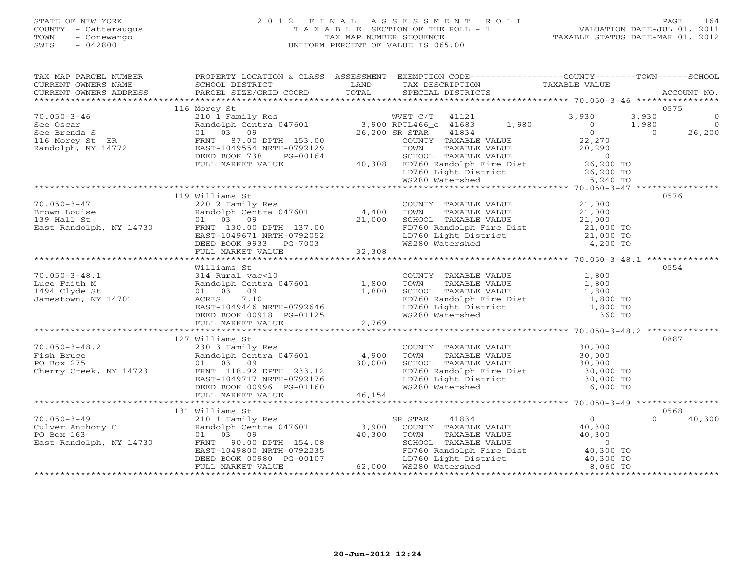# STATE OF NEW YORK 2 0 1 2 F I N A L A S S E S S M E N T R O L L PAGE 164 COUNTY - Cattaraugus T A X A B L E SECTION OF THE ROLL - 1 VALUATION DATE-JUL 01, 2011 TOWN - Conewango TAX MAP NUMBER SEQUENCE TAXABLE STATUS DATE-MAR 01, 2012 SWIS - 042800 UNIFORM PERCENT OF VALUE IS 065.00UNIFORM PERCENT OF VALUE IS 065.00

| CURRENT OWNERS NAME<br>CURRENT OWNERS ADDRESS<br>0575<br>116 Morey St<br>119 Williams St<br>0576<br>Williams St<br>0554<br>COUNTY TAXABLE VALUE 1,800<br>TOWN TAXABLE VALUE 1,800<br>SCHOOL TAXABLE VALUE 1,800<br>FD760 Randolph Fire Dist 1,800 TO<br>LD760 Light District 1,800 TO<br>WS280 Watershed 360 TO<br>70.050-3-48.1<br>Luce Faith M<br>1,800<br>1494 Clyde St<br>Jamestown, NY 14701<br>Randolph Centra 047601<br>2,769<br>2,769<br>1,800<br>EED BOOK 0918<br>PULL MARKET 7.10<br>EED BOOK 0918<br>PULL MARKET VALUE<br>TULL MARKET VALUE<br>FULL MARKET VALUE<br><br>0887<br>0568<br>131 Williams St<br>$\begin{tabular}{lllllllllllllllllllll} \hline 70.050-3-49 & 151~W1111auns & 5C & 5R & 5TAR & 41834 & 0 \\ & 210~1~Fami1y~Res & 5R & 5TAR & 41834 & 0 \\ \hline \text{Randolph, NY 14730} & \text{Randolph of RNT} & 3,900 & \text{COUNTY TAXABLE VALUE} & 40,300 \\ \text{PO Box 163} & 01 & 03 & 09 & 40,300 & \text{SCHOOL TAXABLE VALUE} & 40,300 \\ & 200$<br>40,300<br>01 03 09<br>FRNT 90.00 DPTH 154.08<br>EAST-1049800 NRTH-0792235<br>DEED BOOK 00980 PG-00107<br>FULL MARKET VALUE<br>FULL MARKET VALUE<br>FULL MARKET VALUE<br>FULL MARKET VALUE<br>FULL MARKET VALUE<br>FULL MARKET VALUE<br>FULL MARKET VALUE<br>FU | TAX MAP PARCEL NUMBER | PROPERTY LOCATION & CLASS ASSESSMENT EXEMPTION CODE----------------COUNTY-------TOWN------SCHOOL |  |  |  |
|---------------------------------------------------------------------------------------------------------------------------------------------------------------------------------------------------------------------------------------------------------------------------------------------------------------------------------------------------------------------------------------------------------------------------------------------------------------------------------------------------------------------------------------------------------------------------------------------------------------------------------------------------------------------------------------------------------------------------------------------------------------------------------------------------------------------------------------------------------------------------------------------------------------------------------------------------------------------------------------------------------------------------------------------------------------------------------------------------------------------------------------------------------------------------------------------------------------------------------------------------------|-----------------------|--------------------------------------------------------------------------------------------------|--|--|--|
|                                                                                                                                                                                                                                                                                                                                                                                                                                                                                                                                                                                                                                                                                                                                                                                                                                                                                                                                                                                                                                                                                                                                                                                                                                                         |                       |                                                                                                  |  |  |  |
|                                                                                                                                                                                                                                                                                                                                                                                                                                                                                                                                                                                                                                                                                                                                                                                                                                                                                                                                                                                                                                                                                                                                                                                                                                                         |                       |                                                                                                  |  |  |  |
|                                                                                                                                                                                                                                                                                                                                                                                                                                                                                                                                                                                                                                                                                                                                                                                                                                                                                                                                                                                                                                                                                                                                                                                                                                                         |                       |                                                                                                  |  |  |  |
|                                                                                                                                                                                                                                                                                                                                                                                                                                                                                                                                                                                                                                                                                                                                                                                                                                                                                                                                                                                                                                                                                                                                                                                                                                                         |                       |                                                                                                  |  |  |  |
|                                                                                                                                                                                                                                                                                                                                                                                                                                                                                                                                                                                                                                                                                                                                                                                                                                                                                                                                                                                                                                                                                                                                                                                                                                                         |                       |                                                                                                  |  |  |  |
|                                                                                                                                                                                                                                                                                                                                                                                                                                                                                                                                                                                                                                                                                                                                                                                                                                                                                                                                                                                                                                                                                                                                                                                                                                                         |                       |                                                                                                  |  |  |  |
|                                                                                                                                                                                                                                                                                                                                                                                                                                                                                                                                                                                                                                                                                                                                                                                                                                                                                                                                                                                                                                                                                                                                                                                                                                                         |                       |                                                                                                  |  |  |  |
|                                                                                                                                                                                                                                                                                                                                                                                                                                                                                                                                                                                                                                                                                                                                                                                                                                                                                                                                                                                                                                                                                                                                                                                                                                                         |                       |                                                                                                  |  |  |  |
|                                                                                                                                                                                                                                                                                                                                                                                                                                                                                                                                                                                                                                                                                                                                                                                                                                                                                                                                                                                                                                                                                                                                                                                                                                                         |                       |                                                                                                  |  |  |  |
|                                                                                                                                                                                                                                                                                                                                                                                                                                                                                                                                                                                                                                                                                                                                                                                                                                                                                                                                                                                                                                                                                                                                                                                                                                                         |                       |                                                                                                  |  |  |  |
|                                                                                                                                                                                                                                                                                                                                                                                                                                                                                                                                                                                                                                                                                                                                                                                                                                                                                                                                                                                                                                                                                                                                                                                                                                                         |                       |                                                                                                  |  |  |  |
|                                                                                                                                                                                                                                                                                                                                                                                                                                                                                                                                                                                                                                                                                                                                                                                                                                                                                                                                                                                                                                                                                                                                                                                                                                                         |                       |                                                                                                  |  |  |  |
|                                                                                                                                                                                                                                                                                                                                                                                                                                                                                                                                                                                                                                                                                                                                                                                                                                                                                                                                                                                                                                                                                                                                                                                                                                                         |                       |                                                                                                  |  |  |  |
|                                                                                                                                                                                                                                                                                                                                                                                                                                                                                                                                                                                                                                                                                                                                                                                                                                                                                                                                                                                                                                                                                                                                                                                                                                                         |                       |                                                                                                  |  |  |  |
|                                                                                                                                                                                                                                                                                                                                                                                                                                                                                                                                                                                                                                                                                                                                                                                                                                                                                                                                                                                                                                                                                                                                                                                                                                                         |                       |                                                                                                  |  |  |  |
|                                                                                                                                                                                                                                                                                                                                                                                                                                                                                                                                                                                                                                                                                                                                                                                                                                                                                                                                                                                                                                                                                                                                                                                                                                                         |                       |                                                                                                  |  |  |  |
|                                                                                                                                                                                                                                                                                                                                                                                                                                                                                                                                                                                                                                                                                                                                                                                                                                                                                                                                                                                                                                                                                                                                                                                                                                                         |                       |                                                                                                  |  |  |  |
|                                                                                                                                                                                                                                                                                                                                                                                                                                                                                                                                                                                                                                                                                                                                                                                                                                                                                                                                                                                                                                                                                                                                                                                                                                                         |                       |                                                                                                  |  |  |  |
|                                                                                                                                                                                                                                                                                                                                                                                                                                                                                                                                                                                                                                                                                                                                                                                                                                                                                                                                                                                                                                                                                                                                                                                                                                                         |                       |                                                                                                  |  |  |  |
|                                                                                                                                                                                                                                                                                                                                                                                                                                                                                                                                                                                                                                                                                                                                                                                                                                                                                                                                                                                                                                                                                                                                                                                                                                                         |                       |                                                                                                  |  |  |  |
|                                                                                                                                                                                                                                                                                                                                                                                                                                                                                                                                                                                                                                                                                                                                                                                                                                                                                                                                                                                                                                                                                                                                                                                                                                                         |                       |                                                                                                  |  |  |  |
|                                                                                                                                                                                                                                                                                                                                                                                                                                                                                                                                                                                                                                                                                                                                                                                                                                                                                                                                                                                                                                                                                                                                                                                                                                                         |                       |                                                                                                  |  |  |  |
|                                                                                                                                                                                                                                                                                                                                                                                                                                                                                                                                                                                                                                                                                                                                                                                                                                                                                                                                                                                                                                                                                                                                                                                                                                                         |                       |                                                                                                  |  |  |  |
|                                                                                                                                                                                                                                                                                                                                                                                                                                                                                                                                                                                                                                                                                                                                                                                                                                                                                                                                                                                                                                                                                                                                                                                                                                                         |                       |                                                                                                  |  |  |  |
|                                                                                                                                                                                                                                                                                                                                                                                                                                                                                                                                                                                                                                                                                                                                                                                                                                                                                                                                                                                                                                                                                                                                                                                                                                                         |                       |                                                                                                  |  |  |  |
|                                                                                                                                                                                                                                                                                                                                                                                                                                                                                                                                                                                                                                                                                                                                                                                                                                                                                                                                                                                                                                                                                                                                                                                                                                                         |                       |                                                                                                  |  |  |  |
|                                                                                                                                                                                                                                                                                                                                                                                                                                                                                                                                                                                                                                                                                                                                                                                                                                                                                                                                                                                                                                                                                                                                                                                                                                                         |                       |                                                                                                  |  |  |  |
|                                                                                                                                                                                                                                                                                                                                                                                                                                                                                                                                                                                                                                                                                                                                                                                                                                                                                                                                                                                                                                                                                                                                                                                                                                                         |                       |                                                                                                  |  |  |  |
|                                                                                                                                                                                                                                                                                                                                                                                                                                                                                                                                                                                                                                                                                                                                                                                                                                                                                                                                                                                                                                                                                                                                                                                                                                                         |                       |                                                                                                  |  |  |  |
|                                                                                                                                                                                                                                                                                                                                                                                                                                                                                                                                                                                                                                                                                                                                                                                                                                                                                                                                                                                                                                                                                                                                                                                                                                                         |                       |                                                                                                  |  |  |  |
|                                                                                                                                                                                                                                                                                                                                                                                                                                                                                                                                                                                                                                                                                                                                                                                                                                                                                                                                                                                                                                                                                                                                                                                                                                                         |                       |                                                                                                  |  |  |  |
|                                                                                                                                                                                                                                                                                                                                                                                                                                                                                                                                                                                                                                                                                                                                                                                                                                                                                                                                                                                                                                                                                                                                                                                                                                                         |                       |                                                                                                  |  |  |  |
|                                                                                                                                                                                                                                                                                                                                                                                                                                                                                                                                                                                                                                                                                                                                                                                                                                                                                                                                                                                                                                                                                                                                                                                                                                                         |                       |                                                                                                  |  |  |  |
|                                                                                                                                                                                                                                                                                                                                                                                                                                                                                                                                                                                                                                                                                                                                                                                                                                                                                                                                                                                                                                                                                                                                                                                                                                                         |                       |                                                                                                  |  |  |  |
|                                                                                                                                                                                                                                                                                                                                                                                                                                                                                                                                                                                                                                                                                                                                                                                                                                                                                                                                                                                                                                                                                                                                                                                                                                                         |                       |                                                                                                  |  |  |  |
|                                                                                                                                                                                                                                                                                                                                                                                                                                                                                                                                                                                                                                                                                                                                                                                                                                                                                                                                                                                                                                                                                                                                                                                                                                                         |                       |                                                                                                  |  |  |  |
|                                                                                                                                                                                                                                                                                                                                                                                                                                                                                                                                                                                                                                                                                                                                                                                                                                                                                                                                                                                                                                                                                                                                                                                                                                                         |                       |                                                                                                  |  |  |  |
|                                                                                                                                                                                                                                                                                                                                                                                                                                                                                                                                                                                                                                                                                                                                                                                                                                                                                                                                                                                                                                                                                                                                                                                                                                                         |                       |                                                                                                  |  |  |  |
|                                                                                                                                                                                                                                                                                                                                                                                                                                                                                                                                                                                                                                                                                                                                                                                                                                                                                                                                                                                                                                                                                                                                                                                                                                                         |                       |                                                                                                  |  |  |  |
|                                                                                                                                                                                                                                                                                                                                                                                                                                                                                                                                                                                                                                                                                                                                                                                                                                                                                                                                                                                                                                                                                                                                                                                                                                                         |                       |                                                                                                  |  |  |  |
|                                                                                                                                                                                                                                                                                                                                                                                                                                                                                                                                                                                                                                                                                                                                                                                                                                                                                                                                                                                                                                                                                                                                                                                                                                                         |                       |                                                                                                  |  |  |  |
|                                                                                                                                                                                                                                                                                                                                                                                                                                                                                                                                                                                                                                                                                                                                                                                                                                                                                                                                                                                                                                                                                                                                                                                                                                                         |                       |                                                                                                  |  |  |  |
|                                                                                                                                                                                                                                                                                                                                                                                                                                                                                                                                                                                                                                                                                                                                                                                                                                                                                                                                                                                                                                                                                                                                                                                                                                                         |                       |                                                                                                  |  |  |  |
|                                                                                                                                                                                                                                                                                                                                                                                                                                                                                                                                                                                                                                                                                                                                                                                                                                                                                                                                                                                                                                                                                                                                                                                                                                                         |                       |                                                                                                  |  |  |  |
|                                                                                                                                                                                                                                                                                                                                                                                                                                                                                                                                                                                                                                                                                                                                                                                                                                                                                                                                                                                                                                                                                                                                                                                                                                                         |                       |                                                                                                  |  |  |  |
|                                                                                                                                                                                                                                                                                                                                                                                                                                                                                                                                                                                                                                                                                                                                                                                                                                                                                                                                                                                                                                                                                                                                                                                                                                                         |                       |                                                                                                  |  |  |  |
|                                                                                                                                                                                                                                                                                                                                                                                                                                                                                                                                                                                                                                                                                                                                                                                                                                                                                                                                                                                                                                                                                                                                                                                                                                                         |                       |                                                                                                  |  |  |  |
|                                                                                                                                                                                                                                                                                                                                                                                                                                                                                                                                                                                                                                                                                                                                                                                                                                                                                                                                                                                                                                                                                                                                                                                                                                                         |                       |                                                                                                  |  |  |  |
|                                                                                                                                                                                                                                                                                                                                                                                                                                                                                                                                                                                                                                                                                                                                                                                                                                                                                                                                                                                                                                                                                                                                                                                                                                                         |                       |                                                                                                  |  |  |  |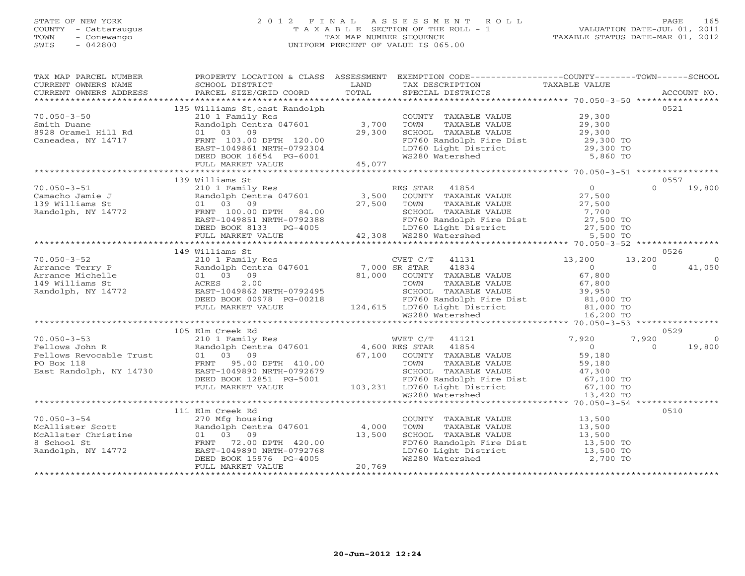# STATE OF NEW YORK 2 0 1 2 F I N A L A S S E S S M E N T R O L L PAGE 165 COUNTY - Cattaraugus T A X A B L E SECTION OF THE ROLL - 1 VALUATION DATE-JUL 01, 2011 TOWN - Conewango TAX MAP NUMBER SEQUENCE TAXABLE STATUS DATE-MAR 01, 2012 SWIS - 042800 UNIFORM PERCENT OF VALUE IS 065.00

| TAX MAP PARCEL NUMBER<br>TA PIE TAND TO THE TAND TO THE TAXING THE TANK CONTREST TO THE TAXING THE TAXING THE TAXING THE TAXING THE TAXING THE TAXING THE TAXING THE TAXING THE TAXING THE TAXING THE TAXING TAXING TAXING TAXING TAXING TAXING TAXING<br>CURRENT OWNERS ADDRESS |                                                                                                                                                                                                                                                | PROPERTY LOCATION & CLASS ASSESSMENT EXEMPTION CODE---------------COUNTY-------TOWN------SCHOOL                                                                        |                |                          |
|----------------------------------------------------------------------------------------------------------------------------------------------------------------------------------------------------------------------------------------------------------------------------------|------------------------------------------------------------------------------------------------------------------------------------------------------------------------------------------------------------------------------------------------|------------------------------------------------------------------------------------------------------------------------------------------------------------------------|----------------|--------------------------|
|                                                                                                                                                                                                                                                                                  |                                                                                                                                                                                                                                                |                                                                                                                                                                        |                |                          |
|                                                                                                                                                                                                                                                                                  | 135 Williams St, east Randolph                                                                                                                                                                                                                 |                                                                                                                                                                        |                | 0521                     |
| $70.050 - 3 - 50$                                                                                                                                                                                                                                                                |                                                                                                                                                                                                                                                | COUNTY TAXABLE VALUE 29,300                                                                                                                                            |                |                          |
|                                                                                                                                                                                                                                                                                  |                                                                                                                                                                                                                                                |                                                                                                                                                                        |                |                          |
| Smith Duane<br>8928 Oramel Hill Rd                                                                                                                                                                                                                                               |                                                                                                                                                                                                                                                | TOWN TAXABLE VALUE<br>TOWN TAXABLE VALUE<br>SCHOOL TAXABLE VALUE<br>TD760 Randolph Fire Dist<br>LD760 Light District<br>WS280 Watershed<br>WS280 Watershed<br>S,860 TO |                |                          |
| Caneadea, NY 14717                                                                                                                                                                                                                                                               |                                                                                                                                                                                                                                                |                                                                                                                                                                        |                |                          |
|                                                                                                                                                                                                                                                                                  |                                                                                                                                                                                                                                                |                                                                                                                                                                        |                |                          |
|                                                                                                                                                                                                                                                                                  |                                                                                                                                                                                                                                                |                                                                                                                                                                        |                |                          |
|                                                                                                                                                                                                                                                                                  |                                                                                                                                                                                                                                                |                                                                                                                                                                        |                |                          |
|                                                                                                                                                                                                                                                                                  | Williams Stream (COUNTY<br>210 1 Family Res<br>Randolph Centra 047601 3,700 TOWN<br>01 03 09<br>FRNT 103.00 DPTH 120.00 FD760 Re<br>EAST-1049861 NRTH-0792304 LD760 Li<br>DEED BOOK 16654 PG-6001 WS280 WK<br>FULL MARKET VALUE 45,077<br>PULL |                                                                                                                                                                        |                |                          |
|                                                                                                                                                                                                                                                                                  | 139 Williams St                                                                                                                                                                                                                                |                                                                                                                                                                        |                | 0557                     |
| $70.050 - 3 - 51$                                                                                                                                                                                                                                                                |                                                                                                                                                                                                                                                |                                                                                                                                                                        | $\overline{0}$ | $0 \t 19,800$            |
| Camacho Jamie J<br>Camacho Jamie J<br>139 Williams St<br>Randolph, NY 14772<br>FRNT 100.00<br>FRNT 100.00                                                                                                                                                                        |                                                                                                                                                                                                                                                |                                                                                                                                                                        |                |                          |
|                                                                                                                                                                                                                                                                                  |                                                                                                                                                                                                                                                |                                                                                                                                                                        |                |                          |
|                                                                                                                                                                                                                                                                                  |                                                                                                                                                                                                                                                |                                                                                                                                                                        |                |                          |
|                                                                                                                                                                                                                                                                                  |                                                                                                                                                                                                                                                |                                                                                                                                                                        |                |                          |
|                                                                                                                                                                                                                                                                                  |                                                                                                                                                                                                                                                |                                                                                                                                                                        |                |                          |
|                                                                                                                                                                                                                                                                                  |                                                                                                                                                                                                                                                |                                                                                                                                                                        |                |                          |
|                                                                                                                                                                                                                                                                                  |                                                                                                                                                                                                                                                |                                                                                                                                                                        |                |                          |
|                                                                                                                                                                                                                                                                                  | 149 Williams St                                                                                                                                                                                                                                |                                                                                                                                                                        |                | 0526                     |
| $70.050 - 3 - 52$                                                                                                                                                                                                                                                                |                                                                                                                                                                                                                                                |                                                                                                                                                                        |                | 13,200<br>$\overline{0}$ |
|                                                                                                                                                                                                                                                                                  |                                                                                                                                                                                                                                                |                                                                                                                                                                        |                | $\Omega$<br>41,050       |
|                                                                                                                                                                                                                                                                                  |                                                                                                                                                                                                                                                |                                                                                                                                                                        |                |                          |
|                                                                                                                                                                                                                                                                                  |                                                                                                                                                                                                                                                |                                                                                                                                                                        |                |                          |
|                                                                                                                                                                                                                                                                                  |                                                                                                                                                                                                                                                |                                                                                                                                                                        |                |                          |
|                                                                                                                                                                                                                                                                                  |                                                                                                                                                                                                                                                |                                                                                                                                                                        |                |                          |
|                                                                                                                                                                                                                                                                                  |                                                                                                                                                                                                                                                |                                                                                                                                                                        |                |                          |
|                                                                                                                                                                                                                                                                                  | Williams St<br>210 1 Family Res<br>Randolph Centra 047601 7,000 SR STAR 41834 0<br>21,000 COUNTY TAXABLE VALUE 67,800<br>21,000 COUNTY TAXABLE VALUE 67,800<br>21,000 COUNTY TAXABLE VALUE 67,800<br>22.00 TOWN TAXABLE VALUE 67,800<br>23,9   |                                                                                                                                                                        |                |                          |
|                                                                                                                                                                                                                                                                                  | 105 Elm Creek Rd                                                                                                                                                                                                                               |                                                                                                                                                                        |                | 0529                     |
|                                                                                                                                                                                                                                                                                  |                                                                                                                                                                                                                                                |                                                                                                                                                                        |                | 7,920<br>$\overline{0}$  |
|                                                                                                                                                                                                                                                                                  |                                                                                                                                                                                                                                                |                                                                                                                                                                        |                | 19,800<br>$\overline{0}$ |
|                                                                                                                                                                                                                                                                                  |                                                                                                                                                                                                                                                |                                                                                                                                                                        |                |                          |
|                                                                                                                                                                                                                                                                                  |                                                                                                                                                                                                                                                |                                                                                                                                                                        |                |                          |
|                                                                                                                                                                                                                                                                                  |                                                                                                                                                                                                                                                |                                                                                                                                                                        |                |                          |
|                                                                                                                                                                                                                                                                                  |                                                                                                                                                                                                                                                |                                                                                                                                                                        |                |                          |
|                                                                                                                                                                                                                                                                                  |                                                                                                                                                                                                                                                |                                                                                                                                                                        |                |                          |
|                                                                                                                                                                                                                                                                                  |                                                                                                                                                                                                                                                |                                                                                                                                                                        |                |                          |
|                                                                                                                                                                                                                                                                                  |                                                                                                                                                                                                                                                |                                                                                                                                                                        |                |                          |
|                                                                                                                                                                                                                                                                                  | 111 Elm Creek Rd                                                                                                                                                                                                                               |                                                                                                                                                                        |                | 0510                     |
|                                                                                                                                                                                                                                                                                  |                                                                                                                                                                                                                                                | COUNTY TAXABLE VALUE 13,500                                                                                                                                            |                |                          |
|                                                                                                                                                                                                                                                                                  |                                                                                                                                                                                                                                                | TOWN TAXABLE VALUE 13,500<br>SCHOOL TAXABLE VALUE 13,500<br>FD760 Randolph Fire Dist 13,500 TO<br>LD760 Light District 13,500 TO<br>13,500 TO<br>13,500 TO             |                |                          |
|                                                                                                                                                                                                                                                                                  |                                                                                                                                                                                                                                                |                                                                                                                                                                        |                |                          |
|                                                                                                                                                                                                                                                                                  |                                                                                                                                                                                                                                                |                                                                                                                                                                        |                |                          |
|                                                                                                                                                                                                                                                                                  |                                                                                                                                                                                                                                                |                                                                                                                                                                        |                |                          |
|                                                                                                                                                                                                                                                                                  |                                                                                                                                                                                                                                                | WS280 Watershed                                                                                                                                                        | 2,700 TO       |                          |
| 70.050-3-54<br>McAllister Scott Randolph Centra 047601 4,000<br>McAllster Christine 01 03 09 13,500<br>8 School St FRNT 72.00 DPTH 420.00<br>Randolph, NY 14772 EAST-1049890 NRTH-0792768<br>DEED BOOK 15976 PG-4005<br>THE MADKET VALUE                                         |                                                                                                                                                                                                                                                |                                                                                                                                                                        |                |                          |
|                                                                                                                                                                                                                                                                                  |                                                                                                                                                                                                                                                |                                                                                                                                                                        |                |                          |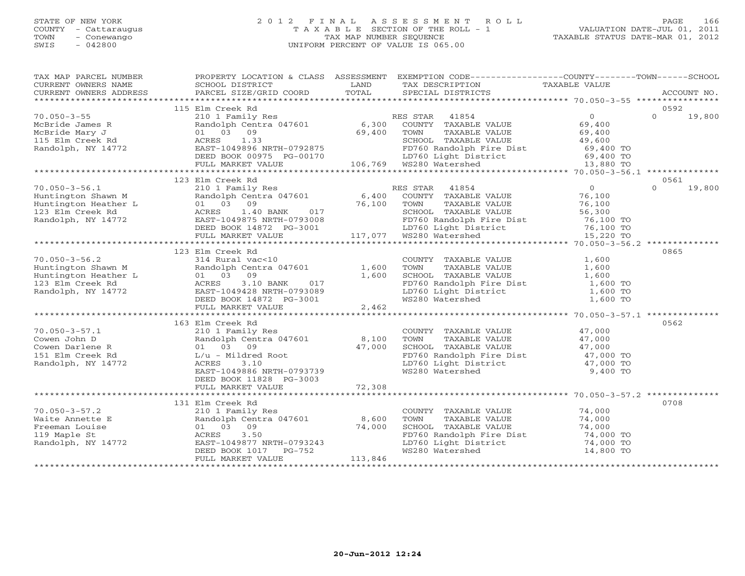# STATE OF NEW YORK 2 0 1 2 F I N A L A S S E S S M E N T R O L L PAGE 166 COUNTY - Cattaraugus T A X A B L E SECTION OF THE ROLL - 1 VALUATION DATE-JUL 01, 2011 TOWN - Conewango TAX MAP NUMBER SEQUENCE TAXABLE STATUS DATE-MAR 01, 2012 SWIS - 042800 UNIFORM PERCENT OF VALUE IS 065.00UNIFORM PERCENT OF VALUE IS 065.00

| TAX MAP PARCEL NUMBER<br>CURRENT OWNERS NAME<br>CURRENT OWNERS ADDRESS                                                            | SCHOOL DISTRICT<br>PARCEL SIZE/GRID COORD                                                                                                                                                                               | LAND<br>TOTAL           | PROPERTY LOCATION & CLASS ASSESSMENT EXEMPTION CODE----------------COUNTY-------TOWN------SCHOOL<br>TAX DESCRIPTION TAXABLE VALUE<br>SPECIAL DISTRICTS                                                                                                                                                             |                                              | ACCOUNT NO.        |
|-----------------------------------------------------------------------------------------------------------------------------------|-------------------------------------------------------------------------------------------------------------------------------------------------------------------------------------------------------------------------|-------------------------|--------------------------------------------------------------------------------------------------------------------------------------------------------------------------------------------------------------------------------------------------------------------------------------------------------------------|----------------------------------------------|--------------------|
|                                                                                                                                   | 115 Elm Creek Rd                                                                                                                                                                                                        |                         |                                                                                                                                                                                                                                                                                                                    |                                              | 0592               |
| $70.050 - 3 - 55$<br>McBride James R<br>McBride Mary J<br>115 Elm Creek Rd<br>Randolph, NY 14772                                  | 210 1 Family Res<br>Randolph Centra 047601<br>01 03 09<br>ACRES 1.33<br>EAST-1049896 NRTH-0792875<br>DEED BOOK 00975 PG-00170<br>FULL MARKET VALUE                                                                      | 6,300<br>69,400         | RES STAR 41854<br>COUNTY TAXABLE VALUE<br>TOWN<br>TAXABLE VALUE<br>SCHOOL TAXABLE VALUE $\begin{array}{ccc} 49,600 \\ \text{FD760 Random Dirac field} & 49,600 \\ \text{LD760 Light District} & 69,400 T0 \\ \text{WS280 Watershed} & 13,880 T0 \end{array}$<br>00170 LD760 Light Dist.<br>106,769 WS280 Watershed | $\overline{0}$<br>69,400<br>69,400           | $\Omega$<br>19,800 |
|                                                                                                                                   | 123 Elm Creek Rd                                                                                                                                                                                                        |                         |                                                                                                                                                                                                                                                                                                                    |                                              | 0561               |
| $70.050 - 3 - 56.1$<br>Huntington Shawn M<br>Huntington Heather L<br>123 Elm Creek Rd<br>Randolph, NY 14772                       | 210 1 Family Res<br>R 10 1 Family Res<br>Randolph Centra 047601      6,400<br>01  03  09         76,100<br>01 03 09<br>ACRES 1.40 BANK 017<br>EAST-1049875 NRTH-0793008<br>DEED BOOK 14872 PG-3001<br>FULL MARKET VALUE | 76,100                  | RES STAR<br>41854<br>COUNTY TAXABLE VALUE<br>TOWN<br>TAXABLE VALUE<br>SCHOOL TAXABLE VALUE<br>ED760 Randolph Fire Dist<br>ID760 Light District<br>WS280 Watershed 15,220 TO<br>9008 FD760 Randolph F تراول FD760 Randolph<br>D760 Light Dist LD760 Light Dist                                                      | $\overline{0}$<br>76,100<br>76,100<br>56,300 | $\Omega$<br>19,800 |
|                                                                                                                                   |                                                                                                                                                                                                                         |                         |                                                                                                                                                                                                                                                                                                                    |                                              |                    |
| $70.050 - 3 - 56.2$<br>Funtington Shawn M<br>Huntington Heather L<br>123 Elm Creek Rd<br>Randolph, NY 14772<br>Randolph, NY 14772 | 123 Elm Creek Rd<br>314 Rural vac<10<br>Randolph Centra 047601<br>09<br>01 03<br>3.10 BANK<br>ACRES<br>017<br>EAST-1049428 NRTH-0793089<br>DEED BOOK 14872 PG-3001<br>FULL MARKET VALUE                                 | 1,600<br>1,600<br>2,462 | COUNTY TAXABLE VALUE<br>TOWN TAXABLE VALUE<br>TOWN TAXABLE VALUE<br>SCHOOL TAXABLE VALUE<br>TOWN TAXABLE VALUE<br>1,600<br>FD760 Randolph Fire Dist<br>LD760 Light District<br>LD760 Light District<br>1,600 TO<br>MS280 Watershed<br>1,600 TO<br>1,600 TO                                                         | 1,600                                        | 0865               |
|                                                                                                                                   | 163 Elm Creek Rd                                                                                                                                                                                                        |                         |                                                                                                                                                                                                                                                                                                                    |                                              | 0562               |
| $70.050 - 3 - 57.1$<br>Cowen John D<br>Cowen Darlene R<br>151 Elm Creek Rd<br>Randolph, NY 14772                                  | 210 1 Family Res<br>Randolph Centra 047601<br>01 03 09<br>L/u - Mildred Root<br>ACRES<br>3.10<br>EAST-1049886 NRTH-0793739                                                                                              | 8,100<br>47,000         | COUNTY TAXABLE VALUE<br>TAXABLE VALUE<br>TOWN<br>SCHOOL TAXABLE VALUE<br>FD760 Randolph Fire Dist 47,000 TO<br>LD760 Light District 47,000 TO<br>WS280 Watershed                                                                                                                                                   | 47,000<br>47,000<br>47,000<br>9,400 TO       |                    |
|                                                                                                                                   | DEED BOOK 11828 PG-3003<br>FULL MARKET VALUE                                                                                                                                                                            | 72,308                  |                                                                                                                                                                                                                                                                                                                    |                                              |                    |
|                                                                                                                                   |                                                                                                                                                                                                                         |                         |                                                                                                                                                                                                                                                                                                                    |                                              |                    |
| $70.050 - 3 - 57.2$<br>Waite Annette E<br>Freeman Louise<br>119 Maple St<br>Randolph, NY 14772                                    | 131 Elm Creek Rd<br>210 1 Family Res<br>Randolph Centra 047601 8,600<br>01 03 09<br>3.50<br>ACRES<br>EAST-1049877 NRTH-0793243<br>DEED BOOK 1017 PG-752<br>FULL MARKET VALUE                                            | 74,000<br>113,846       | COUNTY TAXABLE VALUE<br>TOWN<br>TAXABLE VALUE<br>SCHOOL TAXABLE VALUE<br>FD760 Randolph Fire Dist<br>LD760 Light District 74,000 TO<br>We280 Watershed 14,800 TO                                                                                                                                                   | 74,000<br>74,000<br>74,000                   | 0708               |
|                                                                                                                                   |                                                                                                                                                                                                                         |                         |                                                                                                                                                                                                                                                                                                                    |                                              |                    |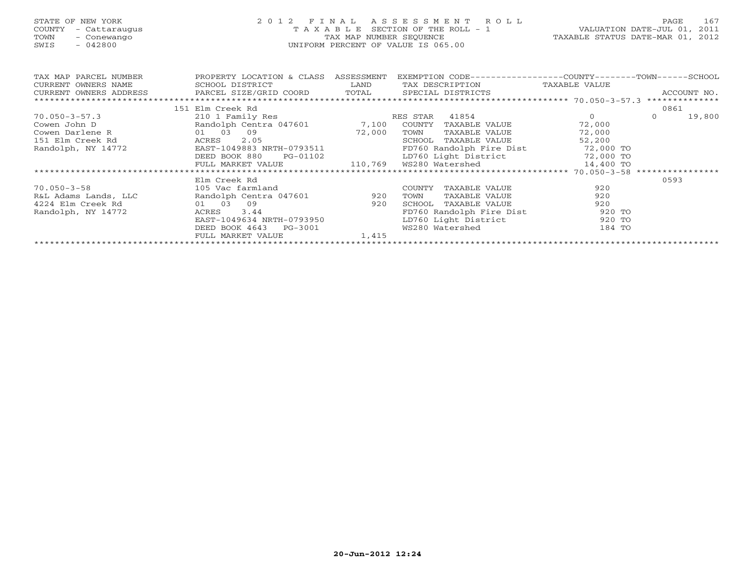# STATE OF NEW YORK 2 0 1 2 F I N A L A S S E S S M E N T R O L L PAGE 167 COUNTY - Cattaraugus T A X A B L E SECTION OF THE ROLL - 1 VALUATION DATE-JUL 01, 2011 TOWN - Conewango TAX MAP NUMBER SEQUENCE TAXABLE STATUS DATE-MAR 01, 2012 SWIS - 042800 UNIFORM PERCENT OF VALUE IS 065.00UNIFORM PERCENT OF VALUE IS 065.00

| TAX MAP PARCEL NUMBER<br>CURRENT OWNERS NAME | PROPERTY LOCATION & CLASS<br>SCHOOL DISTRICT   | ASSESSMENT<br>LAND | EXEMPTION CODE-----------------COUNTY-------TOWN------SCHOOL<br>TAX DESCRIPTION | TAXABLE VALUE  |         |                |
|----------------------------------------------|------------------------------------------------|--------------------|---------------------------------------------------------------------------------|----------------|---------|----------------|
| CURRENT OWNERS ADDRESS                       | PARCEL SIZE/GRID COORD TOTAL SPECIAL DISTRICTS |                    |                                                                                 |                |         | ACCOUNT NO.    |
|                                              |                                                |                    |                                                                                 |                |         | ************** |
|                                              | 151 Elm Creek Rd                               |                    |                                                                                 |                | 0861    |                |
| $70.050 - 3 - 57.3$                          | 210 1 Family Res                               |                    | 41854<br>RES STAR                                                               | $\overline{0}$ | $\circ$ | 19,800         |
| Cowen John D                                 | Randolph Centra 047601 7,100                   |                    | COUNTY<br>TAXABLE VALUE                                                         | 72,000         |         |                |
| 01 03<br>Cowen Darlene R                     | 09                                             | 72,000             | TOWN<br>TAXABLE VALUE                                                           | 72,000         |         |                |
| 151 Elm Creek Rd                             | 2.05<br>ACRES                                  |                    | SCHOOL<br>TAXABLE VALUE                                                         | 52,200         |         |                |
| Randolph, NY 14772                           | EAST-1049883 NRTH-0793511                      |                    | FD760 Randolph Fire Dist 72,000 TO                                              |                |         |                |
|                                              | DEED BOOK 880<br>PG-01102                      |                    | LD760 Light District 72,000 TO                                                  |                |         |                |
|                                              | FULL MARKET VALUE                              |                    |                                                                                 |                |         |                |
|                                              |                                                |                    |                                                                                 |                |         |                |
|                                              | Elm Creek Rd                                   |                    |                                                                                 |                | 0593    |                |
| $70.050 - 3 - 58$                            | 105 Vac farmland                               |                    | COUNTY<br>TAXABLE VALUE                                                         | 920            |         |                |
| R&L Adams Lands, LLC                         | Randolph Centra 047601 920                     |                    | TOWN<br>TAXABLE VALUE                                                           | 920            |         |                |
| 4224 Elm Creek Rd                            | 01 03<br>09                                    | 920                | TAXABLE VALUE<br>SCHOOL                                                         | 920            |         |                |
| Randolph, NY 14772                           | 3.44<br>ACRES                                  |                    | FD760 Randolph Fire Dist                                                        | 920 TO         |         |                |
|                                              | EAST-1049634 NRTH-0793950                      |                    | LD760 Light District                                                            | 920 TO         |         |                |
|                                              | DEED BOOK 4643<br>PG-3001                      |                    | WS280 Watershed                                                                 | 184 TO         |         |                |
|                                              | FULL MARKET VALUE                              | 1,415              |                                                                                 |                |         |                |
|                                              |                                                |                    |                                                                                 |                |         |                |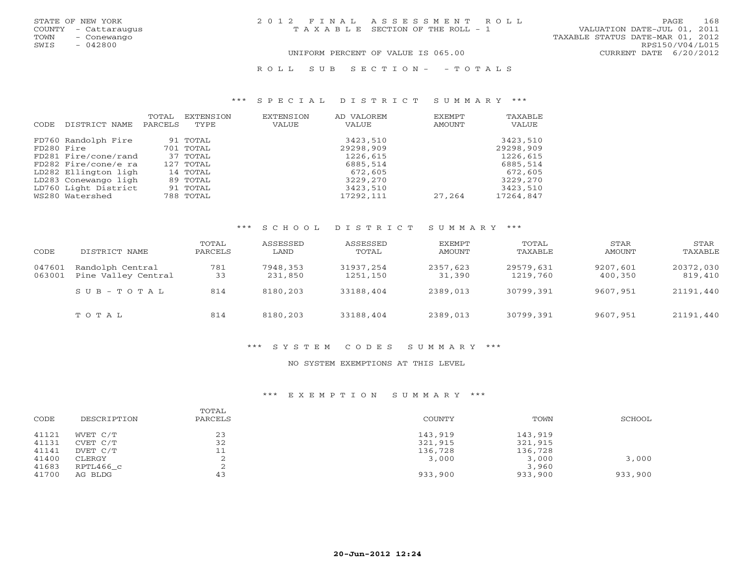| STATE OF NEW YORK    | 2012 FINAL ASSESSMENT ROLL         | 168<br><b>PAGE</b>               |
|----------------------|------------------------------------|----------------------------------|
| COUNTY - Cattaraugus | TAXABLE SECTION OF THE ROLL - 1    | VALUATION DATE-JUL 01, 2011      |
| TOWN<br>- Conewango  |                                    | TAXABLE STATUS DATE-MAR 01, 2012 |
| SWIS<br>- 042800     |                                    | RPS150/V04/L015                  |
|                      | UNIFORM PERCENT OF VALUE IS 065.00 | CURRENT DATE 6/20/2012           |
|                      |                                    |                                  |

#### R O L L S U B S E C T I O N - - T O T A L S

#### \*\*\* S P E C I A L D I S T R I C T S U M M A R Y \*\*\*

|            |                      | TOTAL   | EXTENSION | EXTENSION | AD VALOREM | EXEMPT | TAXABLE   |
|------------|----------------------|---------|-----------|-----------|------------|--------|-----------|
| CODE       | DISTRICT NAME        | PARCELS | TYPE      | VALUE     | VALUE      | AMOUNT | VALUE     |
|            |                      |         |           |           |            |        |           |
|            | FD760 Randolph Fire  |         | 91 TOTAL  |           | 3423,510   |        | 3423,510  |
| FD280 Fire |                      |         | 701 TOTAL |           | 29298,909  |        | 29298,909 |
|            | FD281 Fire/cone/rand |         | 37 TOTAL  |           | 1226,615   |        | 1226,615  |
|            | FD282 Fire/cone/e ra |         | 127 TOTAL |           | 6885,514   |        | 6885,514  |
|            | LD282 Ellington ligh |         | 14 TOTAL  |           | 672,605    |        | 672,605   |
|            | LD283 Conewango ligh |         | 89 TOTAL  |           | 3229,270   |        | 3229,270  |
|            | LD760 Light District |         | 91 TOTAL  |           | 3423,510   |        | 3423,510  |
|            | WS280 Watershed      |         | 788 TOTAL |           | 17292,111  | 27,264 | 17264,847 |

#### \*\*\* S C H O O L D I S T R I C T S U M M A R Y \*\*\*

| CODE             | DISTRICT NAME                           | TOTAL<br>PARCELS | ASSESSED<br>LAND    | ASSESSED<br>TOTAL     | EXEMPT<br>AMOUNT   | TOTAL<br>TAXABLE      | STAR<br>AMOUNT      | STAR<br>TAXABLE      |
|------------------|-----------------------------------------|------------------|---------------------|-----------------------|--------------------|-----------------------|---------------------|----------------------|
| 047601<br>063001 | Randolph Central<br>Pine Valley Central | 781<br>33        | 7948,353<br>231,850 | 31937,254<br>1251,150 | 2357,623<br>31,390 | 29579,631<br>1219,760 | 9207,601<br>400,350 | 20372,030<br>819,410 |
|                  | $S \cup B - T \cup T A L$               | 814              | 8180,203            | 33188,404             | 2389,013           | 30799,391             | 9607,951            | 21191,440            |
|                  | TOTAL                                   | 814              | 8180,203            | 33188,404             | 2389,013           | 30799,391             | 9607,951            | 21191,440            |

#### \*\*\* S Y S T E M C O D E S S U M M A R Y \*\*\*

#### NO SYSTEM EXEMPTIONS AT THIS LEVEL

#### \*\*\* E X E M P T I O N S U M M A R Y \*\*\*

| CODE  | DESCRIPTION | TOTAL<br>PARCELS | COUNTY  | TOWN    | SCHOOL  |
|-------|-------------|------------------|---------|---------|---------|
| 41121 | WVET C/T    | 23               | 143,919 | 143,919 |         |
| 41131 | CVET C/T    | 32               | 321,915 | 321,915 |         |
| 41141 | DVET C/T    | 11<br>ــ ــ      | 136,728 | 136,728 |         |
| 41400 | CLERGY      | ∠                | 3,000   | 3,000   | 3,000   |
| 41683 | RPTL466 c   |                  |         | 3,960   |         |
| 41700 | AG BLDG     | 43               | 933,900 | 933,900 | 933,900 |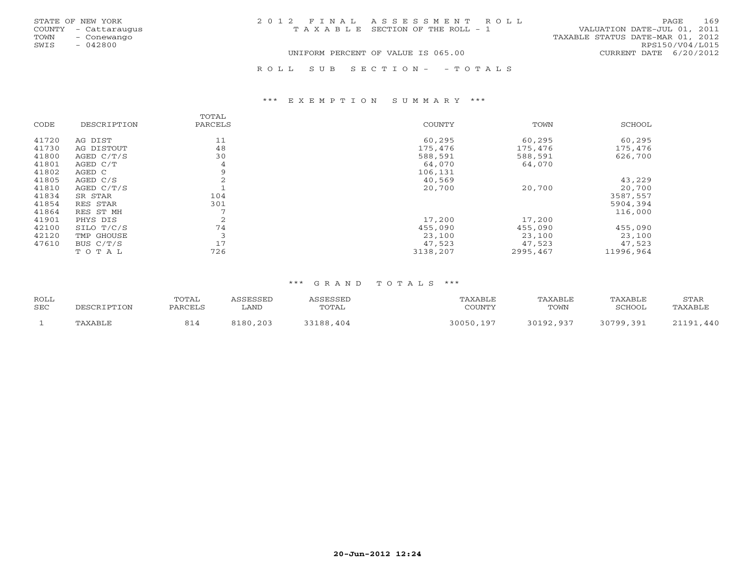|      | STATE OF NEW YORK    | 2012 FINAL ASSESSMENT ROLL            | 169<br>PAGE                      |
|------|----------------------|---------------------------------------|----------------------------------|
|      | COUNTY - Cattaraugus | T A X A B L E SECTION OF THE ROLL - 1 | VALUATION DATE-JUL 01, 2011      |
| TOWN | - Conewango          |                                       | TAXABLE STATUS DATE-MAR 01, 2012 |
| SWIS | $-042800$            |                                       | RPS150/V04/L015                  |
|      |                      | UNIFORM PERCENT OF VALUE IS 065.00    | CURRENT DATE 6/20/2012           |
|      |                      | ROLL SUB SECTION- - TOTALS            |                                  |

#### \*\*\* E X E M P T I O N S U M M A R Y \*\*\*

| CODE  | DESCRIPTION | TOTAL<br>PARCELS | COUNTY   | TOWN     | SCHOOL    |
|-------|-------------|------------------|----------|----------|-----------|
| 41720 | AG DIST     | 11               | 60,295   | 60,295   | 60,295    |
| 41730 | AG DISTOUT  | 48               | 175,476  | 175,476  | 175,476   |
| 41800 | AGED C/T/S  | 30               | 588,591  | 588,591  | 626,700   |
| 41801 | AGED C/T    | 4                | 64,070   | 64,070   |           |
| 41802 | AGED C      | 9                | 106,131  |          |           |
| 41805 | AGED C/S    | 2                | 40,569   |          | 43,229    |
| 41810 | AGED C/T/S  |                  | 20,700   | 20,700   | 20,700    |
| 41834 | SR STAR     | 104              |          |          | 3587,557  |
| 41854 | RES STAR    | 301              |          |          | 5904,394  |
| 41864 | RES ST MH   | $\overline{ }$   |          |          | 116,000   |
| 41901 | PHYS DIS    | 2                | 17,200   | 17,200   |           |
| 42100 | SILO T/C/S  | 74               | 455,090  | 455,090  | 455,090   |
| 42120 | TMP GHOUSE  | 3                | 23,100   | 23,100   | 23,100    |
| 47610 | BUS $C/T/S$ | 17               | 47,523   | 47,523   | 47,523    |
|       | TOTAL       | 726              | 3138,207 | 2995,467 | 11996,964 |

#### \*\*\* G R A N D T O T A L S \*\*\*

| <b>ROLL</b> | DESCRIPTION | TOTAL   | ASSESSED    | ASSESSED  | TAXABLE   | TAXABLE   | TAXABLE   | STAR      |
|-------------|-------------|---------|-------------|-----------|-----------|-----------|-----------|-----------|
| <b>SEC</b>  |             | PARCELS | <b>LAND</b> | TOTAL     | COUNTY    | TOWN      | SCHOOL    | TAXABLE   |
|             | TAXABLE     |         | 8180,203    | 33188,404 | 30050,197 | 30192,937 | 30799,391 | 21191,440 |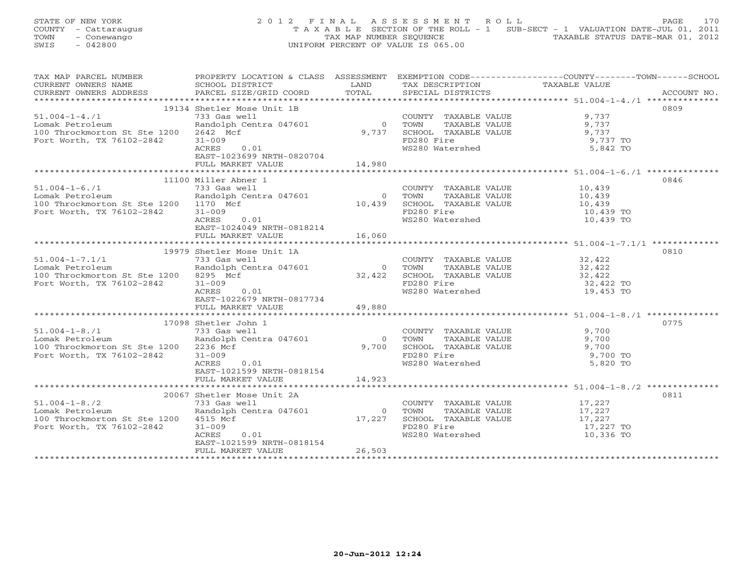STATE OF NEW YORK 2 0 1 2 F I N A L A S S E S S M E N T R O L L PAGE 170 COUNTY - Cattaraugus T A X A B L E SECTION OF THE ROLL - 1 SUB-SECT - 1 VALUATION DATE-JUL 01, 2011 TOWN - Conewango TAX MAP NUMBER SEQUENCE TAXABLE STATUS DATE-MAR 01, 2012<br>
SWIS - 042800 TAXABLE STATUS DATE-MAR 01, 2012 SWIS - 042800 UNIFORM PERCENT OF VALUE IS 065.00

| TAX MAP PARCEL NUMBER                         |                                                                                                                                                          |                |                                                                                                             | PROPERTY LOCATION & CLASS ASSESSMENT EXEMPTION CODE---------------COUNTY-------TOWN-----SCHOOL |             |
|-----------------------------------------------|----------------------------------------------------------------------------------------------------------------------------------------------------------|----------------|-------------------------------------------------------------------------------------------------------------|------------------------------------------------------------------------------------------------|-------------|
| CURRENT OWNERS NAME                           | SCHOOL DISTRICT                                                                                                                                          | LAND           | TAX DESCRIPTION                                                                                             | TAXABLE VALUE                                                                                  |             |
| CURRENT OWNERS ADDRESS PARCEL SIZE/GRID COORD |                                                                                                                                                          | TOTAL          | SPECIAL DISTRICTS                                                                                           |                                                                                                | ACCOUNT NO. |
|                                               |                                                                                                                                                          |                |                                                                                                             |                                                                                                |             |
|                                               | 19134 Shetler Mose Unit 1B                                                                                                                               |                |                                                                                                             |                                                                                                | 0809        |
| $51.004 - 1 - 4.71$                           | 733 Gas well                                                                                                                                             |                |                                                                                                             | 9,737                                                                                          |             |
|                                               | Provided by the COUNTRandolph Centra 047601 (2000)                                                                                                       |                | COUNTY TAXABLE VALUE 9,737<br>TOWN      TAXABLE VALUE 9,737                                                 |                                                                                                |             |
| Lomak Petroleum                               |                                                                                                                                                          |                |                                                                                                             |                                                                                                |             |
| 100 Throckmorton St Ste 1200 2642 Mcf         |                                                                                                                                                          | 9,737          |                                                                                                             |                                                                                                |             |
| Fort Worth, TX 76102-2842                     | $31 - 009$                                                                                                                                               |                | SCHOOL TAXABLE VALUE<br>FORMOOL TAXABLE VALUE 5,737<br>FD280 Fire 9,737 TO<br>FD280 Fire<br>WS280 Watershed |                                                                                                |             |
|                                               | 0.01<br>ACRES                                                                                                                                            |                |                                                                                                             | $5,842$ TO                                                                                     |             |
|                                               | EAST-1023699 NRTH-0820704                                                                                                                                |                |                                                                                                             |                                                                                                |             |
|                                               | FULL MARKET VALUE                                                                                                                                        | 14,980         |                                                                                                             |                                                                                                |             |
|                                               |                                                                                                                                                          |                |                                                                                                             |                                                                                                |             |
|                                               | 11100 Miller Abner 1                                                                                                                                     |                |                                                                                                             |                                                                                                | 0846        |
|                                               |                                                                                                                                                          |                |                                                                                                             |                                                                                                |             |
| $51.004 - 1 - 6.71$                           | 733 Gas well                                                                                                                                             |                | COUNTY TAXABLE VALUE 10,439                                                                                 |                                                                                                |             |
| Lomak Petroleum                               |                                                                                                                                                          |                |                                                                                                             |                                                                                                |             |
| 100 Throckmorton St Ste 1200 1170 Mcf         |                                                                                                                                                          |                |                                                                                                             |                                                                                                |             |
| Fort Worth, TX 76102-2842                     | 9.3 variable VALUE<br>20.439 SCHOOL TAXABLE VALUE<br>10,439 SCHOOL TAXABLE VALUE<br>10,439 TOWN TAXABLE VALUE<br>10,439 TO<br>FD280 Fire<br>10,439 TO    |                |                                                                                                             |                                                                                                |             |
|                                               | ACRES<br>0.01                                                                                                                                            |                | WS280 Watershed                                                                                             | 10,439 TO                                                                                      |             |
|                                               | EAST-1024049 NRTH-0818214                                                                                                                                |                |                                                                                                             |                                                                                                |             |
|                                               | FULL MARKET VALUE                                                                                                                                        | 16,060         |                                                                                                             |                                                                                                |             |
|                                               |                                                                                                                                                          |                |                                                                                                             |                                                                                                |             |
|                                               |                                                                                                                                                          |                |                                                                                                             |                                                                                                |             |
|                                               | 19979 Shetler Mose Unit 1A                                                                                                                               |                |                                                                                                             |                                                                                                | 0810        |
| $51.004 - 1 - 7.1/1$                          | 733 Gas well                                                                                                                                             |                | COUNTY TAXABLE VALUE 32,422                                                                                 |                                                                                                |             |
| Lomak Petroleum                               | Provided by the central 047601<br>Randolph Centra 047601<br>32,422<br>32,422<br>32,422<br>SCHOOL TAXABLE VALUE<br>FD280 Fire<br>FD280 Fire<br>132,422 TO |                |                                                                                                             |                                                                                                |             |
| 100 Throckmorton St Ste 1200 8295 Mcf         |                                                                                                                                                          |                |                                                                                                             |                                                                                                |             |
| Fort Worth, TX 76102-2842                     |                                                                                                                                                          |                |                                                                                                             |                                                                                                |             |
|                                               | ACRES<br>0.01                                                                                                                                            |                | WS280 Watershed                                                                                             | 19,453 TO                                                                                      |             |
|                                               | EAST-1022679 NRTH-0817734                                                                                                                                |                |                                                                                                             |                                                                                                |             |
|                                               |                                                                                                                                                          | 49,880         |                                                                                                             |                                                                                                |             |
|                                               | FULL MARKET VALUE                                                                                                                                        |                |                                                                                                             |                                                                                                |             |
|                                               |                                                                                                                                                          |                |                                                                                                             |                                                                                                |             |
|                                               | 17098 Shetler John 1                                                                                                                                     |                |                                                                                                             |                                                                                                | 0775        |
| $51.004 - 1 - 8.71$                           | 733 Gas well                                                                                                                                             |                | COUNTY TAXABLE VALUE                                                                                        | 9,700                                                                                          |             |
| Lomak Petroleum                               | Randolph Centra 047601                                                                                                                                   | $\overline{0}$ | TAXABLE VALUE 9,700<br>TAXABLE VALUE 9,700<br>ire 9,700<br>TOWN                                             |                                                                                                |             |
| 100 Throckmorton St Ste 1200 2236 Mcf         |                                                                                                                                                          | 9,700          | SCHOOL TAXABLE VALUE                                                                                        |                                                                                                |             |
| Fort Worth, TX 76102-2842                     | $31 - 009$                                                                                                                                               |                | FD280 Fire<br>WS280 Watershed                                                                               | 9,700 TO                                                                                       |             |
|                                               | ACRES<br>0.01                                                                                                                                            |                |                                                                                                             | 5,820 TO                                                                                       |             |
|                                               | EAST-1021599 NRTH-0818154                                                                                                                                |                |                                                                                                             |                                                                                                |             |
|                                               |                                                                                                                                                          | 14,923         |                                                                                                             |                                                                                                |             |
|                                               | FULL MARKET VALUE                                                                                                                                        |                |                                                                                                             |                                                                                                |             |
|                                               |                                                                                                                                                          |                |                                                                                                             |                                                                                                |             |
|                                               | 20067 Shetler Mose Unit 2A                                                                                                                               |                |                                                                                                             |                                                                                                | 0811        |
| $51.004 - 1 - 8.72$                           | 733 Gas well                                                                                                                                             |                | COUNTY TAXABLE VALUE 17,227                                                                                 |                                                                                                |             |
| Lomak Petroleum                               | Randolph Centra 047601                                                                                                                                   | $\overline{0}$ | TOWN TAXABLE VALUE $17,227$<br>SCHOOL TAXABLE VALUE $17,227$<br>FD280 Fire $17,227$                         |                                                                                                |             |
| 100 Throckmorton St Ste 1200 4515 Mcf         |                                                                                                                                                          | 17,227         |                                                                                                             |                                                                                                |             |
| Fort Worth, TX 76102-2842                     | $31 - 009$                                                                                                                                               |                |                                                                                                             | 17,227 TO                                                                                      |             |
|                                               | ACRES<br>0.01                                                                                                                                            |                | FD280 Fire<br>WS280 Watershed                                                                               | 10,336 TO                                                                                      |             |
|                                               | EAST-1021599 NRTH-0818154                                                                                                                                |                |                                                                                                             |                                                                                                |             |
|                                               |                                                                                                                                                          | 26,503         |                                                                                                             |                                                                                                |             |
|                                               | FULL MARKET VALUE                                                                                                                                        |                |                                                                                                             |                                                                                                |             |
|                                               |                                                                                                                                                          |                |                                                                                                             |                                                                                                |             |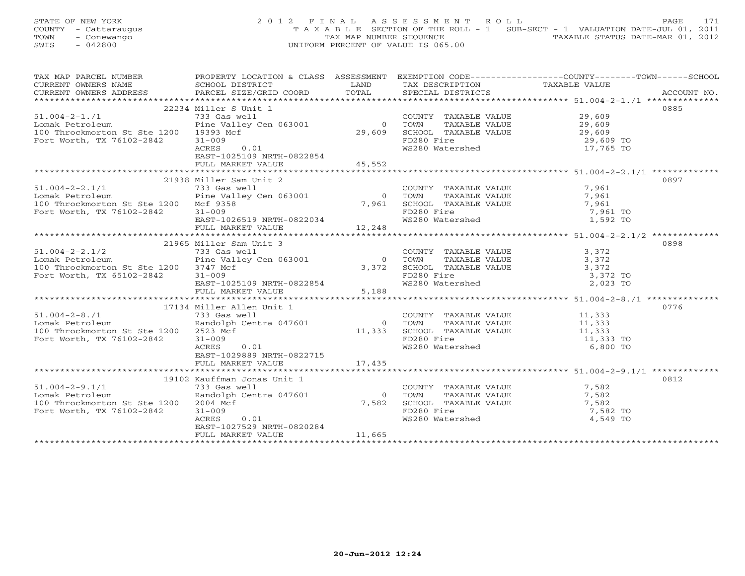STATE OF NEW YORK 2 0 1 2 F I N A L A S S E S S M E N T R O L L PAGE 171 COUNTY - Cattaraugus T A X A B L E SECTION OF THE ROLL - 1 SUB-SECT - 1 VALUATION DATE-JUL 01, 2011 TOWN - Conewango TAX MAP NUMBER SEQUENCE TAXABLE STATUS DATE-MAR 01, 2012<br>
SWIS - 042800 TAXABLE STATUS DATE-MAR 01, 2012 SWIS - 042800 UNIFORM PERCENT OF VALUE IS 065.00

| TAX MAP PARCEL NUMBER                                                           | PROPERTY LOCATION & CLASS ASSESSMENT                                                                                                                                                                                                                |       | EXEMPTION CODE-----------------COUNTY-------TOWN------SCHOOL                                                     |           |      |
|---------------------------------------------------------------------------------|-----------------------------------------------------------------------------------------------------------------------------------------------------------------------------------------------------------------------------------------------------|-------|------------------------------------------------------------------------------------------------------------------|-----------|------|
| CURRENT OWNERS NAME                                                             |                                                                                                                                                                                                                                                     |       |                                                                                                                  |           |      |
|                                                                                 | SCHOOL DISTRICT LAND<br>PARCEL SIZE/GRID COORD TOTAL                                                                                                                                                                                                |       |                                                                                                                  |           |      |
|                                                                                 |                                                                                                                                                                                                                                                     |       |                                                                                                                  |           |      |
|                                                                                 | 22234 Miller S Unit 1                                                                                                                                                                                                                               |       |                                                                                                                  |           | 0885 |
| $51.004 - 2 - 1.71$                                                             |                                                                                                                                                                                                                                                     |       | COUNTY TAXABLE VALUE 29,609                                                                                      |           |      |
| Lomak Petroleum                                                                 |                                                                                                                                                                                                                                                     |       |                                                                                                                  |           |      |
| 100 Throckmorton St Ste 1200 19393 Mcf                                          | 733 Gas well<br>Pine Valley Cen 063001 0 TOWN<br>29,609 SCHOO1 19393 Mcf 29,609 SCHOO1                                                                                                                                                              |       |                                                                                                                  |           |      |
| Fort Worth, TX 76102-2842                                                       | $31 - 009$                                                                                                                                                                                                                                          |       | 0 TOWN TAXABLE VALUE 29,609<br>29,609 SCHOOL TAXABLE VALUE 29,609<br>FD280 Fire 29,609 TO                        |           |      |
|                                                                                 | 0.01<br>ACRES                                                                                                                                                                                                                                       |       | WS280 Watershed                                                                                                  | 17,765 TO |      |
|                                                                                 | EAST-1025109 NRTH-0822854                                                                                                                                                                                                                           |       |                                                                                                                  |           |      |
|                                                                                 |                                                                                                                                                                                                                                                     |       |                                                                                                                  |           |      |
|                                                                                 | FULL MARKET VALUE 45,552                                                                                                                                                                                                                            |       |                                                                                                                  |           |      |
|                                                                                 |                                                                                                                                                                                                                                                     |       |                                                                                                                  |           |      |
|                                                                                 | 21938 Miller Sam Unit 2                                                                                                                                                                                                                             |       |                                                                                                                  |           | 0897 |
| $51.004 - 2 - 2.1/1$                                                            |                                                                                                                                                                                                                                                     |       |                                                                                                                  |           |      |
| Lomak Petroleum                                                                 | $733$ Gas well<br>Pine Valley Cen 063001<br>St Ste 1200 Mcf 9358<br>$7,961$<br>St Ste 1200 Mcf 9358<br>$7,961$<br>$7,961$<br>$7,961$<br>$7,961$<br>$7,961$<br>FD280 Fire<br>$7,961$<br>FD280 Fire<br>$7,961$<br>FD280 Fire<br>$7,961$<br>FD280 Fire |       |                                                                                                                  |           |      |
| 100 Throckmorton St Ste 1200 Mcf 9358                                           |                                                                                                                                                                                                                                                     |       |                                                                                                                  |           |      |
| Fort Worth, TX 76102-2842 31-009                                                |                                                                                                                                                                                                                                                     |       | FD280 Fire 7,961 TO<br>WS280 Watershed 1,592 TO                                                                  | 7,961 TO  |      |
|                                                                                 | EAST-1026519 NRTH-0822034                                                                                                                                                                                                                           |       |                                                                                                                  |           |      |
|                                                                                 | FULL MARKET VALUE 12,248                                                                                                                                                                                                                            |       |                                                                                                                  |           |      |
|                                                                                 |                                                                                                                                                                                                                                                     |       |                                                                                                                  |           |      |
|                                                                                 | 21965 Miller Sam Unit 3                                                                                                                                                                                                                             |       |                                                                                                                  |           | 0898 |
| $51.004 - 2 - 2.1/2$ $733$ Gas well<br>Lomak Petroleum Pine Valley Cen 063001 0 |                                                                                                                                                                                                                                                     |       |                                                                                                                  |           |      |
|                                                                                 |                                                                                                                                                                                                                                                     |       |                                                                                                                  |           |      |
| 100 Throckmorton St Ste 1200 3747 Mcf                                           |                                                                                                                                                                                                                                                     |       |                                                                                                                  |           |      |
| Fort Worth, TX 65102-2842                                                       | $31 - 009$                                                                                                                                                                                                                                          |       | $3,372$ SCHOOL TAXABLE VALUE $3,372$<br>FD280 Fire $3,372$ TO                                                    |           |      |
|                                                                                 | $\text{EAST}-1025109 \text{ NRTH}-0822854$                                                                                                                                                                                                          |       | WS280 Watershed WS280 Water                                                                                      | 2,023 TO  |      |
|                                                                                 | FULL MARKET VALUE                                                                                                                                                                                                                                   | 5,188 |                                                                                                                  |           |      |
|                                                                                 |                                                                                                                                                                                                                                                     |       |                                                                                                                  |           |      |
|                                                                                 |                                                                                                                                                                                                                                                     |       |                                                                                                                  |           | 0776 |
| $51.004 - 2 - 8.71$                                                             | 17134 Miller Allen Unit 1<br>733 Gas well                                                                                                                                                                                                           |       |                                                                                                                  |           |      |
| Lomak Petroleum                                                                 |                                                                                                                                                                                                                                                     |       |                                                                                                                  |           |      |
| 100 Throckmorton St Ste 1200 2523 Mcf                                           |                                                                                                                                                                                                                                                     |       |                                                                                                                  |           |      |
| Fort Worth, TX 76102-2842                                                       |                                                                                                                                                                                                                                                     |       |                                                                                                                  |           |      |
|                                                                                 | 1/154 million of TOWN TAXABLE VALUE<br>733 Gas well<br>Randolph Centra 047601 0 TOWN TAXABLE VALUE<br>11,333 TO<br>$\begin{array}{ccc}\n\text{cf} & & & \overline{\phantom{0}} \\ \text{0.01} & & & \end{array}$                                    |       |                                                                                                                  |           |      |
|                                                                                 | ACRES                                                                                                                                                                                                                                               |       | WS280 Watershed                                                                                                  | 6,800 TO  |      |
|                                                                                 | EAST-1029889 NRTH-0822715                                                                                                                                                                                                                           |       |                                                                                                                  |           |      |
|                                                                                 | FULL MARKET VALUE 17,435                                                                                                                                                                                                                            |       |                                                                                                                  |           |      |
|                                                                                 |                                                                                                                                                                                                                                                     |       |                                                                                                                  |           |      |
|                                                                                 | 19102 Kauffman Jonas Unit 1                                                                                                                                                                                                                         |       |                                                                                                                  |           | 0812 |
| $51.004 - 2 - 9.1/1$                                                            | 733 Gas well<br>733 Gas Weil<br>Randolph Centra 047601 (and the common of the central of the central of the central of the central of the central of the central of the central of the central of the central of the central of the central of th   |       |                                                                                                                  |           |      |
| Lomak Petroleum                                                                 |                                                                                                                                                                                                                                                     |       |                                                                                                                  |           |      |
| 100 Throckmorton St Ste 1200 2004 Mcf                                           |                                                                                                                                                                                                                                                     |       | COUNTY TAXABLE VALUE 7,582<br>0 TOWN TAXABLE VALUE 7,582<br>7,582 SCHOOL TAXABLE VALUE 7,582<br>FD280 Fire 7,582 |           |      |
| Fort Worth, TX 76102-2842                                                       | $31 - 009$                                                                                                                                                                                                                                          |       | FD280 Fire<br>WS280 Watershed                                                                                    | 7,582 TO  |      |
|                                                                                 | 0.01<br>ACRES                                                                                                                                                                                                                                       |       |                                                                                                                  | 4,549 TO  |      |
|                                                                                 | EAST-1027529 NRTH-0820284                                                                                                                                                                                                                           |       |                                                                                                                  |           |      |
|                                                                                 |                                                                                                                                                                                                                                                     |       |                                                                                                                  |           |      |
|                                                                                 |                                                                                                                                                                                                                                                     |       |                                                                                                                  |           |      |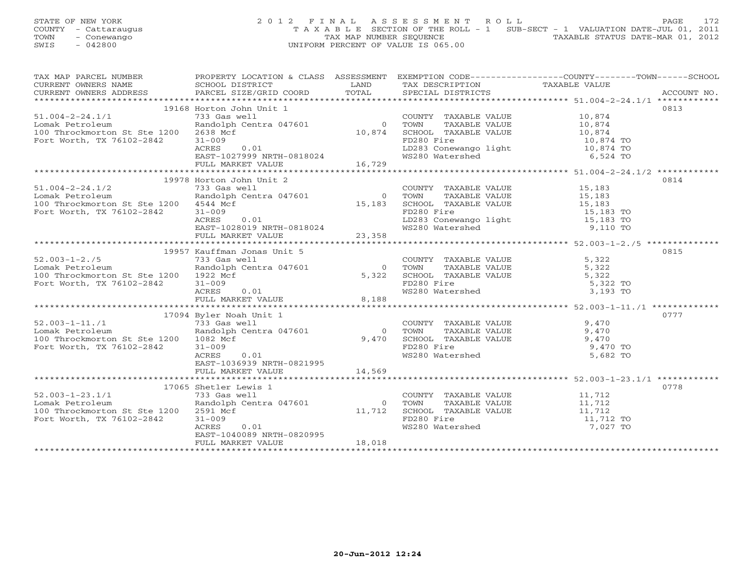STATE OF NEW YORK 2 0 1 2 F I N A L A S S E S S M E N T R O L L PAGE 172 COUNTY - Cattaraugus T A X A B L E SECTION OF THE ROLL - 1 SUB-SECT - 1 VALUATION DATE-JUL 01, 2011 TOWN - Conewango TAX MAP NUMBER SEQUENCE TAXABLE STATUS DATE-MAR 01, 2012<br>
SWIS - 042800 TAXABLE STATUS DATE-MAR 01, 2012 SWIS - 042800 UNIFORM PERCENT OF VALUE IS 065.00

| TAX MAP PARCEL NUMBER<br>CURRENT OWNERS NAME | SCHOOL DISTRICT                                                                                                                                                                                                                                                                                                                  |                |                                                                                                                                                 | PROPERTY LOCATION & CLASS ASSESSMENT EXEMPTION CODE----------------COUNTY-------TOWN------SCHOOL |
|----------------------------------------------|----------------------------------------------------------------------------------------------------------------------------------------------------------------------------------------------------------------------------------------------------------------------------------------------------------------------------------|----------------|-------------------------------------------------------------------------------------------------------------------------------------------------|--------------------------------------------------------------------------------------------------|
| CURRENT OWNERS ADDRESS                       |                                                                                                                                                                                                                                                                                                                                  |                |                                                                                                                                                 | ACCOUNT NO.                                                                                      |
|                                              |                                                                                                                                                                                                                                                                                                                                  |                |                                                                                                                                                 |                                                                                                  |
|                                              | 19168 Horton John Unit 1<br>19168 Horton John Unit 1<br>733 Gas well<br>Randolph Centra 047601<br>St Ste 1200 2638 Mcf<br>2638 Mcf<br>2638 Mcf<br>2638 Mcf<br>2638 Mcf<br>2638 Mcf<br>2000 2638 Mcf<br>2000 2638 Mcf<br>2000 2638 Mcf<br>2000 2638 Mcf<br>                                                                       |                |                                                                                                                                                 | 0813                                                                                             |
| $51.004 - 2 - 24.1/1$                        |                                                                                                                                                                                                                                                                                                                                  |                |                                                                                                                                                 |                                                                                                  |
| Lomak Petroleum                              |                                                                                                                                                                                                                                                                                                                                  |                |                                                                                                                                                 |                                                                                                  |
| 100 Throckmorton St Ste 1200 2638 Mcf        |                                                                                                                                                                                                                                                                                                                                  |                |                                                                                                                                                 |                                                                                                  |
| Fort Worth, TX 76102-2842                    |                                                                                                                                                                                                                                                                                                                                  |                |                                                                                                                                                 |                                                                                                  |
|                                              |                                                                                                                                                                                                                                                                                                                                  |                |                                                                                                                                                 |                                                                                                  |
|                                              |                                                                                                                                                                                                                                                                                                                                  |                |                                                                                                                                                 |                                                                                                  |
|                                              | 2638 Mcf<br>2638 Mcf<br>31-009<br>2638 Mcf<br>2638 Mcf<br>2638 Mcf<br>2638 Mcf<br>2638 Mcf<br>2638 Mcf<br>2638 Mcf<br>2638 Mcf<br>20.01<br>20.01<br>20.01<br>20.033 Conewango light<br>20.0283 Conewango light<br>20.0374 TO<br>20.0374 TO<br>20.0374 TO<br>20.0374                                                              |                |                                                                                                                                                 |                                                                                                  |
|                                              |                                                                                                                                                                                                                                                                                                                                  |                |                                                                                                                                                 |                                                                                                  |
|                                              | 19978 Horton John Unit 2                                                                                                                                                                                                                                                                                                         |                |                                                                                                                                                 | 0814                                                                                             |
| $51.004 - 2 - 24.1/2$                        |                                                                                                                                                                                                                                                                                                                                  |                |                                                                                                                                                 |                                                                                                  |
| Lomak Petroleum                              |                                                                                                                                                                                                                                                                                                                                  |                |                                                                                                                                                 |                                                                                                  |
| 100 Throckmorton St Ste 1200 4544 Mcf        |                                                                                                                                                                                                                                                                                                                                  |                |                                                                                                                                                 |                                                                                                  |
| Fort Worth, TX 76102-2842                    |                                                                                                                                                                                                                                                                                                                                  |                |                                                                                                                                                 |                                                                                                  |
|                                              |                                                                                                                                                                                                                                                                                                                                  |                |                                                                                                                                                 |                                                                                                  |
|                                              |                                                                                                                                                                                                                                                                                                                                  |                |                                                                                                                                                 |                                                                                                  |
|                                              | $\footnotesize{\begin{tabular}{c} \bf 19976 & \bf{HOIC~I} & \bf 20011 & \bf 0111 & \bf 2 & \bf 215,183 \\ \bf 221 & \bf 2342 & \bf 31-009 \\ \bf 231 & \bf 2454 & \bf Mcf & \bf 251,183 \\ \bf 252 & \bf 26102-2842 & \bf 31-009 \\ \bf 26102-2842 & \bf 31-009 & \bf 223,358 \\ \bf 26102 & \bf 27842 & \bf 231-009 \\ \bf 261$ |                |                                                                                                                                                 |                                                                                                  |
|                                              |                                                                                                                                                                                                                                                                                                                                  |                |                                                                                                                                                 |                                                                                                  |
|                                              |                                                                                                                                                                                                                                                                                                                                  |                |                                                                                                                                                 | 0815                                                                                             |
|                                              |                                                                                                                                                                                                                                                                                                                                  |                |                                                                                                                                                 |                                                                                                  |
|                                              |                                                                                                                                                                                                                                                                                                                                  |                |                                                                                                                                                 |                                                                                                  |
|                                              |                                                                                                                                                                                                                                                                                                                                  |                |                                                                                                                                                 |                                                                                                  |
|                                              |                                                                                                                                                                                                                                                                                                                                  |                |                                                                                                                                                 |                                                                                                  |
|                                              |                                                                                                                                                                                                                                                                                                                                  |                | COUNTY TAXABLE VALUE 5,322<br>0 TOWN TAXABLE VALUE 5,322<br>5,322 SCHOOL TAXABLE VALUE 5,322<br>FD280 Fire 5,322 TO<br>WS280 Watershed 3,193 TO |                                                                                                  |
|                                              |                                                                                                                                                                                                                                                                                                                                  |                |                                                                                                                                                 |                                                                                                  |
|                                              |                                                                                                                                                                                                                                                                                                                                  |                |                                                                                                                                                 |                                                                                                  |
|                                              | 17094 Byler Noah Unit 1                                                                                                                                                                                                                                                                                                          |                |                                                                                                                                                 | 0777                                                                                             |
| $52.003 - 1 - 11.71$                         | 733 Gas well<br>Randolph Centra 047601                                                                                                                                                                                                                                                                                           |                |                                                                                                                                                 |                                                                                                  |
| Lomak Petroleum                              |                                                                                                                                                                                                                                                                                                                                  | $\overline{0}$ |                                                                                                                                                 |                                                                                                  |
| 100 Throckmorton St Ste 1200 1082 Mcf        |                                                                                                                                                                                                                                                                                                                                  | 9,470          |                                                                                                                                                 |                                                                                                  |
| Fort Worth, TX 76102-2842                    | $31 - 009$                                                                                                                                                                                                                                                                                                                       |                | COUNTY TAXABLE VALUE<br>TOWN TAXABLE VALUE 9,470<br>SCHOOL TAXABLE VALUE 9,470<br>FD280 Fire 9,470<br>WS280 Watershed 5,682 TO                  |                                                                                                  |
|                                              | ACRES 0.01                                                                                                                                                                                                                                                                                                                       |                |                                                                                                                                                 |                                                                                                  |
|                                              | EAST-1036939 NRTH-0821995                                                                                                                                                                                                                                                                                                        |                |                                                                                                                                                 |                                                                                                  |
|                                              | FULL MARKET VALUE                                                                                                                                                                                                                                                                                                                | 14,569         |                                                                                                                                                 |                                                                                                  |
|                                              |                                                                                                                                                                                                                                                                                                                                  |                |                                                                                                                                                 |                                                                                                  |
|                                              | 17065 Shetler Lewis 1                                                                                                                                                                                                                                                                                                            |                |                                                                                                                                                 | 0778                                                                                             |
| $52.003 - 1 - 23.1/1$                        | Snetier Lewis 1<br>733 Gas well<br>Randolph Centra 047601                                                                                                                                                                                                                                                                        |                | COUNTY TAXABLE VALUE 11,712                                                                                                                     |                                                                                                  |
| Lomak Petroleum                              |                                                                                                                                                                                                                                                                                                                                  | $\overline{0}$ |                                                                                                                                                 |                                                                                                  |
| 100 Throckmorton St Ste 1200 2591 Mcf        |                                                                                                                                                                                                                                                                                                                                  | 11,712         |                                                                                                                                                 |                                                                                                  |
| Fort Worth, TX 76102-2842                    | $31 - 009$                                                                                                                                                                                                                                                                                                                       |                |                                                                                                                                                 |                                                                                                  |
|                                              | ACRES<br>0.01                                                                                                                                                                                                                                                                                                                    |                | TOWN TAXABLE VALUE<br>SCHOOL TAXABLE VALUE<br>FD280 Fire<br>WS280 Watershed<br>The Case of the MS280 Matershed<br>T,027 TO                      |                                                                                                  |
|                                              | EAST-1040089 NRTH-0820995                                                                                                                                                                                                                                                                                                        |                |                                                                                                                                                 |                                                                                                  |
|                                              | FULL MARKET VALUE                                                                                                                                                                                                                                                                                                                | 18,018         |                                                                                                                                                 |                                                                                                  |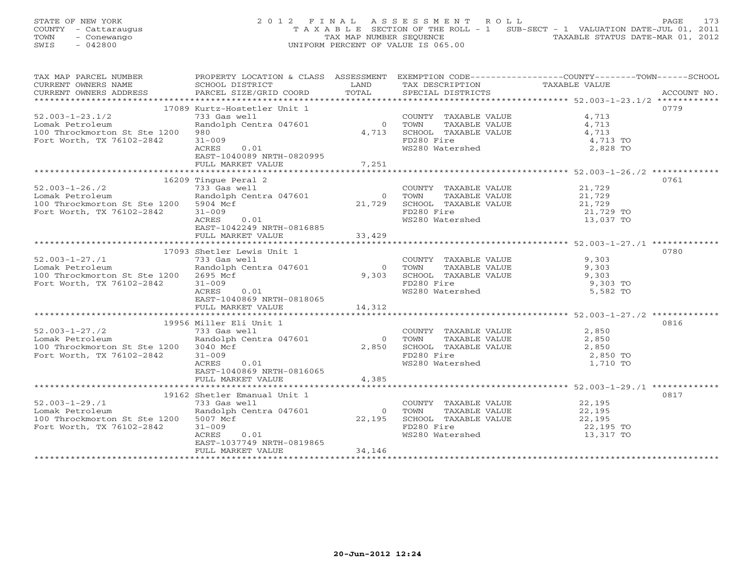STATE OF NEW YORK 2 0 1 2 F I N A L A S S E S S M E N T R O L L PAGE 173 COUNTY - Cattaraugus T A X A B L E SECTION OF THE ROLL - 1 SUB-SECT - 1 VALUATION DATE-JUL 01, 2011 TOWN - Conewango TAX MAP NUMBER SEQUENCE TAXABLE STATUS DATE-MAR 01, 2012<br>
SWIS - 042800 TAXABLE STATUS DATE-MAR 01, 2012 SWIS - 042800 UNIFORM PERCENT OF VALUE IS 065.00

| TAX MAP PARCEL NUMBER                 |                                                |                |                                                                                                                                                                                                                                                                                                                                                                                                                                                                         | PROPERTY LOCATION & CLASS ASSESSMENT EXEMPTION CODE---------------COUNTY-------TOWN-----SCHOOL |  |
|---------------------------------------|------------------------------------------------|----------------|-------------------------------------------------------------------------------------------------------------------------------------------------------------------------------------------------------------------------------------------------------------------------------------------------------------------------------------------------------------------------------------------------------------------------------------------------------------------------|------------------------------------------------------------------------------------------------|--|
| CURRENT OWNERS NAME                   | SCHOOL DISTRICT                                | LAND           | TAX DESCRIPTION                                                                                                                                                                                                                                                                                                                                                                                                                                                         | TAXABLE VALUE                                                                                  |  |
| CURRENT OWNERS ADDRESS                | PARCEL SIZE/GRID COORD TOTAL SPECIAL DISTRICTS |                |                                                                                                                                                                                                                                                                                                                                                                                                                                                                         | ACCOUNT NO.                                                                                    |  |
|                                       |                                                |                |                                                                                                                                                                                                                                                                                                                                                                                                                                                                         |                                                                                                |  |
|                                       | 17089 Kurtz-Hostetler Unit 1                   |                |                                                                                                                                                                                                                                                                                                                                                                                                                                                                         | 0779                                                                                           |  |
| $52.003 - 1 - 23.1/2$                 | 733 Gas well                                   |                | $\begin{tabular}{cccc} \multicolumn{2}{c}{\text{COUNTY}} & \text{TAXABLE VALUE} & \multicolumn{2}{c}{\text{CAUNTY}} & \multicolumn{2}{c}{\text{TAXABLE VALUE}} & \multicolumn{2}{c}{\text{A, 713}} \\ 0 & \multicolumn{2}{c}{\text{TOWN}} & \multicolumn{2}{c}{\text{TAXABLE VALUE}} & \multicolumn{2}{c}{\text{A, 713}} \\ 4, 713 & \multicolumn{2}{c}{\text{SCHOOL}} & \multicolumn{2}{c}{\text{TAXABLE VALUE}} & \multicolumn{2}{c}{\text{A, 713}} \\ \end{tabular}$ |                                                                                                |  |
| Lomak Petroleum                       | Randolph Centra 047601                         | $0$ TOWN       |                                                                                                                                                                                                                                                                                                                                                                                                                                                                         |                                                                                                |  |
| 100 Throckmorton St Ste 1200          | 980                                            |                |                                                                                                                                                                                                                                                                                                                                                                                                                                                                         |                                                                                                |  |
| Fort Worth, TX 76102-2842             | $31 - 009$                                     |                | FD280 Fire                                                                                                                                                                                                                                                                                                                                                                                                                                                              | 4,713 TO                                                                                       |  |
|                                       | ACRES<br>0.01                                  |                | WS280 Watershed                                                                                                                                                                                                                                                                                                                                                                                                                                                         | 2,828 TO                                                                                       |  |
|                                       | EAST-1040089 NRTH-0820995                      |                |                                                                                                                                                                                                                                                                                                                                                                                                                                                                         |                                                                                                |  |
|                                       | FULL MARKET VALUE                              | 7,251          |                                                                                                                                                                                                                                                                                                                                                                                                                                                                         |                                                                                                |  |
|                                       |                                                |                |                                                                                                                                                                                                                                                                                                                                                                                                                                                                         |                                                                                                |  |
|                                       | 16209 Tingue Peral 2                           |                |                                                                                                                                                                                                                                                                                                                                                                                                                                                                         | 0761                                                                                           |  |
| $52.003 - 1 - 26.72$                  | 733 Gas well                                   |                |                                                                                                                                                                                                                                                                                                                                                                                                                                                                         |                                                                                                |  |
|                                       | 733 Gas well<br>Randolph Centra 047601         |                | COUNTY TAXABLE VALUE $21,729$<br>TOWN TAXABLE VALUE $21,729$                                                                                                                                                                                                                                                                                                                                                                                                            |                                                                                                |  |
| Lomak Petroleum                       |                                                |                | 0 TOWN TAXABLE VALUE 21,729<br>21,729 SCHOOL TAXABLE VALUE 21,729 TO<br>PRISO Fire 21,729 TO                                                                                                                                                                                                                                                                                                                                                                            |                                                                                                |  |
| 100 Throckmorton St Ste 1200 5904 Mcf |                                                |                |                                                                                                                                                                                                                                                                                                                                                                                                                                                                         |                                                                                                |  |
| Fort Worth, TX 76102-2842             | $31 - 009$                                     |                |                                                                                                                                                                                                                                                                                                                                                                                                                                                                         |                                                                                                |  |
|                                       | ACRES<br>0.01                                  |                | WS280 Watershed                                                                                                                                                                                                                                                                                                                                                                                                                                                         | 13,037 TO                                                                                      |  |
|                                       | EAST-1042249 NRTH-0816885                      |                |                                                                                                                                                                                                                                                                                                                                                                                                                                                                         |                                                                                                |  |
|                                       | FULL MARKET VALUE                              | 33,429         |                                                                                                                                                                                                                                                                                                                                                                                                                                                                         |                                                                                                |  |
|                                       |                                                |                |                                                                                                                                                                                                                                                                                                                                                                                                                                                                         |                                                                                                |  |
|                                       | 17093 Shetler Lewis Unit 1                     |                |                                                                                                                                                                                                                                                                                                                                                                                                                                                                         | 0780                                                                                           |  |
| $52.003 - 1 - 27.71$                  | 733 Gas well                                   |                | COUNTY TAXABLE VALUE 9,303<br>TOWN      TAXABLE VALUE 9,303                                                                                                                                                                                                                                                                                                                                                                                                             |                                                                                                |  |
| Lomak Petroleum                       | Randolph Centra 047601                         | $\bigcirc$     |                                                                                                                                                                                                                                                                                                                                                                                                                                                                         |                                                                                                |  |
| 100 Throckmorton St Ste 1200 2695 Mcf |                                                |                | 9,303 SCHOOL TAXABLE VALUE 9,303 PD280 Fire 9,303 TO                                                                                                                                                                                                                                                                                                                                                                                                                    |                                                                                                |  |
| Fort Worth, TX 76102-2842             | $31 - 009$                                     |                |                                                                                                                                                                                                                                                                                                                                                                                                                                                                         |                                                                                                |  |
|                                       | ACRES<br>0.01                                  |                | WS280 Watershed                                                                                                                                                                                                                                                                                                                                                                                                                                                         | 5,582 TO                                                                                       |  |
|                                       | EAST-1040869 NRTH-0818065                      |                |                                                                                                                                                                                                                                                                                                                                                                                                                                                                         |                                                                                                |  |
|                                       | FULL MARKET VALUE                              | 14,312         |                                                                                                                                                                                                                                                                                                                                                                                                                                                                         |                                                                                                |  |
|                                       |                                                |                |                                                                                                                                                                                                                                                                                                                                                                                                                                                                         |                                                                                                |  |
|                                       | 19956 Miller Eli Unit 1                        |                |                                                                                                                                                                                                                                                                                                                                                                                                                                                                         | 0816                                                                                           |  |
| $52.003 - 1 - 27.72$                  | 733 Gas well                                   |                | COUNTY TAXABLE VALUE                                                                                                                                                                                                                                                                                                                                                                                                                                                    | 2,850                                                                                          |  |
| Lomak Petroleum                       | Randolph Centra 047601                         | $\overline{0}$ | TOWN                                                                                                                                                                                                                                                                                                                                                                                                                                                                    | TAXABLE VALUE 2,850                                                                            |  |
| 100 Throckmorton St Ste 1200 3040 Mcf |                                                |                |                                                                                                                                                                                                                                                                                                                                                                                                                                                                         | 2,850                                                                                          |  |
| Fort Worth, TX 76102-2842             | $31 - 009$                                     |                | 2,850 SCHOOL TAXABLE VALUE<br>FD280 Fire                                                                                                                                                                                                                                                                                                                                                                                                                                | 2,850 TO                                                                                       |  |
|                                       | ACRES<br>0.01                                  |                | WS280 Watershed                                                                                                                                                                                                                                                                                                                                                                                                                                                         | 1,710 TO                                                                                       |  |
|                                       | EAST-1040869 NRTH-0816065                      |                |                                                                                                                                                                                                                                                                                                                                                                                                                                                                         |                                                                                                |  |
|                                       | FULL MARKET VALUE                              | 4,385          |                                                                                                                                                                                                                                                                                                                                                                                                                                                                         |                                                                                                |  |
|                                       |                                                |                |                                                                                                                                                                                                                                                                                                                                                                                                                                                                         |                                                                                                |  |
|                                       |                                                |                |                                                                                                                                                                                                                                                                                                                                                                                                                                                                         | 0817                                                                                           |  |
| $52.003 - 1 - 29.11$                  | 19162 Shetler Emanual Unit 1                   |                | COUNTY TAXABLE VALUE 22,195                                                                                                                                                                                                                                                                                                                                                                                                                                             |                                                                                                |  |
|                                       | 733 Gas well                                   |                |                                                                                                                                                                                                                                                                                                                                                                                                                                                                         |                                                                                                |  |
| Lomak Petroleum                       | Randolph Centra 047601                         | $\bigcirc$     | TOWN                                                                                                                                                                                                                                                                                                                                                                                                                                                                    | TAXABLE VALUE 22,195<br>TAXABLE VALUE 22,195                                                   |  |
| 100 Throckmorton St Ste 1200 5007 Mcf |                                                | 22,195         | SCHOOL TAXABLE VALUE<br>FD280 Fire<br>WS280 Watershed                                                                                                                                                                                                                                                                                                                                                                                                                   |                                                                                                |  |
| Fort Worth, TX 76102-2842             | $31 - 009$                                     |                |                                                                                                                                                                                                                                                                                                                                                                                                                                                                         | 22,195 TO                                                                                      |  |
|                                       | ACRES<br>0.01                                  |                |                                                                                                                                                                                                                                                                                                                                                                                                                                                                         | 13,317 TO                                                                                      |  |
|                                       | EAST-1037749 NRTH-0819865                      |                |                                                                                                                                                                                                                                                                                                                                                                                                                                                                         |                                                                                                |  |
|                                       | FULL MARKET VALUE                              | 34,146         |                                                                                                                                                                                                                                                                                                                                                                                                                                                                         |                                                                                                |  |
|                                       |                                                |                |                                                                                                                                                                                                                                                                                                                                                                                                                                                                         |                                                                                                |  |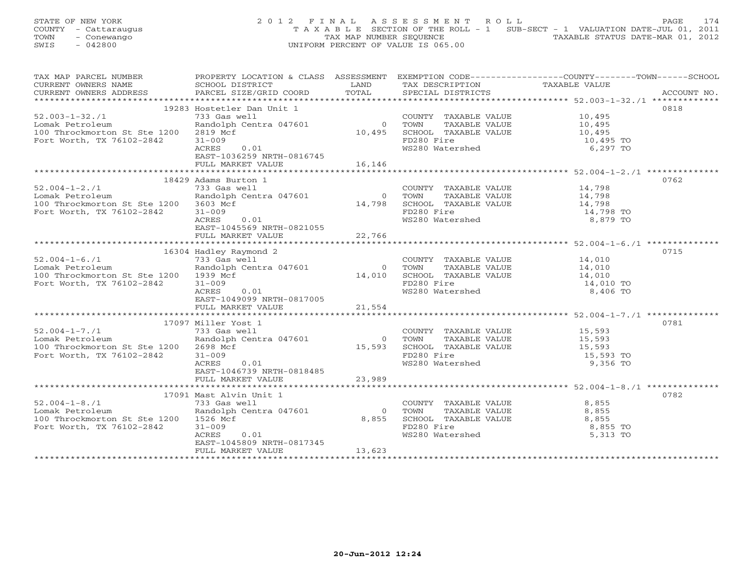STATE OF NEW YORK 2 0 1 2 F I N A L A S S E S S M E N T R O L L PAGE 174 COUNTY - Cattaraugus T A X A B L E SECTION OF THE ROLL - 1 SUB-SECT - 1 VALUATION DATE-JUL 01, 2011 TOWN - Conewango TAX MAP NUMBER SEQUENCE TAXABLE STATUS DATE-MAR 01, 2012<br>
SWIS - 042800 TAXABLE STATUS DATE-MAR 01, 2012 SWIS - 042800 UNIFORM PERCENT OF VALUE IS 065.00

| TAX MAP PARCEL NUMBER                               | PROPERTY LOCATION & CLASS ASSESSMENT EXEMPTION CODE---------------COUNTY-------TOWN------SCHOOL                                                                                                                                                                                                                                                                      |                                                                                                                        |                                                                                                     |               |             |
|-----------------------------------------------------|----------------------------------------------------------------------------------------------------------------------------------------------------------------------------------------------------------------------------------------------------------------------------------------------------------------------------------------------------------------------|------------------------------------------------------------------------------------------------------------------------|-----------------------------------------------------------------------------------------------------|---------------|-------------|
| CURRENT OWNERS NAME                                 | SCHOOL DISTRICT                                                                                                                                                                                                                                                                                                                                                      | <b>EXAMPLE SERVICE SERVICE SERVICE SERVICE SERVICE SERVICE SERVICE SERVICE SERVICE SERVICE SERVICE SERVICE SERVICE</b> | TAX DESCRIPTION                                                                                     | TAXABLE VALUE |             |
| CURRENT OWNERS ADDRESS PARCEL SIZE/GRID COORD TOTAL |                                                                                                                                                                                                                                                                                                                                                                      |                                                                                                                        | SPECIAL DISTRICTS                                                                                   |               | ACCOUNT NO. |
|                                                     |                                                                                                                                                                                                                                                                                                                                                                      |                                                                                                                        |                                                                                                     |               |             |
|                                                     | 19283 Hostetler Dan Unit 1                                                                                                                                                                                                                                                                                                                                           |                                                                                                                        |                                                                                                     |               | 0818        |
|                                                     |                                                                                                                                                                                                                                                                                                                                                                      |                                                                                                                        |                                                                                                     |               |             |
| $52.003 - 1 - 32.71$                                |                                                                                                                                                                                                                                                                                                                                                                      |                                                                                                                        |                                                                                                     |               |             |
| Lomak Petroleum                                     |                                                                                                                                                                                                                                                                                                                                                                      |                                                                                                                        |                                                                                                     |               |             |
| 100 Throckmorton St Ste 1200                        |                                                                                                                                                                                                                                                                                                                                                                      |                                                                                                                        |                                                                                                     |               |             |
| Fort Worth, TX 76102-2842                           | $\begin{array}{cccc} \text{733 Gas well} & \text{10,495} \\ \text{Random Centra 047601} & \text{10,495} \\ \text{2819 Mcf} & \text{10,495} \\ \text{31-009} & \text{10,497} \\ \text{731-009} & \text{10,495} \\ \text{11,495} & \text{11,495} \\ \text{2281-009} & \text{12,495} \\ \text{231-009} & \text{13,495} \\ \text{241-009} & \text{15,495} \\ \text{251-$ |                                                                                                                        | FD280 Fire<br>WS280 Watershed                                                                       |               |             |
|                                                     | ACRES<br>0.01                                                                                                                                                                                                                                                                                                                                                        |                                                                                                                        |                                                                                                     | 6,297 TO      |             |
|                                                     | EAST-1036259 NRTH-0816745                                                                                                                                                                                                                                                                                                                                            |                                                                                                                        |                                                                                                     |               |             |
|                                                     | FULL MARKET VALUE                                                                                                                                                                                                                                                                                                                                                    | 16, 146                                                                                                                |                                                                                                     |               |             |
|                                                     |                                                                                                                                                                                                                                                                                                                                                                      |                                                                                                                        |                                                                                                     |               |             |
|                                                     |                                                                                                                                                                                                                                                                                                                                                                      |                                                                                                                        |                                                                                                     |               |             |
|                                                     | 18429 Adams burton 1<br>733 Gas well<br>Randolph Centra 047601 0 TOWN TAXABLE VALUE<br>8.102-2842 31-009 COUNTE 14,798 SCHOOL TAXABLE VALUE<br>8,879 TO WS280 Watershed<br>8,879 TO                                                                                                                                                                                  |                                                                                                                        |                                                                                                     |               | 0762        |
| $52.004 - 1 - 2.71$                                 |                                                                                                                                                                                                                                                                                                                                                                      |                                                                                                                        |                                                                                                     |               |             |
| Lomak Petroleum                                     |                                                                                                                                                                                                                                                                                                                                                                      |                                                                                                                        |                                                                                                     |               |             |
| 100 Throckmorton St Ste 1200 3603 Mcf               |                                                                                                                                                                                                                                                                                                                                                                      |                                                                                                                        |                                                                                                     |               |             |
| Fort Worth, TX 76102-2842                           |                                                                                                                                                                                                                                                                                                                                                                      |                                                                                                                        |                                                                                                     |               |             |
|                                                     |                                                                                                                                                                                                                                                                                                                                                                      |                                                                                                                        |                                                                                                     |               |             |
|                                                     |                                                                                                                                                                                                                                                                                                                                                                      |                                                                                                                        |                                                                                                     |               |             |
|                                                     |                                                                                                                                                                                                                                                                                                                                                                      |                                                                                                                        |                                                                                                     |               |             |
|                                                     |                                                                                                                                                                                                                                                                                                                                                                      |                                                                                                                        |                                                                                                     |               |             |
|                                                     |                                                                                                                                                                                                                                                                                                                                                                      |                                                                                                                        |                                                                                                     |               |             |
|                                                     | 16304 Hadley Raymond 2                                                                                                                                                                                                                                                                                                                                               |                                                                                                                        |                                                                                                     |               | 0715        |
| $52.004 - 1 - 6.71$                                 | 733 Gas well                                                                                                                                                                                                                                                                                                                                                         |                                                                                                                        | COUNTY TAXABLE VALUE 14,010                                                                         |               |             |
|                                                     | 733 Gas well<br>Randolph Centra 047601                                                                                                                                                                                                                                                                                                                               | $\overline{0}$                                                                                                         | TAXABLE VALUE 14,010                                                                                |               |             |
| Lomak Petroleum                                     |                                                                                                                                                                                                                                                                                                                                                                      |                                                                                                                        | TOWN                                                                                                |               |             |
| 100 Throckmorton St Ste 1200 1939 Mcf               |                                                                                                                                                                                                                                                                                                                                                                      |                                                                                                                        |                                                                                                     |               |             |
| Fort Worth, TX 76102-2842                           | $31 - 009$                                                                                                                                                                                                                                                                                                                                                           |                                                                                                                        | 14,010 SCHOOL TAXABLE VALUE 14,010<br>FD280 Fire 14,010 TO                                          |               |             |
|                                                     | ACRES<br>0.01                                                                                                                                                                                                                                                                                                                                                        |                                                                                                                        | WS280 Watershed                                                                                     | 8,406 TO      |             |
|                                                     | EAST-1049099 NRTH-0817005                                                                                                                                                                                                                                                                                                                                            |                                                                                                                        |                                                                                                     |               |             |
|                                                     | FULL MARKET VALUE                                                                                                                                                                                                                                                                                                                                                    | 21,554                                                                                                                 |                                                                                                     |               |             |
|                                                     |                                                                                                                                                                                                                                                                                                                                                                      |                                                                                                                        |                                                                                                     |               |             |
|                                                     |                                                                                                                                                                                                                                                                                                                                                                      |                                                                                                                        |                                                                                                     |               |             |
|                                                     | 17097 Miller Yost 1                                                                                                                                                                                                                                                                                                                                                  |                                                                                                                        |                                                                                                     |               | 0781        |
| $52.004 - 1 - 7.71$                                 | 733 Gas well                                                                                                                                                                                                                                                                                                                                                         |                                                                                                                        | COUNTY TAXABLE VALUE 15,593                                                                         |               |             |
| Lomak Petroleum                                     | Randolph Centra 047601                                                                                                                                                                                                                                                                                                                                               |                                                                                                                        |                                                                                                     |               |             |
| 100 Throckmorton St Ste 1200                        | 2698 Mcf                                                                                                                                                                                                                                                                                                                                                             |                                                                                                                        |                                                                                                     |               |             |
| Fort Worth, TX 76102-2842                           | $31 - 009$                                                                                                                                                                                                                                                                                                                                                           |                                                                                                                        | 0 TOWN TAXABLE VALUE 15,593<br>15,593 SCHOOL TAXABLE VALUE 15,593<br>FD280 Fire 15,593 TO           |               |             |
|                                                     | ACRES<br>0.01                                                                                                                                                                                                                                                                                                                                                        |                                                                                                                        | WS280 Watershed                                                                                     | 9,356 TO      |             |
|                                                     | EAST-1046739 NRTH-0818485                                                                                                                                                                                                                                                                                                                                            |                                                                                                                        |                                                                                                     |               |             |
|                                                     |                                                                                                                                                                                                                                                                                                                                                                      |                                                                                                                        |                                                                                                     |               |             |
|                                                     | FULL MARKET VALUE                                                                                                                                                                                                                                                                                                                                                    | 23,989                                                                                                                 |                                                                                                     |               |             |
|                                                     |                                                                                                                                                                                                                                                                                                                                                                      |                                                                                                                        |                                                                                                     |               |             |
|                                                     | 17091 Mast Alvin Unit 1                                                                                                                                                                                                                                                                                                                                              |                                                                                                                        |                                                                                                     |               | 0782        |
| $52.004 - 1 - 8.71$                                 | 733 Gas well                                                                                                                                                                                                                                                                                                                                                         |                                                                                                                        | COUNTY TAXABLE VALUE                                                                                | 8,855         |             |
| Lomak Petroleum                                     | Randolph Centra 047601                                                                                                                                                                                                                                                                                                                                               | $\bigcirc$                                                                                                             |                                                                                                     |               |             |
| 100 Throckmorton St Ste 1200 1526 Mcf               |                                                                                                                                                                                                                                                                                                                                                                      | 8,855                                                                                                                  | TOWN TAXABLE VALUE 3,855<br>SCHOOL TAXABLE VALUE 3,855<br>FD280 Fire 3,855<br>WS280 Watershed 5,313 |               |             |
|                                                     |                                                                                                                                                                                                                                                                                                                                                                      |                                                                                                                        |                                                                                                     |               |             |
| Fort Worth, TX 76102-2842                           | $31 - 009$                                                                                                                                                                                                                                                                                                                                                           |                                                                                                                        |                                                                                                     | 8,855 TO      |             |
|                                                     | ACRES<br>0.01                                                                                                                                                                                                                                                                                                                                                        |                                                                                                                        |                                                                                                     | 5,313 TO      |             |
|                                                     | EAST-1045809 NRTH-0817345                                                                                                                                                                                                                                                                                                                                            |                                                                                                                        |                                                                                                     |               |             |
|                                                     | FULL MARKET VALUE                                                                                                                                                                                                                                                                                                                                                    | 13,623                                                                                                                 |                                                                                                     |               |             |
|                                                     |                                                                                                                                                                                                                                                                                                                                                                      |                                                                                                                        |                                                                                                     |               |             |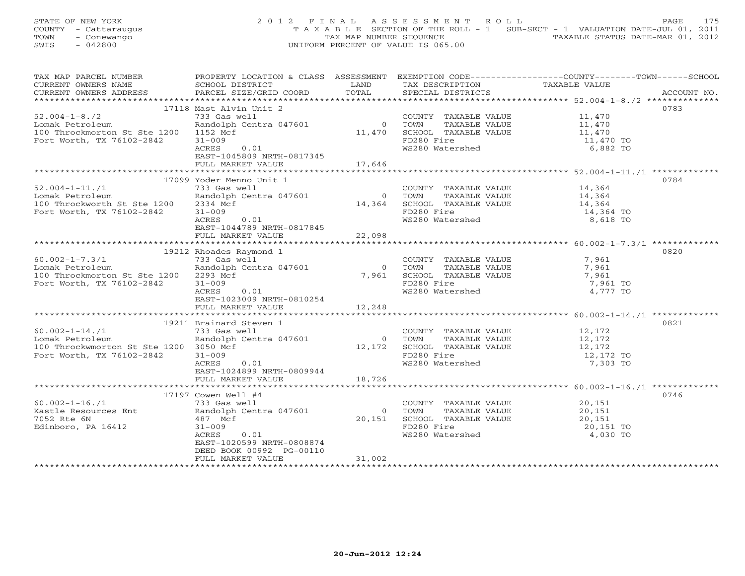STATE OF NEW YORK 2 0 1 2 F I N A L A S S E S S M E N T R O L L PAGE 175 COUNTY - Cattaraugus T A X A B L E SECTION OF THE ROLL - 1 SUB-SECT - 1 VALUATION DATE-JUL 01, 2011 TOWN - Conewango TAX MAP NUMBER SEQUENCE TAXABLE STATUS DATE-MAR 01, 2012<br>
SWIS - 042800 TAXABLE STATUS DATE-MAR 01, 2012 SWIS - 042800 UNIFORM PERCENT OF VALUE IS 065.00

| TAX MAP PARCEL NUMBER                                                                                                                                              | PROPERTY LOCATION & CLASS ASSESSMENT EXEMPTION CODE-----------------COUNTY-------TOWN------SCHOOL                                                                                                              |        |                                                                                                                                        |                     |             |
|--------------------------------------------------------------------------------------------------------------------------------------------------------------------|----------------------------------------------------------------------------------------------------------------------------------------------------------------------------------------------------------------|--------|----------------------------------------------------------------------------------------------------------------------------------------|---------------------|-------------|
| CURRENT OWNERS NAME                                                                                                                                                | SCHOOL DISTRICT                                                                                                                                                                                                | LAND   | TAX DESCRIPTION                                                                                                                        | TAXABLE VALUE       |             |
| CURRENT OWNERS ADDRESS PARCEL SIZE/GRID COORD                                                                                                                      |                                                                                                                                                                                                                | TOTAL  | SPECIAL DISTRICTS                                                                                                                      |                     | ACCOUNT NO. |
|                                                                                                                                                                    |                                                                                                                                                                                                                |        |                                                                                                                                        |                     |             |
|                                                                                                                                                                    | 17118 Mast Alvin Unit 2                                                                                                                                                                                        |        |                                                                                                                                        |                     | 0783        |
| $52.004 - 1 - 8.72$                                                                                                                                                | 733 Gas well                                                                                                                                                                                                   |        | COUNTY TAXABLE VALUE 11,470                                                                                                            |                     |             |
|                                                                                                                                                                    |                                                                                                                                                                                                                |        |                                                                                                                                        |                     |             |
| Lomak Petroleum                                                                                                                                                    |                                                                                                                                                                                                                |        |                                                                                                                                        |                     |             |
| 100 Throckmorton St Ste 1200 1152 Mcf                                                                                                                              | Prophetical Contral Contral Contral Contral Contral Contral Contral Contral Contral Contral Contral Contral Contra<br>11,470 SCHOOL TAXABLE VALUE 11,470 TO 11,470 TO FD280 Fire 11,470 TO 11,470 TO 11,470 TO |        |                                                                                                                                        |                     |             |
| Fort Worth, TX 76102-2842                                                                                                                                          |                                                                                                                                                                                                                |        |                                                                                                                                        |                     |             |
|                                                                                                                                                                    | ACRES<br>0.01                                                                                                                                                                                                  |        | WS280 Watershed                                                                                                                        | 6,882 TO            |             |
|                                                                                                                                                                    |                                                                                                                                                                                                                |        |                                                                                                                                        |                     |             |
|                                                                                                                                                                    |                                                                                                                                                                                                                |        |                                                                                                                                        |                     |             |
|                                                                                                                                                                    |                                                                                                                                                                                                                |        |                                                                                                                                        |                     |             |
|                                                                                                                                                                    | 17099 Yoder Menno Unit 1                                                                                                                                                                                       |        |                                                                                                                                        |                     | 0784        |
| $52.004 - 1 - 11.71$                                                                                                                                               | 733 Gas well                                                                                                                                                                                                   |        |                                                                                                                                        |                     |             |
| Lomak Petroleum                                                                                                                                                    | العام 133 wei<br>Randolph Centra 047601                                                                                                                                                                        |        | COUNTY TAXABLE VALUE 14,364<br>0 TOWN TAXABLE VALUE 14,364<br>14,364 SCHOOL TAXABLE VALUE 14,364<br>14,364 SCHOOL TAXABLE VALUE 14,364 |                     |             |
|                                                                                                                                                                    |                                                                                                                                                                                                                |        |                                                                                                                                        |                     |             |
| 100 Throckworth St Ste 1200                                                                                                                                        | 2334 Mcf                                                                                                                                                                                                       |        |                                                                                                                                        |                     |             |
| Fort Worth, TX 76102-2842                                                                                                                                          | $31 - 009$                                                                                                                                                                                                     |        | FD280 Fire 14,364 TO<br>WS280 Watershed 14,364 TO                                                                                      | 14,364 TO           |             |
|                                                                                                                                                                    | 0.01<br>ACRES                                                                                                                                                                                                  |        |                                                                                                                                        |                     |             |
|                                                                                                                                                                    | EAST-1044789 NRTH-0817845                                                                                                                                                                                      |        |                                                                                                                                        |                     |             |
|                                                                                                                                                                    | FULL MARKET VALUE                                                                                                                                                                                              | 22,098 |                                                                                                                                        |                     |             |
|                                                                                                                                                                    |                                                                                                                                                                                                                |        |                                                                                                                                        |                     |             |
|                                                                                                                                                                    | 19212 Rhoades Raymond 1                                                                                                                                                                                        |        |                                                                                                                                        |                     | 0820        |
| $60.002 - 1 - 7.3/1$                                                                                                                                               | 733 Gas well                                                                                                                                                                                                   |        | COUNTY TAXABLE VALUE                                                                                                                   | 7,961               |             |
| Lomak Petroleum                                                                                                                                                    | Randolph Centra 047601                                                                                                                                                                                         | 0 TOWN |                                                                                                                                        | TAXABLE VALUE 7,961 |             |
| 100 Throckmorton St Ste 1200 2293 Mcf                                                                                                                              |                                                                                                                                                                                                                |        | 7,961 SCHOOL TAXABLE VALUE                                                                                                             | 7,961               |             |
|                                                                                                                                                                    |                                                                                                                                                                                                                |        | FD280 Fire                                                                                                                             |                     |             |
| Fort Worth, TX 76102-2842                                                                                                                                          | $31 - 009$                                                                                                                                                                                                     |        |                                                                                                                                        | 7,961 TO            |             |
|                                                                                                                                                                    | 0.01<br>ACRES                                                                                                                                                                                                  |        | WS280 Watershed                                                                                                                        | 4,777 TO            |             |
|                                                                                                                                                                    | EAST-1023009 NRTH-0810254                                                                                                                                                                                      |        |                                                                                                                                        |                     |             |
|                                                                                                                                                                    | FULL MARKET VALUE                                                                                                                                                                                              | 12,248 |                                                                                                                                        |                     |             |
|                                                                                                                                                                    |                                                                                                                                                                                                                |        |                                                                                                                                        |                     |             |
|                                                                                                                                                                    | 19211 Brainard Steven 1                                                                                                                                                                                        |        |                                                                                                                                        |                     | 0821        |
| $60.002 - 1 - 14.71$                                                                                                                                               | Brainard Steven 1<br>733 Gas well<br>Randolph Centra 047601<br>3050 Mcf                                                                                                                                        |        | COUNTY TAXABLE VALUE 12,172<br>0 TOWN TAXABLE VALUE 12,172<br>12,172 SCHOOL TAXABLE VALUE 12,172<br>12,172                             |                     |             |
| Lomak Petroleum                                                                                                                                                    |                                                                                                                                                                                                                |        |                                                                                                                                        |                     |             |
| 100 Throckwmorton St Ste 1200 3050 Mcf                                                                                                                             |                                                                                                                                                                                                                |        |                                                                                                                                        |                     |             |
| Fort Worth, TX 76102-2842                                                                                                                                          | $31 - 009$                                                                                                                                                                                                     |        | FD280 Fire                                                                                                                             | 12,172 TO           |             |
|                                                                                                                                                                    | ACRES<br>0.01                                                                                                                                                                                                  |        | WS280 Watershed                                                                                                                        | 7,303 TO            |             |
|                                                                                                                                                                    |                                                                                                                                                                                                                |        |                                                                                                                                        |                     |             |
|                                                                                                                                                                    | EAST-1024899 NRTH-0809944                                                                                                                                                                                      |        |                                                                                                                                        |                     |             |
|                                                                                                                                                                    | FULL MARKET VALUE                                                                                                                                                                                              | 18,726 |                                                                                                                                        |                     |             |
|                                                                                                                                                                    |                                                                                                                                                                                                                |        |                                                                                                                                        |                     |             |
|                                                                                                                                                                    | 17197 Cowen Well #4                                                                                                                                                                                            |        |                                                                                                                                        |                     | 0746        |
| $60.002 - 1 - 16.71$                                                                                                                                               | 733 Gas well                                                                                                                                                                                                   |        | COUNTY TAXABLE VALUE 20,151                                                                                                            |                     |             |
|                                                                                                                                                                    |                                                                                                                                                                                                                |        |                                                                                                                                        |                     |             |
| $60.002 - 1 - 16./1$ $733$ Gas well<br>Kastle Resources Ent           Randolph Centra 047601<br>7052 Rte 6N                                 487 Mcf<br>7052 Rte 6N | 487 Mcf                                                                                                                                                                                                        |        | 0 TOWN TAXABLE VALUE 20,151<br>20,151 SCHOOL TAXABLE VALUE 20,151<br>FD280 Fire 20,151 TO<br>WS280 Watershed 4,030 TO                  |                     |             |
| Edinboro, PA 16412                                                                                                                                                 | $31 - 009$                                                                                                                                                                                                     |        |                                                                                                                                        |                     |             |
|                                                                                                                                                                    | ACRES<br>0.01                                                                                                                                                                                                  |        |                                                                                                                                        |                     |             |
|                                                                                                                                                                    | EAST-1020599 NRTH-0808874                                                                                                                                                                                      |        |                                                                                                                                        |                     |             |
|                                                                                                                                                                    | DEED BOOK 00992 PG-00110                                                                                                                                                                                       |        |                                                                                                                                        |                     |             |
|                                                                                                                                                                    |                                                                                                                                                                                                                |        |                                                                                                                                        |                     |             |
|                                                                                                                                                                    | FULL MARKET VALUE                                                                                                                                                                                              | 31,002 |                                                                                                                                        |                     |             |
|                                                                                                                                                                    |                                                                                                                                                                                                                |        |                                                                                                                                        |                     |             |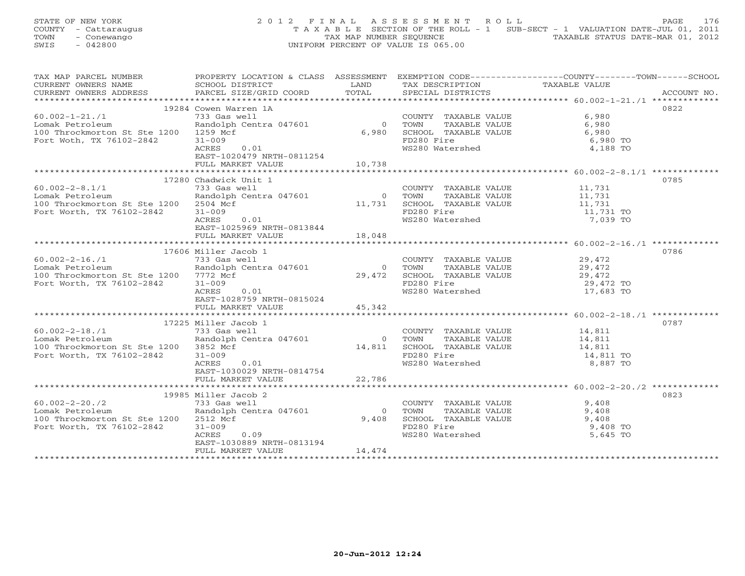STATE OF NEW YORK 2 0 1 2 F I N A L A S S E S S M E N T R O L L PAGE 176 COUNTY - Cattaraugus T A X A B L E SECTION OF THE ROLL - 1 SUB-SECT - 1 VALUATION DATE-JUL 01, 2011 TOWN - Conewango TAX MAP NUMBER SEQUENCE TAXABLE STATUS DATE-MAR 01, 2012<br>
SWIS - 042800 TAXABLE STATUS DATE-MAR 01, 2012 SWIS - 042800 UNIFORM PERCENT OF VALUE IS 065.00

| TAX MAP PARCEL NUMBER                                                 | PROPERTY LOCATION & CLASS ASSESSMENT EXEMPTION CODE----------------COUNTY-------TOWN------SCHOOL                                                                        |                |                                                                                              |                                              |             |
|-----------------------------------------------------------------------|-------------------------------------------------------------------------------------------------------------------------------------------------------------------------|----------------|----------------------------------------------------------------------------------------------|----------------------------------------------|-------------|
| CURRENT OWNERS NAME                                                   | SCHOOL DISTRICT                                                                                                                                                         | LAND           | TAX DESCRIPTION                                                                              | TAXABLE VALUE                                |             |
| CURRENT OWNERS ADDRESS PARCEL SIZE/GRID COORD TOTAL SPECIAL DISTRICTS |                                                                                                                                                                         |                |                                                                                              |                                              | ACCOUNT NO. |
|                                                                       |                                                                                                                                                                         |                |                                                                                              |                                              |             |
|                                                                       | 19284 Cowen Warren 1A                                                                                                                                                   |                |                                                                                              |                                              | 0822        |
| $60.002 - 1 - 21.71$                                                  | 733 Gas well                                                                                                                                                            |                | COUNTY TAXABLE VALUE 6,980<br>0 TOWN TAXABLE VALUE 6,980<br>6,980 SCHOOL TAXABLE VALUE 6,980 |                                              |             |
| Lomak Petroleum                                                       | Randolph Centra 047601                                                                                                                                                  |                |                                                                                              |                                              |             |
| 100 Throckmorton St Ste 1200 1259 Mcf                                 |                                                                                                                                                                         |                |                                                                                              |                                              |             |
| Fort Woth, TX 76102-2842                                              | $31 - 009$                                                                                                                                                              |                | FD280 Fire                                                                                   | 6,980 TO                                     |             |
|                                                                       | ACRES<br>0.01                                                                                                                                                           |                | WS280 Watershed                                                                              | 4,188 TO                                     |             |
|                                                                       | EAST-1020479 NRTH-0811254                                                                                                                                               |                |                                                                                              |                                              |             |
|                                                                       | FULL MARKET VALUE                                                                                                                                                       | 10,738         |                                                                                              |                                              |             |
|                                                                       |                                                                                                                                                                         |                |                                                                                              |                                              |             |
|                                                                       | 17280 Chadwick Unit 1                                                                                                                                                   |                |                                                                                              |                                              | 0785        |
| $60.002 - 2 - 8.1/1$                                                  | 17280 Chadwick only -<br>733 Gas well<br>Randolph Centra 047601 0 TOWN TAXABLE VALUE<br>11,731 SCHOOL TAXABLE VALUE<br>11,731 TO<br>FD280 Fire<br>11,731 TO<br>7,039 TO |                |                                                                                              |                                              |             |
| Lomak Petroleum                                                       |                                                                                                                                                                         |                |                                                                                              |                                              |             |
| 100 Throckmorton St Ste 1200 2504 Mcf                                 |                                                                                                                                                                         |                |                                                                                              |                                              |             |
|                                                                       |                                                                                                                                                                         |                |                                                                                              |                                              |             |
| Fort Worth, TX 76102-2842                                             |                                                                                                                                                                         |                |                                                                                              |                                              |             |
|                                                                       |                                                                                                                                                                         |                | WS280 Watershed                                                                              |                                              |             |
|                                                                       | EAST-1025969 NRTH-0813844                                                                                                                                               |                |                                                                                              |                                              |             |
|                                                                       | FULL MARKET VALUE                                                                                                                                                       | 18,048         |                                                                                              |                                              |             |
|                                                                       |                                                                                                                                                                         |                |                                                                                              |                                              |             |
|                                                                       | 17606 Miller Jacob 1                                                                                                                                                    |                |                                                                                              |                                              | 0786        |
| $60.002 - 2 - 16.71$                                                  | 733 Gas well                                                                                                                                                            |                | COUNTY TAXABLE VALUE 29,472                                                                  |                                              |             |
| Lomak Petroleum                                                       | Randolph Centra 047601                                                                                                                                                  |                |                                                                                              |                                              |             |
| 100 Throckmorton St Ste 1200 7772 Mcf                                 |                                                                                                                                                                         |                | 29,472<br>29,472 SCHOOL TAXABLE VALUE<br>29,472 SCHOOL TAXABLE VALUE<br>FD280 Fire 29,472 TO |                                              |             |
| Fort Worth, TX 76102-2842                                             | $31 - 009$                                                                                                                                                              |                |                                                                                              |                                              |             |
|                                                                       | ACRES 0.01                                                                                                                                                              |                | WS280 Watershed                                                                              | 17,683 TO                                    |             |
|                                                                       | EAST-1028759 NRTH-0815024                                                                                                                                               |                |                                                                                              |                                              |             |
|                                                                       | FULL MARKET VALUE                                                                                                                                                       | 45,342         |                                                                                              |                                              |             |
|                                                                       |                                                                                                                                                                         |                |                                                                                              |                                              |             |
|                                                                       | 17225 Miller Jacob 1                                                                                                                                                    |                |                                                                                              |                                              | 0787        |
| $60.002 - 2 - 18.71$                                                  |                                                                                                                                                                         |                | COUNTY TAXABLE VALUE 14,811                                                                  |                                              |             |
| Lomak Petroleum                                                       | 733 Gas well<br>Randolph Cent<br>Randolph Centra 047601                                                                                                                 | $\overline{0}$ | TOWN                                                                                         | TAXABLE VALUE 14,811<br>TAXABLE VALUE 14,811 |             |
| 100 Throckmorton St Ste 1200 3852 Mcf                                 |                                                                                                                                                                         | 14,811         |                                                                                              |                                              |             |
| Fort Worth, TX 76102-2842                                             | $31 - 009$                                                                                                                                                              |                | SCHOOL TAXABLE VALUE 14,811<br>FD280 Fire 14,811 TO                                          |                                              |             |
|                                                                       | 0.01<br>ACRES                                                                                                                                                           |                | WS280 Watershed                                                                              | 8,887 TO                                     |             |
|                                                                       | EAST-1030029 NRTH-0814754                                                                                                                                               |                |                                                                                              |                                              |             |
|                                                                       | FULL MARKET VALUE 22,786                                                                                                                                                |                |                                                                                              |                                              |             |
|                                                                       |                                                                                                                                                                         |                |                                                                                              |                                              |             |
|                                                                       | 19985 Miller Jacob 2                                                                                                                                                    |                |                                                                                              |                                              | 0823        |
| $60.002 - 2 - 20.72$                                                  | 733 Gas well                                                                                                                                                            |                | COUNTY TAXABLE VALUE                                                                         | 9,408                                        |             |
| Lomak Petroleum                                                       | Randolph Centra 047601                                                                                                                                                  | $\overline{0}$ |                                                                                              |                                              |             |
| 100 Throckmorton St Ste 1200 2512 Mcf                                 |                                                                                                                                                                         | 9,408          |                                                                                              |                                              |             |
|                                                                       |                                                                                                                                                                         |                |                                                                                              | 9,408 TO                                     |             |
| Fort Worth, TX 76102-2842                                             | $31 - 009$<br>ACRES<br>0.09                                                                                                                                             |                | FD280 Fire<br>WS280 Watershed                                                                | 5,645 TO                                     |             |
|                                                                       |                                                                                                                                                                         |                |                                                                                              |                                              |             |
|                                                                       | EAST-1030889 NRTH-0813194                                                                                                                                               | 14,474         |                                                                                              |                                              |             |
|                                                                       | FULL MARKET VALUE                                                                                                                                                       |                |                                                                                              |                                              |             |
|                                                                       |                                                                                                                                                                         |                |                                                                                              |                                              |             |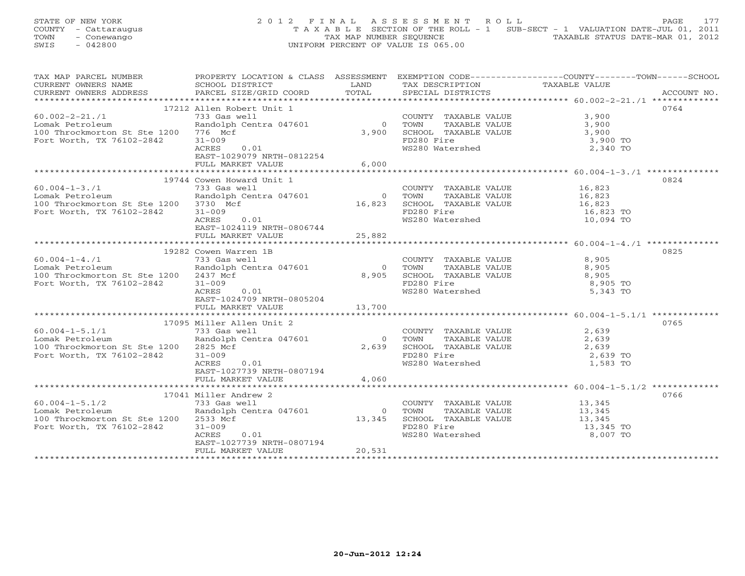STATE OF NEW YORK 2 0 1 2 F I N A L A S S E S S M E N T R O L L PAGE 177 COUNTY - Cattaraugus T A X A B L E SECTION OF THE ROLL - 1 SUB-SECT - 1 VALUATION DATE-JUL 01, 2011 TOWN - Conewango TAX MAP NUMBER SEQUENCE TAXABLE STATUS DATE-MAR 01, 2012<br>
SWIS - 042800 TAXABLE STATUS DATE-MAR 01, 2012 SWIS - 042800 UNIFORM PERCENT OF VALUE IS 065.00

| TAX MAP PARCEL NUMBER                 |                              |                |                                                               | PROPERTY LOCATION & CLASS ASSESSMENT EXEMPTION CODE---------------COUNTY-------TOWN------SCHOOL |             |
|---------------------------------------|------------------------------|----------------|---------------------------------------------------------------|-------------------------------------------------------------------------------------------------|-------------|
| CURRENT OWNERS NAME                   | SCHOOL DISTRICT              | LAND           | TAX DESCRIPTION                                               | TAXABLE VALUE                                                                                   |             |
| CURRENT OWNERS ADDRESS                | PARCEL SIZE/GRID COORD TOTAL |                | SPECIAL DISTRICTS                                             |                                                                                                 | ACCOUNT NO. |
|                                       |                              |                |                                                               |                                                                                                 |             |
|                                       | 17212 Allen Robert Unit 1    |                |                                                               |                                                                                                 | 0764        |
| $60.002 - 2 - 21.71$                  | 733 Gas well                 |                | COUNTY TAXABLE VALUE<br>TOWN TAXABLE VALUE                    |                                                                                                 |             |
| Lomak Petroleum                       | Randolph Centra 047601       | $\overline{0}$ |                                                               | $3,900$<br>$3,900$                                                                              |             |
| 100 Throckmorton St Ste 1200 776 Mcf  |                              |                | $3,900$ SCHOOL TAXABLE VALUE $3,900$                          |                                                                                                 |             |
| Fort Worth, TX 76102-2842             | $31 - 009$                   |                | FD280 Fire                                                    | 3,900 TO                                                                                        |             |
|                                       | ACRES<br>0.01                |                | WS280 Watershed                                               | 2,340 TO                                                                                        |             |
|                                       | EAST-1029079 NRTH-0812254    |                |                                                               |                                                                                                 |             |
|                                       | FULL MARKET VALUE            | 6,000          |                                                               |                                                                                                 |             |
|                                       |                              |                |                                                               |                                                                                                 |             |
|                                       |                              |                |                                                               |                                                                                                 |             |
|                                       | 19744 Cowen Howard Unit 1    |                |                                                               |                                                                                                 | 0824        |
| $60.004 - 1 - 3.71$                   | 733 Gas well                 |                | COUNTY TAXABLE VALUE                                          | TAXABLE VALUE 16,823<br>TAXABLE VALUE 16,823                                                    |             |
| Lomak Petroleum                       | Randolph Centra 047601       | 0 TOWN         |                                                               |                                                                                                 |             |
| 100 Throckmorton St Ste 1200 3730 Mcf |                              |                | 16,823 SCHOOL TAXABLE VALUE 16,823 TO<br>FD280 Fire 16,823 TO |                                                                                                 |             |
| Fort Worth, TX 76102-2842             | $31 - 009$                   |                |                                                               |                                                                                                 |             |
|                                       | ACRES<br>0.01                |                | WS280 Watershed                                               | 10,094 TO                                                                                       |             |
|                                       | EAST-1024119 NRTH-0806744    |                |                                                               |                                                                                                 |             |
|                                       | FULL MARKET VALUE            | 25,882         |                                                               |                                                                                                 |             |
|                                       |                              |                |                                                               |                                                                                                 |             |
|                                       | 19282 Cowen Warren 1B        |                |                                                               |                                                                                                 | 0825        |
| $60.004 - 1 - 4.71$                   | 733 Gas well                 |                | COUNTY TAXABLE VALUE                                          | 8,905                                                                                           |             |
| Lomak Petroleum                       | Randolph Centra 047601       | $\overline{0}$ | TOWN                                                          | TAXABLE VALUE 8,905                                                                             |             |
| 100 Throckmorton St Ste 1200 2437 Mcf |                              | 8,905          | SCHOOL TAXABLE VALUE                                          | 8,905                                                                                           |             |
| Fort Worth, TX 76102-2842             | $31 - 009$                   |                | FD280 Fire                                                    | 8,905 TO                                                                                        |             |
|                                       | ACRES<br>0.01                |                | WS280 Watershed                                               | 5,343 TO                                                                                        |             |
|                                       | EAST-1024709 NRTH-0805204    |                |                                                               |                                                                                                 |             |
|                                       |                              |                |                                                               |                                                                                                 |             |
|                                       | FULL MARKET VALUE            | 13,700         |                                                               |                                                                                                 |             |
|                                       |                              |                |                                                               |                                                                                                 |             |
|                                       | 17095 Miller Allen Unit 2    |                |                                                               |                                                                                                 | 0765        |
| $60.004 - 1 - 5.1/1$                  | 733 Gas well                 |                | COUNTY TAXABLE VALUE                                          | 2,639                                                                                           |             |
| Lomak Petroleum                       | Randolph Centra 047601       | $\bigcirc$     | TAXABLE VALUE<br>TOWN                                         | 2,639                                                                                           |             |
| 100 Throckmorton St Ste 1200 2825 Mcf |                              | 2,639          | SCHOOL TAXABLE VALUE                                          | 2,639                                                                                           |             |
| Fort Worth, TX 76102-2842             | $31 - 009$                   |                | FD280 Fire                                                    | 2,639 TO                                                                                        |             |
|                                       | ACRES<br>0.01                |                | WS280 Watershed                                               | 1,583 TO                                                                                        |             |
|                                       | EAST-1027739 NRTH-0807194    |                |                                                               |                                                                                                 |             |
|                                       | FULL MARKET VALUE            | 4,060          |                                                               |                                                                                                 |             |
|                                       |                              |                |                                                               |                                                                                                 |             |
|                                       | 17041 Miller Andrew 2        |                |                                                               |                                                                                                 | 0766        |
| $60.004 - 1 - 5.1/2$                  | 733 Gas well                 |                | COUNTY TAXABLE VALUE 13,345                                   |                                                                                                 |             |
| Lomak Petroleum                       | Randolph Centra 047601       | $\overline{0}$ | TOWN                                                          | 13,345                                                                                          |             |
| 100 Throckmorton St Ste 1200 2533 Mcf |                              | 13,345         | -<br>TAXABLE VALUE<br>TAXABLE VALUE<br>SCHOOL TAXABLE VALUE   | 13,345<br>13,345                                                                                |             |
| Fort Worth, TX 76102-2842             | $31 - 009$                   |                | FD280 Fire                                                    | 13,345 TO                                                                                       |             |
|                                       | ACRES<br>0.01                |                | WS280 Watershed                                               | 8,007 TO                                                                                        |             |
|                                       | EAST-1027739 NRTH-0807194    |                |                                                               |                                                                                                 |             |
|                                       | FULL MARKET VALUE            | 20,531         |                                                               |                                                                                                 |             |
|                                       |                              |                |                                                               |                                                                                                 |             |
|                                       |                              |                |                                                               |                                                                                                 |             |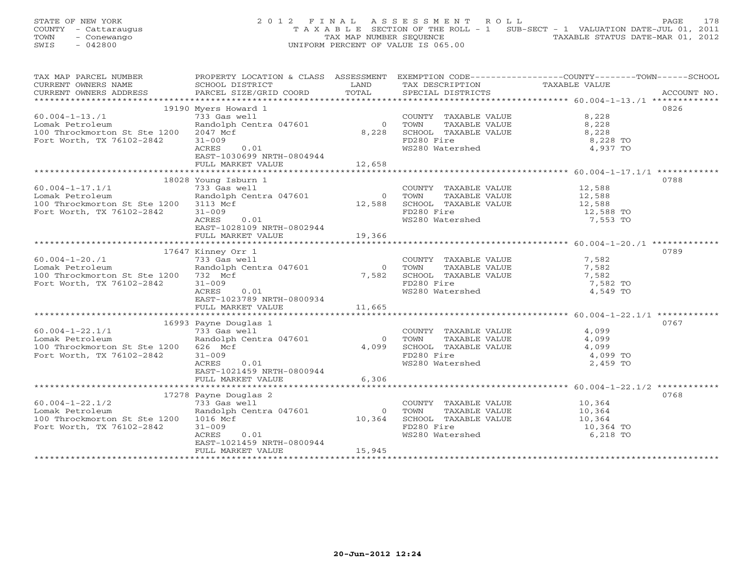STATE OF NEW YORK 2 0 1 2 F I N A L A S S E S S M E N T R O L L PAGE 178 COUNTY - Cattaraugus T A X A B L E SECTION OF THE ROLL - 1 SUB-SECT - 1 VALUATION DATE-JUL 01, 2011 TOWN - Conewango TAX MAP NUMBER SEQUENCE TOWN - CONEWARDO TOWN - CONEWARDO TOWN - CONEWARDO TAXABLE STATUS DATE-MAR 01, 2012 SWIS - 042800 UNIFORM PERCENT OF VALUE IS 065.00

| TAX MAP PARCEL NUMBER<br>CURRENT OWNERS NAME<br>CURRENT OWNERS ADDRESS                                         | PROPERTY LOCATION & CLASS ASSESSMENT EXEMPTION CODE---------------COUNTY-------TOWN------SCHOOL<br>SCHOOL DISTRICT<br>PARCEL SIZE/GRID COORD                              | LAND<br>TOTAL                      | TAX DESCRIPTION<br>SPECIAL DISTRICTS                                                                          | TAXABLE VALUE                                                                       | ACCOUNT NO. |
|----------------------------------------------------------------------------------------------------------------|---------------------------------------------------------------------------------------------------------------------------------------------------------------------------|------------------------------------|---------------------------------------------------------------------------------------------------------------|-------------------------------------------------------------------------------------|-------------|
| $60.004 - 1 - 13.71$<br>Lomak Petroleum<br>100 Throckmorton St Ste 1200<br>Fort Worth, TX 76102-2842           | 19190 Myers Howard 1<br>733 Gas well<br>Randolph Centra 047601<br>2047 Mcf<br>$31 - 009$<br>ACRES<br>0.01<br>EAST-1030699 NRTH-0804944<br>FULL MARKET VALUE               | $\overline{0}$<br>8,228<br>12,658  | COUNTY TAXABLE VALUE<br>TOWN<br>TAXABLE VALUE<br>SCHOOL TAXABLE VALUE<br>FD280 Fire<br>WS280 Watershed        | 8,228<br>8,228<br>8,228<br>8,228 TO<br>4,937 TO                                     | 0826        |
| $60.004 - 1 - 17.1/1$<br>Lomak Petroleum<br>100 Throckmorton St Ste 1200 3113 Mcf<br>Fort Worth, TX 76102-2842 | 18028 Young Isburn 1<br>733 Gas well<br>Randolph Centra 047601<br>$31 - 009$<br>ACRES<br>0.01<br>EAST-1028109 NRTH-0802944<br>FULL MARKET VALUE                           | $\overline{0}$<br>12,588<br>19,366 | COUNTY TAXABLE VALUE 12,588<br>FD280 Fire<br>WS280 Watershed                                                  | 12,588 TO<br>7,553 TO                                                               | 0788        |
| $60.004 - 1 - 20.71$<br>Lomak Petroleum<br>100 Throckmorton St Ste 1200<br>Fort Worth, TX 76102-2842           | 17647 Kinney Orr 1<br>nining<br>733 Gas well<br>Randolph Centra 047601<br>732 Mcf<br>$31 - 009$<br><b>ACRES</b><br>0.01<br>EAST-1023789 NRTH-0800934<br>FULL MARKET VALUE | $\overline{0}$<br>7,582<br>11,665  | COUNTY TAXABLE VALUE 7,582<br>TOWN<br>SCHOOL TAXABLE VALUE<br>FD280 Fire<br>WS280 Watershed                   | TAXABLE VALUE<br>TAXABLE VALUE 7,582<br>TAXABLE VALUE 7,582<br>7,582 TO<br>4,549 TO | 0789        |
| $60.004 - 1 - 22.1/1$<br>Lomak Petroleum<br>100 Throckmorton St Ste 1200<br>Fort Worth, TX 76102-2842          | 16993 Payne Douglas 1<br>733 Gas well<br>Randolph Centra 047601<br>626 Mcf<br>$31 - 009$<br>ACRES<br>0.01<br>EAST-1021459 NRTH-0800944<br>FULL MARKET VALUE               | $\overline{0}$<br>4,099<br>6,306   | COUNTY TAXABLE VALUE<br>TOWN      TAXABLE VALUE<br>SCHOOL TAXABLE VALUE<br>FD280 Fire<br>WS280 Watershed      | 4,099<br>4,099<br>$4,099$ TO<br>$4,099$ TO<br>2,459 TO                              | 0767        |
| $60.004 - 1 - 22.1/2$<br>Lomak Petroleum<br>100 Throckmorton St Ste 1200 1016 Mcf<br>Fort Worth, TX 76102-2842 | 17278 Payne Douglas 2<br>733 Gas well<br>Randolph Centra 047601<br>$31 - 009$<br>ACRES<br>0.01<br>EAST-1021459 NRTH-0800944<br>FULL MARKET VALUE                          | $\circ$<br>10,364<br>15,945        | COUNTY TAXABLE VALUE 10,364<br>TOWN<br>TAXABLE VALUE<br>SCHOOL TAXABLE VALUE<br>FD280 Fire<br>WS280 Watershed | 10,364<br>10,364<br>10,364<br>10,364 TO<br>6,218 TO                                 | 0768        |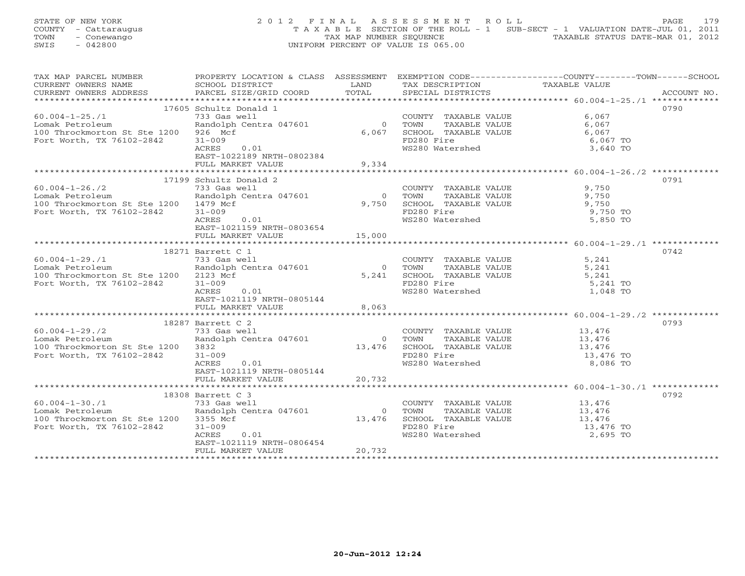| STATE OF NEW YORK    | 2012 FINAL ASSESSMENT ROLL                                                     | 179<br>PAGE                      |
|----------------------|--------------------------------------------------------------------------------|----------------------------------|
| COUNTY - Cattaraugus | T A X A B L E SECTION OF THE ROLL - 1 SUB-SECT - 1 VALUATION DATE-JUL 01, 2011 |                                  |
| TOWN<br>- Conewango  | TAX MAP NUMBER SEOUENCE                                                        | TAXABLE STATUS DATE-MAR 01, 2012 |
| - 042800<br>SWIS     | UNIFORM PERCENT OF VALUE IS 065.00                                             |                                  |

| TAX MAP PARCEL NUMBER                                                                                         |                                                                                                                                                                   |                                  |                                                                                                                                                                                              | PROPERTY LOCATION & CLASS ASSESSMENT EXEMPTION CODE----------------COUNTY-------TOWN------SCHOOL |
|---------------------------------------------------------------------------------------------------------------|-------------------------------------------------------------------------------------------------------------------------------------------------------------------|----------------------------------|----------------------------------------------------------------------------------------------------------------------------------------------------------------------------------------------|--------------------------------------------------------------------------------------------------|
|                                                                                                               | 17605 Schultz Donald 1                                                                                                                                            |                                  |                                                                                                                                                                                              | 0790                                                                                             |
| $60.004 - 1 - 25.71$<br>Lomak Petroleum<br>100 Throckmorton St Ste 1200 926 Mcf<br>Fort Worth, TX 76102-2842  | 733 Gas well<br>Randolph Centra 047601<br>$31 - 009$<br>ACRES<br>0.01<br>EAST-1022189 NRTH-0802384<br>FULL MARKET VALUE                                           | $\overline{0}$<br>6,067<br>9,334 | COUNTY TAXABLE VALUE<br>TAXABLE VALUE<br>TOWN<br>SCHOOL TAXABLE VALUE<br>FD280 Fire<br>WS280 Watershed                                                                                       | 6,067<br>6,067<br>6,067<br>6,067 TO<br>3,640 TO                                                  |
|                                                                                                               |                                                                                                                                                                   |                                  |                                                                                                                                                                                              |                                                                                                  |
| $60.004 - 1 - 26.72$<br>Lomak Petroleum<br>100 Throckmorton St Ste 1200 1479 Mcf<br>Fort Worth, TX 76102-2842 | 17199 Schultz Donald 2<br>733 Gas well<br>733 Gas well<br>Randolph Centra 047601<br>$31 - 009$<br>ACRES<br>0.01<br>EAST-1021159 NRTH-0803654<br>FULL MARKET VALUE | 15,000                           | COUNTY TAXABLE VALUE 9,750<br>$\begin{tabular}{cccc} 0 & Town & TAXABLE VALUE & & & \\ 9,750 & SCHOOL & TAXABLE VALUE & & & \\ \end{tabular}$<br>FD280 Fire<br>FD280 Fire<br>WS280 Watershed | 0791<br>9,750 TO<br>5,850 TO                                                                     |
|                                                                                                               |                                                                                                                                                                   |                                  |                                                                                                                                                                                              | 0742                                                                                             |
| $60.004 - 1 - 29.71$<br>Lomak Petroleum<br>100 Throckmorton St Ste 1200 2123 Mcf<br>Fort Worth, TX 76102-2842 | 18271 Barrett C 1<br>----- 733 Gas well<br>Randolph Centra 047601<br>$31 - 009$<br>ACRES<br>0.01<br>EAST-1021119 NRTH-0805144                                     |                                  | COUNTY TAXABLE VALUE 5,241<br>0 TOWN<br>5,241 SCHOOL TAXABLE VALUE<br>FD280 Fire<br>WS280 Watershed                                                                                          | TAXABLE VALUE 5,241<br>TAXABLE VALUE 5,241<br>5,241 TO<br>1,048 TO                               |
|                                                                                                               | FULL MARKET VALUE                                                                                                                                                 | 8,063                            |                                                                                                                                                                                              |                                                                                                  |
| 60.004-1-29./2<br>Lomak Petroleum<br>100 Throckmorton St Ste 1200<br>Fort Worth, TX 76102-2842                | 18287 Barrett C 2<br>733 Gas well<br>Randolph Centra 047601<br>3832<br>$31 - 009$<br>0.01<br>ACRES<br>EAST-1021119 NRTH-0805144                                   | $0$ TOWN                         | COUNTY TAXABLE VALUE 13,476<br>TOWN TAXABLE VALUE 13,476<br>13,476 SCHOOL TAXABLE VALUE 13,476 TO<br>13,476 SCHOOL TAXABLE VALUE 13,476 TO<br>WS280 Watershed                                | 0793<br>8,086 TO                                                                                 |
|                                                                                                               | FULL MARKET VALUE                                                                                                                                                 | 20,732                           |                                                                                                                                                                                              |                                                                                                  |
|                                                                                                               | 18308 Barrett C 3                                                                                                                                                 |                                  |                                                                                                                                                                                              | 0792                                                                                             |
| $60.004 - 1 - 30.71$<br>Lomak Petroleum<br>100 Throckmorton St Ste 1200 3355 Mcf<br>Fort Worth, TX 76102-2842 | 733 Gas well<br>Randolph Centra 047601<br>$31 - 009$<br>ACRES<br>0.01<br>EAST-1021119 NRTH-0806454<br>FULL MARKET VALUE                                           | $\overline{0}$<br>20,732         | COUNTY TAXABLE VALUE 13,476<br>TOWN<br>13,476 SCHOOL TAXABLE VALUE<br>FD280 Fire<br>WS280 Watershed                                                                                          | TAXABLE VALUE<br>TAXABLE VALUE 13,476<br>TAXABLE VALUE 13,476<br>ire 13,476 TO<br>2,695 TO       |
|                                                                                                               |                                                                                                                                                                   |                                  |                                                                                                                                                                                              |                                                                                                  |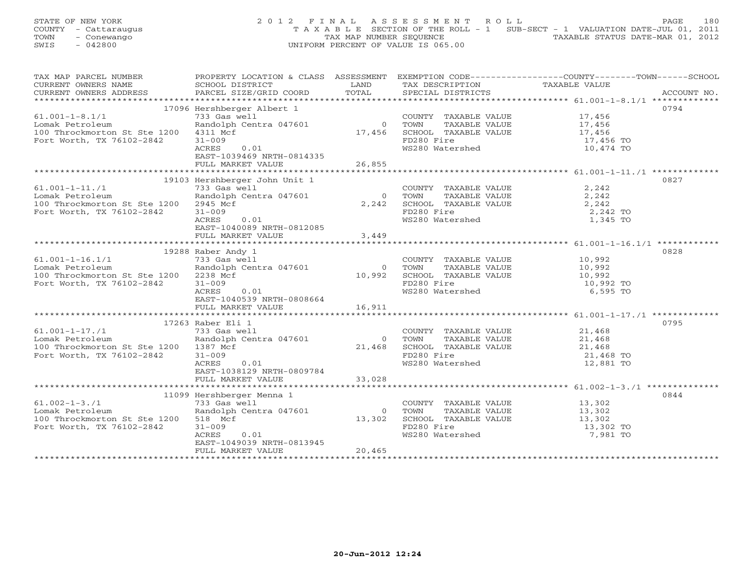STATE OF NEW YORK 2 0 1 2 F I N A L A S S E S S M E N T R O L L PAGE 180 COUNTY - Cattaraugus T A X A B L E SECTION OF THE ROLL - 1 SUB-SECT - 1 VALUATION DATE-JUL 01, 2011 TOWN - Conewango TAX MAP NUMBER SEQUENCE TAXABLE STATUS DATE-MAR 01, 2012<br>
SWIS - 042800 TAXABLE STATUS DATE-MAR 01, 2012 SWIS - 042800 UNIFORM PERCENT OF VALUE IS 065.00

| TAX MAP PARCEL NUMBER                 | PROPERTY LOCATION & CLASS ASSESSMENT EXEMPTION CODE---------------COUNTY-------TOWN------SCHOOL                      |                |                                                                                                                                                                                                                                                             |               |             |
|---------------------------------------|----------------------------------------------------------------------------------------------------------------------|----------------|-------------------------------------------------------------------------------------------------------------------------------------------------------------------------------------------------------------------------------------------------------------|---------------|-------------|
| CURRENT OWNERS NAME                   | SCHOOL DISTRICT                                                                                                      | LAND           | TAX DESCRIPTION                                                                                                                                                                                                                                             | TAXABLE VALUE |             |
| CURRENT OWNERS ADDRESS                | PARCEL SIZE/GRID COORD TOTAL                                                                                         |                | SPECIAL DISTRICTS                                                                                                                                                                                                                                           |               | ACCOUNT NO. |
|                                       |                                                                                                                      |                |                                                                                                                                                                                                                                                             |               |             |
|                                       | 17096 Hershberger Albert 1                                                                                           |                |                                                                                                                                                                                                                                                             |               | 0794        |
| $61.001 - 1 - 8.1/1$                  | 733 Gas well<br>Randolph Centra 047601 0 TOWN TAXABLE VALUE 17,456<br>4311 Mcf 17,456 SCHOOL TAXABLE VALUE 17,456 TO |                |                                                                                                                                                                                                                                                             |               |             |
| Lomak Petroleum                       |                                                                                                                      |                |                                                                                                                                                                                                                                                             |               |             |
| 100 Throckmorton St Ste 1200          |                                                                                                                      |                |                                                                                                                                                                                                                                                             |               |             |
| Fort Worth, TX 76102-2842             |                                                                                                                      |                |                                                                                                                                                                                                                                                             |               |             |
|                                       | 0.01<br>ACRES                                                                                                        |                | WS280 Watershed                                                                                                                                                                                                                                             | $10,474$ TO   |             |
|                                       | EAST-1039469 NRTH-0814335                                                                                            |                |                                                                                                                                                                                                                                                             |               |             |
|                                       |                                                                                                                      |                |                                                                                                                                                                                                                                                             |               |             |
|                                       |                                                                                                                      |                |                                                                                                                                                                                                                                                             |               |             |
|                                       |                                                                                                                      |                |                                                                                                                                                                                                                                                             |               |             |
|                                       | 19103 Hershberger John Unit 1                                                                                        |                |                                                                                                                                                                                                                                                             |               | 0827        |
| $61.001 - 1 - 11./1$                  | 733 Gas well                                                                                                         |                | $\begin{tabular}{lllllllll} \multicolumn{2}{c}{\textbf{COUNTY}} & \multicolumn{2}{c}{\textbf{TAXABLE VALUE}} & & & & 2 \text{, } 242 \\ \multicolumn{2}{c}{\textbf{TOWN}} & \multicolumn{2}{c}{\textbf{TAXABLE VALUE}} & & & 2 \text{, } 242 \end{tabular}$ |               |             |
| Lomak Petroleum                       | Randolph Centra 047601                                                                                               | $\overline{0}$ |                                                                                                                                                                                                                                                             |               |             |
| 100 Throckmorton St Ste 1200          | 2945 Mcf                                                                                                             | 2,242          | SCHOOL TAXABLE VALUE $2,242$<br>FD280 Fire 2,242 TO                                                                                                                                                                                                         |               |             |
| Fort Worth, TX 76102-2842             | $31 - 009$                                                                                                           |                |                                                                                                                                                                                                                                                             |               |             |
|                                       | ACRES<br>0.01                                                                                                        |                | WS280 Watershed                                                                                                                                                                                                                                             | 1,345 TO      |             |
|                                       | EAST-1040089 NRTH-0812085                                                                                            |                |                                                                                                                                                                                                                                                             |               |             |
|                                       | FULL MARKET VALUE                                                                                                    | 3,449          |                                                                                                                                                                                                                                                             |               |             |
|                                       |                                                                                                                      |                |                                                                                                                                                                                                                                                             |               |             |
|                                       | 19288 Raber Andy 1                                                                                                   |                |                                                                                                                                                                                                                                                             |               | 0828        |
| $61.001 - 1 - 16.1/1$                 | 733 Gas well                                                                                                         |                | COUNTY TAXABLE VALUE 10,992                                                                                                                                                                                                                                 |               |             |
| Lomak Petroleum                       | Randolph Centra 047601                                                                                               | $\circ$        |                                                                                                                                                                                                                                                             |               |             |
| 100 Throckmorton St Ste 1200          | 2238 Mcf                                                                                                             | 10,992         | TOWN TAXABLE VALUE 10,992<br>SCHOOL TAXABLE VALUE 10,992<br>FD280 Fire 10,992 TO 10,992 TO                                                                                                                                                                  |               |             |
| Fort Worth, TX 76102-2842             | $31 - 009$                                                                                                           |                |                                                                                                                                                                                                                                                             |               |             |
|                                       | ACRES<br>0.01                                                                                                        |                | WS280 Watershed                                                                                                                                                                                                                                             | 6,595 TO      |             |
|                                       |                                                                                                                      |                |                                                                                                                                                                                                                                                             |               |             |
|                                       | EAST-1040539 NRTH-0808664                                                                                            |                |                                                                                                                                                                                                                                                             |               |             |
|                                       | FULL MARKET VALUE                                                                                                    | 16,911         |                                                                                                                                                                                                                                                             |               |             |
|                                       |                                                                                                                      |                |                                                                                                                                                                                                                                                             |               |             |
|                                       | 17263 Raber Eli 1                                                                                                    |                |                                                                                                                                                                                                                                                             |               | 0795        |
| $61.001 - 1 - 17.11$                  | 733 Gas well                                                                                                         |                | COUNTY TAXABLE VALUE                                                                                                                                                                                                                                        | 21,468        |             |
| Lomak Petroleum                       | Randolph Centra 047601                                                                                               | $\Omega$       | TOWN<br>$\begin{tabular}{llll} \texttt{TAXABLE} & \texttt{VALUE} & \texttt{21,468} \\ \texttt{TAXABLE} & \texttt{VALUE} & \texttt{21,468} \\ \end{tabular}$                                                                                                 |               |             |
| 100 Throckmorton St Ste 1200 1387 Mcf |                                                                                                                      | 21,468         | SCHOOL TAXABLE VALUE                                                                                                                                                                                                                                        |               |             |
| Fort Worth, TX 76102-2842             | $31 - 009$                                                                                                           |                | FD280 Fire                                                                                                                                                                                                                                                  | 21,468 TO     |             |
|                                       | ACRES<br>0.01                                                                                                        |                | WS280 Watershed                                                                                                                                                                                                                                             | 12,881 TO     |             |
|                                       | EAST-1038129 NRTH-0809784                                                                                            |                |                                                                                                                                                                                                                                                             |               |             |
|                                       | FULL MARKET VALUE                                                                                                    | 33,028         |                                                                                                                                                                                                                                                             |               |             |
|                                       |                                                                                                                      |                |                                                                                                                                                                                                                                                             |               |             |
|                                       | 11099 Hershberger Menna 1                                                                                            |                |                                                                                                                                                                                                                                                             |               | 0844        |
| $61.002 - 1 - 3.71$                   | 733 Gas well                                                                                                         |                | COUNTY TAXABLE VALUE                                                                                                                                                                                                                                        | 13,302        |             |
| Lomak Petroleum                       | Randolph Centra 047601                                                                                               | $\overline{0}$ |                                                                                                                                                                                                                                                             |               |             |
| 100 Throckmorton St Ste 1200          | 518 Mcf                                                                                                              | 13,302         |                                                                                                                                                                                                                                                             |               |             |
| Fort Worth, TX 76102-2842             | $31 - 009$                                                                                                           |                |                                                                                                                                                                                                                                                             | 13,302 TO     |             |
|                                       | ACRES<br>0.01                                                                                                        |                | FD280 Fire<br>WS280 Watershed                                                                                                                                                                                                                               | 7,981 TO      |             |
|                                       | EAST-1049039 NRTH-0813945                                                                                            |                |                                                                                                                                                                                                                                                             |               |             |
|                                       | FULL MARKET VALUE                                                                                                    | 20,465         |                                                                                                                                                                                                                                                             |               |             |
|                                       |                                                                                                                      |                |                                                                                                                                                                                                                                                             |               |             |
|                                       |                                                                                                                      |                |                                                                                                                                                                                                                                                             |               |             |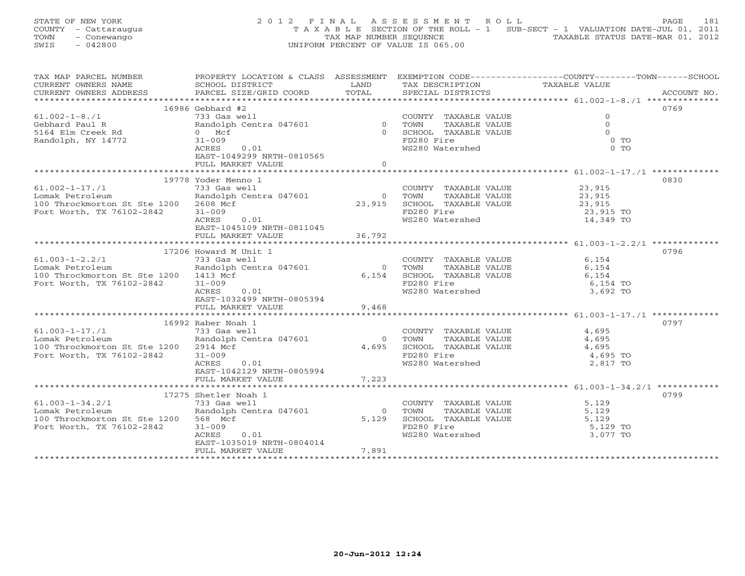STATE OF NEW YORK 2 0 1 2 F I N A L A S S E S S M E N T R O L L PAGE 181 COUNTY - Cattaraugus T A X A B L E SECTION OF THE ROLL - 1 SUB-SECT - 1 VALUATION DATE-JUL 01, 2011 TOWN - Conewango TAX MAP NUMBER SEQUENCE TAXABLE STATUS DATE-MAR 01, 2012<br>
SWIS - 042800 TAXABLE STATUS DATE-MAR 01, 2012 SWIS - 042800 UNIFORM PERCENT OF VALUE IS 065.00

| TAX MAP PARCEL NUMBER                 | PROPERTY LOCATION & CLASS ASSESSMENT EXEMPTION CODE---------------COUNTY-------TOWN-----SCHOOL                                              |                |                                                                                    |                     |      |
|---------------------------------------|---------------------------------------------------------------------------------------------------------------------------------------------|----------------|------------------------------------------------------------------------------------|---------------------|------|
| CURRENT OWNERS NAME                   |                                                                                                                                             |                |                                                                                    |                     |      |
| CURRENT OWNERS ADDRESS                |                                                                                                                                             |                |                                                                                    |                     |      |
|                                       |                                                                                                                                             |                |                                                                                    |                     |      |
|                                       | $16986$ Gebhard #2                                                                                                                          |                |                                                                                    |                     | 0769 |
| $61.002 - 1 - 8.71$                   | The COUNTY TAXABLE VALUE<br>733 Gas well<br>Randolph Centra 047601 0 TOWN TAXABLE VALUE<br>0 SCHOOL TAXABLE VALUE<br>0 SCHOOL TAXABLE VALUE |                |                                                                                    | $\circ$             |      |
| Gebhard Paul R                        |                                                                                                                                             |                |                                                                                    | $\Omega$            |      |
| 5164 Elm Creek Rd                     |                                                                                                                                             |                |                                                                                    | $\cap$              |      |
| Randolph, NY 14772                    | $31 - 009$                                                                                                                                  |                | FD280 Fire                                                                         | $0$ TO              |      |
|                                       | 0.01<br>ACRES                                                                                                                               |                | WS280 Watershed                                                                    | $0$ TO              |      |
|                                       | EAST-1049299 NRTH-0810565                                                                                                                   |                |                                                                                    |                     |      |
|                                       | FULL MARKET VALUE                                                                                                                           | $\overline{0}$ |                                                                                    |                     |      |
|                                       |                                                                                                                                             |                |                                                                                    |                     |      |
|                                       | 19778 Yoder Menno 1                                                                                                                         |                |                                                                                    |                     | 0830 |
| $61.002 - 1 - 17$ ./1                 | 733 Gas well                                                                                                                                |                |                                                                                    |                     |      |
|                                       | Randolph Centra 047601                                                                                                                      |                | COUNTY TAXABLE VALUE<br>TOWN      TAXABLE VALUE                                    | 23,915<br>23,915    |      |
| Lomak Petroleum                       |                                                                                                                                             |                |                                                                                    |                     |      |
| 100 Throckmorton St Ste 1200 2608 Mcf |                                                                                                                                             |                | 23,915<br>23,915 SCHOOL TAXABLE VALUE 23,915<br>23,915 SCHOOL TAXABLE VALUE 23,915 |                     |      |
| Fort Worth, TX 76102-2842             | $31 - 009$                                                                                                                                  |                | FD280 Fire                                                                         | 23,915 TO           |      |
|                                       | 0.01<br>ACRES                                                                                                                               |                | WS280 Watershed                                                                    | 14,349 TO           |      |
|                                       | EAST-1045109 NRTH-0811045                                                                                                                   |                |                                                                                    |                     |      |
|                                       | FULL MARKET VALUE                                                                                                                           | 36,792         |                                                                                    |                     |      |
|                                       |                                                                                                                                             |                |                                                                                    |                     |      |
|                                       | 17206 Howard M Unit 1                                                                                                                       |                |                                                                                    |                     | 0796 |
| $61.003 - 1 - 2.2/1$                  | 733 Gas well                                                                                                                                |                | COUNTY TAXABLE VALUE                                                               | 6,154               |      |
| Lomak Petroleum                       | Randolph Centra 047601                                                                                                                      | $\overline{O}$ | TOWN                                                                               | TAXABLE VALUE 6,154 |      |
| 100 Throckmorton St Ste 1200 1413 Mcf |                                                                                                                                             |                |                                                                                    |                     |      |
| Fort Worth, TX 76102-2842             | $31 - 009$                                                                                                                                  |                | 6,154 SCHOOL TAXABLE VALUE 6,154<br>FD280 Fire 6,154 TO                            |                     |      |
|                                       | ACRES<br>0.01                                                                                                                               |                | WS280 Watershed                                                                    | 3,692 TO            |      |
|                                       | EAST-1032499 NRTH-0805394                                                                                                                   |                |                                                                                    |                     |      |
|                                       | FULL MARKET VALUE                                                                                                                           | 9,468          |                                                                                    |                     |      |
|                                       |                                                                                                                                             |                |                                                                                    |                     |      |
|                                       | 16992 Raber Noah 1                                                                                                                          |                |                                                                                    |                     | 0797 |
| $61.003 - 1 - 17$ ./1                 | 733 Gas well                                                                                                                                |                | COUNTY TAXABLE VALUE                                                               | 4,695               |      |
| Lomak Petroleum                       | Randolph Centra 047601                                                                                                                      | $\Omega$       | TAXABLE VALUE<br>TOWN                                                              | 4,695               |      |
| 100 Throckmorton St Ste 1200 2914 Mcf |                                                                                                                                             |                | 4,695 SCHOOL TAXABLE VALUE                                                         | 4,695               |      |
| Fort Worth, TX 76102-2842             | $31 - 009$                                                                                                                                  |                | FD280 Fire                                                                         | 4,695 TO            |      |
|                                       | ACRES 0.01                                                                                                                                  |                | WS280 Watershed                                                                    | 2,817 TO            |      |
|                                       | EAST-1042129 NRTH-0805994                                                                                                                   |                |                                                                                    |                     |      |
|                                       |                                                                                                                                             |                |                                                                                    |                     |      |
|                                       | FULL MARKET VALUE                                                                                                                           | 7,223          |                                                                                    |                     |      |
|                                       |                                                                                                                                             |                |                                                                                    |                     |      |
|                                       | 17275 Shetler Noah 1                                                                                                                        |                |                                                                                    |                     | 0799 |
| $61.003 - 1 - 34.2/1$                 | 733 Gas well                                                                                                                                |                | COUNTY TAXABLE VALUE                                                               | 5,129               |      |
| Lomak Petroleum                       | Randolph Centra 047601                                                                                                                      | $\Omega$       | TOWN<br>TAXABLE VALUE                                                              | 5,129               |      |
| 100 Throckmorton St Ste 1200 568 Mcf  |                                                                                                                                             | 5,129          | SCHOOL TAXABLE VALUE                                                               | 5,129               |      |
| Fort Worth, TX 76102-2842             | $31 - 009$                                                                                                                                  |                | FD280 Fire<br>WS280 Watershed                                                      | 5,129 TO            |      |
|                                       | ACRES<br>0.01                                                                                                                               |                |                                                                                    | 3,077 TO            |      |
|                                       | EAST-1035019 NRTH-0804014                                                                                                                   |                |                                                                                    |                     |      |
|                                       | FULL MARKET VALUE                                                                                                                           | 7,891          |                                                                                    |                     |      |
|                                       |                                                                                                                                             |                |                                                                                    |                     |      |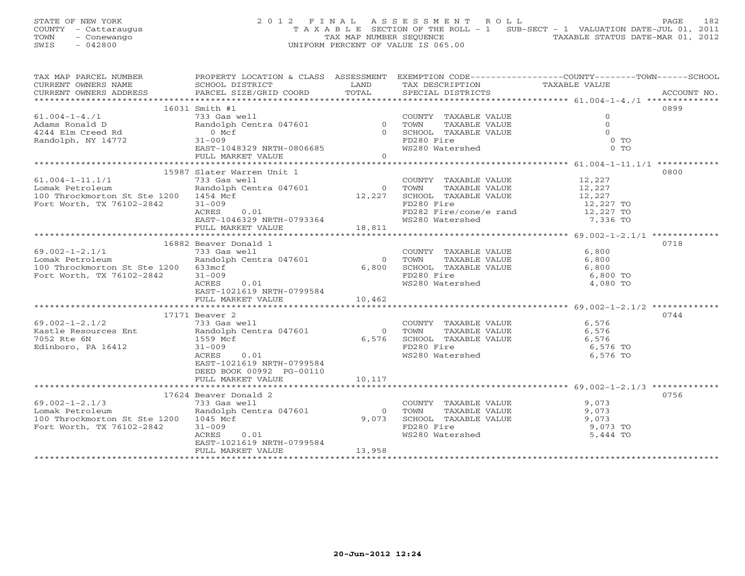STATE OF NEW YORK 2012 FINAL ASSESSMENT ROLL PAGE 182 COUNTY - Cattaraugus T A X A B L E SECTION OF THE ROLL - 1 SUB-SECT - 1 VALUATION DATE-JUL 01, 2011 TOWN - Conewango TAX MAP NUMBER SEQUENCE TAXABLE STATUS DATE-MAR 01, 2012<br>
SWIS - 042800 TAXABLE STATUS DATE-MAR 01, 2012 SWIS - 042800 UNIFORM PERCENT OF VALUE IS 065.00

| TAX MAP PARCEL NUMBER                                                                                |                                                                                                                                                 |                |                                                                                                                                  | PROPERTY LOCATION & CLASS ASSESSMENT EXEMPTION CODE---------------COUNTY-------TOWN------SCHOOL |
|------------------------------------------------------------------------------------------------------|-------------------------------------------------------------------------------------------------------------------------------------------------|----------------|----------------------------------------------------------------------------------------------------------------------------------|-------------------------------------------------------------------------------------------------|
|                                                                                                      |                                                                                                                                                 |                |                                                                                                                                  |                                                                                                 |
|                                                                                                      |                                                                                                                                                 |                |                                                                                                                                  |                                                                                                 |
|                                                                                                      |                                                                                                                                                 |                |                                                                                                                                  |                                                                                                 |
|                                                                                                      | 16031 Smith #1                                                                                                                                  |                |                                                                                                                                  | 0899                                                                                            |
| 61.004-1-4./1<br>Adams Ronald D<br>4244 Elm Creed Rd 10.00101                                        |                                                                                                                                                 |                |                                                                                                                                  | $\Omega$                                                                                        |
|                                                                                                      |                                                                                                                                                 |                |                                                                                                                                  | $\Omega$                                                                                        |
|                                                                                                      |                                                                                                                                                 |                |                                                                                                                                  | $\Omega$                                                                                        |
| Randolph, NY 14772                                                                                   | Smith #1<br>733 Gas well<br>Randolph Centra 047601 0 10000 TOWN TAXABLE VALUE<br>0 SCHOOL TAXABLE VALUE<br>0 SCHOOL TAXABLE VALUE<br>$31 - 009$ |                | FD280 Fire                                                                                                                       | $0$ TO                                                                                          |
|                                                                                                      | EAST-1048329 NRTH-0806685                                                                                                                       |                | WS280 Watershed                                                                                                                  | $0$ TO                                                                                          |
|                                                                                                      | FULL MARKET VALUE                                                                                                                               | $\Omega$       |                                                                                                                                  |                                                                                                 |
|                                                                                                      |                                                                                                                                                 |                |                                                                                                                                  |                                                                                                 |
|                                                                                                      | 15987 Slater Warren Unit 1                                                                                                                      |                |                                                                                                                                  | 0800                                                                                            |
| $61.004 - 1 - 11.1/1$                                                                                | 733 Gas well<br>Randolph Centra 047601                                                                                                          |                | COUNTY TAXABLE VALUE 12,227                                                                                                      |                                                                                                 |
| Lomak Petroleum                                                                                      |                                                                                                                                                 |                | $12,227$ O TOWN TAXABLE VALUE $12,227$ SCHOOL TAXABLE VALUE $12,227$                                                             |                                                                                                 |
| 100 Throckmorton St Ste 1200 1454 Mcf                                                                |                                                                                                                                                 |                |                                                                                                                                  |                                                                                                 |
| Fort Worth, TX 76102-2842                                                                            | $31 - 009$                                                                                                                                      |                | FD280 Fire                                                                                                                       | 12,227 TO<br>12,227 TO                                                                          |
|                                                                                                      | $\text{ACRES}$ 0.01                                                                                                                             |                | FD282 Fire/cone/e rand                                                                                                           |                                                                                                 |
|                                                                                                      |                                                                                                                                                 |                | WS280 Watershed                                                                                                                  | 7,336 TO                                                                                        |
|                                                                                                      | EAST-1046329 NRTH-0793364<br>FULL MARKET VALUE 18,811                                                                                           |                |                                                                                                                                  |                                                                                                 |
|                                                                                                      |                                                                                                                                                 |                |                                                                                                                                  |                                                                                                 |
|                                                                                                      | 16882 Beaver Donald 1                                                                                                                           |                |                                                                                                                                  | 0718                                                                                            |
| $69.002 - 1 - 2.1/1$                                                                                 | - 2010<br>133 Gas well<br>Randolph Centra 047601                                                                                                |                | COUNTY TAXABLE VALUE 6,800                                                                                                       |                                                                                                 |
| Lomak Petroleum                                                                                      |                                                                                                                                                 |                |                                                                                                                                  |                                                                                                 |
| 100 Throckmorton St Ste 1200 633mcf                                                                  |                                                                                                                                                 |                | $\begin{tabular}{cccc} 0 & TOWN & TAXABLE VALUE & & & & & 6,800 \\ 6,800 & SCHOOL & TAXABLE VALUE & & & & & 6,800 \end{tabular}$ |                                                                                                 |
| Fort Worth, TX 76102-2842                                                                            | $31 - 009$                                                                                                                                      |                | FD280 Fire                                                                                                                       | 6,800 TO                                                                                        |
|                                                                                                      | ACRES 0.01                                                                                                                                      |                | WS280 Watershed                                                                                                                  | 4,080 TO                                                                                        |
|                                                                                                      | EAST-1021619 NRTH-0799584                                                                                                                       |                |                                                                                                                                  |                                                                                                 |
|                                                                                                      | FULL MARKET VALUE                                                                                                                               | 10,462         |                                                                                                                                  |                                                                                                 |
|                                                                                                      |                                                                                                                                                 |                |                                                                                                                                  |                                                                                                 |
|                                                                                                      | 17171 Beaver 2                                                                                                                                  |                |                                                                                                                                  | 0744                                                                                            |
|                                                                                                      |                                                                                                                                                 |                |                                                                                                                                  |                                                                                                 |
| $69.002-1-2.1/2$ 733 Gas well<br>Kastle Resources Ent Randolph Centra 047601<br>7052 Rte 6N 1559 Mcf |                                                                                                                                                 |                | COUNTY TAXABLE VALUE 6,576<br>0 TOWN TAXABLE VALUE 6,576                                                                         |                                                                                                 |
|                                                                                                      |                                                                                                                                                 |                | 6,576 SCHOOL TAXABLE VALUE 6,576<br>FD280 Fire FORD FOR THE VALUE 6,576 TO                                                       |                                                                                                 |
| Edinboro, PA 16412                                                                                   | $31 - 009$                                                                                                                                      |                |                                                                                                                                  |                                                                                                 |
|                                                                                                      | ACRES<br>0.01                                                                                                                                   |                | WS280 Watershed                                                                                                                  | 6,576 TO                                                                                        |
|                                                                                                      | EAST-1021619 NRTH-0799584                                                                                                                       |                |                                                                                                                                  |                                                                                                 |
|                                                                                                      | DEED BOOK 00992 PG-00110                                                                                                                        |                |                                                                                                                                  |                                                                                                 |
|                                                                                                      | FULL MARKET VALUE                                                                                                                               | 10,117         |                                                                                                                                  |                                                                                                 |
|                                                                                                      |                                                                                                                                                 |                |                                                                                                                                  |                                                                                                 |
|                                                                                                      | 17624 Beaver Donald 2                                                                                                                           |                |                                                                                                                                  | 0756                                                                                            |
| $69.002 - 1 - 2.1/3$                                                                                 | 733 Gas well                                                                                                                                    |                | COUNTY TAXABLE VALUE                                                                                                             | 9,073                                                                                           |
| Lomak Petroleum                                                                                      | Randolph Centra 047601                                                                                                                          | $\overline{0}$ |                                                                                                                                  | 9,073                                                                                           |
| 100 Throckmorton St Ste 1200 1045 Mcf                                                                |                                                                                                                                                 | 9,073          | TOWN      TAXABLE VALUE<br>SCHOOL   TAXABLE VALUE                                                                                | 9,073                                                                                           |
| Fort Worth, TX 76102-2842                                                                            | $31 - 009$                                                                                                                                      |                |                                                                                                                                  | 9,073 TO                                                                                        |
|                                                                                                      | ACRES<br>0.01                                                                                                                                   |                | FD280 Fire<br>WS280 Watershed                                                                                                    | 5,444 TO                                                                                        |
|                                                                                                      | EAST-1021619 NRTH-0799584                                                                                                                       |                |                                                                                                                                  |                                                                                                 |
|                                                                                                      | FULL MARKET VALUE                                                                                                                               | 13,958         |                                                                                                                                  |                                                                                                 |
|                                                                                                      |                                                                                                                                                 |                |                                                                                                                                  |                                                                                                 |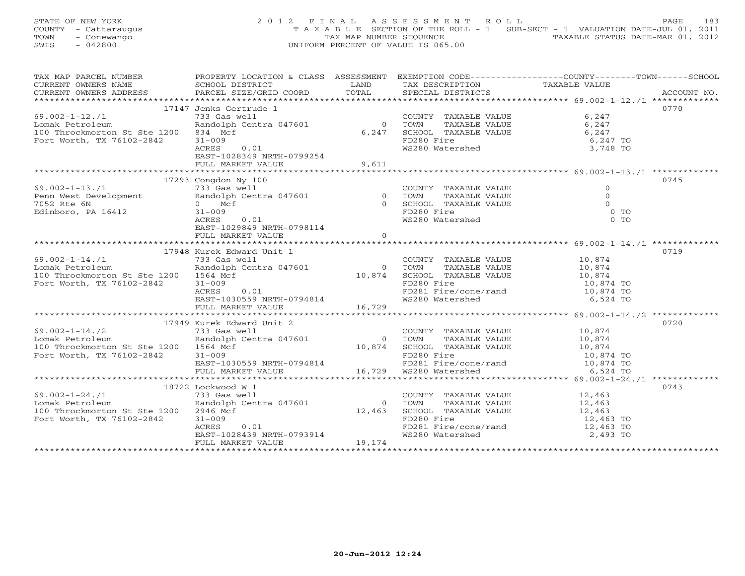STATE OF NEW YORK 2 0 1 2 F I N A L A S S E S S M E N T R O L L PAGE 183 COUNTY - Cattaraugus T A X A B L E SECTION OF THE ROLL - 1 SUB-SECT - 1 VALUATION DATE-JUL 01, 2011 TOWN - Conewango TAX MAP NUMBER SEQUENCE TAXABLE STATUS DATE-MAR 01, 2012<br>
SWIS - 042800 TAXABLE STATUS DATE-MAR 01, 2012 SWIS - 042800 UNIFORM PERCENT OF VALUE IS 065.00

| TAX MAP PARCEL NUMBER                                                                                      |                                                                                                                                                                                                                                |          |                                                                                              | PROPERTY LOCATION & CLASS ASSESSMENT EXEMPTION CODE----------------COUNTY-------TOWN------SCHOOL |  |
|------------------------------------------------------------------------------------------------------------|--------------------------------------------------------------------------------------------------------------------------------------------------------------------------------------------------------------------------------|----------|----------------------------------------------------------------------------------------------|--------------------------------------------------------------------------------------------------|--|
|                                                                                                            |                                                                                                                                                                                                                                |          | TAX DESCRIPTION                                                                              | TAXABLE VALUE                                                                                    |  |
|                                                                                                            |                                                                                                                                                                                                                                |          | SPECIAL DISTRICTS                                                                            | ACCOUNT NO.                                                                                      |  |
|                                                                                                            |                                                                                                                                                                                                                                |          |                                                                                              |                                                                                                  |  |
|                                                                                                            | 17147 Jenks Gertrude 1                                                                                                                                                                                                         |          |                                                                                              | 0770                                                                                             |  |
| $69.002 - 1 - 12.71$                                                                                       |                                                                                                                                                                                                                                |          |                                                                                              |                                                                                                  |  |
| Lomak Petroleum                                                                                            | 733 Gas well COUNT<br>Randolph Centra 047601 (1990) 0                                                                                                                                                                          |          |                                                                                              |                                                                                                  |  |
|                                                                                                            |                                                                                                                                                                                                                                |          | COUNTY TAXABLE VALUE 6,247<br>0 TOWN TAXABLE VALUE 6,247<br>6,247 SCHOOL TAXABLE VALUE 6,247 |                                                                                                  |  |
| 100 Throckmorton St Ste 1200 834 Mcf                                                                       |                                                                                                                                                                                                                                |          |                                                                                              |                                                                                                  |  |
| Fort Worth, TX 76102-2842                                                                                  | $31 - 009$                                                                                                                                                                                                                     |          | FD280 Fire<br>FD280 Fire<br>WS280 Watershed                                                  | 6,247 TO<br>3,748 TO                                                                             |  |
|                                                                                                            | 0.01<br>ACRES                                                                                                                                                                                                                  |          |                                                                                              |                                                                                                  |  |
|                                                                                                            | EAST-1028349 NRTH-0799254                                                                                                                                                                                                      |          |                                                                                              |                                                                                                  |  |
|                                                                                                            | FULL MARKET VALUE                                                                                                                                                                                                              | 9,611    |                                                                                              |                                                                                                  |  |
|                                                                                                            |                                                                                                                                                                                                                                |          |                                                                                              |                                                                                                  |  |
|                                                                                                            | 17293 Congdon Ny 100                                                                                                                                                                                                           |          |                                                                                              | 0745                                                                                             |  |
|                                                                                                            |                                                                                                                                                                                                                                |          |                                                                                              |                                                                                                  |  |
|                                                                                                            |                                                                                                                                                                                                                                |          |                                                                                              |                                                                                                  |  |
|                                                                                                            |                                                                                                                                                                                                                                |          |                                                                                              |                                                                                                  |  |
|                                                                                                            |                                                                                                                                                                                                                                |          |                                                                                              | $0$ TO                                                                                           |  |
|                                                                                                            |                                                                                                                                                                                                                                |          |                                                                                              | $0$ TO                                                                                           |  |
|                                                                                                            |                                                                                                                                                                                                                                |          |                                                                                              |                                                                                                  |  |
|                                                                                                            |                                                                                                                                                                                                                                |          |                                                                                              |                                                                                                  |  |
|                                                                                                            | FULL MARKET VALUE                                                                                                                                                                                                              | $\Omega$ |                                                                                              |                                                                                                  |  |
|                                                                                                            |                                                                                                                                                                                                                                |          |                                                                                              |                                                                                                  |  |
|                                                                                                            | 17948 Kurek Edward Unit 1                                                                                                                                                                                                      |          |                                                                                              | 0719                                                                                             |  |
| $69.002 - 1 - 14.71$                                                                                       |                                                                                                                                                                                                                                |          |                                                                                              |                                                                                                  |  |
| Lomak Petroleum                                                                                            |                                                                                                                                                                                                                                |          |                                                                                              |                                                                                                  |  |
| 100 Throckmorton St Ste 1200 1564 Mcf                                                                      |                                                                                                                                                                                                                                |          |                                                                                              |                                                                                                  |  |
| Fort Worth, TX 76102-2842                                                                                  |                                                                                                                                                                                                                                |          |                                                                                              |                                                                                                  |  |
|                                                                                                            |                                                                                                                                                                                                                                |          |                                                                                              |                                                                                                  |  |
|                                                                                                            |                                                                                                                                                                                                                                |          | WS280 Watershed 6,524 TO                                                                     |                                                                                                  |  |
|                                                                                                            | EAST-1030559 NRTH-0794814<br>FULL MARKET VALUE 16,729                                                                                                                                                                          |          |                                                                                              |                                                                                                  |  |
|                                                                                                            |                                                                                                                                                                                                                                |          |                                                                                              |                                                                                                  |  |
|                                                                                                            |                                                                                                                                                                                                                                |          |                                                                                              |                                                                                                  |  |
|                                                                                                            | 17949 Kurek Edward Unit 2                                                                                                                                                                                                      |          |                                                                                              | 0720                                                                                             |  |
| $69.002 - 1 - 14.72$                                                                                       |                                                                                                                                                                                                                                |          |                                                                                              |                                                                                                  |  |
| Lomak Petroleum                                                                                            |                                                                                                                                                                                                                                |          |                                                                                              |                                                                                                  |  |
| 100 Throckmorton St Ste 1200 1564 Mcf                                                                      | 733 (1993) 1994 (1994) 1994 (1994) 1994 (1994) 1994 (1994) 1994 (1994 (1994 (1994 (1994 (1994 (1994 (1994 (1994 (1994 (1994 (1994 (1994 (1994 (1994 (1994 (1994 (1994 (1994 (1994 (1994 (1994 (1994 (1994 (1994 (1994 (1994 (1 |          |                                                                                              |                                                                                                  |  |
| Fort Worth, TX 76102-2842 31-009                                                                           |                                                                                                                                                                                                                                |          |                                                                                              |                                                                                                  |  |
|                                                                                                            |                                                                                                                                                                                                                                |          |                                                                                              |                                                                                                  |  |
|                                                                                                            |                                                                                                                                                                                                                                |          |                                                                                              |                                                                                                  |  |
|                                                                                                            |                                                                                                                                                                                                                                |          |                                                                                              |                                                                                                  |  |
|                                                                                                            | 18722 Lockwood W 1                                                                                                                                                                                                             |          |                                                                                              | 0743                                                                                             |  |
| $69.002 - 1 - 24.71$                                                                                       |                                                                                                                                                                                                                                |          |                                                                                              |                                                                                                  |  |
|                                                                                                            |                                                                                                                                                                                                                                |          | COUNTY TAXABLE VALUE 12,463<br>TOWN TAXABLE VALUE 12,463                                     |                                                                                                  |  |
| Lomak Petroleum<br>100 Throckmorton St Ste 1200 2946 Mcf<br>Fort Worth, TX 76102-2842 31-009<br>2CRES 0.01 | 733 Gas well<br>Randolph Centra 047601 0 TOWN<br>12.463 SCHOO                                                                                                                                                                  |          | $12,463$ TOWN TAXABLE VALUE $12,463$ SCHOOL TAXABLE VALUE $12,463$ TO $12,463$ TO            |                                                                                                  |  |
|                                                                                                            |                                                                                                                                                                                                                                |          |                                                                                              |                                                                                                  |  |
|                                                                                                            |                                                                                                                                                                                                                                |          |                                                                                              |                                                                                                  |  |
|                                                                                                            |                                                                                                                                                                                                                                |          | FD281 Fire/cone/rand 12,463 TO                                                               |                                                                                                  |  |
|                                                                                                            | > + - - v v ><br>ACRES 0.01<br>EAST-1028439 NRTH-0793914<br>FULL MARKER WILL                                                                                                                                                   |          | WS280 Watershed                                                                              | 2,493 TO                                                                                         |  |
|                                                                                                            | FULL MARKET VALUE                                                                                                                                                                                                              | 19,174   |                                                                                              |                                                                                                  |  |
|                                                                                                            |                                                                                                                                                                                                                                |          |                                                                                              |                                                                                                  |  |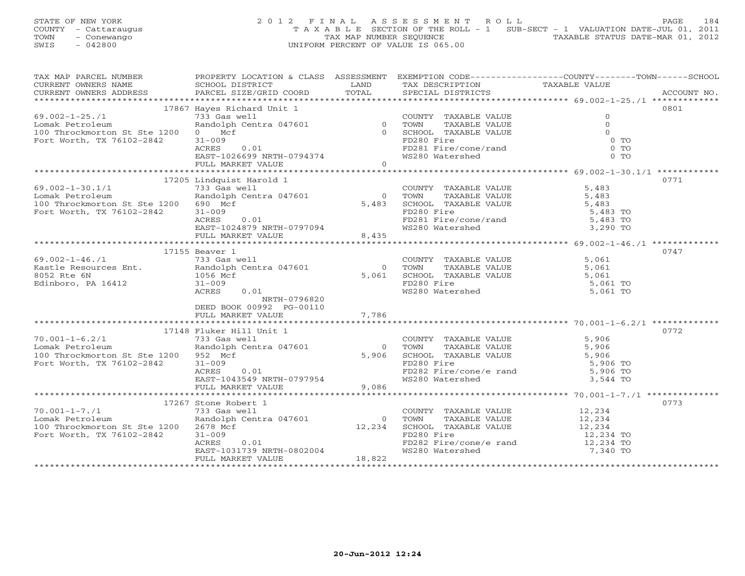STATE OF NEW YORK 2 0 1 2 F I N A L A S S E S S M E N T R O L L PAGE 184 COUNTY - Cattaraugus T A X A B L E SECTION OF THE ROLL - 1 SUB-SECT - 1 VALUATION DATE-JUL 01, 2011 TOWN - Conewango TAX MAP NUMBER SEQUENCE TAXABLE STATUS DATE-MAR 01, 2012<br>
SWIS - 042800 TAXABLE STATUS DATE-MAR 01, 2012 SWIS - 042800 UNIFORM PERCENT OF VALUE IS 065.00

| TAX MAP PARCEL NUMBER           PROPERTY LOCATION & CLASS  ASSESSMENT  EXEMPTION CODE-------------COUNTY-------TOWN------SCHOOL |                                                                                                                                                                                                                                                                                                                                                                                                                                                                                                               |       |                                                                                                                              |             |
|---------------------------------------------------------------------------------------------------------------------------------|---------------------------------------------------------------------------------------------------------------------------------------------------------------------------------------------------------------------------------------------------------------------------------------------------------------------------------------------------------------------------------------------------------------------------------------------------------------------------------------------------------------|-------|------------------------------------------------------------------------------------------------------------------------------|-------------|
|                                                                                                                                 |                                                                                                                                                                                                                                                                                                                                                                                                                                                                                                               |       |                                                                                                                              |             |
|                                                                                                                                 |                                                                                                                                                                                                                                                                                                                                                                                                                                                                                                               |       |                                                                                                                              | ACCOUNT NO. |
|                                                                                                                                 |                                                                                                                                                                                                                                                                                                                                                                                                                                                                                                               |       |                                                                                                                              |             |
|                                                                                                                                 | 17867 Hayes Richard Unit 1                                                                                                                                                                                                                                                                                                                                                                                                                                                                                    |       |                                                                                                                              | 0801        |
|                                                                                                                                 |                                                                                                                                                                                                                                                                                                                                                                                                                                                                                                               |       |                                                                                                                              |             |
| $69.002 - 1 - 25.71$                                                                                                            |                                                                                                                                                                                                                                                                                                                                                                                                                                                                                                               |       |                                                                                                                              |             |
| Lomak Petroleum                                                                                                                 |                                                                                                                                                                                                                                                                                                                                                                                                                                                                                                               |       |                                                                                                                              |             |
| 100 Throckmorton St Ste 1200 0 Mcf                                                                                              |                                                                                                                                                                                                                                                                                                                                                                                                                                                                                                               |       |                                                                                                                              |             |
| Fort Worth, TX 76102-2842                                                                                                       |                                                                                                                                                                                                                                                                                                                                                                                                                                                                                                               |       |                                                                                                                              |             |
|                                                                                                                                 |                                                                                                                                                                                                                                                                                                                                                                                                                                                                                                               |       |                                                                                                                              |             |
|                                                                                                                                 |                                                                                                                                                                                                                                                                                                                                                                                                                                                                                                               |       |                                                                                                                              |             |
|                                                                                                                                 |                                                                                                                                                                                                                                                                                                                                                                                                                                                                                                               |       |                                                                                                                              |             |
|                                                                                                                                 |                                                                                                                                                                                                                                                                                                                                                                                                                                                                                                               |       |                                                                                                                              |             |
|                                                                                                                                 | $\begin{tabular}{lllllllllllll} \multicolumn{3}{c }{\text{\small{Case}}} & \multicolumn{3}{c }{\text{\small{6}}} & \multicolumn{3}{c }{\text{\small{6}}} & \multicolumn{3}{c }{\text{\small{6}}} & \multicolumn{3}{c }{\text{\small{6}}} & \multicolumn{3}{c }{\text{\small{6}}} & \multicolumn{3}{c }{\text{\small{6}}} & \multicolumn{3}{c }{\text{\small{6}}} & \multicolumn{3}{c }{\text{\small{6}}} & \multicolumn{3}{c }{\text{\small{6}}} & \multicolumn{3}{c }{\text{\small{6}}} & \multicolumn{3}{c$ |       |                                                                                                                              |             |
|                                                                                                                                 | 17205 Lindquist Harold 1                                                                                                                                                                                                                                                                                                                                                                                                                                                                                      |       |                                                                                                                              | 0771        |
| $69.002 - 1 - 30.1/1$                                                                                                           | 733 Gas well<br>Randolph Centra 047601                                                                                                                                                                                                                                                                                                                                                                                                                                                                        |       | COUNTY TAXABLE VALUE 5,483                                                                                                   |             |
| Lomak Petroleum                                                                                                                 |                                                                                                                                                                                                                                                                                                                                                                                                                                                                                                               |       |                                                                                                                              |             |
| 100 Throckmorton St Ste 1200 690 Mcf                                                                                            |                                                                                                                                                                                                                                                                                                                                                                                                                                                                                                               |       | $\begin{tabular}{cccc} 0 & Town & TAXABLE VALUE & & & & 5,483 \\ 5,483 & SCHOOL & TAXABLE VALUE & & & & 5,483 \end{tabular}$ |             |
| Fort Worth, TX 76102-2842                                                                                                       | $31 - 009$                                                                                                                                                                                                                                                                                                                                                                                                                                                                                                    |       |                                                                                                                              |             |
|                                                                                                                                 |                                                                                                                                                                                                                                                                                                                                                                                                                                                                                                               |       | FD280 Fire<br>FD281 Fire/cone/rand 5,483 TO                                                                                  |             |
|                                                                                                                                 |                                                                                                                                                                                                                                                                                                                                                                                                                                                                                                               |       |                                                                                                                              |             |
|                                                                                                                                 |                                                                                                                                                                                                                                                                                                                                                                                                                                                                                                               |       | WS280 Watershed 3,290 TO                                                                                                     |             |
|                                                                                                                                 |                                                                                                                                                                                                                                                                                                                                                                                                                                                                                                               |       |                                                                                                                              |             |
|                                                                                                                                 | $\begin{tabular}{ll} \texttt{1.01} & 0.01 \\ \texttt{EAST-1024879} & \texttt{NRTH-0797094} \\ \texttt{FULL} & \texttt{MARKET} & \texttt{VALUE} \\ \texttt{1.01} & 0.0000 \\ \texttt{1.02} & 0.00000 \\ \texttt{1.03} & 0.000000 \\ \texttt{1.04} & 0.0000000 \\ \texttt{1.05} & 0.00000000 \\ \texttt{1.06} & 0.00000000 \\ \texttt{1.07} & 0.00000$                                                                                                                                                          |       |                                                                                                                              |             |
|                                                                                                                                 | 17155 Beaver 1                                                                                                                                                                                                                                                                                                                                                                                                                                                                                                |       |                                                                                                                              | 0747        |
| 69.002-1-46./1<br>Kastle Resources Ent.<br>8052 Rte 6N<br>Edinboro, PA 16412<br>Edinboro, PA 16412<br>Subseted a 31-009         |                                                                                                                                                                                                                                                                                                                                                                                                                                                                                                               |       | COUNTY TAXABLE VALUE 5,061<br>0 TOWN TAXABLE VALUE 5,061<br>5,061 SCHOOL TAXABLE VALUE 5,061<br>FD280 Fire 5,061 TO          |             |
|                                                                                                                                 |                                                                                                                                                                                                                                                                                                                                                                                                                                                                                                               |       |                                                                                                                              |             |
|                                                                                                                                 |                                                                                                                                                                                                                                                                                                                                                                                                                                                                                                               |       |                                                                                                                              |             |
|                                                                                                                                 |                                                                                                                                                                                                                                                                                                                                                                                                                                                                                                               |       |                                                                                                                              |             |
|                                                                                                                                 | 0.01                                                                                                                                                                                                                                                                                                                                                                                                                                                                                                          |       |                                                                                                                              |             |
|                                                                                                                                 | ACRES                                                                                                                                                                                                                                                                                                                                                                                                                                                                                                         |       | WS280 Watershed 5,061 TO                                                                                                     |             |
|                                                                                                                                 | NRTH-0796820                                                                                                                                                                                                                                                                                                                                                                                                                                                                                                  |       |                                                                                                                              |             |
|                                                                                                                                 | DEED BOOK 00992 PG-00110                                                                                                                                                                                                                                                                                                                                                                                                                                                                                      |       |                                                                                                                              |             |
|                                                                                                                                 | FULL MARKET VALUE                                                                                                                                                                                                                                                                                                                                                                                                                                                                                             | 7,786 |                                                                                                                              |             |
|                                                                                                                                 |                                                                                                                                                                                                                                                                                                                                                                                                                                                                                                               |       |                                                                                                                              |             |
|                                                                                                                                 | 17148 Fluker Hill Unit 1                                                                                                                                                                                                                                                                                                                                                                                                                                                                                      |       |                                                                                                                              | 0772        |
|                                                                                                                                 |                                                                                                                                                                                                                                                                                                                                                                                                                                                                                                               |       |                                                                                                                              |             |
|                                                                                                                                 |                                                                                                                                                                                                                                                                                                                                                                                                                                                                                                               |       |                                                                                                                              |             |
|                                                                                                                                 |                                                                                                                                                                                                                                                                                                                                                                                                                                                                                                               |       |                                                                                                                              |             |
| 100 Throckmorton St Ste 1200 952 Mcf                                                                                            |                                                                                                                                                                                                                                                                                                                                                                                                                                                                                                               |       | 5,906 SCHOOL TAXABLE VALUE 5,906 TO<br>FD280 Fire 5,906 TO                                                                   |             |
| Fort Worth, TX 76102-2842                                                                                                       | $31 - 009$                                                                                                                                                                                                                                                                                                                                                                                                                                                                                                    |       |                                                                                                                              |             |
|                                                                                                                                 | >1-009<br>ACRES 0.01<br>EAST-1043549 NRTH-0797954<br>EHIL MARKER ::::--                                                                                                                                                                                                                                                                                                                                                                                                                                       |       | FD282 Fire/cone/e rand 5,906 TO<br>WS280 Watershed 3,544 TO                                                                  |             |
|                                                                                                                                 |                                                                                                                                                                                                                                                                                                                                                                                                                                                                                                               |       |                                                                                                                              |             |
|                                                                                                                                 | FULL MARKET VALUE                                                                                                                                                                                                                                                                                                                                                                                                                                                                                             | 9,086 |                                                                                                                              |             |
|                                                                                                                                 |                                                                                                                                                                                                                                                                                                                                                                                                                                                                                                               |       |                                                                                                                              |             |
|                                                                                                                                 |                                                                                                                                                                                                                                                                                                                                                                                                                                                                                                               |       |                                                                                                                              | 0773        |
|                                                                                                                                 | 17267 Stone Robert 1                                                                                                                                                                                                                                                                                                                                                                                                                                                                                          |       |                                                                                                                              |             |
| $70.001 - 1 - 7.71$                                                                                                             | 733 Gas well<br>Randolph Centra 047601                                                                                                                                                                                                                                                                                                                                                                                                                                                                        |       | COUNTY TAXABLE VALUE $12,234$                                                                                                |             |
| Lomak Petroleum                                                                                                                 |                                                                                                                                                                                                                                                                                                                                                                                                                                                                                                               |       |                                                                                                                              |             |
| 100 Throckmorton St Ste 1200 2678 Mcf                                                                                           |                                                                                                                                                                                                                                                                                                                                                                                                                                                                                                               |       | 0 TOWN TAXABLE VALUE 12,234<br>12,234 SCHOOL TAXABLE VALUE 12,234<br>FD280 Fire 12,234<br>12,234                             |             |
| Fort Worth, TX 76102-2842                                                                                                       | $31 - 009$                                                                                                                                                                                                                                                                                                                                                                                                                                                                                                    |       |                                                                                                                              |             |
|                                                                                                                                 |                                                                                                                                                                                                                                                                                                                                                                                                                                                                                                               |       |                                                                                                                              |             |
|                                                                                                                                 |                                                                                                                                                                                                                                                                                                                                                                                                                                                                                                               |       |                                                                                                                              |             |
|                                                                                                                                 | 31-009<br>ACRES 0.01<br>EAST-1031739 NRTH-0802004<br>FULL MARKET VALUE 18,822                                                                                                                                                                                                                                                                                                                                                                                                                                 |       | FD280 Fire 12,234 TO<br>FD282 Fire/cone/e rand 12,234 TO<br>WS280 Watershed 7,340 TO                                         |             |
|                                                                                                                                 |                                                                                                                                                                                                                                                                                                                                                                                                                                                                                                               |       |                                                                                                                              |             |
|                                                                                                                                 |                                                                                                                                                                                                                                                                                                                                                                                                                                                                                                               |       |                                                                                                                              |             |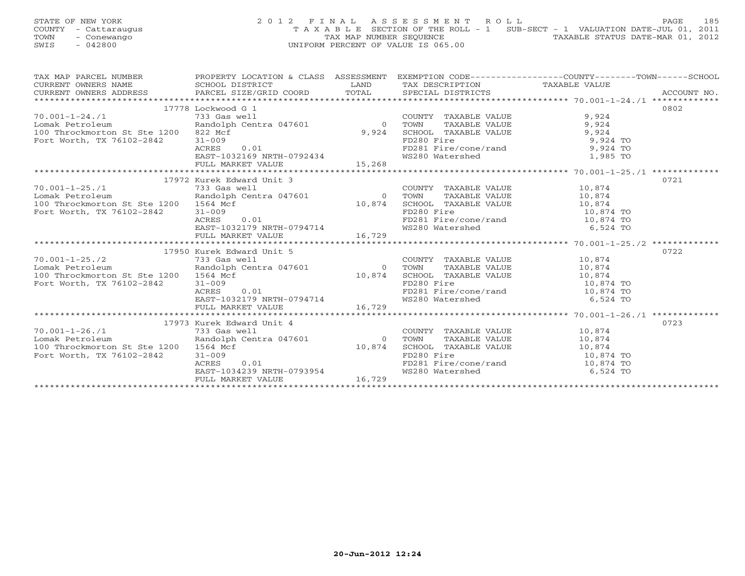## STATE OF NEW YORK 2 0 1 2 F I N A L A S S E S S M E N T R O L L PAGE 185 COUNTY - Cattaraugus T A X A B L E SECTION OF THE ROLL - 1 SUB-SECT - 1 VALUATION DATE-JUL 01, 2011 TOWN - Conewango TAX MAP NUMBER SEQUENCE TAXABLE STATUS DATE-MAR 01, 2012<br>
SWIS - 042800 TAXABLE STATUS DATE-MAR 01, 2012 SWIS - 042800 UNIFORM PERCENT OF VALUE IS 065.00

| TAX MAP PARCEL NUMBER<br>$\begin{tabular}{lllllll} \multicolumn{2}{c}{\textbf{CURRENT}} & \multicolumn{2}{c}{\textbf{WNERS}} & \multicolumn{2}{c}{\textbf{NAME}} & \multicolumn{2}{c}{\textbf{SCHOOL}} & \multicolumn{2}{c}{\textbf{DISTRICT}} & \multicolumn{2}{c}{\textbf{LAND}} & \multicolumn{2}{c}{\textbf{TAX} \textbf{DESCRIPTION}} & \multicolumn{2}{c}{\textbf{TAXABLE VALUE}} & \multicolumn{2}{c}{\textbf{NALUE}} \\ & \multicolumn{2}{c}{\textbf{CURRENT}} & \multicolumn{2}{c}{\textbf{WNERS} \$ | PROPERTY LOCATION & CLASS ASSESSMENT EXEMPTION CODE----------------COUNTY-------TOWN------SCHOOL |                |                                                                                                                                                                            |                      |      |
|---------------------------------------------------------------------------------------------------------------------------------------------------------------------------------------------------------------------------------------------------------------------------------------------------------------------------------------------------------------------------------------------------------------------------------------------------------------------------------------------------------------|--------------------------------------------------------------------------------------------------|----------------|----------------------------------------------------------------------------------------------------------------------------------------------------------------------------|----------------------|------|
|                                                                                                                                                                                                                                                                                                                                                                                                                                                                                                               |                                                                                                  |                |                                                                                                                                                                            |                      |      |
|                                                                                                                                                                                                                                                                                                                                                                                                                                                                                                               |                                                                                                  |                |                                                                                                                                                                            |                      |      |
|                                                                                                                                                                                                                                                                                                                                                                                                                                                                                                               | 17778 Lockwood G 1                                                                               |                |                                                                                                                                                                            |                      | 0802 |
| $70.001 - 1 - 24.71$                                                                                                                                                                                                                                                                                                                                                                                                                                                                                          |                                                                                                  |                | COUNTY TAXABLE VALUE                                                                                                                                                       | 9,924                |      |
| Lomak Petroleum                                                                                                                                                                                                                                                                                                                                                                                                                                                                                               |                                                                                                  |                |                                                                                                                                                                            |                      |      |
| 100 Throckmorton St Ste 1200 822 Mcf                                                                                                                                                                                                                                                                                                                                                                                                                                                                          |                                                                                                  | 9,924          |                                                                                                                                                                            |                      |      |
| Fort Worth, TX 76102-2842                                                                                                                                                                                                                                                                                                                                                                                                                                                                                     | .01<br>$31 - 009$                                                                                |                | TOWN TAXABLE VALUE 9,924<br>SCHOOL TAXABLE VALUE 9,924<br>FD280 Fire 9,924 TO                                                                                              |                      |      |
|                                                                                                                                                                                                                                                                                                                                                                                                                                                                                                               | ACRES<br>0.01                                                                                    |                | FD281 Fire/cone/rand 9,924 TO                                                                                                                                              |                      |      |
|                                                                                                                                                                                                                                                                                                                                                                                                                                                                                                               |                                                                                                  |                | WS280 Watershed 1,985 TO                                                                                                                                                   |                      |      |
|                                                                                                                                                                                                                                                                                                                                                                                                                                                                                                               | EAST-1032169 NRTH-0792434<br>FULL MARKET VALUE 15,268                                            |                |                                                                                                                                                                            |                      |      |
|                                                                                                                                                                                                                                                                                                                                                                                                                                                                                                               |                                                                                                  |                |                                                                                                                                                                            |                      |      |
|                                                                                                                                                                                                                                                                                                                                                                                                                                                                                                               | 17972 Kurek Edward Unit 3                                                                        |                |                                                                                                                                                                            |                      | 0721 |
| $70.001 - 1 - 25.71$                                                                                                                                                                                                                                                                                                                                                                                                                                                                                          | 1981 - March 1986<br>1983 Gas well<br>Randolph Centra 047601                                     |                | $\begin{tabular}{lllll} \multicolumn{2}{l}{{\small \texttt{COUNTY}}} & \multicolumn{2}{l}{\small \texttt{TAXABLE} } \texttt{VALUE} & & \\ & & & & 10,874 \\ \end{tabular}$ |                      |      |
| Lomak Petroleum                                                                                                                                                                                                                                                                                                                                                                                                                                                                                               |                                                                                                  |                | TOWN                                                                                                                                                                       | TAXABLE VALUE 10,874 |      |
|                                                                                                                                                                                                                                                                                                                                                                                                                                                                                                               |                                                                                                  |                |                                                                                                                                                                            |                      |      |
|                                                                                                                                                                                                                                                                                                                                                                                                                                                                                                               |                                                                                                  |                |                                                                                                                                                                            |                      |      |
|                                                                                                                                                                                                                                                                                                                                                                                                                                                                                                               |                                                                                                  |                |                                                                                                                                                                            |                      |      |
|                                                                                                                                                                                                                                                                                                                                                                                                                                                                                                               |                                                                                                  |                |                                                                                                                                                                            |                      |      |
|                                                                                                                                                                                                                                                                                                                                                                                                                                                                                                               |                                                                                                  |                |                                                                                                                                                                            |                      |      |
| EXAMPLE VALUE 10, 874<br>The Manuson State 1200 1504 Manuso 10,874 SCHOOL TAXABLE VALUE<br>Fort Worth, TX 76102-2842 31-009 Manuso 201<br>EXST-1032179 NRTH-0794714 16,729<br>FULL MARKET VALUE 16,729<br>FULL MARKET VALUE 16,729<br>FULL                                                                                                                                                                                                                                                                    |                                                                                                  |                |                                                                                                                                                                            |                      |      |
|                                                                                                                                                                                                                                                                                                                                                                                                                                                                                                               | 17950 Kurek Edward Unit 5                                                                        |                |                                                                                                                                                                            |                      | 0722 |
| $70.001 - 1 - 25.72$                                                                                                                                                                                                                                                                                                                                                                                                                                                                                          | $733$ Gas well<br>Randolph Centra 047601 0 TOWN<br>St Ste 1200 1564 Mof                          |                | COUNTY TAXABLE VALUE 10,874                                                                                                                                                |                      |      |
| Lomak Petroleum                                                                                                                                                                                                                                                                                                                                                                                                                                                                                               |                                                                                                  |                |                                                                                                                                                                            | TAXABLE VALUE 10,874 |      |
| 100 Throckmorton St Ste 1200 1564 Mcf                                                                                                                                                                                                                                                                                                                                                                                                                                                                         |                                                                                                  |                |                                                                                                                                                                            |                      |      |
| Fort Worth, TX 76102-2842                                                                                                                                                                                                                                                                                                                                                                                                                                                                                     | 0.01<br>$31 - 009$                                                                               |                |                                                                                                                                                                            |                      |      |
|                                                                                                                                                                                                                                                                                                                                                                                                                                                                                                               | 0.01<br>ACRES                                                                                    |                |                                                                                                                                                                            |                      |      |
|                                                                                                                                                                                                                                                                                                                                                                                                                                                                                                               |                                                                                                  |                | 10,874 SCHOOL TAXABLE VALUE 10,874<br>FD280 Fire 10,874 TO<br>FD281 Fire/cone/rand 10,874 TO<br>WS280 Watershed 6,524 TO                                                   |                      |      |
|                                                                                                                                                                                                                                                                                                                                                                                                                                                                                                               | EAST-1032179 NRTH-0794714<br>FULL MARKET VALUE 16,729                                            |                |                                                                                                                                                                            |                      |      |
|                                                                                                                                                                                                                                                                                                                                                                                                                                                                                                               |                                                                                                  |                |                                                                                                                                                                            |                      |      |
|                                                                                                                                                                                                                                                                                                                                                                                                                                                                                                               | 17973 Kurek Edward Unit 4                                                                        |                |                                                                                                                                                                            |                      | 0723 |
| $70.001 - 1 - 26.71$                                                                                                                                                                                                                                                                                                                                                                                                                                                                                          |                                                                                                  |                | $\begin{tabular}{lllll} \multicolumn{2}{l}{{\small \texttt{COUNTY}}} & \texttt{TAXABLE} & \texttt{VALUE} & & \texttt{10,874} \end{tabular}$                                |                      |      |
| Lomak Petroleum                                                                                                                                                                                                                                                                                                                                                                                                                                                                                               | 733 Gas well<br>Randolph Centra 047601                                                           | $\overline{0}$ | TOWN                                                                                                                                                                       | TAXABLE VALUE 10,874 |      |
| 100 Throckmorton St Ste 1200 1564 Mcf                                                                                                                                                                                                                                                                                                                                                                                                                                                                         |                                                                                                  | 10,874         |                                                                                                                                                                            |                      |      |
| Fort Worth, TX 76102-2842                                                                                                                                                                                                                                                                                                                                                                                                                                                                                     | $31 - 009$                                                                                       |                |                                                                                                                                                                            |                      |      |
|                                                                                                                                                                                                                                                                                                                                                                                                                                                                                                               | 0.01<br>ACRES                                                                                    |                | SCHOOL TAXABLE VALUE<br>FD280 Fire<br>FD281 Fire/cone/rand<br>WS280 Watershed<br>6,524 TO<br>6,524 TO                                                                      |                      |      |
|                                                                                                                                                                                                                                                                                                                                                                                                                                                                                                               | EAST-1034239 NRTH-0793954                                                                        |                |                                                                                                                                                                            |                      |      |
|                                                                                                                                                                                                                                                                                                                                                                                                                                                                                                               | FULL MARKET VALUE                                                                                | 16,729         |                                                                                                                                                                            |                      |      |
|                                                                                                                                                                                                                                                                                                                                                                                                                                                                                                               |                                                                                                  |                |                                                                                                                                                                            |                      |      |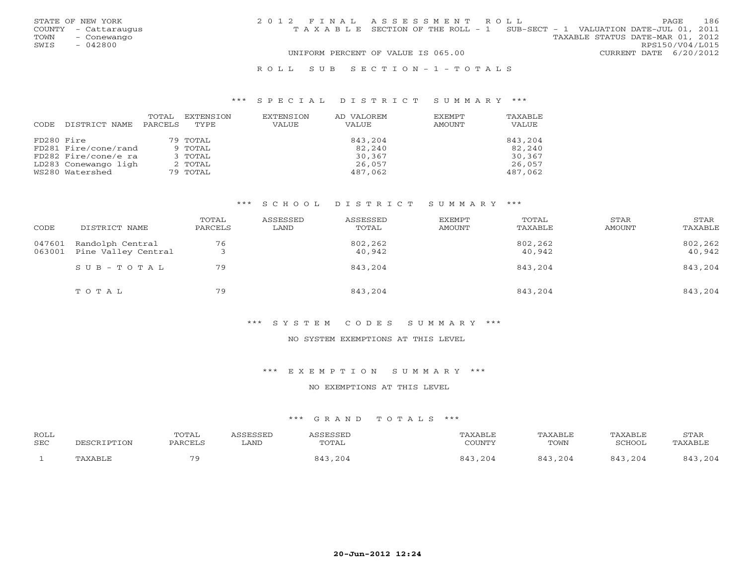| STATE OF NEW YORK    | 2012 FINAL ASSESSMENT ROLL                                                     | 186<br>PAGE            |
|----------------------|--------------------------------------------------------------------------------|------------------------|
| COUNTY - Cattaraugus | T A X A B L E SECTION OF THE ROLL - 1 SUB-SECT - 1 VALUATION DATE-JUL 01, 2011 |                        |
| TOWN<br>- Conewango  | TAXABLE STATUS DATE-MAR 01, 2012                                               |                        |
| SWIS<br>- 042800     |                                                                                | RPS150/V04/L015        |
|                      | UNIFORM PERCENT OF VALUE IS 065.00                                             | CURRENT DATE 6/20/2012 |
|                      |                                                                                |                        |

#### R O L L S U B S E C T I O N - 1 - T O T A L S

#### \*\*\* S P E C I A L D I S T R I C T S U M M A R Y \*\*\*

|            |                      | TOTAL   | EXTENSION   | EXTENSION | AD VALOREM | EXEMPT | TAXABLE |
|------------|----------------------|---------|-------------|-----------|------------|--------|---------|
| CODE       | DISTRICT NAME        | PARCELS | <b>TYPE</b> | VALUE     | VALUE      | AMOUNT | VALUE   |
|            |                      |         |             |           |            |        |         |
| FD280 Fire |                      |         | 79 TOTAL    |           | 843,204    |        | 843,204 |
|            | FD281 Fire/cone/rand |         | 9 TOTAL     |           | 82,240     |        | 82,240  |
|            | FD282 Fire/cone/e ra |         | 3 TOTAL     |           | 30,367     |        | 30,367  |
|            | LD283 Conewango ligh |         | 2 TOTAL     |           | 26,057     |        | 26,057  |
|            | WS280 Watershed      |         | 79 TOTAL    |           | 487,062    |        | 487,062 |

#### \*\*\* S C H O O L D I S T R I C T S U M M A R Y \*\*\*

| CODE             | DISTRICT NAME                           | TOTAL<br>PARCELS | ASSESSED<br>LAND | ASSESSED<br>TOTAL | EXEMPT<br>AMOUNT | TOTAL<br>TAXABLE  | STAR<br>AMOUNT | STAR<br>TAXABLE   |
|------------------|-----------------------------------------|------------------|------------------|-------------------|------------------|-------------------|----------------|-------------------|
| 047601<br>063001 | Randolph Central<br>Pine Valley Central | 76               |                  | 802,262<br>40,942 |                  | 802,262<br>40,942 |                | 802,262<br>40,942 |
|                  | $SUB - TO T AL$                         | 79               |                  | 843,204           |                  | 843,204           |                | 843,204           |
|                  | TOTAL                                   | 79               |                  | 843,204           |                  | 843,204           |                | 843,204           |

#### \*\*\* S Y S T E M C O D E S S U M M A R Y \*\*\*

### NO SYSTEM EXEMPTIONS AT THIS LEVEL

#### \*\*\* E X E M P T I O N S U M M A R Y \*\*\*

#### NO EXEMPTIONS AT THIS LEVEL

| ROLL |             | TOTAL   | <i>N</i> CCFCCFD | SESSEL               | TAXABLE        | TAXABLE               | TAXABLE                    | STAR    |
|------|-------------|---------|------------------|----------------------|----------------|-----------------------|----------------------------|---------|
| SEC  | DESCRIPTION | PARCELS | LAND             | TOTAL                | COUNTY         | TOWN                  | SCHOOL                     | TAXABLE |
|      | TAXABLF     | 70      |                  | ,204<br>$84^{\circ}$ | , 204<br>O 1 2 | $O A^{\sim}$<br>, 204 | $O$ $A$ $\supset$<br>, 204 | , 204   |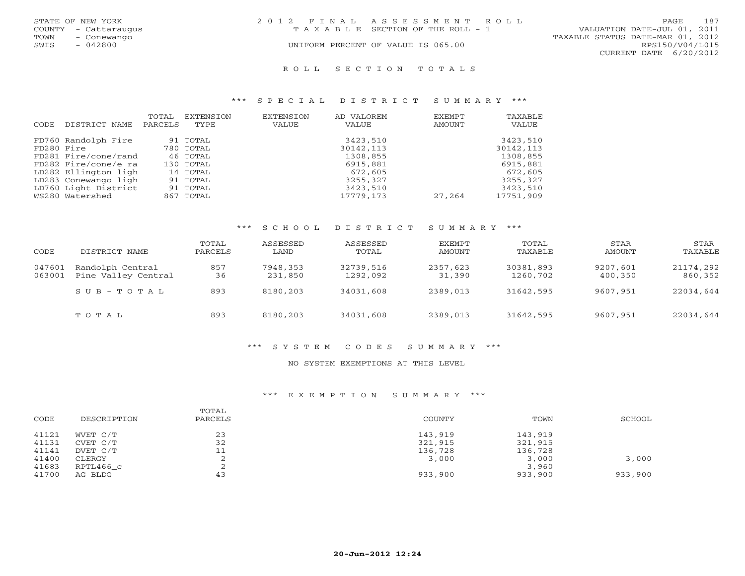|      | STATE OF NEW YORK    | 2012 FINAL ASSESSMENT ROLL |                                    |                                  |                        | <b>PAGE</b> | - 187 |
|------|----------------------|----------------------------|------------------------------------|----------------------------------|------------------------|-------------|-------|
|      | COUNTY - Cattaraugus |                            | TAXABLE SECTION OF THE ROLL - 1    | VALUATION DATE-JUL 01, 2011      |                        |             |       |
| TOWN | – Conewango          |                            |                                    | TAXABLE STATUS DATE-MAR 01, 2012 |                        |             |       |
| SWIS | - 042800             |                            | UNIFORM PERCENT OF VALUE IS 065.00 |                                  | RPS150/V04/L015        |             |       |
|      |                      |                            |                                    |                                  | CURRENT DATE 6/20/2012 |             |       |
|      |                      |                            |                                    |                                  |                        |             |       |

#### R O L L S E C T I O N T O T A L S

#### \*\*\* S P E C I A L D I S T R I C T S U M M A R Y \*\*\*

|            |                      | TOTAL   | EXTENSION | <b>EXTENSION</b> | AD VALOREM | EXEMPT | TAXABLE   |
|------------|----------------------|---------|-----------|------------------|------------|--------|-----------|
| CODE       | DISTRICT NAME        | PARCELS | TYPE      | VALUE            | VALUE      | AMOUNT | VALUE     |
|            | FD760 Randolph Fire  |         | 91 TOTAL  |                  | 3423,510   |        | 3423,510  |
| FD280 Fire |                      |         | 780 TOTAL |                  | 30142,113  |        | 30142,113 |
|            | FD281 Fire/cone/rand |         | 46 TOTAL  |                  | 1308,855   |        | 1308,855  |
|            | FD282 Fire/cone/e ra |         | 130 TOTAL |                  | 6915,881   |        | 6915,881  |
|            | LD282 Ellington ligh |         | 14 TOTAL  |                  | 672,605    |        | 672,605   |
|            | LD283 Conewango ligh |         | 91 TOTAL  |                  | 3255,327   |        | 3255,327  |
|            | LD760 Light District |         | 91 TOTAL  |                  | 3423,510   |        | 3423,510  |
|            | WS280 Watershed      |         | 867 TOTAL |                  | 17779,173  | 27,264 | 17751,909 |

## \*\*\* S C H O O L D I S T R I C T S U M M A R Y \*\*\*

| CODE             | DISTRICT NAME                           | TOTAL<br>PARCELS | ASSESSED<br>LAND    | ASSESSED<br>TOTAL     | EXEMPT<br>AMOUNT   | TOTAL<br>TAXABLE      | STAR<br>AMOUNT      | STAR<br>TAXABLE      |
|------------------|-----------------------------------------|------------------|---------------------|-----------------------|--------------------|-----------------------|---------------------|----------------------|
| 047601<br>063001 | Randolph Central<br>Pine Valley Central | 857<br>36        | 7948,353<br>231,850 | 32739,516<br>1292,092 | 2357,623<br>31,390 | 30381,893<br>1260,702 | 9207,601<br>400,350 | 21174,292<br>860,352 |
|                  | $SUB - TO T AL$                         | 893              | 8180,203            | 34031,608             | 2389,013           | 31642,595             | 9607,951            | 22034,644            |
|                  | TOTAL                                   | 893              | 8180,203            | 34031,608             | 2389,013           | 31642,595             | 9607,951            | 22034,644            |

#### \*\*\* S Y S T E M C O D E S S U M M A R Y \*\*\*

### NO SYSTEM EXEMPTIONS AT THIS LEVEL

## \*\*\* E X E M P T I O N S U M M A R Y \*\*\*

| CODE  | DESCRIPTION | TOTAL<br>PARCELS | COUNTY  | TOWN    | SCHOOL  |
|-------|-------------|------------------|---------|---------|---------|
| 41121 | WVET C/T    | 23               | 143,919 | 143,919 |         |
| 41131 | CVET C/T    | 32               | 321,915 | 321,915 |         |
| 41141 | DVET C/T    | 11               | 136,728 | 136,728 |         |
| 41400 | CLERGY      |                  | 3,000   | 3,000   | 3,000   |
| 41683 | RPTL466 c   |                  |         | 3,960   |         |
| 41700 | AG BLDG     | 43               | 933,900 | 933,900 | 933,900 |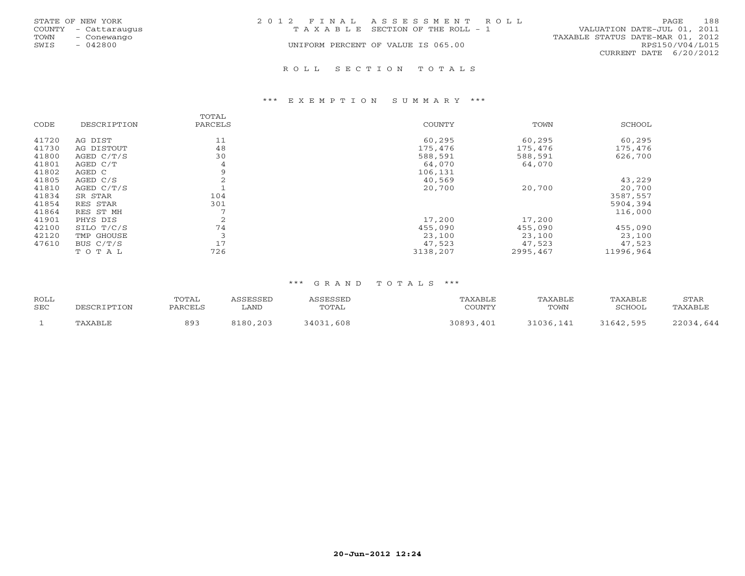|      | STATE OF NEW YORK    | 2012 FINAL ASSESSMENT ROLL |                                       |                                  | <b>PAGE</b>     | 188 |
|------|----------------------|----------------------------|---------------------------------------|----------------------------------|-----------------|-----|
|      | COUNTY - Cattaraugus |                            | T A X A B L E SECTION OF THE ROLL - 1 | VALUATION DATE-JUL 01, 2011      |                 |     |
| TOWN | - Conewango          |                            |                                       | TAXABLE STATUS DATE-MAR 01, 2012 |                 |     |
| SWIS | $-042800$            |                            | UNIFORM PERCENT OF VALUE IS 065.00    |                                  | RPS150/V04/L015 |     |
|      |                      |                            |                                       | CURRENT DATE 6/20/2012           |                 |     |
|      |                      |                            |                                       |                                  |                 |     |

R O L L S E C T I O N T O T A L S

#### \*\*\* E X E M P T I O N S U M M A R Y \*\*\*

| CODE  | DESCRIPTION | TOTAL<br>PARCELS | <b>COUNTY</b> | TOWN     | SCHOOL    |
|-------|-------------|------------------|---------------|----------|-----------|
| 41720 | AG DIST     | 11               | 60,295        | 60,295   | 60,295    |
| 41730 | AG DISTOUT  | 48               | 175,476       | 175,476  | 175,476   |
| 41800 | AGED C/T/S  | 30               | 588,591       | 588,591  | 626,700   |
| 41801 | AGED C/T    | 4                | 64,070        | 64,070   |           |
| 41802 | AGED C      | 9                | 106,131       |          |           |
| 41805 | AGED C/S    |                  | 40,569        |          | 43,229    |
| 41810 | AGED C/T/S  |                  | 20,700        | 20,700   | 20,700    |
| 41834 | SR STAR     | 104              |               |          | 3587,557  |
| 41854 | RES STAR    | 301              |               |          | 5904,394  |
| 41864 | RES ST MH   |                  |               |          | 116,000   |
| 41901 | PHYS DIS    | $\overline{2}$   | 17,200        | 17,200   |           |
| 42100 | SILO T/C/S  | 74               | 455,090       | 455,090  | 455,090   |
| 42120 | TMP GHOUSE  |                  | 23,100        | 23,100   | 23,100    |
| 47610 | BUS $C/T/S$ | 17               | 47,523        | 47,523   | 47,523    |
|       | TOTAL       | 726              | 3138,207      | 2995,467 | 11996.964 |

| <b>ROLL</b><br><b>SEC</b> |         | TOTAL<br>PARCELS | SSESSED<br>LAND | <i>\SSESSED</i><br>TOTAL | "AXABLE<br>COUNTY | TAXABLE<br>TOWN | TAXABLE<br>SCHOOL | STAR<br>TAXABLE |
|---------------------------|---------|------------------|-----------------|--------------------------|-------------------|-----------------|-------------------|-----------------|
|                           | TAXABLE | 893              | 8180,203        | 34031<br>,608            | 30893,401         | 31036,141       | 31642,595         | 22034,644       |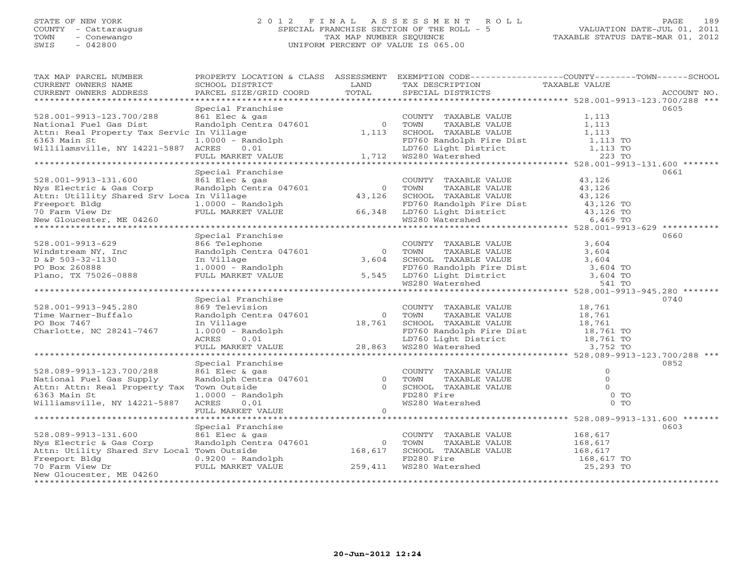## STATE OF NEW YORK 2 0 1 2 F I N A L A S S E S S M E N T R O L L PAGE 189 COUNTY - Cattaraugus SPECIAL FRANCHISE SECTION OF THE ROLL - 5 VALUATION DATE-JUL 01, 2011 TOWN - Conewango TAX MAP NUMBER SEQUENCE TAXABLE STATUS DATE-MAR 01, 2012 SWIS - 042800 UNIFORM PERCENT OF VALUE IS 065.00UNIFORM PERCENT OF VALUE IS 065.00

| TAX MAP PARCEL NUMBER                       |                         |                | PROPERTY LOCATION & CLASS ASSESSMENT EXEMPTION CODE----------------COUNTY-------TOWN------SCHOOL |                                                 |             |
|---------------------------------------------|-------------------------|----------------|--------------------------------------------------------------------------------------------------|-------------------------------------------------|-------------|
| CURRENT OWNERS NAME                         | SCHOOL DISTRICT         | LAND           | TAX DESCRIPTION                                                                                  | TAXABLE VALUE                                   |             |
| CURRENT OWNERS ADDRESS                      | PARCEL SIZE/GRID COORD  | TOTAL          | SPECIAL DISTRICTS                                                                                |                                                 | ACCOUNT NO. |
| *****************                           | *********************** |                |                                                                                                  |                                                 |             |
|                                             | Special Franchise       |                |                                                                                                  |                                                 | 0605        |
| 528.001-9913-123.700/288                    | 861 Elec & gas          |                | COUNTY TAXABLE VALUE                                                                             | 1,113                                           |             |
| National Fuel Gas Dist                      | Randolph Centra 047601  | $\overline{0}$ | TOWN<br>TAXABLE VALUE                                                                            | 1,113                                           |             |
| Attn: Real Property Tax Servic In Village   |                         | 1,113          | SCHOOL TAXABLE VALUE                                                                             | 1,113                                           |             |
| 6363 Main St                                | $1.0000 - Random$       |                |                                                                                                  | 1,113 TO                                        |             |
| Willilamsville, NY 14221-5887 ACRES         | 0.01                    |                |                                                                                                  | 1,113 TO                                        |             |
|                                             | FULL MARKET VALUE       | 1,712          | FD760 Randolph Fire Dist<br>LD760 Light District<br>WS280 Watershed                              | 223 TO                                          |             |
|                                             |                         |                | ********************************* 528.001-9913-131.600 *******                                   |                                                 |             |
|                                             | Special Franchise       |                |                                                                                                  |                                                 | 0661        |
| 528.001-9913-131.600                        | 861 Elec & gas          |                | COUNTY TAXABLE VALUE                                                                             | 43,126                                          |             |
| Nys Electric & Gas Corp                     | Randolph Centra 047601  | $\overline{0}$ | TOWN<br>TAXABLE VALUE                                                                            | 43,126                                          |             |
| Attn: Utillity Shared Srv Loca In Village   |                         | 43,126         | SCHOOL TAXABLE VALUE                                                                             | 43,126                                          |             |
| Freeport Bldg                               | $1.0000 - Random$       |                |                                                                                                  | 43,126 TO                                       |             |
| 70 Farm View Dr                             | FULL MARKET VALUE       | 66,348         | FD760 Randolph Fire Dist<br>LD760 Light District                                                 | 43,126 TO                                       |             |
| New Gloucester, ME 04260                    |                         |                | WS280 Watershed                                                                                  | 6,469 TO                                        |             |
|                                             |                         |                |                                                                                                  |                                                 | **********  |
|                                             | Special Franchise       |                |                                                                                                  |                                                 | 0660        |
| 528.001-9913-629                            | 866 Telephone           |                | COUNTY TAXABLE VALUE                                                                             | 3,604                                           |             |
| Windstream NY, Inc                          | Randolph Centra 047601  | $\overline{0}$ | TOWN<br>TAXABLE VALUE                                                                            | 3,604                                           |             |
| D &P 503-32-1130                            | In Village              | 3,604          | SCHOOL TAXABLE VALUE                                                                             | 3,604                                           |             |
| PO Box 260888                               | $1.0000 - Random$       |                |                                                                                                  | 3,604 TO                                        |             |
| Plano, TX 75026-0888                        | FULL MARKET VALUE       | 5,545          |                                                                                                  | 3,604 TO                                        |             |
|                                             |                         |                | FD760 Randolph Fire Dist<br>LD760 Light District<br>WS280 Watershed                              | 541 TO                                          |             |
|                                             |                         |                |                                                                                                  |                                                 |             |
|                                             | Special Franchise       |                |                                                                                                  |                                                 | 0740        |
| 528.001-9913-945.280                        | 869 Television          |                | COUNTY TAXABLE VALUE                                                                             | 18,761                                          |             |
| Time Warner-Buffalo                         | Randolph Centra 047601  | $\Omega$       | TOWN<br>TAXABLE VALUE                                                                            | 18,761                                          |             |
| PO Box 7467                                 | In Village              | 18,761         | SCHOOL TAXABLE VALUE                                                                             | 18,761                                          |             |
| Charlotte, NC 28241-7467                    | $1.0000 - Random$       |                | FD760 Randolph Fire Dist                                                                         | 18,761 TO                                       |             |
|                                             | 0.01<br>ACRES           |                | LD760 Light District                                                                             | 18,761 TO                                       |             |
|                                             | FULL MARKET VALUE       | 28,863         | WS280 Watershed                                                                                  | 3,752 TO                                        |             |
|                                             |                         |                |                                                                                                  |                                                 |             |
|                                             | Special Franchise       |                |                                                                                                  |                                                 | 0852        |
| 528.089-9913-123.700/288                    | 861 Elec & gas          |                | COUNTY TAXABLE VALUE                                                                             | $\circ$                                         |             |
| National Fuel Gas Supply                    | Randolph Centra 047601  | $\Omega$       | TOWN<br>TAXABLE VALUE                                                                            | $\Omega$                                        |             |
| Attn: Attn: Real Property Tax               | Town Outside            | $\cap$         | SCHOOL TAXABLE VALUE                                                                             |                                                 |             |
| 6363 Main St                                | $1.0000 - Random$       |                | FD280 Fire                                                                                       | $0$ TO                                          |             |
| Williamsville, NY 14221-5887                | ACRES<br>0.01           |                | WS280 Watershed                                                                                  | $0$ TO                                          |             |
|                                             | FULL MARKET VALUE       | $\Omega$       |                                                                                                  |                                                 |             |
|                                             | .                       |                |                                                                                                  | ****************** 528.089-9913-131.600 ******* |             |
|                                             | Special Franchise       |                |                                                                                                  |                                                 | 0603        |
| 528.089-9913-131.600                        | 861 Elec & gas          |                | COUNTY TAXABLE VALUE                                                                             | 168,617                                         |             |
| Nys Electric & Gas Corp                     | Randolph Centra 047601  | $\Omega$       | TOWN<br>TAXABLE VALUE                                                                            | 168,617                                         |             |
| Attn: Utility Shared Srv Local Town Outside |                         | 168,617        | SCHOOL TAXABLE VALUE                                                                             | 168,617                                         |             |
| Freeport Bldg                               | $0.9200$ - Randolph     |                | FD280 Fire                                                                                       | 168,617 TO                                      |             |
| 70 Farm View Dr                             | FULL MARKET VALUE       | 259,411        | WS280 Watershed                                                                                  | 25,293 TO                                       |             |
| New Gloucester, ME 04260                    |                         |                |                                                                                                  |                                                 |             |
| ***************************                 |                         |                |                                                                                                  |                                                 |             |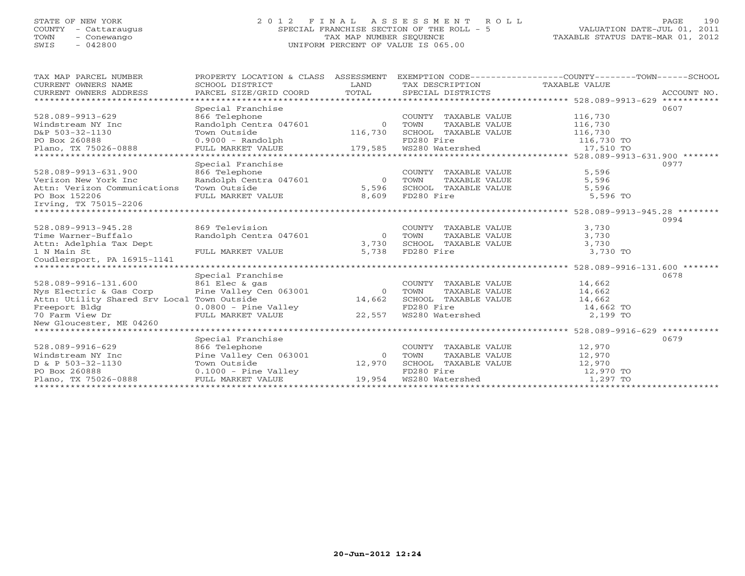## STATE OF NEW YORK 2 0 1 2 F I N A L A S S E S S M E N T R O L L PAGE 190COUNTY - Cattaraugus SPECIAL FRANCHISE SECTION OF THE ROLL - 5 VALUATION DATE-JUL 01, 2011 SWIS - 042800 UNIFORM PERCENT OF VALUE IS 065.00

TAXABLE STATUS DATE-MAR 01, 2012

| TAX MAP PARCEL NUMBER<br>CURRENT OWNERS NAME             | PROPERTY LOCATION & CLASS ASSESSMENT<br>SCHOOL DISTRICT | LAND           | TAX DESCRIPTION TAXABLE VALUE | EXEMPTION CODE----------------COUNTY-------TOWN------SCHOOL |
|----------------------------------------------------------|---------------------------------------------------------|----------------|-------------------------------|-------------------------------------------------------------|
| CURRENT OWNERS ADDRESS                                   | PARCEL SIZE/GRID COORD                                  | TOTAL          | SPECIAL DISTRICTS             | ACCOUNT NO.                                                 |
| *************************                                |                                                         |                |                               |                                                             |
|                                                          | Special Franchise                                       |                |                               | 0607                                                        |
| 528.089-9913-629                                         | 866 Telephone                                           |                | COUNTY TAXABLE VALUE          | 116,730                                                     |
| Windstream NY Inc                                        | Randolph Centra 047601                                  | $\Omega$       | TAXABLE VALUE<br>TOWN         | 116,730                                                     |
| D&P 503-32-1130                                          | Town Outside                                            | 116,730        | SCHOOL TAXABLE VALUE          | 116,730                                                     |
| PO Box 260888                                            | $0.9000 - Random$                                       |                | FD280 Fire                    | 116,730 TO                                                  |
| Plano, TX 75026-0888                                     | FULL MARKET VALUE                                       | 179,585        | WS280 Watershed               | 17,510 TO                                                   |
|                                                          |                                                         |                |                               |                                                             |
|                                                          | Special Franchise                                       |                |                               | 0977                                                        |
| 528.089-9913-631.900                                     | 866 Telephone                                           |                | COUNTY TAXABLE VALUE          | 5,596                                                       |
| Verizon New York Inc                                     | Randolph Centra 047601                                  | $\overline{0}$ | TOWN<br>TAXABLE VALUE         | 5,596                                                       |
| Attn: Verizon Communications                             | Town Outside                                            | 5,596          | SCHOOL TAXABLE VALUE          | 5,596                                                       |
| PO Box 152206                                            | FULL MARKET VALUE                                       | 8,609          | FD280 Fire                    | 5,596 TO                                                    |
| Irving, TX 75015-2206                                    |                                                         |                |                               |                                                             |
| ****************************                             |                                                         |                |                               | 0994                                                        |
| 528.089-9913-945.28                                      | 869 Television                                          |                | COUNTY TAXABLE VALUE          | 3,730                                                       |
| Time Warner-Buffalo                                      | Randolph Centra 047601                                  | $\overline{0}$ | TAXABLE VALUE<br>TOWN         | 3,730                                                       |
| Attn: Adelphia Tax Dept                                  |                                                         | 3,730          | SCHOOL TAXABLE VALUE          | 3,730                                                       |
| 1 N Main St                                              | FULL MARKET VALUE                                       | 5,738          | FD280 Fire                    | 3,730 TO                                                    |
| Coudlersport, PA 16915-1141                              |                                                         |                |                               |                                                             |
| ******************************                           |                                                         |                |                               |                                                             |
|                                                          | Special Franchise                                       |                |                               | 0678                                                        |
| 528.089-9916-131.600                                     | 861 Elec & gas                                          |                | COUNTY TAXABLE VALUE          | 14,662                                                      |
| Nys Electric & Gas Corp                                  | Pine Valley Cen 063001                                  | $\overline{0}$ | TOWN<br>TAXABLE VALUE         | 14,662                                                      |
| Attn: Utility Shared Srv Local Town Outside              |                                                         | 14,662         | SCHOOL TAXABLE VALUE          | 14,662                                                      |
|                                                          |                                                         |                | FD280 Fire                    | 14,662 TO                                                   |
| Freeport Bldg                                            | $0.0800$ - Pine Valley                                  |                |                               |                                                             |
| 70 Farm View Dr                                          | FULL MARKET VALUE                                       | 22,557         | WS280 Watershed               | 2,199 TO                                                    |
| New Gloucester, ME 04260<br>**************************** |                                                         |                |                               |                                                             |
|                                                          | Special Franchise                                       |                |                               | 0679                                                        |
| 528.089-9916-629                                         | 866 Telephone                                           |                | COUNTY TAXABLE VALUE          | 12,970                                                      |
| Windstream NY Inc                                        | Pine Valley Cen 063001                                  | $\Omega$       | TOWN<br>TAXABLE VALUE         | 12,970                                                      |
| D & P 503-32-1130                                        | Town Outside                                            | 12,970         | SCHOOL TAXABLE VALUE          | 12,970                                                      |
| PO Box 260888                                            | $0.1000$ - Pine Valley                                  |                | FD280 Fire                    | 12,970 TO                                                   |
| Plano, TX 75026-0888                                     | FULL MARKET VALUE                                       | 19,954         | WS280 Watershed               | 1,297 TO                                                    |
|                                                          |                                                         |                |                               |                                                             |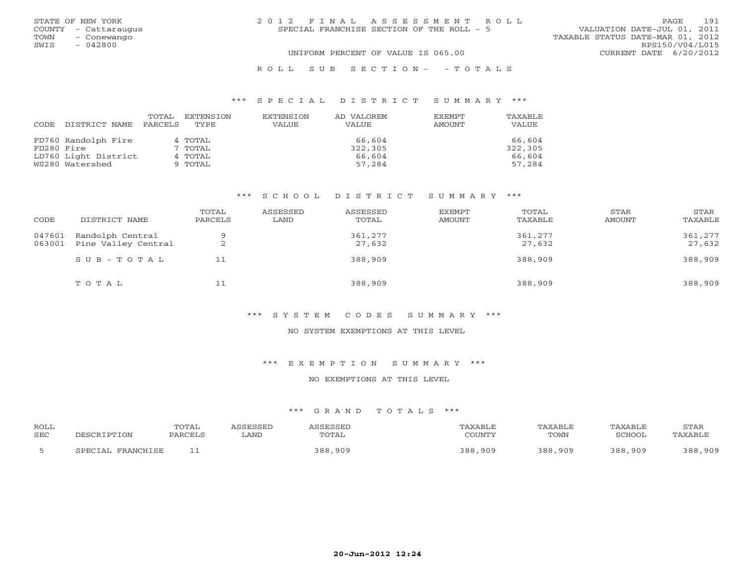|      | STATE OF NEW YORK    | 2012 FINAL ASSESSMENT ROLL                | 191<br>PAGE                      |
|------|----------------------|-------------------------------------------|----------------------------------|
|      | COUNTY - Cattaraugus | SPECIAL FRANCHISE SECTION OF THE ROLL - 5 | VALUATION DATE-JUL 01, 2011      |
| TOWN | - Conewango          |                                           | TAXABLE STATUS DATE-MAR 01, 2012 |
| SWIS | - 042800             |                                           | RPS150/V04/L015                  |
|      |                      | UNIFORM PERCENT OF VALUE IS 065.00        | CURRENT DATE 6/20/2012           |
|      |                      | ROLL SUB SECTION- - TOTALS                |                                  |

#### \*\*\* S P E C I A L D I S T R I C T S U M M A R Y \*\*\*

|            |                      | TOTAL   | EXTENSION | EXTENSION | AD VALOREM   | <b>EXEMPT</b> | TAXABLE |
|------------|----------------------|---------|-----------|-----------|--------------|---------------|---------|
| CODE       | DISTRICT NAME        | PARCELS | TYPE.     | VALUE     | <b>VALUE</b> | AMOUNT        | VALUE   |
|            |                      |         |           |           |              |               |         |
|            | FD760 Randolph Fire  |         | 4 TOTAL   |           | 66,604       |               | 66,604  |
| FD280 Fire |                      |         | 7 TOTAL   |           | 322,305      |               | 322,305 |
|            | LD760 Light District |         | 4 TOTAL   |           | 66,604       |               | 66,604  |
|            | WS280 Watershed      |         | 9 TOTAL   |           | 57,284       |               | 57,284  |

## \*\*\* S C H O O L D I S T R I C T S U M M A R Y \*\*\*

| CODE             | DISTRICT NAME                           | TOTAL<br>PARCELS | ASSESSED<br>LAND | ASSESSED<br>TOTAL | EXEMPT<br>AMOUNT | TOTAL<br>TAXABLE  | STAR<br>AMOUNT | STAR<br>TAXABLE   |
|------------------|-----------------------------------------|------------------|------------------|-------------------|------------------|-------------------|----------------|-------------------|
| 047601<br>063001 | Randolph Central<br>Pine Valley Central | ▵                |                  | 361,277<br>27,632 |                  | 361,277<br>27,632 |                | 361,277<br>27,632 |
|                  | $SUB - TO T AL$                         | 11               |                  | 388,909           |                  | 388,909           |                | 388,909           |
|                  | TOTAL                                   | 11               |                  | 388,909           |                  | 388,909           |                | 388,909           |

### \*\*\* S Y S T E M C O D E S S U M M A R Y \*\*\*

#### NO SYSTEM EXEMPTIONS AT THIS LEVEL

\*\*\* E X E M P T I O N S U M M A R Y \*\*\*

#### NO EXEMPTIONS AT THIS LEVEL

| <b>ROLL</b><br><b>SEC</b> | DESCRIPTION             | TOTAL<br>PARCELS | <i><b>SSESSED</b></i><br>∟AND | ASSESSET<br>TOTAL | TAXABLE<br>COUNTY | TAXABLE<br>TOWN | TAXABLE<br>SCHOOL | STAR<br>TAXABLE |
|---------------------------|-------------------------|------------------|-------------------------------|-------------------|-------------------|-----------------|-------------------|-----------------|
|                           | . FRANCHISE<br>CDRCTAL. | - -              |                               | 388,909           | 388,909           | 388,909         | 388,909           | 388,909         |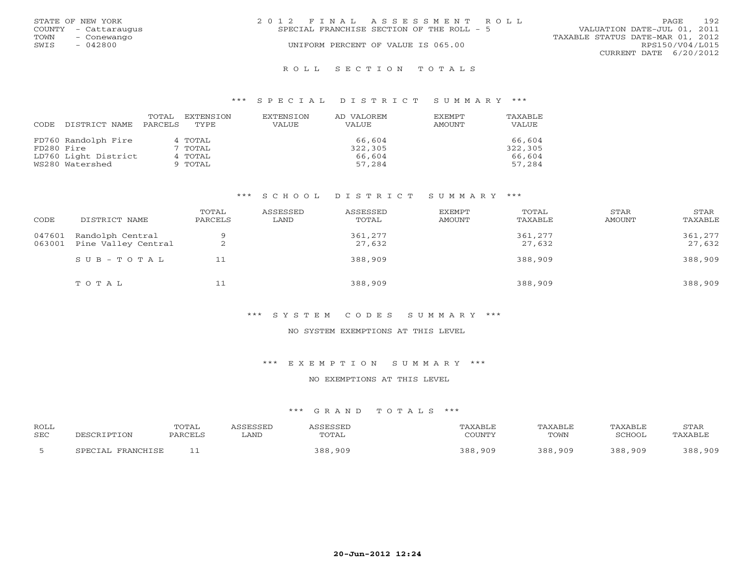|      | STATE OF NEW YORK    | 2012 FINAL ASSESSMENT ROLL                | 192<br><b>PAGE</b>               |
|------|----------------------|-------------------------------------------|----------------------------------|
|      | COUNTY - Cattaraugus | SPECIAL FRANCHISE SECTION OF THE ROLL - 5 | VALUATION DATE-JUL 01, 2011      |
| TOWN | – Conewango          |                                           | TAXABLE STATUS DATE-MAR 01, 2012 |
| SWIS | - 042800             | UNIFORM PERCENT OF VALUE IS 065.00        | RPS150/V04/L015                  |
|      |                      |                                           | CURRENT DATE 6/20/2012           |
|      |                      |                                           |                                  |

#### R O L L S E C T I O N T O T A L S

#### \*\*\* S P E C I A L D I S T R I C T S U M M A R Y \*\*\*

| CODE       | DISTRICT NAME        | TOTAL<br>PARCELS | EXTENSION<br>TYPE. | EXTENSION<br>VALUE | AD VALOREM<br>VALUE | <b>EXEMPT</b><br><b>AMOUNT</b> | TAXABLE<br>VALUE |
|------------|----------------------|------------------|--------------------|--------------------|---------------------|--------------------------------|------------------|
|            | FD760 Randolph Fire  |                  | 4 TOTAL            |                    | 66,604              |                                | 66,604           |
| FD280 Fire |                      |                  | 7 TOTAL            |                    | 322,305             |                                | 322,305          |
|            | LD760 Light District |                  | 4 TOTAL            |                    | 66,604              |                                | 66,604           |
|            | WS280 Watershed      |                  | 9 TOTAL            |                    | 57,284              |                                | 57,284           |

## \*\*\* S C H O O L D I S T R I C T S U M M A R Y \*\*\*

| CODE             | DISTRICT NAME                           | TOTAL<br>PARCELS | ASSESSED<br>LAND | ASSESSED<br>TOTAL | EXEMPT<br>AMOUNT | TOTAL<br>TAXABLE  | STAR<br>AMOUNT | STAR<br>TAXABLE   |
|------------------|-----------------------------------------|------------------|------------------|-------------------|------------------|-------------------|----------------|-------------------|
| 047601<br>063001 | Randolph Central<br>Pine Valley Central | Q                |                  | 361,277<br>27,632 |                  | 361,277<br>27,632 |                | 361,277<br>27,632 |
|                  | $SUB - TO T AL$                         | 11               |                  | 388,909           |                  | 388,909           |                | 388,909           |
|                  | TOTAL                                   | 11               |                  | 388,909           |                  | 388,909           |                | 388,909           |

## \*\*\* S Y S T E M C O D E S S U M M A R Y \*\*\*

#### NO SYSTEM EXEMPTIONS AT THIS LEVEL

\*\*\* E X E M P T I O N S U M M A R Y \*\*\*

#### NO EXEMPTIONS AT THIS LEVEL

| ROLL<br>SEC | DESCRIPTION                 | TOTAL<br>PARCELS | <i>\SSESSED</i><br>LAND | <i><b>\SSESSED</b></i><br>TOTAL | ™AXABLE<br>COUNTY | TAXABLE<br>TOWN | TAXABLE<br>SCHOOL | STAR<br>TAXABLE |
|-------------|-----------------------------|------------------|-------------------------|---------------------------------|-------------------|-----------------|-------------------|-----------------|
|             | FRANCHISE<br><b>SPECTAL</b> |                  |                         | 388,909                         | 388,909           | 388,909         | 388,909           | 388,909         |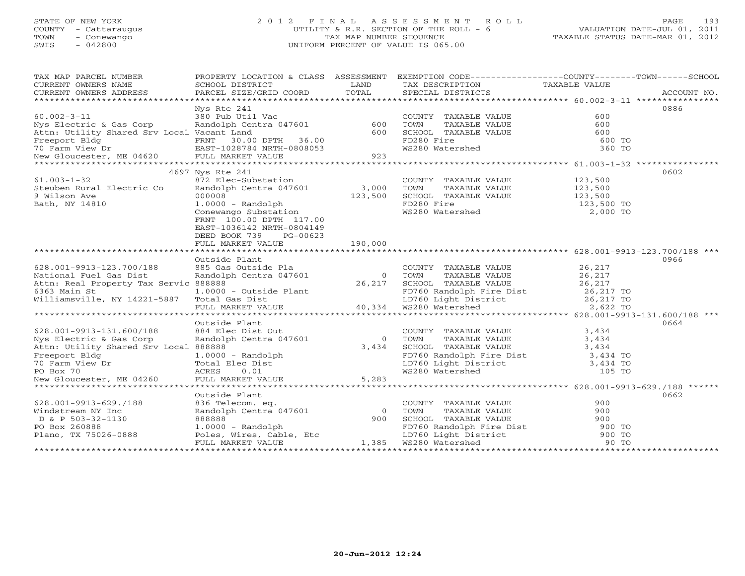## STATE OF NEW YORK 2 0 1 2 F I N A L A S S E S S M E N T R O L L PAGE 193 COUNTY - Cattaraugus UTILITY & R.R. SECTION OF THE ROLL - 6 VALUATION DATE-JUL 01, 2011 TOWN - Conewango TAX MAP NUMBER SEQUENCE TAXABLE STATUS DATE-MAR 01, 2012 SWIS - 042800 UNIFORM PERCENT OF VALUE IS 065.00

| TAX MAP PARCEL NUMBER                                                                                                                                                                                                                | PROPERTY LOCATION & CLASS ASSESSMENT EXEMPTION CODE----------------COUNTY-------TOWN------SCHOOL                                                                                                                                                             |                  |                                                                                                            |                        |             |
|--------------------------------------------------------------------------------------------------------------------------------------------------------------------------------------------------------------------------------------|--------------------------------------------------------------------------------------------------------------------------------------------------------------------------------------------------------------------------------------------------------------|------------------|------------------------------------------------------------------------------------------------------------|------------------------|-------------|
| CURRENT OWNERS NAME                                                                                                                                                                                                                  | SCHOOL DISTRICT                                                                                                                                                                                                                                              | LAND<br>TOTAL    | TAX DESCRIPTION TAXABLE VALUE                                                                              |                        |             |
| CURRENT OWNERS ADDRESS                                                                                                                                                                                                               | PARCEL SIZE/GRID COORD                                                                                                                                                                                                                                       |                  | SPECIAL DISTRICTS                                                                                          |                        | ACCOUNT NO. |
|                                                                                                                                                                                                                                      | Nys Rte 241                                                                                                                                                                                                                                                  |                  |                                                                                                            |                        | 0886        |
| $60.002 - 3 - 11$                                                                                                                                                                                                                    | 380 Pub Util Vac                                                                                                                                                                                                                                             |                  | COUNTY TAXABLE VALUE                                                                                       | 600                    |             |
| Nys Electric & Gas Corp                                                                                                                                                                                                              | Randolph Centra 047601                                                                                                                                                                                                                                       | 600              | TOWN<br>TAXABLE VALUE                                                                                      | 600                    |             |
| Attn: Utility Shared Srv Local Vacant Land                                                                                                                                                                                           |                                                                                                                                                                                                                                                              | 600              | SCHOOL TAXABLE VALUE                                                                                       | 600                    |             |
|                                                                                                                                                                                                                                      |                                                                                                                                                                                                                                                              |                  | FD280 Fire                                                                                                 | 600 TO                 |             |
|                                                                                                                                                                                                                                      |                                                                                                                                                                                                                                                              | 923              | WS280 Watershed                                                                                            | 360 TO                 |             |
|                                                                                                                                                                                                                                      |                                                                                                                                                                                                                                                              |                  |                                                                                                            |                        |             |
|                                                                                                                                                                                                                                      |                                                                                                                                                                                                                                                              |                  |                                                                                                            |                        |             |
| $61.003 - 1 - 32$                                                                                                                                                                                                                    | 4697 Nys Rte 241                                                                                                                                                                                                                                             |                  |                                                                                                            |                        | 0602        |
| Steuben Rural Electric Co                                                                                                                                                                                                            | 872 Elec-Substation<br>Randolph Centra 047601                                                                                                                                                                                                                | 3,000            | COUNTY TAXABLE VALUE<br>TOWN<br>TAXABLE VALUE                                                              | 123,500<br>123,500     |             |
| 9 Wilson Ave                                                                                                                                                                                                                         | 000008                                                                                                                                                                                                                                                       | 123,500          | SCHOOL TAXABLE VALUE                                                                                       | 123,500                |             |
| Bath, NY 14810                                                                                                                                                                                                                       |                                                                                                                                                                                                                                                              |                  | FD280 Fire                                                                                                 |                        |             |
|                                                                                                                                                                                                                                      | 1.0000 - Randolph<br>Conewango Substation                                                                                                                                                                                                                    |                  | FD280 Fire<br>WS280 Watershed                                                                              | 123,500 TO<br>2,000 TO |             |
|                                                                                                                                                                                                                                      | FRNT 100.00 DPTH 117.00                                                                                                                                                                                                                                      |                  |                                                                                                            |                        |             |
|                                                                                                                                                                                                                                      | EAST-1036142 NRTH-0804149                                                                                                                                                                                                                                    |                  |                                                                                                            |                        |             |
|                                                                                                                                                                                                                                      | DEED BOOK 739<br>PG-00623                                                                                                                                                                                                                                    |                  |                                                                                                            |                        |             |
|                                                                                                                                                                                                                                      | FULL MARKET VALUE                                                                                                                                                                                                                                            | 190,000          |                                                                                                            |                        |             |
|                                                                                                                                                                                                                                      |                                                                                                                                                                                                                                                              |                  |                                                                                                            |                        |             |
|                                                                                                                                                                                                                                      | Outside Plant                                                                                                                                                                                                                                                |                  |                                                                                                            |                        | 0966        |
| 628.001-9913-123.700/188                                                                                                                                                                                                             | 885 Gas Outside Pla                                                                                                                                                                                                                                          |                  | COUNTY TAXABLE VALUE 26,217                                                                                |                        |             |
| National Fuel Gas Dist                                                                                                                                                                                                               | Randolph Centra 047601                                                                                                                                                                                                                                       | $\overline{0}$   | TAXABLE VALUE $26,217$<br>TAXABLE VALUE $26,217$<br>TOWN                                                   |                        |             |
| Attn: Real Property Tax Servic 888888                                                                                                                                                                                                | 888888<br>1.0000 - Outside Plant<br>- Alian Plant                                                                                                                                                                                                            | $0 \over 26,217$ |                                                                                                            |                        |             |
| 6363 Main St                                                                                                                                                                                                                         |                                                                                                                                                                                                                                                              |                  |                                                                                                            |                        |             |
| Williamsville, NY 14221-5887 Total Gas Dist                                                                                                                                                                                          |                                                                                                                                                                                                                                                              |                  |                                                                                                            |                        |             |
|                                                                                                                                                                                                                                      | 888888<br>1.0000 - Outside Plant<br>Total Gas Dist<br>Total Gas Dist<br>Total Gas Dist<br>Total Gas Dist<br>Total Gas Dist<br>Total Gas Dist<br>Total Gas Dist<br>Total Gas Dist<br>Total Gas Dist<br>26,217 TO<br>2,6217 TO<br>2,6217 TO<br>2,622 TO<br>2,6 |                  |                                                                                                            |                        |             |
|                                                                                                                                                                                                                                      |                                                                                                                                                                                                                                                              |                  |                                                                                                            |                        |             |
|                                                                                                                                                                                                                                      | Outside Plant                                                                                                                                                                                                                                                |                  |                                                                                                            |                        | 0664        |
|                                                                                                                                                                                                                                      | 884 Elec Dist Out                                                                                                                                                                                                                                            |                  | COUNTY TAXABLE VALUE                                                                                       | 3,434                  |             |
| 020.001-9913-131.600/188<br>Nys Electric & Gas Corp                                                                                                                                                                                  | Randolph Centra 047601                                                                                                                                                                                                                                       | $\overline{0}$   | TOWN        TAXABLE  VALUE<br>SCHOOL    TAXABLE  VALUE                                                     | 3,434                  |             |
| Attn: Utility Shared Srv Local 888888                                                                                                                                                                                                |                                                                                                                                                                                                                                                              | 3,434            |                                                                                                            | 3,434                  |             |
|                                                                                                                                                                                                                                      |                                                                                                                                                                                                                                                              |                  |                                                                                                            |                        |             |
|                                                                                                                                                                                                                                      |                                                                                                                                                                                                                                                              |                  |                                                                                                            |                        |             |
|                                                                                                                                                                                                                                      |                                                                                                                                                                                                                                                              |                  |                                                                                                            |                        |             |
| Freeport Bldg and the Dist of the Dist of the Dist of the Dist of the Dist of the Dist of Treeport Bldg and Dist<br>Total Elec Dist District Bldg and District a 434 TO<br>New Gloucester, ME 04260 FULL MARKET VALUE 5,283<br>***** |                                                                                                                                                                                                                                                              |                  |                                                                                                            |                        |             |
|                                                                                                                                                                                                                                      |                                                                                                                                                                                                                                                              |                  |                                                                                                            |                        |             |
|                                                                                                                                                                                                                                      | Outside Plant<br>836 Telecom. eq.                                                                                                                                                                                                                            |                  |                                                                                                            | 900                    | 0662        |
| 628.001-9913-629./188                                                                                                                                                                                                                | 836 Telecom. eq.<br>Randolph Centra 047601                                                                                                                                                                                                                   | $\overline{0}$   | COUNTY TAXABLE VALUE<br>TOWN                                                                               | 900                    |             |
| Windstream NY Inc<br>D & P 503-32-1130                                                                                                                                                                                               | 888888                                                                                                                                                                                                                                                       | 900              | TAXABLE VALUE<br>SCHOOL TAXABLE VALUE                                                                      | 900                    |             |
| PO Box 260888                                                                                                                                                                                                                        | $1.0000 - Random$                                                                                                                                                                                                                                            |                  |                                                                                                            |                        |             |
| Plano, TX 75026-0888                                                                                                                                                                                                                 | Poles, Wires, Cable, Etc                                                                                                                                                                                                                                     |                  |                                                                                                            |                        |             |
|                                                                                                                                                                                                                                      | FULL MARKET VALUE                                                                                                                                                                                                                                            | 1,385            | FD760 Randolph Fire Dist 900 TO<br>LD760 Light District 900 TO<br>WS280 Watershed 90 TO<br>WS280 Watershed | 90 TO                  |             |
|                                                                                                                                                                                                                                      |                                                                                                                                                                                                                                                              |                  |                                                                                                            |                        |             |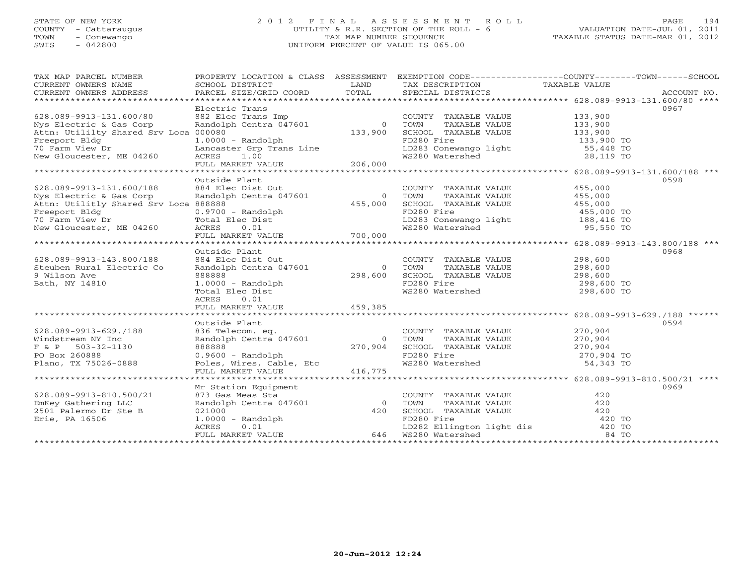## STATE OF NEW YORK 2 0 1 2 F I N A L A S S E S S M E N T R O L L PAGE 194 COUNTY - Cattaraugus UTILITY & R.R. SECTION OF THE ROLL - 6 VALUATION DATE-JUL 01, 2011 TOWN - Conewango TAX MAP NUMBER SEQUENCE TAXABLE STATUS DATE-MAR 01, 2012 SWIS - 042800 UNIFORM PERCENT OF VALUE IS 065.00UNIFORM PERCENT OF VALUE IS 065.00

| TAX MAP PARCEL NUMBER<br>CURRENT OWNERS NAME | PROPERTY LOCATION & CLASS ASSESSMENT<br>SCHOOL DISTRICT                           | LAND           |                                                                                                                                                                                      | EXEMPTION CODE----------------COUNTY-------TOWN------SCHOOL |      |
|----------------------------------------------|-----------------------------------------------------------------------------------|----------------|--------------------------------------------------------------------------------------------------------------------------------------------------------------------------------------|-------------------------------------------------------------|------|
|                                              |                                                                                   |                | TAX DESCRIPTION TAXABLE VALUE SPECIAL DISTRICTS                                                                                                                                      |                                                             |      |
|                                              |                                                                                   |                |                                                                                                                                                                                      |                                                             |      |
|                                              | Electric Trans                                                                    |                |                                                                                                                                                                                      |                                                             | 0967 |
| 628.089-9913-131.600/80                      | Electric frame<br>882 Elec Trans Imp<br>Randolph Centra 047601 (133,900)          |                | COUNTY TAXABLE VALUE                                                                                                                                                                 | 133,900                                                     |      |
| Nys Electric & Gas Corp                      |                                                                                   |                |                                                                                                                                                                                      |                                                             |      |
| Attn: Utililty Shared Srv Loca 000080        |                                                                                   |                | TOWN      TAXABLE VALUE<br>SCHOOL   TAXABLE VALUE                                                                                                                                    | 133,900<br>133,900                                          |      |
| Freeport Bldg                                | $1.0000 - Random$                                                                 |                |                                                                                                                                                                                      |                                                             |      |
| 70 Farm View Dr                              |                                                                                   |                |                                                                                                                                                                                      |                                                             |      |
| New Gloucester, ME 04260                     |                                                                                   |                | FD280 Fire 133,900 TO<br>LD283 Conewango light 133,900 TO<br>WS280 Watershed 28,119 TO                                                                                               |                                                             |      |
|                                              |                                                                                   |                |                                                                                                                                                                                      |                                                             |      |
|                                              |                                                                                   |                |                                                                                                                                                                                      |                                                             |      |
|                                              | Outside Plant                                                                     |                |                                                                                                                                                                                      |                                                             | 0598 |
| 628.089-9913-131.600/188                     | 884 Elec Dist Out                                                                 |                | COUNTY TAXABLE VALUE                                                                                                                                                                 | 455,000                                                     |      |
| Nys Electric & Gas Corp                      | Randolph Centra 047601                                                            | $\Omega$       | TAXABLE VALUE 455,000<br>TOWN                                                                                                                                                        |                                                             |      |
| Attn: Utilitly Shared Srv Loca 888888        |                                                                                   | 455,000        | SCHOOL TAXABLE VALUE                                                                                                                                                                 |                                                             |      |
| Freeport Bldg                                | 0.9700 - Randolph                                                                 |                | FD280 Fire                                                                                                                                                                           |                                                             |      |
|                                              |                                                                                   |                |                                                                                                                                                                                      | 455,000 TO<br>455,000 TO<br>100 416 TO                      |      |
| 70 Farm View Dr<br>New Gloucester, ME 04260  |                                                                                   |                | LD283 Conewango light 188,416 TO<br>WS280 Watershed 95,550 TO                                                                                                                        |                                                             |      |
|                                              | U.3700 - Kanademynt<br>Total Elec Dist<br>ACRES 0.01<br>FULL MARKET VALUE 700,000 |                |                                                                                                                                                                                      |                                                             |      |
|                                              |                                                                                   |                |                                                                                                                                                                                      |                                                             |      |
|                                              | Outside Plant                                                                     |                |                                                                                                                                                                                      |                                                             | 0968 |
| 628.089-9913-143.800/188                     | 884 Elec Dist Out                                                                 |                |                                                                                                                                                                                      |                                                             |      |
| Steuben Rural Electric Co                    | Randolph Centra 047601                                                            | $\overline{0}$ | COUNTY TAXABLE VALUE<br>TOWN     TAXABLE VALUE                                                                                                                                       | 298,600<br>298,600                                          |      |
| 9 Wilson Ave                                 | 888888                                                                            | 298,600        | SCHOOL TAXABLE VALUE 298,600                                                                                                                                                         |                                                             |      |
| Bath, NY 14810                               | $1.0000 - Random$                                                                 |                | FD280 Fire                                                                                                                                                                           | 298,600 TO                                                  |      |
|                                              | Total Elec Dist                                                                   |                | WS280 Watershed                                                                                                                                                                      | 298,600 TO                                                  |      |
|                                              | ACRES<br>0.01                                                                     |                |                                                                                                                                                                                      |                                                             |      |
|                                              | FULL MARKET VALUE                                                                 | 459,385        |                                                                                                                                                                                      |                                                             |      |
|                                              |                                                                                   |                |                                                                                                                                                                                      |                                                             |      |
|                                              | Outside Plant                                                                     |                |                                                                                                                                                                                      |                                                             | 0594 |
| 628.089-9913-629./188                        | 836 Telecom. eq.                                                                  |                | COUNTY TAXABLE VALUE 270,904                                                                                                                                                         |                                                             |      |
| Windstream NY Inc                            | Randolph Centra 047601                                                            |                | 0 TOWN                                                                                                                                                                               |                                                             |      |
| $F & P$ 503-32-1130                          | 888888                                                                            | 0<br>270,904   |                                                                                                                                                                                      |                                                             |      |
| PO Box 260888                                |                                                                                   |                |                                                                                                                                                                                      |                                                             |      |
| Plano, TX 75026-0888                         |                                                                                   |                | TOWN TAXABLE VALUE 270,904<br>SCHOOL TAXABLE VALUE 270,904<br>FD280 Fire 270,904<br>WS280 Watershed 54,343 TO                                                                        |                                                             |      |
|                                              |                                                                                   |                |                                                                                                                                                                                      |                                                             |      |
|                                              |                                                                                   |                |                                                                                                                                                                                      |                                                             |      |
|                                              | Mr Station Equipment                                                              |                |                                                                                                                                                                                      |                                                             | 0969 |
| 628.089-9913-810.500/21                      |                                                                                   |                | COUNTY TAXABLE VALUE                                                                                                                                                                 | 420                                                         |      |
| EmKey Gathering LLC                          |                                                                                   |                | TOWN<br>TAXABLE VALUE                                                                                                                                                                | 420                                                         |      |
| 2501 Palermo Dr Ste B                        |                                                                                   |                |                                                                                                                                                                                      |                                                             |      |
| Erie, PA 16506                               | Mr Station Equipment<br>873 Gas Meas Sta<br>Randolph Centra 047601 (1990)<br>120  |                |                                                                                                                                                                                      |                                                             |      |
|                                              | 1.0000 - Randolph<br>ACRES 0.01                                                   |                |                                                                                                                                                                                      |                                                             |      |
|                                              | FULL MARKET VALUE                                                                 |                | EXERIBITION 1120<br>SCHOOL TAXABLE VALUE<br>FD280 Fire 420 TO<br>LD282 Ellington light dis 420 TO<br>WS280 Watershed 84 TO<br>FD280 Fire<br>LD282 Ellington<br>646   WS280 Watershed |                                                             |      |
|                                              |                                                                                   |                |                                                                                                                                                                                      |                                                             |      |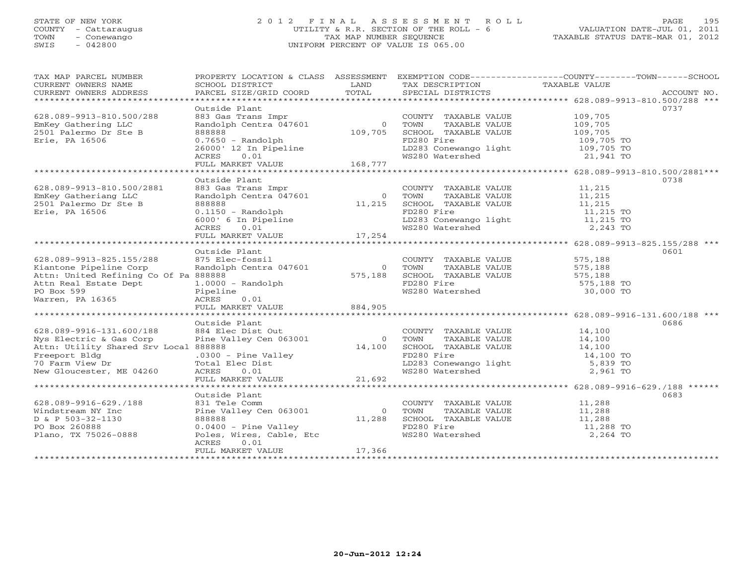## STATE OF NEW YORK 2 0 1 2 F I N A L A S S E S S M E N T R O L L PAGE 195 COUNTY - Cattaraugus UTILITY & R.R. SECTION OF THE ROLL - 6 VALUATION DATE-JUL 01, 2011 TOWN - Conewango TAX MAP NUMBER SEQUENCE TAXABLE STATUS DATE-MAR 01, 2012 SWIS - 042800 UNIFORM PERCENT OF VALUE IS 065.00UNIFORM PERCENT OF VALUE IS 065.00

| TAX MAP PARCEL NUMBER<br>CURRENT OWNERS NAME | SCHOOL DISTRICT                                                                    | LAND           | TAX DESCRIPTION                                                                                         | PROPERTY LOCATION & CLASS ASSESSMENT EXEMPTION CODE----------------COUNTY-------TOWN------SCHOOL<br>TAXABLE VALUE |
|----------------------------------------------|------------------------------------------------------------------------------------|----------------|---------------------------------------------------------------------------------------------------------|-------------------------------------------------------------------------------------------------------------------|
|                                              |                                                                                    |                |                                                                                                         |                                                                                                                   |
|                                              | Outside Plant                                                                      |                |                                                                                                         | 0737                                                                                                              |
| 628.089-9913-810.500/288                     | 883 Gas Trans Impr                                                                 |                | COUNTY TAXABLE VALUE 109,705                                                                            |                                                                                                                   |
| EmKey Gathering LLC                          | Randolph Centra 047601                                                             | $\overline{0}$ | TOWN<br>TAXABLE VALUE                                                                                   | 109,705                                                                                                           |
| 2501 Palermo Dr Ste B                        | 888888                                                                             | 109,705        | SCHOOL TAXABLE VALUE                                                                                    | 109,705                                                                                                           |
| Erie, PA 16506                               | $0.7650 - Random$                                                                  |                | FD280 Fire                                                                                              | 109,705 TO                                                                                                        |
|                                              |                                                                                    |                | LD283 Conewango light<br>WS280 Watershed                                                                | 109,705 TO                                                                                                        |
|                                              | 26000' 12 In Pipeline<br>ACRES 0.01<br>FULL MARKET VALUE 168,777                   |                |                                                                                                         | 21,941 TO                                                                                                         |
|                                              |                                                                                    |                |                                                                                                         |                                                                                                                   |
|                                              | Outside Plant                                                                      |                |                                                                                                         | 0738                                                                                                              |
| 628.089-9913-810.500/2881                    | 883 Gas Trans Impr                                                                 |                | COUNTY TAXABLE VALUE 11,215                                                                             |                                                                                                                   |
| EmKey Gatheriang LLC                         | Randolph Centra 047601                                                             |                | 0 TOWN<br>TAXABLE VALUE                                                                                 | 11,215                                                                                                            |
| 2501 Palermo Dr Ste B                        | 888888                                                                             | 11,215         | SCHOOL TAXABLE VALUE                                                                                    | $11,215$<br>11,215                                                                                                |
| Erie, PA 16506                               |                                                                                    |                | FD280 Fire                                                                                              | 11,215 TO                                                                                                         |
|                                              |                                                                                    |                |                                                                                                         |                                                                                                                   |
|                                              |                                                                                    |                | LD283 Conewango light the theory of the HD283 Conewango light the 11,215 TO<br>WS280 Watershed 2,243 TO |                                                                                                                   |
|                                              | 0.1150 - Randolph<br>6000' 6 In Pipeline<br>ACRES 0.01<br>FULL MARKET VALUE 17,254 |                |                                                                                                         |                                                                                                                   |
|                                              |                                                                                    |                |                                                                                                         |                                                                                                                   |
|                                              | Outside Plant                                                                      |                |                                                                                                         | 0601                                                                                                              |
| 628.089-9913-825.155/288                     | 875 Elec-fossil                                                                    |                | COUNTY TAXABLE VALUE                                                                                    | 575,188                                                                                                           |
| Kiantone Pipeline Corp                       | Randolph Centra 047601                                                             | $\overline{0}$ | TOWN<br>TAXABLE VALUE                                                                                   | 575,188                                                                                                           |
| Attn: United Refining Co Of Pa 888888        |                                                                                    | 575,188        | SCHOOL TAXABLE VALUE 575,188                                                                            |                                                                                                                   |
| Attn Real Estate Dept                        | $1.0000 - Random$                                                                  |                | FD280 Fire                                                                                              | 575,188 TO                                                                                                        |
| PO Box 599                                   | Pipeline                                                                           |                | WS280 Watershed                                                                                         | 30,000 TO                                                                                                         |
| Warren, PA 16365                             | ACRES<br>0.01                                                                      |                |                                                                                                         |                                                                                                                   |
|                                              | FULL MARKET VALUE                                                                  | 884,905        |                                                                                                         |                                                                                                                   |
|                                              | Outside Plant                                                                      |                |                                                                                                         | 0686                                                                                                              |
| 628.089-9916-131.600/188                     | 884 Elec Dist Out                                                                  |                | COUNTY TAXABLE VALUE                                                                                    | 14,100                                                                                                            |
| Nys Electric & Gas Corp                      | Pine Valley Cen 063001                                                             | $\overline{0}$ | TOWN<br>TAXABLE VALUE                                                                                   | 14,100                                                                                                            |
| Attn: Utility Shared Srv Local 888888        |                                                                                    | 14,100         | SCHOOL TAXABLE VALUE                                                                                    |                                                                                                                   |
| Freeport Bldg                                |                                                                                    |                | FD280 Fire                                                                                              | 14,100<br>14,100 TO                                                                                               |
| 70 Farm View Dr                              |                                                                                    |                |                                                                                                         | 5,839 TO                                                                                                          |
| New Gloucester, ME 04260                     | .0300 - Pine Valley<br>Total Elec Dist<br>ACRES 0.01                               |                | LD283 Conewango light<br>WS280 Watershed                                                                | 2,961 TO                                                                                                          |
|                                              | FULL MARKET VALUE 21,692                                                           |                |                                                                                                         |                                                                                                                   |
|                                              |                                                                                    |                |                                                                                                         |                                                                                                                   |
|                                              | Outside Plant                                                                      |                |                                                                                                         | 0683                                                                                                              |
| 628.089-9916-629./188                        | 831 Tele Comm                                                                      |                | COUNTY TAXABLE VALUE                                                                                    | 11,288                                                                                                            |
| Windstream NY Inc                            | Pine Valley Cen 063001                                                             | $\Omega$       | TOWN<br>TAXABLE VALUE                                                                                   | 11,288                                                                                                            |
| D & P 503-32-1130                            | 888888                                                                             | 11,288         | SCHOOL TAXABLE VALUE<br>FD280 Fire<br>WS280 Watershed                                                   | 11,288                                                                                                            |
| PO Box 260888                                | $0.0400$ - Pine Valley                                                             |                |                                                                                                         | 11,288 TO                                                                                                         |
| Plano, TX 75026-0888                         | Poles, Wires, Cable, Etc                                                           |                |                                                                                                         | 2,264 TO                                                                                                          |
|                                              | ACRES<br>0.01                                                                      |                |                                                                                                         |                                                                                                                   |
|                                              | FULL MARKET VALUE                                                                  | 17,366         |                                                                                                         |                                                                                                                   |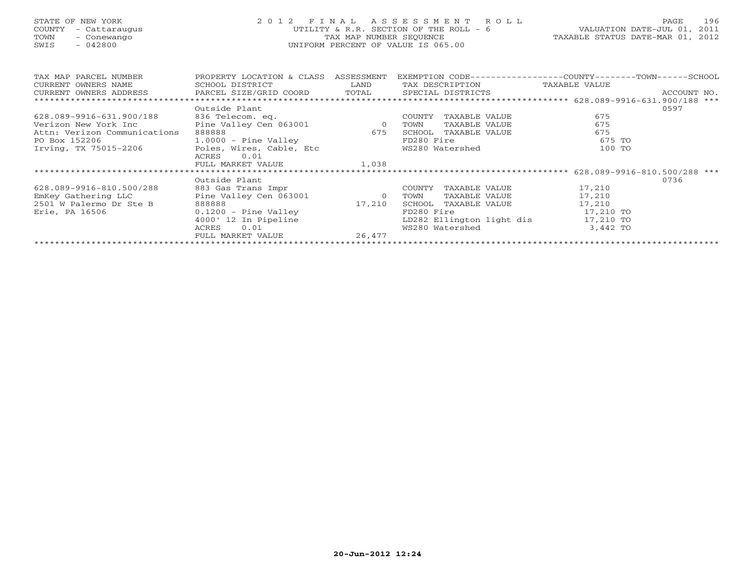## STATE OF NEW YORK 2 0 1 2 F I N A L A S S E S S M E N T R O L L PAGE 196 COUNTY - Cattaraugus UTILITY & R.R. SECTION OF THE ROLL - 6 VALUATION DATE-JUL 01, 2011 TOWN - Conewango TAX MAP NUMBER SEQUENCE TAXABLE STATUS DATE-MAR 01, 2012 SWIS - 042800 UNIFORM PERCENT OF VALUE IS 065.00UNIFORM PERCENT OF VALUE IS 065.00

| TAX MAP PARCEL NUMBER                                                                       | PROPERTY LOCATION & CLASS                        | ASSESSMENT              |                           | EXEMPTION CODE-----------------COUNTY-------TOWN------SCHOOL |             |
|---------------------------------------------------------------------------------------------|--------------------------------------------------|-------------------------|---------------------------|--------------------------------------------------------------|-------------|
| CURRENT OWNERS NAME                                                                         | SCHOOL DISTRICT                                  | LAND<br>TAX DESCRIPTION |                           | TAXABLE VALUE                                                |             |
| CURRENT OWNERS ADDRESS           PARCEL SIZE/GRID COORD       TOTAL       SPECIAL DISTRICTS |                                                  |                         |                           |                                                              | ACCOUNT NO. |
|                                                                                             |                                                  |                         |                           |                                                              |             |
|                                                                                             | Outside Plant                                    |                         |                           |                                                              | 0597        |
| 628.089-9916-631.900/188                                                                    |                                                  |                         | TAXABLE VALUE<br>COUNTY   | 675                                                          |             |
| Verizon New York Inc                                                                        |                                                  |                         | TAXABLE VALUE<br>TOWN     | 675                                                          |             |
| Attn: Verizon Communications                                                                | 888888                                           | 675                     | SCHOOL<br>TAXABLE VALUE   | 675                                                          |             |
| PO Box 152206                                                                               | 1.0000 - Pine Valley<br>Poles, Wires, Cable, Etc |                         | FD280 Fire                | 675 TO                                                       |             |
| Irving, TX 75015-2206                                                                       |                                                  |                         | WS280 Watershed           | 100 TO                                                       |             |
|                                                                                             | 0.01<br>ACRES                                    |                         |                           |                                                              |             |
|                                                                                             | FULL MARKET VALUE 1,038                          |                         |                           |                                                              |             |
|                                                                                             |                                                  |                         |                           |                                                              |             |
|                                                                                             | Outside Plant                                    |                         |                           |                                                              | 0736        |
| 628.089-9916-810.500/288                                                                    | 883 Gas Trans Impr                               |                         | TAXABLE VALUE<br>COUNTY   | 17,210                                                       |             |
| EmKey Gathering LLC                                                                         | Pine Valley Cen 063001                           | $\overline{0}$          | TOWN<br>TAXABLE VALUE     | 17,210                                                       |             |
| 2501 W Palermo Dr Ste B                                                                     | 888888                                           | 17,210                  | SCHOOL TAXABLE VALUE      | 17,210                                                       |             |
| Erie, PA 16506                                                                              | $0.1200$ - Pine Valley                           |                         | FD280 Fire                | 17,210 TO                                                    |             |
|                                                                                             | 4000' 12 In Pipeline                             |                         | LD282 Ellington light dis | 17,210 TO                                                    |             |
|                                                                                             | 0.01<br>ACRES                                    |                         | WS280 Watershed           | 3,442 TO                                                     |             |
|                                                                                             | FULL MARKET VALUE                                | 26,477                  |                           |                                                              |             |
|                                                                                             |                                                  |                         |                           |                                                              |             |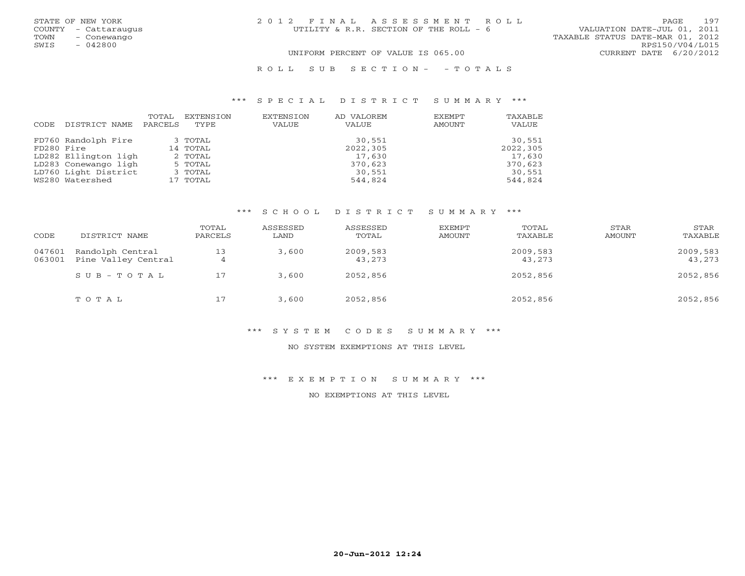| STATE OF NEW YORK<br>TOWN | COUNTY - Cattaraugus<br>- Conewango | 2012 FINAL ASSESSMENT ROLL<br>VALUATION DATE-JUL 01, 2011<br>UTILITY & R.R. SECTION OF THE ROLL - 6<br>TAXABLE STATUS DATE-MAR 01, 2012 |                                           | PAGE | 197 |
|---------------------------|-------------------------------------|-----------------------------------------------------------------------------------------------------------------------------------------|-------------------------------------------|------|-----|
| SWIS                      | $-042800$                           | UNIFORM PERCENT OF VALUE IS 065.00                                                                                                      | RPS150/V04/L015<br>CURRENT DATE 6/20/2012 |      |     |
|                           |                                     |                                                                                                                                         |                                           |      |     |

#### R O L L S U B S E C T I O N - - T O T A L S

#### \*\*\* S P E C I A L D I S T R I C T S U M M A R Y \*\*\*

|            |                      | TOTAL   | EXTENSION | EXTENSION    | AD VALOREM | EXEMPT | TAXABLE  |
|------------|----------------------|---------|-----------|--------------|------------|--------|----------|
| CODE       | DISTRICT NAME        | PARCELS | TYPE      | <b>VALUE</b> | VALUE      | AMOUNT | VALUE    |
|            | FD760 Randolph Fire  |         | 3 TOTAL   |              | 30,551     |        | 30,551   |
| FD280 Fire |                      |         | 14 TOTAL  |              | 2022,305   |        | 2022,305 |
|            | LD282 Ellington ligh |         | 2 TOTAL   |              | 17,630     |        | 17,630   |
|            | LD283 Conewango ligh |         | 5 TOTAL   |              | 370,623    |        | 370,623  |
|            | LD760 Light District |         | 3 TOTAL   |              | 30,551     |        | 30,551   |
|            | WS280 Watershed      |         | 17 TOTAL  |              | 544,824    |        | 544,824  |

#### \*\*\* S C H O O L D I S T R I C T S U M M A R Y \*\*\*

| CODE             | DISTRICT NAME                           | TOTAL<br>PARCELS | ASSESSED<br>LAND | ASSESSED<br>TOTAL  | EXEMPT<br>AMOUNT | TOTAL<br>TAXABLE   | STAR<br>AMOUNT | STAR<br>TAXABLE    |
|------------------|-----------------------------------------|------------------|------------------|--------------------|------------------|--------------------|----------------|--------------------|
| 047601<br>063001 | Randolph Central<br>Pine Valley Central | 13<br>4          | 3,600            | 2009,583<br>43,273 |                  | 2009,583<br>43,273 |                | 2009,583<br>43,273 |
|                  | $SUB - TO T AL$                         | 17               | 3,600            | 2052,856           |                  | 2052,856           |                | 2052,856           |
|                  | TOTAL                                   |                  | 3,600            | 2052,856           |                  | 2052,856           |                | 2052,856           |

#### \*\*\* S Y S T E M C O D E S S U M M A R Y \*\*\*

#### NO SYSTEM EXEMPTIONS AT THIS LEVEL

#### \*\*\* E X E M P T I O N S U M M A R Y \*\*\*

NO EXEMPTIONS AT THIS LEVEL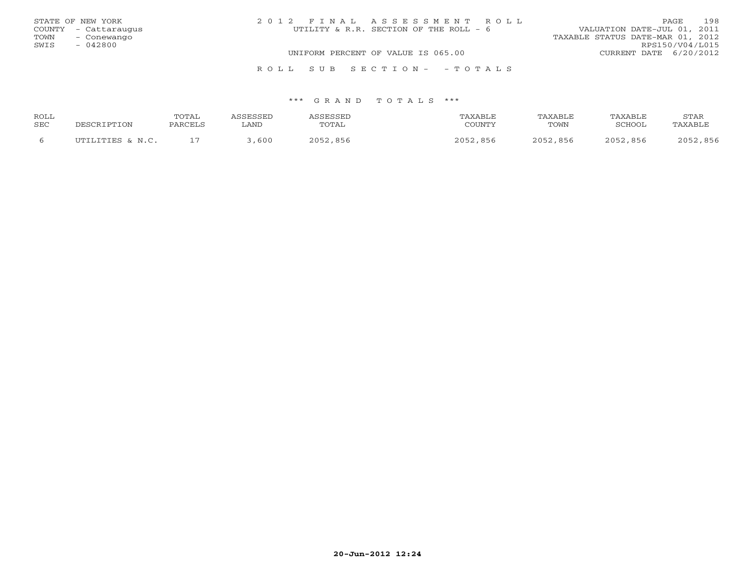|      | STATE OF NEW YORK    | 2012 FINAL ASSESSMENT ROLL             | 198<br>PAGE                      |
|------|----------------------|----------------------------------------|----------------------------------|
|      | COUNTY - Cattaraugus | UTILITY & R.R. SECTION OF THE ROLL - 6 | VALUATION DATE-JUL 01, 2011      |
| TOWN | – Conewango          |                                        | TAXABLE STATUS DATE-MAR 01, 2012 |
| SWIS | $-042800$            |                                        | RPS150/V04/L015                  |
|      |                      | UNIFORM PERCENT OF VALUE IS 065.00     | CURRENT DATE 6/20/2012           |
|      |                      | ROLL SUB SECTION- - TOTALS             |                                  |

| ROLL |                  | TOTAL   | <b>ASSESSED</b> | ASSESSED | TAXABLE  | TAXABLE  | TAXABLE  | STAR     |
|------|------------------|---------|-----------------|----------|----------|----------|----------|----------|
| SEC  | DESCRIPTION      | PARCELS | . AND           | TOTAL    | COUNTY   | TOWN     | SCHOOL   | TAXABLE  |
|      | UTILITIES & N.C. |         | ,600            | 2052,856 | 2052,856 | 2052,856 | 2052,856 | 2052,856 |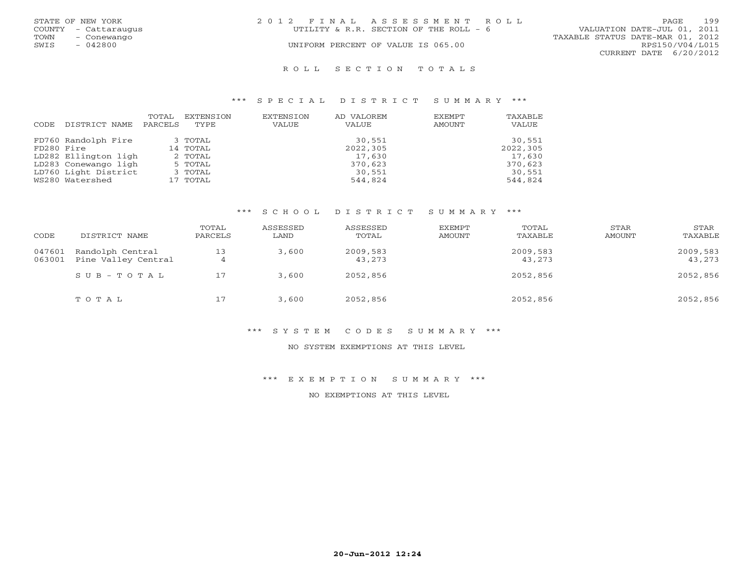|      | STATE OF NEW YORK    | 2012 FINAL ASSESSMENT ROLL |                                        |                                  | PAGE                   | 199 |
|------|----------------------|----------------------------|----------------------------------------|----------------------------------|------------------------|-----|
|      | COUNTY - Cattaraugus |                            | UTILITY & R.R. SECTION OF THE ROLL - 6 | VALUATION DATE-JUL 01, 2011      |                        |     |
| TOWN | – Conewango          |                            |                                        | TAXABLE STATUS DATE-MAR 01, 2012 |                        |     |
| SWIS | $-042800$            |                            | UNIFORM PERCENT OF VALUE IS 065.00     |                                  | RPS150/V04/L015        |     |
|      |                      |                            |                                        |                                  | CURRENT DATE 6/20/2012 |     |
|      |                      |                            |                                        |                                  |                        |     |

#### R O L L S E C T I O N T O T A L S

#### \*\*\* S P E C I A L D I S T R I C T S U M M A R Y \*\*\*

| CODE       | DISTRICT NAME        | TOTAL<br>PARCELS | EXTENSION<br>TYPE. | EXTENSION<br><b>VALUE</b> | AD VALOREM<br><b>VALUE</b> | EXEMPT<br>AMOUNT | TAXABLE<br>VALUE |
|------------|----------------------|------------------|--------------------|---------------------------|----------------------------|------------------|------------------|
|            | FD760 Randolph Fire  |                  | 3 TOTAL            |                           | 30,551                     |                  | 30,551           |
| FD280 Fire |                      |                  | 14 TOTAL           |                           | 2022,305                   |                  | 2022,305         |
|            | LD282 Ellington ligh |                  | 2 TOTAL            |                           | 17,630                     |                  | 17,630           |
|            | LD283 Conewango ligh |                  | 5 TOTAL            |                           | 370,623                    |                  | 370,623          |
|            | LD760 Light District |                  | 3 TOTAL            |                           | 30,551                     |                  | 30,551           |
|            | WS280 Watershed      |                  | 17 TOTAL           |                           | 544,824                    |                  | 544,824          |

#### \*\*\* S C H O O L D I S T R I C T S U M M A R Y \*\*\*

| CODE             | DISTRICT NAME                           | TOTAL<br>PARCELS | ASSESSED<br>LAND | ASSESSED<br>TOTAL  | EXEMPT<br>AMOUNT | TOTAL<br>TAXABLE   | STAR<br>AMOUNT | STAR<br>TAXABLE    |
|------------------|-----------------------------------------|------------------|------------------|--------------------|------------------|--------------------|----------------|--------------------|
| 047601<br>063001 | Randolph Central<br>Pine Valley Central | 13<br>4          | 3,600            | 2009,583<br>43,273 |                  | 2009,583<br>43,273 |                | 2009,583<br>43,273 |
|                  | $SUB - TO T AL$                         | 17               | 3,600            | 2052,856           |                  | 2052,856           |                | 2052,856           |
|                  | TOTAL                                   | 17               | 3,600            | 2052,856           |                  | 2052,856           |                | 2052,856           |

#### \*\*\* S Y S T E M C O D E S S U M M A R Y \*\*\*

#### NO SYSTEM EXEMPTIONS AT THIS LEVEL

#### \*\*\* E X E M P T I O N S U M M A R Y \*\*\*

NO EXEMPTIONS AT THIS LEVEL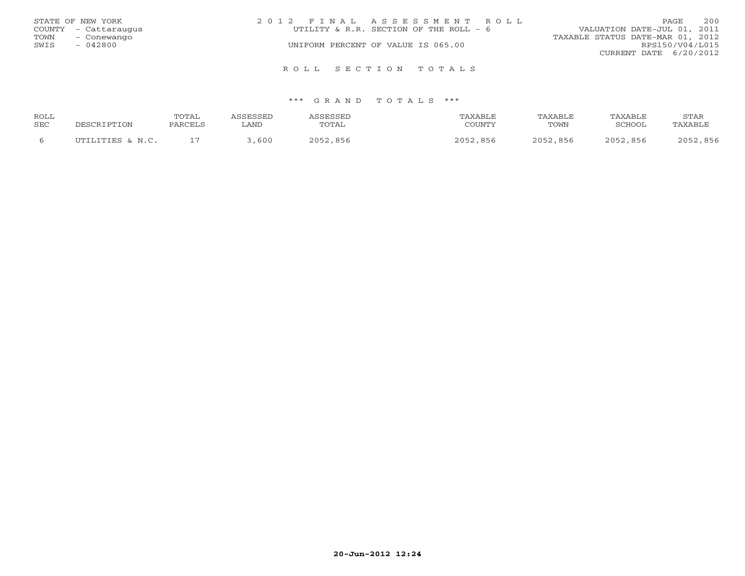|      | STATE OF NEW YORK    | 2012 FINAL ASSESSMENT ROLL             | 200<br>PAGE                      |
|------|----------------------|----------------------------------------|----------------------------------|
|      | COUNTY - Cattaraugus | UTILITY & R.R. SECTION OF THE ROLL - 6 | VALUATION DATE-JUL 01, 2011      |
| TOWN | - Conewango          |                                        | TAXABLE STATUS DATE-MAR 01, 2012 |
| SWIS | - 042800             | UNIFORM PERCENT OF VALUE IS 065.00     | RPS150/V04/L015                  |
|      |                      |                                        | CURRENT DATE 6/20/2012           |
|      |                      | ROLL SECTION TOTALS                    |                                  |

| ROLL |                  | TOTAL   | ASSESSED | <b>ASSESSED</b> | TAXABLE  | TAXABLE  | <b>TAXABLE</b> | STAR     |
|------|------------------|---------|----------|-----------------|----------|----------|----------------|----------|
| SEC  | DESCRIPTION      | PARCELS | ∟AND     | TOTAL           | COUNTY   | TOWN     | SCHOOL         | TAXABLE  |
|      | UTILITIES & N.C. |         | 600      | 2052,856        | 2052,856 | 2052,856 | 2052,856       | 2052,856 |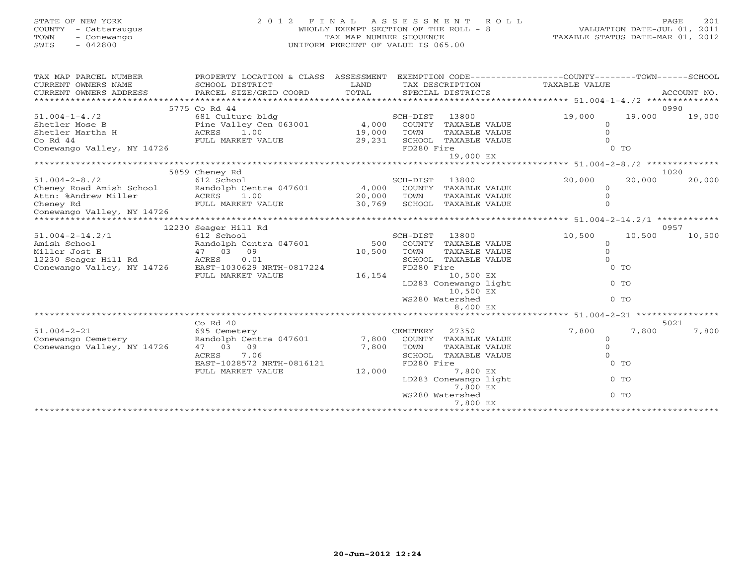# STATE OF NEW YORK 2 0 1 2 F I N A L A S S E S S M E N T R O L L PAGE 201 COUNTY - Cattaraugus WHOLLY EXEMPT SECTION OF THE ROLL - 8 VALUATION DATE-JUL 01, 2011 TOWN - Conewango TAX MAP NUMBER SEQUENCE TAXABLE STATUS DATE-MAR 01, 2012 SWIS - 042800 UNIFORM PERCENT OF VALUE IS 065.00

| TAX MAP PARCEL NUMBER<br>CURRENT OWNERS NAME | PROPERTY LOCATION & CLASS ASSESSMENT<br>SCHOOL DISTRICT                                                                                      | LAND<br>TOTAL |                |                                    | EXEMPTION CODE-----------------COUNTY-------TOWN------SCHOOL<br>TAX DESCRIPTION TAXABLE VALUE |        |             |
|----------------------------------------------|----------------------------------------------------------------------------------------------------------------------------------------------|---------------|----------------|------------------------------------|-----------------------------------------------------------------------------------------------|--------|-------------|
| CURRENT OWNERS ADDRESS                       | PARCEL SIZE/GRID COORD                                                                                                                       |               |                | SPECIAL DISTRICTS                  |                                                                                               |        | ACCOUNT NO. |
|                                              | 5775 Co Rd 44                                                                                                                                |               |                |                                    |                                                                                               |        | 0990        |
| $51.004 - 1 - 4.72$                          | 681 Culture bldg                                                                                                                             |               | SCH-DIST 13800 |                                    | 19,000                                                                                        | 19,000 | 19,000      |
| Shetler Mose B                               | 681 Culture biag<br>Pine Valley Cen 063001 (4,000 COUNTY TAXABLE VALUE<br>ACRES 1.00 ---- 1000 TOWN TAXABLE VALUE<br>2000 TOWN TAXABLE VALUE |               |                |                                    | $\Omega$                                                                                      |        |             |
| Shetler Martha H                             |                                                                                                                                              |               |                |                                    | $\Omega$                                                                                      |        |             |
| Co Rd 44                                     | FULL MARKET VALUE                                                                                                                            | 29,231        |                | SCHOOL TAXABLE VALUE               |                                                                                               |        |             |
| Conewango Valley, NY 14726                   |                                                                                                                                              |               | FD280 Fire     |                                    |                                                                                               | $0$ TO |             |
|                                              |                                                                                                                                              |               |                | 19,000 EX                          |                                                                                               |        |             |
|                                              |                                                                                                                                              |               |                |                                    |                                                                                               |        |             |
|                                              | 5859 Cheney Rd                                                                                                                               |               |                |                                    |                                                                                               |        | 1020        |
| $51.004 - 2 - 8.72$                          | 612 School                                                                                                                                   |               | SCH-DIST 13800 |                                    | 20,000                                                                                        | 20,000 | 20,000      |
| Cheney Road Amish School                     | Randolph Centra 047601 4,000 COUNTY TAXABLE VALUE                                                                                            |               |                |                                    | $\Omega$                                                                                      |        |             |
| Attn: %Andrew Miller                         | ACRES 1.00                                                                                                                                   | 20,000        | TOWN           | TAXABLE VALUE                      | $\Omega$                                                                                      |        |             |
| Cheney Rd                                    | FULL MARKET VALUE                                                                                                                            | 30,769        |                | SCHOOL TAXABLE VALUE               |                                                                                               |        |             |
| Conewango Valley, NY 14726                   |                                                                                                                                              |               |                |                                    |                                                                                               |        |             |
| *********************                        |                                                                                                                                              |               |                |                                    | ******************* 51.004-2-14.2/1 ************                                              |        |             |
|                                              | 12230 Seager Hill Rd                                                                                                                         |               |                |                                    |                                                                                               |        | 0957        |
| $51.004 - 2 - 14.2/1$                        | 612 School                                                                                                                                   |               | SCH-DIST 13800 |                                    | 10,500                                                                                        | 10,500 | 10,500      |
| Randolph Cent<br>47 03 09<br>Amish School    | Randolph Centra 047601                                                                                                                       | 500           |                | COUNTY TAXABLE VALUE               | $\circ$                                                                                       |        |             |
| Miller Jost E                                |                                                                                                                                              | 10,500        | TOWN           | TAXABLE VALUE                      | $\Omega$                                                                                      |        |             |
| 12230 Seager Hill Rd ACRES                   | 0.01                                                                                                                                         |               |                | SCHOOL TAXABLE VALUE               |                                                                                               |        |             |
| Conewango Valley, NY 14726                   | EAST-1030629 NRTH-0817224                                                                                                                    |               | FD280 Fire     |                                    |                                                                                               | $0$ TO |             |
|                                              | FULL MARKET VALUE                                                                                                                            | 16,154        |                | 10,500 EX                          |                                                                                               |        |             |
|                                              |                                                                                                                                              |               |                | LD283 Conewango light<br>10,500 EX |                                                                                               | $0$ TO |             |
|                                              |                                                                                                                                              |               |                | WS280 Watershed                    |                                                                                               | $0$ TO |             |
|                                              |                                                                                                                                              |               |                | 8,400 EX                           |                                                                                               |        |             |
|                                              |                                                                                                                                              |               |                |                                    |                                                                                               |        |             |
|                                              | $Co$ Rd $40$                                                                                                                                 |               |                |                                    |                                                                                               |        | 5021        |
| $51.004 - 2 - 21$                            | 695 Cemetery                                                                                                                                 |               | CEMETERY       | 27350                              | 7,800                                                                                         | 7,800  | 7,800       |
| Conewango Cemetery                           | Randolph Centra 047601                                                                                                                       | 7,800         |                | COUNTY TAXABLE VALUE               | $\Omega$                                                                                      |        |             |
| Conewango Valley, NY 14726                   | 47 03 09                                                                                                                                     | 7,800         | TOWN           | TAXABLE VALUE                      | $\Omega$                                                                                      |        |             |
|                                              | 7.06<br>ACRES                                                                                                                                |               |                | SCHOOL TAXABLE VALUE               |                                                                                               |        |             |
|                                              | EAST-1028572 NRTH-0816121                                                                                                                    |               | FD280 Fire     |                                    |                                                                                               | $0$ TO |             |
|                                              | FULL MARKET VALUE                                                                                                                            | 12,000        |                | 7,800 EX                           |                                                                                               |        |             |
|                                              |                                                                                                                                              |               |                | LD283 Conewango light              |                                                                                               | $0$ TO |             |
|                                              |                                                                                                                                              |               |                | 7,800 EX                           |                                                                                               |        |             |
|                                              |                                                                                                                                              |               |                | WS280 Watershed                    |                                                                                               | $0$ TO |             |
|                                              |                                                                                                                                              |               |                | 7,800 EX                           |                                                                                               |        |             |
|                                              |                                                                                                                                              |               |                |                                    |                                                                                               |        |             |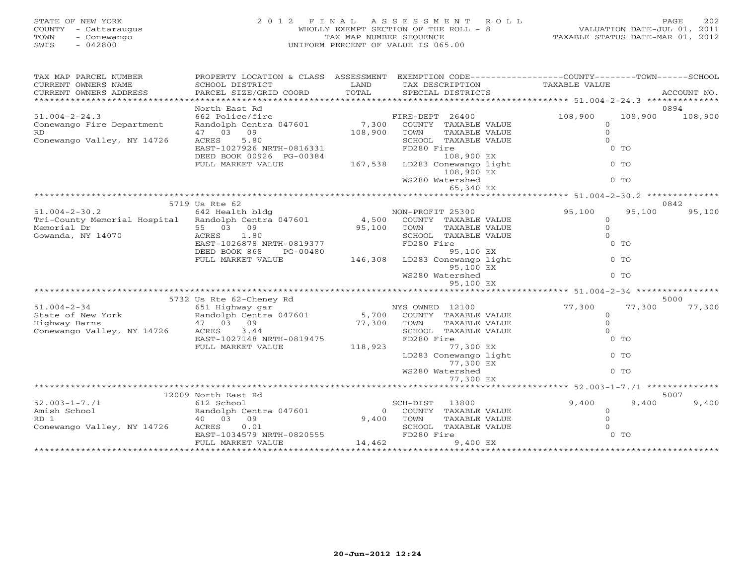| STATE OF NEW YORK<br>COUNTY - Cattaraugus<br>TOWN<br>- Conewango<br>$-042800$<br>SWIS | 2 0 1 2                                                                                         | TAX MAP NUMBER SEQUENCE | FINAL ASSESSMENT<br>R O L L<br>WHOLLY EXEMPT SECTION OF THE ROLL - 8<br>UNIFORM PERCENT OF VALUE IS 065.00 | VALUATION DATE-JUL 01, 2011<br>TAXABLE STATUS DATE-MAR 01, 2012 | 202<br>PAGE        |
|---------------------------------------------------------------------------------------|-------------------------------------------------------------------------------------------------|-------------------------|------------------------------------------------------------------------------------------------------------|-----------------------------------------------------------------|--------------------|
| TAX MAP PARCEL NUMBER                                                                 | PROPERTY LOCATION & CLASS ASSESSMENT EXEMPTION CODE---------------COUNTY-------TOWN------SCHOOL |                         |                                                                                                            |                                                                 |                    |
| CURRENT OWNERS NAME                                                                   | SCHOOL DISTRICT                                                                                 | LAND<br>TOTAL           | TAX DESCRIPTION                                                                                            | TAXABLE VALUE                                                   |                    |
| CURRENT OWNERS ADDRESS<br>********************                                        | PARCEL SIZE/GRID COORD                                                                          |                         | SPECIAL DISTRICTS                                                                                          |                                                                 | ACCOUNT NO.        |
|                                                                                       | North East Rd                                                                                   |                         |                                                                                                            |                                                                 | 0894               |
| $51.004 - 2 - 24.3$                                                                   | 662 Police/fire                                                                                 |                         | FIRE-DEPT 26400                                                                                            | 108,900                                                         | 108,900<br>108,900 |
| Conewango Fire Department                                                             | Randolph Centra 047601                                                                          | 7,300                   | COUNTY TAXABLE VALUE                                                                                       | $\circ$                                                         |                    |
| RD.                                                                                   | 47 03 09                                                                                        | 108,900                 | TOWN<br>TAXABLE VALUE                                                                                      | $\mathbf{0}$                                                    |                    |
| Conewango Valley, NY 14726                                                            | 5.80<br>ACRES                                                                                   |                         | SCHOOL TAXABLE VALUE                                                                                       | $\Omega$                                                        |                    |
|                                                                                       | EAST-1027926 NRTH-0816331                                                                       |                         | FD280 Fire                                                                                                 | $0$ TO                                                          |                    |
|                                                                                       | DEED BOOK 00926 PG-00384                                                                        |                         | 108,900 EX                                                                                                 |                                                                 |                    |
|                                                                                       | FULL MARKET VALUE                                                                               | 167,538                 | LD283 Conewango light                                                                                      | $0$ TO                                                          |                    |
|                                                                                       |                                                                                                 |                         | 108,900 EX                                                                                                 |                                                                 |                    |
|                                                                                       |                                                                                                 |                         | WS280 Watershed<br>65,340 EX                                                                               | 0 <sub>0</sub>                                                  |                    |
|                                                                                       |                                                                                                 |                         |                                                                                                            | ********** 51.004-2-30.2 ******                                 |                    |
|                                                                                       | 5719 Us Rte 62                                                                                  |                         |                                                                                                            |                                                                 | 0842               |
| $51.004 - 2 - 30.2$                                                                   | 642 Health bldg                                                                                 |                         | NON-PROFIT 25300                                                                                           | 95,100                                                          | 95,100<br>95,100   |
| Tri-County Memorial Hospital Randolph Centra 047601                                   |                                                                                                 | 4,500                   | COUNTY TAXABLE VALUE                                                                                       | $\circ$                                                         |                    |
| Memorial Dr                                                                           | 55 03 09                                                                                        | 95,100                  | TOWN<br>TAXABLE VALUE                                                                                      | $\Omega$                                                        |                    |
| Gowanda, NY 14070                                                                     | ACRES<br>1.80                                                                                   |                         | SCHOOL TAXABLE VALUE                                                                                       | $\Omega$                                                        |                    |
|                                                                                       | EAST-1026878 NRTH-0819377                                                                       |                         | FD280 Fire                                                                                                 | $0$ TO                                                          |                    |
|                                                                                       | DEED BOOK 868<br>PG-00480                                                                       |                         | 95,100 EX                                                                                                  |                                                                 |                    |
|                                                                                       | FULL MARKET VALUE                                                                               | 146,308                 | LD283 Conewango light                                                                                      | $0$ TO                                                          |                    |
|                                                                                       |                                                                                                 |                         | 95,100 EX                                                                                                  |                                                                 |                    |
|                                                                                       |                                                                                                 |                         | WS280 Watershed                                                                                            | $0$ TO                                                          |                    |
|                                                                                       |                                                                                                 |                         | 95,100 EX                                                                                                  |                                                                 |                    |
|                                                                                       | 5732 Us Rte 62-Cheney Rd                                                                        |                         |                                                                                                            | ********* 51.004-2-34 ***********                               | 5000               |
| $51.004 - 2 - 34$                                                                     | 651 Highway gar                                                                                 |                         | NYS OWNED 12100                                                                                            | 77,300                                                          | 77,300<br>77,300   |
| State of New York                                                                     | Randolph Centra 047601                                                                          | 5,700                   | COUNTY TAXABLE VALUE                                                                                       | $\overline{0}$                                                  |                    |
| Highway Barns                                                                         | 47 03 09                                                                                        | 77,300                  | TOWN<br>TAXABLE VALUE                                                                                      | $\mathbf{0}$                                                    |                    |
| Conewango Valley, NY 14726                                                            | 3.44<br>ACRES                                                                                   |                         | SCHOOL TAXABLE VALUE                                                                                       | $\Omega$                                                        |                    |
|                                                                                       | EAST-1027148 NRTH-0819475                                                                       |                         | FD280 Fire                                                                                                 | $0$ TO                                                          |                    |
|                                                                                       | FULL MARKET VALUE                                                                               | 118,923                 | 77,300 EX                                                                                                  |                                                                 |                    |
|                                                                                       |                                                                                                 |                         | LD283 Conewango light                                                                                      | $0$ TO                                                          |                    |
|                                                                                       |                                                                                                 |                         | 77,300 EX                                                                                                  |                                                                 |                    |
|                                                                                       |                                                                                                 |                         | WS280 Watershed                                                                                            | $0$ TO                                                          |                    |
|                                                                                       |                                                                                                 |                         | 77,300 EX                                                                                                  |                                                                 |                    |
|                                                                                       | **************************************                                                          |                         |                                                                                                            | ********** 52.003-1-7./1                                        |                    |

|                            | 12009 North East Rd       |        |            |               |       | 5007   |       |
|----------------------------|---------------------------|--------|------------|---------------|-------|--------|-------|
| $52.003 - 1 - 7.71$        | 612 School                |        | SCH-DIST   | 13800         | 9,400 | 9,400  | 9,400 |
| Amish School               | Randolph Centra 047601    |        | COUNTY     | TAXABLE VALUE |       |        |       |
| RD 1                       | - 09<br>03<br>40          | 9,400  | TOWN       | TAXABLE VALUE |       |        |       |
| Conewango Valley, NY 14726 | 0.01<br>ACRES             |        | SCHOOL     | TAXABLE VALUE |       |        |       |
|                            | EAST-1034579 NRTH-0820555 |        | FD280 Fire |               |       | $0$ To |       |
|                            | FULL MARKET VALUE         | 14,462 |            | 9,400 EX      |       |        |       |
|                            |                           |        |            |               |       |        |       |
|                            |                           |        |            |               |       |        |       |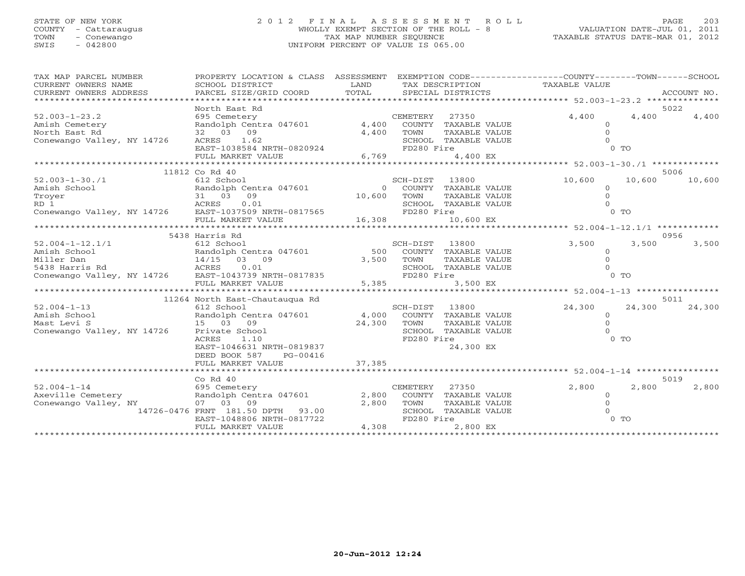## STATE OF NEW YORK 2 0 1 2 F I N A L A S S E S S M E N T R O L L PAGE 203 COUNTY - Cattaraugus WHOLLY EXEMPT SECTION OF THE ROLL - 8 VALUATION DATE-JUL 01, 2011 TOWN - Conewango TAX MAP NUMBER SEQUENCE TAXABLE STATUS DATE-MAR 01, 2012 SWIS - 042800 UNIFORM PERCENT OF VALUE IS 065.00

| TAX MAP PARCEL NUMBER<br>CURRENT OWNERS NAME<br>CURRENT OWNERS ADDRESS                                                                                                                                                                | PROPERTY LOCATION & CLASS ASSESSMENT EXEMPTION CODE---------------COUNTY-------TOWN-----SCHOOL |        |                                               |        |                |                |
|---------------------------------------------------------------------------------------------------------------------------------------------------------------------------------------------------------------------------------------|------------------------------------------------------------------------------------------------|--------|-----------------------------------------------|--------|----------------|----------------|
|                                                                                                                                                                                                                                       |                                                                                                |        |                                               |        |                |                |
|                                                                                                                                                                                                                                       | North East Rd                                                                                  |        |                                               |        |                | 5022           |
| $52.003 - 1 - 23.2$                                                                                                                                                                                                                   | 695 Cemetery                                                                                   |        | CEMETERY<br>27350                             | 4,400  | 4,400          | 4,400          |
|                                                                                                                                                                                                                                       |                                                                                                |        | COUNTY TAXABLE VALUE                          |        |                |                |
| Amish Cemetery Randolph Centra 047601 4,400<br>North East Rd 32 03 09 4,400<br>Conewango Valley, NY 14726 ACRES 1.62                                                                                                                  |                                                                                                |        | TOWN<br>TAXABLE VALUE                         |        |                |                |
|                                                                                                                                                                                                                                       |                                                                                                |        | SCHOOL TAXABLE VALUE                          |        |                |                |
|                                                                                                                                                                                                                                       |                                                                                                |        | FD280 Fire                                    |        | $0$ TO         |                |
|                                                                                                                                                                                                                                       | ACRES 1.62<br>EAST-1038584 NRTH-0820924<br>FULL MARKET VALUE 6,769                             | 6,769  | 4,400 EX                                      |        |                |                |
|                                                                                                                                                                                                                                       | *****************************                                                                  |        |                                               |        |                |                |
|                                                                                                                                                                                                                                       | 11812 Co Rd 40                                                                                 |        |                                               |        |                | 5006           |
| $52.003 - 1 - 30.71$                                                                                                                                                                                                                  |                                                                                                |        | SCH-DIST<br>13800                             | 10,600 | 10,600         | 10,600         |
|                                                                                                                                                                                                                                       |                                                                                                |        |                                               |        |                |                |
|                                                                                                                                                                                                                                       |                                                                                                |        |                                               |        |                |                |
|                                                                                                                                                                                                                                       |                                                                                                |        |                                               |        |                |                |
|                                                                                                                                                                                                                                       |                                                                                                |        |                                               |        |                |                |
|                                                                                                                                                                                                                                       |                                                                                                |        |                                               |        |                |                |
| Xandolph Centra 047601<br>Troyer 31 03 09 10,600 TOWN TAXABLE VALUE 0<br>RD 1 2CRES 0.01 SCHOOL TAXABLE VALUE 0<br>Conewango Valley, NY 14726 EAST-1037509 NRTH-0817565 FD280 Fire 0 TO<br>FULL MARKET VALUE 16,308 FD280 Fire 16,308 |                                                                                                |        |                                               |        |                |                |
|                                                                                                                                                                                                                                       | 5438 Harris Rd                                                                                 |        |                                               |        |                | 0956           |
|                                                                                                                                                                                                                                       |                                                                                                |        | SCH-DIST 13800                                | 3,500  | 3,500          | 3,500          |
|                                                                                                                                                                                                                                       |                                                                                                |        | 500 COUNTY TAXABLE VALUE                      |        | $\Omega$       |                |
|                                                                                                                                                                                                                                       |                                                                                                |        | TOWN<br>TAXABLE VALUE                         |        |                |                |
|                                                                                                                                                                                                                                       |                                                                                                |        | SCHOOL TAXABLE VALUE                          |        |                |                |
|                                                                                                                                                                                                                                       |                                                                                                |        | FD280 Fire                                    |        | 0 <sub>T</sub> |                |
|                                                                                                                                                                                                                                       |                                                                                                | 5,385  | 3,500 EX                                      |        |                |                |
|                                                                                                                                                                                                                                       |                                                                                                |        |                                               |        |                |                |
| $52.004 - 1 - 13$                                                                                                                                                                                                                     | 11264 North East-Chautaugua Rd                                                                 |        |                                               |        | 24,300         | 5011<br>24,300 |
| Amish School                                                                                                                                                                                                                          | 612 School                                                                                     |        | SCH-DIST<br>13800                             | 24,300 |                |                |
|                                                                                                                                                                                                                                       | Randolph Centra 047601<br>15 03 09                                                             |        | 4,000 COUNTY TAXABLE VALUE                    |        | $\circ$        |                |
| Mast Levi S<br>Conewango Valley, NY 14726 Private School                                                                                                                                                                              |                                                                                                | 24,300 | TOWN<br>TAXABLE VALUE<br>SCHOOL TAXABLE VALUE |        | $\Omega$       |                |
|                                                                                                                                                                                                                                       | ACRES<br>1.10                                                                                  |        | FD280 Fire                                    |        | $0$ TO         |                |
|                                                                                                                                                                                                                                       | EAST-1046631 NRTH-0819837                                                                      |        | 24,300 EX                                     |        |                |                |
|                                                                                                                                                                                                                                       | DEED BOOK 587<br>PG-00416                                                                      |        |                                               |        |                |                |
|                                                                                                                                                                                                                                       | FULL MARKET VALUE                                                                              | 37,385 |                                               |        |                |                |
|                                                                                                                                                                                                                                       |                                                                                                |        |                                               |        |                |                |
|                                                                                                                                                                                                                                       | $Co$ Rd $40$                                                                                   |        |                                               |        |                | 5019           |
| $52.004 - 1 - 14$                                                                                                                                                                                                                     | 695 Cemetery                                                                                   |        | CEMETERY<br>27350                             | 2,800  | 2,800          | 2,800          |
| Axeville Cemetery Randolph Centra 047601                                                                                                                                                                                              |                                                                                                | 2,800  | COUNTY TAXABLE VALUE                          |        | $\Omega$       |                |
| Conewango Valley, NY 07 03 09                                                                                                                                                                                                         |                                                                                                | 2,800  | TOWN<br>TAXABLE VALUE                         |        |                |                |
|                                                                                                                                                                                                                                       | 14726-0476 FRNT 181.50 DPTH 93.00                                                              |        | SCHOOL TAXABLE VALUE                          |        |                |                |
|                                                                                                                                                                                                                                       | EAST-1048806 NRTH-0817722                                                                      |        | FD280 Fire                                    |        | $0$ TO         |                |
|                                                                                                                                                                                                                                       | FULL MARKET VALUE                                                                              | 4,308  | 2,800 EX                                      |        |                |                |
|                                                                                                                                                                                                                                       |                                                                                                |        |                                               |        |                |                |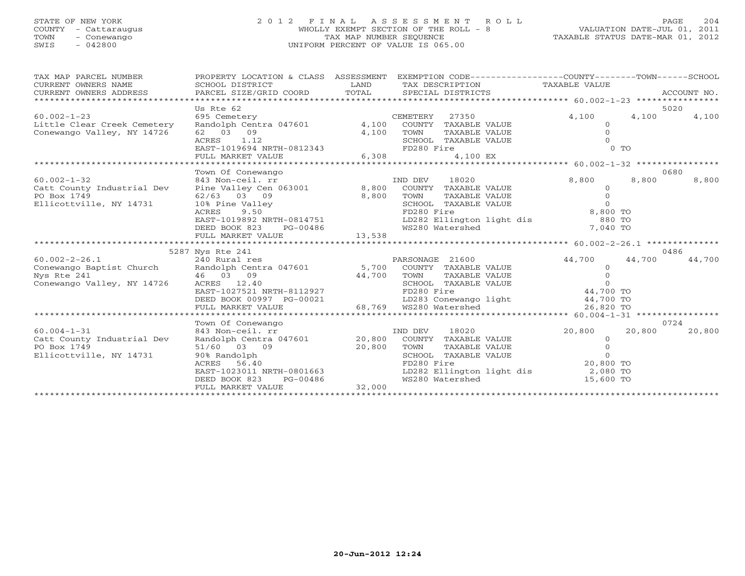## STATE OF NEW YORK 2 0 1 2 F I N A L A S S E S S M E N T R O L L PAGE 204 COUNTY - Cattaraugus WHOLLY EXEMPT SECTION OF THE ROLL - 8 VALUATION DATE-JUL 01, 2011 TOWN - Conewango TAX MAP NUMBER SEQUENCE TAXABLE STATUS DATE-MAR 01, 2012 SWIS - 042800 UNIFORM PERCENT OF VALUE IS 065.00UNIFORM PERCENT OF VALUE IS 065.00

| *****************************<br>5020<br>Us Rte 62<br>$60.002 - 1 - 23$<br>695 Cemetery<br>27350<br>4,100<br>4,100<br>4,100<br>CEMETERY<br>Randolph Centra 047601<br>4,100<br>Little Clear Creek Cemetery<br>COUNTY TAXABLE VALUE<br>Conewango Valley, NY 14726<br>62 03 09<br>4,100<br>TOWN<br>TAXABLE VALUE |
|---------------------------------------------------------------------------------------------------------------------------------------------------------------------------------------------------------------------------------------------------------------------------------------------------------------|
|                                                                                                                                                                                                                                                                                                               |
|                                                                                                                                                                                                                                                                                                               |
|                                                                                                                                                                                                                                                                                                               |
|                                                                                                                                                                                                                                                                                                               |
| 1.12<br>SCHOOL TAXABLE VALUE<br>ACRES                                                                                                                                                                                                                                                                         |
| $0$ TO<br>EAST-1019694 NRTH-0812343<br>FD280 Fire                                                                                                                                                                                                                                                             |
| FULL MARKET VALUE<br>6,308<br>4,100 EX                                                                                                                                                                                                                                                                        |
|                                                                                                                                                                                                                                                                                                               |
| Town Of Conewango<br>0680                                                                                                                                                                                                                                                                                     |
| 8,800<br>IND DEV<br>18020<br>8,800<br>8,800<br>$60.002 - 1 - 32$<br>843 Non-ceil. rr                                                                                                                                                                                                                          |
| Pine Valley Cen 063001 8,800<br>Catt County Industrial Dev<br>COUNTY TAXABLE VALUE<br>$\Omega$                                                                                                                                                                                                                |
| PO Box 1749<br>62/63 03 09<br>8,800<br>TAXABLE VALUE<br>TOWN<br>$\Omega$                                                                                                                                                                                                                                      |
| $\Omega$<br>10% Pine Valley<br>Ellicottville, NY 14731<br>SCHOOL TAXABLE VALUE                                                                                                                                                                                                                                |
| 8,800 TO<br><b>ACRES</b><br>9.50<br>FD280 Fire                                                                                                                                                                                                                                                                |
| LD282 Ellington light dis<br>EAST-1019892 NRTH-0814751<br>880 TO                                                                                                                                                                                                                                              |
| WS280 Watershed<br>7,040 TO<br>DEED BOOK 823<br>PG-00486                                                                                                                                                                                                                                                      |
| 13,538<br>FULL MARKET VALUE                                                                                                                                                                                                                                                                                   |
| 0486                                                                                                                                                                                                                                                                                                          |
| 5287 Nys Rte 241<br>PARSONAGE 21600<br>44,700<br>44,700<br>44,700<br>$60.002 - 2 - 26.1$<br>240 Rural res                                                                                                                                                                                                     |
| Conewango Baptist Church   Randolph Centra 047601   5,700   COUNTY TAXABLE VALUE<br>$\Omega$                                                                                                                                                                                                                  |
| Nys Rte 241<br>46 03 09<br>44,700<br>TOWN<br>TAXABLE VALUE                                                                                                                                                                                                                                                    |
| Conewango Valley, NY 14726<br>SCHOOL TAXABLE VALUE<br>ACRES 12.40<br>$\Omega$                                                                                                                                                                                                                                 |
| 44,700 TO<br>EAST-1027521 NRTH-8112927<br>FD280 Fire                                                                                                                                                                                                                                                          |
| $44,700$ TO<br>DEED BOOK 00997 PG-00021                                                                                                                                                                                                                                                                       |
| -00021 LD283 Conewango light<br>68,769 WS280 Watershed<br>26,820 TO<br>FULL MARKET VALUE                                                                                                                                                                                                                      |
|                                                                                                                                                                                                                                                                                                               |
| 0724<br>Town Of Conewango                                                                                                                                                                                                                                                                                     |
| $60.004 - 1 - 31$<br>843 Non-ceil. rr<br>18020<br>20,800<br>20,800<br>20,800<br>IND DEV                                                                                                                                                                                                                       |
| Catt County Industrial Dev<br>Randolph Centra 047601<br>20,800<br>COUNTY TAXABLE VALUE<br>$\overline{0}$                                                                                                                                                                                                      |
| PO Box 1749<br>51/60 03 09<br>20,800<br>TOWN<br>TAXABLE VALUE                                                                                                                                                                                                                                                 |
| Ellicottville, NY 14731<br>90% Randolph<br>SCHOOL TAXABLE VALUE<br>$\Omega$                                                                                                                                                                                                                                   |
| 20,800 TO<br>FD280 Fire<br>ACRES<br>56.40                                                                                                                                                                                                                                                                     |
| LD282 Ellington light dis 2,080 TO<br>EAST-1023011 NRTH-0801663                                                                                                                                                                                                                                               |
| WS280 Watershed<br>DEED BOOK 823<br>PG-00486<br>15,600 TO                                                                                                                                                                                                                                                     |
| 32,000<br>FULL MARKET VALUE                                                                                                                                                                                                                                                                                   |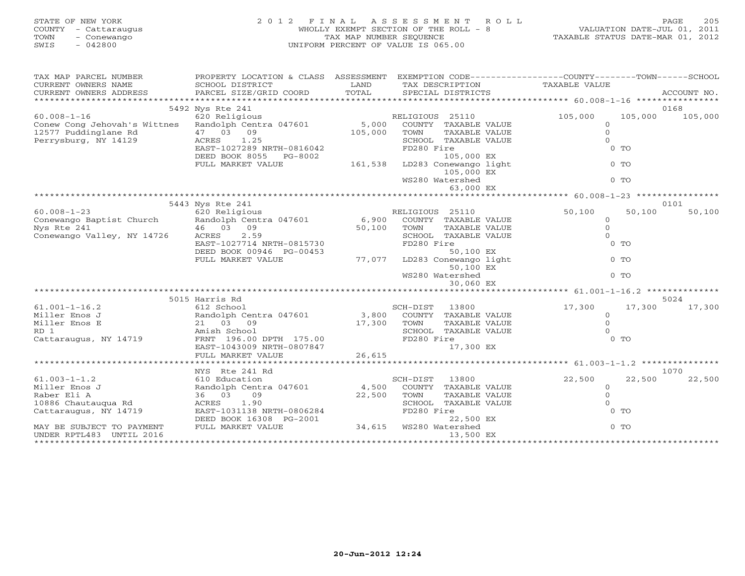| STATE OF NEW YORK<br><b>COUNTY</b><br>- Cattaraugus<br>TOWN<br>- Conewango<br>$-042800$<br>SWIS | 2012 FINAL                                              | TAX MAP NUMBER SEQUENCE | ASSESSMENT ROLL<br>WHOLLY EXEMPT SECTION OF THE ROLL - 8<br>UNIFORM PERCENT OF VALUE IS 065.00 | VALUATION DATE-JUL 01, 2011<br>TAXABLE STATUS DATE-MAR 01, 2012               |                | PAGE<br>205 |
|-------------------------------------------------------------------------------------------------|---------------------------------------------------------|-------------------------|------------------------------------------------------------------------------------------------|-------------------------------------------------------------------------------|----------------|-------------|
| TAX MAP PARCEL NUMBER<br>CURRENT OWNERS NAME                                                    | PROPERTY LOCATION & CLASS ASSESSMENT<br>SCHOOL DISTRICT | <b>EXAMPLE LAND</b>     | TAX DESCRIPTION                                                                                | EXEMPTION CODE-----------------COUNTY-------TOWN------SCHOOL<br>TAXABLE VALUE |                |             |
| CURRENT OWNERS ADDRESS                                                                          | PARCEL SIZE/GRID COORD TOTAL                            |                         | SPECIAL DISTRICTS                                                                              |                                                                               |                | ACCOUNT NO. |
|                                                                                                 |                                                         |                         |                                                                                                |                                                                               |                |             |
|                                                                                                 | 5492 Nys Rte 241                                        |                         |                                                                                                |                                                                               |                | 0168        |
| $60.008 - 1 - 16$                                                                               | 620 Religious                                           |                         | RELIGIOUS 25110                                                                                | 105,000                                                                       | 105,000        | 105,000     |
| Conew Cong Jehovah's Wittnes Randolph Centra 047601 5,000 COUNTY TAXABLE VALUE                  |                                                         |                         |                                                                                                | $\overline{O}$                                                                |                |             |
| 12577 Puddinglane Rd                                                                            | 47 03 09                                                | 105,000                 | TAXABLE VALUE<br>TOWN                                                                          |                                                                               |                |             |
| Perrysburg, NY 14129                                                                            | 1.25<br>ACRES                                           |                         | SCHOOL TAXABLE VALUE                                                                           |                                                                               |                |             |
|                                                                                                 | EAST-1027289 NRTH-0816042                               |                         | FD280 Fire                                                                                     |                                                                               | $0$ TO         |             |
|                                                                                                 | DEED BOOK 8055<br>PG-8002                               | 161,538                 | 105,000 EX                                                                                     |                                                                               |                |             |
|                                                                                                 | FULL MARKET VALUE                                       |                         | LD283 Conewango light                                                                          |                                                                               | $0$ TO         |             |
|                                                                                                 |                                                         |                         | 105,000 EX                                                                                     |                                                                               |                |             |
|                                                                                                 |                                                         |                         | WS280 Watershed                                                                                |                                                                               | $0$ TO         |             |
|                                                                                                 |                                                         |                         | 63,000 EX                                                                                      |                                                                               |                |             |
|                                                                                                 |                                                         |                         |                                                                                                |                                                                               |                | 0101        |
| $60.008 - 1 - 23$                                                                               | 5443 Nys Rte 241<br>620 Religious                       |                         | RELIGIOUS<br>25110                                                                             | 50,100                                                                        | 50,100         | 50,100      |
|                                                                                                 |                                                         |                         | 6,900 COUNTY TAXABLE VALUE                                                                     | $\Omega$                                                                      |                |             |
| Conewango Baptist Church Randolph Centra 047601<br>Nys Rte 241                                  | 09<br>46 03                                             | 50,100                  | TOWN<br>TAXABLE VALUE                                                                          | $\Omega$                                                                      |                |             |
| Conewango Valley, NY 14726                                                                      | ACRES<br>2.59                                           |                         | TAXABLE VALUE<br>SCHOOL                                                                        |                                                                               |                |             |
|                                                                                                 | EAST-1027714 NRTH-0815730                               |                         | FD280 Fire                                                                                     |                                                                               | $0$ TO         |             |
|                                                                                                 | DEED BOOK 00946 PG-00453                                |                         | 50,100 EX                                                                                      |                                                                               |                |             |
|                                                                                                 | FULL MARKET VALUE                                       | 77,077                  | LD283 Conewango light                                                                          |                                                                               | 0 <sub>0</sub> |             |

\*\*\*\*\*\*\*\*\*\*\*\*\*\*\*\*\*\*\*\*\*\*\*\*\*\*\*\*\*\*\*\*\*\*\*\*\*\*\*\*\*\*\*\*\*\*\*\*\*\*\*\*\*\*\*\*\*\*\*\*\*\*\*\*\*\*\*\*\*\*\*\*\*\*\*\*\*\*\*\*\*\*\*\*\*\*\*\*\*\*\*\*\*\*\*\*\*\*\*\*\*\*\* 61.001-1-16.2 \*\*\*\*\*\*\*\*\*\*\*\*\*\*

61.001-1-16.2 612 School SCH-DIST 13800 17,300 17,300 17,300

\*\*\*\*\*\*\*\*\*\*\*\*\*\*\*\*\*\*\*\*\*\*\*\*\*\*\*\*\*\*\*\*\*\*\*\*\*\*\*\*\*\*\*\*\*\*\*\*\*\*\*\*\*\*\*\*\*\*\*\*\*\*\*\*\*\*\*\*\*\*\*\*\*\*\*\*\*\*\*\*\*\*\*\*\*\*\*\*\*\*\*\*\*\*\*\*\*\*\*\*\*\*\* 61.003-1-1.2 \*\*\*\*\*\*\*\*\*\*\*\*\*\*\*

61.003-1-1.2 610 Education SCH-DIST 13800 22,500 22,500 22,500

\*\*\*\*\*\*\*\*\*\*\*\*\*\*\*\*\*\*\*\*\*\*\*\*\*\*\*\*\*\*\*\*\*\*\*\*\*\*\*\*\*\*\*\*\*\*\*\*\*\*\*\*\*\*\*\*\*\*\*\*\*\*\*\*\*\*\*\*\*\*\*\*\*\*\*\*\*\*\*\*\*\*\*\*\*\*\*\*\*\*\*\*\*\*\*\*\*\*\*\*\*\*\*\*\*\*\*\*\*\*\*\*\*\*\*\*\*\*\*\*\*\*\*\*\*\*\*\*\*\*\*\*

5015 Harris Rd 5024

NYS Rte 241 Rd 1070

Miller Enos J Randolph Centra 047601 3,800 COUNTY TAXABLE VALUE 0 Miller Enos E 21 03 09 17,300 TOWN TAXABLE VALUE 0 RD 1 Amish School SCHOOL TAXABLE VALUE 0Cattaraugus, NY 14719 FRNT 196.00 DPTH 175.00 FD280 Fire 0 TO

Miller Enos J Randolph Centra 047601 4,500 COUNTY TAXABLE VALUE 0 Raber Eli A 36 03 09 22,500 TOWN TAXABLE VALUE 0 10886 Chautauqua Rd ACRES 1.90 SCHOOL TAXABLE VALUE 0 Cattaraugus, NY 14719 EAST-1031138 NRTH-0806284 FD280 Fire 0 TO

MAY BE SUBJECT TO PAYMENT FULL MARKET VALUE 34,615 WS280 Watershed 0 TO

WS280 Watershed 0 TO

30,060 EX

50,100 EX

EAST-1043009 NRTH-0807847 17,300 EX

DEED BOOK 16308 PG-2001 22,500 EX

UNDER RPTL483 UNTIL 2016 13,500 EX

FULL MARKET VALUE 26,615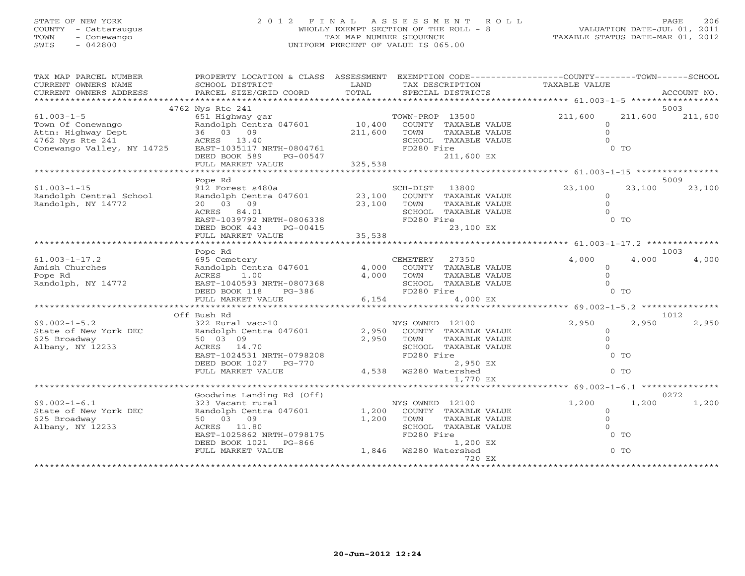## STATE OF NEW YORK 2 0 1 2 F I N A L A S S E S S M E N T R O L L PAGE 206 COUNTY - Cattaraugus WHOLLY EXEMPT SECTION OF THE ROLL - 8 VALUATION DATE-JUL 01, 2011 TOWN - Conewango TAX MAP NUMBER SEQUENCE TAXABLE STATUS DATE-MAR 01, 2012 SWIS - 042800 UNIFORM PERCENT OF VALUE IS 065.00

| TAX MAP PARCEL NUMBER                                                                                                            | PROPERTY LOCATION & CLASS ASSESSMENT EXEMPTION CODE---------------COUNTY-------TOWN------SCHOOL                           |             |                       |                                       |                                                    |                 |        |
|----------------------------------------------------------------------------------------------------------------------------------|---------------------------------------------------------------------------------------------------------------------------|-------------|-----------------------|---------------------------------------|----------------------------------------------------|-----------------|--------|
| CURRENT OWNERS NAME                                                                                                              | SCHOOL DISTRICT                                                                                                           | LAND        | TAX DESCRIPTION       |                                       | TAXABLE VALUE                                      |                 |        |
| CURRENT OWNERS ADDRESS                                                                                                           |                                                                                                                           |             |                       |                                       |                                                    |                 |        |
|                                                                                                                                  |                                                                                                                           |             |                       |                                       |                                                    |                 | 5003   |
| $61.003 - 1 - 5$                                                                                                                 | 4762 Nys Rte 241                                                                                                          |             |                       | TOWN-PROP 13500 211,600               |                                                    | 211,600 211,600 |        |
|                                                                                                                                  | % Acc 2.1<br>FOWN-PROP 13500<br>Randolph Centra 047601 10,400 COUNTY TAXABLE VALUE<br>36 03 09 211,600 TOWN TAXABLE VALUE |             |                       |                                       | $\Omega$                                           |                 |        |
| Town Of Conewango<br>Attn: Highway Dept 36 03 09<br>4762 Nys Rte 241 241<br>Conewango Valley, NY 14725 EAST-1035117 NRTH-0804761 |                                                                                                                           |             |                       |                                       | $\Omega$                                           |                 |        |
|                                                                                                                                  |                                                                                                                           |             |                       | SCHOOL TAXABLE VALUE                  |                                                    |                 |        |
|                                                                                                                                  |                                                                                                                           |             | FD280 Fire            |                                       |                                                    | 0 <sub>0</sub>  |        |
|                                                                                                                                  | DEED BOOK 589 PG-00547                                                                                                    |             |                       | 211,600 EX                            |                                                    |                 |        |
|                                                                                                                                  |                                                                                                                           |             |                       |                                       |                                                    |                 |        |
|                                                                                                                                  |                                                                                                                           |             |                       |                                       |                                                    |                 |        |
|                                                                                                                                  | Pope Rd                                                                                                                   |             |                       |                                       |                                                    |                 | 5009   |
| $61.003 - 1 - 15$                                                                                                                | 912 Forest s480a                                                                                                          |             | SCH-DIST 13800        |                                       | 23,100                                             | 23,100          | 23,100 |
| Randolph Central School                                                                                                          | Randolph Centra 047601 23,100 COUNTY TAXABLE VALUE<br>20  03  09                                                          |             |                       |                                       | $\circ$<br>$\Omega$                                |                 |        |
| Randolph, NY 14772                                                                                                               | ACRES 84.01                                                                                                               | 23,100 TOWN |                       | TAXABLE VALUE<br>SCHOOL TAXABLE VALUE |                                                    |                 |        |
|                                                                                                                                  | EAST-1039792 NRTH-0806338                                                                                                 |             | FD280 Fire            |                                       |                                                    | 0 <sub>0</sub>  |        |
|                                                                                                                                  | DEED BOOK 443                                                                                                             |             |                       | 23,100 EX                             |                                                    |                 |        |
|                                                                                                                                  | PG-00415<br>LUE 35,538<br>FULL MARKET VALUE                                                                               |             |                       |                                       |                                                    |                 |        |
|                                                                                                                                  |                                                                                                                           |             |                       |                                       |                                                    |                 |        |
|                                                                                                                                  | Pope Rd                                                                                                                   |             |                       |                                       |                                                    |                 | 1003   |
| $61.003 - 1 - 17.2$                                                                                                              | 695 Cemetery                                                                                                              |             | CEMETERY              | 27350                                 | 4,000                                              | 4,000           | 4,000  |
| Amish Churches                                                                                                                   | Randolph Centra 047601                                                                                                    | 4,000       |                       | COUNTY TAXABLE VALUE                  | $\circ$                                            |                 |        |
| Pope Rd                                                                                                                          | ACRES<br>1.00                                                                                                             | 4,000       | TOWN                  | TAXABLE VALUE                         | $\Omega$                                           |                 |        |
| Randolph, NY 14772                                                                                                               | EAST-1040593 NRTH-0807368<br>DEED BOOK 118 PG-386                                                                         |             |                       | SCHOOL TAXABLE VALUE                  | $\Omega$                                           |                 |        |
|                                                                                                                                  |                                                                                                                           |             | FD280 Fire            |                                       |                                                    | $0$ TO          |        |
|                                                                                                                                  | FULL MARKET VALUE                                                                                                         |             | 6,154                 | 4,000 EX                              | ********************* 69.002-1-5.2 *************** |                 |        |
|                                                                                                                                  | Off Bush Rd                                                                                                               |             |                       |                                       |                                                    |                 | 1012   |
| $69.002 - 1 - 5.2$                                                                                                               | 322 Rural vac>10                                                                                                          |             | NYS OWNED 12100       |                                       | 2,950                                              | 2,950           | 2,950  |
| State of New York DEC Randolph Centra 047601                                                                                     |                                                                                                                           | 2,950       |                       | COUNTY TAXABLE VALUE                  | $\overline{0}$                                     |                 |        |
| 625 Broadway                                                                                                                     | 50 03 09                                                                                                                  | 2,950       | TOWN                  | TAXABLE VALUE                         | $\Omega$                                           |                 |        |
| Albany, NY 12233                                                                                                                 | ACRES 14.70                                                                                                               |             |                       | SCHOOL TAXABLE VALUE                  | $\Omega$                                           |                 |        |
|                                                                                                                                  | ACRES 14.70<br>EAST-1024531 NRTH-0798208<br>ENED BOOK 1027 DC 770                                                         |             | FD280 Fire            |                                       |                                                    | $0$ TO          |        |
|                                                                                                                                  | DEED BOOK 1027 PG-770                                                                                                     |             |                       | 2,950 EX                              |                                                    |                 |        |
|                                                                                                                                  | FULL MARKET VALUE                                                                                                         |             | 4,538 WS280 Watershed |                                       |                                                    | $0$ TO          |        |
|                                                                                                                                  |                                                                                                                           |             |                       | 1,770 EX                              |                                                    |                 |        |
|                                                                                                                                  |                                                                                                                           |             |                       |                                       |                                                    |                 |        |
|                                                                                                                                  | Goodwins Landing Rd (Off)                                                                                                 |             |                       |                                       |                                                    |                 | 0272   |
| $69.002 - 1 - 6.1$                                                                                                               | 323 Vacant rural                                                                                                          |             | NYS OWNED 12100       |                                       | 1,200                                              | 1,200           | 1,200  |
| State of New York DEC                                                                                                            | Randolph Centra $047601$ 1,200                                                                                            |             |                       | COUNTY TAXABLE VALUE                  | $\circ$                                            |                 |        |
| 625 Broadway<br>Albany, NY 12233                                                                                                 | 50 03 09<br>ACRES 11.80                                                                                                   | 1,200       | TOWN                  | TAXABLE VALUE<br>SCHOOL TAXABLE VALUE | $\Omega$                                           |                 |        |
|                                                                                                                                  | EAST-1025862 NRTH-0798175                                                                                                 |             | FD280 Fire            |                                       |                                                    | $0$ TO          |        |
|                                                                                                                                  | EAST-1025862 NRTH-0798175 FD280 Fire<br>DEED BOOK 1021 PG-866 1,200<br>FULL MARKET VALUE 1,846 WS280 Watershed            |             |                       | 1,200 EX                              |                                                    |                 |        |
|                                                                                                                                  |                                                                                                                           |             |                       |                                       |                                                    | $0$ TO          |        |
|                                                                                                                                  |                                                                                                                           |             |                       | 720 EX                                |                                                    |                 |        |
|                                                                                                                                  |                                                                                                                           |             |                       |                                       |                                                    |                 |        |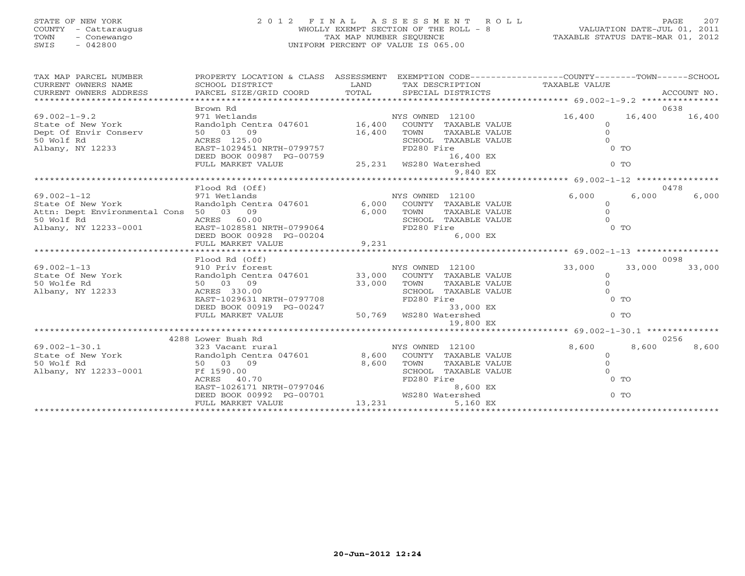## STATE OF NEW YORK 2 0 1 2 F I N A L A S S E S S M E N T R O L L PAGE 207 COUNTY - Cattaraugus WHOLLY EXEMPT SECTION OF THE ROLL - 8 VALUATION DATE-JUL 01, 2011 TOWN - Conewango TAX MAP NUMBER SEQUENCE TAXABLE STATUS DATE-MAR 01, 2012 SWIS - 042800 UNIFORM PERCENT OF VALUE IS 065.00

| CURRENT OWNERS NAME<br>CURRENT OWNERS NAME SCHOOL DISTRICT DISTRICT DEAND TAX DESCRIPTION TAXABLE VALUE<br>XX DESCRIPTION TO TAL SPECIAL DISTRICTS ACCOUNT NO.<br>XX ATTACKERS ADDRESS PARCEL SIZE/GRID COORD TOTAL SPECIAL DISTRICTS A<br>CURRENT OWNERS NAME<br>CURRENT OWNERS ADDRESS |        |
|------------------------------------------------------------------------------------------------------------------------------------------------------------------------------------------------------------------------------------------------------------------------------------------|--------|
| 0638<br>Brown Rd                                                                                                                                                                                                                                                                         |        |
| $69.002 - 1 - 9.2$<br>16,400<br>16,400                                                                                                                                                                                                                                                   | 16,400 |
| 971 Wetlands<br>Randolph Centra 047601 16,400 COUNTY TAXABLE VALUE<br>State of New York<br>$\circ$                                                                                                                                                                                       |        |
| Dept Of Envir Conserv<br>$\Omega$<br>50 03 09<br>16,400<br>TOWN<br>TAXABLE VALUE                                                                                                                                                                                                         |        |
| 50 Wolf Rd<br>ACRES 125.00<br>SCHOOL TAXABLE VALUE<br>$\Omega$                                                                                                                                                                                                                           |        |
| Albany, NY 12233<br>EAST-1029451 NRTH-0799757<br>FD280 Fire<br>$0$ TO                                                                                                                                                                                                                    |        |
| DEED BOOK 00987 PG-00759<br>16,400 EX                                                                                                                                                                                                                                                    |        |
| 25,231 WS280 Watershed<br>$0$ TO<br>FULL MARKET VALUE                                                                                                                                                                                                                                    |        |
| 9,840 EX                                                                                                                                                                                                                                                                                 |        |
|                                                                                                                                                                                                                                                                                          |        |
| Flood Rd (Off)<br>0478                                                                                                                                                                                                                                                                   |        |
| 6,000<br>$69.002 - 1 - 12$<br>971 Wetlands<br>NYS OWNED 12100<br>6,000                                                                                                                                                                                                                   | 6,000  |
| Randolph Centra 047601 6,000<br>State Of New York<br>COUNTY TAXABLE VALUE<br>$\Omega$                                                                                                                                                                                                    |        |
| Attn: Dept Environmental Cons 50 03 09<br>6,000<br>$\circ$<br>TOWN<br>TAXABLE VALUE                                                                                                                                                                                                      |        |
| 50 Wolf Rd<br>ACRES 60.00<br>$\Omega$<br>SCHOOL TAXABLE VALUE                                                                                                                                                                                                                            |        |
| Albany, NY 12233-0001<br>EAST-1028581 NRTH-0799064<br>FD280 Fire<br>$0$ TO                                                                                                                                                                                                               |        |
| DEED BOOK 00928 PG-00204<br>6,000 EX                                                                                                                                                                                                                                                     |        |
| 9,231<br>FULL MARKET VALUE                                                                                                                                                                                                                                                               |        |
|                                                                                                                                                                                                                                                                                          |        |
| Flood Rd (Off)<br>0098                                                                                                                                                                                                                                                                   |        |
| 910 Priv forest<br>Randolph Centra 047601 33,000 COUNTY TAXABLE VALUE<br>33,000 COUNTY TAXABLE VALUE<br>$69.002 - 1 - 13$<br>33,000<br>33,000                                                                                                                                            | 33,000 |
| State Of New York<br>$\circ$                                                                                                                                                                                                                                                             |        |
| 50 Wolfe Rd<br>50 03 09<br>33,000<br>$\Omega$<br>TOWN<br>TAXABLE VALUE                                                                                                                                                                                                                   |        |
| ACRES 330.00<br>$\Omega$<br>Albany, NY 12233<br>SCHOOL TAXABLE VALUE                                                                                                                                                                                                                     |        |
| EAST-1029631 NRTH-0797708<br>FD280 Fire<br>$0$ TO                                                                                                                                                                                                                                        |        |
| 33,000 EX                                                                                                                                                                                                                                                                                |        |
| DEED BOOK 00919 PG-00247 33,000<br>FULL MARKET VALUE 50,769 WS280 Watershed<br>$0$ TO                                                                                                                                                                                                    |        |
| 19,800 EX                                                                                                                                                                                                                                                                                |        |
|                                                                                                                                                                                                                                                                                          |        |
| 0256<br>4288 Lower Bush Rd                                                                                                                                                                                                                                                               |        |
| NYS OWNED 12100<br>$69.002 - 1 - 30.1$<br>323 Vacant rural<br>8,600<br>8,600                                                                                                                                                                                                             | 8,600  |
| $\circ$                                                                                                                                                                                                                                                                                  |        |
| $\Omega$                                                                                                                                                                                                                                                                                 |        |
| Albany, NY 12233-0001<br>Ff 1590.00<br>SCHOOL TAXABLE VALUE<br>$\Omega$                                                                                                                                                                                                                  |        |
| FD280 Fire<br>$0$ TO<br>ACRES 40.70                                                                                                                                                                                                                                                      |        |
| EAST-1026171 NRTH-0797046<br>8,600 EX                                                                                                                                                                                                                                                    |        |
| WS280 Wa<br>13,231<br>DEED BOOK 00992 PG-00701<br>$0$ TO<br>WS280 Watershed                                                                                                                                                                                                              |        |
| FULL MARKET VALUE<br>5,160 EX                                                                                                                                                                                                                                                            |        |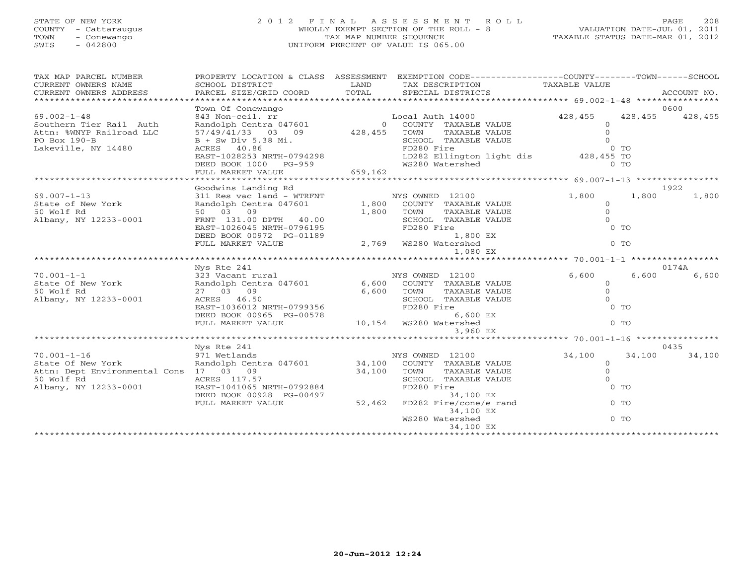## STATE OF NEW YORK 2 0 1 2 F I N A L A S S E S S M E N T R O L L PAGE 208 COUNTY - Cattaraugus WHOLLY EXEMPT SECTION OF THE ROLL - 8 VALUATION DATE-JUL 01, 2011 TOWN - Conewango TAX MAP NUMBER SEQUENCE TAXABLE STATUS DATE-MAR 01, 2012 SWIS - 042800 UNIFORM PERCENT OF VALUE IS 065.00

| TAX MAP PARCEL NUMBER<br>CURRENT OWNERS NAME<br>CURRENT OWNERS ADDRESS | SCHOOL DISTRICT<br>PARCEL SIZE/GRID COORD                                                                            | LAND<br>TOTAL | TAX DESCRIPTION TAXABLE VALUE<br>SPECIAL DISTRICTS                                                        | PROPERTY LOCATION & CLASS ASSESSMENT EXEMPTION CODE---------------COUNTY-------TOWN------SCHOOL | ACCOUNT NO.       |
|------------------------------------------------------------------------|----------------------------------------------------------------------------------------------------------------------|---------------|-----------------------------------------------------------------------------------------------------------|-------------------------------------------------------------------------------------------------|-------------------|
|                                                                        | Town Of Conewango                                                                                                    |               |                                                                                                           |                                                                                                 | 0600              |
| $69.002 - 1 - 48$                                                      | Town Ol Conewango<br>843 Non-ceil.rr<br>Randolph Centra 047601 (DENTY PAXABLE 57/49/41/33 03 09 428,455 TOWN TAXABLE |               |                                                                                                           | 428, 455                                                                                        | 428, 455 428, 455 |
| Southern Tier Rail Auth                                                |                                                                                                                      |               | 0 COUNTY TAXABLE VALUE                                                                                    | $\overline{0}$                                                                                  |                   |
| Attn: %WNYP Railroad LLC                                               |                                                                                                                      |               | TAXABLE VALUE                                                                                             | $\circ$                                                                                         |                   |
| PO Box 190-B                                                           | $B + Sw Div 5.38 Mi.$                                                                                                |               |                                                                                                           |                                                                                                 |                   |
| Lakeville, NY 14480                                                    | ACRES 40.86                                                                                                          |               |                                                                                                           |                                                                                                 |                   |
|                                                                        | EAST-1028253 NRTH-0794298                                                                                            |               | TOWN TAXABLE VALUE 0<br>SCHOOL TAXABLE VALUE 0<br>FD280 Fire 0 TO<br>LD282 Ellington light dis 428,455 TO |                                                                                                 |                   |
|                                                                        |                                                                                                                      |               |                                                                                                           |                                                                                                 |                   |
|                                                                        |                                                                                                                      |               |                                                                                                           |                                                                                                 |                   |
|                                                                        |                                                                                                                      |               |                                                                                                           |                                                                                                 |                   |
|                                                                        | Goodwins Landing Rd                                                                                                  |               |                                                                                                           |                                                                                                 | 1922              |
| $69.007 - 1 - 13$                                                      | 311 Res vac land - WTRFNT NYS OWNED 12100                                                                            |               |                                                                                                           | 1,800<br>1,800                                                                                  | 1,800             |
| State of New York                                                      | Randolph Centra 047601 1,800                                                                                         |               | COUNTY TAXABLE VALUE                                                                                      | $\Omega$                                                                                        |                   |
| 50 Wolf Rd                                                             | 50 03 09                                                                                                             | 1,800         | TOWN<br>TAXABLE VALUE                                                                                     | $\circ$                                                                                         |                   |
| Albany, NY 12233-0001                                                  | FRNT $131.00$ DPTH $40.00$                                                                                           |               | SCHOOL TAXABLE VALUE                                                                                      | $\Omega$                                                                                        |                   |
|                                                                        | EAST-1026045 NRTH-0796195<br>DEED BOOK 00972 PG-01189                                                                |               | FD280 Fire                                                                                                | $0$ TO                                                                                          |                   |
|                                                                        | DEED BOOK 00972 PG-01189                                                                                             |               | 1,800 EX                                                                                                  |                                                                                                 |                   |
|                                                                        | FULL MARKET VALUE                                                                                                    |               | 2,769 WS280 Watershed                                                                                     | $0$ TO                                                                                          |                   |
|                                                                        |                                                                                                                      |               | 1,080 EX                                                                                                  |                                                                                                 |                   |
|                                                                        |                                                                                                                      |               |                                                                                                           |                                                                                                 |                   |
|                                                                        | Nys Rte 241                                                                                                          |               |                                                                                                           |                                                                                                 | 0174A             |
| $70.001 - 1 - 1$                                                       |                                                                                                                      |               |                                                                                                           | 6,600<br>6,600                                                                                  | 6,600             |
| State Of New York                                                      |                                                                                                                      |               |                                                                                                           | $\circ$                                                                                         |                   |
| 50 Wolf Rd                                                             | 27 03 09                                                                                                             | 6,600         | TOWN<br>TAXABLE VALUE                                                                                     | $\circ$                                                                                         |                   |
| Albany, NY 12233-0001                                                  | ACRES 46.50                                                                                                          |               | SCHOOL TAXABLE VALUE                                                                                      | $\Omega$                                                                                        |                   |
|                                                                        | ACRES 46.50<br>EAST-1036012 NRTH-0799356                                                                             |               | FD280 Fire                                                                                                | $0$ TO                                                                                          |                   |
|                                                                        | DEED BOOK 00965 PG-00578                                                                                             |               | 6,600 EX                                                                                                  |                                                                                                 |                   |
|                                                                        | FULL MARKET VALUE                                                                                                    |               | 0,600 6,600<br>10,154 WS280 Watershed                                                                     | $0$ TO                                                                                          |                   |
|                                                                        |                                                                                                                      |               | 3,960 EX                                                                                                  |                                                                                                 |                   |
|                                                                        |                                                                                                                      |               |                                                                                                           |                                                                                                 |                   |
|                                                                        | Nys Rte 241                                                                                                          |               |                                                                                                           |                                                                                                 | 0435              |
| $70.001 - 1 - 16$                                                      | 971 Wetlands<br>Randolph Centra 047601 34,100 COUNTY TAXABLE VALUE                                                   |               |                                                                                                           | 34,100<br>34,100                                                                                | 34,100            |
| State Of New York                                                      |                                                                                                                      |               |                                                                                                           | $\circ$                                                                                         |                   |
| Attn: Dept Environmental Cons 17 03 09                                 |                                                                                                                      | 34,100        | TOWN<br>TAXABLE VALUE                                                                                     | $\circ$                                                                                         |                   |
| 50 Wolf Rd                                                             | ACRES 117.57                                                                                                         |               | SCHOOL TAXABLE VALUE                                                                                      | $\Omega$                                                                                        |                   |
| Albany, NY 12233-0001                                                  | EAST-1041065 NRTH-0792884                                                                                            |               | FD280 Fire                                                                                                | $0$ TO                                                                                          |                   |
|                                                                        | DEED BOOK 00928 PG-00497                                                                                             |               | 34,100 EX                                                                                                 |                                                                                                 |                   |
|                                                                        | FULL MARKET VALUE                                                                                                    | 52,462        | FD282 Fire/cone/e rand                                                                                    | $0$ TO                                                                                          |                   |
|                                                                        |                                                                                                                      |               | 34,100 EX                                                                                                 |                                                                                                 |                   |
|                                                                        |                                                                                                                      |               | WS280 Watershed                                                                                           | $0$ TO                                                                                          |                   |
|                                                                        |                                                                                                                      |               | 34,100 EX                                                                                                 | ******************************                                                                  |                   |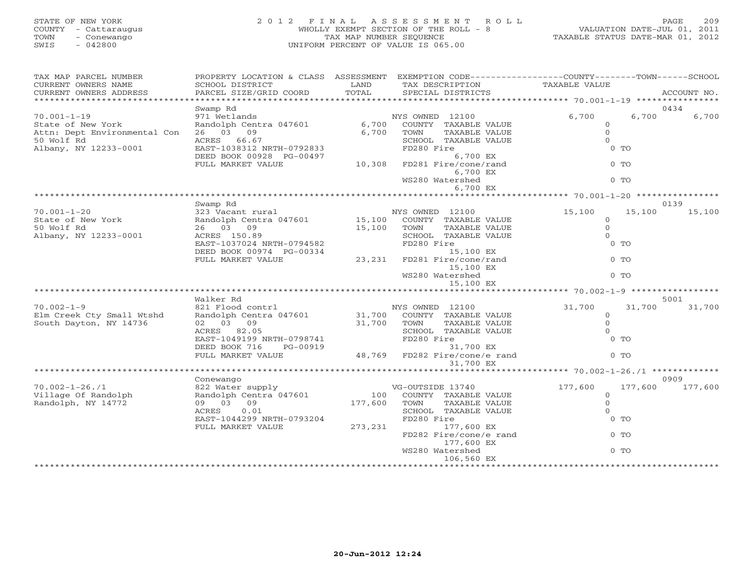## STATE OF NEW YORK 2 0 1 2 F I N A L A S S E S S M E N T R O L L PAGE 209 COUNTY - Cattaraugus WHOLLY EXEMPT SECTION OF THE ROLL - 8 VALUATION DATE-JUL 01, 2011 TOWN - Conewango TAX MAP NUMBER SEQUENCE TAXABLE STATUS DATE-MAR 01, 2012 SWIS - 042800 UNIFORM PERCENT OF VALUE IS 065.00

| TAX MAP PARCEL NUMBER<br>CURRENT OWNERS NAME<br>CURRENT OWNERS ADDRESS | PROPERTY LOCATION & CLASS ASSESSMENT<br>SCHOOL DISTRICT<br>PARCEL SIZE/GRID COORD | LAND<br>TOTAL        | EXEMPTION CODE----------------COUNTY-------TOWN------SCHOOL<br>TAX DESCRIPTION<br>SPECIAL DISTRICTS | TAXABLE VALUE                                      | ACCOUNT NO.        |
|------------------------------------------------------------------------|-----------------------------------------------------------------------------------|----------------------|-----------------------------------------------------------------------------------------------------|----------------------------------------------------|--------------------|
| **********************                                                 |                                                                                   |                      |                                                                                                     |                                                    |                    |
|                                                                        | Swamp Rd                                                                          |                      |                                                                                                     |                                                    | 0434               |
| $70.001 - 1 - 19$                                                      | 971 Wetlands                                                                      |                      | NYS OWNED 12100                                                                                     | 6,700                                              | 6,700<br>6,700     |
| State of New York                                                      | Randolph Centra 047601                                                            |                      | 6,700 COUNTY TAXABLE VALUE                                                                          | $\circ$                                            |                    |
| Attn: Dept Environmental Con                                           | 26 03 09                                                                          | 6,700                | TAXABLE VALUE<br>TOWN                                                                               | $\circ$                                            |                    |
| 50 Wolf Rd                                                             | ACRES 66.67                                                                       |                      | SCHOOL TAXABLE VALUE                                                                                | $\circ$                                            |                    |
| Albany, NY 12233-0001                                                  | EAST-1038312 NRTH-0792833                                                         |                      | FD280 Fire                                                                                          | $0$ TO                                             |                    |
|                                                                        | DEED BOOK 00928 PG-00497                                                          | 10,308               | 6,700 EX                                                                                            |                                                    |                    |
|                                                                        | FULL MARKET VALUE                                                                 |                      | FD281 Fire/cone/rand                                                                                | $0$ TO                                             |                    |
|                                                                        |                                                                                   |                      | 6,700 EX                                                                                            |                                                    |                    |
|                                                                        |                                                                                   |                      | WS280 Watershed                                                                                     | $0$ TO                                             |                    |
|                                                                        |                                                                                   |                      | 6,700 EX                                                                                            |                                                    |                    |
|                                                                        | Swamp Rd                                                                          |                      |                                                                                                     |                                                    | 0139               |
| $70.001 - 1 - 20$                                                      | 323 Vacant rural                                                                  |                      | NYS OWNED 12100                                                                                     | 15,100                                             | 15,100<br>15,100   |
| State of New York                                                      | Randolph Centra 047601 15,100 COUNTY TAXABLE VALUE                                |                      |                                                                                                     | $\circ$                                            |                    |
| 50 Wolf Rd                                                             | 26 03 09                                                                          | 15,100 TOWN          | TAXABLE VALUE                                                                                       | $\circ$                                            |                    |
| Albany, NY 12233-0001                                                  | ACRES 150.89                                                                      |                      | SCHOOL TAXABLE VALUE                                                                                | $\Omega$                                           |                    |
|                                                                        | EAST-1037024 NRTH-0794582                                                         |                      | FD280 Fire                                                                                          | $0$ TO                                             |                    |
|                                                                        | DEED BOOK 00974 PG-00334                                                          |                      | 15,100 EX                                                                                           |                                                    |                    |
|                                                                        | FULL MARKET VALUE                                                                 | 23,231               | FD281 Fire/cone/rand                                                                                | $0$ TO                                             |                    |
|                                                                        |                                                                                   |                      | 15,100 EX                                                                                           |                                                    |                    |
|                                                                        |                                                                                   |                      | WS280 Watershed                                                                                     | $0$ TO                                             |                    |
|                                                                        |                                                                                   |                      | 15,100 EX                                                                                           |                                                    |                    |
|                                                                        |                                                                                   |                      |                                                                                                     | *********** 70.002-1-9 *************               |                    |
|                                                                        | Walker Rd                                                                         |                      |                                                                                                     |                                                    | 5001               |
| $70.002 - 1 - 9$                                                       | 821 Flood contrl                                                                  |                      | NYS OWNED 12100<br>31,700 COUNTY TAXABLE VALUE                                                      | 31,700                                             | 31,700<br>31,700   |
| Elm Creek Cty Small Wtshd                                              | Randolph Centra 047601                                                            |                      |                                                                                                     | $\circ$                                            |                    |
| South Dayton, NY 14736                                                 | 02 03 09                                                                          | 31,700 TOWN<br>SCHOO | TAXABLE VALUE                                                                                       | $\circ$                                            |                    |
|                                                                        | ACRES 82.05                                                                       |                      | SCHOOL TAXABLE VALUE                                                                                | $\circ$                                            |                    |
|                                                                        | EAST-1049199 NRTH-0798741                                                         |                      | FD280 Fire                                                                                          | $0$ TO                                             |                    |
|                                                                        | DEED BOOK 716 PG-00919                                                            |                      | 31,700 EX                                                                                           |                                                    |                    |
|                                                                        | FULL MARKET VALUE                                                                 |                      | $48,769$ FD282 Fire/cone/e rand                                                                     | $0$ TO                                             |                    |
|                                                                        |                                                                                   |                      | 31,700 EX                                                                                           |                                                    |                    |
|                                                                        | ************************************                                              |                      |                                                                                                     | ********************* 70.002-1-26./1 ************* |                    |
|                                                                        | Conewango                                                                         |                      |                                                                                                     |                                                    | 0909               |
| $70.002 - 1 - 26.71$                                                   | 822 Water supply<br>Randolph Centra 047601                                        |                      | VG-OUTSIDE 13740                                                                                    | 177,600                                            | 177,600<br>177,600 |
| Village Of Randolph                                                    |                                                                                   |                      | 100 COUNTY TAXABLE VALUE                                                                            | $\circ$                                            |                    |
| Randolph, NY 14772                                                     | 09 03 09                                                                          | 177,600 TOWN         | TAXABLE VALUE                                                                                       | $\circ$                                            |                    |
|                                                                        | 0.01<br>ACRES                                                                     |                      | SCHOOL TAXABLE VALUE                                                                                |                                                    |                    |
|                                                                        | EAST-1044299 NRTH-0793204                                                         |                      | FD280 Fire                                                                                          | $0$ TO                                             |                    |
|                                                                        | FULL MARKET VALUE                                                                 | 273,231              | 177,600 EX                                                                                          |                                                    |                    |
|                                                                        |                                                                                   |                      | FD282 Fire/cone/e rand                                                                              | $0$ TO                                             |                    |
|                                                                        |                                                                                   |                      | 177,600 EX<br>WS280 Watershed                                                                       | $0$ TO                                             |                    |
|                                                                        |                                                                                   |                      | 106,560 EX                                                                                          |                                                    |                    |
|                                                                        |                                                                                   |                      |                                                                                                     |                                                    |                    |
|                                                                        |                                                                                   |                      |                                                                                                     |                                                    |                    |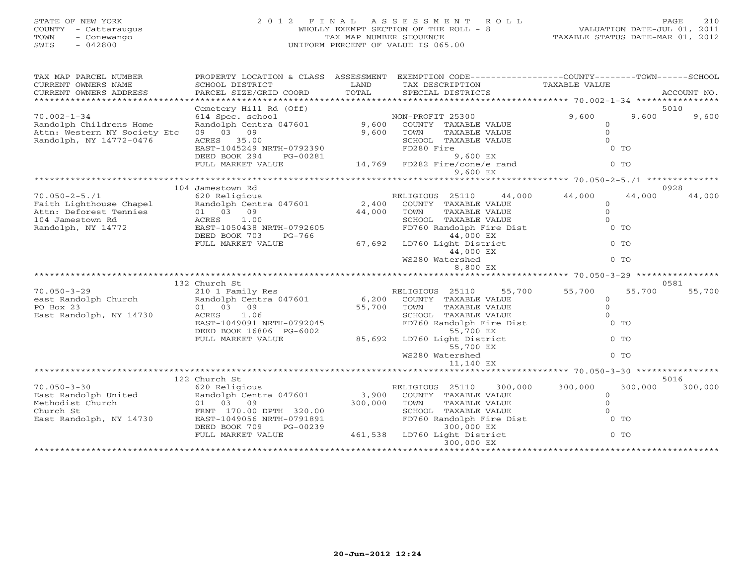# STATE OF NEW YORK 2 0 1 2 F I N A L A S S E S S M E N T R O L L PAGE 210 COUNTY - Cattaraugus WHOLLY EXEMPT SECTION OF THE ROLL - 8 VALUATION DATE-JUL 01, 2011 TOWN - Conewango TAX MAP NUMBER SEQUENCE TAXABLE STATUS DATE-MAR 01, 2012 SWIS - 042800 UNIFORM PERCENT OF VALUE IS 065.00

| TAX MAP PARCEL NUMBER<br>CURRENT OWNERS NAME<br>CURRENT OWNERS ADDRESS                                                                                                                  | PROPERTY LOCATION & CLASS ASSESSMENT<br>SCHOOL DISTRICT<br>PARCEL SIZE/GRID COORD                                                                                              | LAND<br>TOTAL             | EXEMPTION CODE-----------------COUNTY-------TOWN------SCHOOL<br>TAX DESCRIPTION<br>SPECIAL DISTRICTS                                                                                                             | TAXABLE VALUE                                                           |         | ACCOUNT NO.     |
|-----------------------------------------------------------------------------------------------------------------------------------------------------------------------------------------|--------------------------------------------------------------------------------------------------------------------------------------------------------------------------------|---------------------------|------------------------------------------------------------------------------------------------------------------------------------------------------------------------------------------------------------------|-------------------------------------------------------------------------|---------|-----------------|
|                                                                                                                                                                                         |                                                                                                                                                                                |                           |                                                                                                                                                                                                                  |                                                                         |         |                 |
| $70.002 - 1 - 34$<br>Randolph Childrens Home<br>Attn: Western NY Society Etc<br>Randolph, NY 14772-0476                                                                                 | Cemetery Hill Rd (Off)<br>614 Spec. school<br>Randolph Centra 047601<br>09 03 09<br>ACRES 35.00<br>EAST-1045249 NRTH-0792390<br>DEED BOOK 294<br>PG-00281                      | 9,600<br>9,600 TOWN       | NON-PROFIT 25300<br>COUNTY TAXABLE VALUE<br>TAXABLE VALUE<br>SCHOOL TAXABLE VALUE<br>FD280 Fire<br>9,600 EX                                                                                                      | 9,600<br>$\circ$<br>$\Omega$<br>$\Omega$<br>$0$ TO                      | 9,600   | 5010<br>9,600   |
|                                                                                                                                                                                         | FULL MARKET VALUE                                                                                                                                                              | 14,769                    | FD282 Fire/cone/e rand<br>9,600 EX                                                                                                                                                                               | $0$ TO                                                                  |         |                 |
|                                                                                                                                                                                         |                                                                                                                                                                                |                           |                                                                                                                                                                                                                  |                                                                         |         |                 |
|                                                                                                                                                                                         | 104 Jamestown Rd                                                                                                                                                               |                           |                                                                                                                                                                                                                  |                                                                         |         | 0928            |
| $70.050 - 2 - 5.71$<br>Faith Lighthouse Chapel Randolph Cent<br>Attn: Deforest Tennies 01 03 09<br>104 Jamestown Rd ACRES 1.00<br>Randolph, NY 14772 EAST-1050438<br>Randolph, NY 14772 | 620 Religious<br>Randolph Centra 047601<br>1.00<br>EAST-1050438 NRTH-0792605<br>DEED BOOK 703<br>PG-766<br>FULL MARKET VALUE                                                   | 44,000<br>67,692          | RELIGIOUS 25110<br>44,000<br>2,400 COUNTY TAXABLE VALUE<br>TAXABLE VALUE<br>TOWN<br>SCHOOL TAXABLE VALUE<br>FD760 Randolph Fire Dist<br>44,000 EX<br>LD760 Light District<br>44,000 EX                           | 44,000<br>$\circ$<br>$\Omega$<br>$\Omega$<br>$0$ TO<br>$0$ TO           | 44,000  | 44,000          |
|                                                                                                                                                                                         |                                                                                                                                                                                |                           | WS280 Watershed<br>8,800 EX                                                                                                                                                                                      | $0$ TO                                                                  |         |                 |
|                                                                                                                                                                                         |                                                                                                                                                                                |                           | *********************** 70.050-3-29 ***************                                                                                                                                                              |                                                                         |         |                 |
|                                                                                                                                                                                         | 132 Church St                                                                                                                                                                  |                           |                                                                                                                                                                                                                  |                                                                         |         | 0581            |
| $70.050 - 3 - 29$<br>east Randolph Church<br>PO Box 23<br>East Randolph, NY 14730                                                                                                       | 210 1 Family Res<br>Randolph Centra 047601<br>01 03 09<br>1.06<br>ACRES<br>EAST-1049091 NRTH-0792045<br>DEED BOOK 16806 PG-6002<br>FULL MARKET VALUE                           | 6,200<br>55,700<br>85,692 | 55,700<br>RELIGIOUS 25110<br>COUNTY TAXABLE VALUE<br>TAXABLE VALUE<br>TOWN<br>SCHOOL TAXABLE VALUE<br>FD760 Randolph Fire Dist<br>55,700 EX<br>LD760 Light District<br>55,700 EX<br>WS280 Watershed<br>11,140 EX | 55,700<br>$\circ$<br>$\Omega$<br>$\Omega$<br>$0$ TO<br>$0$ TO<br>$0$ TO | 55,700  | 55,700          |
|                                                                                                                                                                                         |                                                                                                                                                                                |                           |                                                                                                                                                                                                                  |                                                                         |         |                 |
| $70.050 - 3 - 30$<br>East Randolph United<br>Methodist Church<br>Church St<br>East Randolph, NY 14730                                                                                   | 122 Church St<br>620 Religious<br>Randolph Centra 047601<br>01 03 09<br>FRNT 170.00 DPTH 320.00<br>EAST-1049056 NRTH-0791891<br>DEED BOOK 709<br>PG-00239<br>FULL MARKET VALUE | 3,900<br>300,000          | RELIGIOUS 25110<br>300,000<br>COUNTY TAXABLE VALUE<br>TAXABLE VALUE<br>TOWN<br>SCHOOL TAXABLE VALUE<br>FD760 Randolph Fire Dist<br>300,000 EX<br>461,538 LD760 Light District<br>300,000 EX                      | 300,000<br>$\mathbf{0}$<br>$\Omega$<br>$\Omega$<br>$0$ TO<br>$0$ TO     | 300,000 | 5016<br>300,000 |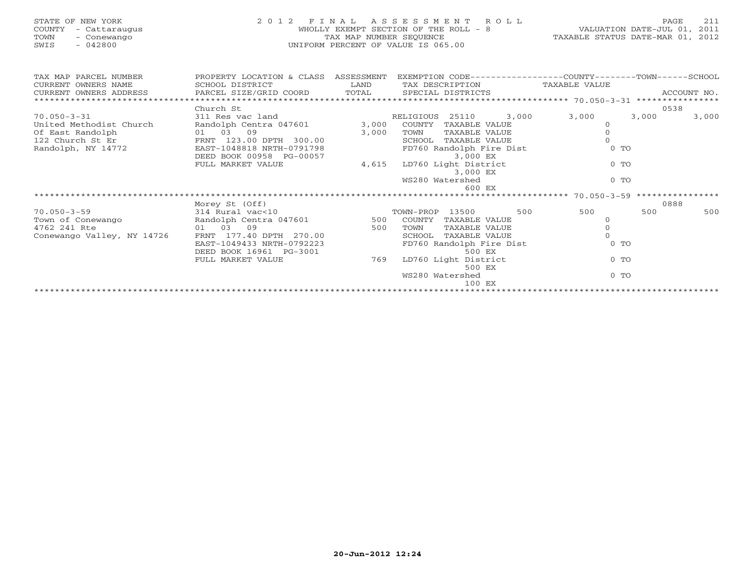| STATE OF NEW YORK<br>COUNTY - Cattaraugus<br>- Conewango<br>TOWN<br>$-042800$<br>SWIS                |                                                                                                                                                                                                                      |                                 | 2012 FINAL ASSESSMENT ROLL<br>WHOLLY EXEMPT SECTION OF THE ROLL - 8<br>TAX MAP NUMBER SEQUENCE THE ROLL - 8<br>TAXABLE STATUS DATE-MAR 01, 2012<br>UNIFORM PERCENT OF VALUE IS 065.00 |                                                           | 211<br>PAGE    |
|------------------------------------------------------------------------------------------------------|----------------------------------------------------------------------------------------------------------------------------------------------------------------------------------------------------------------------|---------------------------------|---------------------------------------------------------------------------------------------------------------------------------------------------------------------------------------|-----------------------------------------------------------|----------------|
| TAX MAP PARCEL NUMBER<br>CURRENT OWNERS NAME<br>CURRENT OWNERS ADDRESS<br>************************   | SCHOOL DISTRICT<br>PARCEL SIZE/GRID COORD                                                                                                                                                                            | <b>Example 12</b> LAND<br>TOTAL | PROPERTY LOCATION & CLASS ASSESSMENT EXEMPTION CODE----------------COUNTY-------TOWN------SCHOOL<br>TAX DESCRIPTION TAXABLE VALUE<br>SPECIAL DISTRICTS                                |                                                           | ACCOUNT NO.    |
|                                                                                                      | Church St                                                                                                                                                                                                            |                                 |                                                                                                                                                                                       |                                                           | 0538           |
|                                                                                                      | 311 Res vac land                                                                                                                                                                                                     |                                 |                                                                                                                                                                                       |                                                           |                |
| 70.050-3-31<br>United Methodist Church<br>Of East Randolph<br>122 Church St Er<br>Randolph, NY 14772 | Randolph Centra 047601 3,000 COUNTY TAXABLE VALUE<br>FRNT $123.00$ DPTH $300.00$<br>EAST-1048818 NRTH-0791799<br>DEED BOOK 00958 PG-00057                                                                            |                                 | RELIGIOUS 25110<br>TOWN<br>TAXABLE VALUE<br>SCHOOL TAXABLE VALUE<br>FD760 Randolph Fire Dist<br>3,000 EX                                                                              | 3,000 3,000<br>$\Omega$<br>$\Omega$<br>$0$ TO             | 3,000<br>3,000 |
|                                                                                                      | FULL MARKET VALUE                                                                                                                                                                                                    | 4,615                           | LD760 Light District<br>3,000 EX<br>WS280 Watershed<br>600 EX                                                                                                                         | $0$ TO<br>$0$ TO                                          |                |
|                                                                                                      |                                                                                                                                                                                                                      |                                 |                                                                                                                                                                                       |                                                           |                |
|                                                                                                      | Morey St (Off)                                                                                                                                                                                                       |                                 |                                                                                                                                                                                       |                                                           | 0888           |
| $70.050 - 3 - 59$<br>Town of Conewango<br>4762 241 Rte<br>Conewango Valley, NY 14726                 | 314 Rural vac<10<br>Randolph Centra 047601<br>Randolph Centra 047601<br>S00 COUNTY TAXABLE VALUE<br>01 03 09<br>FRNT 177.40 DPTH 270.00<br>EAST-1049433 NRTH-0792223<br>DEED BOOK 16961 PG-3001<br>FULL MARKET VALUE | 769                             | 500<br>500 TOWN<br>TAXABLE VALUE<br>SCHOOL TAXABLE VALUE<br>FD760 Randolph Fire Dist<br>500 EX<br>LD760 Light District<br>500 EX<br>WS280 Watershed<br>100 EX                         | 500<br>$\Omega$<br>$\Omega$<br>$0$ TO<br>$0$ TO<br>$0$ TO | 500<br>500     |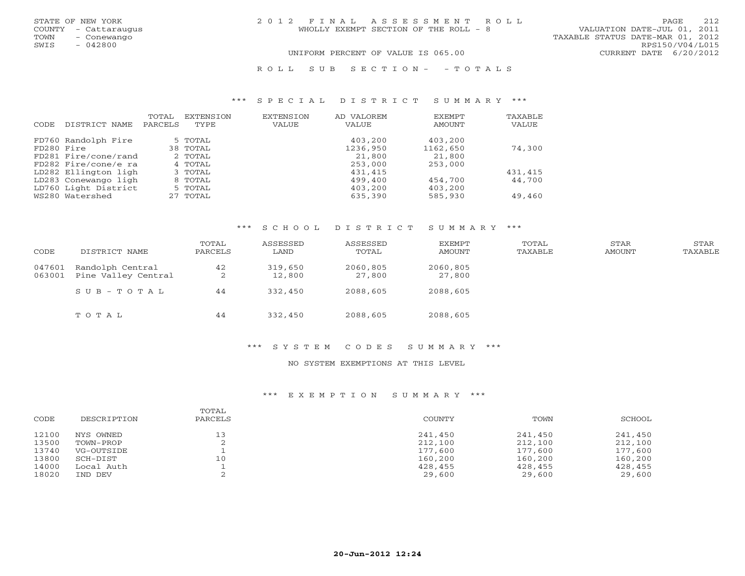| STATE OF NEW YORK    | 2012 FINAL ASSESSMENT ROLL            | 212<br>PAGE                      |
|----------------------|---------------------------------------|----------------------------------|
| COUNTY - Cattaraugus | WHOLLY EXEMPT SECTION OF THE ROLL - 8 | VALUATION DATE-JUL 01, 2011      |
| TOWN<br>- Conewango  |                                       | TAXABLE STATUS DATE-MAR 01, 2012 |
| SWIS<br>- 042800     |                                       | RPS150/V04/L015                  |
|                      | UNIFORM PERCENT OF VALUE IS 065.00    | CURRENT DATE 6/20/2012           |
|                      | ROLL SUB SECTION- - TOTALS            |                                  |

#### \*\*\* S P E C I A L D I S T R I C T S U M M A R Y \*\*\*

| CODE       | DISTRICT NAME        | TOTAL<br>PARCELS | <b>EXTENSION</b><br>TYPE | <b>EXTENSION</b><br>VALUE | AD VALOREM<br><b>VALUE</b> | EXEMPT<br>AMOUNT | TAXABLE<br>VALUE |
|------------|----------------------|------------------|--------------------------|---------------------------|----------------------------|------------------|------------------|
|            | FD760 Randolph Fire  |                  | 5 TOTAL                  |                           | 403,200                    | 403,200          |                  |
| FD280 Fire |                      |                  | 38 TOTAL                 |                           | 1236,950                   | 1162,650         | 74,300           |
|            | FD281 Fire/cone/rand |                  | 2 TOTAL                  |                           | 21,800                     | 21,800           |                  |
|            | FD282 Fire/cone/e ra |                  | 4 TOTAL                  |                           | 253,000                    | 253,000          |                  |
|            | LD282 Ellington ligh |                  | 3 TOTAL                  |                           | 431,415                    |                  | 431,415          |
|            | LD283 Conewango ligh |                  | 8 TOTAL                  |                           | 499,400                    | 454,700          | 44,700           |
|            | LD760 Light District |                  | 5 TOTAL                  |                           | 403,200                    | 403,200          |                  |
|            | WS280 Watershed      |                  | 27 TOTAL                 |                           | 635,390                    | 585,930          | 49,460           |

## \*\*\* S C H O O L D I S T R I C T S U M M A R Y \*\*\*

| CODE             | DISTRICT NAME                           | TOTAL<br>PARCELS | ASSESSED<br>LAND  | ASSESSED<br>TOTAL  | EXEMPT<br>AMOUNT   | TOTAL<br>TAXABLE | STAR<br>AMOUNT | STAR<br>TAXABLE |
|------------------|-----------------------------------------|------------------|-------------------|--------------------|--------------------|------------------|----------------|-----------------|
| 047601<br>063001 | Randolph Central<br>Pine Valley Central | 42<br>2          | 319,650<br>12,800 | 2060,805<br>27,800 | 2060,805<br>27,800 |                  |                |                 |
|                  | $SUB - TO T AL$                         | 44               | 332,450           | 2088,605           | 2088,605           |                  |                |                 |
|                  | TOTAL                                   | 44               | 332,450           | 2088,605           | 2088,605           |                  |                |                 |

#### \*\*\* S Y S T E M C O D E S S U M M A R Y \*\*\*

### NO SYSTEM EXEMPTIONS AT THIS LEVEL

## \*\*\* E X E M P T I O N S U M M A R Y \*\*\*

| CODE  | DESCRIPTION | TOTAL<br>PARCELS | COUNTY  | TOWN    | SCHOOL  |
|-------|-------------|------------------|---------|---------|---------|
| 12100 | NYS OWNED   | 13               | 241,450 | 241,450 | 241,450 |
| 13500 | TOWN-PROP   |                  | 212,100 | 212,100 | 212,100 |
| 13740 | VG-OUTSIDE  |                  | 177,600 | 177,600 | 177,600 |
| 13800 | SCH-DIST    | 10               | 160,200 | 160,200 | 160,200 |
| 14000 | Local Auth  |                  | 428,455 | 428,455 | 428,455 |
| 18020 | IND DEV     |                  | 29,600  | 29,600  | 29,600  |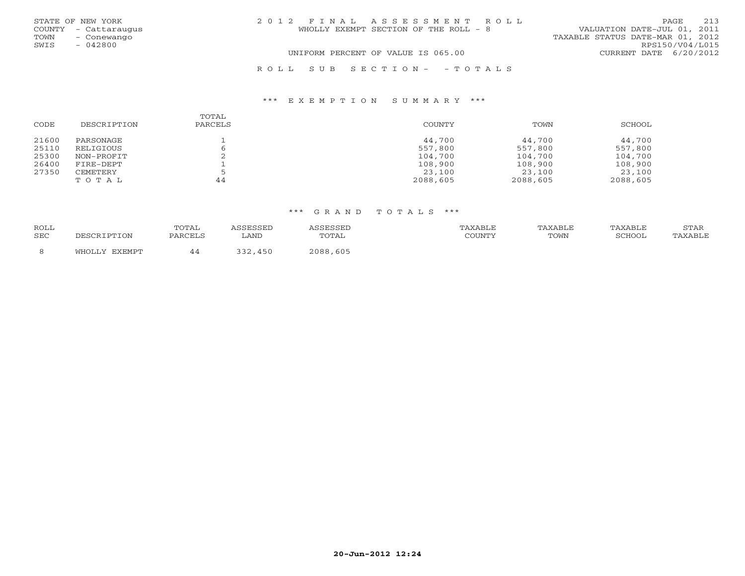|      | STATE OF NEW YORK    | 2012 FINAL ASSESSMENT ROLL            | 213<br>PAGE                      |
|------|----------------------|---------------------------------------|----------------------------------|
|      | COUNTY - Cattaraugus | WHOLLY EXEMPT SECTION OF THE ROLL - 8 | VALUATION DATE-JUL 01, 2011      |
| TOWN | – Conewango          |                                       | TAXABLE STATUS DATE-MAR 01, 2012 |
| SWIS | $-042800$            |                                       | RPS150/V04/L015                  |
|      |                      | UNIFORM PERCENT OF VALUE IS 065.00    | CURRENT DATE 6/20/2012           |
|      |                      |                                       |                                  |

| CODE  | DESCRIPTION | TOTAL<br>PARCELS | COUNTY   | TOWN     | SCHOOL   |
|-------|-------------|------------------|----------|----------|----------|
| 21600 | PARSONAGE   |                  | 44,700   | 44,700   | 44,700   |
| 25110 | RELIGIOUS   |                  | 557,800  | 557,800  | 557,800  |
| 25300 | NON-PROFIT  |                  | 104,700  | 104,700  | 104,700  |
| 26400 | FIRE-DEPT   |                  | 108,900  | 108,900  | 108,900  |
| 27350 | CEMETERY    |                  | 23,100   | 23,100   | 23,100   |
|       | TOTAL       | 44               | 2088,605 | 2088,605 | 2088,605 |

R O L L S U B S E C T I O N - - T O T A L S

\*\*\* E X E M P T I O N S U M M A R Y \*\*\*

| <b>ROLL</b><br>SEC | DESCRIPTION | TOTAL<br>PARCELS | LAND | <i>SSESSED</i><br>TOTAL | TAXABLE<br>COUNTY | TAXABLE<br>TOWN | TAXABLE<br><b>RCHOOL</b> | STAR<br>TAXABLE |
|--------------------|-------------|------------------|------|-------------------------|-------------------|-----------------|--------------------------|-----------------|
|                    | FYFMPT      |                  | 450  | 2088,605                |                   |                 |                          |                 |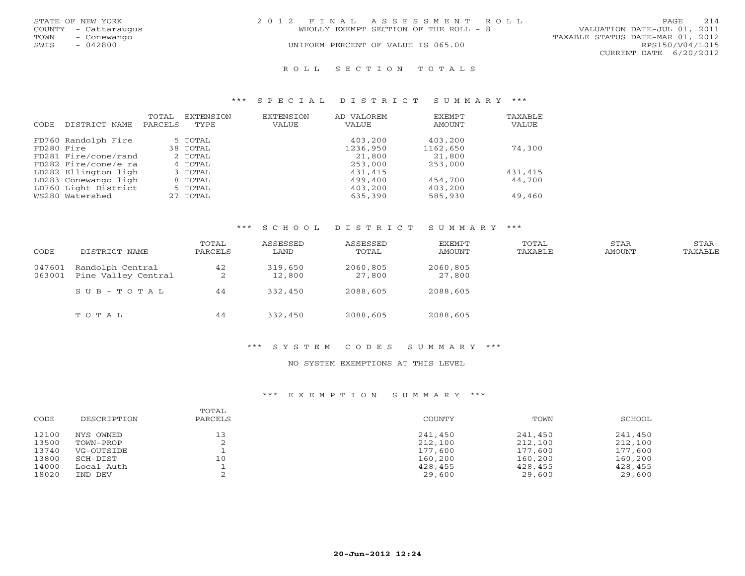|      | STATE OF NEW YORK    | 2012 FINAL ASSESSMENT ROLL                                           | PAGE            | 214 |
|------|----------------------|----------------------------------------------------------------------|-----------------|-----|
|      | COUNTY - Cattaraugus | VALUATION DATE-JUL 01, 2011<br>WHOLLY EXEMPT SECTION OF THE ROLL - 8 |                 |     |
| TOWN | - Conewango          | TAXABLE STATUS DATE-MAR 01, 2012                                     |                 |     |
| SWIS | - 042800             | UNIFORM PERCENT OF VALUE IS 065.00                                   | RPS150/V04/L015 |     |
|      |                      | CURRENT DATE 6/20/2012                                               |                 |     |
|      |                      |                                                                      |                 |     |

#### R O L L S E C T I O N T O T A L S

#### \*\*\* S P E C I A L D I S T R I C T S U M M A R Y \*\*\*

|            |                      | TOTAL   | EXTENSION | EXTENSION | AD VALOREM | EXEMPT   | TAXABLE |
|------------|----------------------|---------|-----------|-----------|------------|----------|---------|
| CODE       | DISTRICT NAME        | PARCELS | TYPE      | VALUE     | VALUE      | AMOUNT   | VALUE   |
|            | FD760 Randolph Fire  |         | 5 TOTAL   |           | 403,200    | 403,200  |         |
| FD280 Fire |                      |         | 38 TOTAL  |           | 1236,950   | 1162,650 | 74,300  |
|            | FD281 Fire/cone/rand |         | 2 TOTAL   |           | 21,800     | 21,800   |         |
|            | FD282 Fire/cone/e ra |         | 4 TOTAL   |           | 253,000    | 253,000  |         |
|            | LD282 Ellington ligh |         | 3 TOTAL   |           | 431,415    |          | 431,415 |
|            | LD283 Conewango ligh |         | 8 TOTAL   |           | 499,400    | 454,700  | 44,700  |
|            | LD760 Light District |         | 5 TOTAL   |           | 403,200    | 403,200  |         |
|            | WS280 Watershed      |         | 27 TOTAL  |           | 635,390    | 585,930  | 49,460  |

## \*\*\* S C H O O L D I S T R I C T S U M M A R Y \*\*\*

| CODE             | DISTRICT NAME                           | TOTAL<br>PARCELS | ASSESSED<br>LAND  | ASSESSED<br>TOTAL  | EXEMPT<br>AMOUNT   | TOTAL<br>TAXABLE | STAR<br>AMOUNT | STAR<br>TAXABLE |
|------------------|-----------------------------------------|------------------|-------------------|--------------------|--------------------|------------------|----------------|-----------------|
| 047601<br>063001 | Randolph Central<br>Pine Valley Central | 42<br>2          | 319,650<br>12,800 | 2060,805<br>27,800 | 2060,805<br>27,800 |                  |                |                 |
|                  | $SUB - TO T AL$                         | 44               | 332,450           | 2088,605           | 2088,605           |                  |                |                 |
|                  | TOTAL                                   | 44               | 332,450           | 2088,605           | 2088,605           |                  |                |                 |

#### \*\*\* S Y S T E M C O D E S S U M M A R Y \*\*\*

### NO SYSTEM EXEMPTIONS AT THIS LEVEL

## \*\*\* E X E M P T I O N S U M M A R Y \*\*\*

| CODE  | DESCRIPTION | TOTAL<br>PARCELS | COUNTY  | TOWN    | SCHOOL  |
|-------|-------------|------------------|---------|---------|---------|
| 12100 | NYS OWNED   | 13               | 241,450 | 241,450 | 241,450 |
| 13500 | TOWN-PROP   |                  | 212,100 | 212,100 | 212,100 |
| 13740 | VG-OUTSIDE  |                  | 177,600 | 177,600 | 177,600 |
| 13800 | SCH-DIST    | 10               | 160,200 | 160,200 | 160,200 |
| 14000 | Local Auth  |                  | 428,455 | 428,455 | 428,455 |
| 18020 | IND DEV     |                  | 29,600  | 29,600  | 29,600  |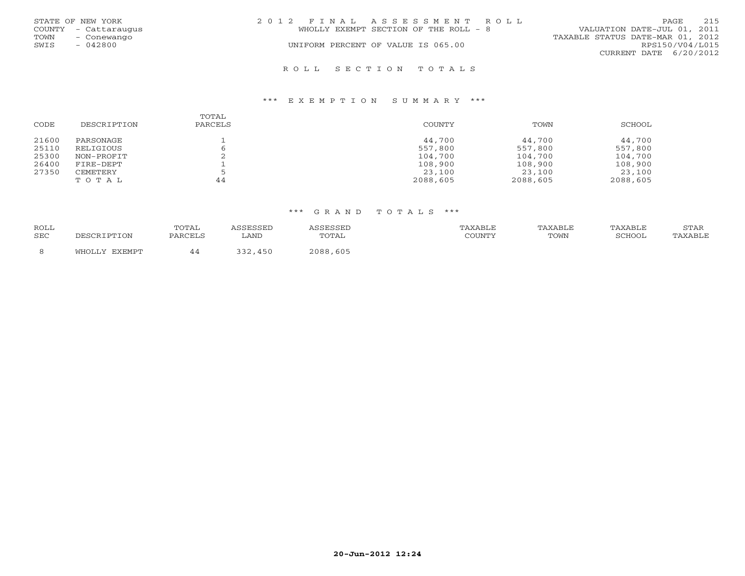|      | STATE OF NEW YORK    | 2012 FINAL ASSESSMENT ROLL            | 215<br>PAGE.                     |  |  |
|------|----------------------|---------------------------------------|----------------------------------|--|--|
|      | COUNTY - Cattaraugus | WHOLLY EXEMPT SECTION OF THE ROLL - 8 | VALUATION DATE-JUL 01, 2011      |  |  |
| TOWN | - Conewango          |                                       | TAXABLE STATUS DATE-MAR 01, 2012 |  |  |
| SWIS | $-042800$            | UNIFORM PERCENT OF VALUE IS 065.00    | RPS150/V04/L015                  |  |  |
|      |                      |                                       | CURRENT DATE $6/20/2012$         |  |  |
|      |                      | ROLL SECTION TOTALS                   |                                  |  |  |

### \*\*\* E X E M P T I O N S U M M A R Y \*\*\*

| CODE  | DESCRIPTION | TOTAL<br>PARCELS | COUNTY   | TOWN     | SCHOOL   |
|-------|-------------|------------------|----------|----------|----------|
| 21600 | PARSONAGE   |                  | 44,700   | 44,700   | 44,700   |
| 25110 | RELIGIOUS   |                  | 557,800  | 557,800  | 557,800  |
| 25300 | NON-PROFIT  |                  | 104,700  | 104,700  | 104,700  |
| 26400 | FIRE-DEPT   |                  | 108,900  | 108,900  | 108,900  |
| 27350 | CEMETERY    |                  | 23,100   | 23,100   | 23,100   |
|       | TOTAL       | 44               | 2088,605 | 2088,605 | 2088,605 |

| ROLL<br>SEC | TOTAL<br>PARCELS | LAND | TOTAL         | TAXABLE<br>2011117 | TOWN | SCHOOL | STAR<br>$\lambda$ |
|-------------|------------------|------|---------------|--------------------|------|--------|-------------------|
|             |                  |      | . 605<br>2088 |                    |      |        |                   |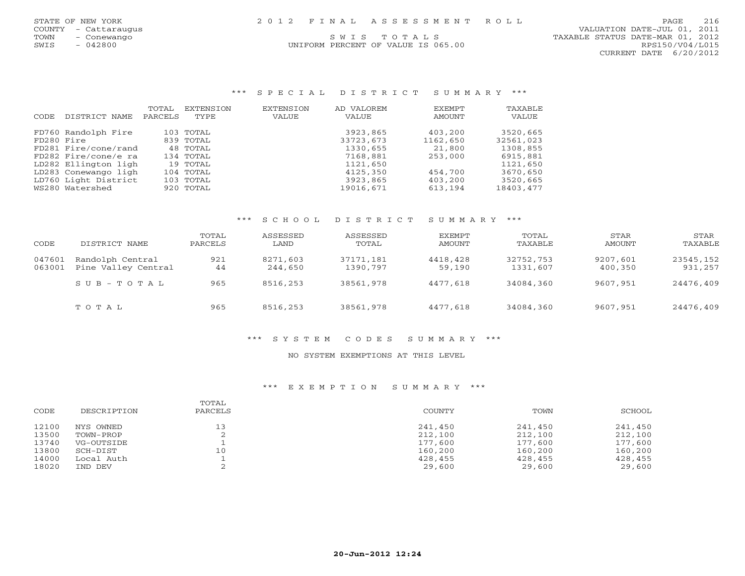UNIFORM PERCENT OF VALUE IS 065.00

 COUNTY - Cattaraugus VALUATION DATE-JUL 01, 2011 TOWN - Conewango S W I S T O T A L S<br>
SWIS - 042800 MIFORM PERCENT OF VALUE IS 065.00 TAXABLE STATUS DATE-MAR 01, 2012 CURRENT DATE 6/20/2012

#### \*\*\* S P E C I A L D I S T R I C T S U M M A R Y \*\*\*

|            |                      | TOTAL   | EXTENSION | EXTENSION | AD VALOREM | <b>FXFMPT</b> | TAXABLE   |
|------------|----------------------|---------|-----------|-----------|------------|---------------|-----------|
| CODE.      | DISTRICT NAME        | PARCELS | TYPE      | VALUE     | VALUE      | AMOUNT        | VALUE     |
|            | FD760 Randolph Fire  |         | 103 TOTAL |           | 3923,865   | 403,200       | 3520,665  |
| FD280 Fire |                      |         | 839 TOTAL |           | 33723,673  | 1162,650      | 32561,023 |
|            | FD281 Fire/cone/rand |         | 48 TOTAL  |           | 1330,655   | 21,800        | 1308,855  |
|            | FD282 Fire/cone/e ra |         | 134 TOTAL |           | 7168,881   | 253,000       | 6915,881  |
|            | LD282 Ellington ligh |         | 19 TOTAL  |           | 1121,650   |               | 1121,650  |
|            | LD283 Conewango ligh |         | 104 TOTAL |           | 4125,350   | 454,700       | 3670,650  |
|            | LD760 Light District |         | 103 TOTAL |           | 3923,865   | 403,200       | 3520,665  |
|            | WS280 Watershed      |         | 920 TOTAL |           | 19016,671  | 613,194       | 18403,477 |

### \*\*\* S C H O O L D I S T R I C T S U M M A R Y \*\*\*

| CODE             | DISTRICT NAME                           | TOTAL<br>PARCELS | ASSESSED<br>LAND    | ASSESSED<br>TOTAL     | EXEMPT<br>AMOUNT   | TOTAL<br>TAXABLE      | STAR<br>AMOUNT      | STAR<br>TAXABLE      |
|------------------|-----------------------------------------|------------------|---------------------|-----------------------|--------------------|-----------------------|---------------------|----------------------|
| 047601<br>063001 | Randolph Central<br>Pine Valley Central | 921<br>44        | 8271,603<br>244,650 | 37171,181<br>1390,797 | 4418,428<br>59,190 | 32752,753<br>1331,607 | 9207,601<br>400,350 | 23545,152<br>931,257 |
|                  | $S \cup B - T \cup T A$                 | 965              | 8516,253            | 38561,978             | 4477,618           | 34084,360             | 9607,951            | 24476,409            |
|                  | TOTAL                                   | 965              | 8516,253            | 38561,978             | 4477,618           | 34084,360             | 9607,951            | 24476,409            |

#### \*\*\* S Y S T E M C O D E S S U M M A R Y \*\*\*

#### NO SYSTEM EXEMPTIONS AT THIS LEVEL

#### \*\*\* E X E M P T I O N S U M M A R Y \*\*\*

| CODE  | DESCRIPTION | TOTAL<br>PARCELS | <b>COUNTY</b> | TOWN    | SCHOOL  |
|-------|-------------|------------------|---------------|---------|---------|
| 12100 | NYS OWNED   | 13               | 241,450       | 241,450 | 241,450 |
| 13500 | TOWN-PROP   |                  | 212,100       | 212,100 | 212,100 |
| 13740 | VG-OUTSIDE  |                  | 177,600       | 177,600 | 177,600 |
| 13800 | SCH-DIST    | 10               | 160,200       | 160,200 | 160,200 |
| 14000 | Local Auth  |                  | 428,455       | 428,455 | 428,455 |
| 18020 | IND DEV     |                  | 29,600        | 29,600  | 29,600  |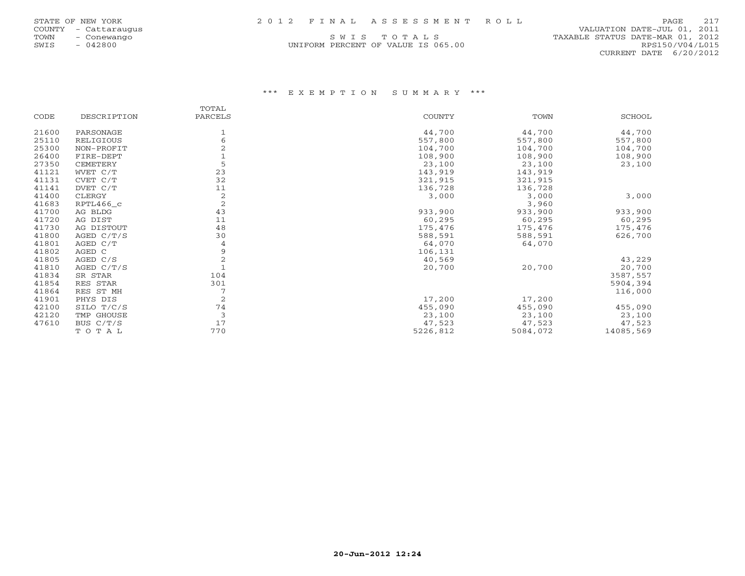| STATE OF NEW YORK |  |  | 2012 FINAL ASSESSMENT ROLL | PAGE 217 |
|-------------------|--|--|----------------------------|----------|
|-------------------|--|--|----------------------------|----------|

| STATE OF NEW YORK |     |               |
|-------------------|-----|---------------|
| COUNTY            |     | - Cattaraugus |
| <b>TOWN</b>       |     | - Conewango   |
| SWTS              | $-$ | 042800        |

UNIFORM PERCENT OF VALUE IS 065.00

 COUNTY - Cattaraugus VALUATION DATE-JUL 01, 2011 S W I S T O T A L S<br>I PERCENT OF VALUE IS 065.00 TAXABLE STATUS DATE-MAR 01, 2012 CURRENT DATE 6/20/2012

## \*\*\* E X E M P T I O N S U M M A R Y \*\*\*

|       |              | TOTAL          |               |          |           |
|-------|--------------|----------------|---------------|----------|-----------|
| CODE  | DESCRIPTION  | PARCELS        | <b>COUNTY</b> | TOWN     | SCHOOL    |
| 21600 | PARSONAGE    |                | 44,700        | 44,700   | 44,700    |
| 25110 | RELIGIOUS    | 6              | 557,800       | 557,800  | 557,800   |
| 25300 | NON-PROFIT   |                | 104,700       | 104,700  | 104,700   |
| 26400 | FIRE-DEPT    |                | 108,900       | 108,900  | 108,900   |
| 27350 | CEMETERY     | 5              | 23,100        | 23,100   | 23,100    |
| 41121 | WVET C/T     | 23             | 143,919       | 143,919  |           |
| 41131 | CVET C/T     | 32             | 321,915       | 321,915  |           |
| 41141 | DVET C/T     | 11             | 136,728       | 136,728  |           |
| 41400 | CLERGY       | $\overline{c}$ | 3,000         | 3,000    | 3,000     |
| 41683 | RPTL466_c    | $\overline{2}$ |               | 3,960    |           |
| 41700 | AG BLDG      | 43             | 933,900       | 933,900  | 933,900   |
| 41720 | AG DIST      | 11             | 60,295        | 60,295   | 60,295    |
| 41730 | AG DISTOUT   | 48             | 175,476       | 175,476  | 175,476   |
| 41800 | AGED C/T/S   | 30             | 588,591       | 588,591  | 626,700   |
| 41801 | AGED C/T     | 4              | 64,070        | 64,070   |           |
| 41802 | AGED C       | 9              | 106,131       |          |           |
| 41805 | AGED C/S     | 2              | 40,569        |          | 43,229    |
| 41810 | AGED $C/T/S$ |                | 20,700        | 20,700   | 20,700    |
| 41834 | SR STAR      | 104            |               |          | 3587,557  |
| 41854 | RES STAR     | 301            |               |          | 5904,394  |
| 41864 | RES ST MH    |                |               |          | 116,000   |
| 41901 | PHYS DIS     | 2              | 17,200        | 17,200   |           |
| 42100 | SILO T/C/S   | 74             | 455,090       | 455,090  | 455,090   |
| 42120 | TMP GHOUSE   | 3              | 23,100        | 23,100   | 23,100    |
| 47610 | BUS C/T/S    | 17             | 47,523        | 47,523   | 47,523    |
|       | TOTAL        | 770            | 5226,812      | 5084,072 | 14085,569 |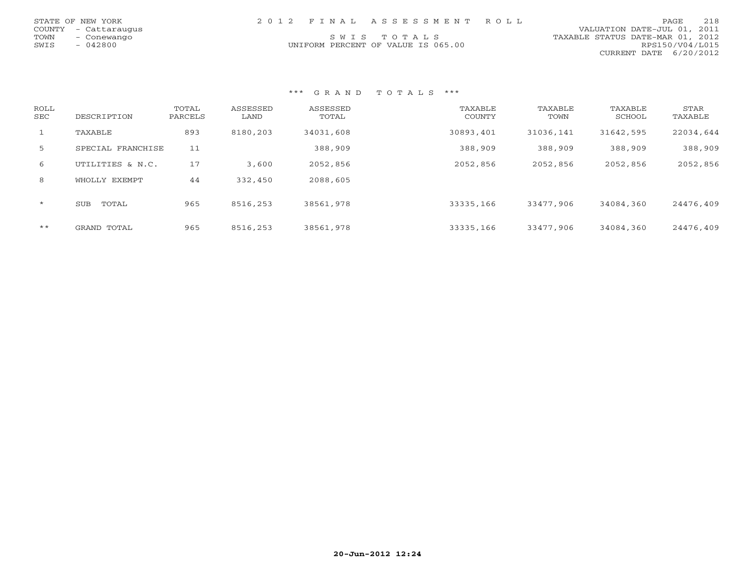|      | STATE OF NEW YORK    |  | 2012 FINAL ASSESSMENT ROLL         |                                  | PAGE.           | 218 |
|------|----------------------|--|------------------------------------|----------------------------------|-----------------|-----|
|      | COUNTY - Cattaraugus |  |                                    | VALUATION DATE-JUL 01, 2011      |                 |     |
| TOWN | - Conewango          |  | SWIS TOTALS                        | TAXABLE STATUS DATE-MAR 01, 2012 |                 |     |
| SWIS | - 042800             |  | UNIFORM PERCENT OF VALUE IS 065.00 |                                  | RPS150/V04/L015 |     |
|      |                      |  |                                    | CURRENT DATE 6/20/2012           |                 |     |

### \*\*\* G R A N D T O T A L S \*\*\*

| ROLL<br><b>SEC</b> | DESCRIPTION         | TOTAL<br>PARCELS | ASSESSED<br>LAND | ASSESSED<br>TOTAL | TAXABLE<br>COUNTY | TAXABLE<br>TOWN | TAXABLE<br>SCHOOL | STAR<br>TAXABLE |
|--------------------|---------------------|------------------|------------------|-------------------|-------------------|-----------------|-------------------|-----------------|
|                    | TAXABLE             | 893              | 8180,203         | 34031,608         | 30893,401         | 31036,141       | 31642,595         | 22034,644       |
| 5                  | SPECIAL FRANCHISE   | 11               |                  | 388,909           | 388,909           | 388,909         | 388,909           | 388,909         |
| 6                  | UTILITIES & N.C.    | 17               | 3,600            | 2052,856          | 2052,856          | 2052,856        | 2052,856          | 2052,856        |
| 8                  | WHOLLY EXEMPT       | 44               | 332,450          | 2088,605          |                   |                 |                   |                 |
| $\star$            | <b>SUB</b><br>TOTAL | 965              | 8516,253         | 38561,978         | 33335,166         | 33477,906       | 34084,360         | 24476,409       |
| $\star\star$       | GRAND TOTAL         | 965              | 8516,253         | 38561,978         | 33335,166         | 33477,906       | 34084,360         | 24476,409       |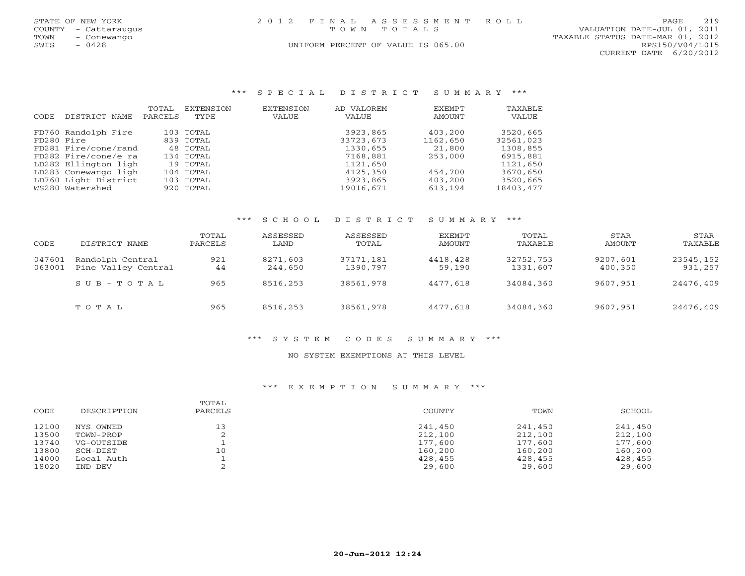|      | STATE OF NEW YORK    | 2012 FINAL ASSESSMENT ROLL |                                    |                                  | PAGE.           | 2.19 |
|------|----------------------|----------------------------|------------------------------------|----------------------------------|-----------------|------|
|      | COUNTY - Cattaraugus |                            | TOWN TOTALS                        | VALUATION DATE-JUL 01, 2011      |                 |      |
| TOWN | - Conewango          |                            |                                    | TAXABLE STATUS DATE-MAR 01, 2012 |                 |      |
| SWIS | $-0428$              |                            | UNIFORM PERCENT OF VALUE IS 065.00 |                                  | RPS150/V04/L015 |      |
|      |                      |                            |                                    | CURRENT DATE 6/20/2012           |                 |      |
|      |                      |                            |                                    |                                  |                 |      |
|      |                      |                            |                                    |                                  |                 |      |

### \*\*\* S P E C I A L D I S T R I C T S U M M A R Y \*\*\*

|               | TOTAL                                                                                                | EXTENSION                                                            | <b>EXTENSION</b>                                                                                   | AD VALOREM | <b>EXEMPT</b> | TAXABLE   |
|---------------|------------------------------------------------------------------------------------------------------|----------------------------------------------------------------------|----------------------------------------------------------------------------------------------------|------------|---------------|-----------|
| DISTRICT NAME | PARCELS                                                                                              | TYPE                                                                 | VALUE                                                                                              | VALUE      | AMOUNT        | VALUE     |
|               |                                                                                                      |                                                                      |                                                                                                    | 3923,865   | 403,200       | 3520,665  |
|               |                                                                                                      |                                                                      |                                                                                                    | 33723,673  | 1162,650      | 32561,023 |
|               |                                                                                                      |                                                                      |                                                                                                    | 1330,655   | 21,800        | 1308,855  |
|               |                                                                                                      |                                                                      |                                                                                                    | 7168,881   | 253,000       | 6915,881  |
|               |                                                                                                      |                                                                      |                                                                                                    | 1121,650   |               | 1121,650  |
|               |                                                                                                      |                                                                      |                                                                                                    | 4125,350   | 454,700       | 3670,650  |
|               |                                                                                                      |                                                                      |                                                                                                    | 3923,865   | 403,200       | 3520,665  |
|               |                                                                                                      |                                                                      |                                                                                                    | 19016,671  | 613,194       | 18403,477 |
|               | FD760 Randolph Fire<br>FD280 Fire<br>FD282 Fire/cone/e ra<br>LD283 Conewango ligh<br>WS280 Watershed | FD281 Fire/cone/rand<br>LD282 Ellington ligh<br>LD760 Light District | 103 TOTAL<br>839 TOTAL<br>48 TOTAL<br>134 TOTAL<br>19 TOTAL<br>104 TOTAL<br>103 TOTAL<br>920 TOTAL |            |               |           |

## \*\*\* S C H O O L D I S T R I C T S U M M A R Y \*\*\*

|        |                     | TOTAL   | ASSESSED | ASSESSED  | EXEMPT   | TOTAL     | STAR     | STAR      |
|--------|---------------------|---------|----------|-----------|----------|-----------|----------|-----------|
| CODE   | DISTRICT NAME       | PARCELS | LAND     | TOTAL     | AMOUNT   | TAXABLE   | AMOUNT   | TAXABLE   |
| 047601 | Randolph Central    | 921     | 8271,603 | 37171,181 | 4418,428 | 32752,753 | 9207,601 | 23545,152 |
| 063001 | Pine Valley Central | 44      | 244,650  | 1390,797  | 59,190   | 1331,607  | 400,350  | 931,257   |
|        | $SUB - TO T AL$     | 965     | 8516,253 | 38561,978 | 4477,618 | 34084,360 | 9607,951 | 24476,409 |
|        | TOTAL               | 965     | 8516,253 | 38561,978 | 4477,618 | 34084,360 | 9607,951 | 24476,409 |

# \*\*\* S Y S T E M C O D E S S U M M A R Y \*\*\*

### NO SYSTEM EXEMPTIONS AT THIS LEVEL

### \*\*\* E X E M P T I O N S U M M A R Y \*\*\*

| CODE  | DESCRIPTION | TOTAL<br>PARCELS | <b>COUNTY</b> | TOWN    | SCHOOL  |
|-------|-------------|------------------|---------------|---------|---------|
| 12100 | NYS OWNED   | 13               | 241,450       | 241,450 | 241,450 |
| 13500 | TOWN-PROP   |                  | 212,100       | 212,100 | 212,100 |
| 13740 | VG-OUTSIDE  |                  | 177,600       | 177,600 | 177,600 |
| 13800 | SCH-DIST    | 10               | 160,200       | 160,200 | 160,200 |
| 14000 | Local Auth  |                  | 428,455       | 428,455 | 428,455 |
| 18020 | IND DEV     |                  | 29,600        | 29,600  | 29,600  |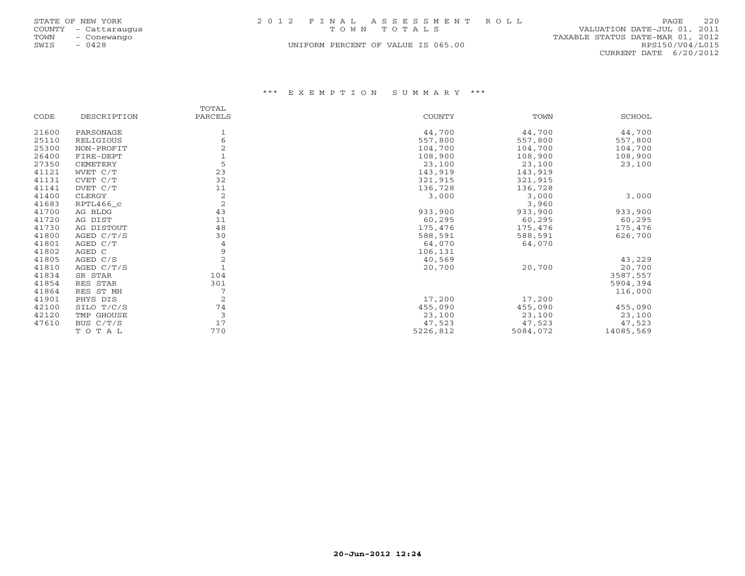|      | STATE OF NEW YORK    | 2012 FINAL ASSESSMENT ROLL         |             |                                  | PAGE                   | 220 |
|------|----------------------|------------------------------------|-------------|----------------------------------|------------------------|-----|
|      | COUNTY - Cattaraugus |                                    | TOWN TOTALS | VALUATION DATE-JUL 01, 2011      |                        |     |
| TOWN | - Conewango          |                                    |             | TAXABLE STATUS DATE-MAR 01, 2012 |                        |     |
| SWIS | 0428                 | UNIFORM PERCENT OF VALUE IS 065.00 |             |                                  | RPS150/V04/L015        |     |
|      |                      |                                    |             |                                  | CURRENT DATE 6/20/2012 |     |

## \*\*\* E X E M P T I O N S U M M A R Y \*\*\*

|       |              | TOTAL          |               |          |               |
|-------|--------------|----------------|---------------|----------|---------------|
| CODE  | DESCRIPTION  | PARCELS        | <b>COUNTY</b> | TOWN     | <b>SCHOOL</b> |
| 21600 | PARSONAGE    |                | 44,700        | 44,700   | 44,700        |
| 25110 | RELIGIOUS    | 6              | 557,800       | 557,800  | 557,800       |
| 25300 | NON-PROFIT   |                | 104,700       | 104,700  | 104,700       |
| 26400 | FIRE-DEPT    |                | 108,900       | 108,900  | 108,900       |
| 27350 | CEMETERY     | 5              | 23,100        | 23,100   | 23,100        |
| 41121 | WVET C/T     | 23             | 143,919       | 143,919  |               |
| 41131 | CVET C/T     | 32             | 321,915       | 321,915  |               |
| 41141 | DVET C/T     | 11             | 136,728       | 136,728  |               |
| 41400 | CLERGY       | 2              | 3,000         | 3,000    | 3,000         |
| 41683 | RPTL466_c    | $\overline{2}$ |               | 3,960    |               |
| 41700 | AG BLDG      | 43             | 933,900       | 933,900  | 933,900       |
| 41720 | AG DIST      | 11             | 60,295        | 60,295   | 60,295        |
| 41730 | AG DISTOUT   | 48             | 175,476       | 175,476  | 175,476       |
| 41800 | AGED $C/T/S$ | 30             | 588,591       | 588,591  | 626,700       |
| 41801 | AGED C/T     | 4              | 64,070        | 64,070   |               |
| 41802 | AGED C       | 9              | 106,131       |          |               |
| 41805 | AGED C/S     | $\overline{2}$ | 40,569        |          | 43,229        |
| 41810 | AGED $C/T/S$ | $\overline{1}$ | 20,700        | 20,700   | 20,700        |
| 41834 | SR STAR      | 104            |               |          | 3587,557      |
| 41854 | RES STAR     | 301            |               |          | 5904,394      |
| 41864 | RES ST MH    | 7              |               |          | 116,000       |
| 41901 | PHYS DIS     | $\overline{2}$ | 17,200        | 17,200   |               |
| 42100 | SILO T/C/S   | 74             | 455,090       | 455,090  | 455,090       |
| 42120 | TMP GHOUSE   | 3              | 23,100        | 23,100   | 23,100        |
| 47610 | BUS C/T/S    | 17             | 47,523        | 47,523   | 47,523        |
|       | TOTAL        | 770            | 5226,812      | 5084,072 | 14085,569     |